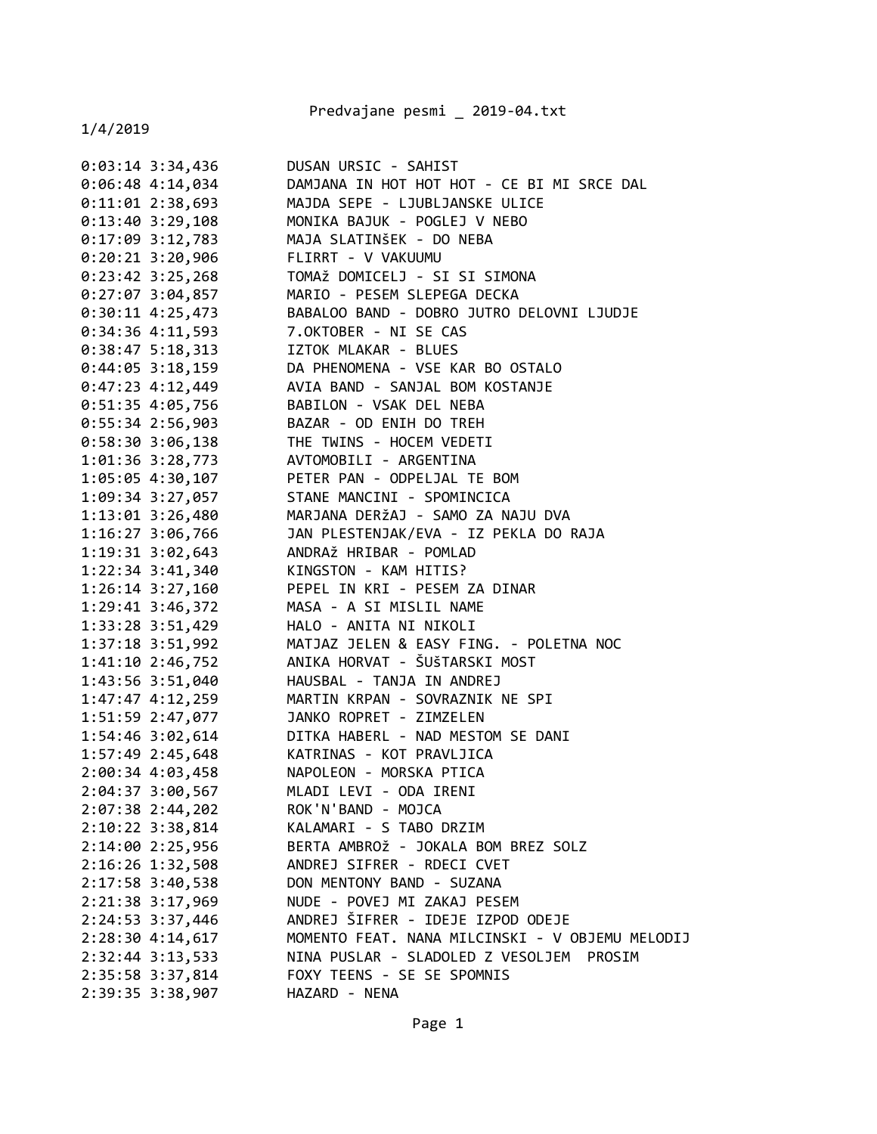Predvajane pesmi \_ 2019-04.txt

| $0:03:14$ 3:34,436                     | DUSAN URSIC - SAHIST                            |
|----------------------------------------|-------------------------------------------------|
| $0:06:48$ 4:14,034                     | DAMJANA IN HOT HOT HOT - CE BI MI SRCE DAL      |
| $0:11:01$ 2:38,693                     | MAJDA SEPE - LJUBLJANSKE ULICE                  |
| $0:13:40$ 3:29,108                     | MONIKA BAJUK - POGLEJ V NEBO                    |
| $0:17:09$ 3:12,783                     | MAJA SLATINŠEK - DO NEBA                        |
| $0:20:21$ 3:20,906                     | FLIRRT - V VAKUUMU                              |
| $0:23:42 \ 3:25,268$                   | TOMAŽ DOMICELJ - SI SI SIMONA                   |
| $0:27:07$ 3:04,857                     | MARIO - PESEM SLEPEGA DECKA                     |
| $0:30:11$ 4:25,473                     | BABALOO BAND - DOBRO JUTRO DELOVNI LJUDJE       |
| $0:34:36$ 4:11,593                     | 7.OKTOBER - NI SE CAS                           |
| $0:38:47$ 5:18,313                     | IZTOK MLAKAR - BLUES                            |
| $0:44:05$ 3:18,159                     | DA PHENOMENA - VSE KAR BO OSTALO                |
| $0:47:23$ 4:12,449                     | AVIA BAND - SANJAL BOM KOSTANJE                 |
| $0:51:35$ 4:05,756                     | BABILON - VSAK DEL NEBA                         |
|                                        | 0:55:34 2:56,903 BAZAR - OD ENIH DO TREH        |
|                                        | 0:58:30 3:06,138 THE TWINS - HOCEM VEDETI       |
| 1:01:36 3:28,773                       | AVTOMOBILI - ARGENTINA                          |
| $1:05:05$ 4:30,107                     | PETER PAN - ODPELJAL TE BOM                     |
| $1:09:34$ 3:27,057                     | STANE MANCINI - SPOMINCICA                      |
| $1:13:01$ $3:26,480$                   | MARJANA DERŽAJ - SAMO ZA NAJU DVA               |
| $1:16:27$ 3:06,766                     | JAN PLESTENJAK/EVA - IZ PEKLA DO RAJA           |
| 1:19:31 3:02,643                       | ANDRAŽ HRIBAR - POMLAD                          |
| 1:22:34 3:41,340 KINGSTON - KAM HITIS? |                                                 |
| 1:26:14 3:27,160                       | PEPEL IN KRI - PESEM ZA DINAR                   |
| $1:29:41$ $3:46,372$                   | MASA - A SI MISLIL NAME                         |
| 1:33:28 3:51,429                       | HALO - ANITA NI NIKOLI                          |
| 1:37:18 3:51,992                       | MATJAZ JELEN & EASY FING. - POLETNA NOC         |
| 1:41:10 2:46,752                       | ANIKA HORVAT - ŠUŠTARSKI MOST                   |
| 1:43:56 3:51,040                       | HAUSBAL - TANJA IN ANDREJ                       |
| 1:47:47 4:12,259                       | MARTIN KRPAN - SOVRAZNIK NE SPI                 |
| 1:51:59 2:47,077                       | JANKO ROPRET - ZIMZELEN                         |
| $1:54:46$ $3:02,614$                   | DITKA HABERL - NAD MESTOM SE DANI               |
| 1:57:49 2:45,648                       | KATRINAS - KOT PRAVLJICA                        |
| 2:00:34 4:03,458                       | NAPOLEON - MORSKA PTICA                         |
| 2:04:37 3:00,567                       | MLADI LEVI - ODA IRENI                          |
| 2:07:38 2:44,202                       | ROK'N'BAND - MOJCA                              |
| $2:10:22$ 3:38,814                     | KALAMARI - S TABO DRZIM                         |
| 2:14:00 2:25,956                       | BERTA AMBROŽ - JOKALA BOM BREZ SOLZ             |
| 2:16:26 1:32,508                       | ANDREJ SIFRER - RDECI CVET                      |
| 2:17:58 3:40,538                       | DON MENTONY BAND - SUZANA                       |
| 2:21:38 3:17,969                       | NUDE - POVEJ MI ZAKAJ PESEM                     |
| 2:24:53 3:37,446                       | ANDREJ ŠIFRER - IDEJE IZPOD ODEJE               |
| 2:28:30 4:14,617                       | MOMENTO FEAT. NANA MILCINSKI - V OBJEMU MELODIJ |
| 2:32:44 3:13,533                       | NINA PUSLAR - SLADOLED Z VESOLJEM PROSIM        |
| 2:35:58 3:37,814                       | FOXY TEENS - SE SE SPOMNIS                      |
| 2:39:35 3:38,907                       | HAZARD - NENA                                   |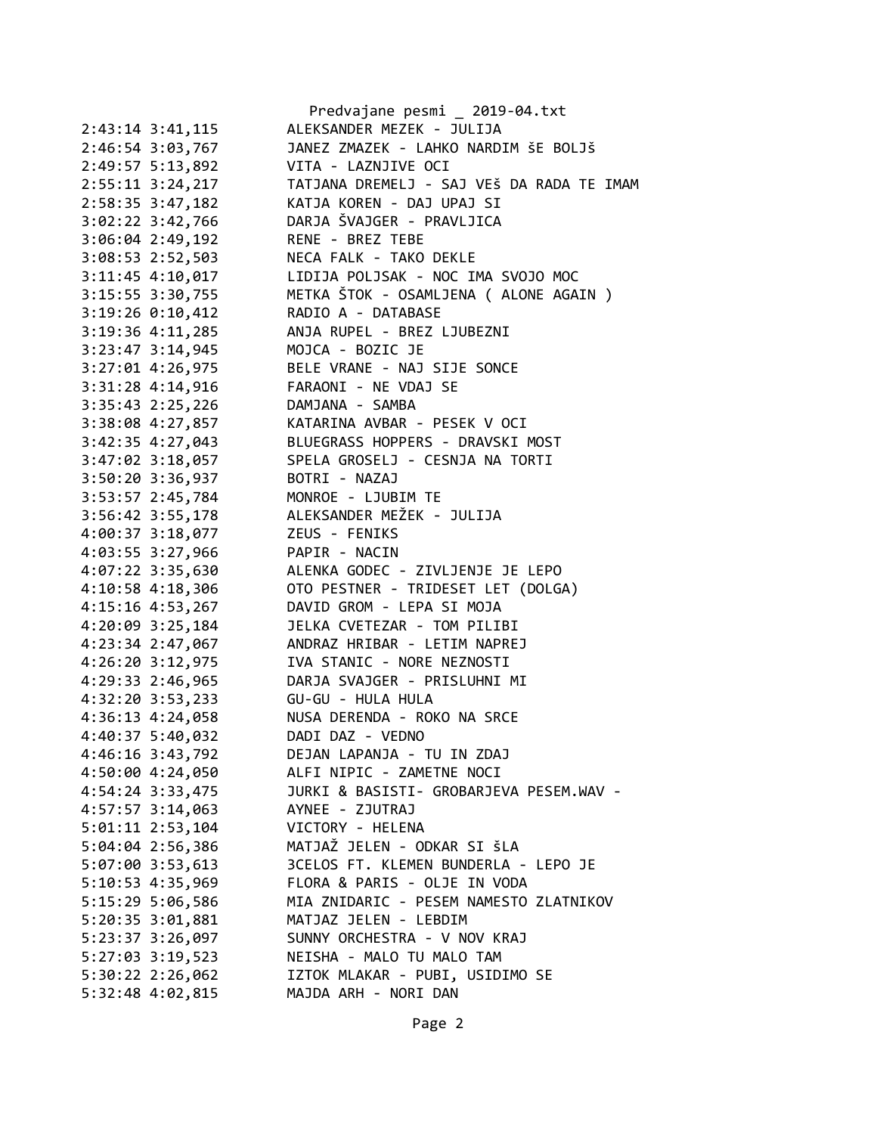|                      | Predvajane pesmi _ 2019-04.txt            |
|----------------------|-------------------------------------------|
| 2:43:14 3:41,115     | ALEKSANDER MEZEK - JULIJA                 |
| 2:46:54 3:03,767     | JANEZ ZMAZEK - LAHKO NARDIM ŠE BOLJŠ      |
| 2:49:57 5:13,892     | VITA - LAZNJIVE OCI                       |
| 2:55:11 3:24,217     | TATJANA DREMELJ - SAJ VEŠ DA RADA TE IMAM |
| 2:58:35 3:47,182     | KATJA KOREN - DAJ UPAJ SI                 |
| 3:02:22 3:42,766     | DARJA ŠVAJGER - PRAVLJICA                 |
| 3:06:04 2:49,192     | RENE - BREZ TEBE                          |
| 3:08:53 2:52,503     | NECA FALK - TAKO DEKLE                    |
| 3:11:45 4:10,017     | LIDIJA POLJSAK - NOC IMA SVOJO MOC        |
| 3:15:55 3:30,755     | METKA ŠTOK - OSAMLJENA ( ALONE AGAIN )    |
| 3:19:26 0:10,412     | RADIO A - DATABASE                        |
| $3:19:36$ 4:11,285   | ANJA RUPEL - BREZ LJUBEZNI                |
| $3:23:47$ $3:14,945$ | MOJCA - BOZIC JE                          |
| $3:27:01$ 4:26,975   | BELE VRANE - NAJ SIJE SONCE               |
| 3:31:28 4:14,916     | FARAONI - NE VDAJ SE                      |
| $3:35:43$ $2:25,226$ | DAMJANA - SAMBA                           |
| 3:38:08 4:27,857     | KATARINA AVBAR - PESEK V OCI              |
| 3:42:35 4:27,043     | BLUEGRASS HOPPERS - DRAVSKI MOST          |
| 3:47:02 3:18,057     | SPELA GROSELJ - CESNJA NA TORTI           |
| 3:50:20 3:36,937     | BOTRI - NAZAJ                             |
| 3:53:57 2:45,784     | MONROE - LJUBIM TE                        |
| 3:56:42 3:55,178     | ALEKSANDER MEŽEK - JULIJA                 |
| 4:00:37 3:18,077     | ZEUS - FENIKS                             |
| 4:03:55 3:27,966     | PAPIR - NACIN                             |
| 4:07:22 3:35,630     | ALENKA GODEC - ZIVLJENJE JE LEPO          |
| 4:10:58 4:18,306     | OTO PESTNER - TRIDESET LET (DOLGA)        |
| 4:15:16 4:53,267     | DAVID GROM - LEPA SI MOJA                 |
| 4:20:09 3:25,184     | JELKA CVETEZAR - TOM PILIBI               |
| 4:23:34 2:47,067     | ANDRAZ HRIBAR - LETIM NAPREJ              |
| 4:26:20 3:12,975     | IVA STANIC - NORE NEZNOSTI                |
| 4:29:33 2:46,965     | DARJA SVAJGER - PRISLUHNI MI              |
| 4:32:20 3:53,233     | GU-GU - HULA HULA                         |
| 4:36:13 4:24,058     | NUSA DERENDA - ROKO NA SRCE               |
| 4:40:37 5:40,032     | DADI DAZ - VEDNO                          |
| 4:46:16 3:43,792     | DEJAN LAPANJA - TU IN ZDAJ                |
| 4:50:00 4:24,050     | ALFI NIPIC - ZAMETNE NOCI                 |
| 4:54:24 3:33,475     | JURKI & BASISTI- GROBARJEVA PESEM.WAV -   |
| 4:57:57 3:14,063     | AYNEE - ZJUTRAJ                           |
| $5:01:11$ 2:53,104   | VICTORY - HELENA                          |
| 5:04:04 2:56,386     | MATJAŽ JELEN - ODKAR SI ŠLA               |
| 5:07:00 3:53,613     | 3CELOS FT. KLEMEN BUNDERLA - LEPO JE      |
| 5:10:53 4:35,969     | FLORA & PARIS - OLJE IN VODA              |
| 5:15:29 5:06,586     | MIA ZNIDARIC - PESEM NAMESTO ZLATNIKOV    |
| 5:20:35 3:01,881     | MATJAZ JELEN - LEBDIM                     |
| 5:23:37 3:26,097     | SUNNY ORCHESTRA - V NOV KRAJ              |
| 5:27:03 3:19,523     | NEISHA - MALO TU MALO TAM                 |
| $5:30:22$ 2:26,062   | IZTOK MLAKAR - PUBI, USIDIMO SE           |
| 5:32:48 4:02,815     | MAJDA ARH - NORI DAN                      |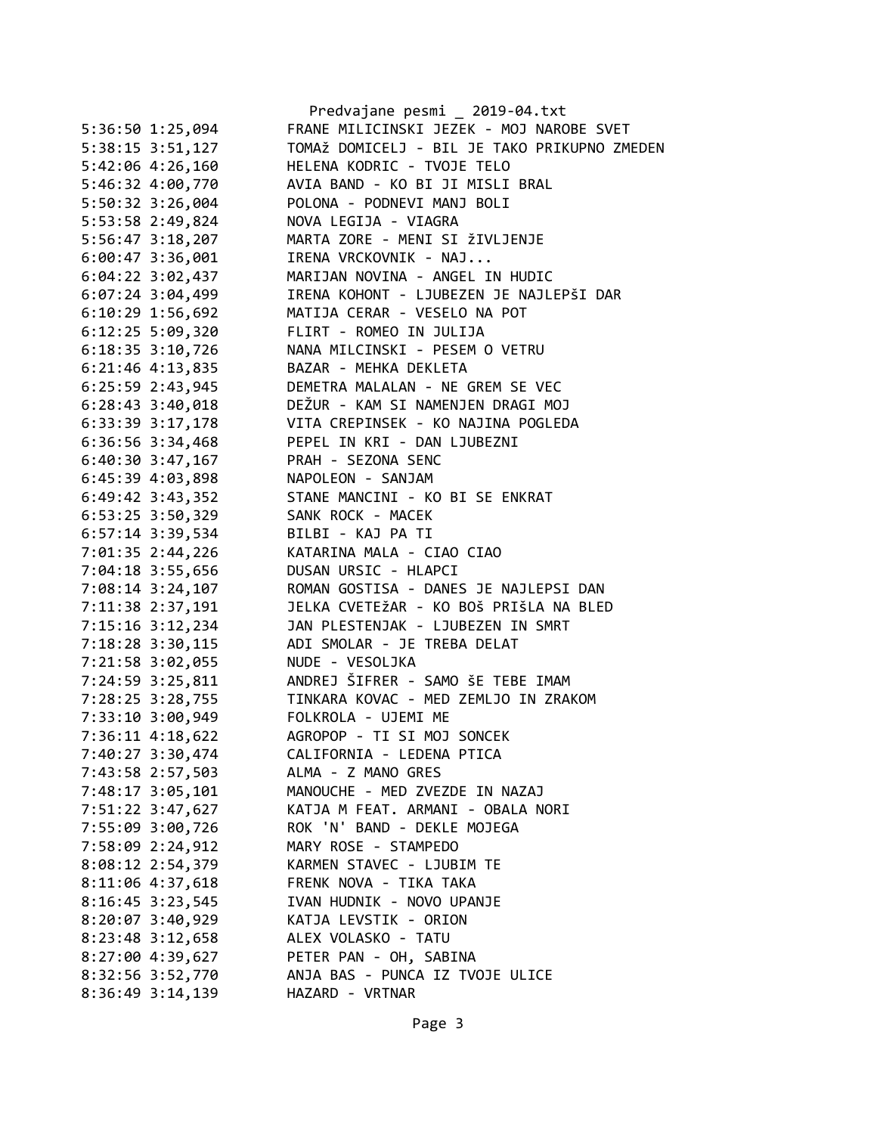|                      | Predvajane pesmi _ 2019-04.txt                     |
|----------------------|----------------------------------------------------|
| 5:36:50 1:25,094     | FRANE MILICINSKI JEZEK - MOJ NAROBE SVET           |
| $5:38:15$ $3:51,127$ | TOMAŽ DOMICELJ - BIL JE TAKO PRIKUPNO ZMEDEN       |
| 5:42:06 4:26,160     | HELENA KODRIC - TVOJE TELO                         |
| 5:46:32 4:00,770     | AVIA BAND - KO BI JI MISLI BRAL                    |
| 5:50:32 3:26,004     | POLONA - PODNEVI MANJ BOLI                         |
| 5:53:58 2:49,824     | NOVA LEGIJA - VIAGRA                               |
| 5:56:47 3:18,207     | MARTA ZORE - MENI SI ŽIVLJENJE                     |
| 6:00:47 3:36,001     | IRENA VRCKOVNIK - NAJ                              |
| $6:04:22$ 3:02,437   | MARIJAN NOVINA - ANGEL IN HUDIC                    |
| $6:07:24$ 3:04,499   | IRENA KOHONT - LJUBEZEN JE NAJLEPŠI DAR            |
| $6:10:29$ 1:56,692   | MATIJA CERAR - VESELO NA POT                       |
| $6:12:25$ 5:09,320   | FLIRT - ROMEO IN JULIJA                            |
| $6:18:35$ 3:10,726   | NANA MILCINSKI - PESEM O VETRU                     |
| 6:21:46 4:13,835     | BAZAR - MEHKA DEKLETA                              |
| 6:25:59 2:43,945     | DEMETRA MALALAN - NE GREM SE VEC                   |
| $6:28:43$ 3:40,018   | DEŽUR - KAM SI NAMENJEN DRAGI MOJ                  |
| 6:33:39 3:17,178     | VITA CREPINSEK - KO NAJINA POGLEDA                 |
| 6:36:56 3:34,468     | PEPEL IN KRI - DAN LJUBEZNI                        |
| $6:40:30$ 3:47,167   | PRAH - SEZONA SENC                                 |
| $6:45:39$ $4:03,898$ | NAPOLEON - SANJAM                                  |
| $6:49:42$ 3:43,352   | STANE MANCINI - KO BI SE ENKRAT                    |
| $6:53:25$ 3:50,329   | SANK ROCK - MACEK                                  |
| $6:57:14$ 3:39,534   | BILBI - KAJ PA TI                                  |
|                      | KATARINA MALA - CIAO CIAO                          |
| 7:01:35 2:44,226     | DUSAN URSIC - HLAPCI                               |
| 7:04:18 3:55,656     |                                                    |
| 7:08:14 3:24,107     | ROMAN GOSTISA - DANES JE NAJLEPSI DAN              |
| 7:11:38 2:37,191     | JELKA CVETEŽAR - KO BOŠ PRIŠLA NA BLED             |
| 7:15:16 3:12,234     | JAN PLESTENJAK - LJUBEZEN IN SMRT                  |
| 7:18:28 3:30,115     | ADI SMOLAR - JE TREBA DELAT                        |
| 7:21:58 3:02,055     | NUDE - VESOLJKA                                    |
|                      | 7:24:59 3:25,811 ANDREJ ŠIFRER - SAMO ŠE TEBE IMAM |
| 7:28:25 3:28,755     | TINKARA KOVAC - MED ZEMLJO IN ZRAKOM               |
| 7:33:10 3:00,949     | FOLKROLA - UJEMI ME                                |
| 7:36:11 4:18,622     | AGROPOP - TI SI MOJ SONCEK                         |
| 7:40:27 3:30,474     | CALIFORNIA - LEDENA PTICA                          |
| 7:43:58 2:57,503     | ALMA - Z MANO GRES                                 |
| 7:48:17 3:05,101     | MANOUCHE - MED ZVEZDE IN NAZAJ                     |
| 7:51:22 3:47,627     | KATJA M FEAT. ARMANI - OBALA NORI                  |
| 7:55:09 3:00,726     | ROK 'N' BAND - DEKLE MOJEGA                        |
| 7:58:09 2:24,912     | MARY ROSE - STAMPEDO                               |
| 8:08:12 2:54,379     | KARMEN STAVEC - LJUBIM TE                          |
| 8:11:06 4:37,618     | FRENK NOVA - TIKA TAKA                             |
| 8:16:45 3:23,545     | IVAN HUDNIK - NOVO UPANJE                          |
| 8:20:07 3:40,929     | KATJA LEVSTIK - ORION                              |
| 8:23:48 3:12,658     | ALEX VOLASKO - TATU                                |
| 8:27:00 4:39,627     | PETER PAN - OH, SABINA                             |
| 8:32:56 3:52,770     | ANJA BAS - PUNCA IZ TVOJE ULICE                    |
| 8:36:49 3:14,139     | HAZARD - VRTNAR                                    |
|                      |                                                    |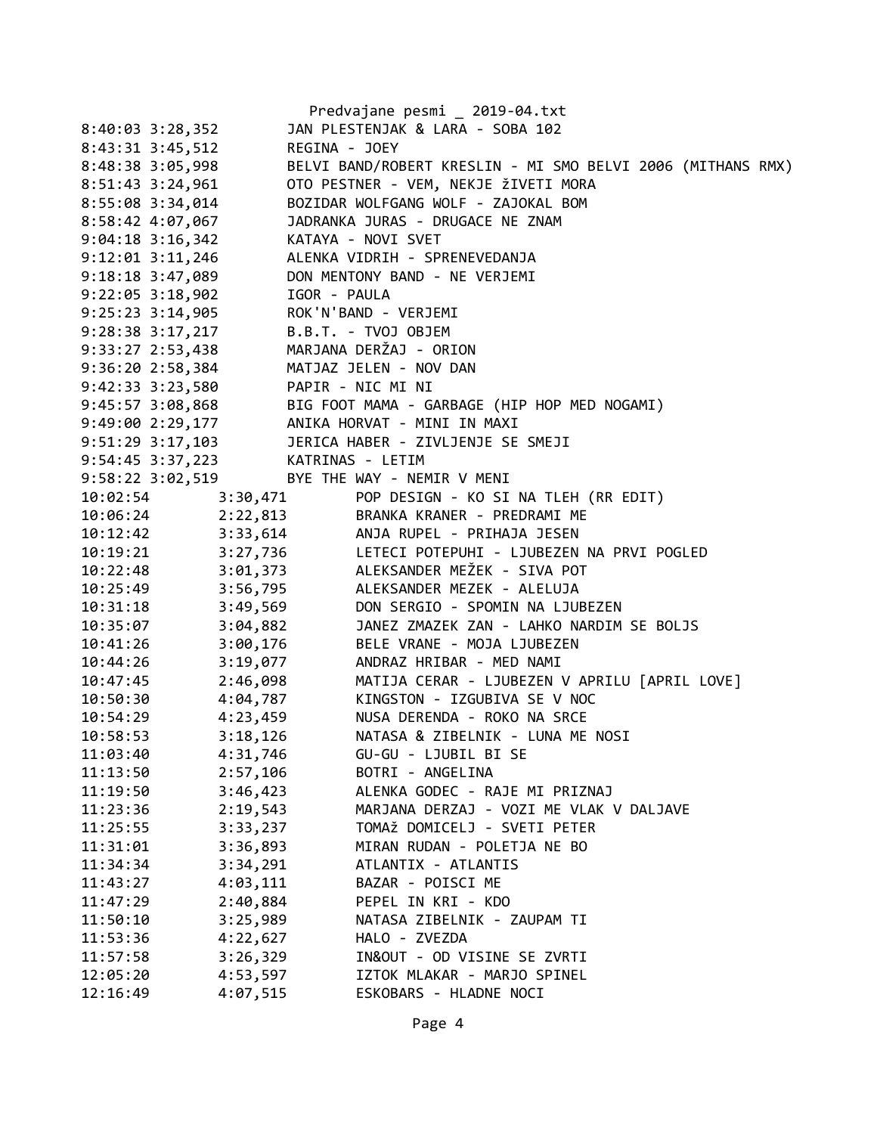|                      |                   | Predvajane pesmi _ 2019-04.txt                                                                                                                          |
|----------------------|-------------------|---------------------------------------------------------------------------------------------------------------------------------------------------------|
| $8:40:03$ 3:28,352   |                   | JAN PLESTENJAK & LARA - SOBA 102                                                                                                                        |
| 8:43:31 3:45,512     | REGINA - JOEY     |                                                                                                                                                         |
| 8:48:38 3:05,998     |                   | BELVI BAND/ROBERT KRESLIN - MI SMO BELVI 2006 (MITHANS RMX)                                                                                             |
| 8:51:43 3:24,961     |                   | OTO PESTNER - VEM, NEKJE ŽIVETI MORA                                                                                                                    |
| 8:55:08 3:34,014     |                   | BOZIDAR WOLFGANG WOLF - ZAJOKAL BOM                                                                                                                     |
| 8:58:42 4:07,067     |                   | JADRANKA JURAS - DRUGACE NE ZNAM                                                                                                                        |
| $9:04:18$ 3:16,342   |                   | KATAYA - NOVI SVET                                                                                                                                      |
| $9:12:01$ $3:11,246$ |                   | ALENKA VIDRIH - SPRENEVEDANJA                                                                                                                           |
| 9:18:18 3:47,089     |                   | DON MENTONY BAND - NE VERJEMI                                                                                                                           |
| $9:22:05$ $3:18,902$ | IGOR - PAULA      |                                                                                                                                                         |
| $9:25:23$ $3:14,905$ |                   | ROK'N'BAND - VERJEMI                                                                                                                                    |
| $9:28:38$ 3:17, 217  |                   | B.B.T. - TVOJ OBJEM                                                                                                                                     |
| 9:33:27 2:53,438     |                   | MARJANA DERŽAJ - ORION                                                                                                                                  |
| 9:36:20 2:58,384     |                   | MATJAZ JELEN - NOV DAN                                                                                                                                  |
| $9:42:33$ $3:23,580$ | PAPIR - NIC MI NI |                                                                                                                                                         |
| 9:45:57 3:08,868     |                   | BIG FOOT MAMA - GARBAGE (HIP HOP MED NOGAMI)                                                                                                            |
| 9:49:00 2:29,177     |                   | ANIKA HORVAT - MINI IN MAXI                                                                                                                             |
| 9:51:29 3:17,103     |                   | JERICA HABER - ZIVLJENJE SE SMEJI                                                                                                                       |
| 9:54:45 3:37,223     |                   | KATRINAS - LETIM                                                                                                                                        |
| 9:58:22 3:02,519     |                   | BYE THE WAY - NEMIR V MENI                                                                                                                              |
|                      |                   |                                                                                                                                                         |
|                      |                   | 10:02:54 3:30,471 POP DESIGN - KO SI NA TLEH (RR EDIT)<br>10:06:24 2:22,813 BRANKA KRANER - PREDRAMI ME<br>10:12:42 3:33,614 ANJA RUPEL - PRIHAJA JESEN |
|                      |                   |                                                                                                                                                         |
|                      |                   | 10:19:21 3:27,736 LETECI POTEPUHI - LJUBEZEN NA PRVI POGLED                                                                                             |
|                      |                   | 10:22:48 3:01,373 ALEKSANDER MEŽEK - SIVA POT                                                                                                           |
|                      |                   | 10:25:49 3:56,795 ALEKSANDER MEZEK - ALELUJA                                                                                                            |
| 10:31:18             | 3:49,569          | DON SERGIO - SPOMIN NA LJUBEZEN                                                                                                                         |
| 10:35:07             | 3:04,882          | JANEZ ZMAZEK ZAN - LAHKO NARDIM SE BOLJS                                                                                                                |
| 10:41:26             | 3:00,176          | BELE VRANE - MOJA LJUBEZEN                                                                                                                              |
| 10:44:26             | 3:19,077          | ANDRAZ HRIBAR - MED NAMI                                                                                                                                |
| 10:47:45 2:46,098    |                   | MATIJA CERAR - LJUBEZEN V APRILU [APRIL LOVE]                                                                                                           |
| 10:50:30             |                   | 4:04,787 KINGSTON - IZGUBIVA SE V NOC                                                                                                                   |
| 10:54:29             | 4:23,459          | NUSA DERENDA - ROKO NA SRCE                                                                                                                             |
| 10:58:53             | 3:18,126          | NATASA & ZIBELNIK - LUNA ME NOSI                                                                                                                        |
| 11:03:40             | 4:31,746          | GU-GU - LJUBIL BI SE                                                                                                                                    |
| 11:13:50             | 2:57,106          | BOTRI - ANGELINA                                                                                                                                        |
| 11:19:50             | 3:46,423          | ALENKA GODEC - RAJE MI PRIZNAJ                                                                                                                          |
| 11:23:36             | 2:19,543          | MARJANA DERZAJ - VOZI ME VLAK V DALJAVE                                                                                                                 |
| 11:25:55             | 3:33,237          | TOMAŽ DOMICELJ - SVETI PETER                                                                                                                            |
| 11:31:01             | 3:36,893          | MIRAN RUDAN - POLETJA NE BO                                                                                                                             |
| 11:34:34             | 3:34,291          | ATLANTIX - ATLANTIS                                                                                                                                     |
| 11:43:27             | 4:03,111          | BAZAR - POISCI ME                                                                                                                                       |
| 11:47:29             | 2:40,884          | PEPEL IN KRI - KDO                                                                                                                                      |
| 11:50:10             | 3:25,989          | NATASA ZIBELNIK - ZAUPAM TI                                                                                                                             |
| 11:53:36             | 4:22,627          | HALO - ZVEZDA                                                                                                                                           |
| 11:57:58             | 3:26,329          | IN&OUT - OD VISINE SE ZVRTI                                                                                                                             |
| 12:05:20             | 4:53,597          | IZTOK MLAKAR - MARJO SPINEL                                                                                                                             |
| 12:16:49             | 4:07,515          | ESKOBARS - HLADNE NOCI                                                                                                                                  |
|                      |                   |                                                                                                                                                         |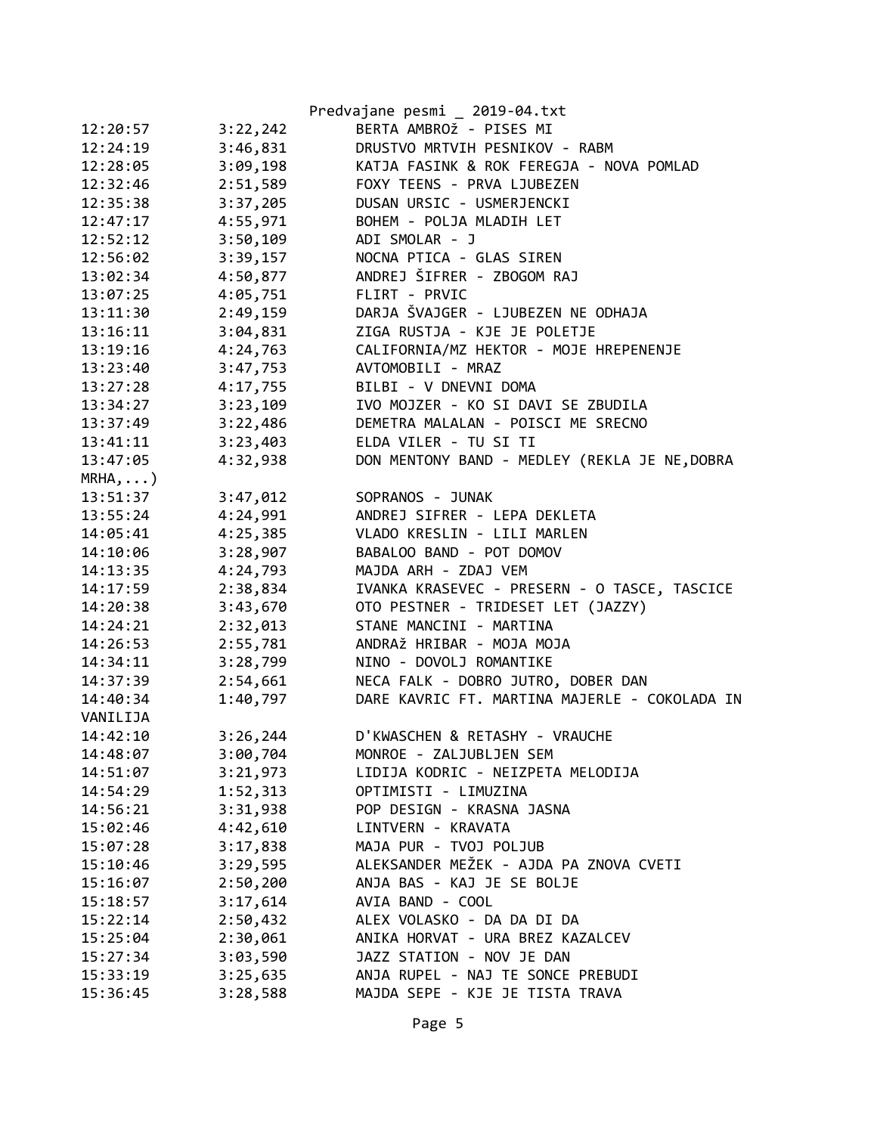|                      |                      | Predvajane pesmi _ 2019-04.txt                |
|----------------------|----------------------|-----------------------------------------------|
| 12:20:57             | 3:22,242             | BERTA AMBROŽ - PISES MI                       |
| 12:24:19             | 3:46,831             | DRUSTVO MRTVIH PESNIKOV - RABM                |
| 12:28:05             | 3:09,198             | KATJA FASINK & ROK FEREGJA - NOVA POMLAD      |
| 12:32:46             | 2:51,589             | FOXY TEENS - PRVA LJUBEZEN                    |
| 12:35:38             | 3:37,205             | DUSAN URSIC - USMERJENCKI                     |
| 12:47:17             | 4:55,971             | BOHEM - POLJA MLADIH LET                      |
| 12:52:12             | 3:50,109             | ADI SMOLAR - J                                |
| 12:56:02             | 3:39,157             | NOCNA PTICA - GLAS SIREN                      |
| 13:02:34             | 4:50,877             | ANDREJ ŠIFRER - ZBOGOM RAJ                    |
| 13:07:25             | 4:05,751             | FLIRT - PRVIC                                 |
| 13:11:30             | 2:49,159             | DARJA ŠVAJGER - LJUBEZEN NE ODHAJA            |
| 13:16:11             | 3:04,831             | ZIGA RUSTJA - KJE JE POLETJE                  |
| 13:19:16             | 4:24,763             | CALIFORNIA/MZ HEKTOR - MOJE HREPENENJE        |
| 13:23:40             | 3:47,753             | AVTOMOBILI - MRAZ                             |
| 13:27:28             | 4:17,755             | BILBI - V DNEVNI DOMA                         |
| 13:34:27             | 3:23,109             | IVO MOJZER - KO SI DAVI SE ZBUDILA            |
| 13:37:49             | 3:22,486             | DEMETRA MALALAN - POISCI ME SRECNO            |
| 13:41:11             | 3:23,403             | ELDA VILER - TU SI TI                         |
| 13:47:05             | 4:32,938             | DON MENTONY BAND - MEDLEY (REKLA JE NE, DOBRA |
| $MRHA$ , )           |                      |                                               |
| 13:51:37             | 3:47,012             | SOPRANOS - JUNAK                              |
| 13:55:24             | 4:24,991             | ANDREJ SIFRER - LEPA DEKLETA                  |
| 14:05:41             | 4:25,385             | VLADO KRESLIN - LILI MARLEN                   |
| 14:10:06             | 3:28,907             | BABALOO BAND - POT DOMOV                      |
| 14:13:35             | 4:24,793             | MAJDA ARH - ZDAJ VEM                          |
| 14:17:59             | 2:38,834             | IVANKA KRASEVEC - PRESERN - O TASCE, TASCICE  |
| 14:20:38             | 3:43,670             | OTO PESTNER - TRIDESET LET (JAZZY)            |
| 14:24:21             | 2:32,013             | STANE MANCINI - MARTINA                       |
| 14:26:53             | 2:55,781             | ANDRAŽ HRIBAR - MOJA MOJA                     |
| 14:34:11             | 3:28,799             | NINO - DOVOLJ ROMANTIKE                       |
| 14:37:39             | 2:54,661             | NECA FALK - DOBRO JUTRO, DOBER DAN            |
| 14:40:34             | 1:40,797             | DARE KAVRIC FT. MARTINA MAJERLE - COKOLADA IN |
| VANILIJA             |                      |                                               |
| 14:42:10             | 3:26,244             | D'KWASCHEN & RETASHY - VRAUCHE                |
| 14:48:07             | 3:00,704             | MONROE - ZALJUBLJEN SEM                       |
| 14:51:07             | 3:21,973             | LIDIJA KODRIC - NEIZPETA MELODIJA             |
| 14:54:29             | 1:52,313             | OPTIMISTI - LIMUZINA                          |
| 14:56:21             | 3:31,938             | POP DESIGN - KRASNA JASNA                     |
| 15:02:46             | 4:42,610             | LINTVERN - KRAVATA                            |
| 15:07:28             | 3:17,838             | MAJA PUR - TVOJ POLJUB                        |
| 15:10:46             | 3:29,595             | ALEKSANDER MEŽEK - AJDA PA ZNOVA CVETI        |
| 15:16:07             | 2:50,200             | ANJA BAS - KAJ JE SE BOLJE                    |
| 15:18:57             | 3:17,614             | AVIA BAND - COOL                              |
| 15:22:14             |                      | ALEX VOLASKO - DA DA DI DA                    |
|                      | 2:50,432<br>2:30,061 | ANIKA HORVAT - URA BREZ KAZALCEV              |
| 15:25:04<br>15:27:34 |                      | JAZZ STATION - NOV JE DAN                     |
| 15:33:19             | 3:03,590<br>3:25,635 | ANJA RUPEL - NAJ TE SONCE PREBUDI             |
| 15:36:45             |                      | MAJDA SEPE - KJE JE TISTA TRAVA               |
|                      | 3:28,588             |                                               |
|                      |                      |                                               |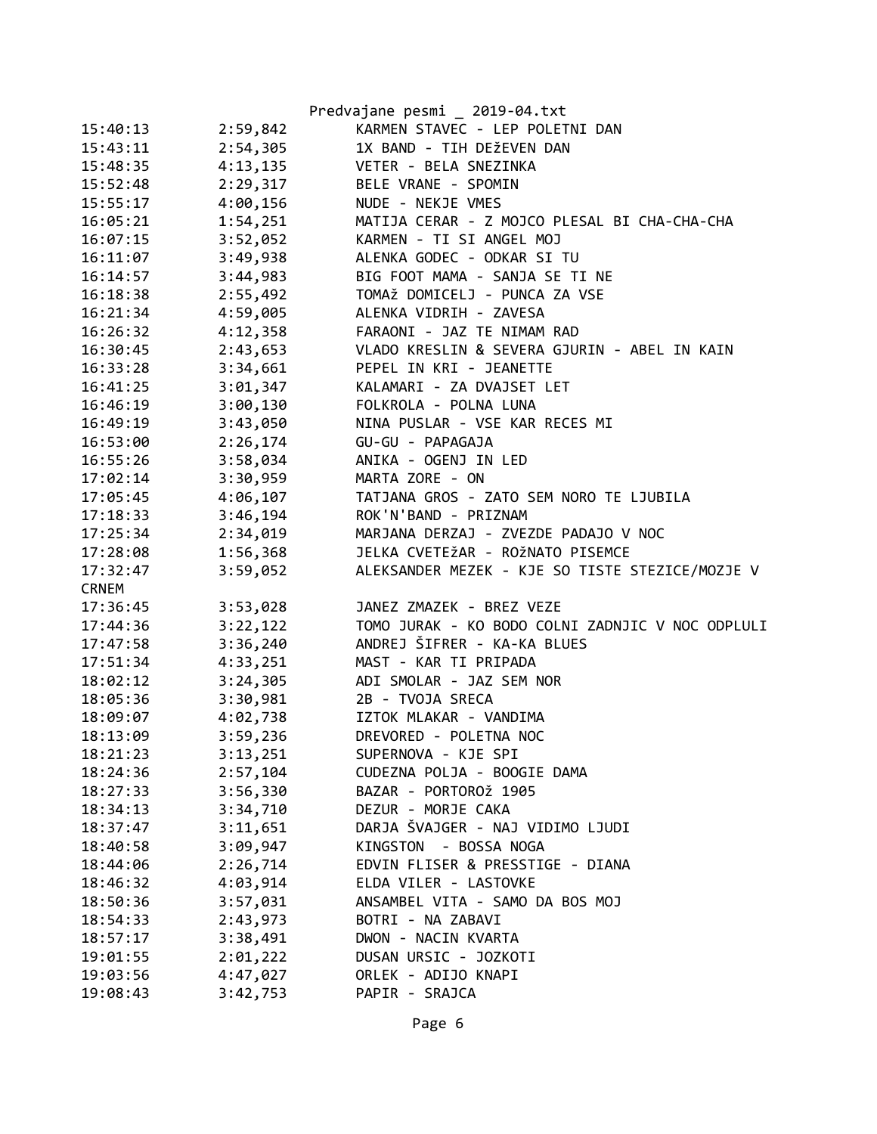|              |          | Predvajane pesmi _ 2019-04.txt                   |
|--------------|----------|--------------------------------------------------|
| 15:40:13     | 2:59,842 | KARMEN STAVEC - LEP POLETNI DAN                  |
| 15:43:11     | 2:54,305 | 1X BAND - TIH DEŽEVEN DAN                        |
| 15:48:35     | 4:13,135 | VETER - BELA SNEZINKA                            |
| 15:52:48     | 2:29,317 | BELE VRANE - SPOMIN                              |
| 15:55:17     | 4:00,156 | NUDE - NEKJE VMES                                |
| 16:05:21     | 1:54,251 | MATIJA CERAR - Z MOJCO PLESAL BI CHA-CHA-CHA     |
| 16:07:15     | 3:52,052 | KARMEN - TI SI ANGEL MOJ                         |
| 16:11:07     | 3:49,938 | ALENKA GODEC - ODKAR SI TU                       |
| 16:14:57     | 3:44,983 | BIG FOOT MAMA - SANJA SE TI NE                   |
| 16:18:38     | 2:55,492 | TOMAŽ DOMICELJ - PUNCA ZA VSE                    |
| 16:21:34     | 4:59,005 | ALENKA VIDRIH - ZAVESA                           |
| 16:26:32     | 4:12,358 | FARAONI - JAZ TE NIMAM RAD                       |
| 16:30:45     | 2:43,653 | VLADO KRESLIN & SEVERA GJURIN - ABEL IN KAIN     |
| 16:33:28     | 3:34,661 | PEPEL IN KRI - JEANETTE                          |
| 16:41:25     | 3:01,347 | KALAMARI - ZA DVAJSET LET                        |
| 16:46:19     | 3:00,130 | FOLKROLA - POLNA LUNA                            |
| 16:49:19     | 3:43,050 | NINA PUSLAR - VSE KAR RECES MI                   |
| 16:53:00     | 2:26,174 | GU-GU - PAPAGAJA                                 |
| 16:55:26     | 3:58,034 | ANIKA - OGENJ IN LED                             |
| 17:02:14     | 3:30,959 | MARTA ZORE - ON                                  |
| 17:05:45     | 4:06,107 | TATJANA GROS - ZATO SEM NORO TE LJUBILA          |
| 17:18:33     | 3:46,194 | ROK'N'BAND - PRIZNAM                             |
| 17:25:34     | 2:34,019 | MARJANA DERZAJ - ZVEZDE PADAJO V NOC             |
| 17:28:08     | 1:56,368 | JELKA CVETEŽAR - ROŽNATO PISEMCE                 |
| 17:32:47     | 3:59,052 | ALEKSANDER MEZEK - KJE SO TISTE STEZICE/MOZJE V  |
| <b>CRNEM</b> |          |                                                  |
| 17:36:45     | 3:53,028 | JANEZ ZMAZEK - BREZ VEZE                         |
| 17:44:36     | 3:22,122 | TOMO JURAK - KO BODO COLNI ZADNJIC V NOC ODPLULI |
| 17:47:58     | 3:36,240 | ANDREJ ŠIFRER - KA-KA BLUES                      |
| 17:51:34     | 4:33,251 | MAST - KAR TI PRIPADA                            |
| 18:02:12     | 3:24,305 | ADI SMOLAR - JAZ SEM NOR                         |
| 18:05:36     | 3:30,981 | 2B - TVOJA SRECA                                 |
| 18:09:07     | 4:02,738 | IZTOK MLAKAR - VANDIMA                           |
| 18:13:09     | 3:59,236 | DREVORED - POLETNA NOC                           |
| 18:21:23     | 3:13,251 | SUPERNOVA - KJE SPI                              |
| 18:24:36     | 2:57,104 | CUDEZNA POLJA - BOOGIE DAMA                      |
| 18:27:33     | 3:56,330 | BAZAR - PORTOROŽ 1905                            |
| 18:34:13     | 3:34,710 | DEZUR - MORJE CAKA                               |
| 18:37:47     | 3:11,651 | DARJA ŠVAJGER - NAJ VIDIMO LJUDI                 |
| 18:40:58     | 3:09,947 | KINGSTON<br>- BOSSA NOGA                         |
| 18:44:06     | 2:26,714 | EDVIN FLISER & PRESSTIGE - DIANA                 |
| 18:46:32     | 4:03,914 | ELDA VILER - LASTOVKE                            |
| 18:50:36     | 3:57,031 | ANSAMBEL VITA - SAMO DA BOS MOJ                  |
| 18:54:33     | 2:43,973 | BOTRI - NA ZABAVI                                |
| 18:57:17     | 3:38,491 | DWON - NACIN KVARTA                              |
| 19:01:55     | 2:01,222 | DUSAN URSIC - JOZKOTI                            |
| 19:03:56     | 4:47,027 | ORLEK - ADIJO KNAPI                              |
| 19:08:43     | 3:42,753 | PAPIR - SRAJCA                                   |
|              |          |                                                  |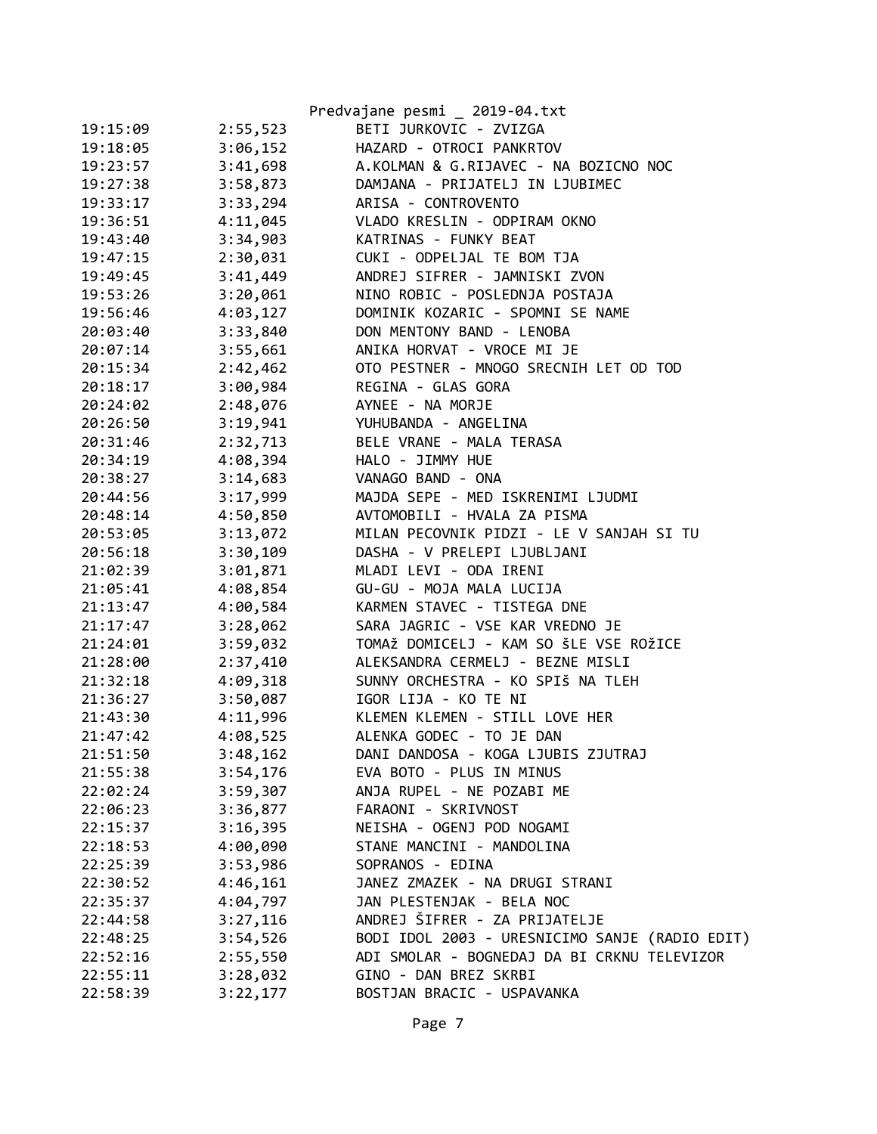|          |          | Predvajane pesmi _ 2019-04.txt                 |
|----------|----------|------------------------------------------------|
| 19:15:09 | 2:55,523 | BETI JURKOVIC - ZVIZGA                         |
| 19:18:05 | 3:06,152 | HAZARD - OTROCI PANKRTOV                       |
| 19:23:57 | 3:41,698 | A.KOLMAN & G.RIJAVEC - NA BOZICNO NOC          |
| 19:27:38 | 3:58,873 | DAMJANA - PRIJATELJ IN LJUBIMEC                |
| 19:33:17 | 3:33,294 | ARISA - CONTROVENTO                            |
| 19:36:51 | 4:11,045 | VLADO KRESLIN - ODPIRAM OKNO                   |
| 19:43:40 | 3:34,903 | KATRINAS - FUNKY BEAT                          |
| 19:47:15 | 2:30,031 | CUKI - ODPELJAL TE BOM TJA                     |
| 19:49:45 | 3:41,449 | ANDREJ SIFRER - JAMNISKI ZVON                  |
| 19:53:26 | 3:20,061 | NINO ROBIC - POSLEDNJA POSTAJA                 |
| 19:56:46 |          | 4:03,127 DOMINIK KOZARIC - SPOMNI SE NAME      |
| 20:03:40 |          | 3:33,840 DON MENTONY BAND - LENOBA             |
| 20:07:14 | 3:55,661 | ANIKA HORVAT - VROCE MI JE                     |
| 20:15:34 | 2:42,462 | OTO PESTNER - MNOGO SRECNIH LET OD TOD         |
| 20:18:17 | 3:00,984 | REGINA - GLAS GORA                             |
| 20:24:02 | 2:48,076 | AYNEE - NA MORJE                               |
| 20:26:50 | 3:19,941 | YUHUBANDA - ANGELINA                           |
| 20:31:46 |          | 2:32,713 BELE VRANE - MALA TERASA              |
| 20:34:19 | 4:08,394 | HALO - JIMMY HUE                               |
| 20:38:27 | 3:14,683 | VANAGO BAND - ONA                              |
| 20:44:56 | 3:17,999 | MAJDA SEPE - MED ISKRENIMI LJUDMI              |
| 20:48:14 | 4:50,850 | AVTOMOBILI - HVALA ZA PISMA                    |
| 20:53:05 | 3:13,072 | MILAN PECOVNIK PIDZI - LE V SANJAH SI TU       |
| 20:56:18 | 3:30,109 | DASHA - V PRELEPI LJUBLJANI                    |
| 21:02:39 | 3:01,871 | MLADI LEVI - ODA IRENI                         |
| 21:05:41 | 4:08,854 | GU-GU - MOJA MALA LUCIJA                       |
| 21:13:47 | 4:00,584 | KARMEN STAVEC - TISTEGA DNE                    |
| 21:17:47 | 3:28,062 | SARA JAGRIC - VSE KAR VREDNO JE                |
| 21:24:01 | 3:59,032 | TOMAŽ DOMICELJ - KAM SO ŠLE VSE ROŽICE         |
| 21:28:00 | 2:37,410 | ALEKSANDRA CERMELJ - BEZNE MISLI               |
| 21:32:18 | 4:09,318 | SUNNY ORCHESTRA - KO SPIŠ NA TLEH              |
| 21:36:27 |          | 3:50,087 IGOR LIJA - KO TE NI                  |
| 21:43:30 |          | 4:11,996 KLEMEN KLEMEN - STILL LOVE HER        |
| 21:47:42 | 4:08,525 | ALENKA GODEC - TO JE DAN                       |
| 21:51:50 | 3:48,162 | DANI DANDOSA - KOGA LJUBIS ZJUTRAJ             |
| 21:55:38 | 3:54,176 | EVA BOTO - PLUS IN MINUS                       |
| 22:02:24 | 3:59,307 | ANJA RUPEL - NE POZABI ME                      |
| 22:06:23 | 3:36,877 | FARAONI - SKRIVNOST                            |
| 22:15:37 | 3:16,395 | NEISHA - OGENJ POD NOGAMI                      |
| 22:18:53 | 4:00,090 | STANE MANCINI - MANDOLINA                      |
| 22:25:39 | 3:53,986 | SOPRANOS - EDINA                               |
| 22:30:52 | 4:46,161 | JANEZ ZMAZEK - NA DRUGI STRANI                 |
| 22:35:37 | 4:04,797 | JAN PLESTENJAK - BELA NOC                      |
| 22:44:58 | 3:27,116 | ANDREJ ŠIFRER - ZA PRIJATELJE                  |
| 22:48:25 | 3:54,526 | BODI IDOL 2003 - URESNICIMO SANJE (RADIO EDIT) |
| 22:52:16 | 2:55,550 | ADI SMOLAR - BOGNEDAJ DA BI CRKNU TELEVIZOR    |
| 22:55:11 | 3:28,032 | GINO - DAN BREZ SKRBI                          |
| 22:58:39 | 3:22,177 | BOSTJAN BRACIC - USPAVANKA                     |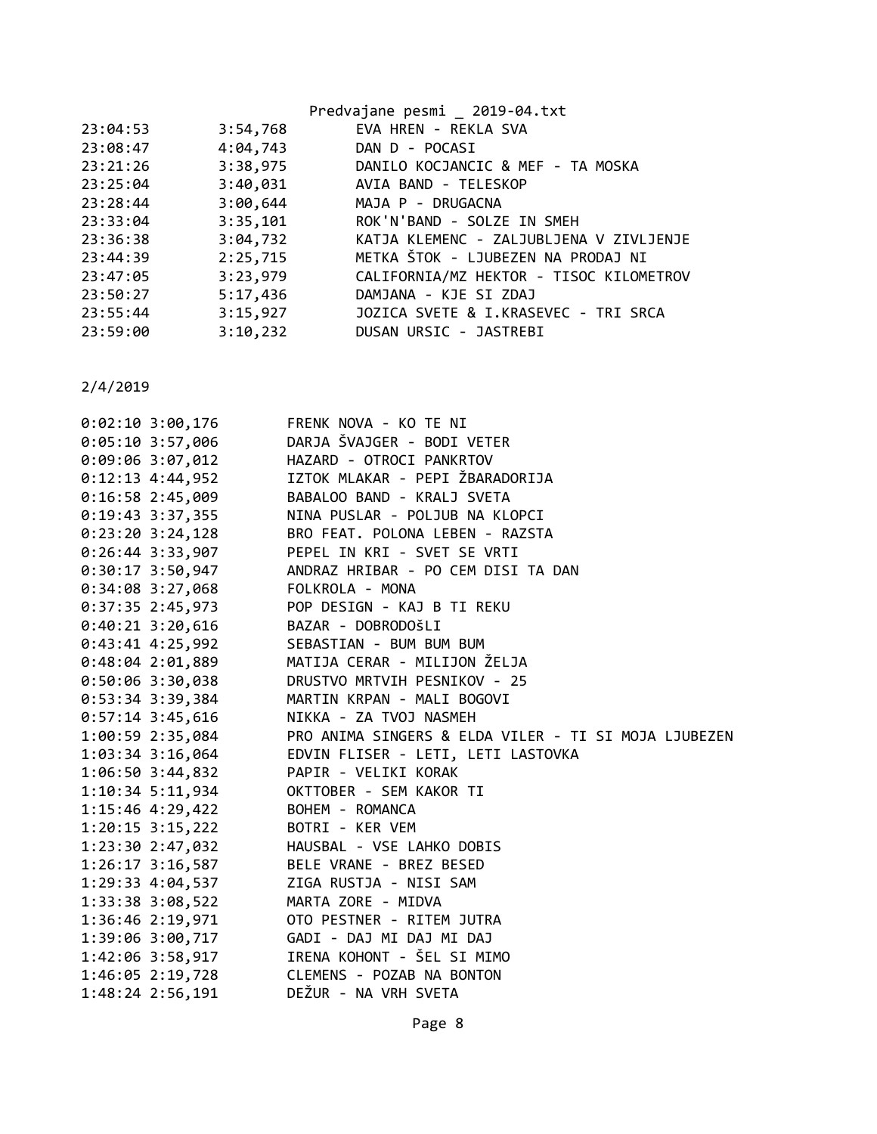|          |          | Predvajane pesmi _ 2019-04.txt          |
|----------|----------|-----------------------------------------|
| 23:04:53 | 3:54,768 | EVA HREN - REKLA SVA                    |
| 23:08:47 | 4:04,743 | DAN D - POCASI                          |
| 23:21:26 | 3:38,975 | DANILO KOCJANCIC & MEF - TA MOSKA       |
| 23:25:04 | 3:40,031 | AVIA BAND - TELESKOP                    |
| 23:28:44 | 3:00,644 | MAJA P - DRUGACNA                       |
| 23:33:04 | 3:35,101 | ROK'N'BAND - SOLZE IN SMEH              |
| 23:36:38 | 3:04,732 | KATJA KLEMENC - ZALJUBLJENA V ZIVLJENJE |
| 23:44:39 | 2:25,715 | METKA ŠTOK - LJUBEZEN NA PRODAJ NI      |
| 23:47:05 | 3:23,979 | CALIFORNIA/MZ HEKTOR - TISOC KILOMETROV |
| 23:50:27 | 5:17,436 | DAMJANA - KJE SI ZDAJ                   |
| 23:55:44 | 3:15,927 | JOZICA SVETE & I.KRASEVEC - TRI SRCA    |
| 23:59:00 | 3:10,232 | DUSAN URSIC - JASTREBI                  |
|          |          |                                         |

| $0:02:10$ 3:00,176   | FRENK NOVA - KO TE NI                                |
|----------------------|------------------------------------------------------|
| $0:05:10$ 3:57,006   | DARJA ŠVAJGER - BODI VETER                           |
| $0:09:06$ 3:07,012   | HAZARD - OTROCI PANKRTOV                             |
| $0:12:13$ 4:44,952   | IZTOK MLAKAR - PEPI ŽBARADORIJA                      |
| $0:16:58$ 2:45,009   | BABALOO BAND - KRALJ SVETA                           |
| $0:19:43$ 3:37,355   | NINA PUSLAR - POLJUB NA KLOPCI                       |
| $0:23:20$ 3:24,128   | BRO FEAT. POLONA LEBEN - RAZSTA                      |
| $0:26:44$ 3:33,907   | PEPEL IN KRI - SVET SE VRTI                          |
| $0:30:17$ 3:50,947   | ANDRAZ HRIBAR - PO CEM DISI TA DAN                   |
| $0:34:08$ 3:27,068   | FOLKROLA - MONA                                      |
| $0:37:35$ 2:45,973   | POP DESIGN - KAJ B TI REKU                           |
| $0:40:21$ 3:20,616   | BAZAR - DOBRODOŠLI                                   |
| $0:43:41$ 4:25,992   | SEBASTIAN - BUM BUM BUM                              |
| $0:48:04$ 2:01,889   | MATIJA CERAR - MILIJON ŽELJA                         |
| $0:50:06$ 3:30,038   | DRUSTVO MRTVIH PESNIKOV - 25                         |
| $0:53:34$ 3:39,384   | MARTIN KRPAN - MALI BOGOVI                           |
| $0:57:14$ 3:45,616   | NIKKA - ZA TVOJ NASMEH                               |
| $1:00:59$ $2:35,084$ | PRO ANIMA SINGERS & ELDA VILER - TI SI MOJA LJUBEZEN |
|                      |                                                      |
| 1:03:34 3:16,064     | EDVIN FLISER - LETI, LETI LASTOVKA                   |
| $1:06:50$ 3:44,832   | PAPIR - VELIKI KORAK                                 |
| $1:10:34$ 5:11,934   | OKTTOBER - SEM KAKOR TI                              |
| $1:15:46$ 4:29,422   | BOHEM - ROMANCA                                      |
| $1:20:15$ 3:15,222   | BOTRI - KER VEM                                      |
| 1:23:30 2:47,032     | HAUSBAL - VSE LAHKO DOBIS                            |
| $1:26:17$ $3:16,587$ | BELE VRANE - BREZ BESED                              |
| 1:29:33 4:04,537     | ZIGA RUSTJA - NISI SAM                               |
| 1:33:38 3:08,522     | MARTA ZORE - MIDVA                                   |
| 1:36:46 2:19,971     | OTO PESTNER - RITEM JUTRA                            |
| 1:39:06 3:00,717     | GADI - DAJ MI DAJ MI DAJ                             |
| 1:42:06 3:58,917     | IRENA KOHONT - ŠEL SI MIMO                           |
| 1:46:05 2:19,728     | CLEMENS - POZAB NA BONTON<br>DEŽUR - NA VRH SVETA    |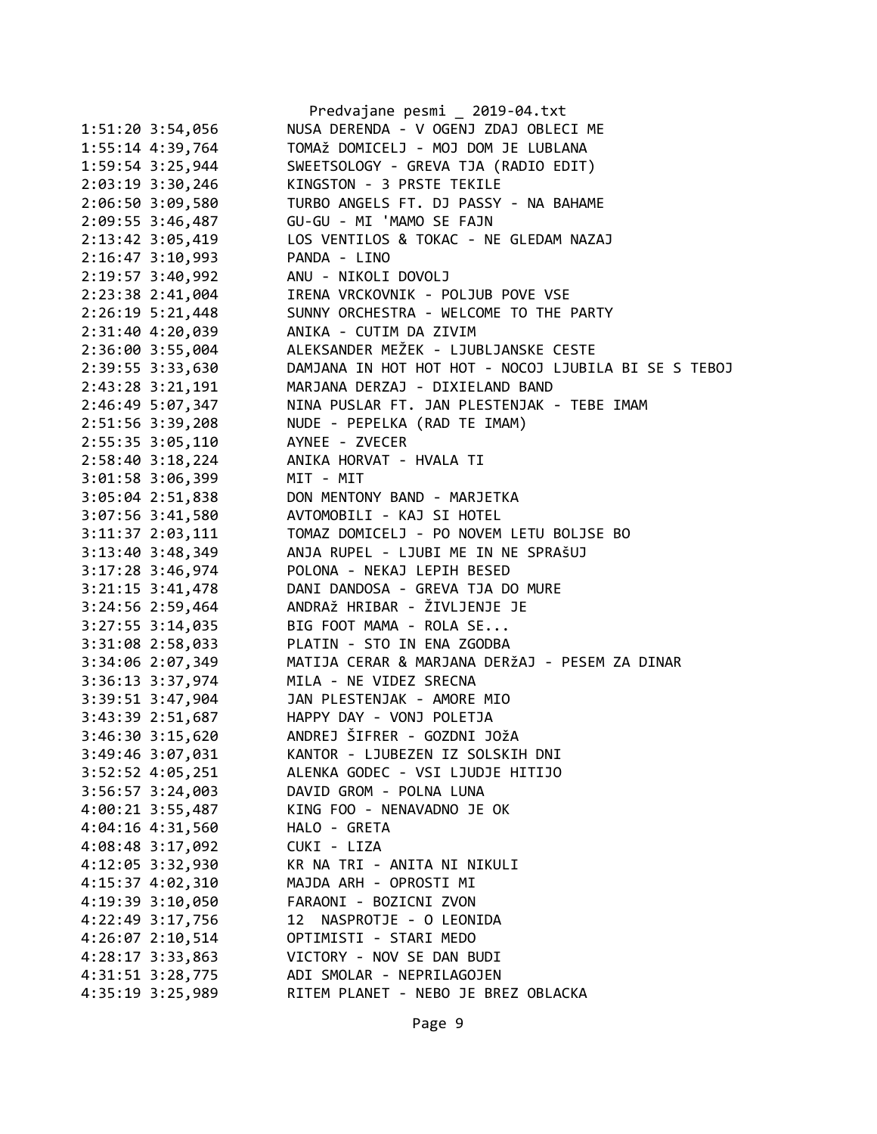|                      | Predvajane pesmi _ 2019-04.txt                       |
|----------------------|------------------------------------------------------|
| 1:51:20 3:54,056     | NUSA DERENDA - V OGENJ ZDAJ OBLECI ME                |
| 1:55:14 4:39,764     | TOMAŽ DOMICELJ - MOJ DOM JE LUBLANA                  |
| 1:59:54 3:25,944     | SWEETSOLOGY - GREVA TJA (RADIO EDIT)                 |
| 2:03:19 3:30,246     | KINGSTON - 3 PRSTE TEKILE                            |
| 2:06:50 3:09,580     | TURBO ANGELS FT. DJ PASSY - NA BAHAME                |
| 2:09:55 3:46,487     | GU-GU - MI 'MAMO SE FAJN                             |
| 2:13:42 3:05,419     | LOS VENTILOS & TOKAC - NE GLEDAM NAZAJ               |
| $2:16:47$ 3:10,993   | PANDA - LINO                                         |
| 2:19:57 3:40,992     | ANU - NIKOLI DOVOLJ                                  |
| 2:23:38 2:41,004     | IRENA VRCKOVNIK - POLJUB POVE VSE                    |
| $2:26:19$ 5:21,448   | SUNNY ORCHESTRA - WELCOME TO THE PARTY               |
| 2:31:40 4:20,039     | ANIKA - CUTIM DA ZIVIM                               |
| 2:36:00 3:55,004     | ALEKSANDER MEŽEK - LJUBLJANSKE CESTE                 |
| 2:39:55 3:33,630     | DAMJANA IN HOT HOT HOT - NOCOJ LJUBILA BI SE S TEBOJ |
| 2:43:28 3:21,191     | MARJANA DERZAJ - DIXIELAND BAND                      |
| 2:46:49 5:07,347     | NINA PUSLAR FT. JAN PLESTENJAK - TEBE IMAM           |
| 2:51:56 3:39,208     | NUDE - PEPELKA (RAD TE IMAM)                         |
| 2:55:35 3:05,110     | AYNEE - ZVECER                                       |
| 2:58:40 3:18,224     | ANIKA HORVAT - HVALA TI                              |
| 3:01:58 3:06,399     | MIT - MIT                                            |
| $3:05:04$ 2:51,838   | DON MENTONY BAND - MARJETKA                          |
| 3:07:56 3:41,580     | AVTOMOBILI - KAJ SI HOTEL                            |
| 3:11:37 2:03,111     | TOMAZ DOMICELJ - PO NOVEM LETU BOLJSE BO             |
| 3:13:40 3:48,349     | ANJA RUPEL - LJUBI ME IN NE SPRAŠUJ                  |
| 3:17:28 3:46,974     | POLONA - NEKAJ LEPIH BESED                           |
| $3:21:15$ $3:41,478$ | DANI DANDOSA - GREVA TJA DO MURE                     |
| 3:24:56 2:59,464     | ANDRAŽ HRIBAR - ŽIVLJENJE JE                         |
| 3:27:55 3:14,035     | BIG FOOT MAMA - ROLA SE                              |
| 3:31:08 2:58,033     | PLATIN - STO IN ENA ZGODBA                           |
| 3:34:06 2:07,349     | MATIJA CERAR & MARJANA DERŽAJ - PESEM ZA DINAR       |
|                      | MILA - NE VIDEZ SRECNA                               |
| 3:36:13 3:37,974     | JAN PLESTENJAK - AMORE MIO                           |
| $3:39:51$ $3:47,904$ | HAPPY DAY - VONJ POLETJA                             |
| 3:43:39 2:51,687     | ANDREJ ŠIFRER - GOZDNI JOŽA                          |
| 3:46:30 3:15,620     | KANTOR - LJUBEZEN IZ SOLSKIH DNI                     |
| 3:49:46 3:07,031     | ALENKA GODEC - VSI LJUDJE HITIJO                     |
| 3:52:52 4:05,251     | DAVID GROM - POLNA LUNA                              |
| $3:56:57$ $3:24,003$ |                                                      |
| 4:00:21 3:55,487     | KING FOO - NENAVADNO JE OK                           |
| 4:04:16 4:31,560     | HALO - GRETA                                         |
| 4:08:48 3:17,092     | CUKI - LIZA                                          |
| 4:12:05 3:32,930     | KR NA TRI - ANITA NI NIKULI                          |
| 4:15:37 4:02,310     | MAJDA ARH - OPROSTI MI                               |
| 4:19:39 3:10,050     | FARAONI - BOZICNI ZVON                               |
| 4:22:49 3:17,756     | NASPROTJE - O LEONIDA<br>12                          |
| 4:26:07 2:10,514     | OPTIMISTI - STARI MEDO                               |
| 4:28:17 3:33,863     | VICTORY - NOV SE DAN BUDI                            |
| 4:31:51 3:28,775     | ADI SMOLAR - NEPRILAGOJEN                            |
| 4:35:19 3:25,989     | RITEM PLANET - NEBO JE BREZ OBLACKA                  |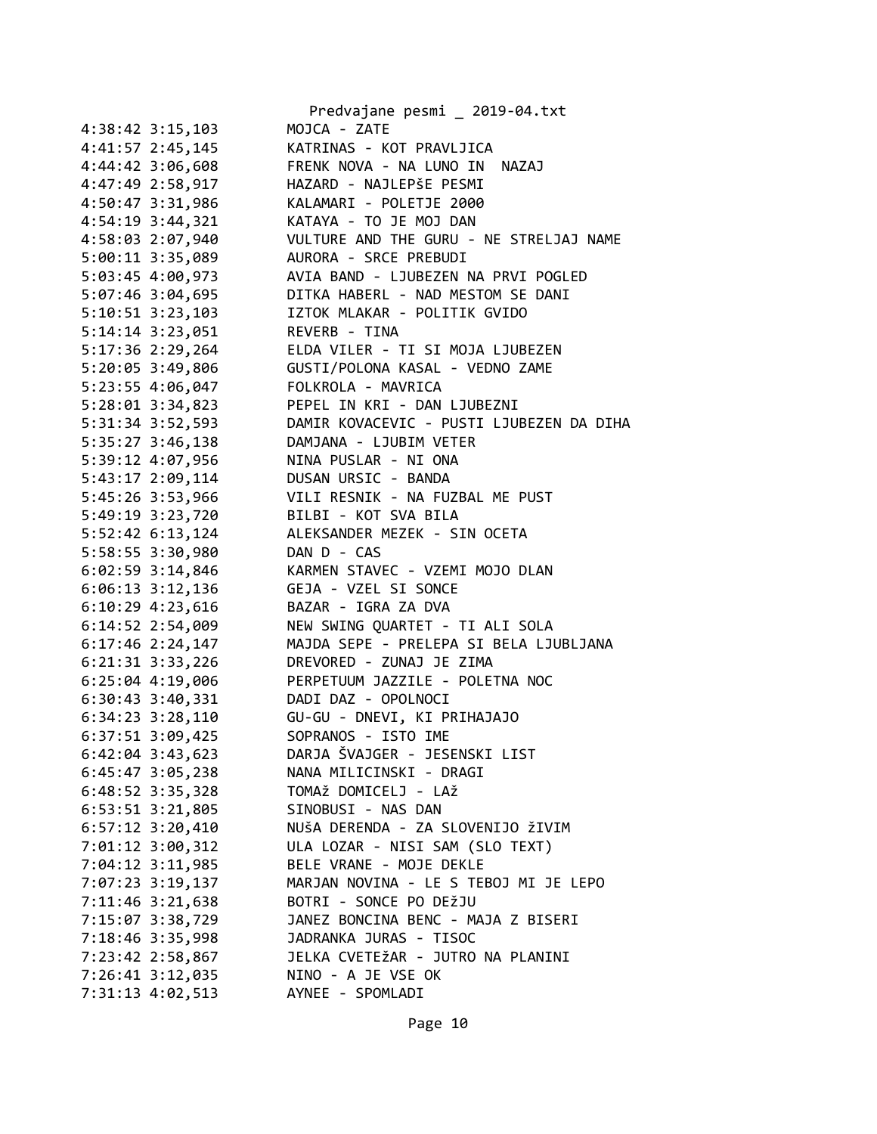|                                      | Predvajane pesmi _ 2019-04.txt                          |
|--------------------------------------|---------------------------------------------------------|
| 4:38:42 3:15,103                     | MOJCA - ZATE                                            |
| 4:41:57 2:45,145                     | KATRINAS - KOT PRAVLJICA                                |
| 4:44:42 3:06,608                     | FRENK NOVA - NA LUNO IN NAZAJ                           |
| 4:47:49 2:58,917                     | HAZARD - NAJLEPŠE PESMI                                 |
| 4:50:47 3:31,986                     | KALAMARI - POLETJE 2000                                 |
| 4:54:19 3:44,321                     | KATAYA - TO JE MOJ DAN                                  |
| 4:58:03 2:07,940                     | VULTURE AND THE GURU - NE STRELJAJ NAME                 |
| 5:00:11 3:35,089                     | AURORA - SRCE PREBUDI                                   |
| 5:03:45 4:00,973                     | AVIA BAND - LJUBEZEN NA PRVI POGLED                     |
| 5:07:46 3:04,695                     | DITKA HABERL - NAD MESTOM SE DANI                       |
| $5:10:51$ $3:23,103$                 | IZTOK MLAKAR - POLITIK GVIDO                            |
| 5:14:14 3:23,051 REVERB - TINA       |                                                         |
|                                      | 5:17:36 2:29,264 ELDA VILER - TI SI MOJA LJUBEZEN       |
|                                      | 5:20:05 3:49,806    GUSTI/POLONA KASAL - VEDNO ZAME     |
| 5:23:55 4:06,047                     | FOLKROLA - MAVRICA                                      |
| 5:28:01 3:34,823                     | PEPEL IN KRI - DAN LJUBEZNI                             |
| 5:31:34 3:52,593                     | DAMIR KOVACEVIC - PUSTI LJUBEZEN DA DIHA                |
| 5:35:27 3:46,138                     | DAMJANA - LJUBIM VETER                                  |
| 5:39:12 4:07,956                     | NINA PUSLAR - NI ONA                                    |
| 5:43:17 2:09,114                     | DUSAN URSIC - BANDA                                     |
| 5:45:26 3:53,966                     | VILI RESNIK - NA FUZBAL ME PUST                         |
| 5:49:19 3:23,720                     | BILBI - KOT SVA BILA                                    |
| 5:52:42 6:13,124                     | ALEKSANDER MEZEK - SIN OCETA                            |
| 5:58:55 3:30,980                     | DAN D - CAS                                             |
| 6:02:59 3:14,846                     | KARMEN STAVEC - VZEMI MOJO DLAN                         |
| 6:06:13 3:12,136                     | GEJA - VZEL SI SONCE                                    |
| $6:10:29$ 4:23,616                   | BAZAR - IGRA ZA DVA                                     |
| 6:14:52 2:54,009                     | NEW SWING QUARTET - TI ALI SOLA                         |
| $6:17:46$ 2:24,147                   | MAJDA SEPE - PRELEPA SI BELA LJUBLJANA                  |
| $6:21:31$ $3:33,226$                 | DREVORED - ZUNAJ JE ZIMA                                |
|                                      | 6:25:04 4:19,006 PERPETUUM JAZZILE - POLETNA NOC        |
| 6:30:43 3:40,331 DADI DAZ - OPOLNOCI |                                                         |
| $6:34:23$ $3:28,110$                 | GU-GU - DNEVI, KI PRIHAJAJO                             |
| 6:37:51 3:09,425                     | SOPRANOS - ISTO IME                                     |
| $6:42:04$ 3:43,623                   | DARJA ŠVAJGER - JESENSKI LIST                           |
| 6:45:47 3:05,238                     | NANA MILICINSKI - DRAGI                                 |
| $6:48:52$ 3:35,328                   | TOMAŽ DOMICELJ - LAŽ                                    |
| $6:53:51$ $3:21,805$                 | SINOBUSI - NAS DAN                                      |
| 6:57:12 3:20,410                     | NUŠA DERENDA - ZA SLOVENIJO ŽIVIM                       |
| 7:01:12 3:00,312                     | ULA LOZAR - NISI SAM (SLO TEXT)                         |
| 7:04:12 3:11,985                     | BELE VRANE - MOJE DEKLE                                 |
| 7:07:23 3:19,137                     | MARJAN NOVINA - LE S TEBOJ MI JE LEPO                   |
| 7:11:46 3:21,638                     | BOTRI - SONCE PO DEŽJU                                  |
| 7:15:07 3:38,729                     | JANEZ BONCINA BENC - MAJA Z BISERI                      |
| 7:18:46 3:35,998                     | JADRANKA JURAS - TISOC                                  |
| 7:23:42 2:58,867<br>7:26:41 3:12,035 | JELKA CVETEŽAR - JUTRO NA PLANINI<br>NINO - A JE VSE OK |
| 7:31:13 4:02,513                     | AYNEE - SPOMLADI                                        |
|                                      |                                                         |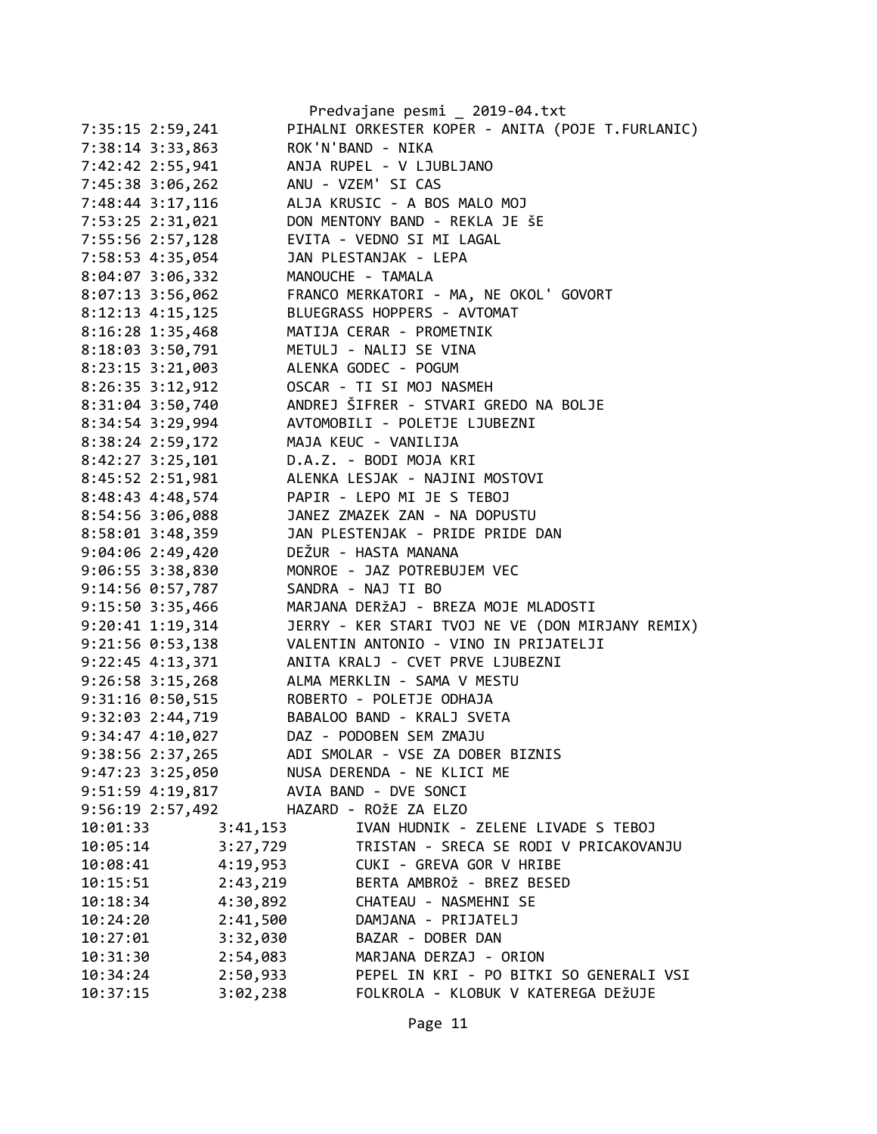|                      |                      | Predvajane pesmi _ 2019-04.txt                                    |
|----------------------|----------------------|-------------------------------------------------------------------|
| 7:35:15 2:59,241     |                      | PIHALNI ORKESTER KOPER - ANITA (POJE T.FURLANIC)                  |
| 7:38:14 3:33,863     |                      | ROK'N'BAND - NIKA                                                 |
| 7:42:42 2:55,941     |                      | ANJA RUPEL - V LJUBLJANO                                          |
| 7:45:38 3:06,262     | ANU - VZEM' SI CAS   |                                                                   |
| 7:48:44 3:17,116     |                      | ALJA KRUSIC - A BOS MALO MOJ                                      |
| 7:53:25 2:31,021     |                      | DON MENTONY BAND - REKLA JE ŠE                                    |
| 7:55:56 2:57,128     |                      | EVITA - VEDNO SI MI LAGAL                                         |
| 7:58:53 4:35,054     |                      | JAN PLESTANJAK - LEPA                                             |
| $8:04:07$ 3:06,332   | MANOUCHE - TAMALA    |                                                                   |
| 8:07:13 3:56,062     |                      | FRANCO MERKATORI - MA, NE OKOL' GOVORT                            |
|                      |                      | 8:12:13 4:15,125 BLUEGRASS HOPPERS - AVTOMAT                      |
| $8:16:28$ 1:35,468   |                      | MATIJA CERAR - PROMETNIK                                          |
| 8:18:03 3:50,791     |                      | METULJ - NALIJ SE VINA                                            |
| $8:23:15$ 3:21,003   |                      | ALENKA GODEC - POGUM                                              |
| 8:26:35 3:12,912     |                      |                                                                   |
| 8:31:04 3:50,740     |                      | OSCAR - TI SI MOJ NASMEH<br>ANDREJ ŠIFRER - STVARI GREDO NA BOLJE |
| 8:34:54 3:29,994     |                      | AVTOMOBILI - POLETJE LJUBEZNI                                     |
| 8:38:24 2:59,172     | MAJA KEUC - VANILIJA |                                                                   |
| $8:42:27$ 3:25,101   |                      | D.A.Z. - BODI MOJA KRI                                            |
| 8:45:52 2:51,981     |                      | ALENKA LESJAK - NAJINI MOSTOVI                                    |
| 8:48:43 4:48,574     |                      | PAPIR - LEPO MI JE S TEBOJ                                        |
| 8:54:56 3:06,088     |                      | JANEZ ZMAZEK ZAN - NA DOPUSTU<br>JAN PLESTENJAK - PRIDE PRIDE DAN |
| 8:58:01 3:48,359     |                      |                                                                   |
| $9:04:06$ 2:49,420   | DEŽUR - HASTA MANANA |                                                                   |
| 9:06:55 3:38,830     |                      | MONROE - JAZ POTREBUJEM VEC                                       |
| 9:14:56 0:57,787     | SANDRA - NAJ TI BO   |                                                                   |
| 9:15:50 3:35,466     |                      | MARJANA DERŽAJ - BREZA MOJE MLADOSTI                              |
| 9:20:41 1:19,314     |                      | JERRY - KER STARI TVOJ NE VE (DON MIRJANY REMIX)                  |
| $9:21:56$ $0:53,138$ |                      | VALENTIN ANTONIO - VINO IN PRIJATELJI                             |
| $9:22:45$ 4:13,371   |                      | ANITA KRALJ - CVET PRVE LJUBEZNI                                  |
| $9:26:58$ 3:15,268   |                      | ALMA MERKLIN - SAMA V MESTU                                       |
| $9:31:16$ $0:50,515$ |                      | ROBERTO - POLETJE ODHAJA                                          |
| 9:32:03 2:44,719     |                      | BABALOO BAND - KRALJ SVETA                                        |
| 9:34:47 4:10,027     |                      | DAZ - PODOBEN SEM ZMAJU                                           |
| 9:38:56 2:37,265     |                      | ADI SMOLAR - VSE ZA DOBER BIZNIS                                  |
| $9:47:23$ $3:25,050$ |                      | NUSA DERENDA - NE KLICI ME                                        |
| $9:51:59$ 4:19,817   |                      | AVIA BAND - DVE SONCI                                             |
| 9:56:19 2:57,492     |                      | HAZARD - ROŽE ZA ELZO                                             |
| 10:01:33             | 3:41,153             | IVAN HUDNIK - ZELENE LIVADE S TEBOJ                               |
| 10:05:14             | 3:27,729             | TRISTAN - SRECA SE RODI V PRICAKOVANJU                            |
| 10:08:41             | 4:19,953             | CUKI - GREVA GOR V HRIBE                                          |
| 10:15:51             | 2:43,219             | BERTA AMBROŽ - BREZ BESED                                         |
| 10:18:34             | 4:30,892             | CHATEAU - NASMEHNI SE                                             |
| 10:24:20             | 2:41,500             | DAMJANA - PRIJATELJ                                               |
| 10:27:01             | 3:32,030             | BAZAR - DOBER DAN                                                 |
| 10:31:30             | 2:54,083             | MARJANA DERZAJ - ORION                                            |
| 10:34:24             | 2:50,933             | PEPEL IN KRI - PO BITKI SO GENERALI VSI                           |
| 10:37:15             | 3:02,238             | FOLKROLA - KLOBUK V KATEREGA DEŽUJE                               |
|                      |                      |                                                                   |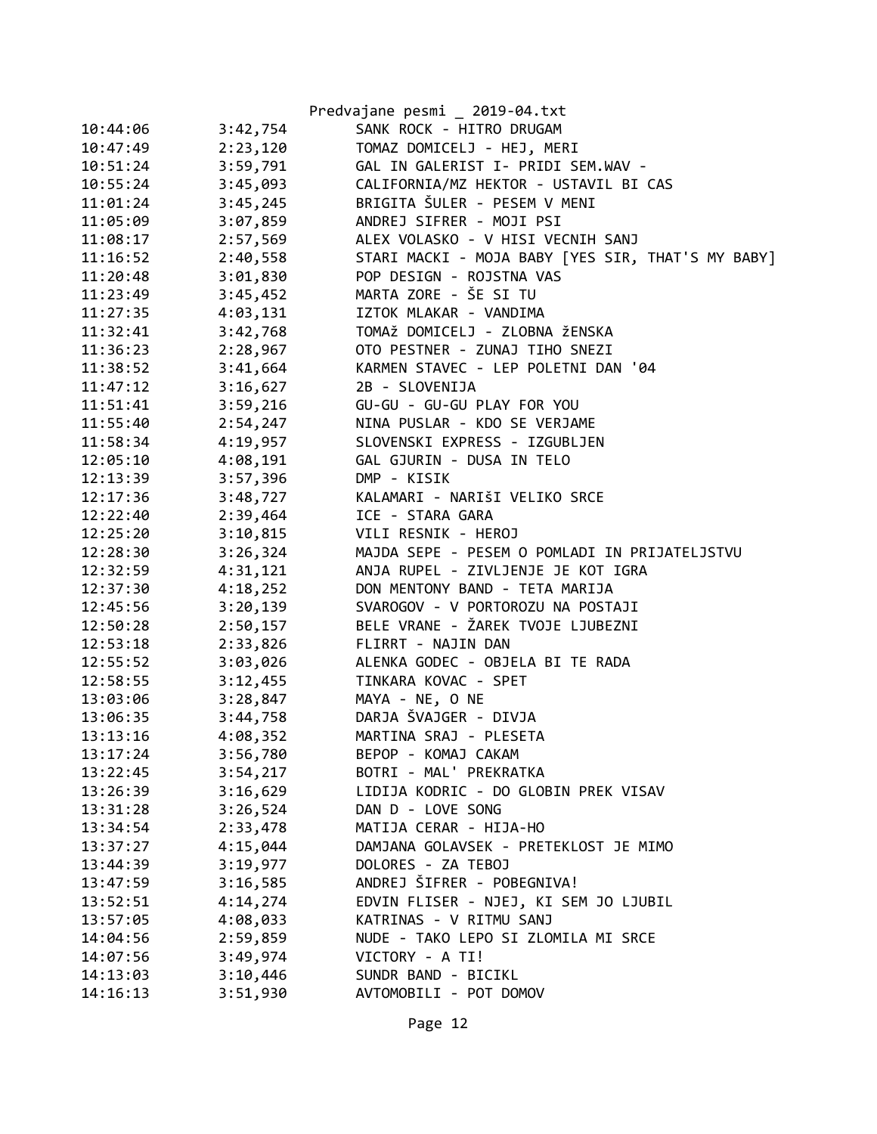|          |          | Predvajane pesmi _ 2019-04.txt                    |
|----------|----------|---------------------------------------------------|
| 10:44:06 | 3:42,754 | SANK ROCK - HITRO DRUGAM                          |
| 10:47:49 | 2:23,120 | TOMAZ DOMICELJ - HEJ, MERI                        |
| 10:51:24 | 3:59,791 | GAL IN GALERIST I- PRIDI SEM.WAV -                |
| 10:55:24 | 3:45,093 | CALIFORNIA/MZ HEKTOR - USTAVIL BI CAS             |
| 11:01:24 | 3:45,245 | BRIGITA ŠULER - PESEM V MENI                      |
| 11:05:09 | 3:07,859 | ANDREJ SIFRER - MOJI PSI                          |
| 11:08:17 | 2:57,569 | ALEX VOLASKO - V HISI VECNIH SANJ                 |
| 11:16:52 | 2:40,558 | STARI MACKI - MOJA BABY [YES SIR, THAT'S MY BABY] |
| 11:20:48 | 3:01,830 | POP DESIGN - ROJSTNA VAS                          |
| 11:23:49 | 3:45,452 | MARTA ZORE - ŠE SI TU                             |
| 11:27:35 | 4:03,131 | IZTOK MLAKAR - VANDIMA                            |
| 11:32:41 | 3:42,768 | TOMAŽ DOMICELJ - ZLOBNA ŽENSKA                    |
| 11:36:23 | 2:28,967 | OTO PESTNER - ZUNAJ TIHO SNEZI                    |
| 11:38:52 | 3:41,664 | KARMEN STAVEC - LEP POLETNI DAN '04               |
| 11:47:12 | 3:16,627 | 2B - SLOVENIJA                                    |
| 11:51:41 | 3:59,216 | GU-GU - GU-GU PLAY FOR YOU                        |
| 11:55:40 | 2:54,247 | NINA PUSLAR - KDO SE VERJAME                      |
| 11:58:34 | 4:19,957 | SLOVENSKI EXPRESS - IZGUBLJEN                     |
| 12:05:10 | 4:08,191 | GAL GJURIN - DUSA IN TELO                         |
| 12:13:39 | 3:57,396 | DMP - KISIK                                       |
| 12:17:36 | 3:48,727 | KALAMARI - NARIŠI VELIKO SRCE                     |
| 12:22:40 | 2:39,464 | ICE - STARA GARA                                  |
| 12:25:20 | 3:10,815 | VILI RESNIK - HEROJ                               |
| 12:28:30 | 3:26,324 | MAJDA SEPE - PESEM O POMLADI IN PRIJATELJSTVU     |
| 12:32:59 | 4:31,121 | ANJA RUPEL - ZIVLJENJE JE KOT IGRA                |
| 12:37:30 | 4:18,252 | DON MENTONY BAND - TETA MARIJA                    |
| 12:45:56 | 3:20,139 | SVAROGOV - V PORTOROZU NA POSTAJI                 |
| 12:50:28 | 2:50,157 | BELE VRANE - ŽAREK TVOJE LJUBEZNI                 |
| 12:53:18 | 2:33,826 | FLIRRT - NAJIN DAN                                |
| 12:55:52 | 3:03,026 | ALENKA GODEC - OBJELA BI TE RADA                  |
| 12:58:55 | 3:12,455 | TINKARA KOVAC - SPET                              |
| 13:03:06 | 3:28,847 | MAYA - NE, O NE                                   |
| 13:06:35 | 3:44,758 | DARJA ŠVAJGER - DIVJA                             |
| 13:13:16 | 4:08,352 | MARTINA SRAJ - PLESETA                            |
| 13:17:24 | 3:56,780 | BEPOP - KOMAJ CAKAM                               |
| 13:22:45 | 3:54,217 | BOTRI - MAL' PREKRATKA                            |
| 13:26:39 | 3:16,629 | LIDIJA KODRIC - DO GLOBIN PREK VISAV              |
| 13:31:28 | 3:26,524 | DAN D - LOVE SONG                                 |
| 13:34:54 | 2:33,478 | MATIJA CERAR - HIJA-HO                            |
| 13:37:27 | 4:15,044 | DAMJANA GOLAVSEK - PRETEKLOST JE MIMO             |
| 13:44:39 | 3:19,977 | DOLORES - ZA TEBOJ                                |
| 13:47:59 | 3:16,585 | ANDREJ ŠIFRER - POBEGNIVA!                        |
| 13:52:51 | 4:14,274 | EDVIN FLISER - NJEJ, KI SEM JO LJUBIL             |
| 13:57:05 | 4:08,033 | KATRINAS - V RITMU SANJ                           |
| 14:04:56 | 2:59,859 | NUDE - TAKO LEPO SI ZLOMILA MI SRCE               |
| 14:07:56 | 3:49,974 | VICTORY - A TI!                                   |
| 14:13:03 | 3:10,446 | SUNDR BAND - BICIKL                               |
| 14:16:13 | 3:51,930 | AVTOMOBILI - POT DOMOV                            |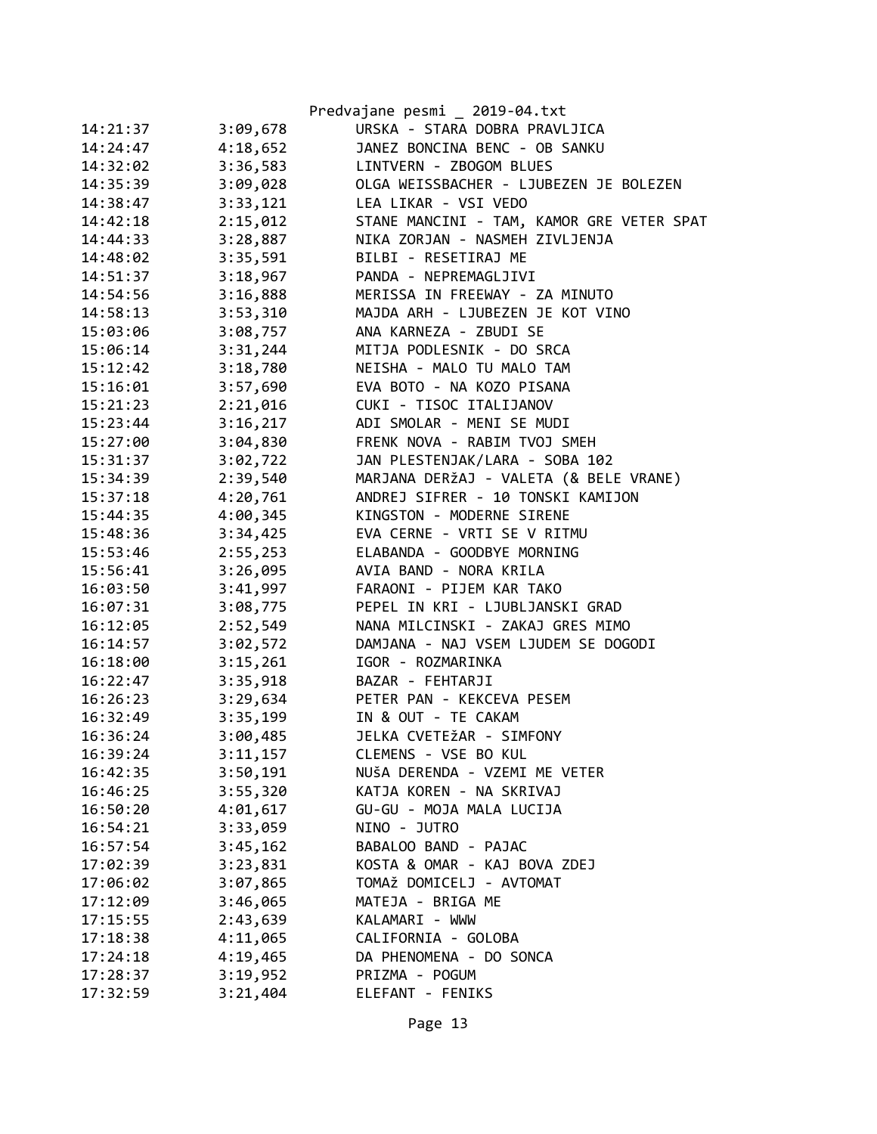|          |          | Predvajane pesmi _ 2019-04.txt            |
|----------|----------|-------------------------------------------|
| 14:21:37 | 3:09,678 | URSKA - STARA DOBRA PRAVLJICA             |
| 14:24:47 | 4:18,652 | JANEZ BONCINA BENC - OB SANKU             |
| 14:32:02 | 3:36,583 | LINTVERN - ZBOGOM BLUES                   |
| 14:35:39 | 3:09,028 | OLGA WEISSBACHER - LJUBEZEN JE BOLEZEN    |
| 14:38:47 | 3:33,121 | LEA LIKAR - VSI VEDO                      |
| 14:42:18 | 2:15,012 | STANE MANCINI - TAM, KAMOR GRE VETER SPAT |
| 14:44:33 | 3:28,887 | NIKA ZORJAN - NASMEH ZIVLJENJA            |
| 14:48:02 | 3:35,591 | BILBI - RESETIRAJ ME                      |
| 14:51:37 | 3:18,967 | PANDA - NEPREMAGLJIVI                     |
| 14:54:56 | 3:16,888 | MERISSA IN FREEWAY - ZA MINUTO            |
| 14:58:13 | 3:53,310 | MAJDA ARH - LJUBEZEN JE KOT VINO          |
| 15:03:06 | 3:08,757 | ANA KARNEZA - ZBUDI SE                    |
| 15:06:14 | 3:31,244 | MITJA PODLESNIK - DO SRCA                 |
| 15:12:42 | 3:18,780 | NEISHA - MALO TU MALO TAM                 |
| 15:16:01 | 3:57,690 | EVA BOTO - NA KOZO PISANA                 |
| 15:21:23 | 2:21,016 | CUKI - TISOC ITALIJANOV                   |
| 15:23:44 | 3:16,217 | ADI SMOLAR - MENI SE MUDI                 |
| 15:27:00 | 3:04,830 | FRENK NOVA - RABIM TVOJ SMEH              |
| 15:31:37 | 3:02,722 | JAN PLESTENJAK/LARA - SOBA 102            |
| 15:34:39 | 2:39,540 | MARJANA DERŽAJ - VALETA (& BELE VRANE)    |
| 15:37:18 | 4:20,761 | ANDREJ SIFRER - 10 TONSKI KAMIJON         |
| 15:44:35 | 4:00,345 | KINGSTON - MODERNE SIRENE                 |
| 15:48:36 | 3:34,425 | EVA CERNE - VRTI SE V RITMU               |
| 15:53:46 | 2:55,253 | ELABANDA - GOODBYE MORNING                |
| 15:56:41 |          | 3:26,095 AVIA BAND - NORA KRILA           |
| 16:03:50 | 3:41,997 | FARAONI - PIJEM KAR TAKO                  |
| 16:07:31 | 3:08,775 | PEPEL IN KRI - LJUBLJANSKI GRAD           |
| 16:12:05 | 2:52,549 | NANA MILCINSKI - ZAKAJ GRES MIMO          |
| 16:14:57 | 3:02,572 | DAMJANA - NAJ VSEM LJUDEM SE DOGODI       |
| 16:18:00 | 3:15,261 | IGOR - ROZMARINKA                         |
| 16:22:47 | 3:35,918 | BAZAR - FEHTARJI                          |
| 16:26:23 |          | 3:29,634 PETER PAN - KEKCEVA PESEM        |
| 16:32:49 |          | 3:35,199 IN & OUT - TE CAKAM              |
| 16:36:24 | 3:00,485 | JELKA CVETEŽAR - SIMFONY                  |
| 16:39:24 | 3:11,157 | CLEMENS - VSE BO KUL                      |
| 16:42:35 | 3:50,191 | NUŠA DERENDA - VZEMI ME VETER             |
| 16:46:25 | 3:55,320 | KATJA KOREN - NA SKRIVAJ                  |
| 16:50:20 | 4:01,617 | GU-GU - MOJA MALA LUCIJA                  |
| 16:54:21 | 3:33,059 | NINO - JUTRO                              |
| 16:57:54 | 3:45,162 | BABALOO BAND - PAJAC                      |
| 17:02:39 | 3:23,831 | KOSTA & OMAR - KAJ BOVA ZDEJ              |
| 17:06:02 | 3:07,865 | TOMAŽ DOMICELJ - AVTOMAT                  |
| 17:12:09 | 3:46,065 | MATEJA - BRIGA ME                         |
| 17:15:55 | 2:43,639 | KALAMARI - WWW                            |
| 17:18:38 | 4:11,065 | CALIFORNIA - GOLOBA                       |
| 17:24:18 | 4:19,465 | DA PHENOMENA - DO SONCA                   |
| 17:28:37 | 3:19,952 | PRIZMA - POGUM                            |
| 17:32:59 | 3:21,404 | ELEFANT - FENIKS                          |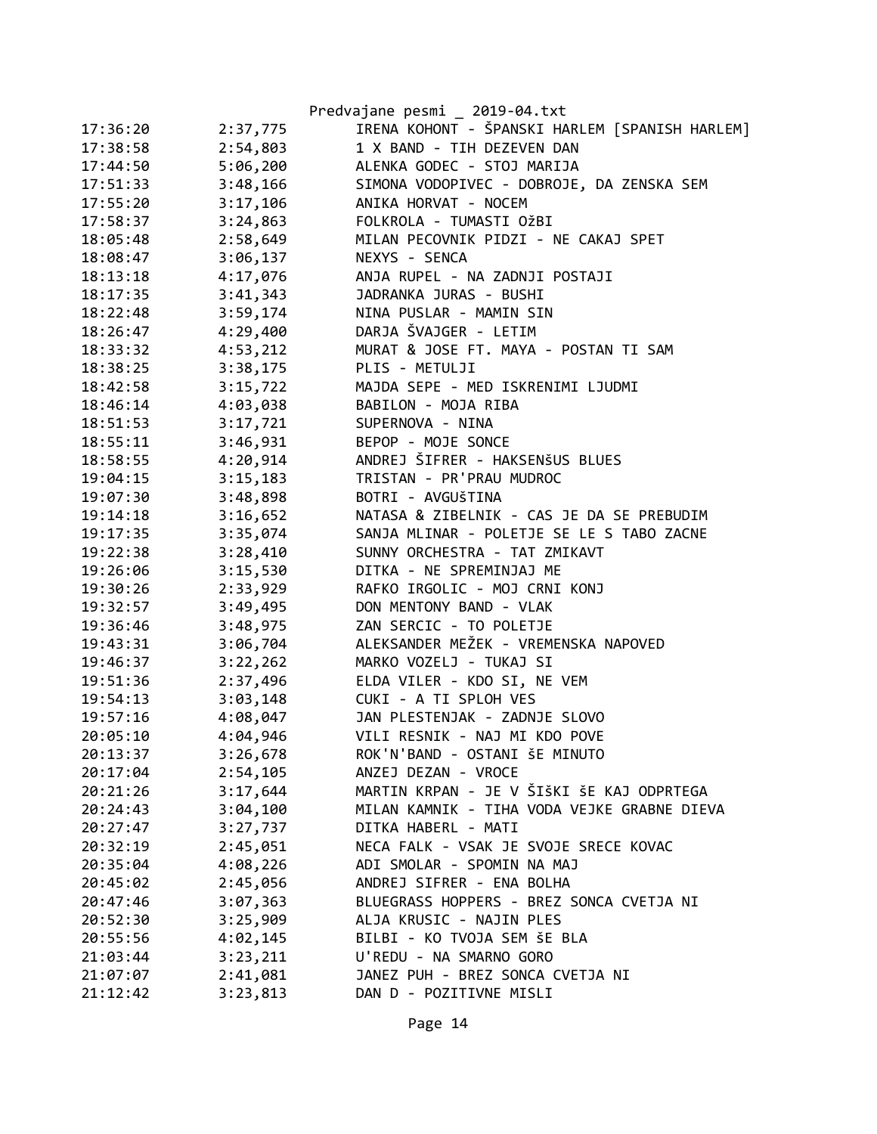|          |          | Predvajane pesmi _ 2019-04.txt                 |
|----------|----------|------------------------------------------------|
| 17:36:20 | 2:37,775 | IRENA KOHONT - ŠPANSKI HARLEM [SPANISH HARLEM] |
| 17:38:58 | 2:54,803 | 1 X BAND - TIH DEZEVEN DAN                     |
| 17:44:50 | 5:06,200 | ALENKA GODEC - STOJ MARIJA                     |
| 17:51:33 | 3:48,166 | SIMONA VODOPIVEC - DOBROJE, DA ZENSKA SEM      |
| 17:55:20 | 3:17,106 | ANIKA HORVAT - NOCEM                           |
| 17:58:37 | 3:24,863 | FOLKROLA - TUMASTI OŽBI                        |
| 18:05:48 | 2:58,649 | MILAN PECOVNIK PIDZI - NE CAKAJ SPET           |
| 18:08:47 | 3:06,137 | NEXYS - SENCA                                  |
| 18:13:18 | 4:17,076 | ANJA RUPEL - NA ZADNJI POSTAJI                 |
| 18:17:35 | 3:41,343 | JADRANKA JURAS - BUSHI                         |
| 18:22:48 | 3:59,174 | NINA PUSLAR - MAMIN SIN                        |
| 18:26:47 | 4:29,400 | DARJA ŠVAJGER - LETIM                          |
| 18:33:32 | 4:53,212 | MURAT & JOSE FT. MAYA - POSTAN TI SAM          |
| 18:38:25 | 3:38,175 | PLIS - METULJI                                 |
| 18:42:58 | 3:15,722 | MAJDA SEPE - MED ISKRENIMI LJUDMI              |
| 18:46:14 | 4:03,038 | BABILON - MOJA RIBA                            |
| 18:51:53 | 3:17,721 | SUPERNOVA - NINA                               |
| 18:55:11 | 3:46,931 | BEPOP - MOJE SONCE                             |
| 18:58:55 | 4:20,914 | ANDREJ ŠIFRER - HAKSENŠUS BLUES                |
| 19:04:15 | 3:15,183 | TRISTAN - PR'PRAU MUDROC                       |
| 19:07:30 | 3:48,898 | BOTRI - AVGUŠTINA                              |
| 19:14:18 | 3:16,652 | NATASA & ZIBELNIK - CAS JE DA SE PREBUDIM      |
| 19:17:35 | 3:35,074 | SANJA MLINAR - POLETJE SE LE S TABO ZACNE      |
| 19:22:38 | 3:28,410 | SUNNY ORCHESTRA - TAT ZMIKAVT                  |
| 19:26:06 | 3:15,530 | DITKA - NE SPREMINJAJ ME                       |
| 19:30:26 | 2:33,929 | RAFKO IRGOLIC - MOJ CRNI KONJ                  |
| 19:32:57 | 3:49,495 | DON MENTONY BAND - VLAK                        |
| 19:36:46 | 3:48,975 | ZAN SERCIC - TO POLETJE                        |
| 19:43:31 | 3:06,704 | ALEKSANDER MEŽEK - VREMENSKA NAPOVED           |
| 19:46:37 | 3:22,262 | MARKO VOZELJ - TUKAJ SI                        |
| 19:51:36 | 2:37,496 | ELDA VILER - KDO SI, NE VEM                    |
| 19:54:13 | 3:03,148 | CUKI - A TI SPLOH VES                          |
| 19:57:16 | 4:08,047 | JAN PLESTENJAK - ZADNJE SLOVO                  |
| 20:05:10 | 4:04,946 | VILI RESNIK - NAJ MI KDO POVE                  |
| 20:13:37 | 3:26,678 | ROK'N'BAND - OSTANI ŠE MINUTO                  |
| 20:17:04 | 2:54,105 | ANZEJ DEZAN - VROCE                            |
| 20:21:26 | 3:17,644 | MARTIN KRPAN - JE V ŠIŠKI ŠE KAJ ODPRTEGA      |
| 20:24:43 | 3:04,100 | MILAN KAMNIK - TIHA VODA VEJKE GRABNE DIEVA    |
| 20:27:47 | 3:27,737 | DITKA HABERL - MATI                            |
| 20:32:19 | 2:45,051 | NECA FALK - VSAK JE SVOJE SRECE KOVAC          |
| 20:35:04 | 4:08,226 | ADI SMOLAR - SPOMIN NA MAJ                     |
| 20:45:02 | 2:45,056 | ANDREJ SIFRER - ENA BOLHA                      |
| 20:47:46 | 3:07,363 | BLUEGRASS HOPPERS - BREZ SONCA CVETJA NI       |
| 20:52:30 | 3:25,909 | ALJA KRUSIC - NAJIN PLES                       |
| 20:55:56 | 4:02,145 | BILBI - KO TVOJA SEM ŠE BLA                    |
| 21:03:44 | 3:23,211 | U'REDU - NA SMARNO GORO                        |
| 21:07:07 | 2:41,081 | JANEZ PUH - BREZ SONCA CVETJA NI               |
| 21:12:42 | 3:23,813 | DAN D - POZITIVNE MISLI                        |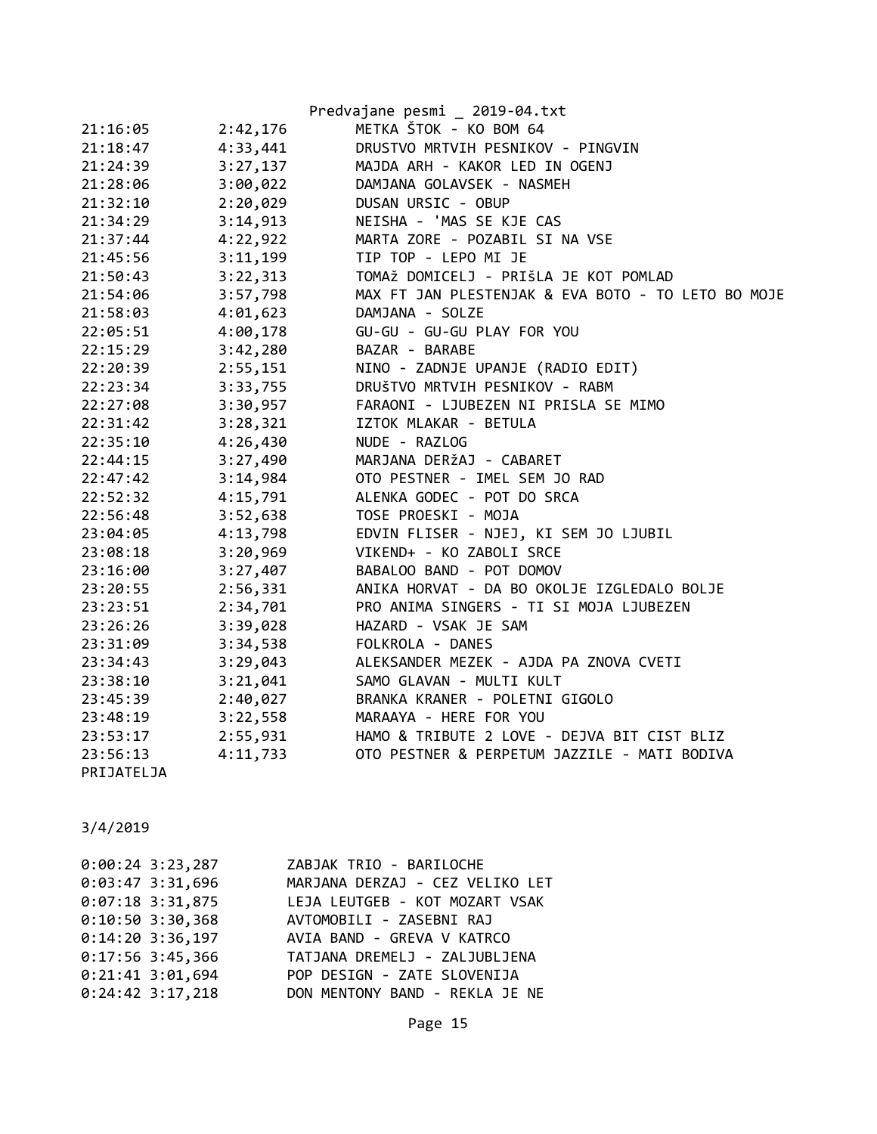|            |          | Predvajane pesmi _ 2019-04.txt                     |
|------------|----------|----------------------------------------------------|
| 21:16:05   | 2:42,176 | METKA ŠTOK - KO BOM 64                             |
| 21:18:47   | 4:33,441 | DRUSTVO MRTVIH PESNIKOV - PINGVIN                  |
| 21:24:39   | 3:27,137 | MAJDA ARH - KAKOR LED IN OGENJ                     |
| 21:28:06   | 3:00,022 | DAMJANA GOLAVSEK - NASMEH                          |
| 21:32:10   | 2:20,029 | DUSAN URSIC - OBUP                                 |
| 21:34:29   | 3:14,913 | NEISHA - 'MAS SE KJE CAS                           |
| 21:37:44   | 4:22,922 | MARTA ZORE - POZABIL SI NA VSE                     |
| 21:45:56   | 3:11,199 | TIP TOP - LEPO MI JE                               |
| 21:50:43   | 3:22,313 | TOMAŽ DOMICELJ - PRIŠLA JE KOT POMLAD              |
| 21:54:06   | 3:57,798 | MAX FT JAN PLESTENJAK & EVA BOTO - TO LETO BO MOJE |
| 21:58:03   | 4:01,623 | DAMJANA - SOLZE                                    |
| 22:05:51   | 4:00,178 | GU-GU - GU-GU PLAY FOR YOU                         |
| 22:15:29   | 3:42,280 | BAZAR - BARABE                                     |
| 22:20:39   | 2:55,151 | NINO - ZADNJE UPANJE (RADIO EDIT)                  |
| 22:23:34   | 3:33,755 | DRUŠTVO MRTVIH PESNIKOV - RABM                     |
| 22:27:08   | 3:30,957 | FARAONI - LJUBEZEN NI PRISLA SE MIMO               |
| 22:31:42   | 3:28,321 | IZTOK MLAKAR - BETULA                              |
| 22:35:10   | 4:26,430 | NUDE - RAZLOG                                      |
| 22:44:15   | 3:27,490 | MARJANA DERŽAJ - CABARET                           |
| 22:47:42   | 3:14,984 | OTO PESTNER - IMEL SEM JO RAD                      |
| 22:52:32   | 4:15,791 | ALENKA GODEC - POT DO SRCA                         |
| 22:56:48   | 3:52,638 | TOSE PROESKI - MOJA                                |
| 23:04:05   | 4:13,798 | EDVIN FLISER - NJEJ, KI SEM JO LJUBIL              |
| 23:08:18   | 3:20,969 | VIKEND+ - KO ZABOLI SRCE                           |
| 23:16:00   | 3:27,407 | BABALOO BAND - POT DOMOV                           |
| 23:20:55   | 2:56,331 | ANIKA HORVAT - DA BO OKOLJE IZGLEDALO BOLJE        |
| 23:23:51   | 2:34,701 | PRO ANIMA SINGERS - TI SI MOJA LJUBEZEN            |
| 23:26:26   | 3:39,028 | HAZARD - VSAK JE SAM                               |
| 23:31:09   | 3:34,538 | FOLKROLA - DANES                                   |
| 23:34:43   | 3:29,043 | ALEKSANDER MEZEK - AJDA PA ZNOVA CVETI             |
| 23:38:10   | 3:21,041 | SAMO GLAVAN - MULTI KULT                           |
| 23:45:39   | 2:40,027 | BRANKA KRANER - POLETNI GIGOLO                     |
| 23:48:19   | 3:22,558 | MARAAYA - HERE FOR YOU                             |
| 23:53:17   | 2:55,931 | HAMO & TRIBUTE 2 LOVE - DEJVA BIT CIST BLIZ        |
| 23:56:13   | 4:11,733 | OTO PESTNER & PERPETUM JAZZILE - MATI BODIVA       |
| PRIJATELJA |          |                                                    |

| $0:00:24$ 3:23,287 | ZABJAK TRIO - BARILOCHE         |
|--------------------|---------------------------------|
| $0:03:47$ 3:31,696 | MARJANA DERZAJ - CEZ VELIKO LET |
| $0:07:18$ 3:31,875 | LEJA LEUTGEB - KOT MOZART VSAK  |
| $0:10:50$ 3:30,368 | AVTOMOBILI - ZASEBNI RAJ        |
| $0:14:20$ 3:36,197 | AVIA BAND - GREVA V KATRCO      |
| $0:17:56$ 3:45,366 | TATJANA DREMELJ - ZALJUBLJENA   |
| $0:21:41$ 3:01,694 | POP DESIGN - ZATE SLOVENIJA     |
| $0:24:42$ 3:17,218 | DON MENTONY BAND - REKLA JE NE  |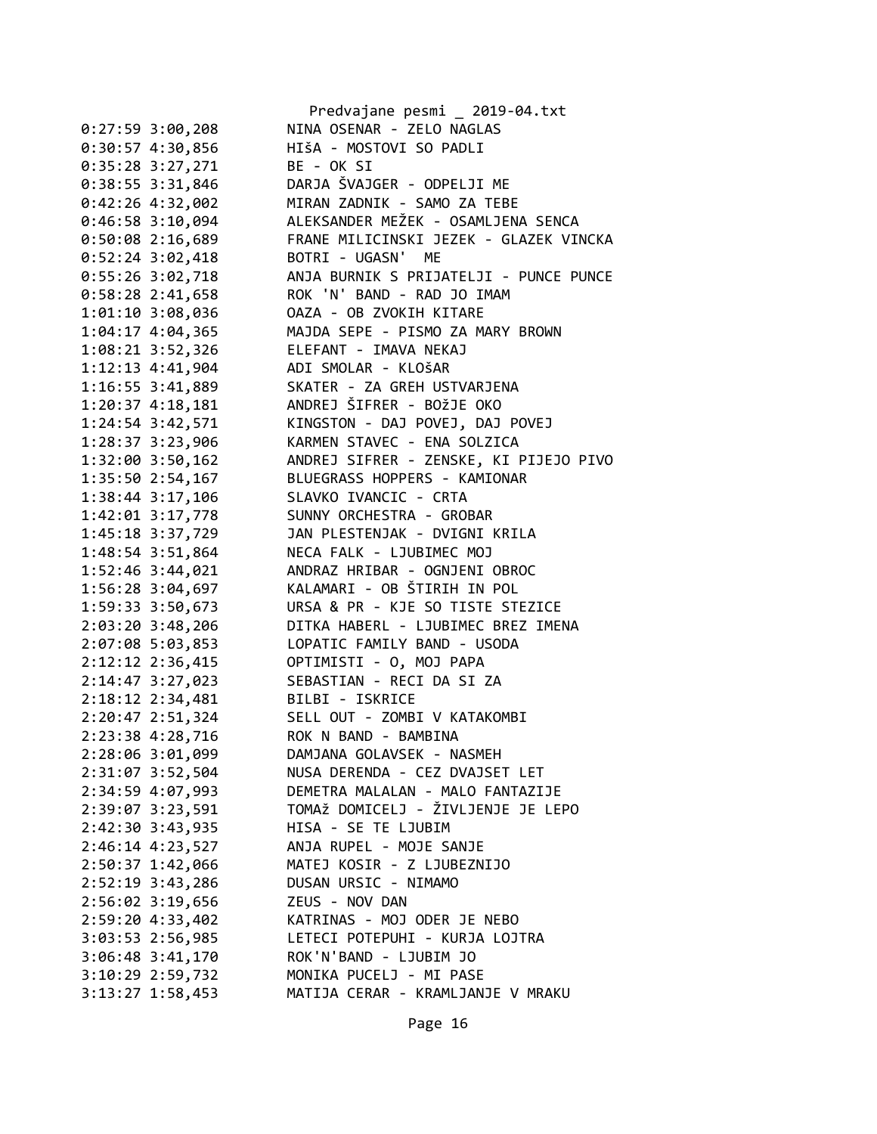|                                  | Predvajane pesmi _ 2019-04.txt         |
|----------------------------------|----------------------------------------|
| $0:27:59$ 3:00,208               | NINA OSENAR - ZELO NAGLAS              |
| $0:30:57$ 4:30,856               | HIŠA - MOSTOVI SO PADLI                |
| $0:35:28$ 3:27,271               | BE - OK SI                             |
| $0:38:55$ 3:31,846               | DARJA ŠVAJGER - ODPELJI ME             |
| 0:42:26 4:32,002                 | MIRAN ZADNIK - SAMO ZA TEBE            |
| 0:46:58 3:10,094                 | ALEKSANDER MEŽEK - OSAMLJENA SENCA     |
| 0:50:08 2:16,689                 | FRANE MILICINSKI JEZEK - GLAZEK VINCKA |
| 0:52:24 3:02,418                 | BOTRI - UGASN' ME                      |
| $0:55:26$ 3:02,718               | ANJA BURNIK S PRIJATELJI - PUNCE PUNCE |
| $0:58:28$ 2:41,658               | ROK 'N' BAND - RAD JO IMAM             |
| 1:01:10 3:08,036                 | OAZA - OB ZVOKIH KITARE                |
| 1:04:17 4:04,365                 | MAJDA SEPE - PISMO ZA MARY BROWN       |
| 1:08:21 3:52,326                 | ELEFANT - IMAVA NEKAJ                  |
| $1:12:13$ 4:41,904               | ADI SMOLAR - KLOŠAR                    |
| $1:16:55$ $3:41,889$             | SKATER - ZA GREH USTVARJENA            |
| 1:20:37 4:18,181                 | ANDREJ ŠIFRER - BOŽJE OKO              |
| $1:24:54$ 3:42,571               | KINGSTON - DAJ POVEJ, DAJ POVEJ        |
| 1:28:37 3:23,906                 | KARMEN STAVEC - ENA SOLZICA            |
| 1:32:00 3:50,162                 | ANDREJ SIFRER - ZENSKE, KI PIJEJO PIVO |
| 1:35:50 2:54,167                 | BLUEGRASS HOPPERS - KAMIONAR           |
| 1:38:44 3:17,106                 | SLAVKO IVANCIC - CRTA                  |
| 1:42:01 3:17,778                 | SUNNY ORCHESTRA - GROBAR               |
| 1:45:18 3:37,729                 | JAN PLESTENJAK - DVIGNI KRILA          |
| 1:48:54 3:51,864                 | NECA FALK - LJUBIMEC MOJ               |
| 1:52:46 3:44,021                 | ANDRAZ HRIBAR - OGNJENI OBROC          |
| 1:56:28 3:04,697                 | KALAMARI - OB ŠTIRIH IN POL            |
| 1:59:33 3:50,673                 | URSA & PR - KJE SO TISTE STEZICE       |
| 2:03:20 3:48,206                 | DITKA HABERL - LJUBIMEC BREZ IMENA     |
| 2:07:08 5:03,853                 | LOPATIC FAMILY BAND - USODA            |
| 2:12:12 2:36,415                 | OPTIMISTI - O, MOJ PAPA                |
| 2:14:47 3:27,023                 | SEBASTIAN - RECI DA SI ZA              |
| 2:18:12 2:34,481 BILBI - ISKRICE |                                        |
| 2:20:47 2:51,324                 | SELL OUT - ZOMBI V KATAKOMBI           |
| 2:23:38 4:28,716                 | ROK N BAND - BAMBINA                   |
| 2:28:06 3:01,099                 | DAMJANA GOLAVSEK - NASMEH              |
| 2:31:07 3:52,504                 | NUSA DERENDA - CEZ DVAJSET LET         |
| 2:34:59 4:07,993                 | DEMETRA MALALAN - MALO FANTAZIJE       |
| 2:39:07 3:23,591                 | TOMAŽ DOMICELJ - ŽIVLJENJE JE LEPO     |
| $2:42:30$ $3:43,935$             | HISA - SE TE LJUBIM                    |
| $2:46:14$ 4:23,527               | ANJA RUPEL - MOJE SANJE                |
| 2:50:37 1:42,066                 | MATEJ KOSIR - Z LJUBEZNIJO             |
| 2:52:19 3:43,286                 | DUSAN URSIC - NIMAMO                   |
| 2:56:02 3:19,656                 | ZEUS - NOV DAN                         |
| $2:59:20$ 4:33,402               | KATRINAS - MOJ ODER JE NEBO            |
| $3:03:53$ 2:56,985               | LETECI POTEPUHI - KURJA LOJTRA         |
| $3:06:48$ $3:41,170$             | ROK'N'BAND - LJUBIM JO                 |
| $3:10:29$ 2:59,732               | MONIKA PUCELJ - MI PASE                |
| $3:13:27$ 1:58,453               | MATIJA CERAR - KRAMLJANJE V MRAKU      |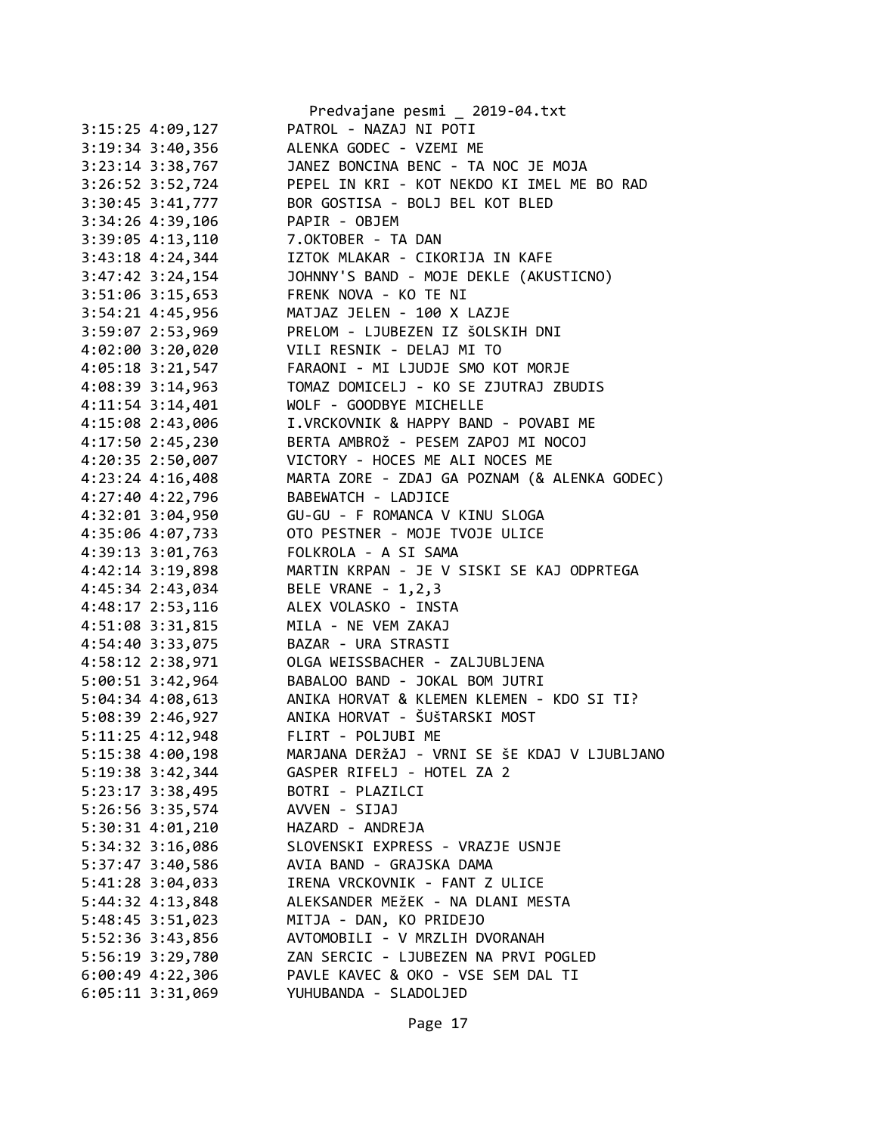|                      | Predvajane pesmi _ 2019-04.txt               |
|----------------------|----------------------------------------------|
| $3:15:25$ 4:09,127   | PATROL - NAZAJ NI POTI                       |
| 3:19:34 3:40,356     | ALENKA GODEC - VZEMI ME                      |
| $3:23:14$ $3:38,767$ | JANEZ BONCINA BENC - TA NOC JE MOJA          |
| 3:26:52 3:52,724     | PEPEL IN KRI - KOT NEKDO KI IMEL ME BO RAD   |
| 3:30:45 3:41,777     | BOR GOSTISA - BOLJ BEL KOT BLED              |
| 3:34:26 4:39,106     | PAPIR - OBJEM                                |
| 3:39:05 4:13,110     | 7.OKTOBER - TA DAN                           |
| 3:43:18 4:24,344     | IZTOK MLAKAR - CIKORIJA IN KAFE              |
| $3:47:42$ $3:24,154$ | JOHNNY'S BAND - MOJE DEKLE (AKUSTICNO)       |
| 3:51:06 3:15,653     | FRENK NOVA - KO TE NI                        |
| 3:54:21 4:45,956     | MATJAZ JELEN - 100 X LAZJE                   |
| 3:59:07 2:53,969     | PRELOM - LJUBEZEN IZ ŠOLSKIH DNI             |
| 4:02:00 3:20,020     | VILI RESNIK - DELAJ MI TO                    |
| 4:05:18 3:21,547     | FARAONI - MI LJUDJE SMO KOT MORJE            |
| 4:08:39 3:14,963     | TOMAZ DOMICELJ - KO SE ZJUTRAJ ZBUDIS        |
| 4:11:54 3:14,401     | WOLF - GOODBYE MICHELLE                      |
| 4:15:08 2:43,006     | I.VRCKOVNIK & HAPPY BAND - POVABI ME         |
| 4:17:50 2:45,230     | BERTA AMBROŽ - PESEM ZAPOJ MI NOCOJ          |
|                      | VICTORY - HOCES ME ALI NOCES ME              |
| 4:20:35 2:50,007     |                                              |
| 4:23:24 4:16,408     | MARTA ZORE - ZDAJ GA POZNAM (& ALENKA GODEC) |
| 4:27:40 4:22,796     | BABEWATCH - LADJICE                          |
| 4:32:01 3:04,950     | GU-GU - F ROMANCA V KINU SLOGA               |
| 4:35:06 4:07,733     | OTO PESTNER - MOJE TVOJE ULICE               |
| 4:39:13 3:01,763     | FOLKROLA - A SI SAMA                         |
| 4:42:14 3:19,898     | MARTIN KRPAN - JE V SISKI SE KAJ ODPRTEGA    |
| 4:45:34 2:43,034     | BELE VRANE - 1,2,3                           |
| 4:48:17 2:53,116     | ALEX VOLASKO - INSTA                         |
| 4:51:08 3:31,815     | MILA - NE VEM ZAKAJ                          |
| 4:54:40 3:33,075     | BAZAR - URA STRASTI                          |
| 4:58:12 2:38,971     | OLGA WEISSBACHER - ZALJUBLJENA               |
| 5:00:51 3:42,964     | BABALOO BAND - JOKAL BOM JUTRI               |
| $5:04:34$ 4:08,613   | ANIKA HORVAT & KLEMEN KLEMEN - KDO SI TI?    |
| 5:08:39 2:46,927     | ANIKA HORVAT - ŠUŠTARSKI MOST                |
| 5:11:25 4:12,948     | FLIRT - POLJUBI ME                           |
| 5:15:38 4:00,198     | MARJANA DERŽAJ - VRNI SE ŠE KDAJ V LJUBLJANO |
| 5:19:38 3:42,344     | GASPER RIFELJ - HOTEL ZA 2                   |
| 5:23:17 3:38,495     | BOTRI - PLAZILCI                             |
| 5:26:56 3:35,574     | AVVEN - SIJAJ                                |
| $5:30:31$ $4:01,210$ | HAZARD - ANDREJA                             |
| 5:34:32 3:16,086     | SLOVENSKI EXPRESS - VRAZJE USNJE             |
| 5:37:47 3:40,586     | AVIA BAND - GRAJSKA DAMA                     |
| 5:41:28 3:04,033     | IRENA VRCKOVNIK - FANT Z ULICE               |
| 5:44:32 4:13,848     | ALEKSANDER MEŽEK - NA DLANI MESTA            |
| 5:48:45 3:51,023     | MITJA - DAN, KO PRIDEJO                      |
| 5:52:36 3:43,856     | AVTOMOBILI - V MRZLIH DVORANAH               |
| 5:56:19 3:29,780     | ZAN SERCIC - LJUBEZEN NA PRVI POGLED         |
| $6:00:49$ 4:22,306   | PAVLE KAVEC & OKO - VSE SEM DAL TI           |
| $6:05:11$ $3:31,069$ | YUHUBANDA - SLADOLJED                        |
|                      |                                              |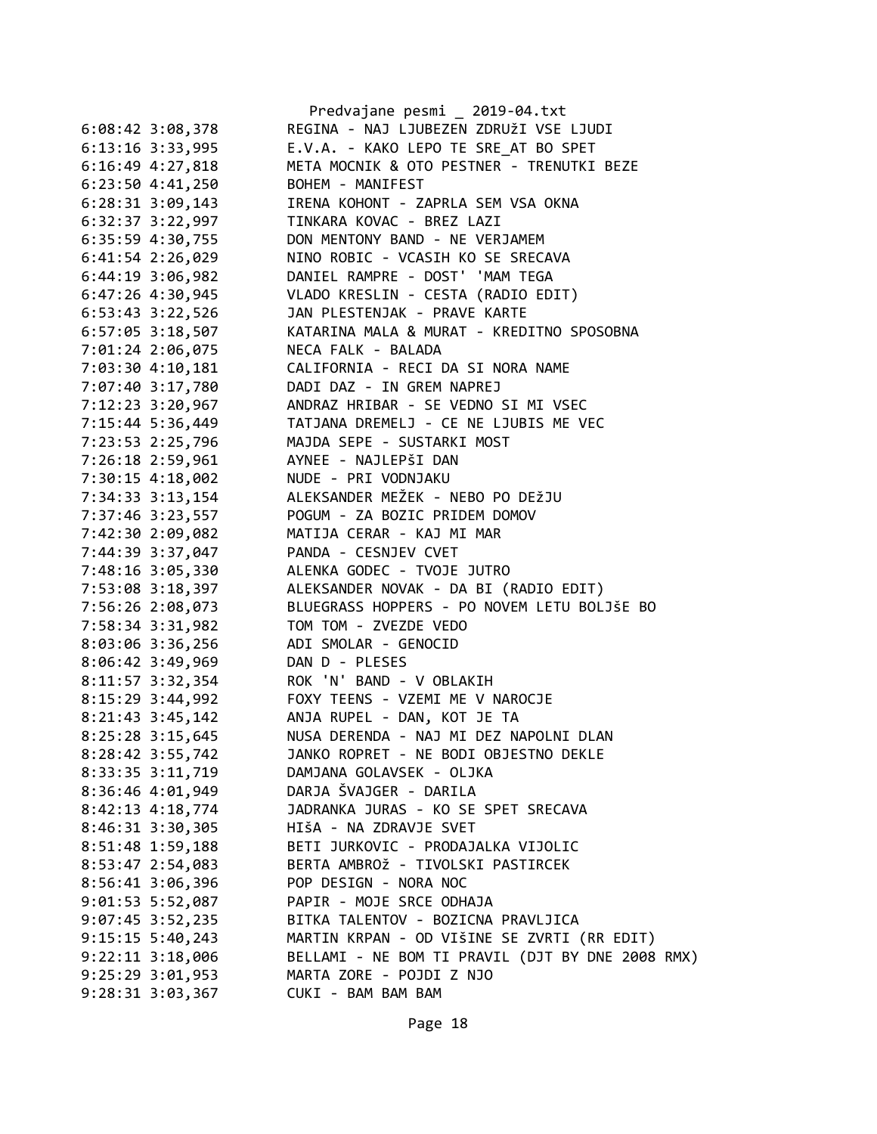|                      | Predvajane pesmi _ 2019-04.txt                                                                  |
|----------------------|-------------------------------------------------------------------------------------------------|
| $6:08:42$ 3:08,378   | REGINA - NAJ LJUBEZEN ZDRUŽI VSE LJUDI                                                          |
| 6:13:16 3:33,995     | E.V.A. - KAKO LEPO TE SRE AT BO SPET                                                            |
| $6:16:49$ $4:27,818$ | META MOCNIK & OTO PESTNER - TRENUTKI BEZE                                                       |
| $6:23:50$ 4:41,250   | BOHEM - MANIFEST                                                                                |
| $6:28:31$ $3:09,143$ | IRENA KOHONT - ZAPRLA SEM VSA OKNA                                                              |
| 6:32:37 3:22,997     | TINKARA KOVAC - BREZ LAZI                                                                       |
| 6:35:59 4:30,755     | DON MENTONY BAND - NE VERJAMEM                                                                  |
| $6:41:54$ 2:26,029   | NINO ROBIC - VCASIH KO SE SRECAVA                                                               |
| $6:44:19$ 3:06,982   | DANIEL RAMPRE - DOST' 'MAM TEGA                                                                 |
| $6:47:26$ $4:30,945$ | VLADO KRESLIN - CESTA (RADIO EDIT)                                                              |
| 6:53:43 3:22,526     | JAN PLESTENJAK - PRAVE KARTE                                                                    |
| $6:57:05$ 3:18,507   | KATARINA MALA & MURAT - KREDITNO SPOSOBNA                                                       |
| 7:01:24 2:06,075     | NECA FALK - BALADA                                                                              |
| 7:03:30 4:10,181     | CALIFORNIA - RECI DA SI NORA NAME                                                               |
| 7:07:40 3:17,780     | DADI DAZ - IN GREM NAPREJ                                                                       |
| 7:12:23 3:20,967     | ANDRAZ HRIBAR - SE VEDNO SI MI VSEC                                                             |
| 7:15:44 5:36,449     | TATJANA DREMELJ - CE NE LJUBIS ME VEC                                                           |
| 7:23:53 2:25,796     | MAJDA SEPE - SUSTARKI MOST                                                                      |
| 7:26:18 2:59,961     | AYNEE - NAJLEPŠI DAN                                                                            |
| 7:30:15 4:18,002     | NUDE - PRI VODNJAKU                                                                             |
| 7:34:33 3:13,154     | ALEKSANDER MEŽEK - NEBO PO DEŽJU                                                                |
| 7:37:46 3:23,557     | POGUM - ZA BOZIC PRIDEM DOMOV                                                                   |
| 7:42:30 2:09,082     | MATIJA CERAR - KAJ MI MAR                                                                       |
| 7:44:39 3:37,047     | PANDA - CESNJEV CVET                                                                            |
| 7:48:16 3:05,330     | ALENKA GODEC - TVOJE JUTRO                                                                      |
| 7:53:08 3:18,397     | ALEKSANDER NOVAK - DA BI (RADIO EDIT)                                                           |
| 7:56:26 2:08,073     | BLUEGRASS HOPPERS - PO NOVEM LETU BOLJŠE BO                                                     |
| 7:58:34 3:31,982     | TOM TOM - ZVEZDE VEDO                                                                           |
| 8:03:06 3:36,256     | ADI SMOLAR - GENOCID                                                                            |
| $8:06:42$ 3:49,969   | DAN D - PLESES                                                                                  |
| 8:11:57 3:32,354     | ROK 'N' BAND - V OBLAKIH                                                                        |
| 8:15:29 3:44,992     | FOXY TEENS - VZEMI ME V NAROCJE                                                                 |
| $8:21:43$ 3:45,142   | ANJA RUPEL - DAN, KOT JE TA                                                                     |
| 8:25:28 3:15,645     | NUSA DERENDA - NAJ MI DEZ NAPOLNI DLAN                                                          |
| 8:28:42 3:55,742     | JANKO ROPRET - NE BODI OBJESTNO DEKLE                                                           |
| 8:33:35 3:11,719     | DAMJANA GOLAVSEK - OLJKA                                                                        |
| 8:36:46 4:01,949     | DARJA ŠVAJGER - DARILA                                                                          |
| 8:42:13 4:18,774     | JADRANKA JURAS - KO SE SPET SRECAVA                                                             |
| 8:46:31 3:30,305     | HIŠA - NA ZDRAVJE SVET                                                                          |
| $8:51:48$ 1:59,188   | BETI JURKOVIC - PRODAJALKA VIJOLIC                                                              |
| 8:53:47 2:54,083     | BERTA AMBROŽ - TIVOLSKI PASTIRCEK                                                               |
| $8:56:41$ 3:06,396   | POP DESIGN - NORA NOC                                                                           |
| $9:01:53$ 5:52,087   | PAPIR - MOJE SRCE ODHAJA                                                                        |
|                      | BITKA TALENTOV - BOZICNA PRAVLJICA                                                              |
| $9:07:45$ 3:52,235   |                                                                                                 |
| $9:15:15 \t5:40,243$ | MARTIN KRPAN - OD VIŠINE SE ZVRTI (RR EDIT)<br>BELLAMI - NE BOM TI PRAVIL (DJT BY DNE 2008 RMX) |
| $9:22:11$ $3:18,006$ |                                                                                                 |
| $9:25:29$ $3:01,953$ | MARTA ZORE - POJDI Z NJO                                                                        |
| $9:28:31$ $3:03,367$ | CUKI - BAM BAM BAM                                                                              |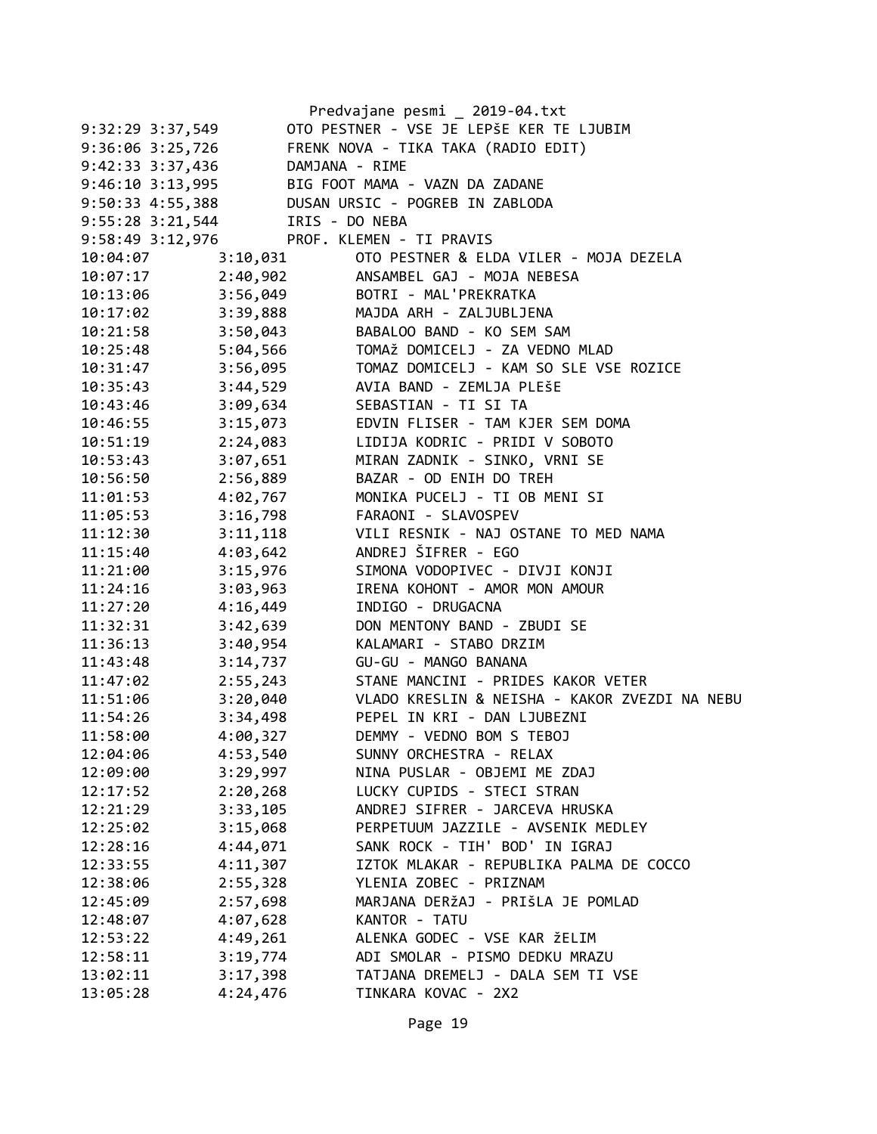|                  |                                 | Predvajane pesmi _ 2019-04.txt                         |
|------------------|---------------------------------|--------------------------------------------------------|
| 9:32:29 3:37,549 |                                 | OTO PESTNER - VSE JE LEPŠE KER TE LJUBIM               |
|                  |                                 | 9:36:06 3:25,726 FRENK NOVA - TIKA TAKA (RADIO EDIT)   |
|                  | 9:42:33 3:37,436                | DAMJANA - RIME                                         |
|                  |                                 | 9:46:10 3:13,995 BIG FOOT MAMA - VAZN DA ZADANE        |
|                  |                                 | 9:50:33 4:55,388 DUSAN URSIC - POGREB IN ZABLODA       |
|                  | 9:55:28 3:21,544 IRIS - DO NEBA |                                                        |
|                  |                                 | 9:58:49 3:12,976 PROF. KLEMEN - TI PRAVIS              |
| 10:04:07         | 3:10,031                        | OTO PESTNER & ELDA VILER - MOJA DEZELA                 |
| 10:07:17         |                                 | 2:40,902 ANSAMBEL GAJ - MOJA NEBESA                    |
| 10:13:06         |                                 | 3:56,049 BOTRI - MAL'PREKRATKA                         |
| 10:17:02         |                                 | 3:39,888 MAJDA ARH - ZALJUBLJENA                       |
| 10:21:58         |                                 | 3:50,043 BABALOO BAND - KO SEM SAM                     |
| 10:25:48         | 5:04,566                        | TOMAŽ DOMICELJ - ZA VEDNO MLAD                         |
| 10:31:47         | 3:56,095                        | TOMAZ DOMICELJ - KAM SO SLE VSE ROZICE                 |
| 10:35:43         | 3:44,529                        | AVIA BAND - ZEMLJA PLEŠE                               |
| 10:43:46         | 3:09,634                        | SEBASTIAN - TI SI TA                                   |
| 10:46:55         |                                 | 3:15,073 EDVIN FLISER - TAM KJER SEM DOMA              |
| 10:51:19         | 2:24,083                        | LIDIJA KODRIC - PRIDI V SOBOTO                         |
| 10:53:43         | 3:07,651                        | MIRAN ZADNIK - SINKO, VRNI SE                          |
| 10:56:50         | 2:56,889                        | BAZAR - OD ENIH DO TREH                                |
| 11:01:53         | 4:02,767                        | MONIKA PUCELJ - TI OB MENI SI                          |
| 11:05:53         | 3:16,798                        | FARAONI - SLAVOSPEV                                    |
| 11:12:30         | 3:11,118                        | VILI RESNIK - NAJ OSTANE TO MED NAMA                   |
| 11:15:40         | 4:03,642                        | ANDREJ ŠIFRER - EGO                                    |
| 11:21:00         | 3:15,976                        | SIMONA VODOPIVEC - DIVJI KONJI                         |
| 11:24:16         | 3:03,963                        | IRENA KOHONT - AMOR MON AMOUR                          |
| 11:27:20         | 4:16,449                        | INDIGO - DRUGACNA                                      |
| 11:32:31         | 3:42,639                        | DON MENTONY BAND - ZBUDI SE                            |
| 11:36:13         | 3:40,954                        | KALAMARI - STABO DRZIM                                 |
| 11:43:48         | 3:14,737                        | GU-GU - MANGO BANANA                                   |
| 11:47:02         | 2:55,243                        | STANE MANCINI - PRIDES KAKOR VETER                     |
| 11:51:06         |                                 | 3:20,040 VLADO KRESLIN & NEISHA - KAKOR ZVEZDI NA NEBU |
| 11:54:26         | 3:34,498                        | PEPEL IN KRI - DAN LJUBEZNI                            |
| 11:58:00         | 4:00,327                        | DEMMY - VEDNO BOM S TEBOJ                              |
| 12:04:06         | 4:53,540                        | SUNNY ORCHESTRA - RELAX                                |
| 12:09:00         | 3:29,997                        | NINA PUSLAR - OBJEMI ME ZDAJ                           |
| 12:17:52         | 2:20,268                        | LUCKY CUPIDS - STECI STRAN                             |
| 12:21:29         | 3:33,105                        | ANDREJ SIFRER - JARCEVA HRUSKA                         |
| 12:25:02         | 3:15,068                        | PERPETUUM JAZZILE - AVSENIK MEDLEY                     |
| 12:28:16         | 4:44,071                        | SANK ROCK - TIH' BOD' IN IGRAJ                         |
| 12:33:55         | 4:11,307                        | IZTOK MLAKAR - REPUBLIKA PALMA DE COCCO                |
| 12:38:06         | 2:55,328                        | YLENIA ZOBEC - PRIZNAM                                 |
| 12:45:09         | 2:57,698                        | MARJANA DERŽAJ - PRIŠLA JE POMLAD                      |
| 12:48:07         | 4:07,628                        | KANTOR - TATU                                          |
| 12:53:22         | 4:49,261                        | ALENKA GODEC - VSE KAR ŽELIM                           |
| 12:58:11         | 3:19,774                        | ADI SMOLAR - PISMO DEDKU MRAZU                         |
| 13:02:11         | 3:17,398                        | TATJANA DREMELJ - DALA SEM TI VSE                      |
| 13:05:28         | 4:24,476                        | TINKARA KOVAC - 2X2                                    |
|                  |                                 |                                                        |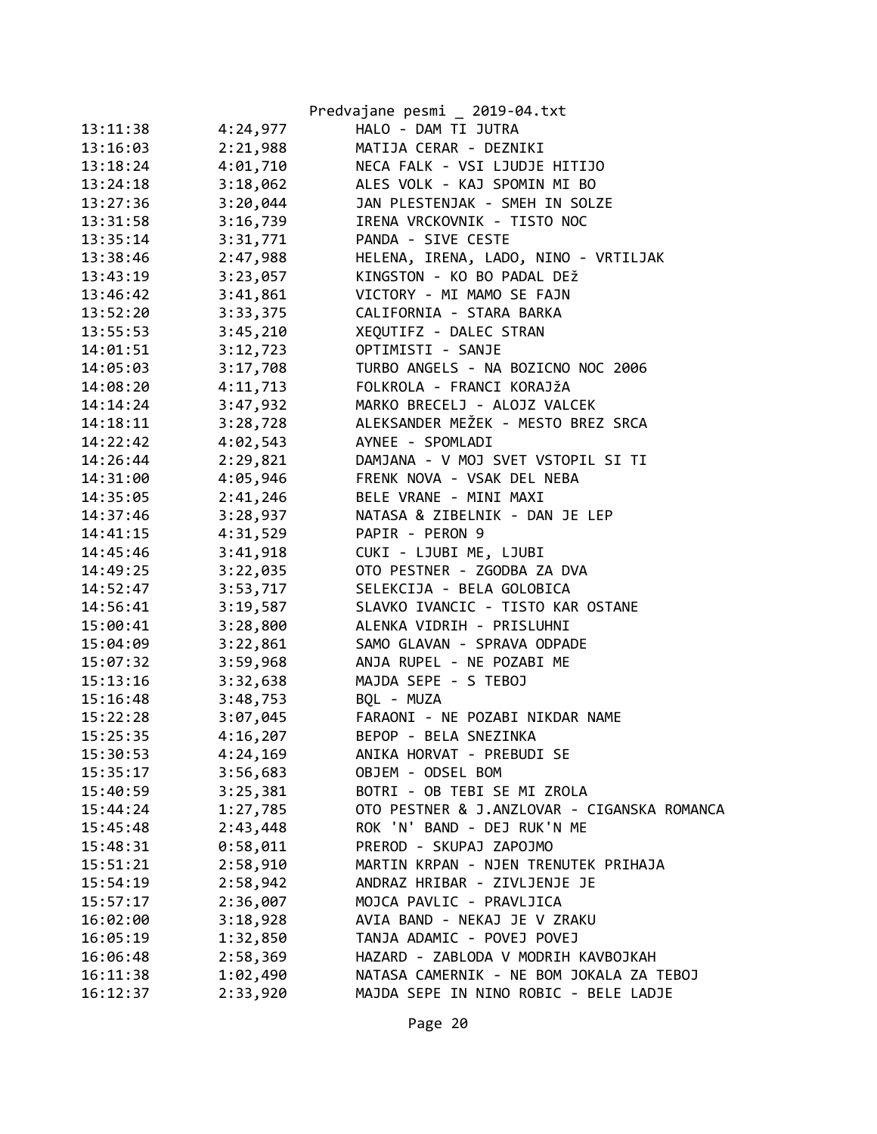|                      | Predvajane pesmi _ 2019-04.txt              |
|----------------------|---------------------------------------------|
| 13:11:38<br>4:24,977 | HALO - DAM TI JUTRA                         |
| 2:21,988<br>13:16:03 | MATIJA CERAR - DEZNIKI                      |
| 4:01,710<br>13:18:24 | NECA FALK - VSI LJUDJE HITIJO               |
| 3:18,062<br>13:24:18 | ALES VOLK - KAJ SPOMIN MI BO                |
| 3:20,044<br>13:27:36 | JAN PLESTENJAK - SMEH IN SOLZE              |
| 3:16,739<br>13:31:58 | IRENA VRCKOVNIK - TISTO NOC                 |
| 3:31,771<br>13:35:14 | PANDA - SIVE CESTE                          |
| 2:47,988<br>13:38:46 | HELENA, IRENA, LADO, NINO - VRTILJAK        |
| 3:23,057<br>13:43:19 | KINGSTON - KO BO PADAL DEŽ                  |
| 3:41,861<br>13:46:42 | VICTORY - MI MAMO SE FAJN                   |
| 13:52:20<br>3:33,375 | CALIFORNIA - STARA BARKA                    |
| 13:55:53<br>3:45,210 | XEQUTIFZ - DALEC STRAN                      |
| 3:12,723<br>14:01:51 | OPTIMISTI - SANJE                           |
| 3:17,708<br>14:05:03 | TURBO ANGELS - NA BOZICNO NOC 2006          |
| 4:11,713<br>14:08:20 | FOLKROLA - FRANCI KORAJŽA                   |
| 3:47,932<br>14:14:24 | MARKO BRECELJ - ALOJZ VALCEK                |
| 3:28,728<br>14:18:11 | ALEKSANDER MEŽEK - MESTO BREZ SRCA          |
| 4:02,543<br>14:22:42 | AYNEE - SPOMLADI                            |
| 2:29,821<br>14:26:44 | DAMJANA - V MOJ SVET VSTOPIL SI TI          |
| 4:05,946<br>14:31:00 | FRENK NOVA - VSAK DEL NEBA                  |
| 2:41,246<br>14:35:05 | BELE VRANE - MINI MAXI                      |
| 3:28,937<br>14:37:46 | NATASA & ZIBELNIK - DAN JE LEP              |
| 4:31,529<br>14:41:15 | PAPIR - PERON 9                             |
| 3:41,918<br>14:45:46 | CUKI - LJUBI ME, LJUBI                      |
| 3:22,035<br>14:49:25 | OTO PESTNER - ZGODBA ZA DVA                 |
| 3:53,717<br>14:52:47 | SELEKCIJA - BELA GOLOBICA                   |
| 3:19,587<br>14:56:41 | SLAVKO IVANCIC - TISTO KAR OSTANE           |
| 15:00:41<br>3:28,800 | ALENKA VIDRIH - PRISLUHNI                   |
| 3:22,861<br>15:04:09 | SAMO GLAVAN - SPRAVA ODPADE                 |
| 3:59,968<br>15:07:32 | ANJA RUPEL - NE POZABI ME                   |
| 3:32,638<br>15:13:16 | MAJDA SEPE - S TEBOJ                        |
| 15:16:48<br>3:48,753 | BQL - MUZA                                  |
| 3:07,045<br>15:22:28 | FARAONI - NE POZABI NIKDAR NAME             |
| 4:16,207<br>15:25:35 | BEPOP - BELA SNEZINKA                       |
| 15:30:53<br>4:24,169 | ANIKA HORVAT - PREBUDI SE                   |
| 3:56,683<br>15:35:17 | OBJEM - ODSEL BOM                           |
| 3:25,381<br>15:40:59 | BOTRI - OB TEBI SE MI ZROLA                 |
| 1:27,785<br>15:44:24 | OTO PESTNER & J.ANZLOVAR - CIGANSKA ROMANCA |
| 2:43,448<br>15:45:48 | ROK 'N' BAND - DEJ RUK'N ME                 |
| 0:58,011<br>15:48:31 | PREROD - SKUPAJ ZAPOJMO                     |
| 2:58,910<br>15:51:21 | MARTIN KRPAN - NJEN TRENUTEK PRIHAJA        |
| 15:54:19<br>2:58,942 | ANDRAZ HRIBAR - ZIVLJENJE JE                |
| 15:57:17<br>2:36,007 | MOJCA PAVLIC - PRAVLJICA                    |
| 3:18,928<br>16:02:00 | AVIA BAND - NEKAJ JE V ZRAKU                |
| 1:32,850<br>16:05:19 | TANJA ADAMIC - POVEJ POVEJ                  |
| 2:58,369<br>16:06:48 | HAZARD - ZABLODA V MODRIH KAVBOJKAH         |
| 1:02,490<br>16:11:38 | NATASA CAMERNIK - NE BOM JOKALA ZA TEBOJ    |
| 2:33,920<br>16:12:37 | MAJDA SEPE IN NINO ROBIC - BELE LADJE       |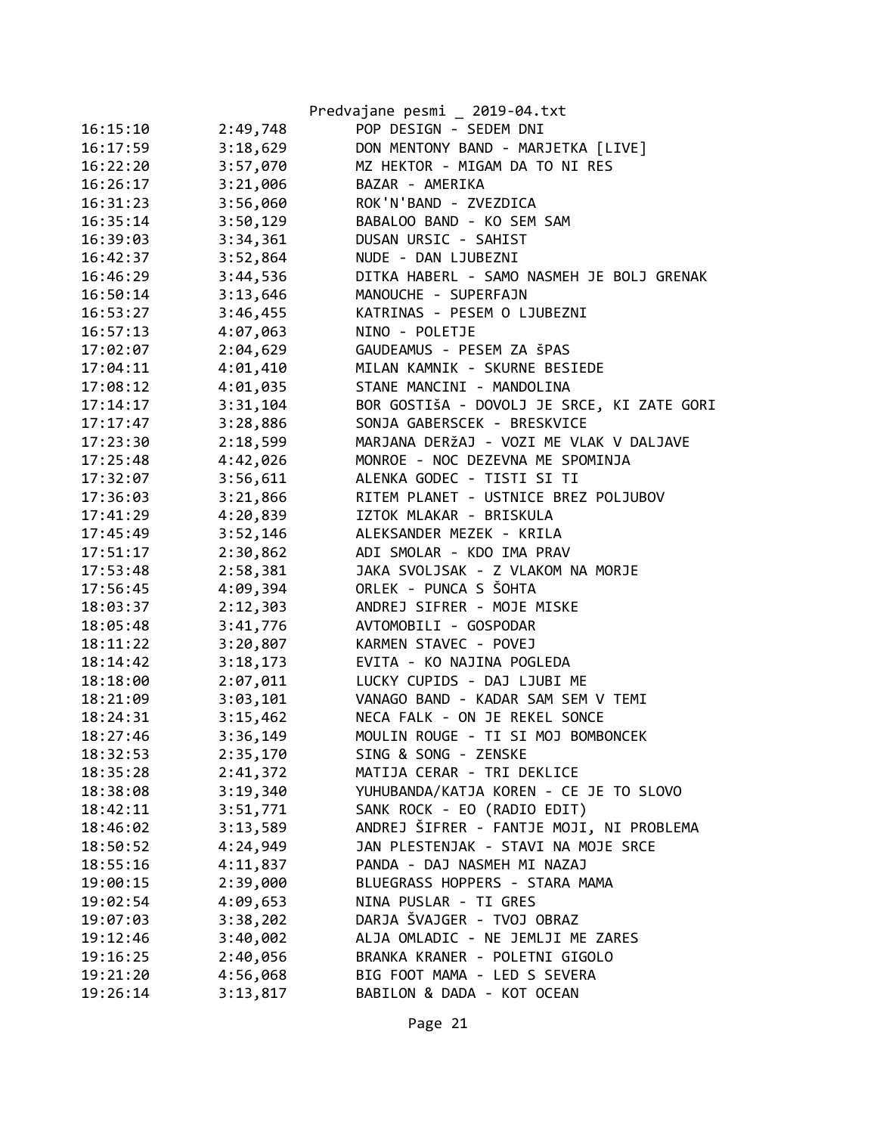|          |          | Predvajane pesmi _ 2019-04.txt             |
|----------|----------|--------------------------------------------|
| 16:15:10 | 2:49,748 | POP DESIGN - SEDEM DNI                     |
| 16:17:59 | 3:18,629 | DON MENTONY BAND - MARJETKA [LIVE]         |
| 16:22:20 | 3:57,070 | MZ HEKTOR - MIGAM DA TO NI RES             |
| 16:26:17 | 3:21,006 | BAZAR - AMERIKA                            |
| 16:31:23 | 3:56,060 | ROK'N'BAND - ZVEZDICA                      |
| 16:35:14 | 3:50,129 | BABALOO BAND - KO SEM SAM                  |
| 16:39:03 | 3:34,361 | DUSAN URSIC - SAHIST                       |
| 16:42:37 | 3:52,864 | NUDE - DAN LJUBEZNI                        |
| 16:46:29 | 3:44,536 | DITKA HABERL - SAMO NASMEH JE BOLJ GRENAK  |
| 16:50:14 | 3:13,646 | MANOUCHE - SUPERFAJN                       |
| 16:53:27 | 3:46,455 | KATRINAS - PESEM O LJUBEZNI                |
| 16:57:13 | 4:07,063 | NINO - POLETJE                             |
| 17:02:07 | 2:04,629 | GAUDEAMUS - PESEM ZA ŠPAS                  |
| 17:04:11 | 4:01,410 | MILAN KAMNIK - SKURNE BESIEDE              |
| 17:08:12 | 4:01,035 | STANE MANCINI - MANDOLINA                  |
| 17:14:17 | 3:31,104 | BOR GOSTIŠA - DOVOLJ JE SRCE, KI ZATE GORI |
| 17:17:47 | 3:28,886 | SONJA GABERSCEK - BRESKVICE                |
| 17:23:30 | 2:18,599 | MARJANA DERŽAJ - VOZI ME VLAK V DALJAVE    |
| 17:25:48 | 4:42,026 | MONROE - NOC DEZEVNA ME SPOMINJA           |
| 17:32:07 | 3:56,611 | ALENKA GODEC - TISTI SI TI                 |
| 17:36:03 | 3:21,866 | RITEM PLANET - USTNICE BREZ POLJUBOV       |
| 17:41:29 | 4:20,839 | IZTOK MLAKAR - BRISKULA                    |
| 17:45:49 | 3:52,146 | ALEKSANDER MEZEK - KRILA                   |
| 17:51:17 | 2:30,862 | ADI SMOLAR - KDO IMA PRAV                  |
| 17:53:48 | 2:58,381 | JAKA SVOLJSAK - Z VLAKOM NA MORJE          |
| 17:56:45 | 4:09,394 | ORLEK - PUNCA S ŠOHTA                      |
| 18:03:37 | 2:12,303 | ANDREJ SIFRER - MOJE MISKE                 |
| 18:05:48 | 3:41,776 | AVTOMOBILI - GOSPODAR                      |
| 18:11:22 | 3:20,807 | KARMEN STAVEC - POVEJ                      |
| 18:14:42 | 3:18,173 | EVITA - KO NAJINA POGLEDA                  |
| 18:18:00 | 2:07,011 | LUCKY CUPIDS - DAJ LJUBI ME                |
| 18:21:09 | 3:03,101 | VANAGO BAND - KADAR SAM SEM V TEMI         |
| 18:24:31 | 3:15,462 | NECA FALK - ON JE REKEL SONCE              |
| 18:27:46 | 3:36,149 | MOULIN ROUGE - TI SI MOJ BOMBONCEK         |
| 18:32:53 | 2:35,170 | SING & SONG - ZENSKE                       |
| 18:35:28 | 2:41,372 | MATIJA CERAR - TRI DEKLICE                 |
| 18:38:08 | 3:19,340 | YUHUBANDA/KATJA KOREN - CE JE TO SLOVO     |
| 18:42:11 | 3:51,771 | SANK ROCK - EO (RADIO EDIT)                |
| 18:46:02 | 3:13,589 | ANDREJ ŠIFRER - FANTJE MOJI, NI PROBLEMA   |
| 18:50:52 | 4:24,949 | JAN PLESTENJAK - STAVI NA MOJE SRCE        |
| 18:55:16 | 4:11,837 | PANDA - DAJ NASMEH MI NAZAJ                |
| 19:00:15 | 2:39,000 | BLUEGRASS HOPPERS - STARA MAMA             |
| 19:02:54 | 4:09,653 | NINA PUSLAR - TI GRES                      |
| 19:07:03 | 3:38,202 | DARJA ŠVAJGER - TVOJ OBRAZ                 |
| 19:12:46 | 3:40,002 | ALJA OMLADIC - NE JEMLJI ME ZARES          |
| 19:16:25 | 2:40,056 | BRANKA KRANER - POLETNI GIGOLO             |
| 19:21:20 | 4:56,068 | BIG FOOT MAMA - LED S SEVERA               |
| 19:26:14 | 3:13,817 | BABILON & DADA - KOT OCEAN                 |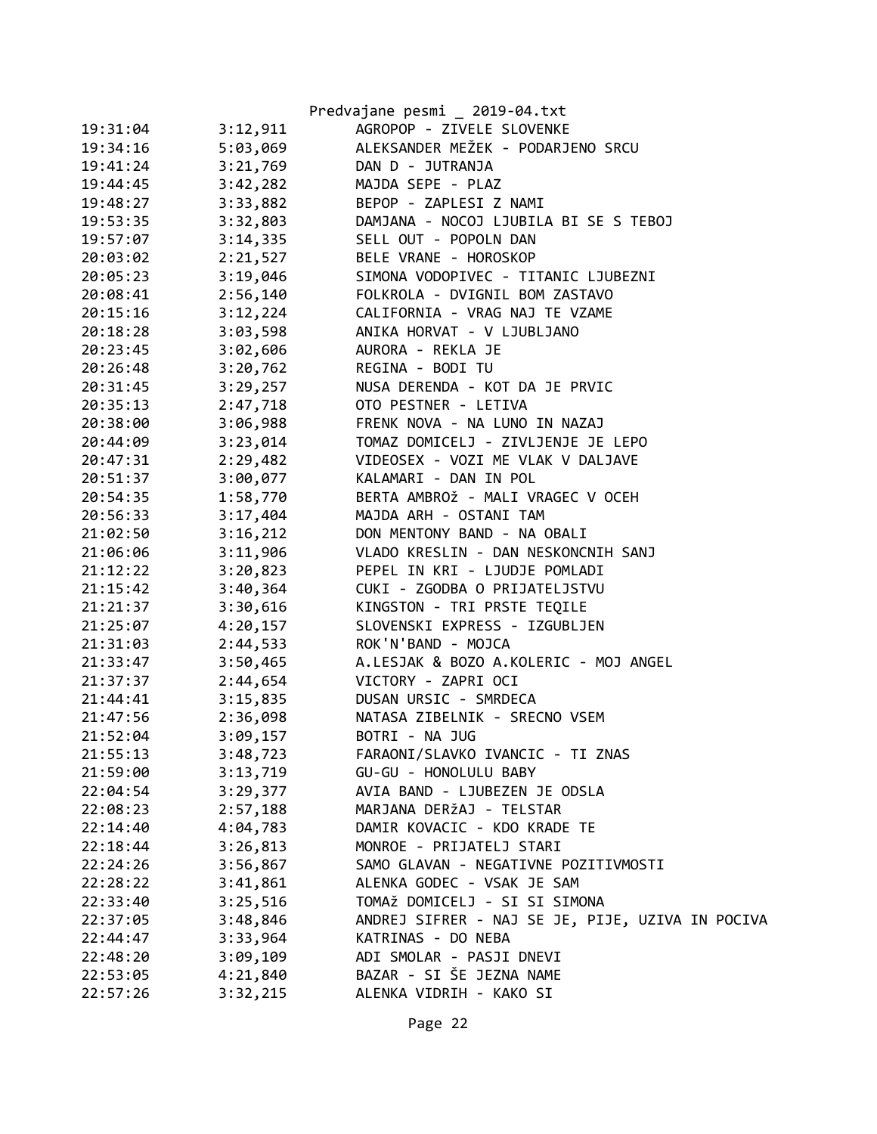|          |          | Predvajane pesmi _ 2019-04.txt                   |
|----------|----------|--------------------------------------------------|
| 19:31:04 | 3:12,911 | AGROPOP - ZIVELE SLOVENKE                        |
| 19:34:16 | 5:03,069 | ALEKSANDER MEŽEK - PODARJENO SRCU                |
| 19:41:24 | 3:21,769 | DAN D - JUTRANJA                                 |
| 19:44:45 | 3:42,282 | MAJDA SEPE - PLAZ                                |
| 19:48:27 | 3:33,882 | BEPOP - ZAPLESI Z NAMI                           |
| 19:53:35 | 3:32,803 | DAMJANA - NOCOJ LJUBILA BI SE S TEBOJ            |
| 19:57:07 | 3:14,335 | SELL OUT - POPOLN DAN                            |
| 20:03:02 | 2:21,527 | BELE VRANE - HOROSKOP                            |
| 20:05:23 | 3:19,046 | SIMONA VODOPIVEC - TITANIC LJUBEZNI              |
| 20:08:41 | 2:56,140 | FOLKROLA - DVIGNIL BOM ZASTAVO                   |
| 20:15:16 | 3:12,224 | CALIFORNIA - VRAG NAJ TE VZAME                   |
| 20:18:28 | 3:03,598 | ANIKA HORVAT - V LJUBLJANO                       |
| 20:23:45 | 3:02,606 | AURORA - REKLA JE                                |
| 20:26:48 | 3:20,762 | REGINA - BODI TU                                 |
| 20:31:45 | 3:29,257 | NUSA DERENDA - KOT DA JE PRVIC                   |
| 20:35:13 | 2:47,718 | OTO PESTNER - LETIVA                             |
| 20:38:00 | 3:06,988 | FRENK NOVA - NA LUNO IN NAZAJ                    |
| 20:44:09 | 3:23,014 | TOMAZ DOMICELJ - ZIVLJENJE JE LEPO               |
| 20:47:31 | 2:29,482 | VIDEOSEX - VOZI ME VLAK V DALJAVE                |
| 20:51:37 | 3:00,077 | KALAMARI - DAN IN POL                            |
| 20:54:35 | 1:58,770 | BERTA AMBROŽ - MALI VRAGEC V OCEH                |
| 20:56:33 | 3:17,404 | MAJDA ARH - OSTANI TAM                           |
| 21:02:50 | 3:16,212 | DON MENTONY BAND - NA OBALI                      |
| 21:06:06 | 3:11,906 | VLADO KRESLIN - DAN NESKONCNIH SANJ              |
| 21:12:22 | 3:20,823 | PEPEL IN KRI - LJUDJE POMLADI                    |
| 21:15:42 | 3:40,364 | CUKI - ZGODBA O PRIJATELJSTVU                    |
| 21:21:37 | 3:30,616 | KINGSTON - TRI PRSTE TEQILE                      |
| 21:25:07 | 4:20,157 | SLOVENSKI EXPRESS - IZGUBLJEN                    |
| 21:31:03 | 2:44,533 | ROK'N'BAND - MOJCA                               |
| 21:33:47 | 3:50,465 | A.LESJAK & BOZO A.KOLERIC - MOJ ANGEL            |
| 21:37:37 | 2:44,654 | VICTORY - ZAPRI OCI                              |
| 21:44:41 | 3:15,835 | DUSAN URSIC - SMRDECA                            |
| 21:47:56 | 2:36,098 | NATASA ZIBELNIK - SRECNO VSEM                    |
| 21:52:04 | 3:09,157 | BOTRI - NA JUG                                   |
| 21:55:13 | 3:48,723 | FARAONI/SLAVKO IVANCIC - TI ZNAS                 |
| 21:59:00 | 3:13,719 | GU-GU - HONOLULU BABY                            |
| 22:04:54 | 3:29,377 | AVIA BAND - LJUBEZEN JE ODSLA                    |
| 22:08:23 | 2:57,188 | MARJANA DERŽAJ - TELSTAR                         |
| 22:14:40 | 4:04,783 | DAMIR KOVACIC - KDO KRADE TE                     |
| 22:18:44 | 3:26,813 | MONROE - PRIJATELJ STARI                         |
| 22:24:26 | 3:56,867 | SAMO GLAVAN - NEGATIVNE POZITIVMOSTI             |
| 22:28:22 | 3:41,861 | ALENKA GODEC - VSAK JE SAM                       |
| 22:33:40 | 3:25,516 | TOMAŽ DOMICELJ - SI SI SIMONA                    |
| 22:37:05 | 3:48,846 | ANDREJ SIFRER - NAJ SE JE, PIJE, UZIVA IN POCIVA |
| 22:44:47 | 3:33,964 | KATRINAS - DO NEBA                               |
| 22:48:20 | 3:09,109 | ADI SMOLAR - PASJI DNEVI                         |
| 22:53:05 | 4:21,840 | BAZAR - SI ŠE JEZNA NAME                         |
| 22:57:26 | 3:32,215 | ALENKA VIDRIH - KAKO SI                          |

Page 22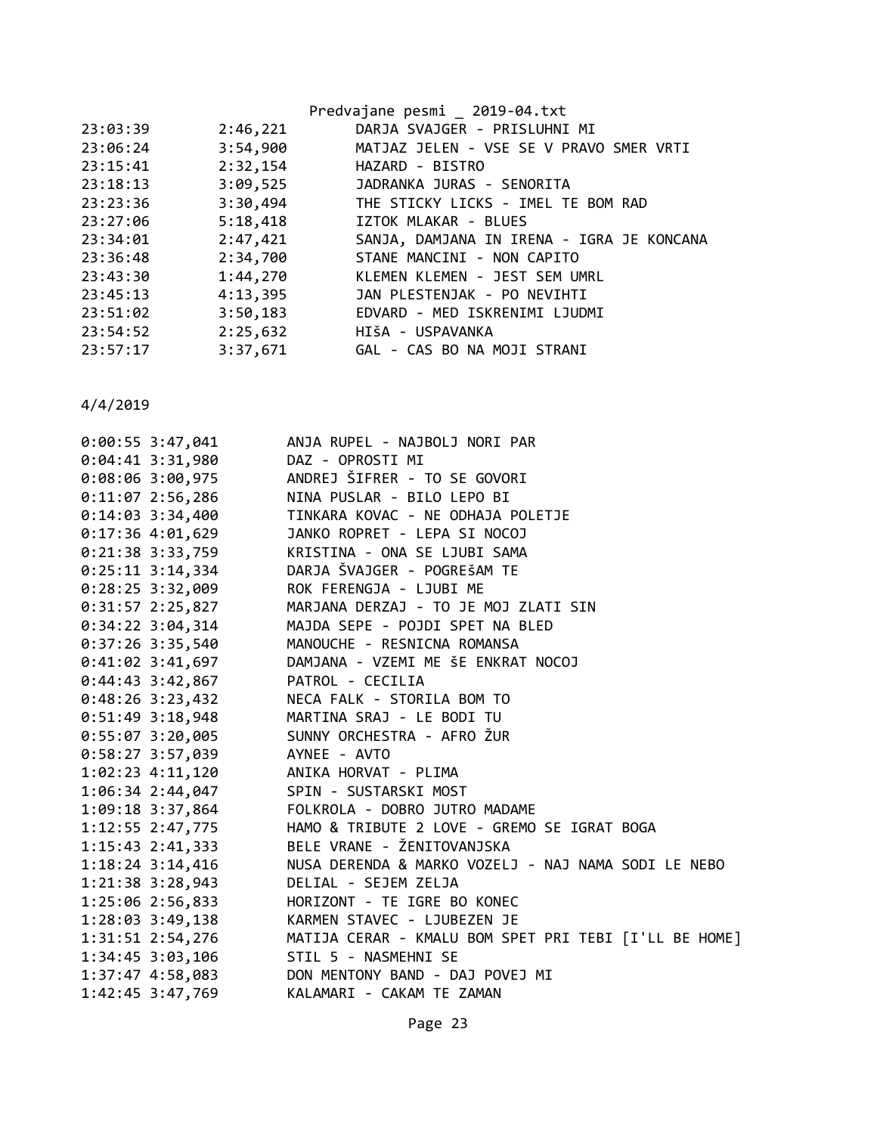|          |          | Predvajane pesmi _ 2019-04.txt            |
|----------|----------|-------------------------------------------|
| 23:03:39 | 2:46,221 | DARJA SVAJGER - PRISLUHNI MI              |
| 23:06:24 | 3:54,900 | MATJAZ JELEN - VSE SE V PRAVO SMER VRTI   |
| 23:15:41 | 2:32,154 | HAZARD - BISTRO                           |
| 23:18:13 |          | 3:09,525 JADRANKA JURAS - SENORITA        |
| 23:23:36 | 3:30,494 | THE STICKY LICKS - IMEL TE BOM RAD        |
| 23:27:06 | 5:18,418 | IZTOK MLAKAR - BLUES                      |
| 23:34:01 | 2:47,421 | SANJA, DAMJANA IN IRENA - IGRA JE KONCANA |
| 23:36:48 | 2:34,700 | STANE MANCINI - NON CAPITO                |
| 23:43:30 | 1:44,270 | KLEMEN KLEMEN - JEST SEM UMRL             |
| 23:45:13 | 4:13,395 | JAN PLESTENJAK - PO NEVIHTI               |
| 23:51:02 | 3:50,183 | EDVARD - MED ISKRENIMI LJUDMI             |
| 23:54:52 | 2:25,632 | HIŠA - USPAVANKA                          |
| 23:57:17 | 3:37,671 | GAL - CAS BO NA MOJI STRANI               |
|          |          |                                           |

| $0:00:55$ 3:47,041                     | ANJA RUPEL - NAJBOLJ NORI PAR                                |
|----------------------------------------|--------------------------------------------------------------|
| $0:04:41$ 3:31,980                     | DAZ - OPROSTI MI                                             |
| $0:08:06$ 3:00,975                     | ANDREJ ŠIFRER - TO SE GOVORI                                 |
| $0:11:07$ 2:56,286                     | NINA PUSLAR - BILO LEPO BI                                   |
| $0:14:03$ 3:34,400                     | TINKARA KOVAC - NE ODHAJA POLETJE                            |
| $0:17:36$ 4:01,629                     | JANKO ROPRET - LEPA SI NOCOJ                                 |
| 0:21:38 3:33,759                       | KRISTINA - ONA SE LJUBI SAMA                                 |
| $0:25:11$ 3:14,334                     | DARJA ŠVAJGER - POGREŠAM TE                                  |
| $0:28:25$ 3:32,009                     | ROK FERENGJA - LJUBI ME                                      |
| $0:31:57$ 2:25,827                     | MARJANA DERZAJ - TO JE MOJ ZLATI SIN                         |
| $0:34:22$ 3:04,314                     | MAJDA SEPE - POJDI SPET NA BLED                              |
| $0:37:26$ 3:35,540                     | MANOUCHE - RESNICNA ROMANSA                                  |
| $0:41:02$ 3:41,697                     | DAMJANA - VZEMI ME ŠE ENKRAT NOCOJ                           |
| $0:44:43$ 3:42,867                     | PATROL - CECILIA                                             |
|                                        | 0:48:26 3:23,432 NECA FALK - STORILA BOM TO                  |
|                                        | 0:51:49 3:18,948 MARTINA SRAJ - LE BODI TU                   |
| $0:55:07$ 3:20,005                     | SUNNY ORCHESTRA - AFRO ŽUR                                   |
| 0:58:27 3:57,039 AYNEE - AVTO          |                                                              |
| $1:02:23$ $4:11,120$                   | ANIKA HORVAT - PLIMA                                         |
| 1:06:34 2:44,047 SPIN - SUSTARSKI MOST |                                                              |
|                                        | 1:09:18 3:37,864 FOLKROLA - DOBRO JUTRO MADAME               |
|                                        | 1:12:55 2:47,775 HAMO & TRIBUTE 2 LOVE - GREMO SE IGRAT BOGA |
| $1:15:43$ $2:41,333$                   | BELE VRANE - ŽENITOVANJSKA                                   |
| $1:18:24$ 3:14,416                     | NUSA DERENDA & MARKO VOZELJ - NAJ NAMA SODI LE NEBO          |
| 1:21:38 3:28,943                       | DELIAL - SEJEM ZELJA                                         |
| 1:25:06 2:56,833                       | HORIZONT - TE IGRE BO KONEC                                  |
| $1:28:03$ 3:49,138                     | KARMEN STAVEC - LJUBEZEN JE                                  |
| 1:31:51 2:54,276                       | MATIJA CERAR - KMALU BOM SPET PRI TEBI [I'LL BE HOME]        |
| 1:34:45 3:03,106                       | STIL 5 - NASMEHNI SE                                         |
|                                        | 1:37:47 4:58,083 DON MENTONY BAND - DAJ POVEJ MI             |
| 1:42:45 3:47,769                       | KALAMARI - CAKAM TE ZAMAN                                    |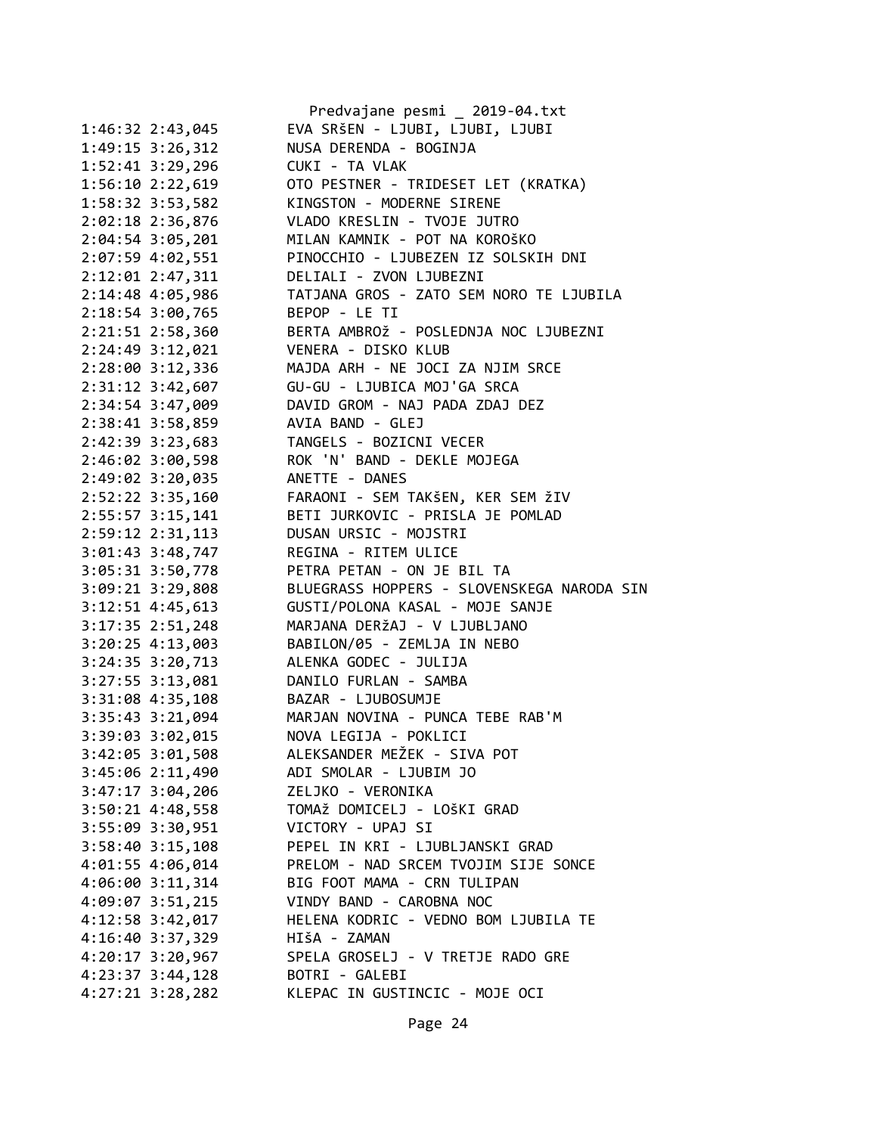|                      | Predvajane pesmi _ 2019-04.txt                                                          |
|----------------------|-----------------------------------------------------------------------------------------|
| 1:46:32 2:43,045     | EVA SRŠEN - LJUBI, LJUBI, LJUBI                                                         |
| 1:49:15 3:26,312     | NUSA DERENDA - BOGINJA                                                                  |
| 1:52:41 3:29,296     | CUKI - TA VLAK                                                                          |
| 1:56:10 2:22,619     | OTO PESTNER - TRIDESET LET (KRATKA)                                                     |
| 1:58:32 3:53,582     | KINGSTON - MODERNE SIRENE                                                               |
| 2:02:18 2:36,876     | VLADO KRESLIN - TVOJE JUTRO                                                             |
| 2:04:54 3:05,201     | MILAN KAMNIK - POT NA KOROŠKO                                                           |
| 2:07:59 4:02,551     | PINOCCHIO - LJUBEZEN IZ SOLSKIH DNI                                                     |
| 2:12:01 2:47,311     | DELIALI - ZVON LJUBEZNI                                                                 |
| 2:14:48 4:05,986     | TATJANA GROS - ZATO SEM NORO TE LJUBILA                                                 |
| 2:18:54 3:00,765     | BEPOP - LE TI                                                                           |
| 2:21:51 2:58,360     | BERTA AMBROŽ - POSLEDNJA NOC LJUBEZNI                                                   |
| 2:24:49 3:12,021     | VENERA - DISKO KLUB                                                                     |
| 2:28:00 3:12,336     | MAJDA ARH - NE JOCI ZA NJIM SRCE                                                        |
| 2:31:12 3:42,607     | GU-GU - LJUBICA MOJ'GA SRCA                                                             |
| 2:34:54 3:47,009     | DAVID GROM - NAJ PADA ZDAJ DEZ                                                          |
| 2:38:41 3:58,859     | AVIA BAND - GLEJ                                                                        |
| 2:42:39 3:23,683     | TANGELS - BOZICNI VECER                                                                 |
| 2:46:02 3:00,598     | ROK 'N' BAND - DEKLE MOJEGA                                                             |
| 2:49:02 3:20,035     | ANETTE - DANES                                                                          |
| 2:52:22 3:35,160     | FARAONI - SEM TAKŠEN, KER SEM ŽIV                                                       |
| 2:55:57 3:15,141     | BETI JURKOVIC - PRISLA JE POMLAD                                                        |
| 2:59:12 2:31,113     | DUSAN URSIC - MOJSTRI                                                                   |
| 3:01:43 3:48,747     | REGINA - RITEM ULICE                                                                    |
| 3:05:31 3:50,778     | PETRA PETAN - ON JE BIL TA                                                              |
| 3:09:21 3:29,808     | BLUEGRASS HOPPERS - SLOVENSKEGA NARODA SIN                                              |
| 3:12:51 4:45,613     | GUSTI/POLONA KASAL - MOJE SANJE                                                         |
| 3:17:35 2:51,248     | MARJANA DERŽAJ - V LJUBLJANO                                                            |
| 3:20:25 4:13,003     | BABILON/05 - ZEMLJA IN NEBO                                                             |
| 3:24:35 3:20,713     | ALENKA GODEC - JULIJA                                                                   |
| 3:27:55 3:13,081     | DANILO FURLAN - SAMBA                                                                   |
| 3:31:08 4:35,108     | BAZAR - LJUBOSUMJE                                                                      |
| 3:35:43 3:21,094     | MARJAN NOVINA - PUNCA TEBE RAB'M                                                        |
| 3:39:03 3:02,015     | NOVA LEGIJA - POKLICI                                                                   |
| $3:42:05$ $3:01,508$ | ALEKSANDER MEŽEK - SIVA POT                                                             |
| 3:45:06 2:11,490     | ADI SMOLAR - LJUBIM JO                                                                  |
|                      | ZELJKO - VERONIKA                                                                       |
| $3:47:17$ $3:04,206$ | TOMAŽ DOMICELJ - LOŠKI GRAD                                                             |
| $3:50:21$ 4:48,558   | VICTORY - UPAJ SI                                                                       |
| 3:55:09 3:30,951     |                                                                                         |
|                      | 3:58:40 3:15,108 PEPEL IN KRI - LJUBLJANSKI GRAD                                        |
|                      | 4:01:55  4:06,014   PRELOM - NAD SRCEM TVOJIM SIJE SONCE<br>BIG FOOT MAMA - CRN TULIPAN |
| $4:06:00$ 3:11,314   |                                                                                         |
| 4:09:07 3:51,215     | VINDY BAND - CAROBNA NOC                                                                |
| $4:12:58$ $3:42,017$ | HELENA KODRIC - VEDNO BOM LJUBILA TE                                                    |
| 4:16:40 3:37,329     | HIŠA - ZAMAN                                                                            |
| 4:20:17 3:20,967     | SPELA GROSELJ - V TRETJE RADO GRE                                                       |
| $4:23:37$ $3:44,128$ | BOTRI - GALEBI                                                                          |
| $4:27:21$ $3:28,282$ | KLEPAC IN GUSTINCIC - MOJE OCI                                                          |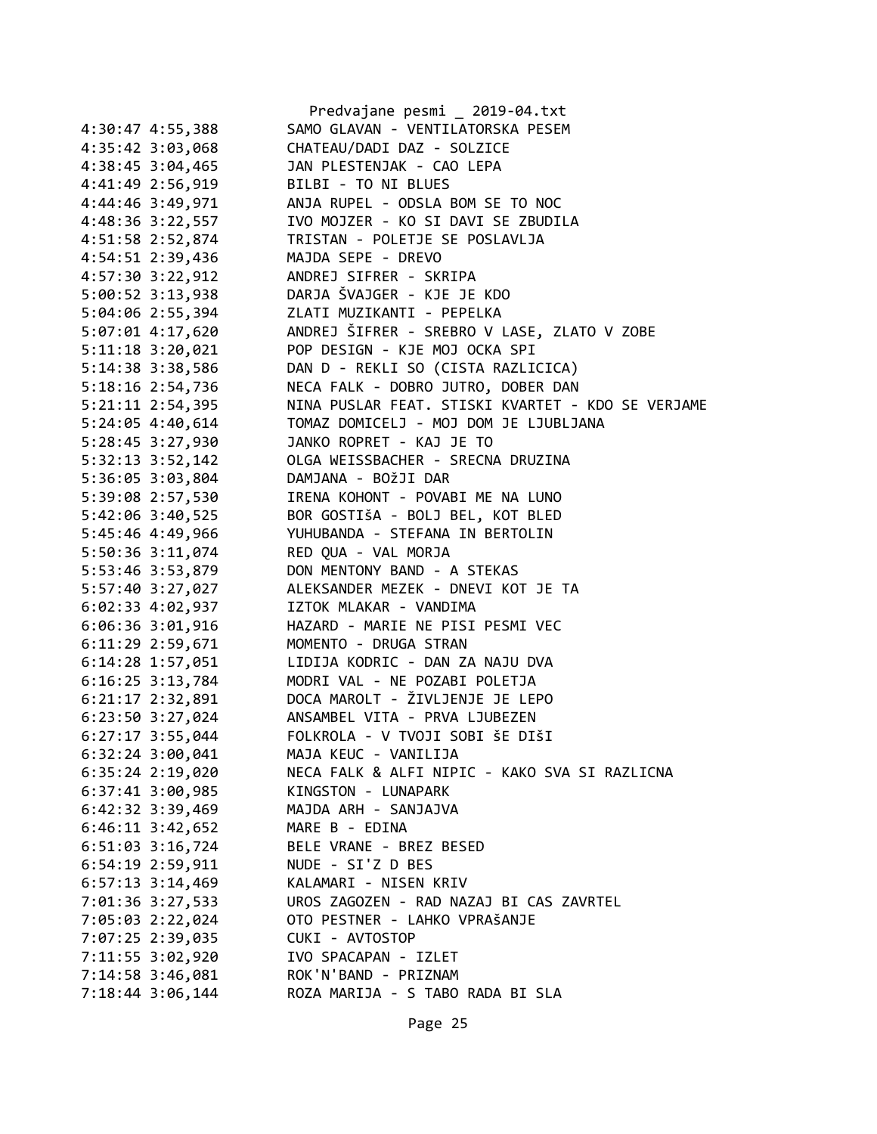|                      | Predvajane pesmi _ 2019-04.txt                     |
|----------------------|----------------------------------------------------|
| 4:30:47 4:55,388     | SAMO GLAVAN - VENTILATORSKA PESEM                  |
| 4:35:42 3:03,068     | CHATEAU/DADI DAZ - SOLZICE                         |
| 4:38:45 3:04,465     | JAN PLESTENJAK - CAO LEPA                          |
| 4:41:49 2:56,919     | BILBI - TO NI BLUES                                |
| 4:44:46 3:49,971     | ANJA RUPEL - ODSLA BOM SE TO NOC                   |
| 4:48:36 3:22,557     | IVO MOJZER - KO SI DAVI SE ZBUDILA                 |
| 4:51:58 2:52,874     | TRISTAN - POLETJE SE POSLAVLJA                     |
| 4:54:51 2:39,436     | MAJDA SEPE - DREVO                                 |
| 4:57:30 3:22,912     | ANDREJ SIFRER - SKRIPA                             |
|                      | 5:00:52 3:13,938 DARJA ŠVAJGER - KJE JE KDO        |
|                      | 5:04:06 2:55,394 ZLATI MUZIKANTI - PEPELKA         |
| 5:07:01 4:17,620     | ANDREJ ŠIFRER - SREBRO V LASE, ZLATO V ZOBE        |
| $5:11:18$ $3:20,021$ | POP DESIGN - KJE MOJ OCKA SPI                      |
| 5:14:38 3:38,586     | DAN D - REKLI SO (CISTA RAZLICICA)                 |
| 5:18:16 2:54,736     | NECA FALK - DOBRO JUTRO, DOBER DAN                 |
| $5:21:11$ $2:54,395$ | NINA PUSLAR FEAT. STISKI KVARTET - KDO SE VERJAME  |
| 5:24:05 4:40,614     | TOMAZ DOMICELJ - MOJ DOM JE LJUBLJANA              |
| 5:28:45 3:27,930     | JANKO ROPRET - KAJ JE TO                           |
|                      | 5:32:13 3:52,142 OLGA WEISSBACHER - SRECNA DRUZINA |
| 5:36:05 3:03,804     | DAMJANA - BOŽJI DAR                                |
| 5:39:08 2:57,530     | IRENA KOHONT - POVABI ME NA LUNO                   |
| 5:42:06 3:40,525     | BOR GOSTIŠA - BOLJ BEL, KOT BLED                   |
| 5:45:46 4:49,966     | YUHUBANDA - STEFANA IN BERTOLIN                    |
| 5:50:36 3:11,074     | RED QUA - VAL MORJA                                |
| 5:53:46 3:53,879     | DON MENTONY BAND - A STEKAS                        |
| 5:57:40 3:27,027     | ALEKSANDER MEZEK - DNEVI KOT JE TA                 |
| 6:02:33 4:02,937     | IZTOK MLAKAR - VANDIMA                             |
| 6:06:36 3:01,916     | HAZARD - MARIE NE PISI PESMI VEC                   |
| 6:11:29 2:59,671     | MOMENTO - DRUGA STRAN                              |
| $6:14:28$ 1:57,051   | LIDIJA KODRIC - DAN ZA NAJU DVA                    |
|                      | MODRI VAL - NE POZABI POLETJA                      |
| $6:16:25$ 3:13,784   | DOCA MAROLT - ŽIVLJENJE JE LEPO                    |
| $6:21:17$ $2:32,891$ |                                                    |
|                      | 6:23:50 3:27,024 ANSAMBEL VITA - PRVA LJUBEZEN     |
| $6:27:17$ 3:55,044   | FOLKROLA - V TVOJI SOBI ŠE DIŠI                    |
| 6:32:24 3:00,041     | MAJA KEUC - VANILIJA                               |
| 6:35:24 2:19,020     | NECA FALK & ALFI NIPIC - KAKO SVA SI RAZLICNA      |
| $6:37:41$ $3:00,985$ | KINGSTON - LUNAPARK                                |
| 6:42:32 3:39,469     | MAJDA ARH - SANJAJVA                               |
| $6:46:11$ 3:42,652   | MARE B - EDINA                                     |
| $6:51:03$ $3:16,724$ | BELE VRANE - BREZ BESED                            |
| $6:54:19$ $2:59,911$ | NUDE - SI'Z D BES                                  |
| $6:57:13$ 3:14,469   | KALAMARI - NISEN KRIV                              |
| 7:01:36 3:27,533     | UROS ZAGOZEN - RAD NAZAJ BI CAS ZAVRTEL            |
| 7:05:03 2:22,024     | OTO PESTNER - LAHKO VPRAŠANJE                      |
| 7:07:25 2:39,035     | CUKI - AVTOSTOP                                    |
| 7:11:55 3:02,920     | IVO SPACAPAN - IZLET                               |
| 7:14:58 3:46,081     | ROK'N'BAND - PRIZNAM                               |
| 7:18:44 3:06,144     | ROZA MARIJA - S TABO RADA BI SLA                   |
|                      |                                                    |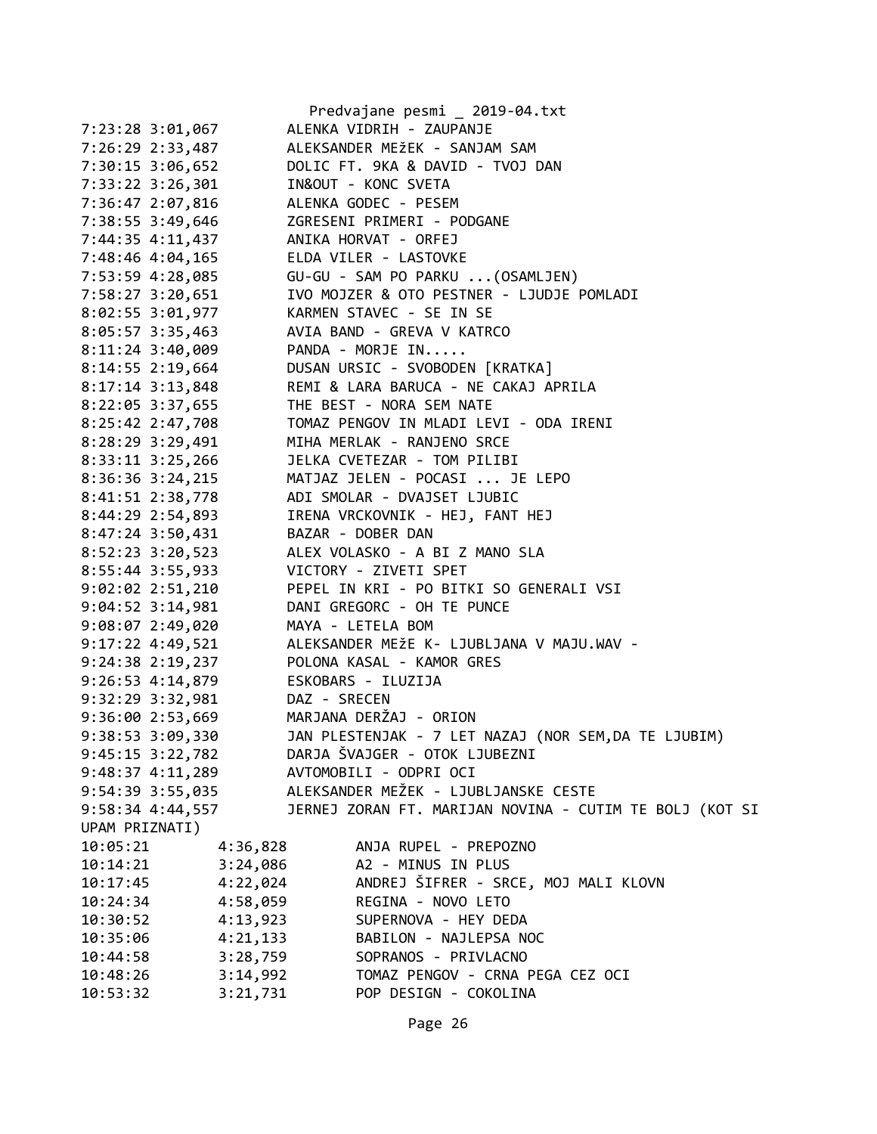|                                                         |                                  | Predvajane pesmi _ 2019-04.txt                           |
|---------------------------------------------------------|----------------------------------|----------------------------------------------------------|
| 7:23:28 3:01,067                                        | ALENKA VIDRIH - ZAUPANJE         |                                                          |
| 7:26:29 2:33,487                                        | ALEKSANDER MEŽEK - SANJAM SAM    |                                                          |
| 7:30:15 3:06,652                                        | DOLIC FT. 9KA & DAVID - TVOJ DAN |                                                          |
| 7:33:22 3:26,301 IN&OUT - KONC SVETA                    |                                  |                                                          |
| 7:36:47 2:07,816 ALENKA GODEC - PESEM                   |                                  |                                                          |
|                                                         |                                  |                                                          |
| 7:44:35 4:11,437 ANIKA HORVAT - ORFEJ                   |                                  |                                                          |
| 7:48:46 4:04,165                                        | ELDA VILER - LASTOVKE            |                                                          |
| 7:53:59 4:28,085 GU-GU - SAM PO PARKU  (OSAMLJEN)       |                                  |                                                          |
|                                                         |                                  |                                                          |
| 8:02:55 3:01,977 KARMEN STAVEC - SE IN SE               |                                  |                                                          |
| 8:05:57 3:35,463 AVIA BAND - GREVA V KATRCO             |                                  |                                                          |
| $8:11:24$ 3:40,009 PANDA - MORJE IN                     |                                  |                                                          |
| 8:14:55 2:19,664 DUSAN URSIC - SVOBODEN [KRATKA]        |                                  |                                                          |
| $8:17:14$ 3:13,848                                      |                                  | REMI & LARA BARUCA - NE CAKAJ APRILA                     |
| 8:22:05 3:37,655                                        | THE BEST - NORA SEM NATE         |                                                          |
| 8:25:42 2:47,708 TOMAZ PENGOV IN MLADI LEVI - ODA IRENI |                                  |                                                          |
| 8:28:29 3:29,491                                        | MIHA MERLAK - RANJENO SRCE       |                                                          |
| 8:33:11 3:25,266 JELKA CVETEZAR - TOM PILIBI            |                                  |                                                          |
| 8:36:36 3:24,215                                        | MATJAZ JELEN - POCASI  JE LEPO   |                                                          |
| 8:41:51 2:38,778                                        | ADI SMOLAR - DVAJSET LJUBIC      |                                                          |
| 8:44:29 2:54,893                                        | IRENA VRCKOVNIK - HEJ, FANT HEJ  |                                                          |
| 8:47:24 3:50,431 BAZAR - DOBER DAN                      |                                  |                                                          |
| 8:52:23 3:20,523 ALEX VOLASKO - A BI Z MANO SLA         |                                  |                                                          |
| 8:55:44 3:55,933 VICTORY - ZIVETI SPET                  |                                  |                                                          |
|                                                         |                                  | 9:02:02 2:51,210 PEPEL IN KRI - PO BITKI SO GENERALI VSI |
| $9:04:52$ 3:14,981                                      | DANI GREGORC - OH TE PUNCE       |                                                          |
| $9:08:07$ 2:49,020                                      | MAYA - LETELA BOM                |                                                          |
| 9:17:22 4:49,521                                        |                                  | ALEKSANDER MEŽE K- LJUBLJANA V MAJU.WAV -                |
| 9:24:38 2:19,237 POLONA KASAL - KAMOR GRES              |                                  |                                                          |
| 9:26:53 4:14,879 ESKOBARS - ILUZIJA                     |                                  |                                                          |
| 9:32:29 3:32,981 DAZ - SRECEN                           |                                  |                                                          |
| 9:36:00 2:53,669 MARJANA DERŽAJ - ORION                 |                                  |                                                          |
| 9:38:53 3:09,330                                        |                                  | JAN PLESTENJAK - 7 LET NAZAJ (NOR SEM, DA TE LJUBIM)     |
| 9:45:15 3:22,782                                        | DARJA ŠVAJGER - OTOK LJUBEZNI    |                                                          |
| $9:48:37$ $4:11,289$                                    | AVTOMOBILI - ODPRI OCI           |                                                          |
|                                                         |                                  | ALEKSANDER MEŽEK - LJUBLJANSKE CESTE                     |
| 9:54:39 3:55,035                                        |                                  |                                                          |
| 9:58:34 4:44,557                                        |                                  | JERNEJ ZORAN FT. MARIJAN NOVINA - CUTIM TE BOLJ (KOT SI  |
| UPAM PRIZNATI)                                          |                                  |                                                          |
| 10:05:21<br>4:36,828                                    | A2 - MINUS IN PLUS               | ANJA RUPEL - PREPOZNO                                    |
| 3:24,086<br>10:14:21                                    |                                  |                                                          |
| 4:22,024<br>10:17:45                                    |                                  | ANDREJ ŠIFRER - SRCE, MOJ MALI KLOVN                     |
| 4:58,059<br>10:24:34                                    | REGINA - NOVO LETO               |                                                          |
| 4:13,923<br>10:30:52                                    |                                  | SUPERNOVA - HEY DEDA                                     |
| 4:21,133<br>10:35:06                                    |                                  | BABILON - NAJLEPSA NOC                                   |
| 3:28,759<br>10:44:58                                    |                                  | SOPRANOS - PRIVLACNO                                     |
| 3:14,992<br>10:48:26                                    |                                  | TOMAZ PENGOV - CRNA PEGA CEZ OCI                         |
| 10:53:32<br>3:21,731                                    |                                  | POP DESIGN - COKOLINA                                    |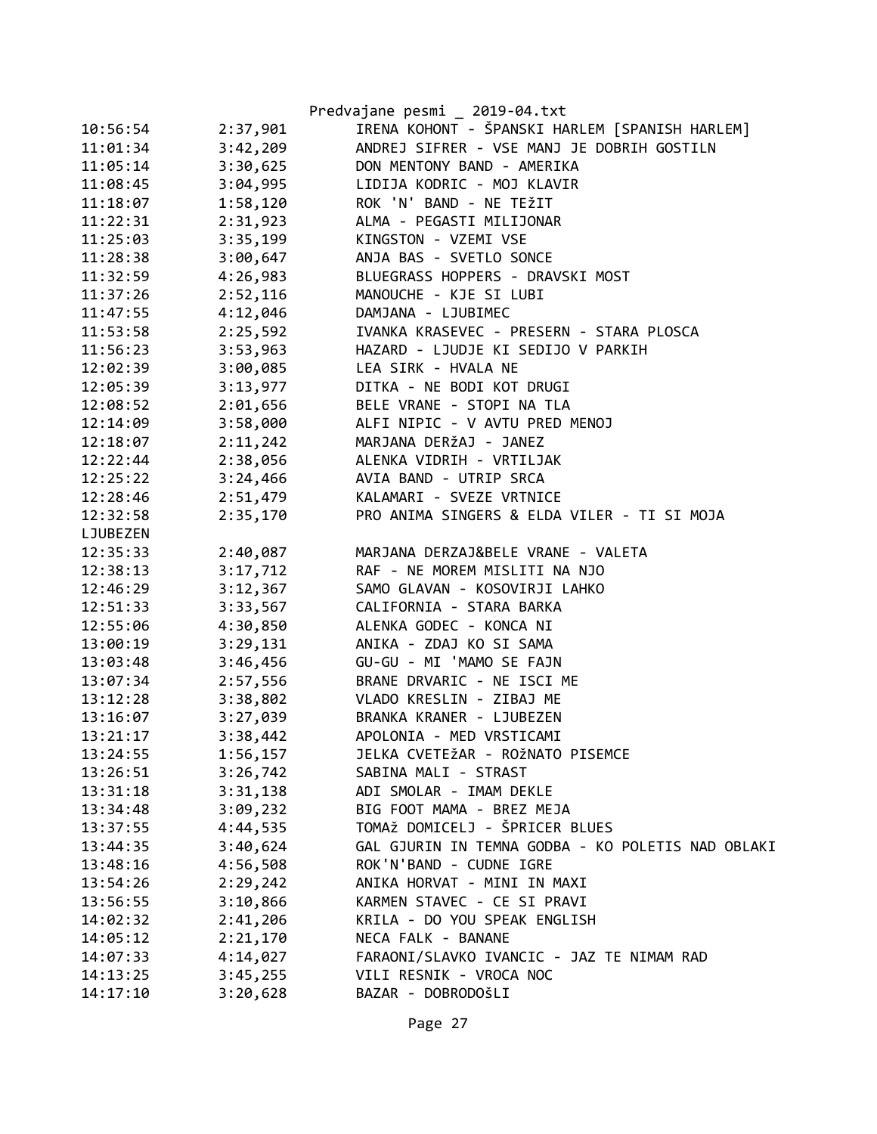|          |          | Predvajane pesmi _ 2019-04.txt                    |
|----------|----------|---------------------------------------------------|
| 10:56:54 | 2:37,901 | IRENA KOHONT - ŠPANSKI HARLEM [SPANISH HARLEM]    |
| 11:01:34 | 3:42,209 | ANDREJ SIFRER - VSE MANJ JE DOBRIH GOSTILN        |
| 11:05:14 | 3:30,625 | DON MENTONY BAND - AMERIKA                        |
| 11:08:45 | 3:04,995 | LIDIJA KODRIC - MOJ KLAVIR                        |
| 11:18:07 | 1:58,120 | ROK 'N' BAND - NE TEŽIT                           |
| 11:22:31 | 2:31,923 | ALMA - PEGASTI MILIJONAR                          |
| 11:25:03 | 3:35,199 | KINGSTON - VZEMI VSE                              |
| 11:28:38 | 3:00,647 | ANJA BAS - SVETLO SONCE                           |
| 11:32:59 | 4:26,983 | BLUEGRASS HOPPERS - DRAVSKI MOST                  |
| 11:37:26 | 2:52,116 | MANOUCHE - KJE SI LUBI                            |
| 11:47:55 | 4:12,046 | DAMJANA - LJUBIMEC                                |
| 11:53:58 | 2:25,592 | IVANKA KRASEVEC - PRESERN - STARA PLOSCA          |
| 11:56:23 | 3:53,963 | HAZARD - LJUDJE KI SEDIJO V PARKIH                |
| 12:02:39 | 3:00,085 | LEA SIRK - HVALA NE                               |
| 12:05:39 | 3:13,977 | DITKA - NE BODI KOT DRUGI                         |
| 12:08:52 | 2:01,656 | BELE VRANE - STOPI NA TLA                         |
| 12:14:09 | 3:58,000 | ALFI NIPIC - V AVTU PRED MENOJ                    |
| 12:18:07 | 2:11,242 | MARJANA DERŽAJ - JANEZ                            |
| 12:22:44 | 2:38,056 | ALENKA VIDRIH - VRTILJAK                          |
| 12:25:22 | 3:24,466 | AVIA BAND - UTRIP SRCA                            |
| 12:28:46 | 2:51,479 | KALAMARI - SVEZE VRTNICE                          |
| 12:32:58 | 2:35,170 | PRO ANIMA SINGERS & ELDA VILER - TI SI MOJA       |
| LJUBEZEN |          |                                                   |
| 12:35:33 | 2:40,087 | MARJANA DERZAJ&BELE VRANE - VALETA                |
| 12:38:13 | 3:17,712 | RAF - NE MOREM MISLITI NA NJO                     |
| 12:46:29 | 3:12,367 | SAMO GLAVAN - KOSOVIRJI LAHKO                     |
| 12:51:33 | 3:33,567 | CALIFORNIA - STARA BARKA                          |
| 12:55:06 | 4:30,850 | ALENKA GODEC - KONCA NI                           |
| 13:00:19 | 3:29,131 | ANIKA - ZDAJ KO SI SAMA                           |
| 13:03:48 | 3:46,456 | GU-GU - MI 'MAMO SE FAJN                          |
| 13:07:34 | 2:57,556 | BRANE DRVARIC - NE ISCI ME                        |
| 13:12:28 | 3:38,802 | VLADO KRESLIN - ZIBAJ ME                          |
| 13:16:07 | 3:27,039 | BRANKA KRANER - LJUBEZEN                          |
| 13:21:17 | 3:38,442 | APOLONIA - MED VRSTICAMI                          |
| 13:24:55 | 1:56,157 | JELKA CVETEŽAR - ROŽNATO PISEMCE                  |
| 13:26:51 | 3:26,742 | SABINA MALI - STRAST                              |
| 13:31:18 | 3:31,138 | ADI SMOLAR - IMAM DEKLE                           |
| 13:34:48 | 3:09,232 | BIG FOOT MAMA - BREZ MEJA                         |
| 13:37:55 | 4:44,535 | TOMAŽ DOMICELJ - ŠPRICER BLUES                    |
| 13:44:35 | 3:40,624 | GAL GJURIN IN TEMNA GODBA - KO POLETIS NAD OBLAKI |
| 13:48:16 | 4:56,508 | ROK'N'BAND - CUDNE IGRE                           |
| 13:54:26 | 2:29,242 | ANIKA HORVAT - MINI IN MAXI                       |
| 13:56:55 | 3:10,866 | KARMEN STAVEC - CE SI PRAVI                       |
| 14:02:32 | 2:41,206 | KRILA - DO YOU SPEAK ENGLISH                      |
| 14:05:12 | 2:21,170 | NECA FALK - BANANE                                |
| 14:07:33 | 4:14,027 | FARAONI/SLAVKO IVANCIC - JAZ TE NIMAM RAD         |
| 14:13:25 | 3:45,255 | VILI RESNIK - VROCA NOC                           |
| 14:17:10 | 3:20,628 | BAZAR - DOBRODOŠLI                                |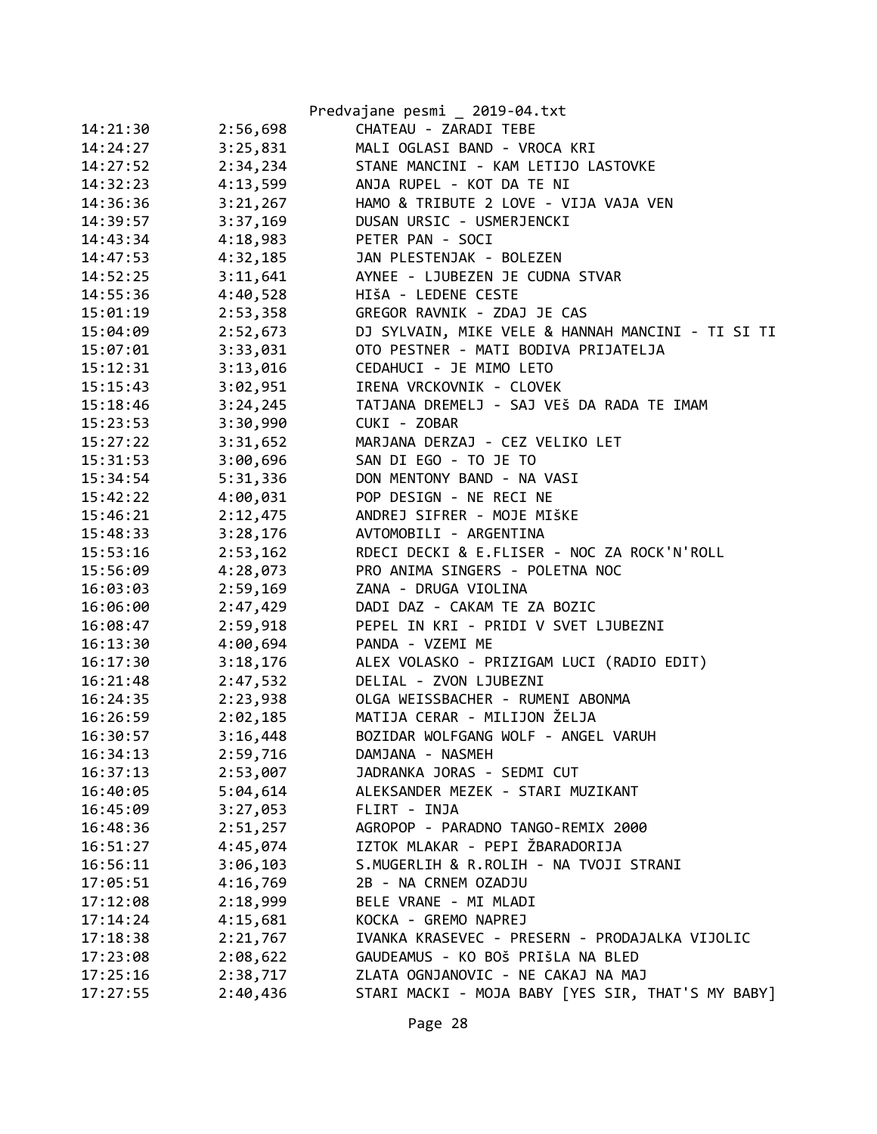|          |          | Predvajane pesmi _ 2019-04.txt                    |
|----------|----------|---------------------------------------------------|
| 14:21:30 | 2:56,698 | CHATEAU - ZARADI TEBE                             |
| 14:24:27 | 3:25,831 | MALI OGLASI BAND - VROCA KRI                      |
| 14:27:52 | 2:34,234 | STANE MANCINI - KAM LETIJO LASTOVKE               |
| 14:32:23 | 4:13,599 | ANJA RUPEL - KOT DA TE NI                         |
| 14:36:36 | 3:21,267 | HAMO & TRIBUTE 2 LOVE - VIJA VAJA VEN             |
| 14:39:57 | 3:37,169 | DUSAN URSIC - USMERJENCKI                         |
| 14:43:34 | 4:18,983 | PETER PAN - SOCI                                  |
| 14:47:53 | 4:32,185 | JAN PLESTENJAK - BOLEZEN                          |
| 14:52:25 | 3:11,641 | AYNEE - LJUBEZEN JE CUDNA STVAR                   |
| 14:55:36 | 4:40,528 | HIŠA - LEDENE CESTE                               |
| 15:01:19 | 2:53,358 | GREGOR RAVNIK - ZDAJ JE CAS                       |
| 15:04:09 | 2:52,673 | DJ SYLVAIN, MIKE VELE & HANNAH MANCINI - TI SI TI |
| 15:07:01 | 3:33,031 | OTO PESTNER - MATI BODIVA PRIJATELJA              |
| 15:12:31 | 3:13,016 | CEDAHUCI - JE MIMO LETO                           |
| 15:15:43 | 3:02,951 | IRENA VRCKOVNIK - CLOVEK                          |
| 15:18:46 | 3:24,245 | TATJANA DREMELJ - SAJ VEŠ DA RADA TE IMAM         |
| 15:23:53 | 3:30,990 | CUKI - ZOBAR                                      |
| 15:27:22 | 3:31,652 | MARJANA DERZAJ - CEZ VELIKO LET                   |
| 15:31:53 | 3:00,696 | SAN DI EGO - TO JE TO                             |
| 15:34:54 | 5:31,336 | DON MENTONY BAND - NA VASI                        |
| 15:42:22 | 4:00,031 | POP DESIGN - NE RECI NE                           |
| 15:46:21 | 2:12,475 | ANDREJ SIFRER - MOJE MIŠKE                        |
| 15:48:33 | 3:28,176 | AVTOMOBILI - ARGENTINA                            |
| 15:53:16 | 2:53,162 | RDECI DECKI & E.FLISER - NOC ZA ROCK'N'ROLL       |
| 15:56:09 | 4:28,073 | PRO ANIMA SINGERS - POLETNA NOC                   |
| 16:03:03 | 2:59,169 | ZANA - DRUGA VIOLINA                              |
| 16:06:00 | 2:47,429 | DADI DAZ - CAKAM TE ZA BOZIC                      |
| 16:08:47 | 2:59,918 | PEPEL IN KRI - PRIDI V SVET LJUBEZNI              |
| 16:13:30 | 4:00,694 | PANDA - VZEMI ME                                  |
| 16:17:30 | 3:18,176 | ALEX VOLASKO - PRIZIGAM LUCI (RADIO EDIT)         |
| 16:21:48 | 2:47,532 | DELIAL - ZVON LJUBEZNI                            |
| 16:24:35 | 2:23,938 | OLGA WEISSBACHER - RUMENI ABONMA                  |
| 16:26:59 | 2:02,185 | MATIJA CERAR - MILIJON ŽELJA                      |
| 16:30:57 | 3:16,448 | BOZIDAR WOLFGANG WOLF - ANGEL VARUH               |
| 16:34:13 | 2:59,716 | DAMJANA - NASMEH                                  |
| 16:37:13 | 2:53,007 | JADRANKA JORAS - SEDMI CUT                        |
| 16:40:05 | 5:04,614 | ALEKSANDER MEZEK - STARI MUZIKANT                 |
| 16:45:09 | 3:27,053 | FLIRT - INJA                                      |
| 16:48:36 | 2:51,257 | AGROPOP - PARADNO TANGO-REMIX 2000                |
| 16:51:27 | 4:45,074 | IZTOK MLAKAR - PEPI ŽBARADORIJA                   |
| 16:56:11 | 3:06,103 | S.MUGERLIH & R.ROLIH - NA TVOJI STRANI            |
| 17:05:51 | 4:16,769 | 2B - NA CRNEM OZADJU                              |
| 17:12:08 | 2:18,999 | BELE VRANE - MI MLADI                             |
| 17:14:24 | 4:15,681 | KOCKA - GREMO NAPREJ                              |
| 17:18:38 | 2:21,767 | IVANKA KRASEVEC - PRESERN - PRODAJALKA VIJOLIC    |
| 17:23:08 | 2:08,622 | GAUDEAMUS - KO BOŠ PRIŠLA NA BLED                 |
| 17:25:16 | 2:38,717 | ZLATA OGNJANOVIC - NE CAKAJ NA MAJ                |
| 17:27:55 | 2:40,436 | STARI MACKI - MOJA BABY [YES SIR, THAT'S MY BABY] |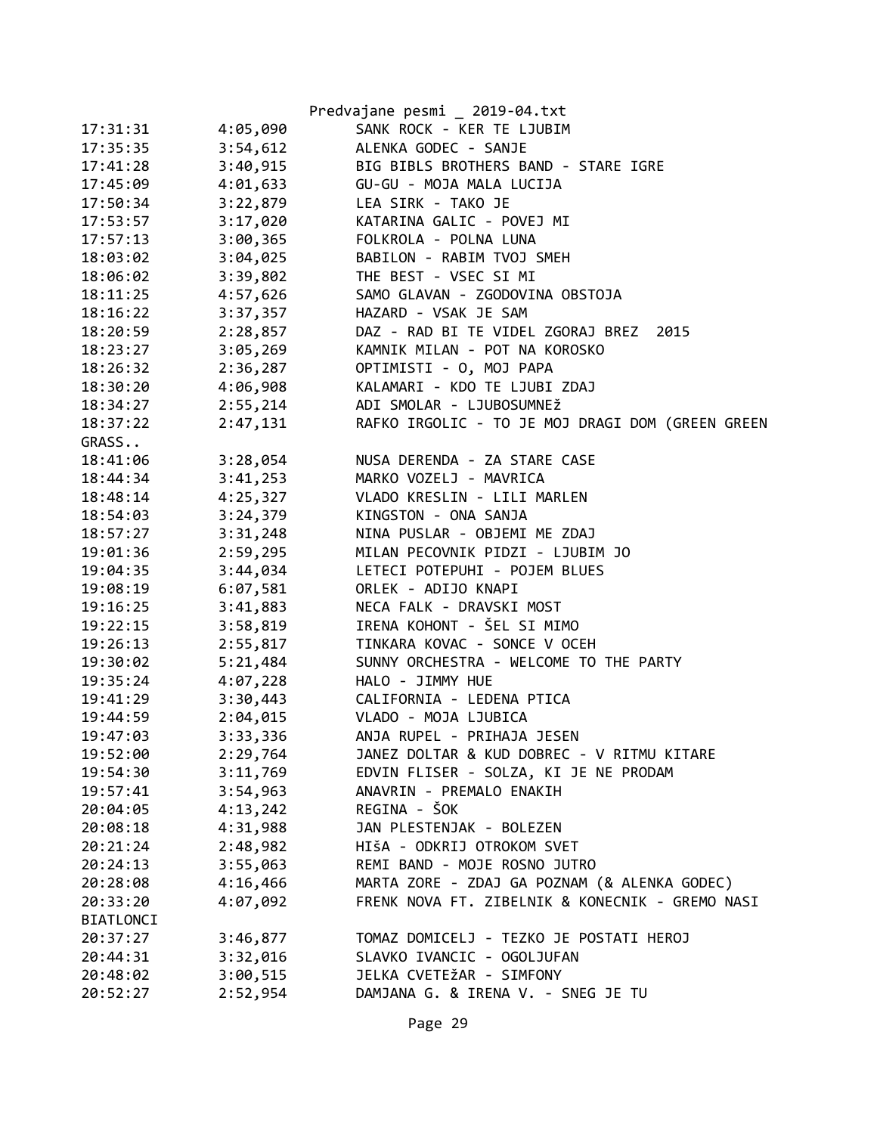|           |          | Predvajane pesmi _ 2019-04.txt                   |
|-----------|----------|--------------------------------------------------|
| 17:31:31  | 4:05,090 | SANK ROCK - KER TE LJUBIM                        |
| 17:35:35  | 3:54,612 | ALENKA GODEC - SANJE                             |
| 17:41:28  | 3:40,915 | BIG BIBLS BROTHERS BAND - STARE IGRE             |
| 17:45:09  | 4:01,633 | GU-GU - MOJA MALA LUCIJA                         |
| 17:50:34  | 3:22,879 | LEA SIRK - TAKO JE                               |
| 17:53:57  | 3:17,020 | KATARINA GALIC - POVEJ MI                        |
| 17:57:13  | 3:00,365 | FOLKROLA - POLNA LUNA                            |
| 18:03:02  | 3:04,025 | BABILON - RABIM TVOJ SMEH                        |
| 18:06:02  | 3:39,802 | THE BEST - VSEC SI MI                            |
| 18:11:25  | 4:57,626 | SAMO GLAVAN - ZGODOVINA OBSTOJA                  |
| 18:16:22  | 3:37,357 | HAZARD - VSAK JE SAM                             |
| 18:20:59  | 2:28,857 | DAZ - RAD BI TE VIDEL ZGORAJ BREZ<br>2015        |
| 18:23:27  | 3:05,269 | KAMNIK MILAN - POT NA KOROSKO                    |
| 18:26:32  | 2:36,287 | OPTIMISTI - O, MOJ PAPA                          |
| 18:30:20  | 4:06,908 | KALAMARI - KDO TE LJUBI ZDAJ                     |
| 18:34:27  | 2:55,214 | ADI SMOLAR - LJUBOSUMNEŽ                         |
| 18:37:22  | 2:47,131 | RAFKO IRGOLIC - TO JE MOJ DRAGI DOM (GREEN GREEN |
| GRASS     |          |                                                  |
| 18:41:06  | 3:28,054 | NUSA DERENDA - ZA STARE CASE                     |
| 18:44:34  | 3:41,253 | MARKO VOZELJ - MAVRICA                           |
| 18:48:14  | 4:25,327 | VLADO KRESLIN - LILI MARLEN                      |
| 18:54:03  | 3:24,379 | KINGSTON - ONA SANJA                             |
| 18:57:27  | 3:31,248 | NINA PUSLAR - OBJEMI ME ZDAJ                     |
| 19:01:36  | 2:59,295 | MILAN PECOVNIK PIDZI - LJUBIM JO                 |
| 19:04:35  | 3:44,034 | LETECI POTEPUHI - POJEM BLUES                    |
| 19:08:19  | 6:07,581 | ORLEK - ADIJO KNAPI                              |
| 19:16:25  | 3:41,883 | NECA FALK - DRAVSKI MOST                         |
| 19:22:15  | 3:58,819 | IRENA KOHONT - ŠEL SI MIMO                       |
| 19:26:13  | 2:55,817 | TINKARA KOVAC - SONCE V OCEH                     |
| 19:30:02  | 5:21,484 | SUNNY ORCHESTRA - WELCOME TO THE PARTY           |
| 19:35:24  | 4:07,228 | HALO - JIMMY HUE                                 |
| 19:41:29  | 3:30,443 | CALIFORNIA - LEDENA PTICA                        |
| 19:44:59  | 2:04,015 | VLADO - MOJA LJUBICA                             |
| 19:47:03  | 3:33,336 | ANJA RUPEL - PRIHAJA JESEN                       |
| 19:52:00  | 2:29,764 | JANEZ DOLTAR & KUD DOBREC - V RITMU KITARE       |
| 19:54:30  | 3:11,769 | EDVIN FLISER - SOLZA, KI JE NE PRODAM            |
| 19:57:41  | 3:54,963 | ANAVRIN - PREMALO ENAKIH                         |
| 20:04:05  | 4:13,242 | REGINA - ŠOK                                     |
| 20:08:18  | 4:31,988 | JAN PLESTENJAK - BOLEZEN                         |
| 20:21:24  | 2:48,982 | HIŠA - ODKRIJ OTROKOM SVET                       |
| 20:24:13  | 3:55,063 | REMI BAND - MOJE ROSNO JUTRO                     |
| 20:28:08  | 4:16,466 | MARTA ZORE - ZDAJ GA POZNAM (& ALENKA GODEC)     |
| 20:33:20  | 4:07,092 | FRENK NOVA FT. ZIBELNIK & KONECNIK - GREMO NASI  |
| BIATLONCI |          |                                                  |
| 20:37:27  | 3:46,877 | TOMAZ DOMICELJ - TEZKO JE POSTATI HEROJ          |
| 20:44:31  | 3:32,016 | SLAVKO IVANCIC - OGOLJUFAN                       |
| 20:48:02  | 3:00,515 | JELKA CVETEŽAR - SIMFONY                         |
| 20:52:27  | 2:52,954 | DAMJANA G. & IRENA V. - SNEG JE TU               |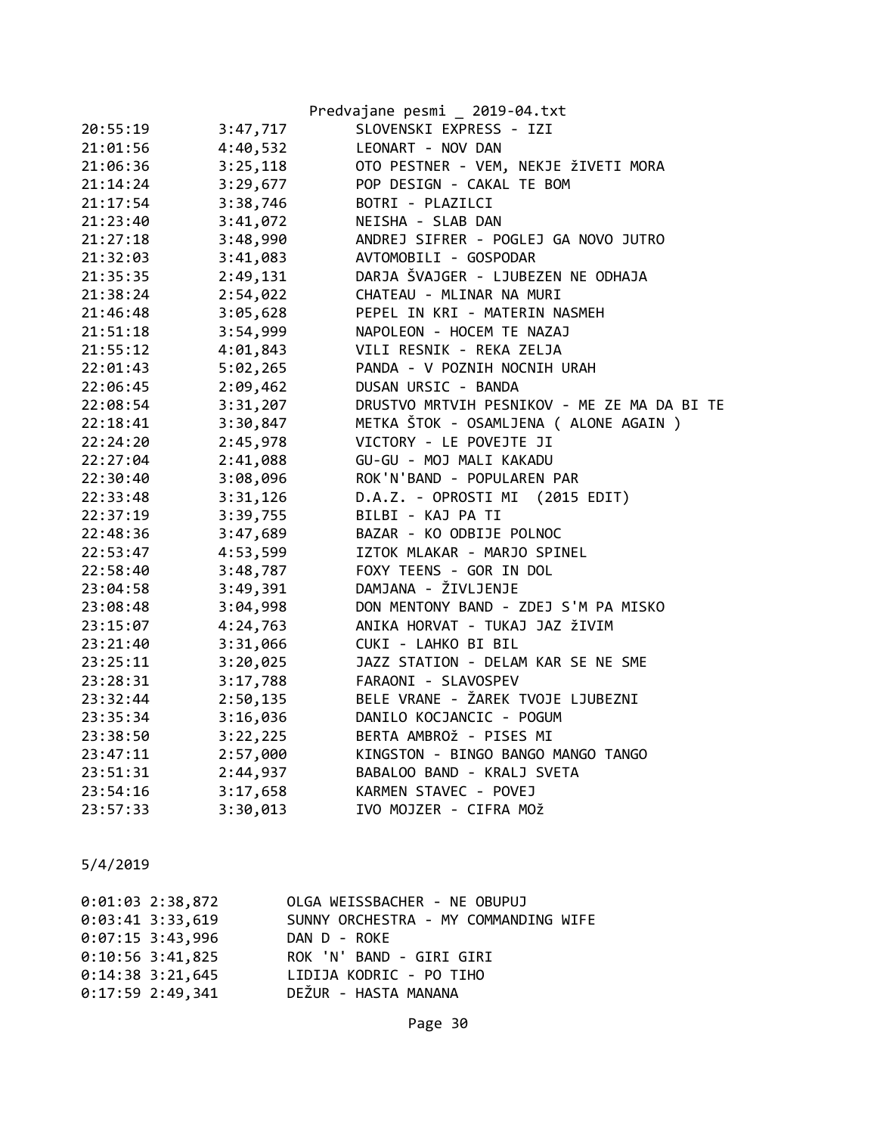|          |          | Predvajane pesmi _ 2019-04.txt              |
|----------|----------|---------------------------------------------|
| 20:55:19 | 3:47,717 | SLOVENSKI EXPRESS - IZI                     |
| 21:01:56 | 4:40,532 | LEONART - NOV DAN                           |
| 21:06:36 | 3:25,118 | OTO PESTNER - VEM, NEKJE ŽIVETI MORA        |
| 21:14:24 | 3:29,677 | POP DESIGN - CAKAL TE BOM                   |
| 21:17:54 | 3:38,746 | BOTRI - PLAZILCI                            |
| 21:23:40 | 3:41,072 | NEISHA - SLAB DAN                           |
| 21:27:18 | 3:48,990 | ANDREJ SIFRER - POGLEJ GA NOVO JUTRO        |
| 21:32:03 | 3:41,083 | AVTOMOBILI - GOSPODAR                       |
| 21:35:35 | 2:49,131 | DARJA ŠVAJGER - LJUBEZEN NE ODHAJA          |
| 21:38:24 | 2:54,022 | CHATEAU - MLINAR NA MURI                    |
| 21:46:48 | 3:05,628 | PEPEL IN KRI - MATERIN NASMEH               |
| 21:51:18 | 3:54,999 | NAPOLEON - HOCEM TE NAZAJ                   |
| 21:55:12 | 4:01,843 | VILI RESNIK - REKA ZELJA                    |
| 22:01:43 | 5:02,265 | PANDA - V POZNIH NOCNIH URAH                |
| 22:06:45 | 2:09,462 | DUSAN URSIC - BANDA                         |
| 22:08:54 | 3:31,207 | DRUSTVO MRTVIH PESNIKOV - ME ZE MA DA BI TE |
| 22:18:41 | 3:30,847 | METKA ŠTOK - OSAMLJENA ( ALONE AGAIN )      |
| 22:24:20 | 2:45,978 | VICTORY - LE POVEJTE JI                     |
| 22:27:04 | 2:41,088 | GU-GU - MOJ MALI KAKADU                     |
| 22:30:40 | 3:08,096 | ROK'N'BAND - POPULAREN PAR                  |
| 22:33:48 | 3:31,126 | D.A.Z. - OPROSTI MI (2015 EDIT)             |
| 22:37:19 | 3:39,755 | BILBI - KAJ PA TI                           |
| 22:48:36 | 3:47,689 | BAZAR - KO ODBIJE POLNOC                    |
| 22:53:47 | 4:53,599 | IZTOK MLAKAR - MARJO SPINEL                 |
| 22:58:40 | 3:48,787 | FOXY TEENS - GOR IN DOL                     |
| 23:04:58 | 3:49,391 | DAMJANA - ŽIVLJENJE                         |
| 23:08:48 | 3:04,998 | DON MENTONY BAND - ZDEJ S'M PA MISKO        |
| 23:15:07 | 4:24,763 | ANIKA HORVAT - TUKAJ JAZ ŽIVIM              |
| 23:21:40 | 3:31,066 | CUKI - LAHKO BI BIL                         |
| 23:25:11 | 3:20,025 | JAZZ STATION - DELAM KAR SE NE SME          |
| 23:28:31 | 3:17,788 | FARAONI - SLAVOSPEV                         |
| 23:32:44 | 2:50,135 | BELE VRANE - ŽAREK TVOJE LJUBEZNI           |
| 23:35:34 | 3:16,036 | DANILO KOCJANCIC - POGUM                    |
| 23:38:50 | 3:22,225 | BERTA AMBROŽ - PISES MI                     |
| 23:47:11 | 2:57,000 | KINGSTON - BINGO BANGO MANGO TANGO          |
| 23:51:31 | 2:44,937 | BABALOO BAND - KRALJ SVETA                  |
| 23:54:16 | 3:17,658 | KARMEN STAVEC - POVEJ                       |
| 23:57:33 | 3:30,013 | IVO MOJZER - CIFRA MOŽ                      |

| $0:01:03$ 2:38,872 | OLGA WEISSBACHER - NE OBUPUJ         |
|--------------------|--------------------------------------|
| $0:03:41$ 3:33,619 | SUNNY ORCHESTRA - MY COMMANDING WIFE |
| $0:07:15$ 3:43,996 | DAN D - ROKE                         |
| $0:10:56$ 3:41,825 | ROK 'N' BAND - GIRI GIRI             |
| $0:14:38$ 3:21,645 | LIDIJA KODRIC - PO TIHO              |
| $0:17:59$ 2:49,341 | DEŽUR - HASTA MANANA                 |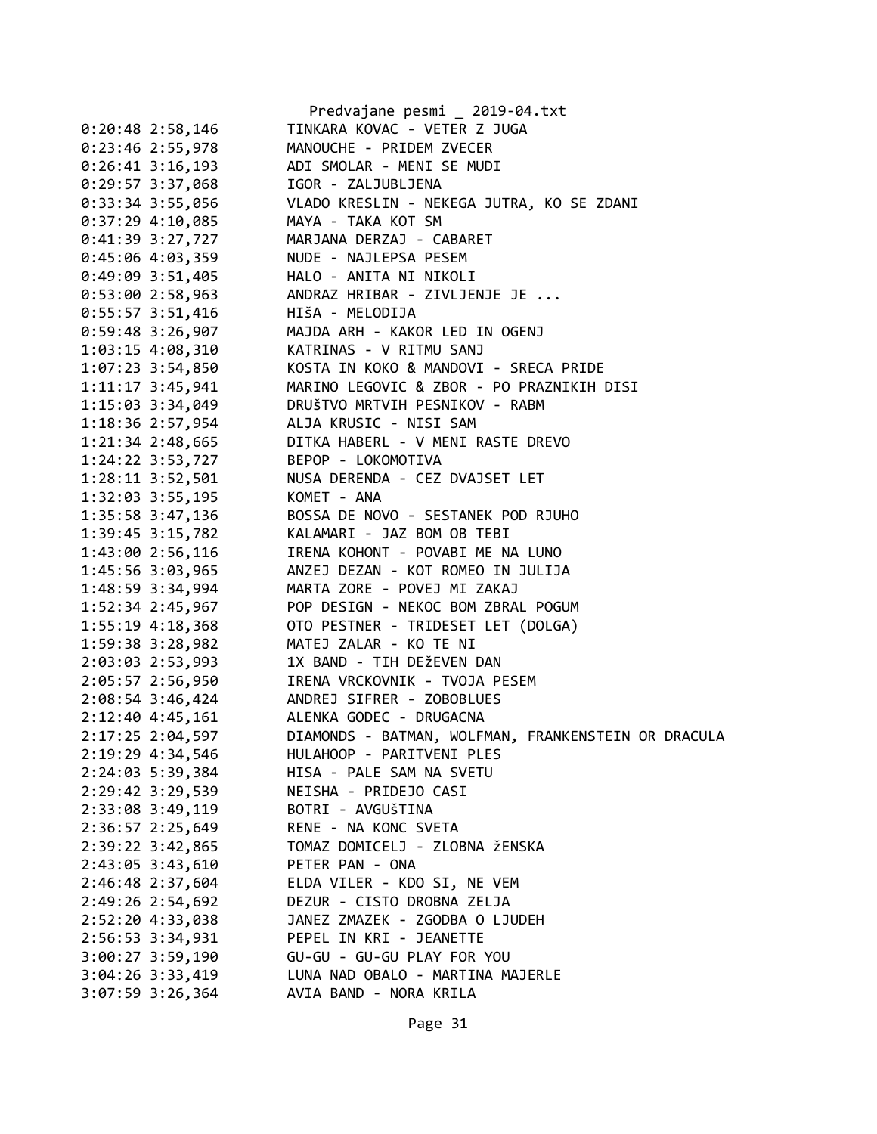|                      | Predvajane pesmi _ 2019-04.txt                      |
|----------------------|-----------------------------------------------------|
| $0:20:48$ 2:58,146   | TINKARA KOVAC - VETER Z JUGA                        |
| $0:23:46$ 2:55,978   | MANOUCHE - PRIDEM ZVECER                            |
| $0:26:41$ 3:16,193   | ADI SMOLAR - MENI SE MUDI                           |
| $0:29:57$ 3:37,068   | IGOR - ZALJUBLJENA                                  |
| $0:33:34$ 3:55,056   | VLADO KRESLIN - NEKEGA JUTRA, KO SE ZDANI           |
| $0:37:29$ 4:10,085   | MAYA - TAKA KOT SM                                  |
| $0:41:39$ 3:27,727   | MARJANA DERZAJ - CABARET                            |
| $0:45:06$ 4:03,359   | NUDE - NAJLEPSA PESEM                               |
| $0:49:09$ 3:51,405   | HALO - ANITA NI NIKOLI                              |
| 0:53:002:58,963      | ANDRAZ HRIBAR - ZIVLJENJE JE                        |
| $0:55:57$ 3:51,416   | HIŠA - MELODIJA                                     |
| $0:59:48$ 3:26,907   | MAJDA ARH - KAKOR LED IN OGENJ                      |
| 1:03:15 4:08,310     | KATRINAS - V RITMU SANJ                             |
| $1:07:23$ 3:54,850   | KOSTA IN KOKO & MANDOVI - SRECA PRIDE               |
| $1:11:17$ 3:45,941   | MARINO LEGOVIC & ZBOR - PO PRAZNIKIH DISI           |
| 1:15:03 3:34,049     | DRUŠTVO MRTVIH PESNIKOV - RABM                      |
| 1:18:36 2:57,954     | ALJA KRUSIC - NISI SAM                              |
| $1:21:34$ $2:48,665$ | DITKA HABERL - V MENI RASTE DREVO                   |
| 1:24:22 3:53,727     | BEPOP - LOKOMOTIVA                                  |
| $1:28:11$ $3:52,501$ | NUSA DERENDA - CEZ DVAJSET LET                      |
| 1:32:03 3:55,195     | KOMET - ANA                                         |
| 1:35:58 3:47,136     | BOSSA DE NOVO - SESTANEK POD RJUHO                  |
| $1:39:45$ $3:15,782$ | KALAMARI - JAZ BOM OB TEBI                          |
| 1:43:00 2:56,116     | IRENA KOHONT - POVABI ME NA LUNO                    |
| 1:45:56 3:03,965     | ANZEJ DEZAN - KOT ROMEO IN JULIJA                   |
| 1:48:59 3:34,994     | MARTA ZORE - POVEJ MI ZAKAJ                         |
| 1:52:34 2:45,967     | POP DESIGN - NEKOC BOM ZBRAL POGUM                  |
| $1:55:19$ $4:18,368$ | OTO PESTNER - TRIDESET LET (DOLGA)                  |
| 1:59:38 3:28,982     | MATEJ ZALAR - KO TE NI                              |
| 2:03:03 2:53,993     | 1X BAND - TIH DEŽEVEN DAN                           |
| 2:05:57 2:56,950     | IRENA VRCKOVNIK - TVOJA PESEM                       |
| $2:08:54$ 3:46,424   | ANDREJ SIFRER - ZOBOBLUES                           |
| 2:12:40 4:45,161     | ALENKA GODEC - DRUGACNA                             |
| 2:17:25 2:04,597     | DIAMONDS - BATMAN, WOLFMAN, FRANKENSTEIN OR DRACULA |
| 2:19:29 4:34,546     | HULAHOOP - PARITVENI PLES                           |
| 2:24:03 5:39,384     | HISA - PALE SAM NA SVETU                            |
| 2:29:42 3:29,539     | NEISHA - PRIDEJO CASI                               |
| 2:33:08 3:49,119     | BOTRI - AVGUŠTINA                                   |
| $2:36:57$ $2:25,649$ | RENE - NA KONC SVETA                                |
| 2:39:22 3:42,865     | TOMAZ DOMICELJ - ZLOBNA ŽENSKA                      |
| 2:43:05 3:43,610     | PETER PAN - ONA                                     |
| 2:46:48 2:37,604     | ELDA VILER - KDO SI, NE VEM                         |
| 2:49:26 2:54,692     | DEZUR - CISTO DROBNA ZELJA                          |
| 2:52:20 4:33,038     | JANEZ ZMAZEK - ZGODBA O LJUDEH                      |
| 2:56:53 3:34,931     | PEPEL IN KRI - JEANETTE                             |
| $3:00:27$ 3:59,190   | GU-GU - GU-GU PLAY FOR YOU                          |
| 3:04:26 3:33,419     | LUNA NAD OBALO - MARTINA MAJERLE                    |
| $3:07:59$ 3:26,364   | AVIA BAND - NORA KRILA                              |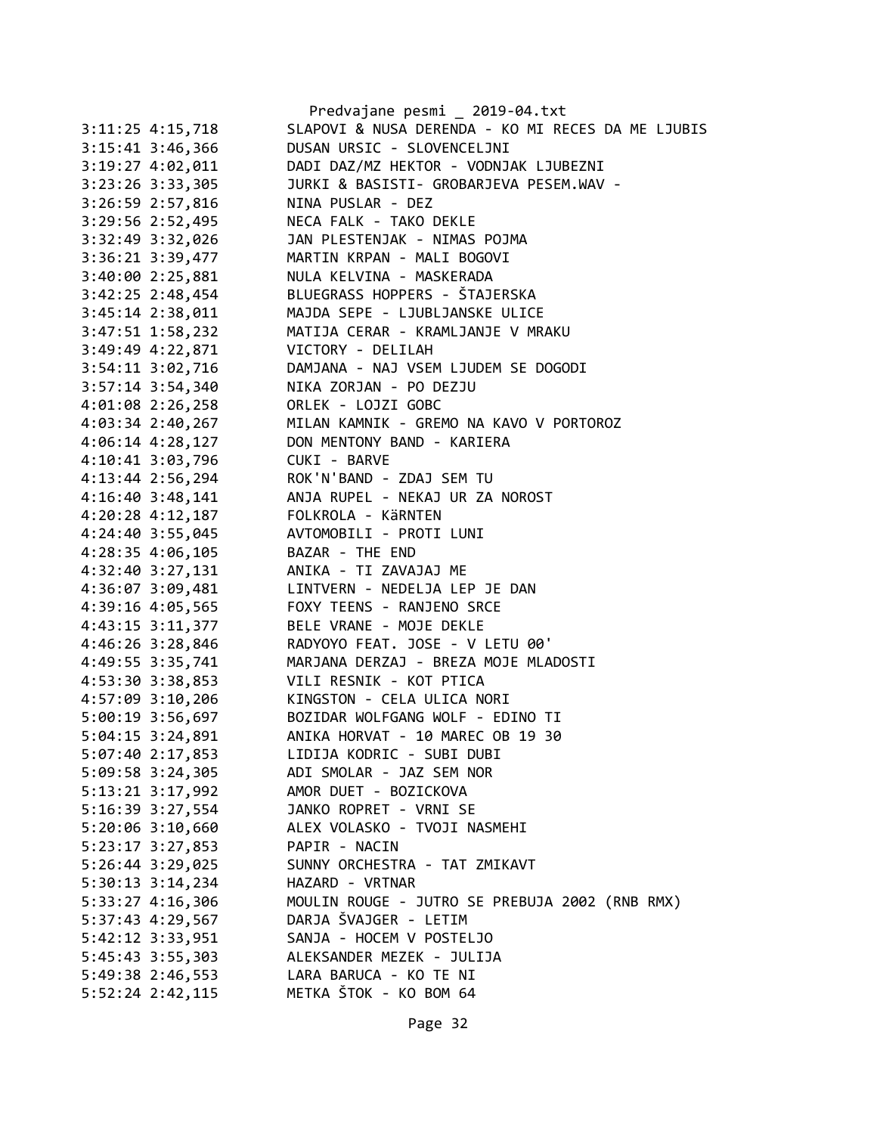|                                                                                 | Predvajane pesmi _ 2019-04.txt                                                                                        |
|---------------------------------------------------------------------------------|-----------------------------------------------------------------------------------------------------------------------|
| 3:11:25 4:15,718                                                                | SLAPOVI & NUSA DERENDA - KO MI RECES DA ME LJUBIS                                                                     |
| $3:15:41$ $3:46,366$                                                            | DUSAN URSIC - SLOVENCELJNI                                                                                            |
| $3:19:27$ $4:02,011$                                                            | DADI DAZ/MZ HEKTOR - VODNJAK LJUBEZNI                                                                                 |
| $3:23:26$ $3:33,305$                                                            | JURKI & BASISTI- GROBARJEVA PESEM.WAV -                                                                               |
| 3:26:59 2:57,816                                                                | NINA PUSLAR - DEZ                                                                                                     |
| 3:29:56 2:52,495                                                                | NECA FALK - TAKO DEKLE                                                                                                |
| 3:32:49 3:32,026                                                                | JAN PLESTENJAK - NIMAS POJMA                                                                                          |
| 3:36:21 3:39,477                                                                | MARTIN KRPAN - MALI BOGOVI                                                                                            |
| 3:40:00 2:25,881                                                                | NULA KELVINA - MASKERADA                                                                                              |
|                                                                                 | 3:42:25 2:48,454 BLUEGRASS HOPPERS - ŠTAJERSKA                                                                        |
| $3:45:14$ $2:38,011$                                                            | MAJDA SEPE - LJUBLJANSKE ULICE                                                                                        |
|                                                                                 | 3:47:51 1:58,232 MATIJA CERAR - KRAMLJANJE V MRAKU                                                                    |
| 3:49:49 4:22,871 VICTORY - DELILAH                                              |                                                                                                                       |
|                                                                                 | 3:54:11 3:02,716 DAMJANA - NAJ VSEM LJUDEM SE DOGODI                                                                  |
| $3:57:14$ $3:54,340$                                                            |                                                                                                                       |
| $4:01:08$ 2:26,258                                                              | NIKA ZORJAN - PO DEZJU<br>ORLEK - LOJZI GOBC<br>UTLIN VINUTY                                                          |
|                                                                                 |                                                                                                                       |
|                                                                                 | 4:03:34 2:40,267 MILAN KAMNIK - GREMO NA KAVO V PORTOROZ<br>4:06:14 4:28,127 DON MENTONY BAND - KARIERA               |
| 4:10:41 3:03,796 CUKI - BARVE                                                   |                                                                                                                       |
|                                                                                 | 4:13:44 2:56,294 ROK'N'BAND - ZDAJ SEM TU                                                                             |
|                                                                                 | 4:16:40 3:48,141 ANJA RUPEL - NEKAJ UR ZA NOROST                                                                      |
|                                                                                 |                                                                                                                       |
| 4:20:28 4:12,187 FOLKROLA - KÄRNTEN<br>4:24:40 3:55,045 AVTOMOBILI - PROTI LUNI |                                                                                                                       |
| 4:28:35 4:06,105                                                                | BAZAR - THE END                                                                                                       |
| 4:32:40 3:27,131                                                                | ANIKA - TI ZAVAJAJ ME                                                                                                 |
|                                                                                 | 4:36:07 3:09,481 LINTVERN - NEDELJA LEP JE DAN                                                                        |
|                                                                                 | 4:39:16 4:05,565 FOXY TEENS - RANJENO SRCE                                                                            |
| 4:43:15 3:11,377 BELE VRANE - MOJE DEKLE                                        |                                                                                                                       |
|                                                                                 |                                                                                                                       |
|                                                                                 |                                                                                                                       |
|                                                                                 | 4:46:26 3:28,846<br>4:49:55 3:35,741 MARJANA DERZAJ - BREZA MOJE MLADOSTI<br>4:53:30 3:38,853 VILI RESNIK - KOT PTICA |
|                                                                                 | 4:57:09 3:10,206 KINGSTON - CELA ULICA NORI                                                                           |
| 5:00:19 3:56,697                                                                | BOZIDAR WOLFGANG WOLF - EDINO TI                                                                                      |
| 5:04:15 3:24,891                                                                | ANIKA HORVAT - 10 MAREC OB 19 30                                                                                      |
| 5:07:40 2:17,853                                                                | LIDIJA KODRIC - SUBI DUBI                                                                                             |
| $5:09:58$ 3:24,305                                                              | ADI SMOLAR - JAZ SEM NOR                                                                                              |
| $5:13:21$ $3:17,992$                                                            | AMOR DUET - BOZICKOVA                                                                                                 |
| 5:16:39 3:27,554                                                                | JANKO ROPRET - VRNI SE                                                                                                |
| 5:20:06 3:10,660                                                                | ALEX VOLASKO - TVOJI NASMEHI                                                                                          |
| $5:23:17$ $3:27,853$                                                            | PAPIR - NACIN                                                                                                         |
| 5:26:44 3:29,025                                                                | SUNNY ORCHESTRA - TAT ZMIKAVT                                                                                         |
| $5:30:13$ $3:14,234$                                                            | HAZARD - VRTNAR                                                                                                       |
| 5:33:27 4:16,306                                                                | MOULIN ROUGE - JUTRO SE PREBUJA 2002 (RNB RMX)                                                                        |
| 5:37:43 4:29,567                                                                | DARJA ŠVAJGER - LETIM                                                                                                 |
| 5:42:12 3:33,951                                                                | SANJA - HOCEM V POSTELJO                                                                                              |
| 5:45:43 3:55,303                                                                | ALEKSANDER MEZEK - JULIJA                                                                                             |
| 5:49:38 2:46,553                                                                | LARA BARUCA - KO TE NI                                                                                                |
| $5:52:24$ $2:42,115$                                                            | METKA ŠTOK - KO BOM 64                                                                                                |
|                                                                                 |                                                                                                                       |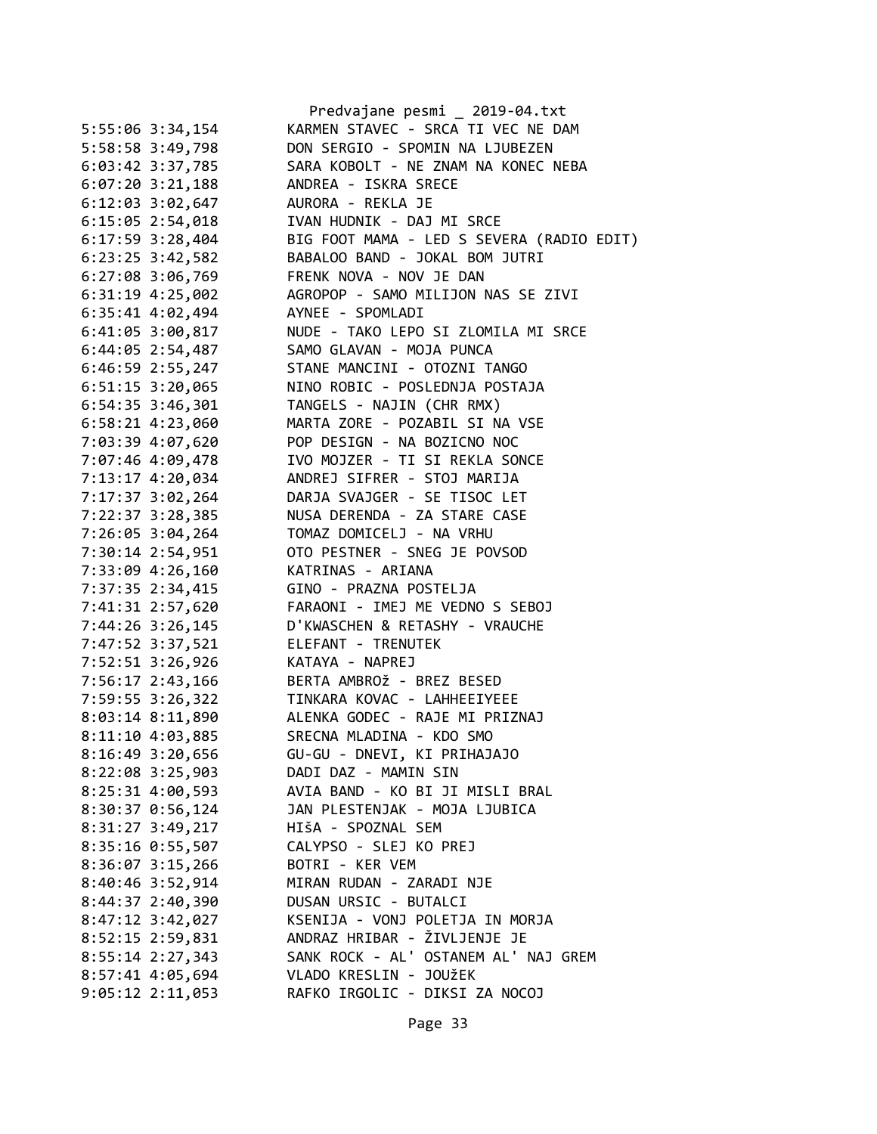|                      | Predvajane pesmi _ 2019-04.txt                  |
|----------------------|-------------------------------------------------|
| 5:55:06 3:34,154     | KARMEN STAVEC - SRCA TI VEC NE DAM              |
| 5:58:58 3:49,798     | DON SERGIO - SPOMIN NA LJUBEZEN                 |
| 6:03:42 3:37,785     | SARA KOBOLT - NE ZNAM NA KONEC NEBA             |
| $6:07:20$ 3:21,188   | ANDREA - ISKRA SRECE                            |
| $6:12:03$ $3:02,647$ | AURORA - REKLA JE                               |
| 6:15:05 2:54,018     | IVAN HUDNIK - DAJ MI SRCE                       |
| $6:17:59$ 3:28,404   | BIG FOOT MAMA - LED S SEVERA (RADIO EDIT)       |
| $6:23:25$ 3:42,582   | BABALOO BAND - JOKAL BOM JUTRI                  |
| 6:27:08 3:06,769     | FRENK NOVA - NOV JE DAN                         |
| $6:31:19$ 4:25,002   | AGROPOP - SAMO MILIJON NAS SE ZIVI              |
| 6:35:41 4:02,494     | AYNEE - SPOMLADI                                |
| 6:41:05 3:00,817     | NUDE - TAKO LEPO SI ZLOMILA MI SRCE             |
| $6:44:05$ 2:54,487   | SAMO GLAVAN - MOJA PUNCA                        |
| 6:46:59 2:55,247     | STANE MANCINI - OTOZNI TANGO                    |
| $6:51:15$ 3:20,065   | NINO ROBIC - POSLEDNJA POSTAJA                  |
| $6:54:35$ 3:46,301   | TANGELS - NAJIN (CHR RMX)                       |
| 6:58:21 4:23,060     | MARTA ZORE - POZABIL SI NA VSE                  |
| 7:03:39 4:07,620     | POP DESIGN - NA BOZICNO NOC                     |
|                      | IVO MOJZER - TI SI REKLA SONCE                  |
| 7:07:46 4:09,478     |                                                 |
| 7:13:17 4:20,034     | ANDREJ SIFRER - STOJ MARIJA                     |
| 7:17:37 3:02,264     | DARJA SVAJGER - SE TISOC LET                    |
| 7:22:37 3:28,385     | NUSA DERENDA - ZA STARE CASE                    |
| 7:26:05 3:04,264     | TOMAZ DOMICELJ - NA VRHU                        |
| 7:30:14 2:54,951     | OTO PESTNER - SNEG JE POVSOD                    |
| 7:33:09 4:26,160     | KATRINAS - ARIANA                               |
| 7:37:35 2:34,415     | GINO - PRAZNA POSTELJA                          |
| 7:41:31 2:57,620     | FARAONI - IMEJ ME VEDNO S SEBOJ                 |
| 7:44:26 3:26,145     | D'KWASCHEN & RETASHY - VRAUCHE                  |
| 7:47:52 3:37,521     | ELEFANT - TRENUTEK                              |
| 7:52:51 3:26,926     | KATAYA - NAPREJ                                 |
| 7:56:17 2:43,166     | BERTA AMBROŽ - BREZ BESED                       |
| 7:59:55 3:26,322     | TINKARA KOVAC - LAHHEEIYEEE                     |
|                      | 8:03:14 8:11,890 ALENKA GODEC - RAJE MI PRIZNAJ |
| 8:11:10 4:03,885     | SRECNA MLADINA - KDO SMO                        |
| 8:16:49 3:20,656     | GU-GU - DNEVI, KI PRIHAJAJO                     |
| 8:22:08 3:25,903     | DADI DAZ - MAMIN SIN                            |
| $8:25:31$ 4:00,593   | AVIA BAND - KO BI JI MISLI BRAL                 |
| 8:30:37 0:56,124     | JAN PLESTENJAK - MOJA LJUBICA                   |
| 8:31:27 3:49,217     | HIŠA - SPOZNAL SEM                              |
| $8:35:16$ $0:55,507$ | CALYPSO - SLEJ KO PREJ                          |
| $8:36:07$ 3:15,266   | BOTRI - KER VEM                                 |
| $8:40:46$ 3:52,914   | MIRAN RUDAN - ZARADI NJE                        |
| 8:44:37 2:40,390     | DUSAN URSIC - BUTALCI                           |
| 8:47:12 3:42,027     | KSENIJA - VONJ POLETJA IN MORJA                 |
| 8:52:15 2:59,831     | ANDRAZ HRIBAR - ŽIVLJENJE JE                    |
| 8:55:14 2:27,343     | SANK ROCK - AL' OSTANEM AL' NAJ GREM            |
| 8:57:41 4:05,694     | VLADO KRESLIN - JOUŽEK                          |
| $9:05:12$ $2:11,053$ | RAFKO IRGOLIC - DIKSI ZA NOCOJ                  |
|                      |                                                 |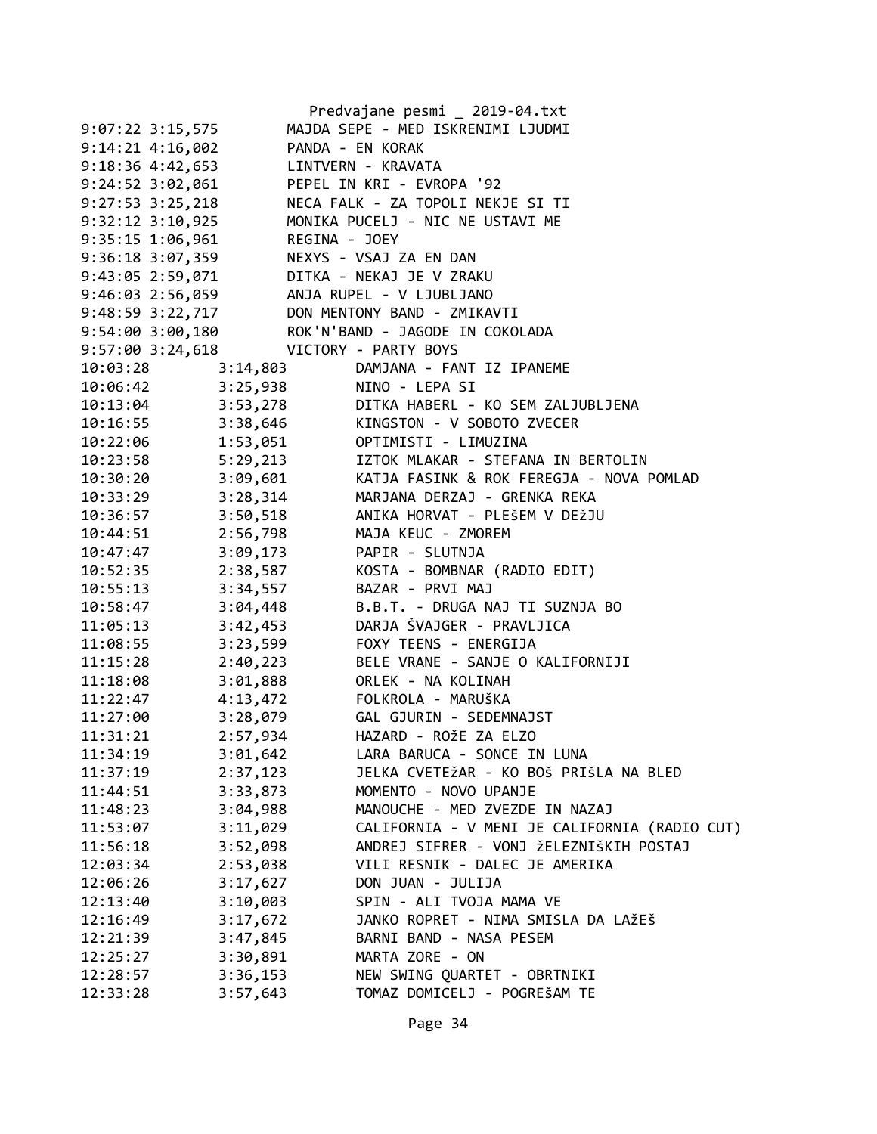|                                       |                          | Predvajane pesmi _ 2019-04.txt                                     |
|---------------------------------------|--------------------------|--------------------------------------------------------------------|
| $9:07:22$ $3:15,575$                  |                          | MAJDA SEPE - MED ISKRENIMI LJUDMI                                  |
| 9:14:21 4:16,002                      |                          | PANDA - EN KORAK                                                   |
| 9:18:36 4:42,653 LINTVERN - KRAVATA   |                          |                                                                    |
| 9:24:52 3:02,061                      |                          | PEPEL IN KRI - EVROPA '92                                          |
| $9:27:53$ $3:25,218$                  |                          | NECA FALK - ZA TOPOLI NEKJE SI TI                                  |
| 9:32:12 3:10,925                      |                          | MONIKA PUCELJ - NIC NE USTAVI ME                                   |
| $9:35:15$ $1:06,961$                  |                          | REGINA - JOEY<br>NEXYS - VSAJ ZA EN DAN<br>DITIII - VEIII II II II |
| 9:36:18 3:07,359                      |                          |                                                                    |
|                                       |                          | 9:43:05 2:59,071 DITKA - NEKAJ JE V ZRAKU                          |
|                                       |                          | 9:46:03 2:56,059 ANJA RUPEL - V LJUBLJANO                          |
|                                       |                          | 9:48:59 3:22,717 DON MENTONY BAND - ZMIKAVTI                       |
|                                       |                          | 9:54:00 3:00,180 ROK'N'BAND - JAGODE IN COKOLADA                   |
| 9:57:00 3:24,618 VICTORY - PARTY BOYS |                          |                                                                    |
| 10:03:28                              | 3:14,803                 | DAMJANA - FANT IZ IPANEME                                          |
| 10:06:42                              | 3:25,938 NINO - LEPA SI  |                                                                    |
| 10:13:04                              |                          | 3:53,278 DITKA HABERL - KO SEM ZALJUBLJENA                         |
| 10:16:55                              |                          | 3:38,646 KINGSTON - V SOBOTO ZVECER                                |
| 10:22:06                              |                          | 1:53,051 OPTIMISTI - LIMUZINA                                      |
| 10:23:58                              |                          | 5:29,213 IZTOK MLAKAR - STEFANA IN BERTOLIN                        |
| 10:30:20                              |                          | 3:09,601 KATJA FASINK & ROK FEREGJA - NOVA POMLAD                  |
| 10:33:29                              |                          | 3:28,314 MARJANA DERZAJ - GRENKA REKA                              |
| 10:36:57                              |                          | 3:50,518 ANIKA HORVAT - PLEŠEM V DEŽJU                             |
| 10:44:51                              |                          | 2:56,798 MAJA KEUC - ZMOREM                                        |
| 10:47:47                              | 3:09,173 PAPIR - SLUTNJA |                                                                    |
| 10:52:35                              | 2:38,587                 | KOSTA - BOMBNAR (RADIO EDIT)                                       |
| 10:55:13                              |                          | 3:34,557 BAZAR - PRVI MAJ                                          |
| 10:58:47                              | 3:04,448                 | B.B.T. - DRUGA NAJ TI SUZNJA BO                                    |
| 11:05:13                              | 3:42,453                 | DARJA ŠVAJGER - PRAVLJICA                                          |
| 11:08:55                              | 3:23,599                 | FOXY TEENS - ENERGIJA                                              |
| 11:15:28                              | 2:40,223                 | BELE VRANE - SANJE O KALIFORNIJI                                   |
| 11:18:08                              |                          | 3:01,888 ORLEK - NA KOLINAH                                        |
| 11:22:47                              |                          | 4:13,472 FOLKROLA - MARUŠKA                                        |
| 11:27:00                              |                          | 3:28,079    GAL GJURIN - SEDEMNAJST                                |
| 11:31:21                              | 2:57,934                 | HAZARD - ROŽE ZA ELZO                                              |
| 11:34:19                              | 3:01,642                 | LARA BARUCA - SONCE IN LUNA                                        |
| 11:37:19                              | 2:37,123                 | JELKA CVETEŽAR - KO BOŠ PRIŠLA NA BLED                             |
| 11:44:51                              | 3:33,873                 | MOMENTO - NOVO UPANJE                                              |
| 11:48:23                              | 3:04,988                 | MANOUCHE - MED ZVEZDE IN NAZAJ                                     |
| 11:53:07                              | 3:11,029                 | CALIFORNIA - V MENI JE CALIFORNIA (RADIO CUT)                      |
| 11:56:18                              | 3:52,098                 | ANDREJ SIFRER - VONJ ŽELEZNIŠKIH POSTAJ                            |
| 12:03:34                              | 2:53,038                 | VILI RESNIK - DALEC JE AMERIKA                                     |
| 12:06:26                              | 3:17,627                 | DON JUAN - JULIJA                                                  |
| 12:13:40                              | 3:10,003                 | SPIN - ALI TVOJA MAMA VE                                           |
| 12:16:49                              | 3:17,672                 | JANKO ROPRET - NIMA SMISLA DA LAŽEŠ                                |
| 12:21:39                              | 3:47,845                 | BARNI BAND - NASA PESEM                                            |
| 12:25:27                              | 3:30,891                 | MARTA ZORE - ON                                                    |
| 12:28:57                              | 3:36,153                 | NEW SWING QUARTET - OBRTNIKI                                       |
| 12:33:28                              | 3:57,643                 | TOMAZ DOMICELJ - POGREŠAM TE                                       |
|                                       |                          |                                                                    |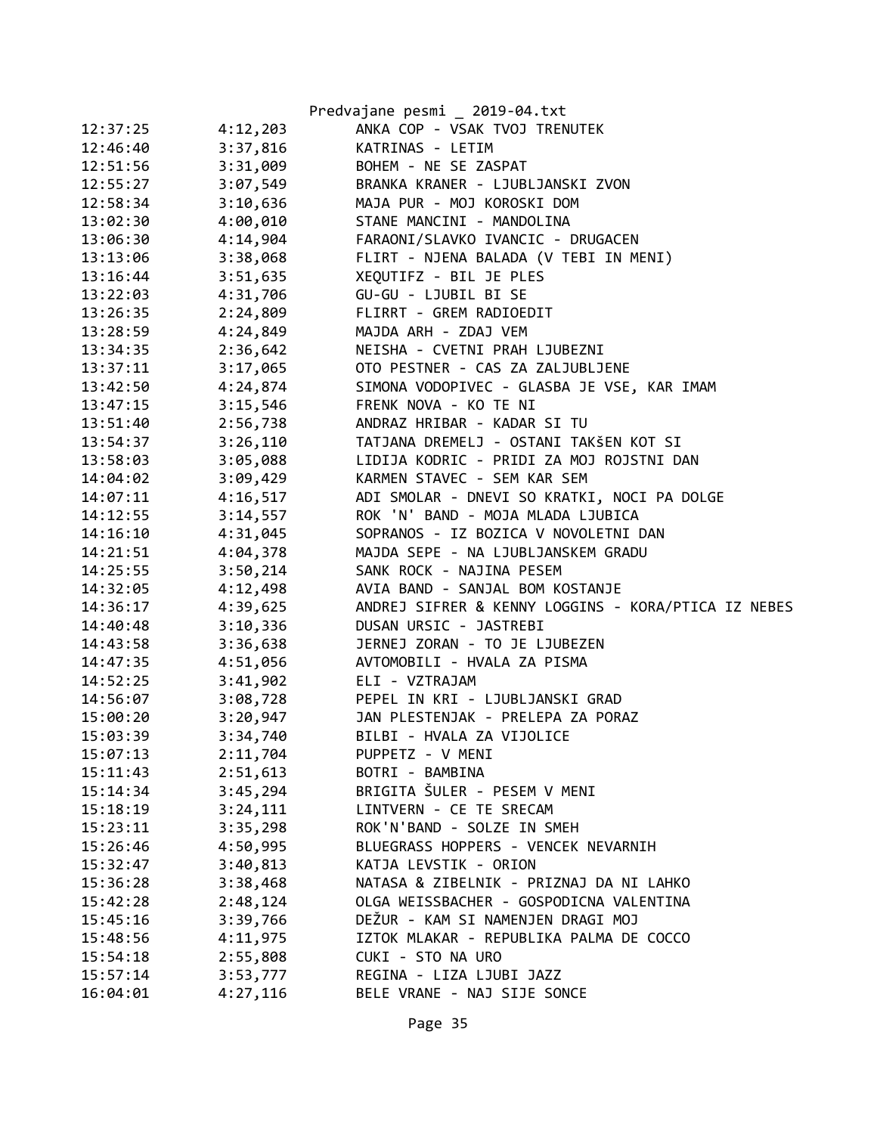|          |          | Predvajane pesmi _ 2019-04.txt                      |
|----------|----------|-----------------------------------------------------|
| 12:37:25 | 4:12,203 | ANKA COP - VSAK TVOJ TRENUTEK                       |
| 12:46:40 | 3:37,816 | KATRINAS - LETIM                                    |
| 12:51:56 | 3:31,009 | BOHEM - NE SE ZASPAT                                |
| 12:55:27 | 3:07,549 | BRANKA KRANER - LJUBLJANSKI ZVON                    |
| 12:58:34 | 3:10,636 | MAJA PUR - MOJ KOROSKI DOM                          |
| 13:02:30 | 4:00,010 | STANE MANCINI - MANDOLINA                           |
| 13:06:30 | 4:14,904 | FARAONI/SLAVKO IVANCIC - DRUGACEN                   |
| 13:13:06 | 3:38,068 | FLIRT - NJENA BALADA (V TEBI IN MENI)               |
| 13:16:44 | 3:51,635 | XEQUTIFZ - BIL JE PLES                              |
| 13:22:03 | 4:31,706 | GU-GU - LJUBIL BI SE                                |
| 13:26:35 | 2:24,809 | FLIRRT - GREM RADIOEDIT                             |
| 13:28:59 | 4:24,849 | MAJDA ARH - ZDAJ VEM                                |
| 13:34:35 | 2:36,642 | NEISHA - CVETNI PRAH LJUBEZNI                       |
| 13:37:11 | 3:17,065 | OTO PESTNER - CAS ZA ZALJUBLJENE                    |
| 13:42:50 | 4:24,874 | SIMONA VODOPIVEC - GLASBA JE VSE, KAR IMAM          |
| 13:47:15 | 3:15,546 | FRENK NOVA - KO TE NI                               |
| 13:51:40 | 2:56,738 | ANDRAZ HRIBAR - KADAR SI TU                         |
| 13:54:37 | 3:26,110 | TATJANA DREMELJ - OSTANI TAKŠEN KOT SI              |
| 13:58:03 | 3:05,088 | LIDIJA KODRIC - PRIDI ZA MOJ ROJSTNI DAN            |
| 14:04:02 | 3:09,429 | KARMEN STAVEC - SEM KAR SEM                         |
| 14:07:11 | 4:16,517 | ADI SMOLAR - DNEVI SO KRATKI, NOCI PA DOLGE         |
| 14:12:55 | 3:14,557 | ROK 'N' BAND - MOJA MLADA LJUBICA                   |
| 14:16:10 | 4:31,045 | SOPRANOS - IZ BOZICA V NOVOLETNI DAN                |
| 14:21:51 | 4:04,378 | MAJDA SEPE - NA LJUBLJANSKEM GRADU                  |
| 14:25:55 | 3:50,214 | SANK ROCK - NAJINA PESEM                            |
| 14:32:05 | 4:12,498 | AVIA BAND - SANJAL BOM KOSTANJE                     |
| 14:36:17 | 4:39,625 | ANDREJ SIFRER & KENNY LOGGINS - KORA/PTICA IZ NEBES |
| 14:40:48 | 3:10,336 | DUSAN URSIC - JASTREBI                              |
| 14:43:58 | 3:36,638 | JERNEJ ZORAN - TO JE LJUBEZEN                       |
| 14:47:35 | 4:51,056 | AVTOMOBILI - HVALA ZA PISMA                         |
| 14:52:25 | 3:41,902 | ELI - VZTRAJAM                                      |
| 14:56:07 |          | 3:08,728 PEPEL IN KRI - LJUBLJANSKI GRAD            |
| 15:00:20 | 3:20,947 | JAN PLESTENJAK - PRELEPA ZA PORAZ                   |
| 15:03:39 | 3:34,740 | BILBI - HVALA ZA VIJOLICE                           |
| 15:07:13 | 2:11,704 | PUPPETZ - V MENI                                    |
| 15:11:43 | 2:51,613 | BOTRI - BAMBINA                                     |
| 15:14:34 | 3:45,294 | BRIGITA ŠULER - PESEM V MENI                        |
| 15:18:19 | 3:24,111 | LINTVERN - CE TE SRECAM                             |
| 15:23:11 | 3:35,298 | ROK'N'BAND - SOLZE IN SMEH                          |
| 15:26:46 | 4:50,995 | BLUEGRASS HOPPERS - VENCEK NEVARNIH                 |
| 15:32:47 | 3:40,813 | KATJA LEVSTIK - ORION                               |
| 15:36:28 | 3:38,468 | NATASA & ZIBELNIK - PRIZNAJ DA NI LAHKO             |
| 15:42:28 | 2:48,124 | OLGA WEISSBACHER - GOSPODICNA VALENTINA             |
| 15:45:16 | 3:39,766 | DEŽUR - KAM SI NAMENJEN DRAGI MOJ                   |
| 15:48:56 | 4:11,975 | IZTOK MLAKAR - REPUBLIKA PALMA DE COCCO             |
| 15:54:18 | 2:55,808 | CUKI - STO NA URO                                   |
| 15:57:14 | 3:53,777 | REGINA - LIZA LJUBI JAZZ                            |
| 16:04:01 | 4:27,116 | BELE VRANE - NAJ SIJE SONCE                         |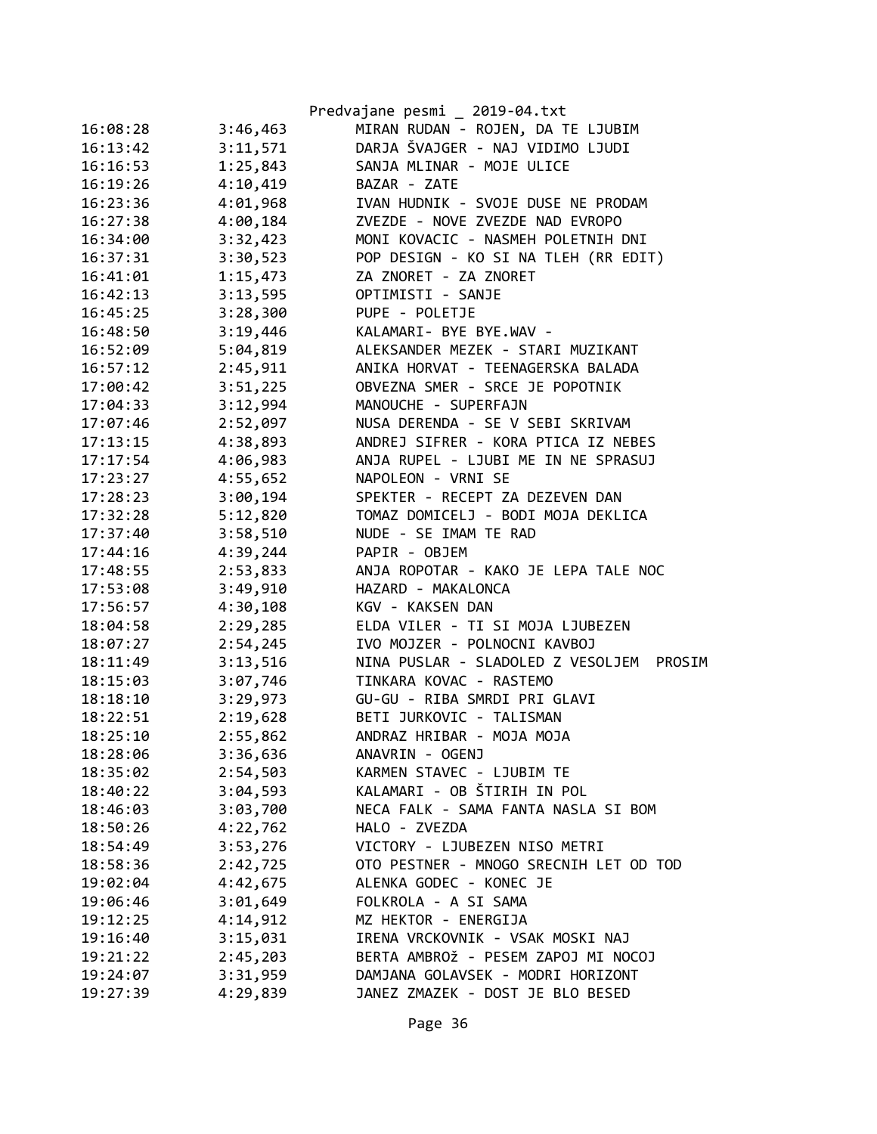|          |          | Predvajane pesmi _ 2019-04.txt              |
|----------|----------|---------------------------------------------|
| 16:08:28 | 3:46,463 | MIRAN RUDAN - ROJEN, DA TE LJUBIM           |
| 16:13:42 | 3:11,571 | DARJA ŠVAJGER - NAJ VIDIMO LJUDI            |
| 16:16:53 | 1:25,843 | SANJA MLINAR - MOJE ULICE                   |
| 16:19:26 | 4:10,419 | BAZAR - ZATE                                |
| 16:23:36 | 4:01,968 | IVAN HUDNIK - SVOJE DUSE NE PRODAM          |
| 16:27:38 | 4:00,184 | ZVEZDE - NOVE ZVEZDE NAD EVROPO             |
| 16:34:00 | 3:32,423 | MONI KOVACIC - NASMEH POLETNIH DNI          |
| 16:37:31 | 3:30,523 | POP DESIGN - KO SI NA TLEH (RR EDIT)        |
| 16:41:01 | 1:15,473 | ZA ZNORET - ZA ZNORET                       |
| 16:42:13 | 3:13,595 | OPTIMISTI - SANJE                           |
| 16:45:25 | 3:28,300 | PUPE - POLETJE                              |
| 16:48:50 | 3:19,446 | KALAMARI- BYE BYE.WAV -                     |
| 16:52:09 | 5:04,819 | ALEKSANDER MEZEK - STARI MUZIKANT           |
| 16:57:12 | 2:45,911 | ANIKA HORVAT - TEENAGERSKA BALADA           |
| 17:00:42 | 3:51,225 | OBVEZNA SMER - SRCE JE POPOTNIK             |
| 17:04:33 | 3:12,994 | MANOUCHE - SUPERFAJN                        |
| 17:07:46 | 2:52,097 | NUSA DERENDA - SE V SEBI SKRIVAM            |
| 17:13:15 | 4:38,893 | ANDREJ SIFRER - KORA PTICA IZ NEBES         |
| 17:17:54 | 4:06,983 | ANJA RUPEL - LJUBI ME IN NE SPRASUJ         |
| 17:23:27 | 4:55,652 | NAPOLEON - VRNI SE                          |
| 17:28:23 | 3:00,194 | SPEKTER - RECEPT ZA DEZEVEN DAN             |
| 17:32:28 | 5:12,820 | TOMAZ DOMICELJ - BODI MOJA DEKLICA          |
| 17:37:40 | 3:58,510 | NUDE - SE IMAM TE RAD                       |
| 17:44:16 | 4:39,244 | PAPIR - OBJEM                               |
| 17:48:55 | 2:53,833 | ANJA ROPOTAR - KAKO JE LEPA TALE NOC        |
| 17:53:08 | 3:49,910 | HAZARD - MAKALONCA                          |
| 17:56:57 | 4:30,108 | KGV - KAKSEN DAN                            |
| 18:04:58 | 2:29,285 | ELDA VILER - TI SI MOJA LJUBEZEN            |
| 18:07:27 | 2:54,245 | IVO MOJZER - POLNOCNI KAVBOJ                |
| 18:11:49 | 3:13,516 | NINA PUSLAR - SLADOLED Z VESOLJEM<br>PROSIM |
| 18:15:03 | 3:07,746 | TINKARA KOVAC - RASTEMO                     |
| 18:18:10 | 3:29,973 | GU-GU - RIBA SMRDI PRI GLAVI                |
| 18:22:51 | 2:19,628 | BETI JURKOVIC - TALISMAN                    |
| 18:25:10 | 2:55,862 | ANDRAZ HRIBAR - MOJA MOJA                   |
| 18:28:06 | 3:36,636 | ANAVRIN - OGENJ                             |
| 18:35:02 | 2:54,503 | KARMEN STAVEC - LJUBIM TE                   |
| 18:40:22 | 3:04,593 | KALAMARI - OB ŠTIRIH IN POL                 |
| 18:46:03 | 3:03,700 | NECA FALK - SAMA FANTA NASLA SI BOM         |
| 18:50:26 | 4:22,762 | HALO - ZVEZDA                               |
| 18:54:49 | 3:53,276 | VICTORY - LJUBEZEN NISO METRI               |
| 18:58:36 | 2:42,725 | OTO PESTNER - MNOGO SRECNIH LET OD TOD      |
| 19:02:04 | 4:42,675 | ALENKA GODEC - KONEC JE                     |
| 19:06:46 | 3:01,649 | FOLKROLA - A SI SAMA                        |
| 19:12:25 | 4:14,912 | MZ HEKTOR - ENERGIJA                        |
| 19:16:40 | 3:15,031 | IRENA VRCKOVNIK - VSAK MOSKI NAJ            |
| 19:21:22 | 2:45,203 | BERTA AMBROŽ - PESEM ZAPOJ MI NOCOJ         |
| 19:24:07 | 3:31,959 | DAMJANA GOLAVSEK - MODRI HORIZONT           |
| 19:27:39 | 4:29,839 | JANEZ ZMAZEK - DOST JE BLO BESED            |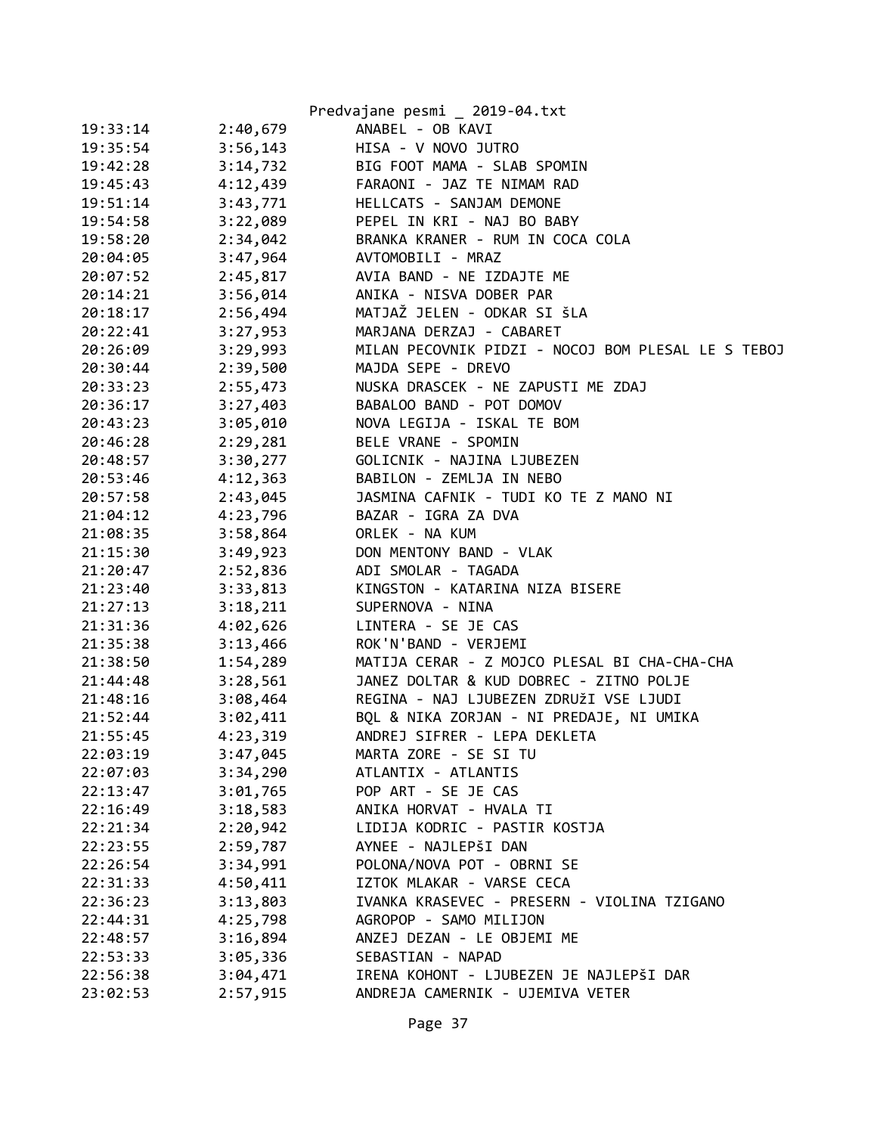|          |          | Predvajane pesmi _ 2019-04.txt                     |
|----------|----------|----------------------------------------------------|
| 19:33:14 | 2:40,679 | ANABEL - OB KAVI                                   |
| 19:35:54 | 3:56,143 | HISA - V NOVO JUTRO                                |
| 19:42:28 | 3:14,732 | BIG FOOT MAMA - SLAB SPOMIN                        |
| 19:45:43 | 4:12,439 | FARAONI - JAZ TE NIMAM RAD                         |
| 19:51:14 | 3:43,771 | HELLCATS - SANJAM DEMONE                           |
| 19:54:58 | 3:22,089 | PEPEL IN KRI - NAJ BO BABY                         |
| 19:58:20 | 2:34,042 | BRANKA KRANER - RUM IN COCA COLA                   |
| 20:04:05 | 3:47,964 | AVTOMOBILI - MRAZ                                  |
| 20:07:52 | 2:45,817 | AVIA BAND - NE IZDAJTE ME                          |
| 20:14:21 | 3:56,014 | ANIKA - NISVA DOBER PAR                            |
| 20:18:17 | 2:56,494 | MATJAŽ JELEN - ODKAR SI ŠLA                        |
| 20:22:41 | 3:27,953 | MARJANA DERZAJ - CABARET                           |
| 20:26:09 | 3:29,993 | MILAN PECOVNIK PIDZI - NOCOJ BOM PLESAL LE S TEBOJ |
| 20:30:44 | 2:39,500 | MAJDA SEPE - DREVO                                 |
| 20:33:23 | 2:55,473 | NUSKA DRASCEK - NE ZAPUSTI ME ZDAJ                 |
| 20:36:17 | 3:27,403 | BABALOO BAND - POT DOMOV                           |
| 20:43:23 | 3:05,010 | NOVA LEGIJA - ISKAL TE BOM                         |
| 20:46:28 | 2:29,281 | BELE VRANE - SPOMIN                                |
| 20:48:57 | 3:30,277 | GOLICNIK - NAJINA LJUBEZEN                         |
| 20:53:46 | 4:12,363 | BABILON - ZEMLJA IN NEBO                           |
| 20:57:58 | 2:43,045 | JASMINA CAFNIK - TUDI KO TE Z MANO NI              |
| 21:04:12 | 4:23,796 | BAZAR - IGRA ZA DVA                                |
| 21:08:35 | 3:58,864 | ORLEK - NA KUM                                     |
| 21:15:30 | 3:49,923 | DON MENTONY BAND - VLAK                            |
| 21:20:47 | 2:52,836 | ADI SMOLAR - TAGADA                                |
| 21:23:40 | 3:33,813 | KINGSTON - KATARINA NIZA BISERE                    |
| 21:27:13 | 3:18,211 | SUPERNOVA - NINA                                   |
| 21:31:36 | 4:02,626 | LINTERA - SE JE CAS                                |
| 21:35:38 | 3:13,466 | ROK'N'BAND - VERJEMI                               |
| 21:38:50 | 1:54,289 | MATIJA CERAR - Z MOJCO PLESAL BI CHA-CHA-CHA       |
| 21:44:48 | 3:28,561 | JANEZ DOLTAR & KUD DOBREC - ZITNO POLJE            |
| 21:48:16 | 3:08,464 | REGINA - NAJ LJUBEZEN ZDRUŽI VSE LJUDI             |
| 21:52:44 | 3:02,411 | BQL & NIKA ZORJAN - NI PREDAJE, NI UMIKA           |
| 21:55:45 | 4:23,319 | ANDREJ SIFRER - LEPA DEKLETA                       |
| 22:03:19 | 3:47,045 | MARTA ZORE - SE SI TU                              |
| 22:07:03 | 3:34,290 | ATLANTIX - ATLANTIS                                |
| 22:13:47 | 3:01,765 | POP ART - SE JE CAS                                |
| 22:16:49 | 3:18,583 | ANIKA HORVAT - HVALA TI                            |
| 22:21:34 | 2:20,942 | LIDIJA KODRIC - PASTIR KOSTJA                      |
| 22:23:55 | 2:59,787 | AYNEE - NAJLEPŠI DAN                               |
| 22:26:54 | 3:34,991 | POLONA/NOVA POT - OBRNI SE                         |
| 22:31:33 | 4:50,411 | IZTOK MLAKAR - VARSE CECA                          |
| 22:36:23 | 3:13,803 | IVANKA KRASEVEC - PRESERN - VIOLINA TZIGANO        |
| 22:44:31 | 4:25,798 | AGROPOP - SAMO MILIJON                             |
| 22:48:57 | 3:16,894 | ANZEJ DEZAN - LE OBJEMI ME                         |
| 22:53:33 | 3:05,336 | SEBASTIAN - NAPAD                                  |
| 22:56:38 | 3:04,471 | IRENA KOHONT - LJUBEZEN JE NAJLEPŠI DAR            |
| 23:02:53 | 2:57,915 | ANDREJA CAMERNIK - UJEMIVA VETER                   |
|          |          |                                                    |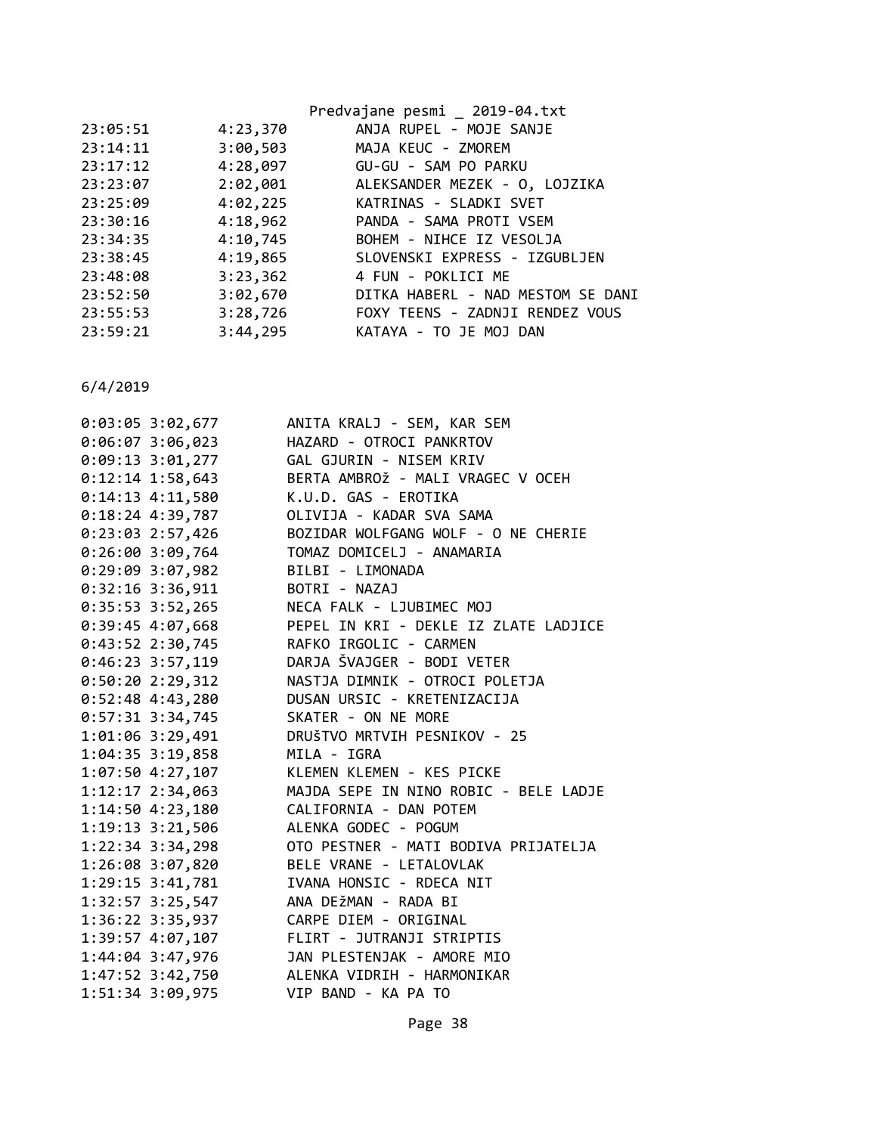|          |          | Predvajane pesmi _ 2019-04.txt         |
|----------|----------|----------------------------------------|
| 23:05:51 | 4:23,370 | ANJA RUPEL - MOJE SANJE                |
| 23:14:11 | 3:00,503 | MAJA KEUC - ZMOREM                     |
| 23:17:12 | 4:28,097 | GU-GU - SAM PO PARKU                   |
| 23:23:07 |          | 2:02,001 ALEKSANDER MEZEK - 0, LOJZIKA |
| 23:25:09 | 4:02,225 | KATRINAS - SLADKI SVET                 |
| 23:30:16 | 4:18,962 | PANDA - SAMA PROTI VSEM                |
| 23:34:35 | 4:10,745 | BOHEM - NIHCE IZ VESOLJA               |
| 23:38:45 | 4:19,865 | SLOVENSKI EXPRESS - IZGUBLJEN          |
| 23:48:08 | 3:23,362 | 4 FUN - POKLICI ME                     |
| 23:52:50 | 3:02,670 | DITKA HABERL - NAD MESTOM SE DANI      |
| 23:55:53 | 3:28,726 | FOXY TEENS - ZADNJI RENDEZ VOUS        |
| 23:59:21 | 3:44,295 | KATAYA - TO JE MOJ DAN                 |
|          |          |                                        |

| 0:03:05 3:02,677     | ANITA KRALJ - SEM, KAR SEM                                        |
|----------------------|-------------------------------------------------------------------|
| 0:06:07 3:06,023     | HAZARD - OTROCI PANKRTOV                                          |
| 0:09:13 3:01,277     | GAL GJURIN - NISEM KRIV                                           |
| $0:12:14$ 1:58,643   | BERTA AMBROŽ - MALI VRAGEC V OCEH                                 |
| $0:14:13$ $4:11,580$ | K.U.D. GAS - EROTIKA                                              |
| $0:18:24$ 4:39,787   | OLIVIJA - KADAR SVA SAMA                                          |
| $0:23:03$ 2:57,426   | BOZIDAR WOLFGANG WOLF - O NE CHERIE                               |
| $0:26:00$ 3:09,764   | TOMAZ DOMICELJ - ANAMARIA                                         |
| 0:29:09 3:07,982     | BILBI - LIMONADA                                                  |
| $0:32:16$ 3:36,911   | BOTRI - NAZAJ                                                     |
|                      |                                                                   |
|                      |                                                                   |
| $0:43:52$ 2:30,745   | RAFKO IRGOLIC - CARMEN                                            |
| $0:46:23$ 3:57,119   | DARJA ŠVAJGER - BODI VETER                                        |
| $0:50:20$ 2:29,312   | NASTJA DIMNIK - OTROCI POLETJA                                    |
| $0:52:48$ 4:43,280   | DUSAN URSIC - KRETENIZACIJA                                       |
| 0:57:31 3:34,745     | SKATER - ON NE MORE                                               |
| 1:01:06 3:29,491     | DRUŠTVO MRTVIH PESNIKOV - 25                                      |
| $1:04:35$ 3:19,858   | MILA - IGRA                                                       |
|                      | 1:07:50 4:27,107 KLEMEN KLEMEN - KES PICKE                        |
| $1:12:17$ $2:34,063$ | MAJDA SEPE IN NINO ROBIC - BELE LADJE                             |
| $1:14:50$ $4:23,180$ | CALIFORNIA - DAN POTEM                                            |
| $1:19:13$ $3:21,506$ | ALENKA GODEC - POGUM                                              |
| $1:22:34$ 3:34,298   | OTO PESTNER - MATI BODIVA PRIJATELJA                              |
| 1:26:08 3:07,820     | BELE VRANE - LETALOVLAK                                           |
| 1:29:15 3:41,781     | IVANA HONSIC - RDECA NIT                                          |
| 1:32:57 3:25,547     | ANA DEŽMAN - RADA BI                                              |
| 1:36:22 3:35,937     | CARPE DIEM - ORIGINAL                                             |
|                      |                                                                   |
|                      | 1:39:57 4:07,107<br>1:44:04 3:47,976   JAN PLESTENJAK - AMORE MIO |
|                      | 1:47:52 3:42,750 ALENKA VIDRIH - HARMONIKAR                       |
| 1:51:34 3:09,975     | VIP BAND - KA PA TO                                               |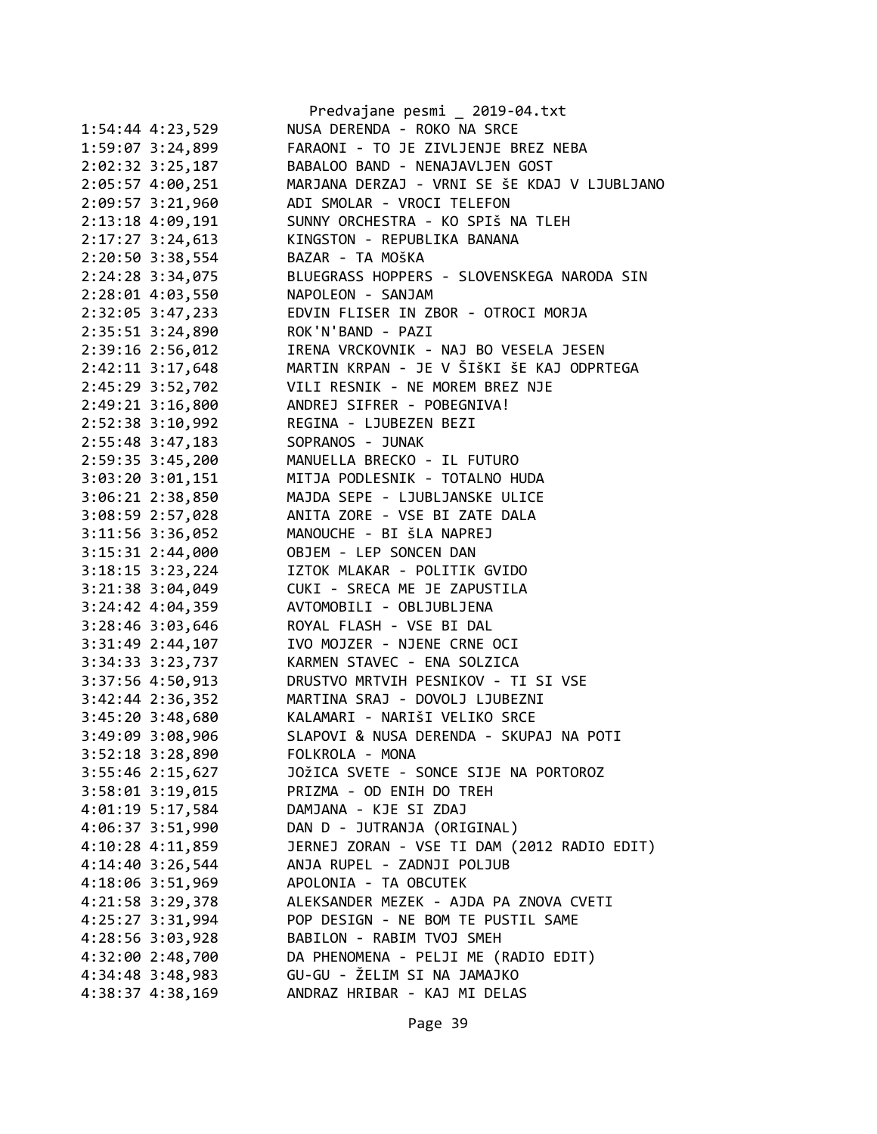|                                      | Predvajane pesmi _ 2019-04.txt                             |
|--------------------------------------|------------------------------------------------------------|
| 1:54:44 4:23,529                     | NUSA DERENDA - ROKO NA SRCE                                |
| 1:59:07 3:24,899                     | FARAONI - TO JE ZIVLJENJE BREZ NEBA                        |
| 2:02:32 3:25,187                     | BABALOO BAND - NENAJAVLJEN GOST                            |
| 2:05:57 4:00,251                     | MARJANA DERZAJ - VRNI SE ŠE KDAJ V LJUBLJANO               |
| 2:09:57 3:21,960                     | ADI SMOLAR - VROCI TELEFON                                 |
| 2:13:18 4:09,191                     | SUNNY ORCHESTRA - KO SPIŠ NA TLEH                          |
| 2:17:27 3:24,613                     | KINGSTON - REPUBLIKA BANANA                                |
| 2:20:50 3:38,554                     | BAZAR - TA MOŠKA                                           |
| 2:24:28 3:34,075                     | BLUEGRASS HOPPERS - SLOVENSKEGA NARODA SIN                 |
| 2:28:01 4:03,550                     | NAPOLEON - SANJAM                                          |
| 2:32:05 3:47,233                     | EDVIN FLISER IN ZBOR - OTROCI MORJA                        |
| 2:35:51 3:24,890                     | ROK'N'BAND - PAZI                                          |
| 2:39:16 2:56,012                     | IRENA VRCKOVNIK - NAJ BO VESELA JESEN                      |
| 2:42:11 3:17,648                     | MARTIN KRPAN - JE V ŠIŠKI ŠE KAJ ODPRTEGA                  |
| 2:45:29 3:52,702                     | VILI RESNIK - NE MOREM BREZ NJE                            |
| 2:49:21 3:16,800                     | ANDREJ SIFRER - POBEGNIVA!                                 |
| 2:52:38 3:10,992                     | REGINA - LJUBEZEN BEZI                                     |
| 2:55:48 3:47,183                     | SOPRANOS - JUNAK                                           |
| 2:59:35 3:45,200                     | MANUELLA BRECKO - IL FUTURO                                |
| 3:03:20 3:01,151                     | MITJA PODLESNIK - TOTALNO HUDA                             |
| 3:06:21 2:38,850                     | MAJDA SEPE - LJUBLJANSKE ULICE                             |
| 3:08:59 2:57,028                     | ANITA ZORE - VSE BI ZATE DALA                              |
| 3:11:56 3:36,052                     | MANOUCHE - BI ŠLA NAPREJ                                   |
| 3:15:31 2:44,000                     | OBJEM - LEP SONCEN DAN                                     |
| 3:18:15 3:23,224                     | IZTOK MLAKAR - POLITIK GVIDO                               |
| 3:21:38 3:04,049                     | CUKI - SRECA ME JE ZAPUSTILA                               |
| 3:24:42 4:04,359                     | AVTOMOBILI - OBLJUBLJENA                                   |
| 3:28:46 3:03,646                     | ROYAL FLASH - VSE BI DAL                                   |
| 3:31:49 2:44,107                     | IVO MOJZER - NJENE CRNE OCI                                |
| 3:34:33 3:23,737                     | KARMEN STAVEC - ENA SOLZICA                                |
| 3:37:56 4:50,913                     | DRUSTVO MRTVIH PESNIKOV - TI SI VSE                        |
|                                      |                                                            |
| $3:42:44$ $2:36,352$                 | MARTINA SRAJ - DOVOLJ LJUBEZNI                             |
| 3:45:20 3:48,680                     | KALAMARI - NARIŠI VELIKO SRCE                              |
| 3:49:09 3:08,906<br>3:52:18 3:28,890 | SLAPOVI & NUSA DERENDA - SKUPAJ NA POTI<br>FOLKROLA - MONA |
|                                      |                                                            |
| $3:55:46$ 2:15,627                   | JOŽICA SVETE - SONCE SIJE NA PORTOROZ                      |
| $3:58:01$ $3:19,015$                 | PRIZMA - OD ENIH DO TREH                                   |
| 4:01:19 5:17,584                     | DAMJANA - KJE SI ZDAJ                                      |
| 4:06:37 3:51,990                     | DAN D - JUTRANJA (ORIGINAL)                                |
| $4:10:28$ $4:11,859$                 | JERNEJ ZORAN - VSE TI DAM (2012 RADIO EDIT)                |
| $4:14:40$ 3:26,544                   | ANJA RUPEL - ZADNJI POLJUB                                 |
| 4:18:06 3:51,969                     | APOLONIA - TA OBCUTEK                                      |
| 4:21:58 3:29,378                     | ALEKSANDER MEZEK - AJDA PA ZNOVA CVETI                     |
| 4:25:27 3:31,994                     | POP DESIGN - NE BOM TE PUSTIL SAME                         |
| 4:28:56 3:03,928                     | BABILON - RABIM TVOJ SMEH                                  |
| 4:32:00 2:48,700                     | DA PHENOMENA - PELJI ME (RADIO EDIT)                       |
| 4:34:48 3:48,983                     | GU-GU - ŽELIM SI NA JAMAJKO                                |
| 4:38:37 4:38,169                     | ANDRAZ HRIBAR - KAJ MI DELAS                               |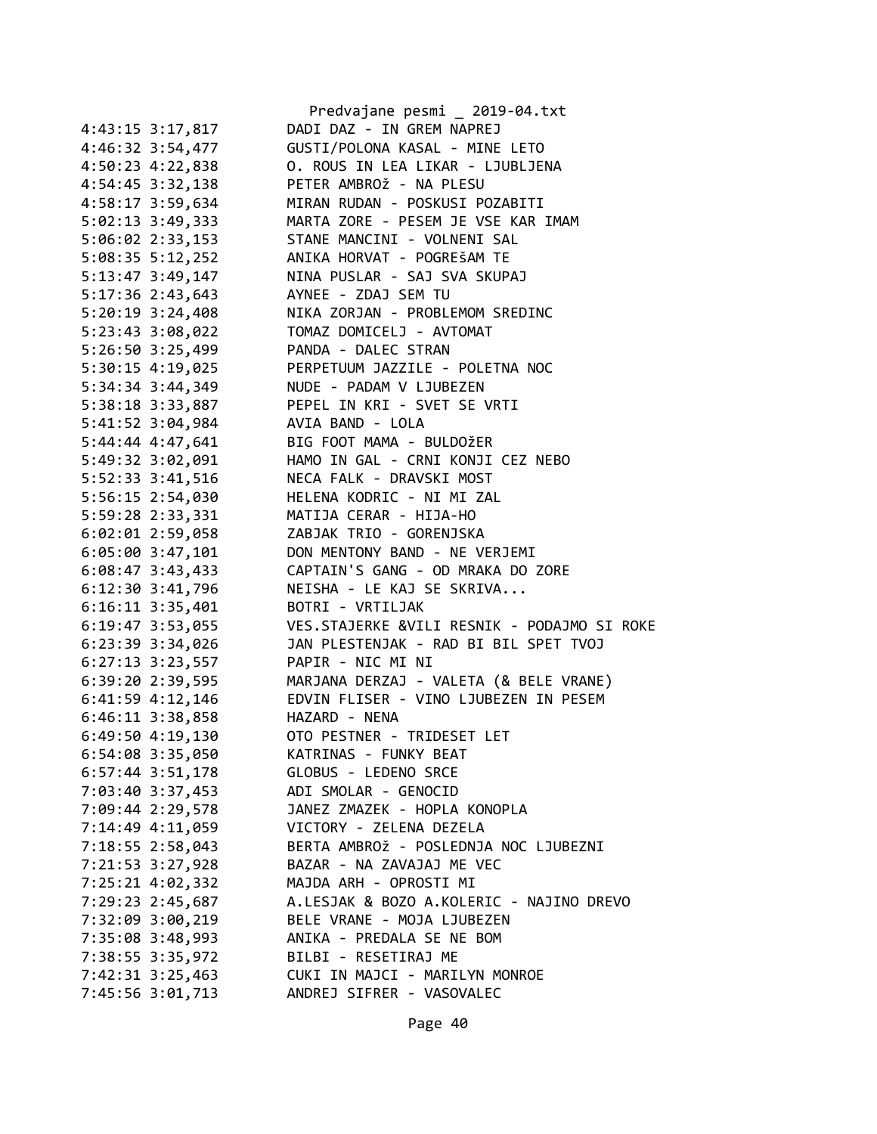|                      | Predvajane pesmi _ 2019-04.txt              |
|----------------------|---------------------------------------------|
| 4:43:15 3:17,817     | DADI DAZ - IN GREM NAPREJ                   |
| 4:46:32 3:54,477     | GUSTI/POLONA KASAL - MINE LETO              |
| 4:50:23 4:22,838     | O. ROUS IN LEA LIKAR - LJUBLJENA            |
| 4:54:45 3:32,138     | PETER AMBROŽ - NA PLESU                     |
| 4:58:17 3:59,634     | MIRAN RUDAN - POSKUSI POZABITI              |
| 5:02:13 3:49,333     | MARTA ZORE - PESEM JE VSE KAR IMAM          |
| $5:06:02$ 2:33,153   | STANE MANCINI - VOLNENI SAL                 |
| 5:08:35 5:12,252     | ANIKA HORVAT - POGREŠAM TE                  |
| 5:13:47 3:49,147     | NINA PUSLAR - SAJ SVA SKUPAJ                |
| $5:17:36$ 2:43,643   | AYNEE - ZDAJ SEM TU                         |
| $5:20:19$ $3:24,408$ | NIKA ZORJAN - PROBLEMOM SREDINC             |
| 5:23:43 3:08,022     | TOMAZ DOMICELJ - AVTOMAT                    |
| 5:26:50 3:25,499     | PANDA - DALEC STRAN                         |
| $5:30:15$ 4:19,025   | PERPETUUM JAZZILE - POLETNA NOC             |
| 5:34:34 3:44,349     | NUDE - PADAM V LJUBEZEN                     |
|                      | PEPEL IN KRI - SVET SE VRTI                 |
| 5:38:18 3:33,887     |                                             |
| 5:41:52 3:04,984     | AVIA BAND - LOLA                            |
| 5:44:44 4:47,641     | BIG FOOT MAMA - BULDOŽER                    |
| 5:49:32 3:02,091     | HAMO IN GAL - CRNI KONJI CEZ NEBO           |
| 5:52:33 3:41,516     | NECA FALK - DRAVSKI MOST                    |
| 5:56:15 2:54,030     | HELENA KODRIC - NI MI ZAL                   |
| 5:59:28 2:33,331     | MATIJA CERAR - HIJA-HO                      |
| $6:02:01$ 2:59,058   | ZABJAK TRIO - GORENJSKA                     |
| $6:05:00$ 3:47,101   | DON MENTONY BAND - NE VERJEMI               |
| $6:08:47$ 3:43,433   | CAPTAIN'S GANG - OD MRAKA DO ZORE           |
| 6:12:30 3:41,796     | NEISHA - LE KAJ SE SKRIVA                   |
| $6:16:11$ $3:35,401$ | BOTRI - VRTILJAK                            |
| $6:19:47$ 3:53,055   | VES.STAJERKE &VILI RESNIK - PODAJMO SI ROKE |
| $6:23:39$ $3:34,026$ | JAN PLESTENJAK - RAD BI BIL SPET TVOJ       |
| 6:27:13 3:23,557     | PAPIR - NIC MI NI                           |
| 6:39:20 2:39,595     | MARJANA DERZAJ - VALETA (& BELE VRANE)      |
| 6:41:59 4:12,146     | EDVIN FLISER - VINO LJUBEZEN IN PESEM       |
| 6:46:11 3:38,858     | HAZARD - NENA                               |
| 6:49:50 4:19,130     | OTO PESTNER - TRIDESET LET                  |
| 6:54:08 3:35,050     | KATRINAS - FUNKY BEAT                       |
| $6:57:44$ 3:51,178   | GLOBUS - LEDENO SRCE                        |
| 7:03:40 3:37,453     | ADI SMOLAR - GENOCID                        |
| 7:09:44 2:29,578     | JANEZ ZMAZEK - HOPLA KONOPLA                |
| 7:14:49 4:11,059     | VICTORY - ZELENA DEZELA                     |
| 7:18:55 2:58,043     | BERTA AMBROŽ - POSLEDNJA NOC LJUBEZNI       |
| 7:21:53 3:27,928     | BAZAR - NA ZAVAJAJ ME VEC                   |
| 7:25:21 4:02,332     | MAJDA ARH - OPROSTI MI                      |
| 7:29:23 2:45,687     | A.LESJAK & BOZO A.KOLERIC - NAJINO DREVO    |
| 7:32:09 3:00,219     | BELE VRANE - MOJA LJUBEZEN                  |
| 7:35:08 3:48,993     | ANIKA - PREDALA SE NE BOM                   |
| 7:38:55 3:35,972     | BILBI - RESETIRAJ ME                        |
| 7:42:31 3:25,463     | CUKI IN MAJCI - MARILYN MONROE              |
| 7:45:56 3:01,713     | ANDREJ SIFRER - VASOVALEC                   |
|                      |                                             |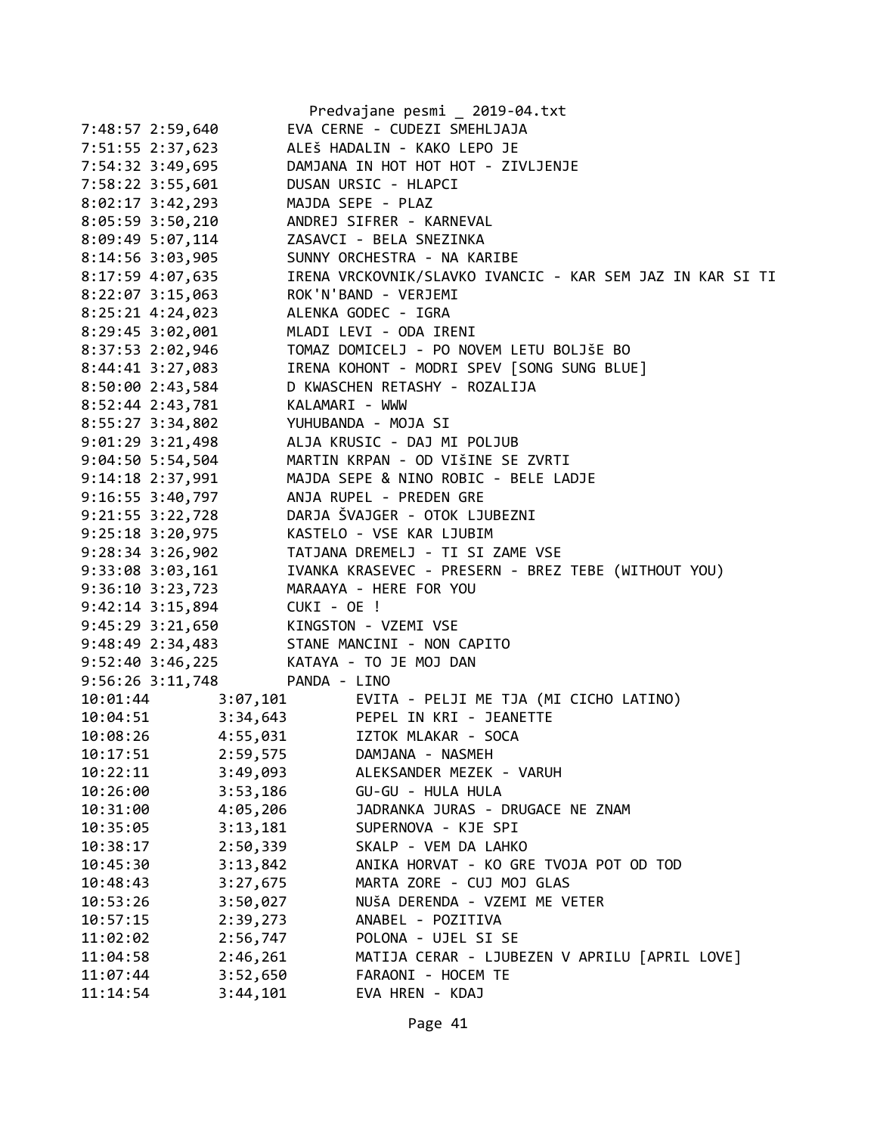|                      | Predvajane pesmi _ 2019-04.txt                            |
|----------------------|-----------------------------------------------------------|
| 7:48:57 2:59,640     | EVA CERNE - CUDEZI SMEHLJAJA                              |
| 7:51:55 2:37,623     | ALEŠ HADALIN - KAKO LEPO JE                               |
| 7:54:32 3:49,695     | DAMJANA IN HOT HOT HOT - ZIVLJENJE                        |
| 7:58:22 3:55,601     | DUSAN URSIC - HLAPCI                                      |
| $8:02:17$ 3:42,293   | MAJDA SEPE - PLAZ                                         |
| $8:05:59$ 3:50,210   | ANDREJ SIFRER - KARNEVAL                                  |
| 8:09:49 5:07,114     | ZASAVCI - BELA SNEZINKA                                   |
| 8:14:56 3:03,905     | SUNNY ORCHESTRA - NA KARIBE                               |
| 8:17:59 4:07,635     | IRENA VRCKOVNIK/SLAVKO IVANCIC - KAR SEM JAZ IN KAR SI TI |
| 8:22:07 3:15,063     | ROK'N'BAND - VERJEMI                                      |
| 8:25:21 4:24,023     | ALENKA GODEC - IGRA                                       |
| 8:29:45 3:02,001     | MLADI LEVI - ODA IRENI                                    |
| 8:37:53 2:02,946     | TOMAZ DOMICELJ - PO NOVEM LETU BOLJŠE BO                  |
| 8:44:41 3:27,083     | IRENA KOHONT - MODRI SPEV [SONG SUNG BLUE]                |
| 8:50:00 2:43,584     | D KWASCHEN RETASHY - ROZALIJA                             |
| 8:52:44 2:43,781     | KALAMARI - WWW                                            |
| 8:55:27 3:34,802     | YUHUBANDA - MOJA SI                                       |
| $9:01:29$ 3:21,498   | ALJA KRUSIC - DAJ MI POLJUB                               |
| 9:04:50 5:54,504     | MARTIN KRPAN - OD VIŠINE SE ZVRTI                         |
| $9:14:18$ 2:37,991   | MAJDA SEPE & NINO ROBIC - BELE LADJE                      |
| $9:16:55$ 3:40,797   | ANJA RUPEL - PREDEN GRE                                   |
| $9:21:55$ $3:22,728$ | DARJA ŠVAJGER - OTOK LJUBEZNI                             |
| $9:25:18$ $3:20,975$ | KASTELO - VSE KAR LJUBIM                                  |
| $9:28:34$ 3:26,902   | TATJANA DREMELJ - TI SI ZAME VSE                          |
| $9:33:08$ $3:03,161$ | IVANKA KRASEVEC - PRESERN - BREZ TEBE (WITHOUT YOU)       |
| 9:36:10 3:23,723     | MARAAYA - HERE FOR YOU                                    |
| $9:42:14$ 3:15,894   | CUKI - OE !                                               |
| 9:45:29 3:21,650     | KINGSTON - VZEMI VSE                                      |
| $9:48:49$ 2:34,483   | STANE MANCINI - NON CAPITO                                |
| 9:52:40 3:46,225     | KATAYA - TO JE MOJ DAN                                    |
| 9:56:26 3:11,748     | PANDA - LINO                                              |
| 10:01:44             | EVITA - PELJI ME TJA (MI CICHO LATINO)<br>3:07,101        |
| 10:04:51             | 3:34,643<br>PEPEL IN KRI - JEANETTE                       |
| 4:55,031<br>10:08:26 | IZTOK MLAKAR - SOCA                                       |
| 10:17:51<br>2:59,575 | DAMJANA - NASMEH                                          |
| 3:49,093<br>10:22:11 | ALEKSANDER MEZEK - VARUH                                  |
| 3:53,186<br>10:26:00 | GU-GU - HULA HULA                                         |
| 4:05,206<br>10:31:00 | JADRANKA JURAS - DRUGACE NE ZNAM                          |
| 10:35:05<br>3:13,181 | SUPERNOVA - KJE SPI                                       |
| 2:50,339<br>10:38:17 | SKALP - VEM DA LAHKO                                      |
| 3:13,842<br>10:45:30 | ANIKA HORVAT - KO GRE TVOJA POT OD TOD                    |
| 10:48:43<br>3:27,675 | MARTA ZORE - CUJ MOJ GLAS                                 |
| 10:53:26<br>3:50,027 | NUŠA DERENDA - VZEMI ME VETER                             |
| 2:39,273<br>10:57:15 | ANABEL - POZITIVA                                         |
| 2:56,747<br>11:02:02 | POLONA - UJEL SI SE                                       |
| 11:04:58<br>2:46,261 | MATIJA CERAR - LJUBEZEN V APRILU [APRIL LOVE]             |
| 3:52,650<br>11:07:44 | FARAONI - HOCEM TE                                        |
| 11:14:54<br>3:44,101 | EVA HREN - KDAJ                                           |
|                      |                                                           |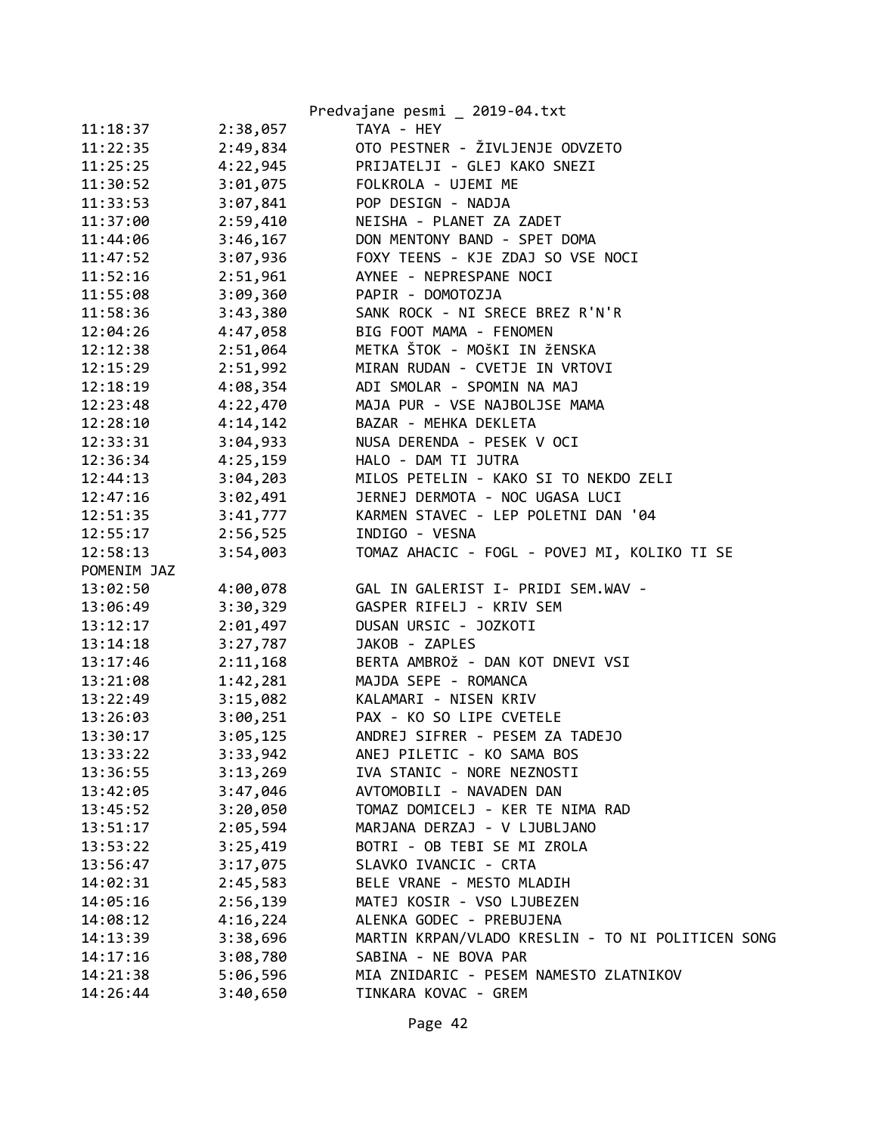|             |          | Predvajane pesmi _ 2019-04.txt                    |
|-------------|----------|---------------------------------------------------|
| 11:18:37    | 2:38,057 | TAYA - HEY                                        |
| 11:22:35    | 2:49,834 | OTO PESTNER - ŽIVLJENJE ODVZETO                   |
| 11:25:25    | 4:22,945 | PRIJATELJI - GLEJ KAKO SNEZI                      |
| 11:30:52    | 3:01,075 | FOLKROLA - UJEMI ME                               |
| 11:33:53    | 3:07,841 | POP DESIGN - NADJA                                |
| 11:37:00    | 2:59,410 | NEISHA - PLANET ZA ZADET                          |
| 11:44:06    | 3:46,167 | DON MENTONY BAND - SPET DOMA                      |
| 11:47:52    | 3:07,936 | FOXY TEENS - KJE ZDAJ SO VSE NOCI                 |
| 11:52:16    | 2:51,961 | AYNEE - NEPRESPANE NOCI                           |
| 11:55:08    | 3:09,360 | PAPIR - DOMOTOZJA                                 |
| 11:58:36    | 3:43,380 | SANK ROCK - NI SRECE BREZ R'N'R                   |
| 12:04:26    | 4:47,058 | BIG FOOT MAMA - FENOMEN                           |
| 12:12:38    | 2:51,064 | METKA ŠTOK - MOŠKI IN ŽENSKA                      |
| 12:15:29    | 2:51,992 | MIRAN RUDAN - CVETJE IN VRTOVI                    |
| 12:18:19    | 4:08,354 | ADI SMOLAR - SPOMIN NA MAJ                        |
| 12:23:48    | 4:22,470 | MAJA PUR - VSE NAJBOLJSE MAMA                     |
| 12:28:10    | 4:14,142 | BAZAR - MEHKA DEKLETA                             |
| 12:33:31    | 3:04,933 | NUSA DERENDA - PESEK V OCI                        |
| 12:36:34    | 4:25,159 | HALO - DAM TI JUTRA                               |
| 12:44:13    | 3:04,203 | MILOS PETELIN - KAKO SI TO NEKDO ZELI             |
| 12:47:16    | 3:02,491 | JERNEJ DERMOTA - NOC UGASA LUCI                   |
| 12:51:35    | 3:41,777 | KARMEN STAVEC - LEP POLETNI DAN '04               |
| 12:55:17    | 2:56,525 | INDIGO - VESNA                                    |
| 12:58:13    | 3:54,003 | TOMAZ AHACIC - FOGL - POVEJ MI, KOLIKO TI SE      |
| POMENIM JAZ |          |                                                   |
| 13:02:50    | 4:00,078 | GAL IN GALERIST I- PRIDI SEM.WAV -                |
| 13:06:49    | 3:30,329 | GASPER RIFELJ - KRIV SEM                          |
| 13:12:17    | 2:01,497 | DUSAN URSIC - JOZKOTI                             |
| 13:14:18    | 3:27,787 | JAKOB - ZAPLES                                    |
| 13:17:46    | 2:11,168 | BERTA AMBROŽ - DAN KOT DNEVI VSI                  |
| 13:21:08    | 1:42,281 | MAJDA SEPE - ROMANCA                              |
| 13:22:49    | 3:15,082 | KALAMARI - NISEN KRIV                             |
| 13:26:03    | 3:00,251 | PAX - KO SO LIPE CVETELE                          |
| 13:30:17    | 3:05,125 | ANDREJ SIFRER - PESEM ZA TADEJO                   |
| 13:33:22    | 3:33,942 | ANEJ PILETIC - KO SAMA BOS                        |
| 13:36:55    | 3:13,269 | IVA STANIC - NORE NEZNOSTI                        |
| 13:42:05    | 3:47,046 | AVTOMOBILI - NAVADEN DAN                          |
| 13:45:52    | 3:20,050 | TOMAZ DOMICELJ - KER TE NIMA RAD                  |
| 13:51:17    | 2:05,594 | MARJANA DERZAJ - V LJUBLJANO                      |
| 13:53:22    | 3:25,419 | BOTRI - OB TEBI SE MI ZROLA                       |
| 13:56:47    | 3:17,075 | SLAVKO IVANCIC - CRTA                             |
| 14:02:31    | 2:45,583 | BELE VRANE - MESTO MLADIH                         |
| 14:05:16    | 2:56,139 | MATEJ KOSIR - VSO LJUBEZEN                        |
| 14:08:12    | 4:16,224 | ALENKA GODEC - PREBUJENA                          |
| 14:13:39    | 3:38,696 | MARTIN KRPAN/VLADO KRESLIN - TO NI POLITICEN SONG |
| 14:17:16    | 3:08,780 | SABINA - NE BOVA PAR                              |
| 14:21:38    | 5:06,596 | MIA ZNIDARIC - PESEM NAMESTO ZLATNIKOV            |
| 14:26:44    | 3:40,650 | TINKARA KOVAC - GREM                              |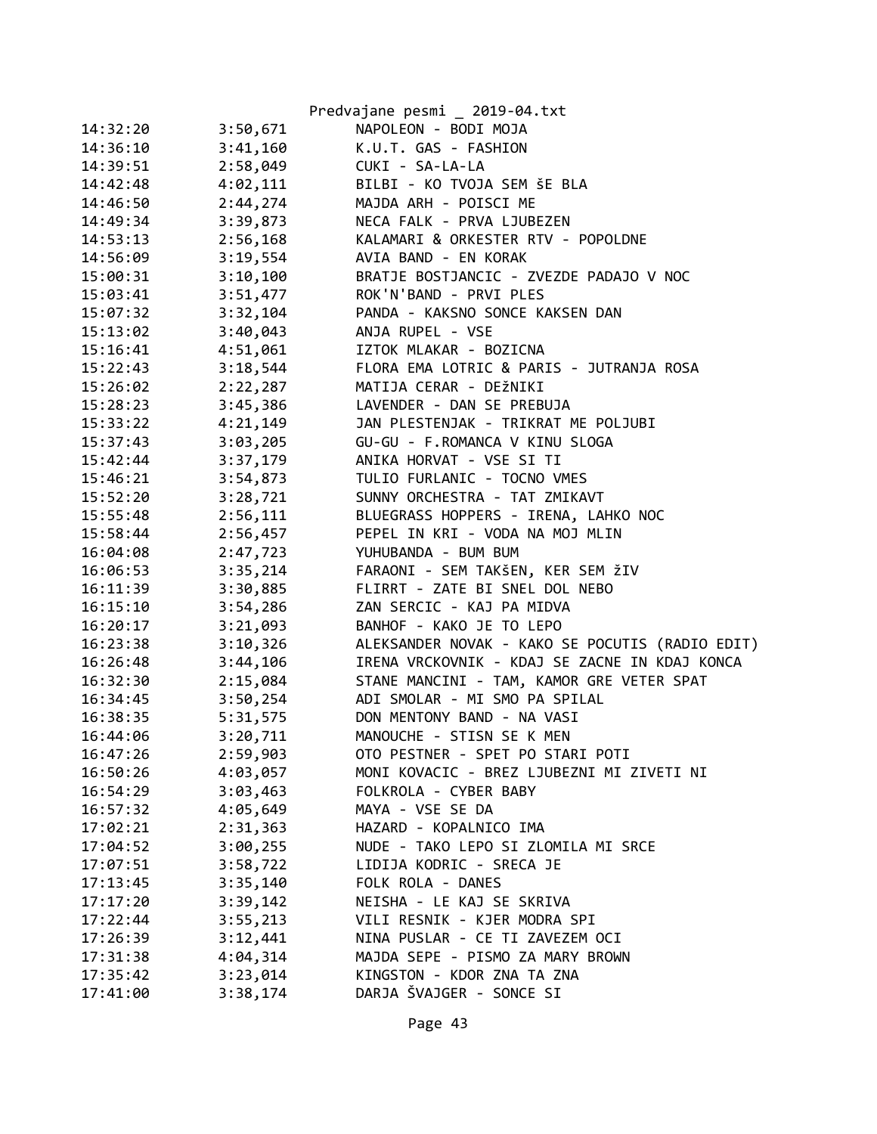|          |          | Predvajane pesmi _ 2019-04.txt                  |
|----------|----------|-------------------------------------------------|
| 14:32:20 | 3:50,671 | NAPOLEON - BODI MOJA                            |
| 14:36:10 | 3:41,160 | K.U.T. GAS - FASHION                            |
| 14:39:51 | 2:58,049 | CUKI - SA-LA-LA                                 |
| 14:42:48 | 4:02,111 | BILBI - KO TVOJA SEM ŠE BLA                     |
| 14:46:50 | 2:44,274 | MAJDA ARH - POISCI ME                           |
| 14:49:34 | 3:39,873 | NECA FALK - PRVA LJUBEZEN                       |
| 14:53:13 | 2:56,168 | KALAMARI & ORKESTER RTV - POPOLDNE              |
| 14:56:09 | 3:19,554 | AVIA BAND - EN KORAK                            |
| 15:00:31 | 3:10,100 | BRATJE BOSTJANCIC - ZVEZDE PADAJO V NOC         |
| 15:03:41 | 3:51,477 | ROK'N'BAND - PRVI PLES                          |
| 15:07:32 | 3:32,104 | PANDA - KAKSNO SONCE KAKSEN DAN                 |
| 15:13:02 | 3:40,043 | ANJA RUPEL - VSE                                |
| 15:16:41 | 4:51,061 | IZTOK MLAKAR - BOZICNA                          |
| 15:22:43 | 3:18,544 | FLORA EMA LOTRIC & PARIS - JUTRANJA ROSA        |
| 15:26:02 | 2:22,287 | MATIJA CERAR - DEŽNIKI                          |
| 15:28:23 | 3:45,386 | LAVENDER - DAN SE PREBUJA                       |
| 15:33:22 | 4:21,149 | JAN PLESTENJAK - TRIKRAT ME POLJUBI             |
| 15:37:43 | 3:03,205 | GU-GU - F.ROMANCA V KINU SLOGA                  |
| 15:42:44 | 3:37,179 | ANIKA HORVAT - VSE SI TI                        |
| 15:46:21 | 3:54,873 | TULIO FURLANIC - TOCNO VMES                     |
| 15:52:20 | 3:28,721 | SUNNY ORCHESTRA - TAT ZMIKAVT                   |
| 15:55:48 | 2:56,111 | BLUEGRASS HOPPERS - IRENA, LAHKO NOC            |
| 15:58:44 | 2:56,457 | PEPEL IN KRI - VODA NA MOJ MLIN                 |
| 16:04:08 | 2:47,723 | YUHUBANDA - BUM BUM                             |
| 16:06:53 | 3:35,214 | FARAONI - SEM TAKŠEN, KER SEM ŽIV               |
| 16:11:39 | 3:30,885 | FLIRRT - ZATE BI SNEL DOL NEBO                  |
| 16:15:10 | 3:54,286 | ZAN SERCIC - KAJ PA MIDVA                       |
| 16:20:17 | 3:21,093 | BANHOF - KAKO JE TO LEPO                        |
| 16:23:38 | 3:10,326 | ALEKSANDER NOVAK - KAKO SE POCUTIS (RADIO EDIT) |
| 16:26:48 | 3:44,106 | IRENA VRCKOVNIK - KDAJ SE ZACNE IN KDAJ KONCA   |
| 16:32:30 | 2:15,084 | STANE MANCINI - TAM, KAMOR GRE VETER SPAT       |
| 16:34:45 | 3:50,254 | ADI SMOLAR - MI SMO PA SPILAL                   |
| 16:38:35 | 5:31,575 | DON MENTONY BAND - NA VASI                      |
| 16:44:06 | 3:20,711 | MANOUCHE - STISN SE K MEN                       |
| 16:47:26 | 2:59,903 | OTO PESTNER - SPET PO STARI POTI                |
| 16:50:26 | 4:03,057 | MONI KOVACIC - BREZ LJUBEZNI MI ZIVETI NI       |
| 16:54:29 | 3:03,463 | FOLKROLA - CYBER BABY                           |
| 16:57:32 | 4:05,649 | MAYA - VSE SE DA                                |
| 17:02:21 | 2:31,363 | HAZARD - KOPALNICO IMA                          |
| 17:04:52 | 3:00,255 | NUDE - TAKO LEPO SI ZLOMILA MI SRCE             |
| 17:07:51 | 3:58,722 | LIDIJA KODRIC - SRECA JE                        |
| 17:13:45 | 3:35,140 | FOLK ROLA - DANES                               |
| 17:17:20 | 3:39,142 | NEISHA - LE KAJ SE SKRIVA                       |
| 17:22:44 | 3:55,213 | VILI RESNIK - KJER MODRA SPI                    |
| 17:26:39 | 3:12,441 | NINA PUSLAR - CE TI ZAVEZEM OCI                 |
| 17:31:38 | 4:04,314 | MAJDA SEPE - PISMO ZA MARY BROWN                |
| 17:35:42 | 3:23,014 | KINGSTON - KDOR ZNA TA ZNA                      |
| 17:41:00 | 3:38,174 | DARJA ŠVAJGER - SONCE SI                        |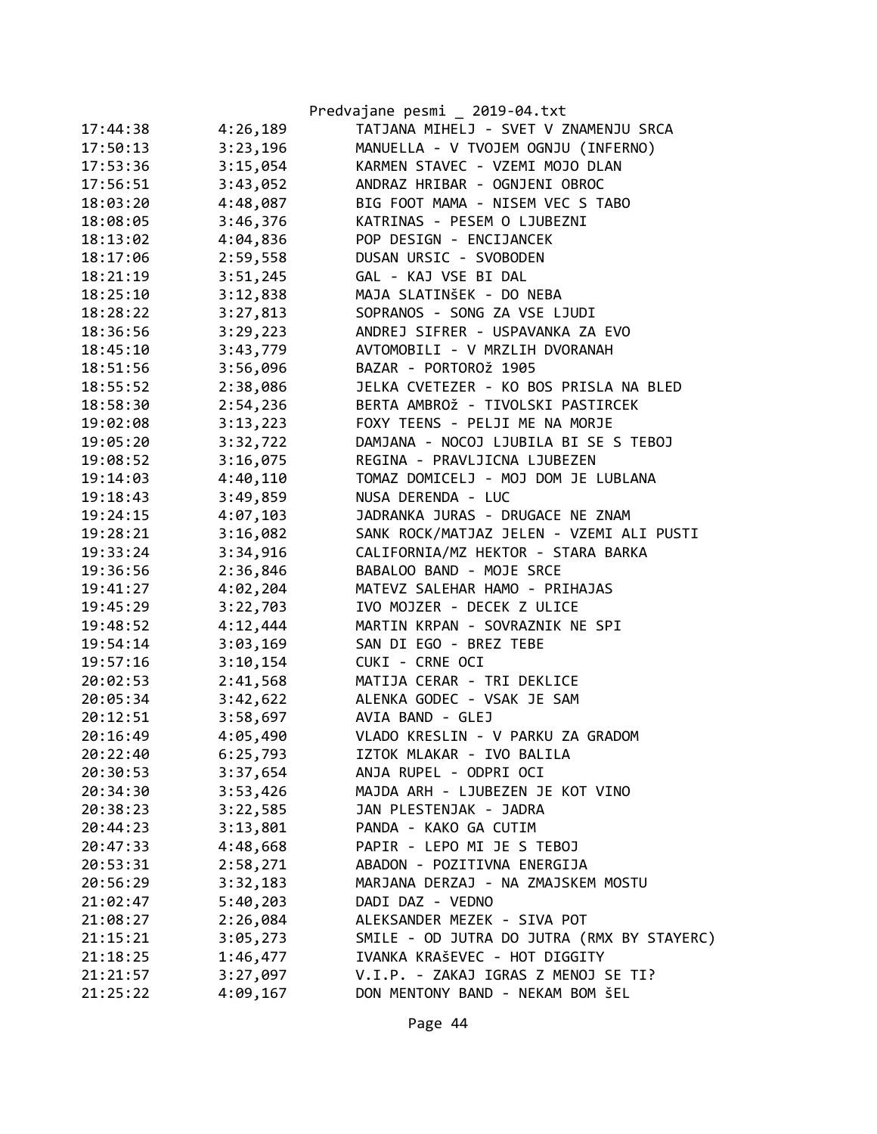|          |          | Predvajane pesmi _ 2019-04.txt             |
|----------|----------|--------------------------------------------|
| 17:44:38 | 4:26,189 | TATJANA MIHELJ - SVET V ZNAMENJU SRCA      |
| 17:50:13 | 3:23,196 | MANUELLA - V TVOJEM OGNJU (INFERNO)        |
| 17:53:36 | 3:15,054 | KARMEN STAVEC - VZEMI MOJO DLAN            |
| 17:56:51 | 3:43,052 | ANDRAZ HRIBAR - OGNJENI OBROC              |
| 18:03:20 | 4:48,087 | BIG FOOT MAMA - NISEM VEC S TABO           |
| 18:08:05 | 3:46,376 | KATRINAS - PESEM O LJUBEZNI                |
| 18:13:02 | 4:04,836 | POP DESIGN - ENCIJANCEK                    |
| 18:17:06 | 2:59,558 | DUSAN URSIC - SVOBODEN                     |
| 18:21:19 | 3:51,245 | GAL - KAJ VSE BI DAL                       |
| 18:25:10 | 3:12,838 | MAJA SLATINŠEK - DO NEBA                   |
| 18:28:22 | 3:27,813 | SOPRANOS - SONG ZA VSE LJUDI               |
| 18:36:56 | 3:29,223 | ANDREJ SIFRER - USPAVANKA ZA EVO           |
| 18:45:10 | 3:43,779 | AVTOMOBILI - V MRZLIH DVORANAH             |
| 18:51:56 | 3:56,096 | BAZAR - PORTOROŽ 1905                      |
| 18:55:52 | 2:38,086 | JELKA CVETEZER - KO BOS PRISLA NA BLED     |
| 18:58:30 | 2:54,236 | BERTA AMBROŽ - TIVOLSKI PASTIRCEK          |
| 19:02:08 | 3:13,223 | FOXY TEENS - PELJI ME NA MORJE             |
| 19:05:20 | 3:32,722 | DAMJANA - NOCOJ LJUBILA BI SE S TEBOJ      |
| 19:08:52 | 3:16,075 | REGINA - PRAVLJICNA LJUBEZEN               |
| 19:14:03 | 4:40,110 | TOMAZ DOMICELJ - MOJ DOM JE LUBLANA        |
| 19:18:43 | 3:49,859 | NUSA DERENDA - LUC                         |
| 19:24:15 | 4:07,103 | JADRANKA JURAS - DRUGACE NE ZNAM           |
| 19:28:21 | 3:16,082 | SANK ROCK/MATJAZ JELEN - VZEMI ALI PUSTI   |
| 19:33:24 | 3:34,916 | CALIFORNIA/MZ HEKTOR - STARA BARKA         |
| 19:36:56 | 2:36,846 | BABALOO BAND - MOJE SRCE                   |
| 19:41:27 | 4:02,204 | MATEVZ SALEHAR HAMO - PRIHAJAS             |
| 19:45:29 | 3:22,703 | IVO MOJZER - DECEK Z ULICE                 |
| 19:48:52 | 4:12,444 | MARTIN KRPAN - SOVRAZNIK NE SPI            |
| 19:54:14 | 3:03,169 | SAN DI EGO - BREZ TEBE                     |
| 19:57:16 | 3:10,154 | CUKI - CRNE OCI                            |
| 20:02:53 | 2:41,568 | MATIJA CERAR - TRI DEKLICE                 |
| 20:05:34 | 3:42,622 | ALENKA GODEC - VSAK JE SAM                 |
| 20:12:51 | 3:58,697 | AVIA BAND - GLEJ                           |
| 20:16:49 | 4:05,490 | VLADO KRESLIN - V PARKU ZA GRADOM          |
| 20:22:40 | 6:25,793 | IZTOK MLAKAR - IVO BALILA                  |
| 20:30:53 | 3:37,654 | ANJA RUPEL - ODPRI OCI                     |
| 20:34:30 | 3:53,426 | MAJDA ARH - LJUBEZEN JE KOT VINO           |
| 20:38:23 | 3:22,585 | JAN PLESTENJAK - JADRA                     |
| 20:44:23 | 3:13,801 | PANDA - KAKO GA CUTIM                      |
| 20:47:33 | 4:48,668 | PAPIR - LEPO MI JE S TEBOJ                 |
| 20:53:31 | 2:58,271 | ABADON - POZITIVNA ENERGIJA                |
| 20:56:29 | 3:32,183 | MARJANA DERZAJ - NA ZMAJSKEM MOSTU         |
| 21:02:47 | 5:40,203 | DADI DAZ - VEDNO                           |
| 21:08:27 | 2:26,084 | ALEKSANDER MEZEK - SIVA POT                |
| 21:15:21 | 3:05,273 | SMILE - OD JUTRA DO JUTRA (RMX BY STAYERC) |
| 21:18:25 | 1:46,477 | IVANKA KRAŠEVEC - HOT DIGGITY              |
| 21:21:57 | 3:27,097 | V.I.P. - ZAKAJ IGRAS Z MENOJ SE TI?        |
| 21:25:22 | 4:09,167 | DON MENTONY BAND - NEKAM BOM ŠEL           |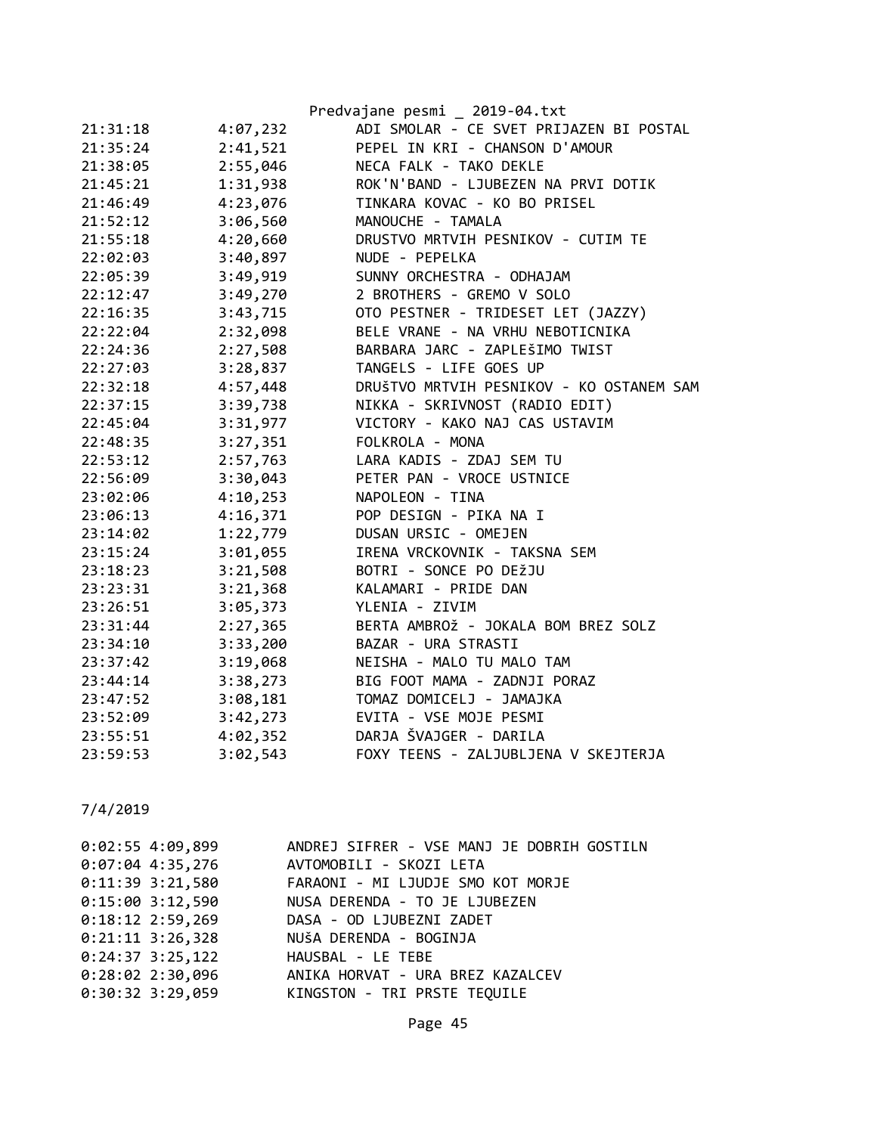|          |          | Predvajane pesmi _ 2019-04.txt           |
|----------|----------|------------------------------------------|
| 21:31:18 | 4:07,232 | ADI SMOLAR - CE SVET PRIJAZEN BI POSTAL  |
| 21:35:24 | 2:41,521 | PEPEL IN KRI - CHANSON D'AMOUR           |
| 21:38:05 | 2:55,046 | NECA FALK - TAKO DEKLE                   |
| 21:45:21 | 1:31,938 | ROK'N'BAND - LJUBEZEN NA PRVI DOTIK      |
| 21:46:49 | 4:23,076 | TINKARA KOVAC - KO BO PRISEL             |
| 21:52:12 | 3:06,560 | MANOUCHE - TAMALA                        |
| 21:55:18 | 4:20,660 | DRUSTVO MRTVIH PESNIKOV - CUTIM TE       |
| 22:02:03 | 3:40,897 | NUDE - PEPELKA                           |
| 22:05:39 | 3:49,919 | SUNNY ORCHESTRA - ODHAJAM                |
| 22:12:47 | 3:49,270 | 2 BROTHERS - GREMO V SOLO                |
| 22:16:35 | 3:43,715 | OTO PESTNER - TRIDESET LET (JAZZY)       |
| 22:22:04 | 2:32,098 | BELE VRANE - NA VRHU NEBOTICNIKA         |
| 22:24:36 | 2:27,508 | BARBARA JARC - ZAPLEŠIMO TWIST           |
| 22:27:03 | 3:28,837 | TANGELS - LIFE GOES UP                   |
| 22:32:18 | 4:57,448 | DRUŠTVO MRTVIH PESNIKOV - KO OSTANEM SAM |
| 22:37:15 | 3:39,738 | NIKKA - SKRIVNOST (RADIO EDIT)           |
| 22:45:04 | 3:31,977 | VICTORY - KAKO NAJ CAS USTAVIM           |
| 22:48:35 | 3:27,351 | FOLKROLA - MONA                          |
| 22:53:12 | 2:57,763 | LARA KADIS - ZDAJ SEM TU                 |
| 22:56:09 | 3:30,043 | PETER PAN - VROCE USTNICE                |
| 23:02:06 | 4:10,253 | NAPOLEON - TINA                          |
| 23:06:13 | 4:16,371 | POP DESIGN - PIKA NA I                   |
| 23:14:02 | 1:22,779 | DUSAN URSIC - OMEJEN                     |
| 23:15:24 | 3:01,055 | IRENA VRCKOVNIK - TAKSNA SEM             |
| 23:18:23 | 3:21,508 | BOTRI - SONCE PO DEŽJU                   |
| 23:23:31 | 3:21,368 | KALAMARI - PRIDE DAN                     |
| 23:26:51 | 3:05,373 | YLENIA - ZIVIM                           |
| 23:31:44 | 2:27,365 | BERTA AMBROŽ - JOKALA BOM BREZ SOLZ      |
| 23:34:10 | 3:33,200 | BAZAR - URA STRASTI                      |
| 23:37:42 | 3:19,068 | NEISHA - MALO TU MALO TAM                |
| 23:44:14 | 3:38,273 | BIG FOOT MAMA - ZADNJI PORAZ             |
| 23:47:52 | 3:08,181 | TOMAZ DOMICELJ - JAMAJKA                 |
| 23:52:09 | 3:42,273 | EVITA - VSE MOJE PESMI                   |
| 23:55:51 | 4:02,352 | DARJA ŠVAJGER - DARILA                   |
| 23:59:53 | 3:02,543 | FOXY TEENS - ZALJUBLJENA V SKEJTERJA     |

| ANDREJ SIFRER - VSE MANJ JE DOBRIH GOSTILN    |
|-----------------------------------------------|
| $0:07:04$ 4:35,276<br>AVTOMOBILI - SKOZI LETA |
| FARAONI - MI LJUDJE SMO KOT MORJE             |
| NUSA DERENDA - TO JE LJUBEZEN                 |
| DASA - OD LJUBEZNI ZADET                      |
| NUŠA DERENDA - BOGINJA                        |
| $0:24:37$ 3:25,122<br>HAUSBAL - LE TEBE       |
| ANIKA HORVAT - URA BREZ KAZALCEV              |
| KINGSTON - TRI PRSTE TEQUILE                  |
|                                               |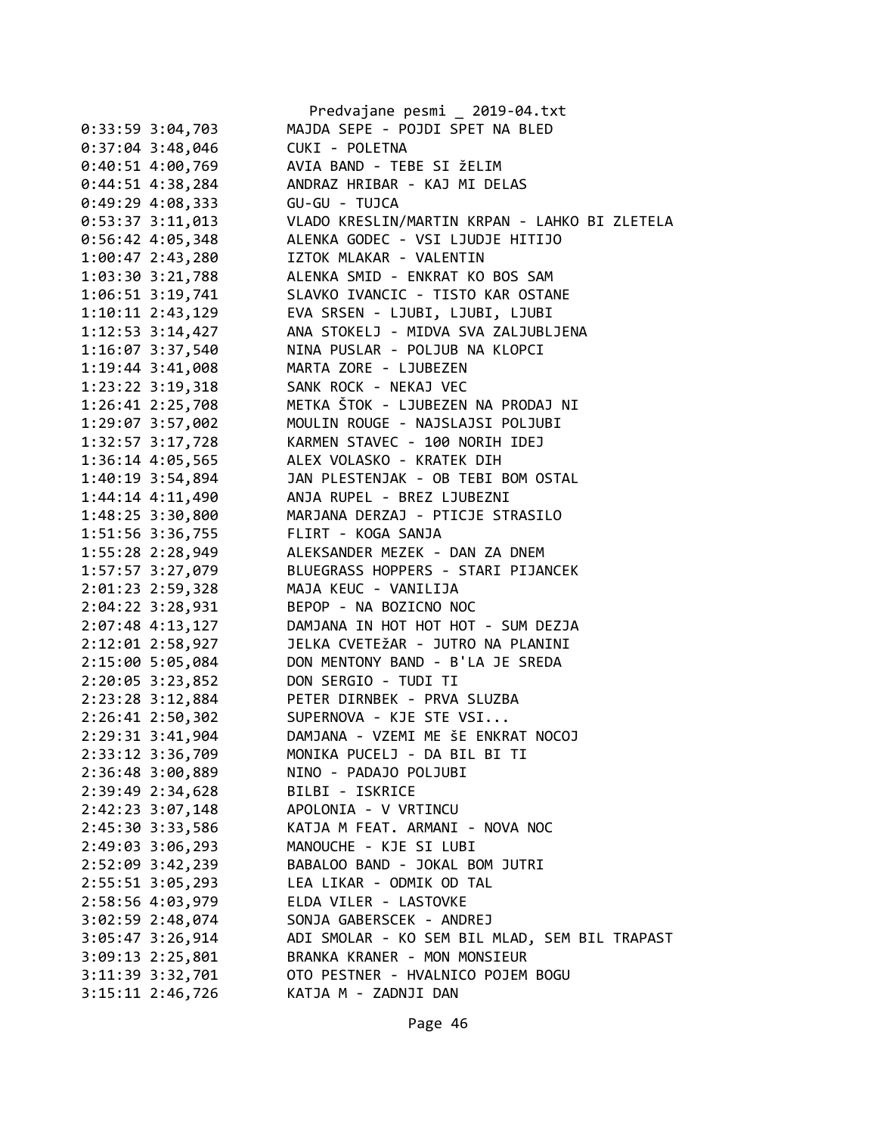|                      | Predvajane pesmi _ 2019-04.txt                 |
|----------------------|------------------------------------------------|
| $0:33:59$ 3:04,703   | MAJDA SEPE - POJDI SPET NA BLED                |
| $0:37:04$ 3:48,046   | CUKI - POLETNA                                 |
| $0:40:51$ 4:00,769   | AVIA BAND - TEBE SI ŽELIM                      |
| $0:44:51$ 4:38,284   | ANDRAZ HRIBAR - KAJ MI DELAS                   |
| $0:49:29$ 4:08,333   | GU-GU - TUJCA                                  |
| $0:53:37$ 3:11,013   | VLADO KRESLIN/MARTIN KRPAN - LAHKO BI ZLETELA  |
| $0:56:42$ 4:05,348   | ALENKA GODEC - VSI LJUDJE HITIJO               |
| $1:00:47$ 2:43,280   | IZTOK MLAKAR - VALENTIN                        |
| $1:03:30$ $3:21,788$ | ALENKA SMID - ENKRAT KO BOS SAM                |
| $1:06:51$ $3:19,741$ | SLAVKO IVANCIC - TISTO KAR OSTANE              |
| $1:10:11$ $2:43,129$ | EVA SRSEN - LJUBI, LJUBI, LJUBI                |
| $1:12:53$ $3:14,427$ | ANA STOKELJ - MIDVA SVA ZALJUBLJENA            |
| 1:16:07 3:37,540     | NINA PUSLAR - POLJUB NA KLOPCI                 |
| $1:19:44$ $3:41,008$ | MARTA ZORE - LJUBEZEN                          |
| $1:23:22$ $3:19,318$ | SANK ROCK - NEKAJ VEC                          |
| $1:26:41$ $2:25,708$ | METKA ŠTOK - LJUBEZEN NA PRODAJ NI             |
| $1:29:07$ 3:57,002   | MOULIN ROUGE - NAJSLAJSI POLJUBI               |
| 1:32:57 3:17,728     | KARMEN STAVEC - 100 NORIH IDEJ                 |
| 1:36:14 4:05,565     | ALEX VOLASKO - KRATEK DIH                      |
| 1:40:19 3:54,894     | JAN PLESTENJAK - OB TEBI BOM OSTAL             |
| $1:44:14$ $4:11,490$ | ANJA RUPEL - BREZ LJUBEZNI                     |
| 1:48:25 3:30,800     | MARJANA DERZAJ - PTICJE STRASILO               |
| 1:51:56 3:36,755     | FLIRT - KOGA SANJA                             |
| 1:55:28 2:28,949     | ALEKSANDER MEZEK - DAN ZA DNEM                 |
|                      | BLUEGRASS HOPPERS - STARI PIJANCEK             |
| 1:57:57 3:27,079     |                                                |
| 2:01:23 2:59,328     | MAJA KEUC - VANILIJA<br>BEPOP - NA BOZICNO NOC |
| $2:04:22$ 3:28,931   |                                                |
| $2:07:48$ 4:13,127   | DAMJANA IN HOT HOT HOT - SUM DEZJA             |
| 2:12:01 2:58,927     | JELKA CVETEŽAR - JUTRO NA PLANINI              |
| 2:15:00 5:05,084     | DON MENTONY BAND - B'LA JE SREDA               |
| 2:20:05 3:23,852     | DON SERGIO - TUDI TI                           |
| 2:23:28 3:12,884     | PETER DIRNBEK - PRVA SLUZBA                    |
| $2:26:41$ $2:50,302$ | SUPERNOVA - KJE STE VSI                        |
| 2:29:31 3:41,904     | DAMJANA - VZEMI ME ŠE ENKRAT NOCOJ             |
| 2:33:12 3:36,709     | MONIKA PUCELJ - DA BIL BI TI                   |
| 2:36:48 3:00,889     | NINO - PADAJO POLJUBI                          |
| 2:39:49 2:34,628     | BILBI - ISKRICE                                |
| 2:42:23 3:07,148     | APOLONIA - V VRTINCU                           |
| 2:45:30 3:33,586     | KATJA M FEAT. ARMANI - NOVA NOC                |
| 2:49:03 3:06,293     | MANOUCHE - KJE SI LUBI                         |
| 2:52:09 3:42,239     | BABALOO BAND - JOKAL BOM JUTRI                 |
| 2:55:51 3:05,293     | LEA LIKAR - ODMIK OD TAL                       |
| 2:58:56 4:03,979     | ELDA VILER - LASTOVKE                          |
| 3:02:59 2:48,074     | SONJA GABERSCEK - ANDREJ                       |
| $3:05:47$ $3:26,914$ | ADI SMOLAR - KO SEM BIL MLAD, SEM BIL TRAPAST  |
| $3:09:13$ $2:25,801$ | BRANKA KRANER - MON MONSIEUR                   |
| 3:11:39 3:32,701     | OTO PESTNER - HVALNICO POJEM BOGU              |
| $3:15:11$ $2:46,726$ | KATJA M - ZADNJI DAN                           |
|                      |                                                |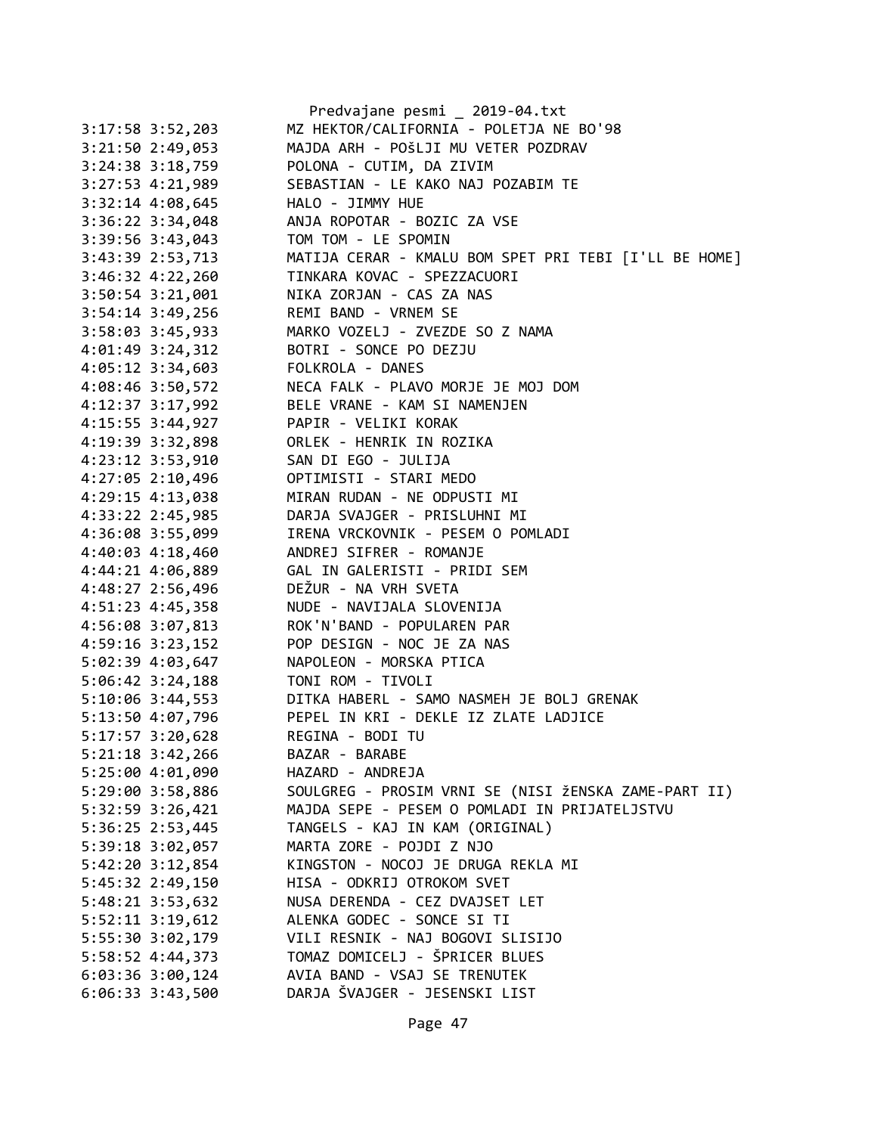|                      | Predvajane pesmi _ 2019-04.txt                                 |
|----------------------|----------------------------------------------------------------|
| 3:17:58 3:52,203     | MZ HEKTOR/CALIFORNIA - POLETJA NE BO'98                        |
| 3:21:50 2:49,053     | MAJDA ARH - POŠLJI MU VETER POZDRAV                            |
| 3:24:38 3:18,759     | POLONA - CUTIM, DA ZIVIM                                       |
| 3:27:53 4:21,989     | SEBASTIAN - LE KAKO NAJ POZABIM TE                             |
| $3:32:14$ 4:08,645   | HALO - JIMMY HUE                                               |
| 3:36:22 3:34,048     | ANJA ROPOTAR - BOZIC ZA VSE                                    |
| 3:39:56 3:43,043     | TOM TOM - LE SPOMIN                                            |
| 3:43:39 2:53,713     | MATIJA CERAR - KMALU BOM SPET PRI TEBI [I'LL BE HOME]          |
| 3:46:32 4:22,260     | TINKARA KOVAC - SPEZZACUORI                                    |
| 3:50:54 3:21,001     | NIKA ZORJAN - CAS ZA NAS                                       |
| 3:54:14 3:49,256     | REMI BAND - VRNEM SE                                           |
| 3:58:03 3:45,933     | MARKO VOZELJ - ZVEZDE SO Z NAMA                                |
| 4:01:49 3:24,312     | BOTRI - SONCE PO DEZJU                                         |
| 4:05:12 3:34,603     | FOLKROLA - DANES                                               |
| 4:08:46 3:50,572     | NECA FALK - PLAVO MORJE JE MOJ DOM                             |
| 4:12:37 3:17,992     | BELE VRANE - KAM SI NAMENJEN                                   |
| 4:15:55 3:44,927     | PAPIR - VELIKI KORAK                                           |
| 4:19:39 3:32,898     | ORLEK - HENRIK IN ROZIKA                                       |
| 4:23:12 3:53,910     | SAN DI EGO - JULIJA                                            |
| 4:27:05 2:10,496     | OPTIMISTI - STARI MEDO                                         |
| 4:29:15 4:13,038     | MIRAN RUDAN - NE ODPUSTI MI                                    |
| 4:33:22 2:45,985     | DARJA SVAJGER - PRISLUHNI MI                                   |
| 4:36:08 3:55,099     | IRENA VRCKOVNIK - PESEM O POMLADI                              |
| 4:40:03 4:18,460     | ANDREJ SIFRER - ROMANJE                                        |
| 4:44:21 4:06,889     | GAL IN GALERISTI - PRIDI SEM                                   |
| 4:48:27 2:56,496     | DEŽUR - NA VRH SVETA                                           |
| 4:51:23 4:45,358     | NUDE - NAVIJALA SLOVENIJA                                      |
| 4:56:08 3:07,813     | ROK'N'BAND - POPULAREN PAR                                     |
| 4:59:16 3:23,152     | POP DESIGN - NOC JE ZA NAS                                     |
| 5:02:39 4:03,647     | NAPOLEON - MORSKA PTICA                                        |
| 5:06:42 3:24,188     | TONI ROM - TIVOLI                                              |
| $5:10:06$ 3:44,553   | DITKA HABERL - SAMO NASMEH JE BOLJ GRENAK                      |
| 5:13:50 4:07,796     | PEPEL IN KRI - DEKLE IZ ZLATE LADJICE                          |
| 5:17:57 3:20,628     | REGINA - BODI TU                                               |
| $5:21:18$ $3:42,266$ | BAZAR - BARABE                                                 |
| 5:25:00 4:01,090     | HAZARD - ANDREJA                                               |
| 5:29:00 3:58,886     | SOULGREG - PROSIM VRNI SE (NISI ŽENSKA ZAME-PART II)           |
| 5:32:59 3:26,421     | MAJDA SEPE - PESEM O POMLADI IN PRIJATELJSTVU                  |
| 5:36:25 2:53,445     | TANGELS - KAJ IN KAM (ORIGINAL)                                |
| 5:39:18 3:02,057     | MARTA ZORE - POJDI Z NJO                                       |
| 5:42:20 3:12,854     | KINGSTON - NOCOJ JE DRUGA REKLA MI                             |
| 5:45:32 2:49,150     | HISA - ODKRIJ OTROKOM SVET                                     |
| 5:48:21 3:53,632     | NUSA DERENDA - CEZ DVAJSET LET                                 |
| 5:52:11 3:19,612     | ALENKA GODEC - SONCE SI TI                                     |
| 5:55:30 3:02,179     | VILI RESNIK - NAJ BOGOVI SLISIJO                               |
| 5:58:52 4:44,373     | TOMAZ DOMICELJ - ŠPRICER BLUES<br>AVIA BAND - VSAJ SE TRENUTEK |
| $6:03:36$ 3:00,124   |                                                                |
| $6:06:33$ 3:43,500   | DARJA ŠVAJGER - JESENSKI LIST                                  |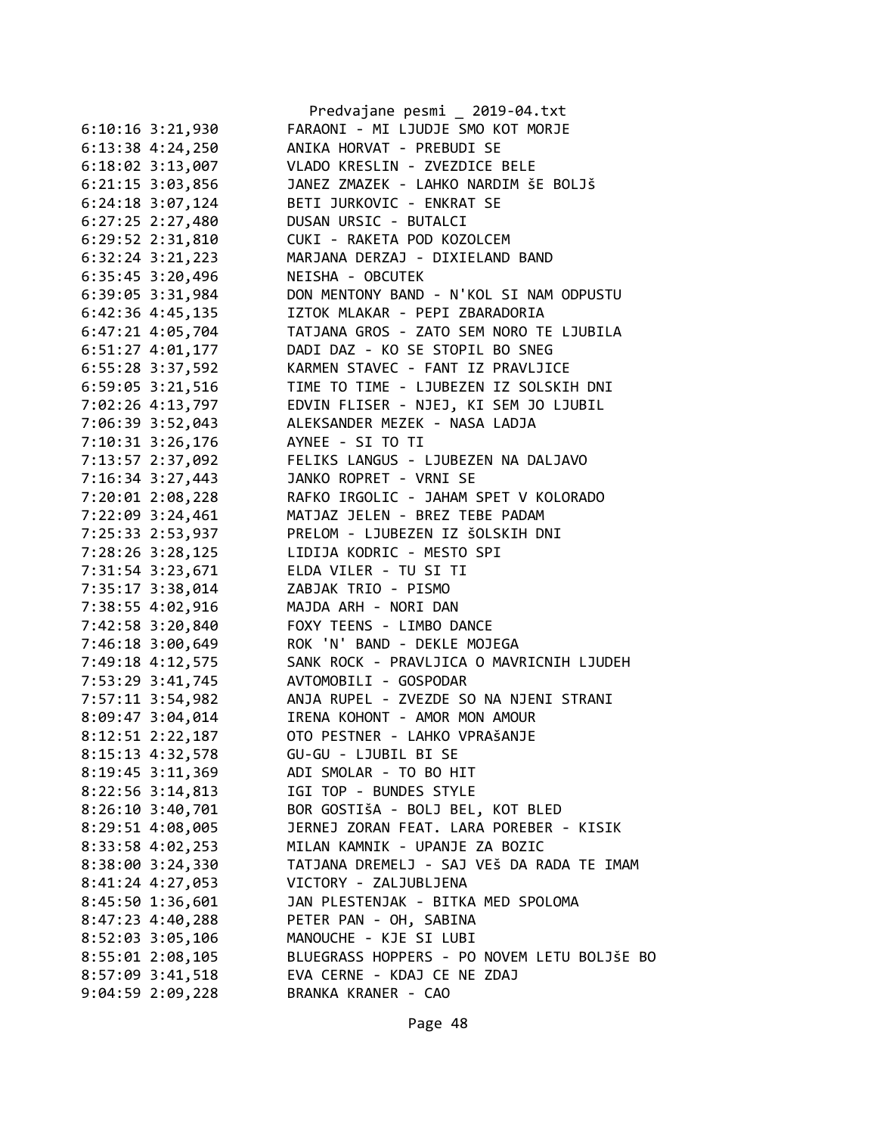|                      | Predvajane pesmi _ 2019-04.txt              |
|----------------------|---------------------------------------------|
| $6:10:16$ 3:21,930   | FARAONI - MI LJUDJE SMO KOT MORJE           |
| $6:13:38$ 4:24,250   | ANIKA HORVAT - PREBUDI SE                   |
| $6:18:02$ 3:13,007   | VLADO KRESLIN - ZVEZDICE BELE               |
| 6:21:15 3:03,856     | JANEZ ZMAZEK - LAHKO NARDIM ŠE BOLJŠ        |
| $6:24:18$ 3:07,124   | BETI JURKOVIC - ENKRAT SE                   |
| $6:27:25$ 2:27,480   | DUSAN URSIC - BUTALCI                       |
| $6:29:52$ $2:31,810$ | CUKI - RAKETA POD KOZOLCEM                  |
| $6:32:24$ $3:21,223$ | MARJANA DERZAJ - DIXIELAND BAND             |
| 6:35:45 3:20,496     | NEISHA - OBCUTEK                            |
| 6:39:05 3:31,984     | DON MENTONY BAND - N'KOL SI NAM ODPUSTU     |
| $6:42:36$ 4:45,135   | IZTOK MLAKAR - PEPI ZBARADORIA              |
| $6:47:21$ $4:05,704$ | TATJANA GROS - ZATO SEM NORO TE LJUBILA     |
| 6:51:27 4:01,177     | DADI DAZ - KO SE STOPIL BO SNEG             |
| 6:55:28 3:37,592     | KARMEN STAVEC - FANT IZ PRAVLJICE           |
| 6:59:05 3:21,516     | TIME TO TIME - LJUBEZEN IZ SOLSKIH DNI      |
| 7:02:26 4:13,797     | EDVIN FLISER - NJEJ, KI SEM JO LJUBIL       |
| 7:06:39 3:52,043     | ALEKSANDER MEZEK - NASA LADJA               |
| 7:10:31 3:26,176     | AYNEE - SI TO TI                            |
| 7:13:57 2:37,092     | FELIKS LANGUS - LJUBEZEN NA DALJAVO         |
| 7:16:34 3:27,443     | JANKO ROPRET - VRNI SE                      |
| 7:20:01 2:08,228     | RAFKO IRGOLIC - JAHAM SPET V KOLORADO       |
| 7:22:09 3:24,461     | MATJAZ JELEN - BREZ TEBE PADAM              |
|                      |                                             |
| 7:25:33 2:53,937     | PRELOM - LJUBEZEN IZ ŠOLSKIH DNI            |
| 7:28:26 3:28,125     | LIDIJA KODRIC - MESTO SPI                   |
| 7:31:54 3:23,671     | ELDA VILER - TU SI TI                       |
| 7:35:17 3:38,014     | ZABJAK TRIO - PISMO                         |
| 7:38:55 4:02,916     | MAJDA ARH - NORI DAN                        |
| 7:42:58 3:20,840     | FOXY TEENS - LIMBO DANCE                    |
| 7:46:18 3:00,649     | ROK 'N' BAND - DEKLE MOJEGA                 |
| 7:49:18 4:12,575     | SANK ROCK - PRAVLJICA O MAVRICNIH LJUDEH    |
| 7:53:29 3:41,745     | AVTOMOBILI - GOSPODAR                       |
| 7:57:11 3:54,982     | ANJA RUPEL - ZVEZDE SO NA NJENI STRANI      |
| 8:09:47 3:04,014     | IRENA KOHONT - AMOR MON AMOUR               |
| 8:12:51 2:22,187     | OTO PESTNER - LAHKO VPRAŠANJE               |
| 8:15:13 4:32,578     | GU-GU - LJUBIL BI SE                        |
| 8:19:45 3:11,369     | ADI SMOLAR - TO BO HIT                      |
| 8:22:56 3:14,813     | IGI TOP - BUNDES STYLE                      |
| $8:26:10$ 3:40,701   | BOR GOSTIŠA - BOLJ BEL, KOT BLED            |
| 8:29:51 4:08,005     | JERNEJ ZORAN FEAT. LARA POREBER - KISIK     |
| 8:33:58 4:02,253     | MILAN KAMNIK - UPANJE ZA BOZIC              |
| 8:38:00 3:24,330     | TATJANA DREMELJ - SAJ VEŠ DA RADA TE IMAM   |
| 8:41:24 4:27,053     | VICTORY - ZALJUBLJENA                       |
| 8:45:50 1:36,601     | JAN PLESTENJAK - BITKA MED SPOLOMA          |
| 8:47:23 4:40,288     | PETER PAN - OH, SABINA                      |
| 8:52:03 3:05,106     | MANOUCHE - KJE SI LUBI                      |
| 8:55:01 2:08,105     | BLUEGRASS HOPPERS - PO NOVEM LETU BOLJŠE BO |
| 8:57:09 3:41,518     | EVA CERNE - KDAJ CE NE ZDAJ                 |
| $9:04:59$ 2:09,228   | BRANKA KRANER - CAO                         |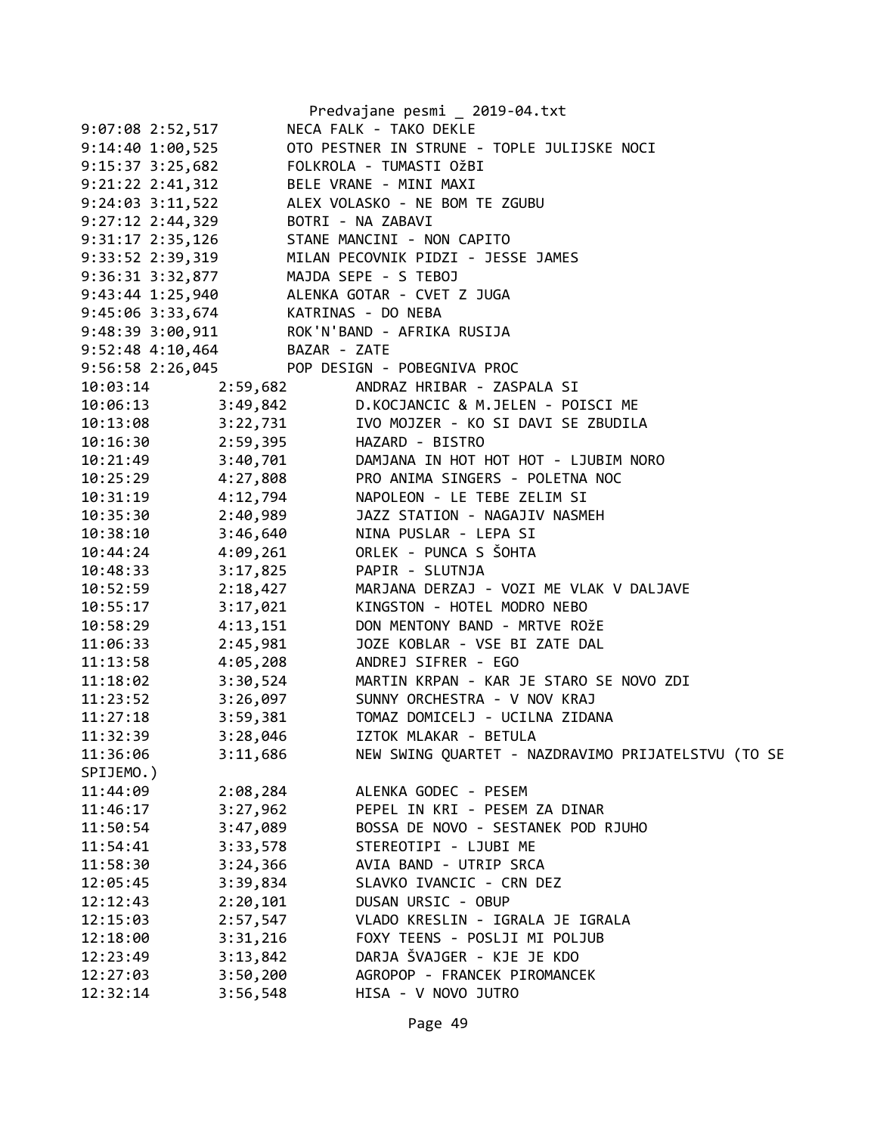|                      |                                       | Predvajane pesmi _ 2019-04.txt                                                                                                                                                                              |
|----------------------|---------------------------------------|-------------------------------------------------------------------------------------------------------------------------------------------------------------------------------------------------------------|
| 9:07:08 2:52,517     |                                       | NECA FALK - TAKO DEKLE                                                                                                                                                                                      |
| 9:14:40 1:00,525     |                                       | OTO PESTNER IN STRUNE - TOPLE JULIJSKE NOCI                                                                                                                                                                 |
| $9:15:37$ 3:25,682   |                                       | FOLKROLA - TUMASTI OŽBI                                                                                                                                                                                     |
| $9:21:22$ $2:41,312$ | BELE VRANE - MINI MAXI                |                                                                                                                                                                                                             |
|                      |                                       |                                                                                                                                                                                                             |
|                      |                                       | 9:24:03 3:11,522<br>9:27:12 2:44,329<br>9:31:17 2:35,126<br>9:33:52 2:39,319<br>MILAN PECOVNIK PIDZI - JESSE JAMES<br>9:33:52 2:39,319<br>MILAN PECOVNIK PIDZI - JESSE JAMES                                |
|                      |                                       |                                                                                                                                                                                                             |
|                      |                                       |                                                                                                                                                                                                             |
|                      | 9:36:31 3:32,877 MAJDA SEPE - S TEBOJ |                                                                                                                                                                                                             |
|                      |                                       | 9:43:44 1:25,940 ALENKA GOTAR - CVET Z JUGA                                                                                                                                                                 |
|                      | 9:45:06 3:33,674 KATRINAS - DO NEBA   |                                                                                                                                                                                                             |
|                      |                                       | 9:48:39 3:00,911 ROK'N'BAND - AFRIKA RUSIJA                                                                                                                                                                 |
|                      | 9:52:48 4:10,464 BAZAR - ZATE         |                                                                                                                                                                                                             |
|                      |                                       | 9:56:58 2:26,045 POP DESIGN - POBEGNIVA PROC                                                                                                                                                                |
|                      |                                       | 10:03:14 2:59,682 ANDRAZ HRIBAR - ZASPALA SI                                                                                                                                                                |
|                      |                                       | 10:06:13 3:49,842 D.KOCJANCIC & M.JELEN - POISCI ME                                                                                                                                                         |
|                      |                                       | 10:13:08 3:22,731 IVO MOJZER - KO SI DAVI SE ZBUDILA                                                                                                                                                        |
|                      | 10:16:30 2:59,395 HAZARD - BISTRO     |                                                                                                                                                                                                             |
|                      |                                       |                                                                                                                                                                                                             |
|                      |                                       |                                                                                                                                                                                                             |
|                      |                                       | 10:21:49 3:40,701 DAMJANA IN HOT HOT - LJUBIM NORO<br>10:25:29 4:27,808 PRO ANIMA SINGERS - POLETNA NOC<br>10:31:19 4:12,794 NAPOLEON - LE TEBE ZELIM SI<br>10:35:30 2:40,989 JAZZ STATION - NAGAJIV NASMEH |
|                      |                                       |                                                                                                                                                                                                             |
|                      |                                       | 10:38:10 3:46,640 NINA PUSLAR - LEPA SI                                                                                                                                                                     |
|                      |                                       | 10:44:24 4:09,261 ORLEK - PUNCA S ŠOHTA                                                                                                                                                                     |
| 10:48:33             | 3:17,825 PAPIR - SLUTNJA              |                                                                                                                                                                                                             |
| 10:52:59             |                                       | 2:18,427 MARJANA DERZAJ - VOZI ME VLAK V DALJAVE                                                                                                                                                            |
| 10:55:17             |                                       | 3:17,021 KINGSTON - HOTEL MODRO NEBO                                                                                                                                                                        |
| 10:58:29             |                                       | 4:13,151 DON MENTONY BAND - MRTVE ROŽE                                                                                                                                                                      |
| 11:06:33             |                                       | 2:45,981     JOZE KOBLAR - VSE BI ZATE DAL                                                                                                                                                                  |
|                      |                                       | 11:13:58  4:05,208  ANDREJ SIFRER - EGO                                                                                                                                                                     |
|                      |                                       | 11:18:02 3:30,524 MARTIN KRPAN - KAR JE STARO SE NOVO ZDI                                                                                                                                                   |
|                      |                                       | 11:23:52 3:26,097 SUNNY ORCHESTRA - V NOV KRAJ                                                                                                                                                              |
| 11:27:18             |                                       | 3:59,381 TOMAZ DOMICELJ - UCILNA ZIDANA                                                                                                                                                                     |
| 11:32:39             | 3:28,046                              | IZTOK MLAKAR - BETULA                                                                                                                                                                                       |
| 11:36:06             | 3:11,686                              | NEW SWING QUARTET - NAZDRAVIMO PRIJATELSTVU (TO SE                                                                                                                                                          |
| SPIJEMO.)            |                                       |                                                                                                                                                                                                             |
| 11:44:09             | 2:08,284                              | ALENKA GODEC - PESEM                                                                                                                                                                                        |
| 11:46:17             | 3:27,962                              | PEPEL IN KRI - PESEM ZA DINAR                                                                                                                                                                               |
| 11:50:54             | 3:47,089                              | BOSSA DE NOVO - SESTANEK POD RJUHO                                                                                                                                                                          |
| 11:54:41             | 3:33,578                              | STEREOTIPI - LJUBI ME                                                                                                                                                                                       |
| 11:58:30             | 3:24,366                              | AVIA BAND - UTRIP SRCA                                                                                                                                                                                      |
| 12:05:45             | 3:39,834                              | SLAVKO IVANCIC - CRN DEZ                                                                                                                                                                                    |
| 12:12:43             | 2:20,101                              | DUSAN URSIC - OBUP                                                                                                                                                                                          |
| 12:15:03             | 2:57,547                              | VLADO KRESLIN - IGRALA JE IGRALA                                                                                                                                                                            |
| 12:18:00             | 3:31,216                              | FOXY TEENS - POSLJI MI POLJUB                                                                                                                                                                               |
| 12:23:49             | 3:13,842                              | DARJA ŠVAJGER - KJE JE KDO                                                                                                                                                                                  |
| 12:27:03             | 3:50,200                              | AGROPOP - FRANCEK PIROMANCEK                                                                                                                                                                                |
| 12:32:14             | 3:56,548                              | HISA - V NOVO JUTRO                                                                                                                                                                                         |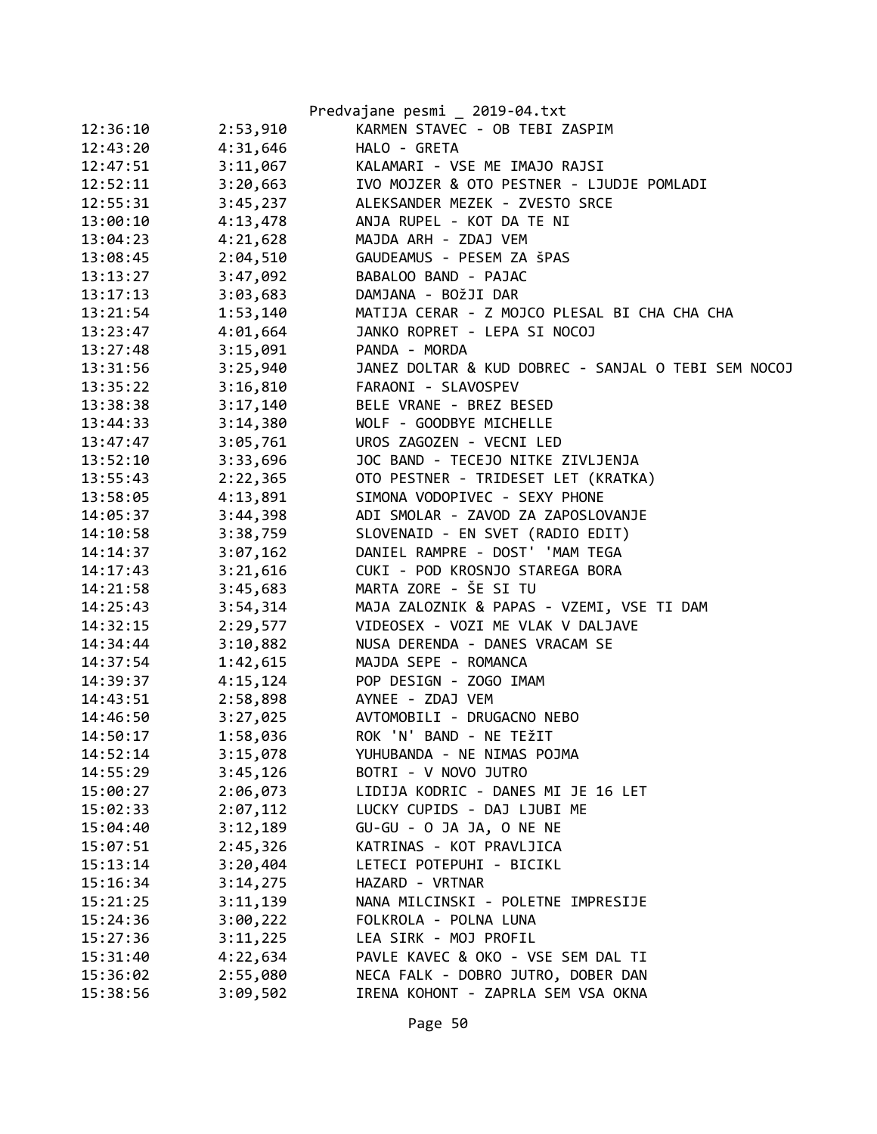|          |          | Predvajane pesmi _ 2019-04.txt                      |
|----------|----------|-----------------------------------------------------|
| 12:36:10 | 2:53,910 | KARMEN STAVEC - OB TEBI ZASPIM                      |
| 12:43:20 | 4:31,646 | HALO - GRETA                                        |
| 12:47:51 | 3:11,067 | KALAMARI - VSE ME IMAJO RAJSI                       |
| 12:52:11 | 3:20,663 | IVO MOJZER & OTO PESTNER - LJUDJE POMLADI           |
| 12:55:31 | 3:45,237 | ALEKSANDER MEZEK - ZVESTO SRCE                      |
| 13:00:10 | 4:13,478 | ANJA RUPEL - KOT DA TE NI                           |
| 13:04:23 | 4:21,628 | MAJDA ARH - ZDAJ VEM                                |
| 13:08:45 | 2:04,510 | GAUDEAMUS - PESEM ZA ŠPAS                           |
| 13:13:27 | 3:47,092 | BABALOO BAND - PAJAC                                |
| 13:17:13 | 3:03,683 | DAMJANA - BOŽJI DAR                                 |
| 13:21:54 | 1:53,140 | MATIJA CERAR - Z MOJCO PLESAL BI CHA CHA CHA        |
| 13:23:47 | 4:01,664 | JANKO ROPRET - LEPA SI NOCOJ                        |
| 13:27:48 | 3:15,091 | PANDA - MORDA                                       |
| 13:31:56 | 3:25,940 | JANEZ DOLTAR & KUD DOBREC - SANJAL O TEBI SEM NOCOJ |
| 13:35:22 | 3:16,810 | FARAONI - SLAVOSPEV                                 |
| 13:38:38 | 3:17,140 | BELE VRANE - BREZ BESED                             |
| 13:44:33 | 3:14,380 | WOLF - GOODBYE MICHELLE                             |
| 13:47:47 | 3:05,761 | UROS ZAGOZEN - VECNI LED                            |
| 13:52:10 | 3:33,696 | JOC BAND - TECEJO NITKE ZIVLJENJA                   |
| 13:55:43 | 2:22,365 | OTO PESTNER - TRIDESET LET (KRATKA)                 |
| 13:58:05 | 4:13,891 | SIMONA VODOPIVEC - SEXY PHONE                       |
| 14:05:37 | 3:44,398 | ADI SMOLAR - ZAVOD ZA ZAPOSLOVANJE                  |
| 14:10:58 | 3:38,759 | SLOVENAID - EN SVET (RADIO EDIT)                    |
| 14:14:37 | 3:07,162 | DANIEL RAMPRE - DOST' 'MAM TEGA                     |
| 14:17:43 | 3:21,616 | CUKI - POD KROSNJO STAREGA BORA                     |
| 14:21:58 | 3:45,683 | MARTA ZORE - ŠE SI TU                               |
| 14:25:43 | 3:54,314 | MAJA ZALOZNIK & PAPAS - VZEMI, VSE TI DAM           |
| 14:32:15 | 2:29,577 | VIDEOSEX - VOZI ME VLAK V DALJAVE                   |
| 14:34:44 | 3:10,882 | NUSA DERENDA - DANES VRACAM SE                      |
| 14:37:54 | 1:42,615 | MAJDA SEPE - ROMANCA                                |
| 14:39:37 | 4:15,124 | POP DESIGN - ZOGO IMAM                              |
| 14:43:51 | 2:58,898 | AYNEE - ZDAJ VEM                                    |
| 14:46:50 | 3:27,025 | AVTOMOBILI - DRUGACNO NEBO                          |
| 14:50:17 | 1:58,036 | ROK 'N' BAND - NE TEŽIT                             |
| 14:52:14 | 3:15,078 | YUHUBANDA - NE NIMAS POJMA                          |
| 14:55:29 | 3:45,126 | BOTRI - V NOVO JUTRO                                |
| 15:00:27 | 2:06,073 | LIDIJA KODRIC - DANES MI JE 16 LET                  |
| 15:02:33 | 2:07,112 | LUCKY CUPIDS - DAJ LJUBI ME                         |
| 15:04:40 | 3:12,189 | GU-GU - O JA JA, O NE NE                            |
| 15:07:51 | 2:45,326 | KATRINAS - KOT PRAVLJICA                            |
| 15:13:14 | 3:20,404 | LETECI POTEPUHI - BICIKL                            |
| 15:16:34 | 3:14,275 | HAZARD - VRTNAR                                     |
| 15:21:25 | 3:11,139 | NANA MILCINSKI - POLETNE IMPRESIJE                  |
| 15:24:36 | 3:00,222 | FOLKROLA - POLNA LUNA                               |
| 15:27:36 | 3:11,225 | LEA SIRK - MOJ PROFIL                               |
| 15:31:40 | 4:22,634 | PAVLE KAVEC & OKO - VSE SEM DAL TI                  |
| 15:36:02 | 2:55,080 | NECA FALK - DOBRO JUTRO, DOBER DAN                  |
| 15:38:56 | 3:09,502 | IRENA KOHONT - ZAPRLA SEM VSA OKNA                  |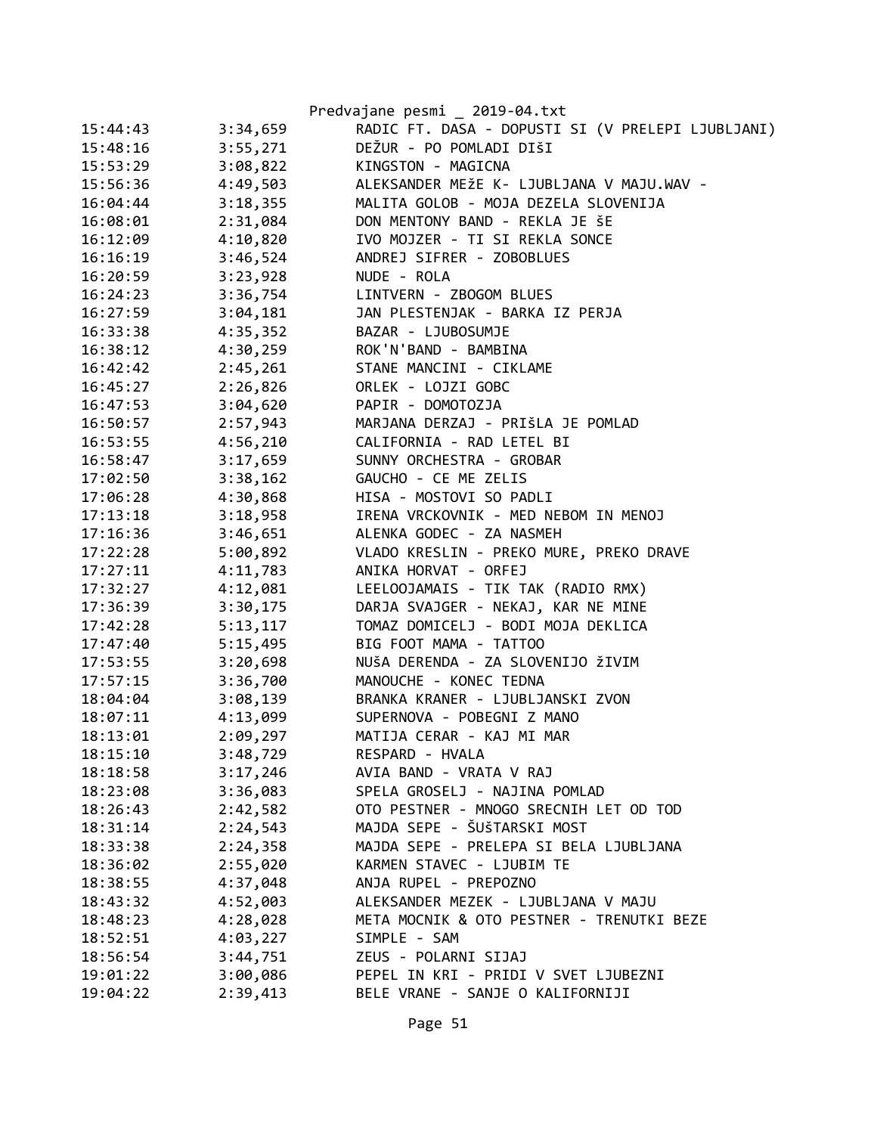|          |          | Predvajane pesmi _ 2019-04.txt                    |
|----------|----------|---------------------------------------------------|
| 15:44:43 | 3:34,659 | RADIC FT. DASA - DOPUSTI SI (V PRELEPI LJUBLJANI) |
| 15:48:16 | 3:55,271 | DEŽUR - PO POMLADI DIŠI                           |
| 15:53:29 | 3:08,822 | KINGSTON - MAGICNA                                |
| 15:56:36 | 4:49,503 | ALEKSANDER MEŽE K- LJUBLJANA V MAJU.WAV -         |
| 16:04:44 | 3:18,355 | MALITA GOLOB - MOJA DEZELA SLOVENIJA              |
| 16:08:01 | 2:31,084 | DON MENTONY BAND - REKLA JE ŠE                    |
| 16:12:09 | 4:10,820 | IVO MOJZER - TI SI REKLA SONCE                    |
| 16:16:19 | 3:46,524 | ANDREJ SIFRER - ZOBOBLUES                         |
| 16:20:59 | 3:23,928 | NUDE - ROLA                                       |
| 16:24:23 | 3:36,754 | LINTVERN - ZBOGOM BLUES                           |
| 16:27:59 | 3:04,181 | JAN PLESTENJAK - BARKA IZ PERJA                   |
| 16:33:38 | 4:35,352 | BAZAR - LJUBOSUMJE                                |
| 16:38:12 | 4:30,259 | ROK'N'BAND - BAMBINA                              |
| 16:42:42 | 2:45,261 | STANE MANCINI - CIKLAME                           |
| 16:45:27 | 2:26,826 | ORLEK - LOJZI GOBC                                |
| 16:47:53 | 3:04,620 | PAPIR - DOMOTOZJA                                 |
| 16:50:57 | 2:57,943 | MARJANA DERZAJ - PRIŠLA JE POMLAD                 |
| 16:53:55 | 4:56,210 | CALIFORNIA - RAD LETEL BI                         |
| 16:58:47 | 3:17,659 | SUNNY ORCHESTRA - GROBAR                          |
| 17:02:50 | 3:38,162 | GAUCHO - CE ME ZELIS                              |
| 17:06:28 | 4:30,868 | HISA - MOSTOVI SO PADLI                           |
| 17:13:18 | 3:18,958 | IRENA VRCKOVNIK - MED NEBOM IN MENOJ              |
| 17:16:36 | 3:46,651 | ALENKA GODEC - ZA NASMEH                          |
| 17:22:28 | 5:00,892 | VLADO KRESLIN - PREKO MURE, PREKO DRAVE           |
| 17:27:11 | 4:11,783 | ANIKA HORVAT - ORFEJ                              |
| 17:32:27 | 4:12,081 | LEELOOJAMAIS - TIK TAK (RADIO RMX)                |
| 17:36:39 | 3:30,175 | DARJA SVAJGER - NEKAJ, KAR NE MINE                |
| 17:42:28 | 5:13,117 | TOMAZ DOMICELJ - BODI MOJA DEKLICA                |
| 17:47:40 | 5:15,495 | BIG FOOT MAMA - TATTOO                            |
| 17:53:55 | 3:20,698 | NUŠA DERENDA - ZA SLOVENIJO ŽIVIM                 |
| 17:57:15 | 3:36,700 | MANOUCHE - KONEC TEDNA                            |
| 18:04:04 | 3:08,139 | BRANKA KRANER - LJUBLJANSKI ZVON                  |
| 18:07:11 | 4:13,099 | SUPERNOVA - POBEGNI Z MANO                        |
| 18:13:01 | 2:09,297 | MATIJA CERAR - KAJ MI MAR                         |
| 18:15:10 | 3:48,729 | RESPARD - HVALA                                   |
| 18:18:58 | 3:17,246 | AVIA BAND - VRATA V RAJ                           |
| 18:23:08 | 3:36,083 | SPELA GROSELJ - NAJINA POMLAD                     |
| 18:26:43 | 2:42,582 | OTO PESTNER - MNOGO SRECNIH LET OD TOD            |
| 18:31:14 | 2:24,543 | MAJDA SEPE - ŠUŠTARSKI MOST                       |
| 18:33:38 | 2:24,358 | MAJDA SEPE - PRELEPA SI BELA LJUBLJANA            |
| 18:36:02 | 2:55,020 | KARMEN STAVEC - LJUBIM TE                         |
| 18:38:55 | 4:37,048 | ANJA RUPEL - PREPOZNO                             |
| 18:43:32 | 4:52,003 | ALEKSANDER MEZEK - LJUBLJANA V MAJU               |
| 18:48:23 | 4:28,028 | META MOCNIK & OTO PESTNER - TRENUTKI BEZE         |
| 18:52:51 | 4:03,227 | SIMPLE - SAM                                      |
| 18:56:54 | 3:44,751 | ZEUS - POLARNI SIJAJ                              |
| 19:01:22 | 3:00,086 | PEPEL IN KRI - PRIDI V SVET LJUBEZNI              |
| 19:04:22 | 2:39,413 | BELE VRANE - SANJE O KALIFORNIJI                  |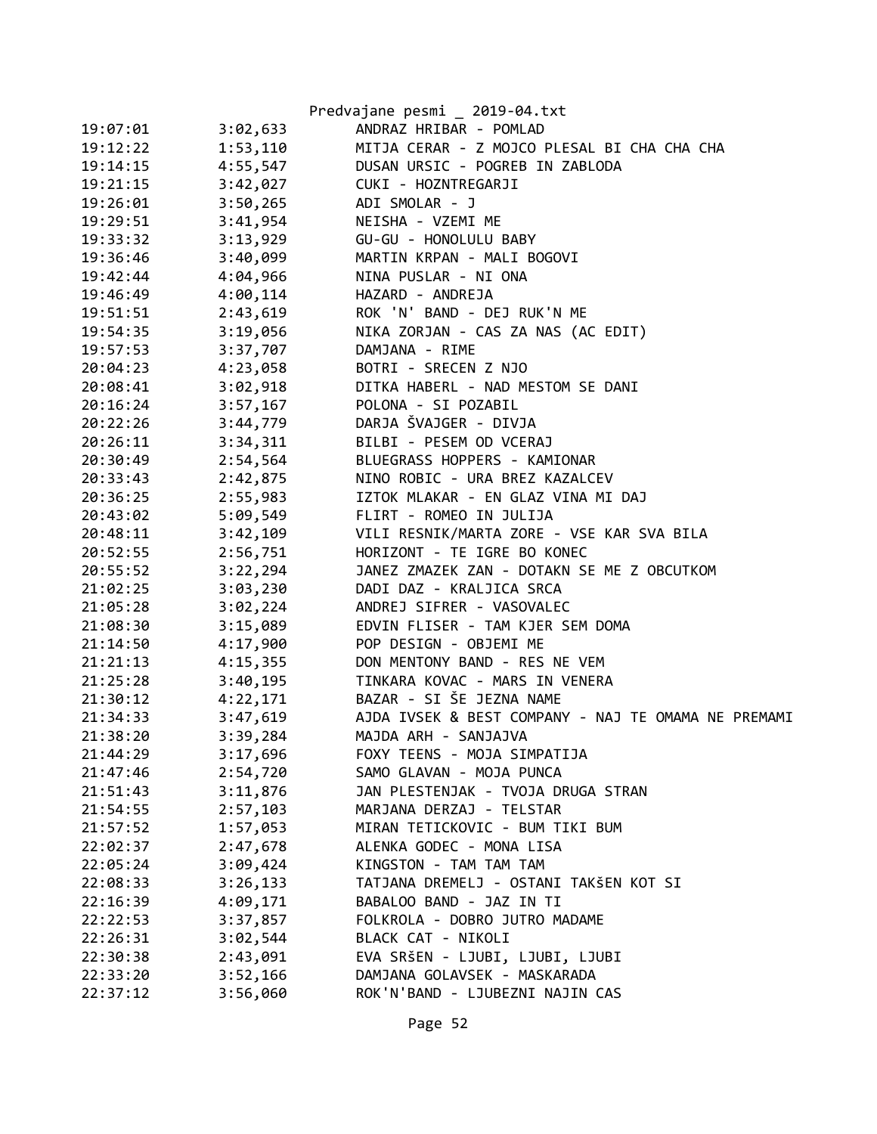|          |          | Predvajane pesmi _ 2019-04.txt                      |
|----------|----------|-----------------------------------------------------|
| 19:07:01 | 3:02,633 | ANDRAZ HRIBAR - POMLAD                              |
| 19:12:22 | 1:53,110 | MITJA CERAR - Z MOJCO PLESAL BI CHA CHA CHA         |
| 19:14:15 | 4:55,547 | DUSAN URSIC - POGREB IN ZABLODA                     |
| 19:21:15 | 3:42,027 | CUKI - HOZNTREGARJI                                 |
| 19:26:01 | 3:50,265 | ADI SMOLAR - J                                      |
| 19:29:51 | 3:41,954 | NEISHA - VZEMI ME                                   |
| 19:33:32 | 3:13,929 | GU-GU - HONOLULU BABY                               |
| 19:36:46 | 3:40,099 | MARTIN KRPAN - MALI BOGOVI                          |
| 19:42:44 | 4:04,966 | NINA PUSLAR - NI ONA                                |
| 19:46:49 | 4:00,114 | HAZARD - ANDREJA                                    |
| 19:51:51 | 2:43,619 | ROK 'N' BAND - DEJ RUK'N ME                         |
| 19:54:35 | 3:19,056 | NIKA ZORJAN - CAS ZA NAS (AC EDIT)                  |
| 19:57:53 | 3:37,707 | DAMJANA - RIME                                      |
| 20:04:23 | 4:23,058 | BOTRI - SRECEN Z NJO                                |
| 20:08:41 | 3:02,918 | DITKA HABERL - NAD MESTOM SE DANI                   |
| 20:16:24 | 3:57,167 | POLONA - SI POZABIL                                 |
| 20:22:26 | 3:44,779 | DARJA ŠVAJGER - DIVJA                               |
| 20:26:11 | 3:34,311 | BILBI - PESEM OD VCERAJ                             |
| 20:30:49 | 2:54,564 | BLUEGRASS HOPPERS - KAMIONAR                        |
| 20:33:43 | 2:42,875 | NINO ROBIC - URA BREZ KAZALCEV                      |
| 20:36:25 | 2:55,983 | IZTOK MLAKAR - EN GLAZ VINA MI DAJ                  |
| 20:43:02 | 5:09,549 | FLIRT - ROMEO IN JULIJA                             |
| 20:48:11 | 3:42,109 | VILI RESNIK/MARTA ZORE - VSE KAR SVA BILA           |
| 20:52:55 | 2:56,751 | HORIZONT - TE IGRE BO KONEC                         |
| 20:55:52 | 3:22,294 | JANEZ ZMAZEK ZAN - DOTAKN SE ME Z OBCUTKOM          |
| 21:02:25 | 3:03,230 | DADI DAZ - KRALJICA SRCA                            |
| 21:05:28 | 3:02,224 | ANDREJ SIFRER - VASOVALEC                           |
| 21:08:30 | 3:15,089 | EDVIN FLISER - TAM KJER SEM DOMA                    |
| 21:14:50 | 4:17,900 | POP DESIGN - OBJEMI ME                              |
| 21:21:13 | 4:15,355 | DON MENTONY BAND - RES NE VEM                       |
| 21:25:28 | 3:40,195 | TINKARA KOVAC - MARS IN VENERA                      |
| 21:30:12 | 4:22,171 | BAZAR - SI ŠE JEZNA NAME                            |
| 21:34:33 | 3:47,619 | AJDA IVSEK & BEST COMPANY - NAJ TE OMAMA NE PREMAMI |
| 21:38:20 | 3:39,284 | MAJDA ARH - SANJAJVA                                |
| 21:44:29 | 3:17,696 | FOXY TEENS - MOJA SIMPATIJA                         |
| 21:47:46 | 2:54,720 | SAMO GLAVAN - MOJA PUNCA                            |
| 21:51:43 | 3:11,876 | JAN PLESTENJAK - TVOJA DRUGA STRAN                  |
| 21:54:55 | 2:57,103 | MARJANA DERZAJ - TELSTAR                            |
| 21:57:52 | 1:57,053 | MIRAN TETICKOVIC - BUM TIKI BUM                     |
| 22:02:37 | 2:47,678 | ALENKA GODEC - MONA LISA                            |
| 22:05:24 | 3:09,424 | KINGSTON - TAM TAM TAM                              |
| 22:08:33 | 3:26,133 | TATJANA DREMELJ - OSTANI TAKŠEN KOT SI              |
| 22:16:39 | 4:09,171 | BABALOO BAND - JAZ IN TI                            |
| 22:22:53 | 3:37,857 | FOLKROLA - DOBRO JUTRO MADAME                       |
| 22:26:31 | 3:02,544 | BLACK CAT - NIKOLI                                  |
| 22:30:38 | 2:43,091 | EVA SRŠEN - LJUBI, LJUBI, LJUBI                     |
| 22:33:20 | 3:52,166 | DAMJANA GOLAVSEK - MASKARADA                        |
| 22:37:12 | 3:56,060 | ROK'N'BAND - LJUBEZNI NAJIN CAS                     |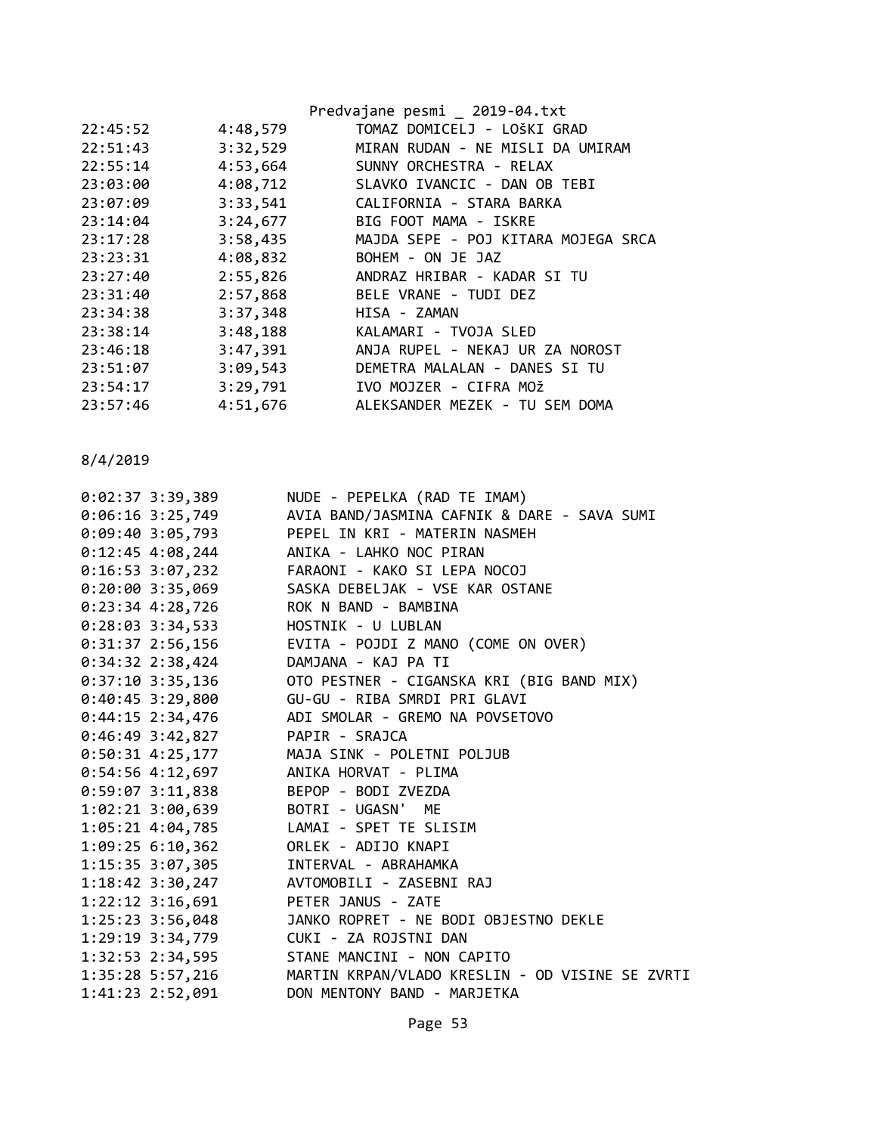|          |          | Predvajane pesmi _ 2019-04.txt      |
|----------|----------|-------------------------------------|
| 22:45:52 | 4:48,579 | TOMAZ DOMICELJ - LOŠKI GRAD         |
| 22:51:43 | 3:32,529 | MIRAN RUDAN - NE MISLI DA UMIRAM    |
| 22:55:14 | 4:53,664 | SUNNY ORCHESTRA - RELAX             |
| 23:03:00 | 4:08,712 | SLAVKO IVANCIC - DAN OB TEBI        |
| 23:07:09 | 3:33,541 | CALIFORNIA - STARA BARKA            |
| 23:14:04 | 3:24,677 | BIG FOOT MAMA - ISKRE               |
| 23:17:28 | 3:58,435 | MAJDA SEPE - POJ KITARA MOJEGA SRCA |
| 23:23:31 | 4:08,832 | BOHEM - ON JE JAZ                   |
| 23:27:40 | 2:55,826 | ANDRAZ HRIBAR - KADAR SI TU         |
| 23:31:40 | 2:57,868 | BELE VRANE - TUDI DEZ               |
| 23:34:38 | 3:37,348 | HISA - ZAMAN                        |
| 23:38:14 | 3:48,188 | KALAMARI - TVOJA SLED               |
| 23:46:18 | 3:47,391 | ANJA RUPEL - NEKAJ UR ZA NOROST     |
| 23:51:07 | 3:09,543 | DEMETRA MALALAN - DANES SI TU       |
| 23:54:17 | 3:29,791 | IVO MOJZER - CIFRA MOŽ              |
| 23:57:46 | 4:51,676 | ALEKSANDER MEZEK - TU SEM DOMA      |
|          |          |                                     |

| $0:02:37$ 3:39,389                      | NUDE - PEPELKA (RAD TE IMAM)                    |
|-----------------------------------------|-------------------------------------------------|
| $0:06:16$ 3:25,749                      | AVIA BAND/JASMINA CAFNIK & DARE - SAVA SUMI     |
| $0:09:40$ 3:05,793                      | PEPEL IN KRI - MATERIN NASMEH                   |
| $0:12:45$ 4:08,244                      | ANIKA - LAHKO NOC PIRAN                         |
| $0:16:53$ 3:07,232                      | FARAONI - KAKO SI LEPA NOCOJ                    |
| $0:20:00$ 3:35,069                      | SASKA DEBELJAK - VSE KAR OSTANE                 |
| $0:23:34$ 4:28,726                      | ROK N BAND - BAMBINA                            |
| $0:28:03$ 3:34,533                      | HOSTNIK - U LUBLAN                              |
| $0:31:37$ 2:56,156                      | EVITA - POJDI Z MANO (COME ON OVER)             |
| $0:34:32$ 2:38,424                      | DAMJANA - KAJ PA TI                             |
| $0:37:10$ 3:35,136                      | OTO PESTNER - CIGANSKA KRI (BIG BAND MIX)       |
|                                         |                                                 |
| $0:44:15$ 2:34,476                      | ADI SMOLAR - GREMO NA POVSETOVO                 |
| $0:46:49$ 3:42,827                      | PAPIR - SRAJCA                                  |
|                                         | 0:50:31 4:25,177 MAJA SINK - POLETNI POLJUB     |
| $0:54:56$ 4:12,697                      | ANIKA HORVAT - PLIMA                            |
| $0:59:07$ 3:11,838                      | BEPOP - BODI ZVEZDA                             |
| 1:02:21 3:00,639 BOTRI - UGASN' ME      |                                                 |
| 1:05:21 4:04,785 LAMAI - SPET TE SLISIM |                                                 |
| $1:09:25$ 6:10,362                      | ORLEK - ADIJO KNAPI                             |
| 1:15:35 3:07,305                        | INTERVAL - ABRAHAMKA                            |
| $1:18:42$ 3:30,247                      | AVTOMOBILI - ZASEBNI RAJ                        |
| $1:22:12$ $3:16,691$                    | PETER JANUS - ZATE                              |
| 1:25:23 3:56,048                        | JANKO ROPRET - NE BODI OBJESTNO DEKLE           |
| 1:29:19 3:34,779                        | CUKI - ZA ROJSTNI DAN                           |
| $1:32:53$ $2:34,595$                    | STANE MANCINI - NON CAPITO                      |
| 1:35:28 5:57,216                        | MARTIN KRPAN/VLADO KRESLIN - OD VISINE SE ZVRTI |
| 1:41:23 2:52,091                        | DON MENTONY BAND - MARJETKA                     |
|                                         |                                                 |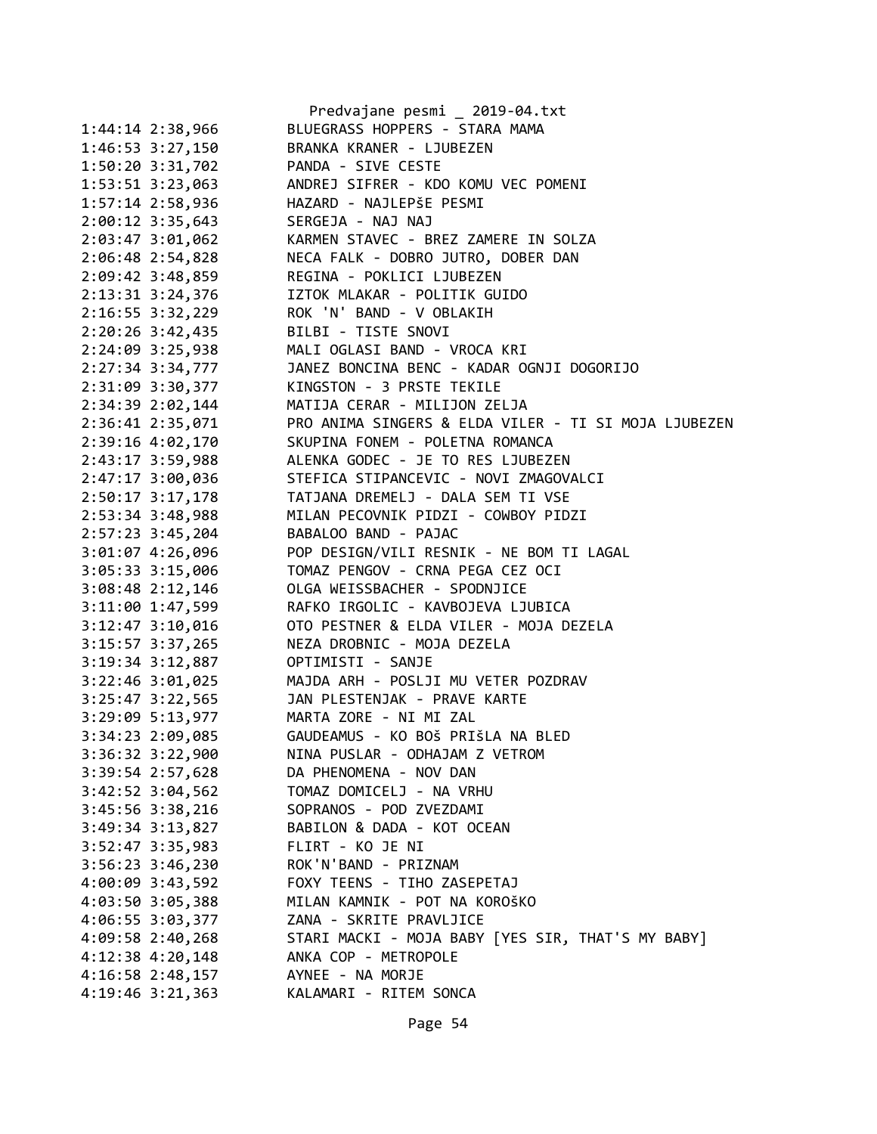|                      | Predvajane pesmi _ 2019-04.txt                       |
|----------------------|------------------------------------------------------|
| 1:44:14 2:38,966     | BLUEGRASS HOPPERS - STARA MAMA                       |
| 1:46:53 3:27,150     | BRANKA KRANER - LJUBEZEN                             |
| 1:50:20 3:31,702     | PANDA - SIVE CESTE                                   |
| 1:53:51 3:23,063     | ANDREJ SIFRER - KDO KOMU VEC POMENI                  |
| $1:57:14$ $2:58,936$ | HAZARD - NAJLEPŠE PESMI                              |
| $2:00:12$ 3:35,643   | SERGEJA - NAJ NAJ                                    |
| $2:03:47$ 3:01,062   | KARMEN STAVEC - BREZ ZAMERE IN SOLZA                 |
| 2:06:48 2:54,828     | NECA FALK - DOBRO JUTRO, DOBER DAN                   |
| $2:09:42$ 3:48,859   | REGINA - POKLICI LJUBEZEN                            |
| 2:13:31 3:24,376     | IZTOK MLAKAR - POLITIK GUIDO                         |
| $2:16:55$ 3:32,229   | ROK 'N' BAND - V OBLAKIH                             |
| 2:20:26 3:42,435     | BILBI - TISTE SNOVI                                  |
| 2:24:09 3:25,938     | MALI OGLASI BAND - VROCA KRI                         |
| 2:27:34 3:34,777     | JANEZ BONCINA BENC - KADAR OGNJI DOGORIJO            |
| 2:31:09 3:30,377     | KINGSTON - 3 PRSTE TEKILE                            |
| 2:34:39 2:02,144     | MATIJA CERAR - MILIJON ZELJA                         |
| 2:36:41 2:35,071     | PRO ANIMA SINGERS & ELDA VILER - TI SI MOJA LJUBEZEN |
| 2:39:16 4:02,170     | SKUPINA FONEM - POLETNA ROMANCA                      |
| 2:43:17 3:59,988     | ALENKA GODEC - JE TO RES LJUBEZEN                    |
| 2:47:17 3:00,036     | STEFICA STIPANCEVIC - NOVI ZMAGOVALCI                |
| 2:50:17 3:17,178     | TATJANA DREMELJ - DALA SEM TI VSE                    |
| 2:53:34 3:48,988     | MILAN PECOVNIK PIDZI - COWBOY PIDZI                  |
|                      |                                                      |
| 2:57:23 3:45,204     | BABALOO BAND - PAJAC                                 |
| 3:01:07 4:26,096     | POP DESIGN/VILI RESNIK - NE BOM TI LAGAL             |
| $3:05:33$ $3:15,006$ | TOMAZ PENGOV - CRNA PEGA CEZ OCI                     |
| $3:08:48$ 2:12,146   | OLGA WEISSBACHER - SPODNJICE                         |
| 3:11:00 1:47,599     | RAFKO IRGOLIC - KAVBOJEVA LJUBICA                    |
| $3:12:47$ $3:10,016$ | OTO PESTNER & ELDA VILER - MOJA DEZELA               |
| 3:15:57 3:37,265     | NEZA DROBNIC - MOJA DEZELA                           |
| 3:19:34 3:12,887     | OPTIMISTI - SANJE                                    |
| 3:22:46 3:01,025     | MAJDA ARH - POSLJI MU VETER POZDRAV                  |
| $3:25:47$ $3:22,565$ | JAN PLESTENJAK - PRAVE KARTE                         |
| 3:29:09 5:13,977     | MARTA ZORE - NI MI ZAL                               |
| 3:34:23 2:09,085     | GAUDEAMUS - KO BOŠ PRIŠLA NA BLED                    |
| 3:36:32 3:22,900     | NINA PUSLAR - ODHAJAM Z VETROM                       |
| 3:39:54 2:57,628     | DA PHENOMENA - NOV DAN                               |
| $3:42:52$ $3:04,562$ | TOMAZ DOMICELJ - NA VRHU                             |
| 3:45:56 3:38,216     | SOPRANOS - POD ZVEZDAMI                              |
| 3:49:34 3:13,827     | BABILON & DADA - KOT OCEAN                           |
| 3:52:47 3:35,983     | FLIRT - KO JE NI                                     |
| $3:56:23$ $3:46,230$ | ROK'N'BAND - PRIZNAM                                 |
| 4:00:09 3:43,592     | FOXY TEENS - TIHO ZASEPETAJ                          |
| 4:03:50 3:05,388     | MILAN KAMNIK - POT NA KOROŠKO                        |
| 4:06:55 3:03,377     | ZANA - SKRITE PRAVLJICE                              |
| 4:09:58 2:40,268     | STARI MACKI - MOJA BABY [YES SIR, THAT'S MY BABY]    |
| $4:12:38$ $4:20,148$ | ANKA COP - METROPOLE                                 |
| 4:16:58 2:48,157     | AYNEE - NA MORJE                                     |
| 4:19:46 3:21,363     | KALAMARI - RITEM SONCA                               |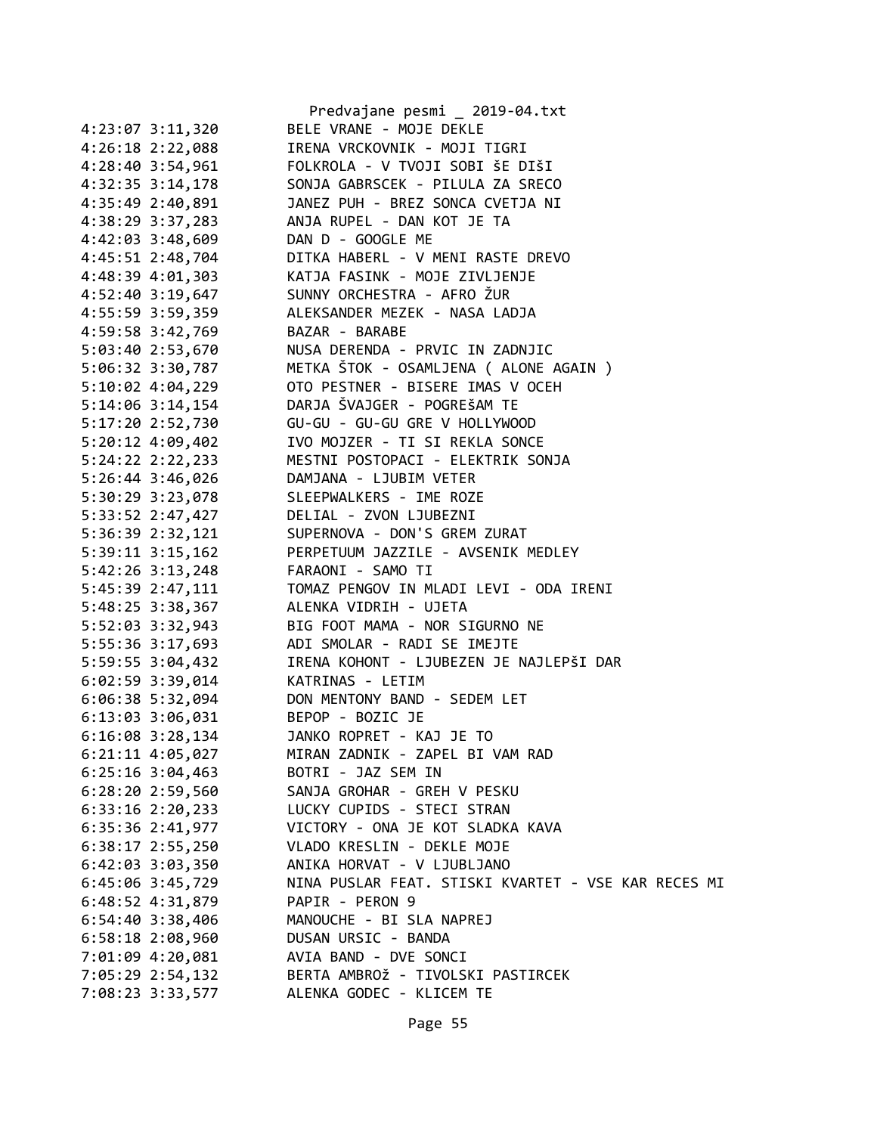|                        | Predvajane pesmi _ 2019-04.txt                      |
|------------------------|-----------------------------------------------------|
| 4:23:07 3:11,320       | BELE VRANE - MOJE DEKLE                             |
| $4:26:18$ $2:22,088$   | IRENA VRCKOVNIK - MOJI TIGRI                        |
| 4:28:40 3:54,961       | FOLKROLA - V TVOJI SOBI ŠE DIŠI                     |
| 4:32:35 3:14,178       | SONJA GABRSCEK - PILULA ZA SRECO                    |
| 4:35:49 2:40,891       | JANEZ PUH - BREZ SONCA CVETJA NI                    |
| 4:38:29 3:37,283       | ANJA RUPEL - DAN KOT JE TA                          |
| 4:42:03 3:48,609       | DAN D - GOOGLE ME                                   |
| 4:45:51 2:48,704       | DITKA HABERL - V MENI RASTE DREVO                   |
| 4:48:39 4:01,303       | KATJA FASINK - MOJE ZIVLJENJE                       |
| 4:52:40 3:19,647       | SUNNY ORCHESTRA - AFRO ŽUR                          |
| 4:55:59 3:59,359       | ALEKSANDER MEZEK - NASA LADJA                       |
| 4:59:58 3:42,769       | BAZAR - BARABE                                      |
| 5:03:40 2:53,670       | NUSA DERENDA - PRVIC IN ZADNJIC                     |
| 5:06:32 3:30,787       | METKA ŠTOK - OSAMLJENA ( ALONE AGAIN )              |
| $5:10:02$ 4:04,229     | OTO PESTNER - BISERE IMAS V OCEH                    |
| 5:14:06 3:14,154       | DARJA ŠVAJGER - POGREŠAM TE                         |
| 5:17:20 2:52,730       | GU-GU - GU-GU GRE V HOLLYWOOD                       |
| $5:20:12$ 4:09,402     | IVO MOJZER - TI SI REKLA SONCE                      |
| 5:24:22 2:22,233       | MESTNI POSTOPACI - ELEKTRIK SONJA                   |
| $5:26:44$ 3:46,026     | DAMJANA - LJUBIM VETER                              |
| 5:30:29 3:23,078       | SLEEPWALKERS - IME ROZE                             |
| 5:33:52 2:47,427       | DELIAL - ZVON LJUBEZNI                              |
| 5:36:39 2:32,121       | SUPERNOVA - DON'S GREM ZURAT                        |
| $5:39:11$ $3:15,162$   | PERPETUUM JAZZILE - AVSENIK MEDLEY                  |
| 5:42:26 3:13,248       | FARAONI - SAMO TI                                   |
| 5:45:39 2:47,111       | TOMAZ PENGOV IN MLADI LEVI - ODA IRENI              |
| 5:48:25 3:38,367       | ALENKA VIDRIH - UJETA                               |
| 5:52:03 3:32,943       | BIG FOOT MAMA - NOR SIGURNO NE                      |
| 5:55:36 3:17,693       | ADI SMOLAR - RADI SE IMEJTE                         |
| 5:59:55 3:04,432       | IRENA KOHONT - LJUBEZEN JE NAJLEPŠI DAR             |
| $6:02:59$ 3:39,014     | KATRINAS - LETIM                                    |
| $6:06:38$ 5:32,094     | DON MENTONY BAND - SEDEM LET                        |
| 6:13:03 3:06,031       | BEPOP - BOZIC JE                                    |
| $6:16:08$ 3:28,134     | JANKO ROPRET - KAJ JE TO                            |
| 6:21:11 4:05,027       | MIRAN ZADNIK - ZAPEL BI VAM RAD                     |
| $6:25:16$ 3:04,463     | BOTRI - JAZ SEM IN                                  |
| $6:28:20$ 2:59,560     | SANJA GROHAR - GREH V PESKU                         |
| $6:33:16$ $2:20,233$   | LUCKY CUPIDS - STECI STRAN                          |
| 6:35:36 2:41,977       | VICTORY - ONA JE KOT SLADKA KAVA                    |
| $6:38:17$ 2:55,250     | VLADO KRESLIN - DEKLE MOJE                          |
| $6:42:03$ $3:03$ , 350 | ANIKA HORVAT - V LJUBLJANO                          |
| 6:45:06 3:45,729       | NINA PUSLAR FEAT. STISKI KVARTET - VSE KAR RECES MI |
| 6:48:52 4:31,879       | PAPIR - PERON 9                                     |
| $6:54:40$ 3:38,406     | MANOUCHE - BI SLA NAPREJ                            |
| $6:58:18$ 2:08,960     | DUSAN URSIC - BANDA                                 |
| 7:01:09 4:20,081       | AVIA BAND - DVE SONCI                               |
| 7:05:29 2:54,132       | BERTA AMBROŽ - TIVOLSKI PASTIRCEK                   |
| 7:08:23 3:33,577       | ALENKA GODEC - KLICEM TE                            |
|                        |                                                     |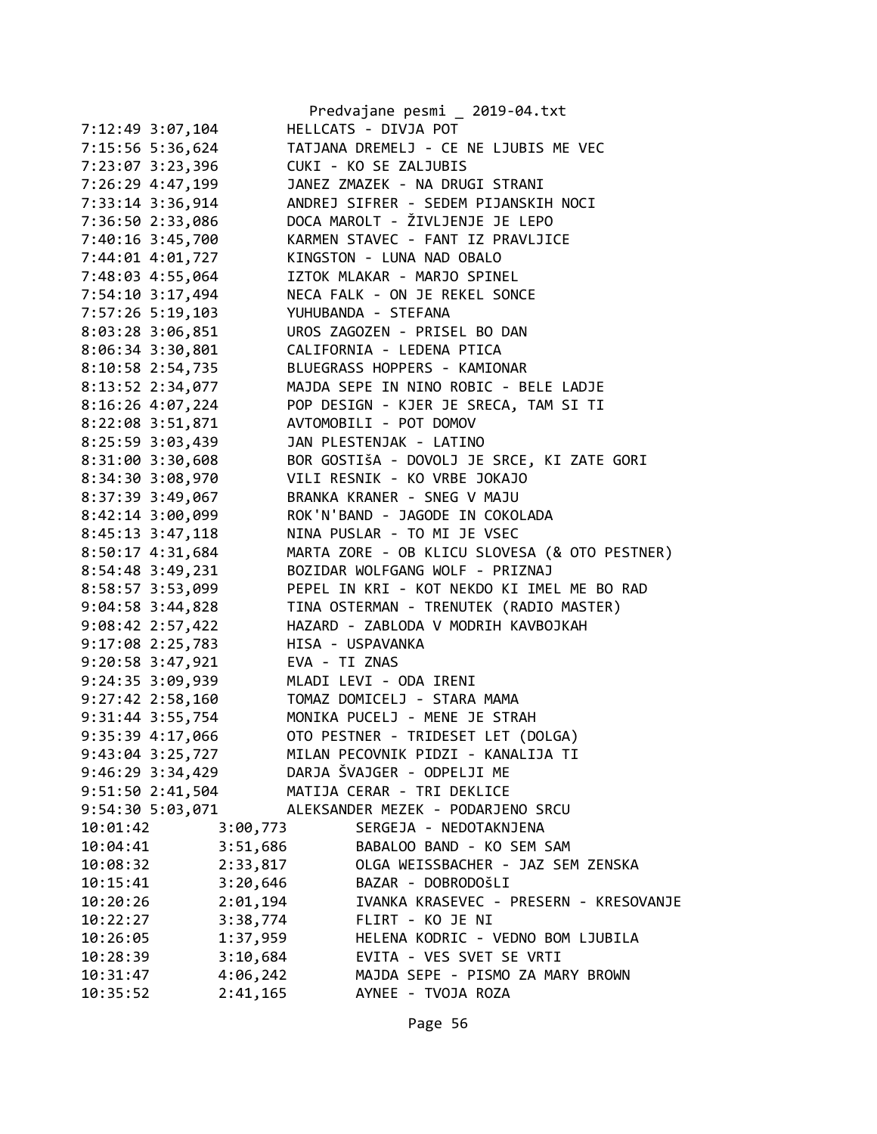|                      | Predvajane pesmi _ 2019-04.txt                |
|----------------------|-----------------------------------------------|
| 7:12:49 3:07,104     | HELLCATS - DIVJA POT                          |
| 7:15:56 5:36,624     | TATJANA DREMELJ - CE NE LJUBIS ME VEC         |
| 7:23:07 3:23,396     | CUKI - KO SE ZALJUBIS                         |
| 7:26:29 4:47,199     | JANEZ ZMAZEK - NA DRUGI STRANI                |
| 7:33:14 3:36,914     | ANDREJ SIFRER - SEDEM PIJANSKIH NOCI          |
| 7:36:50 2:33,086     | DOCA MAROLT - ŽIVLJENJE JE LEPO               |
| 7:40:16 3:45,700     | KARMEN STAVEC - FANT IZ PRAVLJICE             |
| 7:44:01 4:01,727     | KINGSTON - LUNA NAD OBALO                     |
| 7:48:03 4:55,064     | IZTOK MLAKAR - MARJO SPINEL                   |
| 7:54:10 3:17,494     | NECA FALK - ON JE REKEL SONCE                 |
| 7:57:26 5:19,103     | YUHUBANDA - STEFANA                           |
| 8:03:28 3:06,851     | UROS ZAGOZEN - PRISEL BO DAN                  |
| 8:06:34 3:30,801     | CALIFORNIA - LEDENA PTICA                     |
| 8:10:58 2:54,735     | BLUEGRASS HOPPERS - KAMIONAR                  |
| 8:13:52 2:34,077     | MAJDA SEPE IN NINO ROBIC - BELE LADJE         |
| 8:16:26 4:07,224     | POP DESIGN - KJER JE SRECA, TAM SI TI         |
| 8:22:08 3:51,871     | AVTOMOBILI - POT DOMOV                        |
| 8:25:59 3:03,439     | JAN PLESTENJAK - LATINO                       |
| 8:31:00 3:30,608     | BOR GOSTIŠA - DOVOLJ JE SRCE, KI ZATE GORI    |
| 8:34:30 3:08,970     | VILI RESNIK - KO VRBE JOKAJO                  |
| 8:37:39 3:49,067     | BRANKA KRANER - SNEG V MAJU                   |
| 8:42:14 3:00,099     | ROK'N'BAND - JAGODE IN COKOLADA               |
| 8:45:13 3:47,118     | NINA PUSLAR - TO MI JE VSEC                   |
| 8:50:17 4:31,684     | MARTA ZORE - OB KLICU SLOVESA (& OTO PESTNER) |
| 8:54:48 3:49,231     | BOZIDAR WOLFGANG WOLF - PRIZNAJ               |
| 8:58:57 3:53,099     | PEPEL IN KRI - KOT NEKDO KI IMEL ME BO RAD    |
| $9:04:58$ 3:44,828   | TINA OSTERMAN - TRENUTEK (RADIO MASTER)       |
| 9:08:42 2:57,422     | HAZARD - ZABLODA V MODRIH KAVBOJKAH           |
| 9:17:08 2:25,783     | HISA - USPAVANKA                              |
| 9:20:58 3:47,921     | EVA - TI ZNAS                                 |
| $9:24:35$ 3:09,939   | MLADI LEVI - ODA IRENI                        |
| $9:27:42$ $2:58,160$ | TOMAZ DOMICELJ - STARA MAMA                   |
| $9:31:44$ 3:55,754   | MONIKA PUCELJ - MENE JE STRAH                 |
| 9:35:39 4:17,066     | OTO PESTNER - TRIDESET LET (DOLGA)            |
| 9:43:04 3:25,727     | MILAN PECOVNIK PIDZI - KANALIJA TI            |
| $9:46:29$ 3:34,429   | DARJA ŠVAJGER - ODPELJI ME                    |
| 9:51:50 2:41,504     | MATIJA CERAR - TRI DEKLICE                    |
| 9:54:30 5:03,071     | ALEKSANDER MEZEK - PODARJENO SRCU             |
| 10:01:42<br>3:00,773 | SERGEJA - NEDOTAKNJENA                        |
| 3:51,686<br>10:04:41 | BABALOO BAND - KO SEM SAM                     |
| 2:33,817<br>10:08:32 | OLGA WEISSBACHER - JAZ SEM ZENSKA             |
| 3:20,646<br>10:15:41 | BAZAR - DOBRODOŠLI                            |
| 2:01,194<br>10:20:26 | IVANKA KRASEVEC - PRESERN - KRESOVANJE        |
| 3:38,774<br>10:22:27 | FLIRT - KO JE NI                              |
| 1:37,959<br>10:26:05 | HELENA KODRIC - VEDNO BOM LJUBILA             |
| 3:10,684<br>10:28:39 | EVITA - VES SVET SE VRTI                      |
| 4:06,242<br>10:31:47 | MAJDA SEPE - PISMO ZA MARY BROWN              |
| 2:41,165<br>10:35:52 | AYNEE - TVOJA ROZA                            |
|                      |                                               |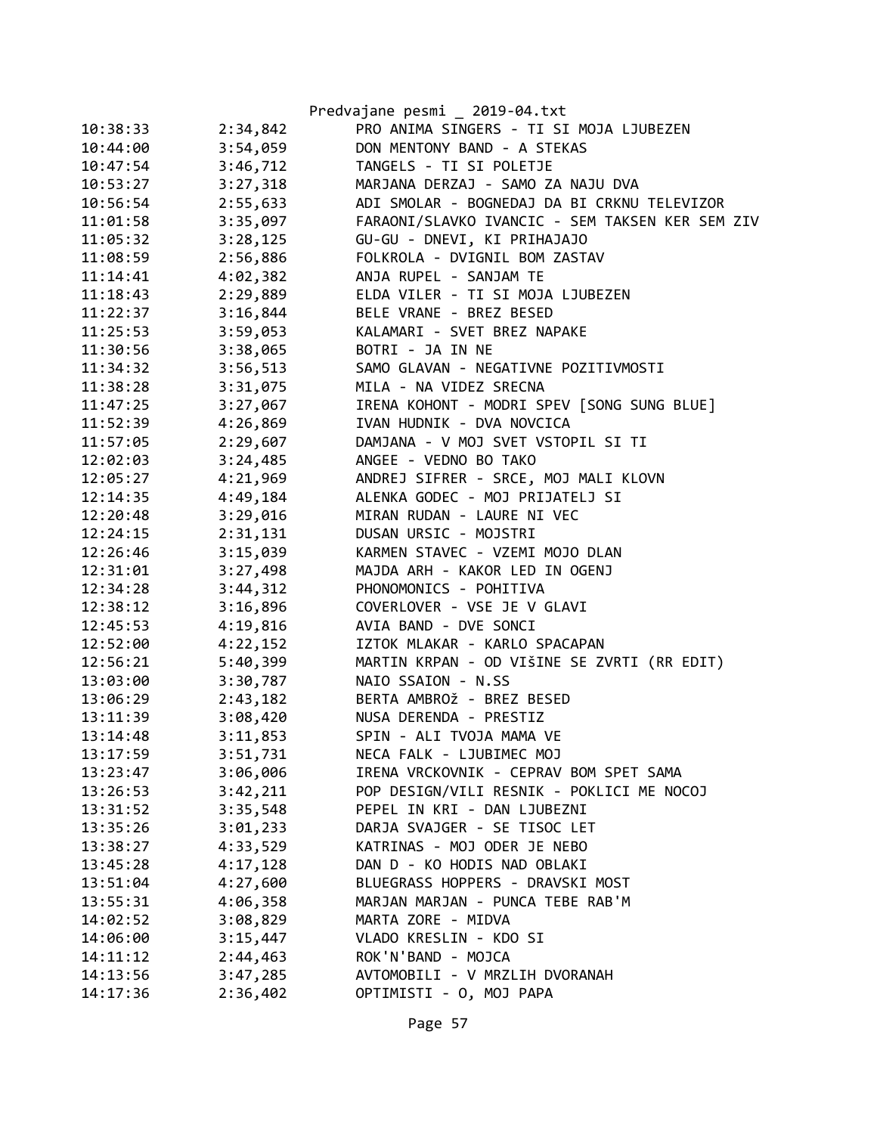|          |          | Predvajane pesmi _ 2019-04.txt                  |
|----------|----------|-------------------------------------------------|
| 10:38:33 | 2:34,842 | PRO ANIMA SINGERS - TI SI MOJA LJUBEZEN         |
| 10:44:00 | 3:54,059 | DON MENTONY BAND - A STEKAS                     |
| 10:47:54 | 3:46,712 | TANGELS - TI SI POLETJE                         |
| 10:53:27 | 3:27,318 | MARJANA DERZAJ - SAMO ZA NAJU DVA               |
| 10:56:54 | 2:55,633 | ADI SMOLAR - BOGNEDAJ DA BI CRKNU TELEVIZOR     |
| 11:01:58 | 3:35,097 | FARAONI/SLAVKO IVANCIC - SEM TAKSEN KER SEM ZIV |
| 11:05:32 | 3:28,125 | GU-GU - DNEVI, KI PRIHAJAJO                     |
| 11:08:59 | 2:56,886 | FOLKROLA - DVIGNIL BOM ZASTAV                   |
| 11:14:41 | 4:02,382 | ANJA RUPEL - SANJAM TE                          |
| 11:18:43 | 2:29,889 | ELDA VILER - TI SI MOJA LJUBEZEN                |
| 11:22:37 | 3:16,844 | BELE VRANE - BREZ BESED                         |
| 11:25:53 | 3:59,053 | KALAMARI - SVET BREZ NAPAKE                     |
| 11:30:56 | 3:38,065 | BOTRI - JA IN NE                                |
| 11:34:32 | 3:56,513 | SAMO GLAVAN - NEGATIVNE POZITIVMOSTI            |
| 11:38:28 | 3:31,075 | MILA - NA VIDEZ SRECNA                          |
| 11:47:25 | 3:27,067 | IRENA KOHONT - MODRI SPEV [SONG SUNG BLUE]      |
| 11:52:39 | 4:26,869 | IVAN HUDNIK - DVA NOVCICA                       |
| 11:57:05 | 2:29,607 | DAMJANA - V MOJ SVET VSTOPIL SI TI              |
| 12:02:03 | 3:24,485 | ANGEE - VEDNO BO TAKO                           |
| 12:05:27 | 4:21,969 | ANDREJ SIFRER - SRCE, MOJ MALI KLOVN            |
| 12:14:35 | 4:49,184 | ALENKA GODEC - MOJ PRIJATELJ SI                 |
| 12:20:48 | 3:29,016 | MIRAN RUDAN - LAURE NI VEC                      |
| 12:24:15 | 2:31,131 | DUSAN URSIC - MOJSTRI                           |
| 12:26:46 | 3:15,039 | KARMEN STAVEC - VZEMI MOJO DLAN                 |
| 12:31:01 | 3:27,498 | MAJDA ARH - KAKOR LED IN OGENJ                  |
| 12:34:28 | 3:44,312 | PHONOMONICS - POHITIVA                          |
| 12:38:12 | 3:16,896 | COVERLOVER - VSE JE V GLAVI                     |
| 12:45:53 | 4:19,816 | AVIA BAND - DVE SONCI                           |
| 12:52:00 | 4:22,152 | IZTOK MLAKAR - KARLO SPACAPAN                   |
| 12:56:21 | 5:40,399 | MARTIN KRPAN - OD VIŠINE SE ZVRTI (RR EDIT)     |
| 13:03:00 | 3:30,787 | NAIO SSAION - N.SS                              |
| 13:06:29 | 2:43,182 | BERTA AMBROŽ - BREZ BESED                       |
| 13:11:39 | 3:08,420 | NUSA DERENDA - PRESTIZ                          |
| 13:14:48 | 3:11,853 | SPIN - ALI TVOJA MAMA VE                        |
| 13:17:59 | 3:51,731 | NECA FALK - LJUBIMEC MOJ                        |
| 13:23:47 | 3:06,006 | IRENA VRCKOVNIK - CEPRAV BOM SPET SAMA          |
| 13:26:53 | 3:42,211 | POP DESIGN/VILI RESNIK - POKLICI ME NOCOJ       |
| 13:31:52 | 3:35,548 | PEPEL IN KRI - DAN LJUBEZNI                     |
| 13:35:26 | 3:01,233 | DARJA SVAJGER - SE TISOC LET                    |
| 13:38:27 | 4:33,529 | KATRINAS - MOJ ODER JE NEBO                     |
| 13:45:28 | 4:17,128 | DAN D - KO HODIS NAD OBLAKI                     |
| 13:51:04 | 4:27,600 | BLUEGRASS HOPPERS - DRAVSKI MOST                |
| 13:55:31 | 4:06,358 | MARJAN MARJAN - PUNCA TEBE RAB'M                |
| 14:02:52 | 3:08,829 | MARTA ZORE - MIDVA                              |
| 14:06:00 | 3:15,447 | VLADO KRESLIN - KDO SI                          |
| 14:11:12 | 2:44,463 | ROK'N'BAND - MOJCA                              |
| 14:13:56 | 3:47,285 | AVTOMOBILI - V MRZLIH DVORANAH                  |
| 14:17:36 | 2:36,402 | OPTIMISTI - O, MOJ PAPA                         |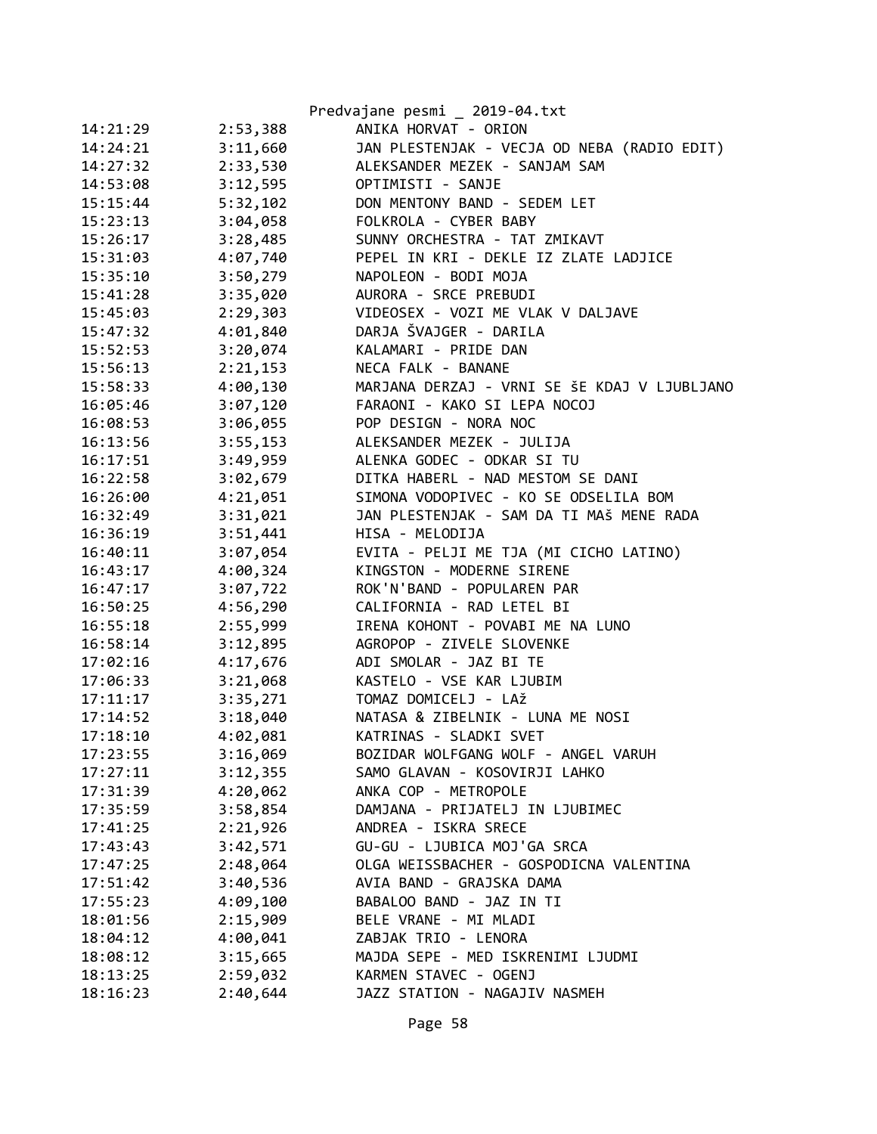|          |          | Predvajane pesmi 2019-04.txt                 |
|----------|----------|----------------------------------------------|
| 14:21:29 | 2:53,388 | ANIKA HORVAT - ORION                         |
| 14:24:21 | 3:11,660 | JAN PLESTENJAK - VECJA OD NEBA (RADIO EDIT)  |
| 14:27:32 | 2:33,530 | ALEKSANDER MEZEK - SANJAM SAM                |
| 14:53:08 | 3:12,595 | OPTIMISTI - SANJE                            |
| 15:15:44 | 5:32,102 | DON MENTONY BAND - SEDEM LET                 |
| 15:23:13 | 3:04,058 | FOLKROLA - CYBER BABY                        |
| 15:26:17 | 3:28,485 | SUNNY ORCHESTRA - TAT ZMIKAVT                |
| 15:31:03 | 4:07,740 | PEPEL IN KRI - DEKLE IZ ZLATE LADJICE        |
| 15:35:10 | 3:50,279 | NAPOLEON - BODI MOJA                         |
| 15:41:28 | 3:35,020 | AURORA - SRCE PREBUDI                        |
| 15:45:03 | 2:29,303 | VIDEOSEX - VOZI ME VLAK V DALJAVE            |
| 15:47:32 | 4:01,840 | DARJA ŠVAJGER - DARILA                       |
| 15:52:53 | 3:20,074 | KALAMARI - PRIDE DAN                         |
| 15:56:13 | 2:21,153 | NECA FALK - BANANE                           |
| 15:58:33 | 4:00,130 | MARJANA DERZAJ - VRNI SE ŠE KDAJ V LJUBLJANO |
| 16:05:46 | 3:07,120 | FARAONI - KAKO SI LEPA NOCOJ                 |
| 16:08:53 | 3:06,055 | POP DESIGN - NORA NOC                        |
| 16:13:56 | 3:55,153 | ALEKSANDER MEZEK - JULIJA                    |
| 16:17:51 | 3:49,959 | ALENKA GODEC - ODKAR SI TU                   |
| 16:22:58 | 3:02,679 | DITKA HABERL - NAD MESTOM SE DANI            |
| 16:26:00 | 4:21,051 | SIMONA VODOPIVEC - KO SE ODSELILA BOM        |
| 16:32:49 | 3:31,021 | JAN PLESTENJAK - SAM DA TI MAŠ MENE RADA     |
| 16:36:19 | 3:51,441 | HISA - MELODIJA                              |
| 16:40:11 | 3:07,054 | EVITA - PELJI ME TJA (MI CICHO LATINO)       |
| 16:43:17 | 4:00,324 | KINGSTON - MODERNE SIRENE                    |
| 16:47:17 | 3:07,722 | ROK'N'BAND - POPULAREN PAR                   |
| 16:50:25 | 4:56,290 | CALIFORNIA - RAD LETEL BI                    |
| 16:55:18 | 2:55,999 | IRENA KOHONT - POVABI ME NA LUNO             |
| 16:58:14 | 3:12,895 | AGROPOP - ZIVELE SLOVENKE                    |
| 17:02:16 | 4:17,676 | ADI SMOLAR - JAZ BI TE                       |
| 17:06:33 | 3:21,068 | KASTELO - VSE KAR LJUBIM                     |
| 17:11:17 | 3:35,271 | TOMAZ DOMICELJ - LAŽ                         |
| 17:14:52 | 3:18,040 | NATASA & ZIBELNIK - LUNA ME NOSI             |
| 17:18:10 | 4:02,081 | KATRINAS - SLADKI SVET                       |
| 17:23:55 | 3:16,069 | BOZIDAR WOLFGANG WOLF - ANGEL VARUH          |
| 17:27:11 | 3:12,355 | SAMO GLAVAN - KOSOVIRJI LAHKO                |
| 17:31:39 | 4:20,062 | ANKA COP - METROPOLE                         |
| 17:35:59 | 3:58,854 | DAMJANA - PRIJATELJ IN LJUBIMEC              |
| 17:41:25 | 2:21,926 | ANDREA - ISKRA SRECE                         |
| 17:43:43 | 3:42,571 | GU-GU - LJUBICA MOJ'GA SRCA                  |
| 17:47:25 | 2:48,064 | OLGA WEISSBACHER - GOSPODICNA VALENTINA      |
| 17:51:42 | 3:40,536 | AVIA BAND - GRAJSKA DAMA                     |
| 17:55:23 | 4:09,100 | BABALOO BAND - JAZ IN TI                     |
| 18:01:56 | 2:15,909 | BELE VRANE - MI MLADI                        |
| 18:04:12 | 4:00,041 | ZABJAK TRIO - LENORA                         |
| 18:08:12 | 3:15,665 | MAJDA SEPE - MED ISKRENIMI LJUDMI            |
| 18:13:25 | 2:59,032 | KARMEN STAVEC - OGENJ                        |
| 18:16:23 | 2:40,644 | JAZZ STATION - NAGAJIV NASMEH                |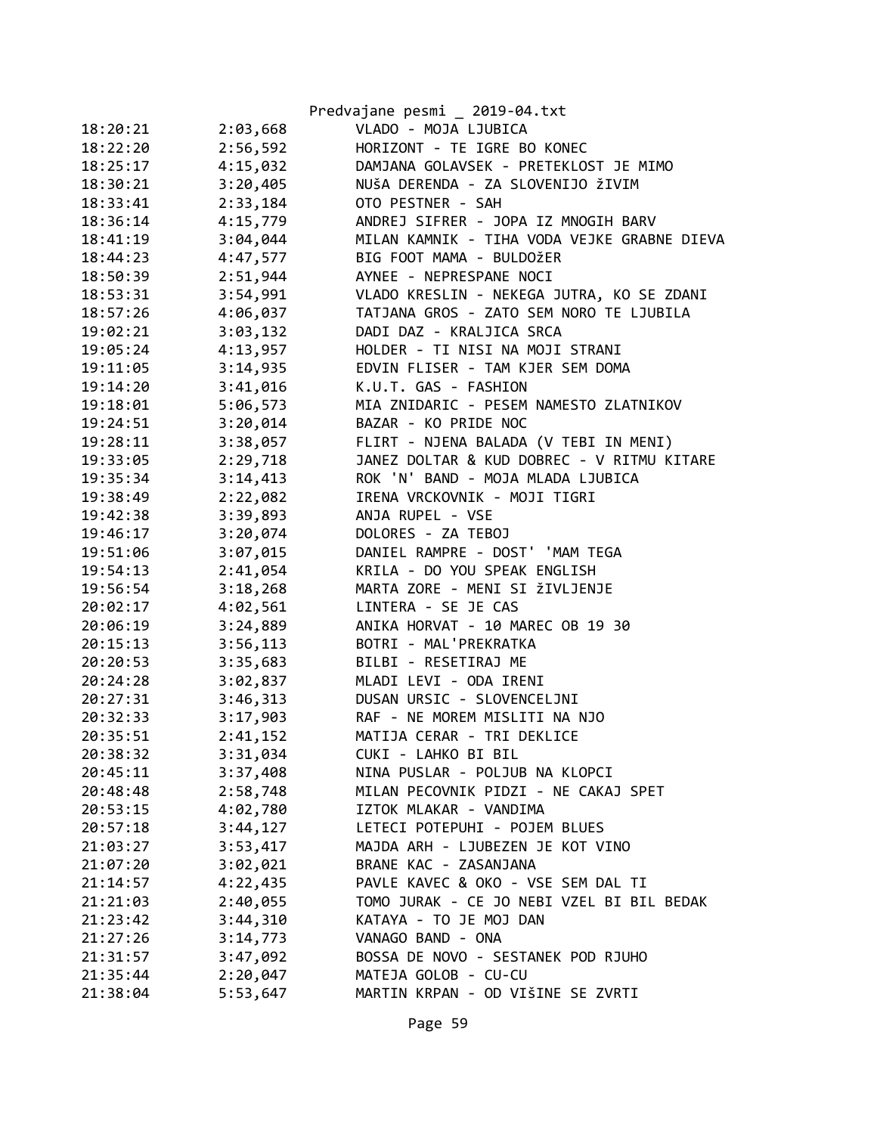|          |          | Predvajane pesmi _ 2019-04.txt              |
|----------|----------|---------------------------------------------|
| 18:20:21 | 2:03,668 | VLADO - MOJA LJUBICA                        |
| 18:22:20 | 2:56,592 | HORIZONT - TE IGRE BO KONEC                 |
| 18:25:17 | 4:15,032 | DAMJANA GOLAVSEK - PRETEKLOST JE MIMO       |
| 18:30:21 | 3:20,405 | NUŠA DERENDA - ZA SLOVENIJO ŽIVIM           |
| 18:33:41 | 2:33,184 | OTO PESTNER - SAH                           |
| 18:36:14 | 4:15,779 | ANDREJ SIFRER - JOPA IZ MNOGIH BARV         |
| 18:41:19 | 3:04,044 | MILAN KAMNIK - TIHA VODA VEJKE GRABNE DIEVA |
| 18:44:23 | 4:47,577 | BIG FOOT MAMA - BULDOŽER                    |
| 18:50:39 | 2:51,944 | AYNEE - NEPRESPANE NOCI                     |
| 18:53:31 | 3:54,991 | VLADO KRESLIN - NEKEGA JUTRA, KO SE ZDANI   |
| 18:57:26 | 4:06,037 | TATJANA GROS - ZATO SEM NORO TE LJUBILA     |
| 19:02:21 | 3:03,132 | DADI DAZ - KRALJICA SRCA                    |
| 19:05:24 | 4:13,957 | HOLDER - TI NISI NA MOJI STRANI             |
| 19:11:05 | 3:14,935 | EDVIN FLISER - TAM KJER SEM DOMA            |
| 19:14:20 | 3:41,016 | K.U.T. GAS - FASHION                        |
| 19:18:01 | 5:06,573 | MIA ZNIDARIC - PESEM NAMESTO ZLATNIKOV      |
| 19:24:51 | 3:20,014 | BAZAR - KO PRIDE NOC                        |
| 19:28:11 | 3:38,057 | FLIRT - NJENA BALADA (V TEBI IN MENI)       |
| 19:33:05 | 2:29,718 | JANEZ DOLTAR & KUD DOBREC - V RITMU KITARE  |
| 19:35:34 | 3:14,413 | ROK 'N' BAND - MOJA MLADA LJUBICA           |
| 19:38:49 | 2:22,082 | IRENA VRCKOVNIK - MOJI TIGRI                |
| 19:42:38 | 3:39,893 | ANJA RUPEL - VSE                            |
| 19:46:17 | 3:20,074 | DOLORES - ZA TEBOJ                          |
| 19:51:06 | 3:07,015 | DANIEL RAMPRE - DOST' 'MAM TEGA             |
| 19:54:13 | 2:41,054 | KRILA - DO YOU SPEAK ENGLISH                |
| 19:56:54 | 3:18,268 | MARTA ZORE - MENI SI ŽIVLJENJE              |
| 20:02:17 | 4:02,561 | LINTERA - SE JE CAS                         |
| 20:06:19 | 3:24,889 | ANIKA HORVAT - 10 MAREC OB 19 30            |
| 20:15:13 | 3:56,113 | BOTRI - MAL'PREKRATKA                       |
| 20:20:53 | 3:35,683 | BILBI - RESETIRAJ ME                        |
| 20:24:28 | 3:02,837 | MLADI LEVI - ODA IRENI                      |
| 20:27:31 | 3:46,313 | DUSAN URSIC - SLOVENCELJNI                  |
| 20:32:33 | 3:17,903 | RAF - NE MOREM MISLITI NA NJO               |
| 20:35:51 | 2:41,152 | MATIJA CERAR - TRI DEKLICE                  |
| 20:38:32 | 3:31,034 | CUKI - LAHKO BI BIL                         |
| 20:45:11 | 3:37,408 | NINA PUSLAR - POLJUB NA KLOPCI              |
| 20:48:48 | 2:58,748 | MILAN PECOVNIK PIDZI - NE CAKAJ SPET        |
| 20:53:15 | 4:02,780 | IZTOK MLAKAR - VANDIMA                      |
| 20:57:18 | 3:44,127 | LETECI POTEPUHI - POJEM BLUES               |
| 21:03:27 | 3:53,417 | MAJDA ARH - LJUBEZEN JE KOT VINO            |
| 21:07:20 | 3:02,021 | BRANE KAC - ZASANJANA                       |
| 21:14:57 | 4:22,435 | PAVLE KAVEC & OKO - VSE SEM DAL TI          |
| 21:21:03 | 2:40,055 | TOMO JURAK - CE JO NEBI VZEL BI BIL BEDAK   |
| 21:23:42 | 3:44,310 | KATAYA - TO JE MOJ DAN                      |
| 21:27:26 | 3:14,773 | VANAGO BAND - ONA                           |
| 21:31:57 | 3:47,092 | BOSSA DE NOVO - SESTANEK POD RJUHO          |
| 21:35:44 | 2:20,047 | MATEJA GOLOB - CU-CU                        |
| 21:38:04 | 5:53,647 | MARTIN KRPAN - OD VIŠINE SE ZVRTI           |
|          |          |                                             |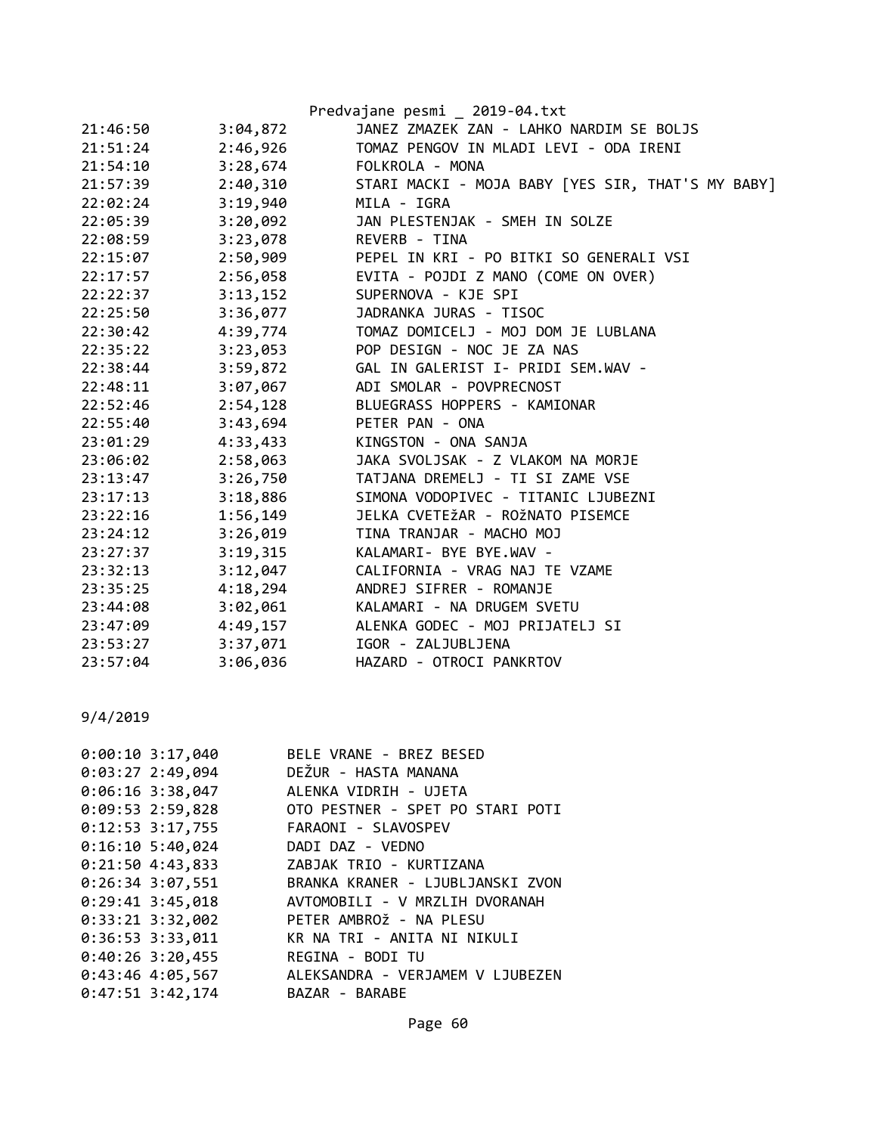|          |          | Predvajane pesmi _ 2019-04.txt                    |
|----------|----------|---------------------------------------------------|
| 21:46:50 | 3:04,872 | JANEZ ZMAZEK ZAN - LAHKO NARDIM SE BOLJS          |
| 21:51:24 | 2:46,926 | TOMAZ PENGOV IN MLADI LEVI - ODA IRENI            |
| 21:54:10 | 3:28,674 | FOLKROLA - MONA                                   |
| 21:57:39 | 2:40,310 | STARI MACKI - MOJA BABY [YES SIR, THAT'S MY BABY] |
| 22:02:24 | 3:19,940 | MILA - IGRA                                       |
| 22:05:39 | 3:20,092 | JAN PLESTENJAK - SMEH IN SOLZE                    |
| 22:08:59 | 3:23,078 | REVERB - TINA                                     |
| 22:15:07 | 2:50,909 | PEPEL IN KRI - PO BITKI SO GENERALI VSI           |
| 22:17:57 | 2:56,058 | EVITA - POJDI Z MANO (COME ON OVER)               |
| 22:22:37 | 3:13,152 | SUPERNOVA - KJE SPI                               |
| 22:25:50 | 3:36,077 | JADRANKA JURAS - TISOC                            |
| 22:30:42 | 4:39,774 | TOMAZ DOMICELJ - MOJ DOM JE LUBLANA               |
| 22:35:22 | 3:23,053 | POP DESIGN - NOC JE ZA NAS                        |
| 22:38:44 | 3:59,872 | GAL IN GALERIST I- PRIDI SEM.WAV -                |
| 22:48:11 | 3:07,067 | ADI SMOLAR - POVPRECNOST                          |
| 22:52:46 | 2:54,128 | BLUEGRASS HOPPERS - KAMIONAR                      |
| 22:55:40 | 3:43,694 | PETER PAN - ONA                                   |
| 23:01:29 | 4:33,433 | KINGSTON - ONA SANJA                              |
| 23:06:02 | 2:58,063 | JAKA SVOLJSAK - Z VLAKOM NA MORJE                 |
| 23:13:47 | 3:26,750 | TATJANA DREMELJ - TI SI ZAME VSE                  |
| 23:17:13 | 3:18,886 | SIMONA VODOPIVEC - TITANIC LJUBEZNI               |
| 23:22:16 | 1:56,149 | JELKA CVETEŽAR - ROŽNATO PISEMCE                  |
| 23:24:12 | 3:26,019 | TINA TRANJAR - MACHO MOJ                          |
| 23:27:37 | 3:19,315 | KALAMARI- BYE BYE.WAV -                           |
| 23:32:13 | 3:12,047 | CALIFORNIA - VRAG NAJ TE VZAME                    |
| 23:35:25 | 4:18,294 | ANDREJ SIFRER - ROMANJE                           |
| 23:44:08 | 3:02,061 | KALAMARI - NA DRUGEM SVETU                        |
| 23:47:09 | 4:49,157 | ALENKA GODEC - MOJ PRIJATELJ SI                   |
| 23:53:27 | 3:37,071 | IGOR - ZALJUBLJENA                                |
| 23:57:04 | 3:06,036 | HAZARD - OTROCI PANKRTOV                          |

| $0:00:10$ 3:17,040   | BELE VRANE - BREZ BESED          |
|----------------------|----------------------------------|
| $0:03:27$ 2:49,094   | DEŽUR - HASTA MANANA             |
| $0:06:16$ 3:38,047   | ALENKA VIDRIH - UJETA            |
| $0:09:53$ 2:59,828   | OTO PESTNER - SPET PO STARI POTI |
| $0:12:53$ 3:17,755   | FARAONI - SLAVOSPEV              |
| $0:16:10$ 5:40,024   | DADI DAZ - VEDNO                 |
| $0:21:50$ 4:43,833   | ZABJAK TRIO - KURTIZANA          |
| $0:26:34$ 3:07,551   | BRANKA KRANER - LJUBLJANSKI ZVON |
| $0:29:41$ 3:45,018   | AVTOMOBILI - V MRZLIH DVORANAH   |
| $0:33:21$ $3:32,002$ | PETER AMBROŽ - NA PLESU          |
| $0:36:53$ 3:33,011   | KR NA TRI - ANITA NI NIKULI      |
| $0:40:26$ 3:20,455   | REGINA - BODI TU                 |
| $0:43:46$ 4:05,567   | ALEKSANDRA - VERJAMEM V LJUBEZEN |
| $0:47:51$ 3:42,174   | BAZAR - BARABE                   |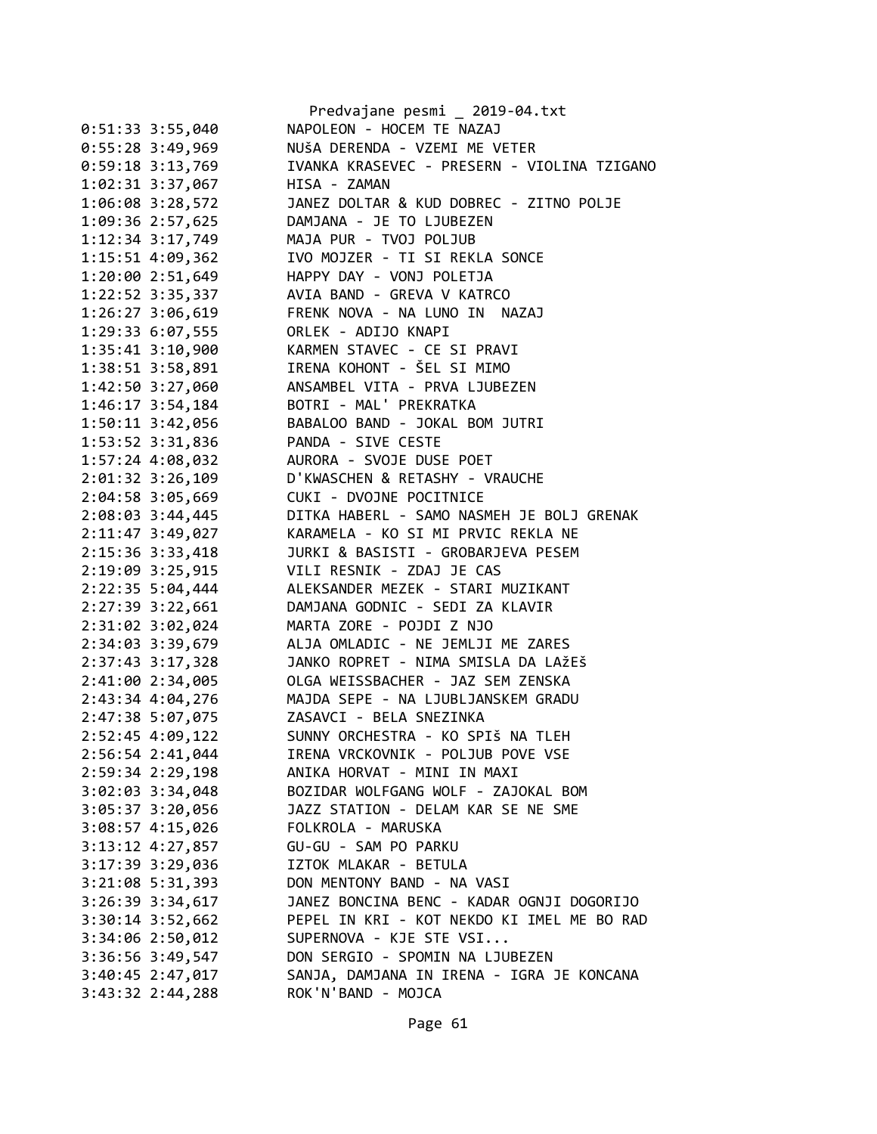|                      | Predvajane pesmi _ 2019-04.txt                                       |
|----------------------|----------------------------------------------------------------------|
| $0:51:33$ 3:55,040   | NAPOLEON - HOCEM TE NAZAJ                                            |
| 0:55:28 3:49,969     | NUŠA DERENDA - VZEMI ME VETER                                        |
| 0:59:18 3:13,769     | IVANKA KRASEVEC - PRESERN - VIOLINA TZIGANO                          |
| 1:02:31 3:37,067     | HISA - ZAMAN                                                         |
| 1:06:08 3:28,572     | JANEZ DOLTAR & KUD DOBREC - ZITNO POLJE                              |
| 1:09:36 2:57,625     | DAMJANA - JE TO LJUBEZEN                                             |
| 1:12:34 3:17,749     | MAJA PUR - TVOJ POLJUB                                               |
| $1:15:51$ 4:09,362   | IVO MOJZER - TI SI REKLA SONCE                                       |
| 1:20:00 2:51,649     | HAPPY DAY - VONJ POLETJA                                             |
| 1:22:52 3:35,337     | AVIA BAND - GREVA V KATRCO                                           |
| 1:26:27 3:06,619     | FRENK NOVA - NA LUNO IN NAZAJ                                        |
| 1:29:33 6:07,555     | ORLEK - ADIJO KNAPI                                                  |
| $1:35:41$ $3:10,900$ | KARMEN STAVEC - CE SI PRAVI                                          |
| 1:38:51 3:58,891     | IRENA KOHONT - ŠEL SI MIMO                                           |
| 1:42:50 3:27,060     | ANSAMBEL VITA - PRVA LJUBEZEN                                        |
| 1:46:17 3:54,184     | BOTRI - MAL' PREKRATKA                                               |
| 1:50:11 3:42,056     | BABALOO BAND - JOKAL BOM JUTRI                                       |
| 1:53:52 3:31,836     | PANDA - SIVE CESTE                                                   |
| 1:57:24 4:08,032     | AURORA - SVOJE DUSE POET                                             |
| 2:01:32 3:26,109     | D'KWASCHEN & RETASHY - VRAUCHE                                       |
| 2:04:58 3:05,669     | CUKI - DVOJNE POCITNICE                                              |
|                      | DITKA HABERL - SAMO NASMEH JE BOLJ GRENAK                            |
| 2:08:03 3:44,445     | KARAMELA - KO SI MI PRVIC REKLA NE                                   |
| 2:11:47 3:49,027     | JURKI & BASISTI - GROBARJEVA PESEM                                   |
| 2:15:36 3:33,418     |                                                                      |
| 2:19:09 3:25,915     | VILI RESNIK - ZDAJ JE CAS                                            |
| $2:22:35$ 5:04,444   | ALEKSANDER MEZEK - STARI MUZIKANT<br>DAMJANA GODNIC - SEDI ZA KLAVIR |
| 2:27:39 3:22,661     |                                                                      |
| 2:31:02 3:02,024     | MARTA ZORE - POJDI Z NJO                                             |
| 2:34:03 3:39,679     | ALJA OMLADIC - NE JEMLJI ME ZARES                                    |
| 2:37:43 3:17,328     | JANKO ROPRET - NIMA SMISLA DA LAŽEŠ                                  |
| 2:41:00 2:34,005     | OLGA WEISSBACHER - JAZ SEM ZENSKA                                    |
| 2:43:34 4:04,276     | MAJDA SEPE - NA LJUBLJANSKEM GRADU                                   |
| 2:47:38 5:07,075     | ZASAVCI - BELA SNEZINKA                                              |
| 2:52:45 4:09,122     | SUNNY ORCHESTRA - KO SPIŠ NA TLEH                                    |
| 2:56:54 2:41,044     | IRENA VRCKOVNIK - POLJUB POVE VSE                                    |
| 2:59:34 2:29,198     | ANIKA HORVAT - MINI IN MAXI                                          |
| 3:02:03 3:34,048     | BOZIDAR WOLFGANG WOLF - ZAJOKAL BOM                                  |
| 3:05:37 3:20,056     | JAZZ STATION - DELAM KAR SE NE SME                                   |
| 3:08:57 4:15,026     | FOLKROLA - MARUSKA                                                   |
| 3:13:12 4:27,857     | GU-GU - SAM PO PARKU                                                 |
| 3:17:39 3:29,036     | IZTOK MLAKAR - BETULA                                                |
| 3:21:08 5:31,393     | DON MENTONY BAND - NA VASI                                           |
| 3:26:39 3:34,617     | JANEZ BONCINA BENC - KADAR OGNJI DOGORIJO                            |
| 3:30:14 3:52,662     | PEPEL IN KRI - KOT NEKDO KI IMEL ME BO RAD                           |
| 3:34:06 2:50,012     | SUPERNOVA - KJE STE VSI                                              |
| 3:36:56 3:49,547     | DON SERGIO - SPOMIN NA LJUBEZEN                                      |
| $3:40:45$ 2:47,017   | SANJA, DAMJANA IN IRENA - IGRA JE KONCANA                            |
| 3:43:32 2:44,288     | ROK'N'BAND - MOJCA                                                   |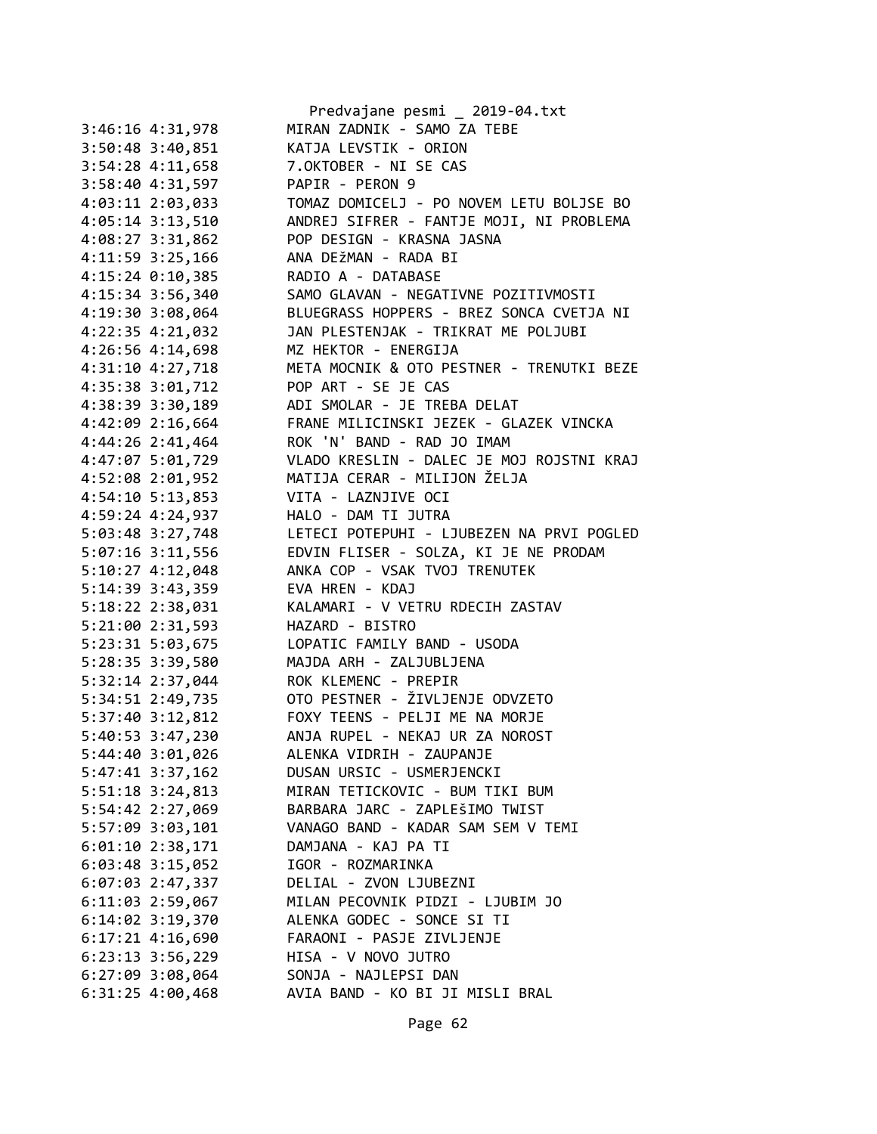|                      | Predvajane pesmi _ 2019-04.txt            |
|----------------------|-------------------------------------------|
| 3:46:16 4:31,978     | MIRAN ZADNIK - SAMO ZA TEBE               |
| 3:50:48 3:40,851     | KATJA LEVSTIK - ORION                     |
| 3:54:28 4:11,658     | 7.OKTOBER - NI SE CAS                     |
| 3:58:40 4:31,597     | PAPIR - PERON 9                           |
| 4:03:11 2:03,033     | TOMAZ DOMICELJ - PO NOVEM LETU BOLJSE BO  |
| 4:05:14 3:13,510     | ANDREJ SIFRER - FANTJE MOJI, NI PROBLEMA  |
| 4:08:27 3:31,862     | POP DESIGN - KRASNA JASNA                 |
| 4:11:59 3:25,166     | ANA DEŽMAN - RADA BI                      |
| 4:15:24 0:10,385     | RADIO A - DATABASE                        |
| 4:15:34 3:56,340     | SAMO GLAVAN - NEGATIVNE POZITIVMOSTI      |
| 4:19:30 3:08,064     | BLUEGRASS HOPPERS - BREZ SONCA CVETJA NI  |
| 4:22:35 4:21,032     | JAN PLESTENJAK - TRIKRAT ME POLJUBI       |
| 4:26:56 4:14,698     | MZ HEKTOR - ENERGIJA                      |
| 4:31:10 4:27,718     | META MOCNIK & OTO PESTNER - TRENUTKI BEZE |
| 4:35:38 3:01,712     | POP ART - SE JE CAS                       |
| 4:38:39 3:30,189     | ADI SMOLAR - JE TREBA DELAT               |
| 4:42:09 2:16,664     | FRANE MILICINSKI JEZEK - GLAZEK VINCKA    |
| 4:44:26 2:41,464     | ROK 'N' BAND - RAD JO IMAM                |
| 4:47:07 5:01,729     | VLADO KRESLIN - DALEC JE MOJ ROJSTNI KRAJ |
| 4:52:08 2:01,952     | MATIJA CERAR - MILIJON ŽELJA              |
| 4:54:10 5:13,853     | VITA - LAZNJIVE OCI                       |
|                      | HALO - DAM TI JUTRA                       |
| 4:59:24 4:24,937     |                                           |
| 5:03:48 3:27,748     | LETECI POTEPUHI - LJUBEZEN NA PRVI POGLED |
| 5:07:16 3:11,556     | EDVIN FLISER - SOLZA, KI JE NE PRODAM     |
| 5:10:27 4:12,048     | ANKA COP - VSAK TVOJ TRENUTEK             |
| 5:14:39 3:43,359     | EVA HREN - KDAJ                           |
| 5:18:22 2:38,031     | KALAMARI - V VETRU RDECIH ZASTAV          |
| 5:21:00 2:31,593     | HAZARD - BISTRO                           |
| 5:23:31 5:03,675     | LOPATIC FAMILY BAND - USODA               |
| 5:28:35 3:39,580     | MAJDA ARH - ZALJUBLJENA                   |
| 5:32:14 2:37,044     | ROK KLEMENC - PREPIR                      |
| 5:34:51 2:49,735     | OTO PESTNER - ŽIVLJENJE ODVZETO           |
| 5:37:40 3:12,812     | FOXY TEENS - PELJI ME NA MORJE            |
| 5:40:53 3:47,230     | ANJA RUPEL - NEKAJ UR ZA NOROST           |
| 5:44:40 3:01,026     | ALENKA VIDRIH - ZAUPANJE                  |
| $5:47:41$ $3:37,162$ | DUSAN URSIC - USMERJENCKI                 |
| $5:51:18$ $3:24,813$ | MIRAN TETICKOVIC - BUM TIKI BUM           |
| 5:54:42 2:27,069     | BARBARA JARC - ZAPLEŠIMO TWIST            |
| 5:57:09 3:03,101     | VANAGO BAND - KADAR SAM SEM V TEMI        |
| $6:01:10$ 2:38,171   | DAMJANA - KAJ PA TI                       |
| $6:03:48$ 3:15,052   | IGOR - ROZMARINKA                         |
| $6:07:03$ 2:47,337   | DELIAL - ZVON LJUBEZNI                    |
| $6:11:03$ 2:59,067   | MILAN PECOVNIK PIDZI - LJUBIM JO          |
| $6:14:02$ $3:19,370$ | ALENKA GODEC - SONCE SI TI                |
| $6:17:21$ 4:16,690   | FARAONI - PASJE ZIVLJENJE                 |
| $6:23:13$ $3:56,229$ | HISA - V NOVO JUTRO                       |
| $6:27:09$ 3:08,064   | SONJA - NAJLEPSI DAN                      |
| $6:31:25$ 4:00,468   | AVIA BAND - KO BI JI MISLI BRAL           |
|                      |                                           |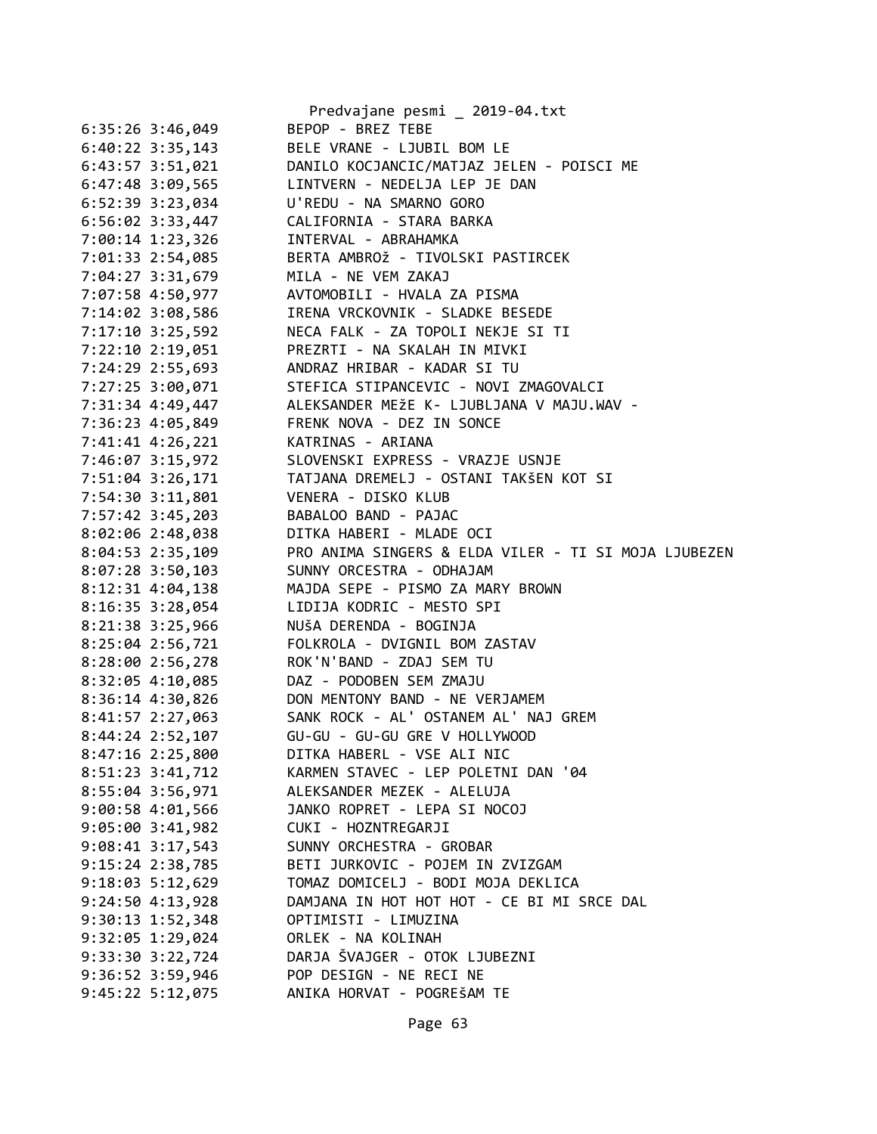|                      | Predvajane pesmi _ 2019-04.txt                       |
|----------------------|------------------------------------------------------|
| $6:35:26$ 3:46,049   | BEPOP - BREZ TEBE                                    |
| $6:40:22$ 3:35,143   | BELE VRANE - LJUBIL BOM LE                           |
| 6:43:57 3:51,021     | DANILO KOCJANCIC/MATJAZ JELEN - POISCI ME            |
| 6:47:48 3:09,565     | LINTVERN - NEDELJA LEP JE DAN                        |
| $6:52:39$ $3:23,034$ | U'REDU - NA SMARNO GORO                              |
| $6:56:02$ 3:33,447   | CALIFORNIA - STARA BARKA                             |
| 7:00:14 1:23,326     | INTERVAL - ABRAHAMKA                                 |
| 7:01:33 2:54,085     | BERTA AMBROŽ - TIVOLSKI PASTIRCEK                    |
| 7:04:27 3:31,679     | MILA - NE VEM ZAKAJ                                  |
| 7:07:58 4:50,977     | AVTOMOBILI - HVALA ZA PISMA                          |
| 7:14:02 3:08,586     | IRENA VRCKOVNIK - SLADKE BESEDE                      |
| 7:17:10 3:25,592     | NECA FALK - ZA TOPOLI NEKJE SI TI                    |
| 7:22:10 2:19,051     | PREZRTI - NA SKALAH IN MIVKI                         |
| 7:24:29 2:55,693     | ANDRAZ HRIBAR - KADAR SI TU                          |
| 7:27:25 3:00,071     | STEFICA STIPANCEVIC - NOVI ZMAGOVALCI                |
| 7:31:34 4:49,447     | ALEKSANDER MEŽE K- LJUBLJANA V MAJU.WAV -            |
| 7:36:23 4:05,849     | FRENK NOVA - DEZ IN SONCE                            |
| 7:41:41 4:26,221     | KATRINAS - ARIANA                                    |
| 7:46:07 3:15,972     | SLOVENSKI EXPRESS - VRAZJE USNJE                     |
| 7:51:04 3:26,171     | TATJANA DREMELJ - OSTANI TAKŠEN KOT SI               |
| 7:54:30 3:11,801     | VENERA - DISKO KLUB                                  |
| 7:57:42 3:45,203     | BABALOO BAND - PAJAC                                 |
| 8:02:06 2:48,038     | DITKA HABERI - MLADE OCI                             |
| $8:04:53$ 2:35,109   | PRO ANIMA SINGERS & ELDA VILER - TI SI MOJA LJUBEZEN |
| $8:07:28$ 3:50,103   | SUNNY ORCESTRA - ODHAJAM                             |
| 8:12:31 4:04,138     | MAJDA SEPE - PISMO ZA MARY BROWN                     |
| 8:16:35 3:28,054     | LIDIJA KODRIC - MESTO SPI                            |
| 8:21:38 3:25,966     | NUŠA DERENDA - BOGINJA                               |
| 8:25:04 2:56,721     | FOLKROLA - DVIGNIL BOM ZASTAV                        |
| 8:28:00 2:56,278     | ROK'N'BAND - ZDAJ SEM TU                             |
| $8:32:05$ 4:10,085   | DAZ - PODOBEN SEM ZMAJU                              |
| 8:36:14 4:30,826     | DON MENTONY BAND - NE VERJAMEM                       |
| $8:41:57$ $2:27,063$ | SANK ROCK - AL' OSTANEM AL' NAJ GREM                 |
| 8:44:24 2:52,107     | GU-GU - GU-GU GRE V HOLLYWOOD                        |
| 8:47:16 2:25,800     | DITKA HABERL - VSE ALI NIC                           |
| 8:51:23 3:41,712     | KARMEN STAVEC - LEP POLETNI DAN '04                  |
| 8:55:04 3:56,971     | ALEKSANDER MEZEK - ALELUJA                           |
| 9:00:58 4:01,566     | JANKO ROPRET - LEPA SI NOCOJ                         |
| $9:05:00$ $3:41,982$ | CUKI - HOZNTREGARJI                                  |
| $9:08:41$ 3:17,543   | SUNNY ORCHESTRA - GROBAR                             |
| $9:15:24$ 2:38,785   | BETI JURKOVIC - POJEM IN ZVIZGAM                     |
| $9:18:03$ 5:12,629   | TOMAZ DOMICELJ - BODI MOJA DEKLICA                   |
| 9:24:504:13,928      | DAMJANA IN HOT HOT HOT - CE BI MI SRCE DAL           |
| 9:30:13 1:52,348     | OPTIMISTI - LIMUZINA                                 |
| 9:32:05 1:29,024     | ORLEK - NA KOLINAH                                   |
| 9:33:30 3:22,724     | DARJA ŠVAJGER - OTOK LJUBEZNI                        |
| 9:36:52 3:59,946     | POP DESIGN - NE RECI NE                              |
| $9:45:22$ 5:12,075   | ANIKA HORVAT - POGREŠAM TE                           |
|                      |                                                      |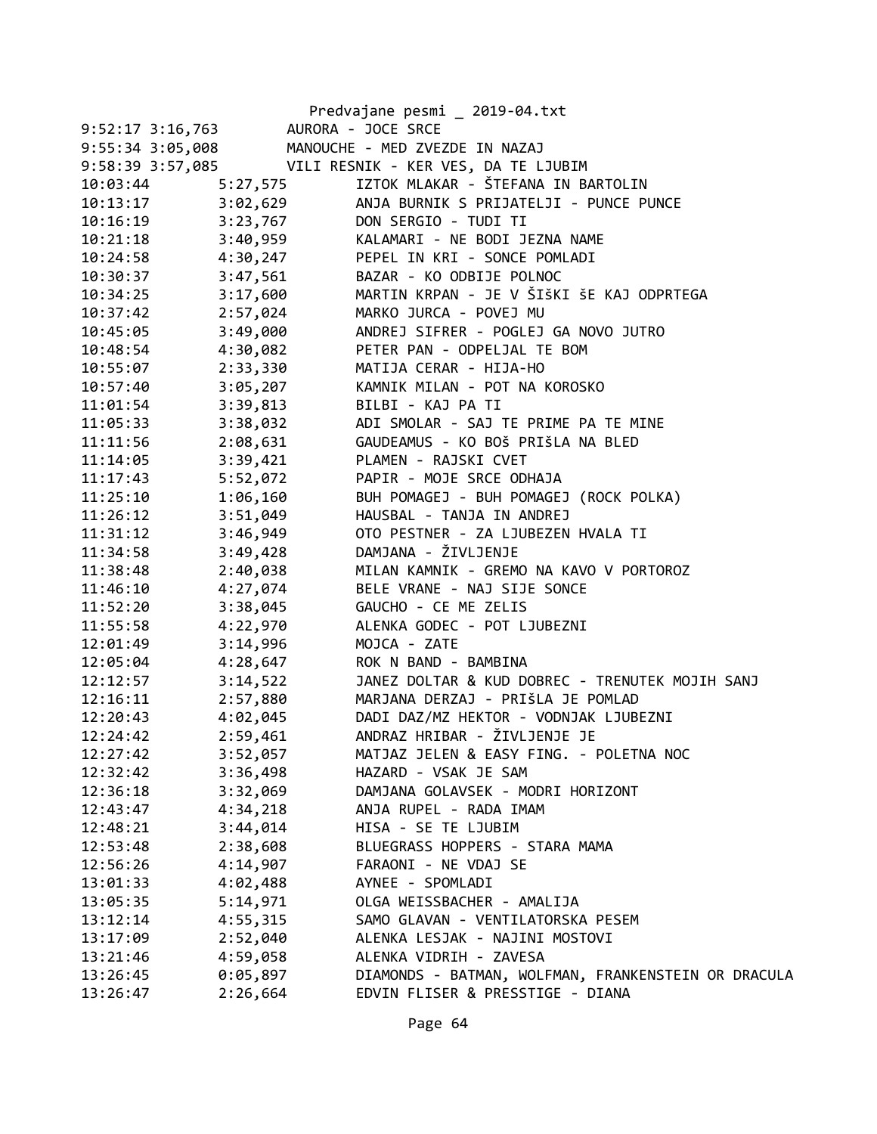|                      |          | Predvajane pesmi _ 2019-04.txt                       |
|----------------------|----------|------------------------------------------------------|
| $9:52:17$ $3:16,763$ |          | AURORA - JOCE SRCE                                   |
|                      |          | 9:55:34 3:05,008 MANOUCHE - MED ZVEZDE IN NAZAJ      |
|                      |          | 9:58:39 3:57,085 VILI RESNIK - KER VES, DA TE LJUBIM |
| 10:03:44             | 5:27,575 | IZTOK MLAKAR - ŠTEFANA IN BARTOLIN                   |
| 10:13:17             | 3:02,629 | ANJA BURNIK S PRIJATELJI - PUNCE PUNCE               |
| 10:16:19             | 3:23,767 | DON SERGIO - TUDI TI                                 |
| 10:21:18             |          | 3:40,959 KALAMARI - NE BODI JEZNA NAME               |
| 10:24:58             | 4:30,247 | PEPEL IN KRI - SONCE POMLADI                         |
| 10:30:37             | 3:47,561 | BAZAR - KO ODBIJE POLNOC                             |
| 10:34:25             | 3:17,600 | MARTIN KRPAN - JE V ŠIŠKI ŠE KAJ ODPRTEGA            |
| 10:37:42             | 2:57,024 | MARKO JURCA - POVEJ MU                               |
| 10:45:05             | 3:49,000 | ANDREJ SIFRER - POGLEJ GA NOVO JUTRO                 |
| 10:48:54             | 4:30,082 | PETER PAN - ODPELJAL TE BOM                          |
| 10:55:07             | 2:33,330 | MATIJA CERAR - HIJA-HO                               |
| 10:57:40             | 3:05,207 | KAMNIK MILAN - POT NA KOROSKO                        |
| 11:01:54             | 3:39,813 | BILBI - KAJ PA TI                                    |
| 11:05:33             | 3:38,032 | ADI SMOLAR - SAJ TE PRIME PA TE MINE                 |
| 11:11:56             | 2:08,631 | GAUDEAMUS - KO BOŠ PRIŠLA NA BLED                    |
| 11:14:05             | 3:39,421 | PLAMEN - RAJSKI CVET                                 |
| 11:17:43             | 5:52,072 | PAPIR - MOJE SRCE ODHAJA                             |
| 11:25:10             | 1:06,160 | BUH POMAGEJ - BUH POMAGEJ (ROCK POLKA)               |
| 11:26:12             | 3:51,049 | HAUSBAL - TANJA IN ANDREJ                            |
| 11:31:12             | 3:46,949 | OTO PESTNER - ZA LJUBEZEN HVALA TI                   |
| 11:34:58             | 3:49,428 | DAMJANA - ŽIVLJENJE                                  |
| 11:38:48             | 2:40,038 | MILAN KAMNIK - GREMO NA KAVO V PORTOROZ              |
| 11:46:10             | 4:27,074 | BELE VRANE - NAJ SIJE SONCE                          |
| 11:52:20             | 3:38,045 | GAUCHO - CE ME ZELIS                                 |
| 11:55:58             | 4:22,970 | ALENKA GODEC - POT LJUBEZNI                          |
| 12:01:49             | 3:14,996 | MOJCA - ZATE                                         |
| 12:05:04             | 4:28,647 | ROK N BAND - BAMBINA                                 |
| 12:12:57             | 3:14,522 | JANEZ DOLTAR & KUD DOBREC - TRENUTEK MOJIH SANJ      |
| 12:16:11             | 2:57,880 | MARJANA DERZAJ - PRIŠLA JE POMLAD                    |
| 12:20:43             |          | 4:02,045 DADI DAZ/MZ HEKTOR - VODNJAK LJUBEZNI       |
| 12:24:42             | 2:59,461 | ANDRAZ HRIBAR - ŽIVLJENJE JE                         |
| 12:27:42             | 3:52,057 | MATJAZ JELEN & EASY FING. - POLETNA NOC              |
| 12:32:42             | 3:36,498 | HAZARD - VSAK JE SAM                                 |
| 12:36:18             | 3:32,069 | DAMJANA GOLAVSEK - MODRI HORIZONT                    |
| 12:43:47             | 4:34,218 | ANJA RUPEL - RADA IMAM                               |
| 12:48:21             | 3:44,014 | HISA - SE TE LJUBIM                                  |
| 12:53:48             | 2:38,608 | BLUEGRASS HOPPERS - STARA MAMA                       |
| 12:56:26             | 4:14,907 | FARAONI - NE VDAJ SE                                 |
| 13:01:33             | 4:02,488 | AYNEE - SPOMLADI                                     |
| 13:05:35             | 5:14,971 | OLGA WEISSBACHER - AMALIJA                           |
| 13:12:14             | 4:55,315 | SAMO GLAVAN - VENTILATORSKA PESEM                    |
| 13:17:09             | 2:52,040 | ALENKA LESJAK - NAJINI MOSTOVI                       |
| 13:21:46             | 4:59,058 | ALENKA VIDRIH - ZAVESA                               |
| 13:26:45             | 0:05,897 | DIAMONDS - BATMAN, WOLFMAN, FRANKENSTEIN OR DRACULA  |
| 13:26:47             | 2:26,664 | EDVIN FLISER & PRESSTIGE - DIANA                     |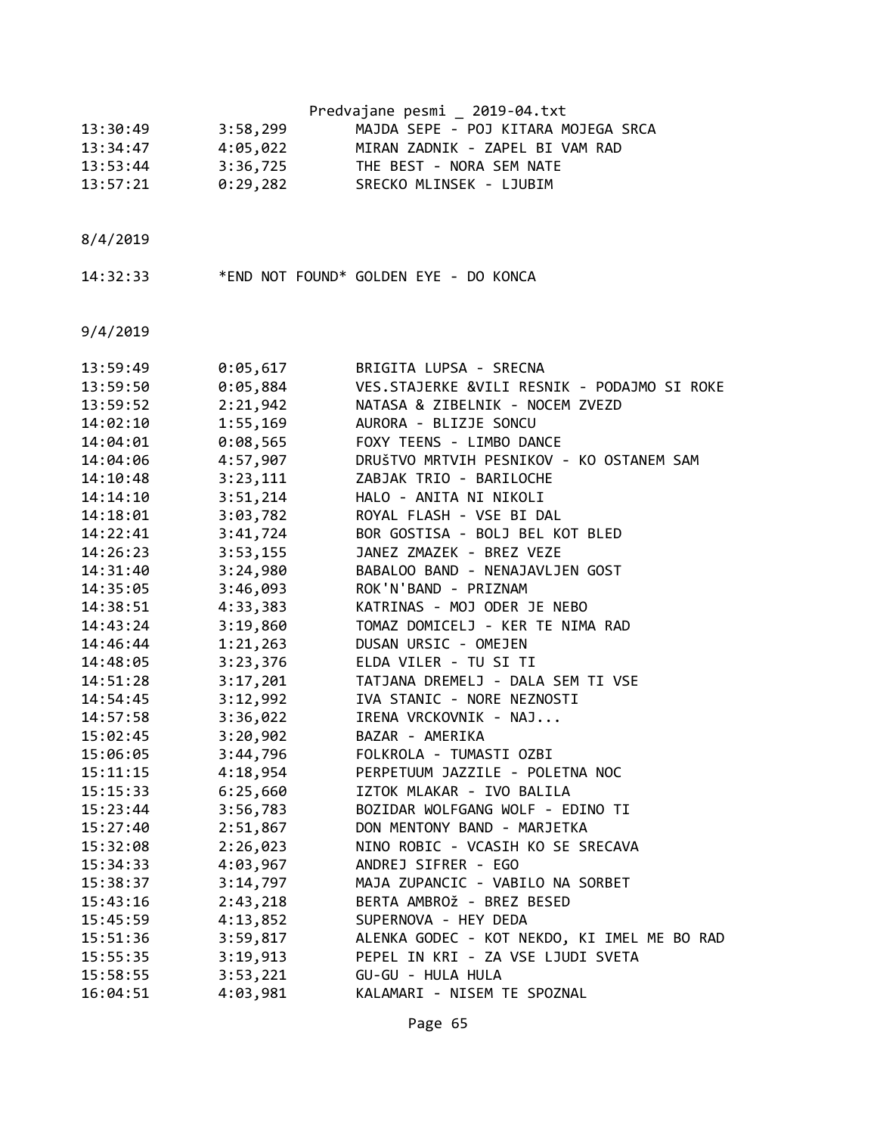|                      |                      | Predvajane pesmi _ 2019-04.txt                          |
|----------------------|----------------------|---------------------------------------------------------|
| 13:30:49             | 3:58,299             | MAJDA SEPE - POJ KITARA MOJEGA SRCA                     |
| 13:34:47             | 4:05,022             | MIRAN ZADNIK - ZAPEL BI VAM RAD                         |
| 13:53:44             | 3:36,725             | THE BEST - NORA SEM NATE                                |
| 13:57:21             | 0:29,282             | SRECKO MLINSEK - LJUBIM                                 |
|                      |                      |                                                         |
| 8/4/2019             |                      |                                                         |
| 14:32:33             |                      | *END NOT FOUND* GOLDEN EYE - DO KONCA                   |
| 9/4/2019             |                      |                                                         |
|                      |                      |                                                         |
| 13:59:49             | 0:05,617             | BRIGITA LUPSA - SRECNA                                  |
| 13:59:50             | 0:05,884             | VES.STAJERKE &VILI RESNIK - PODAJMO SI ROKE             |
| 13:59:52             | 2:21,942             | NATASA & ZIBELNIK - NOCEM ZVEZD                         |
| 14:02:10             | 1:55,169             | AURORA - BLIZJE SONCU                                   |
| 14:04:01             | 0:08,565             | FOXY TEENS - LIMBO DANCE                                |
| 14:04:06             | 4:57,907             | DRUŠTVO MRTVIH PESNIKOV - KO OSTANEM SAM                |
| 14:10:48             | 3:23,111             | ZABJAK TRIO - BARILOCHE                                 |
| 14:14:10             | 3:51,214             | HALO - ANITA NI NIKOLI                                  |
| 14:18:01             | 3:03,782             | ROYAL FLASH - VSE BI DAL                                |
| 14:22:41             | 3:41,724             | BOR GOSTISA - BOLJ BEL KOT BLED                         |
| 14:26:23             | 3:53,155             | JANEZ ZMAZEK - BREZ VEZE                                |
| 14:31:40             | 3:24,980             | BABALOO BAND - NENAJAVLJEN GOST<br>ROK'N'BAND - PRIZNAM |
| 14:35:05             | 3:46,093             | KATRINAS - MOJ ODER JE NEBO                             |
| 14:38:51<br>14:43:24 | 4:33,383             | TOMAZ DOMICELJ - KER TE NIMA RAD                        |
| 14:46:44             | 3:19,860<br>1:21,263 | DUSAN URSIC - OMEJEN                                    |
| 14:48:05             | 3:23,376             | ELDA VILER - TU SI TI                                   |
| 14:51:28             | 3:17,201             | TATJANA DREMELJ - DALA SEM TI VSE                       |
| 14:54:45             | 3:12,992             | IVA STANIC - NORE NEZNOSTI                              |
| 14:57:58             | 3:36,022             | IRENA VRCKOVNIK - NAJ                                   |
| 15:02:45             | 3:20,902             | BAZAR - AMERIKA                                         |
| 15:06:05             | 3:44,796             | FOLKROLA - TUMASTI OZBI                                 |
| 15:11:15             | 4:18,954             | PERPETUUM JAZZILE - POLETNA NOC                         |
| 15:15:33             | 6:25,660             | IZTOK MLAKAR - IVO BALILA                               |
| 15:23:44             | 3:56,783             | BOZIDAR WOLFGANG WOLF - EDINO TI                        |
| 15:27:40             | 2:51,867             | DON MENTONY BAND - MARJETKA                             |
| 15:32:08             | 2:26,023             | NINO ROBIC - VCASIH KO SE SRECAVA                       |
| 15:34:33             | 4:03,967             | ANDREJ SIFRER - EGO                                     |
| 15:38:37             | 3:14,797             | MAJA ZUPANCIC - VABILO NA SORBET                        |
| 15:43:16             | 2:43,218             | BERTA AMBROŽ - BREZ BESED                               |
| 15:45:59             | 4:13,852             | SUPERNOVA - HEY DEDA                                    |
| 15:51:36             | 3:59,817             | ALENKA GODEC - KOT NEKDO, KI IMEL ME BO RAD             |
| 15:55:35             | 3:19,913             | PEPEL IN KRI - ZA VSE LJUDI SVETA                       |
| 15:58:55             | 3:53,221             | GU-GU - HULA HULA                                       |
| 16:04:51             | 4:03,981             | KALAMARI - NISEM TE SPOZNAL                             |
|                      |                      |                                                         |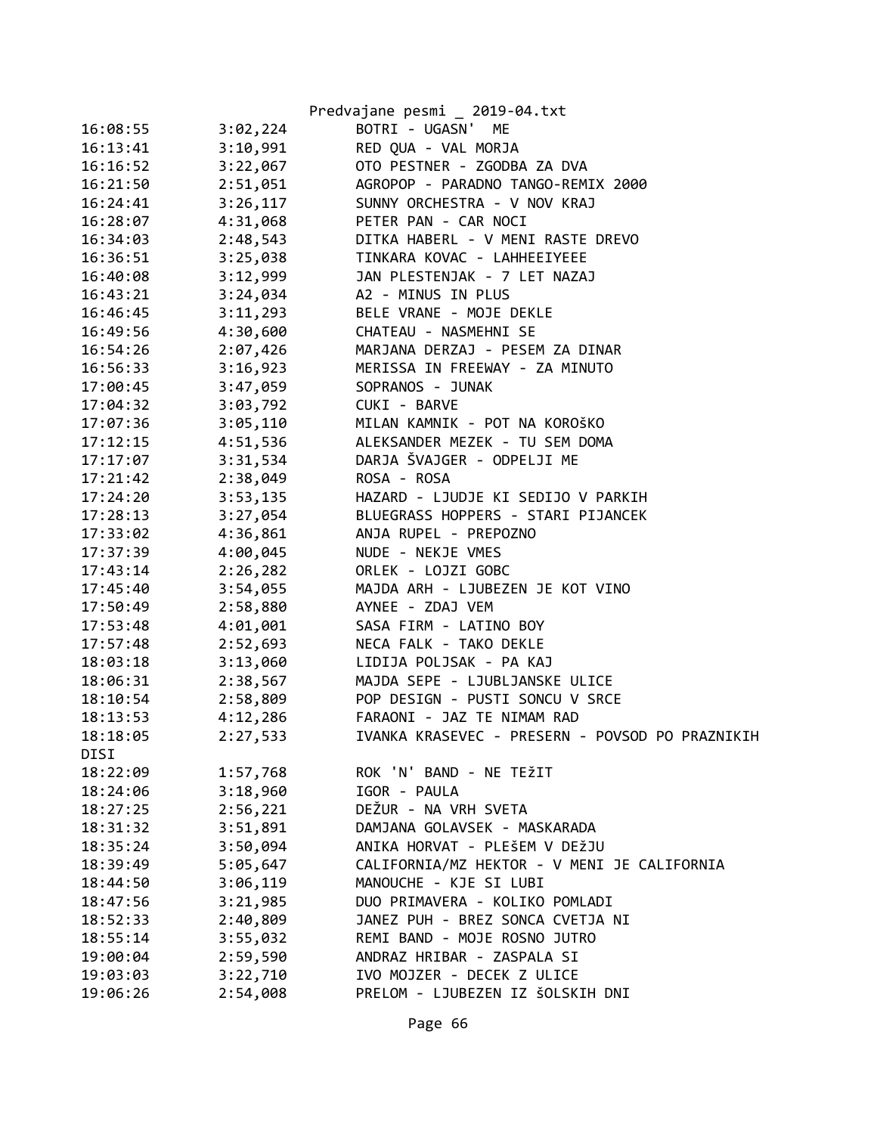|          |          | Predvajane pesmi _ 2019-04.txt                  |
|----------|----------|-------------------------------------------------|
| 16:08:55 | 3:02,224 | BOTRI - UGASN' ME                               |
| 16:13:41 | 3:10,991 | RED QUA - VAL MORJA                             |
| 16:16:52 | 3:22,067 | OTO PESTNER - ZGODBA ZA DVA                     |
| 16:21:50 | 2:51,051 | AGROPOP - PARADNO TANGO-REMIX 2000              |
| 16:24:41 | 3:26,117 | SUNNY ORCHESTRA - V NOV KRAJ                    |
| 16:28:07 | 4:31,068 | PETER PAN - CAR NOCI                            |
| 16:34:03 | 2:48,543 | DITKA HABERL - V MENI RASTE DREVO               |
| 16:36:51 | 3:25,038 | TINKARA KOVAC - LAHHEEIYEEE                     |
| 16:40:08 | 3:12,999 | JAN PLESTENJAK - 7 LET NAZAJ                    |
| 16:43:21 | 3:24,034 | A2 - MINUS IN PLUS                              |
| 16:46:45 | 3:11,293 | BELE VRANE - MOJE DEKLE                         |
| 16:49:56 | 4:30,600 | CHATEAU - NASMEHNI SE                           |
| 16:54:26 | 2:07,426 | MARJANA DERZAJ - PESEM ZA DINAR                 |
| 16:56:33 | 3:16,923 | MERISSA IN FREEWAY - ZA MINUTO                  |
| 17:00:45 | 3:47,059 | SOPRANOS - JUNAK                                |
| 17:04:32 | 3:03,792 | CUKI - BARVE                                    |
| 17:07:36 | 3:05,110 | MILAN KAMNIK - POT NA KOROŠKO                   |
| 17:12:15 | 4:51,536 | ALEKSANDER MEZEK - TU SEM DOMA                  |
| 17:17:07 | 3:31,534 | DARJA ŠVAJGER - ODPELJI ME                      |
| 17:21:42 | 2:38,049 | ROSA - ROSA                                     |
| 17:24:20 | 3:53,135 | HAZARD - LJUDJE KI SEDIJO V PARKIH              |
| 17:28:13 | 3:27,054 | BLUEGRASS HOPPERS - STARI PIJANCEK              |
| 17:33:02 | 4:36,861 | ANJA RUPEL - PREPOZNO                           |
| 17:37:39 | 4:00,045 | NUDE - NEKJE VMES                               |
| 17:43:14 | 2:26,282 | ORLEK - LOJZI GOBC                              |
| 17:45:40 | 3:54,055 | MAJDA ARH - LJUBEZEN JE KOT VINO                |
| 17:50:49 | 2:58,880 | AYNEE - ZDAJ VEM                                |
| 17:53:48 | 4:01,001 | SASA FIRM - LATINO BOY                          |
| 17:57:48 | 2:52,693 | NECA FALK - TAKO DEKLE                          |
| 18:03:18 | 3:13,060 | LIDIJA POLJSAK - PA KAJ                         |
| 18:06:31 | 2:38,567 | MAJDA SEPE - LJUBLJANSKE ULICE                  |
| 18:10:54 | 2:58,809 | POP DESIGN - PUSTI SONCU V SRCE                 |
| 18:13:53 | 4:12,286 | FARAONI - JAZ TE NIMAM RAD                      |
| 18:18:05 | 2:27,533 | IVANKA KRASEVEC - PRESERN - POVSOD PO PRAZNIKIH |
| DISI     |          |                                                 |
| 18:22:09 | 1:57,768 | ROK 'N' BAND - NE TEŽIT                         |
| 18:24:06 | 3:18,960 | IGOR - PAULA                                    |
| 18:27:25 | 2:56,221 | DEŽUR - NA VRH SVETA                            |
| 18:31:32 | 3:51,891 | DAMJANA GOLAVSEK - MASKARADA                    |
| 18:35:24 | 3:50,094 | ANIKA HORVAT - PLEŠEM V DEŽJU                   |
| 18:39:49 | 5:05,647 | CALIFORNIA/MZ HEKTOR - V MENI JE CALIFORNIA     |
| 18:44:50 | 3:06,119 | MANOUCHE - KJE SI LUBI                          |
| 18:47:56 | 3:21,985 | DUO PRIMAVERA - KOLIKO POMLADI                  |
| 18:52:33 | 2:40,809 | JANEZ PUH - BREZ SONCA CVETJA NI                |
| 18:55:14 | 3:55,032 | REMI BAND - MOJE ROSNO JUTRO                    |
| 19:00:04 | 2:59,590 | ANDRAZ HRIBAR - ZASPALA SI                      |
| 19:03:03 | 3:22,710 | IVO MOJZER - DECEK Z ULICE                      |
| 19:06:26 | 2:54,008 | PRELOM - LJUBEZEN IZ ŠOLSKIH DNI                |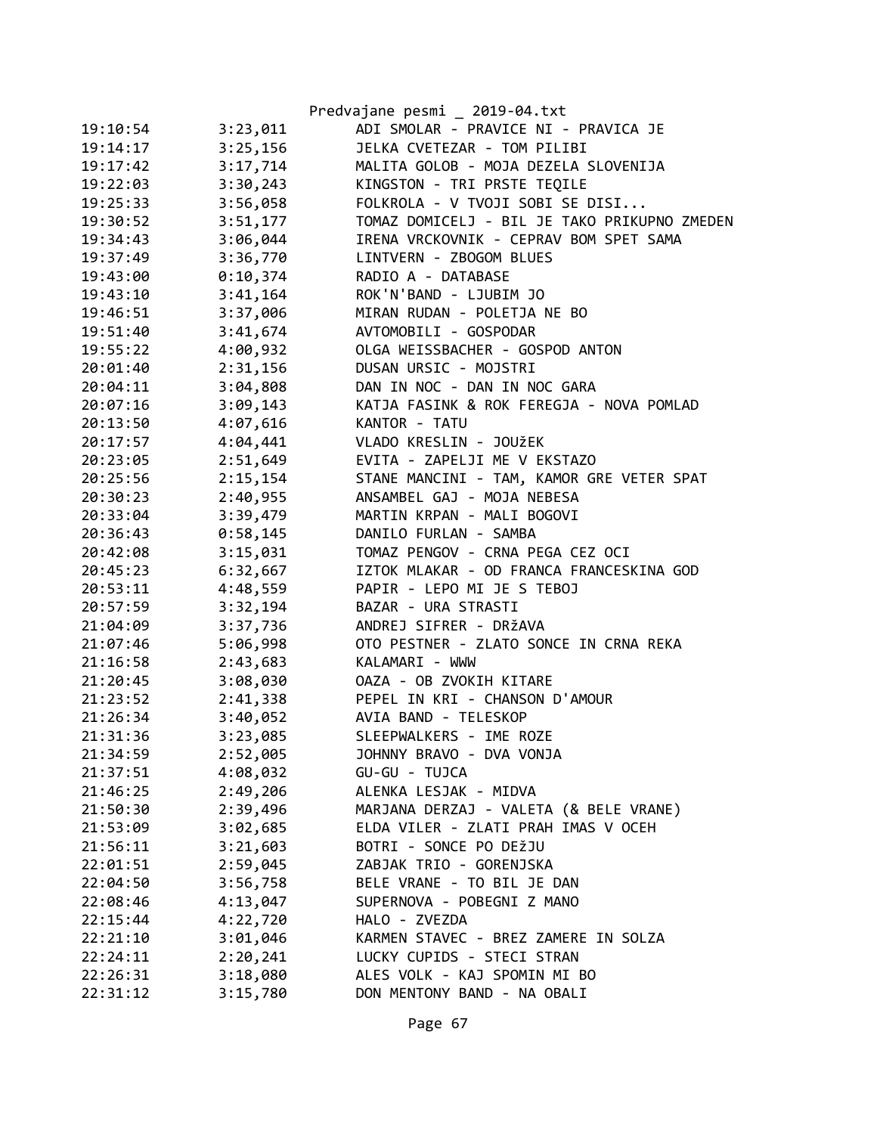|          |          | Predvajane pesmi _ 2019-04.txt               |
|----------|----------|----------------------------------------------|
| 19:10:54 | 3:23,011 | ADI SMOLAR - PRAVICE NI - PRAVICA JE         |
| 19:14:17 | 3:25,156 | JELKA CVETEZAR - TOM PILIBI                  |
| 19:17:42 | 3:17,714 | MALITA GOLOB - MOJA DEZELA SLOVENIJA         |
| 19:22:03 | 3:30,243 | KINGSTON - TRI PRSTE TEQILE                  |
| 19:25:33 | 3:56,058 | FOLKROLA - V TVOJI SOBI SE DISI              |
| 19:30:52 | 3:51,177 | TOMAZ DOMICELJ - BIL JE TAKO PRIKUPNO ZMEDEN |
| 19:34:43 | 3:06,044 | IRENA VRCKOVNIK - CEPRAV BOM SPET SAMA       |
| 19:37:49 | 3:36,770 | LINTVERN - ZBOGOM BLUES                      |
| 19:43:00 | 0:10,374 | RADIO A - DATABASE                           |
| 19:43:10 | 3:41,164 | ROK'N'BAND - LJUBIM JO                       |
| 19:46:51 | 3:37,006 | MIRAN RUDAN - POLETJA NE BO                  |
| 19:51:40 | 3:41,674 | AVTOMOBILI - GOSPODAR                        |
| 19:55:22 | 4:00,932 | OLGA WEISSBACHER - GOSPOD ANTON              |
| 20:01:40 | 2:31,156 | DUSAN URSIC - MOJSTRI                        |
| 20:04:11 | 3:04,808 | DAN IN NOC - DAN IN NOC GARA                 |
| 20:07:16 | 3:09,143 | KATJA FASINK & ROK FEREGJA - NOVA POMLAD     |
| 20:13:50 | 4:07,616 | KANTOR - TATU                                |
| 20:17:57 | 4:04,441 | VLADO KRESLIN - JOUŽEK                       |
| 20:23:05 | 2:51,649 | EVITA - ZAPELJI ME V EKSTAZO                 |
| 20:25:56 | 2:15,154 | STANE MANCINI - TAM, KAMOR GRE VETER SPAT    |
| 20:30:23 | 2:40,955 | ANSAMBEL GAJ - MOJA NEBESA                   |
| 20:33:04 | 3:39,479 | MARTIN KRPAN - MALI BOGOVI                   |
| 20:36:43 | 0:58,145 | DANILO FURLAN - SAMBA                        |
| 20:42:08 | 3:15,031 | TOMAZ PENGOV - CRNA PEGA CEZ OCI             |
| 20:45:23 | 6:32,667 | IZTOK MLAKAR - OD FRANCA FRANCESKINA GOD     |
| 20:53:11 | 4:48,559 | PAPIR - LEPO MI JE S TEBOJ                   |
| 20:57:59 | 3:32,194 | BAZAR - URA STRASTI                          |
| 21:04:09 | 3:37,736 | ANDREJ SIFRER - DRŽAVA                       |
| 21:07:46 | 5:06,998 | OTO PESTNER - ZLATO SONCE IN CRNA REKA       |
| 21:16:58 | 2:43,683 | KALAMARI - WWW                               |
| 21:20:45 | 3:08,030 | OAZA - OB ZVOKIH KITARE                      |
| 21:23:52 | 2:41,338 | PEPEL IN KRI - CHANSON D'AMOUR               |
| 21:26:34 | 3:40,052 | AVIA BAND - TELESKOP                         |
| 21:31:36 | 3:23,085 | SLEEPWALKERS - IME ROZE                      |
| 21:34:59 | 2:52,005 | JOHNNY BRAVO - DVA VONJA                     |
| 21:37:51 | 4:08,032 | GU-GU - TUJCA                                |
| 21:46:25 | 2:49,206 | ALENKA LESJAK - MIDVA                        |
| 21:50:30 | 2:39,496 | MARJANA DERZAJ - VALETA (& BELE VRANE)       |
| 21:53:09 | 3:02,685 | ELDA VILER - ZLATI PRAH IMAS V OCEH          |
| 21:56:11 | 3:21,603 | BOTRI - SONCE PO DEŽJU                       |
| 22:01:51 | 2:59,045 | ZABJAK TRIO - GORENJSKA                      |
| 22:04:50 | 3:56,758 | BELE VRANE - TO BIL JE DAN                   |
| 22:08:46 | 4:13,047 | SUPERNOVA - POBEGNI Z MANO                   |
| 22:15:44 | 4:22,720 | HALO - ZVEZDA                                |
| 22:21:10 | 3:01,046 | KARMEN STAVEC - BREZ ZAMERE IN SOLZA         |
| 22:24:11 | 2:20,241 | LUCKY CUPIDS - STECI STRAN                   |
| 22:26:31 | 3:18,080 | ALES VOLK - KAJ SPOMIN MI BO                 |
| 22:31:12 | 3:15,780 | DON MENTONY BAND - NA OBALI                  |
|          |          |                                              |

Page 67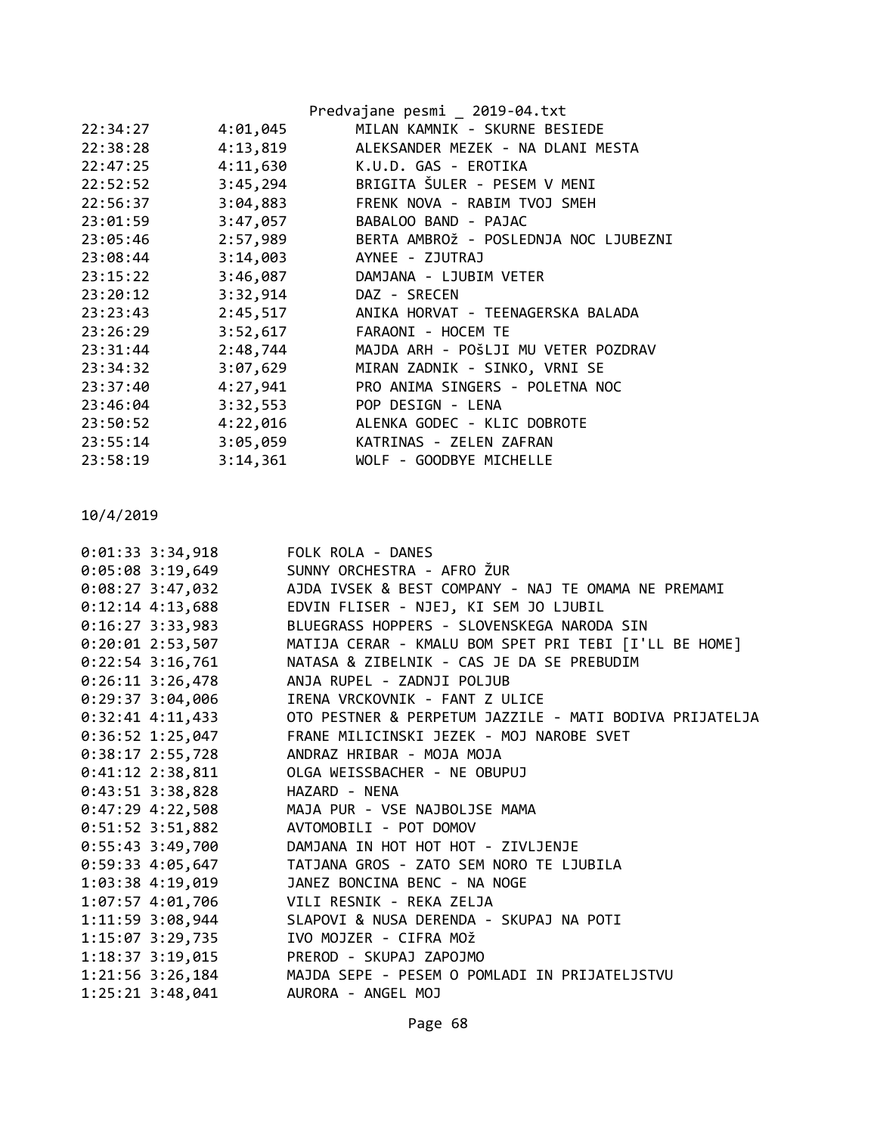|          |          | Predvajane pesmi _ 2019-04.txt        |
|----------|----------|---------------------------------------|
| 22:34:27 | 4:01,045 | MILAN KAMNIK - SKURNE BESIEDE         |
| 22:38:28 | 4:13,819 | ALEKSANDER MEZEK - NA DLANI MESTA     |
| 22:47:25 | 4:11,630 | K.U.D. GAS - EROTIKA                  |
| 22:52:52 | 3:45,294 | BRIGITA SULER - PESEM V MENI          |
| 22:56:37 | 3:04,883 | FRENK NOVA - RABIM TVOJ SMEH          |
| 23:01:59 | 3:47,057 | BABALOO BAND - PAJAC                  |
| 23:05:46 | 2:57,989 | BERTA AMBROŽ - POSLEDNJA NOC LJUBEZNI |
| 23:08:44 | 3:14,003 | AYNEE - ZJUTRAJ                       |
| 23:15:22 | 3:46,087 | DAMJANA - LJUBIM VETER                |
| 23:20:12 | 3:32,914 | DAZ - SRECEN                          |
| 23:23:43 | 2:45,517 | ANIKA HORVAT - TEENAGERSKA BALADA     |
| 23:26:29 | 3:52,617 | FARAONI - HOCEM TE                    |
| 23:31:44 | 2:48,744 | MAJDA ARH - POŠLJI MU VETER POZDRAV   |
| 23:34:32 | 3:07,629 | MIRAN ZADNIK - SINKO, VRNI SE         |
| 23:37:40 | 4:27,941 | PRO ANIMA SINGERS - POLETNA NOC       |
| 23:46:04 | 3:32,553 | POP DESIGN - LENA                     |
| 23:50:52 | 4:22,016 | ALENKA GODEC - KLIC DOBROTE           |
| 23:55:14 | 3:05,059 | KATRINAS - ZELEN ZAFRAN               |
| 23:58:19 | 3:14,361 | WOLF - GOODBYE MICHELLE               |
|          |          |                                       |

| $0:01:33$ 3:34,918<br>FOLK ROLA - DANES                                  |
|--------------------------------------------------------------------------|
| 0:05:08 3:19,649 SUNNY ORCHESTRA - AFRO ŽUR                              |
| 0:08:27 3:47,032 AJDA IVSEK & BEST COMPANY - NAJ TE OMAMA NE PREMAMI     |
| $0:12:14$ 4:13,688<br>EDVIN FLISER - NJEJ, KI SEM JO LJUBIL              |
| BLUEGRASS HOPPERS - SLOVENSKEGA NARODA SIN                               |
| 0:20:01 2:53,507 MATIJA CERAR - KMALU BOM SPET PRI TEBI [I'LL BE HOME]   |
| $0:22:54$ 3:16,761<br>NATASA & ZIBELNIK - CAS JE DA SE PREBUDIM          |
| $0:26:11$ 3:26,478<br>ANJA RUPEL - ZADNJI POLJUB                         |
| $0:29:37$ 3:04,006<br>IRENA VRCKOVNIK - FANT Z ULICE                     |
| 0:32:41 4:11,433 OTO PESTNER & PERPETUM JAZZILE - MATI BODIVA PRIJATELJA |
| $0:36:52$ 1:25,047<br>FRANE MILICINSKI JEZEK - MOJ NAROBE SVET           |
| ANDRAZ HRIBAR - MOJA MOJA                                                |
| 0:41:12 2:38,811 OLGA WEISSBACHER - NE OBUPUJ                            |
| 0:43:51 3:38,828 HAZARD - NENA                                           |
| 0:47:29 4:22,508 MAJA PUR - VSE NAJBOLJSE MAMA                           |
| 0:51:52 3:51,882 AVTOMOBILI - POT DOMOV                                  |
| 0:55:43 3:49,700 DAMJANA IN HOT HOT HOT - ZIVLJENJE                      |
| $0:59:33$ 4:05,647<br>TATJANA GROS - ZATO SEM NORO TE LJUBILA            |
| 1:03:38 4:19,019<br>JANEZ BONCINA BENC - NA NOGE                         |
| 1:07:57 4:01,706 VILI RESNIK - REKA ZELJA                                |
| 1:11:59 3:08,944 SLAPOVI & NUSA DERENDA - SKUPAJ NA POTI                 |
| 1:15:07 3:29,735<br>IVO MOJZER - CIFRA MOŽ                               |
| 1:18:37 3:19,015 PREROD - SKUPAJ ZAPOJMO                                 |
| 1:21:56 3:26,184 MAJDA SEPE - PESEM O POMLADI IN PRIJATELJSTVU           |
| 1:25:21 3:48,041 AURORA - ANGEL MOJ                                      |
|                                                                          |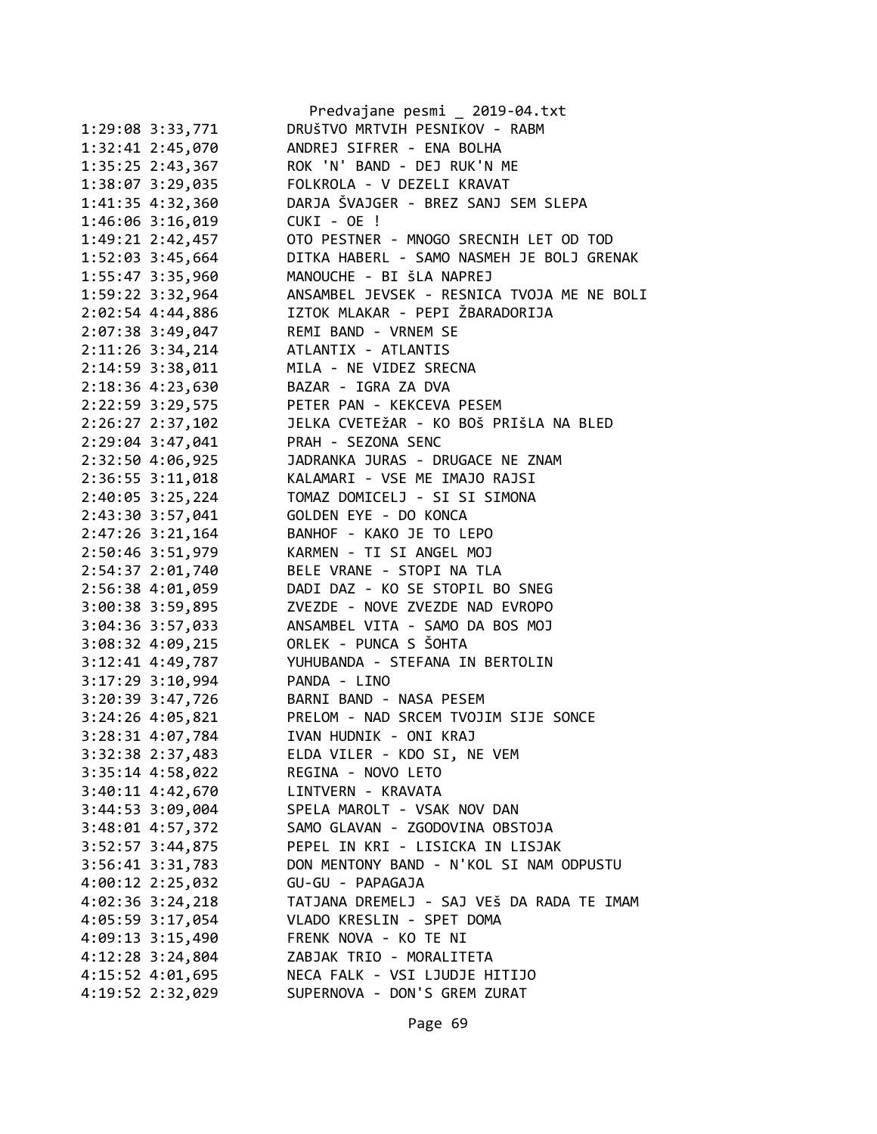|                      | Predvajane pesmi _ 2019-04.txt             |
|----------------------|--------------------------------------------|
| 1:29:08 3:33,771     | DRUŠTVO MRTVIH PESNIKOV - RABM             |
| 1:32:41 2:45,070     | ANDREJ SIFRER - ENA BOLHA                  |
| 1:35:25 2:43,367     | ROK 'N' BAND - DEJ RUK'N ME                |
| 1:38:07 3:29,035     | FOLKROLA - V DEZELI KRAVAT                 |
| 1:41:35 4:32,360     | DARJA ŠVAJGER - BREZ SANJ SEM SLEPA        |
| 1:46:06 3:16,019     | CUKI - OE !                                |
| 1:49:21 2:42,457     | OTO PESTNER - MNOGO SRECNIH LET OD TOD     |
| 1:52:03 3:45,664     | DITKA HABERL - SAMO NASMEH JE BOLJ GRENAK  |
| 1:55:47 3:35,960     | MANOUCHE - BI ŠLA NAPREJ                   |
| 1:59:22 3:32,964     | ANSAMBEL JEVSEK - RESNICA TVOJA ME NE BOLI |
| 2:02:54 4:44,886     | IZTOK MLAKAR - PEPI ŽBARADORIJA            |
| 2:07:38 3:49,047     | REMI BAND - VRNEM SE                       |
| 2:11:26 3:34,214     | ATLANTIX - ATLANTIS                        |
| 2:14:59 3:38,011     | MILA - NE VIDEZ SRECNA                     |
|                      | BAZAR - IGRA ZA DVA                        |
| 2:18:36 4:23,630     |                                            |
| 2:22:59 3:29,575     | PETER PAN - KEKCEVA PESEM                  |
| 2:26:27 2:37,102     | JELKA CVETEŽAR - KO BOŠ PRIŠLA NA BLED     |
| 2:29:04 3:47,041     | PRAH - SEZONA SENC                         |
| 2:32:50 4:06,925     | JADRANKA JURAS - DRUGACE NE ZNAM           |
| 2:36:55 3:11,018     | KALAMARI - VSE ME IMAJO RAJSI              |
| 2:40:05 3:25,224     | TOMAZ DOMICELJ - SI SI SIMONA              |
| 2:43:30 3:57,041     | GOLDEN EYE - DO KONCA                      |
| 2:47:26 3:21,164     | BANHOF - KAKO JE TO LEPO                   |
| 2:50:46 3:51,979     | KARMEN - TI SI ANGEL MOJ                   |
| 2:54:37 2:01,740     | BELE VRANE - STOPI NA TLA                  |
| 2:56:38 4:01,059     | DADI DAZ - KO SE STOPIL BO SNEG            |
| 3:00:38 3:59,895     | ZVEZDE - NOVE ZVEZDE NAD EVROPO            |
| 3:04:36 3:57,033     | ANSAMBEL VITA - SAMO DA BOS MOJ            |
| 3:08:32 4:09,215     | ORLEK - PUNCA S ŠOHTA                      |
| 3:12:41 4:49,787     | YUHUBANDA - STEFANA IN BERTOLIN            |
| 3:17:29 3:10,994     | PANDA - LINO                               |
| 3:20:39 3:47,726     | BARNI BAND - NASA PESEM                    |
| 3:24:26 4:05,821     | PRELOM - NAD SRCEM TVOJIM SIJE SONCE       |
| 3:28:31 4:07,784     | IVAN HUDNIK - ONI KRAJ                     |
| 3:32:38 2:37,483     | ELDA VILER - KDO SI, NE VEM                |
| $3:35:14$ 4:58,022   | REGINA - NOVO LETO                         |
| $3:40:11$ $4:42,670$ | LINTVERN - KRAVATA                         |
| 3:44:53 3:09,004     | SPELA MAROLT - VSAK NOV DAN                |
| 3:48:01 4:57,372     | SAMO GLAVAN - ZGODOVINA OBSTOJA            |
| $3:52:57$ $3:44,875$ | PEPEL IN KRI - LISICKA IN LISJAK           |
|                      | DON MENTONY BAND - N'KOL SI NAM ODPUSTU    |
| $3:56:41$ $3:31,783$ |                                            |
| 4:00:12 2:25,032     | GU-GU - PAPAGAJA                           |
| $4:02:36$ 3:24,218   | TATJANA DREMELJ - SAJ VEŠ DA RADA TE IMAM  |
| 4:05:59 3:17,054     | VLADO KRESLIN - SPET DOMA                  |
| 4:09:13 3:15,490     | FRENK NOVA - KO TE NI                      |
| 4:12:28 3:24,804     | ZABJAK TRIO - MORALITETA                   |
| 4:15:52 4:01,695     | NECA FALK - VSI LJUDJE HITIJO              |
| 4:19:52 2:32,029     | SUPERNOVA - DON'S GREM ZURAT               |
|                      |                                            |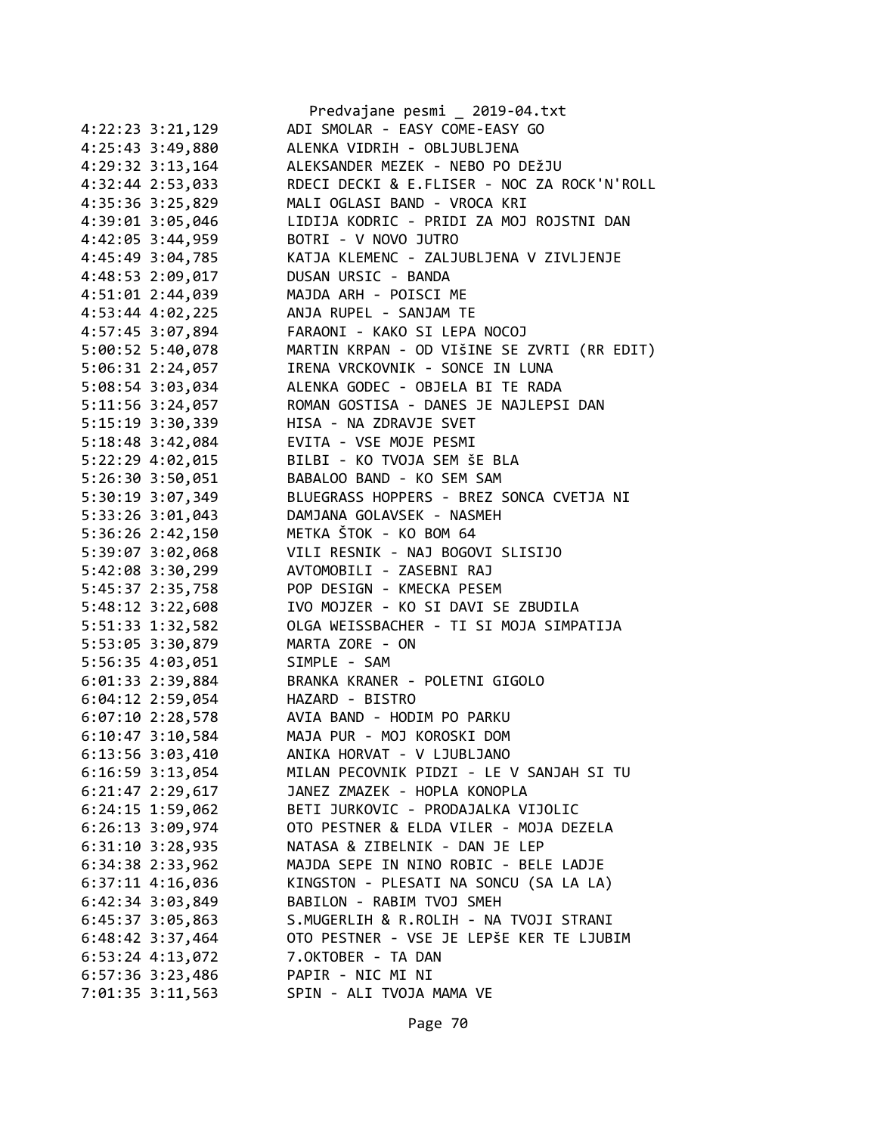|                      | Predvajane pesmi _ 2019-04.txt              |
|----------------------|---------------------------------------------|
| 4:22:23 3:21,129     | ADI SMOLAR - EASY COME-EASY GO              |
| 4:25:43 3:49,880     | ALENKA VIDRIH - OBLJUBLJENA                 |
| 4:29:32 3:13,164     | ALEKSANDER MEZEK - NEBO PO DEŽJU            |
| 4:32:44 2:53,033     | RDECI DECKI & E.FLISER - NOC ZA ROCK'N'ROLL |
| 4:35:36 3:25,829     | MALI OGLASI BAND - VROCA KRI                |
| 4:39:01 3:05,046     | LIDIJA KODRIC - PRIDI ZA MOJ ROJSTNI DAN    |
| 4:42:05 3:44,959     | BOTRI - V NOVO JUTRO                        |
| 4:45:49 3:04,785     | KATJA KLEMENC - ZALJUBLJENA V ZIVLJENJE     |
| 4:48:53 2:09,017     | DUSAN URSIC - BANDA                         |
| 4:51:01 2:44,039     | MAJDA ARH - POISCI ME                       |
| 4:53:44 4:02,225     | ANJA RUPEL - SANJAM TE                      |
| 4:57:45 3:07,894     | FARAONI - KAKO SI LEPA NOCOJ                |
| 5:00:52 5:40,078     | MARTIN KRPAN - OD VIŠINE SE ZVRTI (RR EDIT) |
| 5:06:31 2:24,057     | IRENA VRCKOVNIK - SONCE IN LUNA             |
| 5:08:54 3:03,034     | ALENKA GODEC - OBJELA BI TE RADA            |
| 5:11:56 3:24,057     | ROMAN GOSTISA - DANES JE NAJLEPSI DAN       |
| 5:15:19 3:30,339     | HISA - NA ZDRAVJE SVET                      |
| 5:18:48 3:42,084     | EVITA - VSE MOJE PESMI                      |
| 5:22:29 4:02,015     | BILBI - KO TVOJA SEM ŠE BLA                 |
| 5:26:30 3:50,051     | BABALOO BAND - KO SEM SAM                   |
| 5:30:19 3:07,349     | BLUEGRASS HOPPERS - BREZ SONCA CVETJA NI    |
| 5:33:26 3:01,043     | DAMJANA GOLAVSEK - NASMEH                   |
| 5:36:26 2:42,150     | METKA ŠTOK - KO BOM 64                      |
| 5:39:07 3:02,068     | VILI RESNIK - NAJ BOGOVI SLISIJO            |
| 5:42:08 3:30,299     | AVTOMOBILI - ZASEBNI RAJ                    |
| 5:45:37 2:35,758     | POP DESIGN - KMECKA PESEM                   |
| 5:48:12 3:22,608     | IVO MOJZER - KO SI DAVI SE ZBUDILA          |
| 5:51:33 1:32,582     | OLGA WEISSBACHER - TI SI MOJA SIMPATIJA     |
| 5:53:05 3:30,879     | MARTA ZORE - ON                             |
| 5:56:35 4:03,051     | SIMPLE - SAM                                |
| 6:01:33 2:39,884     | BRANKA KRANER - POLETNI GIGOLO              |
| 6:04:12 2:59,054     | HAZARD - BISTRO                             |
| $6:07:10$ 2:28,578   | AVIA BAND - HODIM PO PARKU                  |
| $6:10:47$ 3:10,584   | MAJA PUR - MOJ KOROSKI DOM                  |
| $6:13:56$ $3:03,410$ | ANIKA HORVAT - V LJUBLJANO                  |
| $6:16:59$ $3:13,054$ | MILAN PECOVNIK PIDZI - LE V SANJAH SI TU    |
| 6:21:47 2:29,617     | JANEZ ZMAZEK - HOPLA KONOPLA                |
| $6:24:15$ 1:59,062   | BETI JURKOVIC - PRODAJALKA VIJOLIC          |
| 6:26:13 3:09,974     | OTO PESTNER & ELDA VILER - MOJA DEZELA      |
| $6:31:10$ $3:28,935$ | NATASA & ZIBELNIK - DAN JE LEP              |
| $6:34:38$ $2:33,962$ | MAJDA SEPE IN NINO ROBIC - BELE LADJE       |
| $6:37:11$ $4:16,036$ | KINGSTON - PLESATI NA SONCU (SA LA LA)      |
| 6:42:34 3:03,849     | BABILON - RABIM TVOJ SMEH                   |
| 6:45:37 3:05,863     | S.MUGERLIH & R.ROLIH - NA TVOJI STRANI      |
| 6:48:42 3:37,464     | OTO PESTNER - VSE JE LEPŠE KER TE LJUBIM    |
| $6:53:24$ $4:13,072$ | 7.OKTOBER - TA DAN                          |
| $6:57:36$ 3:23,486   | PAPIR - NIC MI NI                           |
| 7:01:35 3:11,563     | SPIN - ALI TVOJA MAMA VE                    |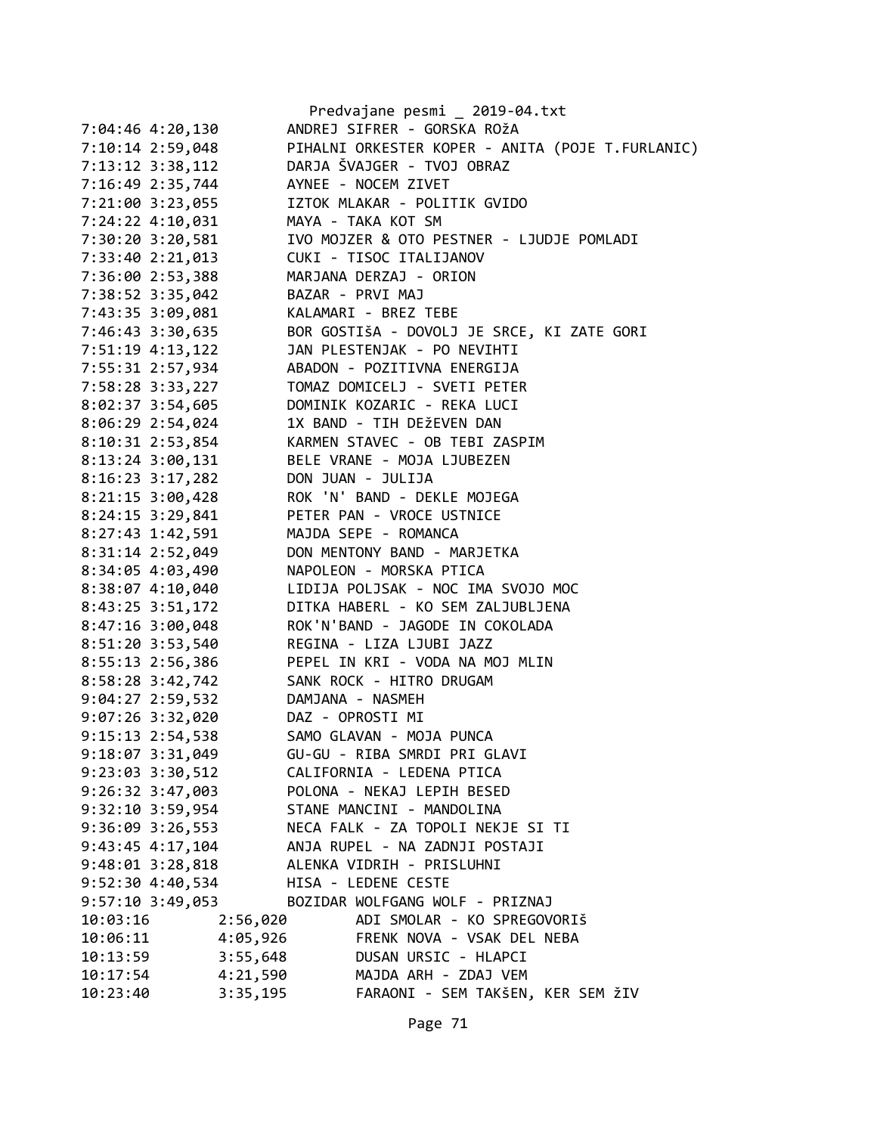|                      | Predvajane pesmi _ 2019-04.txt                   |
|----------------------|--------------------------------------------------|
| 7:04:46 4:20,130     | ANDREJ SIFRER - GORSKA ROŽA                      |
| 7:10:14 2:59,048     | PIHALNI ORKESTER KOPER - ANITA (POJE T.FURLANIC) |
| 7:13:12 3:38,112     | DARJA ŠVAJGER - TVOJ OBRAZ                       |
| 7:16:49 2:35,744     | AYNEE - NOCEM ZIVET                              |
| 7:21:00 3:23,055     | IZTOK MLAKAR - POLITIK GVIDO                     |
| 7:24:22 4:10,031     | MAYA - TAKA KOT SM                               |
| 7:30:20 3:20,581     | IVO MOJZER & OTO PESTNER - LJUDJE POMLADI        |
| 7:33:40 2:21,013     | CUKI - TISOC ITALIJANOV                          |
| 7:36:00 2:53,388     | MARJANA DERZAJ - ORION                           |
| 7:38:52 3:35,042     | BAZAR - PRVI MAJ                                 |
| 7:43:35 3:09,081     | KALAMARI - BREZ TEBE                             |
| 7:46:43 3:30,635     | BOR GOSTIŠA - DOVOLJ JE SRCE, KI ZATE GORI       |
| 7:51:19 4:13,122     | JAN PLESTENJAK - PO NEVIHTI                      |
| 7:55:31 2:57,934     | ABADON - POZITIVNA ENERGIJA                      |
| 7:58:28 3:33,227     | TOMAZ DOMICELJ - SVETI PETER                     |
| 8:02:37 3:54,605     | DOMINIK KOZARIC - REKA LUCI                      |
| 8:06:29 2:54,024     | 1X BAND - TIH DEŽEVEN DAN                        |
| 8:10:31 2:53,854     | KARMEN STAVEC - OB TEBI ZASPIM                   |
| 8:13:24 3:00,131     | BELE VRANE - MOJA LJUBEZEN                       |
| 8:16:23 3:17,282     | DON JUAN - JULIJA                                |
| $8:21:15$ 3:00,428   | ROK 'N' BAND - DEKLE MOJEGA                      |
| 8:24:15 3:29,841     | PETER PAN - VROCE USTNICE                        |
|                      | MAJDA SEPE - ROMANCA                             |
| 8:27:43 1:42,591     |                                                  |
| 8:31:14 2:52,049     | DON MENTONY BAND - MARJETKA                      |
| 8:34:05 4:03,490     | NAPOLEON - MORSKA PTICA                          |
| $8:38:07$ 4:10,040   | LIDIJA POLJSAK - NOC IMA SVOJO MOC               |
| $8:43:25$ 3:51,172   | DITKA HABERL - KO SEM ZALJUBLJENA                |
| $8:47:16$ 3:00,048   | ROK'N'BAND - JAGODE IN COKOLADA                  |
| 8:51:20 3:53,540     | REGINA - LIZA LJUBI JAZZ                         |
| $8:55:13$ 2:56,386   | PEPEL IN KRI - VODA NA MOJ MLIN                  |
| 8:58:28 3:42,742     | SANK ROCK - HITRO DRUGAM                         |
| $9:04:27$ 2:59,532   | DAMJANA - NASMEH                                 |
| $9:07:26$ 3:32,020   | DAZ - OPROSTI MI                                 |
| $9:15:13$ $2:54,538$ | SAMO GLAVAN - MOJA PUNCA                         |
| $9:18:07$ 3:31,049   | GU-GU - RIBA SMRDI PRI GLAVI                     |
| $9:23:03$ $3:30,512$ | CALIFORNIA - LEDENA PTICA                        |
| $9:26:32$ $3:47,003$ | POLONA - NEKAJ LEPIH BESED                       |
| $9:32:10$ 3:59,954   | STANE MANCINI - MANDOLINA                        |
| $9:36:09$ $3:26,553$ | NECA FALK - ZA TOPOLI NEKJE SI TI                |
| $9:43:45$ $4:17,104$ | ANJA RUPEL - NA ZADNJI POSTAJI                   |
| $9:48:01$ $3:28,818$ | ALENKA VIDRIH - PRISLUHNI                        |
| 9:52:30 4:40,534     | HISA - LEDENE CESTE                              |
| $9:57:10$ 3:49,053   | BOZIDAR WOLFGANG WOLF - PRIZNAJ                  |
| 10:03:16<br>2:56,020 | ADI SMOLAR - KO SPREGOVORIŠ                      |
| 4:05,926<br>10:06:11 | FRENK NOVA - VSAK DEL NEBA                       |
| 3:55,648<br>10:13:59 | DUSAN URSIC - HLAPCI                             |
| 4:21,590<br>10:17:54 | MAJDA ARH - ZDAJ VEM                             |
| 10:23:40<br>3:35,195 | FARAONI - SEM TAKŠEN, KER SEM ŽIV                |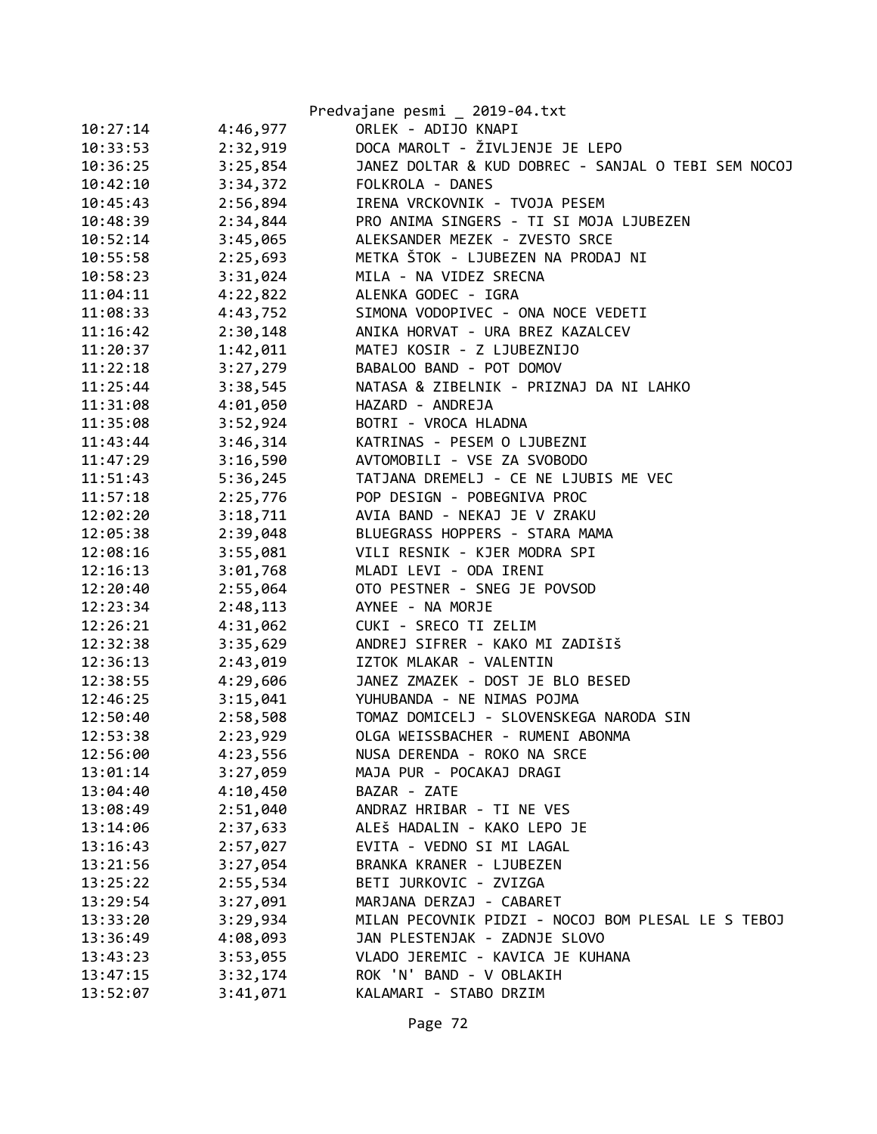|          |          | Predvajane pesmi _ 2019-04.txt                      |
|----------|----------|-----------------------------------------------------|
| 10:27:14 | 4:46,977 | ORLEK - ADIJO KNAPI                                 |
| 10:33:53 | 2:32,919 | DOCA MAROLT - ŽIVLJENJE JE LEPO                     |
| 10:36:25 | 3:25,854 | JANEZ DOLTAR & KUD DOBREC - SANJAL O TEBI SEM NOCOJ |
| 10:42:10 |          | 3:34,372 FOLKROLA - DANES                           |
| 10:45:43 |          | 2:56,894 IRENA VRCKOVNIK - TVOJA PESEM              |
| 10:48:39 |          | 2:34,844 PRO ANIMA SINGERS - TI SI MOJA LJUBEZEN    |
| 10:52:14 | 3:45,065 | ALEKSANDER MEZEK - ZVESTO SRCE                      |
| 10:55:58 | 2:25,693 | METKA ŠTOK - LJUBEZEN NA PRODAJ NI                  |
| 10:58:23 | 3:31,024 | MILA - NA VIDEZ SRECNA                              |
| 11:04:11 |          | 4:22,822 ALENKA GODEC - IGRA                        |
| 11:08:33 |          | 4:43,752 SIMONA VODOPIVEC - ONA NOCE VEDETI         |
| 11:16:42 | 2:30,148 | ANIKA HORVAT - URA BREZ KAZALCEV                    |
| 11:20:37 | 1:42,011 | MATEJ KOSIR - Z LJUBEZNIJO                          |
| 11:22:18 | 3:27,279 | BABALOO BAND - POT DOMOV                            |
| 11:25:44 | 3:38,545 | NATASA & ZIBELNIK - PRIZNAJ DA NI LAHKO             |
| 11:31:08 | 4:01,050 | HAZARD - ANDREJA                                    |
| 11:35:08 |          | 3:52,924 BOTRI - VROCA HLADNA                       |
| 11:43:44 |          | 3:46,314 KATRINAS - PESEM O LJUBEZNI                |
| 11:47:29 |          | 3:16,590 AVTOMOBILI - VSE ZA SVOBODO                |
| 11:51:43 |          | 5:36,245 TATJANA DREMELJ - CE NE LJUBIS ME VEC      |
| 11:57:18 | 2:25,776 | POP DESIGN - POBEGNIVA PROC                         |
| 12:02:20 | 3:18,711 | AVIA BAND - NEKAJ JE V ZRAKU                        |
| 12:05:38 | 2:39,048 | BLUEGRASS HOPPERS - STARA MAMA                      |
| 12:08:16 | 3:55,081 | VILI RESNIK - KJER MODRA SPI                        |
| 12:16:13 |          | 3:01,768 MLADI LEVI - ODA IRENI                     |
| 12:20:40 |          | 2:55,064 OTO PESTNER - SNEG JE POVSOD               |
| 12:23:34 | 2:48,113 | AYNEE - NA MORJE                                    |
| 12:26:21 | 4:31,062 | CUKI - SRECO TI ZELIM                               |
| 12:32:38 | 3:35,629 | ANDREJ SIFRER - KAKO MI ZADIŠIŠ                     |
| 12:36:13 | 2:43,019 | IZTOK MLAKAR - VALENTIN                             |
| 12:38:55 | 4:29,606 | JANEZ ZMAZEK - DOST JE BLO BESED                    |
| 12:46:25 |          | 3:15,041 YUHUBANDA - NE NIMAS POJMA                 |
| 12:50:40 |          | 2:58,508 TOMAZ DOMICELJ - SLOVENSKEGA NARODA SIN    |
| 12:53:38 | 2:23,929 | OLGA WEISSBACHER - RUMENI ABONMA                    |
| 12:56:00 | 4:23,556 | NUSA DERENDA - ROKO NA SRCE                         |
| 13:01:14 | 3:27,059 | MAJA PUR - POCAKAJ DRAGI                            |
| 13:04:40 | 4:10,450 | BAZAR - ZATE                                        |
| 13:08:49 | 2:51,040 | ANDRAZ HRIBAR - TI NE VES                           |
| 13:14:06 | 2:37,633 | ALEŠ HADALIN - KAKO LEPO JE                         |
| 13:16:43 | 2:57,027 | EVITA - VEDNO SI MI LAGAL                           |
| 13:21:56 | 3:27,054 | BRANKA KRANER - LJUBEZEN                            |
| 13:25:22 | 2:55,534 | BETI JURKOVIC - ZVIZGA                              |
| 13:29:54 | 3:27,091 | MARJANA DERZAJ - CABARET                            |
| 13:33:20 | 3:29,934 | MILAN PECOVNIK PIDZI - NOCOJ BOM PLESAL LE S TEBOJ  |
| 13:36:49 | 4:08,093 | JAN PLESTENJAK - ZADNJE SLOVO                       |
| 13:43:23 | 3:53,055 | VLADO JEREMIC - KAVICA JE KUHANA                    |
| 13:47:15 | 3:32,174 | ROK 'N' BAND - V OBLAKIH                            |
| 13:52:07 | 3:41,071 | KALAMARI - STABO DRZIM                              |
|          |          |                                                     |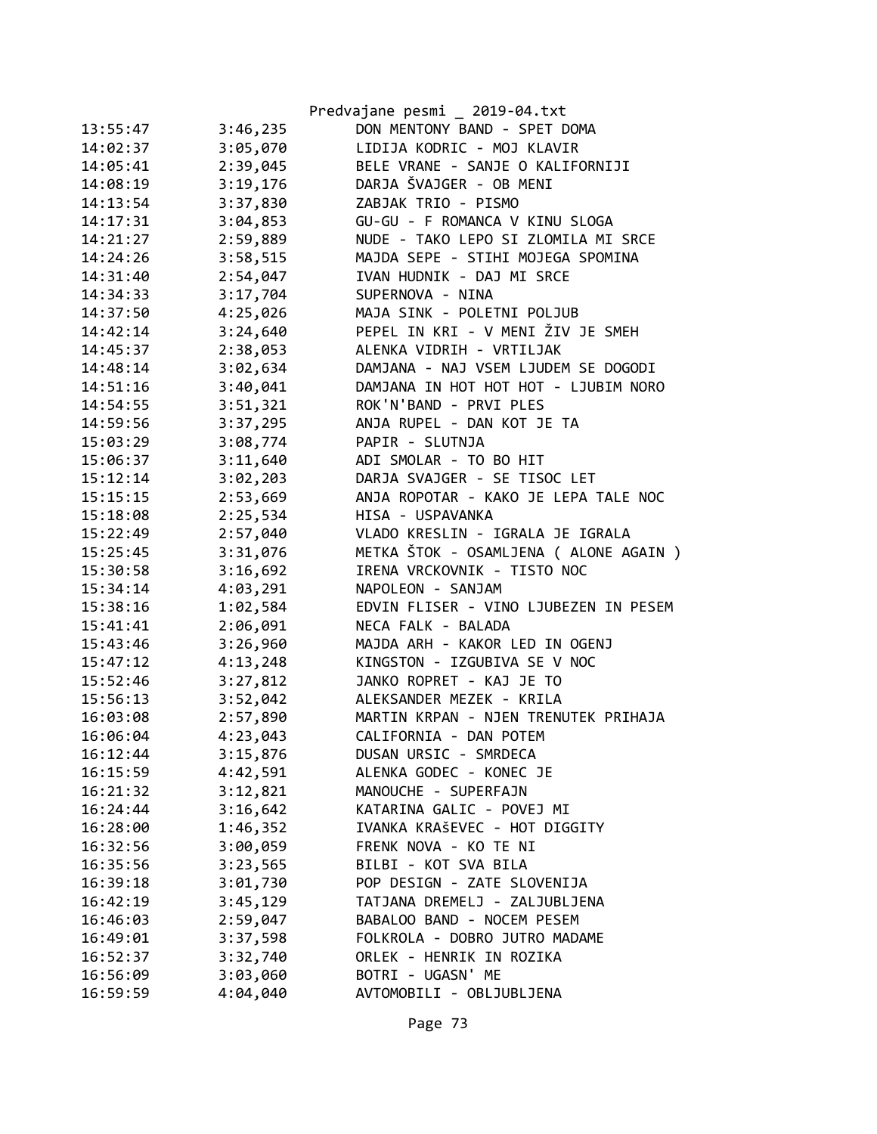|          |          | Predvajane pesmi _ 2019-04.txt         |
|----------|----------|----------------------------------------|
| 13:55:47 | 3:46,235 | DON MENTONY BAND - SPET DOMA           |
| 14:02:37 | 3:05,070 | LIDIJA KODRIC - MOJ KLAVIR             |
| 14:05:41 | 2:39,045 | BELE VRANE - SANJE O KALIFORNIJI       |
| 14:08:19 | 3:19,176 | DARJA ŠVAJGER - OB MENI                |
| 14:13:54 | 3:37,830 | ZABJAK TRIO - PISMO                    |
| 14:17:31 | 3:04,853 | GU-GU - F ROMANCA V KINU SLOGA         |
| 14:21:27 | 2:59,889 | NUDE - TAKO LEPO SI ZLOMILA MI SRCE    |
| 14:24:26 | 3:58,515 | MAJDA SEPE - STIHI MOJEGA SPOMINA      |
| 14:31:40 | 2:54,047 | IVAN HUDNIK - DAJ MI SRCE              |
| 14:34:33 | 3:17,704 | SUPERNOVA - NINA                       |
| 14:37:50 | 4:25,026 | MAJA SINK - POLETNI POLJUB             |
| 14:42:14 | 3:24,640 | PEPEL IN KRI - V MENI ŽIV JE SMEH      |
| 14:45:37 | 2:38,053 | ALENKA VIDRIH - VRTILJAK               |
| 14:48:14 | 3:02,634 | DAMJANA - NAJ VSEM LJUDEM SE DOGODI    |
| 14:51:16 | 3:40,041 | DAMJANA IN HOT HOT HOT - LJUBIM NORO   |
| 14:54:55 | 3:51,321 | ROK'N'BAND - PRVI PLES                 |
| 14:59:56 | 3:37,295 | ANJA RUPEL - DAN KOT JE TA             |
| 15:03:29 | 3:08,774 | PAPIR - SLUTNJA                        |
| 15:06:37 | 3:11,640 | ADI SMOLAR - TO BO HIT                 |
| 15:12:14 | 3:02,203 | DARJA SVAJGER - SE TISOC LET           |
| 15:15:15 | 2:53,669 | ANJA ROPOTAR - KAKO JE LEPA TALE NOC   |
| 15:18:08 | 2:25,534 | HISA - USPAVANKA                       |
| 15:22:49 | 2:57,040 | VLADO KRESLIN - IGRALA JE IGRALA       |
| 15:25:45 | 3:31,076 | METKA ŠTOK - OSAMLJENA ( ALONE AGAIN ) |
| 15:30:58 | 3:16,692 | IRENA VRCKOVNIK - TISTO NOC            |
| 15:34:14 | 4:03,291 | NAPOLEON - SANJAM                      |
| 15:38:16 | 1:02,584 | EDVIN FLISER - VINO LJUBEZEN IN PESEM  |
| 15:41:41 | 2:06,091 | NECA FALK - BALADA                     |
| 15:43:46 | 3:26,960 | MAJDA ARH - KAKOR LED IN OGENJ         |
| 15:47:12 | 4:13,248 | KINGSTON - IZGUBIVA SE V NOC           |
| 15:52:46 | 3:27,812 | JANKO ROPRET - KAJ JE TO               |
| 15:56:13 | 3:52,042 | ALEKSANDER MEZEK - KRILA               |
| 16:03:08 | 2:57,890 | MARTIN KRPAN - NJEN TRENUTEK PRIHAJA   |
| 16:06:04 | 4:23,043 | CALIFORNIA - DAN POTEM                 |
| 16:12:44 | 3:15,876 | DUSAN URSIC - SMRDECA                  |
| 16:15:59 | 4:42,591 | ALENKA GODEC - KONEC JE                |
| 16:21:32 | 3:12,821 | MANOUCHE - SUPERFAJN                   |
| 16:24:44 | 3:16,642 | KATARINA GALIC - POVEJ MI              |
| 16:28:00 | 1:46,352 | IVANKA KRAŠEVEC - HOT DIGGITY          |
| 16:32:56 | 3:00,059 | FRENK NOVA - KO TE NI                  |
| 16:35:56 | 3:23,565 | BILBI - KOT SVA BILA                   |
| 16:39:18 | 3:01,730 | POP DESIGN - ZATE SLOVENIJA            |
| 16:42:19 | 3:45,129 | TATJANA DREMELJ - ZALJUBLJENA          |
| 16:46:03 | 2:59,047 | BABALOO BAND - NOCEM PESEM             |
| 16:49:01 | 3:37,598 | FOLKROLA - DOBRO JUTRO MADAME          |
| 16:52:37 | 3:32,740 | ORLEK - HENRIK IN ROZIKA               |
| 16:56:09 | 3:03,060 | BOTRI - UGASN' ME                      |
| 16:59:59 | 4:04,040 | AVTOMOBILI - OBLJUBLJENA               |
|          |          |                                        |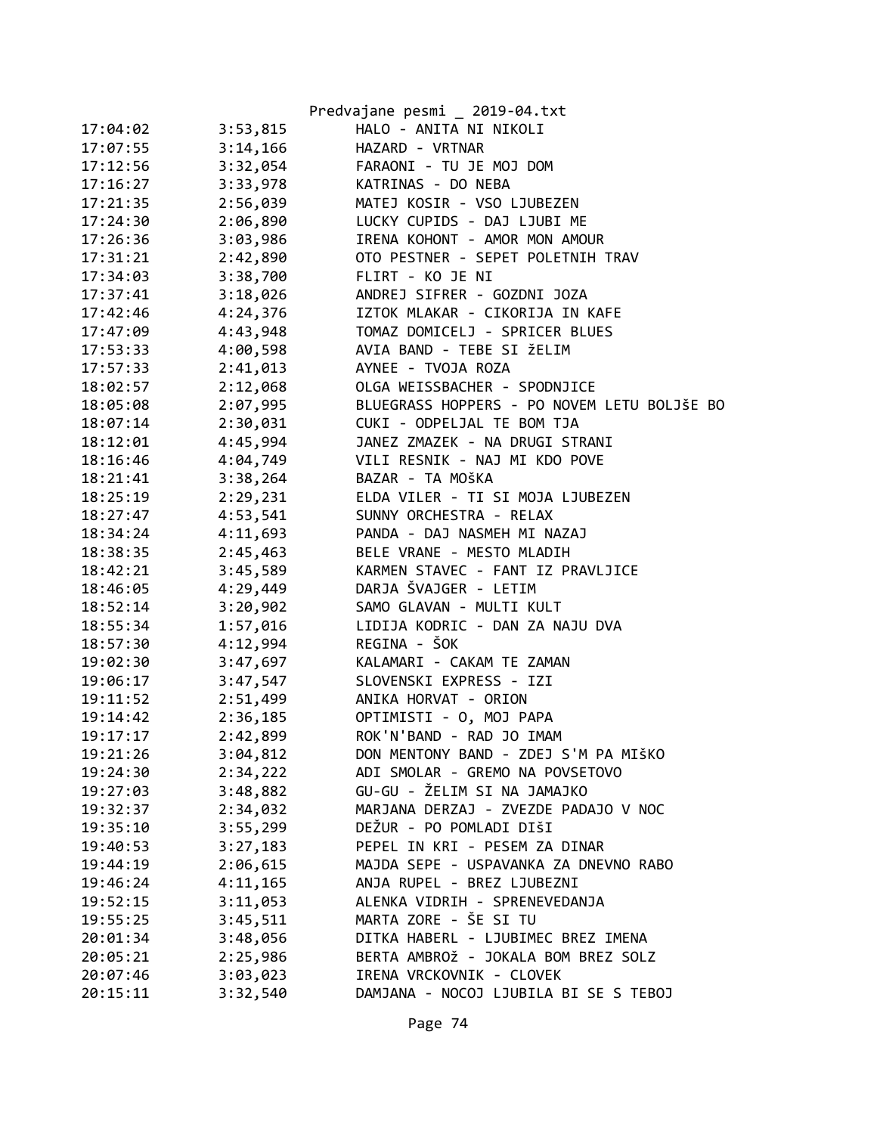|          |          | Predvajane pesmi _ 2019-04.txt              |
|----------|----------|---------------------------------------------|
| 17:04:02 | 3:53,815 | HALO - ANITA NI NIKOLI                      |
| 17:07:55 | 3:14,166 | HAZARD - VRTNAR                             |
| 17:12:56 | 3:32,054 | FARAONI - TU JE MOJ DOM                     |
| 17:16:27 | 3:33,978 | KATRINAS - DO NEBA                          |
| 17:21:35 | 2:56,039 | MATEJ KOSIR - VSO LJUBEZEN                  |
| 17:24:30 | 2:06,890 | LUCKY CUPIDS - DAJ LJUBI ME                 |
| 17:26:36 | 3:03,986 | IRENA KOHONT - AMOR MON AMOUR               |
| 17:31:21 | 2:42,890 | OTO PESTNER - SEPET POLETNIH TRAV           |
| 17:34:03 | 3:38,700 | FLIRT - KO JE NI                            |
| 17:37:41 | 3:18,026 | ANDREJ SIFRER - GOZDNI JOZA                 |
| 17:42:46 | 4:24,376 | IZTOK MLAKAR - CIKORIJA IN KAFE             |
| 17:47:09 | 4:43,948 | TOMAZ DOMICELJ - SPRICER BLUES              |
| 17:53:33 | 4:00,598 | AVIA BAND - TEBE SI ŽELIM                   |
| 17:57:33 | 2:41,013 | AYNEE - TVOJA ROZA                          |
| 18:02:57 | 2:12,068 | OLGA WEISSBACHER - SPODNJICE                |
| 18:05:08 | 2:07,995 | BLUEGRASS HOPPERS - PO NOVEM LETU BOLJŠE BO |
| 18:07:14 | 2:30,031 | CUKI - ODPELJAL TE BOM TJA                  |
| 18:12:01 | 4:45,994 | JANEZ ZMAZEK - NA DRUGI STRANI              |
| 18:16:46 | 4:04,749 | VILI RESNIK - NAJ MI KDO POVE               |
| 18:21:41 | 3:38,264 | BAZAR - TA MOŠKA                            |
| 18:25:19 | 2:29,231 | ELDA VILER - TI SI MOJA LJUBEZEN            |
| 18:27:47 | 4:53,541 | SUNNY ORCHESTRA - RELAX                     |
| 18:34:24 | 4:11,693 | PANDA - DAJ NASMEH MI NAZAJ                 |
| 18:38:35 | 2:45,463 | BELE VRANE - MESTO MLADIH                   |
| 18:42:21 | 3:45,589 | KARMEN STAVEC - FANT IZ PRAVLJICE           |
| 18:46:05 | 4:29,449 | DARJA ŠVAJGER - LETIM                       |
| 18:52:14 | 3:20,902 | SAMO GLAVAN - MULTI KULT                    |
| 18:55:34 | 1:57,016 | LIDIJA KODRIC - DAN ZA NAJU DVA             |
| 18:57:30 | 4:12,994 | REGINA - ŠOK                                |
| 19:02:30 | 3:47,697 | KALAMARI - CAKAM TE ZAMAN                   |
| 19:06:17 | 3:47,547 | SLOVENSKI EXPRESS - IZI                     |
| 19:11:52 | 2:51,499 | ANIKA HORVAT - ORION                        |
| 19:14:42 | 2:36,185 | OPTIMISTI - 0, MOJ PAPA                     |
| 19:17:17 | 2:42,899 | ROK'N'BAND - RAD JO IMAM                    |
| 19:21:26 | 3:04,812 | DON MENTONY BAND - ZDEJ S'M PA MIŠKO        |
| 19:24:30 | 2:34,222 | ADI SMOLAR - GREMO NA POVSETOVO             |
| 19:27:03 | 3:48,882 | GU-GU - ŽELIM SI NA JAMAJKO                 |
| 19:32:37 | 2:34,032 | MARJANA DERZAJ - ZVEZDE PADAJO V NOC        |
| 19:35:10 | 3:55,299 | DEŽUR - PO POMLADI DIŠI                     |
| 19:40:53 | 3:27,183 | PEPEL IN KRI - PESEM ZA DINAR               |
| 19:44:19 | 2:06,615 | MAJDA SEPE - USPAVANKA ZA DNEVNO RABO       |
| 19:46:24 | 4:11,165 | ANJA RUPEL - BREZ LJUBEZNI                  |
| 19:52:15 | 3:11,053 | ALENKA VIDRIH - SPRENEVEDANJA               |
| 19:55:25 |          | MARTA ZORE - ŠE SI TU                       |
|          | 3:45,511 | DITKA HABERL - LJUBIMEC BREZ IMENA          |
| 20:01:34 | 3:48,056 | BERTA AMBROŽ - JOKALA BOM BREZ SOLZ         |
| 20:05:21 | 2:25,986 | IRENA VRCKOVNIK - CLOVEK                    |
| 20:07:46 | 3:03,023 | DAMJANA - NOCOJ LJUBILA BI SE S TEBOJ       |
| 20:15:11 | 3:32,540 |                                             |
|          |          |                                             |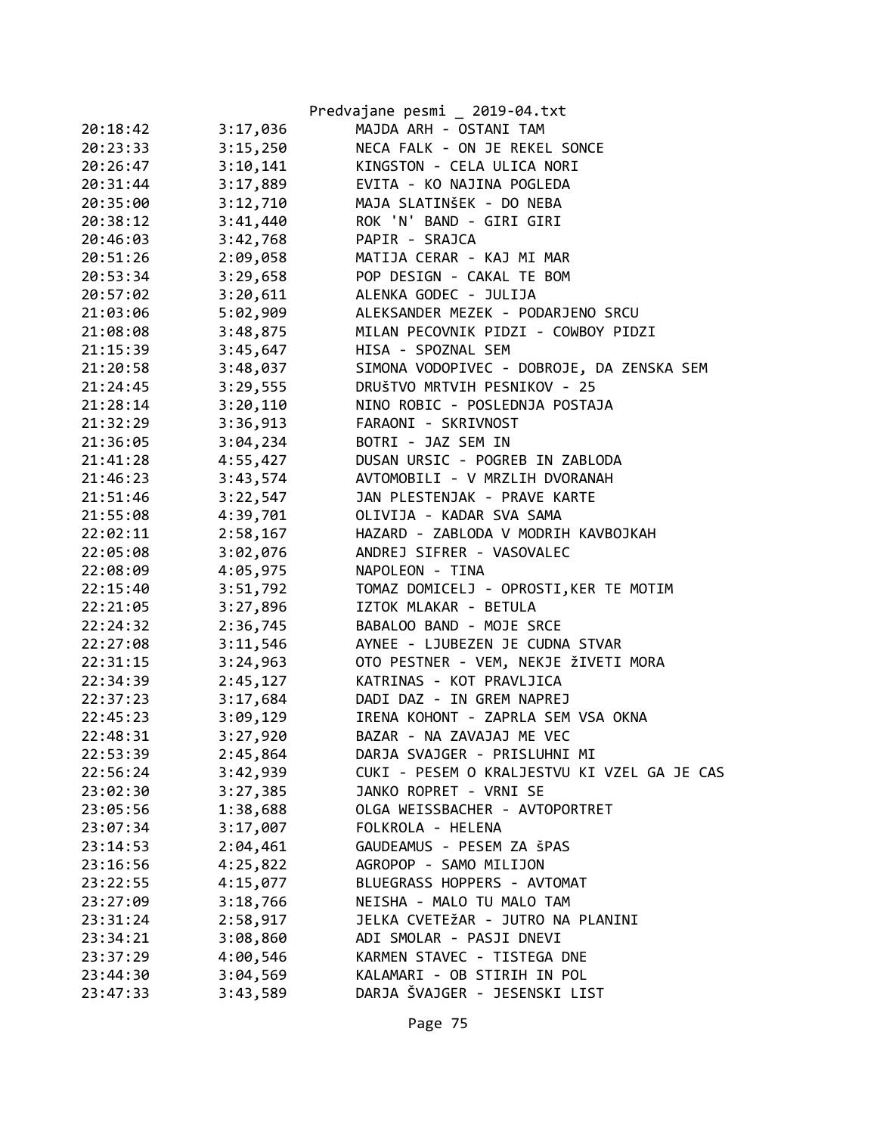|          |          | Predvajane pesmi _ 2019-04.txt              |
|----------|----------|---------------------------------------------|
| 20:18:42 | 3:17,036 | MAJDA ARH - OSTANI TAM                      |
| 20:23:33 | 3:15,250 | NECA FALK - ON JE REKEL SONCE               |
| 20:26:47 | 3:10,141 | KINGSTON - CELA ULICA NORI                  |
| 20:31:44 | 3:17,889 | EVITA - KO NAJINA POGLEDA                   |
| 20:35:00 | 3:12,710 | MAJA SLATINŠEK - DO NEBA                    |
| 20:38:12 | 3:41,440 | ROK 'N' BAND - GIRI GIRI                    |
| 20:46:03 | 3:42,768 | PAPIR - SRAJCA                              |
| 20:51:26 | 2:09,058 | MATIJA CERAR - KAJ MI MAR                   |
| 20:53:34 | 3:29,658 | POP DESIGN - CAKAL TE BOM                   |
| 20:57:02 | 3:20,611 | ALENKA GODEC - JULIJA                       |
| 21:03:06 | 5:02,909 | ALEKSANDER MEZEK - PODARJENO SRCU           |
| 21:08:08 | 3:48,875 | MILAN PECOVNIK PIDZI - COWBOY PIDZI         |
| 21:15:39 | 3:45,647 | HISA - SPOZNAL SEM                          |
| 21:20:58 | 3:48,037 | SIMONA VODOPIVEC - DOBROJE, DA ZENSKA SEM   |
| 21:24:45 | 3:29,555 | DRUŠTVO MRTVIH PESNIKOV - 25                |
| 21:28:14 | 3:20,110 | NINO ROBIC - POSLEDNJA POSTAJA              |
| 21:32:29 | 3:36,913 | FARAONI - SKRIVNOST                         |
| 21:36:05 | 3:04,234 | BOTRI - JAZ SEM IN                          |
| 21:41:28 | 4:55,427 | DUSAN URSIC - POGREB IN ZABLODA             |
| 21:46:23 | 3:43,574 | AVTOMOBILI - V MRZLIH DVORANAH              |
| 21:51:46 | 3:22,547 | JAN PLESTENJAK - PRAVE KARTE                |
| 21:55:08 | 4:39,701 | OLIVIJA - KADAR SVA SAMA                    |
| 22:02:11 | 2:58,167 | HAZARD - ZABLODA V MODRIH KAVBOJKAH         |
| 22:05:08 | 3:02,076 | ANDREJ SIFRER - VASOVALEC                   |
| 22:08:09 | 4:05,975 | NAPOLEON - TINA                             |
| 22:15:40 | 3:51,792 | TOMAZ DOMICELJ - OPROSTI, KER TE MOTIM      |
| 22:21:05 | 3:27,896 | IZTOK MLAKAR - BETULA                       |
| 22:24:32 | 2:36,745 | BABALOO BAND - MOJE SRCE                    |
| 22:27:08 | 3:11,546 | AYNEE - LJUBEZEN JE CUDNA STVAR             |
| 22:31:15 | 3:24,963 | OTO PESTNER - VEM, NEKJE ŽIVETI MORA        |
| 22:34:39 | 2:45,127 | KATRINAS - KOT PRAVLJICA                    |
| 22:37:23 | 3:17,684 | DADI DAZ - IN GREM NAPREJ                   |
| 22:45:23 | 3:09,129 | IRENA KOHONT - ZAPRLA SEM VSA OKNA          |
| 22:48:31 | 3:27,920 | BAZAR - NA ZAVAJAJ ME VEC                   |
| 22:53:39 | 2:45,864 | DARJA SVAJGER - PRISLUHNI MI                |
| 22:56:24 | 3:42,939 | CUKI - PESEM O KRALJESTVU KI VZEL GA JE CAS |
| 23:02:30 | 3:27,385 | JANKO ROPRET - VRNI SE                      |
| 23:05:56 | 1:38,688 | OLGA WEISSBACHER - AVTOPORTRET              |
| 23:07:34 | 3:17,007 | FOLKROLA - HELENA                           |
| 23:14:53 | 2:04,461 | GAUDEAMUS - PESEM ZA ŠPAS                   |
| 23:16:56 | 4:25,822 | AGROPOP - SAMO MILIJON                      |
| 23:22:55 | 4:15,077 | BLUEGRASS HOPPERS - AVTOMAT                 |
| 23:27:09 | 3:18,766 | NEISHA - MALO TU MALO TAM                   |
| 23:31:24 | 2:58,917 | JELKA CVETEŽAR - JUTRO NA PLANINI           |
| 23:34:21 | 3:08,860 | ADI SMOLAR - PASJI DNEVI                    |
| 23:37:29 | 4:00,546 | KARMEN STAVEC - TISTEGA DNE                 |
| 23:44:30 | 3:04,569 | KALAMARI - OB STIRIH IN POL                 |
| 23:47:33 | 3:43,589 | DARJA ŠVAJGER - JESENSKI LIST               |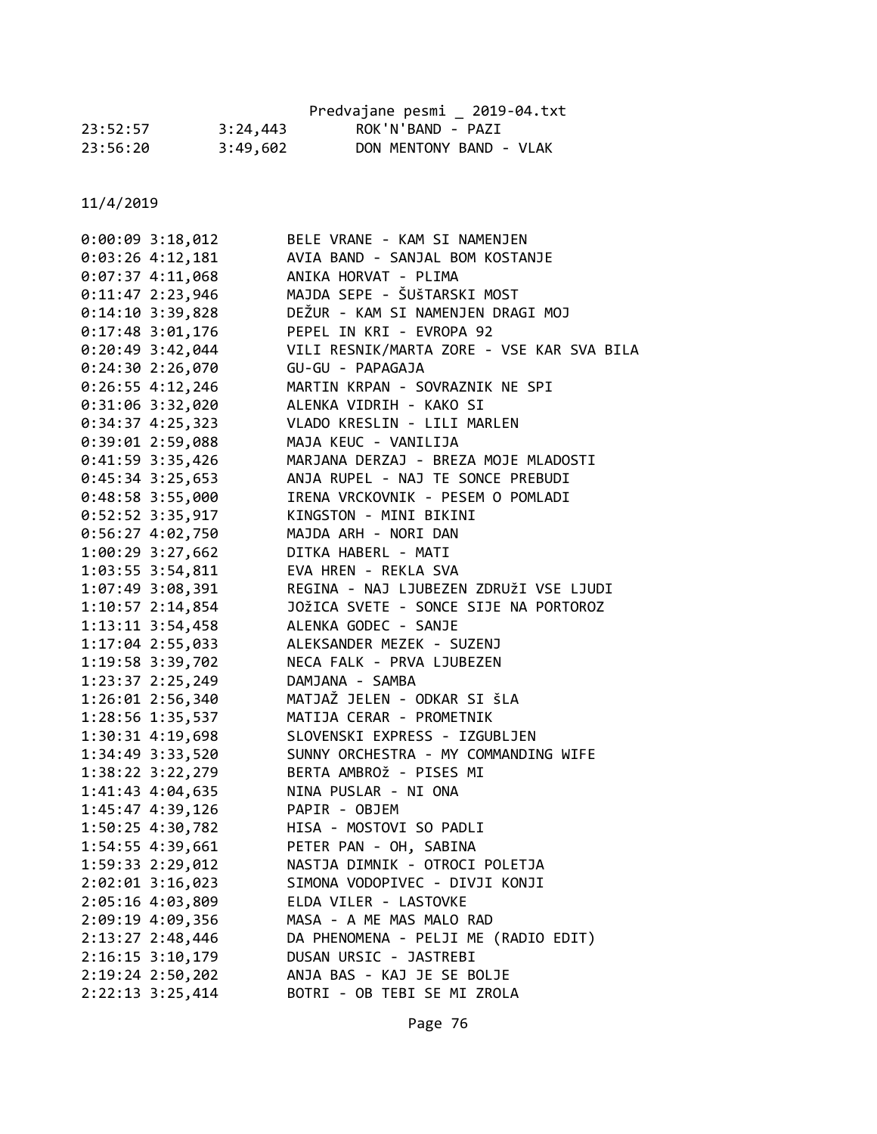|          |          | Predvajane pesmi 2019-04.txt |  |
|----------|----------|------------------------------|--|
| 23:52:57 | 3:24,443 | ROK'N'BAND - PAZI            |  |
| 23:56:20 | 3:49,602 | DON MENTONY BAND - VLAK      |  |

| $0:00:09$ 3:18,012   | BELE VRANE - KAM SI NAMENJEN              |
|----------------------|-------------------------------------------|
| $0:03:26$ 4:12,181   | AVIA BAND - SANJAL BOM KOSTANJE           |
| $0:07:37$ 4:11,068   | ANIKA HORVAT - PLIMA                      |
| $0:11:47$ 2:23,946   | MAJDA SEPE - ŠUŠTARSKI MOST               |
| $0:14:10$ 3:39,828   | DEŽUR - KAM SI NAMENJEN DRAGI MOJ         |
| $0:17:48$ 3:01,176   | PEPEL IN KRI - EVROPA 92                  |
| 0:20:49 3:42,044     | VILI RESNIK/MARTA ZORE - VSE KAR SVA BILA |
| 0:24:302:26,070      | GU-GU - PAPAGAJA                          |
| $0:26:55$ 4:12,246   | MARTIN KRPAN - SOVRAZNIK NE SPI           |
| $0:31:06$ 3:32,020   | ALENKA VIDRIH - KAKO SI                   |
| $0:34:37$ 4:25,323   | VLADO KRESLIN - LILI MARLEN               |
| $0:39:01$ 2:59,088   | MAJA KEUC - VANILIJA                      |
| 0:41:59 3:35,426     | MARJANA DERZAJ - BREZA MOJE MLADOSTI      |
| 0:45:34 3:25,653     | ANJA RUPEL - NAJ TE SONCE PREBUDI         |
| 0:48:58 3:55,000     | IRENA VRCKOVNIK - PESEM O POMLADI         |
| 0:52:52 3:35,917     | KINGSTON - MINI BIKINI                    |
| $0:56:27$ 4:02,750   | MAJDA ARH - NORI DAN                      |
| 1:00:29 3:27,662     | DITKA HABERL - MATI                       |
| $1:03:55$ $3:54,811$ | EVA HREN - REKLA SVA                      |
| 1:07:49 3:08,391     | REGINA - NAJ LJUBEZEN ZDRUŽI VSE LJUDI    |
| 1:10:57 2:14,854     | JOŽICA SVETE - SONCE SIJE NA PORTOROZ     |
| 1:13:11 3:54,458     | ALENKA GODEC - SANJE                      |
| 1:17:04 2:55,033     | ALEKSANDER MEZEK - SUZENJ                 |
| 1:19:58 3:39,702     | NECA FALK - PRVA LJUBEZEN                 |
| 1:23:37 2:25,249     | DAMJANA - SAMBA                           |
| 1:26:01 2:56,340     | MATJAŽ JELEN - ODKAR SI ŠLA               |
| 1:28:56 1:35,537     | MATIJA CERAR - PROMETNIK                  |
| 1:30:31 4:19,698     | SLOVENSKI EXPRESS - IZGUBLJEN             |
| 1:34:49 3:33,520     | SUNNY ORCHESTRA - MY COMMANDING WIFE      |
| 1:38:22 3:22,279     | BERTA AMBROŽ - PISES MI                   |
| 1:41:43 4:04,635     | NINA PUSLAR - NI ONA                      |
| 1:45:47 4:39,126     | PAPIR - OBJEM                             |
| 1:50:25 4:30,782     | HISA - MOSTOVI SO PADLI                   |
| $1:54:55$ $4:39,661$ | PETER PAN - OH, SABINA                    |
| 1:59:33 2:29,012     | NASTJA DIMNIK - OTROCI POLETJA            |
| 2:02:01 3:16,023     | SIMONA VODOPIVEC - DIVJI KONJI            |
| 2:05:16 4:03,809     | ELDA VILER - LASTOVKE                     |
| 2:09:19 4:09,356     | MASA - A ME MAS MALO RAD                  |
| 2:13:27 2:48,446     | DA PHENOMENA - PELJI ME (RADIO EDIT)      |
| $2:16:15$ 3:10,179   | DUSAN URSIC - JASTREBI                    |
| $2:19:24$ $2:50,202$ | ANJA BAS - KAJ JE SE BOLJE                |
| 2:22:13 3:25,414     | BOTRI - OB TEBI SE MI ZROLA               |
|                      |                                           |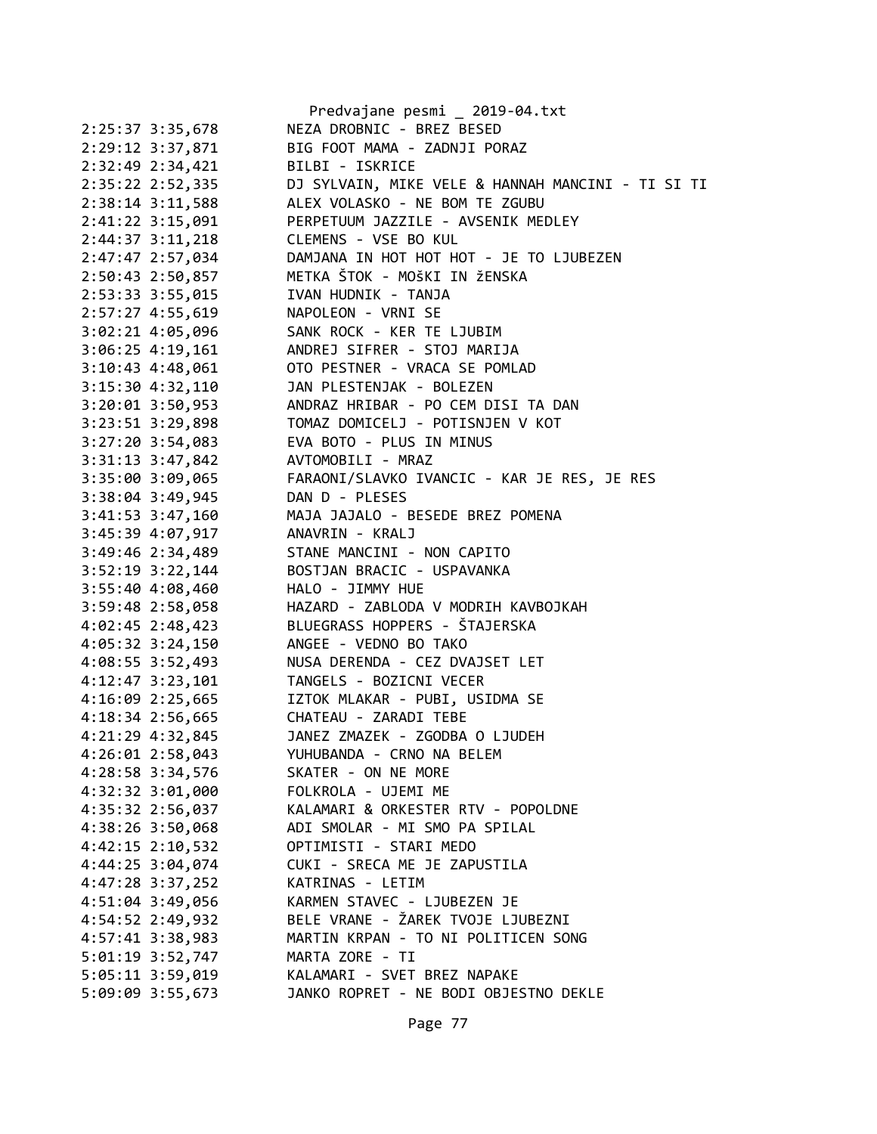|                                        | Predvajane pesmi _ 2019-04.txt                    |
|----------------------------------------|---------------------------------------------------|
| 2:25:37 3:35,678                       | NEZA DROBNIC - BREZ BESED                         |
| 2:29:12 3:37,871                       | BIG FOOT MAMA - ZADNJI PORAZ                      |
| 2:32:49 2:34,421                       | BILBI - ISKRICE                                   |
| 2:35:22 2:52,335                       | DJ SYLVAIN, MIKE VELE & HANNAH MANCINI - TI SI TI |
| $2:38:14$ 3:11,588                     | ALEX VOLASKO - NE BOM TE ZGUBU                    |
| 2:41:22 3:15,091                       | PERPETUUM JAZZILE - AVSENIK MEDLEY                |
| $2:44:37$ $3:11,218$                   | CLEMENS - VSE BO KUL                              |
| 2:47:47 2:57,034                       | DAMJANA IN HOT HOT HOT - JE TO LJUBEZEN           |
| 2:50:43 2:50,857                       | METKA ŠTOK - MOŠKI IN ŽENSKA                      |
| 2:53:33 3:55,015                       | IVAN HUDNIK - TANJA                               |
| 2:57:27 4:55,619                       | NAPOLEON - VRNI SE                                |
|                                        |                                                   |
| 3:02:21 4:05,096                       | SANK ROCK - KER TE LJUBIM                         |
| $3:06:25$ 4:19,161                     | ANDREJ SIFRER - STOJ MARIJA                       |
| $3:10:43$ 4:48,061                     | OTO PESTNER - VRACA SE POMLAD                     |
| $3:15:30$ 4:32,110                     | JAN PLESTENJAK - BOLEZEN                          |
| $3:20:01$ $3:50,953$                   | ANDRAZ HRIBAR - PO CEM DISI TA DAN                |
| 3:23:51 3:29,898                       | TOMAZ DOMICELJ - POTISNJEN V KOT                  |
| $3:27:20$ $3:54,083$                   | EVA BOTO - PLUS IN MINUS                          |
| 3:31:13 3:47,842 AVTOMOBILI - MRAZ     |                                                   |
| 3:35:00 3:09,065                       | FARAONI/SLAVKO IVANCIC - KAR JE RES, JE RES       |
| $3:38:04$ 3:49,945                     | DAN D - PLESES                                    |
| $3:41:53$ $3:47,160$                   | MAJA JAJALO - BESEDE BREZ POMENA                  |
| 3:45:39 4:07,917                       | ANAVRIN - KRALJ                                   |
| 3:49:46 2:34,489                       | STANE MANCINI - NON CAPITO                        |
| $3:52:19$ $3:22,144$                   | BOSTJAN BRACIC - USPAVANKA                        |
| 3:55:404:08,460                        | HALO - JIMMY HUE                                  |
| $3:59:48$ 2:58,058                     | HAZARD - ZABLODA V MODRIH KAVBOJKAH               |
| 4:02:45 2:48,423                       | BLUEGRASS HOPPERS - ŠTAJERSKA                     |
| 4:05:32 3:24,150                       | ANGEE - VEDNO BO TAKO                             |
| 4:08:55 3:52,493                       | NUSA DERENDA - CEZ DVAJSET LET                    |
|                                        | 4:12:47 3:23,101 TANGELS - BOZICNI VECER          |
|                                        | 4:16:09 2:25,665 IZTOK MLAKAR - PUBI, USIDMA SE   |
| 4:18:34 2:56,665 CHATEAU - ZARADI TEBE |                                                   |
| 4:21:29 4:32,845                       | JANEZ ZMAZEK - ZGODBA O LJUDEH                    |
| 4:26:01 2:58,043                       | YUHUBANDA - CRNO NA BELEM                         |
| 4:28:58 3:34,576                       | SKATER - ON NE MORE                               |
| 4:32:32 3:01,000                       | FOLKROLA - UJEMI ME                               |
| 4:35:32 2:56,037                       | KALAMARI & ORKESTER RTV - POPOLDNE                |
| 4:38:26 3:50,068                       | ADI SMOLAR - MI SMO PA SPILAL                     |
| $4:42:15$ $2:10,532$                   | OPTIMISTI - STARI MEDO                            |
|                                        | CUKI - SRECA ME JE ZAPUSTILA                      |
| 4:44:25 3:04,074                       |                                                   |
| 4:47:28 3:37,252                       | KATRINAS - LETIM                                  |
| 4:51:04 3:49,056                       | KARMEN STAVEC - LJUBEZEN JE                       |
| 4:54:52 2:49,932                       | BELE VRANE - ŽAREK TVOJE LJUBEZNI                 |
| 4:57:41 3:38,983                       | MARTIN KRPAN - TO NI POLITICEN SONG               |
| 5:01:19 3:52,747                       | MARTA ZORE - TI                                   |
| 5:05:11 3:59,019                       | KALAMARI - SVET BREZ NAPAKE                       |
| 5:09:09 3:55,673                       | JANKO ROPRET - NE BODI OBJESTNO DEKLE             |
|                                        |                                                   |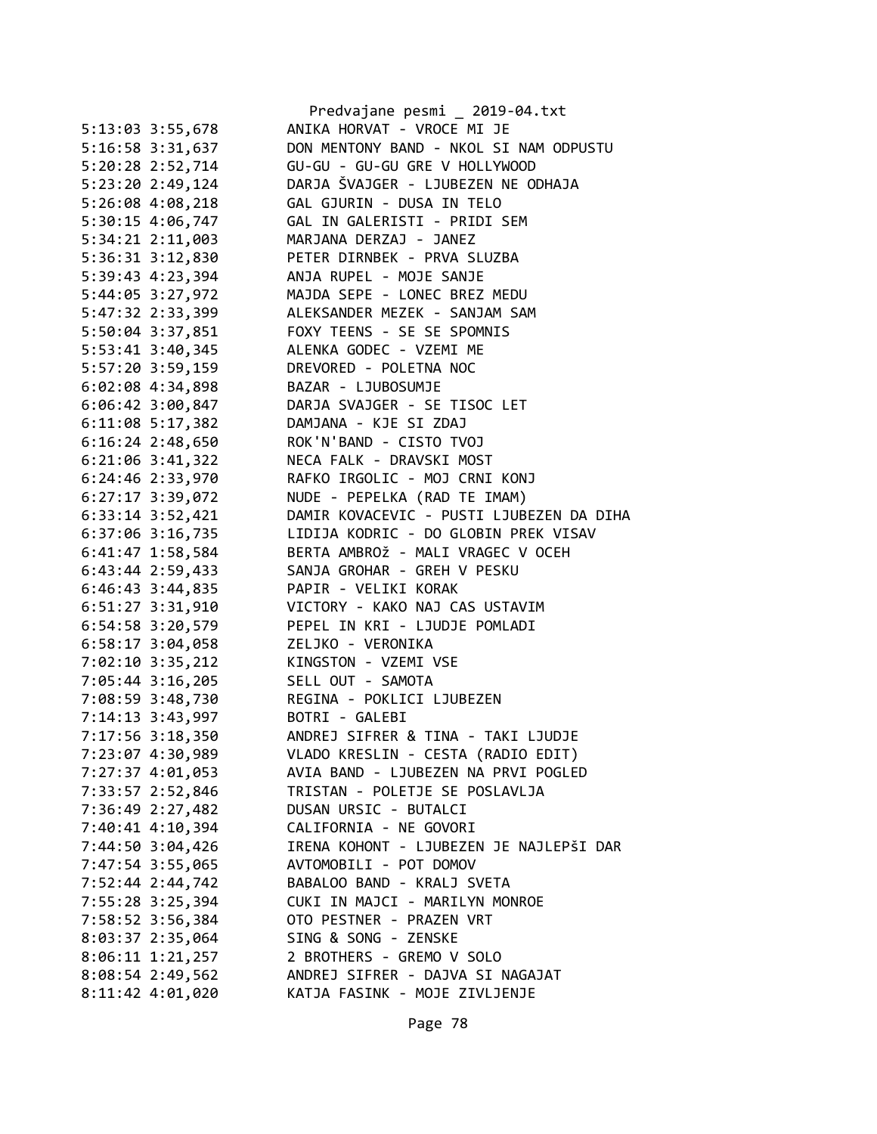|                      | Predvajane pesmi _ 2019-04.txt                         |
|----------------------|--------------------------------------------------------|
| 5:13:03 3:55,678     | ANIKA HORVAT - VROCE MI JE                             |
| 5:16:58 3:31,637     | DON MENTONY BAND - NKOL SI NAM ODPUSTU                 |
| 5:20:28 2:52,714     | GU-GU - GU-GU GRE V HOLLYWOOD                          |
| 5:23:20 2:49,124     | DARJA ŠVAJGER - LJUBEZEN NE ODHAJA                     |
| 5:26:08 4:08,218     | GAL GJURIN - DUSA IN TELO                              |
| 5:30:15 4:06,747     | GAL IN GALERISTI - PRIDI SEM                           |
| 5:34:21 2:11,003     | MARJANA DERZAJ - JANEZ                                 |
| 5:36:31 3:12,830     | PETER DIRNBEK - PRVA SLUZBA                            |
| 5:39:43 4:23,394     | ANJA RUPEL - MOJE SANJE                                |
| 5:44:05 3:27,972     | MAJDA SEPE - LONEC BREZ MEDU                           |
| 5:47:32 2:33,399     | ALEKSANDER MEZEK - SANJAM SAM                          |
| 5:50:04 3:37,851     | FOXY TEENS - SE SE SPOMNIS                             |
| 5:53:41 3:40,345     | ALENKA GODEC - VZEMI ME                                |
| 5:57:20 3:59,159     | DREVORED - POLETNA NOC                                 |
| 6:02:08 4:34,898     | BAZAR - LJUBOSUMJE                                     |
| $6:06:42$ 3:00,847   | DARJA SVAJGER - SE TISOC LET                           |
| $6:11:08$ 5:17,382   | DAMJANA - KJE SI ZDAJ                                  |
| $6:16:24$ 2:48,650   | ROK'N'BAND - CISTO TVOJ                                |
| $6:21:06$ 3:41,322   | NECA FALK - DRAVSKI MOST                               |
| 6:24:46 2:33,970     | RAFKO IRGOLIC - MOJ CRNI KONJ                          |
|                      | NUDE - PEPELKA (RAD TE IMAM)                           |
| 6:27:17 3:39,072     | DAMIR KOVACEVIC - PUSTI LJUBEZEN DA DIHA               |
| 6:33:14 3:52,421     | LIDIJA KODRIC - DO GLOBIN PREK VISAV                   |
| 6:37:06 3:16,735     | BERTA AMBROŽ - MALI VRAGEC V OCEH                      |
| 6:41:47 1:58,584     |                                                        |
| $6:43:44$ 2:59,433   | SANJA GROHAR - GREH V PESKU                            |
| $6:46:43$ 3:44,835   | PAPIR - VELIKI KORAK<br>VICTORY - KAKO NAJ CAS USTAVIM |
| $6:51:27$ $3:31,910$ | PEPEL IN KRI - LJUDJE POMLADI                          |
| 6:54:58 3:20,579     |                                                        |
| 6:58:17 3:04,058     | ZELJKO - VERONIKA<br>KINGSTON - VZEMI VSE              |
| 7:02:10 3:35,212     |                                                        |
| 7:05:44 3:16,205     | SELL OUT - SAMOTA                                      |
| 7:08:59 3:48,730     | REGINA - POKLICI LJUBEZEN                              |
| 7:14:13 3:43,997     | BOTRI - GALEBI                                         |
| 7:17:56 3:18,350     | ANDREJ SIFRER & TINA - TAKI LJUDJE                     |
| 7:23:07 4:30,989     | VLADO KRESLIN - CESTA (RADIO EDIT)                     |
| 7:27:37 4:01,053     | AVIA BAND - LJUBEZEN NA PRVI POGLED                    |
| 7:33:57 2:52,846     | TRISTAN - POLETJE SE POSLAVLJA                         |
| 7:36:49 2:27,482     | DUSAN URSIC - BUTALCI                                  |
| 7:40:41 4:10,394     | CALIFORNIA - NE GOVORI                                 |
| 7:44:50 3:04,426     | IRENA KOHONT - LJUBEZEN JE NAJLEPŠI DAR                |
| 7:47:54 3:55,065     | AVTOMOBILI - POT DOMOV                                 |
| 7:52:44 2:44,742     | BABALOO BAND - KRALJ SVETA                             |
| 7:55:28 3:25,394     | CUKI IN MAJCI - MARILYN MONROE                         |
| 7:58:52 3:56,384     | OTO PESTNER - PRAZEN VRT                               |
| 8:03:37 2:35,064     | SING & SONG - ZENSKE                                   |
| 8:06:11 1:21,257     | 2 BROTHERS - GREMO V SOLO                              |
| 8:08:54 2:49,562     | ANDREJ SIFRER - DAJVA SI NAGAJAT                       |
| $8:11:42$ $4:01,020$ | KATJA FASINK - MOJE ZIVLJENJE                          |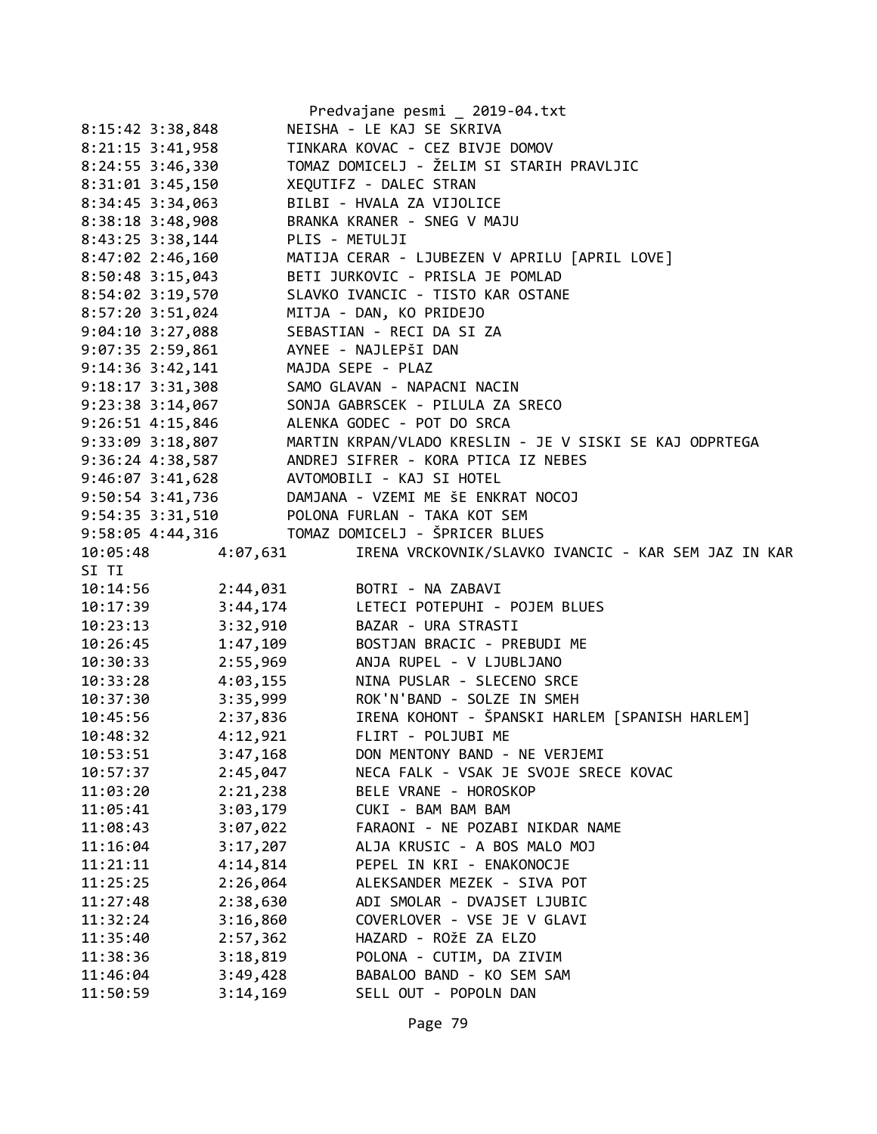|                      |          | Predvajane pesmi _ 2019-04.txt                                 |
|----------------------|----------|----------------------------------------------------------------|
| 8:15:42 3:38,848     |          | NEISHA - LE KAJ SE SKRIVA                                      |
| $8:21:15$ 3:41,958   |          | TINKARA KOVAC - CEZ BIVJE DOMOV                                |
| $8:24:55$ 3:46,330   |          | TOMAZ DOMICELJ - ŽELIM SI STARIH PRAVLJIC                      |
| 8:31:01 3:45,150     |          | XEQUTIFZ - DALEC STRAN                                         |
| 8:34:45 3:34,063     |          | BILBI - HVALA ZA VIJOLICE                                      |
| 8:38:18 3:48,908     |          | BRANKA KRANER - SNEG V MAJU                                    |
| 8:43:25 3:38,144     |          | PLIS - METULJI                                                 |
| $8:47:02$ 2:46,160   |          | MATIJA CERAR - LJUBEZEN V APRILU [APRIL LOVE]                  |
| $8:50:48$ 3:15,043   |          | BETI JURKOVIC - PRISLA JE POMLAD                               |
| 8:54:02 3:19,570     |          | SLAVKO IVANCIC - TISTO KAR OSTANE                              |
| 8:57:20 3:51,024     |          | MITJA - DAN, KO PRIDEJO                                        |
| $9:04:10$ 3:27,088   |          | SEBASTIAN - RECI DA SI ZA                                      |
| $9:07:35$ 2:59,861   |          | AYNEE - NAJLEPŠI DAN                                           |
| $9:14:36$ $3:42,141$ |          | MAJDA SEPE - PLAZ                                              |
| $9:18:17$ $3:31,308$ |          | SAMO GLAVAN - NAPACNI NACIN                                    |
| $9:23:38$ $3:14,067$ |          | SONJA GABRSCEK - PILULA ZA SRECO                               |
| $9:26:51$ $4:15,846$ |          | ALENKA GODEC - POT DO SRCA                                     |
| 9:33:09 3:18,807     |          | MARTIN KRPAN/VLADO KRESLIN - JE V SISKI SE KAJ ODPRTEGA        |
| 9:36:24 4:38,587     |          | ANDREJ SIFRER - KORA PTICA IZ NEBES                            |
| $9:46:07$ $3:41,628$ |          | AVTOMOBILI - KAJ SI HOTEL                                      |
|                      |          | 9:50:54 3:41,736 DAMJANA - VZEMI ME ŠE ENKRAT NOCOJ            |
|                      |          | 9:54:35 3:31,510 POLONA FURLAN - TAKA KOT SEM                  |
|                      |          |                                                                |
| 10:05:48             | 4:07,631 | IRENA VRCKOVNIK/SLAVKO IVANCIC - KAR SEM JAZ IN KAR            |
| SI TI                |          |                                                                |
|                      |          | 10:14:56   2:44,031   BOTRI - NA ZABAVI                        |
| 10:17:39             |          | 3:44,174 LETECI POTEPUHI - POJEM BLUES                         |
| 10:23:13             | 3:32,910 | BAZAR - URA STRASTI                                            |
| 10:26:45             | 1:47,109 | BOSTJAN BRACIC - PREBUDI ME                                    |
| 10:30:33             | 2:55,969 | ANJA RUPEL - V LJUBLJANO                                       |
| 10:33:28             | 4:03,155 | NINA PUSLAR - SLECENO SRCE                                     |
| 10:37:30             |          | 3:35,999 ROK'N'BAND - SOLZE IN SMEH                            |
| 10:45:56             |          | 2:37,836        IRENA KOHONT - ŠPANSKI HARLEM [SPANISH HARLEM] |
| 10:48:32             | 4:12,921 | FLIRT - POLJUBI ME                                             |
| 10:53:51             | 3:47,168 | DON MENTONY BAND - NE VERJEMI                                  |
| 10:57:37             | 2:45,047 | NECA FALK - VSAK JE SVOJE SRECE KOVAC                          |
| 11:03:20             | 2:21,238 | BELE VRANE - HOROSKOP                                          |
| 11:05:41             | 3:03,179 | CUKI - BAM BAM BAM                                             |
| 11:08:43             | 3:07,022 | FARAONI - NE POZABI NIKDAR NAME                                |
| 11:16:04             | 3:17,207 | ALJA KRUSIC - A BOS MALO MOJ                                   |
| 11:21:11             | 4:14,814 | PEPEL IN KRI - ENAKONOCJE                                      |
| 11:25:25             | 2:26,064 | ALEKSANDER MEZEK - SIVA POT                                    |
| 11:27:48             | 2:38,630 | ADI SMOLAR - DVAJSET LJUBIC                                    |
| 11:32:24             | 3:16,860 | COVERLOVER - VSE JE V GLAVI                                    |
| 11:35:40             | 2:57,362 | HAZARD - ROŽE ZA ELZO                                          |
| 11:38:36             | 3:18,819 | POLONA - CUTIM, DA ZIVIM                                       |
| 11:46:04             | 3:49,428 | BABALOO BAND - KO SEM SAM                                      |
| 11:50:59             | 3:14,169 | SELL OUT - POPOLN DAN                                          |
|                      |          |                                                                |
|                      |          |                                                                |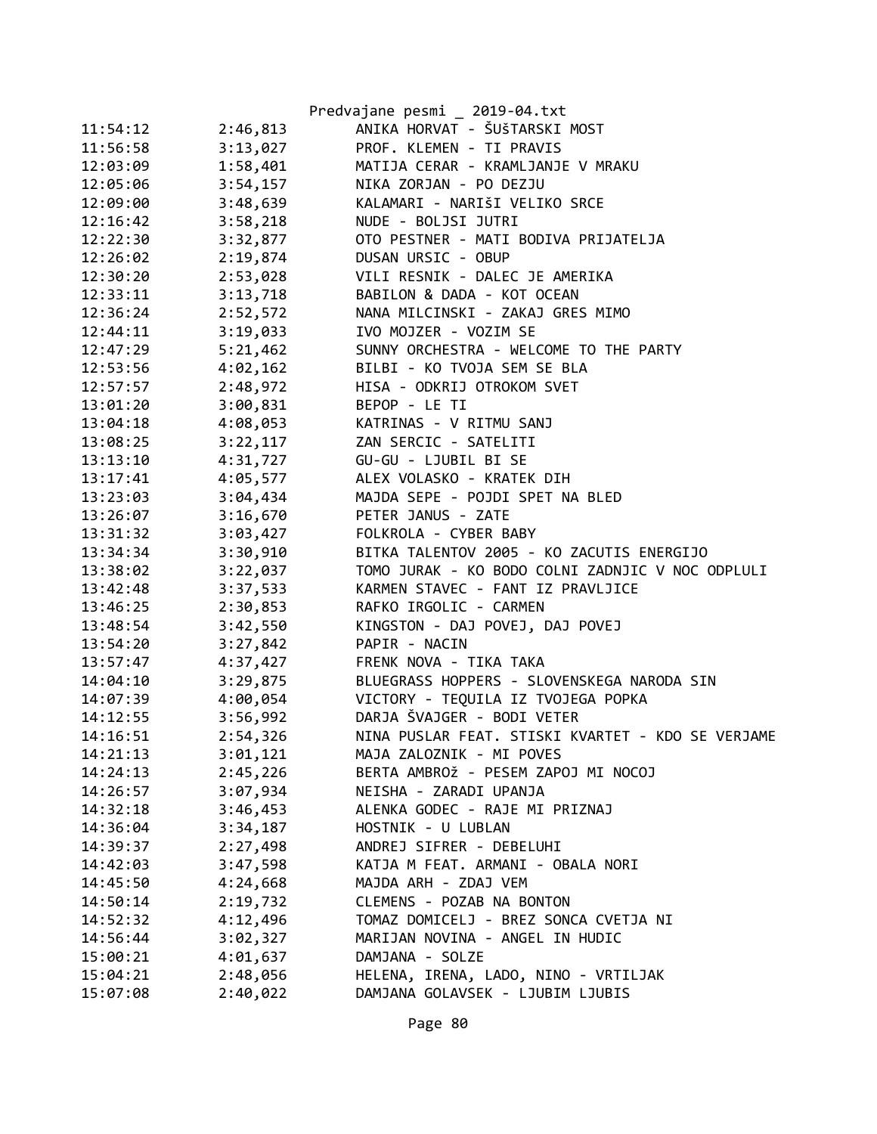|          |          | Predvajane pesmi _ 2019-04.txt                    |
|----------|----------|---------------------------------------------------|
| 11:54:12 | 2:46,813 | ANIKA HORVAT - ŠUŠTARSKI MOST                     |
| 11:56:58 | 3:13,027 | PROF. KLEMEN - TI PRAVIS                          |
| 12:03:09 | 1:58,401 | MATIJA CERAR - KRAMLJANJE V MRAKU                 |
| 12:05:06 | 3:54,157 | NIKA ZORJAN - PO DEZJU                            |
| 12:09:00 | 3:48,639 | KALAMARI - NARIŠI VELIKO SRCE                     |
| 12:16:42 | 3:58,218 | NUDE - BOLJSI JUTRI                               |
| 12:22:30 | 3:32,877 | OTO PESTNER - MATI BODIVA PRIJATELJA              |
| 12:26:02 | 2:19,874 | DUSAN URSIC - OBUP                                |
| 12:30:20 | 2:53,028 | VILI RESNIK - DALEC JE AMERIKA                    |
| 12:33:11 | 3:13,718 | BABILON & DADA - KOT OCEAN                        |
| 12:36:24 | 2:52,572 | NANA MILCINSKI - ZAKAJ GRES MIMO                  |
| 12:44:11 | 3:19,033 | IVO MOJZER - VOZIM SE                             |
| 12:47:29 | 5:21,462 | SUNNY ORCHESTRA - WELCOME TO THE PARTY            |
| 12:53:56 | 4:02,162 | BILBI - KO TVOJA SEM SE BLA                       |
| 12:57:57 | 2:48,972 | HISA - ODKRIJ OTROKOM SVET                        |
| 13:01:20 | 3:00,831 | BEPOP - LE TI                                     |
| 13:04:18 | 4:08,053 | KATRINAS - V RITMU SANJ                           |
| 13:08:25 | 3:22,117 | ZAN SERCIC - SATELITI                             |
| 13:13:10 | 4:31,727 | GU-GU - LJUBIL BI SE                              |
| 13:17:41 | 4:05,577 | ALEX VOLASKO - KRATEK DIH                         |
| 13:23:03 | 3:04,434 | MAJDA SEPE - POJDI SPET NA BLED                   |
| 13:26:07 | 3:16,670 | PETER JANUS - ZATE                                |
| 13:31:32 | 3:03,427 | FOLKROLA - CYBER BABY                             |
| 13:34:34 | 3:30,910 | BITKA TALENTOV 2005 - KO ZACUTIS ENERGIJO         |
| 13:38:02 | 3:22,037 | TOMO JURAK - KO BODO COLNI ZADNJIC V NOC ODPLULI  |
| 13:42:48 | 3:37,533 | KARMEN STAVEC - FANT IZ PRAVLJICE                 |
| 13:46:25 | 2:30,853 | RAFKO IRGOLIC - CARMEN                            |
| 13:48:54 | 3:42,550 | KINGSTON - DAJ POVEJ, DAJ POVEJ                   |
| 13:54:20 | 3:27,842 | PAPIR - NACIN                                     |
| 13:57:47 | 4:37,427 | FRENK NOVA - TIKA TAKA                            |
| 14:04:10 | 3:29,875 | BLUEGRASS HOPPERS - SLOVENSKEGA NARODA SIN        |
| 14:07:39 | 4:00,054 | VICTORY - TEQUILA IZ TVOJEGA POPKA                |
| 14:12:55 | 3:56,992 | DARJA ŠVAJGER - BODI VETER                        |
| 14:16:51 | 2:54,326 | NINA PUSLAR FEAT. STISKI KVARTET - KDO SE VERJAME |
| 14:21:13 | 3:01,121 | MAJA ZALOZNIK - MI POVES                          |
| 14:24:13 | 2:45,226 | BERTA AMBROŽ - PESEM ZAPOJ MI NOCOJ               |
| 14:26:57 | 3:07,934 | NEISHA - ZARADI UPANJA                            |
| 14:32:18 | 3:46,453 | ALENKA GODEC - RAJE MI PRIZNAJ                    |
| 14:36:04 | 3:34,187 | HOSTNIK - U LUBLAN                                |
| 14:39:37 | 2:27,498 | ANDREJ SIFRER - DEBELUHI                          |
| 14:42:03 | 3:47,598 | KATJA M FEAT. ARMANI - OBALA NORI                 |
| 14:45:50 | 4:24,668 | MAJDA ARH - ZDAJ VEM                              |
| 14:50:14 | 2:19,732 | CLEMENS - POZAB NA BONTON                         |
| 14:52:32 | 4:12,496 | TOMAZ DOMICELJ - BREZ SONCA CVETJA NI             |
| 14:56:44 | 3:02,327 | MARIJAN NOVINA - ANGEL IN HUDIC                   |
| 15:00:21 | 4:01,637 | DAMJANA - SOLZE                                   |
| 15:04:21 | 2:48,056 | HELENA, IRENA, LADO, NINO - VRTILJAK              |
| 15:07:08 | 2:40,022 | DAMJANA GOLAVSEK - LJUBIM LJUBIS                  |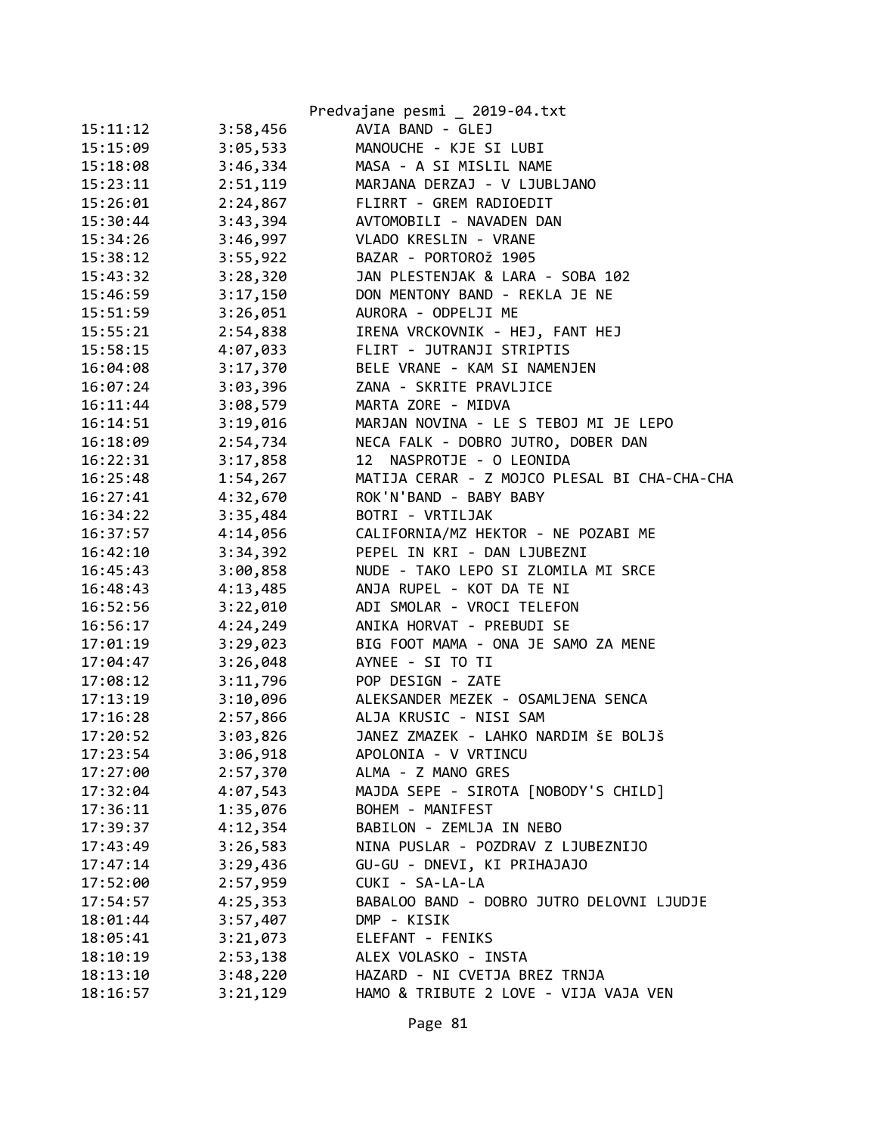|          |          | Predvajane pesmi _ 2019-04.txt               |
|----------|----------|----------------------------------------------|
| 15:11:12 | 3:58,456 | AVIA BAND - GLEJ                             |
| 15:15:09 | 3:05,533 | MANOUCHE - KJE SI LUBI                       |
| 15:18:08 | 3:46,334 | MASA - A SI MISLIL NAME                      |
| 15:23:11 | 2:51,119 | MARJANA DERZAJ - V LJUBLJANO                 |
| 15:26:01 | 2:24,867 | FLIRRT - GREM RADIOEDIT                      |
| 15:30:44 | 3:43,394 | AVTOMOBILI - NAVADEN DAN                     |
| 15:34:26 | 3:46,997 | VLADO KRESLIN - VRANE                        |
| 15:38:12 | 3:55,922 | BAZAR - PORTOROŽ 1905                        |
| 15:43:32 | 3:28,320 | JAN PLESTENJAK & LARA - SOBA 102             |
| 15:46:59 | 3:17,150 | DON MENTONY BAND - REKLA JE NE               |
| 15:51:59 | 3:26,051 | AURORA - ODPELJI ME                          |
| 15:55:21 | 2:54,838 | IRENA VRCKOVNIK - HEJ, FANT HEJ              |
| 15:58:15 | 4:07,033 | FLIRT - JUTRANJI STRIPTIS                    |
| 16:04:08 | 3:17,370 | BELE VRANE - KAM SI NAMENJEN                 |
| 16:07:24 | 3:03,396 | ZANA - SKRITE PRAVLJICE                      |
| 16:11:44 | 3:08,579 | MARTA ZORE - MIDVA                           |
| 16:14:51 | 3:19,016 | MARJAN NOVINA - LE S TEBOJ MI JE LEPO        |
| 16:18:09 | 2:54,734 | NECA FALK - DOBRO JUTRO, DOBER DAN           |
| 16:22:31 | 3:17,858 | NASPROTJE - O LEONIDA<br>12                  |
| 16:25:48 | 1:54,267 | MATIJA CERAR - Z MOJCO PLESAL BI CHA-CHA-CHA |
| 16:27:41 | 4:32,670 | ROK'N'BAND - BABY BABY                       |
| 16:34:22 | 3:35,484 | BOTRI - VRTILJAK                             |
| 16:37:57 | 4:14,056 | CALIFORNIA/MZ HEKTOR - NE POZABI ME          |
| 16:42:10 | 3:34,392 | PEPEL IN KRI - DAN LJUBEZNI                  |
| 16:45:43 | 3:00,858 | NUDE - TAKO LEPO SI ZLOMILA MI SRCE          |
| 16:48:43 | 4:13,485 | ANJA RUPEL - KOT DA TE NI                    |
| 16:52:56 | 3:22,010 | ADI SMOLAR - VROCI TELEFON                   |
| 16:56:17 | 4:24,249 | ANIKA HORVAT - PREBUDI SE                    |
| 17:01:19 | 3:29,023 | BIG FOOT MAMA - ONA JE SAMO ZA MENE          |
| 17:04:47 | 3:26,048 | AYNEE - SI TO TI                             |
| 17:08:12 | 3:11,796 | POP DESIGN - ZATE                            |
| 17:13:19 | 3:10,096 | ALEKSANDER MEZEK - OSAMLJENA SENCA           |
| 17:16:28 | 2:57,866 | ALJA KRUSIC - NISI SAM                       |
| 17:20:52 | 3:03,826 | JANEZ ZMAZEK - LAHKO NARDIM ŠE BOLJŠ         |
| 17:23:54 | 3:06,918 | APOLONIA - V VRTINCU                         |
| 17:27:00 | 2:57,370 | ALMA - Z MANO GRES                           |
| 17:32:04 | 4:07,543 | MAJDA SEPE - SIROTA [NOBODY'S CHILD]         |
| 17:36:11 | 1:35,076 | BOHEM - MANIFEST                             |
| 17:39:37 | 4:12,354 | BABILON - ZEMLJA IN NEBO                     |
| 17:43:49 | 3:26,583 | NINA PUSLAR - POZDRAV Z LJUBEZNIJO           |
| 17:47:14 | 3:29,436 | GU-GU - DNEVI, KI PRIHAJAJO                  |
| 17:52:00 | 2:57,959 | CUKI - SA-LA-LA                              |
| 17:54:57 | 4:25,353 | BABALOO BAND - DOBRO JUTRO DELOVNI LJUDJE    |
| 18:01:44 | 3:57,407 | DMP - KISIK                                  |
| 18:05:41 | 3:21,073 | ELEFANT - FENIKS                             |
| 18:10:19 | 2:53,138 | ALEX VOLASKO - INSTA                         |
| 18:13:10 | 3:48,220 | HAZARD - NI CVETJA BREZ TRNJA                |
| 18:16:57 | 3:21,129 | HAMO & TRIBUTE 2 LOVE - VIJA VAJA VEN        |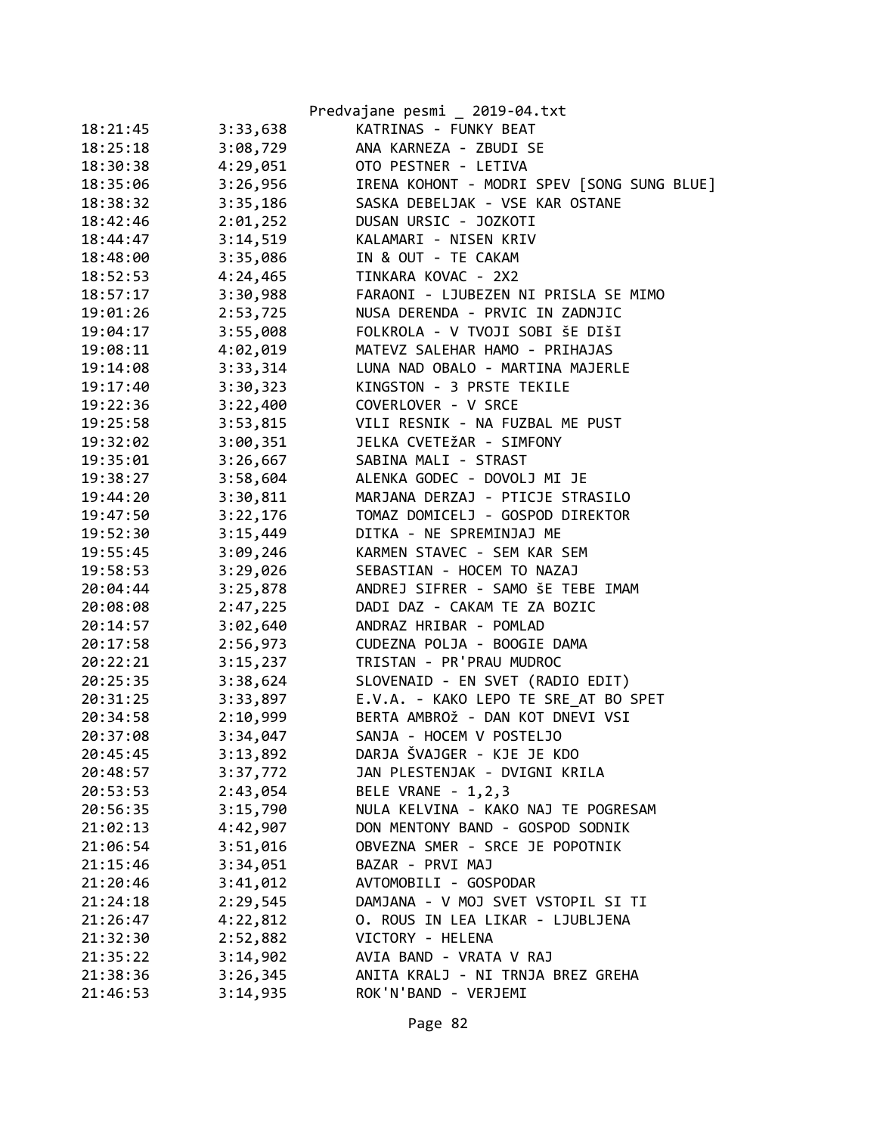|          |          | Predvajane pesmi _ 2019-04.txt             |
|----------|----------|--------------------------------------------|
| 18:21:45 | 3:33,638 | KATRINAS - FUNKY BEAT                      |
| 18:25:18 | 3:08,729 | ANA KARNEZA - ZBUDI SE                     |
| 18:30:38 | 4:29,051 | OTO PESTNER - LETIVA                       |
| 18:35:06 | 3:26,956 | IRENA KOHONT - MODRI SPEV [SONG SUNG BLUE] |
| 18:38:32 | 3:35,186 | SASKA DEBELJAK - VSE KAR OSTANE            |
| 18:42:46 | 2:01,252 | DUSAN URSIC - JOZKOTI                      |
| 18:44:47 | 3:14,519 | KALAMARI - NISEN KRIV                      |
| 18:48:00 | 3:35,086 | IN & OUT - TE CAKAM                        |
| 18:52:53 | 4:24,465 | TINKARA KOVAC - 2X2                        |
| 18:57:17 | 3:30,988 | FARAONI - LJUBEZEN NI PRISLA SE MIMO       |
| 19:01:26 | 2:53,725 | NUSA DERENDA - PRVIC IN ZADNJIC            |
| 19:04:17 | 3:55,008 | FOLKROLA - V TVOJI SOBI ŠE DIŠI            |
| 19:08:11 | 4:02,019 | MATEVZ SALEHAR HAMO - PRIHAJAS             |
| 19:14:08 | 3:33,314 | LUNA NAD OBALO - MARTINA MAJERLE           |
| 19:17:40 | 3:30,323 | KINGSTON - 3 PRSTE TEKILE                  |
| 19:22:36 | 3:22,400 | COVERLOVER - V SRCE                        |
| 19:25:58 | 3:53,815 | VILI RESNIK - NA FUZBAL ME PUST            |
| 19:32:02 | 3:00,351 | JELKA CVETEŽAR - SIMFONY                   |
| 19:35:01 | 3:26,667 | SABINA MALI - STRAST                       |
| 19:38:27 | 3:58,604 | ALENKA GODEC - DOVOLJ MI JE                |
| 19:44:20 | 3:30,811 | MARJANA DERZAJ - PTICJE STRASILO           |
| 19:47:50 | 3:22,176 | TOMAZ DOMICELJ - GOSPOD DIREKTOR           |
| 19:52:30 | 3:15,449 | DITKA - NE SPREMINJAJ ME                   |
| 19:55:45 | 3:09,246 | KARMEN STAVEC - SEM KAR SEM                |
| 19:58:53 | 3:29,026 | SEBASTIAN - HOCEM TO NAZAJ                 |
| 20:04:44 | 3:25,878 | ANDREJ SIFRER - SAMO ŠE TEBE IMAM          |
| 20:08:08 | 2:47,225 | DADI DAZ - CAKAM TE ZA BOZIC               |
| 20:14:57 | 3:02,640 | ANDRAZ HRIBAR - POMLAD                     |
| 20:17:58 | 2:56,973 | CUDEZNA POLJA - BOOGIE DAMA                |
| 20:22:21 | 3:15,237 | TRISTAN - PR'PRAU MUDROC                   |
| 20:25:35 | 3:38,624 | SLOVENAID - EN SVET (RADIO EDIT)           |
| 20:31:25 | 3:33,897 | E.V.A. - KAKO LEPO TE SRE AT BO SPET       |
| 20:34:58 | 2:10,999 | BERTA AMBROŽ - DAN KOT DNEVI VSI           |
| 20:37:08 | 3:34,047 | SANJA - HOCEM V POSTELJO                   |
| 20:45:45 | 3:13,892 | DARJA ŠVAJGER - KJE JE KDO                 |
| 20:48:57 | 3:37,772 | JAN PLESTENJAK - DVIGNI KRILA              |
| 20:53:53 | 2:43,054 | BELE VRANE - 1,2,3                         |
| 20:56:35 | 3:15,790 | NULA KELVINA - KAKO NAJ TE POGRESAM        |
| 21:02:13 | 4:42,907 | DON MENTONY BAND - GOSPOD SODNIK           |
| 21:06:54 | 3:51,016 | OBVEZNA SMER - SRCE JE POPOTNIK            |
| 21:15:46 | 3:34,051 | BAZAR - PRVI MAJ                           |
| 21:20:46 | 3:41,012 | AVTOMOBILI - GOSPODAR                      |
| 21:24:18 | 2:29,545 | DAMJANA - V MOJ SVET VSTOPIL SI TI         |
| 21:26:47 | 4:22,812 | O. ROUS IN LEA LIKAR - LJUBLJENA           |
| 21:32:30 | 2:52,882 | VICTORY - HELENA                           |
| 21:35:22 | 3:14,902 | AVIA BAND - VRATA V RAJ                    |
| 21:38:36 | 3:26,345 | ANITA KRALJ - NI TRNJA BREZ GREHA          |
| 21:46:53 | 3:14,935 | ROK'N'BAND - VERJEMI                       |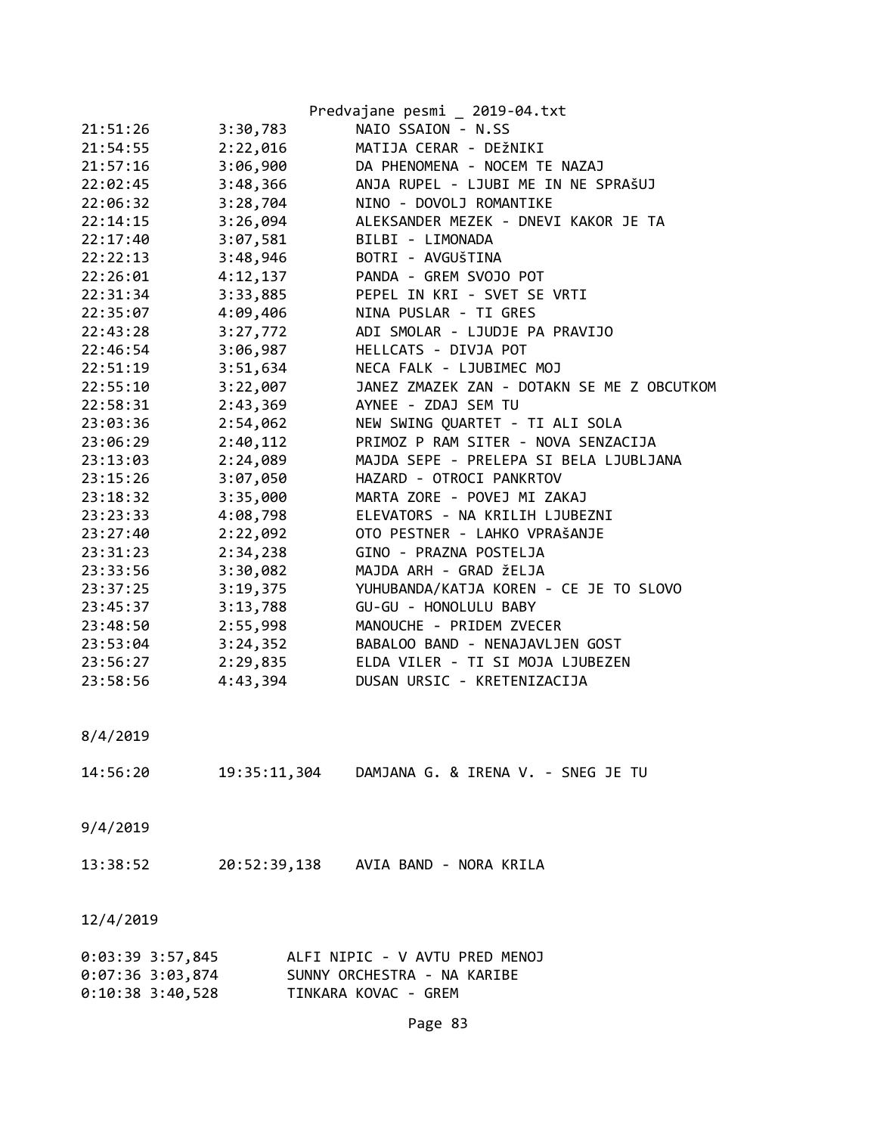|                    |          | Predvajane pesmi _ 2019-04.txt                  |
|--------------------|----------|-------------------------------------------------|
| 21:51:26           | 3:30,783 | NAIO SSAION - N.SS                              |
| 21:54:55           | 2:22,016 | MATIJA CERAR - DEŽNIKI                          |
| 21:57:16           | 3:06,900 | DA PHENOMENA - NOCEM TE NAZAJ                   |
| 22:02:45           | 3:48,366 | ANJA RUPEL - LJUBI ME IN NE SPRAŠUJ             |
| 22:06:32           | 3:28,704 | NINO - DOVOLJ ROMANTIKE                         |
| 22:14:15           | 3:26,094 | ALEKSANDER MEZEK - DNEVI KAKOR JE TA            |
| 22:17:40           | 3:07,581 | BILBI - LIMONADA                                |
| 22:22:13           | 3:48,946 | BOTRI - AVGUŠTINA                               |
| 22:26:01           | 4:12,137 | PANDA - GREM SVOJO POT                          |
| 22:31:34           | 3:33,885 | PEPEL IN KRI - SVET SE VRTI                     |
| 22:35:07           | 4:09,406 | NINA PUSLAR - TI GRES                           |
| 22:43:28           | 3:27,772 | ADI SMOLAR - LJUDJE PA PRAVIJO                  |
| 22:46:54           | 3:06,987 | HELLCATS - DIVJA POT                            |
| 22:51:19           | 3:51,634 | NECA FALK - LJUBIMEC MOJ                        |
| 22:55:10           | 3:22,007 | JANEZ ZMAZEK ZAN - DOTAKN SE ME Z OBCUTKOM      |
| 22:58:31           | 2:43,369 | AYNEE - ZDAJ SEM TU                             |
|                    |          | NEW SWING QUARTET - TI ALI SOLA                 |
| 23:03:36           | 2:54,062 | PRIMOZ P RAM SITER - NOVA SENZACIJA             |
| 23:06:29           | 2:40,112 |                                                 |
| 23:13:03           | 2:24,089 | MAJDA SEPE - PRELEPA SI BELA LJUBLJANA          |
| 23:15:26           | 3:07,050 | HAZARD - OTROCI PANKRTOV                        |
| 23:18:32           | 3:35,000 | MARTA ZORE - POVEJ MI ZAKAJ                     |
| 23:23:33           | 4:08,798 | ELEVATORS - NA KRILIH LJUBEZNI                  |
| 23:27:40           | 2:22,092 | OTO PESTNER - LAHKO VPRAŠANJE                   |
| 23:31:23           | 2:34,238 | GINO - PRAZNA POSTELJA                          |
| 23:33:56           | 3:30,082 | MAJDA ARH - GRAD ŽELJA                          |
| 23:37:25           | 3:19,375 | YUHUBANDA/KATJA KOREN - CE JE TO SLOVO          |
| 23:45:37           | 3:13,788 | GU-GU - HONOLULU BABY                           |
| 23:48:50           | 2:55,998 | MANOUCHE - PRIDEM ZVECER                        |
| 23:53:04           | 3:24,352 | BABALOO BAND - NENAJAVLJEN GOST                 |
| 23:56:27           | 2:29,835 | ELDA VILER - TI SI MOJA LJUBEZEN                |
| 23:58:56           | 4:43,394 | DUSAN URSIC - KRETENIZACIJA                     |
| 8/4/2019           |          |                                                 |
|                    |          |                                                 |
| 14:56:20           |          | 19:35:11,304 DAMJANA G. & IRENA V. - SNEG JE TU |
|                    |          |                                                 |
| 9/4/2019           |          |                                                 |
|                    |          |                                                 |
| 13:38:52           |          | 20:52:39,138 AVIA BAND - NORA KRILA             |
|                    |          |                                                 |
| 12/4/2019          |          |                                                 |
| $0:03:39$ 3:57,845 |          | ALFI NIPIC - V AVTU PRED MENOJ                  |
| $0:07:36$ 3:03,874 |          | SUNNY ORCHESTRA - NA KARIBE                     |

0:10:38 3:40,528 TINKARA KOVAC - GREM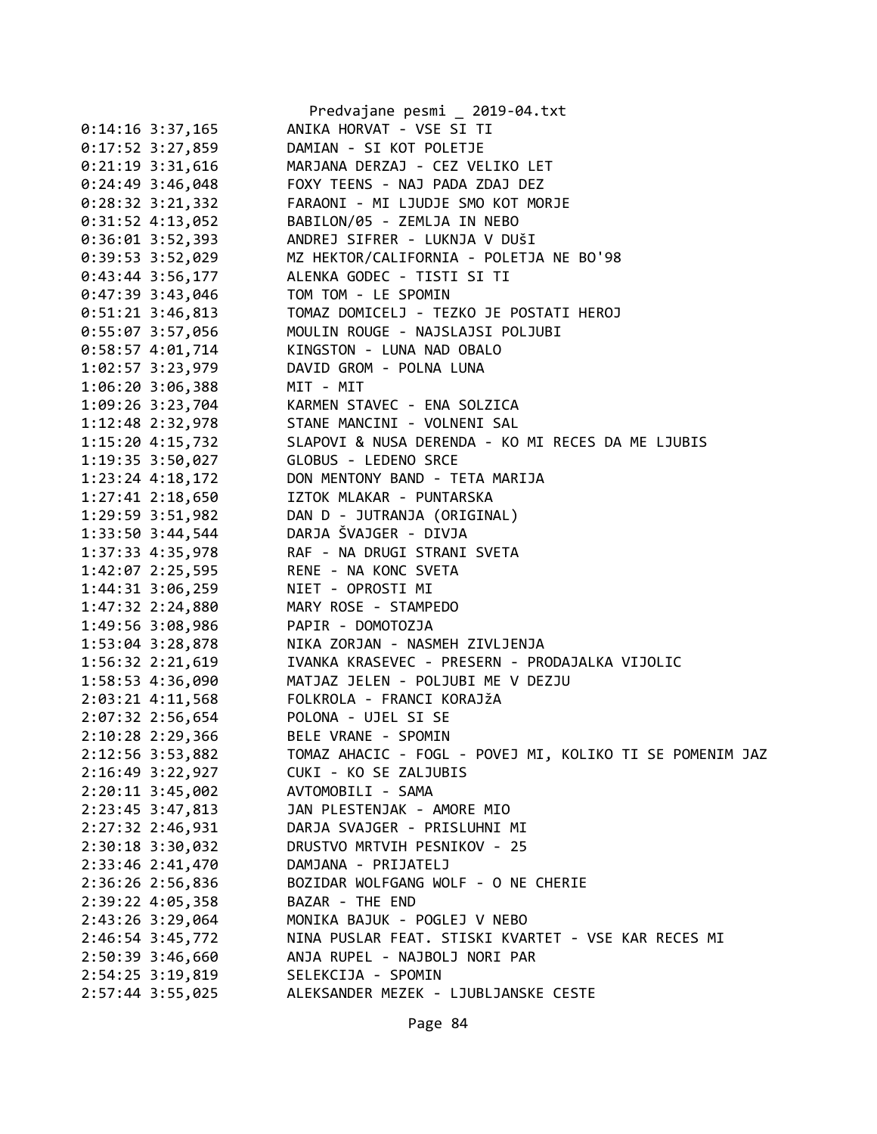|                    | Predvajane pesmi _ 2019-04.txt                                                                       |
|--------------------|------------------------------------------------------------------------------------------------------|
| $0:14:16$ 3:37,165 | ANIKA HORVAT - VSE SI TI                                                                             |
| 0:17:52 3:27,859   | DAMIAN - SI KOT POLETJE                                                                              |
| $0:21:19$ 3:31,616 | MARJANA DERZAJ - CEZ VELIKO LET                                                                      |
| $0:24:49$ 3:46,048 | FOXY TEENS - NAJ PADA ZDAJ DEZ                                                                       |
| $0:28:32$ 3:21,332 | FARAONI - MI LJUDJE SMO KOT MORJE                                                                    |
|                    | 0:31:52 4:13,052 BABILON/05 - ZEMLJA IN NEBO                                                         |
| $0:36:01$ 3:52,393 | ANDREJ SIFRER - LUKNJA V DUŠI                                                                        |
| $0:39:53$ 3:52,029 |                                                                                                      |
| $0:43:44$ 3:56,177 | MIRIES SITHER LONDON I BOSI<br>MZ HEKTOR/CALIFORNIA - POLETJA NE BO'98<br>ALENKA GODEC - TISTI SI TI |
| $0:47:39$ 3:43,046 | TOM TOM - LE SPOMIN                                                                                  |
|                    |                                                                                                      |
|                    | 0:55:07 3:57,056 MOULIN ROUGE - NAJSLAJSI POLJUBI                                                    |
|                    | 0:58:57 4:01,714 KINGSTON - LUNA NAD OBALO                                                           |
| 1:02:57 3:23,979   | DAVID GROM - POLNA LUNA                                                                              |
|                    |                                                                                                      |
|                    | 1:06:20 3:06,388 MIT - MIT<br>1:09:26 3:23,704 KARMEN STAVEC - ENA SOLZICA                           |
|                    | 1:12:48 2:32,978 STANE MANCINI - VOLNENI SAL                                                         |
|                    | 1:15:20 4:15,732 SLAPOVI & NUSA DERENDA - KO MI RECES DA ME LJUBIS                                   |
|                    | 1:19:35 3:50,027 GLOBUS - LEDENO SRCE                                                                |
|                    | 1:23:24 4:18,172 DON MENTONY BAND - TETA MARIJA                                                      |
|                    |                                                                                                      |
|                    | 1:27:41 2:18,650 IZTOK MLAKAR - PUNTARSKA<br>1:29:59 3:51,982 DAN D - JUTRANJA (ORIGINAL)            |
|                    | 1:33:50 3:44,544 DARJA ŠVAJGER - DIVJA                                                               |
|                    | 1:37:33  4:35,978  RAF - NA DRUGI STRANI SVETA                                                       |
|                    | 1:42:07 2:25,595 RENE - NA KONC SVETA                                                                |
|                    | 1:44:31 3:06,259 NIET - OPROSTI MI                                                                   |
|                    | 1:47:32 2:24,880 MARY ROSE - STAMPEDO                                                                |
| 1:49:56 3:08,986   | PAPIR - DOMOTOZJA                                                                                    |
| $1:53:04$ 3:28,878 |                                                                                                      |
| 1:56:32 2:21,619   | <br>NIKA ZORJAN - NASMEH ZIVLJENJA<br>IVANKA KRASEVEC - PRESERN - PRODAJALKA VIJOLIC                 |
|                    | 1:58:53 4:36,090 MATJAZ JELEN - POLJUBI ME V DEZJU                                                   |
|                    | 2:03:21 4:11,568 FOLKROLA - FRANCI KORAJŽA                                                           |
|                    | 2:07:32 2:56,654 POLONA - UJEL SI SE                                                                 |
| 2:10:28 2:29,366   | BELE VRANE - SPOMIN                                                                                  |
| 2:12:56 3:53,882   | TOMAZ AHACIC - FOGL - POVEJ MI, KOLIKO TI SE POMENIM JAZ                                             |
| 2:16:49 3:22,927   | CUKI - KO SE ZALJUBIS                                                                                |
| 2:20:11 3:45,002   | AVTOMOBILI - SAMA                                                                                    |
| 2:23:45 3:47,813   | JAN PLESTENJAK - AMORE MIO                                                                           |
| 2:27:32 2:46,931   | DARJA SVAJGER - PRISLUHNI MI                                                                         |
| 2:30:18 3:30,032   | DRUSTVO MRTVIH PESNIKOV - 25                                                                         |
|                    |                                                                                                      |
| 2:33:46 2:41,470   | DAMJANA - PRIJATELJ                                                                                  |
| 2:36:26 2:56,836   | BOZIDAR WOLFGANG WOLF - O NE CHERIE                                                                  |
| 2:39:22 4:05,358   | BAZAR - THE END                                                                                      |
| 2:43:26 3:29,064   | MONIKA BAJUK - POGLEJ V NEBO                                                                         |
| 2:46:54 3:45,772   | NINA PUSLAR FEAT. STISKI KVARTET - VSE KAR RECES MI                                                  |
| 2:50:39 3:46,660   | ANJA RUPEL - NAJBOLJ NORI PAR                                                                        |
| 2:54:25 3:19,819   | SELEKCIJA - SPOMIN                                                                                   |
| $2:57:44$ 3:55,025 | ALEKSANDER MEZEK - LJUBLJANSKE CESTE                                                                 |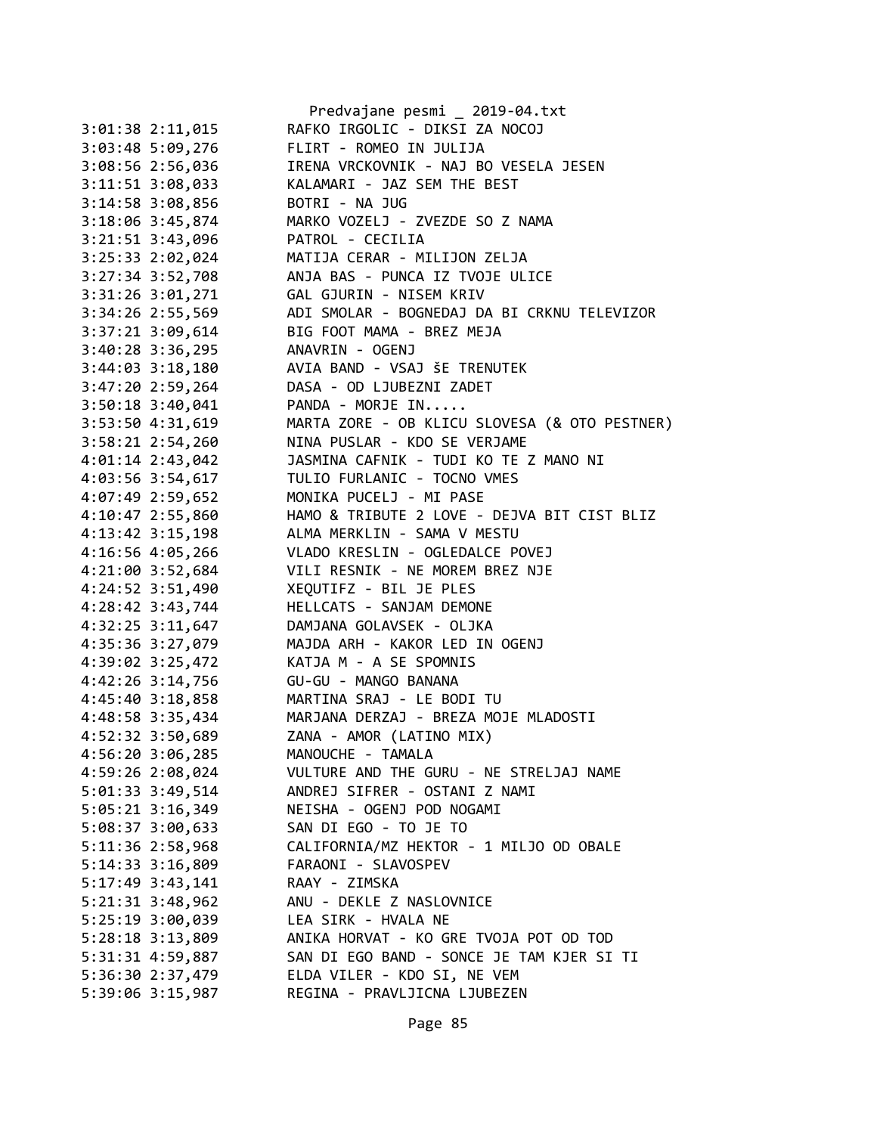|                      | Predvajane pesmi _ 2019-04.txt                |
|----------------------|-----------------------------------------------|
| 3:01:38 2:11,015     | RAFKO IRGOLIC - DIKSI ZA NOCOJ                |
| 3:03:48 5:09,276     | FLIRT - ROMEO IN JULIJA                       |
| 3:08:56 2:56,036     | IRENA VRCKOVNIK - NAJ BO VESELA JESEN         |
| 3:11:51 3:08,033     | KALAMARI - JAZ SEM THE BEST                   |
| 3:14:58 3:08,856     | BOTRI - NA JUG                                |
| 3:18:06 3:45,874     | MARKO VOZELJ - ZVEZDE SO Z NAMA               |
| 3:21:51 3:43,096     | PATROL - CECILIA                              |
| 3:25:33 2:02,024     | MATIJA CERAR - MILIJON ZELJA                  |
| 3:27:34 3:52,708     | ANJA BAS - PUNCA IZ TVOJE ULICE               |
| 3:31:26 3:01,271     | GAL GJURIN - NISEM KRIV                       |
| 3:34:26 2:55,569     | ADI SMOLAR - BOGNEDAJ DA BI CRKNU TELEVIZOR   |
| 3:37:21 3:09,614     | BIG FOOT MAMA - BREZ MEJA                     |
| 3:40:28 3:36,295     | ANAVRIN - OGENJ                               |
| 3:44:03 3:18,180     | AVIA BAND - VSAJ ŠE TRENUTEK                  |
| 3:47:20 2:59,264     | DASA - OD LJUBEZNI ZADET                      |
| 3:50:18 3:40,041     | PANDA - MORJE IN                              |
| 3:53:50 4:31,619     | MARTA ZORE - OB KLICU SLOVESA (& OTO PESTNER) |
| $3:58:21$ $2:54,260$ | NINA PUSLAR - KDO SE VERJAME                  |
| $4:01:14$ 2:43,042   | JASMINA CAFNIK - TUDI KO TE Z MANO NI         |
|                      | TULIO FURLANIC - TOCNO VMES                   |
| 4:03:56 3:54,617     |                                               |
| 4:07:49 2:59,652     | MONIKA PUCELJ - MI PASE                       |
| 4:10:47 2:55,860     | HAMO & TRIBUTE 2 LOVE - DEJVA BIT CIST BLIZ   |
| 4:13:42 3:15,198     | ALMA MERKLIN - SAMA V MESTU                   |
| 4:16:56 4:05,266     | VLADO KRESLIN - OGLEDALCE POVEJ               |
| 4:21:00 3:52,684     | VILI RESNIK - NE MOREM BREZ NJE               |
| 4:24:52 3:51,490     | XEQUTIFZ - BIL JE PLES                        |
| 4:28:42 3:43,744     | HELLCATS - SANJAM DEMONE                      |
| 4:32:25 3:11,647     | DAMJANA GOLAVSEK - OLJKA                      |
| 4:35:36 3:27,079     | MAJDA ARH - KAKOR LED IN OGENJ                |
| 4:39:02 3:25,472     | KATJA M - A SE SPOMNIS                        |
| 4:42:26 3:14,756     | GU-GU - MANGO BANANA                          |
| 4:45:40 3:18,858     | MARTINA SRAJ - LE BODI TU                     |
| 4:48:58 3:35,434     | MARJANA DERZAJ - BREZA MOJE MLADOSTI          |
| 4:52:32 3:50,689     | ZANA - AMOR (LATINO MIX)                      |
| 4:56:20 3:06,285     | MANOUCHE - TAMALA                             |
| 4:59:26 2:08,024     | VULTURE AND THE GURU - NE STRELJAJ NAME       |
| 5:01:33 3:49,514     | ANDREJ SIFRER - OSTANI Z NAMI                 |
| $5:05:21$ 3:16,349   | NEISHA - OGENJ POD NOGAMI                     |
| 5:08:37 3:00,633     | SAN DI EGO - TO JE TO                         |
| 5:11:36 2:58,968     | CALIFORNIA/MZ HEKTOR - 1 MILJO OD OBALE       |
| 5:14:33 3:16,809     | FARAONI - SLAVOSPEV                           |
| $5:17:49$ 3:43,141   | RAAY - ZIMSKA                                 |
| 5:21:31 3:48,962     | ANU - DEKLE Z NASLOVNICE                      |
| 5:25:19 3:00,039     | LEA SIRK - HVALA NE                           |
| 5:28:18 3:13,809     | ANIKA HORVAT - KO GRE TVOJA POT OD TOD        |
| 5:31:31 4:59,887     | SAN DI EGO BAND - SONCE JE TAM KJER SI TI     |
| 5:36:30 2:37,479     | ELDA VILER - KDO SI, NE VEM                   |
| 5:39:06 3:15,987     | REGINA - PRAVLJICNA LJUBEZEN                  |
|                      |                                               |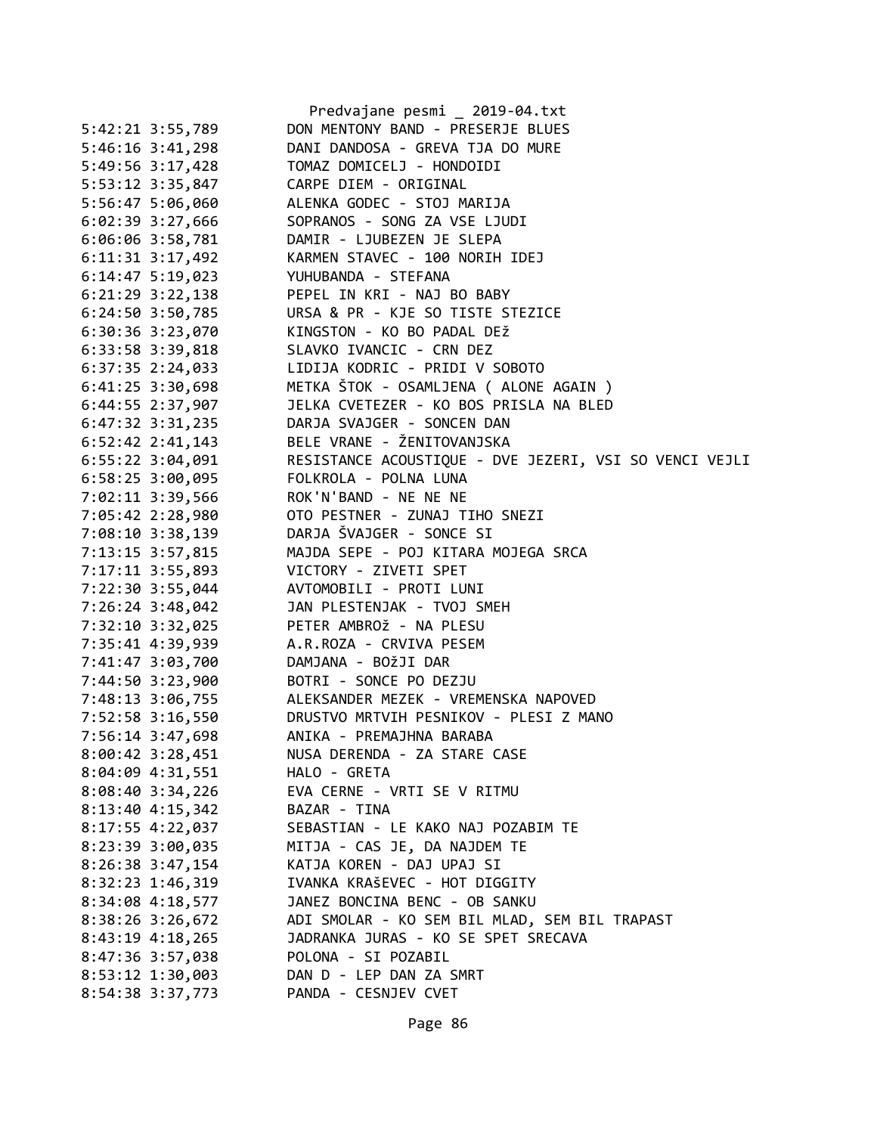|                      | Predvajane pesmi _ 2019-04.txt                         |
|----------------------|--------------------------------------------------------|
| 5:42:21 3:55,789     | DON MENTONY BAND - PRESERJE BLUES                      |
| $5:46:16$ $3:41,298$ | DANI DANDOSA - GREVA TJA DO MURE                       |
| 5:49:56 3:17,428     | TOMAZ DOMICELJ - HONDOIDI                              |
| 5:53:12 3:35,847     | CARPE DIEM - ORIGINAL                                  |
| 5:56:47 5:06,060     | ALENKA GODEC - STOJ MARIJA                             |
| $6:02:39$ 3:27,666   | SOPRANOS - SONG ZA VSE LJUDI                           |
| 6:06:06 3:58,781     | DAMIR - LJUBEZEN JE SLEPA                              |
| $6:11:31$ $3:17,492$ | KARMEN STAVEC - 100 NORIH IDEJ                         |
| $6:14:47$ 5:19,023   | YUHUBANDA - STEFANA                                    |
| $6:21:29$ $3:22,138$ | PEPEL IN KRI - NAJ BO BABY                             |
| $6:24:50$ $3:50,785$ | URSA & PR - KJE SO TISTE STEZICE                       |
| $6:30:36$ $3:23,070$ | KINGSTON - KO BO PADAL DEŽ                             |
| 6:33:58 3:39,818     | SLAVKO IVANCIC - CRN DEZ                               |
| $6:37:35$ 2:24,033   | LIDIJA KODRIC - PRIDI V SOBOTO                         |
| $6:41:25$ 3:30,698   | METKA ŠTOK - OSAMLJENA ( ALONE AGAIN )                 |
| 6:44:55 2:37,907     | JELKA CVETEZER - KO BOS PRISLA NA BLED                 |
| $6:47:32$ $3:31,235$ | DARJA SVAJGER - SONCEN DAN                             |
| $6:52:42$ $2:41,143$ | BELE VRANE - ŽENITOVANJSKA                             |
| $6:55:22$ 3:04,091   | RESISTANCE ACOUSTIQUE - DVE JEZERI, VSI SO VENCI VEJLI |
| $6:58:25$ 3:00,095   | FOLKROLA - POLNA LUNA                                  |
| 7:02:11 3:39,566     | ROK'N'BAND - NE NE NE                                  |
| 7:05:42 2:28,980     | OTO PESTNER - ZUNAJ TIHO SNEZI                         |
| 7:08:10 3:38,139     | DARJA ŠVAJGER - SONCE SI                               |
| 7:13:15 3:57,815     | MAJDA SEPE - POJ KITARA MOJEGA SRCA                    |
| 7:17:11 3:55,893     | VICTORY - ZIVETI SPET                                  |
| 7:22:30 3:55,044     | AVTOMOBILI - PROTI LUNI                                |
| 7:26:24 3:48,042     | JAN PLESTENJAK - TVOJ SMEH                             |
| 7:32:10 3:32,025     | PETER AMBROŽ - NA PLESU                                |
| 7:35:41 4:39,939     | A.R.ROZA - CRVIVA PESEM                                |
| 7:41:47 3:03,700     | DAMJANA - BOŽJI DAR                                    |
| 7:44:50 3:23,900     | BOTRI - SONCE PO DEZJU                                 |
|                      | 7:48:13 3:06,755 ALEKSANDER MEZEK - VREMENSKA NAPOVED  |
| 7:52:58 3:16,550     | DRUSTVO MRTVIH PESNIKOV - PLESI Z MANO                 |
| 7:56:14 3:47,698     | ANIKA - PREMAJHNA BARABA                               |
| 8:00:42 3:28,451     | NUSA DERENDA - ZA STARE CASE                           |
| 8:04:09 4:31,551     | HALO - GRETA                                           |
| 8:08:40 3:34,226     | EVA CERNE - VRTI SE V RITMU                            |
| $8:13:40$ 4:15,342   | BAZAR - TINA                                           |
| 8:17:55 4:22,037     | SEBASTIAN - LE KAKO NAJ POZABIM TE                     |
| 8:23:39 3:00,035     | MITJA - CAS JE, DA NAJDEM TE                           |
| 8:26:38 3:47,154     | KATJA KOREN - DAJ UPAJ SI                              |
| 8:32:23 1:46,319     | IVANKA KRAŠEVEC - HOT DIGGITY                          |
| 8:34:08 4:18,577     | JANEZ BONCINA BENC - OB SANKU                          |
| 8:38:26 3:26,672     | ADI SMOLAR - KO SEM BIL MLAD, SEM BIL TRAPAST          |
| $8:43:19$ 4:18,265   | JADRANKA JURAS - KO SE SPET SRECAVA                    |
| 8:47:36 3:57,038     | POLONA - SI POZABIL                                    |
| 8:53:12 1:30,003     | DAN D - LEP DAN ZA SMRT                                |
| 8:54:38 3:37,773     | PANDA - CESNJEV CVET                                   |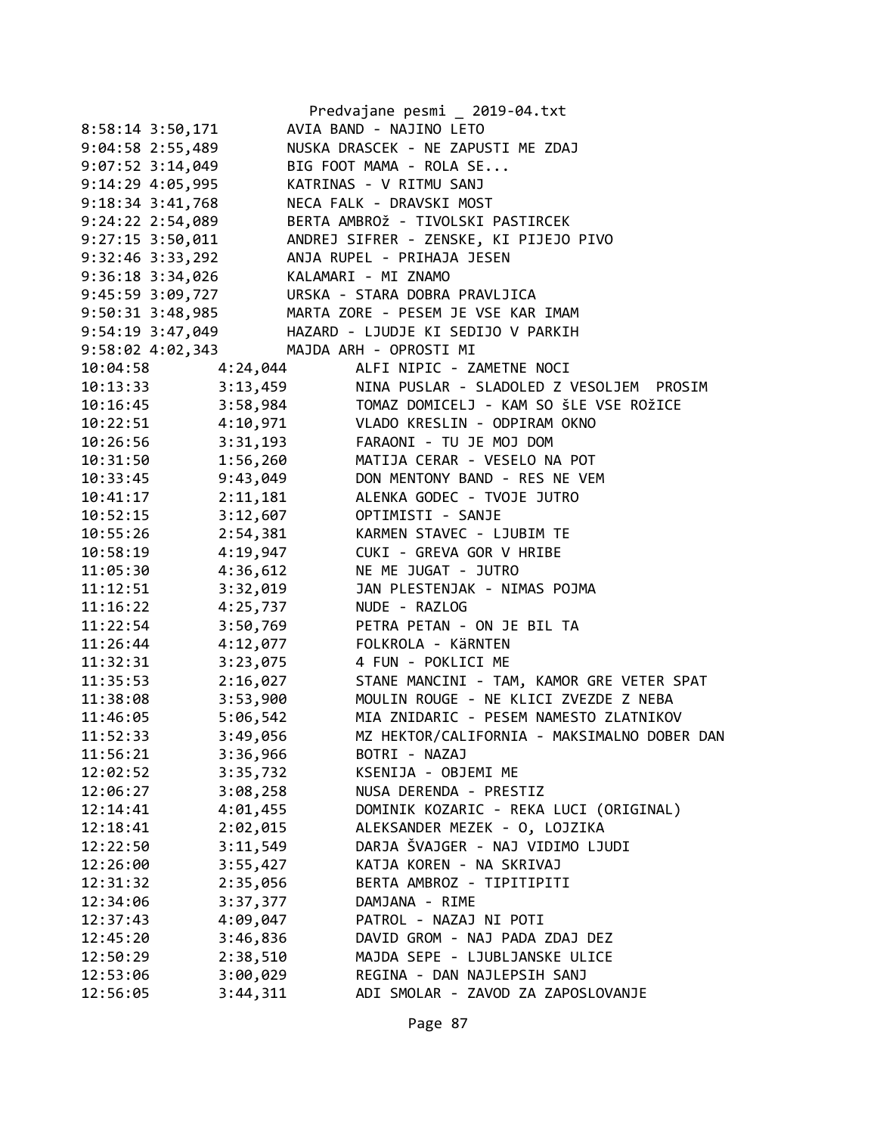|                                         |          | Predvajane pesmi _ 2019-04.txt              |
|-----------------------------------------|----------|---------------------------------------------|
| $8:58:14$ 3:50,171                      |          | AVIA BAND - NAJINO LETO                     |
| $9:04:58$ 2:55,489                      |          | NUSKA DRASCEK - NE ZAPUSTI ME ZDAJ          |
| $9:07:52$ 3:14,049                      |          | BIG FOOT MAMA - ROLA SE                     |
| 9:14:29 4:05,995                        |          | KATRINAS - V RITMU SANJ                     |
| $9:18:34$ $3:41,768$                    |          | NECA FALK - DRAVSKI MOST                    |
| 9:24:22 2:54,089                        |          | BERTA AMBROŽ - TIVOLSKI PASTIRCEK           |
| $9:27:15$ $3:50,011$                    |          | ANDREJ SIFRER - ZENSKE, KI PIJEJO PIVO      |
| $9:32:46$ $3:33,292$                    |          | ANJA RUPEL - PRIHAJA JESEN                  |
| $9:36:18$ $3:34,026$                    |          | KALAMARI - MI ZNAMO                         |
| 9:45:59 3:09,727                        |          | URSKA - STARA DOBRA PRAVLJICA               |
| 9:50:31 3:48,985                        |          | MARTA ZORE - PESEM JE VSE KAR IMAM          |
| 9:54:19 3:47,049                        |          | HAZARD - LJUDJE KI SEDIJO V PARKIH          |
| 9:58:02 4:02,343 MAJDA ARH - OPROSTI MI |          |                                             |
| 10:04:58                                | 4:24,044 | ALFI NIPIC - ZAMETNE NOCI                   |
| 10:13:33                                | 3:13,459 | NINA PUSLAR - SLADOLED Z VESOLJEM PROSIM    |
| 10:16:45                                | 3:58,984 | TOMAZ DOMICELJ - KAM SO ŠLE VSE ROŽICE      |
| 10:22:51                                | 4:10,971 | VLADO KRESLIN - ODPIRAM OKNO                |
| 10:26:56                                | 3:31,193 | FARAONI - TU JE MOJ DOM                     |
| 10:31:50                                | 1:56,260 | MATIJA CERAR - VESELO NA POT                |
| 10:33:45                                | 9:43,049 | DON MENTONY BAND - RES NE VEM               |
| 10:41:17                                | 2:11,181 | ALENKA GODEC - TVOJE JUTRO                  |
| 10:52:15                                | 3:12,607 | OPTIMISTI - SANJE                           |
| 10:55:26                                | 2:54,381 | KARMEN STAVEC - LJUBIM TE                   |
| 10:58:19                                | 4:19,947 | CUKI - GREVA GOR V HRIBE                    |
| 11:05:30                                | 4:36,612 | NE ME JUGAT - JUTRO                         |
| 11:12:51                                | 3:32,019 | JAN PLESTENJAK - NIMAS POJMA                |
| 11:16:22                                | 4:25,737 | NUDE - RAZLOG                               |
| 11:22:54                                | 3:50,769 | PETRA PETAN - ON JE BIL TA                  |
| 11:26:44                                | 4:12,077 | FOLKROLA - KÄRNTEN                          |
| 11:32:31                                | 3:23,075 | 4 FUN - POKLICI ME                          |
| 11:35:53                                | 2:16,027 | STANE MANCINI - TAM, KAMOR GRE VETER SPAT   |
| 11:38:08                                | 3:53,900 | MOULIN ROUGE - NE KLICI ZVEZDE Z NEBA       |
| 11:46:05                                | 5:06,542 | MIA ZNIDARIC - PESEM NAMESTO ZLATNIKOV      |
| 11:52:33                                | 3:49,056 | MZ HEKTOR/CALIFORNIA - MAKSIMALNO DOBER DAN |
| 11:56:21                                | 3:36,966 | BOTRI - NAZAJ                               |
| 12:02:52                                | 3:35,732 | KSENIJA - OBJEMI ME                         |
| 12:06:27                                | 3:08,258 | NUSA DERENDA - PRESTIZ                      |
| 12:14:41                                | 4:01,455 | DOMINIK KOZARIC - REKA LUCI (ORIGINAL)      |
| 12:18:41                                | 2:02,015 | ALEKSANDER MEZEK - 0, LOJZIKA               |
| 12:22:50                                | 3:11,549 | DARJA ŠVAJGER - NAJ VIDIMO LJUDI            |
| 12:26:00                                | 3:55,427 | KATJA KOREN - NA SKRIVAJ                    |
| 12:31:32                                | 2:35,056 | BERTA AMBROZ - TIPITIPITI                   |
| 12:34:06                                | 3:37,377 | DAMJANA - RIME                              |
| 12:37:43                                | 4:09,047 | PATROL - NAZAJ NI POTI                      |
| 12:45:20                                | 3:46,836 | DAVID GROM - NAJ PADA ZDAJ DEZ              |
| 12:50:29                                | 2:38,510 | MAJDA SEPE - LJUBLJANSKE ULICE              |
| 12:53:06                                | 3:00,029 | REGINA - DAN NAJLEPSIH SANJ                 |
| 12:56:05                                | 3:44,311 | ADI SMOLAR - ZAVOD ZA ZAPOSLOVANJE          |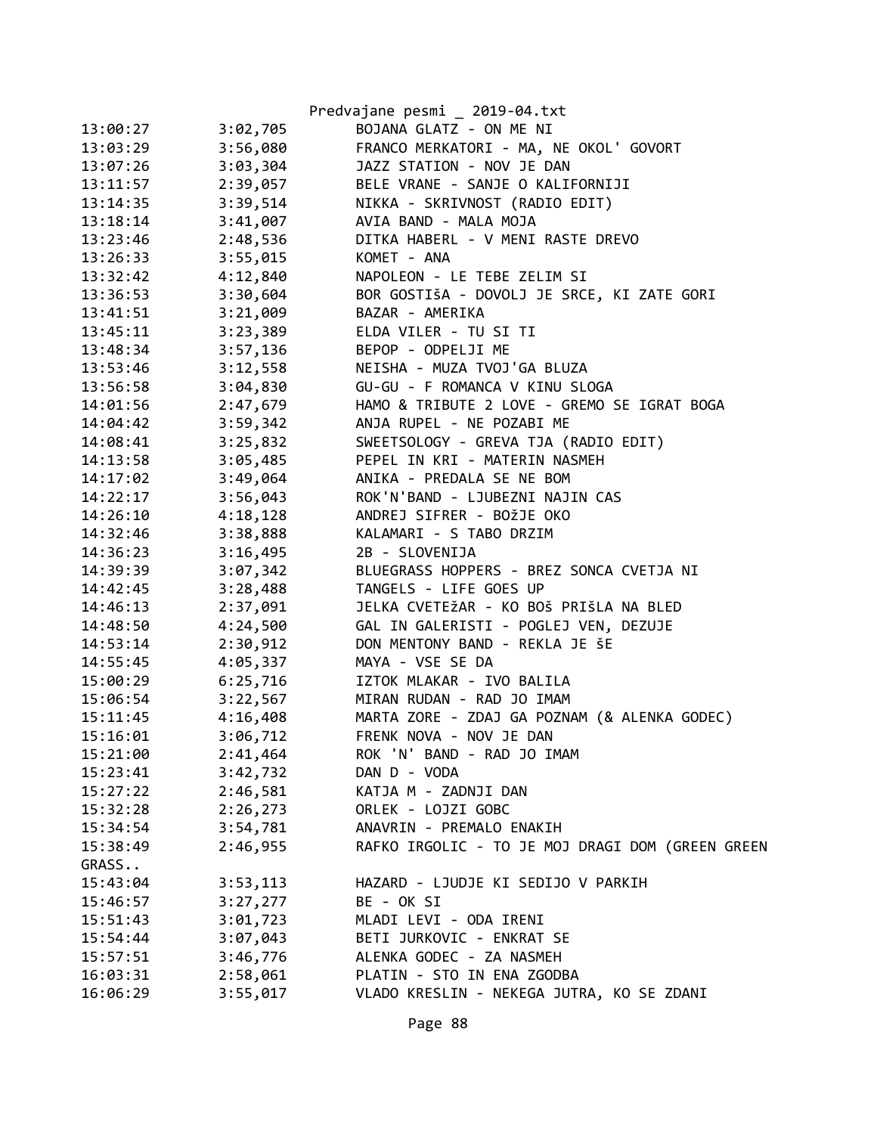|          |          | Predvajane pesmi _ 2019-04.txt                   |
|----------|----------|--------------------------------------------------|
| 13:00:27 | 3:02,705 | BOJANA GLATZ - ON ME NI                          |
| 13:03:29 | 3:56,080 | FRANCO MERKATORI - MA, NE OKOL' GOVORT           |
| 13:07:26 | 3:03,304 | JAZZ STATION - NOV JE DAN                        |
| 13:11:57 | 2:39,057 | BELE VRANE - SANJE O KALIFORNIJI                 |
| 13:14:35 | 3:39,514 | NIKKA - SKRIVNOST (RADIO EDIT)                   |
| 13:18:14 | 3:41,007 | AVIA BAND - MALA MOJA                            |
| 13:23:46 | 2:48,536 | DITKA HABERL - V MENI RASTE DREVO                |
| 13:26:33 | 3:55,015 | KOMET - ANA                                      |
| 13:32:42 | 4:12,840 | NAPOLEON - LE TEBE ZELIM SI                      |
| 13:36:53 | 3:30,604 | BOR GOSTIŠA - DOVOLJ JE SRCE, KI ZATE GORI       |
| 13:41:51 | 3:21,009 | BAZAR - AMERIKA                                  |
| 13:45:11 | 3:23,389 | ELDA VILER - TU SI TI                            |
| 13:48:34 | 3:57,136 | BEPOP - ODPELJI ME                               |
| 13:53:46 | 3:12,558 | NEISHA - MUZA TVOJ'GA BLUZA                      |
| 13:56:58 | 3:04,830 | GU-GU - F ROMANCA V KINU SLOGA                   |
| 14:01:56 | 2:47,679 | HAMO & TRIBUTE 2 LOVE - GREMO SE IGRAT BOGA      |
| 14:04:42 | 3:59,342 | ANJA RUPEL - NE POZABI ME                        |
| 14:08:41 | 3:25,832 | SWEETSOLOGY - GREVA TJA (RADIO EDIT)             |
| 14:13:58 | 3:05,485 | PEPEL IN KRI - MATERIN NASMEH                    |
| 14:17:02 | 3:49,064 | ANIKA - PREDALA SE NE BOM                        |
| 14:22:17 | 3:56,043 | ROK'N'BAND - LJUBEZNI NAJIN CAS                  |
| 14:26:10 | 4:18,128 | ANDREJ SIFRER - BOŽJE OKO                        |
| 14:32:46 | 3:38,888 | KALAMARI - S TABO DRZIM                          |
| 14:36:23 | 3:16,495 | 2B - SLOVENIJA                                   |
| 14:39:39 | 3:07,342 | BLUEGRASS HOPPERS - BREZ SONCA CVETJA NI         |
| 14:42:45 | 3:28,488 | TANGELS - LIFE GOES UP                           |
| 14:46:13 | 2:37,091 | JELKA CVETEŽAR - KO BOŠ PRIŠLA NA BLED           |
| 14:48:50 | 4:24,500 | GAL IN GALERISTI - POGLEJ VEN, DEZUJE            |
| 14:53:14 | 2:30,912 | DON MENTONY BAND - REKLA JE ŠE                   |
| 14:55:45 | 4:05,337 | MAYA - VSE SE DA                                 |
| 15:00:29 | 6:25,716 | IZTOK MLAKAR - IVO BALILA                        |
| 15:06:54 | 3:22,567 | MIRAN RUDAN - RAD JO IMAM                        |
| 15:11:45 | 4:16,408 | MARTA ZORE - ZDAJ GA POZNAM (& ALENKA GODEC)     |
| 15:16:01 | 3:06,712 | FRENK NOVA - NOV JE DAN                          |
| 15:21:00 | 2:41,464 | ROK 'N' BAND - RAD JO IMAM                       |
| 15:23:41 | 3:42,732 | DAN D - VODA                                     |
| 15:27:22 | 2:46,581 | KATJA M - ZADNJI DAN                             |
| 15:32:28 | 2:26,273 | ORLEK - LOJZI GOBC                               |
| 15:34:54 | 3:54,781 | ANAVRIN - PREMALO ENAKIH                         |
| 15:38:49 | 2:46,955 | RAFKO IRGOLIC - TO JE MOJ DRAGI DOM (GREEN GREEN |
| GRASS    |          |                                                  |
| 15:43:04 | 3:53,113 | HAZARD - LJUDJE KI SEDIJO V PARKIH               |
| 15:46:57 | 3:27,277 | BE - OK SI                                       |
| 15:51:43 | 3:01,723 | MLADI LEVI - ODA IRENI                           |
| 15:54:44 | 3:07,043 | BETI JURKOVIC - ENKRAT SE                        |
| 15:57:51 | 3:46,776 | ALENKA GODEC - ZA NASMEH                         |
| 16:03:31 | 2:58,061 | PLATIN - STO IN ENA ZGODBA                       |
| 16:06:29 | 3:55,017 | VLADO KRESLIN - NEKEGA JUTRA, KO SE ZDANI        |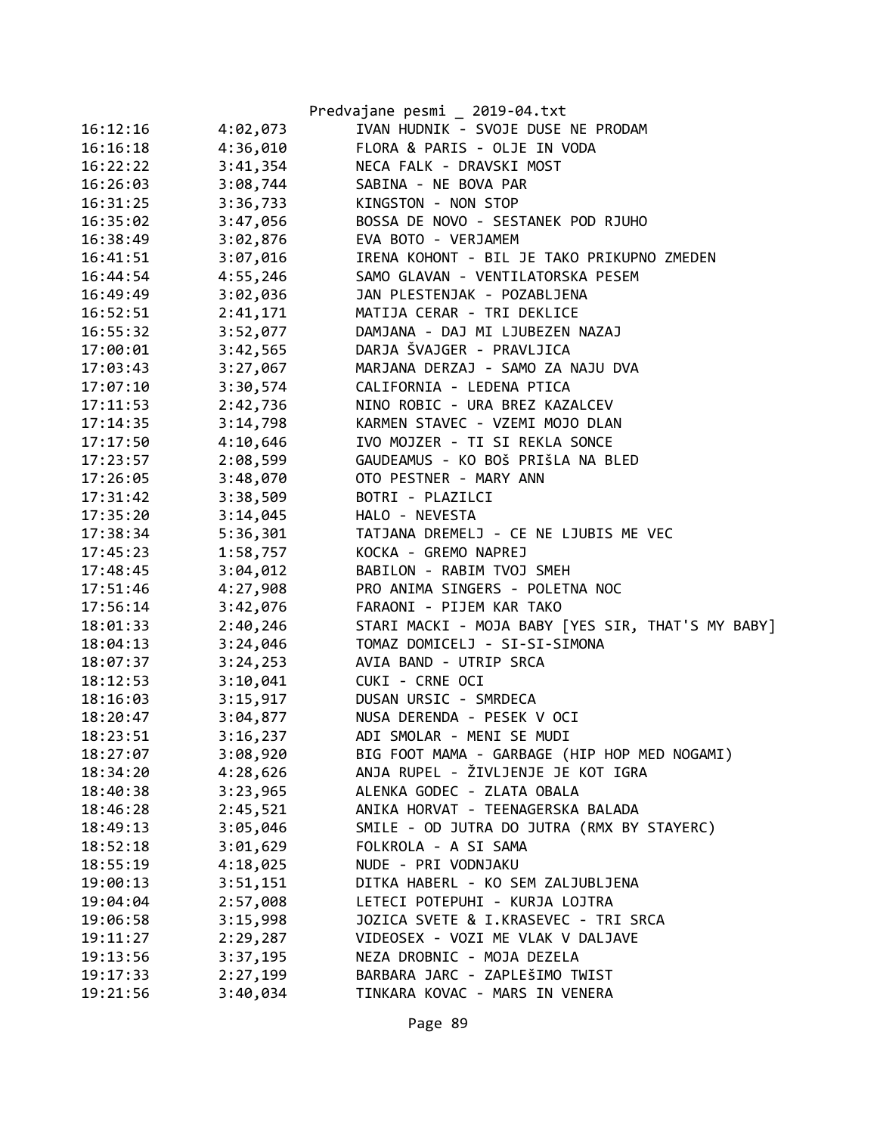|          |          | Predvajane pesmi _ 2019-04.txt                    |
|----------|----------|---------------------------------------------------|
| 16:12:16 | 4:02,073 | IVAN HUDNIK - SVOJE DUSE NE PRODAM                |
| 16:16:18 | 4:36,010 | FLORA & PARIS - OLJE IN VODA                      |
| 16:22:22 | 3:41,354 | NECA FALK - DRAVSKI MOST                          |
| 16:26:03 | 3:08,744 | SABINA - NE BOVA PAR                              |
| 16:31:25 | 3:36,733 | KINGSTON - NON STOP                               |
| 16:35:02 | 3:47,056 | BOSSA DE NOVO - SESTANEK POD RJUHO                |
| 16:38:49 | 3:02,876 | EVA BOTO - VERJAMEM                               |
| 16:41:51 | 3:07,016 | IRENA KOHONT - BIL JE TAKO PRIKUPNO ZMEDEN        |
| 16:44:54 | 4:55,246 | SAMO GLAVAN - VENTILATORSKA PESEM                 |
| 16:49:49 | 3:02,036 | JAN PLESTENJAK - POZABLJENA                       |
| 16:52:51 | 2:41,171 | MATIJA CERAR - TRI DEKLICE                        |
| 16:55:32 | 3:52,077 | DAMJANA - DAJ MI LJUBEZEN NAZAJ                   |
| 17:00:01 | 3:42,565 | DARJA ŠVAJGER - PRAVLJICA                         |
| 17:03:43 | 3:27,067 | MARJANA DERZAJ - SAMO ZA NAJU DVA                 |
| 17:07:10 | 3:30,574 | CALIFORNIA - LEDENA PTICA                         |
| 17:11:53 | 2:42,736 | NINO ROBIC - URA BREZ KAZALCEV                    |
| 17:14:35 | 3:14,798 | KARMEN STAVEC - VZEMI MOJO DLAN                   |
| 17:17:50 | 4:10,646 | IVO MOJZER - TI SI REKLA SONCE                    |
| 17:23:57 | 2:08,599 | GAUDEAMUS - KO BOŠ PRIŠLA NA BLED                 |
| 17:26:05 | 3:48,070 | OTO PESTNER - MARY ANN                            |
| 17:31:42 | 3:38,509 | BOTRI - PLAZILCI                                  |
| 17:35:20 | 3:14,045 | HALO - NEVESTA                                    |
| 17:38:34 | 5:36,301 | TATJANA DREMELJ - CE NE LJUBIS ME VEC             |
| 17:45:23 | 1:58,757 | KOCKA - GREMO NAPREJ                              |
| 17:48:45 | 3:04,012 | BABILON - RABIM TVOJ SMEH                         |
| 17:51:46 | 4:27,908 | PRO ANIMA SINGERS - POLETNA NOC                   |
| 17:56:14 | 3:42,076 | FARAONI - PIJEM KAR TAKO                          |
| 18:01:33 | 2:40,246 | STARI MACKI - MOJA BABY [YES SIR, THAT'S MY BABY] |
| 18:04:13 | 3:24,046 | TOMAZ DOMICELJ - SI-SI-SIMONA                     |
| 18:07:37 | 3:24,253 | AVIA BAND - UTRIP SRCA                            |
| 18:12:53 | 3:10,041 | CUKI - CRNE OCI                                   |
| 18:16:03 | 3:15,917 | DUSAN URSIC - SMRDECA                             |
| 18:20:47 | 3:04,877 | NUSA DERENDA - PESEK V OCI                        |
| 18:23:51 | 3:16,237 | ADI SMOLAR - MENI SE MUDI                         |
| 18:27:07 | 3:08,920 | BIG FOOT MAMA - GARBAGE (HIP HOP MED NOGAMI)      |
| 18:34:20 | 4:28,626 | ANJA RUPEL - ŽIVLJENJE JE KOT IGRA                |
| 18:40:38 | 3:23,965 | ALENKA GODEC - ZLATA OBALA                        |
| 18:46:28 | 2:45,521 | ANIKA HORVAT - TEENAGERSKA BALADA                 |
| 18:49:13 | 3:05,046 | SMILE - OD JUTRA DO JUTRA (RMX BY STAYERC)        |
| 18:52:18 | 3:01,629 | FOLKROLA - A SI SAMA                              |
| 18:55:19 | 4:18,025 | NUDE - PRI VODNJAKU                               |
| 19:00:13 | 3:51,151 | DITKA HABERL - KO SEM ZALJUBLJENA                 |
| 19:04:04 | 2:57,008 | LETECI POTEPUHI - KURJA LOJTRA                    |
| 19:06:58 | 3:15,998 | JOZICA SVETE & I.KRASEVEC - TRI SRCA              |
| 19:11:27 | 2:29,287 | VIDEOSEX - VOZI ME VLAK V DALJAVE                 |
| 19:13:56 | 3:37,195 | NEZA DROBNIC - MOJA DEZELA                        |
| 19:17:33 | 2:27,199 | BARBARA JARC - ZAPLEŠIMO TWIST                    |
| 19:21:56 | 3:40,034 | TINKARA KOVAC - MARS IN VENERA                    |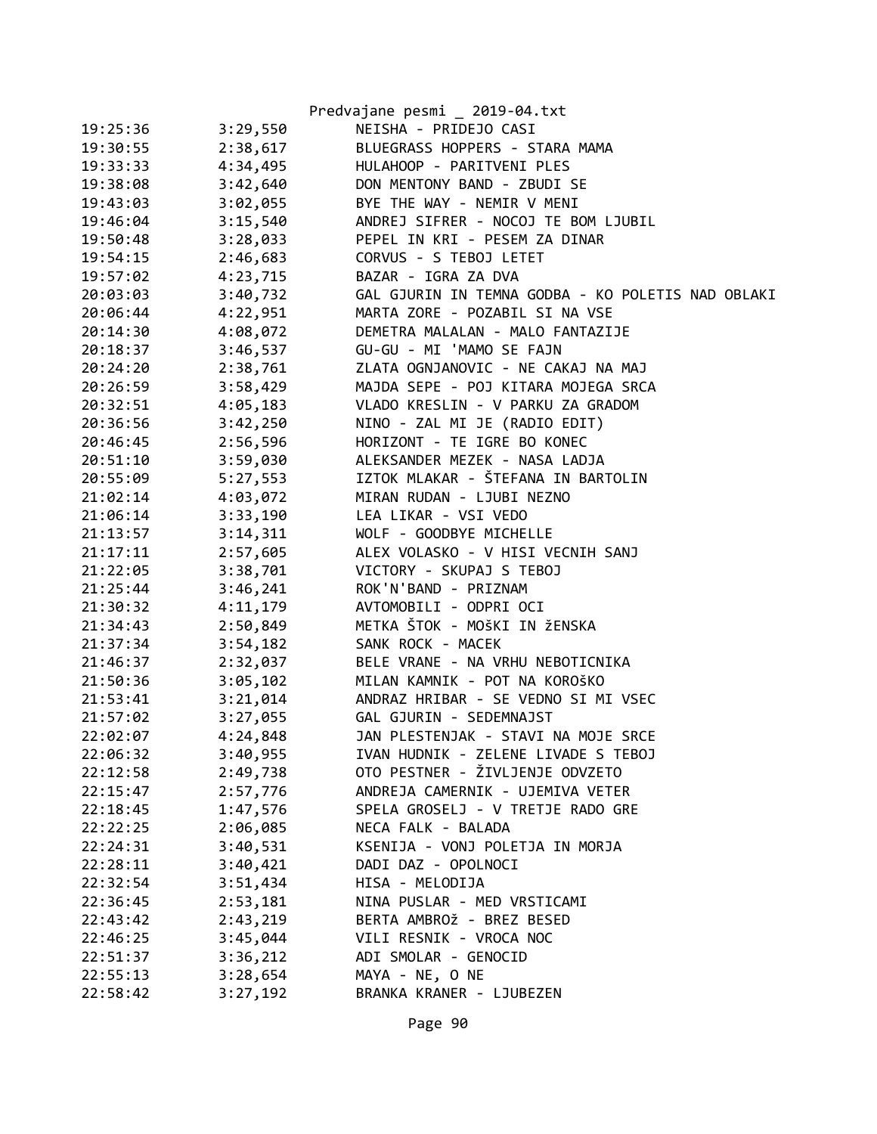|          |          | Predvajane pesmi _ 2019-04.txt                    |
|----------|----------|---------------------------------------------------|
| 19:25:36 | 3:29,550 | NEISHA - PRIDEJO CASI                             |
| 19:30:55 | 2:38,617 | BLUEGRASS HOPPERS - STARA MAMA                    |
| 19:33:33 | 4:34,495 | HULAHOOP - PARITVENI PLES                         |
| 19:38:08 | 3:42,640 | DON MENTONY BAND - ZBUDI SE                       |
| 19:43:03 | 3:02,055 | BYE THE WAY - NEMIR V MENI                        |
| 19:46:04 | 3:15,540 | ANDREJ SIFRER - NOCOJ TE BOM LJUBIL               |
| 19:50:48 | 3:28,033 | PEPEL IN KRI - PESEM ZA DINAR                     |
| 19:54:15 | 2:46,683 | CORVUS - S TEBOJ LETET                            |
| 19:57:02 | 4:23,715 | BAZAR - IGRA ZA DVA                               |
| 20:03:03 | 3:40,732 | GAL GJURIN IN TEMNA GODBA - KO POLETIS NAD OBLAKI |
| 20:06:44 | 4:22,951 | MARTA ZORE - POZABIL SI NA VSE                    |
| 20:14:30 | 4:08,072 | DEMETRA MALALAN - MALO FANTAZIJE                  |
| 20:18:37 | 3:46,537 | GU-GU - MI 'MAMO SE FAJN                          |
| 20:24:20 | 2:38,761 | ZLATA OGNJANOVIC - NE CAKAJ NA MAJ                |
| 20:26:59 | 3:58,429 | MAJDA SEPE - POJ KITARA MOJEGA SRCA               |
| 20:32:51 | 4:05,183 | VLADO KRESLIN - V PARKU ZA GRADOM                 |
| 20:36:56 | 3:42,250 | NINO - ZAL MI JE (RADIO EDIT)                     |
| 20:46:45 | 2:56,596 | HORIZONT - TE IGRE BO KONEC                       |
| 20:51:10 | 3:59,030 | ALEKSANDER MEZEK - NASA LADJA                     |
| 20:55:09 | 5:27,553 | IZTOK MLAKAR - ŠTEFANA IN BARTOLIN                |
| 21:02:14 | 4:03,072 | MIRAN RUDAN - LJUBI NEZNO                         |
| 21:06:14 | 3:33,190 | LEA LIKAR - VSI VEDO                              |
| 21:13:57 | 3:14,311 | WOLF - GOODBYE MICHELLE                           |
| 21:17:11 | 2:57,605 | ALEX VOLASKO - V HISI VECNIH SANJ                 |
| 21:22:05 | 3:38,701 | VICTORY - SKUPAJ S TEBOJ                          |
| 21:25:44 | 3:46,241 | ROK'N'BAND - PRIZNAM                              |
| 21:30:32 | 4:11,179 | AVTOMOBILI - ODPRI OCI                            |
| 21:34:43 | 2:50,849 | METKA ŠTOK - MOŠKI IN ŽENSKA                      |
| 21:37:34 | 3:54,182 | SANK ROCK - MACEK                                 |
| 21:46:37 | 2:32,037 | BELE VRANE - NA VRHU NEBOTICNIKA                  |
| 21:50:36 | 3:05,102 | MILAN KAMNIK - POT NA KOROŠKO                     |
| 21:53:41 | 3:21,014 | ANDRAZ HRIBAR - SE VEDNO SI MI VSEC               |
| 21:57:02 | 3:27,055 | GAL GJURIN - SEDEMNAJST                           |
| 22:02:07 | 4:24,848 | JAN PLESTENJAK - STAVI NA MOJE SRCE               |
| 22:06:32 | 3:40,955 | IVAN HUDNIK - ZELENE LIVADE S TEBOJ               |
| 22:12:58 | 2:49,738 | OTO PESTNER - ŽIVLJENJE ODVZETO                   |
| 22:15:47 | 2:57,776 | ANDREJA CAMERNIK - UJEMIVA VETER                  |
| 22:18:45 | 1:47,576 | SPELA GROSELJ - V TRETJE RADO GRE                 |
| 22:22:25 | 2:06,085 | NECA FALK - BALADA                                |
| 22:24:31 | 3:40,531 | KSENIJA - VONJ POLETJA IN MORJA                   |
| 22:28:11 | 3:40,421 | DADI DAZ - OPOLNOCI                               |
| 22:32:54 | 3:51,434 | HISA - MELODIJA                                   |
| 22:36:45 | 2:53,181 | NINA PUSLAR - MED VRSTICAMI                       |
| 22:43:42 | 2:43,219 | BERTA AMBROŽ - BREZ BESED                         |
| 22:46:25 | 3:45,044 | VILI RESNIK - VROCA NOC                           |
| 22:51:37 | 3:36,212 | ADI SMOLAR - GENOCID                              |
| 22:55:13 | 3:28,654 | MAYA - NE, O NE                                   |
| 22:58:42 | 3:27,192 | BRANKA KRANER - LJUBEZEN                          |

Page 90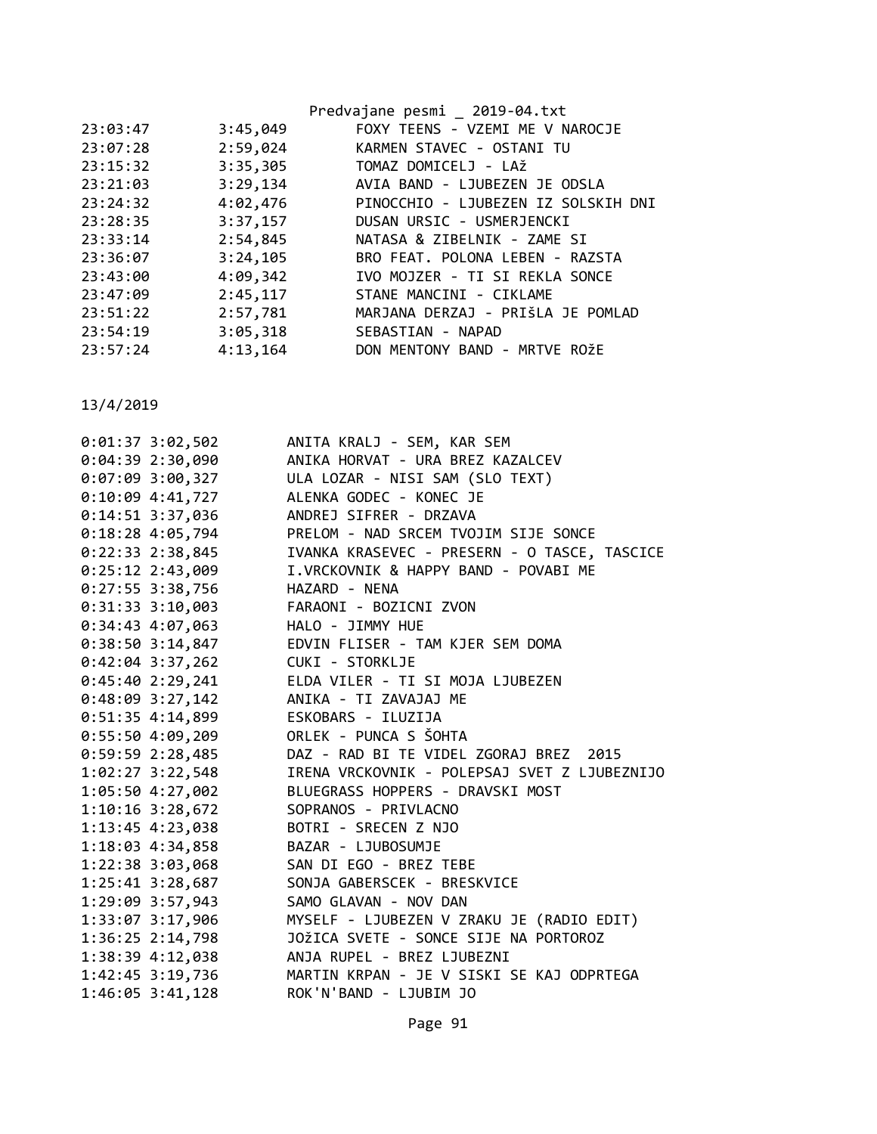|          |          | Predvajane pesmi _ 2019-04.txt      |
|----------|----------|-------------------------------------|
| 23:03:47 | 3:45,049 | FOXY TEENS - VZEMI ME V NAROCJE     |
| 23:07:28 | 2:59,024 | KARMEN STAVEC - OSTANI TU           |
| 23:15:32 | 3:35,305 | TOMAZ DOMICELJ - LAŽ                |
| 23:21:03 | 3:29,134 | AVIA BAND - LJUBEZEN JE ODSLA       |
| 23:24:32 | 4:02,476 | PINOCCHIO - LJUBEZEN IZ SOLSKIH DNI |
| 23:28:35 | 3:37,157 | DUSAN URSIC - USMERJENCKI           |
| 23:33:14 | 2:54,845 | NATASA & ZIBELNIK - ZAME SI         |
| 23:36:07 | 3:24,105 | BRO FEAT. POLONA LEBEN - RAZSTA     |
| 23:43:00 | 4:09,342 | IVO MOJZER - TI SI REKLA SONCE      |
| 23:47:09 | 2:45,117 | STANE MANCINI - CIKLAME             |
| 23:51:22 | 2:57,781 | MARJANA DERZAJ - PRIŠLA JE POMLAD   |
| 23:54:19 | 3:05,318 | SEBASTIAN - NAPAD                   |
| 23:57:24 | 4:13,164 | DON MENTONY BAND - MRTVE ROŽE       |
|          |          |                                     |

| $0:01:37$ 3:02,502   | ANITA KRALJ - SEM, KAR SEM                   |
|----------------------|----------------------------------------------|
| $0:04:39$ 2:30,090   | ANIKA HORVAT - URA BREZ KAZALCEV             |
| $0:07:09$ 3:00,327   | ULA LOZAR - NISI SAM (SLO TEXT)              |
| $0:10:09$ 4:41,727   | ALENKA GODEC - KONEC JE                      |
| 0:14:51 3:37,036     | ANDREJ SIFRER - DRZAVA                       |
| $0:18:28$ 4:05,794   | PRELOM - NAD SRCEM TVOJIM SIJE SONCE         |
| 0:22:33 2:38,845     | IVANKA KRASEVEC - PRESERN - O TASCE, TASCICE |
| $0:25:12$ 2:43,009   | I.VRCKOVNIK & HAPPY BAND - POVABI ME         |
| $0:27:55$ 3:38,756   | HAZARD - NENA                                |
| $0:31:33$ 3:10,003   | FARAONI - BOZICNI ZVON                       |
| $0:34:43$ 4:07,063   | HALO - JIMMY HUE                             |
| $0:38:50$ 3:14,847   | EDVIN FLISER - TAM KJER SEM DOMA             |
| $0:42:04$ 3:37,262   | CUKI - STORKLJE                              |
| 0:45:402:29,241      | ELDA VILER - TI SI MOJA LJUBEZEN             |
| $0:48:09$ 3:27,142   | ANIKA - TI ZAVAJAJ ME                        |
| $0:51:35$ 4:14,899   | ESKOBARS - ILUZIJA                           |
| 0:55:504:09,209      | ORLEK - PUNCA S ŠOHTA                        |
| $0:59:59$ 2:28,485   | DAZ - RAD BI TE VIDEL ZGORAJ BREZ<br>2015    |
| $1:02:27$ 3:22,548   | IRENA VRCKOVNIK - POLEPSAJ SVET Z LJUBEZNIJO |
| 1:05:50 4:27,002     | BLUEGRASS HOPPERS - DRAVSKI MOST             |
| $1:10:16$ 3:28,672   | SOPRANOS - PRIVLACNO                         |
| 1:13:45 4:23,038     | BOTRI - SRECEN Z NJO                         |
| 1:18:03 4:34,858     | BAZAR - LJUBOSUMJE                           |
| $1:22:38$ $3:03,068$ | SAN DI EGO - BREZ TEBE                       |
| $1:25:41$ $3:28,687$ | SONJA GABERSCEK - BRESKVICE                  |
| 1:29:09 3:57,943     | SAMO GLAVAN - NOV DAN                        |
| 1:33:07 3:17,906     | MYSELF - LJUBEZEN V ZRAKU JE (RADIO EDIT)    |
| $1:36:25$ $2:14,798$ | JOŽICA SVETE - SONCE SIJE NA PORTOROZ        |
| 1:38:39 4:12,038     | ANJA RUPEL - BREZ LJUBEZNI                   |
| 1:42:45 3:19,736     | MARTIN KRPAN - JE V SISKI SE KAJ ODPRTEGA    |
| 1:46:05 3:41,128     | ROK'N'BAND - LJUBIM JO                       |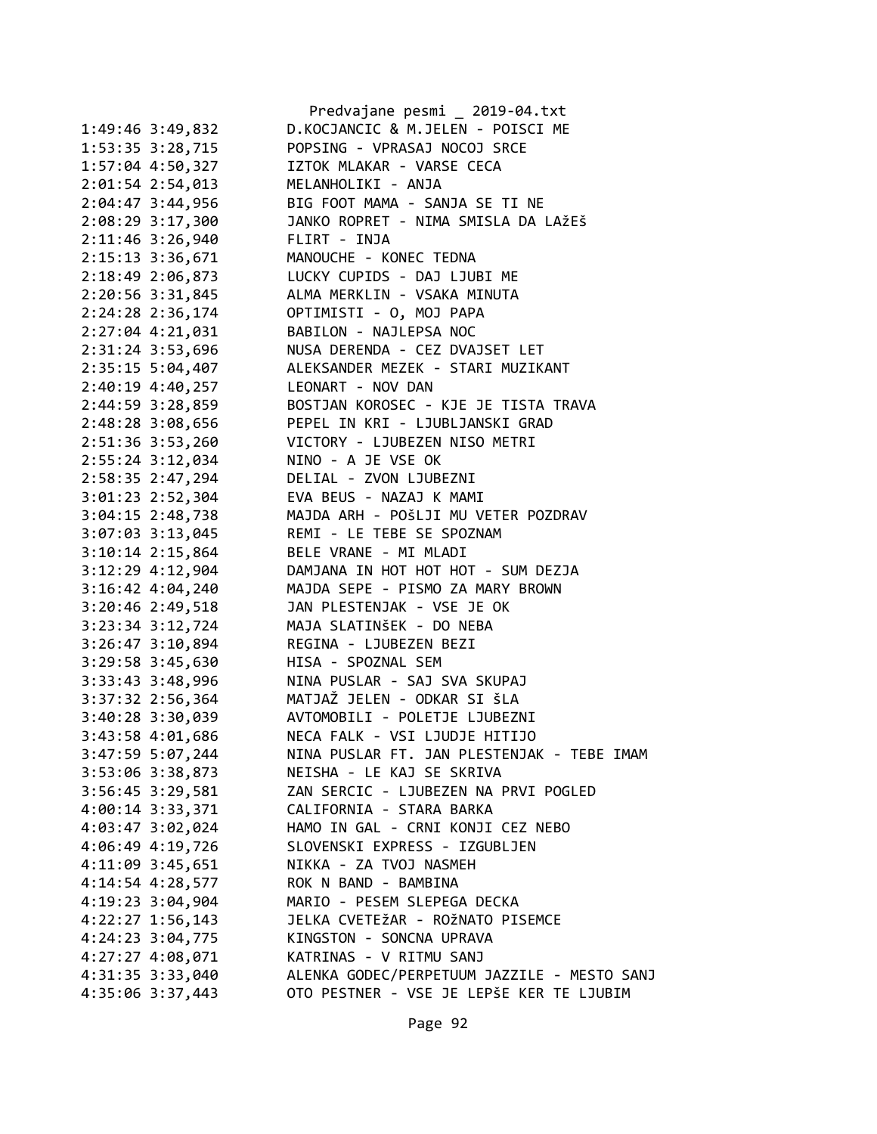|                      | Predvajane pesmi _ 2019-04.txt              |
|----------------------|---------------------------------------------|
| 1:49:46 3:49,832     | D.KOCJANCIC & M.JELEN - POISCI ME           |
| 1:53:35 3:28,715     | POPSING - VPRASAJ NOCOJ SRCE                |
| 1:57:04 4:50,327     | IZTOK MLAKAR - VARSE CECA                   |
| 2:01:54 2:54,013     | MELANHOLIKI - ANJA                          |
| 2:04:47 3:44,956     | BIG FOOT MAMA - SANJA SE TI NE              |
| 2:08:29 3:17,300     | JANKO ROPRET - NIMA SMISLA DA LAŽEŠ         |
| 2:11:46 3:26,940     | FLIRT - INJA                                |
| 2:15:13 3:36,671     | MANOUCHE - KONEC TEDNA                      |
| 2:18:49 2:06,873     | LUCKY CUPIDS - DAJ LJUBI ME                 |
| 2:20:56 3:31,845     | ALMA MERKLIN - VSAKA MINUTA                 |
| 2:24:28 2:36,174     | OPTIMISTI - O, MOJ PAPA                     |
| 2:27:04 4:21,031     | BABILON - NAJLEPSA NOC                      |
| 2:31:24 3:53,696     | NUSA DERENDA - CEZ DVAJSET LET              |
| 2:35:15 5:04,407     | ALEKSANDER MEZEK - STARI MUZIKANT           |
| 2:40:19 4:40,257     | LEONART - NOV DAN                           |
| 2:44:59 3:28,859     | BOSTJAN KOROSEC - KJE JE TISTA TRAVA        |
| 2:48:28 3:08,656     | PEPEL IN KRI - LJUBLJANSKI GRAD             |
| 2:51:36 3:53,260     | VICTORY - LJUBEZEN NISO METRI               |
| 2:55:24 3:12,034     | NINO - A JE VSE OK                          |
| 2:58:35 2:47,294     | DELIAL - ZVON LJUBEZNI                      |
| 3:01:23 2:52,304     | EVA BEUS - NAZAJ K MAMI                     |
| 3:04:15 2:48,738     | MAJDA ARH - POŠLJI MU VETER POZDRAV         |
| 3:07:03 3:13,045     | REMI - LE TEBE SE SPOZNAM                   |
| 3:10:14 2:15,864     | BELE VRANE - MI MLADI                       |
| 3:12:29 4:12,904     | DAMJANA IN HOT HOT HOT - SUM DEZJA          |
| 3:16:42 4:04,240     | MAJDA SEPE - PISMO ZA MARY BROWN            |
| 3:20:46 2:49,518     | JAN PLESTENJAK - VSE JE OK                  |
| 3:23:34 3:12,724     | MAJA SLATINŠEK - DO NEBA                    |
| 3:26:47 3:10,894     | REGINA - LJUBEZEN BEZI                      |
| 3:29:58 3:45,630     | HISA - SPOZNAL SEM                          |
| 3:33:43 3:48,996     | NINA PUSLAR - SAJ SVA SKUPAJ                |
| 3:37:32 2:56,364     | MATJAŽ JELEN - ODKAR SI ŠLA                 |
| 3:40:28 3:30,039     | AVTOMOBILI - POLETJE LJUBEZNI               |
| 3:43:58 4:01,686     | NECA FALK - VSI LJUDJE HITIJO               |
| 3:47:59 5:07,244     | NINA PUSLAR FT. JAN PLESTENJAK - TEBE IMAM  |
| 3:53:06 3:38,873     | NEISHA - LE KAJ SE SKRIVA                   |
| $3:56:45$ $3:29,581$ | ZAN SERCIC - LJUBEZEN NA PRVI POGLED        |
| 4:00:14 3:33,371     | CALIFORNIA - STARA BARKA                    |
| $4:03:47$ $3:02,024$ | HAMO IN GAL - CRNI KONJI CEZ NEBO           |
| 4:06:49 4:19,726     | SLOVENSKI EXPRESS - IZGUBLJEN               |
| 4:11:09 3:45,651     | NIKKA - ZA TVOJ NASMEH                      |
| 4:14:54 4:28,577     | ROK N BAND - BAMBINA                        |
| 4:19:23 3:04,904     | MARIO - PESEM SLEPEGA DECKA                 |
| $4:22:27$ 1:56,143   | JELKA CVETEŽAR - ROŽNATO PISEMCE            |
| 4:24:23 3:04,775     | KINGSTON - SONCNA UPRAVA                    |
| $4:27:27$ $4:08,071$ | KATRINAS - V RITMU SANJ                     |
| 4:31:35 3:33,040     | ALENKA GODEC/PERPETUUM JAZZILE - MESTO SANJ |
| 4:35:06 3:37,443     | OTO PESTNER - VSE JE LEPŠE KER TE LJUBIM    |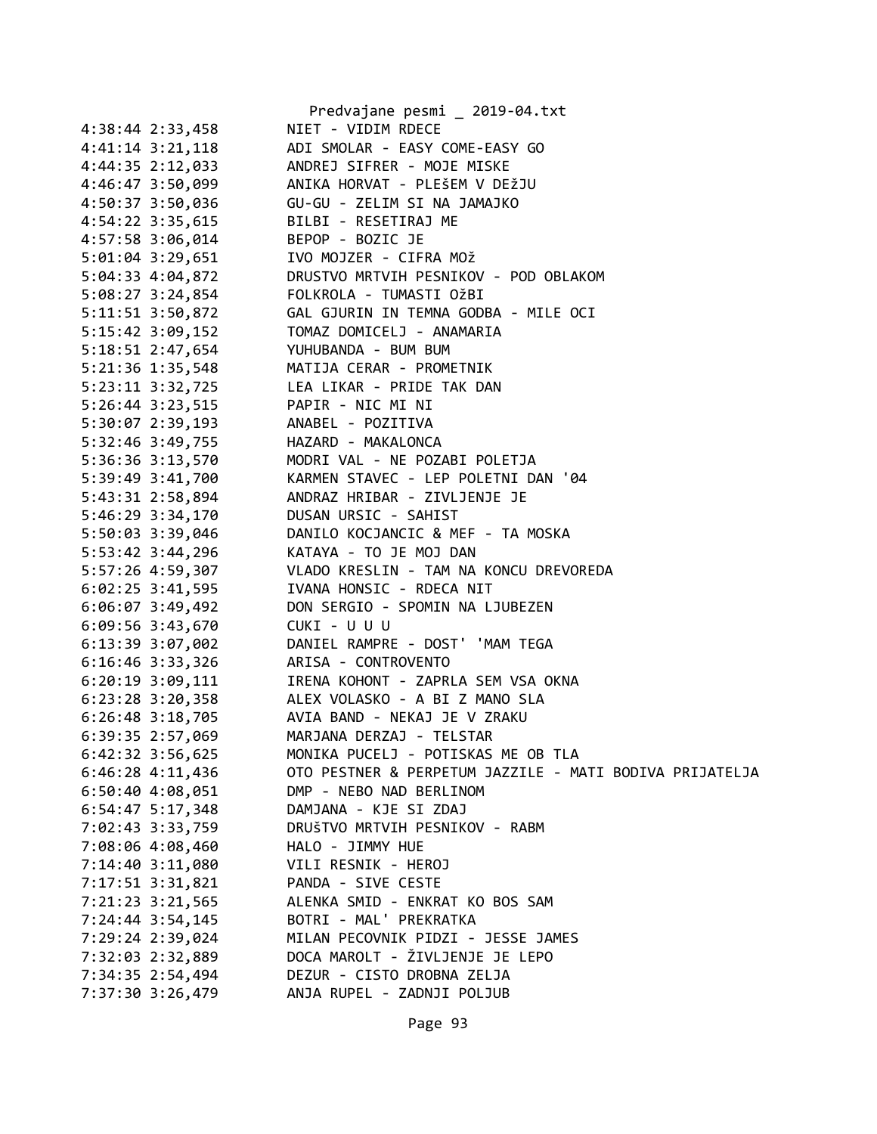|                      | Predvajane pesmi _ 2019-04.txt                                                          |
|----------------------|-----------------------------------------------------------------------------------------|
| 4:38:44 2:33,458     | NIET - VIDIM RDECE                                                                      |
|                      | 4:41:14 3:21,118 ADI SMOLAR - EASY COME-EASY GO                                         |
|                      | 4:44:35 2:12,033 ANDREJ SIFRER - MOJE MISKE                                             |
| 4:46:47 3:50,099     | ANIKA HORVAT - PLEŠEM V DEŽJU                                                           |
|                      | 4:50:37 3:50,036 GU-GU - ZELIM SI NA JAMAJKO                                            |
|                      | 4:54:22 3:35,615 BILBI - RESETIRAJ ME                                                   |
|                      | 4:57:58 3:06,014 BEPOP - BOZIC JE<br>5:01:04 3:29,651 IVO MOJZER - CIFRA MOŽ            |
|                      |                                                                                         |
|                      | 5:04:33 4:04,872 DRUSTVO MRTVIH PESNIKOV - POD OBLAKOM                                  |
|                      | 5:08:27 3:24,854 FOLKROLA - TUMASTI OŽBI                                                |
|                      | 5:11:51 3:50,872    GAL GJURIN IN TEMNA GODBA - MILE OCI                                |
|                      |                                                                                         |
|                      | 5:18:51 2:47,654 YUHUBANDA - BUM BUM                                                    |
|                      | 5:21:36 1:35,548 MATIJA CERAR - PROMETNIK<br>5:23:11 3:32,725 LEA LIKAR - PRIDE TAK DAN |
|                      |                                                                                         |
|                      | 5:26:44 3:23,515 PAPIR - NIC MI NI                                                      |
|                      | 5:30:07 2:39,193 ANABEL - POZITIVA                                                      |
|                      | 5:32:46 3:49,755 HAZARD - MAKALONCA                                                     |
|                      | 5:36:36 3:13,570 MODRI VAL - NE POZABI POLETJA                                          |
|                      | 5:39:49 3:41,700 KARMEN STAVEC - LEP POLETNI DAN '04                                    |
|                      | 5:43:31 2:58,894<br>5:46:29 3:34,170 DUSAN URSIC - SAHIST                               |
|                      |                                                                                         |
|                      | 5:50:03 3:39,046 DANILO KOCJANCIC & MEF - TA MOSKA                                      |
|                      | 5:53:42 3:44,296 KATAYA - TO JE MOJ DAN                                                 |
|                      | 5:57:26 4:59,307 VLADO KRESLIN - TAM NA KONCU DREVOREDA                                 |
|                      | 6:02:25 3:41,595 IVANA HONSIC - RDECA NIT                                               |
|                      | 6:06:07 3:49,492 DON SERGIO - SPOMIN NA LJUBEZEN                                        |
| $6:09:56$ 3:43,670   | CUKI - U U U                                                                            |
| $6:13:39$ $3:07,002$ | DANIEL RAMPRE - DOST' 'MAM TEGA                                                         |
|                      | 6:16:46 3:33,326 ARISA - CONTROVENTO                                                    |
|                      | 6:20:19 3:09,111 IRENA KOHONT - ZAPRLA SEM VSA OKNA                                     |
|                      | 6:23:28 3:20,358 ALEX VOLASKO - A BI Z MANO SLA                                         |
|                      | 6:26:48 3:18,705 AVIA BAND - NEKAJ JE V ZRAKU                                           |
| 6:39:35 2:57,069     | MARJANA DERZAJ - TELSTAR                                                                |
| 6:42:32 3:56,625     | MONIKA PUCELJ - POTISKAS ME OB TLA                                                      |
| 6:46:28 4:11,436     | OTO PESTNER & PERPETUM JAZZILE - MATI BODIVA PRIJATELJA                                 |
| 6:50:40 4:08,051     | DMP - NEBO NAD BERLINOM                                                                 |
| $6:54:47$ 5:17,348   | DAMJANA - KJE SI ZDAJ                                                                   |
| 7:02:43 3:33,759     | DRUŠTVO MRTVIH PESNIKOV - RABM                                                          |
| 7:08:06 4:08,460     | HALO - JIMMY HUE                                                                        |
| 7:14:40 3:11,080     | VILI RESNIK - HEROJ                                                                     |
| 7:17:51 3:31,821     | PANDA - SIVE CESTE                                                                      |
|                      | ALENKA SMID - ENKRAT KO BOS SAM                                                         |
| 7:21:23 3:21,565     |                                                                                         |
| 7:24:44 3:54,145     | BOTRI - MAL' PREKRATKA<br>MILAN PECOVNIK PIDZI - JESSE JAMES                            |
| 7:29:24 2:39,024     |                                                                                         |
| 7:32:03 2:32,889     | DOCA MAROLT - ŽIVLJENJE JE LEPO                                                         |
| 7:34:35 2:54,494     | DEZUR - CISTO DROBNA ZELJA                                                              |
| 7:37:30 3:26,479     | ANJA RUPEL - ZADNJI POLJUB                                                              |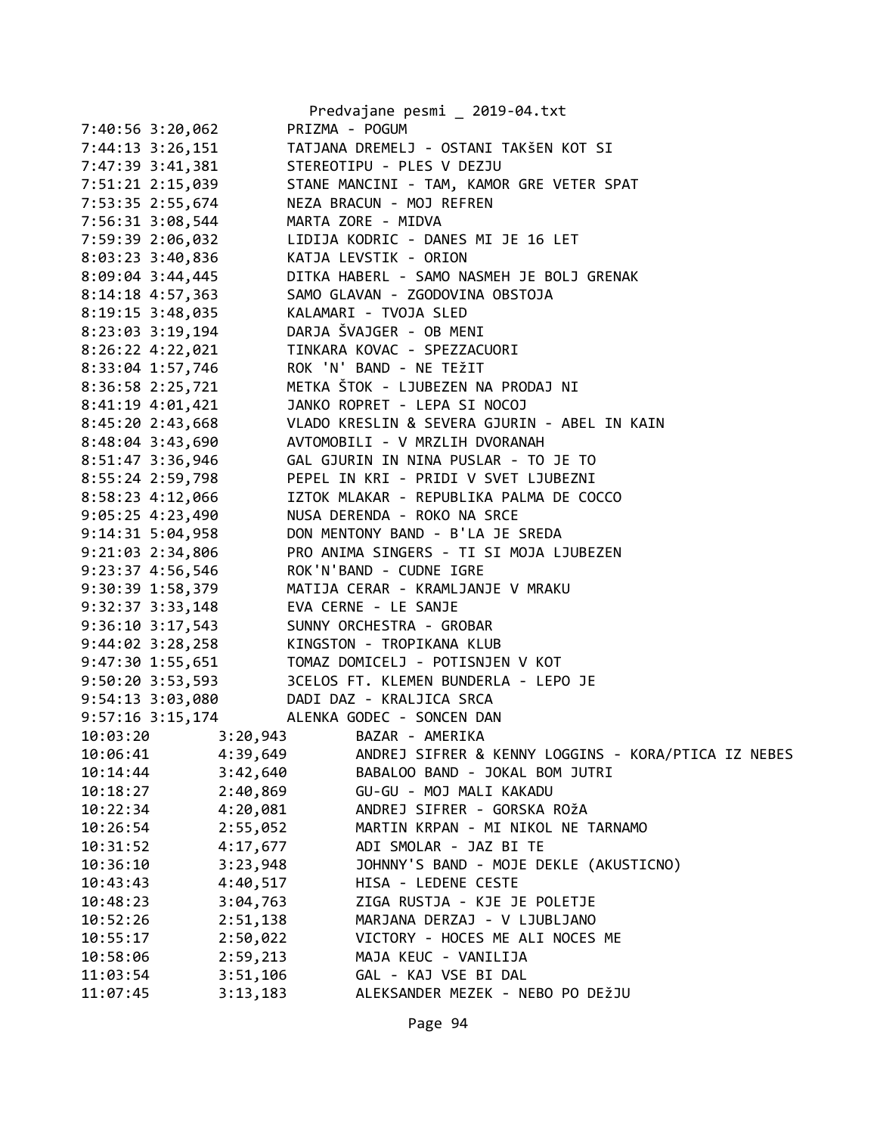|                                                             |          | Predvajane pesmi _ 2019-04.txt                                         |
|-------------------------------------------------------------|----------|------------------------------------------------------------------------|
| 7:40:56 3:20,062                                            |          | PRIZMA - POGUM                                                         |
| 7:44:13 3:26,151                                            |          | TATJANA DREMELJ - OSTANI TAKŠEN KOT SI                                 |
| 7:47:39 3:41,381                                            |          | STEREOTIPU - PLES V DEZJU                                              |
| 7:51:21 2:15,039                                            |          | STANE MANCINI - TAM, KAMOR GRE VETER SPAT                              |
| 7:53:35 2:55,674                                            |          | NEZA BRACUN - MOJ REFREN                                               |
| 7:56:31 3:08,544                                            |          | MARTA ZORE - MIDVA                                                     |
|                                                             |          |                                                                        |
|                                                             |          |                                                                        |
| 8:09:04 3:44,445                                            |          | DITKA HABERL - SAMO NASMEH JE BOLJ GRENAK                              |
| 8:14:18 4:57,363                                            |          | SAMO GLAVAN - ZGODOVINA OBSTOJA                                        |
| 8:19:15 3:48,035 KALAMARI - TVOJA SLED                      |          |                                                                        |
| 8:23:03 3:19,194                                            |          | DARJA ŠVAJGER - OB MENI                                                |
|                                                             |          | 8:26:22 4:22,021 TINKARA KOVAC - SPEZZACUORI                           |
|                                                             |          | ROK 'N' BAND - NE TEŽIT                                                |
| 8:33:04 1:57,746<br>8:36:58 2:25,721                        |          | METKA ŠTOK - LJUBEZEN NA PRODAJ NI                                     |
| 8:41:19 4:01,421                                            |          | JANKO ROPRET - LEPA SI NOCOJ                                           |
|                                                             |          | 8:45:20 2:43,668 VLADO KRESLIN & SEVERA GJURIN - ABEL IN KAIN          |
| 8:48:04 3:43,690                                            |          | AVTOMOBILI - V MRZLIH DVORANAH                                         |
| 8:51:47 3:36,946                                            |          | GAL GJURIN IN NINA PUSLAR - TO JE TO                                   |
| 8:55:24 2:59,798                                            |          | PEPEL IN KRI - PRIDI V SVET LJUBEZNI                                   |
| 8:55.24 2.55,755<br>8:58:23 4:12,066<br>9:05:25 4:23,490    |          | IZTOK MLAKAR - REPUBLIKA PALMA DE COCCO                                |
|                                                             |          | NUSA DERENDA - ROKO NA SRCE                                            |
| 9:14:31 5:04,958                                            |          | DON MENTONY BAND - B'LA JE SREDA                                       |
| 9:21:03 2:34,806                                            |          | PRO ANIMA SINGERS - TI SI MOJA LJUBEZEN                                |
| 9:23:37 4:56,546                                            |          | ROK'N'BAND - CUDNE IGRE                                                |
| 9:30:39 1:58,379                                            |          | MATIJA CERAR - KRAMLJANJE V MRAKU                                      |
| 9:32:37 3:33,148                                            |          | EVA CERNE - LE SANJE                                                   |
| 9:36:10 3:17,543<br>9.30.10 3.17, 3.12<br>9:44:02 3:28, 258 |          | SUNNY ORCHESTRA - GROBAR                                               |
|                                                             |          | KINGSTON - TROPIKANA KLUB                                              |
| 9:47:30 1:55,651                                            |          | TOMAZ DOMICELJ - POTISNJEN V KOT                                       |
|                                                             |          | 9:50:20 3:53,593 3CELOS FT. KLEMEN BUNDERLA - LEPO JE                  |
|                                                             |          | 9:54:13 3:03,080 DADI DAZ - KRALJICA SRCA<br>ALENKA GODEC - SONCEN DAN |
| 9:57:16 3:15,174<br>10:03:20                                |          | 3:20,943 BAZAR - AMERIKA                                               |
| 10:06:41                                                    | 4:39,649 | ANDREJ SIFRER & KENNY LOGGINS - KORA/PTICA IZ NEBES                    |
| 10:14:44                                                    | 3:42,640 | BABALOO BAND - JOKAL BOM JUTRI                                         |
| 10:18:27                                                    | 2:40,869 | GU-GU - MOJ MALI KAKADU                                                |
| 10:22:34                                                    | 4:20,081 | ANDREJ SIFRER - GORSKA ROŽA                                            |
| 10:26:54                                                    | 2:55,052 | MARTIN KRPAN - MI NIKOL NE TARNAMO                                     |
| 10:31:52                                                    | 4:17,677 | ADI SMOLAR - JAZ BI TE                                                 |
| 10:36:10                                                    | 3:23,948 | JOHNNY'S BAND - MOJE DEKLE (AKUSTICNO)                                 |
| 10:43:43                                                    | 4:40,517 | HISA - LEDENE CESTE                                                    |
| 10:48:23                                                    | 3:04,763 | ZIGA RUSTJA - KJE JE POLETJE                                           |
| 10:52:26                                                    | 2:51,138 | MARJANA DERZAJ - V LJUBLJANO                                           |
| 10:55:17                                                    | 2:50,022 | VICTORY - HOCES ME ALI NOCES ME                                        |
| 10:58:06                                                    | 2:59,213 | MAJA KEUC - VANILIJA                                                   |
| 11:03:54                                                    | 3:51,106 | GAL - KAJ VSE BI DAL                                                   |
| 11:07:45                                                    | 3:13,183 | ALEKSANDER MEZEK - NEBO PO DEŽJU                                       |
|                                                             |          |                                                                        |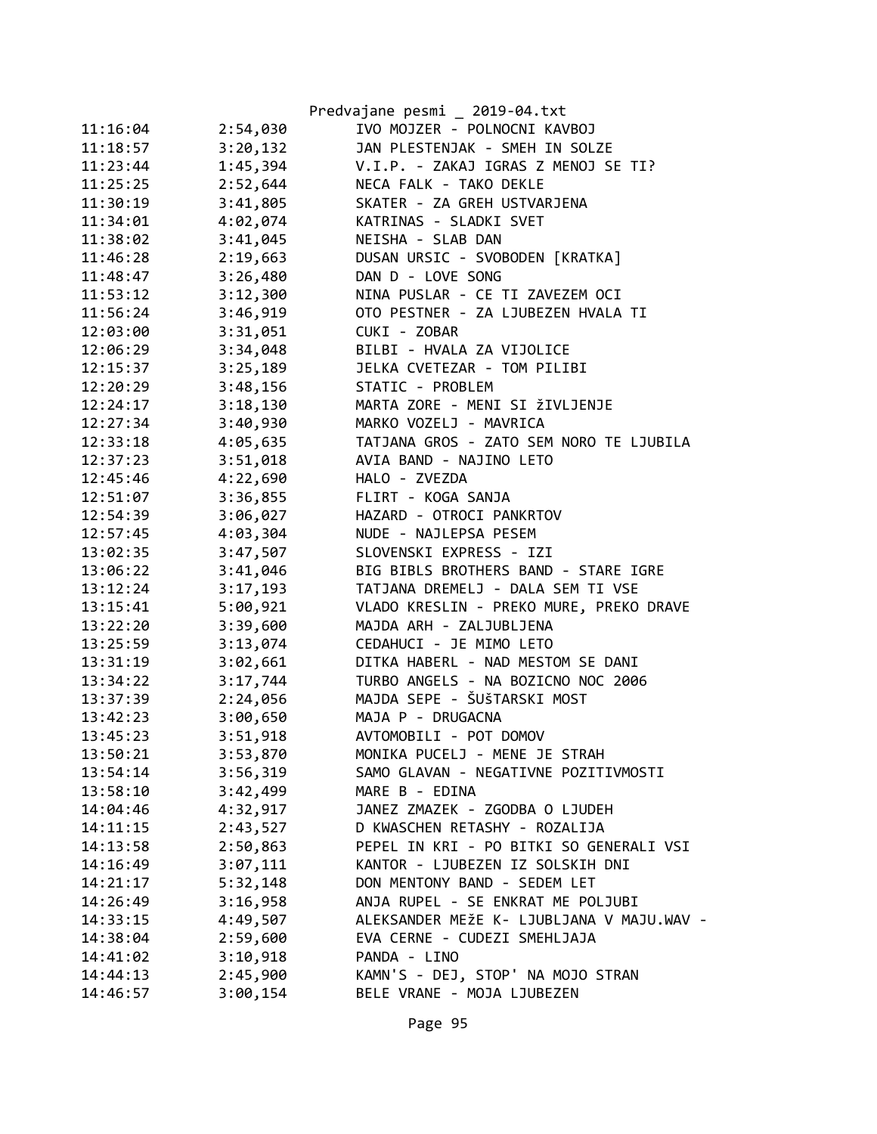|          |          | Predvajane pesmi _ 2019-04.txt            |
|----------|----------|-------------------------------------------|
| 11:16:04 | 2:54,030 | IVO MOJZER - POLNOCNI KAVBOJ              |
| 11:18:57 | 3:20,132 | JAN PLESTENJAK - SMEH IN SOLZE            |
| 11:23:44 | 1:45,394 | V.I.P. - ZAKAJ IGRAS Z MENOJ SE TI?       |
| 11:25:25 | 2:52,644 | NECA FALK - TAKO DEKLE                    |
| 11:30:19 | 3:41,805 | SKATER - ZA GREH USTVARJENA               |
| 11:34:01 | 4:02,074 | KATRINAS - SLADKI SVET                    |
| 11:38:02 | 3:41,045 | NEISHA - SLAB DAN                         |
| 11:46:28 | 2:19,663 | DUSAN URSIC - SVOBODEN [KRATKA]           |
| 11:48:47 | 3:26,480 | DAN D - LOVE SONG                         |
| 11:53:12 | 3:12,300 | NINA PUSLAR - CE TI ZAVEZEM OCI           |
| 11:56:24 | 3:46,919 | OTO PESTNER - ZA LJUBEZEN HVALA TI        |
| 12:03:00 | 3:31,051 | CUKI - ZOBAR                              |
| 12:06:29 | 3:34,048 | BILBI - HVALA ZA VIJOLICE                 |
| 12:15:37 | 3:25,189 | JELKA CVETEZAR - TOM PILIBI               |
| 12:20:29 | 3:48,156 | STATIC - PROBLEM                          |
| 12:24:17 | 3:18,130 | MARTA ZORE - MENI SI ŽIVLJENJE            |
| 12:27:34 | 3:40,930 | MARKO VOZELJ - MAVRICA                    |
| 12:33:18 | 4:05,635 | TATJANA GROS - ZATO SEM NORO TE LJUBILA   |
| 12:37:23 | 3:51,018 | AVIA BAND - NAJINO LETO                   |
| 12:45:46 | 4:22,690 | HALO - ZVEZDA                             |
| 12:51:07 | 3:36,855 | FLIRT - KOGA SANJA                        |
| 12:54:39 | 3:06,027 | HAZARD - OTROCI PANKRTOV                  |
| 12:57:45 | 4:03,304 | NUDE - NAJLEPSA PESEM                     |
| 13:02:35 | 3:47,507 | SLOVENSKI EXPRESS - IZI                   |
| 13:06:22 | 3:41,046 | BIG BIBLS BROTHERS BAND - STARE IGRE      |
| 13:12:24 | 3:17,193 | TATJANA DREMELJ - DALA SEM TI VSE         |
| 13:15:41 | 5:00,921 | VLADO KRESLIN - PREKO MURE, PREKO DRAVE   |
| 13:22:20 | 3:39,600 | MAJDA ARH - ZALJUBLJENA                   |
| 13:25:59 | 3:13,074 | CEDAHUCI - JE MIMO LETO                   |
| 13:31:19 | 3:02,661 | DITKA HABERL - NAD MESTOM SE DANI         |
| 13:34:22 | 3:17,744 | TURBO ANGELS - NA BOZICNO NOC 2006        |
| 13:37:39 | 2:24,056 | MAJDA SEPE - ŠUŠTARSKI MOST               |
| 13:42:23 | 3:00,650 | MAJA P - DRUGACNA                         |
| 13:45:23 | 3:51,918 | AVTOMOBILI - POT DOMOV                    |
| 13:50:21 | 3:53,870 | MONIKA PUCELJ - MENE JE STRAH             |
| 13:54:14 | 3:56,319 | SAMO GLAVAN - NEGATIVNE POZITIVMOSTI      |
| 13:58:10 | 3:42,499 | MARE B - EDINA                            |
| 14:04:46 | 4:32,917 | JANEZ ZMAZEK - ZGODBA O LJUDEH            |
| 14:11:15 | 2:43,527 | D KWASCHEN RETASHY - ROZALIJA             |
| 14:13:58 | 2:50,863 | PEPEL IN KRI - PO BITKI SO GENERALI VSI   |
| 14:16:49 | 3:07,111 | KANTOR - LJUBEZEN IZ SOLSKIH DNI          |
| 14:21:17 | 5:32,148 | DON MENTONY BAND - SEDEM LET              |
| 14:26:49 | 3:16,958 | ANJA RUPEL - SE ENKRAT ME POLJUBI         |
| 14:33:15 | 4:49,507 | ALEKSANDER MEŽE K- LJUBLJANA V MAJU.WAV - |
| 14:38:04 | 2:59,600 | EVA CERNE - CUDEZI SMEHLJAJA              |
| 14:41:02 | 3:10,918 | PANDA - LINO                              |
| 14:44:13 | 2:45,900 | KAMN'S - DEJ, STOP' NA MOJO STRAN         |
| 14:46:57 | 3:00,154 | BELE VRANE - MOJA LJUBEZEN                |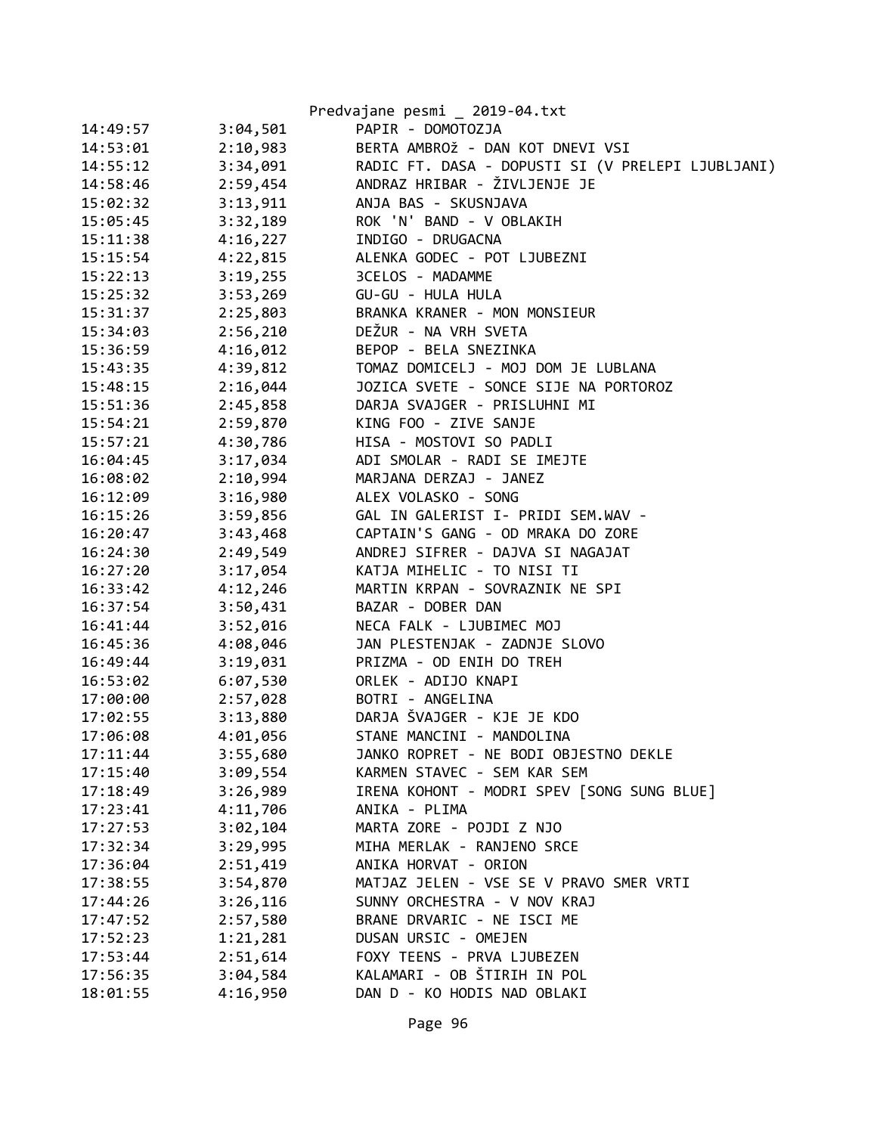|          |          | Predvajane pesmi _ 2019-04.txt                    |
|----------|----------|---------------------------------------------------|
| 14:49:57 | 3:04,501 | PAPIR - DOMOTOZJA                                 |
| 14:53:01 | 2:10,983 | BERTA AMBROŽ - DAN KOT DNEVI VSI                  |
| 14:55:12 | 3:34,091 | RADIC FT. DASA - DOPUSTI SI (V PRELEPI LJUBLJANI) |
| 14:58:46 | 2:59,454 | ANDRAZ HRIBAR - ŽIVLJENJE JE                      |
| 15:02:32 | 3:13,911 | ANJA BAS - SKUSNJAVA                              |
| 15:05:45 | 3:32,189 | ROK 'N' BAND - V OBLAKIH                          |
| 15:11:38 | 4:16,227 | INDIGO - DRUGACNA                                 |
| 15:15:54 | 4:22,815 | ALENKA GODEC - POT LJUBEZNI                       |
| 15:22:13 | 3:19,255 | 3CELOS - MADAMME                                  |
| 15:25:32 | 3:53,269 | GU-GU - HULA HULA                                 |
| 15:31:37 | 2:25,803 | BRANKA KRANER - MON MONSIEUR                      |
| 15:34:03 | 2:56,210 | DEŽUR - NA VRH SVETA                              |
| 15:36:59 | 4:16,012 | BEPOP - BELA SNEZINKA                             |
| 15:43:35 | 4:39,812 | TOMAZ DOMICELJ - MOJ DOM JE LUBLANA               |
| 15:48:15 | 2:16,044 | JOZICA SVETE - SONCE SIJE NA PORTOROZ             |
| 15:51:36 | 2:45,858 | DARJA SVAJGER - PRISLUHNI MI                      |
| 15:54:21 | 2:59,870 | KING FOO - ZIVE SANJE                             |
| 15:57:21 | 4:30,786 | HISA - MOSTOVI SO PADLI                           |
| 16:04:45 | 3:17,034 | ADI SMOLAR - RADI SE IMEJTE                       |
| 16:08:02 | 2:10,994 | MARJANA DERZAJ - JANEZ                            |
| 16:12:09 | 3:16,980 | ALEX VOLASKO - SONG                               |
| 16:15:26 | 3:59,856 | GAL IN GALERIST I- PRIDI SEM.WAV -                |
| 16:20:47 | 3:43,468 | CAPTAIN'S GANG - OD MRAKA DO ZORE                 |
| 16:24:30 | 2:49,549 | ANDREJ SIFRER - DAJVA SI NAGAJAT                  |
| 16:27:20 | 3:17,054 | KATJA MIHELIC - TO NISI TI                        |
| 16:33:42 | 4:12,246 | MARTIN KRPAN - SOVRAZNIK NE SPI                   |
| 16:37:54 | 3:50,431 | BAZAR - DOBER DAN                                 |
| 16:41:44 | 3:52,016 | NECA FALK - LJUBIMEC MOJ                          |
| 16:45:36 | 4:08,046 | JAN PLESTENJAK - ZADNJE SLOVO                     |
| 16:49:44 | 3:19,031 | PRIZMA - OD ENIH DO TREH                          |
| 16:53:02 | 6:07,530 | ORLEK - ADIJO KNAPI                               |
| 17:00:00 | 2:57,028 | BOTRI - ANGELINA                                  |
| 17:02:55 | 3:13,880 | DARJA ŠVAJGER - KJE JE KDO                        |
| 17:06:08 | 4:01,056 | STANE MANCINI - MANDOLINA                         |
| 17:11:44 | 3:55,680 | JANKO ROPRET - NE BODI OBJESTNO DEKLE             |
| 17:15:40 | 3:09,554 | KARMEN STAVEC - SEM KAR SEM                       |
| 17:18:49 | 3:26,989 | IRENA KOHONT - MODRI SPEV [SONG SUNG BLUE]        |
| 17:23:41 | 4:11,706 | ANIKA - PLIMA                                     |
| 17:27:53 | 3:02,104 | MARTA ZORE - POJDI Z NJO                          |
| 17:32:34 | 3:29,995 | MIHA MERLAK - RANJENO SRCE                        |
| 17:36:04 | 2:51,419 | ANIKA HORVAT - ORION                              |
| 17:38:55 | 3:54,870 | MATJAZ JELEN - VSE SE V PRAVO SMER VRTI           |
| 17:44:26 | 3:26,116 | SUNNY ORCHESTRA - V NOV KRAJ                      |
| 17:47:52 | 2:57,580 | BRANE DRVARIC - NE ISCI ME                        |
| 17:52:23 | 1:21,281 | DUSAN URSIC - OMEJEN                              |
| 17:53:44 | 2:51,614 | FOXY TEENS - PRVA LJUBEZEN                        |
| 17:56:35 | 3:04,584 | KALAMARI - OB ŠTIRIH IN POL                       |
| 18:01:55 | 4:16,950 | DAN D - KO HODIS NAD OBLAKI                       |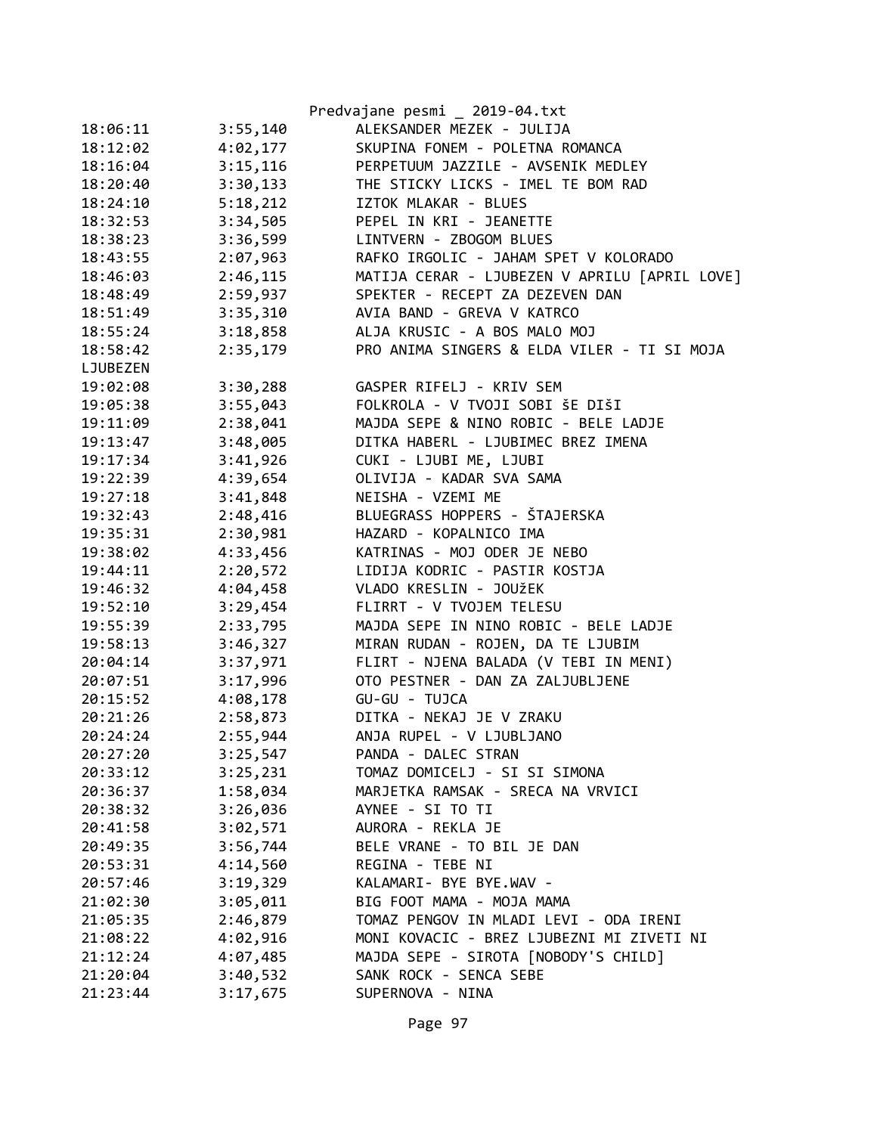|          |          | Predvajane pesmi _ 2019-04.txt                |
|----------|----------|-----------------------------------------------|
| 18:06:11 | 3:55,140 | ALEKSANDER MEZEK - JULIJA                     |
| 18:12:02 | 4:02,177 | SKUPINA FONEM - POLETNA ROMANCA               |
| 18:16:04 | 3:15,116 | PERPETUUM JAZZILE - AVSENIK MEDLEY            |
| 18:20:40 | 3:30,133 | THE STICKY LICKS - IMEL TE BOM RAD            |
| 18:24:10 | 5:18,212 | IZTOK MLAKAR - BLUES                          |
| 18:32:53 | 3:34,505 | PEPEL IN KRI - JEANETTE                       |
| 18:38:23 | 3:36,599 | LINTVERN - ZBOGOM BLUES                       |
| 18:43:55 | 2:07,963 | RAFKO IRGOLIC - JAHAM SPET V KOLORADO         |
| 18:46:03 | 2:46,115 | MATIJA CERAR - LJUBEZEN V APRILU [APRIL LOVE] |
| 18:48:49 | 2:59,937 | SPEKTER - RECEPT ZA DEZEVEN DAN               |
| 18:51:49 | 3:35,310 | AVIA BAND - GREVA V KATRCO                    |
| 18:55:24 | 3:18,858 | ALJA KRUSIC - A BOS MALO MOJ                  |
| 18:58:42 | 2:35,179 | PRO ANIMA SINGERS & ELDA VILER - TI SI MOJA   |
| LJUBEZEN |          |                                               |
| 19:02:08 | 3:30,288 | GASPER RIFELJ - KRIV SEM                      |
| 19:05:38 | 3:55,043 | FOLKROLA - V TVOJI SOBI ŠE DIŠI               |
| 19:11:09 | 2:38,041 | MAJDA SEPE & NINO ROBIC - BELE LADJE          |
| 19:13:47 | 3:48,005 | DITKA HABERL - LJUBIMEC BREZ IMENA            |
| 19:17:34 | 3:41,926 | CUKI - LJUBI ME, LJUBI                        |
| 19:22:39 | 4:39,654 | OLIVIJA - KADAR SVA SAMA                      |
| 19:27:18 | 3:41,848 | NEISHA - VZEMI ME                             |
| 19:32:43 | 2:48,416 | BLUEGRASS HOPPERS - ŠTAJERSKA                 |
| 19:35:31 | 2:30,981 | HAZARD - KOPALNICO IMA                        |
| 19:38:02 | 4:33,456 | KATRINAS - MOJ ODER JE NEBO                   |
| 19:44:11 | 2:20,572 | LIDIJA KODRIC - PASTIR KOSTJA                 |
| 19:46:32 | 4:04,458 | VLADO KRESLIN - JOUŽEK                        |
| 19:52:10 | 3:29,454 | FLIRRT - V TVOJEM TELESU                      |
| 19:55:39 | 2:33,795 | MAJDA SEPE IN NINO ROBIC - BELE LADJE         |
| 19:58:13 | 3:46,327 | MIRAN RUDAN - ROJEN, DA TE LJUBIM             |
| 20:04:14 | 3:37,971 | FLIRT - NJENA BALADA (V TEBI IN MENI)         |
| 20:07:51 | 3:17,996 | OTO PESTNER - DAN ZA ZALJUBLJENE              |
| 20:15:52 | 4:08,178 | GU-GU - TUJCA                                 |
| 20:21:26 | 2:58,873 | DITKA - NEKAJ JE V ZRAKU                      |
| 20:24:24 | 2:55,944 | ANJA RUPEL - V LJUBLJANO                      |
| 20:27:20 | 3:25,547 | PANDA - DALEC STRAN                           |
| 20:33:12 | 3:25,231 | TOMAZ DOMICELJ - SI SI SIMONA                 |
| 20:36:37 | 1:58,034 | MARJETKA RAMSAK - SRECA NA VRVICI             |
| 20:38:32 | 3:26,036 | AYNEE - SI TO TI                              |
| 20:41:58 | 3:02,571 | AURORA - REKLA JE                             |
| 20:49:35 | 3:56,744 | BELE VRANE - TO BIL JE DAN                    |
| 20:53:31 | 4:14,560 | REGINA - TEBE NI                              |
| 20:57:46 | 3:19,329 | KALAMARI- BYE BYE.WAV -                       |
| 21:02:30 | 3:05,011 | BIG FOOT MAMA - MOJA MAMA                     |
| 21:05:35 | 2:46,879 | TOMAZ PENGOV IN MLADI LEVI - ODA IRENI        |
| 21:08:22 | 4:02,916 | MONI KOVACIC - BREZ LJUBEZNI MI ZIVETI NI     |
| 21:12:24 | 4:07,485 | MAJDA SEPE - SIROTA [NOBODY'S CHILD]          |
| 21:20:04 | 3:40,532 | SANK ROCK - SENCA SEBE                        |
| 21:23:44 | 3:17,675 | SUPERNOVA - NINA                              |
|          |          |                                               |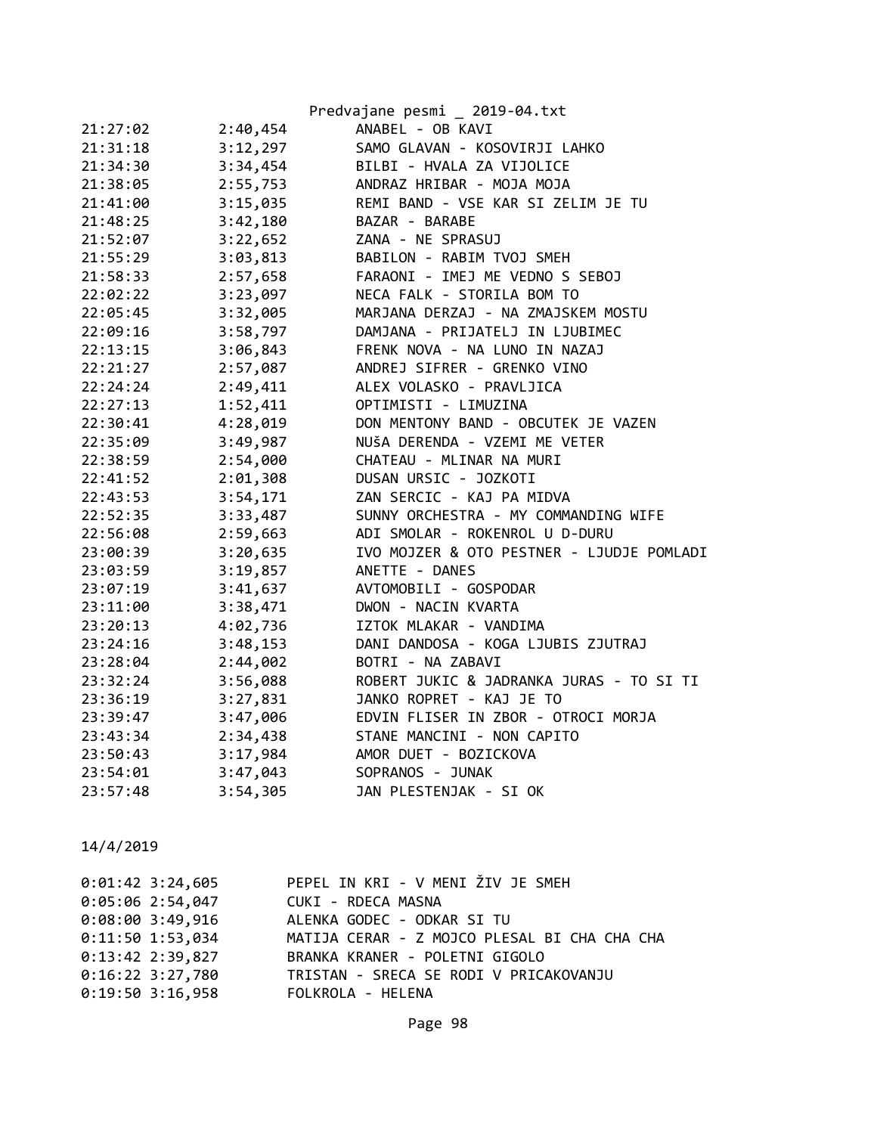|          |          | Predvajane pesmi _ 2019-04.txt            |
|----------|----------|-------------------------------------------|
| 21:27:02 | 2:40,454 | ANABEL - OB KAVI                          |
| 21:31:18 | 3:12,297 | SAMO GLAVAN - KOSOVIRJI LAHKO             |
| 21:34:30 | 3:34,454 | BILBI - HVALA ZA VIJOLICE                 |
| 21:38:05 | 2:55,753 | ANDRAZ HRIBAR - MOJA MOJA                 |
| 21:41:00 | 3:15,035 | REMI BAND - VSE KAR SI ZELIM JE TU        |
| 21:48:25 | 3:42,180 | BAZAR - BARABE                            |
| 21:52:07 | 3:22,652 | ZANA - NE SPRASUJ                         |
| 21:55:29 | 3:03,813 | BABILON - RABIM TVOJ SMEH                 |
| 21:58:33 | 2:57,658 | FARAONI - IMEJ ME VEDNO S SEBOJ           |
| 22:02:22 | 3:23,097 | NECA FALK - STORILA BOM TO                |
| 22:05:45 | 3:32,005 | MARJANA DERZAJ - NA ZMAJSKEM MOSTU        |
| 22:09:16 | 3:58,797 | DAMJANA - PRIJATELJ IN LJUBIMEC           |
| 22:13:15 | 3:06,843 | FRENK NOVA - NA LUNO IN NAZAJ             |
| 22:21:27 | 2:57,087 | ANDREJ SIFRER - GRENKO VINO               |
| 22:24:24 | 2:49,411 | ALEX VOLASKO - PRAVLJICA                  |
| 22:27:13 | 1:52,411 | OPTIMISTI - LIMUZINA                      |
| 22:30:41 | 4:28,019 | DON MENTONY BAND - OBCUTEK JE VAZEN       |
| 22:35:09 | 3:49,987 | NUŠA DERENDA - VZEMI ME VETER             |
| 22:38:59 | 2:54,000 | CHATEAU - MLINAR NA MURI                  |
| 22:41:52 | 2:01,308 | DUSAN URSIC - JOZKOTI                     |
| 22:43:53 | 3:54,171 | ZAN SERCIC - KAJ PA MIDVA                 |
| 22:52:35 | 3:33,487 | SUNNY ORCHESTRA - MY COMMANDING WIFE      |
| 22:56:08 | 2:59,663 | ADI SMOLAR - ROKENROL U D-DURU            |
| 23:00:39 | 3:20,635 | IVO MOJZER & OTO PESTNER - LJUDJE POMLADI |
| 23:03:59 | 3:19,857 | ANETTE - DANES                            |
| 23:07:19 | 3:41,637 | AVTOMOBILI - GOSPODAR                     |
| 23:11:00 | 3:38,471 | DWON - NACIN KVARTA                       |
| 23:20:13 | 4:02,736 | IZTOK MLAKAR - VANDIMA                    |
| 23:24:16 | 3:48,153 | DANI DANDOSA - KOGA LJUBIS ZJUTRAJ        |
| 23:28:04 | 2:44,002 | BOTRI - NA ZABAVI                         |
| 23:32:24 | 3:56,088 | ROBERT JUKIC & JADRANKA JURAS - TO SI TI  |
| 23:36:19 | 3:27,831 | JANKO ROPRET - KAJ JE TO                  |
| 23:39:47 | 3:47,006 | EDVIN FLISER IN ZBOR - OTROCI MORJA       |
| 23:43:34 | 2:34,438 | STANE MANCINI - NON CAPITO                |
| 23:50:43 | 3:17,984 | AMOR DUET - BOZICKOVA                     |
| 23:54:01 | 3:47,043 | SOPRANOS - JUNAK                          |
| 23:57:48 | 3:54,305 | JAN PLESTENJAK - SI OK                    |

| $0:01:42$ 3:24,605 | PEPEL IN KRI - V MENI ŽIV JE SMEH            |
|--------------------|----------------------------------------------|
| $0:05:06$ 2:54,047 | CUKI - RDECA MASNA                           |
| $0:08:00$ 3:49,916 | ALENKA GODEC - ODKAR SI TU                   |
| $0:11:50$ 1:53,034 | MATIJA CERAR - Z MOJCO PLESAL BI CHA CHA CHA |
| $0:13:42$ 2:39,827 | BRANKA KRANER - POLETNI GIGOLO               |
| $0:16:22$ 3:27,780 | TRISTAN - SRECA SE RODI V PRICAKOVANJU       |
| $0:19:50$ 3:16,958 | FOLKROLA - HELENA                            |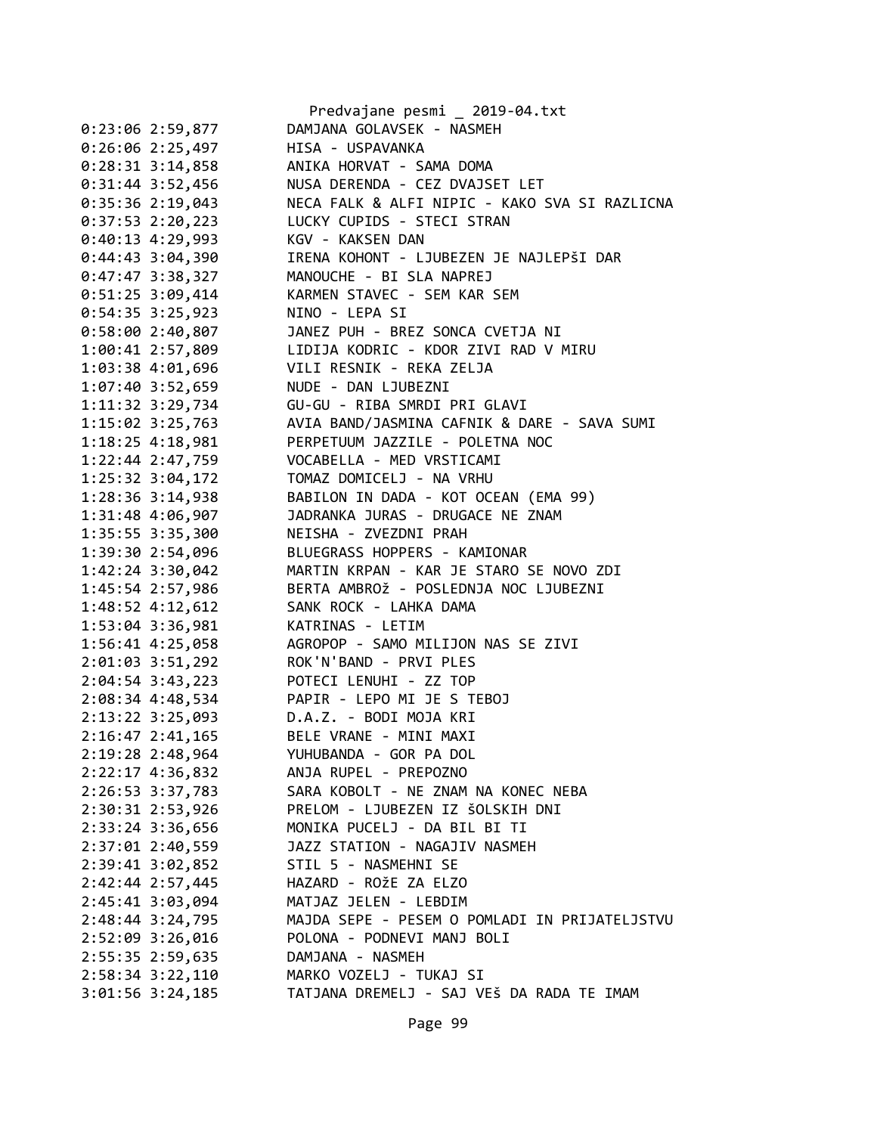|                      | Predvajane pesmi _ 2019-04.txt                |
|----------------------|-----------------------------------------------|
| $0:23:06$ 2:59,877   | DAMJANA GOLAVSEK - NASMEH                     |
| 0:26:06 2:25,497     | HISA - USPAVANKA                              |
| $0:28:31$ 3:14,858   | ANIKA HORVAT - SAMA DOMA                      |
| $0:31:44$ 3:52,456   | NUSA DERENDA - CEZ DVAJSET LET                |
| $0:35:36$ 2:19,043   | NECA FALK & ALFI NIPIC - KAKO SVA SI RAZLICNA |
| $0:37:53$ 2:20,223   | LUCKY CUPIDS - STECI STRAN                    |
| $0:40:13$ 4:29,993   | KGV - KAKSEN DAN                              |
| $0:44:43$ 3:04,390   | IRENA KOHONT - LJUBEZEN JE NAJLEPŠI DAR       |
| $0:47:47$ 3:38,327   | MANOUCHE - BI SLA NAPREJ                      |
| $0:51:25$ 3:09,414   | KARMEN STAVEC - SEM KAR SEM                   |
| $0:54:35$ 3:25,923   | NINO - LEPA SI                                |
|                      | JANEZ PUH - BREZ SONCA CVETJA NI              |
| 0:58:002:40,807      |                                               |
| 1:00:41 2:57,809     | LIDIJA KODRIC - KDOR ZIVI RAD V MIRU          |
| 1:03:38 4:01,696     | VILI RESNIK - REKA ZELJA                      |
| 1:07:40 3:52,659     | NUDE - DAN LJUBEZNI                           |
| 1:11:32 3:29,734     | GU-GU - RIBA SMRDI PRI GLAVI                  |
| 1:15:02 3:25,763     | AVIA BAND/JASMINA CAFNIK & DARE - SAVA SUMI   |
| $1:18:25$ 4:18,981   | PERPETUUM JAZZILE - POLETNA NOC               |
| $1:22:44$ $2:47,759$ | VOCABELLA - MED VRSTICAMI                     |
| 1:25:32 3:04,172     | TOMAZ DOMICELJ - NA VRHU                      |
| 1:28:36 3:14,938     | BABILON IN DADA - KOT OCEAN (EMA 99)          |
| 1:31:48 4:06,907     | JADRANKA JURAS - DRUGACE NE ZNAM              |
| 1:35:55 3:35,300     | NEISHA - ZVEZDNI PRAH                         |
| 1:39:30 2:54,096     | BLUEGRASS HOPPERS - KAMIONAR                  |
| 1:42:24 3:30,042     | MARTIN KRPAN - KAR JE STARO SE NOVO ZDI       |
| 1:45:54 2:57,986     | BERTA AMBROŽ - POSLEDNJA NOC LJUBEZNI         |
| 1:48:52 4:12,612     | SANK ROCK - LAHKA DAMA                        |
| 1:53:04 3:36,981     | KATRINAS - LETIM                              |
| 1:56:41 4:25,058     | AGROPOP - SAMO MILIJON NAS SE ZIVI            |
| 2:01:03 3:51,292     | ROK'N'BAND - PRVI PLES                        |
| $2:04:54$ 3:43,223   | POTECI LENUHI - ZZ TOP                        |
| 2:08:34 4:48,534     | PAPIR - LEPO MI JE S TEBOJ                    |
| 2:13:22 3:25,093     | D.A.Z. - BODI MOJA KRI                        |
| 2:16:47 2:41,165     | BELE VRANE - MINI MAXI                        |
| 2:19:28 2:48,964     | YUHUBANDA - GOR PA DOL                        |
|                      | ANJA RUPEL - PREPOZNO                         |
| 2:22:17 4:36,832     | SARA KOBOLT - NE ZNAM NA KONEC NEBA           |
| 2:26:53 3:37,783     |                                               |
| 2:30:31 2:53,926     | PRELOM - LJUBEZEN IZ ŠOLSKIH DNI              |
| 2:33:24 3:36,656     | MONIKA PUCELJ - DA BIL BI TI                  |
| 2:37:01 2:40,559     | JAZZ STATION - NAGAJIV NASMEH                 |
| 2:39:41 3:02,852     | STIL 5 - NASMEHNI SE                          |
| 2:42:44 2:57,445     | HAZARD - ROŽE ZA ELZO                         |
| 2:45:41 3:03,094     | MATJAZ JELEN - LEBDIM                         |
| 2:48:44 3:24,795     | MAJDA SEPE - PESEM O POMLADI IN PRIJATELJSTVU |
| 2:52:09 3:26,016     | POLONA - PODNEVI MANJ BOLI                    |
| 2:55:35 2:59,635     | DAMJANA - NASMEH                              |
| $2:58:34$ $3:22,110$ | MARKO VOZELJ - TUKAJ SI                       |
| $3:01:56$ $3:24,185$ | TATJANA DREMELJ - SAJ VEŠ DA RADA TE IMAM     |
|                      |                                               |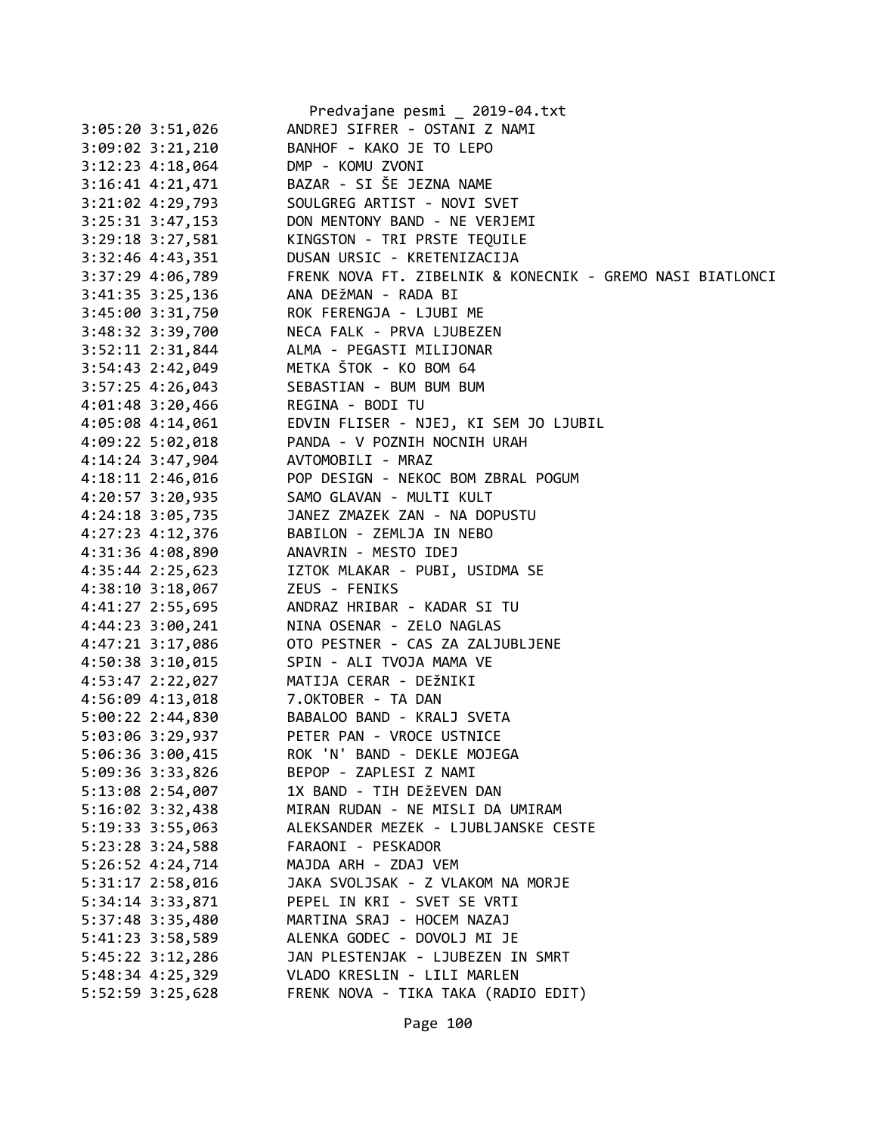|                      | Predvajane pesmi _ 2019-04.txt                            |
|----------------------|-----------------------------------------------------------|
| $3:05:20$ $3:51,026$ | ANDREJ SIFRER - OSTANI Z NAMI                             |
| $3:09:02$ $3:21,210$ | BANHOF - KAKO JE TO LEPO                                  |
| 3:12:23 4:18,064     | DMP - KOMU ZVONI                                          |
| 3:16:41 4:21,471     | BAZAR - SI ŠE JEZNA NAME                                  |
| 3:21:02 4:29,793     | SOULGREG ARTIST - NOVI SVET                               |
| $3:25:31$ $3:47,153$ | DON MENTONY BAND - NE VERJEMI                             |
| $3:29:18$ $3:27,581$ | KINGSTON - TRI PRSTE TEQUILE                              |
| 3:32:46 4:43,351     | DUSAN URSIC - KRETENIZACIJA                               |
| 3:37:29 4:06,789     | FRENK NOVA FT. ZIBELNIK & KONECNIK - GREMO NASI BIATLONCI |
| 3:41:35 3:25,136     | ANA DEŽMAN - RADA BI                                      |
| 3:45:00 3:31,750     | ROK FERENGJA - LJUBI ME                                   |
| 3:48:32 3:39,700     | NECA FALK - PRVA LJUBEZEN                                 |
| 3:52:11 2:31,844     | ALMA - PEGASTI MILIJONAR                                  |
| 3:54:43 2:42,049     | METKA ŠTOK - KO BOM 64                                    |
| 3:57:25 4:26,043     | SEBASTIAN - BUM BUM BUM                                   |
| 4:01:48 3:20,466     | REGINA - BODI TU                                          |
| 4:05:08 4:14,061     | EDVIN FLISER - NJEJ, KI SEM JO LJUBIL                     |
| $4:09:22$ 5:02,018   | PANDA - V POZNIH NOCNIH URAH                              |
| 4:14:24 3:47,904     | AVTOMOBILI - MRAZ                                         |
|                      | POP DESIGN - NEKOC BOM ZBRAL POGUM                        |
| 4:18:11 2:46,016     |                                                           |
| 4:20:57 3:20,935     | SAMO GLAVAN - MULTI KULT                                  |
| $4:24:18$ 3:05,735   | JANEZ ZMAZEK ZAN - NA DOPUSTU                             |
| 4:27:23 4:12,376     | BABILON - ZEMLJA IN NEBO                                  |
| 4:31:36 4:08,890     | ANAVRIN - MESTO IDEJ                                      |
| 4:35:44 2:25,623     | IZTOK MLAKAR - PUBI, USIDMA SE                            |
| $4:38:10$ $3:18,067$ | ZEUS - FENIKS                                             |
| 4:41:27 2:55,695     | ANDRAZ HRIBAR - KADAR SI TU                               |
| 4:44:23 3:00,241     | NINA OSENAR - ZELO NAGLAS                                 |
| 4:47:21 3:17,086     | OTO PESTNER - CAS ZA ZALJUBLJENE                          |
| 4:50:38 3:10,015     | SPIN - ALI TVOJA MAMA VE                                  |
| 4:53:47 2:22,027     | MATIJA CERAR - DEŽNIKI                                    |
| 4:56:09 4:13,018     | 7.OKTOBER - TA DAN                                        |
| 5:00:22 2:44,830     | BABALOO BAND - KRALJ SVETA                                |
| 5:03:06 3:29,937     | PETER PAN - VROCE USTNICE                                 |
| 5:06:36 3:00,415     | ROK 'N' BAND - DEKLE MOJEGA                               |
| 5:09:36 3:33,826     | BEPOP - ZAPLESI Z NAMI                                    |
| 5:13:08 2:54,007     | 1X BAND - TIH DEŽEVEN DAN                                 |
| 5:16:02 3:32,438     | MIRAN RUDAN - NE MISLI DA UMIRAM                          |
| 5:19:33 3:55,063     | ALEKSANDER MEZEK - LJUBLJANSKE CESTE                      |
| 5:23:28 3:24,588     | FARAONI - PESKADOR                                        |
| 5:26:52 4:24,714     | MAJDA ARH - ZDAJ VEM                                      |
| 5:31:17 2:58,016     | JAKA SVOLJSAK - Z VLAKOM NA MORJE                         |
| 5:34:14 3:33,871     | PEPEL IN KRI - SVET SE VRTI                               |
| 5:37:48 3:35,480     | MARTINA SRAJ - HOCEM NAZAJ                                |
| 5:41:23 3:58,589     | ALENKA GODEC - DOVOLJ MI JE                               |
| 5:45:22 3:12,286     | JAN PLESTENJAK - LJUBEZEN IN SMRT                         |
| 5:48:34 4:25,329     | VLADO KRESLIN - LILI MARLEN                               |
| 5:52:59 3:25,628     | FRENK NOVA - TIKA TAKA (RADIO EDIT)                       |
|                      |                                                           |
|                      |                                                           |

Page 100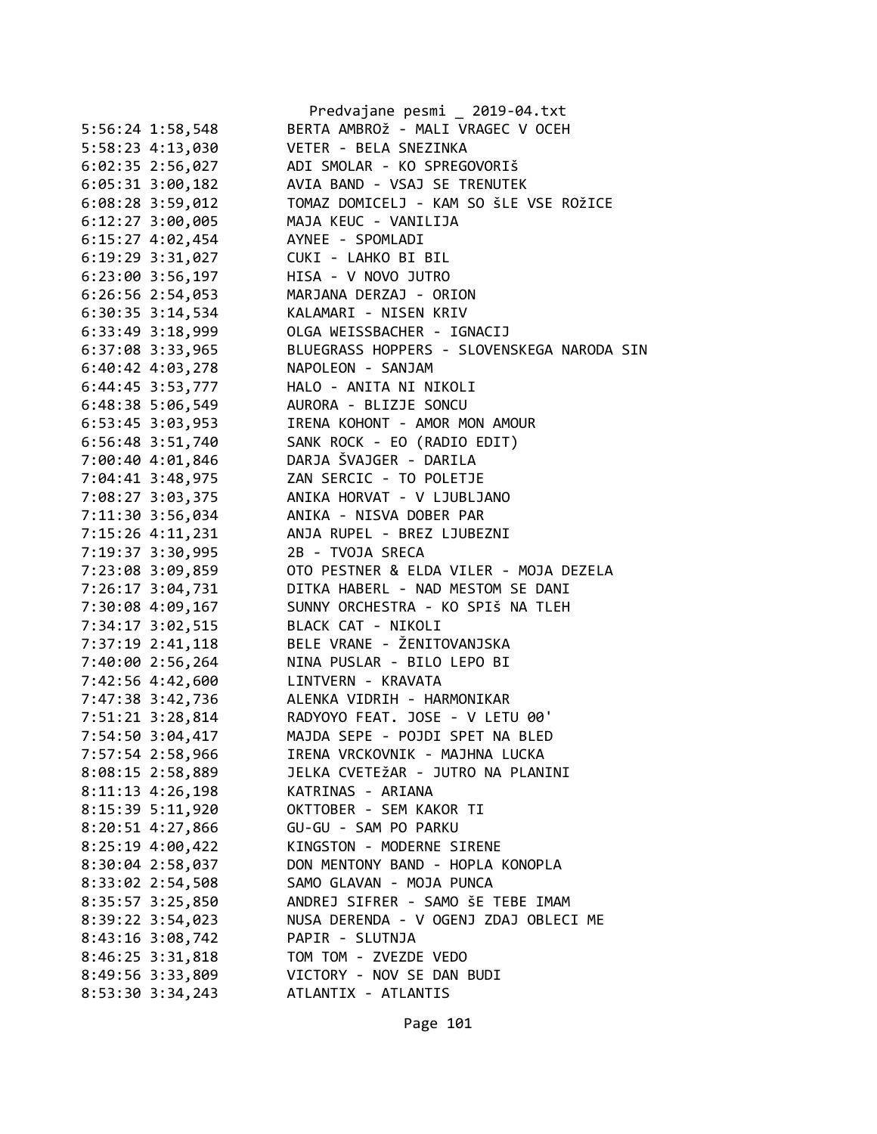|                      | Predvajane pesmi _ 2019-04.txt                   |
|----------------------|--------------------------------------------------|
| $5:56:24$ 1:58,548   | BERTA AMBROŽ - MALI VRAGEC V OCEH                |
| 5:58:23 4:13,030     | VETER - BELA SNEZINKA                            |
| $6:02:35$ 2:56,027   | ADI SMOLAR - KO SPREGOVORIŠ                      |
| $6:05:31$ $3:00,182$ | AVIA BAND - VSAJ SE TRENUTEK                     |
| $6:08:28$ 3:59,012   | TOMAZ DOMICELJ - KAM SO ŠLE VSE ROŽICE           |
| $6:12:27$ 3:00,005   | MAJA KEUC - VANILIJA                             |
| 6:15:27 4:02,454     | AYNEE - SPOMLADI                                 |
| 6:19:29 3:31,027     | CUKI - LAHKO BI BIL                              |
| $6:23:00$ $3:56,197$ | HISA - V NOVO JUTRO                              |
| $6:26:56$ 2:54,053   | MARJANA DERZAJ - ORION                           |
| 6:30:35 3:14,534     | KALAMARI - NISEN KRIV                            |
| 6:33:49 3:18,999     | OLGA WEISSBACHER - IGNACIJ                       |
| 6:37:08 3:33,965     | BLUEGRASS HOPPERS - SLOVENSKEGA NARODA SIN       |
| 6:40:42 4:03,278     | NAPOLEON - SANJAM                                |
| 6:44:45 3:53,777     | HALO - ANITA NI NIKOLI                           |
| 6:48:38 5:06,549     | AURORA - BLIZJE SONCU                            |
| 6:53:45 3:03,953     | IRENA KOHONT - AMOR MON AMOUR                    |
| 6:56:48 3:51,740     | SANK ROCK - EO (RADIO EDIT)                      |
| 7:00:40 4:01,846     | DARJA ŠVAJGER - DARILA                           |
| 7:04:41 3:48,975     | ZAN SERCIC - TO POLETJE                          |
| 7:08:27 3:03,375     | ANIKA HORVAT - V LJUBLJANO                       |
| 7:11:30 3:56,034     | ANIKA - NISVA DOBER PAR                          |
| 7:15:26 4:11,231     | ANJA RUPEL - BREZ LJUBEZNI                       |
| 7:19:37 3:30,995     | 2B - TVOJA SRECA                                 |
| 7:23:08 3:09,859     | OTO PESTNER & ELDA VILER - MOJA DEZELA           |
| 7:26:17 3:04,731     | DITKA HABERL - NAD MESTOM SE DANI                |
| 7:30:08 4:09,167     | SUNNY ORCHESTRA - KO SPIŠ NA TLEH                |
| 7:34:17 3:02,515     | BLACK CAT - NIKOLI                               |
|                      | BELE VRANE - ŽENITOVANJSKA                       |
| 7:37:19 2:41,118     |                                                  |
| 7:40:00 2:56,264     | NINA PUSLAR - BILO LEPO BI                       |
| 7:42:56 4:42,600     | LINTVERN - KRAVATA                               |
| 7:47:38 3:42,736     | ALENKA VIDRIH - HARMONIKAR                       |
|                      | 7:51:21 3:28,814 RADYOYO FEAT. JOSE - V LETU 00' |
| 7:54:50 3:04,417     | MAJDA SEPE - POJDI SPET NA BLED                  |
| 7:57:54 2:58,966     | IRENA VRCKOVNIK - MAJHNA LUCKA                   |
| 8:08:15 2:58,889     | JELKA CVETEŽAR - JUTRO NA PLANINI                |
| 8:11:13 4:26,198     | KATRINAS - ARIANA                                |
| 8:15:39 5:11,920     | OKTTOBER - SEM KAKOR TI                          |
| 8:20:51 4:27,866     | GU-GU - SAM PO PARKU                             |
| 8:25:19 4:00,422     | KINGSTON - MODERNE SIRENE                        |
| 8:30:04 2:58,037     | DON MENTONY BAND - HOPLA KONOPLA                 |
| 8:33:02 2:54,508     | SAMO GLAVAN - MOJA PUNCA                         |
| 8:35:57 3:25,850     | ANDREJ SIFRER - SAMO ŠE TEBE IMAM                |
| 8:39:22 3:54,023     | NUSA DERENDA - V OGENJ ZDAJ OBLECI ME            |
| 8:43:16 3:08,742     | PAPIR - SLUTNJA                                  |
| 8:46:25 3:31,818     | TOM TOM - ZVEZDE VEDO                            |
| 8:49:56 3:33,809     | VICTORY - NOV SE DAN BUDI                        |
| 8:53:30 3:34,243     | ATLANTIX - ATLANTIS                              |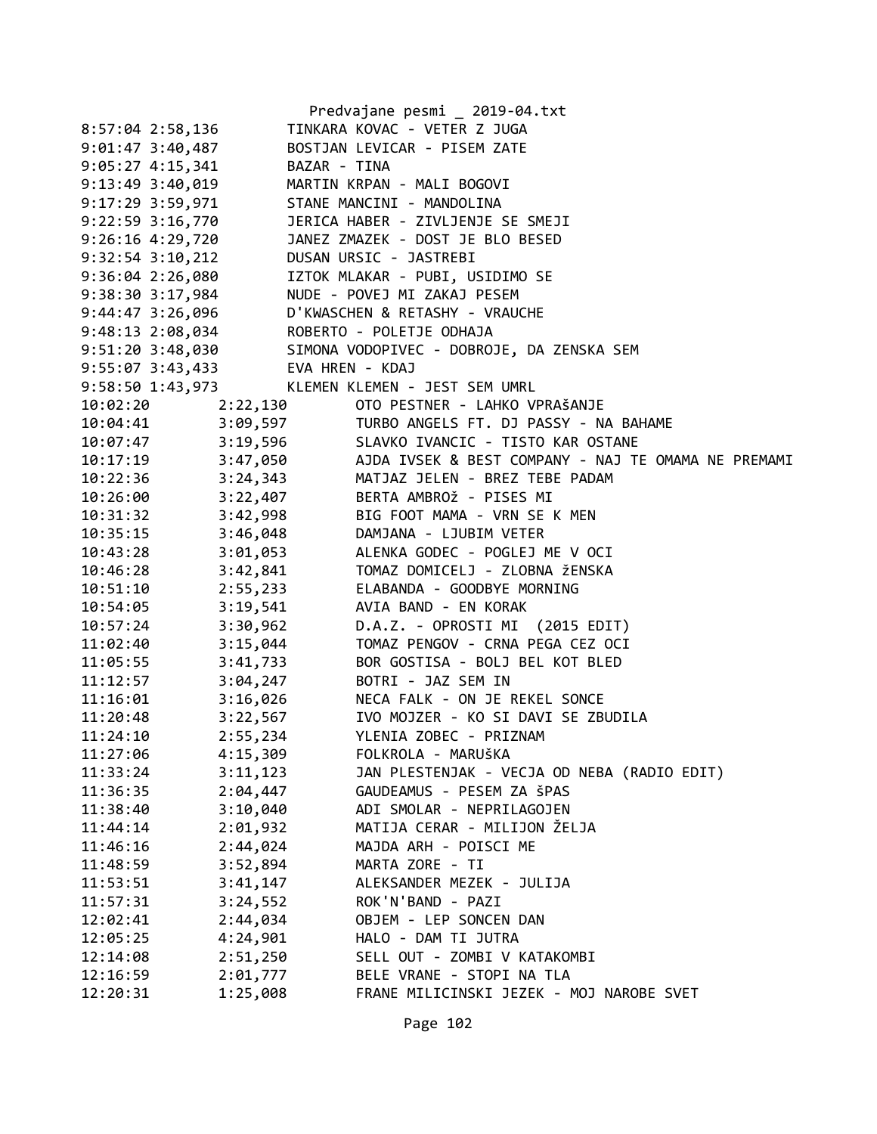|                      |                                  | Predvajane pesmi _ 2019-04.txt                                                                                |
|----------------------|----------------------------------|---------------------------------------------------------------------------------------------------------------|
| 8:57:04 2:58,136     |                                  | TINKARA KOVAC - VETER Z JUGA                                                                                  |
| $9:01:47$ 3:40,487   |                                  | BOSTJAN LEVICAR - PISEM ZATE                                                                                  |
| $9:05:27$ 4:15,341   | BAZAR - TINA                     |                                                                                                               |
| $9:13:49$ $3:40,019$ |                                  | MARTIN KRPAN - MALI BOGOVI                                                                                    |
| 9:17:29 3:59,971     |                                  | STANE MANCINI - MANDOLINA                                                                                     |
| $9:22:59$ $3:16,770$ |                                  | JERICA HABER - ZIVLJENJE SE SMEJI                                                                             |
| $9:26:16$ $4:29,720$ |                                  | JANEZ ZMAZEK - DOST JE BLO BESED                                                                              |
| $9:32:54$ $3:10,212$ |                                  | DUSAN URSIC - JASTREBI                                                                                        |
| 9:36:04 2:26,080     |                                  | IZTOK MLAKAR - PUBI, USIDIMO SE                                                                               |
| 9:38:30 3:17,984     |                                  | NUDE - POVEJ MI ZAKAJ PESEM                                                                                   |
| $9:44:47$ 3:26,096   |                                  | D'KWASCHEN & RETASHY - VRAUCHE                                                                                |
|                      |                                  | 9:48:13 2:08,034 ROBERTO - POLETJE ODHAJA                                                                     |
|                      |                                  | 9:51:20 3:48,030 SIMONA VODOPIVEC - DOBROJE, DA ZENSKA SEM                                                    |
|                      | 9:55:07 3:43,433 EVA HREN - KDAJ |                                                                                                               |
| 9:58:50 1:43,973     |                                  | KLEMEN KLEMEN - JEST SEM UMRL                                                                                 |
|                      |                                  | 10:02:20 2:22,130 OTO PESTNER - LAHKO VPRAŠANJE                                                               |
|                      |                                  | 10:04:41 3:09,597 TURBO ANGELS FT. DJ PASSY - NA BAHAME                                                       |
|                      |                                  | 10:07:47 3:19,596 SLAVKO IVANCIC - TISTO KAR OSTANE                                                           |
|                      |                                  | 10:17:19 3:47,050 AJDA IVSEK & BEST COMPANY - NAJ TE OMAMA NE PREMAMI                                         |
|                      |                                  | 10:22:36 3:24,343 MATJAZ JELEN - BREZ TEBE PADAM                                                              |
| 10:26:00             |                                  |                                                                                                               |
| 10:31:32             |                                  | 3:22,407<br>3:42,998 BIG FOOT MAMA - VRN SE K MEN<br>3:46,048 DAMJANA - LJUBIM VETER<br>ALTAWA - LJUBIM VETER |
| 10:35:15             |                                  |                                                                                                               |
| 10:43:28             |                                  | 3:01,053 ALENKA GODEC - POGLEJ ME V OCI                                                                       |
| 10:46:28             |                                  | 3:42,841 TOMAZ DOMICELJ - ZLOBNA ŽENSKA                                                                       |
| 10:51:10             |                                  | 2:55,233 ELABANDA - GOODBYE MORNING                                                                           |
| 10:54:05             |                                  | 3:19,541 AVIA BAND - EN KORAK                                                                                 |
| 10:57:24             |                                  | 3:30,962 D.A.Z. - OPROSTI MI (2015 EDIT)                                                                      |
| 11:02:40             | 3:15,044                         | TOMAZ PENGOV - CRNA PEGA CEZ OCI                                                                              |
| 11:05:55             |                                  | 3:41,733 BOR GOSTISA - BOLJ BEL KOT BLED                                                                      |
| 11:12:57             |                                  | 3:04,247 BOTRI - JAZ SEM IN                                                                                   |
| 11:16:01             |                                  | 3:16,026 NECA FALK - ON JE REKEL SONCE                                                                        |
| 11:20:48             |                                  | 3:22,567 IVO MOJZER - KO SI DAVI SE ZBUDILA                                                                   |
| 11:24:10             |                                  | 2:55,234 YLENIA ZOBEC - PRIZNAM                                                                               |
| 11:27:06             | 4:15,309                         | FOLKROLA - MARUŠKA                                                                                            |
| 11:33:24             | 3:11,123                         | JAN PLESTENJAK - VECJA OD NEBA (RADIO EDIT)                                                                   |
| 11:36:35             | 2:04,447                         | GAUDEAMUS - PESEM ZA ŠPAS                                                                                     |
| 11:38:40             | 3:10,040                         | ADI SMOLAR - NEPRILAGOJEN                                                                                     |
| 11:44:14             | 2:01,932                         | MATIJA CERAR - MILIJON ŽELJA                                                                                  |
| 11:46:16             | 2:44,024                         | MAJDA ARH - POISCI ME                                                                                         |
|                      | 3:52,894                         | MARTA ZORE - TI                                                                                               |
| 11:48:59             |                                  |                                                                                                               |
| 11:53:51             | 3:41,147                         | ALEKSANDER MEZEK - JULIJA                                                                                     |
| 11:57:31             | 3:24,552                         | ROK'N'BAND - PAZI                                                                                             |
| 12:02:41             | 2:44,034                         | OBJEM - LEP SONCEN DAN                                                                                        |
| 12:05:25             | 4:24,901                         | HALO - DAM TI JUTRA                                                                                           |
| 12:14:08             | 2:51,250                         | SELL OUT - ZOMBI V KATAKOMBI                                                                                  |
| 12:16:59             | 2:01,777                         | BELE VRANE - STOPI NA TLA                                                                                     |
| 12:20:31             | 1:25,008                         | FRANE MILICINSKI JEZEK - MOJ NAROBE SVET                                                                      |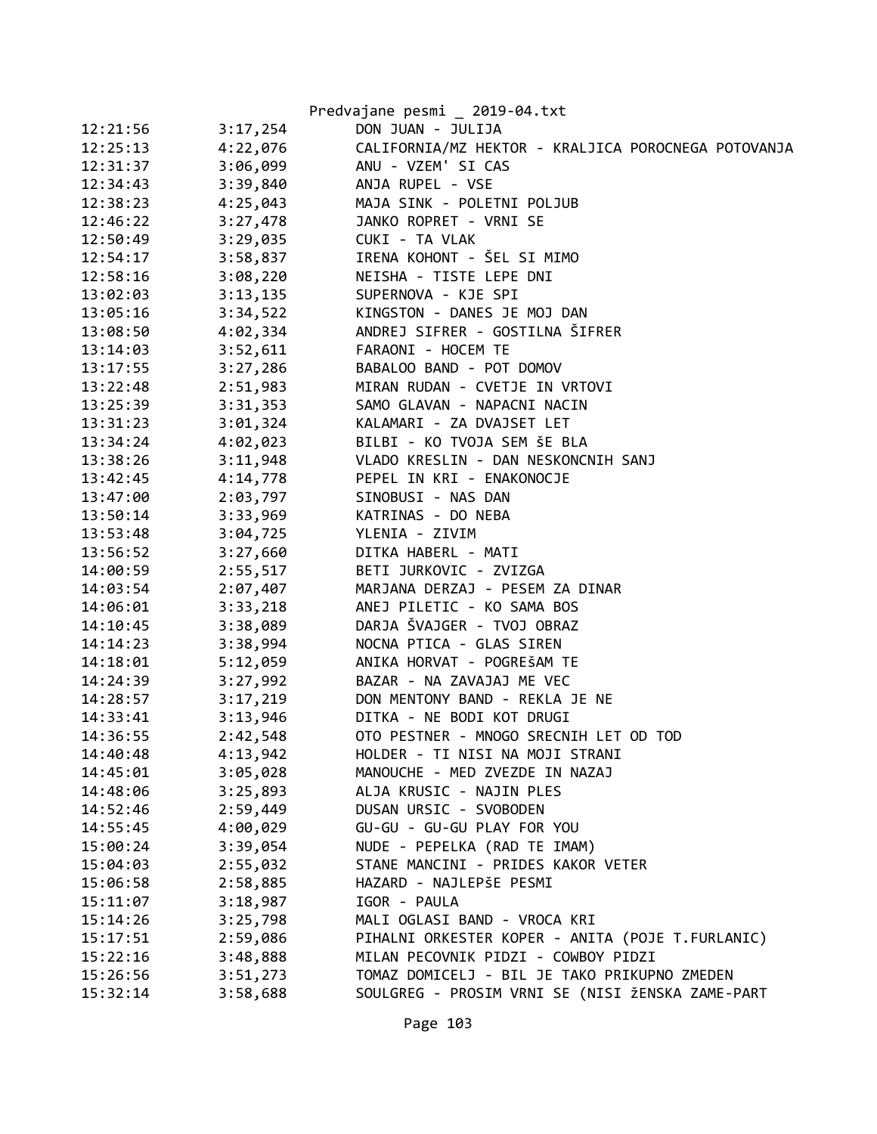|                      | Predvajane pesmi _ 2019-04.txt                      |
|----------------------|-----------------------------------------------------|
| 12:21:56<br>3:17,254 | DON JUAN - JULIJA                                   |
| 12:25:13<br>4:22,076 | CALIFORNIA/MZ HEKTOR - KRALJICA POROCNEGA POTOVANJA |
| 12:31:37<br>3:06,099 | ANU - VZEM' SI CAS                                  |
| 12:34:43<br>3:39,840 | ANJA RUPEL - VSE                                    |
| 12:38:23<br>4:25,043 | MAJA SINK - POLETNI POLJUB                          |
| 12:46:22<br>3:27,478 | JANKO ROPRET - VRNI SE                              |
| 3:29,035<br>12:50:49 | CUKI - TA VLAK                                      |
| 3:58,837<br>12:54:17 | IRENA KOHONT - ŠEL SI MIMO                          |
| 3:08,220<br>12:58:16 | NEISHA - TISTE LEPE DNI                             |
| 3:13,135<br>13:02:03 | SUPERNOVA - KJE SPI                                 |
| 3:34,522<br>13:05:16 | KINGSTON - DANES JE MOJ DAN                         |
| 4:02,334<br>13:08:50 | ANDREJ SIFRER - GOSTILNA ŠIFRER                     |
| 3:52,611<br>13:14:03 | FARAONI - HOCEM TE                                  |
| 3:27,286<br>13:17:55 | BABALOO BAND - POT DOMOV                            |
| 13:22:48<br>2:51,983 | MIRAN RUDAN - CVETJE IN VRTOVI                      |
| 3:31,353<br>13:25:39 | SAMO GLAVAN - NAPACNI NACIN                         |
| 13:31:23<br>3:01,324 | KALAMARI - ZA DVAJSET LET                           |
| 4:02,023<br>13:34:24 | BILBI - KO TVOJA SEM ŠE BLA                         |
| 3:11,948<br>13:38:26 | VLADO KRESLIN - DAN NESKONCNIH SANJ                 |
| 4:14,778<br>13:42:45 | PEPEL IN KRI - ENAKONOCJE                           |
| 2:03,797<br>13:47:00 | SINOBUSI - NAS DAN                                  |
| 3:33,969<br>13:50:14 | KATRINAS - DO NEBA                                  |
| 3:04,725<br>13:53:48 | YLENIA - ZIVIM                                      |
| 13:56:52<br>3:27,660 | DITKA HABERL - MATI                                 |
| 2:55,517<br>14:00:59 | BETI JURKOVIC - ZVIZGA                              |
| 14:03:54<br>2:07,407 | MARJANA DERZAJ - PESEM ZA DINAR                     |
| 14:06:01<br>3:33,218 | ANEJ PILETIC - KO SAMA BOS                          |
| 3:38,089<br>14:10:45 | DARJA ŠVAJGER - TVOJ OBRAZ                          |
| 3:38,994<br>14:14:23 | NOCNA PTICA - GLAS SIREN                            |
| 14:18:01<br>5:12,059 | ANIKA HORVAT - POGREŠAM TE                          |
| 14:24:39<br>3:27,992 | BAZAR - NA ZAVAJAJ ME VEC                           |
| 3:17,219<br>14:28:57 | DON MENTONY BAND - REKLA JE NE                      |
| 3:13,946<br>14:33:41 | DITKA - NE BODI KOT DRUGI                           |
| 14:36:55<br>2:42,548 | OTO PESTNER - MNOGO SRECNIH LET OD TOD              |
| 4:13,942<br>14:40:48 | HOLDER - TI NISI NA MOJI STRANI                     |
| 3:05,028<br>14:45:01 | MANOUCHE - MED ZVEZDE IN NAZAJ                      |
| 14:48:06<br>3:25,893 | ALJA KRUSIC - NAJIN PLES                            |
| 14:52:46<br>2:59,449 | DUSAN URSIC - SVOBODEN                              |
| 4:00,029<br>14:55:45 | GU-GU - GU-GU PLAY FOR YOU                          |
| 3:39,054<br>15:00:24 | NUDE - PEPELKA (RAD TE IMAM)                        |
| 2:55,032<br>15:04:03 | STANE MANCINI - PRIDES KAKOR VETER                  |
| 2:58,885<br>15:06:58 | HAZARD - NAJLEPŠE PESMI                             |
| 3:18,987<br>15:11:07 | IGOR - PAULA                                        |
| 3:25,798<br>15:14:26 | MALI OGLASI BAND - VROCA KRI                        |
| 15:17:51<br>2:59,086 | PIHALNI ORKESTER KOPER - ANITA (POJE T.FURLANIC)    |
| 15:22:16<br>3:48,888 | MILAN PECOVNIK PIDZI - COWBOY PIDZI                 |
| 15:26:56<br>3:51,273 | TOMAZ DOMICELJ - BIL JE TAKO PRIKUPNO ZMEDEN        |
| 3:58,688<br>15:32:14 | SOULGREG - PROSIM VRNI SE (NISI ŽENSKA ZAME-PART    |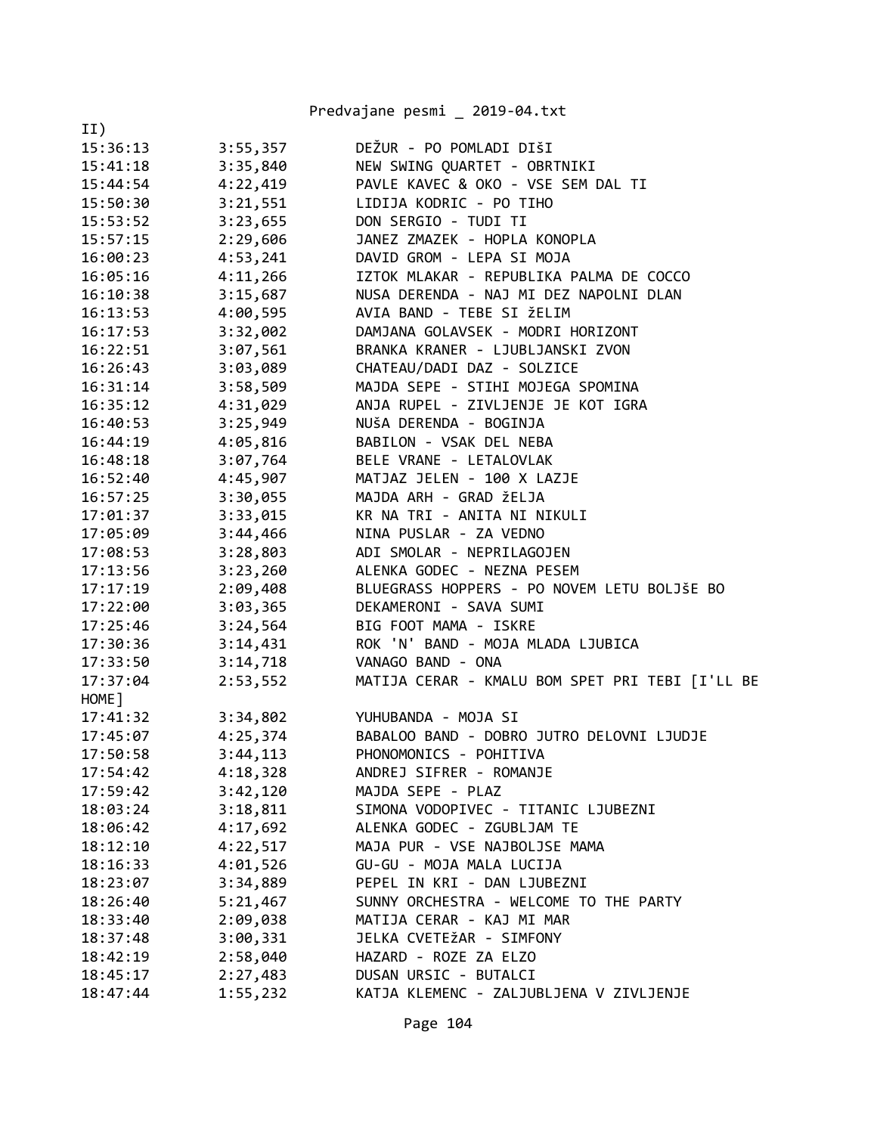|          |          | Predvajane pesmi _ 2019-04.txt                  |
|----------|----------|-------------------------------------------------|
| II)      |          |                                                 |
| 15:36:13 | 3:55,357 | DEŽUR - PO POMLADI DIŠI                         |
| 15:41:18 | 3:35,840 | NEW SWING QUARTET - OBRTNIKI                    |
| 15:44:54 | 4:22,419 | PAVLE KAVEC & OKO - VSE SEM DAL TI              |
| 15:50:30 | 3:21,551 | LIDIJA KODRIC - PO TIHO                         |
| 15:53:52 | 3:23,655 | DON SERGIO - TUDI TI                            |
| 15:57:15 | 2:29,606 | JANEZ ZMAZEK - HOPLA KONOPLA                    |
| 16:00:23 | 4:53,241 | DAVID GROM - LEPA SI MOJA                       |
| 16:05:16 | 4:11,266 | IZTOK MLAKAR - REPUBLIKA PALMA DE COCCO         |
| 16:10:38 | 3:15,687 | NUSA DERENDA - NAJ MI DEZ NAPOLNI DLAN          |
| 16:13:53 | 4:00,595 | AVIA BAND - TEBE SI ŽELIM                       |
| 16:17:53 | 3:32,002 | DAMJANA GOLAVSEK - MODRI HORIZONT               |
| 16:22:51 | 3:07,561 | BRANKA KRANER - LJUBLJANSKI ZVON                |
| 16:26:43 | 3:03,089 | CHATEAU/DADI DAZ - SOLZICE                      |
| 16:31:14 | 3:58,509 | MAJDA SEPE - STIHI MOJEGA SPOMINA               |
| 16:35:12 | 4:31,029 | ANJA RUPEL - ZIVLJENJE JE KOT IGRA              |
| 16:40:53 | 3:25,949 | NUŠA DERENDA - BOGINJA                          |
| 16:44:19 | 4:05,816 | BABILON - VSAK DEL NEBA                         |
| 16:48:18 | 3:07,764 | BELE VRANE - LETALOVLAK                         |
| 16:52:40 | 4:45,907 | MATJAZ JELEN - 100 X LAZJE                      |
| 16:57:25 | 3:30,055 | MAJDA ARH - GRAD ŽELJA                          |
| 17:01:37 | 3:33,015 | KR NA TRI - ANITA NI NIKULI                     |
| 17:05:09 | 3:44,466 | NINA PUSLAR - ZA VEDNO                          |
| 17:08:53 | 3:28,803 | ADI SMOLAR - NEPRILAGOJEN                       |
| 17:13:56 | 3:23,260 | ALENKA GODEC - NEZNA PESEM                      |
| 17:17:19 | 2:09,408 | BLUEGRASS HOPPERS - PO NOVEM LETU BOLJŠE BO     |
| 17:22:00 | 3:03,365 | DEKAMERONI - SAVA SUMI                          |
| 17:25:46 | 3:24,564 | BIG FOOT MAMA - ISKRE                           |
| 17:30:36 | 3:14,431 | ROK 'N' BAND - MOJA MLADA LJUBICA               |
| 17:33:50 | 3:14,718 | VANAGO BAND - ONA                               |
| 17:37:04 | 2:53,552 | MATIJA CERAR - KMALU BOM SPET PRI TEBI [I'LL BE |
| HOME ]   |          |                                                 |
| 17:41:32 | 3:34,802 | YUHUBANDA - MOJA SI                             |
| 17:45:07 | 4:25,374 | BABALOO BAND - DOBRO JUTRO DELOVNI LJUDJE       |
| 17:50:58 | 3:44,113 | PHONOMONICS - POHITIVA                          |
| 17:54:42 | 4:18,328 | ANDREJ SIFRER - ROMANJE                         |
| 17:59:42 | 3:42,120 | MAJDA SEPE - PLAZ                               |
| 18:03:24 | 3:18,811 | SIMONA VODOPIVEC - TITANIC LJUBEZNI             |
| 18:06:42 | 4:17,692 | ALENKA GODEC - ZGUBLJAM TE                      |
| 18:12:10 | 4:22,517 | MAJA PUR - VSE NAJBOLJSE MAMA                   |
| 18:16:33 | 4:01,526 | GU-GU - MOJA MALA LUCIJA                        |
| 18:23:07 | 3:34,889 | PEPEL IN KRI - DAN LJUBEZNI                     |
| 18:26:40 | 5:21,467 | SUNNY ORCHESTRA - WELCOME TO THE PARTY          |
| 18:33:40 | 2:09,038 | MATIJA CERAR - KAJ MI MAR                       |
| 18:37:48 | 3:00,331 | JELKA CVETEŽAR - SIMFONY                        |
| 18:42:19 | 2:58,040 | HAZARD - ROZE ZA ELZO                           |
| 18:45:17 | 2:27,483 | DUSAN URSIC - BUTALCI                           |
| 18:47:44 | 1:55,232 | KATJA KLEMENC - ZALJUBLJENA V ZIVLJENJE         |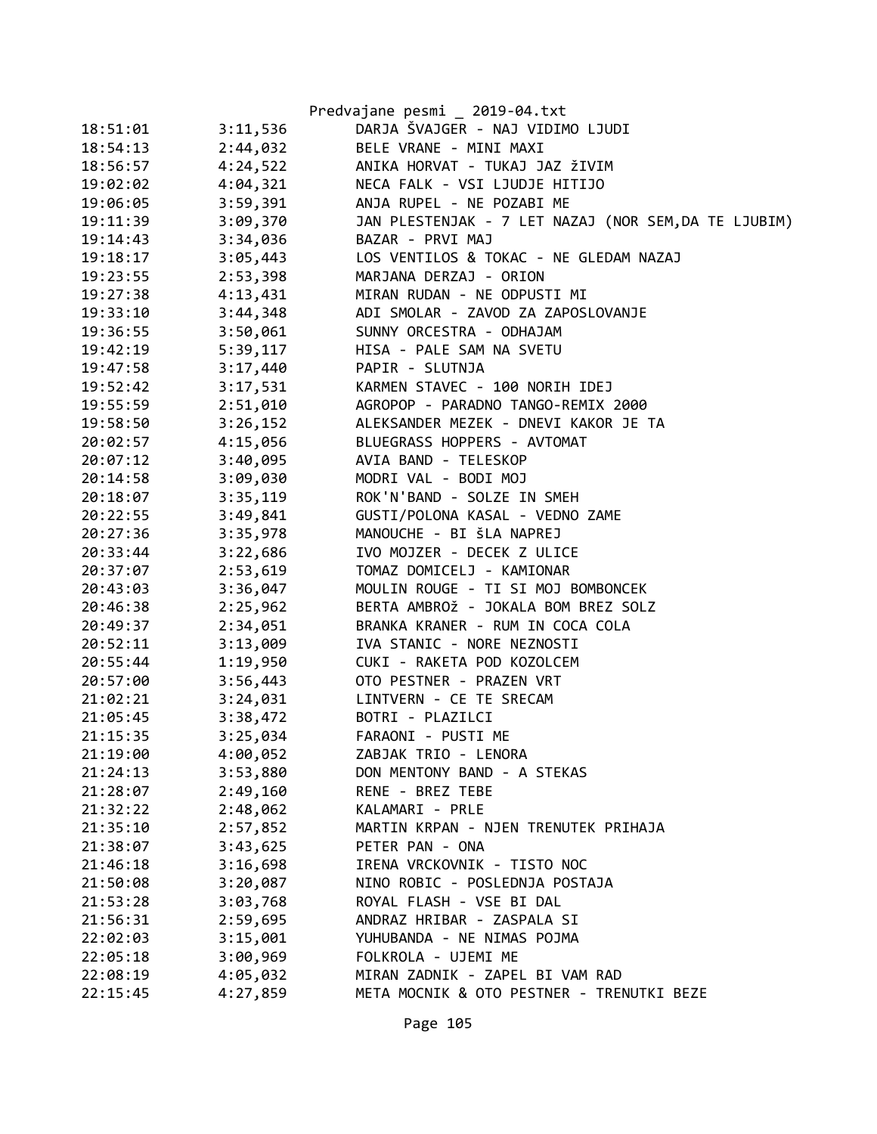|          |          | Predvajane pesmi _ 2019-04.txt                      |
|----------|----------|-----------------------------------------------------|
| 18:51:01 | 3:11,536 | DARJA ŠVAJGER - NAJ VIDIMO LJUDI                    |
| 18:54:13 | 2:44,032 | BELE VRANE - MINI MAXI                              |
| 18:56:57 | 4:24,522 | ANIKA HORVAT - TUKAJ JAZ ŽIVIM                      |
| 19:02:02 | 4:04,321 | NECA FALK - VSI LJUDJE HITIJO                       |
| 19:06:05 | 3:59,391 | ANJA RUPEL - NE POZABI ME                           |
| 19:11:39 | 3:09,370 | JAN PLESTENJAK - 7 LET NAZAJ (NOR SEM,DA TE LJUBIM) |
| 19:14:43 | 3:34,036 | BAZAR - PRVI MAJ                                    |
| 19:18:17 | 3:05,443 | LOS VENTILOS & TOKAC - NE GLEDAM NAZAJ              |
| 19:23:55 | 2:53,398 | MARJANA DERZAJ - ORION                              |
| 19:27:38 | 4:13,431 | MIRAN RUDAN - NE ODPUSTI MI                         |
| 19:33:10 | 3:44,348 | ADI SMOLAR - ZAVOD ZA ZAPOSLOVANJE                  |
| 19:36:55 | 3:50,061 | SUNNY ORCESTRA - ODHAJAM                            |
| 19:42:19 | 5:39,117 | HISA - PALE SAM NA SVETU                            |
| 19:47:58 | 3:17,440 | PAPIR - SLUTNJA                                     |
| 19:52:42 | 3:17,531 | KARMEN STAVEC - 100 NORIH IDEJ                      |
| 19:55:59 | 2:51,010 | AGROPOP - PARADNO TANGO-REMIX 2000                  |
| 19:58:50 | 3:26,152 | ALEKSANDER MEZEK - DNEVI KAKOR JE TA                |
| 20:02:57 | 4:15,056 | BLUEGRASS HOPPERS - AVTOMAT                         |
| 20:07:12 | 3:40,095 | AVIA BAND - TELESKOP                                |
| 20:14:58 | 3:09,030 | MODRI VAL - BODI MOJ                                |
| 20:18:07 | 3:35,119 | ROK'N'BAND - SOLZE IN SMEH                          |
| 20:22:55 | 3:49,841 | GUSTI/POLONA KASAL - VEDNO ZAME                     |
| 20:27:36 | 3:35,978 | MANOUCHE - BI ŠLA NAPREJ                            |
| 20:33:44 | 3:22,686 | IVO MOJZER - DECEK Z ULICE                          |
| 20:37:07 | 2:53,619 | TOMAZ DOMICELJ - KAMIONAR                           |
| 20:43:03 | 3:36,047 | MOULIN ROUGE - TI SI MOJ BOMBONCEK                  |
| 20:46:38 | 2:25,962 | BERTA AMBROŽ - JOKALA BOM BREZ SOLZ                 |
| 20:49:37 | 2:34,051 | BRANKA KRANER - RUM IN COCA COLA                    |
| 20:52:11 | 3:13,009 | IVA STANIC - NORE NEZNOSTI                          |
| 20:55:44 | 1:19,950 | CUKI - RAKETA POD KOZOLCEM                          |
| 20:57:00 | 3:56,443 | OTO PESTNER - PRAZEN VRT                            |
| 21:02:21 | 3:24,031 | LINTVERN - CE TE SRECAM                             |
| 21:05:45 | 3:38,472 | BOTRI - PLAZILCI                                    |
| 21:15:35 | 3:25,034 | FARAONI - PUSTI ME                                  |
| 21:19:00 | 4:00,052 | ZABJAK TRIO - LENORA                                |
| 21:24:13 | 3:53,880 | DON MENTONY BAND - A STEKAS                         |
| 21:28:07 | 2:49,160 | RENE - BREZ TEBE                                    |
| 21:32:22 | 2:48,062 | KALAMARI - PRLE                                     |
| 21:35:10 | 2:57,852 | MARTIN KRPAN - NJEN TRENUTEK PRIHAJA                |
| 21:38:07 | 3:43,625 | PETER PAN - ONA                                     |
| 21:46:18 | 3:16,698 | IRENA VRCKOVNIK - TISTO NOC                         |
| 21:50:08 | 3:20,087 | NINO ROBIC - POSLEDNJA POSTAJA                      |
| 21:53:28 | 3:03,768 | ROYAL FLASH - VSE BI DAL                            |
| 21:56:31 | 2:59,695 | ANDRAZ HRIBAR - ZASPALA SI                          |
| 22:02:03 | 3:15,001 | YUHUBANDA - NE NIMAS POJMA                          |
| 22:05:18 | 3:00,969 | FOLKROLA - UJEMI ME                                 |
| 22:08:19 | 4:05,032 | MIRAN ZADNIK - ZAPEL BI VAM RAD                     |
| 22:15:45 | 4:27,859 | META MOCNIK & OTO PESTNER - TRENUTKI BEZE           |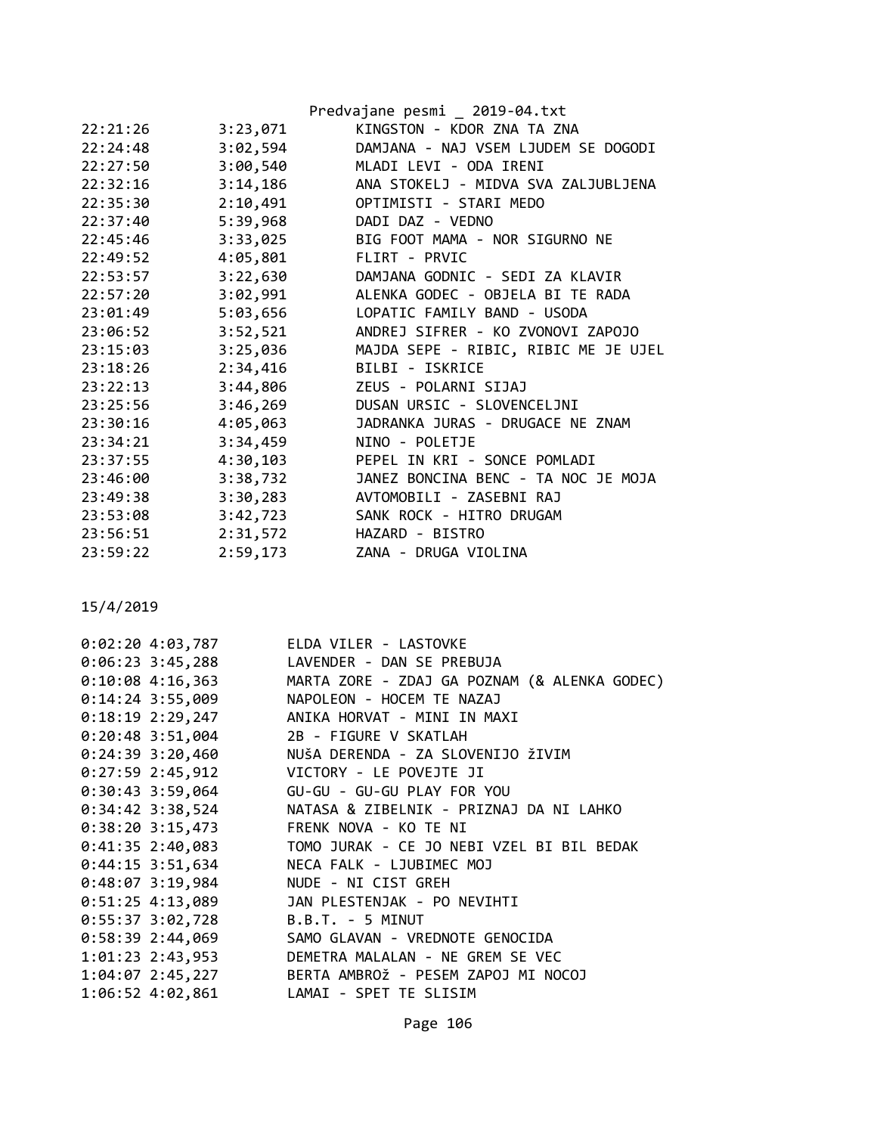|          |          | Predvajane pesmi _ 2019-04.txt       |
|----------|----------|--------------------------------------|
| 22:21:26 | 3:23,071 | KINGSTON - KDOR ZNA TA ZNA           |
| 22:24:48 | 3:02,594 | DAMJANA - NAJ VSEM LJUDEM SE DOGODI  |
| 22:27:50 | 3:00,540 | MLADI LEVI - ODA IRENI               |
| 22:32:16 | 3:14,186 | ANA STOKELJ - MIDVA SVA ZALJUBLJENA  |
| 22:35:30 | 2:10,491 | OPTIMISTI - STARI MEDO               |
| 22:37:40 | 5:39,968 | DADI DAZ - VEDNO                     |
| 22:45:46 | 3:33,025 | BIG FOOT MAMA - NOR SIGURNO NE       |
| 22:49:52 | 4:05,801 | FLIRT - PRVIC                        |
| 22:53:57 | 3:22,630 | DAMJANA GODNIC - SEDI ZA KLAVIR      |
| 22:57:20 | 3:02,991 | ALENKA GODEC - OBJELA BI TE RADA     |
| 23:01:49 | 5:03,656 | LOPATIC FAMILY BAND - USODA          |
| 23:06:52 | 3:52,521 | ANDREJ SIFRER - KO ZVONOVI ZAPOJO    |
| 23:15:03 | 3:25,036 | MAJDA SEPE - RIBIC, RIBIC ME JE UJEL |
| 23:18:26 | 2:34,416 | BILBI - ISKRICE                      |
| 23:22:13 | 3:44,806 | ZEUS - POLARNI SIJAJ                 |
| 23:25:56 | 3:46,269 | DUSAN URSIC - SLOVENCELJNI           |
| 23:30:16 | 4:05,063 | JADRANKA JURAS - DRUGACE NE ZNAM     |
| 23:34:21 | 3:34,459 | NINO - POLETJE                       |
| 23:37:55 | 4:30,103 | PEPEL IN KRI - SONCE POMLADI         |
| 23:46:00 | 3:38,732 | JANEZ BONCINA BENC - TA NOC JE MOJA  |
| 23:49:38 | 3:30,283 | AVTOMOBILI - ZASEBNI RAJ             |
| 23:53:08 | 3:42,723 | SANK ROCK - HITRO DRUGAM             |
| 23:56:51 | 2:31,572 | HAZARD - BISTRO                      |
| 23:59:22 | 2:59,173 | ZANA - DRUGA VIOLINA                 |

|  | 0:02:20 4:03,787   | ELDA VILER - LASTOVKE                                         |
|--|--------------------|---------------------------------------------------------------|
|  |                    | 0:06:23 3:45,288 LAVENDER - DAN SE PREBUJA                    |
|  |                    | 0:10:08 4:16,363 MARTA ZORE - ZDAJ GA POZNAM (& ALENKA GODEC) |
|  | $0:14:24$ 3:55,009 | NAPOLEON - HOCEM TE NAZAJ                                     |
|  |                    | 0:18:19 2:29,247 ANIKA HORVAT - MINI IN MAXI                  |
|  |                    | 0:20:48 3:51,004 2B - FIGURE V SKATLAH                        |
|  |                    | 0:24:39 3:20,460 NUŠA DERENDA - ZA SLOVENIJO ŽIVIM            |
|  |                    | 0:27:59 2:45,912 VICTORY - LE POVEJTE JI                      |
|  |                    | 0:30:43 3:59,064 GU-GU - GU-GU PLAY FOR YOU                   |
|  | 0:34:42 3:38,524   | NATASA & ZIBELNIK - PRIZNAJ DA NI LAHKO                       |
|  |                    | 0:38:20 3:15,473 FRENK NOVA - KO TE NI                        |
|  |                    | 0:41:35 2:40,083 TOMO JURAK - CE JO NEBI VZEL BI BIL BEDAK    |
|  |                    | 0:44:15 3:51,634 NECA FALK - LJUBIMEC MOJ                     |
|  |                    | 0:48:07 3:19,984 NUDE - NI CIST GREH                          |
|  |                    | 0:51:25 4:13,089 JAN PLESTENJAK - PO NEVIHTI                  |
|  |                    | 0:55:37 3:02,728 B.B.T. - 5 MINUT                             |
|  |                    | 0:58:39 2:44,069 SAMO GLAVAN - VREDNOTE GENOCIDA              |
|  |                    | 1:01:23 2:43,953 DEMETRA MALALAN - NE GREM SE VEC             |
|  |                    | 1:04:07 2:45,227 BERTA AMBROŽ - PESEM ZAPOJ MI NOCOJ          |
|  |                    | 1:06:52 4:02,861 LAMAI - SPET TE SLISIM                       |
|  |                    |                                                               |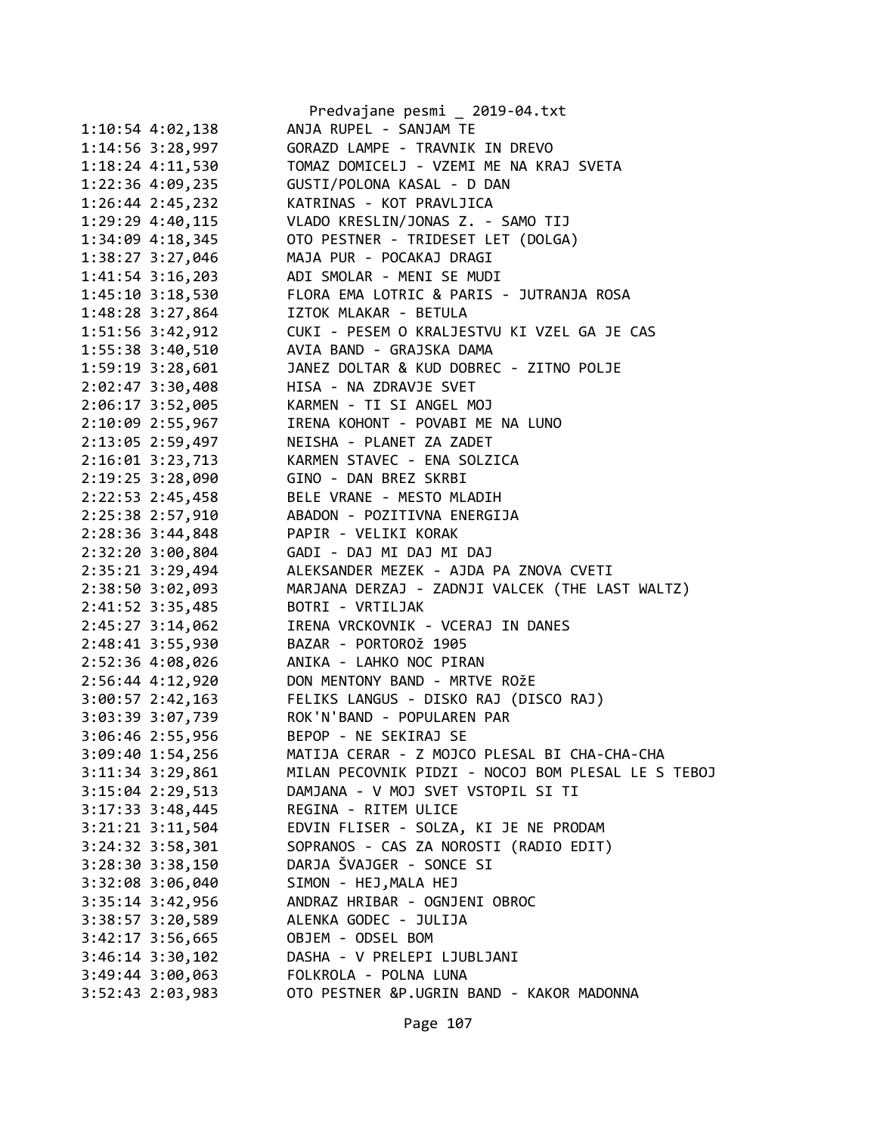|                      | Predvajane pesmi _ 2019-04.txt                                                                        |
|----------------------|-------------------------------------------------------------------------------------------------------|
| $1:10:54$ 4:02,138   | ANJA RUPEL - SANJAM TE                                                                                |
| $1:14:56$ 3:28,997   | GORAZD LAMPE - TRAVNIK IN DREVO                                                                       |
| $1:18:24$ $4:11,530$ | TOMAZ DOMICELJ - VZEMI ME NA KRAJ SVETA                                                               |
| 1:22:36 4:09,235     | GUSTI/POLONA KASAL - D DAN                                                                            |
| $1:26:44$ $2:45,232$ | KATRINAS - KOT PRAVLJICA                                                                              |
| 1:29:29 4:40,115     | VLADO KRESLIN/JONAS Z. - SAMO TIJ                                                                     |
| 1:34:09 4:18,345     | OTO PESTNER - TRIDESET LET (DOLGA)                                                                    |
| 1:38:27 3:27,046     | MAJA PUR - POCAKAJ DRAGI                                                                              |
| $1:41:54$ 3:16,203   | ADI SMOLAR - MENI SE MUDI                                                                             |
| $1:45:10$ $3:18,530$ | FLORA EMA LOTRIC & PARIS - JUTRANJA ROSA                                                              |
| 1:48:28 3:27,864     | IZTOK MLAKAR - BETULA                                                                                 |
| 1:51:56 3:42,912     | CUKI - PESEM O KRALJESTVU KI VZEL GA JE CAS                                                           |
| 1:55:38 3:40,510     | AVIA BAND - GRAJSKA DAMA                                                                              |
| 1:59:19 3:28,601     | JANEZ DOLTAR & KUD DOBREC - ZITNO POLJE                                                               |
| 2:02:47 3:30,408     | HISA - NA ZDRAVJE SVET                                                                                |
| 2:06:17 3:52,005     | KARMEN - TI SI ANGEL MOJ                                                                              |
| 2:10:09 2:55,967     | IRENA KOHONT - POVABI ME NA LUNO                                                                      |
| 2:13:05 2:59,497     | NEISHA - PLANET ZA ZADET                                                                              |
| 2:16:01 3:23,713     | KARMEN STAVEC - ENA SOLZICA                                                                           |
| $2:19:25$ 3:28,090   | GINO - DAN BREZ SKRBI                                                                                 |
| 2:22:53 2:45,458     | BELE VRANE - MESTO MLADIH                                                                             |
| 2:25:38 2:57,910     | ABADON - POZITIVNA ENERGIJA                                                                           |
| 2:28:36 3:44,848     | PAPIR - VELIKI KORAK                                                                                  |
| 2:32:20 3:00,804     | GADI - DAJ MI DAJ MI DAJ                                                                              |
| 2:35:21 3:29,494     | ALEKSANDER MEZEK - AJDA PA ZNOVA CVETI                                                                |
| 2:38:50 3:02,093     | MARJANA DERZAJ - ZADNJI VALCEK (THE LAST WALTZ)                                                       |
| 2:41:52 3:35,485     | BOTRI - VRTILJAK                                                                                      |
| 2:45:27 3:14,062     | IRENA VRCKOVNIK - VCERAJ IN DANES                                                                     |
| 2:48:41 3:55,930     | BAZAR - PORTOROŽ 1905                                                                                 |
| 2:52:36 4:08,026     | ANIKA - LAHKO NOC PIRAN                                                                               |
| $2:56:44$ 4:12,920   | DON MENTONY BAND - MRTVE ROŽE                                                                         |
|                      |                                                                                                       |
|                      | 3:00:57 2:42,163 FELIKS LANGUS - DISKO RAJ (DISCO RAJ)<br>3:03:39 3:07,739 ROK'N'BAND - POPULAREN PAR |
| 3:06:46 2:55,956     |                                                                                                       |
| 3:09:40 1:54,256     | BEPOP - NE SEKIRAJ SE<br>MATIJA CERAR - Z MOJCO PLESAL BI CHA-CHA-CHA                                 |
|                      | MILAN PECOVNIK PIDZI - NOCOJ BOM PLESAL LE S TEBOJ                                                    |
| $3:11:34$ $3:29,861$ |                                                                                                       |
| $3:15:04$ 2:29,513   | DAMJANA - V MOJ SVET VSTOPIL SI TI                                                                    |
| $3:17:33$ $3:48,445$ | REGINA - RITEM ULICE                                                                                  |
| $3:21:21$ $3:11,504$ | EDVIN FLISER - SOLZA, KI JE NE PRODAM                                                                 |
| 3:24:32 3:58,301     | SOPRANOS - CAS ZA NOROSTI (RADIO EDIT)                                                                |
| $3:28:30$ $3:38,150$ | DARJA ŠVAJGER - SONCE SI                                                                              |
| 3:32:08 3:06,040     | SIMON - HEJ, MALA HEJ                                                                                 |
| $3:35:14$ $3:42,956$ | ANDRAZ HRIBAR - OGNJENI OBROC                                                                         |
| $3:38:57$ $3:20,589$ | ALENKA GODEC - JULIJA                                                                                 |
| $3:42:17$ $3:56,665$ | OBJEM - ODSEL BOM                                                                                     |
| $3:46:14$ $3:30,102$ | DASHA - V PRELEPI LJUBLJANI                                                                           |
| 3:49:44 3:00,063     | FOLKROLA - POLNA LUNA                                                                                 |
| $3:52:43$ $2:03,983$ | OTO PESTNER &P.UGRIN BAND - KAKOR MADONNA                                                             |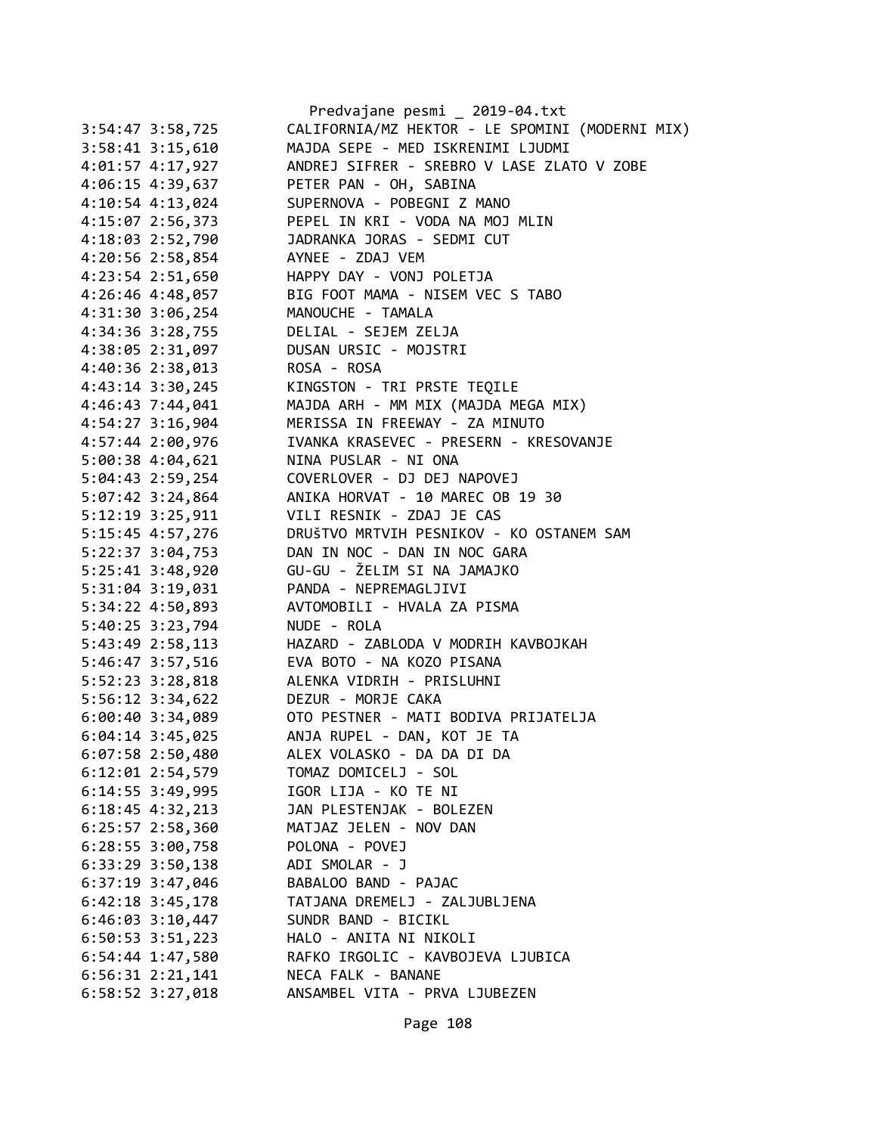|                      | Predvajane pesmi _ 2019-04.txt                  |
|----------------------|-------------------------------------------------|
| $3:54:47$ $3:58,725$ | CALIFORNIA/MZ HEKTOR - LE SPOMINI (MODERNI MIX) |
| 3:58:41 3:15,610     | MAJDA SEPE - MED ISKRENIMI LJUDMI               |
| 4:01:57 4:17,927     | ANDREJ SIFRER - SREBRO V LASE ZLATO V ZOBE      |
| 4:06:15 4:39,637     | PETER PAN - OH, SABINA                          |
| 4:10:54 4:13,024     | SUPERNOVA - POBEGNI Z MANO                      |
| 4:15:07 2:56,373     | PEPEL IN KRI - VODA NA MOJ MLIN                 |
| 4:18:03 2:52,790     | JADRANKA JORAS - SEDMI CUT                      |
| 4:20:56 2:58,854     | AYNEE - ZDAJ VEM                                |
| 4:23:54 2:51,650     | HAPPY DAY - VONJ POLETJA                        |
| 4:26:46 4:48,057     | BIG FOOT MAMA - NISEM VEC S TABO                |
| 4:31:30 3:06,254     | MANOUCHE - TAMALA                               |
| 4:34:36 3:28,755     | DELIAL - SEJEM ZELJA                            |
| 4:38:05 2:31,097     | DUSAN URSIC - MOJSTRI                           |
| 4:40:36 2:38,013     | ROSA - ROSA                                     |
| 4:43:14 3:30,245     | KINGSTON - TRI PRSTE TEQILE                     |
| 4:46:43 7:44,041     | MAJDA ARH - MM MIX (MAJDA MEGA MIX)             |
| 4:54:27 3:16,904     | MERISSA IN FREEWAY - ZA MINUTO                  |
| 4:57:44 2:00,976     | IVANKA KRASEVEC - PRESERN - KRESOVANJE          |
| 5:00:38 4:04,621     | NINA PUSLAR - NI ONA                            |
| 5:04:43 2:59,254     | COVERLOVER - DJ DEJ NAPOVEJ                     |
| 5:07:42 3:24,864     | ANIKA HORVAT - 10 MAREC OB 19 30                |
| 5:12:19 3:25,911     | VILI RESNIK - ZDAJ JE CAS                       |
| 5:15:45 4:57,276     | DRUŠTVO MRTVIH PESNIKOV - KO OSTANEM SAM        |
| 5:22:37 3:04,753     | DAN IN NOC - DAN IN NOC GARA                    |
| 5:25:41 3:48,920     | GU-GU - ŽELIM SI NA JAMAJKO                     |
| 5:31:04 3:19,031     | PANDA - NEPREMAGLJIVI                           |
| 5:34:22 4:50,893     | AVTOMOBILI - HVALA ZA PISMA                     |
| 5:40:25 3:23,794     | NUDE - ROLA                                     |
| 5:43:49 2:58,113     | HAZARD - ZABLODA V MODRIH KAVBOJKAH             |
| 5:46:47 3:57,516     | EVA BOTO - NA KOZO PISANA                       |
| 5:52:23 3:28,818     | ALENKA VIDRIH - PRISLUHNI                       |
| 5:56:12 3:34,622     | DEZUR - MORJE CAKA                              |
| $6:00:40$ 3:34,089   | OTO PESTNER - MATI BODIVA PRIJATELJA            |
| 6:04:14 3:45,025     | ANJA RUPEL - DAN, KOT JE TA                     |
| 6:07:58 2:50,480     | ALEX VOLASKO - DA DA DI DA                      |
| 6:12:01 2:54,579     | TOMAZ DOMICELJ - SOL                            |
| 6:14:55 3:49,995     | IGOR LIJA - KO TE NI                            |
| $6:18:45$ 4:32,213   | JAN PLESTENJAK - BOLEZEN                        |
| $6:25:57$ 2:58,360   | MATJAZ JELEN - NOV DAN                          |
| 6:28:55 3:00,758     | POLONA - POVEJ                                  |
| 6:33:29 3:50,138     | ADI SMOLAR - J                                  |
| $6:37:19$ 3:47,046   | BABALOO BAND - PAJAC                            |
| $6:42:18$ 3:45,178   | TATJANA DREMELJ - ZALJUBLJENA                   |
| $6:46:03$ 3:10,447   | SUNDR BAND - BICIKL                             |
| 6:50:53 3:51,223     | HALO - ANITA NI NIKOLI                          |
| 6:54:44 1:47,580     | RAFKO IRGOLIC - KAVBOJEVA LJUBICA               |
| $6:56:31$ $2:21,141$ | NECA FALK - BANANE                              |
| 6:58:52 3:27,018     | ANSAMBEL VITA - PRVA LJUBEZEN                   |
|                      |                                                 |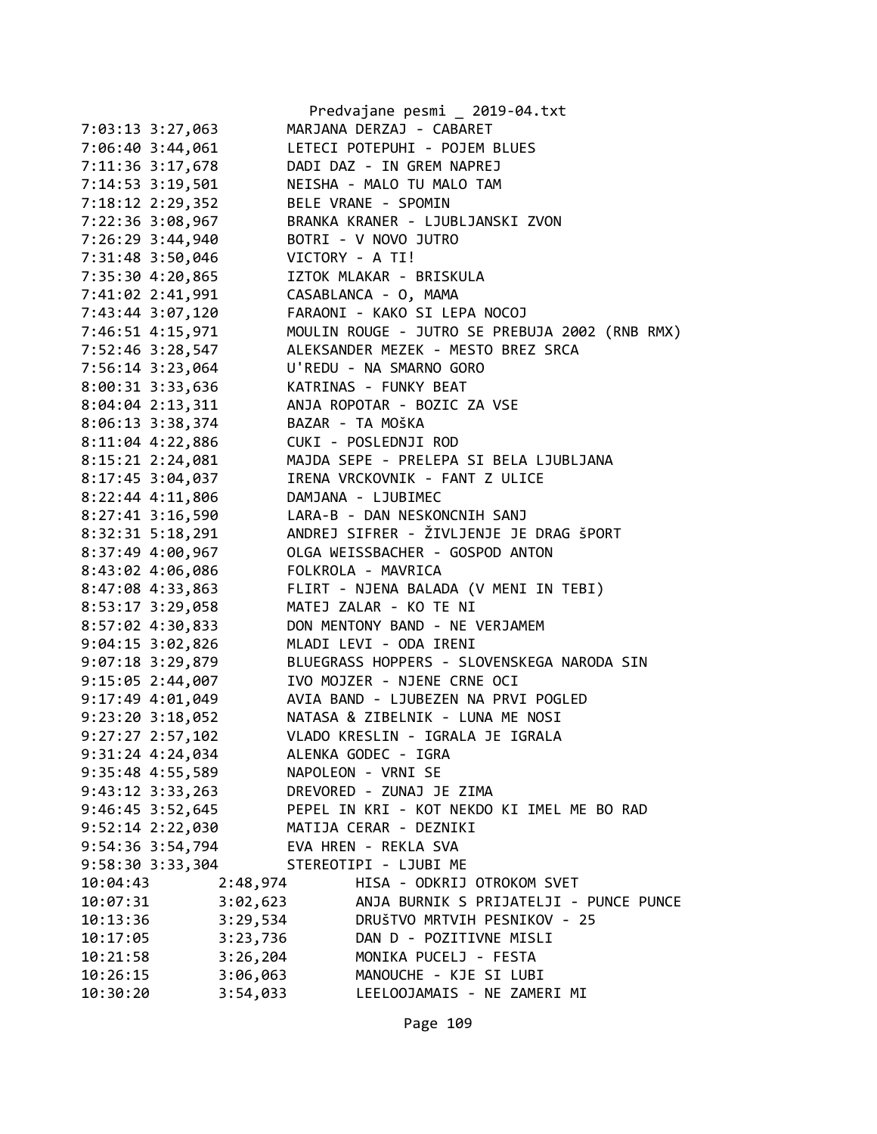|                      | Predvajane pesmi _ 2019-04.txt                 |
|----------------------|------------------------------------------------|
| 7:03:13 3:27,063     | MARJANA DERZAJ - CABARET                       |
| 7:06:40 3:44,061     | LETECI POTEPUHI - POJEM BLUES                  |
| 7:11:36 3:17,678     | DADI DAZ - IN GREM NAPREJ                      |
| 7:14:53 3:19,501     | NEISHA - MALO TU MALO TAM                      |
| 7:18:12 2:29,352     | BELE VRANE - SPOMIN                            |
| 7:22:36 3:08,967     | BRANKA KRANER - LJUBLJANSKI ZVON               |
| 7:26:29 3:44,940     | BOTRI - V NOVO JUTRO                           |
| 7:31:48 3:50,046     | VICTORY - A TI!                                |
| 7:35:30 4:20,865     | IZTOK MLAKAR - BRISKULA                        |
| 7:41:02 2:41,991     | CASABLANCA - O, MAMA                           |
| 7:43:44 3:07,120     | FARAONI - KAKO SI LEPA NOCOJ                   |
| 7:46:51 4:15,971     | MOULIN ROUGE - JUTRO SE PREBUJA 2002 (RNB RMX) |
| 7:52:46 3:28,547     | ALEKSANDER MEZEK - MESTO BREZ SRCA             |
| 7:56:14 3:23,064     | U'REDU - NA SMARNO GORO                        |
| 8:00:31 3:33,636     | KATRINAS - FUNKY BEAT                          |
| 8:04:04 2:13,311     | ANJA ROPOTAR - BOZIC ZA VSE                    |
| 8:06:13 3:38,374     | BAZAR - TA MOŠKA                               |
| 8:11:04 4:22,886     | CUKI - POSLEDNJI ROD                           |
| 8:15:21 2:24,081     | MAJDA SEPE - PRELEPA SI BELA LJUBLJANA         |
| 8:17:45 3:04,037     | IRENA VRCKOVNIK - FANT Z ULICE                 |
| 8:22:44 4:11,806     | DAMJANA - LJUBIMEC                             |
| 8:27:41 3:16,590     | LARA-B - DAN NESKONCNIH SANJ                   |
|                      | ANDREJ SIFRER - ŽIVLJENJE JE DRAG ŠPORT        |
| 8:32:31 5:18,291     |                                                |
| 8:37:49 4:00,967     | OLGA WEISSBACHER - GOSPOD ANTON                |
| 8:43:02 4:06,086     | FOLKROLA - MAVRICA                             |
| 8:47:08 4:33,863     | FLIRT - NJENA BALADA (V MENI IN TEBI)          |
| 8:53:17 3:29,058     | MATEJ ZALAR - KO TE NI                         |
| 8:57:02 4:30,833     | DON MENTONY BAND - NE VERJAMEM                 |
| 9:04:15 3:02,826     | MLADI LEVI - ODA IRENI                         |
| 9:07:18 3:29,879     | BLUEGRASS HOPPERS - SLOVENSKEGA NARODA SIN     |
| 9:15:05 2:44,007     | IVO MOJZER - NJENE CRNE OCI                    |
| $9:17:49$ 4:01,049   | AVIA BAND - LJUBEZEN NA PRVI POGLED            |
| $9:23:20$ 3:18,052   | NATASA & ZIBELNIK - LUNA ME NOSI               |
| $9:27:27$ 2:57,102   | VLADO KRESLIN - IGRALA JE IGRALA               |
| 9:31:24 4:24,034     | ALENKA GODEC - IGRA                            |
| $9:35:48$ 4:55,589   | NAPOLEON - VRNI SE                             |
| $9:43:12$ $3:33,263$ | DREVORED - ZUNAJ JE ZIMA                       |
| $9:46:45$ 3:52,645   | PEPEL IN KRI - KOT NEKDO KI IMEL ME BO RAD     |
| 9:52:14 2:22,030     | MATIJA CERAR - DEZNIKI                         |
| 9:54:36 3:54,794     | EVA HREN - REKLA SVA                           |
| 9:58:30 3:33,304     | STEREOTIPI - LJUBI ME                          |
| 2:48,974<br>10:04:43 | HISA - ODKRIJ OTROKOM SVET                     |
| 3:02,623<br>10:07:31 | ANJA BURNIK S PRIJATELJI - PUNCE PUNCE         |
| 3:29,534<br>10:13:36 | DRUŠTVO MRTVIH PESNIKOV - 25                   |
| 3:23,736<br>10:17:05 | DAN D - POZITIVNE MISLI                        |
| 3:26,204<br>10:21:58 | MONIKA PUCELJ - FESTA                          |
| 10:26:15<br>3:06,063 | MANOUCHE - KJE SI LUBI                         |
| 10:30:20<br>3:54,033 | LEELOOJAMAIS - NE ZAMERI MI                    |

Page 109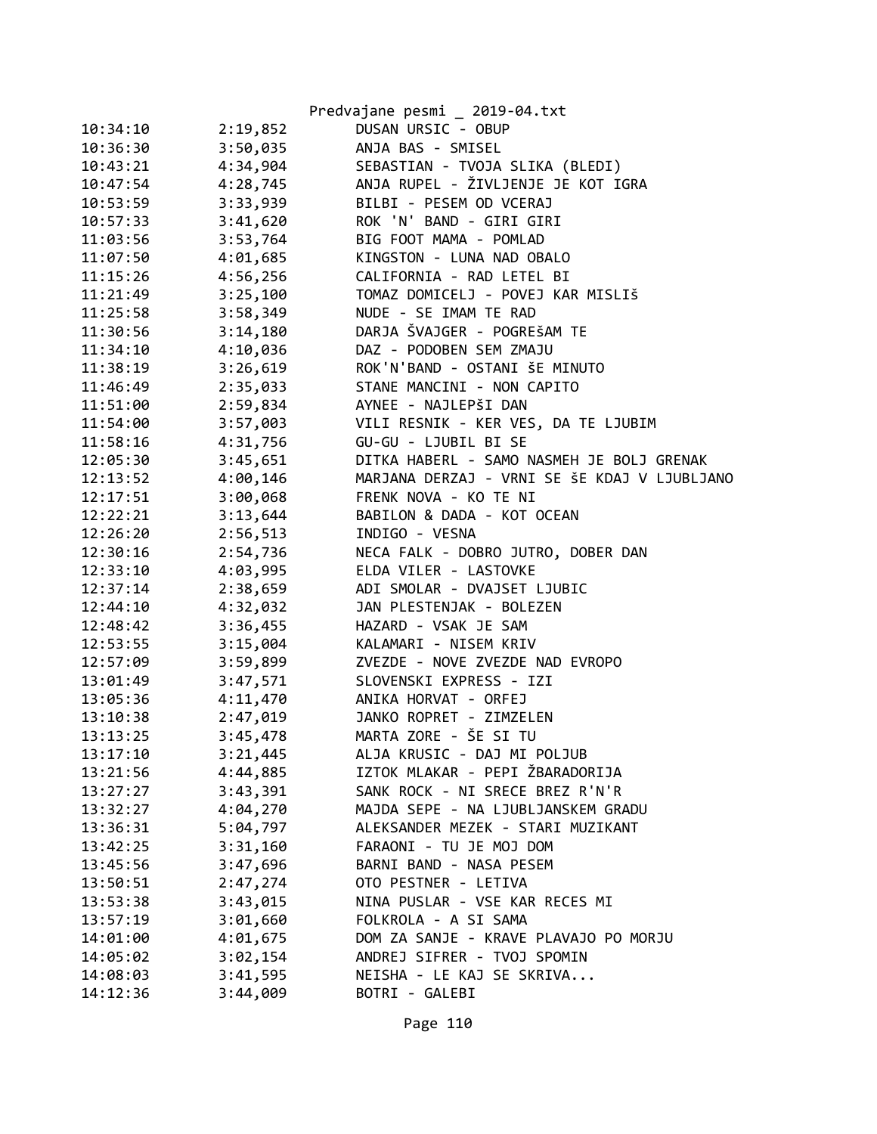|          |          | Predvajane pesmi _ 2019-04.txt               |
|----------|----------|----------------------------------------------|
| 10:34:10 | 2:19,852 | DUSAN URSIC - OBUP                           |
| 10:36:30 | 3:50,035 | ANJA BAS - SMISEL                            |
| 10:43:21 | 4:34,904 | SEBASTIAN - TVOJA SLIKA (BLEDI)              |
| 10:47:54 | 4:28,745 | ANJA RUPEL - ŽIVLJENJE JE KOT IGRA           |
| 10:53:59 | 3:33,939 | BILBI - PESEM OD VCERAJ                      |
| 10:57:33 | 3:41,620 | ROK 'N' BAND - GIRI GIRI                     |
| 11:03:56 | 3:53,764 | BIG FOOT MAMA - POMLAD                       |
| 11:07:50 | 4:01,685 | KINGSTON - LUNA NAD OBALO                    |
| 11:15:26 | 4:56,256 | CALIFORNIA - RAD LETEL BI                    |
| 11:21:49 | 3:25,100 | TOMAZ DOMICELJ - POVEJ KAR MISLIŠ            |
| 11:25:58 | 3:58,349 | NUDE - SE IMAM TE RAD                        |
| 11:30:56 | 3:14,180 | DARJA ŠVAJGER - POGREŠAM TE                  |
| 11:34:10 | 4:10,036 | DAZ - PODOBEN SEM ZMAJU                      |
| 11:38:19 | 3:26,619 | ROK'N'BAND - OSTANI ŠE MINUTO                |
| 11:46:49 | 2:35,033 | STANE MANCINI - NON CAPITO                   |
| 11:51:00 | 2:59,834 | AYNEE - NAJLEPŠI DAN                         |
| 11:54:00 | 3:57,003 | VILI RESNIK - KER VES, DA TE LJUBIM          |
| 11:58:16 | 4:31,756 | GU-GU - LJUBIL BI SE                         |
| 12:05:30 | 3:45,651 | DITKA HABERL - SAMO NASMEH JE BOLJ GRENAK    |
| 12:13:52 | 4:00,146 | MARJANA DERZAJ - VRNI SE ŠE KDAJ V LJUBLJANO |
| 12:17:51 | 3:00,068 | FRENK NOVA - KO TE NI                        |
| 12:22:21 | 3:13,644 | BABILON & DADA - KOT OCEAN                   |
| 12:26:20 | 2:56,513 | INDIGO - VESNA                               |
| 12:30:16 | 2:54,736 | NECA FALK - DOBRO JUTRO, DOBER DAN           |
| 12:33:10 | 4:03,995 | ELDA VILER - LASTOVKE                        |
| 12:37:14 | 2:38,659 | ADI SMOLAR - DVAJSET LJUBIC                  |
| 12:44:10 | 4:32,032 | JAN PLESTENJAK - BOLEZEN                     |
| 12:48:42 | 3:36,455 | HAZARD - VSAK JE SAM                         |
| 12:53:55 | 3:15,004 | KALAMARI - NISEM KRIV                        |
| 12:57:09 | 3:59,899 | ZVEZDE - NOVE ZVEZDE NAD EVROPO              |
| 13:01:49 | 3:47,571 | SLOVENSKI EXPRESS - IZI                      |
| 13:05:36 | 4:11,470 | ANIKA HORVAT - ORFEJ                         |
| 13:10:38 | 2:47,019 | JANKO ROPRET - ZIMZELEN                      |
| 13:13:25 | 3:45,478 | MARTA ZORE - ŠE SI TU                        |
| 13:17:10 | 3:21,445 | ALJA KRUSIC - DAJ MI POLJUB                  |
| 13:21:56 | 4:44,885 | IZTOK MLAKAR - PEPI ŽBARADORIJA              |
| 13:27:27 | 3:43,391 | SANK ROCK - NI SRECE BREZ R'N'R              |
| 13:32:27 | 4:04,270 | MAJDA SEPE - NA LJUBLJANSKEM GRADU           |
| 13:36:31 | 5:04,797 | ALEKSANDER MEZEK - STARI MUZIKANT            |
| 13:42:25 | 3:31,160 | FARAONI - TU JE MOJ DOM                      |
| 13:45:56 | 3:47,696 | BARNI BAND - NASA PESEM                      |
| 13:50:51 | 2:47,274 | OTO PESTNER - LETIVA                         |
| 13:53:38 | 3:43,015 | NINA PUSLAR - VSE KAR RECES MI               |
| 13:57:19 | 3:01,660 | FOLKROLA - A SI SAMA                         |
| 14:01:00 | 4:01,675 | DOM ZA SANJE - KRAVE PLAVAJO PO MORJU        |
| 14:05:02 | 3:02,154 | ANDREJ SIFRER - TVOJ SPOMIN                  |
| 14:08:03 | 3:41,595 | NEISHA - LE KAJ SE SKRIVA                    |
| 14:12:36 | 3:44,009 | BOTRI - GALEBI                               |
|          |          |                                              |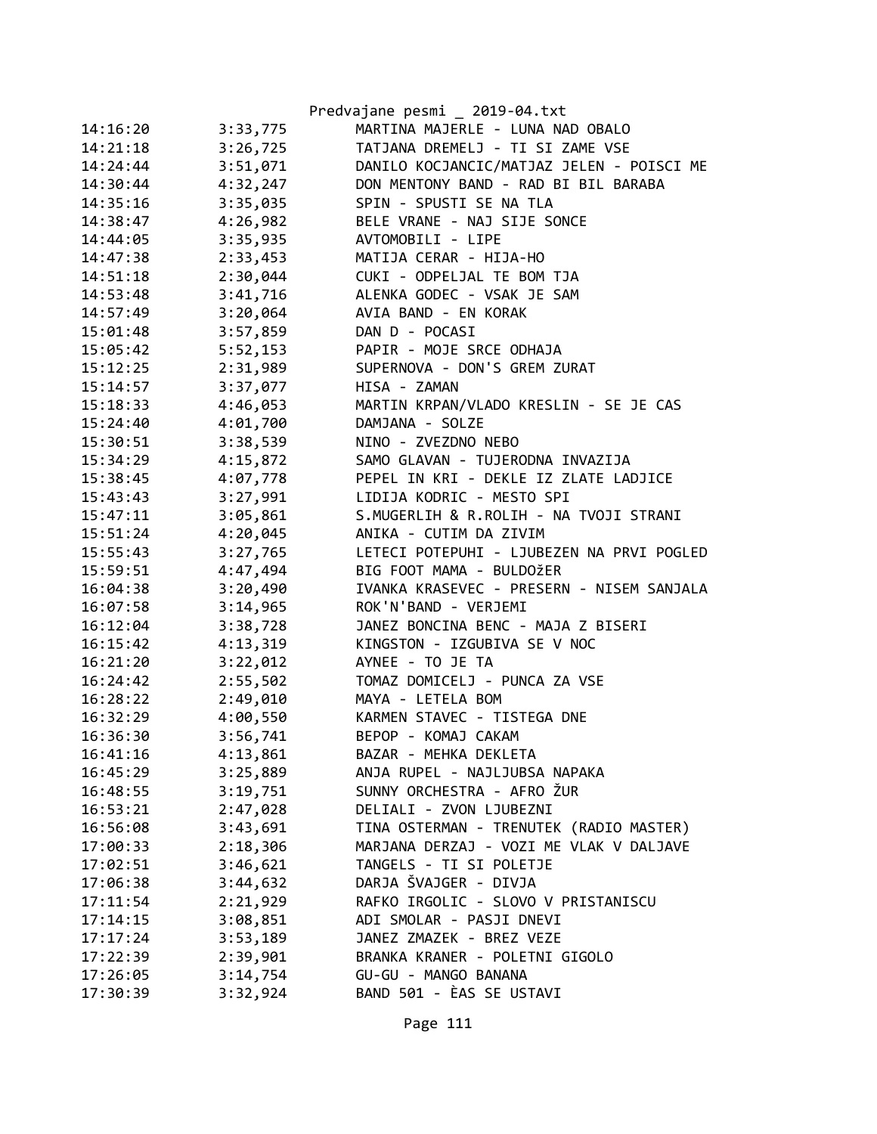|                      | Predvajane pesmi _ 2019-04.txt            |
|----------------------|-------------------------------------------|
| 3:33,775<br>14:16:20 | MARTINA MAJERLE - LUNA NAD OBALO          |
| 3:26,725<br>14:21:18 | TATJANA DREMELJ - TI SI ZAME VSE          |
| 14:24:44<br>3:51,071 | DANILO KOCJANCIC/MATJAZ JELEN - POISCI ME |
| 4:32,247<br>14:30:44 | DON MENTONY BAND - RAD BI BIL BARABA      |
| 14:35:16<br>3:35,035 | SPIN - SPUSTI SE NA TLA                   |
| 4:26,982<br>14:38:47 | BELE VRANE - NAJ SIJE SONCE               |
| 3:35,935<br>14:44:05 | AVTOMOBILI - LIPE                         |
| 2:33,453<br>14:47:38 | MATIJA CERAR - HIJA-HO                    |
| 2:30,044<br>14:51:18 | CUKI - ODPELJAL TE BOM TJA                |
| 3:41,716<br>14:53:48 | ALENKA GODEC - VSAK JE SAM                |
| 14:57:49<br>3:20,064 | AVIA BAND - EN KORAK                      |
| 3:57,859<br>15:01:48 | DAN D - POCASI                            |
| 5:52,153<br>15:05:42 | PAPIR - MOJE SRCE ODHAJA                  |
| 15:12:25<br>2:31,989 | SUPERNOVA - DON'S GREM ZURAT              |
| 3:37,077<br>15:14:57 | HISA - ZAMAN                              |
| 15:18:33<br>4:46,053 | MARTIN KRPAN/VLADO KRESLIN - SE JE CAS    |
| 4:01,700<br>15:24:40 | DAMJANA - SOLZE                           |
| 3:38,539<br>15:30:51 | NINO - ZVEZDNO NEBO                       |
| 4:15,872<br>15:34:29 | SAMO GLAVAN - TUJERODNA INVAZIJA          |
| 4:07,778<br>15:38:45 | PEPEL IN KRI - DEKLE IZ ZLATE LADJICE     |
| 3:27,991<br>15:43:43 | LIDIJA KODRIC - MESTO SPI                 |
| 3:05,861<br>15:47:11 | S.MUGERLIH & R.ROLIH - NA TVOJI STRANI    |
| 4:20,045<br>15:51:24 | ANIKA - CUTIM DA ZIVIM                    |
| 3:27,765<br>15:55:43 | LETECI POTEPUHI - LJUBEZEN NA PRVI POGLED |
| 4:47,494<br>15:59:51 | BIG FOOT MAMA - BULDOŽER                  |
| 3:20,490<br>16:04:38 | IVANKA KRASEVEC - PRESERN - NISEM SANJALA |
| 3:14,965<br>16:07:58 | ROK'N'BAND - VERJEMI                      |
| 3:38,728<br>16:12:04 | JANEZ BONCINA BENC - MAJA Z BISERI        |
| 4:13,319<br>16:15:42 | KINGSTON - IZGUBIVA SE V NOC              |
| 16:21:20<br>3:22,012 | AYNEE - TO JE TA                          |
| 2:55,502<br>16:24:42 | TOMAZ DOMICELJ - PUNCA ZA VSE             |
| 2:49,010<br>16:28:22 | MAYA - LETELA BOM                         |
| 4:00,550<br>16:32:29 | KARMEN STAVEC - TISTEGA DNE               |
| 3:56,741<br>16:36:30 | BEPOP - KOMAJ CAKAM                       |
| 4:13,861<br>16:41:16 | BAZAR - MEHKA DEKLETA                     |
| 16:45:29<br>3:25,889 | ANJA RUPEL - NAJLJUBSA NAPAKA             |
| 3:19,751<br>16:48:55 | SUNNY ORCHESTRA - AFRO ŽUR                |
| 2:47,028<br>16:53:21 | DELIALI - ZVON LJUBEZNI                   |
| 3:43,691<br>16:56:08 | TINA OSTERMAN - TRENUTEK (RADIO MASTER)   |
| 2:18,306<br>17:00:33 | MARJANA DERZAJ - VOZI ME VLAK V DALJAVE   |
| 3:46,621<br>17:02:51 | TANGELS - TI SI POLETJE                   |
| 3:44,632<br>17:06:38 | DARJA ŠVAJGER - DIVJA                     |
| 2:21,929<br>17:11:54 | RAFKO IRGOLIC - SLOVO V PRISTANISCU       |
| 3:08,851<br>17:14:15 | ADI SMOLAR - PASJI DNEVI                  |
| 3:53,189<br>17:17:24 | JANEZ ZMAZEK - BREZ VEZE                  |
| 2:39,901<br>17:22:39 | BRANKA KRANER - POLETNI GIGOLO            |
| 3:14,754<br>17:26:05 | GU-GU - MANGO BANANA                      |
| 3:32,924<br>17:30:39 | BAND 501 - ÈAS SE USTAVI                  |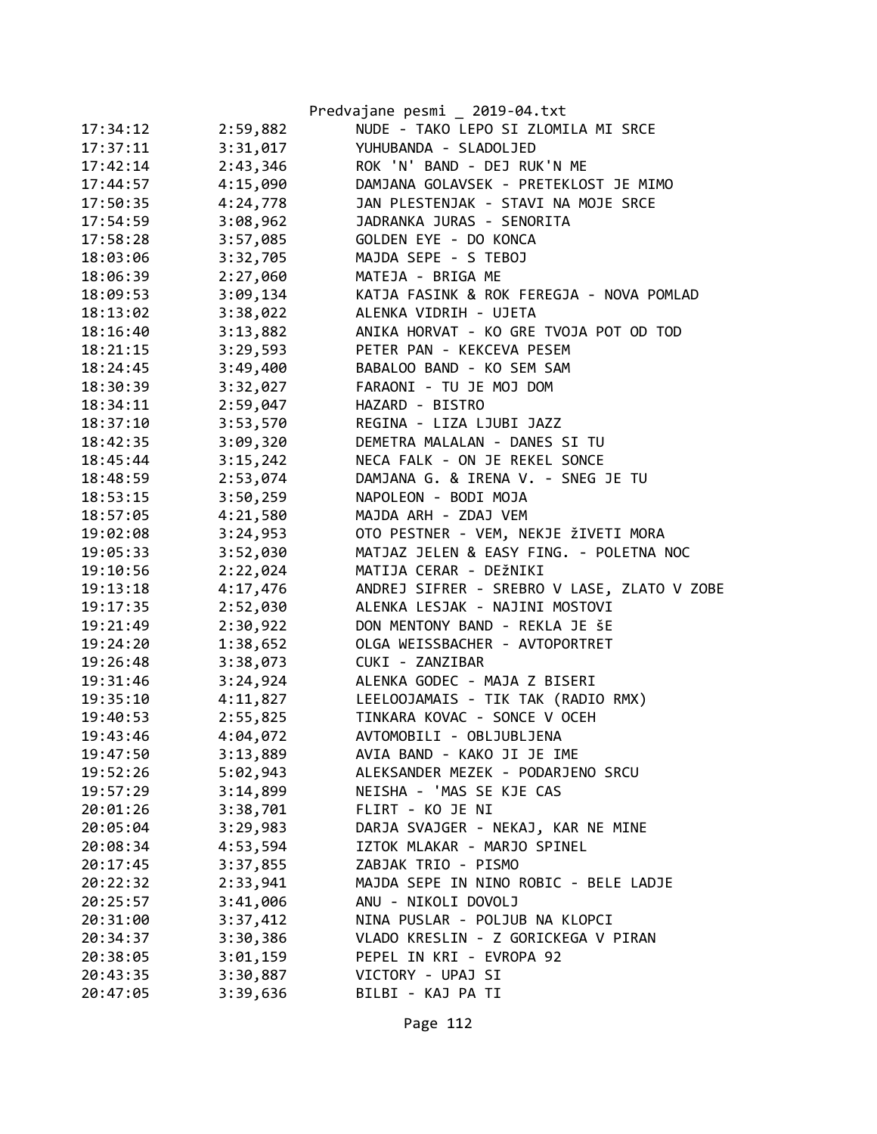|          |          | Predvajane pesmi _ 2019-04.txt              |
|----------|----------|---------------------------------------------|
| 17:34:12 | 2:59,882 | NUDE - TAKO LEPO SI ZLOMILA MI SRCE         |
| 17:37:11 | 3:31,017 | YUHUBANDA - SLADOLJED                       |
| 17:42:14 | 2:43,346 | ROK 'N' BAND - DEJ RUK'N ME                 |
| 17:44:57 | 4:15,090 | DAMJANA GOLAVSEK - PRETEKLOST JE MIMO       |
| 17:50:35 | 4:24,778 | JAN PLESTENJAK - STAVI NA MOJE SRCE         |
| 17:54:59 | 3:08,962 | JADRANKA JURAS - SENORITA                   |
| 17:58:28 | 3:57,085 | GOLDEN EYE - DO KONCA                       |
| 18:03:06 | 3:32,705 | MAJDA SEPE - S TEBOJ                        |
| 18:06:39 | 2:27,060 | MATEJA - BRIGA ME                           |
| 18:09:53 | 3:09,134 | KATJA FASINK & ROK FEREGJA - NOVA POMLAD    |
| 18:13:02 | 3:38,022 | ALENKA VIDRIH - UJETA                       |
| 18:16:40 | 3:13,882 | ANIKA HORVAT - KO GRE TVOJA POT OD TOD      |
| 18:21:15 | 3:29,593 | PETER PAN - KEKCEVA PESEM                   |
| 18:24:45 | 3:49,400 | BABALOO BAND - KO SEM SAM                   |
| 18:30:39 | 3:32,027 | FARAONI - TU JE MOJ DOM                     |
| 18:34:11 | 2:59,047 | HAZARD - BISTRO                             |
| 18:37:10 | 3:53,570 | REGINA - LIZA LJUBI JAZZ                    |
| 18:42:35 | 3:09,320 | DEMETRA MALALAN - DANES SI TU               |
| 18:45:44 | 3:15,242 | NECA FALK - ON JE REKEL SONCE               |
| 18:48:59 | 2:53,074 | DAMJANA G. & IRENA V. - SNEG JE TU          |
| 18:53:15 | 3:50,259 | NAPOLEON - BODI MOJA                        |
| 18:57:05 | 4:21,580 | MAJDA ARH - ZDAJ VEM                        |
| 19:02:08 | 3:24,953 | OTO PESTNER - VEM, NEKJE ŽIVETI MORA        |
| 19:05:33 | 3:52,030 | MATJAZ JELEN & EASY FING. - POLETNA NOC     |
| 19:10:56 | 2:22,024 | MATIJA CERAR - DEŽNIKI                      |
| 19:13:18 | 4:17,476 | ANDREJ SIFRER - SREBRO V LASE, ZLATO V ZOBE |
| 19:17:35 | 2:52,030 | ALENKA LESJAK - NAJINI MOSTOVI              |
| 19:21:49 | 2:30,922 | DON MENTONY BAND - REKLA JE ŠE              |
| 19:24:20 | 1:38,652 | OLGA WEISSBACHER - AVTOPORTRET              |
| 19:26:48 | 3:38,073 | CUKI - ZANZIBAR                             |
| 19:31:46 | 3:24,924 | ALENKA GODEC - MAJA Z BISERI                |
| 19:35:10 | 4:11,827 | LEELOOJAMAIS - TIK TAK (RADIO RMX)          |
| 19:40:53 | 2:55,825 | TINKARA KOVAC - SONCE V OCEH                |
| 19:43:46 | 4:04,072 | AVTOMOBILI - OBLJUBLJENA                    |
| 19:47:50 | 3:13,889 | AVIA BAND - KAKO JI JE IME                  |
| 19:52:26 | 5:02,943 | ALEKSANDER MEZEK - PODARJENO SRCU           |
| 19:57:29 | 3:14,899 | NEISHA - 'MAS SE KJE CAS                    |
| 20:01:26 | 3:38,701 | FLIRT - KO JE NI                            |
| 20:05:04 | 3:29,983 | DARJA SVAJGER - NEKAJ, KAR NE MINE          |
| 20:08:34 | 4:53,594 | IZTOK MLAKAR - MARJO SPINEL                 |
| 20:17:45 | 3:37,855 | ZABJAK TRIO - PISMO                         |
| 20:22:32 | 2:33,941 | MAJDA SEPE IN NINO ROBIC - BELE LADJE       |
| 20:25:57 | 3:41,006 | ANU - NIKOLI DOVOLJ                         |
| 20:31:00 | 3:37,412 | NINA PUSLAR - POLJUB NA KLOPCI              |
| 20:34:37 | 3:30,386 | VLADO KRESLIN - Z GORICKEGA V PIRAN         |
| 20:38:05 | 3:01,159 | PEPEL IN KRI - EVROPA 92                    |
| 20:43:35 | 3:30,887 | VICTORY - UPAJ SI                           |
| 20:47:05 | 3:39,636 | BILBI - KAJ PA TI                           |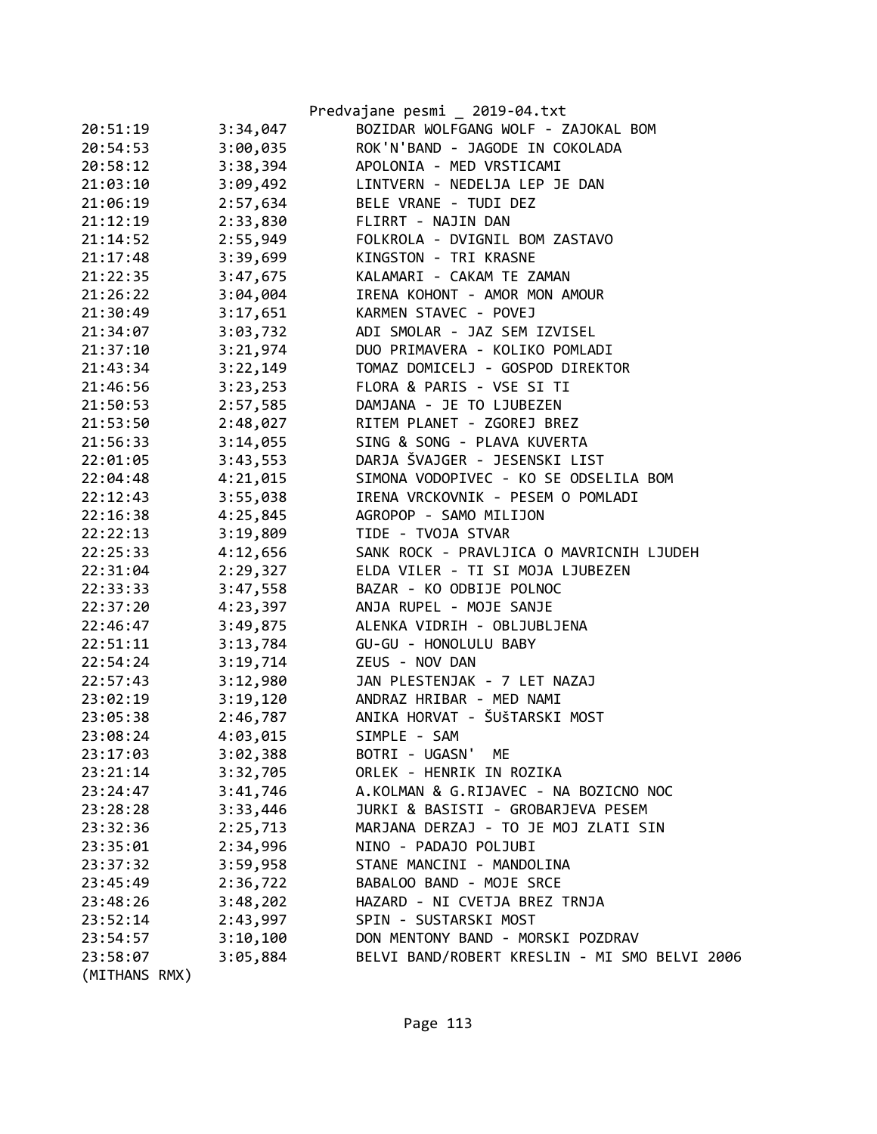|               |          | Predvajane pesmi _ 2019-04.txt                |
|---------------|----------|-----------------------------------------------|
| 20:51:19      | 3:34,047 | BOZIDAR WOLFGANG WOLF - ZAJOKAL BOM           |
| 20:54:53      | 3:00,035 | ROK'N'BAND - JAGODE IN COKOLADA               |
| 20:58:12      | 3:38,394 | APOLONIA - MED VRSTICAMI                      |
| 21:03:10      | 3:09,492 | LINTVERN - NEDELJA LEP JE DAN                 |
| 21:06:19      | 2:57,634 | BELE VRANE - TUDI DEZ                         |
| 21:12:19      | 2:33,830 | FLIRRT - NAJIN DAN                            |
| 21:14:52      | 2:55,949 | FOLKROLA - DVIGNIL BOM ZASTAVO                |
| 21:17:48      | 3:39,699 | KINGSTON - TRI KRASNE                         |
| 21:22:35      | 3:47,675 | KALAMARI - CAKAM TE ZAMAN                     |
| 21:26:22      | 3:04,004 | IRENA KOHONT - AMOR MON AMOUR                 |
| 21:30:49      | 3:17,651 | KARMEN STAVEC - POVEJ                         |
| 21:34:07      | 3:03,732 | ADI SMOLAR - JAZ SEM IZVISEL                  |
| 21:37:10      | 3:21,974 | DUO PRIMAVERA - KOLIKO POMLADI                |
| 21:43:34      | 3:22,149 | TOMAZ DOMICELJ - GOSPOD DIREKTOR              |
| 21:46:56      | 3:23,253 | FLORA & PARIS - VSE SI TI                     |
| 21:50:53      | 2:57,585 | DAMJANA - JE TO LJUBEZEN                      |
| 21:53:50      | 2:48,027 | RITEM PLANET - ZGOREJ BREZ                    |
| 21:56:33      | 3:14,055 | SING & SONG - PLAVA KUVERTA                   |
| 22:01:05      | 3:43,553 | DARJA ŠVAJGER - JESENSKI LIST                 |
| 22:04:48      | 4:21,015 | SIMONA VODOPIVEC - KO SE ODSELILA BOM         |
| 22:12:43      | 3:55,038 | IRENA VRCKOVNIK - PESEM O POMLADI             |
| 22:16:38      | 4:25,845 | AGROPOP - SAMO MILIJON                        |
| 22:22:13      | 3:19,809 | TIDE - TVOJA STVAR                            |
| 22:25:33      | 4:12,656 | SANK ROCK - PRAVLJICA O MAVRICNIH LJUDEH      |
| 22:31:04      | 2:29,327 | ELDA VILER - TI SI MOJA LJUBEZEN              |
| 22:33:33      | 3:47,558 | BAZAR - KO ODBIJE POLNOC                      |
| 22:37:20      | 4:23,397 | ANJA RUPEL - MOJE SANJE                       |
| 22:46:47      | 3:49,875 | ALENKA VIDRIH - OBLJUBLJENA                   |
| 22:51:11      | 3:13,784 | GU-GU - HONOLULU BABY                         |
| 22:54:24      | 3:19,714 | ZEUS - NOV DAN                                |
| 22:57:43      | 3:12,980 | JAN PLESTENJAK - 7 LET NAZAJ                  |
| 23:02:19      | 3:19,120 | ANDRAZ HRIBAR - MED NAMI                      |
| 23:05:38      | 2:46,787 | ANIKA HORVAT - ŠUŠTARSKI MOST                 |
| 23:08:24      | 4:03,015 | SIMPLE - SAM                                  |
| 23:17:03      | 3:02,388 | BOTRI - UGASN'<br>ME                          |
| 23:21:14      | 3:32,705 | ORLEK - HENRIK IN ROZIKA                      |
| 23:24:47      | 3:41,746 | A.KOLMAN & G.RIJAVEC - NA BOZICNO NOC         |
| 23:28:28      | 3:33,446 | JURKI & BASISTI - GROBARJEVA PESEM            |
| 23:32:36      | 2:25,713 | MARJANA DERZAJ - TO JE MOJ ZLATI SIN          |
| 23:35:01      | 2:34,996 | NINO - PADAJO POLJUBI                         |
| 23:37:32      | 3:59,958 | STANE MANCINI - MANDOLINA                     |
| 23:45:49      | 2:36,722 | BABALOO BAND - MOJE SRCE                      |
| 23:48:26      | 3:48,202 | HAZARD - NI CVETJA BREZ TRNJA                 |
| 23:52:14      | 2:43,997 | SPIN - SUSTARSKI MOST                         |
| 23:54:57      | 3:10,100 | DON MENTONY BAND - MORSKI POZDRAV             |
| 23:58:07      | 3:05,884 | BELVI BAND/ROBERT KRESLIN - MI SMO BELVI 2006 |
| (MITHANS RMX) |          |                                               |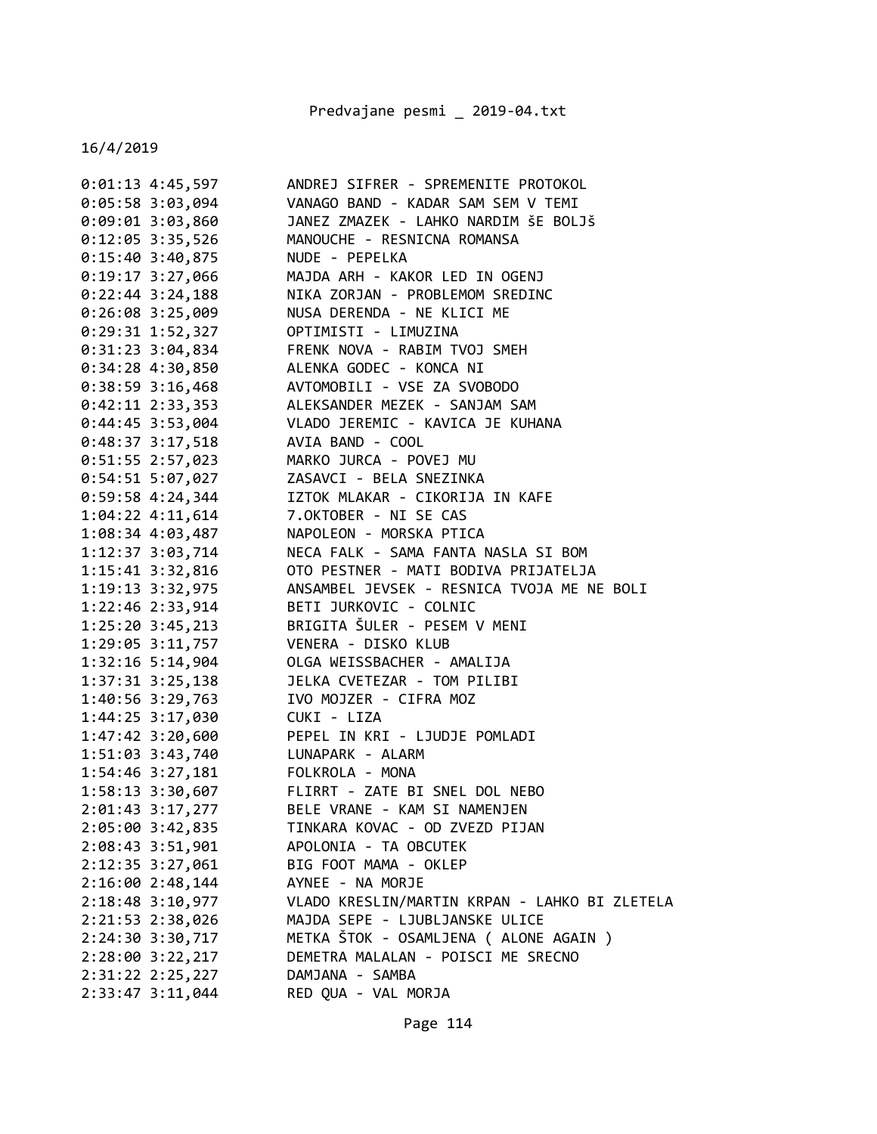| $0:01:13$ 4:45,597   | ANDREJ SIFRER - SPREMENITE PROTOKOL           |
|----------------------|-----------------------------------------------|
| $0:05:58$ 3:03,094   | VANAGO BAND - KADAR SAM SEM V TEMI            |
| $0:09:01$ 3:03,860   | JANEZ ZMAZEK - LAHKO NARDIM ŠE BOLJŠ          |
| $0:12:05$ 3:35,526   | MANOUCHE - RESNICNA ROMANSA                   |
| $0:15:40$ 3:40,875   | NUDE - PEPELKA                                |
| $0:19:17$ 3:27,066   | MAJDA ARH - KAKOR LED IN OGENJ                |
| $0:22:44$ 3:24,188   | NIKA ZORJAN - PROBLEMOM SREDINC               |
| 0:26:08 3:25,009     | NUSA DERENDA - NE KLICI ME                    |
| 0:29:31 1:52,327     | OPTIMISTI - LIMUZINA                          |
| 0:31:23 3:04,834     | FRENK NOVA - RABIM TVOJ SMEH                  |
| $0:34:28$ 4:30,850   | ALENKA GODEC - KONCA NI                       |
| $0:38:59$ 3:16,468   | AVTOMOBILI - VSE ZA SVOBODO                   |
| $0:42:11$ $2:33,353$ | ALEKSANDER MEZEK - SANJAM SAM                 |
| $0:44:45$ 3:53,004   | VLADO JEREMIC - KAVICA JE KUHANA              |
| 0:48:37 3:17,518     | AVIA BAND - COOL                              |
| 0:51:55 2:57,023     | MARKO JURCA - POVEJ MU                        |
| $0:54:51$ 5:07,027   | ZASAVCI - BELA SNEZINKA                       |
| $0:59:58$ 4:24,344   | IZTOK MLAKAR - CIKORIJA IN KAFE               |
| $1:04:22$ $4:11,614$ | 7.OKTOBER - NI SE CAS                         |
| 1:08:34 4:03,487     | NAPOLEON - MORSKA PTICA                       |
| 1:12:37 3:03,714     | NECA FALK - SAMA FANTA NASLA SI BOM           |
| $1:15:41$ $3:32,816$ | OTO PESTNER - MATI BODIVA PRIJATELJA          |
| 1:19:13 3:32,975     | ANSAMBEL JEVSEK - RESNICA TVOJA ME NE BOLI    |
| 1:22:46 2:33,914     | BETI JURKOVIC - COLNIC                        |
| $1:25:20$ 3:45,213   | BRIGITA ŠULER - PESEM V MENI                  |
| 1:29:05 3:11,757     | VENERA - DISKO KLUB                           |
| 1:32:16 5:14,904     | OLGA WEISSBACHER - AMALIJA                    |
| $1:37:31$ $3:25,138$ | JELKA CVETEZAR - TOM PILIBI                   |
| 1:40:56 3:29,763     | IVO MOJZER - CIFRA MOZ                        |
| 1:44:25 3:17,030     | CUKI - LIZA                                   |
| 1:47:42 3:20,600     | PEPEL IN KRI - LJUDJE POMLADI                 |
| 1:51:03 3:43,740     | LUNAPARK - ALARM                              |
| $1:54:46$ $3:27,181$ | FOLKROLA - MONA                               |
| 1:58:13 3:30,607     | FLIRRT - ZATE BI SNEL DOL NEBO                |
| 2:01:43 3:17,277     | BELE VRANE - KAM SI NAMENJEN                  |
| 2:05:00 3:42,835     | TINKARA KOVAC - OD ZVEZD PIJAN                |
| 2:08:43 3:51,901     | APOLONIA - TA OBCUTEK                         |
| 2:12:35 3:27,061     | BIG FOOT MAMA - OKLEP                         |
| 2:16:00 2:48,144     | AYNEE - NA MORJE                              |
| 2:18:48 3:10,977     | VLADO KRESLIN/MARTIN KRPAN - LAHKO BI ZLETELA |
| 2:21:53 2:38,026     | MAJDA SEPE - LJUBLJANSKE ULICE                |
| 2:24:30 3:30,717     | METKA ŠTOK - OSAMLJENA ( ALONE AGAIN )        |
| 2:28:00 3:22,217     | DEMETRA MALALAN - POISCI ME SRECNO            |
| 2:31:22 2:25,227     | DAMJANA - SAMBA                               |
| 2:33:47 3:11,044     | RED QUA - VAL MORJA                           |
|                      |                                               |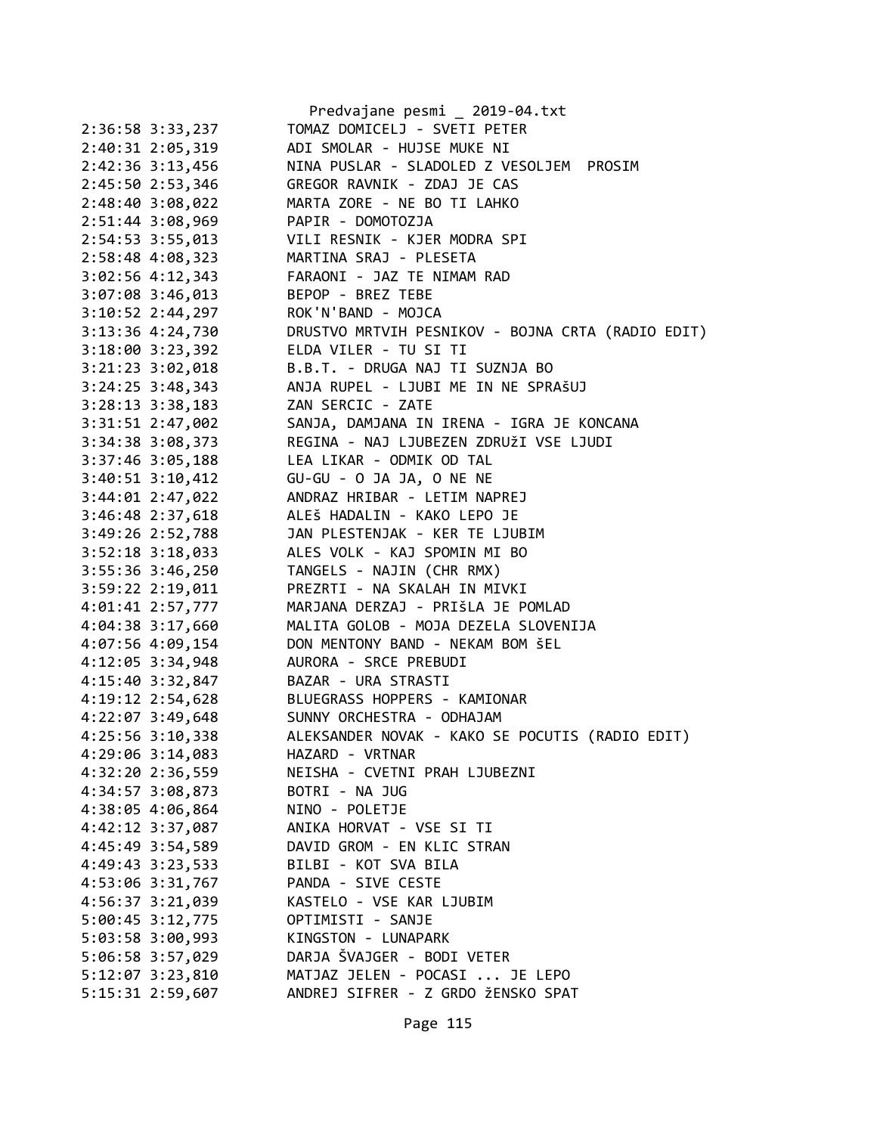|                                        | Predvajane pesmi _ 2019-04.txt                                     |
|----------------------------------------|--------------------------------------------------------------------|
| 2:36:58 3:33,237                       | TOMAZ DOMICELJ - SVETI PETER                                       |
| 2:40:31 2:05,319                       | ADI SMOLAR - HUJSE MUKE NI                                         |
| 2:42:36 3:13,456                       | NINA PUSLAR - SLADOLED Z VESOLJEM PROSIM                           |
|                                        | 2:45:50 2:53,346 GREGOR RAVNIK - ZDAJ JE CAS                       |
|                                        | 2:48:40 3:08,022 MARTA ZORE - NE BO TI LAHKO                       |
| 2:51:44 3:08,969 PAPIR - DOMOTOZJA     |                                                                    |
| 2:54:53 3:55,013                       | VILI RESNIK - KJER MODRA SPI                                       |
| 2:58:48 4:08,323                       | MARTINA SRAJ - PLESETA                                             |
|                                        | 3:02:56 4:12,343 FARAONI - JAZ TE NIMAM RAD                        |
| 3:07:08 3:46,013 BEPOP - BREZ TEBE     |                                                                    |
| 3:10:52 2:44,297 ROK'N'BAND - MOJCA    |                                                                    |
|                                        | 3:13:36 4:24,730 DRUSTVO MRTVIH PESNIKOV - BOJNA CRTA (RADIO EDIT) |
| 3:18:00 3:23,392 ELDA VILER - TU SI TI |                                                                    |
| $3:21:23$ $3:02,018$                   | B.B.T. - DRUGA NAJ TI SUZNJA BO                                    |
|                                        | 3:24:25 3:48,343 ANJA RUPEL - LJUBI ME IN NE SPRAŠUJ               |
| 3:28:13 3:38,183 ZAN SERCIC - ZATE     |                                                                    |
|                                        | 3:31:51 2:47,002 SANJA, DAMJANA IN IRENA - IGRA JE KONCANA         |
|                                        | 3:34:38 3:08,373 REGINA - NAJ LJUBEZEN ZDRUŽI VSE LJUDI            |
|                                        | 3:37:46 3:05,188 LEA LIKAR - ODMIK OD TAL                          |
|                                        | 3:40:51 3:10,412 GU-GU - 0 JA JA, 0 NE NE                          |
| $3:44:01$ $2:47,022$                   | ANDRAZ HRIBAR - LETIM NAPREJ                                       |
|                                        |                                                                    |
|                                        | 3:46:48 2:37,618 ALEŠ HADALIN - KAKO LEPO JE                       |
|                                        | 3:49:26 2:52,788 JAN PLESTENJAK - KER TE LJUBIM                    |
|                                        | 3:52:18 3:18,033 ALES VOLK - KAJ SPOMIN MI BO                      |
|                                        | 3:55:36 3:46,250 TANGELS - NAJIN (CHR RMX)                         |
| 3:59:22 2:19,011                       | PREZRTI - NA SKALAH IN MIVKI                                       |
| 4:01:41 2:57,777                       | MARJANA DERZAJ - PRIŠLA JE POMLAD                                  |
| 4:04:38 3:17,660                       | MALITA GOLOB - MOJA DEZELA SLOVENIJA                               |
| 4:07:56 4:09,154                       | DON MENTONY BAND - NEKAM BOM ŠEL                                   |
| 4:12:05 3:34,948                       | AURORA - SRCE PREBUDI                                              |
| 4:15:40 3:32,847                       | BAZAR - URA STRASTI                                                |
|                                        | 4:19:12 2:54,628 BLUEGRASS HOPPERS - KAMIONAR                      |
|                                        | 4:22:07 3:49,648 SUNNY ORCHESTRA - ODHAJAM                         |
| 4:25:56 3:10,338                       | ALEKSANDER NOVAK - KAKO SE POCUTIS (RADIO EDIT)                    |
| 4:29:06 3:14,083                       | HAZARD - VRTNAR                                                    |
| 4:32:20 2:36,559                       | NEISHA - CVETNI PRAH LJUBEZNI                                      |
| 4:34:57 3:08,873                       | BOTRI - NA JUG                                                     |
| 4:38:05 4:06,864                       | NINO - POLETJE                                                     |
| 4:42:12 3:37,087                       | ANIKA HORVAT - VSE SI TI                                           |
| 4:45:49 3:54,589                       | DAVID GROM - EN KLIC STRAN                                         |
| 4:49:43 3:23,533                       | BILBI - KOT SVA BILA                                               |
| 4:53:06 3:31,767                       | PANDA - SIVE CESTE                                                 |
| 4:56:37 3:21,039                       | KASTELO - VSE KAR LJUBIM                                           |
| 5:00:45 3:12,775                       | OPTIMISTI - SANJE                                                  |
| 5:03:58 3:00,993                       | KINGSTON - LUNAPARK                                                |
| 5:06:58 3:57,029                       | DARJA ŠVAJGER - BODI VETER                                         |
| 5:12:07 3:23,810                       | MATJAZ JELEN - POCASI  JE LEPO                                     |
| 5:15:31 2:59,607                       | ANDREJ SIFRER - Z GRDO ŽENSKO SPAT                                 |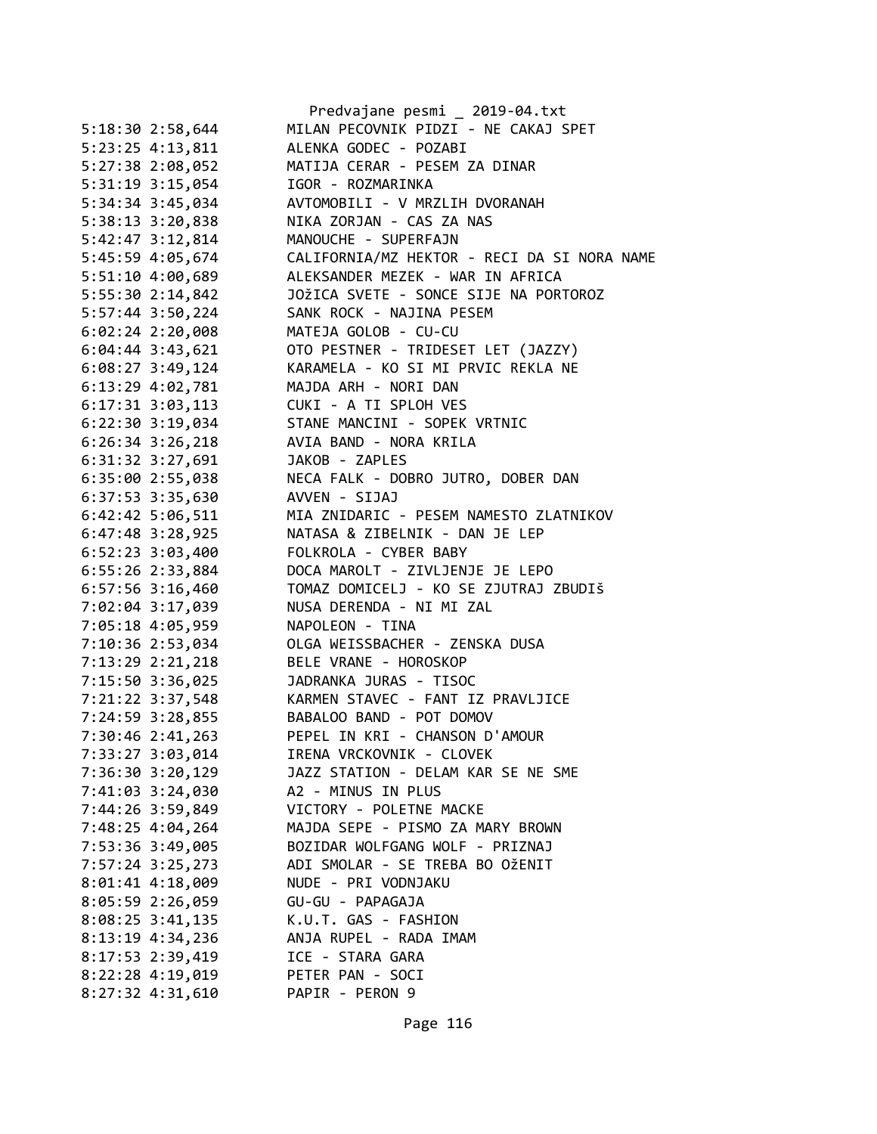|                    | Predvajane pesmi _ 2019-04.txt                     |
|--------------------|----------------------------------------------------|
| 5:18:30 2:58,644   | MILAN PECOVNIK PIDZI - NE CAKAJ SPET               |
| 5:23:25 4:13,811   | ALENKA GODEC - POZABI                              |
| 5:27:38 2:08,052   | MATIJA CERAR - PESEM ZA DINAR                      |
| 5:31:19 3:15,054   | IGOR - ROZMARINKA                                  |
| 5:34:34 3:45,034   | AVTOMOBILI - V MRZLIH DVORANAH                     |
| 5:38:13 3:20,838   | NIKA ZORJAN - CAS ZA NAS                           |
| 5:42:47 3:12,814   | MANOUCHE - SUPERFAJN                               |
| 5:45:59 4:05,674   | CALIFORNIA/MZ HEKTOR - RECI DA SI NORA NAME        |
| 5:51:10 4:00,689   | ALEKSANDER MEZEK - WAR IN AFRICA                   |
| 5:55:30 2:14,842   | JOŽICA SVETE - SONCE SIJE NA PORTOROZ              |
| 5:57:44 3:50,224   | SANK ROCK - NAJINA PESEM                           |
| $6:02:24$ 2:20,008 | MATEJA GOLOB - CU-CU                               |
| 6:04:44 3:43,621   | OTO PESTNER - TRIDESET LET (JAZZY)                 |
| $6:08:27$ 3:49,124 | KARAMELA - KO SI MI PRVIC REKLA NE                 |
| 6:13:29 4:02,781   | MAJDA ARH - NORI DAN                               |
| 6:17:31 3:03,113   | CUKI - A TI SPLOH VES                              |
| 6:22:30 3:19,034   | STANE MANCINI - SOPEK VRTNIC                       |
| $6:26:34$ 3:26,218 | AVIA BAND - NORA KRILA                             |
| 6:31:32 3:27,691   | JAKOB - ZAPLES                                     |
| 6:35:00 2:55,038   | NECA FALK - DOBRO JUTRO, DOBER DAN                 |
| 6:37:53 3:35,630   | AVVEN - SIJAJ                                      |
| 6:42:42 5:06,511   | MIA ZNIDARIC - PESEM NAMESTO ZLATNIKOV             |
| 6:47:48 3:28,925   | NATASA & ZIBELNIK - DAN JE LEP                     |
| 6:52:23 3:03,400   | FOLKROLA - CYBER BABY                              |
| 6:55:26 2:33,884   | DOCA MAROLT - ZIVLJENJE JE LEPO                    |
| 6:57:56 3:16,460   | TOMAZ DOMICELJ - KO SE ZJUTRAJ ZBUDIŠ              |
| 7:02:04 3:17,039   | NUSA DERENDA - NI MI ZAL                           |
| 7:05:18 4:05,959   | NAPOLEON - TINA                                    |
| 7:10:36 2:53,034   | OLGA WEISSBACHER - ZENSKA DUSA                     |
| 7:13:29 2:21,218   | BELE VRANE - HOROSKOP                              |
| 7:15:50 3:36,025   | JADRANKA JURAS - TISOC                             |
|                    | 7:21:22 3:37,548 KARMEN STAVEC - FANT IZ PRAVLJICE |
| 7:24:59 3:28,855   | BABALOO BAND - POT DOMOV                           |
| 7:30:46 2:41,263   | PEPEL IN KRI - CHANSON D'AMOUR                     |
| 7:33:27 3:03,014   | IRENA VRCKOVNIK - CLOVEK                           |
| 7:36:30 3:20,129   | JAZZ STATION - DELAM KAR SE NE SME                 |
| 7:41:03 3:24,030   | A2 - MINUS IN PLUS                                 |
| 7:44:26 3:59,849   | VICTORY - POLETNE MACKE                            |
| 7:48:25 4:04,264   | MAJDA SEPE - PISMO ZA MARY BROWN                   |
| 7:53:36 3:49,005   | BOZIDAR WOLFGANG WOLF - PRIZNAJ                    |
| 7:57:24 3:25,273   | ADI SMOLAR - SE TREBA BO OŽENIT                    |
| 8:01:41 4:18,009   | NUDE - PRI VODNJAKU                                |
| 8:05:59 2:26,059   | GU-GU - PAPAGAJA                                   |
| 8:08:25 3:41,135   | K.U.T. GAS - FASHION                               |
| 8:13:19 4:34,236   | ANJA RUPEL - RADA IMAM                             |
| 8:17:53 2:39,419   | ICE - STARA GARA                                   |
| 8:22:28 4:19,019   | PETER PAN - SOCI                                   |
| 8:27:32 4:31,610   | PAPIR - PERON 9                                    |
|                    |                                                    |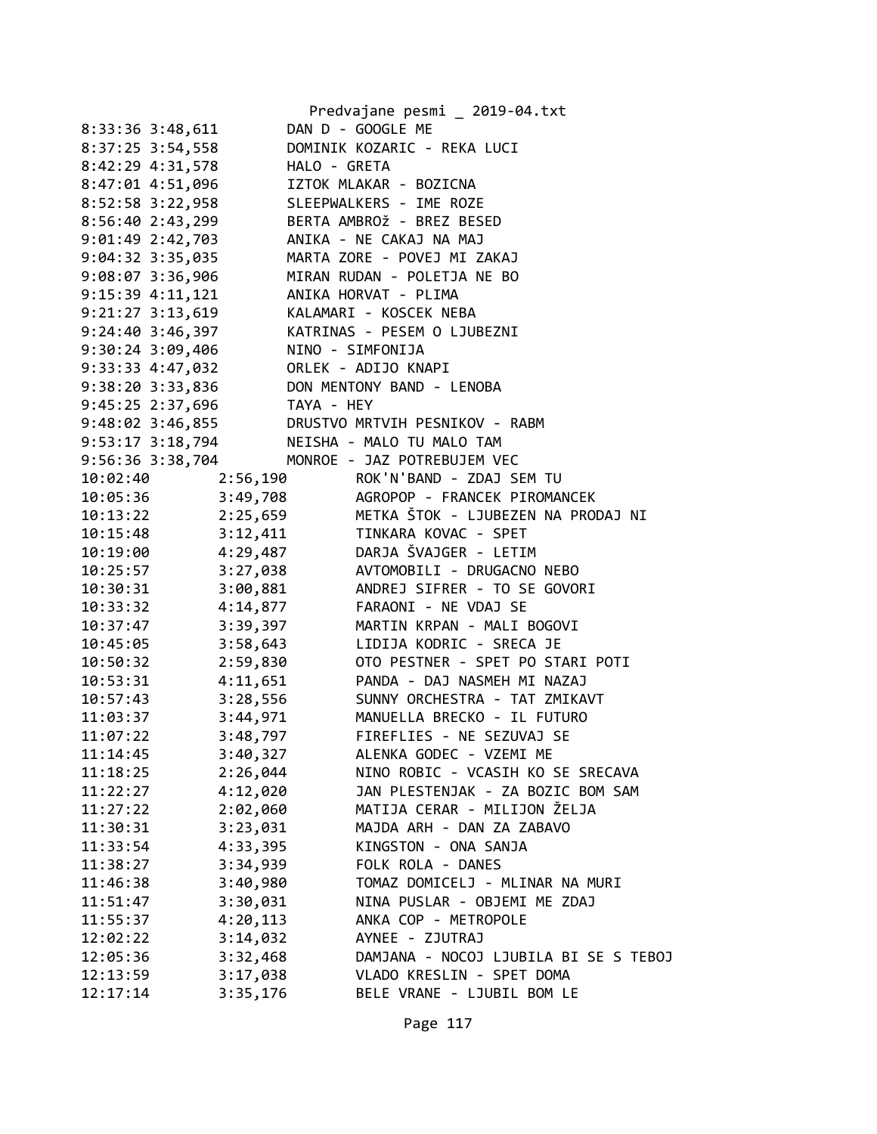|                    |              | Predvajane pesmi _ 2019-04.txt         |
|--------------------|--------------|----------------------------------------|
| 8:33:36 3:48,611   |              | DAN D - GOOGLE ME                      |
| 8:37:25 3:54,558   |              | DOMINIK KOZARIC - REKA LUCI            |
| 8:42:29 4:31,578   | HALO - GRETA |                                        |
| 8:47:01 4:51,096   |              | IZTOK MLAKAR - BOZICNA                 |
| 8:52:58 3:22,958   |              | SLEEPWALKERS - IME ROZE                |
| 8:56:40 2:43,299   |              | BERTA AMBROŽ - BREZ BESED              |
| 9:01:49 2:42,703   |              | ANIKA - NE CAKAJ NA MAJ                |
| 9:04:32 3:35,035   |              | MARTA ZORE - POVEJ MI ZAKAJ            |
| 9:08:07 3:36,906   |              | MIRAN RUDAN - POLETJA NE BO            |
| 9:15:39 4:11,121   |              | ANIKA HORVAT - PLIMA                   |
| 9:21:27 3:13,619   |              | KALAMARI - KOSCEK NEBA                 |
| 9:24:40 3:46,397   |              | KATRINAS - PESEM O LJUBEZNI            |
| $9:30:24$ 3:09,406 |              | NINO - SIMFONIJA                       |
| 9:33:33 4:47,032   |              | ORLEK - ADIJO KNAPI                    |
| 9:38:20 3:33,836   |              | DON MENTONY BAND - LENOBA              |
| 9:45:25 2:37,696   | TAYA - HEY   |                                        |
| 9:48:02 3:46,855   |              | DRUSTVO MRTVIH PESNIKOV - RABM         |
| 9:53:17 3:18,794   |              | NEISHA - MALO TU MALO TAM              |
| 9:56:36 3:38,704   |              | MONROE - JAZ POTREBUJEM VEC            |
| 10:02:40           |              | 2:56,190 ROK'N'BAND - ZDAJ SEM TU      |
| 10:05:36           | 3:49,708     | AGROPOP - FRANCEK PIROMANCEK           |
| 10:13:22           | 2:25,659     | METKA ŠTOK - LJUBEZEN NA PRODAJ NI     |
| 10:15:48           | 3:12,411     | TINKARA KOVAC - SPET                   |
| 10:19:00           |              | 4:29,487 DARJA ŠVAJGER - LETIM         |
| 10:25:57           |              | 3:27,038 AVTOMOBILI - DRUGACNO NEBO    |
| 10:30:31           |              | 3:00,881 ANDREJ SIFRER - TO SE GOVORI  |
| 10:33:32           |              | 4:14,877 FARAONI - NE VDAJ SE          |
| 10:37:47           | 3:39,397     | MARTIN KRPAN - MALI BOGOVI             |
| 10:45:05           | 3:58,643     | LIDIJA KODRIC - SRECA JE               |
| 10:50:32           | 2:59,830     | OTO PESTNER - SPET PO STARI POTI       |
| 10:53:31           | 4:11,651     | PANDA - DAJ NASMEH MI NAZAJ            |
| 10:57:43           |              | 3:28,556 SUNNY ORCHESTRA - TAT ZMIKAVT |
| 11:03:37           |              | 3:44,971 MANUELLA BRECKO - IL FUTURO   |
| 11:07:22           | 3:48,797     | FIREFLIES - NE SEZUVAJ SE              |
| 11:14:45           | 3:40,327     | ALENKA GODEC - VZEMI ME                |
| 11:18:25           | 2:26,044     | NINO ROBIC - VCASIH KO SE SRECAVA      |
| 11:22:27           | 4:12,020     | JAN PLESTENJAK - ZA BOZIC BOM SAM      |
| 11:27:22           | 2:02,060     | MATIJA CERAR - MILIJON ŽELJA           |
| 11:30:31           | 3:23,031     | MAJDA ARH - DAN ZA ZABAVO              |
| 11:33:54           | 4:33,395     | KINGSTON - ONA SANJA                   |
| 11:38:27           | 3:34,939     | FOLK ROLA - DANES                      |
| 11:46:38           | 3:40,980     | TOMAZ DOMICELJ - MLINAR NA MURI        |
| 11:51:47           | 3:30,031     | NINA PUSLAR - OBJEMI ME ZDAJ           |
| 11:55:37           | 4:20,113     | ANKA COP - METROPOLE                   |
| 12:02:22           | 3:14,032     | AYNEE - ZJUTRAJ                        |
| 12:05:36           | 3:32,468     | DAMJANA - NOCOJ LJUBILA BI SE S TEBOJ  |
| 12:13:59           | 3:17,038     | VLADO KRESLIN - SPET DOMA              |
| 12:17:14           | 3:35,176     | BELE VRANE - LJUBIL BOM LE             |
|                    |              |                                        |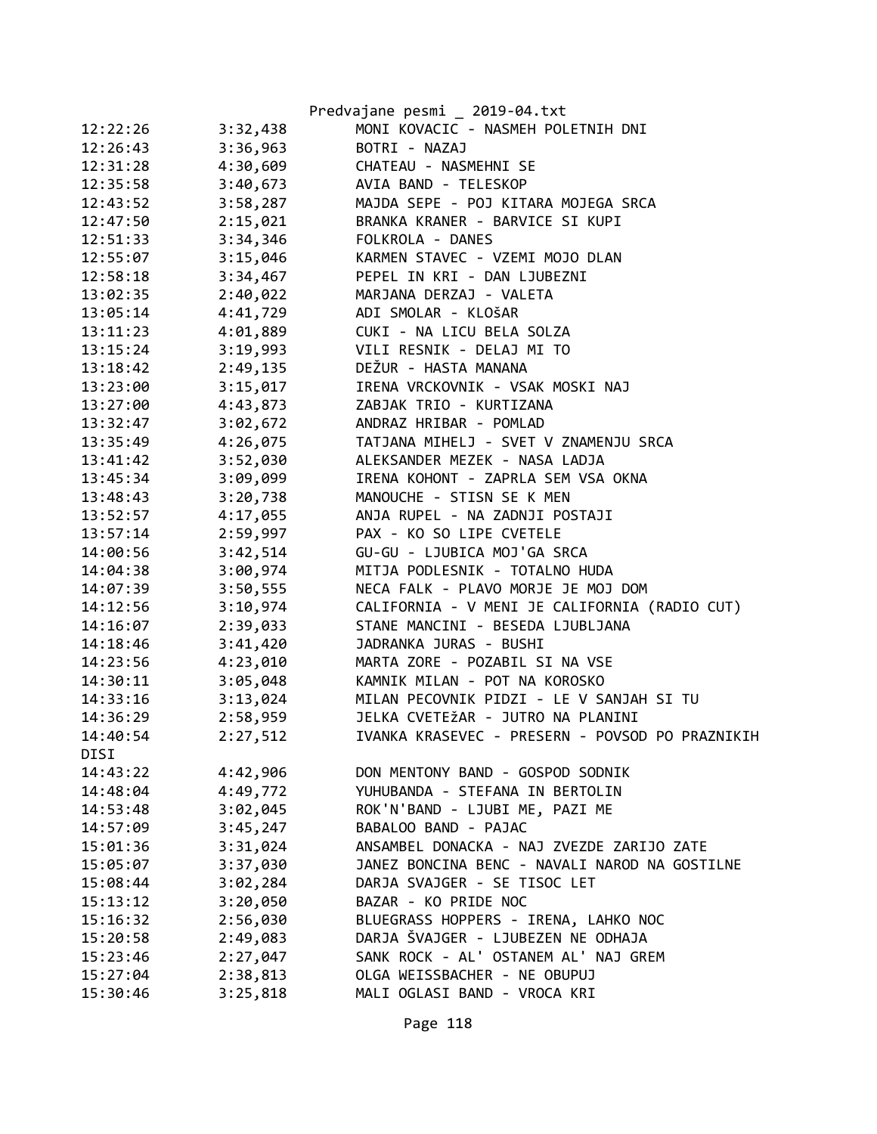|          |          | Predvajane pesmi _ 2019-04.txt                  |
|----------|----------|-------------------------------------------------|
| 12:22:26 | 3:32,438 | MONI KOVACIC - NASMEH POLETNIH DNI              |
| 12:26:43 | 3:36,963 | BOTRI - NAZAJ                                   |
| 12:31:28 | 4:30,609 | CHATEAU - NASMEHNI SE                           |
| 12:35:58 | 3:40,673 | AVIA BAND - TELESKOP                            |
| 12:43:52 | 3:58,287 | MAJDA SEPE - POJ KITARA MOJEGA SRCA             |
| 12:47:50 | 2:15,021 | BRANKA KRANER - BARVICE SI KUPI                 |
| 12:51:33 | 3:34,346 | FOLKROLA - DANES                                |
| 12:55:07 | 3:15,046 | KARMEN STAVEC - VZEMI MOJO DLAN                 |
| 12:58:18 | 3:34,467 | PEPEL IN KRI - DAN LJUBEZNI                     |
| 13:02:35 | 2:40,022 | MARJANA DERZAJ - VALETA                         |
| 13:05:14 | 4:41,729 | ADI SMOLAR - KLOŠAR                             |
| 13:11:23 | 4:01,889 | CUKI - NA LICU BELA SOLZA                       |
| 13:15:24 | 3:19,993 | VILI RESNIK - DELAJ MI TO                       |
| 13:18:42 | 2:49,135 | DEŽUR - HASTA MANANA                            |
| 13:23:00 | 3:15,017 | IRENA VRCKOVNIK - VSAK MOSKI NAJ                |
| 13:27:00 | 4:43,873 | ZABJAK TRIO - KURTIZANA                         |
| 13:32:47 | 3:02,672 | ANDRAZ HRIBAR - POMLAD                          |
| 13:35:49 | 4:26,075 | TATJANA MIHELJ - SVET V ZNAMENJU SRCA           |
| 13:41:42 | 3:52,030 | ALEKSANDER MEZEK - NASA LADJA                   |
| 13:45:34 | 3:09,099 | IRENA KOHONT - ZAPRLA SEM VSA OKNA              |
| 13:48:43 | 3:20,738 | MANOUCHE - STISN SE K MEN                       |
| 13:52:57 | 4:17,055 | ANJA RUPEL - NA ZADNJI POSTAJI                  |
| 13:57:14 | 2:59,997 | PAX - KO SO LIPE CVETELE                        |
| 14:00:56 | 3:42,514 | GU-GU - LJUBICA MOJ'GA SRCA                     |
| 14:04:38 | 3:00,974 | MITJA PODLESNIK - TOTALNO HUDA                  |
| 14:07:39 | 3:50,555 | NECA FALK - PLAVO MORJE JE MOJ DOM              |
| 14:12:56 | 3:10,974 | CALIFORNIA - V MENI JE CALIFORNIA (RADIO CUT)   |
| 14:16:07 | 2:39,033 | STANE MANCINI - BESEDA LJUBLJANA                |
| 14:18:46 | 3:41,420 | JADRANKA JURAS - BUSHI                          |
| 14:23:56 | 4:23,010 | MARTA ZORE - POZABIL SI NA VSE                  |
| 14:30:11 | 3:05,048 | KAMNIK MILAN - POT NA KOROSKO                   |
| 14:33:16 | 3:13,024 | MILAN PECOVNIK PIDZI - LE V SANJAH SI TU        |
| 14:36:29 | 2:58,959 | JELKA CVETEŽAR - JUTRO NA PLANINI               |
| 14:40:54 | 2:27,512 | IVANKA KRASEVEC - PRESERN - POVSOD PO PRAZNIKIH |
| DISI     |          |                                                 |
| 14:43:22 | 4:42,906 | DON MENTONY BAND - GOSPOD SODNIK                |
| 14:48:04 | 4:49,772 | YUHUBANDA - STEFANA IN BERTOLIN                 |
| 14:53:48 | 3:02,045 | ROK'N'BAND - LJUBI ME, PAZI ME                  |
| 14:57:09 | 3:45,247 | BABALOO BAND - PAJAC                            |
| 15:01:36 | 3:31,024 | ANSAMBEL DONACKA - NAJ ZVEZDE ZARIJO ZATE       |
| 15:05:07 | 3:37,030 | JANEZ BONCINA BENC - NAVALI NAROD NA GOSTILNE   |
| 15:08:44 | 3:02,284 | DARJA SVAJGER - SE TISOC LET                    |
| 15:13:12 | 3:20,050 | BAZAR - KO PRIDE NOC                            |
| 15:16:32 | 2:56,030 | BLUEGRASS HOPPERS - IRENA, LAHKO NOC            |
| 15:20:58 | 2:49,083 | DARJA ŠVAJGER - LJUBEZEN NE ODHAJA              |
| 15:23:46 | 2:27,047 | SANK ROCK - AL' OSTANEM AL' NAJ GREM            |
| 15:27:04 | 2:38,813 | OLGA WEISSBACHER - NE OBUPUJ                    |
| 15:30:46 | 3:25,818 | MALI OGLASI BAND - VROCA KRI                    |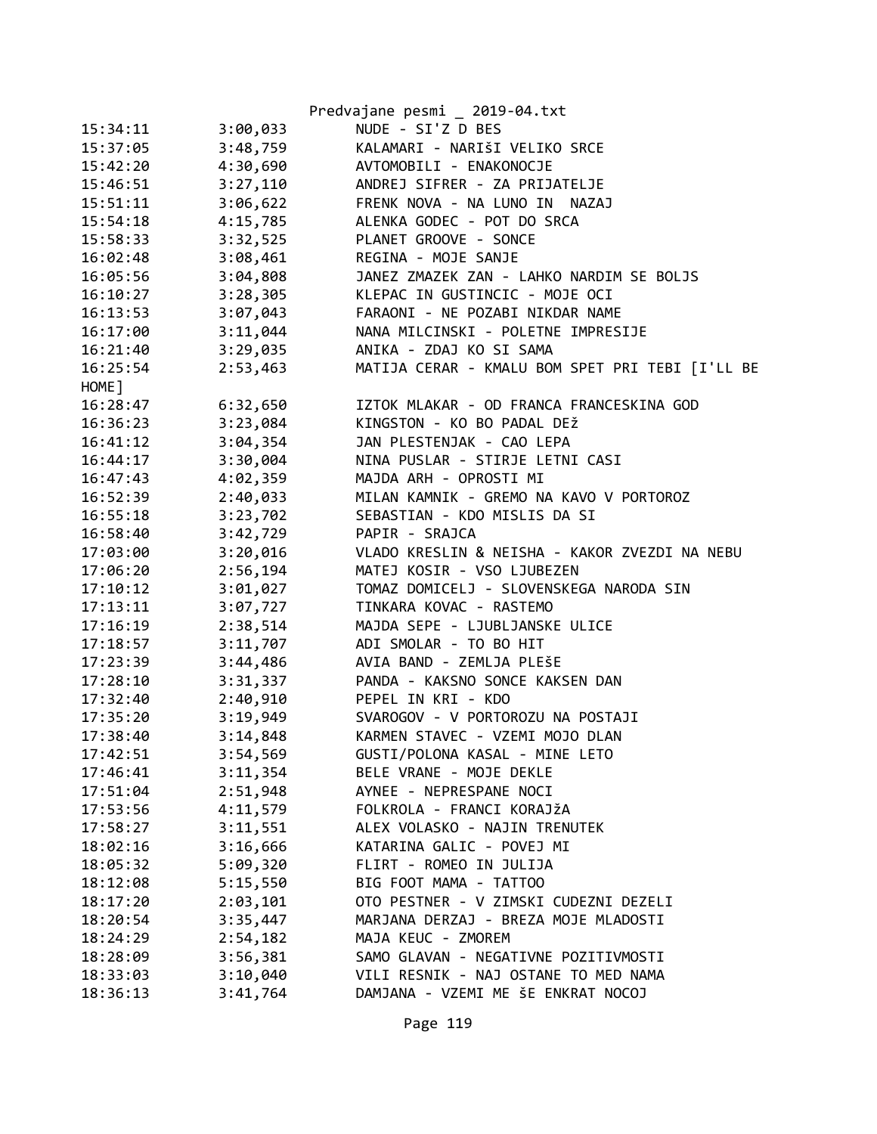|          |          | Predvajane pesmi _ 2019-04.txt                  |
|----------|----------|-------------------------------------------------|
| 15:34:11 | 3:00,033 | NUDE - SI'Z D BES                               |
| 15:37:05 | 3:48,759 | KALAMARI - NARIŠI VELIKO SRCE                   |
| 15:42:20 | 4:30,690 | AVTOMOBILI - ENAKONOCJE                         |
| 15:46:51 | 3:27,110 | ANDREJ SIFRER - ZA PRIJATELJE                   |
| 15:51:11 | 3:06,622 | FRENK NOVA - NA LUNO IN NAZAJ                   |
| 15:54:18 | 4:15,785 | ALENKA GODEC - POT DO SRCA                      |
| 15:58:33 | 3:32,525 | PLANET GROOVE - SONCE                           |
| 16:02:48 | 3:08,461 | REGINA - MOJE SANJE                             |
| 16:05:56 | 3:04,808 | JANEZ ZMAZEK ZAN - LAHKO NARDIM SE BOLJS        |
| 16:10:27 | 3:28,305 | KLEPAC IN GUSTINCIC - MOJE OCI                  |
| 16:13:53 | 3:07,043 | FARAONI - NE POZABI NIKDAR NAME                 |
| 16:17:00 | 3:11,044 | NANA MILCINSKI - POLETNE IMPRESIJE              |
| 16:21:40 | 3:29,035 | ANIKA - ZDAJ KO SI SAMA                         |
| 16:25:54 | 2:53,463 | MATIJA CERAR - KMALU BOM SPET PRI TEBI [I'LL BE |
| HOME ]   |          |                                                 |
| 16:28:47 | 6:32,650 | IZTOK MLAKAR - OD FRANCA FRANCESKINA GOD        |
| 16:36:23 | 3:23,084 | KINGSTON - KO BO PADAL DEŽ                      |
| 16:41:12 | 3:04,354 | JAN PLESTENJAK - CAO LEPA                       |
| 16:44:17 | 3:30,004 | NINA PUSLAR - STIRJE LETNI CASI                 |
| 16:47:43 | 4:02,359 | MAJDA ARH - OPROSTI MI                          |
| 16:52:39 | 2:40,033 | MILAN KAMNIK - GREMO NA KAVO V PORTOROZ         |
| 16:55:18 | 3:23,702 | SEBASTIAN - KDO MISLIS DA SI                    |
| 16:58:40 | 3:42,729 | PAPIR - SRAJCA                                  |
| 17:03:00 | 3:20,016 | VLADO KRESLIN & NEISHA - KAKOR ZVEZDI NA NEBU   |
| 17:06:20 | 2:56,194 | MATEJ KOSIR - VSO LJUBEZEN                      |
| 17:10:12 | 3:01,027 | TOMAZ DOMICELJ - SLOVENSKEGA NARODA SIN         |
| 17:13:11 | 3:07,727 | TINKARA KOVAC - RASTEMO                         |
| 17:16:19 | 2:38,514 | MAJDA SEPE - LJUBLJANSKE ULICE                  |
| 17:18:57 | 3:11,707 | ADI SMOLAR - TO BO HIT                          |
| 17:23:39 | 3:44,486 | AVIA BAND - ZEMLJA PLEŠE                        |
| 17:28:10 | 3:31,337 | PANDA - KAKSNO SONCE KAKSEN DAN                 |
| 17:32:40 | 2:40,910 | PEPEL IN KRI - KDO                              |
| 17:35:20 | 3:19,949 | SVAROGOV - V PORTOROZU NA POSTAJI               |
| 17:38:40 | 3:14,848 | KARMEN STAVEC - VZEMI MOJO DLAN                 |
| 17:42:51 | 3:54,569 | GUSTI/POLONA KASAL - MINE LETO                  |
| 17:46:41 | 3:11,354 | BELE VRANE - MOJE DEKLE                         |
| 17:51:04 | 2:51,948 | AYNEE - NEPRESPANE NOCI                         |
| 17:53:56 | 4:11,579 | FOLKROLA - FRANCI KORAJŽA                       |
| 17:58:27 | 3:11,551 | ALEX VOLASKO - NAJIN TRENUTEK                   |
| 18:02:16 | 3:16,666 | KATARINA GALIC - POVEJ MI                       |
| 18:05:32 | 5:09,320 | FLIRT - ROMEO IN JULIJA                         |
| 18:12:08 | 5:15,550 | BIG FOOT MAMA - TATTOO                          |
| 18:17:20 | 2:03,101 | OTO PESTNER - V ZIMSKI CUDEZNI DEZELI           |
| 18:20:54 | 3:35,447 | MARJANA DERZAJ - BREZA MOJE MLADOSTI            |
| 18:24:29 | 2:54,182 | MAJA KEUC - ZMOREM                              |
| 18:28:09 | 3:56,381 | SAMO GLAVAN - NEGATIVNE POZITIVMOSTI            |
| 18:33:03 | 3:10,040 | VILI RESNIK - NAJ OSTANE TO MED NAMA            |
| 18:36:13 | 3:41,764 | DAMJANA - VZEMI ME ŠE ENKRAT NOCOJ              |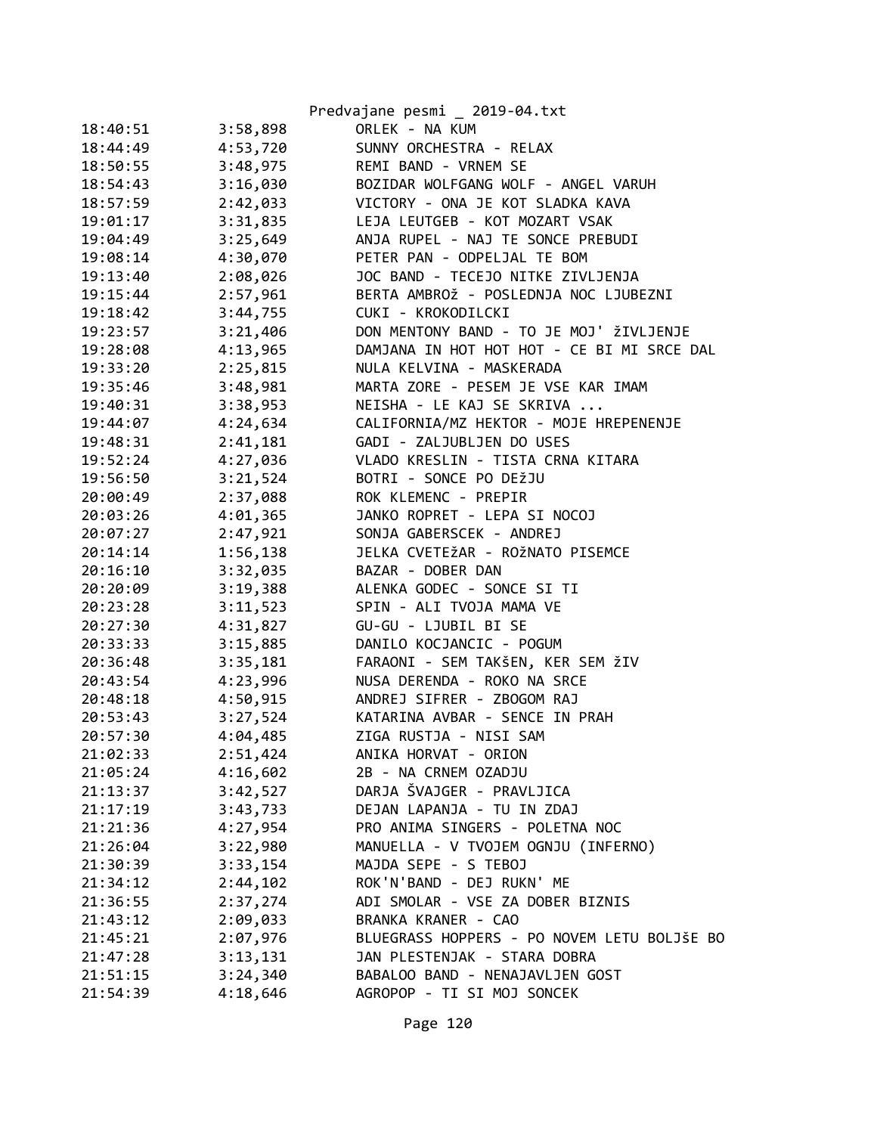|          |          | Predvajane pesmi _ 2019-04.txt              |
|----------|----------|---------------------------------------------|
| 18:40:51 | 3:58,898 | ORLEK - NA KUM                              |
| 18:44:49 | 4:53,720 | SUNNY ORCHESTRA - RELAX                     |
| 18:50:55 | 3:48,975 | REMI BAND - VRNEM SE                        |
| 18:54:43 | 3:16,030 | BOZIDAR WOLFGANG WOLF - ANGEL VARUH         |
| 18:57:59 | 2:42,033 | VICTORY - ONA JE KOT SLADKA KAVA            |
| 19:01:17 | 3:31,835 | LEJA LEUTGEB - KOT MOZART VSAK              |
| 19:04:49 | 3:25,649 | ANJA RUPEL - NAJ TE SONCE PREBUDI           |
| 19:08:14 | 4:30,070 | PETER PAN - ODPELJAL TE BOM                 |
| 19:13:40 | 2:08,026 | JOC BAND - TECEJO NITKE ZIVLJENJA           |
| 19:15:44 | 2:57,961 | BERTA AMBROŽ - POSLEDNJA NOC LJUBEZNI       |
| 19:18:42 | 3:44,755 | CUKI - KROKODILCKI                          |
| 19:23:57 | 3:21,406 | DON MENTONY BAND - TO JE MOJ' ŽIVLJENJE     |
| 19:28:08 | 4:13,965 | DAMJANA IN HOT HOT HOT - CE BI MI SRCE DAL  |
| 19:33:20 | 2:25,815 | NULA KELVINA - MASKERADA                    |
| 19:35:46 | 3:48,981 | MARTA ZORE - PESEM JE VSE KAR IMAM          |
| 19:40:31 | 3:38,953 | NEISHA - LE KAJ SE SKRIVA                   |
| 19:44:07 | 4:24,634 | CALIFORNIA/MZ HEKTOR - MOJE HREPENENJE      |
| 19:48:31 | 2:41,181 | GADI - ZALJUBLJEN DO USES                   |
| 19:52:24 | 4:27,036 | VLADO KRESLIN - TISTA CRNA KITARA           |
| 19:56:50 | 3:21,524 | BOTRI - SONCE PO DEŽJU                      |
| 20:00:49 | 2:37,088 | ROK KLEMENC - PREPIR                        |
| 20:03:26 | 4:01,365 | JANKO ROPRET - LEPA SI NOCOJ                |
| 20:07:27 | 2:47,921 | SONJA GABERSCEK - ANDREJ                    |
| 20:14:14 | 1:56,138 | JELKA CVETEŽAR - ROŽNATO PISEMCE            |
| 20:16:10 | 3:32,035 | BAZAR - DOBER DAN                           |
| 20:20:09 | 3:19,388 | ALENKA GODEC - SONCE SI TI                  |
| 20:23:28 | 3:11,523 | SPIN - ALI TVOJA MAMA VE                    |
| 20:27:30 | 4:31,827 | GU-GU - LJUBIL BI SE                        |
| 20:33:33 | 3:15,885 | DANILO KOCJANCIC - POGUM                    |
| 20:36:48 | 3:35,181 | FARAONI - SEM TAKŠEN, KER SEM ŽIV           |
| 20:43:54 | 4:23,996 | NUSA DERENDA - ROKO NA SRCE                 |
| 20:48:18 | 4:50,915 | ANDREJ SIFRER - ZBOGOM RAJ                  |
| 20:53:43 | 3:27,524 | KATARINA AVBAR - SENCE IN PRAH              |
| 20:57:30 | 4:04,485 | ZIGA RUSTJA - NISI SAM                      |
| 21:02:33 | 2:51,424 | ANIKA HORVAT - ORION                        |
| 21:05:24 | 4:16,602 | 2B - NA CRNEM OZADJU                        |
| 21:13:37 | 3:42,527 | DARJA ŠVAJGER - PRAVLJICA                   |
| 21:17:19 | 3:43,733 | DEJAN LAPANJA - TU IN ZDAJ                  |
| 21:21:36 | 4:27,954 | PRO ANIMA SINGERS - POLETNA NOC             |
| 21:26:04 | 3:22,980 | MANUELLA - V TVOJEM OGNJU (INFERNO)         |
| 21:30:39 | 3:33,154 | MAJDA SEPE - S TEBOJ                        |
| 21:34:12 | 2:44,102 | ROK'N'BAND - DEJ RUKN' ME                   |
| 21:36:55 | 2:37,274 | ADI SMOLAR - VSE ZA DOBER BIZNIS            |
| 21:43:12 | 2:09,033 | BRANKA KRANER - CAO                         |
| 21:45:21 | 2:07,976 | BLUEGRASS HOPPERS - PO NOVEM LETU BOLJŠE BO |
| 21:47:28 | 3:13,131 | JAN PLESTENJAK - STARA DOBRA                |
| 21:51:15 | 3:24,340 | BABALOO BAND - NENAJAVLJEN GOST             |
| 21:54:39 | 4:18,646 | AGROPOP - TI SI MOJ SONCEK                  |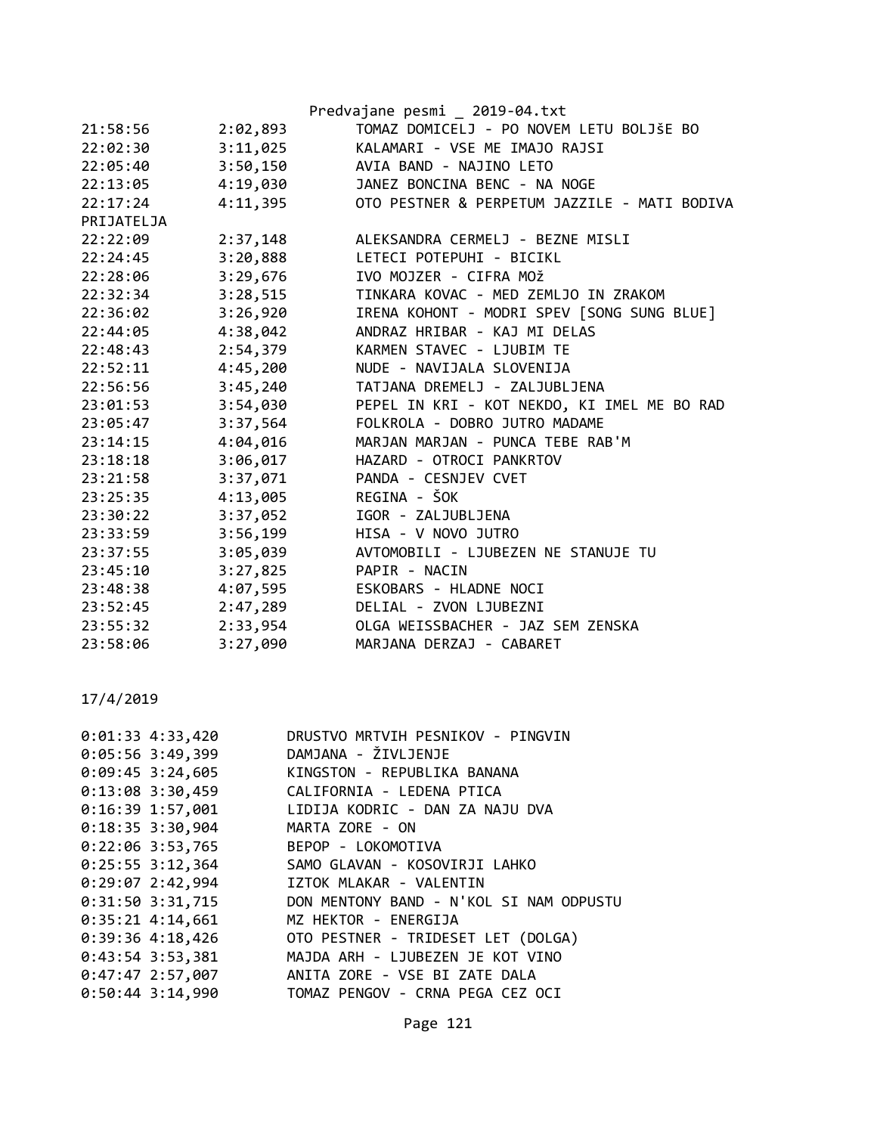|            |          | Predvajane pesmi 2019-04.txt                 |
|------------|----------|----------------------------------------------|
| 21:58:56   | 2:02,893 | TOMAZ DOMICELJ - PO NOVEM LETU BOLJŠE BO     |
| 22:02:30   | 3:11,025 | KALAMARI - VSE ME IMAJO RAJSI                |
| 22:05:40   | 3:50,150 | AVIA BAND - NAJINO LETO                      |
| 22:13:05   | 4:19,030 | JANEZ BONCINA BENC - NA NOGE                 |
| 22:17:24   | 4:11,395 | OTO PESTNER & PERPETUM JAZZILE - MATI BODIVA |
| PRIJATELJA |          |                                              |
| 22:22:09   | 2:37,148 | ALEKSANDRA CERMELJ - BEZNE MISLI             |
| 22:24:45   | 3:20,888 | LETECI POTEPUHI - BICIKL                     |
| 22:28:06   | 3:29,676 | IVO MOJZER - CIFRA MOŽ                       |
| 22:32:34   | 3:28,515 | TINKARA KOVAC - MED ZEMLJO IN ZRAKOM         |
| 22:36:02   | 3:26,920 | IRENA KOHONT - MODRI SPEV [SONG SUNG BLUE]   |
| 22:44:05   | 4:38,042 | ANDRAZ HRIBAR - KAJ MI DELAS                 |
| 22:48:43   | 2:54,379 | KARMEN STAVEC - LJUBIM TE                    |
| 22:52:11   | 4:45,200 | NUDE - NAVIJALA SLOVENIJA                    |
| 22:56:56   | 3:45,240 | TATJANA DREMELJ - ZALJUBLJENA                |
| 23:01:53   | 3:54,030 | PEPEL IN KRI - KOT NEKDO, KI IMEL ME BO RAD  |
| 23:05:47   | 3:37,564 | FOLKROLA - DOBRO JUTRO MADAME                |
| 23:14:15   | 4:04,016 | MARJAN MARJAN - PUNCA TEBE RAB'M             |
| 23:18:18   | 3:06,017 | HAZARD - OTROCI PANKRTOV                     |
| 23:21:58   | 3:37,071 | PANDA - CESNJEV CVET                         |
| 23:25:35   | 4:13,005 | REGINA - ŠOK                                 |
| 23:30:22   | 3:37,052 | IGOR - ZALJUBLJENA                           |
| 23:33:59   | 3:56,199 | HISA - V NOVO JUTRO                          |
| 23:37:55   | 3:05,039 | AVTOMOBILI - LJUBEZEN NE STANUJE TU          |
| 23:45:10   | 3:27,825 | PAPIR - NACIN                                |
| 23:48:38   | 4:07,595 | ESKOBARS - HLADNE NOCI                       |
| 23:52:45   | 2:47,289 | DELIAL - ZVON LJUBEZNI                       |
| 23:55:32   | 2:33,954 | OLGA WEISSBACHER - JAZ SEM ZENSKA            |
| 23:58:06   | 3:27,090 | MARJANA DERZAJ - CABARET                     |

| $0:01:33$ 4:33,420 |                    | DRUSTVO MRTVIH PESNIKOV - PINGVIN                |
|--------------------|--------------------|--------------------------------------------------|
|                    | $0:05:56$ 3:49,399 | DAMJANA - ŽIVLJENJE                              |
|                    |                    | 0:09:45 3:24,605 KINGSTON - REPUBLIKA BANANA     |
|                    |                    | 0:13:08 3:30,459 CALIFORNIA - LEDENA PTICA       |
|                    |                    | 0:16:39 1:57,001 LIDIJA KODRIC - DAN ZA NAJU DVA |
|                    | $0:18:35$ 3:30,904 | MARTA ZORE - ON                                  |
|                    | $0:22:06$ 3:53,765 | BEPOP - LOKOMOTIVA                               |
|                    |                    | 0:25:55 3:12,364 SAMO GLAVAN - KOSOVIRJI LAHKO   |
|                    | $0:29:07$ 2:42,994 | IZTOK MLAKAR - VALENTIN                          |
|                    | 0:31:50 3:31,715   | DON MENTONY BAND - N'KOL SI NAM ODPUSTU          |
|                    | $0:35:21$ 4:14,661 | MZ HEKTOR - ENERGIJA                             |
|                    |                    |                                                  |
|                    | $0:43:54$ 3:53,381 | MAJDA ARH - LJUBEZEN JE KOT VINO                 |
|                    |                    | 0:47:47 2:57,007 ANITA ZORE - VSE BI ZATE DALA   |
|                    | $0:50:44$ 3:14,990 | TOMAZ PENGOV - CRNA PEGA CEZ OCI                 |
|                    |                    |                                                  |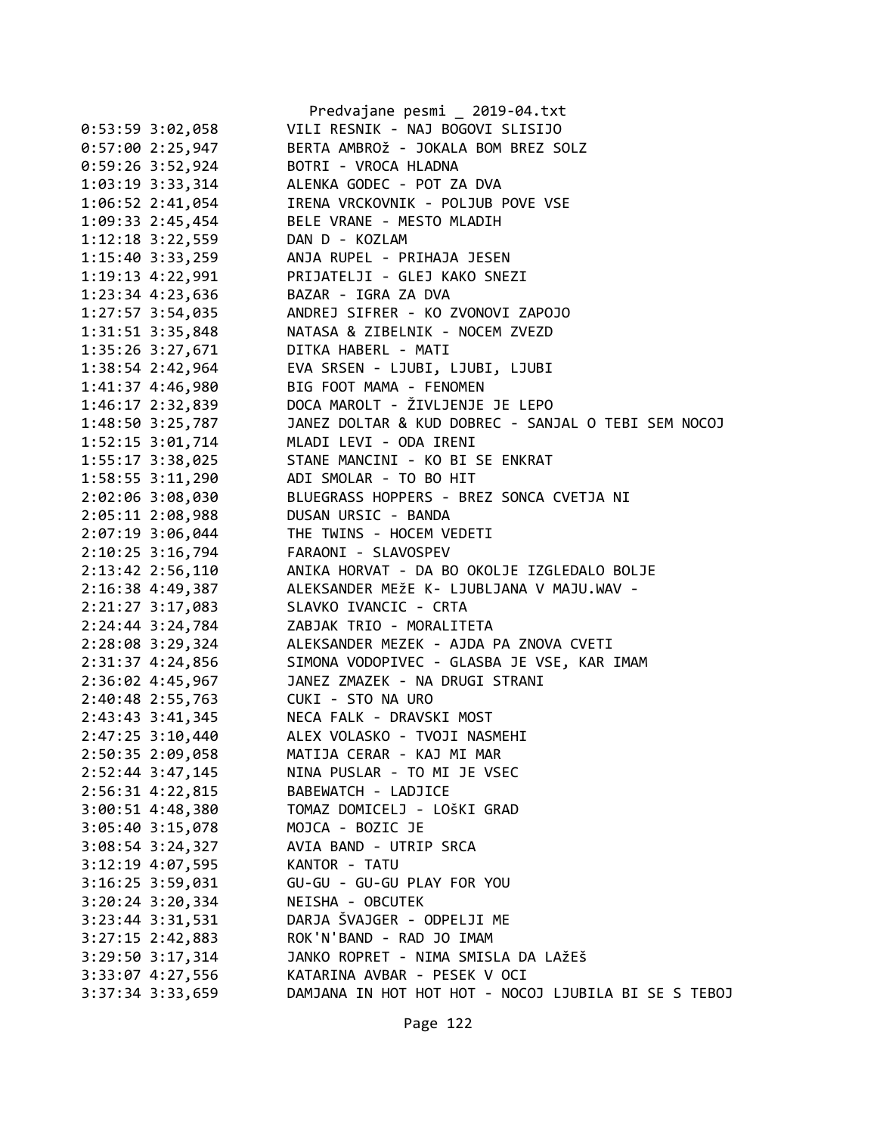|                      | Predvajane pesmi _ 2019-04.txt                       |
|----------------------|------------------------------------------------------|
| $0:53:59$ 3:02,058   | VILI RESNIK - NAJ BOGOVI SLISIJO                     |
| 0:57:002:25,947      | BERTA AMBROŽ - JOKALA BOM BREZ SOLZ                  |
| 0:59:26 3:52,924     | BOTRI - VROCA HLADNA                                 |
| 1:03:19 3:33,314     | ALENKA GODEC - POT ZA DVA                            |
| 1:06:52 2:41,054     | IRENA VRCKOVNIK - POLJUB POVE VSE                    |
| 1:09:33 2:45,454     | BELE VRANE - MESTO MLADIH                            |
| $1:12:18$ $3:22,559$ | DAN D - KOZLAM                                       |
| $1:15:40$ 3:33,259   | ANJA RUPEL - PRIHAJA JESEN                           |
| 1:19:13 4:22,991     | PRIJATELJI - GLEJ KAKO SNEZI                         |
| $1:23:34$ $4:23,636$ | BAZAR - IGRA ZA DVA                                  |
| $1:27:57$ 3:54,035   | ANDREJ SIFRER - KO ZVONOVI ZAPOJO                    |
| $1:31:51$ $3:35,848$ | NATASA & ZIBELNIK - NOCEM ZVEZD                      |
| 1:35:26 3:27,671     | DITKA HABERL - MATI                                  |
| 1:38:54 2:42,964     | EVA SRSEN - LJUBI, LJUBI, LJUBI                      |
| 1:41:37 4:46,980     | BIG FOOT MAMA - FENOMEN                              |
| 1:46:17 2:32,839     | DOCA MAROLT - ŽIVLJENJE JE LEPO                      |
| 1:48:50 3:25,787     | JANEZ DOLTAR & KUD DOBREC - SANJAL O TEBI SEM NOCOJ  |
| 1:52:15 3:01,714     | MLADI LEVI - ODA IRENI                               |
| $1:55:17$ $3:38,025$ | STANE MANCINI - KO BI SE ENKRAT                      |
| $1:58:55$ $3:11,290$ | ADI SMOLAR - TO BO HIT                               |
| 2:02:06 3:08,030     | BLUEGRASS HOPPERS - BREZ SONCA CVETJA NI             |
| $2:05:11$ $2:08,988$ | DUSAN URSIC - BANDA                                  |
| $2:07:19$ 3:06,044   | THE TWINS - HOCEM VEDETI                             |
| $2:10:25$ 3:16,794   | FARAONI - SLAVOSPEV                                  |
| 2:13:42 2:56,110     | ANIKA HORVAT - DA BO OKOLJE IZGLEDALO BOLJE          |
| 2:16:38 4:49,387     | ALEKSANDER MEŽE K- LJUBLJANA V MAJU.WAV -            |
| 2:21:27 3:17,083     | SLAVKO IVANCIC - CRTA                                |
| $2:24:44$ 3:24,784   | ZABJAK TRIO - MORALITETA                             |
| 2:28:08 3:29,324     | ALEKSANDER MEZEK - AJDA PA ZNOVA CVETI               |
| 2:31:37 4:24,856     | SIMONA VODOPIVEC - GLASBA JE VSE, KAR IMAM           |
| 2:36:02 4:45,967     | JANEZ ZMAZEK - NA DRUGI STRANI                       |
| 2:40:48 2:55,763     | CUKI - STO NA URO                                    |
| 2:43:43 3:41,345     | NECA FALK - DRAVSKI MOST                             |
| 2:47:25 3:10,440     | ALEX VOLASKO - TVOJI NASMEHI                         |
| 2:50:35 2:09,058     | MATIJA CERAR - KAJ MI MAR                            |
| $2:52:44$ 3:47,145   | NINA PUSLAR - TO MI JE VSEC                          |
| 2:56:31 4:22,815     | BABEWATCH - LADJICE                                  |
| $3:00:51$ 4:48,380   | TOMAZ DOMICELJ - LOŠKI GRAD                          |
| $3:05:40$ $3:15,078$ | MOJCA - BOZIC JE                                     |
| $3:08:54$ 3:24,327   | AVIA BAND - UTRIP SRCA                               |
| 3:12:19 4:07,595     | KANTOR - TATU                                        |
| 3:16:25 3:59,031     | GU-GU - GU-GU PLAY FOR YOU                           |
| $3:20:24$ $3:20,334$ | NEISHA - OBCUTEK                                     |
| $3:23:44$ $3:31,531$ | DARJA ŠVAJGER - ODPELJI ME                           |
| $3:27:15$ 2:42,883   | ROK'N'BAND - RAD JO IMAM                             |
| $3:29:50$ $3:17,314$ | JANKO ROPRET - NIMA SMISLA DA LAŽEŠ                  |
| 3:33:07 4:27,556     | KATARINA AVBAR - PESEK V OCI                         |
| 3:37:34 3:33,659     | DAMJANA IN HOT HOT HOT - NOCOJ LJUBILA BI SE S TEBOJ |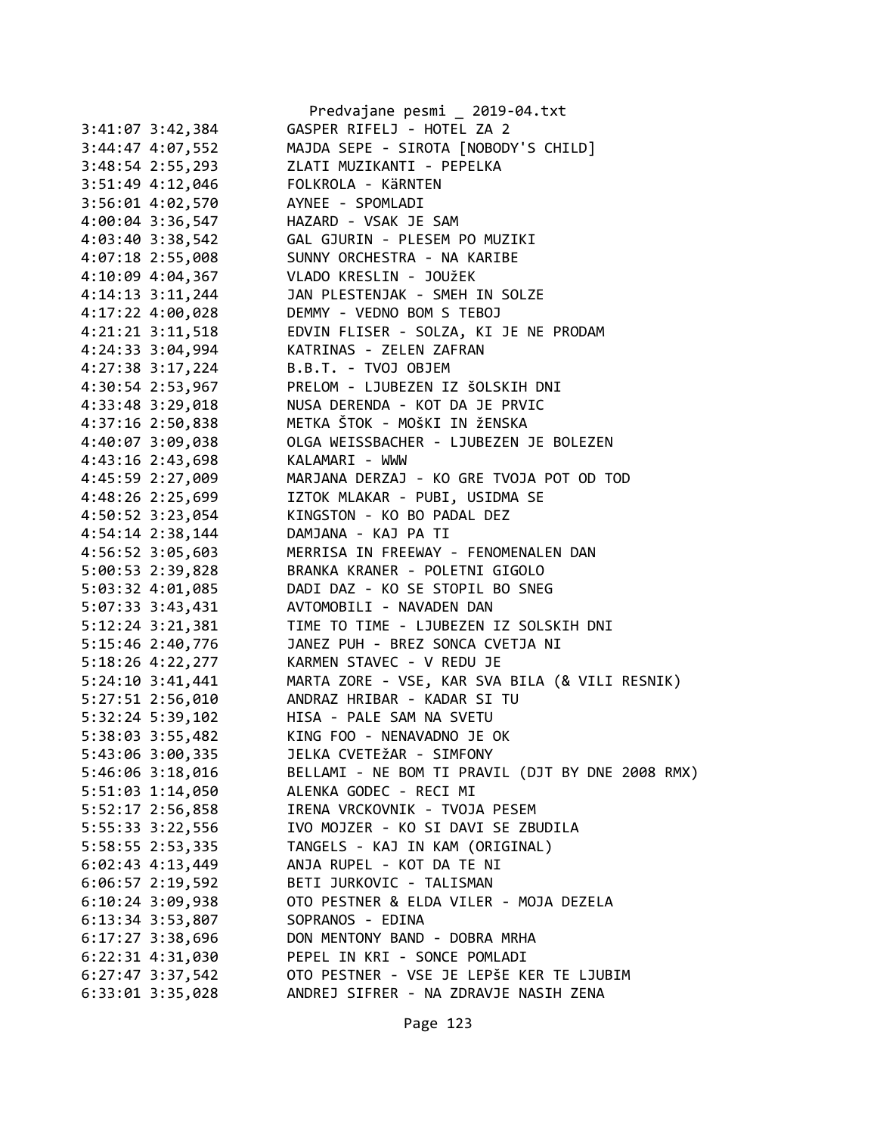|                                 | Predvajane pesmi _ 2019-04.txt                                                                                                                                                   |
|---------------------------------|----------------------------------------------------------------------------------------------------------------------------------------------------------------------------------|
| 3:41:07 3:42,384                | GASPER RIFELJ - HOTEL ZA 2                                                                                                                                                       |
| 3:44:47 4:07,552                | MAJDA SEPE - SIROTA [NOBODY'S CHILD]                                                                                                                                             |
| 3:48:54 2:55,293                | ZLATI MUZIKANTI - PEPELKA                                                                                                                                                        |
|                                 | 3:51:49 4:12,046 FOLKROLA - KÄRNTEN                                                                                                                                              |
|                                 | 3:56:01 4:02,570 AYNEE - SPOMLADI                                                                                                                                                |
|                                 | 4:00:04 3:36,547 HAZARD - VSAK JE SAM                                                                                                                                            |
|                                 |                                                                                                                                                                                  |
|                                 |                                                                                                                                                                                  |
|                                 | 4:03:40 3:38,542<br>4:07:18 2:55,008<br>4:10:09 4:04,367<br>4:10:09 4:04,367<br>1.10:09 1:04,367<br>1.10:09 1:04,367<br>1.10:09 1:04,367<br>1.10:09 1:04,367<br>1.10:09 1:04,367 |
| $4:14:13$ $3:11,244$            | JAN PLESTENJAK - SMEH IN SOLZE                                                                                                                                                   |
|                                 | 4:17:22 4:00,028 DEMMY - VEDNO BOM S TEBOJ                                                                                                                                       |
|                                 | 4:21:21 3:11,518 EDVIN FLISER - SOLZA, KI JE NE PRODAM                                                                                                                           |
|                                 | 4:24:33 3:04,994 KATRINAS - ZELEN ZAFRAN                                                                                                                                         |
| 4:27:38 3:17,224                | B.B.T. - TVOJ OBJEM                                                                                                                                                              |
| 4:30:54 2:53,967                | PRELOM - LJUBEZEN IZ ŠOLSKIH DNI                                                                                                                                                 |
| 4:33:48 3:29,018                | NUSA DERENDA - KOT DA JE PRVIC                                                                                                                                                   |
|                                 | 4:37:16 2:50,838 METKA ŠTOK - MOŠKI IN ŽENSKA                                                                                                                                    |
|                                 | 4:40:07 3:09,038 OLGA WEISSBACHER - LJUBEZEN JE BOLEZEN                                                                                                                          |
| 4:43:16 2:43,698 KALAMARI - WWW |                                                                                                                                                                                  |
|                                 | 4:45:59 2:27,009 MARJANA DERZAJ - KO GRE TVOJA POT OD TOD                                                                                                                        |
|                                 | 4:48:26 2:25,699 IZTOK MLAKAR - PUBI, USIDMA SE                                                                                                                                  |
| 4:50:52 3:23,054                | KINGSTON - KO BO PADAL DEZ                                                                                                                                                       |
| 4:54:14 2:38,144                |                                                                                                                                                                                  |
|                                 | DAMJANA - KAJ PA TI                                                                                                                                                              |
| 4:56:52 3:05,603                | MERRISA IN FREEWAY - FENOMENALEN DAN                                                                                                                                             |
| 5:00:53 2:39,828                | BRANKA KRANER - POLETNI GIGOLO<br>DADI DAZ - KO SE STOPIL BO SNEG                                                                                                                |
| 5:03:32 4:01,085                | AVTOMOBILI - NAVADEN DAN                                                                                                                                                         |
| 5:07:33 3:43,431                |                                                                                                                                                                                  |
| $5:12:24$ $3:21,381$            | TIME TO TIME - LJUBEZEN IZ SOLSKIH DNI<br>JANEZ PUH - BREZ SONCA CVETJA NI<br>KARMEN STAVEC - V REDU JE                                                                          |
| 5:15:46 2:40,776                |                                                                                                                                                                                  |
| 5:18:26 4:22,277                |                                                                                                                                                                                  |
| $5:24:10$ $3:41,441$            | MARTA ZORE - VSE, KAR SVA BILA (& VILI RESNIK)                                                                                                                                   |
|                                 | 5:27:51 2:56,010 ANDRAZ HRIBAR - KADAR SI TU                                                                                                                                     |
| $5:32:24$ $5:39,102$            | HISA - PALE SAM NA SVETU                                                                                                                                                         |
| 5:38:03 3:55,482                | KING FOO - NENAVADNO JE OK                                                                                                                                                       |
| 5:43:06 3:00,335                | JELKA CVETEŽAR - SIMFONY                                                                                                                                                         |
| 5:46:06 3:18,016                | BELLAMI - NE BOM TI PRAVIL (DJT BY DNE 2008 RMX)                                                                                                                                 |
| 5:51:03 1:14,050                | ALENKA GODEC - RECI MI                                                                                                                                                           |
| 5:52:17 2:56,858                | IRENA VRCKOVNIK - TVOJA PESEM                                                                                                                                                    |
| 5:55:33 3:22,556                | IVO MOJZER - KO SI DAVI SE ZBUDILA                                                                                                                                               |
| 5:58:55 2:53,335                | TANGELS - KAJ IN KAM (ORIGINAL)                                                                                                                                                  |
| $6:02:43$ $4:13,449$            | ANJA RUPEL - KOT DA TE NI                                                                                                                                                        |
| $6:06:57$ 2:19,592              | BETI JURKOVIC - TALISMAN                                                                                                                                                         |
| $6:10:24$ 3:09,938              | OTO PESTNER & ELDA VILER - MOJA DEZELA                                                                                                                                           |
| 6:13:34 3:53,807                | SOPRANOS - EDINA                                                                                                                                                                 |
| 6:17:27 3:38,696                | DON MENTONY BAND - DOBRA MRHA                                                                                                                                                    |
| 6:22:31 4:31,030                | PEPEL IN KRI - SONCE POMLADI                                                                                                                                                     |
| $6:27:47$ 3:37,542              | OTO PESTNER - VSE JE LEPŠE KER TE LJUBIM                                                                                                                                         |
| $6:33:01$ $3:35,028$            | ANDREJ SIFRER - NA ZDRAVJE NASIH ZENA                                                                                                                                            |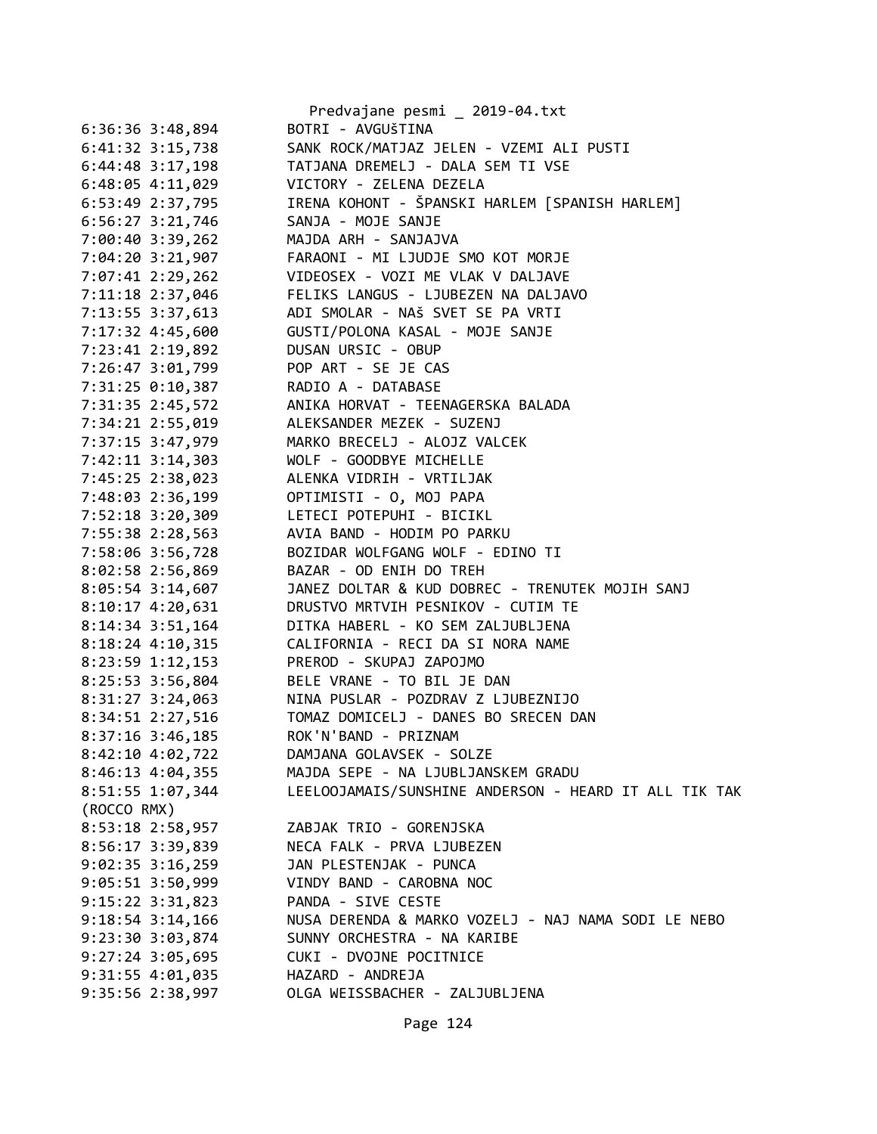|                    | Predvajane pesmi _ 2019-04.txt                        |
|--------------------|-------------------------------------------------------|
| $6:36:36$ 3:48,894 | BOTRI - AVGUŠTINA                                     |
| 6:41:32 3:15,738   | SANK ROCK/MATJAZ JELEN - VZEMI ALI PUSTI              |
| $6:44:48$ 3:17,198 | TATJANA DREMELJ - DALA SEM TI VSE                     |
| $6:48:05$ 4:11,029 | VICTORY - ZELENA DEZELA                               |
| $6:53:49$ 2:37,795 | IRENA KOHONT - ŠPANSKI HARLEM [SPANISH HARLEM]        |
| $6:56:27$ 3:21,746 | SANJA - MOJE SANJE                                    |
| 7:00:40 3:39,262   | MAJDA ARH - SANJAJVA                                  |
| 7:04:20 3:21,907   | FARAONI - MI LJUDJE SMO KOT MORJE                     |
| 7:07:41 2:29,262   | VIDEOSEX - VOZI ME VLAK V DALJAVE                     |
| 7:11:18 2:37,046   | FELIKS LANGUS - LJUBEZEN NA DALJAVO                   |
| 7:13:55 3:37,613   | ADI SMOLAR - NAŠ SVET SE PA VRTI                      |
| 7:17:32 4:45,600   | GUSTI/POLONA KASAL - MOJE SANJE                       |
| 7:23:41 2:19,892   | DUSAN URSIC - OBUP                                    |
| 7:26:47 3:01,799   | POP ART - SE JE CAS                                   |
| 7:31:25 0:10,387   | RADIO A - DATABASE                                    |
| 7:31:35 2:45,572   | ANIKA HORVAT - TEENAGERSKA BALADA                     |
| 7:34:21 2:55,019   | ALEKSANDER MEZEK - SUZENJ                             |
| 7:37:15 3:47,979   | MARKO BRECELJ - ALOJZ VALCEK                          |
| 7:42:11 3:14,303   | WOLF - GOODBYE MICHELLE                               |
| 7:45:25 2:38,023   | ALENKA VIDRIH - VRTILJAK                              |
| 7:48:03 2:36,199   | OPTIMISTI - 0, MOJ PAPA                               |
| 7:52:18 3:20,309   | LETECI POTEPUHI - BICIKL                              |
| 7:55:38 2:28,563   | AVIA BAND - HODIM PO PARKU                            |
| 7:58:06 3:56,728   | BOZIDAR WOLFGANG WOLF - EDINO TI                      |
| 8:02:58 2:56,869   | BAZAR - OD ENIH DO TREH                               |
| 8:05:54 3:14,607   | JANEZ DOLTAR & KUD DOBREC - TRENUTEK MOJIH SANJ       |
|                    | DRUSTVO MRTVIH PESNIKOV - CUTIM TE                    |
| 8:10:17 4:20,631   | DITKA HABERL - KO SEM ZALJUBLJENA                     |
| 8:14:34 3:51,164   |                                                       |
| 8:18:24 4:10,315   | CALIFORNIA - RECI DA SI NORA NAME                     |
| 8:23:59 1:12,153   | PREROD - SKUPAJ ZAPOJMO                               |
| 8:25:53 3:56,804   | BELE VRANE - TO BIL JE DAN                            |
| $8:31:27$ 3:24,063 | NINA PUSLAR - POZDRAV Z LJUBEZNIJO                    |
| 8:34:51 2:27,516   | TOMAZ DOMICELJ - DANES BO SRECEN DAN                  |
| 8:37:16 3:46,185   | ROK'N'BAND - PRIZNAM                                  |
| 8:42:10 4:02,722   | DAMJANA GOLAVSEK - SOLZE                              |
| 8:46:13 4:04,355   | MAJDA SEPE - NA LJUBLJANSKEM GRADU                    |
| 8:51:55 1:07,344   | LEELOOJAMAIS/SUNSHINE ANDERSON - HEARD IT ALL TIK TAK |
| (ROCCO RMX)        |                                                       |
| 8:53:18 2:58,957   | ZABJAK TRIO - GORENJSKA                               |
| 8:56:17 3:39,839   | NECA FALK - PRVA LJUBEZEN                             |
| $9:02:35$ 3:16,259 | JAN PLESTENJAK - PUNCA                                |
| 9:05:51 3:50,999   | VINDY BAND - CAROBNA NOC                              |
| 9:15:22 3:31,823   | PANDA - SIVE CESTE                                    |
| 9:18:54 3:14,166   | NUSA DERENDA & MARKO VOZELJ - NAJ NAMA SODI LE NEBO   |
| 9:23:30 3:03,874   | SUNNY ORCHESTRA - NA KARIBE                           |
| 9:27:24 3:05,695   | CUKI - DVOJNE POCITNICE                               |
| 9:31:55 4:01,035   | HAZARD - ANDREJA                                      |
| 9:35:56 2:38,997   | OLGA WEISSBACHER - ZALJUBLJENA                        |
|                    |                                                       |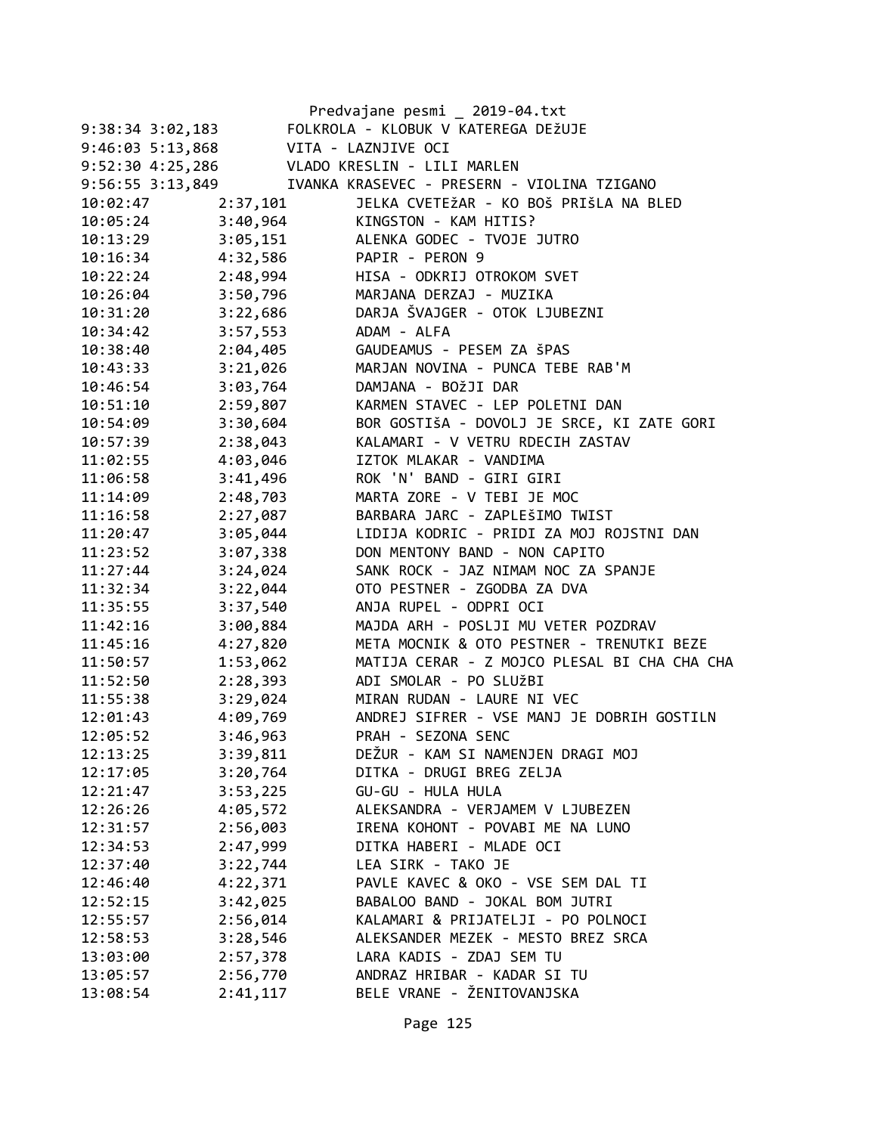|                      |          | Predvajane pesmi _ 2019-04.txt               |
|----------------------|----------|----------------------------------------------|
| $9:38:34$ $3:02,183$ |          | FOLKROLA - KLOBUK V KATEREGA DEŽUJE          |
| $9:46:03$ 5:13,868   |          | VITA - LAZNJIVE OCI                          |
| $9:52:30$ 4:25,286   |          | VLADO KRESLIN - LILI MARLEN                  |
| 9:56:55 3:13,849     |          | IVANKA KRASEVEC - PRESERN - VIOLINA TZIGANO  |
| 10:02:47             | 2:37,101 | JELKA CVETEŽAR - KO BOŠ PRIŠLA NA BLED       |
| 10:05:24             | 3:40,964 | KINGSTON - KAM HITIS?                        |
| 10:13:29             | 3:05,151 | ALENKA GODEC - TVOJE JUTRO                   |
| 10:16:34             | 4:32,586 | PAPIR - PERON 9                              |
| 10:22:24             | 2:48,994 | HISA - ODKRIJ OTROKOM SVET                   |
| 10:26:04             | 3:50,796 | MARJANA DERZAJ - MUZIKA                      |
| 10:31:20             | 3:22,686 | DARJA ŠVAJGER - OTOK LJUBEZNI                |
| 10:34:42             | 3:57,553 | ADAM - ALFA                                  |
| 10:38:40             | 2:04,405 | GAUDEAMUS - PESEM ZA ŠPAS                    |
| 10:43:33             | 3:21,026 | MARJAN NOVINA - PUNCA TEBE RAB'M             |
| 10:46:54             | 3:03,764 | DAMJANA - BOŽJI DAR                          |
| 10:51:10             | 2:59,807 | KARMEN STAVEC - LEP POLETNI DAN              |
| 10:54:09             | 3:30,604 | BOR GOSTIŠA - DOVOLJ JE SRCE, KI ZATE GORI   |
| 10:57:39             | 2:38,043 | KALAMARI - V VETRU RDECIH ZASTAV             |
| 11:02:55             | 4:03,046 | IZTOK MLAKAR - VANDIMA                       |
| 11:06:58             | 3:41,496 | ROK 'N' BAND - GIRI GIRI                     |
| 11:14:09             | 2:48,703 | MARTA ZORE - V TEBI JE MOC                   |
| 11:16:58             | 2:27,087 | BARBARA JARC - ZAPLEŠIMO TWIST               |
| 11:20:47             | 3:05,044 | LIDIJA KODRIC - PRIDI ZA MOJ ROJSTNI DAN     |
| 11:23:52             | 3:07,338 | DON MENTONY BAND - NON CAPITO                |
| 11:27:44             | 3:24,024 | SANK ROCK - JAZ NIMAM NOC ZA SPANJE          |
| 11:32:34             | 3:22,044 | OTO PESTNER - ZGODBA ZA DVA                  |
| 11:35:55             | 3:37,540 | ANJA RUPEL - ODPRI OCI                       |
| 11:42:16             | 3:00,884 | MAJDA ARH - POSLJI MU VETER POZDRAV          |
| 11:45:16             | 4:27,820 | META MOCNIK & OTO PESTNER - TRENUTKI BEZE    |
| 11:50:57             | 1:53,062 | MATIJA CERAR - Z MOJCO PLESAL BI CHA CHA CHA |
| 11:52:50             | 2:28,393 | ADI SMOLAR - PO SLUŽBI                       |
| 11:55:38             | 3:29,024 | MIRAN RUDAN - LAURE NI VEC                   |
| 12:01:43             | 4:09,769 | ANDREJ SIFRER - VSE MANJ JE DOBRIH GOSTILN   |
| 12:05:52             | 3:46,963 | PRAH - SEZONA SENC                           |
| 12:13:25             | 3:39,811 | DEŽUR - KAM SI NAMENJEN DRAGI MOJ            |
| 12:17:05             | 3:20,764 | DITKA - DRUGI BREG ZELJA                     |
| 12:21:47             | 3:53,225 | GU-GU - HULA HULA                            |
| 12:26:26             | 4:05,572 | ALEKSANDRA - VERJAMEM V LJUBEZEN             |
| 12:31:57             | 2:56,003 | IRENA KOHONT - POVABI ME NA LUNO             |
| 12:34:53             | 2:47,999 | DITKA HABERI - MLADE OCI                     |
| 12:37:40             | 3:22,744 | LEA SIRK - TAKO JE                           |
| 12:46:40             | 4:22,371 | PAVLE KAVEC & OKO - VSE SEM DAL TI           |
| 12:52:15             | 3:42,025 | BABALOO BAND - JOKAL BOM JUTRI               |
| 12:55:57             | 2:56,014 | KALAMARI & PRIJATELJI - PO POLNOCI           |
| 12:58:53             | 3:28,546 | ALEKSANDER MEZEK - MESTO BREZ SRCA           |
| 13:03:00             | 2:57,378 | LARA KADIS - ZDAJ SEM TU                     |
| 13:05:57             | 2:56,770 | ANDRAZ HRIBAR - KADAR SI TU                  |
| 13:08:54             | 2:41,117 | BELE VRANE - ŽENITOVANJSKA                   |
|                      |          |                                              |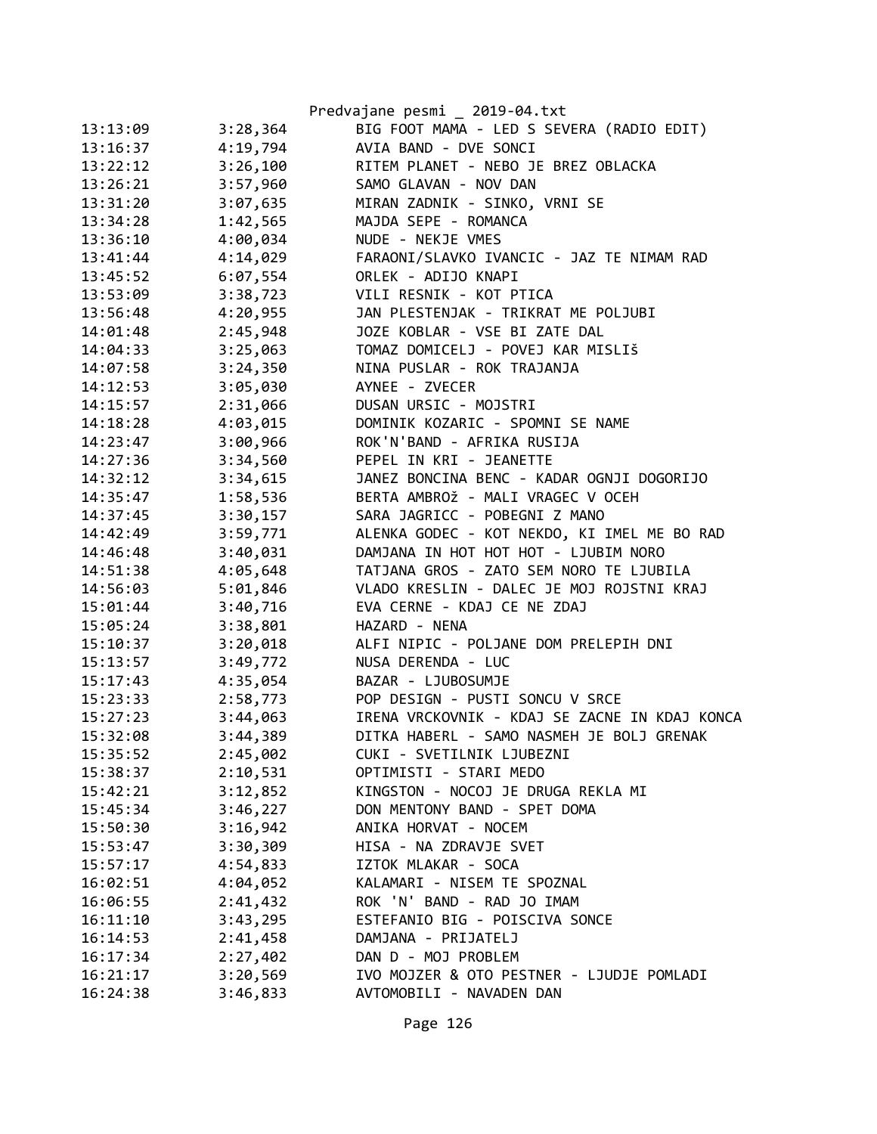|          |          | Predvajane pesmi _ 2019-04.txt                |
|----------|----------|-----------------------------------------------|
| 13:13:09 | 3:28,364 | BIG FOOT MAMA - LED S SEVERA (RADIO EDIT)     |
| 13:16:37 | 4:19,794 | AVIA BAND - DVE SONCI                         |
| 13:22:12 | 3:26,100 | RITEM PLANET - NEBO JE BREZ OBLACKA           |
| 13:26:21 | 3:57,960 | SAMO GLAVAN - NOV DAN                         |
| 13:31:20 | 3:07,635 | MIRAN ZADNIK - SINKO, VRNI SE                 |
| 13:34:28 | 1:42,565 | MAJDA SEPE - ROMANCA                          |
| 13:36:10 | 4:00,034 | NUDE - NEKJE VMES                             |
| 13:41:44 | 4:14,029 | FARAONI/SLAVKO IVANCIC - JAZ TE NIMAM RAD     |
| 13:45:52 | 6:07,554 | ORLEK - ADIJO KNAPI                           |
| 13:53:09 | 3:38,723 | VILI RESNIK - KOT PTICA                       |
| 13:56:48 | 4:20,955 | JAN PLESTENJAK - TRIKRAT ME POLJUBI           |
| 14:01:48 | 2:45,948 | JOZE KOBLAR - VSE BI ZATE DAL                 |
| 14:04:33 | 3:25,063 | TOMAZ DOMICELJ - POVEJ KAR MISLIŠ             |
| 14:07:58 | 3:24,350 | NINA PUSLAR - ROK TRAJANJA                    |
| 14:12:53 | 3:05,030 | AYNEE - ZVECER                                |
| 14:15:57 | 2:31,066 | DUSAN URSIC - MOJSTRI                         |
| 14:18:28 | 4:03,015 | DOMINIK KOZARIC - SPOMNI SE NAME              |
| 14:23:47 | 3:00,966 | ROK'N'BAND - AFRIKA RUSIJA                    |
| 14:27:36 | 3:34,560 | PEPEL IN KRI - JEANETTE                       |
| 14:32:12 | 3:34,615 | JANEZ BONCINA BENC - KADAR OGNJI DOGORIJO     |
| 14:35:47 | 1:58,536 | BERTA AMBROŽ - MALI VRAGEC V OCEH             |
| 14:37:45 | 3:30,157 | SARA JAGRICC - POBEGNI Z MANO                 |
| 14:42:49 | 3:59,771 | ALENKA GODEC - KOT NEKDO, KI IMEL ME BO RAD   |
| 14:46:48 | 3:40,031 | DAMJANA IN HOT HOT HOT - LJUBIM NORO          |
| 14:51:38 | 4:05,648 | TATJANA GROS - ZATO SEM NORO TE LJUBILA       |
| 14:56:03 | 5:01,846 | VLADO KRESLIN - DALEC JE MOJ ROJSTNI KRAJ     |
| 15:01:44 | 3:40,716 | EVA CERNE - KDAJ CE NE ZDAJ                   |
| 15:05:24 | 3:38,801 | HAZARD - NENA                                 |
| 15:10:37 | 3:20,018 | ALFI NIPIC - POLJANE DOM PRELEPIH DNI         |
| 15:13:57 | 3:49,772 | NUSA DERENDA - LUC                            |
| 15:17:43 | 4:35,054 | BAZAR - LJUBOSUMJE                            |
| 15:23:33 | 2:58,773 | POP DESIGN - PUSTI SONCU V SRCE               |
| 15:27:23 | 3:44,063 | IRENA VRCKOVNIK - KDAJ SE ZACNE IN KDAJ KONCA |
| 15:32:08 | 3:44,389 | DITKA HABERL - SAMO NASMEH JE BOLJ GRENAK     |
| 15:35:52 | 2:45,002 | CUKI - SVETILNIK LJUBEZNI                     |
| 15:38:37 | 2:10,531 | OPTIMISTI - STARI MEDO                        |
| 15:42:21 | 3:12,852 | KINGSTON - NOCOJ JE DRUGA REKLA MI            |
| 15:45:34 | 3:46,227 | DON MENTONY BAND - SPET DOMA                  |
| 15:50:30 | 3:16,942 | ANIKA HORVAT - NOCEM                          |
| 15:53:47 | 3:30,309 | HISA - NA ZDRAVJE SVET                        |
| 15:57:17 | 4:54,833 | IZTOK MLAKAR - SOCA                           |
| 16:02:51 | 4:04,052 | KALAMARI - NISEM TE SPOZNAL                   |
| 16:06:55 | 2:41,432 | ROK 'N' BAND - RAD JO IMAM                    |
| 16:11:10 | 3:43,295 | ESTEFANIO BIG - POISCIVA SONCE                |
| 16:14:53 | 2:41,458 | DAMJANA - PRIJATELJ                           |
| 16:17:34 | 2:27,402 | DAN D - MOJ PROBLEM                           |
| 16:21:17 | 3:20,569 | IVO MOJZER & OTO PESTNER - LJUDJE POMLADI     |
| 16:24:38 | 3:46,833 | AVTOMOBILI - NAVADEN DAN                      |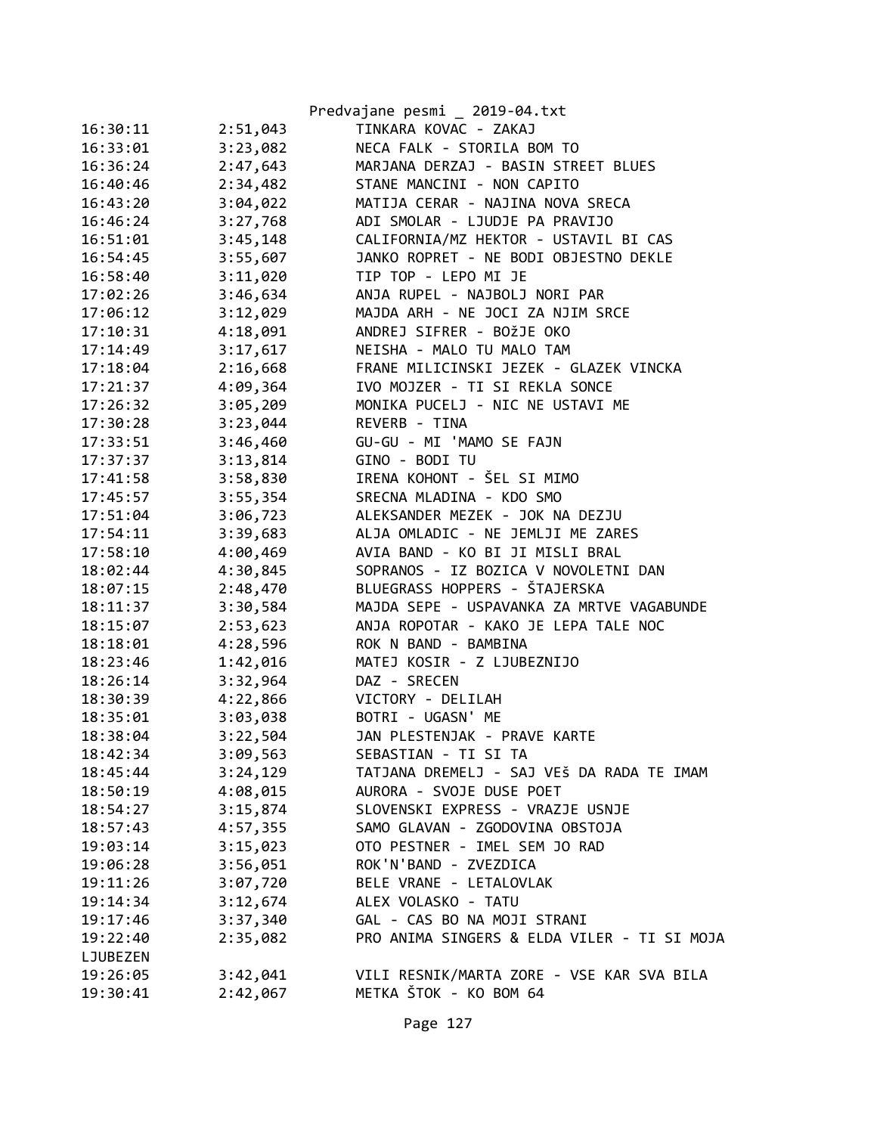|          |          | Predvajane pesmi _ 2019-04.txt              |
|----------|----------|---------------------------------------------|
| 16:30:11 | 2:51,043 | TINKARA KOVAC - ZAKAJ                       |
| 16:33:01 | 3:23,082 | NECA FALK - STORILA BOM TO                  |
| 16:36:24 | 2:47,643 | MARJANA DERZAJ - BASIN STREET BLUES         |
| 16:40:46 | 2:34,482 | STANE MANCINI - NON CAPITO                  |
| 16:43:20 | 3:04,022 | MATIJA CERAR - NAJINA NOVA SRECA            |
| 16:46:24 | 3:27,768 | ADI SMOLAR - LJUDJE PA PRAVIJO              |
| 16:51:01 | 3:45,148 | CALIFORNIA/MZ HEKTOR - USTAVIL BI CAS       |
| 16:54:45 | 3:55,607 | JANKO ROPRET - NE BODI OBJESTNO DEKLE       |
| 16:58:40 | 3:11,020 | TIP TOP - LEPO MI JE                        |
| 17:02:26 | 3:46,634 | ANJA RUPEL - NAJBOLJ NORI PAR               |
| 17:06:12 | 3:12,029 | MAJDA ARH - NE JOCI ZA NJIM SRCE            |
| 17:10:31 | 4:18,091 | ANDREJ SIFRER - BOŽJE OKO                   |
| 17:14:49 | 3:17,617 | NEISHA - MALO TU MALO TAM                   |
| 17:18:04 | 2:16,668 | FRANE MILICINSKI JEZEK - GLAZEK VINCKA      |
| 17:21:37 | 4:09,364 | IVO MOJZER - TI SI REKLA SONCE              |
| 17:26:32 | 3:05,209 | MONIKA PUCELJ - NIC NE USTAVI ME            |
| 17:30:28 | 3:23,044 | REVERB - TINA                               |
| 17:33:51 | 3:46,460 | GU-GU - MI 'MAMO SE FAJN                    |
| 17:37:37 | 3:13,814 | GINO - BODI TU                              |
| 17:41:58 | 3:58,830 | IRENA KOHONT - ŠEL SI MIMO                  |
| 17:45:57 | 3:55,354 | SRECNA MLADINA - KDO SMO                    |
| 17:51:04 | 3:06,723 | ALEKSANDER MEZEK - JOK NA DEZJU             |
| 17:54:11 | 3:39,683 | ALJA OMLADIC - NE JEMLJI ME ZARES           |
| 17:58:10 | 4:00,469 | AVIA BAND - KO BI JI MISLI BRAL             |
| 18:02:44 | 4:30,845 | SOPRANOS - IZ BOZICA V NOVOLETNI DAN        |
| 18:07:15 | 2:48,470 | BLUEGRASS HOPPERS - ŠTAJERSKA               |
| 18:11:37 | 3:30,584 | MAJDA SEPE - USPAVANKA ZA MRTVE VAGABUNDE   |
| 18:15:07 | 2:53,623 | ANJA ROPOTAR - KAKO JE LEPA TALE NOC        |
| 18:18:01 | 4:28,596 | ROK N BAND - BAMBINA                        |
| 18:23:46 | 1:42,016 | MATEJ KOSIR - Z LJUBEZNIJO                  |
| 18:26:14 | 3:32,964 | DAZ - SRECEN                                |
| 18:30:39 | 4:22,866 | VICTORY - DELILAH                           |
| 18:35:01 | 3:03,038 | BOTRI - UGASN' ME                           |
| 18:38:04 | 3:22,504 | JAN PLESTENJAK - PRAVE KARTE                |
| 18:42:34 | 3:09,563 | SEBASTIAN - TI SI TA                        |
| 18:45:44 | 3:24,129 | TATJANA DREMELJ - SAJ VEŠ DA RADA TE IMAM   |
| 18:50:19 | 4:08,015 | AURORA - SVOJE DUSE POET                    |
| 18:54:27 | 3:15,874 | SLOVENSKI EXPRESS - VRAZJE USNJE            |
| 18:57:43 | 4:57,355 | SAMO GLAVAN - ZGODOVINA OBSTOJA             |
| 19:03:14 | 3:15,023 | OTO PESTNER - IMEL SEM JO RAD               |
| 19:06:28 | 3:56,051 | ROK'N'BAND - ZVEZDICA                       |
| 19:11:26 | 3:07,720 | BELE VRANE - LETALOVLAK                     |
| 19:14:34 | 3:12,674 | ALEX VOLASKO - TATU                         |
| 19:17:46 | 3:37,340 | GAL - CAS BO NA MOJI STRANI                 |
| 19:22:40 | 2:35,082 | PRO ANIMA SINGERS & ELDA VILER - TI SI MOJA |
| LJUBEZEN |          |                                             |
| 19:26:05 | 3:42,041 | VILI RESNIK/MARTA ZORE - VSE KAR SVA BILA   |
| 19:30:41 | 2:42,067 | METKA ŠTOK - KO BOM 64                      |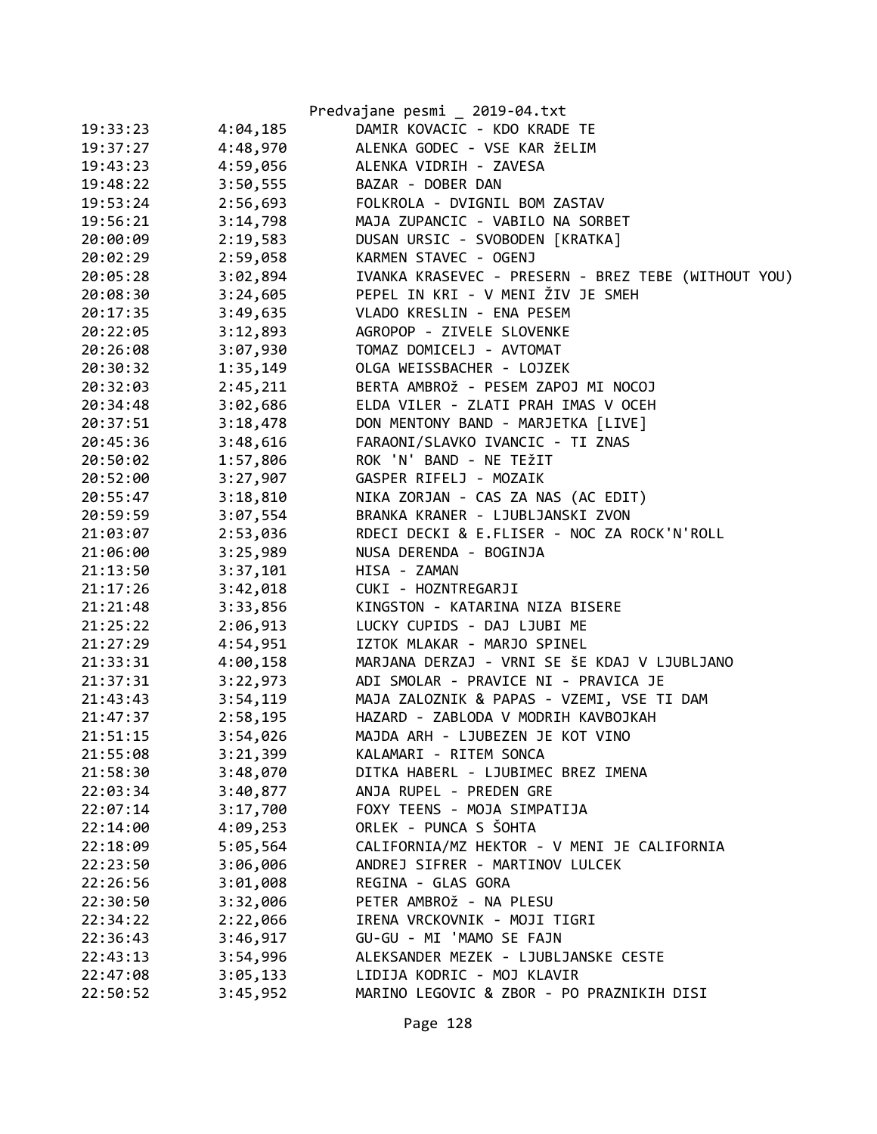|          |          | Predvajane pesmi _ 2019-04.txt                      |
|----------|----------|-----------------------------------------------------|
| 19:33:23 | 4:04,185 | DAMIR KOVACIC - KDO KRADE TE                        |
| 19:37:27 | 4:48,970 | ALENKA GODEC - VSE KAR ŽELIM                        |
| 19:43:23 | 4:59,056 | ALENKA VIDRIH - ZAVESA                              |
| 19:48:22 | 3:50,555 | BAZAR - DOBER DAN                                   |
| 19:53:24 | 2:56,693 | FOLKROLA - DVIGNIL BOM ZASTAV                       |
| 19:56:21 | 3:14,798 | MAJA ZUPANCIC - VABILO NA SORBET                    |
| 20:00:09 | 2:19,583 | DUSAN URSIC - SVOBODEN [KRATKA]                     |
| 20:02:29 | 2:59,058 | KARMEN STAVEC - OGENJ                               |
| 20:05:28 | 3:02,894 | IVANKA KRASEVEC - PRESERN - BREZ TEBE (WITHOUT YOU) |
| 20:08:30 | 3:24,605 | PEPEL IN KRI - V MENI ŽIV JE SMEH                   |
| 20:17:35 | 3:49,635 | VLADO KRESLIN - ENA PESEM                           |
| 20:22:05 | 3:12,893 | AGROPOP - ZIVELE SLOVENKE                           |
| 20:26:08 | 3:07,930 | TOMAZ DOMICELJ - AVTOMAT                            |
| 20:30:32 | 1:35,149 | OLGA WEISSBACHER - LOJZEK                           |
| 20:32:03 | 2:45,211 | BERTA AMBROŽ - PESEM ZAPOJ MI NOCOJ                 |
| 20:34:48 | 3:02,686 | ELDA VILER - ZLATI PRAH IMAS V OCEH                 |
| 20:37:51 | 3:18,478 | DON MENTONY BAND - MARJETKA [LIVE]                  |
| 20:45:36 | 3:48,616 | FARAONI/SLAVKO IVANCIC - TI ZNAS                    |
| 20:50:02 | 1:57,806 | ROK 'N' BAND - NE TEŽIT                             |
| 20:52:00 | 3:27,907 | GASPER RIFELJ - MOZAIK                              |
| 20:55:47 | 3:18,810 | NIKA ZORJAN - CAS ZA NAS (AC EDIT)                  |
| 20:59:59 | 3:07,554 | BRANKA KRANER - LJUBLJANSKI ZVON                    |
| 21:03:07 | 2:53,036 | RDECI DECKI & E.FLISER - NOC ZA ROCK'N'ROLL         |
| 21:06:00 | 3:25,989 | NUSA DERENDA - BOGINJA                              |
| 21:13:50 | 3:37,101 | HISA - ZAMAN                                        |
| 21:17:26 | 3:42,018 | CUKI - HOZNTREGARJI                                 |
| 21:21:48 | 3:33,856 | KINGSTON - KATARINA NIZA BISERE                     |
| 21:25:22 | 2:06,913 | LUCKY CUPIDS - DAJ LJUBI ME                         |
| 21:27:29 | 4:54,951 | IZTOK MLAKAR - MARJO SPINEL                         |
| 21:33:31 | 4:00,158 | MARJANA DERZAJ - VRNI SE ŠE KDAJ V LJUBLJANO        |
| 21:37:31 | 3:22,973 | ADI SMOLAR - PRAVICE NI - PRAVICA JE                |
| 21:43:43 | 3:54,119 | MAJA ZALOZNIK & PAPAS - VZEMI, VSE TI DAM           |
| 21:47:37 | 2:58,195 | HAZARD - ZABLODA V MODRIH KAVBOJKAH                 |
| 21:51:15 | 3:54,026 | MAJDA ARH - LJUBEZEN JE KOT VINO                    |
| 21:55:08 | 3:21,399 | KALAMARI - RITEM SONCA                              |
| 21:58:30 | 3:48,070 | DITKA HABERL - LJUBIMEC BREZ IMENA                  |
| 22:03:34 | 3:40,877 | ANJA RUPEL - PREDEN GRE                             |
| 22:07:14 | 3:17,700 | FOXY TEENS - MOJA SIMPATIJA                         |
| 22:14:00 | 4:09,253 | ORLEK - PUNCA S ŠOHTA                               |
| 22:18:09 | 5:05,564 | CALIFORNIA/MZ HEKTOR - V MENI JE CALIFORNIA         |
| 22:23:50 | 3:06,006 | ANDREJ SIFRER - MARTINOV LULCEK                     |
| 22:26:56 | 3:01,008 | REGINA - GLAS GORA                                  |
| 22:30:50 | 3:32,006 | PETER AMBROŽ - NA PLESU                             |
| 22:34:22 | 2:22,066 | IRENA VRCKOVNIK - MOJI TIGRI                        |
| 22:36:43 | 3:46,917 | GU-GU - MI 'MAMO SE FAJN                            |
| 22:43:13 | 3:54,996 | ALEKSANDER MEZEK - LJUBLJANSKE CESTE                |
| 22:47:08 | 3:05,133 | LIDIJA KODRIC - MOJ KLAVIR                          |
| 22:50:52 | 3:45,952 | MARINO LEGOVIC & ZBOR - PO PRAZNIKIH DISI           |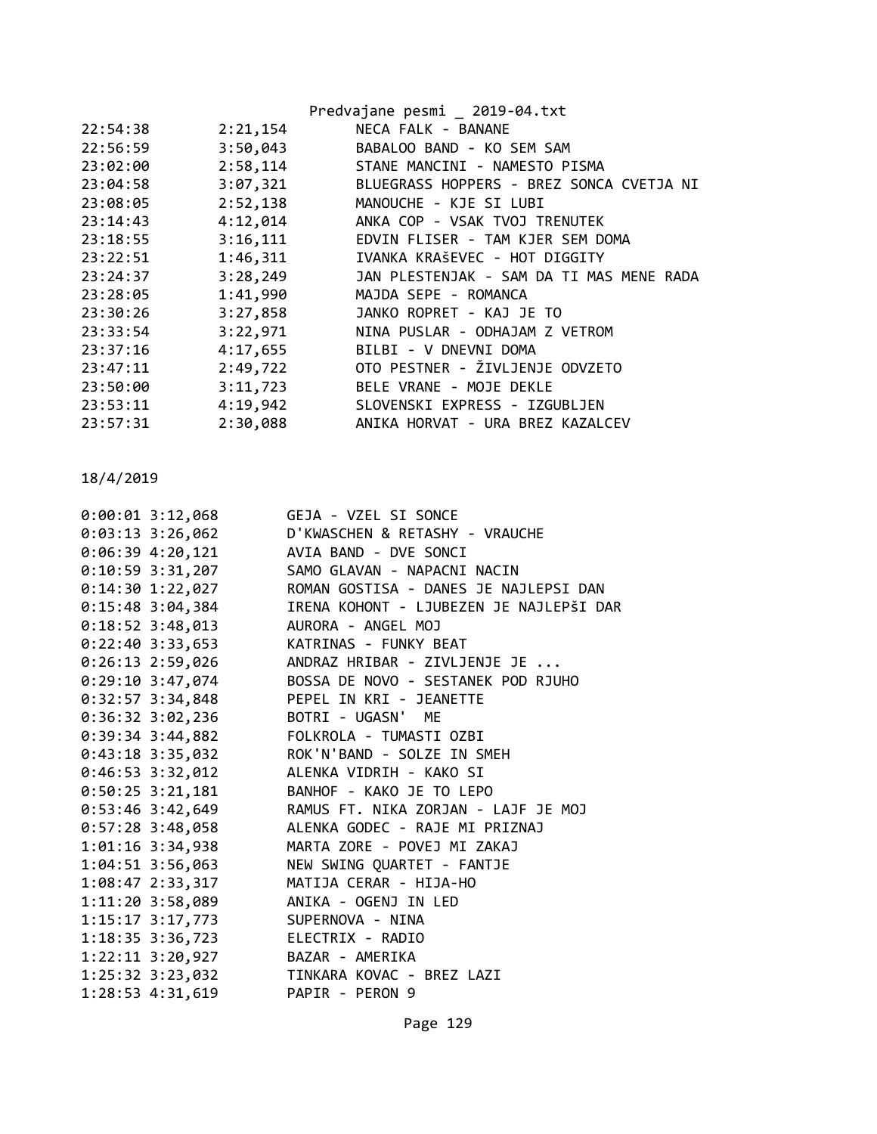|          |          | Predvajane pesmi _ 2019-04.txt           |
|----------|----------|------------------------------------------|
| 22:54:38 | 2:21,154 | NECA FALK - BANANE                       |
| 22:56:59 | 3:50,043 | BABALOO BAND - KO SEM SAM                |
| 23:02:00 | 2:58,114 | STANE MANCINI - NAMESTO PISMA            |
| 23:04:58 | 3:07,321 | BLUEGRASS HOPPERS - BREZ SONCA CVETJA NI |
| 23:08:05 | 2:52,138 | MANOUCHE - KJE SI LUBI                   |
| 23:14:43 | 4:12,014 | ANKA COP - VSAK TVOJ TRENUTEK            |
| 23:18:55 | 3:16,111 | EDVIN FLISER - TAM KJER SEM DOMA         |
| 23:22:51 | 1:46,311 | IVANKA KRAŠEVEC - HOT DIGGITY            |
| 23:24:37 | 3:28,249 | JAN PLESTENJAK - SAM DA TI MAS MENE RADA |
| 23:28:05 | 1:41,990 | MAJDA SEPE - ROMANCA                     |
| 23:30:26 | 3:27,858 | JANKO ROPRET - KAJ JE TO                 |
| 23:33:54 | 3:22,971 | NINA PUSLAR - ODHAJAM Z VETROM           |
| 23:37:16 | 4:17,655 | BILBI - V DNEVNI DOMA                    |
| 23:47:11 | 2:49,722 | OTO PESTNER - ŽIVLJENJE ODVZETO          |
| 23:50:00 | 3:11,723 | BELE VRANE - MOJE DEKLE                  |
| 23:53:11 | 4:19,942 | SLOVENSKI EXPRESS - IZGUBLJEN            |
| 23:57:31 | 2:30,088 | ANIKA HORVAT - URA BREZ KAZALCEV         |

|  | 0:00:01 3:12,068 GEJA - VZEL SI SONCE                                                     |
|--|-------------------------------------------------------------------------------------------|
|  |                                                                                           |
|  | 0:03:13 3:26,062 D'KWASCHEN & RETASHY - VRAUCHE<br>0:06:39 4:20,121 AVIA BAND - DVE SONCI |
|  | 0:10:59 3:31,207 SAMO GLAVAN - NAPACNI NACIN                                              |
|  | 0:14:30 1:22,027 ROMAN GOSTISA - DANES JE NAJLEPSI DAN                                    |
|  | 0:15:48 3:04,384         IRENA KOHONT - LJUBEZEN JE NAJLEPŠI DAR                          |
|  | 0:18:52 3:48,013 AURORA - ANGEL MOJ                                                       |
|  | 0:22:40 3:33,653 KATRINAS - FUNKY BEAT                                                    |
|  | 0:26:13 2:59,026 ANDRAZ HRIBAR - ZIVLJENJE JE                                             |
|  | 0:29:10 3:47,074 BOSSA DE NOVO - SESTANEK POD RJUHO                                       |
|  | 0:32:57 3:34,848 PEPEL IN KRI - JEANETTE                                                  |
|  | 0:36:32 3:02,236 BOTRI - UGASN' ME                                                        |
|  | 0:39:34 3:44,882    FOLKROLA - TUMASTI OZBI                                               |
|  | 0:43:18 3:35,032 ROK'N'BAND - SOLZE IN SMEH                                               |
|  | 0:46:53 3:32,012 ALENKA VIDRIH - KAKO SI                                                  |
|  | 0:50:25 3:21,181 BANHOF - KAKO JE TO LEPO                                                 |
|  | 0:53:46 3:42,649 RAMUS FT. NIKA ZORJAN - LAJF JE MOJ                                      |
|  | 0:57:28 3:48,058 ALENKA GODEC - RAJE MI PRIZNAJ                                           |
|  | 1:01:16 3:34,938 MARTA ZORE - POVEJ MI ZAKAJ                                              |
|  | 1:04:51 3:56,063 NEW SWING QUARTET - FANTJE                                               |
|  | 1:08:47 2:33,317 MATIJA CERAR - HIJA-HO                                                   |
|  | 1:11:20 3:58,089 ANIKA - OGENJ IN LED                                                     |
|  | 1:15:17 3:17,773 SUPERNOVA - NINA                                                         |
|  | 1:18:35 3:36,723 ELECTRIX - RADIO                                                         |
|  | 1:22:11 3:20,927 BAZAR - AMERIKA                                                          |
|  | 1:25:32 3:23,032 TINKARA KOVAC - BREZ LAZI                                                |
|  | 1:28:53 4:31,619 PAPIR - PERON 9                                                          |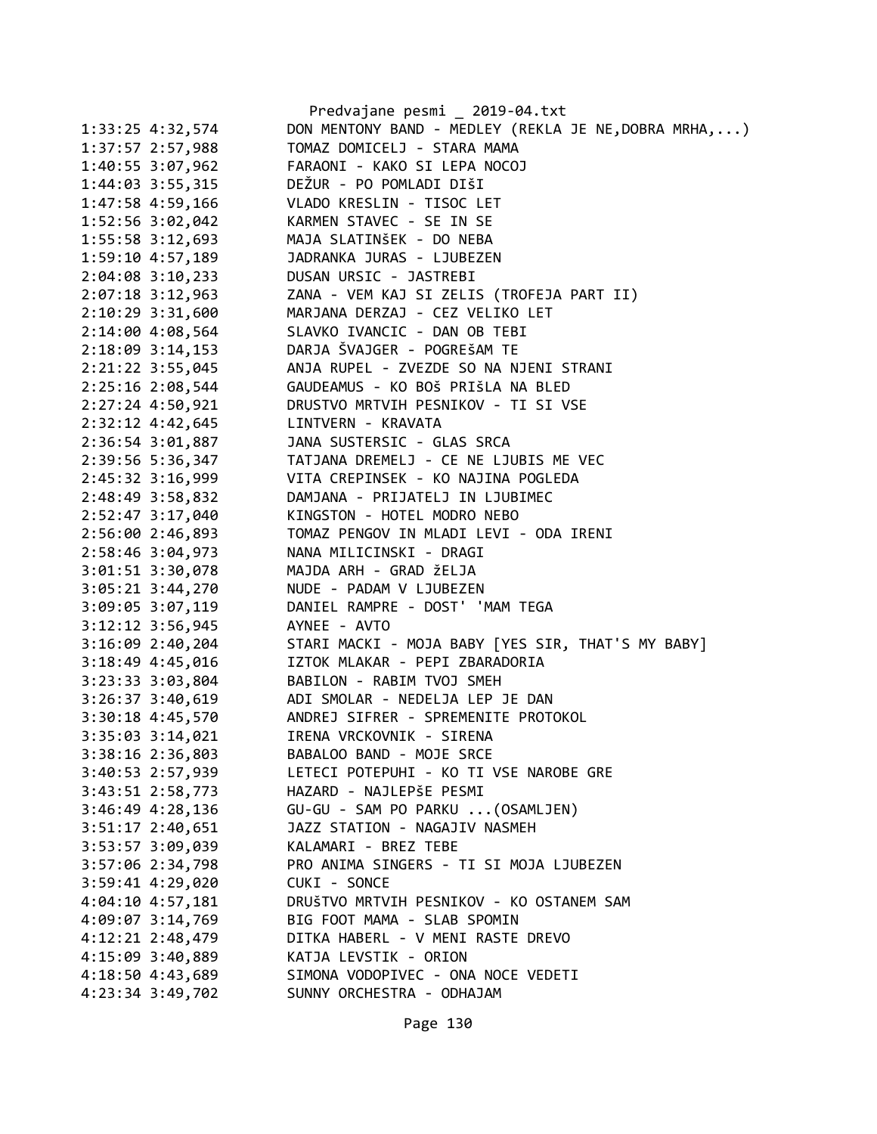|                      | Predvajane pesmi _ 2019-04.txt                              |
|----------------------|-------------------------------------------------------------|
| $1:33:25$ 4:32,574   | DON MENTONY BAND - MEDLEY (REKLA JE NE, DOBRA MRHA, )       |
| $1:37:57$ 2:57,988   | TOMAZ DOMICELJ - STARA MAMA                                 |
| 1:40:55 3:07,962     | FARAONI - KAKO SI LEPA NOCOJ                                |
| $1:44:03$ 3:55,315   | DEŽUR - PO POMLADI DIŠI                                     |
| 1:47:58 4:59,166     | VLADO KRESLIN - TISOC LET                                   |
| 1:52:56 3:02,042     | KARMEN STAVEC - SE IN SE                                    |
| 1:55:58 3:12,693     | MAJA SLATINŠEK - DO NEBA                                    |
| 1:59:10 4:57,189     | JADRANKA JURAS - LJUBEZEN                                   |
| 2:04:08 3:10,233     | DUSAN URSIC - JASTREBI                                      |
| $2:07:18$ 3:12,963   | ZANA - VEM KAJ SI ZELIS (TROFEJA PART II)                   |
| 2:10:29 3:31,600     | MARJANA DERZAJ - CEZ VELIKO LET                             |
| 2:14:00 4:08,564     | SLAVKO IVANCIC - DAN OB TEBI                                |
| 2:18:09 3:14,153     | DARJA ŠVAJGER - POGREŠAM TE                                 |
| 2:21:22 3:55,045     | ANJA RUPEL - ZVEZDE SO NA NJENI STRANI                      |
| 2:25:16 2:08,544     | GAUDEAMUS - KO BOŠ PRIŠLA NA BLED                           |
| 2:27:24 4:50,921     | DRUSTVO MRTVIH PESNIKOV - TI SI VSE                         |
| 2:32:12 4:42,645     | LINTVERN - KRAVATA                                          |
| 2:36:54 3:01,887     | JANA SUSTERSIC - GLAS SRCA                                  |
| 2:39:56 5:36,347     | TATJANA DREMELJ - CE NE LJUBIS ME VEC                       |
| 2:45:32 3:16,999     | VITA CREPINSEK - KO NAJINA POGLEDA                          |
| 2:48:49 3:58,832     | DAMJANA - PRIJATELJ IN LJUBIMEC                             |
| 2:52:47 3:17,040     | KINGSTON - HOTEL MODRO NEBO                                 |
| 2:56:00 2:46,893     | TOMAZ PENGOV IN MLADI LEVI - ODA IRENI                      |
| 2:58:46 3:04,973     | NANA MILICINSKI - DRAGI                                     |
| 3:01:51 3:30,078     | MAJDA ARH - GRAD ŽELJA                                      |
| $3:05:21$ $3:44,270$ | NUDE - PADAM V LJUBEZEN                                     |
| 3:09:05 3:07,119     | DANIEL RAMPRE - DOST' 'MAM TEGA                             |
| 3:12:12 3:56,945     | AYNEE - AVTO                                                |
| 3:16:09 2:40,204     | STARI MACKI - MOJA BABY [YES SIR, THAT'S MY BABY]           |
| 3:18:49 4:45,016     | IZTOK MLAKAR - PEPI ZBARADORIA                              |
| 3:23:33 3:03,804     | BABILON - RABIM TVOJ SMEH                                   |
| $3:26:37$ $3:40,619$ | ADI SMOLAR - NEDELJA LEP JE DAN                             |
| 3:30:18 4:45,570     | ANDREJ SIFRER - SPREMENITE PROTOKOL                         |
| 3:35:03 3:14,021     | IRENA VRCKOVNIK - SIRENA                                    |
| 3:38:16 2:36,803     | BABALOO BAND - MOJE SRCE                                    |
| 3:40:53 2:57,939     | LETECI POTEPUHI - KO TI VSE NAROBE GRE                      |
| $3:43:51$ $2:58,773$ | HAZARD - NAJLEPŠE PESMI                                     |
| $3:46:49$ 4:28,136   | GU-GU - SAM PO PARKU  (OSAMLJEN)                            |
| $3:51:17$ $2:40,651$ | JAZZ STATION - NAGAJIV NASMEH                               |
| 3:53:57 3:09,039     | KALAMARI - BREZ TEBE                                        |
| 3:57:06 2:34,798     | PRO ANIMA SINGERS - TI SI MOJA LJUBEZEN                     |
| 3:59:41 4:29,020     | CUKI - SONCE                                                |
| $4:04:10$ $4:57,181$ | DRUŠTVO MRTVIH PESNIKOV - KO OSTANEM SAM                    |
| $4:09:07$ 3:14,769   | BIG FOOT MAMA - SLAB SPOMIN                                 |
| 4:12:21 2:48,479     | DITKA HABERL - V MENI RASTE DREVO                           |
| 4:15:09 3:40,889     | KATJA LEVSTIK - ORION<br>SIMONA VODOPIVEC - ONA NOCE VEDETI |
| 4:18:50 4:43,689     |                                                             |
| 4:23:34 3:49,702     | SUNNY ORCHESTRA - ODHAJAM                                   |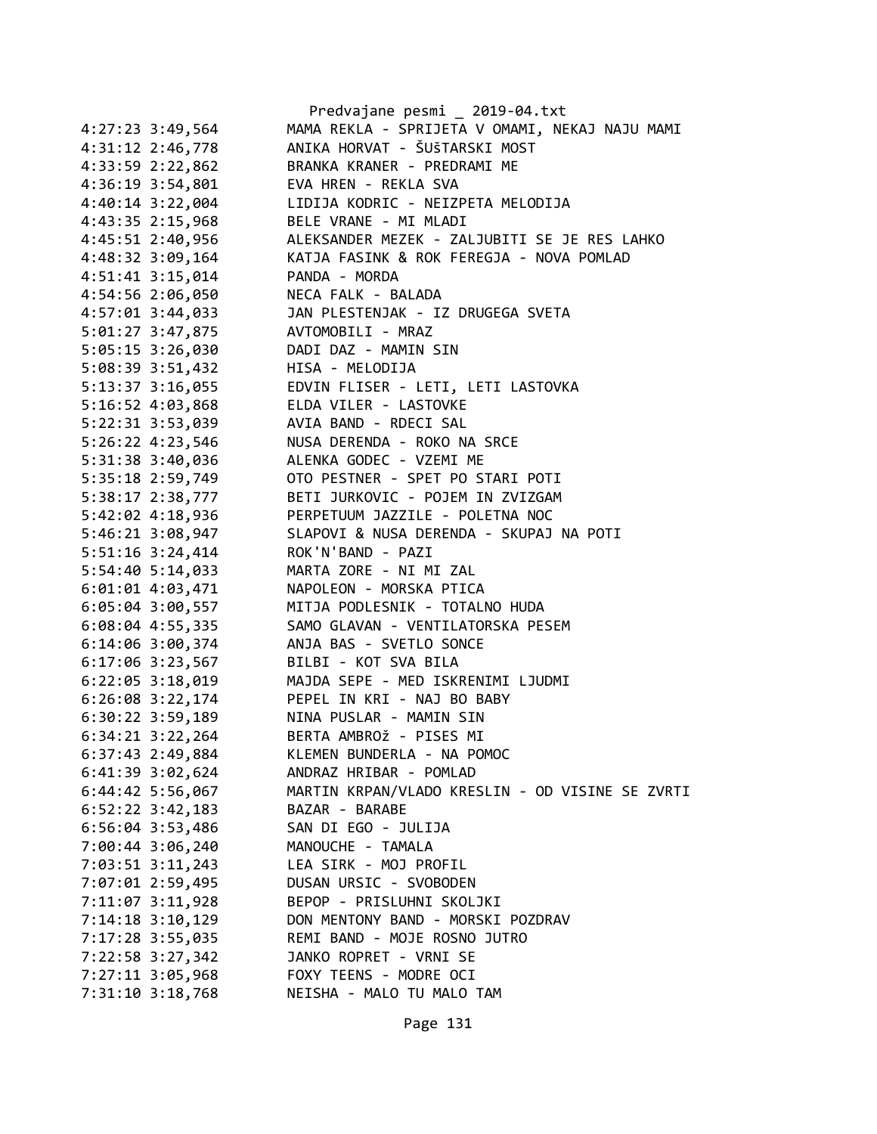|                      | Predvajane pesmi _ 2019-04.txt                  |
|----------------------|-------------------------------------------------|
| 4:27:23 3:49,564     | MAMA REKLA - SPRIJETA V OMAMI, NEKAJ NAJU MAMI  |
| 4:31:12 2:46,778     | ANIKA HORVAT - ŠUŠTARSKI MOST                   |
| 4:33:59 2:22,862     | BRANKA KRANER - PREDRAMI ME                     |
| 4:36:19 3:54,801     | EVA HREN - REKLA SVA                            |
| 4:40:14 3:22,004     | LIDIJA KODRIC - NEIZPETA MELODIJA               |
| 4:43:35 2:15,968     | BELE VRANE - MI MLADI                           |
| 4:45:51 2:40,956     | ALEKSANDER MEZEK - ZALJUBITI SE JE RES LAHKO    |
| 4:48:32 3:09,164     | KATJA FASINK & ROK FEREGJA - NOVA POMLAD        |
| 4:51:41 3:15,014     | PANDA - MORDA                                   |
| 4:54:56 2:06,050     | NECA FALK - BALADA                              |
| $4:57:01$ 3:44,033   | JAN PLESTENJAK - IZ DRUGEGA SVETA               |
| 5:01:27 3:47,875     | AVTOMOBILI - MRAZ                               |
| 5:05:15 3:26,030     | DADI DAZ - MAMIN SIN                            |
| 5:08:39 3:51,432     | HISA - MELODIJA                                 |
| 5:13:37 3:16,055     | EDVIN FLISER - LETI, LETI LASTOVKA              |
| 5:16:52 4:03,868     | ELDA VILER - LASTOVKE                           |
| 5:22:31 3:53,039     | AVIA BAND - RDECI SAL                           |
| 5:26:22 4:23,546     | NUSA DERENDA - ROKO NA SRCE                     |
| 5:31:38 3:40,036     | ALENKA GODEC - VZEMI ME                         |
| 5:35:18 2:59,749     | OTO PESTNER - SPET PO STARI POTI                |
| 5:38:17 2:38,777     | BETI JURKOVIC - POJEM IN ZVIZGAM                |
| 5:42:02 4:18,936     | PERPETUUM JAZZILE - POLETNA NOC                 |
|                      | SLAPOVI & NUSA DERENDA - SKUPAJ NA POTI         |
| 5:46:21 3:08,947     | ROK'N'BAND - PAZI                               |
| 5:51:16 3:24,414     | MARTA ZORE - NI MI ZAL                          |
| $5:54:40$ $5:14,033$ |                                                 |
| $6:01:01$ 4:03,471   | NAPOLEON - MORSKA PTICA                         |
| $6:05:04$ 3:00,557   | MITJA PODLESNIK - TOTALNO HUDA                  |
| 6:08:04 4:55,335     | SAMO GLAVAN - VENTILATORSKA PESEM               |
| 6:14:06 3:00,374     | ANJA BAS - SVETLO SONCE                         |
| 6:17:06 3:23,567     | BILBI - KOT SVA BILA                            |
| $6:22:05$ 3:18,019   | MAJDA SEPE - MED ISKRENIMI LJUDMI               |
| $6:26:08$ 3:22,174   | PEPEL IN KRI - NAJ BO BABY                      |
| $6:30:22$ 3:59,189   | NINA PUSLAR - MAMIN SIN                         |
| $6:34:21$ $3:22,264$ | BERTA AMBROŽ - PISES MI                         |
| 6:37:43 2:49,884     | KLEMEN BUNDERLA - NA POMOC                      |
| 6:41:39 3:02,624     | ANDRAZ HRIBAR - POMLAD                          |
| 6:44:42 5:56,067     | MARTIN KRPAN/VLADO KRESLIN - OD VISINE SE ZVRTI |
| $6:52:22$ $3:42,183$ | BAZAR - BARABE                                  |
| 6:56:04 3:53,486     | SAN DI EGO - JULIJA                             |
| 7:00:44 3:06,240     | MANOUCHE - TAMALA                               |
| 7:03:51 3:11,243     | LEA SIRK - MOJ PROFIL                           |
| 7:07:01 2:59,495     | DUSAN URSIC - SVOBODEN                          |
| 7:11:07 3:11,928     | BEPOP - PRISLUHNI SKOLJKI                       |
| $7:14:18$ $3:10,129$ | DON MENTONY BAND - MORSKI POZDRAV               |
| 7:17:28 3:55,035     | REMI BAND - MOJE ROSNO JUTRO                    |
| 7:22:58 3:27,342     | JANKO ROPRET - VRNI SE                          |
| 7:27:11 3:05,968     | FOXY TEENS - MODRE OCI                          |
| 7:31:10 3:18,768     | NEISHA - MALO TU MALO TAM                       |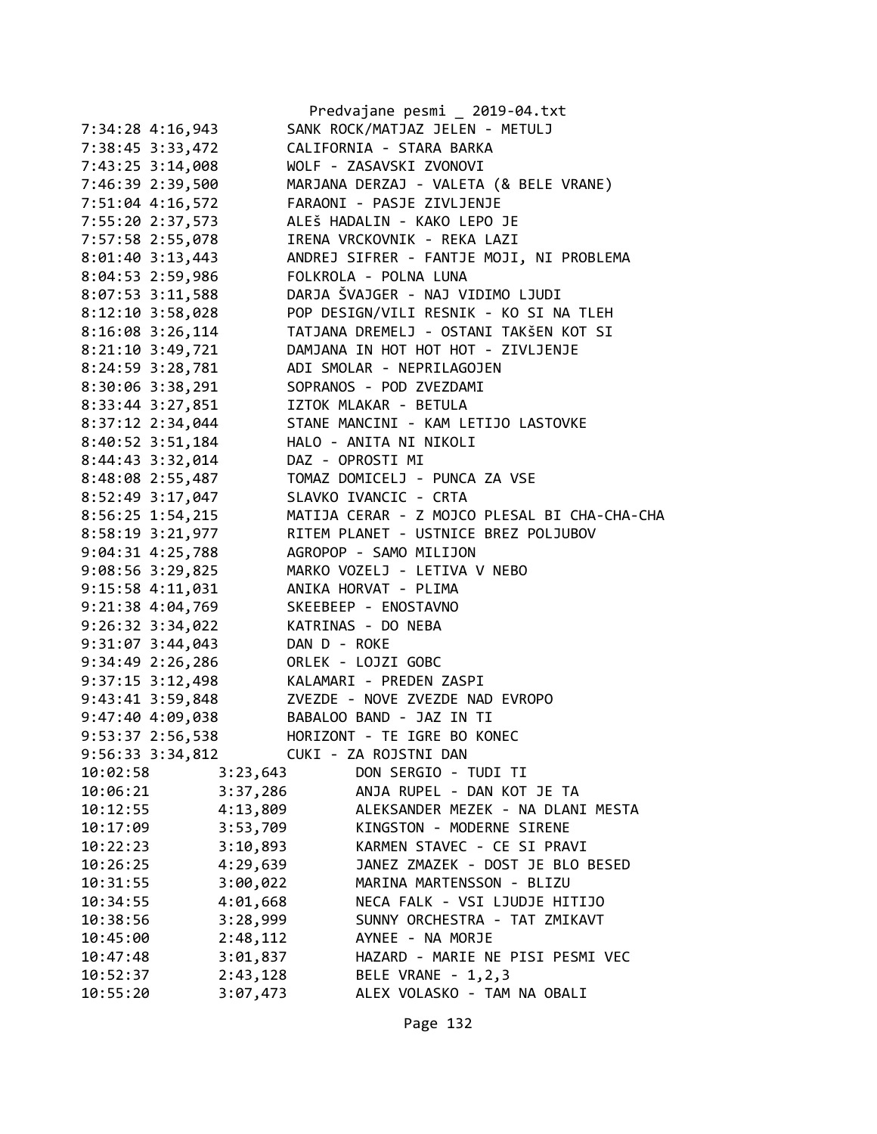|                      | Predvajane pesmi _ 2019-04.txt               |
|----------------------|----------------------------------------------|
| 7:34:28 4:16,943     | SANK ROCK/MATJAZ JELEN - METULJ              |
| 7:38:45 3:33,472     | CALIFORNIA - STARA BARKA                     |
| 7:43:25 3:14,008     | WOLF - ZASAVSKI ZVONOVI                      |
| 7:46:39 2:39,500     | MARJANA DERZAJ - VALETA (& BELE VRANE)       |
|                      | FARAONI - PASJE ZIVLJENJE                    |
| 7:51:04 4:16,572     | ALEŠ HADALIN - KAKO LEPO JE                  |
| 7:55:20 2:37,573     |                                              |
| 7:57:58 2:55,078     | IRENA VRCKOVNIK - REKA LAZI                  |
| 8:01:40 3:13,443     | ANDREJ SIFRER - FANTJE MOJI, NI PROBLEMA     |
| 8:04:53 2:59,986     | FOLKROLA - POLNA LUNA                        |
| 8:07:53 3:11,588     | DARJA ŠVAJGER - NAJ VIDIMO LJUDI             |
| 8:12:10 3:58,028     | POP DESIGN/VILI RESNIK - KO SI NA TLEH       |
| 8:16:08 3:26,114     | TATJANA DREMELJ - OSTANI TAKŠEN KOT SI       |
| 8:21:10 3:49,721     | DAMJANA IN HOT HOT HOT - ZIVLJENJE           |
| 8:24:59 3:28,781     | ADI SMOLAR - NEPRILAGOJEN                    |
| 8:30:06 3:38,291     | SOPRANOS - POD ZVEZDAMI                      |
| 8:33:44 3:27,851     | IZTOK MLAKAR - BETULA                        |
| 8:37:12 2:34,044     | STANE MANCINI - KAM LETIJO LASTOVKE          |
| 8:40:52 3:51,184     | HALO - ANITA NI NIKOLI                       |
| 8:44:43 3:32,014     | DAZ - OPROSTI MI                             |
| 8:48:08 2:55,487     | TOMAZ DOMICELJ - PUNCA ZA VSE                |
| 8:52:49 3:17,047     | SLAVKO IVANCIC - CRTA                        |
| 8:56:25 1:54,215     | MATIJA CERAR - Z MOJCO PLESAL BI CHA-CHA-CHA |
| 8:58:19 3:21,977     | RITEM PLANET - USTNICE BREZ POLJUBOV         |
|                      | AGROPOP - SAMO MILIJON                       |
| 9:04:31 4:25,788     |                                              |
| $9:08:56$ 3:29,825   | MARKO VOZELJ - LETIVA V NEBO                 |
| 9:15:58 4:11,031     | ANIKA HORVAT - PLIMA                         |
| 9:21:38 4:04,769     | SKEEBEEP - ENOSTAVNO                         |
| 9:26:32 3:34,022     | KATRINAS - DO NEBA                           |
| 9:31:07 3:44,043     | DAN D - ROKE                                 |
| 9:34:49 2:26,286     | ORLEK - LOJZI GOBC                           |
| 9:37:15 3:12,498     | KALAMARI - PREDEN ZASPI                      |
| 9:43:41 3:59,848     | ZVEZDE - NOVE ZVEZDE NAD EVROPO              |
| 9:47:40 4:09,038     | BABALOO BAND - JAZ IN TI                     |
| 9:53:37 2:56,538     | HORIZONT - TE IGRE BO KONEC                  |
| 9:56:33 3:34,812     | CUKI - ZA ROJSTNI DAN                        |
| 10:02:58<br>3:23,643 | DON SERGIO - TUDI TI                         |
| 3:37,286<br>10:06:21 | ANJA RUPEL - DAN KOT JE TA                   |
| 4:13,809<br>10:12:55 | ALEKSANDER MEZEK - NA DLANI MESTA            |
| 3:53,709<br>10:17:09 | KINGSTON - MODERNE SIRENE                    |
| 3:10,893<br>10:22:23 | KARMEN STAVEC - CE SI PRAVI                  |
| 4:29,639<br>10:26:25 | JANEZ ZMAZEK - DOST JE BLO BESED             |
| 3:00,022<br>10:31:55 | MARINA MARTENSSON - BLIZU                    |
| 4:01,668<br>10:34:55 | NECA FALK - VSI LJUDJE HITIJO                |
| 3:28,999             | SUNNY ORCHESTRA - TAT ZMIKAVT                |
| 10:38:56             |                                              |
| 2:48,112<br>10:45:00 | AYNEE - NA MORJE                             |
| 3:01,837<br>10:47:48 | HAZARD - MARIE NE PISI PESMI VEC             |
| 10:52:37<br>2:43,128 | BELE VRANE - 1, 2, 3                         |
| 10:55:20<br>3:07,473 | ALEX VOLASKO - TAM NA OBALI                  |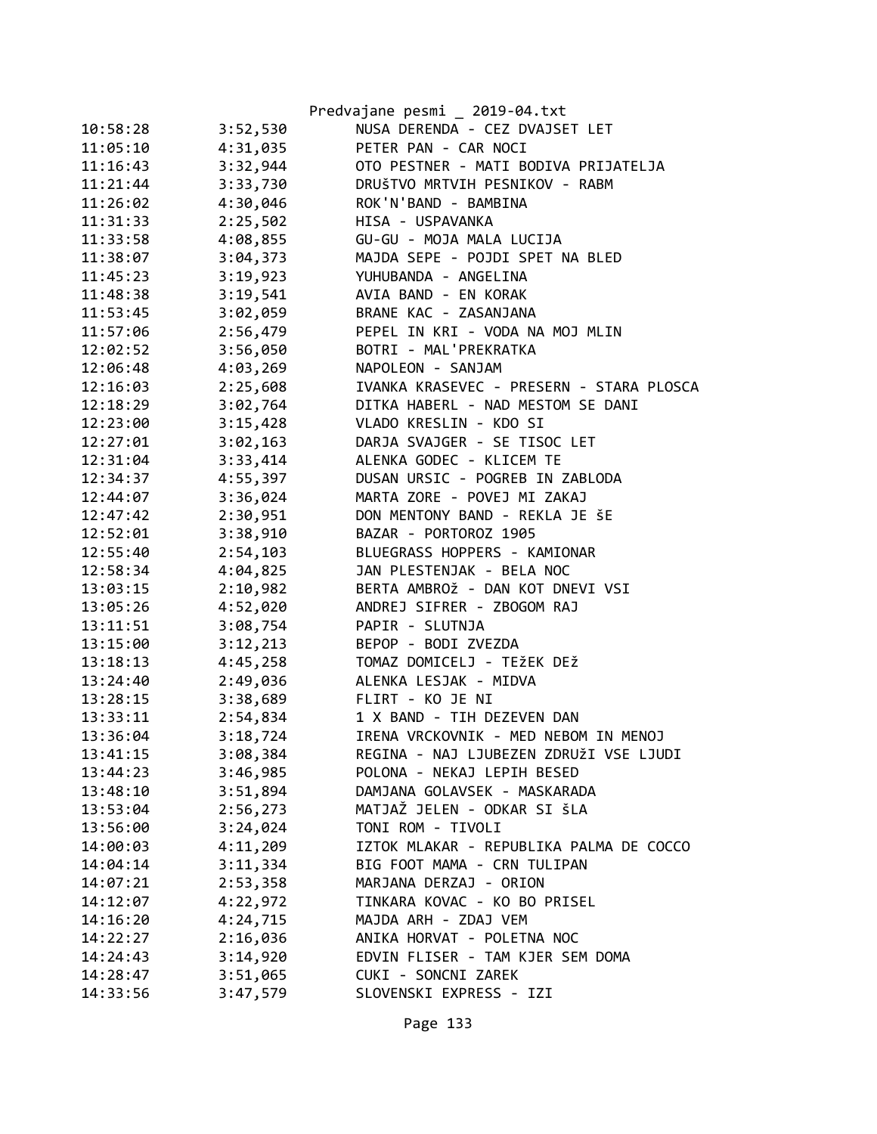|          |          | Predvajane pesmi _ 2019-04.txt           |
|----------|----------|------------------------------------------|
| 10:58:28 | 3:52,530 | NUSA DERENDA - CEZ DVAJSET LET           |
| 11:05:10 | 4:31,035 | PETER PAN - CAR NOCI                     |
| 11:16:43 | 3:32,944 | OTO PESTNER - MATI BODIVA PRIJATELJA     |
| 11:21:44 | 3:33,730 | DRUŠTVO MRTVIH PESNIKOV - RABM           |
| 11:26:02 | 4:30,046 | ROK'N'BAND - BAMBINA                     |
| 11:31:33 | 2:25,502 | HISA - USPAVANKA                         |
| 11:33:58 | 4:08,855 | GU-GU - MOJA MALA LUCIJA                 |
| 11:38:07 | 3:04,373 | MAJDA SEPE - POJDI SPET NA BLED          |
| 11:45:23 | 3:19,923 | YUHUBANDA - ANGELINA                     |
| 11:48:38 | 3:19,541 | AVIA BAND - EN KORAK                     |
| 11:53:45 | 3:02,059 | BRANE KAC - ZASANJANA                    |
| 11:57:06 | 2:56,479 | PEPEL IN KRI - VODA NA MOJ MLIN          |
| 12:02:52 | 3:56,050 | BOTRI - MAL'PREKRATKA                    |
| 12:06:48 | 4:03,269 | NAPOLEON - SANJAM                        |
| 12:16:03 | 2:25,608 | IVANKA KRASEVEC - PRESERN - STARA PLOSCA |
| 12:18:29 | 3:02,764 | DITKA HABERL - NAD MESTOM SE DANI        |
| 12:23:00 | 3:15,428 | VLADO KRESLIN - KDO SI                   |
| 12:27:01 | 3:02,163 | DARJA SVAJGER - SE TISOC LET             |
| 12:31:04 | 3:33,414 | ALENKA GODEC - KLICEM TE                 |
| 12:34:37 | 4:55,397 | DUSAN URSIC - POGREB IN ZABLODA          |
| 12:44:07 | 3:36,024 | MARTA ZORE - POVEJ MI ZAKAJ              |
| 12:47:42 | 2:30,951 | DON MENTONY BAND - REKLA JE ŠE           |
| 12:52:01 | 3:38,910 | BAZAR - PORTOROZ 1905                    |
| 12:55:40 | 2:54,103 | BLUEGRASS HOPPERS - KAMIONAR             |
| 12:58:34 | 4:04,825 | JAN PLESTENJAK - BELA NOC                |
| 13:03:15 | 2:10,982 | BERTA AMBROŽ - DAN KOT DNEVI VSI         |
| 13:05:26 | 4:52,020 | ANDREJ SIFRER - ZBOGOM RAJ               |
| 13:11:51 | 3:08,754 | PAPIR - SLUTNJA                          |
| 13:15:00 | 3:12,213 | BEPOP - BODI ZVEZDA                      |
| 13:18:13 | 4:45,258 | TOMAZ DOMICELJ - TEŽEK DEŽ               |
| 13:24:40 | 2:49,036 | ALENKA LESJAK - MIDVA                    |
| 13:28:15 |          | 3:38,689 FLIRT - KO JE NI                |
| 13:33:11 | 2:54,834 | 1 X BAND - TIH DEZEVEN DAN               |
| 13:36:04 | 3:18,724 | IRENA VRCKOVNIK - MED NEBOM IN MENOJ     |
| 13:41:15 | 3:08,384 | REGINA - NAJ LJUBEZEN ZDRUŽI VSE LJUDI   |
| 13:44:23 | 3:46,985 | POLONA - NEKAJ LEPIH BESED               |
| 13:48:10 | 3:51,894 | DAMJANA GOLAVSEK - MASKARADA             |
| 13:53:04 | 2:56,273 | MATJAŽ JELEN - ODKAR SI ŠLA              |
| 13:56:00 | 3:24,024 | TONI ROM - TIVOLI                        |
| 14:00:03 | 4:11,209 | IZTOK MLAKAR - REPUBLIKA PALMA DE COCCO  |
| 14:04:14 | 3:11,334 | BIG FOOT MAMA - CRN TULIPAN              |
| 14:07:21 | 2:53,358 | MARJANA DERZAJ - ORION                   |
| 14:12:07 | 4:22,972 | TINKARA KOVAC - KO BO PRISEL             |
| 14:16:20 | 4:24,715 | MAJDA ARH - ZDAJ VEM                     |
| 14:22:27 | 2:16,036 | ANIKA HORVAT - POLETNA NOC               |
| 14:24:43 | 3:14,920 | EDVIN FLISER - TAM KJER SEM DOMA         |
| 14:28:47 | 3:51,065 | CUKI - SONCNI ZAREK                      |
| 14:33:56 | 3:47,579 | SLOVENSKI EXPRESS - IZI                  |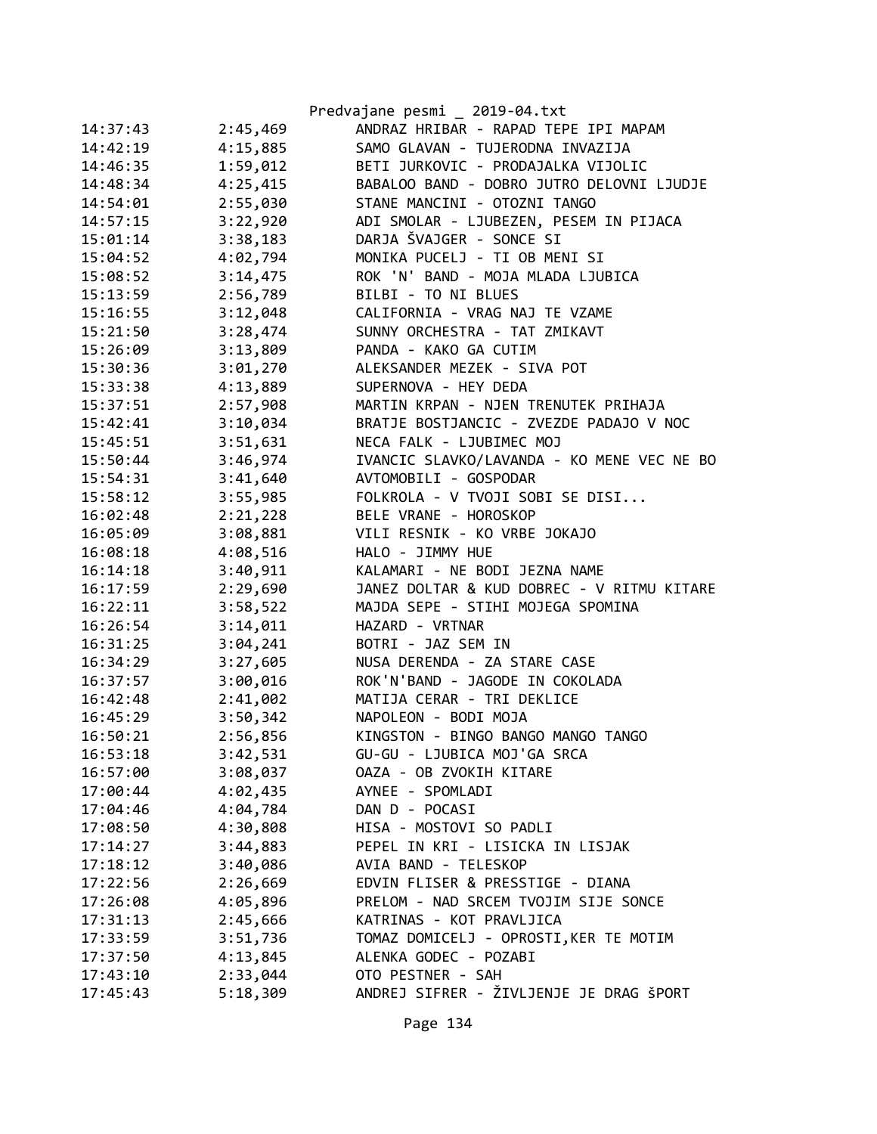|          |          | Predvajane pesmi _ 2019-04.txt             |
|----------|----------|--------------------------------------------|
| 14:37:43 | 2:45,469 | ANDRAZ HRIBAR - RAPAD TEPE IPI MAPAM       |
| 14:42:19 | 4:15,885 | SAMO GLAVAN - TUJERODNA INVAZIJA           |
| 14:46:35 | 1:59,012 | BETI JURKOVIC - PRODAJALKA VIJOLIC         |
| 14:48:34 | 4:25,415 | BABALOO BAND - DOBRO JUTRO DELOVNI LJUDJE  |
| 14:54:01 | 2:55,030 | STANE MANCINI - OTOZNI TANGO               |
| 14:57:15 | 3:22,920 | ADI SMOLAR - LJUBEZEN, PESEM IN PIJACA     |
| 15:01:14 | 3:38,183 | DARJA ŠVAJGER - SONCE SI                   |
| 15:04:52 | 4:02,794 | MONIKA PUCELJ - TI OB MENI SI              |
| 15:08:52 | 3:14,475 | ROK 'N' BAND - MOJA MLADA LJUBICA          |
| 15:13:59 | 2:56,789 | BILBI - TO NI BLUES                        |
| 15:16:55 | 3:12,048 | CALIFORNIA - VRAG NAJ TE VZAME             |
| 15:21:50 | 3:28,474 | SUNNY ORCHESTRA - TAT ZMIKAVT              |
| 15:26:09 | 3:13,809 | PANDA - KAKO GA CUTIM                      |
| 15:30:36 | 3:01,270 | ALEKSANDER MEZEK - SIVA POT                |
| 15:33:38 | 4:13,889 | SUPERNOVA - HEY DEDA                       |
| 15:37:51 | 2:57,908 | MARTIN KRPAN - NJEN TRENUTEK PRIHAJA       |
| 15:42:41 | 3:10,034 | BRATJE BOSTJANCIC - ZVEZDE PADAJO V NOC    |
| 15:45:51 | 3:51,631 | NECA FALK - LJUBIMEC MOJ                   |
| 15:50:44 | 3:46,974 | IVANCIC SLAVKO/LAVANDA - KO MENE VEC NE BO |
| 15:54:31 | 3:41,640 | AVTOMOBILI - GOSPODAR                      |
| 15:58:12 | 3:55,985 | FOLKROLA - V TVOJI SOBI SE DISI            |
| 16:02:48 | 2:21,228 | BELE VRANE - HOROSKOP                      |
| 16:05:09 | 3:08,881 | VILI RESNIK - KO VRBE JOKAJO               |
| 16:08:18 | 4:08,516 | HALO - JIMMY HUE                           |
| 16:14:18 | 3:40,911 | KALAMARI - NE BODI JEZNA NAME              |
| 16:17:59 | 2:29,690 | JANEZ DOLTAR & KUD DOBREC - V RITMU KITARE |
| 16:22:11 | 3:58,522 | MAJDA SEPE - STIHI MOJEGA SPOMINA          |
| 16:26:54 | 3:14,011 | HAZARD - VRTNAR                            |
| 16:31:25 | 3:04,241 | BOTRI - JAZ SEM IN                         |
| 16:34:29 | 3:27,605 | NUSA DERENDA - ZA STARE CASE               |
| 16:37:57 | 3:00,016 | ROK'N'BAND - JAGODE IN COKOLADA            |
| 16:42:48 | 2:41,002 | MATIJA CERAR - TRI DEKLICE                 |
| 16:45:29 | 3:50,342 | NAPOLEON - BODI MOJA                       |
| 16:50:21 | 2:56,856 | KINGSTON - BINGO BANGO MANGO TANGO         |
| 16:53:18 | 3:42,531 | GU-GU - LJUBICA MOJ'GA SRCA                |
| 16:57:00 | 3:08,037 | OAZA - OB ZVOKIH KITARE                    |
| 17:00:44 | 4:02,435 | AYNEE - SPOMLADI                           |
| 17:04:46 | 4:04,784 | DAN D - POCASI                             |
| 17:08:50 | 4:30,808 | HISA - MOSTOVI SO PADLI                    |
| 17:14:27 | 3:44,883 | PEPEL IN KRI - LISICKA IN LISJAK           |
| 17:18:12 | 3:40,086 | AVIA BAND - TELESKOP                       |
| 17:22:56 | 2:26,669 | EDVIN FLISER & PRESSTIGE - DIANA           |
| 17:26:08 | 4:05,896 | PRELOM - NAD SRCEM TVOJIM SIJE SONCE       |
| 17:31:13 | 2:45,666 | KATRINAS - KOT PRAVLJICA                   |
| 17:33:59 | 3:51,736 | TOMAZ DOMICELJ - OPROSTI, KER TE MOTIM     |
| 17:37:50 | 4:13,845 | ALENKA GODEC - POZABI                      |
| 17:43:10 | 2:33,044 | OTO PESTNER - SAH                          |
| 17:45:43 | 5:18,309 | ANDREJ SIFRER - ŽIVLJENJE JE DRAG ŠPORT    |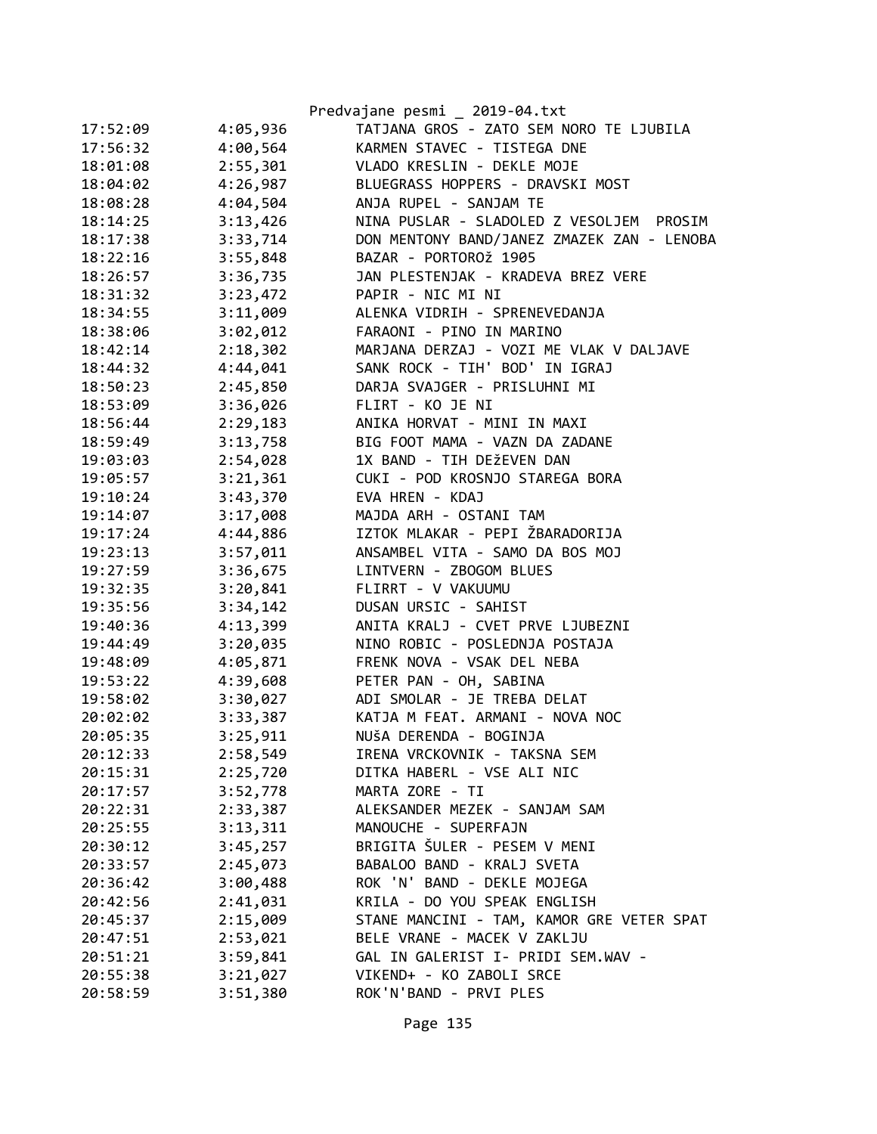|          |          | Predvajane pesmi _ 2019-04.txt              |
|----------|----------|---------------------------------------------|
| 17:52:09 | 4:05,936 | TATJANA GROS - ZATO SEM NORO TE LJUBILA     |
| 17:56:32 | 4:00,564 | KARMEN STAVEC - TISTEGA DNE                 |
| 18:01:08 | 2:55,301 | VLADO KRESLIN - DEKLE MOJE                  |
| 18:04:02 | 4:26,987 | BLUEGRASS HOPPERS - DRAVSKI MOST            |
| 18:08:28 | 4:04,504 | ANJA RUPEL - SANJAM TE                      |
| 18:14:25 | 3:13,426 | NINA PUSLAR - SLADOLED Z VESOLJEM<br>PROSIM |
| 18:17:38 | 3:33,714 | DON MENTONY BAND/JANEZ ZMAZEK ZAN - LENOBA  |
| 18:22:16 | 3:55,848 | BAZAR - PORTOROŽ 1905                       |
| 18:26:57 | 3:36,735 | JAN PLESTENJAK - KRADEVA BREZ VERE          |
| 18:31:32 | 3:23,472 | PAPIR - NIC MI NI                           |
| 18:34:55 | 3:11,009 | ALENKA VIDRIH - SPRENEVEDANJA               |
| 18:38:06 | 3:02,012 | FARAONI - PINO IN MARINO                    |
| 18:42:14 | 2:18,302 | MARJANA DERZAJ - VOZI ME VLAK V DALJAVE     |
| 18:44:32 | 4:44,041 | SANK ROCK - TIH' BOD' IN IGRAJ              |
| 18:50:23 | 2:45,850 | DARJA SVAJGER - PRISLUHNI MI                |
| 18:53:09 | 3:36,026 | FLIRT - KO JE NI                            |
| 18:56:44 | 2:29,183 | ANIKA HORVAT - MINI IN MAXI                 |
| 18:59:49 | 3:13,758 | BIG FOOT MAMA - VAZN DA ZADANE              |
| 19:03:03 | 2:54,028 | 1X BAND - TIH DEŽEVEN DAN                   |
| 19:05:57 | 3:21,361 | CUKI - POD KROSNJO STAREGA BORA             |
| 19:10:24 | 3:43,370 | EVA HREN - KDAJ                             |
| 19:14:07 | 3:17,008 | MAJDA ARH - OSTANI TAM                      |
| 19:17:24 | 4:44,886 | IZTOK MLAKAR - PEPI ŽBARADORIJA             |
| 19:23:13 | 3:57,011 | ANSAMBEL VITA - SAMO DA BOS MOJ             |
| 19:27:59 | 3:36,675 | LINTVERN - ZBOGOM BLUES                     |
| 19:32:35 | 3:20,841 | FLIRRT - V VAKUUMU                          |
| 19:35:56 | 3:34,142 | DUSAN URSIC - SAHIST                        |
| 19:40:36 | 4:13,399 | ANITA KRALJ - CVET PRVE LJUBEZNI            |
| 19:44:49 | 3:20,035 | NINO ROBIC - POSLEDNJA POSTAJA              |
| 19:48:09 | 4:05,871 | FRENK NOVA - VSAK DEL NEBA                  |
| 19:53:22 | 4:39,608 | PETER PAN - OH, SABINA                      |
| 19:58:02 | 3:30,027 | ADI SMOLAR - JE TREBA DELAT                 |
| 20:02:02 | 3:33,387 | KATJA M FEAT. ARMANI - NOVA NOC             |
| 20:05:35 | 3:25,911 | NUŠA DERENDA - BOGINJA                      |
| 20:12:33 | 2:58,549 | IRENA VRCKOVNIK - TAKSNA SEM                |
| 20:15:31 | 2:25,720 | DITKA HABERL - VSE ALI NIC                  |
| 20:17:57 | 3:52,778 | MARTA ZORE - TI                             |
| 20:22:31 | 2:33,387 | ALEKSANDER MEZEK - SANJAM SAM               |
| 20:25:55 | 3:13,311 | MANOUCHE - SUPERFAJN                        |
| 20:30:12 | 3:45,257 | BRIGITA ŠULER - PESEM V MENI                |
| 20:33:57 | 2:45,073 | BABALOO BAND - KRALJ SVETA                  |
| 20:36:42 | 3:00,488 | ROK 'N' BAND - DEKLE MOJEGA                 |
| 20:42:56 | 2:41,031 | KRILA - DO YOU SPEAK ENGLISH                |
| 20:45:37 | 2:15,009 | STANE MANCINI - TAM, KAMOR GRE VETER SPAT   |
| 20:47:51 | 2:53,021 | BELE VRANE - MACEK V ZAKLJU                 |
| 20:51:21 | 3:59,841 | GAL IN GALERIST I- PRIDI SEM.WAV -          |
| 20:55:38 | 3:21,027 | VIKEND+ - KO ZABOLI SRCE                    |
| 20:58:59 | 3:51,380 | ROK'N'BAND - PRVI PLES                      |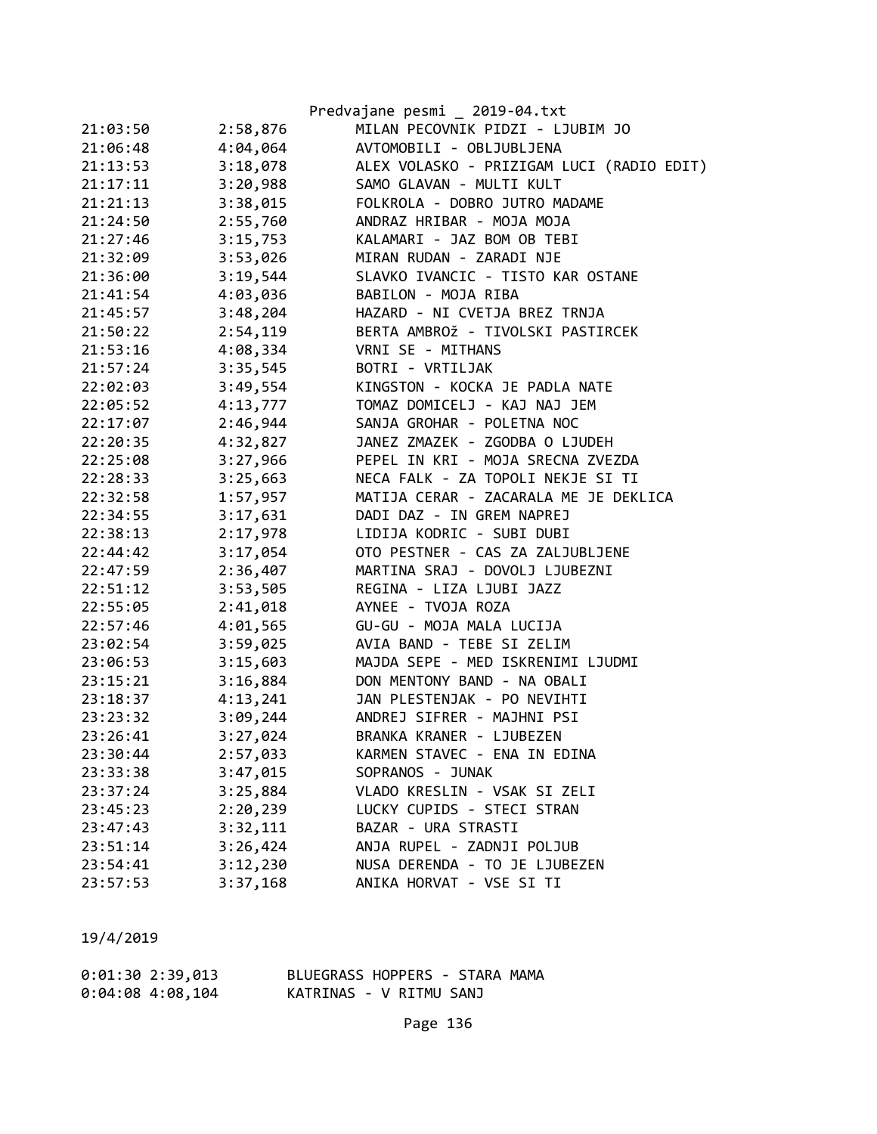|          |          | Predvajane pesmi _ 2019-04.txt            |
|----------|----------|-------------------------------------------|
| 21:03:50 | 2:58,876 | MILAN PECOVNIK PIDZI - LJUBIM JO          |
| 21:06:48 | 4:04,064 | AVTOMOBILI - OBLJUBLJENA                  |
| 21:13:53 | 3:18,078 | ALEX VOLASKO - PRIZIGAM LUCI (RADIO EDIT) |
| 21:17:11 | 3:20,988 | SAMO GLAVAN - MULTI KULT                  |
| 21:21:13 | 3:38,015 | FOLKROLA - DOBRO JUTRO MADAME             |
| 21:24:50 | 2:55,760 | ANDRAZ HRIBAR - MOJA MOJA                 |
| 21:27:46 | 3:15,753 | KALAMARI - JAZ BOM OB TEBI                |
| 21:32:09 | 3:53,026 | MIRAN RUDAN - ZARADI NJE                  |
| 21:36:00 | 3:19,544 | SLAVKO IVANCIC - TISTO KAR OSTANE         |
| 21:41:54 | 4:03,036 | BABILON - MOJA RIBA                       |
| 21:45:57 | 3:48,204 | HAZARD - NI CVETJA BREZ TRNJA             |
| 21:50:22 | 2:54,119 | BERTA AMBROŽ - TIVOLSKI PASTIRCEK         |
| 21:53:16 | 4:08,334 | VRNI SE - MITHANS                         |
| 21:57:24 | 3:35,545 | BOTRI - VRTILJAK                          |
| 22:02:03 | 3:49,554 | KINGSTON - KOCKA JE PADLA NATE            |
| 22:05:52 | 4:13,777 | TOMAZ DOMICELJ - KAJ NAJ JEM              |
| 22:17:07 | 2:46,944 | SANJA GROHAR - POLETNA NOC                |
| 22:20:35 | 4:32,827 | JANEZ ZMAZEK - ZGODBA O LJUDEH            |
| 22:25:08 | 3:27,966 | PEPEL IN KRI - MOJA SRECNA ZVEZDA         |
| 22:28:33 | 3:25,663 | NECA FALK - ZA TOPOLI NEKJE SI TI         |
| 22:32:58 | 1:57,957 | MATIJA CERAR - ZACARALA ME JE DEKLICA     |
| 22:34:55 | 3:17,631 | DADI DAZ - IN GREM NAPREJ                 |
| 22:38:13 | 2:17,978 | LIDIJA KODRIC - SUBI DUBI                 |
| 22:44:42 | 3:17,054 | OTO PESTNER - CAS ZA ZALJUBLJENE          |
| 22:47:59 | 2:36,407 | MARTINA SRAJ - DOVOLJ LJUBEZNI            |
| 22:51:12 | 3:53,505 | REGINA - LIZA LJUBI JAZZ                  |
| 22:55:05 | 2:41,018 | AYNEE - TVOJA ROZA                        |
| 22:57:46 | 4:01,565 | GU-GU - MOJA MALA LUCIJA                  |
| 23:02:54 | 3:59,025 | AVIA BAND - TEBE SI ZELIM                 |
| 23:06:53 | 3:15,603 | MAJDA SEPE - MED ISKRENIMI LJUDMI         |
| 23:15:21 | 3:16,884 | DON MENTONY BAND - NA OBALI               |
| 23:18:37 | 4:13,241 | JAN PLESTENJAK - PO NEVIHTI               |
| 23:23:32 | 3:09,244 | ANDREJ SIFRER - MAJHNI PSI                |
| 23:26:41 | 3:27,024 | BRANKA KRANER - LJUBEZEN                  |
| 23:30:44 | 2:57,033 | KARMEN STAVEC - ENA IN EDINA              |
| 23:33:38 | 3:47,015 | SOPRANOS - JUNAK                          |
| 23:37:24 | 3:25,884 | VLADO KRESLIN - VSAK SI ZELI              |
| 23:45:23 | 2:20,239 | LUCKY CUPIDS - STECI STRAN                |
| 23:47:43 | 3:32,111 | BAZAR - URA STRASTI                       |
| 23:51:14 | 3:26,424 | ANJA RUPEL - ZADNJI POLJUB                |
| 23:54:41 | 3:12,230 | NUSA DERENDA - TO JE LJUBEZEN             |
| 23:57:53 | 3:37,168 | ANIKA HORVAT - VSE SI TI                  |

| 0:01:302:39,013    | BLUEGRASS HOPPERS - STARA MAMA |
|--------------------|--------------------------------|
| $0:04:08$ 4:08,104 | KATRINAS - V RITMU SANJ        |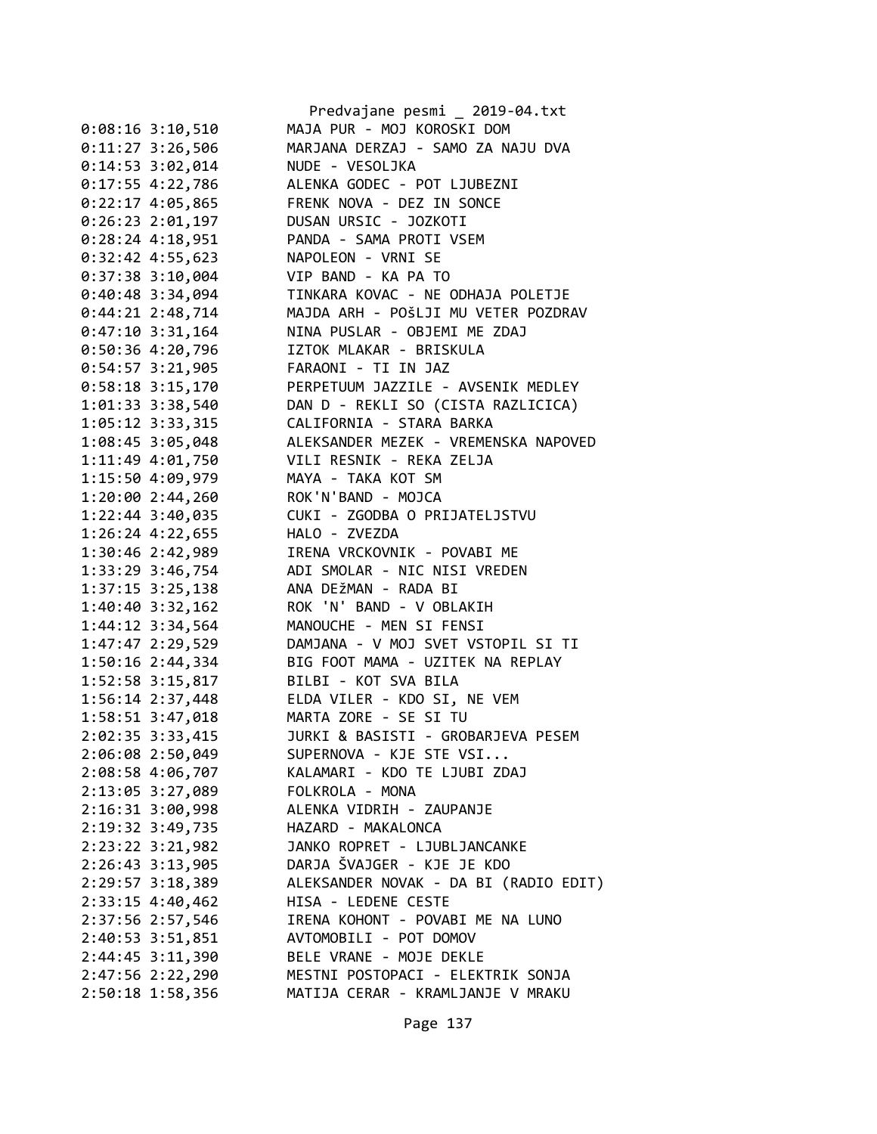|                      | Predvajane pesmi _ 2019-04.txt                                              |
|----------------------|-----------------------------------------------------------------------------|
| $0:08:16$ 3:10,510   | MAJA PUR - MOJ KOROSKI DOM                                                  |
| $0:11:27$ 3:26,506   | MARJANA DERZAJ - SAMO ZA NAJU DVA                                           |
| $0:14:53$ 3:02,014   | NUDE - VESOLJKA                                                             |
| $0:17:55$ 4:22,786   | ALENKA GODEC - POT LJUBEZNI                                                 |
| $0:22:17$ 4:05,865   | FRENK NOVA - DEZ IN SONCE                                                   |
| $0:26:23$ 2:01,197   | DUSAN URSIC - JOZKOTI                                                       |
| $0:28:24$ 4:18,951   | PANDA - SAMA PROTI VSEM                                                     |
| $0:32:42$ 4:55,623   | NAPOLEON - VRNI SE                                                          |
| 0:37:38 3:10,004     | VIP BAND - KA PA TO                                                         |
| $0:40:48$ 3:34,094   | TINKARA KOVAC - NE ODHAJA POLETJE                                           |
| $0:44:21$ 2:48,714   | MAJDA ARH - POŠLJI MU VETER POZDRAV                                         |
| $0:47:10$ 3:31,164   | NINA PUSLAR - OBJEMI ME ZDAJ                                                |
| 0:50:36 4:20,796     | IZTOK MLAKAR - BRISKULA                                                     |
| 0:54:57 3:21,905     | FARAONI - TI IN JAZ                                                         |
| $0:58:18$ 3:15,170   | PERPETUUM JAZZILE - AVSENIK MEDLEY                                          |
| 1:01:33 3:38,540     | DAN D - REKLI SO (CISTA RAZLICICA)                                          |
| 1:05:12 3:33,315     | CALIFORNIA - STARA BARKA                                                    |
| 1:08:45 3:05,048     | ALEKSANDER MEZEK - VREMENSKA NAPOVED                                        |
|                      | 1:11:49 4:01,750 VILI RESNIK - REKA ZELJA                                   |
| 1:15:50 4:09,979     | MAYA - TAKA KOT SM                                                          |
| 1:20:00 2:44,260     | ROK'N'BAND - MOJCA                                                          |
| $1:22:44$ 3:40,035   | CUKI - ZGODBA O PRIJATELJSTVU                                               |
| $1:26:24$ $4:22,655$ | HALO - ZVEZDA                                                               |
| 1:30:46 2:42,989     | IRENA VRCKOVNIK - POVABI ME                                                 |
|                      | 1:33:29 3:46,754 ADI SMOLAR - NIC NISI VREDEN                               |
| 1:37:15 3:25,138     | ANA DEŽMAN - RADA BI                                                        |
| 1:40:40 3:32,162     | ROK 'N' BAND - V OBLAKIH                                                    |
| 1:44:12 3:34,564     | MANOUCHE - MEN SI FENSI                                                     |
| 1:47:47 2:29,529     | DAMJANA - V MOJ SVET VSTOPIL SI TI                                          |
| 1:50:16 2:44,334     | BIG FOOT MAMA - UZITEK NA REPLAY                                            |
| $1:52:58$ $3:15,817$ | BILBI - KOT SVA BILA                                                        |
|                      | 1:56:14 2:37,448 ELDA VILER - KDO SI, NE VEM                                |
| $1:58:51$ $3:47,018$ | MARTA ZORE - SE SI TU                                                       |
| 2:02:35 3:33,415     | JURKI & BASISTI - GROBARJEVA PESEM                                          |
| 2:06:08 2:50,049     | SUPERNOVA - KJE STE VSI                                                     |
| 2:08:58 4:06,707     | KALAMARI - KDO TE LJUBI ZDAJ                                                |
| 2:13:05 3:27,089     | FOLKROLA - MONA                                                             |
| 2:16:31 3:00,998     | ALENKA VIDRIH - ZAUPANJE                                                    |
|                      | HAZARD - MAKALONCA                                                          |
| 2:19:32 3:49,735     |                                                                             |
| $2:23:22$ $3:21,982$ | JANKO ROPRET - LJUBLJANCANKE<br>2:26:43 3:13,905 DARJA ŠVAJGER - KJE JE KDO |
|                      |                                                                             |
| 2:29:57 3:18,389     | ALEKSANDER NOVAK - DA BI (RADIO EDIT)                                       |
| $2:33:15$ 4:40,462   | HISA - LEDENE CESTE                                                         |
| 2:37:56 2:57,546     | IRENA KOHONT - POVABI ME NA LUNO                                            |
| 2:40:53 3:51,851     | AVTOMOBILI - POT DOMOV                                                      |
| 2:44:45 3:11,390     | BELE VRANE - MOJE DEKLE                                                     |
| 2:47:56 2:22,290     | MESTNI POSTOPACI - ELEKTRIK SONJA                                           |
| 2:50:18 1:58,356     | MATIJA CERAR - KRAMLJANJE V MRAKU                                           |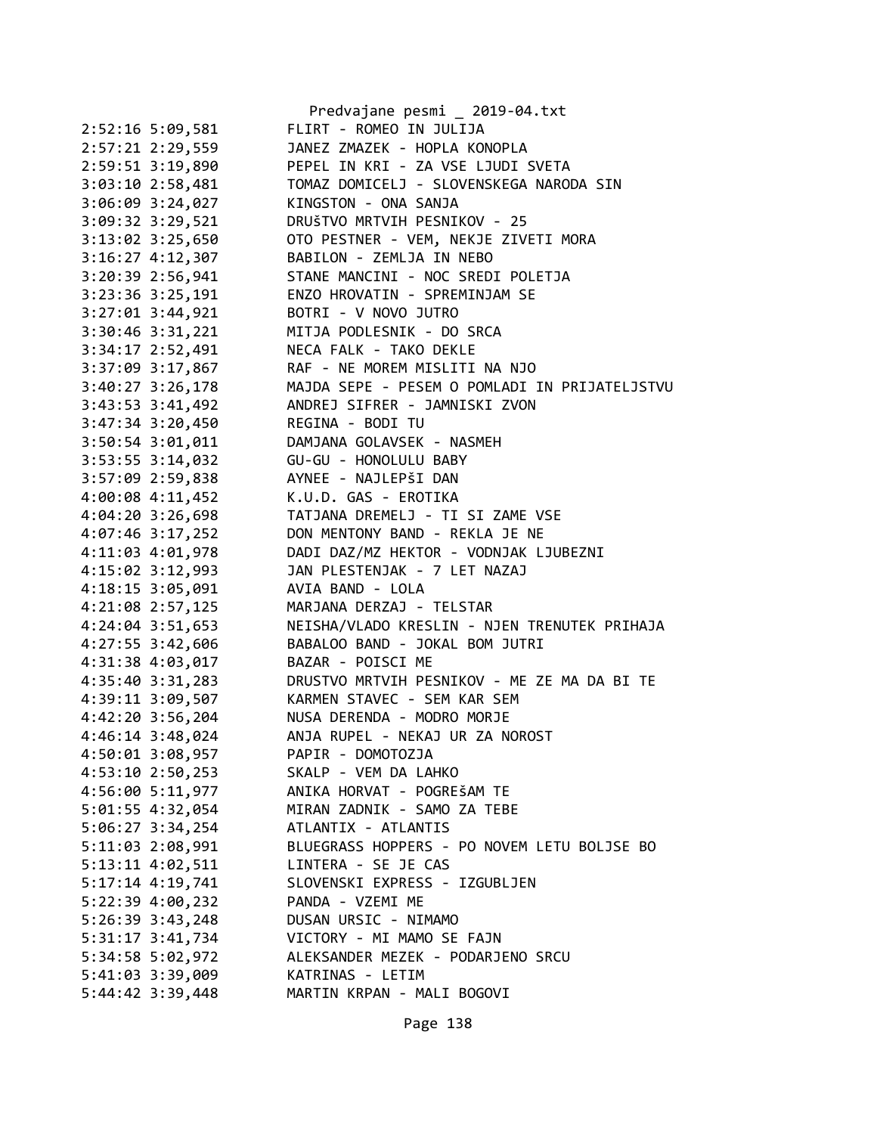|                      | Predvajane pesmi _ 2019-04.txt                |
|----------------------|-----------------------------------------------|
| 2:52:16 5:09,581     | FLIRT - ROMEO IN JULIJA                       |
| 2:57:21 2:29,559     | JANEZ ZMAZEK - HOPLA KONOPLA                  |
| 2:59:51 3:19,890     | PEPEL IN KRI - ZA VSE LJUDI SVETA             |
| 3:03:10 2:58,481     | TOMAZ DOMICELJ - SLOVENSKEGA NARODA SIN       |
| 3:06:09 3:24,027     | KINGSTON - ONA SANJA                          |
| 3:09:32 3:29,521     | DRUŠTVO MRTVIH PESNIKOV - 25                  |
| 3:13:02 3:25,650     | OTO PESTNER - VEM, NEKJE ZIVETI MORA          |
| 3:16:27 4:12,307     | BABILON - ZEMLJA IN NEBO                      |
| 3:20:39 2:56,941     | STANE MANCINI - NOC SREDI POLETJA             |
| 3:23:36 3:25,191     | ENZO HROVATIN - SPREMINJAM SE                 |
| 3:27:01 3:44,921     | BOTRI - V NOVO JUTRO                          |
| 3:30:46 3:31,221     | MITJA PODLESNIK - DO SRCA                     |
| 3:34:17 2:52,491     | NECA FALK - TAKO DEKLE                        |
| 3:37:09 3:17,867     | RAF - NE MOREM MISLITI NA NJO                 |
| 3:40:27 3:26,178     | MAJDA SEPE - PESEM O POMLADI IN PRIJATELJSTVU |
| 3:43:53 3:41,492     | ANDREJ SIFRER - JAMNISKI ZVON                 |
| $3:47:34$ $3:20,450$ | REGINA - BODI TU                              |
| $3:50:54$ $3:01,011$ | DAMJANA GOLAVSEK - NASMEH                     |
| $3:53:55$ $3:14,032$ | GU-GU - HONOLULU BABY                         |
| 3:57:09 2:59,838     | AYNEE - NAJLEPŠI DAN                          |
| 4:00:08 4:11,452     | K.U.D. GAS - EROTIKA                          |
| 4:04:20 3:26,698     | TATJANA DREMELJ - TI SI ZAME VSE              |
| 4:07:46 3:17,252     | DON MENTONY BAND - REKLA JE NE                |
| 4:11:03 4:01,978     | DADI DAZ/MZ HEKTOR - VODNJAK LJUBEZNI         |
| 4:15:02 3:12,993     | JAN PLESTENJAK - 7 LET NAZAJ                  |
| 4:18:15 3:05,091     | AVIA BAND - LOLA                              |
| 4:21:08 2:57,125     | MARJANA DERZAJ - TELSTAR                      |
| 4:24:04 3:51,653     | NEISHA/VLADO KRESLIN - NJEN TRENUTEK PRIHAJA  |
| 4:27:55 3:42,606     | BABALOO BAND - JOKAL BOM JUTRI                |
| 4:31:38 4:03,017     | BAZAR - POISCI ME                             |
| 4:35:40 3:31,283     | DRUSTVO MRTVIH PESNIKOV - ME ZE MA DA BI TE   |
| 4:39:11 3:09,507     | KARMEN STAVEC - SEM KAR SEM                   |
| 4:42:20 3:56,204     | NUSA DERENDA - MODRO MORJE                    |
| 4:46:14 3:48,024     | ANJA RUPEL - NEKAJ UR ZA NOROST               |
| 4:50:01 3:08,957     | PAPIR - DOMOTOZJA                             |
| 4:53:10 2:50,253     | SKALP - VEM DA LAHKO                          |
| 4:56:00 5:11,977     | ANIKA HORVAT - POGREŠAM TE                    |
|                      |                                               |
| 5:01:55 4:32,054     | MIRAN ZADNIK - SAMO ZA TEBE                   |
| 5:06:27 3:34,254     | ATLANTIX - ATLANTIS                           |
| 5:11:03 2:08,991     | BLUEGRASS HOPPERS - PO NOVEM LETU BOLJSE BO   |
| 5:13:11 4:02,511     | LINTERA - SE JE CAS                           |
| $5:17:14$ 4:19,741   | SLOVENSKI EXPRESS - IZGUBLJEN                 |
| 5:22:39 4:00,232     | PANDA - VZEMI ME                              |
| 5:26:39 3:43,248     | DUSAN URSIC - NIMAMO                          |
| 5:31:17 3:41,734     | VICTORY - MI MAMO SE FAJN                     |
| 5:34:58 5:02,972     | ALEKSANDER MEZEK - PODARJENO SRCU             |
| 5:41:03 3:39,009     | KATRINAS - LETIM                              |
| 5:44:42 3:39,448     | MARTIN KRPAN - MALI BOGOVI                    |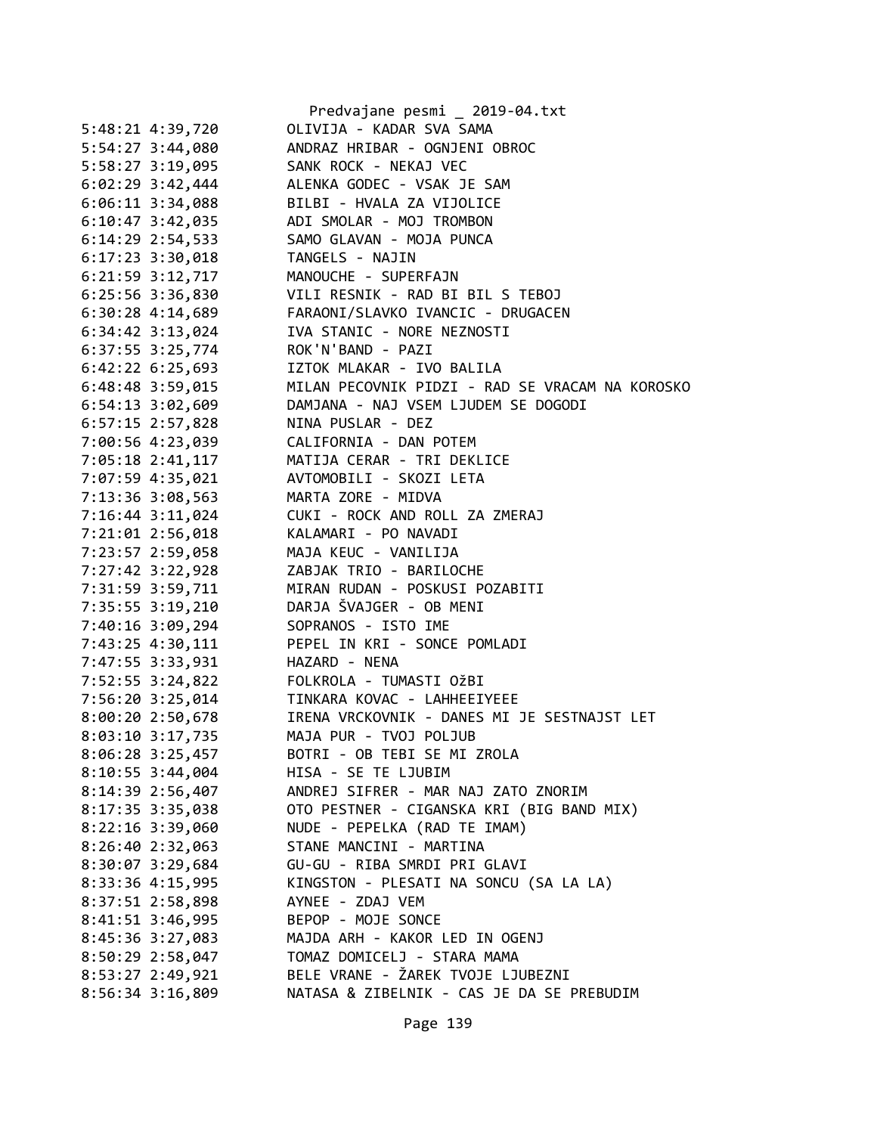|                                      | Predvajane pesmi _ 2019-04.txt                                                         |
|--------------------------------------|----------------------------------------------------------------------------------------|
| 5:48:21 4:39,720                     | OLIVIJA - KADAR SVA SAMA                                                               |
| 5:54:27 3:44,080                     | ANDRAZ HRIBAR - OGNJENI OBROC                                                          |
| 5:58:27 3:19,095                     | SANK ROCK - NEKAJ VEC                                                                  |
| $6:02:29$ 3:42,444                   | ALENKA GODEC - VSAK JE SAM                                                             |
| $6:06:11$ 3:34,088                   | BILBI - HVALA ZA VIJOLICE                                                              |
| $6:10:47$ 3:42,035                   | ADI SMOLAR - MOJ TROMBON                                                               |
| $6:14:29$ 2:54,533                   | SAMO GLAVAN - MOJA PUNCA                                                               |
| $6:17:23$ $3:30,018$                 | TANGELS - NAJIN                                                                        |
| 6:21:59 3:12,717                     | MANOUCHE - SUPERFAJN                                                                   |
| 6:25:56 3:36,830                     | VILI RESNIK - RAD BI BIL S TEBOJ                                                       |
|                                      | 6:30:28 4:14,689 FARAONI/SLAVKO IVANCIC - DRUGACEN                                     |
| $6:34:42$ $3:13,024$                 | IVA STANIC - NORE NEZNOSTI                                                             |
| $6:37:55$ $3:25,774$                 | ROK'N'BAND - PAZI                                                                      |
| $6:42:22$ $6:25,693$                 | IZTOK MLAKAR - IVO BALILA                                                              |
| 6:48:48 3:59,015                     | MILAN PECOVNIK PIDZI - RAD SE VRACAM NA KOROSKO                                        |
| $6:54:13$ $3:02,609$                 | DAMJANA - NAJ VSEM LJUDEM SE DOGODI                                                    |
| 6:57:15 2:57,828                     | NINA PUSLAR - DEZ                                                                      |
| 7:00:56 4:23,039                     | CALIFORNIA - DAN POTEM                                                                 |
| 7:05:18 2:41,117                     | MATIJA CERAR - TRI DEKLICE                                                             |
| 7:07:59 4:35,021                     | AVTOMOBILI - SKOZI LETA                                                                |
| 7:13:36 3:08,563                     | MARTA ZORE - MIDVA                                                                     |
| 7:16:44 3:11,024                     | CUKI - ROCK AND ROLL ZA ZMERAJ                                                         |
| 7:21:01 2:56,018                     | KALAMARI - PO NAVADI                                                                   |
| 7:23:57 2:59,058                     | MAJA KEUC - VANILIJA                                                                   |
| 7:27:42 3:22,928                     | ZABJAK TRIO - BARILOCHE                                                                |
| 7:31:59 3:59,711                     | MIRAN RUDAN - POSKUSI POZABITI                                                         |
| 7:35:55 3:19,210                     | DARJA ŠVAJGER - OB MENI                                                                |
| 7:40:16 3:09,294                     | SOPRANOS - ISTO IME                                                                    |
| 7:43:25 4:30,111                     | PEPEL IN KRI - SONCE POMLADI                                                           |
| 7:47:55 3:33,931                     | HAZARD - NENA                                                                          |
| 7:52:55 3:24,822                     | FOLKROLA - TUMASTI OžBI                                                                |
|                                      | 7:56:20 3:25,014 TINKARA KOVAC - LAHHEEIYEEE                                           |
|                                      |                                                                                        |
|                                      | 8:00:20 2:50,678 IRENA VRCKOVNIK - DANES MI JE SESTNAJST LET<br>MAJA PUR - TVOJ POLJUB |
| 8:03:10 3:17,735<br>8:06:28 3:25,457 | BOTRI - OB TEBI SE MI ZROLA                                                            |
|                                      | HISA - SE TE LJUBIM                                                                    |
| $8:10:55$ 3:44,004                   | ANDREJ SIFRER - MAR NAJ ZATO ZNORIM                                                    |
| 8:14:39 2:56,407                     |                                                                                        |
| 8:17:35 3:35,038                     | OTO PESTNER - CIGANSKA KRI (BIG BAND MIX)                                              |
| $8:22:16$ 3:39,060                   | NUDE - PEPELKA (RAD TE IMAM)                                                           |
| 8:26:402:32,063                      | STANE MANCINI - MARTINA                                                                |
| $8:30:07$ 3:29,684                   | GU-GU - RIBA SMRDI PRI GLAVI                                                           |
| 8:33:36 4:15,995                     | KINGSTON - PLESATI NA SONCU (SA LA LA)                                                 |
| 8:37:51 2:58,898                     | AYNEE - ZDAJ VEM                                                                       |
| 8:41:51 3:46,995                     | BEPOP - MOJE SONCE                                                                     |
| 8:45:36 3:27,083                     | MAJDA ARH - KAKOR LED IN OGENJ                                                         |
| 8:50:29 2:58,047                     | TOMAZ DOMICELJ - STARA MAMA                                                            |
| 8:53:27 2:49,921                     | BELE VRANE - ŽAREK TVOJE LJUBEZNI                                                      |
| 8:56:34 3:16,809                     | NATASA & ZIBELNIK - CAS JE DA SE PREBUDIM                                              |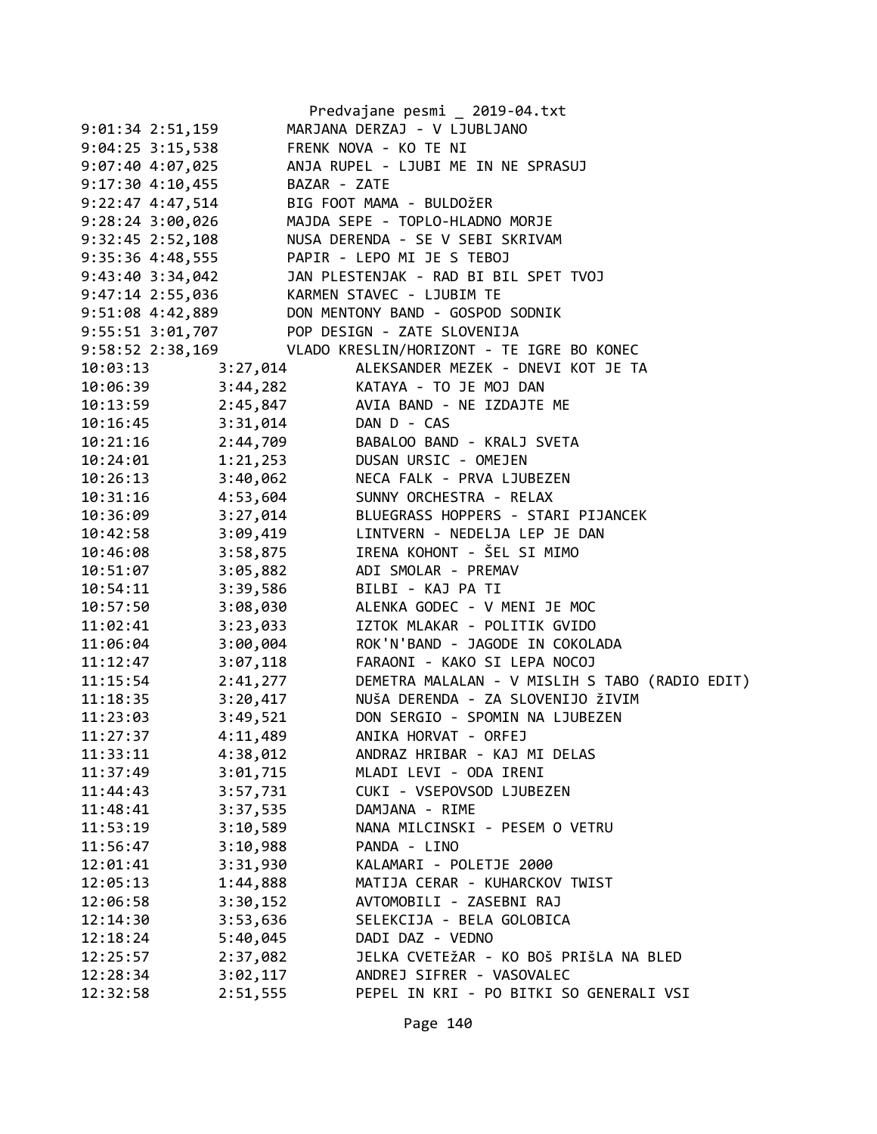|                      |          | Predvajane pesmi _ 2019-04.txt                             |
|----------------------|----------|------------------------------------------------------------|
| $9:01:34$ 2:51,159   |          | MARJANA DERZAJ - V LJUBLJANO                               |
| $9:04:25$ 3:15,538   |          | FRENK NOVA - KO TE NI                                      |
|                      |          | 9:07:40 4:07,025 ANJA RUPEL - LJUBI ME IN NE SPRASUJ       |
| $9:17:30$ 4:10,455   |          | BAZAR - ZATE                                               |
| $9:22:47$ 4:47,514   |          | BIG FOOT MAMA - BULDOŽER                                   |
| $9:28:24$ 3:00,026   |          | MAJDA SEPE - TOPLO-HLADNO MORJE                            |
| $9:32:45$ $2:52,108$ |          | NUSA DERENDA - SE V SEBI SKRIVAM                           |
| 9:35:36 4:48,555     |          | PAPIR - LEPO MI JE S TEBOJ                                 |
|                      |          | 9:43:40 3:34,042 JAN PLESTENJAK - RAD BI BIL SPET TVOJ     |
|                      |          | 9:47:14 2:55,036 KARMEN STAVEC - LJUBIM TE                 |
|                      |          | 9:51:08 4:42,889 DON MENTONY BAND - GOSPOD SODNIK          |
|                      |          | 9:55:51 3:01,707 POP DESIGN - ZATE SLOVENIJA               |
|                      |          | 9:58:52 2:38,169 VLADO KRESLIN/HORIZONT - TE IGRE BO KONEC |
| 10:03:13             | 3:27,014 | ALEKSANDER MEZEK - DNEVI KOT JE TA                         |
| 10:06:39             |          | 3:44,282<br>2:45,847 AVIA BAND - NE IZDAJTE ME             |
| 10:13:59             |          |                                                            |
| 10:16:45             |          | 3:31,014 DAN D - CAS                                       |
| 10:21:16             |          | 2:44,709 BABALOO BAND - KRALJ SVETA                        |
| 10:24:01             |          | 1:21,253 DUSAN URSIC - OMEJEN                              |
| 10:26:13             |          | 3:40,062 NECA FALK - PRVA LJUBEZEN                         |
| 10:31:16             |          | 4:53,604 SUNNY ORCHESTRA - RELAX                           |
| 10:36:09             |          |                                                            |
| 10:42:58             |          | 3:27,014<br>3:09,419 LINTVERN - NEDELJA LEP JE DAN         |
| 10:46:08             |          | 3:58,875 IRENA KOHONT - ŠEL SI MIMO                        |
| 10:51:07             |          | 3:05,882 ADI SMOLAR - PREMAV                               |
| 10:54:11             |          | 3:39,586 BILBI - KAJ PA TI                                 |
| 10:57:50             |          | 3:08,030 ALENKA GODEC - V MENI JE MOC                      |
| 11:02:41             |          | 3:23,033 IZTOK MLAKAR - POLITIK GVIDO                      |
| 11:06:04             |          | $3:00,004$ ROK'N'BAND - JAGODE IN COKOLADA                 |
| 11:12:47             |          | 3:07,118 FARAONI - KAKO SI LEPA NOCOJ                      |
| 11:15:54             |          | 2:41,277 DEMETRA MALALAN - V MISLIH S TABO (RADIO EDIT)    |
| 11:18:35             |          | 3:20,417 NUŠA DERENDA - ZA SLOVENIJO ŽIVIM                 |
| 11:23:03             |          | 3:49,521 DON SERGIO - SPOMIN NA LJUBEZEN                   |
| 11:27:37             | 4:11,489 | ANIKA HORVAT - ORFEJ                                       |
| 11:33:11             | 4:38,012 | ANDRAZ HRIBAR - KAJ MI DELAS                               |
| 11:37:49             | 3:01,715 | MLADI LEVI - ODA IRENI                                     |
| 11:44:43             | 3:57,731 | CUKI - VSEPOVSOD LJUBEZEN                                  |
| 11:48:41             | 3:37,535 | DAMJANA - RIME                                             |
| 11:53:19             | 3:10,589 | NANA MILCINSKI - PESEM O VETRU                             |
| 11:56:47             | 3:10,988 | PANDA - LINO                                               |
| 12:01:41             | 3:31,930 | KALAMARI - POLETJE 2000                                    |
| 12:05:13             | 1:44,888 | MATIJA CERAR - KUHARCKOV TWIST                             |
| 12:06:58             | 3:30,152 | AVTOMOBILI - ZASEBNI RAJ                                   |
| 12:14:30             | 3:53,636 | SELEKCIJA - BELA GOLOBICA                                  |
| 12:18:24             | 5:40,045 | DADI DAZ - VEDNO                                           |
| 12:25:57             | 2:37,082 | JELKA CVETEŽAR - KO BOŠ PRIŠLA NA BLED                     |
| 12:28:34             | 3:02,117 | ANDREJ SIFRER - VASOVALEC                                  |
| 12:32:58             | 2:51,555 | PEPEL IN KRI - PO BITKI SO GENERALI VSI                    |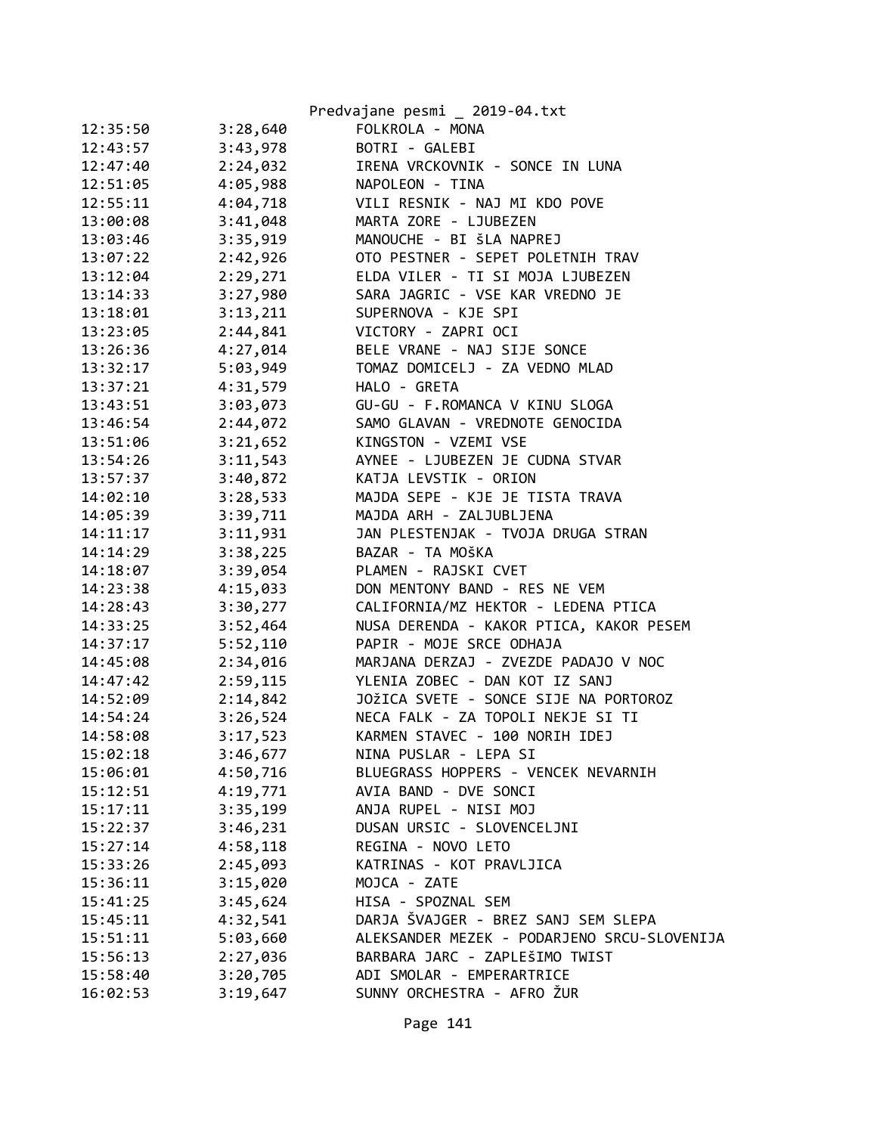|          |          | Predvajane pesmi _ 2019-04.txt              |
|----------|----------|---------------------------------------------|
| 12:35:50 | 3:28,640 | FOLKROLA - MONA                             |
| 12:43:57 | 3:43,978 | BOTRI - GALEBI                              |
| 12:47:40 | 2:24,032 | IRENA VRCKOVNIK - SONCE IN LUNA             |
| 12:51:05 | 4:05,988 | NAPOLEON - TINA                             |
| 12:55:11 | 4:04,718 | VILI RESNIK - NAJ MI KDO POVE               |
| 13:00:08 | 3:41,048 | MARTA ZORE - LJUBEZEN                       |
| 13:03:46 | 3:35,919 | MANOUCHE - BI ŠLA NAPREJ                    |
| 13:07:22 | 2:42,926 | OTO PESTNER - SEPET POLETNIH TRAV           |
| 13:12:04 | 2:29,271 | ELDA VILER - TI SI MOJA LJUBEZEN            |
| 13:14:33 | 3:27,980 | SARA JAGRIC - VSE KAR VREDNO JE             |
| 13:18:01 | 3:13,211 | SUPERNOVA - KJE SPI                         |
| 13:23:05 | 2:44,841 | VICTORY - ZAPRI OCI                         |
| 13:26:36 | 4:27,014 | BELE VRANE - NAJ SIJE SONCE                 |
| 13:32:17 | 5:03,949 | TOMAZ DOMICELJ - ZA VEDNO MLAD              |
| 13:37:21 | 4:31,579 | HALO - GRETA                                |
| 13:43:51 | 3:03,073 | GU-GU - F.ROMANCA V KINU SLOGA              |
| 13:46:54 | 2:44,072 | SAMO GLAVAN - VREDNOTE GENOCIDA             |
| 13:51:06 | 3:21,652 | KINGSTON - VZEMI VSE                        |
| 13:54:26 | 3:11,543 | AYNEE - LJUBEZEN JE CUDNA STVAR             |
| 13:57:37 | 3:40,872 | KATJA LEVSTIK - ORION                       |
| 14:02:10 | 3:28,533 | MAJDA SEPE - KJE JE TISTA TRAVA             |
| 14:05:39 | 3:39,711 | MAJDA ARH - ZALJUBLJENA                     |
| 14:11:17 | 3:11,931 | JAN PLESTENJAK - TVOJA DRUGA STRAN          |
| 14:14:29 | 3:38,225 | BAZAR - TA MOŠKA                            |
| 14:18:07 | 3:39,054 | PLAMEN - RAJSKI CVET                        |
| 14:23:38 | 4:15,033 | DON MENTONY BAND - RES NE VEM               |
| 14:28:43 | 3:30,277 | CALIFORNIA/MZ HEKTOR - LEDENA PTICA         |
| 14:33:25 | 3:52,464 | NUSA DERENDA - KAKOR PTICA, KAKOR PESEM     |
| 14:37:17 | 5:52,110 | PAPIR - MOJE SRCE ODHAJA                    |
| 14:45:08 | 2:34,016 | MARJANA DERZAJ - ZVEZDE PADAJO V NOC        |
| 14:47:42 | 2:59,115 | YLENIA ZOBEC - DAN KOT IZ SANJ              |
| 14:52:09 | 2:14,842 | JOŽICA SVETE - SONCE SIJE NA PORTOROZ       |
| 14:54:24 | 3:26,524 | NECA FALK - ZA TOPOLI NEKJE SI TI           |
| 14:58:08 | 3:17,523 | KARMEN STAVEC - 100 NORIH IDEJ              |
| 15:02:18 | 3:46,677 | NINA PUSLAR - LEPA SI                       |
| 15:06:01 | 4:50,716 | BLUEGRASS HOPPERS - VENCEK NEVARNIH         |
| 15:12:51 | 4:19,771 | AVIA BAND - DVE SONCI                       |
| 15:17:11 | 3:35,199 | ANJA RUPEL - NISI MOJ                       |
| 15:22:37 | 3:46,231 | DUSAN URSIC - SLOVENCELJNI                  |
| 15:27:14 | 4:58,118 | REGINA - NOVO LETO                          |
| 15:33:26 | 2:45,093 | KATRINAS - KOT PRAVLJICA                    |
| 15:36:11 | 3:15,020 | MOJCA - ZATE                                |
| 15:41:25 | 3:45,624 | HISA - SPOZNAL SEM                          |
| 15:45:11 | 4:32,541 | DARJA ŠVAJGER - BREZ SANJ SEM SLEPA         |
| 15:51:11 | 5:03,660 | ALEKSANDER MEZEK - PODARJENO SRCU-SLOVENIJA |
| 15:56:13 | 2:27,036 | BARBARA JARC - ZAPLEŠIMO TWIST              |
| 15:58:40 | 3:20,705 | ADI SMOLAR - EMPERARTRICE                   |
| 16:02:53 | 3:19,647 | SUNNY ORCHESTRA - AFRO ŽUR                  |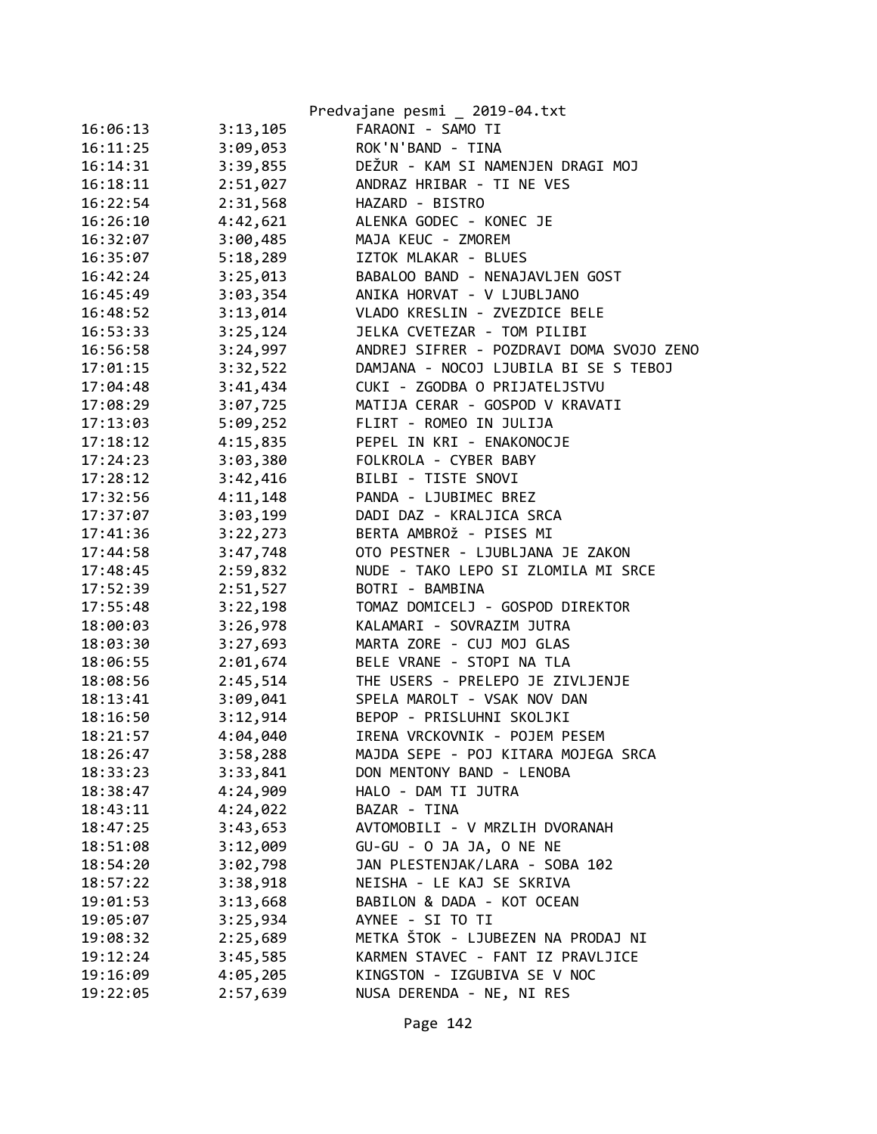|          |          | Predvajane pesmi _ 2019-04.txt           |
|----------|----------|------------------------------------------|
| 16:06:13 | 3:13,105 | FARAONI - SAMO TI                        |
| 16:11:25 | 3:09,053 | ROK'N'BAND - TINA                        |
| 16:14:31 | 3:39,855 | DEŽUR - KAM SI NAMENJEN DRAGI MOJ        |
| 16:18:11 | 2:51,027 | ANDRAZ HRIBAR - TI NE VES                |
| 16:22:54 | 2:31,568 | HAZARD - BISTRO                          |
| 16:26:10 | 4:42,621 | ALENKA GODEC - KONEC JE                  |
| 16:32:07 | 3:00,485 | MAJA KEUC - ZMOREM                       |
| 16:35:07 | 5:18,289 | IZTOK MLAKAR - BLUES                     |
| 16:42:24 | 3:25,013 | BABALOO BAND - NENAJAVLJEN GOST          |
| 16:45:49 | 3:03,354 | ANIKA HORVAT - V LJUBLJANO               |
| 16:48:52 | 3:13,014 | VLADO KRESLIN - ZVEZDICE BELE            |
| 16:53:33 | 3:25,124 | JELKA CVETEZAR - TOM PILIBI              |
| 16:56:58 | 3:24,997 | ANDREJ SIFRER - POZDRAVI DOMA SVOJO ZENO |
| 17:01:15 | 3:32,522 | DAMJANA - NOCOJ LJUBILA BI SE S TEBOJ    |
| 17:04:48 | 3:41,434 | CUKI - ZGODBA O PRIJATELJSTVU            |
| 17:08:29 | 3:07,725 | MATIJA CERAR - GOSPOD V KRAVATI          |
| 17:13:03 | 5:09,252 | FLIRT - ROMEO IN JULIJA                  |
| 17:18:12 | 4:15,835 | PEPEL IN KRI - ENAKONOCJE                |
| 17:24:23 | 3:03,380 | FOLKROLA - CYBER BABY                    |
| 17:28:12 | 3:42,416 | BILBI - TISTE SNOVI                      |
| 17:32:56 | 4:11,148 | PANDA - LJUBIMEC BREZ                    |
| 17:37:07 | 3:03,199 | DADI DAZ - KRALJICA SRCA                 |
| 17:41:36 | 3:22,273 | BERTA AMBROŽ - PISES MI                  |
| 17:44:58 | 3:47,748 | OTO PESTNER - LJUBLJANA JE ZAKON         |
| 17:48:45 | 2:59,832 | NUDE - TAKO LEPO SI ZLOMILA MI SRCE      |
| 17:52:39 | 2:51,527 | BOTRI - BAMBINA                          |
| 17:55:48 | 3:22,198 | TOMAZ DOMICELJ - GOSPOD DIREKTOR         |
| 18:00:03 | 3:26,978 | KALAMARI - SOVRAZIM JUTRA                |
| 18:03:30 | 3:27,693 | MARTA ZORE - CUJ MOJ GLAS                |
| 18:06:55 | 2:01,674 | BELE VRANE - STOPI NA TLA                |
| 18:08:56 | 2:45,514 | THE USERS - PRELEPO JE ZIVLJENJE         |
| 18:13:41 | 3:09,041 | SPELA MAROLT - VSAK NOV DAN              |
| 18:16:50 | 3:12,914 | BEPOP - PRISLUHNI SKOLJKI                |
| 18:21:57 | 4:04,040 | IRENA VRCKOVNIK - POJEM PESEM            |
| 18:26:47 | 3:58,288 | MAJDA SEPE - POJ KITARA MOJEGA SRCA      |
| 18:33:23 | 3:33,841 | DON MENTONY BAND - LENOBA                |
| 18:38:47 | 4:24,909 | HALO - DAM TI JUTRA                      |
| 18:43:11 | 4:24,022 | BAZAR - TINA                             |
| 18:47:25 | 3:43,653 | AVTOMOBILI - V MRZLIH DVORANAH           |
| 18:51:08 | 3:12,009 | GU-GU - O JA JA, O NE NE                 |
| 18:54:20 | 3:02,798 | JAN PLESTENJAK/LARA - SOBA 102           |
| 18:57:22 | 3:38,918 | NEISHA - LE KAJ SE SKRIVA                |
| 19:01:53 | 3:13,668 | BABILON & DADA - KOT OCEAN               |
| 19:05:07 | 3:25,934 | AYNEE - SI TO TI                         |
| 19:08:32 | 2:25,689 | METKA ŠTOK - LJUBEZEN NA PRODAJ NI       |
| 19:12:24 | 3:45,585 | KARMEN STAVEC - FANT IZ PRAVLJICE        |
| 19:16:09 | 4:05,205 | KINGSTON - IZGUBIVA SE V NOC             |
| 19:22:05 |          |                                          |
|          | 2:57,639 | NUSA DERENDA - NE, NI RES                |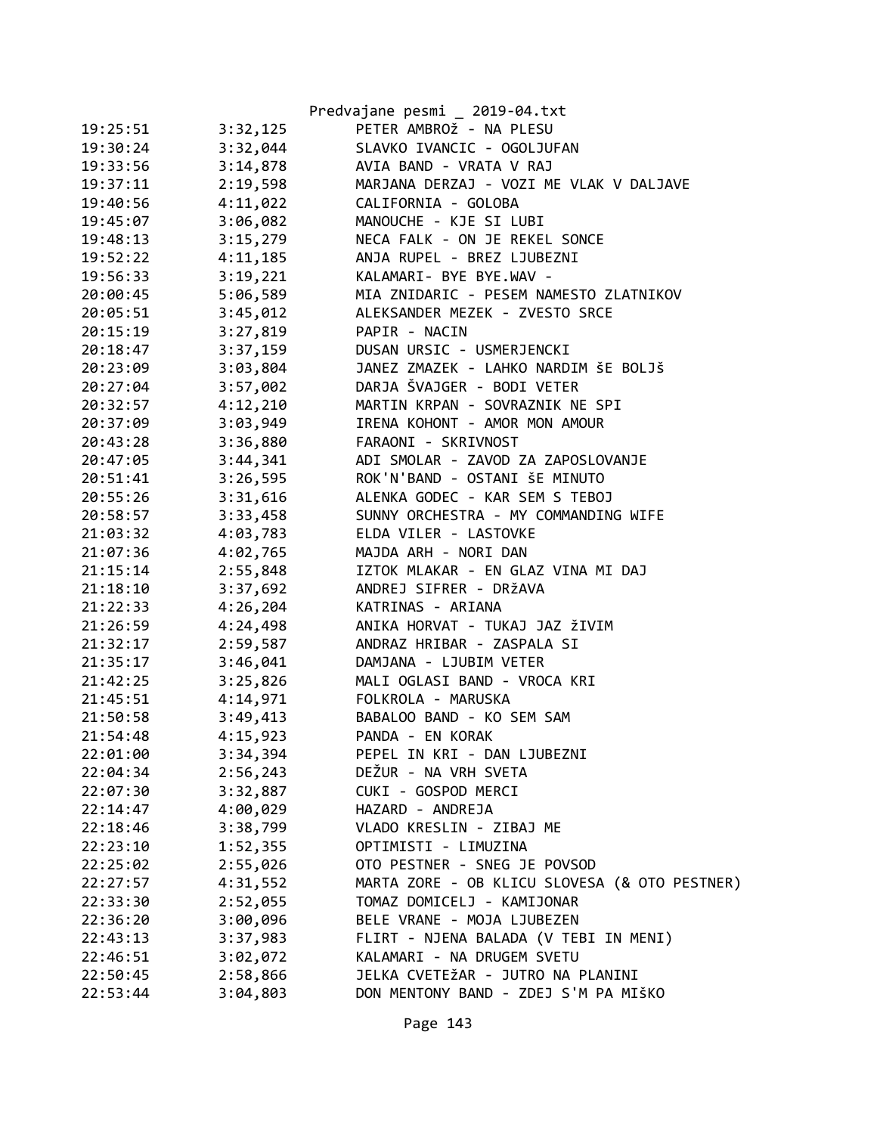|                      | Predvajane pesmi _ 2019-04.txt                |
|----------------------|-----------------------------------------------|
| 19:25:51<br>3:32,125 | PETER AMBROŽ - NA PLESU                       |
| 3:32,044<br>19:30:24 | SLAVKO IVANCIC - OGOLJUFAN                    |
| 19:33:56<br>3:14,878 | AVIA BAND - VRATA V RAJ                       |
| 2:19,598<br>19:37:11 | MARJANA DERZAJ - VOZI ME VLAK V DALJAVE       |
| 4:11,022<br>19:40:56 | CALIFORNIA - GOLOBA                           |
| 3:06,082<br>19:45:07 | MANOUCHE - KJE SI LUBI                        |
| 3:15,279<br>19:48:13 | NECA FALK - ON JE REKEL SONCE                 |
| 4:11,185<br>19:52:22 | ANJA RUPEL - BREZ LJUBEZNI                    |
| 3:19,221<br>19:56:33 | KALAMARI- BYE BYE.WAV -                       |
| 5:06,589<br>20:00:45 | MIA ZNIDARIC - PESEM NAMESTO ZLATNIKOV        |
| 3:45,012<br>20:05:51 | ALEKSANDER MEZEK - ZVESTO SRCE                |
| 3:27,819<br>20:15:19 | PAPIR - NACIN                                 |
| 3:37,159<br>20:18:47 | DUSAN URSIC - USMERJENCKI                     |
| 20:23:09<br>3:03,804 | JANEZ ZMAZEK - LAHKO NARDIM ŠE BOLJŠ          |
| 3:57,002<br>20:27:04 | DARJA ŠVAJGER - BODI VETER                    |
| 4:12,210<br>20:32:57 | MARTIN KRPAN - SOVRAZNIK NE SPI               |
| 3:03,949<br>20:37:09 | IRENA KOHONT - AMOR MON AMOUR                 |
| 20:43:28<br>3:36,880 | FARAONI - SKRIVNOST                           |
| 3:44,341<br>20:47:05 | ADI SMOLAR - ZAVOD ZA ZAPOSLOVANJE            |
| 3:26,595<br>20:51:41 | ROK'N'BAND - OSTANI ŠE MINUTO                 |
| 3:31,616<br>20:55:26 | ALENKA GODEC - KAR SEM S TEBOJ                |
| 3:33,458<br>20:58:57 | SUNNY ORCHESTRA - MY COMMANDING WIFE          |
| 4:03,783<br>21:03:32 | ELDA VILER - LASTOVKE                         |
| 21:07:36<br>4:02,765 | MAJDA ARH - NORI DAN                          |
| 21:15:14<br>2:55,848 | IZTOK MLAKAR - EN GLAZ VINA MI DAJ            |
| 21:18:10<br>3:37,692 | ANDREJ SIFRER - DRŽAVA                        |
| 4:26,204<br>21:22:33 | KATRINAS - ARIANA                             |
| 4:24,498<br>21:26:59 | ANIKA HORVAT - TUKAJ JAZ ŽIVIM                |
| 2:59,587<br>21:32:17 | ANDRAZ HRIBAR - ZASPALA SI                    |
| 3:46,041<br>21:35:17 | DAMJANA - LJUBIM VETER                        |
| 21:42:25<br>3:25,826 | MALI OGLASI BAND - VROCA KRI                  |
| 4:14,971<br>21:45:51 | FOLKROLA - MARUSKA                            |
| 3:49,413<br>21:50:58 | BABALOO BAND - KO SEM SAM                     |
| 4:15,923<br>21:54:48 | PANDA - EN KORAK                              |
| 3:34,394<br>22:01:00 | PEPEL IN KRI - DAN LJUBEZNI                   |
| 2:56,243<br>22:04:34 | DEŽUR - NA VRH SVETA                          |
| 3:32,887<br>22:07:30 | CUKI - GOSPOD MERCI                           |
| 4:00,029<br>22:14:47 | HAZARD - ANDREJA                              |
| 3:38,799<br>22:18:46 | VLADO KRESLIN - ZIBAJ ME                      |
| 22:23:10<br>1:52,355 | OPTIMISTI - LIMUZINA                          |
| 2:55,026<br>22:25:02 | OTO PESTNER - SNEG JE POVSOD                  |
| 4:31,552<br>22:27:57 | MARTA ZORE - OB KLICU SLOVESA (& OTO PESTNER) |
| 2:52,055<br>22:33:30 | TOMAZ DOMICELJ - KAMIJONAR                    |
| 3:00,096<br>22:36:20 | BELE VRANE - MOJA LJUBEZEN                    |
| 22:43:13<br>3:37,983 | FLIRT - NJENA BALADA (V TEBI IN MENI)         |
| 22:46:51<br>3:02,072 | KALAMARI - NA DRUGEM SVETU                    |
| 22:50:45<br>2:58,866 | JELKA CVETEŽAR - JUTRO NA PLANINI             |
| 3:04,803<br>22:53:44 | DON MENTONY BAND - ZDEJ S'M PA MIŠKO          |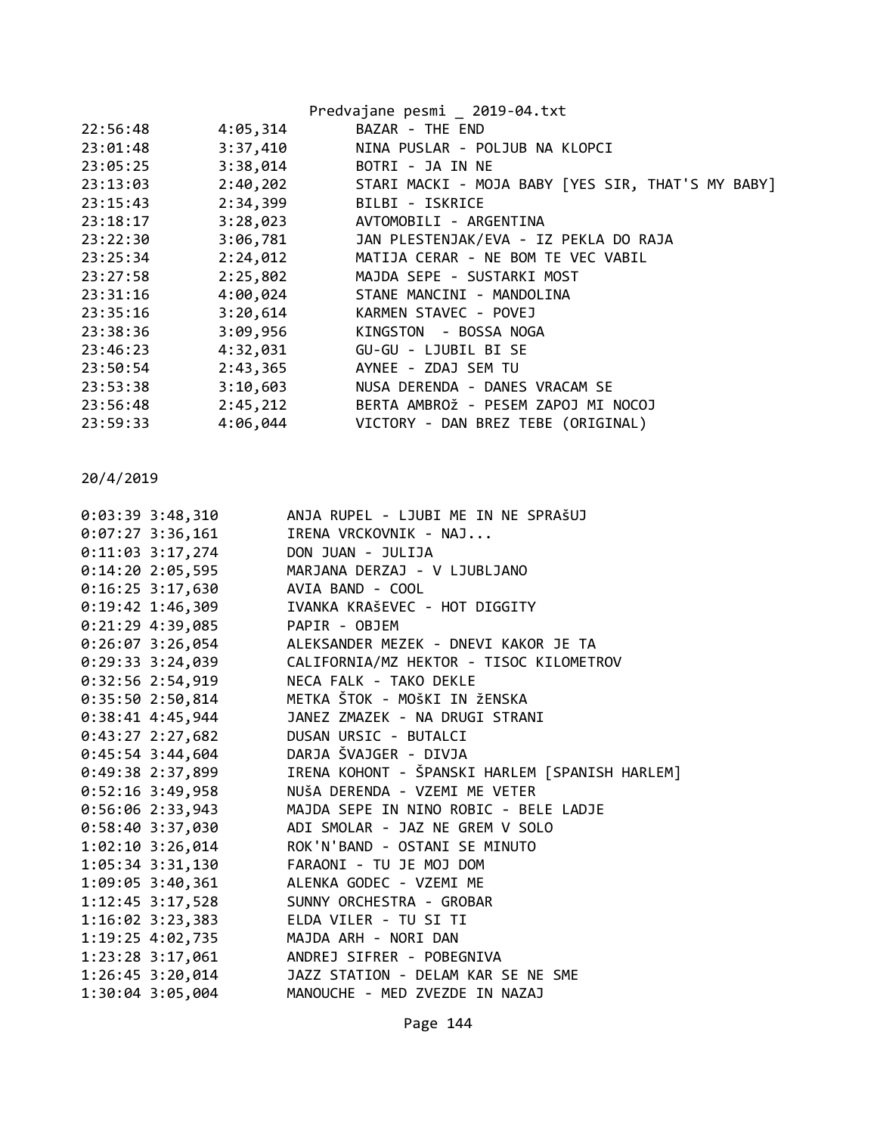|          |          | Predvajane pesmi _ 2019-04.txt                    |
|----------|----------|---------------------------------------------------|
| 22:56:48 | 4:05,314 | BAZAR - THE END                                   |
| 23:01:48 | 3:37,410 | NINA PUSLAR - POLJUB NA KLOPCI                    |
| 23:05:25 | 3:38,014 | BOTRI - JA IN NE                                  |
| 23:13:03 | 2:40,202 | STARI MACKI - MOJA BABY [YES SIR, THAT'S MY BABY] |
| 23:15:43 | 2:34,399 | BILBI - ISKRICE                                   |
| 23:18:17 | 3:28,023 | AVTOMOBILI - ARGENTINA                            |
| 23:22:30 | 3:06,781 | JAN PLESTENJAK/EVA - IZ PEKLA DO RAJA             |
| 23:25:34 | 2:24,012 | MATIJA CERAR - NE BOM TE VEC VABIL                |
| 23:27:58 | 2:25,802 | MAJDA SEPE - SUSTARKI MOST                        |
| 23:31:16 | 4:00,024 | STANE MANCINI - MANDOLINA                         |
| 23:35:16 | 3:20,614 | KARMEN STAVEC - POVEJ                             |
| 23:38:36 | 3:09,956 | KINGSTON - BOSSA NOGA                             |
| 23:46:23 | 4:32,031 | GU-GU - LJUBIL BI SE                              |
| 23:50:54 | 2:43,365 | AYNEE - ZDAJ SEM TU                               |
| 23:53:38 | 3:10,603 | NUSA DERENDA - DANES VRACAM SE                    |
| 23:56:48 | 2:45,212 | BERTA AMBROŽ - PESEM ZAPOJ MI NOCOJ               |
| 23:59:33 | 4:06,044 | VICTORY - DAN BREZ TEBE (ORIGINAL)                |
|          |          |                                                   |

| 0:03:39 3:48,310   | ANJA RUPEL - LJUBI ME IN NE SPRAŠUJ            |
|--------------------|------------------------------------------------|
| $0:07:27$ 3:36,161 | IRENA VRCKOVNIK - NAJ                          |
| $0:11:03$ 3:17,274 | DON JUAN - JULIJA                              |
| $0:14:20$ 2:05,595 | MARJANA DERZAJ - V LJUBLJANO                   |
| $0:16:25$ 3:17,630 | AVIA BAND - COOL                               |
| $0:19:42$ 1:46,309 | IVANKA KRAŠEVEC - HOT DIGGITY                  |
| $0:21:29$ 4:39,085 | PAPIR - OBJEM                                  |
| $0:26:07$ 3:26,054 | ALEKSANDER MEZEK - DNEVI KAKOR JE TA           |
| $0:29:33$ 3:24,039 | CALIFORNIA/MZ HEKTOR - TISOC KILOMETROV        |
| 0:32:56 2:54,919   | NECA FALK - TAKO DEKLE                         |
| 0:35:502:50,814    | METKA ŠTOK - MOŠKI IN ŽENSKA                   |
| $0:38:41$ 4:45,944 | JANEZ ZMAZEK - NA DRUGI STRANI                 |
| $0:43:27$ 2:27,682 | DUSAN URSIC - BUTALCI                          |
| $0:45:54$ 3:44,604 | DARJA ŠVAJGER - DIVJA                          |
| $0:49:38$ 2:37,899 | IRENA KOHONT - ŠPANSKI HARLEM [SPANISH HARLEM] |
| $0:52:16$ 3:49,958 | NUŠA DERENDA - VZEMI ME VETER                  |
| $0:56:06$ 2:33,943 | MAJDA SEPE IN NINO ROBIC - BELE LADJE          |
| 0:58:40 3:37,030   | ADI SMOLAR - JAZ NE GREM V SOLO                |
| $1:02:10$ 3:26,014 | ROK'N'BAND - OSTANI SE MINUTO                  |
| 1:05:34 3:31,130   | FARAONI - TU JE MOJ DOM                        |
|                    | 1:09:05 3:40,361 ALENKA GODEC - VZEMI ME       |
| $1:12:45$ 3:17,528 | SUNNY ORCHESTRA - GROBAR                       |
| $1:16:02$ 3:23,383 | ELDA VILER - TU SI TI                          |
| 1:19:25 4:02,735   | MAJDA ARH - NORI DAN                           |
|                    | 1:23:28 3:17,061 ANDREJ SIFRER - POBEGNIVA     |
| 1:26:45 3:20,014   | JAZZ STATION - DELAM KAR SE NE SME             |
| 1:30:04 3:05,004   | MANOUCHE - MED ZVEZDE IN NAZAJ                 |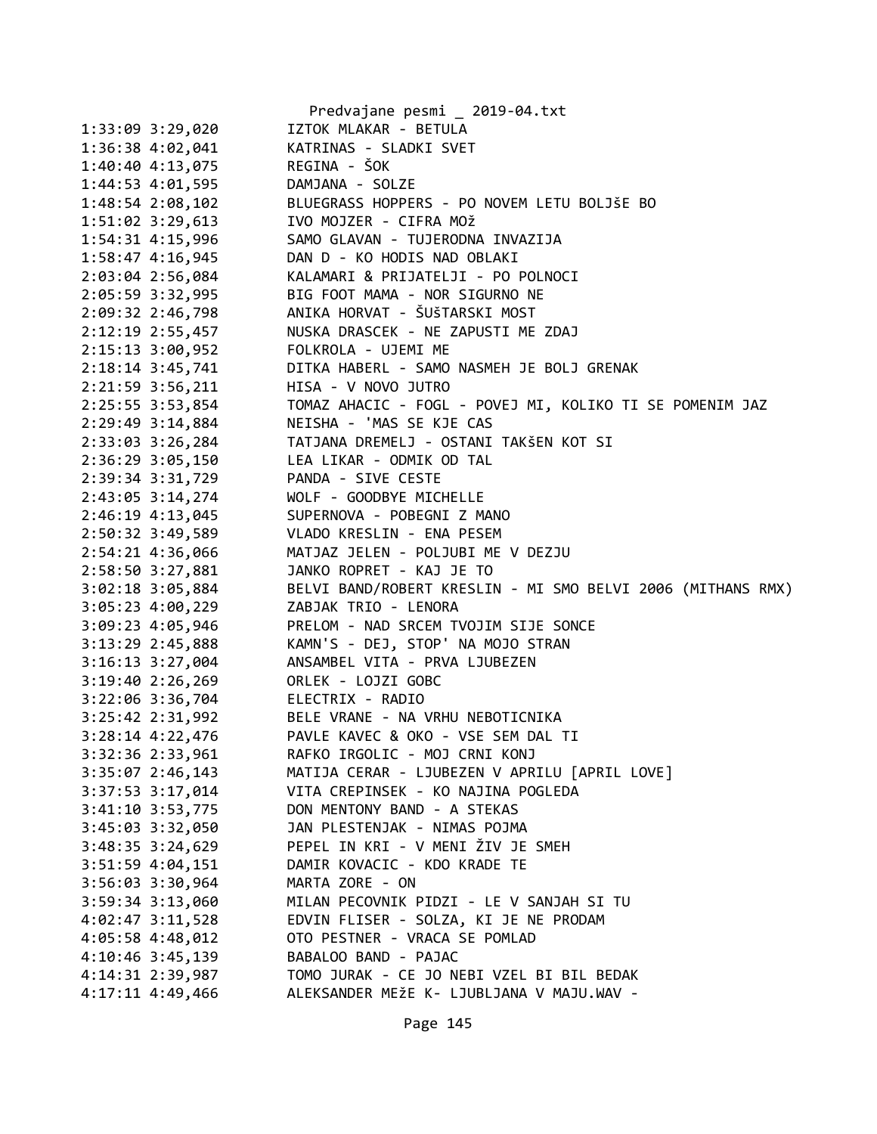|                      | Predvajane pesmi _ 2019-04.txt                              |
|----------------------|-------------------------------------------------------------|
| 1:33:09 3:29,020     | IZTOK MLAKAR - BETULA                                       |
| 1:36:38 4:02,041     | KATRINAS - SLADKI SVET                                      |
| 1:40:40 4:13,075     | REGINA - ŠOK                                                |
| 1:44:53 4:01,595     | DAMJANA - SOLZE                                             |
| 1:48:54 2:08,102     | BLUEGRASS HOPPERS - PO NOVEM LETU BOLJŠE BO                 |
| $1:51:02$ $3:29,613$ | IVO MOJZER - CIFRA MOŽ                                      |
| $1:54:31$ $4:15,996$ | SAMO GLAVAN - TUJERODNA INVAZIJA                            |
| $1:58:47$ $4:16,945$ | DAN D - KO HODIS NAD OBLAKI                                 |
| 2:03:04 2:56,084     | KALAMARI & PRIJATELJI - PO POLNOCI                          |
| 2:05:59 3:32,995     | BIG FOOT MAMA - NOR SIGURNO NE                              |
| 2:09:32 2:46,798     | ANIKA HORVAT - ŠUŠTARSKI MOST                               |
| 2:12:19 2:55,457     | NUSKA DRASCEK - NE ZAPUSTI ME ZDAJ                          |
| 2:15:13 3:00,952     | FOLKROLA - UJEMI ME                                         |
| $2:18:14$ 3:45,741   | DITKA HABERL - SAMO NASMEH JE BOLJ GRENAK                   |
| 2:21:59 3:56,211     | HISA - V NOVO JUTRO                                         |
| 2:25:55 3:53,854     | TOMAZ AHACIC - FOGL - POVEJ MI, KOLIKO TI SE POMENIM JAZ    |
| 2:29:49 3:14,884     | NEISHA - 'MAS SE KJE CAS                                    |
| 2:33:03 3:26,284     | TATJANA DREMELJ - OSTANI TAKŠEN KOT SI                      |
| 2:36:29 3:05,150     | LEA LIKAR - ODMIK OD TAL                                    |
| 2:39:34 3:31,729     | PANDA - SIVE CESTE                                          |
| 2:43:05 3:14,274     | WOLF - GOODBYE MICHELLE                                     |
| $2:46:19$ $4:13,045$ | SUPERNOVA - POBEGNI Z MANO                                  |
| 2:50:32 3:49,589     | VLADO KRESLIN - ENA PESEM                                   |
| 2:54:21 4:36,066     | MATJAZ JELEN - POLJUBI ME V DEZJU                           |
| 2:58:50 3:27,881     | JANKO ROPRET - KAJ JE TO                                    |
| 3:02:18 3:05,884     | BELVI BAND/ROBERT KRESLIN - MI SMO BELVI 2006 (MITHANS RMX) |
| $3:05:23$ 4:00,229   | ZABJAK TRIO - LENORA                                        |
| 3:09:23 4:05,946     | PRELOM - NAD SRCEM TVOJIM SIJE SONCE                        |
| 3:13:29 2:45,888     | KAMN'S - DEJ, STOP' NA MOJO STRAN                           |
| $3:16:13$ $3:27,004$ | ANSAMBEL VITA - PRVA LJUBEZEN                               |
| $3:19:40$ 2:26,269   | ORLEK - LOJZI GOBC                                          |
| 3:22:06 3:36,704     | ELECTRIX - RADIO                                            |
| 3:25:42 2:31,992     | BELE VRANE - NA VRHU NEBOTICNIKA                            |
| 3:28:14 4:22,476     | PAVLE KAVEC & OKO - VSE SEM DAL TI                          |
| 3:32:36 2:33,961     | RAFKO IRGOLIC - MOJ CRNI KONJ                               |
| 3:35:07 2:46,143     | MATIJA CERAR - LJUBEZEN V APRILU [APRIL LOVE]               |
| 3:37:53 3:17,014     | VITA CREPINSEK - KO NAJINA POGLEDA                          |
| 3:41:10 3:53,775     | DON MENTONY BAND - A STEKAS                                 |
| 3:45:03 3:32,050     | JAN PLESTENJAK - NIMAS POJMA                                |
| $3:48:35$ $3:24,629$ | PEPEL IN KRI - V MENI ŽIV JE SMEH                           |
| $3:51:59$ 4:04,151   | DAMIR KOVACIC - KDO KRADE TE                                |
| 3:56:03 3:30,964     | MARTA ZORE - ON                                             |
| 3:59:34 3:13,060     | MILAN PECOVNIK PIDZI - LE V SANJAH SI TU                    |
| 4:02:47 3:11,528     | EDVIN FLISER - SOLZA, KI JE NE PRODAM                       |
| 4:05:58 4:48,012     | OTO PESTNER - VRACA SE POMLAD                               |
| 4:10:46 3:45,139     | BABALOO BAND - PAJAC                                        |
| 4:14:31 2:39,987     | TOMO JURAK - CE JO NEBI VZEL BI BIL BEDAK                   |
| 4:17:11 4:49,466     | ALEKSANDER MEŽE K- LJUBLJANA V MAJU.WAV -                   |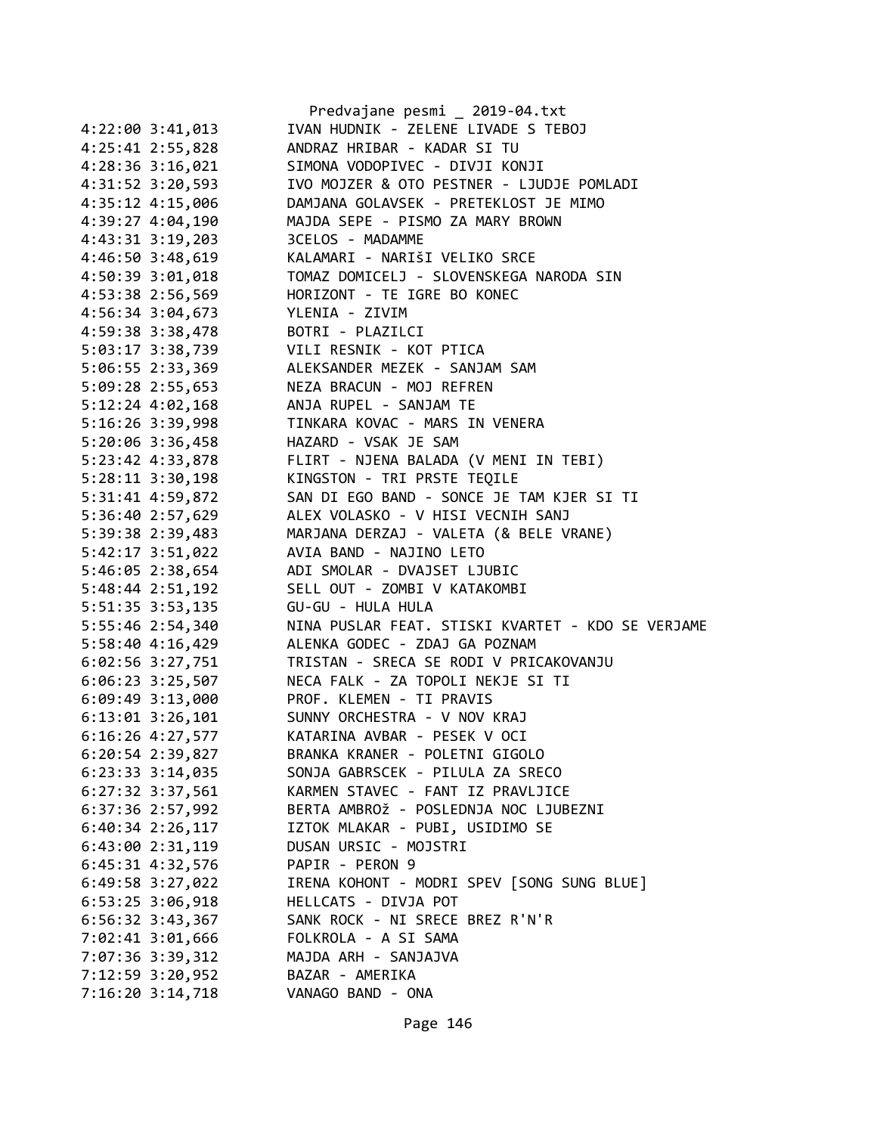|                      | Predvajane pesmi _ 2019-04.txt                    |
|----------------------|---------------------------------------------------|
| $4:22:00$ 3:41,013   | IVAN HUDNIK - ZELENE LIVADE S TEBOJ               |
| 4:25:41 2:55,828     | ANDRAZ HRIBAR - KADAR SI TU                       |
| 4:28:36 3:16,021     | SIMONA VODOPIVEC - DIVJI KONJI                    |
| 4:31:52 3:20,593     | IVO MOJZER & OTO PESTNER - LJUDJE POMLADI         |
| 4:35:12 4:15,006     | DAMJANA GOLAVSEK - PRETEKLOST JE MIMO             |
| 4:39:27 4:04,190     | MAJDA SEPE - PISMO ZA MARY BROWN                  |
| 4:43:31 3:19,203     | 3CELOS - MADAMME                                  |
| 4:46:50 3:48,619     | KALAMARI - NARIŠI VELIKO SRCE                     |
| 4:50:39 3:01,018     | TOMAZ DOMICELJ - SLOVENSKEGA NARODA SIN           |
| 4:53:38 2:56,569     | HORIZONT - TE IGRE BO KONEC                       |
| 4:56:34 3:04,673     | YLENIA - ZIVIM                                    |
| 4:59:38 3:38,478     | BOTRI - PLAZILCI                                  |
| 5:03:17 3:38,739     | VILI RESNIK - KOT PTICA                           |
| 5:06:55 2:33,369     | ALEKSANDER MEZEK - SANJAM SAM                     |
| 5:09:28 2:55,653     | NEZA BRACUN - MOJ REFREN                          |
| $5:12:24$ 4:02,168   | ANJA RUPEL - SANJAM TE                            |
| 5:16:26 3:39,998     | TINKARA KOVAC - MARS IN VENERA                    |
|                      | HAZARD - VSAK JE SAM                              |
| 5:20:06 3:36,458     |                                                   |
| 5:23:42 4:33,878     | FLIRT - NJENA BALADA (V MENI IN TEBI)             |
| $5:28:11$ $3:30,198$ | KINGSTON - TRI PRSTE TEQILE                       |
| 5:31:41 4:59,872     | SAN DI EGO BAND - SONCE JE TAM KJER SI TI         |
| 5:36:40 2:57,629     | ALEX VOLASKO - V HISI VECNIH SANJ                 |
| 5:39:38 2:39,483     | MARJANA DERZAJ - VALETA (& BELE VRANE)            |
| 5:42:17 3:51,022     | AVIA BAND - NAJINO LETO                           |
| 5:46:05 2:38,654     | ADI SMOLAR - DVAJSET LJUBIC                       |
| 5:48:44 2:51,192     | SELL OUT - ZOMBI V KATAKOMBI                      |
| 5:51:35 3:53,135     | GU-GU - HULA HULA                                 |
| 5:55:46 2:54,340     | NINA PUSLAR FEAT. STISKI KVARTET - KDO SE VERJAME |
| 5:58:40 4:16,429     | ALENKA GODEC - ZDAJ GA POZNAM                     |
| 6:02:56 3:27,751     | TRISTAN - SRECA SE RODI V PRICAKOVANJU            |
| 6:06:23 3:25,507     | NECA FALK - ZA TOPOLI NEKJE SI TI                 |
| 6:09:49 3:13,000     | PROF. KLEMEN - TI PRAVIS                          |
| $6:13:01$ $3:26,101$ | SUNNY ORCHESTRA - V NOV KRAJ                      |
| 6:16:26 4:27,577     | KATARINA AVBAR - PESEK V OCI                      |
| 6:20:54 2:39,827     | BRANKA KRANER - POLETNI GIGOLO                    |
| $6:23:33$ $3:14,035$ | SONJA GABRSCEK - PILULA ZA SRECO                  |
| $6:27:32$ 3:37,561   | KARMEN STAVEC - FANT IZ PRAVLJICE                 |
| 6:37:36 2:57,992     | BERTA AMBROŽ - POSLEDNJA NOC LJUBEZNI             |
| $6:40:34$ 2:26,117   | IZTOK MLAKAR - PUBI, USIDIMO SE                   |
| $6:43:00$ $2:31,119$ | DUSAN URSIC - MOJSTRI                             |
| 6:45:31 4:32,576     | PAPIR - PERON 9                                   |
| $6:49:58$ 3:27,022   | IRENA KOHONT - MODRI SPEV [SONG SUNG BLUE]        |
| $6:53:25$ 3:06,918   | HELLCATS - DIVJA POT                              |
| $6:56:32$ 3:43,367   | SANK ROCK - NI SRECE BREZ R'N'R                   |
| 7:02:41 3:01,666     | FOLKROLA - A SI SAMA                              |
|                      | MAJDA ARH - SANJAJVA                              |
| 7:07:36 3:39,312     |                                                   |
| 7:12:59 3:20,952     | BAZAR - AMERIKA                                   |
| 7:16:20 3:14,718     | VANAGO BAND - ONA                                 |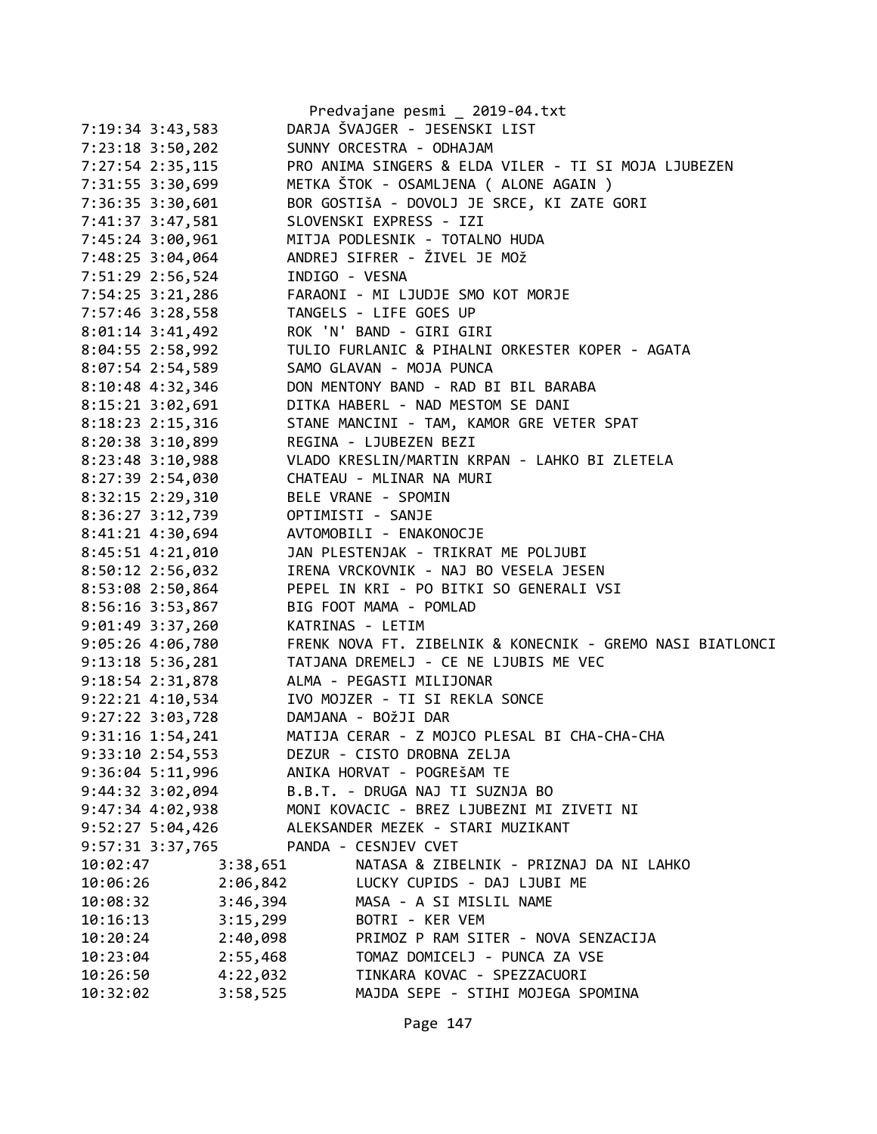|                      | Predvajane pesmi _ 2019-04.txt                            |
|----------------------|-----------------------------------------------------------|
| 7:19:34 3:43,583     | DARJA ŠVAJGER - JESENSKI LIST                             |
| 7:23:18 3:50,202     | SUNNY ORCESTRA - ODHAJAM                                  |
| 7:27:54 2:35,115     | PRO ANIMA SINGERS & ELDA VILER - TI SI MOJA LJUBEZEN      |
| 7:31:55 3:30,699     | METKA ŠTOK - OSAMLJENA ( ALONE AGAIN )                    |
| 7:36:35 3:30,601     | BOR GOSTIŠA - DOVOLJ JE SRCE, KI ZATE GORI                |
| 7:41:37 3:47,581     | SLOVENSKI EXPRESS - IZI                                   |
| 7:45:24 3:00,961     | MITJA PODLESNIK - TOTALNO HUDA                            |
| 7:48:25 3:04,064     | ANDREJ SIFRER - ŽIVEL JE MOŽ                              |
| 7:51:29 2:56,524     | INDIGO - VESNA                                            |
| 7:54:25 3:21,286     | FARAONI - MI LJUDJE SMO KOT MORJE                         |
| 7:57:46 3:28,558     | TANGELS - LIFE GOES UP                                    |
| $8:01:14$ 3:41,492   | ROK 'N' BAND - GIRI GIRI                                  |
| 8:04:55 2:58,992     | TULIO FURLANIC & PIHALNI ORKESTER KOPER - AGATA           |
| 8:07:54 2:54,589     | SAMO GLAVAN - MOJA PUNCA                                  |
| 8:10:48 4:32,346     | DON MENTONY BAND - RAD BI BIL BARABA                      |
| 8:15:21 3:02,691     | DITKA HABERL - NAD MESTOM SE DANI                         |
| 8:18:23 2:15,316     | STANE MANCINI - TAM, KAMOR GRE VETER SPAT                 |
| 8:20:38 3:10,899     | REGINA - LJUBEZEN BEZI                                    |
| 8:23:48 3:10,988     | VLADO KRESLIN/MARTIN KRPAN - LAHKO BI ZLETELA             |
| 8:27:39 2:54,030     | CHATEAU - MLINAR NA MURI                                  |
| 8:32:15 2:29,310     | BELE VRANE - SPOMIN                                       |
| 8:36:27 3:12,739     | OPTIMISTI - SANJE                                         |
| 8:41:21 4:30,694     | AVTOMOBILI - ENAKONOCJE                                   |
| 8:45:51 4:21,010     | JAN PLESTENJAK - TRIKRAT ME POLJUBI                       |
| 8:50:12 2:56,032     | IRENA VRCKOVNIK - NAJ BO VESELA JESEN                     |
| 8:53:08 2:50,864     | PEPEL IN KRI - PO BITKI SO GENERALI VSI                   |
| 8:56:16 3:53,867     | BIG FOOT MAMA - POMLAD                                    |
| 9:01:49 3:37,260     | KATRINAS - LETIM                                          |
| 9:05:26 4:06,780     | FRENK NOVA FT. ZIBELNIK & KONECNIK - GREMO NASI BIATLONCI |
| 9:13:18 5:36,281     | TATJANA DREMELJ - CE NE LJUBIS ME VEC                     |
| $9:18:54$ $2:31,878$ | ALMA - PEGASTI MILIJONAR                                  |
| $9:22:21$ $4:10,534$ | IVO MOJZER - TI SI REKLA SONCE                            |
| $9:27:22$ $3:03,728$ | DAMJANA - BOŽJI DAR                                       |
| 9:31:16 1:54,241     | MATIJA CERAR - Z MOJCO PLESAL BI CHA-CHA-CHA              |
| 9:33:10 2:54,553     | DEZUR - CISTO DROBNA ZELJA                                |
| $9:36:04$ 5:11,996   | ANIKA HORVAT - POGREŠAM TE                                |
| $9:44:32$ $3:02,094$ | B.B.T. - DRUGA NAJ TI SUZNJA BO                           |
| 9:47:34 4:02,938     | MONI KOVACIC - BREZ LJUBEZNI MI ZIVETI NI                 |
| 9:52:27 5:04,426     | ALEKSANDER MEZEK - STARI MUZIKANT                         |
| 9:57:31 3:37,765     | PANDA - CESNJEV CVET                                      |
| 10:02:47<br>3:38,651 | NATASA & ZIBELNIK - PRIZNAJ DA NI LAHKO                   |
| 10:06:26<br>2:06,842 | LUCKY CUPIDS - DAJ LJUBI ME                               |
| 10:08:32<br>3:46,394 | MASA - A SI MISLIL NAME                                   |
| 3:15,299<br>10:16:13 | BOTRI - KER VEM                                           |
| 2:40,098<br>10:20:24 | PRIMOZ P RAM SITER - NOVA SENZACIJA                       |
| 10:23:04<br>2:55,468 | TOMAZ DOMICELJ - PUNCA ZA VSE                             |
| 4:22,032<br>10:26:50 | TINKARA KOVAC - SPEZZACUORI                               |
| 10:32:02<br>3:58,525 | MAJDA SEPE - STIHI MOJEGA SPOMINA                         |
|                      |                                                           |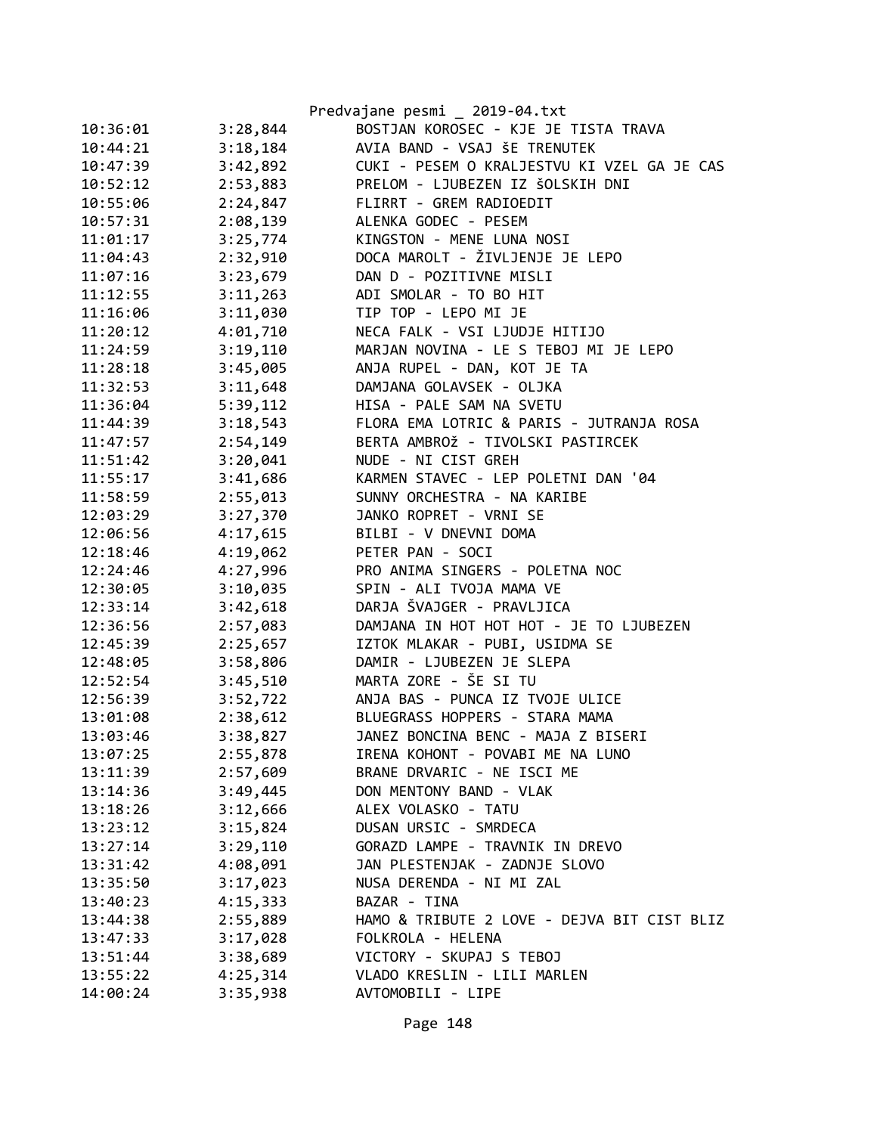|          |          | Predvajane pesmi _ 2019-04.txt              |
|----------|----------|---------------------------------------------|
| 10:36:01 | 3:28,844 | BOSTJAN KOROSEC - KJE JE TISTA TRAVA        |
| 10:44:21 | 3:18,184 | AVIA BAND - VSAJ ŠE TRENUTEK                |
| 10:47:39 | 3:42,892 | CUKI - PESEM O KRALJESTVU KI VZEL GA JE CAS |
| 10:52:12 | 2:53,883 | PRELOM - LJUBEZEN IZ ŠOLSKIH DNI            |
| 10:55:06 | 2:24,847 | FLIRRT - GREM RADIOEDIT                     |
| 10:57:31 | 2:08,139 | ALENKA GODEC - PESEM                        |
| 11:01:17 | 3:25,774 | KINGSTON - MENE LUNA NOSI                   |
| 11:04:43 | 2:32,910 | DOCA MAROLT - ŽIVLJENJE JE LEPO             |
| 11:07:16 | 3:23,679 | DAN D - POZITIVNE MISLI                     |
| 11:12:55 | 3:11,263 | ADI SMOLAR - TO BO HIT                      |
| 11:16:06 | 3:11,030 | TIP TOP - LEPO MI JE                        |
| 11:20:12 | 4:01,710 | NECA FALK - VSI LJUDJE HITIJO               |
| 11:24:59 | 3:19,110 | MARJAN NOVINA - LE S TEBOJ MI JE LEPO       |
| 11:28:18 | 3:45,005 | ANJA RUPEL - DAN, KOT JE TA                 |
| 11:32:53 | 3:11,648 | DAMJANA GOLAVSEK - OLJKA                    |
| 11:36:04 | 5:39,112 | HISA - PALE SAM NA SVETU                    |
| 11:44:39 | 3:18,543 | FLORA EMA LOTRIC & PARIS - JUTRANJA ROSA    |
| 11:47:57 | 2:54,149 | BERTA AMBROŽ - TIVOLSKI PASTIRCEK           |
| 11:51:42 | 3:20,041 | NUDE - NI CIST GREH                         |
| 11:55:17 | 3:41,686 | KARMEN STAVEC - LEP POLETNI DAN '04         |
| 11:58:59 | 2:55,013 | SUNNY ORCHESTRA - NA KARIBE                 |
| 12:03:29 | 3:27,370 | JANKO ROPRET - VRNI SE                      |
| 12:06:56 | 4:17,615 | BILBI - V DNEVNI DOMA                       |
| 12:18:46 | 4:19,062 | PETER PAN - SOCI                            |
| 12:24:46 | 4:27,996 | PRO ANIMA SINGERS - POLETNA NOC             |
| 12:30:05 | 3:10,035 | SPIN - ALI TVOJA MAMA VE                    |
| 12:33:14 | 3:42,618 | DARJA ŠVAJGER - PRAVLJICA                   |
| 12:36:56 | 2:57,083 | DAMJANA IN HOT HOT HOT - JE TO LJUBEZEN     |
| 12:45:39 | 2:25,657 | IZTOK MLAKAR - PUBI, USIDMA SE              |
| 12:48:05 | 3:58,806 | DAMIR - LJUBEZEN JE SLEPA                   |
| 12:52:54 | 3:45,510 | MARTA ZORE - ŠE SI TU                       |
| 12:56:39 | 3:52,722 | ANJA BAS - PUNCA IZ TVOJE ULICE             |
| 13:01:08 | 2:38,612 | BLUEGRASS HOPPERS - STARA MAMA              |
| 13:03:46 | 3:38,827 | JANEZ BONCINA BENC - MAJA Z BISERI          |
| 13:07:25 | 2:55,878 | IRENA KOHONT - POVABI ME NA LUNO            |
| 13:11:39 | 2:57,609 | BRANE DRVARIC - NE ISCI ME                  |
| 13:14:36 | 3:49,445 | DON MENTONY BAND - VLAK                     |
| 13:18:26 | 3:12,666 | ALEX VOLASKO - TATU                         |
| 13:23:12 | 3:15,824 | DUSAN URSIC - SMRDECA                       |
| 13:27:14 | 3:29,110 | GORAZD LAMPE - TRAVNIK IN DREVO             |
| 13:31:42 | 4:08,091 | JAN PLESTENJAK - ZADNJE SLOVO               |
| 13:35:50 | 3:17,023 | NUSA DERENDA - NI MI ZAL                    |
| 13:40:23 | 4:15,333 | BAZAR - TINA                                |
| 13:44:38 | 2:55,889 | HAMO & TRIBUTE 2 LOVE - DEJVA BIT CIST BLIZ |
| 13:47:33 | 3:17,028 | FOLKROLA - HELENA                           |
| 13:51:44 | 3:38,689 | VICTORY - SKUPAJ S TEBOJ                    |
| 13:55:22 | 4:25,314 | VLADO KRESLIN - LILI MARLEN                 |
| 14:00:24 | 3:35,938 | AVTOMOBILI - LIPE                           |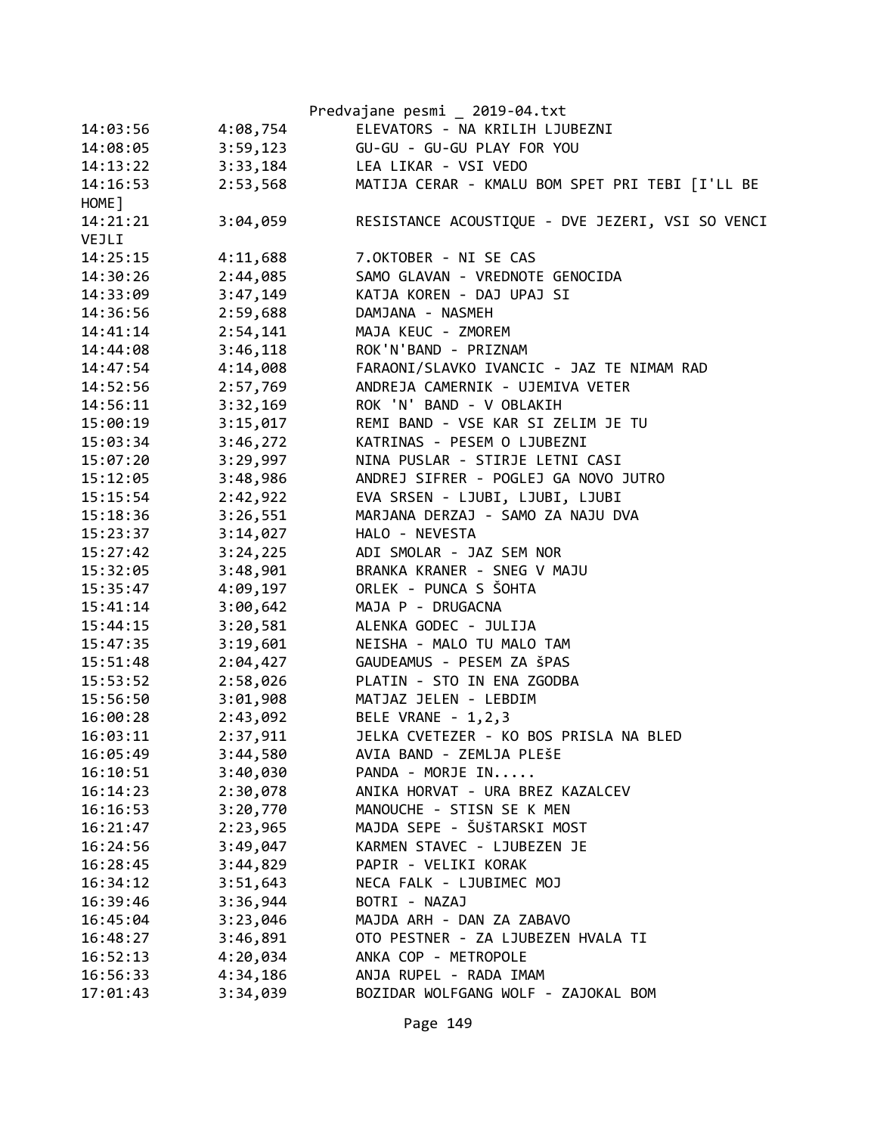|                      |          | Predvajane pesmi _ 2019-04.txt                           |
|----------------------|----------|----------------------------------------------------------|
| 14:03:56             | 4:08,754 | ELEVATORS - NA KRILIH LJUBEZNI                           |
| 14:08:05             | 3:59,123 | GU-GU - GU-GU PLAY FOR YOU                               |
| 14:13:22             | 3:33,184 | LEA LIKAR - VSI VEDO                                     |
| 14:16:53             | 2:53,568 | MATIJA CERAR - KMALU BOM SPET PRI TEBI [I'LL BE          |
| HOME ]               |          |                                                          |
| 14:21:21             | 3:04,059 | RESISTANCE ACOUSTIQUE - DVE JEZERI, VSI SO VENCI         |
| VEJLI                |          |                                                          |
| 14:25:15             | 4:11,688 | 7.OKTOBER - NI SE CAS                                    |
| 14:30:26             | 2:44,085 | SAMO GLAVAN - VREDNOTE GENOCIDA                          |
| 14:33:09             | 3:47,149 | KATJA KOREN - DAJ UPAJ SI                                |
| 14:36:56             | 2:59,688 | DAMJANA - NASMEH                                         |
| 14:41:14             | 2:54,141 | MAJA KEUC - ZMOREM                                       |
| 14:44:08             | 3:46,118 | ROK'N'BAND - PRIZNAM                                     |
| 14:47:54             | 4:14,008 | FARAONI/SLAVKO IVANCIC - JAZ TE NIMAM RAD                |
| 14:52:56             | 2:57,769 | ANDREJA CAMERNIK - UJEMIVA VETER                         |
| 14:56:11             | 3:32,169 | ROK 'N' BAND - V OBLAKIH                                 |
| 15:00:19             | 3:15,017 | REMI BAND - VSE KAR SI ZELIM JE TU                       |
| 15:03:34             | 3:46,272 | KATRINAS - PESEM O LJUBEZNI                              |
| 15:07:20             | 3:29,997 | NINA PUSLAR - STIRJE LETNI CASI                          |
| 15:12:05             | 3:48,986 | ANDREJ SIFRER - POGLEJ GA NOVO JUTRO                     |
| 15:15:54             | 2:42,922 | EVA SRSEN - LJUBI, LJUBI, LJUBI                          |
| 15:18:36             | 3:26,551 | MARJANA DERZAJ - SAMO ZA NAJU DVA                        |
| 15:23:37             | 3:14,027 | HALO - NEVESTA                                           |
| 15:27:42             | 3:24,225 | ADI SMOLAR - JAZ SEM NOR                                 |
| 15:32:05             | 3:48,901 | BRANKA KRANER - SNEG V MAJU                              |
| 15:35:47             | 4:09,197 | ORLEK - PUNCA S ŠOHTA                                    |
| 15:41:14             | 3:00,642 | MAJA P - DRUGACNA                                        |
| 15:44:15             | 3:20,581 | ALENKA GODEC - JULIJA                                    |
| 15:47:35             | 3:19,601 | NEISHA - MALO TU MALO TAM                                |
| 15:51:48             | 2:04,427 | GAUDEAMUS - PESEM ZA ŠPAS                                |
| 15:53:52             | 2:58,026 | PLATIN - STO IN ENA ZGODBA                               |
| 15:56:50             | 3:01,908 | MATJAZ JELEN - LEBDIM                                    |
| 16:00:28             | 2:43,092 | BELE VRANE - 1,2,3                                       |
| 16:03:11             | 2:37,911 | JELKA CVETEZER - KO BOS PRISLA NA BLED                   |
| 16:05:49             | 3:44,580 | AVIA BAND - ZEMLJA PLEŠE                                 |
| 16:10:51             | 3:40,030 | PANDA - MORJE IN                                         |
|                      |          | ANIKA HORVAT - URA BREZ KAZALCEV                         |
| 16:14:23<br>16:16:53 | 2:30,078 |                                                          |
|                      | 3:20,770 | MANOUCHE - STISN SE K MEN<br>MAJDA SEPE - ŠUŠTARSKI MOST |
| 16:21:47             | 2:23,965 |                                                          |
| 16:24:56             | 3:49,047 | KARMEN STAVEC - LJUBEZEN JE                              |
| 16:28:45             | 3:44,829 | PAPIR - VELIKI KORAK                                     |
| 16:34:12             | 3:51,643 | NECA FALK - LJUBIMEC MOJ                                 |
| 16:39:46             | 3:36,944 | BOTRI - NAZAJ                                            |
| 16:45:04             | 3:23,046 | MAJDA ARH - DAN ZA ZABAVO                                |
| 16:48:27             | 3:46,891 | OTO PESTNER - ZA LJUBEZEN HVALA TI                       |
| 16:52:13             | 4:20,034 | ANKA COP - METROPOLE                                     |
| 16:56:33             | 4:34,186 | ANJA RUPEL - RADA IMAM                                   |
| 17:01:43             | 3:34,039 | BOZIDAR WOLFGANG WOLF - ZAJOKAL BOM                      |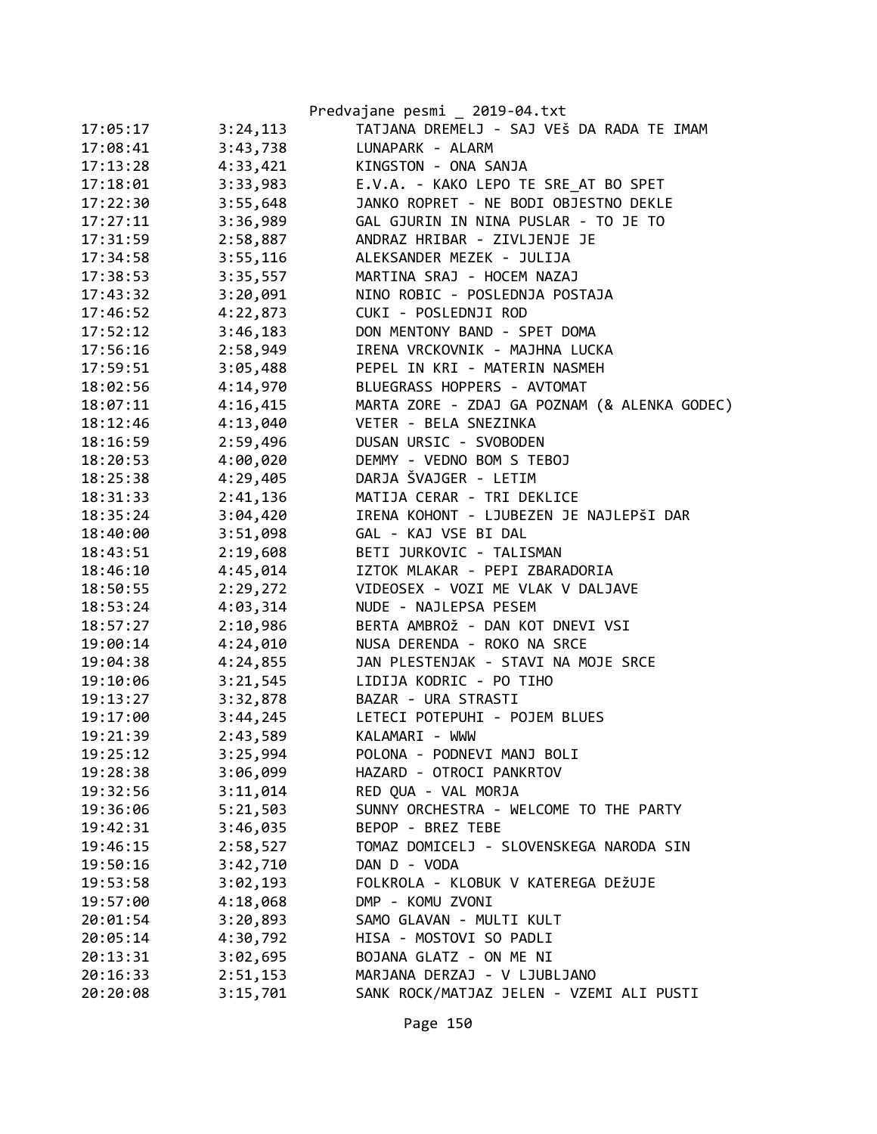|          |          | Predvajane pesmi _ 2019-04.txt               |
|----------|----------|----------------------------------------------|
| 17:05:17 | 3:24,113 | TATJANA DREMELJ - SAJ VEŠ DA RADA TE IMAM    |
| 17:08:41 | 3:43,738 | LUNAPARK - ALARM                             |
| 17:13:28 | 4:33,421 | KINGSTON - ONA SANJA                         |
| 17:18:01 | 3:33,983 | E.V.A. - KAKO LEPO TE SRE AT BO SPET         |
| 17:22:30 | 3:55,648 | JANKO ROPRET - NE BODI OBJESTNO DEKLE        |
| 17:27:11 | 3:36,989 | GAL GJURIN IN NINA PUSLAR - TO JE TO         |
| 17:31:59 | 2:58,887 | ANDRAZ HRIBAR - ZIVLJENJE JE                 |
| 17:34:58 | 3:55,116 | ALEKSANDER MEZEK - JULIJA                    |
| 17:38:53 | 3:35,557 | MARTINA SRAJ - HOCEM NAZAJ                   |
| 17:43:32 | 3:20,091 | NINO ROBIC - POSLEDNJA POSTAJA               |
| 17:46:52 | 4:22,873 | CUKI - POSLEDNJI ROD                         |
| 17:52:12 | 3:46,183 | DON MENTONY BAND - SPET DOMA                 |
| 17:56:16 | 2:58,949 | IRENA VRCKOVNIK - MAJHNA LUCKA               |
| 17:59:51 | 3:05,488 | PEPEL IN KRI - MATERIN NASMEH                |
| 18:02:56 | 4:14,970 | BLUEGRASS HOPPERS - AVTOMAT                  |
| 18:07:11 | 4:16,415 | MARTA ZORE - ZDAJ GA POZNAM (& ALENKA GODEC) |
| 18:12:46 | 4:13,040 | VETER - BELA SNEZINKA                        |
| 18:16:59 | 2:59,496 | DUSAN URSIC - SVOBODEN                       |
| 18:20:53 | 4:00,020 | DEMMY - VEDNO BOM S TEBOJ                    |
| 18:25:38 | 4:29,405 | DARJA ŠVAJGER - LETIM                        |
| 18:31:33 | 2:41,136 | MATIJA CERAR - TRI DEKLICE                   |
| 18:35:24 | 3:04,420 | IRENA KOHONT - LJUBEZEN JE NAJLEPŠI DAR      |
| 18:40:00 | 3:51,098 | GAL - KAJ VSE BI DAL                         |
| 18:43:51 | 2:19,608 | BETI JURKOVIC - TALISMAN                     |
| 18:46:10 | 4:45,014 | IZTOK MLAKAR - PEPI ZBARADORIA               |
| 18:50:55 | 2:29,272 | VIDEOSEX - VOZI ME VLAK V DALJAVE            |
| 18:53:24 | 4:03,314 | NUDE - NAJLEPSA PESEM                        |
| 18:57:27 | 2:10,986 | BERTA AMBROŽ - DAN KOT DNEVI VSI             |
| 19:00:14 | 4:24,010 | NUSA DERENDA - ROKO NA SRCE                  |
| 19:04:38 | 4:24,855 | JAN PLESTENJAK - STAVI NA MOJE SRCE          |
| 19:10:06 | 3:21,545 | LIDIJA KODRIC - PO TIHO                      |
| 19:13:27 | 3:32,878 | BAZAR - URA STRASTI                          |
| 19:17:00 | 3:44,245 | LETECI POTEPUHI - POJEM BLUES                |
| 19:21:39 | 2:43,589 | KALAMARI - WWW                               |
| 19:25:12 | 3:25,994 | POLONA - PODNEVI MANJ BOLI                   |
| 19:28:38 | 3:06,099 | HAZARD - OTROCI PANKRTOV                     |
| 19:32:56 | 3:11,014 | RED QUA - VAL MORJA                          |
| 19:36:06 | 5:21,503 | SUNNY ORCHESTRA - WELCOME TO THE PARTY       |
| 19:42:31 | 3:46,035 | BEPOP - BREZ TEBE                            |
| 19:46:15 | 2:58,527 | TOMAZ DOMICELJ - SLOVENSKEGA NARODA SIN      |
| 19:50:16 | 3:42,710 | DAN D - VODA                                 |
| 19:53:58 | 3:02,193 | FOLKROLA - KLOBUK V KATEREGA DEŽUJE          |
| 19:57:00 | 4:18,068 | DMP - KOMU ZVONI                             |
| 20:01:54 | 3:20,893 | SAMO GLAVAN - MULTI KULT                     |
| 20:05:14 | 4:30,792 | HISA - MOSTOVI SO PADLI                      |
| 20:13:31 | 3:02,695 | BOJANA GLATZ - ON ME NI                      |
| 20:16:33 | 2:51,153 | MARJANA DERZAJ - V LJUBLJANO                 |
| 20:20:08 | 3:15,701 | SANK ROCK/MATJAZ JELEN - VZEMI ALI PUSTI     |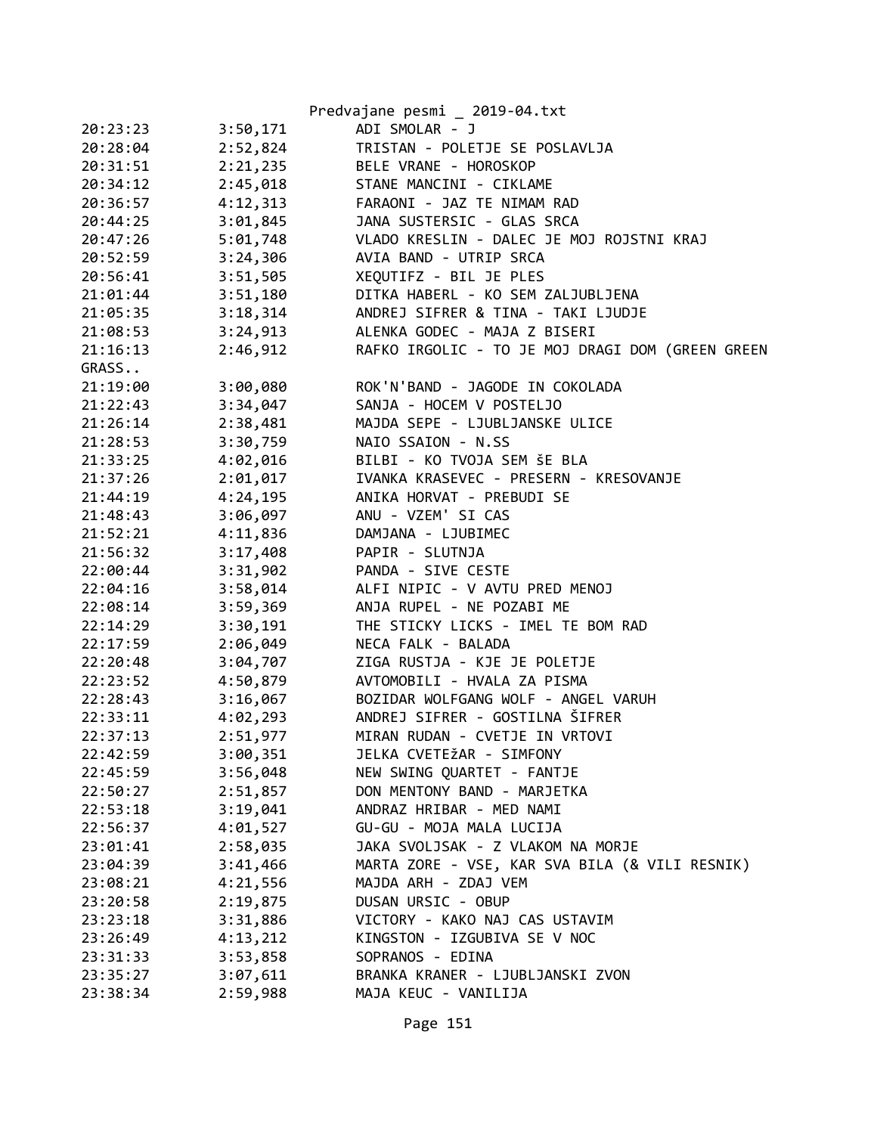|          |          | Predvajane pesmi _ 2019-04.txt                   |
|----------|----------|--------------------------------------------------|
| 20:23:23 | 3:50,171 | ADI SMOLAR - J                                   |
| 20:28:04 | 2:52,824 | TRISTAN - POLETJE SE POSLAVLJA                   |
| 20:31:51 | 2:21,235 | BELE VRANE - HOROSKOP                            |
| 20:34:12 | 2:45,018 | STANE MANCINI - CIKLAME                          |
| 20:36:57 | 4:12,313 | FARAONI - JAZ TE NIMAM RAD                       |
| 20:44:25 | 3:01,845 | JANA SUSTERSIC - GLAS SRCA                       |
| 20:47:26 | 5:01,748 | VLADO KRESLIN - DALEC JE MOJ ROJSTNI KRAJ        |
| 20:52:59 | 3:24,306 | AVIA BAND - UTRIP SRCA                           |
| 20:56:41 | 3:51,505 | XEQUTIFZ - BIL JE PLES                           |
| 21:01:44 | 3:51,180 | DITKA HABERL - KO SEM ZALJUBLJENA                |
| 21:05:35 | 3:18,314 | ANDREJ SIFRER & TINA - TAKI LJUDJE               |
| 21:08:53 | 3:24,913 | ALENKA GODEC - MAJA Z BISERI                     |
| 21:16:13 | 2:46,912 | RAFKO IRGOLIC - TO JE MOJ DRAGI DOM (GREEN GREEN |
| GRASS    |          |                                                  |
| 21:19:00 | 3:00,080 | ROK'N'BAND - JAGODE IN COKOLADA                  |
| 21:22:43 | 3:34,047 | SANJA - HOCEM V POSTELJO                         |
| 21:26:14 | 2:38,481 | MAJDA SEPE - LJUBLJANSKE ULICE                   |
| 21:28:53 | 3:30,759 | NAIO SSAION - N.SS                               |
| 21:33:25 | 4:02,016 | BILBI - KO TVOJA SEM ŠE BLA                      |
| 21:37:26 | 2:01,017 | IVANKA KRASEVEC - PRESERN - KRESOVANJE           |
| 21:44:19 | 4:24,195 | ANIKA HORVAT - PREBUDI SE                        |
| 21:48:43 | 3:06,097 | ANU - VZEM' SI CAS                               |
| 21:52:21 | 4:11,836 | DAMJANA - LJUBIMEC                               |
| 21:56:32 | 3:17,408 | PAPIR - SLUTNJA                                  |
| 22:00:44 | 3:31,902 | PANDA - SIVE CESTE                               |
| 22:04:16 | 3:58,014 | ALFI NIPIC - V AVTU PRED MENOJ                   |
| 22:08:14 | 3:59,369 | ANJA RUPEL - NE POZABI ME                        |
| 22:14:29 | 3:30,191 | THE STICKY LICKS - IMEL TE BOM RAD               |
| 22:17:59 | 2:06,049 | NECA FALK - BALADA                               |
| 22:20:48 | 3:04,707 | ZIGA RUSTJA - KJE JE POLETJE                     |
| 22:23:52 | 4:50,879 | AVTOMOBILI - HVALA ZA PISMA                      |
| 22:28:43 | 3:16,067 | BOZIDAR WOLFGANG WOLF - ANGEL VARUH              |
| 22:33:11 | 4:02,293 | ANDREJ SIFRER - GOSTILNA ŠIFRER                  |
| 22:37:13 | 2:51,977 | MIRAN RUDAN - CVETJE IN VRTOVI                   |
| 22:42:59 | 3:00,351 | JELKA CVETEŽAR - SIMFONY                         |
| 22:45:59 | 3:56,048 | NEW SWING QUARTET - FANTJE                       |
| 22:50:27 | 2:51,857 | DON MENTONY BAND - MARJETKA                      |
| 22:53:18 | 3:19,041 | ANDRAZ HRIBAR - MED NAMI                         |
| 22:56:37 | 4:01,527 | GU-GU - MOJA MALA LUCIJA                         |
| 23:01:41 | 2:58,035 | JAKA SVOLJSAK - Z VLAKOM NA MORJE                |
| 23:04:39 | 3:41,466 | MARTA ZORE - VSE, KAR SVA BILA (& VILI RESNIK)   |
| 23:08:21 | 4:21,556 | MAJDA ARH - ZDAJ VEM                             |
| 23:20:58 | 2:19,875 | DUSAN URSIC - OBUP                               |
| 23:23:18 | 3:31,886 | VICTORY - KAKO NAJ CAS USTAVIM                   |
| 23:26:49 | 4:13,212 | KINGSTON - IZGUBIVA SE V NOC                     |
| 23:31:33 | 3:53,858 | SOPRANOS - EDINA                                 |
| 23:35:27 | 3:07,611 | BRANKA KRANER - LJUBLJANSKI ZVON                 |
| 23:38:34 | 2:59,988 | MAJA KEUC - VANILIJA                             |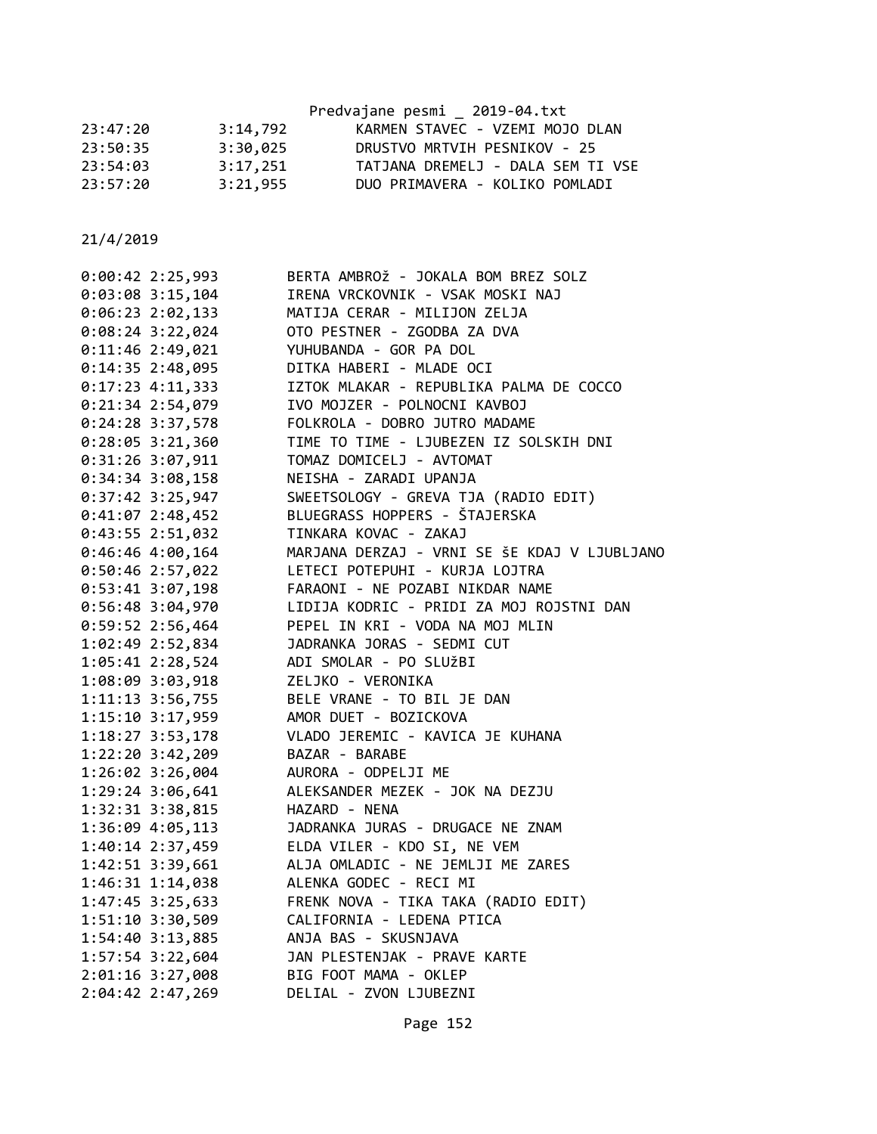|          |          | Predvajane pesmi _ 2019-04.txt    |
|----------|----------|-----------------------------------|
| 23:47:20 | 3:14,792 | KARMEN STAVEC - VZEMI MOJO DLAN   |
| 23:50:35 | 3:30,025 | DRUSTVO MRTVIH PESNIKOV - 25      |
| 23:54:03 | 3:17,251 | TATJANA DREMELJ - DALA SEM TI VSE |
| 23:57:20 | 3:21,955 | DUO PRIMAVERA - KOLIKO POMLADI    |

| $0:00:42$ 2:25,993   | BERTA AMBROŽ - JOKALA BOM BREZ SOLZ                                                        |
|----------------------|--------------------------------------------------------------------------------------------|
| $0:03:08$ 3:15,104   | IRENA VRCKOVNIK - VSAK MOSKI NAJ                                                           |
| $0:06:23$ 2:02,133   | MATIJA CERAR - MILIJON ZELJA                                                               |
| $0:08:24$ 3:22,024   | OTO PESTNER - ZGODBA ZA DVA                                                                |
| $0:11:46$ 2:49,021   | YUHUBANDA - GOR PA DOL                                                                     |
| 0:14:35 2:48,095     | DITKA HABERI - MLADE OCI                                                                   |
| $0:17:23$ 4:11,333   | IZTOK MLAKAR - REPUBLIKA PALMA DE COCCO                                                    |
| 0:21:34 2:54,079     | IVO MOJZER - POLNOCNI KAVBOJ                                                               |
| 0:24:28 3:37,578     | FOLKROLA - DOBRO JUTRO MADAME                                                              |
| $0:28:05$ 3:21,360   | TIME TO TIME - LJUBEZEN IZ SOLSKIH DNI                                                     |
| 0:31:26 3:07,911     | TOMAZ DOMICELJ - AVTOMAT                                                                   |
| $0:34:34$ 3:08,158   | NEISHA - ZARADI UPANJA                                                                     |
| $0:37:42$ 3:25,947   | SWEETSOLOGY - GREVA TJA (RADIO EDIT)                                                       |
| $0:41:07$ 2:48,452   | BLUEGRASS HOPPERS - ŠTAJERSKA                                                              |
| $0:43:55$ 2:51,032   | TINKARA KOVAC - ZAKAJ                                                                      |
| $0:46:46$ 4:00,164   | MARJANA DERZAJ - VRNI SE ŠE KDAJ V LJUBLJANO                                               |
| 0:50:46 2:57,022     |                                                                                            |
| $0:53:41$ 3:07,198   | LETECI POTEPUHI - KURJA LOJTRA<br>FARAONI - NE POZABI NIKDAR NAME                          |
| $0:56:48$ 3:04,970   | LIDIJA KODRIC - PRIDI ZA MOJ ROJSTNI DAN                                                   |
| $0:59:52$ 2:56,464   | PEPEL IN KRI - VODA NA MOJ MLIN                                                            |
| 1:02:49 2:52,834     | JADRANKA JORAS - SEDMI CUT                                                                 |
| $1:05:41$ $2:28,524$ | ADI SMOLAR - PO SLUŽBI                                                                     |
| 1:08:09 3:03,918     | ZELJKO - VERONIKA                                                                          |
| $1:11:13$ 3:56,755   | BELE VRANE - TO BIL JE DAN<br>BELE VRANE - .J<br>AMOR DUET - BOZICKOVA<br>CORPORTO - KAVIC |
| $1:15:10$ $3:17,959$ |                                                                                            |
| $1:18:27$ 3:53,178   | VLADO JEREMIC - KAVICA JE KUHANA                                                           |
| $1:22:20$ $3:42,209$ | BAZAR - BARABE                                                                             |
| $1:26:02$ 3:26,004   | AURORA - ODPELJI ME                                                                        |
| $1:29:24$ 3:06,641   | ALEKSANDER MEZEK - JOK NA DEZJU                                                            |
| 1:32:31 3:38,815     | HAZARD - NENA                                                                              |
| 1:36:09 4:05,113     | JADRANKA JURAS - DRUGACE NE ZNAM                                                           |
| 1:40:14 2:37,459     | ELDA VILER - KDO SI, NE VEM                                                                |
| 1:42:51 3:39,661     | ALJA OMLADIC - NE JEMLJI ME ZARES                                                          |
| 1:46:31 1:14,038     | ALENKA GODEC - RECI MI                                                                     |
| 1:47:45 3:25,633     | FRENK NOVA - TIKA TAKA (RADIO EDIT)                                                        |
| 1:51:10 3:30,509     | CALIFORNIA - LEDENA PTICA                                                                  |
| $1:54:40$ $3:13,885$ | ANJA BAS - SKUSNJAVA                                                                       |
| $1:57:54$ 3:22,604   | JAN PLESTENJAK - PRAVE KARTE                                                               |
| 2:01:16 3:27,008     | BIG FOOT MAMA - OKLEP                                                                      |
| 2:04:42 2:47,269     | DELIAL - ZVON LJUBEZNI                                                                     |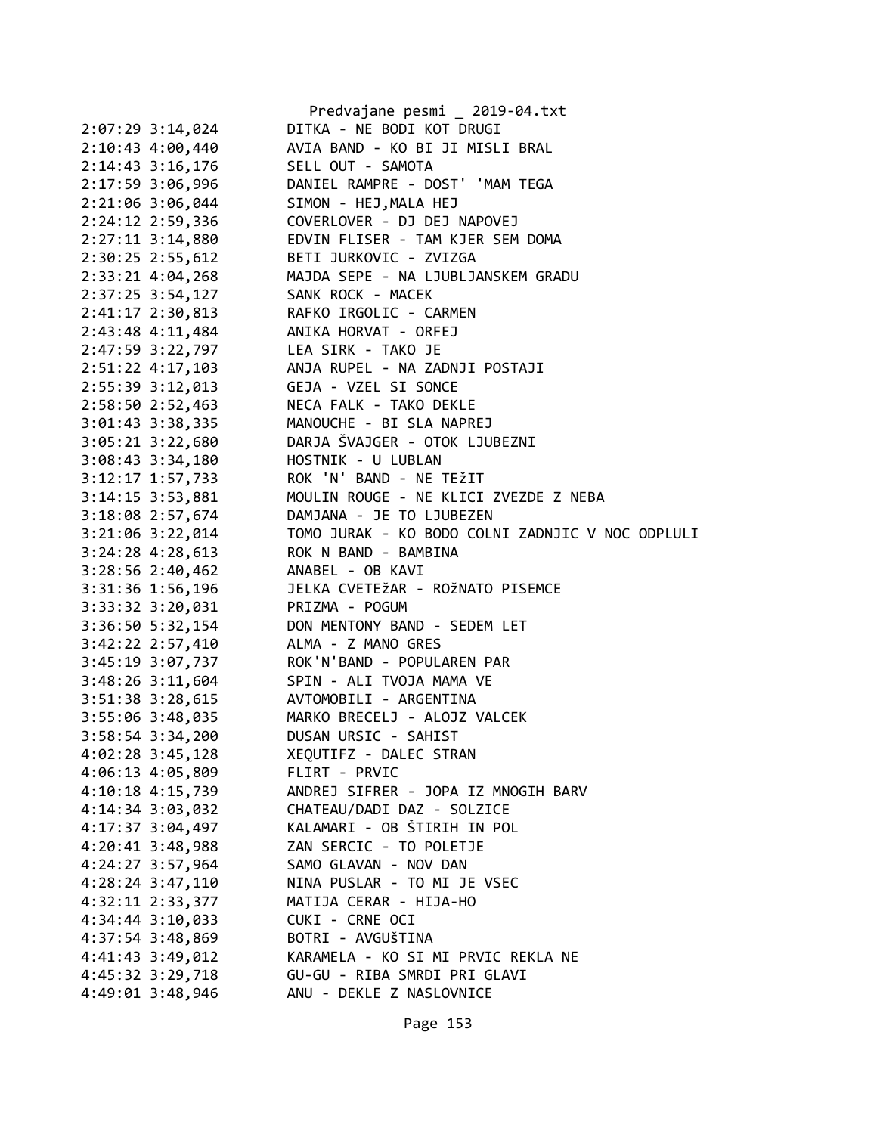|                                         | Predvajane pesmi _ 2019-04.txt                   |
|-----------------------------------------|--------------------------------------------------|
| $2:07:29$ 3:14,024                      | DITKA - NE BODI KOT DRUGI                        |
| 2:10:43 4:00,440                        | AVIA BAND - KO BI JI MISLI BRAL                  |
| 2:14:43 3:16,176                        | SELL OUT - SAMOTA                                |
| 2:17:59 3:06,996                        | DANIEL RAMPRE - DOST' 'MAM TEGA                  |
| 2:21:06 3:06,044                        | SIMON - HEJ, MALA HEJ                            |
| 2:24:12 2:59,336                        | COVERLOVER - DJ DEJ NAPOVEJ                      |
| $2:27:11$ $3:14,880$                    | EDVIN FLISER - TAM KJER SEM DOMA                 |
| $2:30:25$ $2:55,612$                    | BETI JURKOVIC - ZVIZGA                           |
| $2:33:21$ 4:04,268                      | MAJDA SEPE - NA LJUBLJANSKEM GRADU               |
| 2:37:25 3:54,127 SANK ROCK - MACEK      |                                                  |
| 2:41:17 2:30,813 RAFKO IRGOLIC - CARMEN |                                                  |
| 2:43:48 4:11,484 ANIKA HORVAT - ORFEJ   |                                                  |
| 2:47:59 3:22,797 LEA SIRK - TAKO JE     |                                                  |
| 2:51:22 4:17,103                        | ANJA RUPEL - NA ZADNJI POSTAJI                   |
| 2:55:39 3:12,013                        | GEJA - VZEL SI SONCE                             |
| $2:58:50$ $2:52,463$                    | NECA FALK - TAKO DEKLE                           |
|                                         | 3:01:43 3:38,335 MANOUCHE - BI SLA NAPREJ        |
|                                         | 3:05:21 3:22,680 DARJA ŠVAJGER - OTOK LJUBEZNI   |
| $3:08:43$ $3:34,180$                    | HOSTNIK - U LUBLAN                               |
| $3:12:17$ $1:57,733$                    | ROK 'N' BAND - NE TEŽIT                          |
| $3:14:15$ $3:53,881$                    | MOULIN ROUGE - NE KLICI ZVEZDE Z NEBA            |
| 3:18:08 2:57,674                        | DAMJANA - JE TO LJUBEZEN                         |
| $3:21:06$ $3:22,014$                    | TOMO JURAK - KO BODO COLNI ZADNJIC V NOC ODPLULI |
| $3:24:28$ 4:28,613                      | ROK N BAND - BAMBINA                             |
| 3:28:56 2:40,462 ANABEL - OB KAVI       |                                                  |
| 3:31:36 1:56,196                        | JELKA CVETEŽAR - ROŽNATO PISEMCE                 |
| 3:33:32 3:20,031                        | PRIZMA - POGUM                                   |
| $3:36:50$ 5:32,154                      | DON MENTONY BAND - SEDEM LET                     |
| 3:42:22 2:57,410                        | ALMA - Z MANO GRES                               |
|                                         | 3:45:19 3:07,737 ROK'N'BAND - POPULAREN PAR      |
| $3:48:26$ $3:11,604$                    | SPIN - ALI TVOJA MAMA VE                         |
| 3:51:38 3:28,615 AVTOMOBILI - ARGENTINA |                                                  |
|                                         | 3:55:06 3:48,035 MARKO BRECELJ - ALOJZ VALCEK    |
| 3:58:54 3:34,200                        | DUSAN URSIC - SAHIST                             |
| 4:02:28 3:45,128                        | XEQUTIFZ - DALEC STRAN                           |
| 4:06:13 4:05,809                        | FLIRT - PRVIC                                    |
| 4:10:18 4:15,739                        | ANDREJ SIFRER - JOPA IZ MNOGIH BARV              |
| 4:14:34 3:03,032                        | CHATEAU/DADI DAZ - SOLZICE                       |
| 4:17:37 3:04,497                        | KALAMARI - OB ŠTIRIH IN POL                      |
| $4:20:41$ 3:48,988                      | ZAN SERCIC - TO POLETJE                          |
| 4:24:27 3:57,964                        | SAMO GLAVAN - NOV DAN                            |
| 4:28:24 3:47,110                        | NINA PUSLAR - TO MI JE VSEC                      |
| 4:32:11 2:33,377                        | MATIJA CERAR - HIJA-HO                           |
| 4:34:44 3:10,033                        | CUKI - CRNE OCI                                  |
| 4:37:54 3:48,869                        | BOTRI - AVGUŠTINA                                |
| 4:41:43 3:49,012                        | KARAMELA - KO SI MI PRVIC REKLA NE               |
| 4:45:32 3:29,718                        | GU-GU - RIBA SMRDI PRI GLAVI                     |
| 4:49:01 3:48,946                        | ANU - DEKLE Z NASLOVNICE                         |
|                                         |                                                  |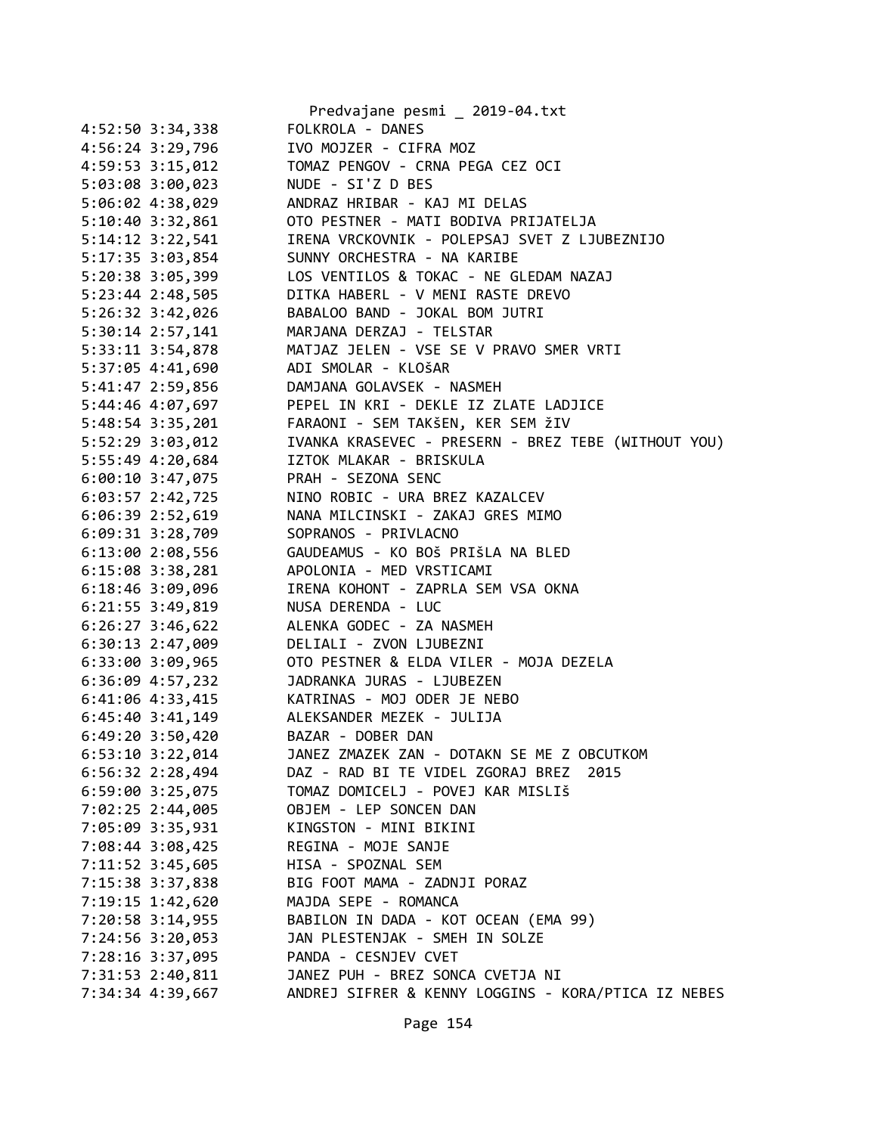|                      | Predvajane pesmi _ 2019-04.txt                      |
|----------------------|-----------------------------------------------------|
| 4:52:50 3:34,338     | FOLKROLA - DANES                                    |
| 4:56:24 3:29,796     | IVO MOJZER - CIFRA MOZ                              |
| 4:59:53 3:15,012     | TOMAZ PENGOV - CRNA PEGA CEZ OCI                    |
| 5:03:08 3:00,023     | NUDE - SI'Z D BES                                   |
| 5:06:02 4:38,029     | ANDRAZ HRIBAR - KAJ MI DELAS                        |
| 5:10:40 3:32,861     | OTO PESTNER - MATI BODIVA PRIJATELJA                |
| $5:14:12$ $3:22,541$ | IRENA VRCKOVNIK - POLEPSAJ SVET Z LJUBEZNIJO        |
| 5:17:35 3:03,854     | SUNNY ORCHESTRA - NA KARIBE                         |
| 5:20:38 3:05,399     | LOS VENTILOS & TOKAC - NE GLEDAM NAZAJ              |
| 5:23:44 2:48,505     | DITKA HABERL - V MENI RASTE DREVO                   |
| $5:26:32$ $3:42,026$ | BABALOO BAND - JOKAL BOM JUTRI                      |
| 5:30:14 2:57,141     | MARJANA DERZAJ - TELSTAR                            |
| 5:33:11 3:54,878     | MATJAZ JELEN - VSE SE V PRAVO SMER VRTI             |
| 5:37:05 4:41,690     | ADI SMOLAR - KLOŠAR                                 |
| 5:41:47 2:59,856     | DAMJANA GOLAVSEK - NASMEH                           |
| 5:44:46 4:07,697     | PEPEL IN KRI - DEKLE IZ ZLATE LADJICE               |
| 5:48:54 3:35,201     | FARAONI - SEM TAKŠEN, KER SEM ŽIV                   |
| 5:52:29 3:03,012     | IVANKA KRASEVEC - PRESERN - BREZ TEBE (WITHOUT YOU) |
| 5:55:49 4:20,684     | IZTOK MLAKAR - BRISKULA                             |
| $6:00:10$ 3:47,075   | PRAH - SEZONA SENC                                  |
| $6:03:57$ 2:42,725   | NINO ROBIC - URA BREZ KAZALCEV                      |
| $6:06:39$ 2:52,619   | NANA MILCINSKI - ZAKAJ GRES MIMO                    |
| $6:09:31$ $3:28,709$ | SOPRANOS - PRIVLACNO                                |
|                      | GAUDEAMUS - KO BOŠ PRIŠLA NA BLED                   |
| 6:13:00 2:08,556     |                                                     |
| $6:15:08$ 3:38,281   | APOLONIA - MED VRSTICAMI                            |
| $6:18:46$ 3:09,096   | IRENA KOHONT - ZAPRLA SEM VSA OKNA                  |
| $6:21:55$ 3:49,819   | NUSA DERENDA - LUC                                  |
| $6:26:27$ 3:46,622   | ALENKA GODEC - ZA NASMEH                            |
| $6:30:13$ 2:47,009   | DELIALI - ZVON LJUBEZNI                             |
| 6:33:00 3:09,965     | OTO PESTNER & ELDA VILER - MOJA DEZELA              |
| 6:36:09 4:57,232     | JADRANKA JURAS - LJUBEZEN                           |
| $6:41:06$ $4:33,415$ | KATRINAS - MOJ ODER JE NEBO                         |
| $6:45:40$ 3:41,149   | ALEKSANDER MEZEK - JULIJA                           |
| $6:49:20$ 3:50,420   | BAZAR - DOBER DAN                                   |
| 6:53:10 3:22,014     | JANEZ ZMAZEK ZAN - DOTAKN SE ME Z OBCUTKOM          |
| 6:56:32 2:28,494     | DAZ - RAD BI TE VIDEL ZGORAJ BREZ 2015              |
| 6:59:00 3:25,075     | TOMAZ DOMICELJ - POVEJ KAR MISLIŠ                   |
| 7:02:25 2:44,005     | OBJEM - LEP SONCEN DAN                              |
| 7:05:09 3:35,931     | KINGSTON - MINI BIKINI                              |
| 7:08:44 3:08,425     | REGINA - MOJE SANJE                                 |
| 7:11:52 3:45,605     | HISA - SPOZNAL SEM                                  |
| 7:15:38 3:37,838     | BIG FOOT MAMA - ZADNJI PORAZ                        |
| 7:19:15 1:42,620     | MAJDA SEPE - ROMANCA                                |
| 7:20:58 3:14,955     | BABILON IN DADA - KOT OCEAN (EMA 99)                |
| 7:24:56 3:20,053     | JAN PLESTENJAK - SMEH IN SOLZE                      |
| 7:28:16 3:37,095     | PANDA - CESNJEV CVET                                |
| 7:31:53 2:40,811     | JANEZ PUH - BREZ SONCA CVETJA NI                    |
| 7:34:34 4:39,667     | ANDREJ SIFRER & KENNY LOGGINS - KORA/PTICA IZ NEBES |
|                      |                                                     |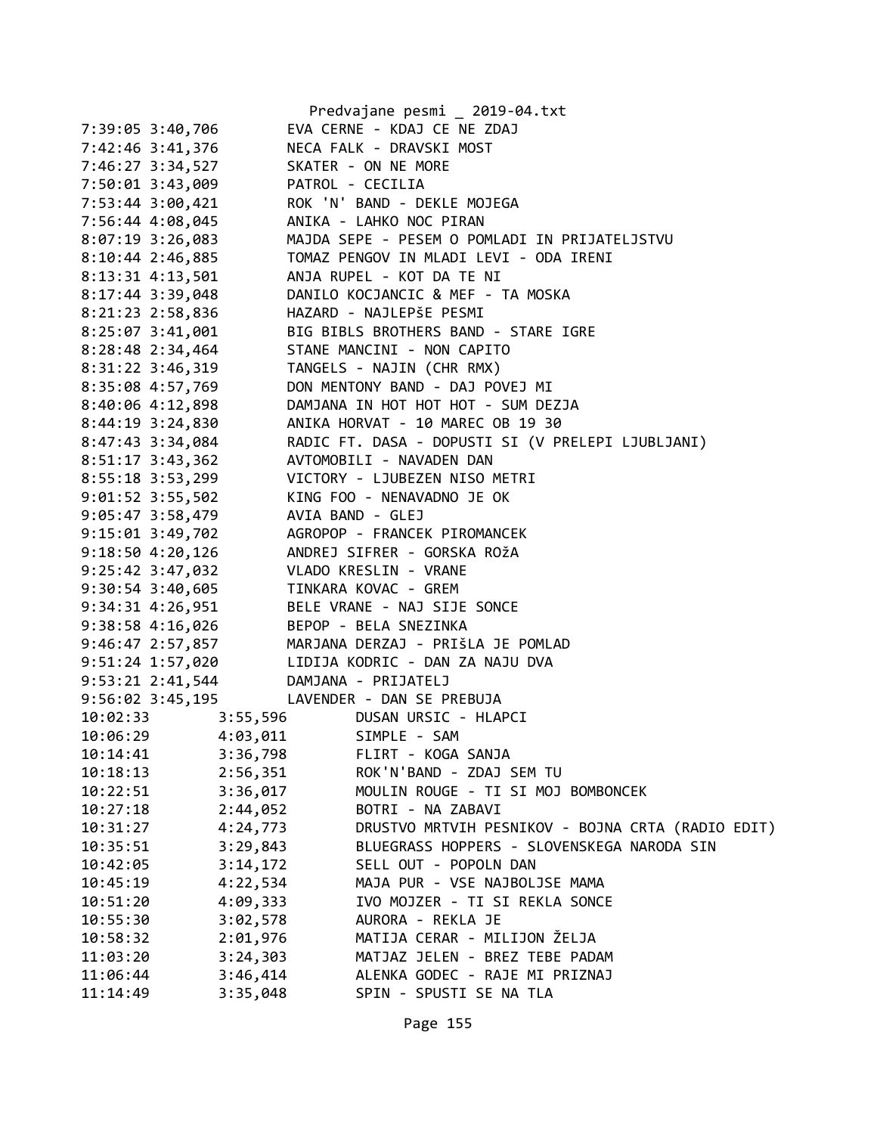|                                        | Predvajane pesmi 2019-04.txt                                                                           |
|----------------------------------------|--------------------------------------------------------------------------------------------------------|
| 7:39:05 3:40,706                       | EVA CERNE - KDAJ CE NE ZDAJ                                                                            |
| 7:42:46 3:41,376                       | NECA FALK - DRAVSKI MOST                                                                               |
| 7:46:27 3:34,527                       | SKATER - ON NE MORE                                                                                    |
| 7:50:01 3:43,009                       | PATROL - CECILIA                                                                                       |
| 7:53:44 3:00,421                       | ROK 'N' BAND - DEKLE MOJEGA                                                                            |
| 7:56:44 4:08,045                       | ANIKA - LAHKO NOC PIRAN                                                                                |
| 8:07:19 3:26,083                       | MAJDA SEPE - PESEM O POMLADI IN PRIJATELJSTVU                                                          |
| 8:10:44 2:46,885                       | TOMAZ PENGOV IN MLADI LEVI - ODA IRENI                                                                 |
| 8:13:31 4:13,501                       | ANJA RUPEL - KOT DA TE NI                                                                              |
| 8:17:44 3:39,048                       | DANILO KOCJANCIC & MEF - TA MOSKA                                                                      |
| 8:21:23 2:58,836                       | HAZARD - NAJLEPŠE PESMI                                                                                |
| 8:25:07 3:41,001                       | BIG BIBLS BROTHERS BAND - STARE IGRE                                                                   |
| 8:28:48 2:34,464                       | STANE MANCINI - NON CAPITO                                                                             |
| 8:31:22 3:46,319                       | TANGELS - NAJIN (CHR RMX)                                                                              |
| 8:35:08 4:57,769                       | DON MENTONY BAND - DAJ POVEJ MI                                                                        |
| 8:40:06 4:12,898                       | DAMJANA IN HOT HOT HOT - SUM DEZJA                                                                     |
|                                        | ANIKA HORVAT - 10 MAREC OB 19 30                                                                       |
| 8:44:19 3:24,830                       |                                                                                                        |
| 8:47:43 3:34,084                       | RADIC FT. DASA - DOPUSTI SI (V PRELEPI LJUBLJANI)                                                      |
| $8:51:17$ 3:43,362                     | AVTOMOBILI - NAVADEN DAN                                                                               |
|                                        | 8:55:18 3:53,299 VICTORY - LJUBEZEN NISO METRI                                                         |
| $9:01:52$ 3:55,502                     | KING FOO - NENAVADNO JE OK                                                                             |
| 9:05:47 3:58,479                       | AVIA BAND - GLEJ                                                                                       |
| $9:15:01$ $3:49,702$                   | AGROPOP - FRANCEK PIROMANCEK                                                                           |
| $9:18:50$ 4:20,126                     | ANDREJ SIFRER - GORSKA ROŽA                                                                            |
| 9:25:42 3:47,032 VLADO KRESLIN - VRANE |                                                                                                        |
| 9:30:54 3:40,605 TINKARA KOVAC - GREM  |                                                                                                        |
|                                        | 9:34:31 4:26,951 BELE VRANE - NAJ SIJE SONCE                                                           |
| 9:38:58 4:16,026 BEPOP - BELA SNEZINKA |                                                                                                        |
|                                        | 9:46:47 2:57,857 MARJANA DERZAJ - PRIŠLA JE POMLAD<br>9:51:24 1:57,020 LIDIJA KODRIC - DAN ZA NAJU DVA |
|                                        |                                                                                                        |
| 9:53:21 2:41,544                       | DAMJANA - PRIJATELJ                                                                                    |
|                                        | 9:56:02 3:45,195 LAVENDER - DAN SE PREBUJA                                                             |
| 10:02:33<br>3:55,596                   | DUSAN URSIC - HLAPCI                                                                                   |
| 10:06:29<br>4:03,011                   | SIMPLE - SAM                                                                                           |
| 10:14:41<br>3:36,798                   | FLIRT - KOGA SANJA                                                                                     |
| 10:18:13<br>2:56,351                   | ROK'N'BAND - ZDAJ SEM TU                                                                               |
| 3:36,017<br>10:22:51                   | MOULIN ROUGE - TI SI MOJ BOMBONCEK                                                                     |
| 10:27:18<br>2:44,052                   | BOTRI - NA ZABAVI                                                                                      |
| 4:24,773<br>10:31:27                   | DRUSTVO MRTVIH PESNIKOV - BOJNA CRTA (RADIO EDIT)                                                      |
| 3:29,843<br>10:35:51                   | BLUEGRASS HOPPERS - SLOVENSKEGA NARODA SIN                                                             |
| 3:14,172<br>10:42:05                   | SELL OUT - POPOLN DAN                                                                                  |
| 4:22,534<br>10:45:19                   | MAJA PUR - VSE NAJBOLJSE MAMA                                                                          |
| 4:09,333<br>10:51:20                   | IVO MOJZER - TI SI REKLA SONCE                                                                         |
| 3:02,578<br>10:55:30                   | AURORA - REKLA JE                                                                                      |
| 2:01,976<br>10:58:32                   | MATIJA CERAR - MILIJON ŽELJA                                                                           |
| 3:24,303<br>11:03:20                   | MATJAZ JELEN - BREZ TEBE PADAM                                                                         |
| 3:46,414<br>11:06:44                   | ALENKA GODEC - RAJE MI PRIZNAJ                                                                         |
| 11:14:49<br>3:35,048                   | SPIN - SPUSTI SE NA TLA                                                                                |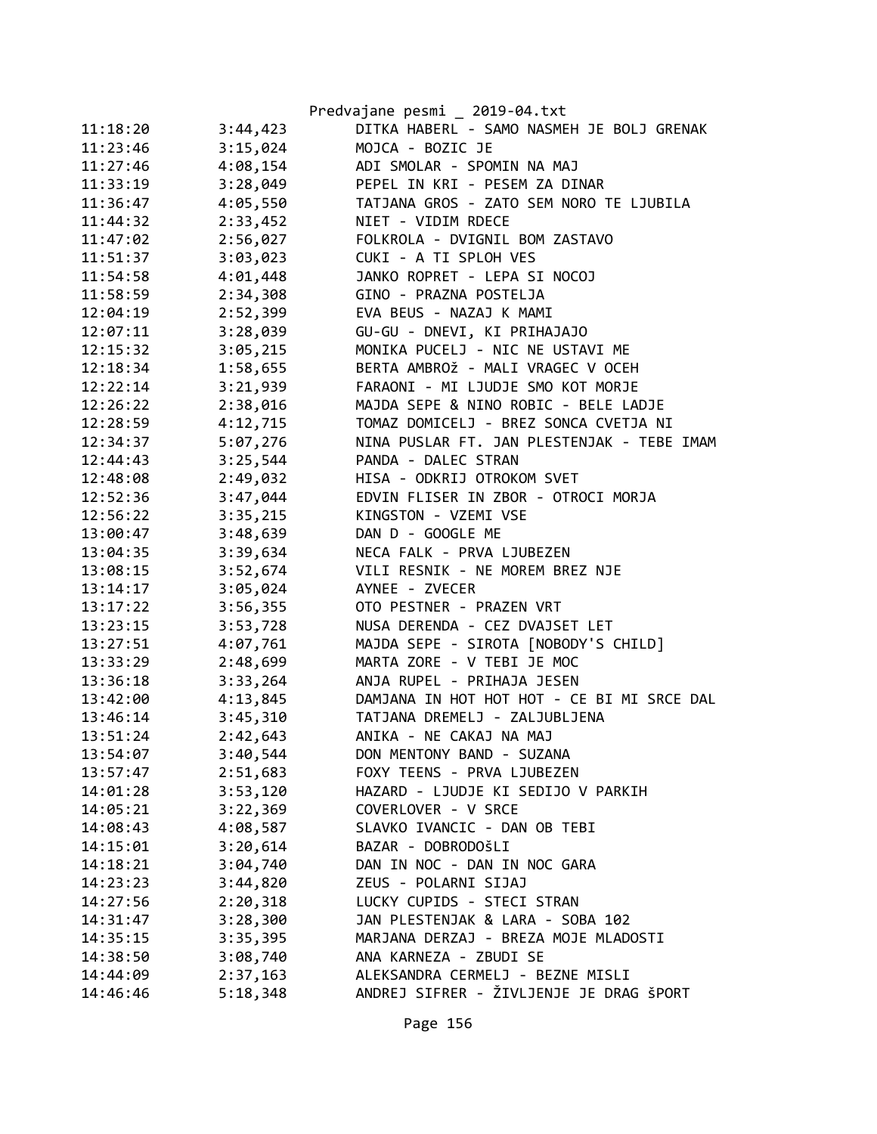|          |          | Predvajane pesmi _ 2019-04.txt             |
|----------|----------|--------------------------------------------|
| 11:18:20 | 3:44,423 | DITKA HABERL - SAMO NASMEH JE BOLJ GRENAK  |
| 11:23:46 | 3:15,024 | MOJCA - BOZIC JE                           |
| 11:27:46 | 4:08,154 | ADI SMOLAR - SPOMIN NA MAJ                 |
| 11:33:19 | 3:28,049 | PEPEL IN KRI - PESEM ZA DINAR              |
| 11:36:47 | 4:05,550 | TATJANA GROS - ZATO SEM NORO TE LJUBILA    |
| 11:44:32 | 2:33,452 | NIET - VIDIM RDECE                         |
| 11:47:02 | 2:56,027 | FOLKROLA - DVIGNIL BOM ZASTAVO             |
| 11:51:37 | 3:03,023 | CUKI - A TI SPLOH VES                      |
| 11:54:58 | 4:01,448 | JANKO ROPRET - LEPA SI NOCOJ               |
| 11:58:59 | 2:34,308 | GINO - PRAZNA POSTELJA                     |
| 12:04:19 | 2:52,399 | EVA BEUS - NAZAJ K MAMI                    |
| 12:07:11 | 3:28,039 | GU-GU - DNEVI, KI PRIHAJAJO                |
| 12:15:32 | 3:05,215 | MONIKA PUCELJ - NIC NE USTAVI ME           |
| 12:18:34 | 1:58,655 | BERTA AMBROŽ - MALI VRAGEC V OCEH          |
| 12:22:14 | 3:21,939 | FARAONI - MI LJUDJE SMO KOT MORJE          |
| 12:26:22 | 2:38,016 | MAJDA SEPE & NINO ROBIC - BELE LADJE       |
| 12:28:59 | 4:12,715 | TOMAZ DOMICELJ - BREZ SONCA CVETJA NI      |
| 12:34:37 | 5:07,276 | NINA PUSLAR FT. JAN PLESTENJAK - TEBE IMAM |
| 12:44:43 | 3:25,544 | PANDA - DALEC STRAN                        |
| 12:48:08 | 2:49,032 | HISA - ODKRIJ OTROKOM SVET                 |
| 12:52:36 | 3:47,044 | EDVIN FLISER IN ZBOR - OTROCI MORJA        |
| 12:56:22 | 3:35,215 | KINGSTON - VZEMI VSE                       |
| 13:00:47 | 3:48,639 | DAN D - GOOGLE ME                          |
| 13:04:35 | 3:39,634 | NECA FALK - PRVA LJUBEZEN                  |
| 13:08:15 | 3:52,674 | VILI RESNIK - NE MOREM BREZ NJE            |
| 13:14:17 | 3:05,024 | AYNEE - ZVECER                             |
| 13:17:22 | 3:56,355 | OTO PESTNER - PRAZEN VRT                   |
| 13:23:15 | 3:53,728 | NUSA DERENDA - CEZ DVAJSET LET             |
| 13:27:51 | 4:07,761 | MAJDA SEPE - SIROTA [NOBODY'S CHILD]       |
| 13:33:29 | 2:48,699 | MARTA ZORE - V TEBI JE MOC                 |
| 13:36:18 | 3:33,264 | ANJA RUPEL - PRIHAJA JESEN                 |
| 13:42:00 | 4:13,845 | DAMJANA IN HOT HOT HOT - CE BI MI SRCE DAL |
| 13:46:14 | 3:45,310 | TATJANA DREMELJ - ZALJUBLJENA              |
| 13:51:24 | 2:42,643 | ANIKA - NE CAKAJ NA MAJ                    |
| 13:54:07 | 3:40,544 | DON MENTONY BAND - SUZANA                  |
| 13:57:47 | 2:51,683 | FOXY TEENS - PRVA LJUBEZEN                 |
| 14:01:28 | 3:53,120 | HAZARD - LJUDJE KI SEDIJO V PARKIH         |
| 14:05:21 | 3:22,369 | COVERLOVER - V SRCE                        |
| 14:08:43 | 4:08,587 | SLAVKO IVANCIC - DAN OB TEBI               |
| 14:15:01 | 3:20,614 | BAZAR - DOBRODOŠLI                         |
| 14:18:21 | 3:04,740 | DAN IN NOC - DAN IN NOC GARA               |
| 14:23:23 | 3:44,820 | ZEUS - POLARNI SIJAJ                       |
| 14:27:56 | 2:20,318 | LUCKY CUPIDS - STECI STRAN                 |
| 14:31:47 | 3:28,300 | JAN PLESTENJAK & LARA - SOBA 102           |
| 14:35:15 | 3:35,395 | MARJANA DERZAJ - BREZA MOJE MLADOSTI       |
| 14:38:50 | 3:08,740 | ANA KARNEZA - ZBUDI SE                     |
| 14:44:09 | 2:37,163 | ALEKSANDRA CERMELJ - BEZNE MISLI           |
| 14:46:46 | 5:18,348 | ANDREJ SIFRER - ŽIVLJENJE JE DRAG ŠPORT    |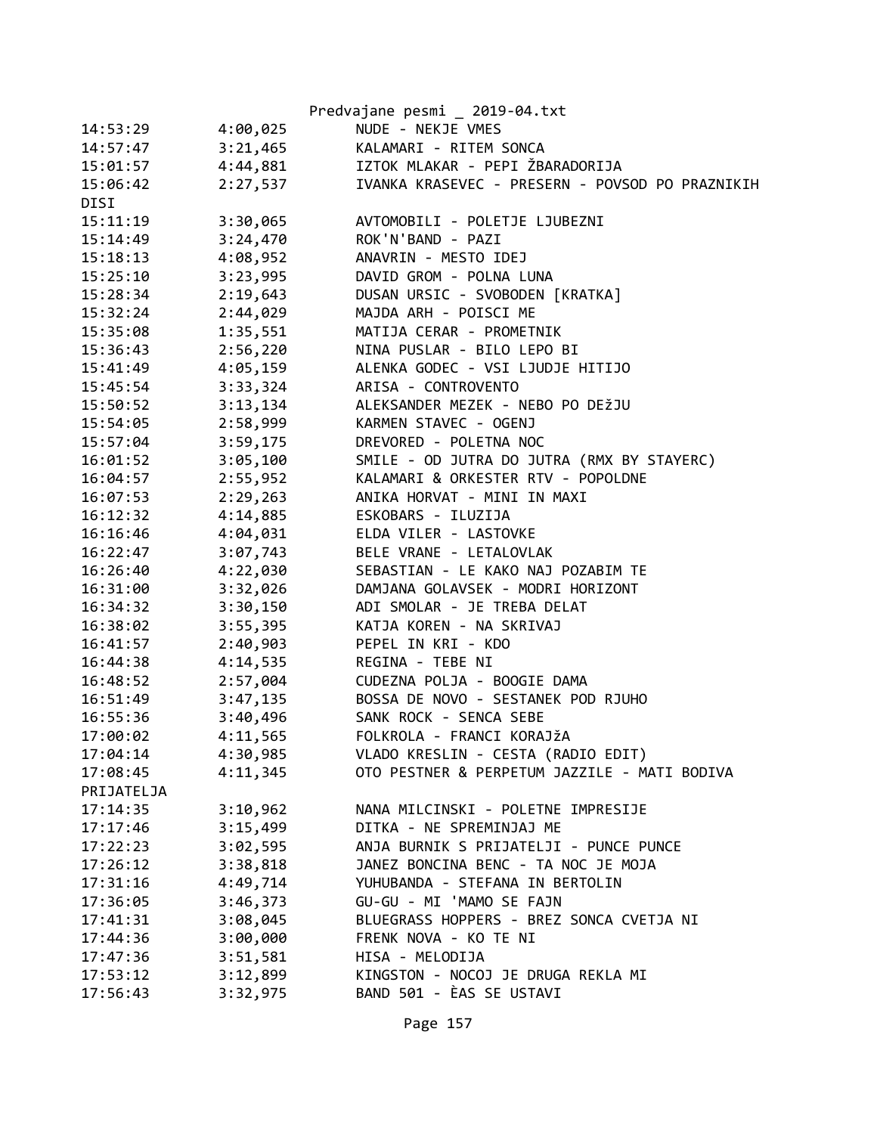|            |          | Predvajane pesmi _ 2019-04.txt                  |
|------------|----------|-------------------------------------------------|
| 14:53:29   | 4:00,025 | NUDE - NEKJE VMES                               |
| 14:57:47   | 3:21,465 | KALAMARI - RITEM SONCA                          |
| 15:01:57   | 4:44,881 | IZTOK MLAKAR - PEPI ŽBARADORIJA                 |
| 15:06:42   | 2:27,537 | IVANKA KRASEVEC - PRESERN - POVSOD PO PRAZNIKIH |
| DISI       |          |                                                 |
| 15:11:19   | 3:30,065 | AVTOMOBILI - POLETJE LJUBEZNI                   |
| 15:14:49   | 3:24,470 | ROK'N'BAND - PAZI                               |
| 15:18:13   | 4:08,952 | ANAVRIN - MESTO IDEJ                            |
| 15:25:10   | 3:23,995 | DAVID GROM - POLNA LUNA                         |
| 15:28:34   | 2:19,643 | DUSAN URSIC - SVOBODEN [KRATKA]                 |
| 15:32:24   | 2:44,029 | MAJDA ARH - POISCI ME                           |
| 15:35:08   | 1:35,551 | MATIJA CERAR - PROMETNIK                        |
| 15:36:43   | 2:56,220 | NINA PUSLAR - BILO LEPO BI                      |
| 15:41:49   | 4:05,159 | ALENKA GODEC - VSI LJUDJE HITIJO                |
| 15:45:54   | 3:33,324 | ARISA - CONTROVENTO                             |
| 15:50:52   | 3:13,134 | ALEKSANDER MEZEK - NEBO PO DEŽJU                |
| 15:54:05   | 2:58,999 | KARMEN STAVEC - OGENJ                           |
| 15:57:04   | 3:59,175 | DREVORED - POLETNA NOC                          |
| 16:01:52   | 3:05,100 | SMILE - OD JUTRA DO JUTRA (RMX BY STAYERC)      |
| 16:04:57   | 2:55,952 | KALAMARI & ORKESTER RTV - POPOLDNE              |
| 16:07:53   | 2:29,263 | ANIKA HORVAT - MINI IN MAXI                     |
| 16:12:32   | 4:14,885 | ESKOBARS - ILUZIJA                              |
| 16:16:46   | 4:04,031 | ELDA VILER - LASTOVKE                           |
| 16:22:47   | 3:07,743 | BELE VRANE - LETALOVLAK                         |
| 16:26:40   | 4:22,030 | SEBASTIAN - LE KAKO NAJ POZABIM TE              |
| 16:31:00   | 3:32,026 | DAMJANA GOLAVSEK - MODRI HORIZONT               |
| 16:34:32   | 3:30,150 | ADI SMOLAR - JE TREBA DELAT                     |
| 16:38:02   | 3:55,395 | KATJA KOREN - NA SKRIVAJ                        |
| 16:41:57   | 2:40,903 | PEPEL IN KRI - KDO                              |
| 16:44:38   | 4:14,535 | REGINA - TEBE NI                                |
| 16:48:52   | 2:57,004 | CUDEZNA POLJA - BOOGIE DAMA                     |
| 16:51:49   | 3:47,135 | BOSSA DE NOVO - SESTANEK POD RJUHO              |
| 16:55:36   | 3:40,496 | SANK ROCK - SENCA SEBE                          |
| 17:00:02   | 4:11,565 | FOLKROLA - FRANCI KORAJŽA                       |
| 17:04:14   | 4:30,985 | VLADO KRESLIN - CESTA (RADIO EDIT)              |
| 17:08:45   | 4:11,345 | OTO PESTNER & PERPETUM JAZZILE - MATI BODIVA    |
| PRIJATELJA |          |                                                 |
| 17:14:35   | 3:10,962 | NANA MILCINSKI - POLETNE IMPRESIJE              |
| 17:17:46   | 3:15,499 | DITKA - NE SPREMINJAJ ME                        |
| 17:22:23   | 3:02,595 | ANJA BURNIK S PRIJATELJI - PUNCE PUNCE          |
| 17:26:12   | 3:38,818 | JANEZ BONCINA BENC - TA NOC JE MOJA             |
| 17:31:16   | 4:49,714 | YUHUBANDA - STEFANA IN BERTOLIN                 |
| 17:36:05   | 3:46,373 | GU-GU - MI 'MAMO SE FAJN                        |
| 17:41:31   | 3:08,045 | BLUEGRASS HOPPERS - BREZ SONCA CVETJA NI        |
| 17:44:36   | 3:00,000 | FRENK NOVA - KO TE NI                           |
| 17:47:36   | 3:51,581 | HISA - MELODIJA                                 |
| 17:53:12   | 3:12,899 | KINGSTON - NOCOJ JE DRUGA REKLA MI              |
| 17:56:43   | 3:32,975 | BAND 501 - ÈAS SE USTAVI                        |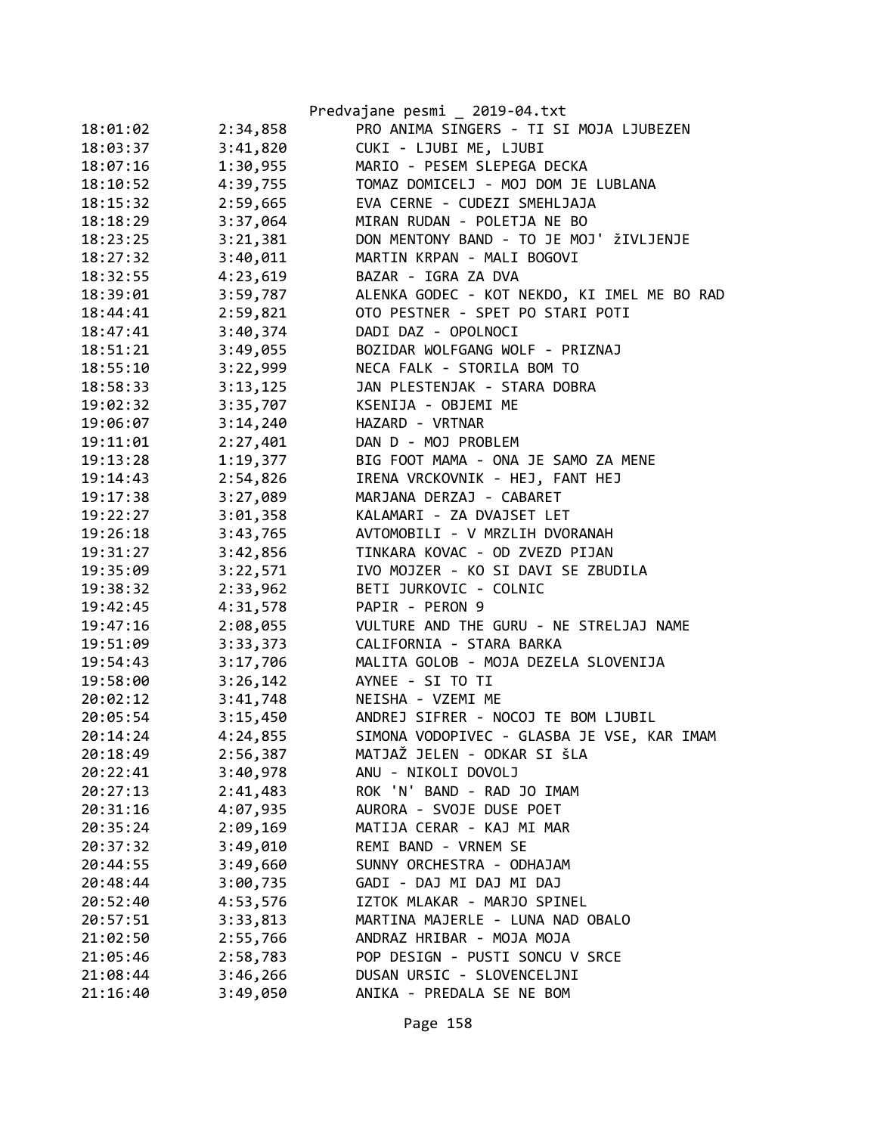|          |          | Predvajane pesmi _ 2019-04.txt              |
|----------|----------|---------------------------------------------|
| 18:01:02 | 2:34,858 | PRO ANIMA SINGERS - TI SI MOJA LJUBEZEN     |
| 18:03:37 | 3:41,820 | CUKI - LJUBI ME, LJUBI                      |
| 18:07:16 | 1:30,955 | MARIO - PESEM SLEPEGA DECKA                 |
| 18:10:52 | 4:39,755 | TOMAZ DOMICELJ - MOJ DOM JE LUBLANA         |
| 18:15:32 | 2:59,665 | EVA CERNE - CUDEZI SMEHLJAJA                |
| 18:18:29 | 3:37,064 | MIRAN RUDAN - POLETJA NE BO                 |
| 18:23:25 | 3:21,381 | DON MENTONY BAND - TO JE MOJ' ŽIVLJENJE     |
| 18:27:32 | 3:40,011 | MARTIN KRPAN - MALI BOGOVI                  |
| 18:32:55 | 4:23,619 | BAZAR - IGRA ZA DVA                         |
| 18:39:01 | 3:59,787 | ALENKA GODEC - KOT NEKDO, KI IMEL ME BO RAD |
| 18:44:41 | 2:59,821 | OTO PESTNER - SPET PO STARI POTI            |
| 18:47:41 | 3:40,374 | DADI DAZ - OPOLNOCI                         |
| 18:51:21 | 3:49,055 | BOZIDAR WOLFGANG WOLF - PRIZNAJ             |
| 18:55:10 | 3:22,999 | NECA FALK - STORILA BOM TO                  |
| 18:58:33 | 3:13,125 | JAN PLESTENJAK - STARA DOBRA                |
| 19:02:32 | 3:35,707 | KSENIJA - OBJEMI ME                         |
| 19:06:07 | 3:14,240 | HAZARD - VRTNAR                             |
| 19:11:01 | 2:27,401 | DAN D - MOJ PROBLEM                         |
| 19:13:28 | 1:19,377 | BIG FOOT MAMA - ONA JE SAMO ZA MENE         |
| 19:14:43 | 2:54,826 | IRENA VRCKOVNIK - HEJ, FANT HEJ             |
| 19:17:38 | 3:27,089 | MARJANA DERZAJ - CABARET                    |
| 19:22:27 | 3:01,358 | KALAMARI - ZA DVAJSET LET                   |
| 19:26:18 | 3:43,765 | AVTOMOBILI - V MRZLIH DVORANAH              |
| 19:31:27 | 3:42,856 | TINKARA KOVAC - OD ZVEZD PIJAN              |
| 19:35:09 | 3:22,571 | IVO MOJZER - KO SI DAVI SE ZBUDILA          |
| 19:38:32 | 2:33,962 | BETI JURKOVIC - COLNIC                      |
| 19:42:45 | 4:31,578 | PAPIR - PERON 9                             |
| 19:47:16 | 2:08,055 | VULTURE AND THE GURU - NE STRELJAJ NAME     |
| 19:51:09 | 3:33,373 | CALIFORNIA - STARA BARKA                    |
| 19:54:43 | 3:17,706 | MALITA GOLOB - MOJA DEZELA SLOVENIJA        |
| 19:58:00 | 3:26,142 | AYNEE - SI TO TI                            |
| 20:02:12 | 3:41,748 | NEISHA - VZEMI ME                           |
| 20:05:54 | 3:15,450 | ANDREJ SIFRER - NOCOJ TE BOM LJUBIL         |
| 20:14:24 | 4:24,855 | SIMONA VODOPIVEC - GLASBA JE VSE, KAR IMAM  |
| 20:18:49 | 2:56,387 | MATJAŽ JELEN - ODKAR SI ŠLA                 |
| 20:22:41 | 3:40,978 | ANU - NIKOLI DOVOLJ                         |
| 20:27:13 | 2:41,483 | ROK 'N' BAND - RAD JO IMAM                  |
| 20:31:16 | 4:07,935 | AURORA - SVOJE DUSE POET                    |
| 20:35:24 | 2:09,169 | MATIJA CERAR - KAJ MI MAR                   |
| 20:37:32 | 3:49,010 | REMI BAND - VRNEM SE                        |
| 20:44:55 | 3:49,660 | SUNNY ORCHESTRA - ODHAJAM                   |
| 20:48:44 | 3:00,735 | GADI - DAJ MI DAJ MI DAJ                    |
| 20:52:40 | 4:53,576 | IZTOK MLAKAR - MARJO SPINEL                 |
| 20:57:51 | 3:33,813 | MARTINA MAJERLE - LUNA NAD OBALO            |
| 21:02:50 | 2:55,766 | ANDRAZ HRIBAR - MOJA MOJA                   |
| 21:05:46 | 2:58,783 | POP DESIGN - PUSTI SONCU V SRCE             |
| 21:08:44 | 3:46,266 | DUSAN URSIC - SLOVENCELJNI                  |
| 21:16:40 | 3:49,050 | ANIKA - PREDALA SE NE BOM                   |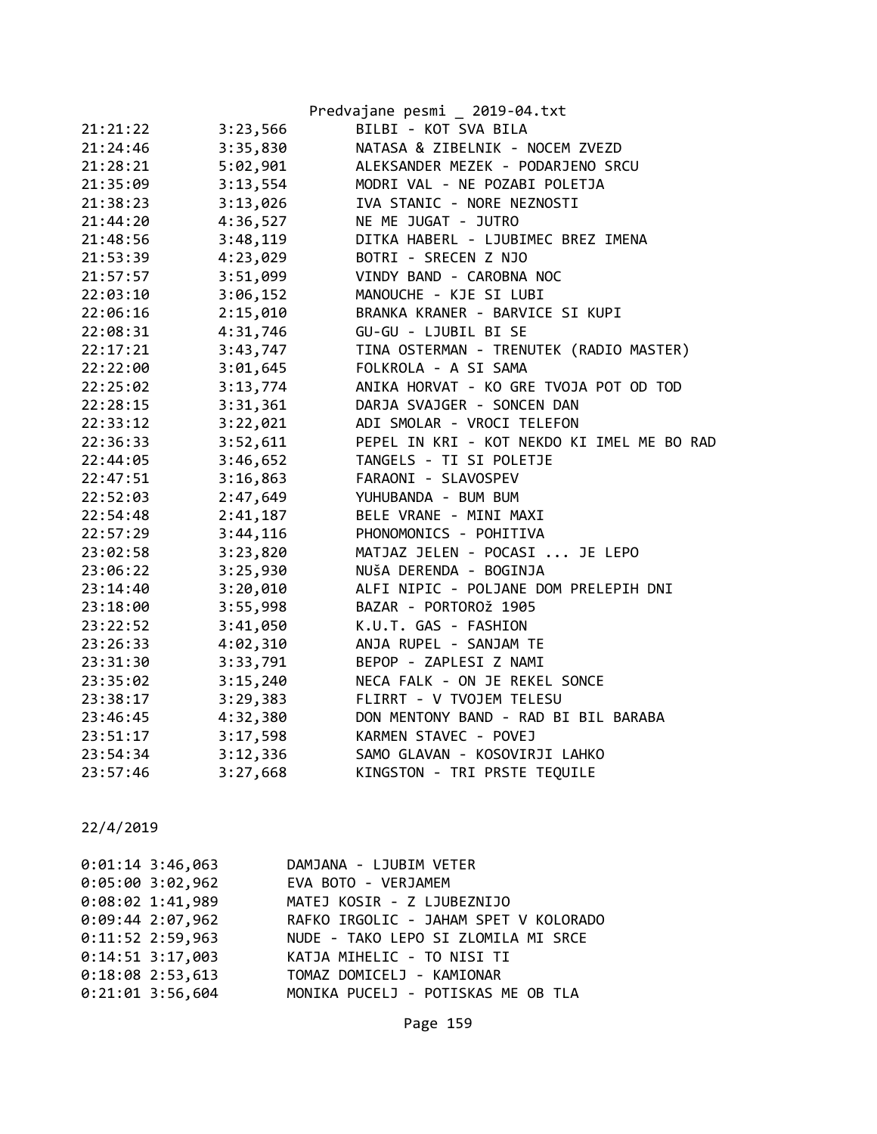|          |          | Predvajane pesmi _ 2019-04.txt             |
|----------|----------|--------------------------------------------|
| 21:21:22 | 3:23,566 | BILBI - KOT SVA BILA                       |
| 21:24:46 | 3:35,830 | NATASA & ZIBELNIK - NOCEM ZVEZD            |
| 21:28:21 | 5:02,901 | ALEKSANDER MEZEK - PODARJENO SRCU          |
| 21:35:09 | 3:13,554 | MODRI VAL - NE POZABI POLETJA              |
| 21:38:23 | 3:13,026 | IVA STANIC - NORE NEZNOSTI                 |
| 21:44:20 | 4:36,527 | NE ME JUGAT - JUTRO                        |
| 21:48:56 | 3:48,119 | DITKA HABERL - LJUBIMEC BREZ IMENA         |
| 21:53:39 | 4:23,029 | BOTRI - SRECEN Z NJO                       |
| 21:57:57 | 3:51,099 | VINDY BAND - CAROBNA NOC                   |
| 22:03:10 | 3:06,152 | MANOUCHE - KJE SI LUBI                     |
| 22:06:16 | 2:15,010 | BRANKA KRANER - BARVICE SI KUPI            |
| 22:08:31 | 4:31,746 | GU-GU - LJUBIL BI SE                       |
| 22:17:21 | 3:43,747 | TINA OSTERMAN - TRENUTEK (RADIO MASTER)    |
| 22:22:00 | 3:01,645 | FOLKROLA - A SI SAMA                       |
| 22:25:02 | 3:13,774 | ANIKA HORVAT - KO GRE TVOJA POT OD TOD     |
| 22:28:15 | 3:31,361 | DARJA SVAJGER - SONCEN DAN                 |
| 22:33:12 | 3:22,021 | ADI SMOLAR - VROCI TELEFON                 |
| 22:36:33 | 3:52,611 | PEPEL IN KRI - KOT NEKDO KI IMEL ME BO RAD |
| 22:44:05 | 3:46,652 | TANGELS - TI SI POLETJE                    |
| 22:47:51 | 3:16,863 | FARAONI - SLAVOSPEV                        |
| 22:52:03 | 2:47,649 | YUHUBANDA - BUM BUM                        |
| 22:54:48 | 2:41,187 | BELE VRANE - MINI MAXI                     |
| 22:57:29 | 3:44,116 | PHONOMONICS - POHITIVA                     |
| 23:02:58 | 3:23,820 | MATJAZ JELEN - POCASI  JE LEPO             |
| 23:06:22 | 3:25,930 | NUŠA DERENDA - BOGINJA                     |
| 23:14:40 | 3:20,010 | ALFI NIPIC - POLJANE DOM PRELEPIH DNI      |
| 23:18:00 | 3:55,998 | BAZAR - PORTOROŽ 1905                      |
| 23:22:52 | 3:41,050 | K.U.T. GAS - FASHION                       |
| 23:26:33 | 4:02,310 | ANJA RUPEL - SANJAM TE                     |
| 23:31:30 | 3:33,791 | BEPOP - ZAPLESI Z NAMI                     |
| 23:35:02 | 3:15,240 | NECA FALK - ON JE REKEL SONCE              |
| 23:38:17 | 3:29,383 | FLIRRT - V TVOJEM TELESU                   |
| 23:46:45 | 4:32,380 | DON MENTONY BAND - RAD BI BIL BARABA       |
| 23:51:17 | 3:17,598 | KARMEN STAVEC - POVEJ                      |
| 23:54:34 | 3:12,336 | SAMO GLAVAN - KOSOVIRJI LAHKO              |
| 23:57:46 | 3:27,668 | KINGSTON - TRI PRSTE TEQUILE               |

| $0:01:14$ 3:46,063 | DAMJANA - LJUBIM VETER                |
|--------------------|---------------------------------------|
| $0:05:00$ 3:02,962 | EVA BOTO - VERJAMEM                   |
| $0:08:02$ 1:41,989 | MATEJ KOSIR - Z LJUBEZNIJO            |
| $0:09:44$ 2:07,962 | RAFKO IRGOLIC - JAHAM SPET V KOLORADO |
| $0:11:52$ 2:59,963 | NUDE - TAKO LEPO SI ZLOMILA MI SRCE   |
| $0:14:51$ 3:17,003 | KATJA MIHELIC - TO NISI TI            |
| $0:18:08$ 2:53,613 | TOMAZ DOMICELJ - KAMIONAR             |
| $0:21:01$ 3:56,604 | MONIKA PUCELJ - POTISKAS ME OB TLA    |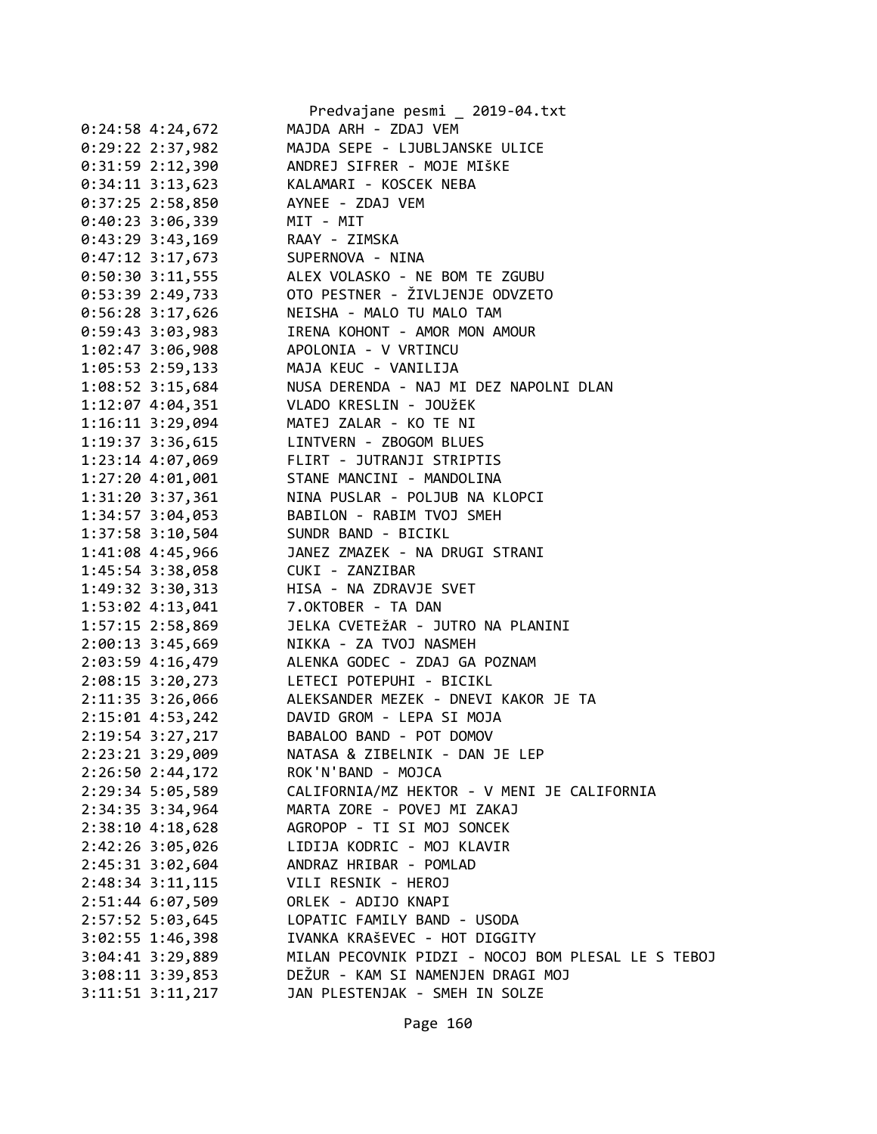|                                                                             | Predvajane pesmi _ 2019-04.txt                                                                                                        |
|-----------------------------------------------------------------------------|---------------------------------------------------------------------------------------------------------------------------------------|
| $0:24:58$ 4:24,672                                                          | MAJDA ARH - ZDAJ VEM                                                                                                                  |
| $0:29:22$ 2:37,982                                                          | MAJDA SEPE - LJUBLJANSKE ULICE                                                                                                        |
|                                                                             | 0:31:59 2:12,390 ANDREJ SIFRER - MOJE MIŠKE                                                                                           |
| 0:34:11 3:13,623 KALAMARI - KOSCEK NEBA                                     |                                                                                                                                       |
| 0:37:25 2:58,850 AYNEE - ZDAJ VEM                                           |                                                                                                                                       |
| 0:40:23 3:06,339 MIT - MIT                                                  |                                                                                                                                       |
|                                                                             |                                                                                                                                       |
|                                                                             | 0:43:29 3:43,169<br>0:47:12 3:17,673<br>0:50:30 3:11,555<br>ALEX VOLASKO - NE BOM TE ZGUBU<br>ALEX VOLASKO - NE BOM TE ZGUBU          |
|                                                                             |                                                                                                                                       |
|                                                                             | 0:53:39 2:49,733 OTO PESTNER - ŽIVLJENJE ODVZETO                                                                                      |
|                                                                             | 0:56:28 3:17,626 NEISHA - MALO TU MALO TAM                                                                                            |
|                                                                             | 0:59:43 3:03,983 IRENA KOHONT - AMOR MON AMOUR                                                                                        |
| 1:02:47 3:06,908 APOLONIA - V VRTINCU                                       |                                                                                                                                       |
| 1:05:53 2:59,133                                                            |                                                                                                                                       |
| $1:08:52$ 3:15,684                                                          |                                                                                                                                       |
| $1:12:07$ 4:04,351                                                          | MAJA KEUC - VANILIJA<br>NUSA DERENDA - NAJ MI DEZ NAPOLNI DLAN<br>VLADO KRESLIN - JOUžEK                                              |
| 1:16:11 3:29,094 MATEJ ZALAR - KO TE NI                                     |                                                                                                                                       |
|                                                                             | 1:19:37 3:36,615 LINTVERN - ZBOGOM BLUES                                                                                              |
|                                                                             | 1:23:14 4:07,069 FLIRT - JUTRANJI STRIPTIS                                                                                            |
|                                                                             | 1:27:20 4:01,001 STANE MANCINI - MANDOLINA                                                                                            |
|                                                                             |                                                                                                                                       |
|                                                                             |                                                                                                                                       |
|                                                                             | 1:31:20 3:37,361 NINA PUSLAR - POLJUB NA KLOPCI<br>1:34:57 3:04,053 BABILON - RABIM TVOJ SMEH<br>1:37:58 3:10,504 SUNDR BAND - BICIKL |
|                                                                             |                                                                                                                                       |
|                                                                             |                                                                                                                                       |
| 1:45:54 3:38,058 CUKI - ZANZIBAR<br>1:49:32 3:30,313 HISA - NA ZDRAVJE SVET |                                                                                                                                       |
| 1:53:02 4:13,041 7.0KTOBER - TA DAN                                         |                                                                                                                                       |
|                                                                             | 1:57:15 2:58,869 JELKA CVETEŽAR - JUTRO NA PLANINI                                                                                    |
|                                                                             |                                                                                                                                       |
|                                                                             | 2:00:13 3:45,669<br>2:03:59 4:16,479 ALENKA GODEC - ZDAJ GA POZNAM                                                                    |
|                                                                             |                                                                                                                                       |
|                                                                             | 2:08:15 3:20,273 LETECI POTEPUHI - BICIKL                                                                                             |
|                                                                             | 2:11:35 3:26,066 ALEKSANDER MEZEK - DNEVI KAKOR JE TA                                                                                 |
|                                                                             | 2:15:01 4:53,242 DAVID GROM - LEPA SI MOJA                                                                                            |
| 2:19:54 3:27,217                                                            | BABALOO BAND - POT DOMOV<br>NATASA & ZIBELNIK - DAN JE LEP                                                                            |
| 2:23:21 3:29,009                                                            |                                                                                                                                       |
| 2:26:50 2:44,172                                                            | ROK'N'BAND - MOJCA                                                                                                                    |
| 2:29:34 5:05,589                                                            | CALIFORNIA/MZ HEKTOR - V MENI JE CALIFORNIA                                                                                           |
| 2:34:35 3:34,964                                                            | MARTA ZORE - POVEJ MI ZAKAJ                                                                                                           |
| 2:38:10 4:18,628                                                            | AGROPOP - TI SI MOJ SONCEK                                                                                                            |
| 2:42:26 3:05,026                                                            | LIDIJA KODRIC - MOJ KLAVIR                                                                                                            |
| 2:45:31 3:02,604                                                            | ANDRAZ HRIBAR - POMLAD                                                                                                                |
| 2:48:34 3:11,115                                                            | VILI RESNIK - HEROJ                                                                                                                   |
| 2:51:44 6:07,509                                                            | ORLEK - ADIJO KNAPI                                                                                                                   |
| 2:57:52 5:03,645                                                            | LOPATIC FAMILY BAND - USODA                                                                                                           |
| $3:02:55$ 1:46,398                                                          | IVANKA KRAŠEVEC - HOT DIGGITY                                                                                                         |
| $3:04:41$ $3:29,889$                                                        | MILAN PECOVNIK PIDZI - NOCOJ BOM PLESAL LE S TEBOJ                                                                                    |
| $3:08:11$ $3:39,853$                                                        | DEŽUR - KAM SI NAMENJEN DRAGI MOJ                                                                                                     |
| $3:11:51$ $3:11,217$                                                        | JAN PLESTENJAK - SMEH IN SOLZE                                                                                                        |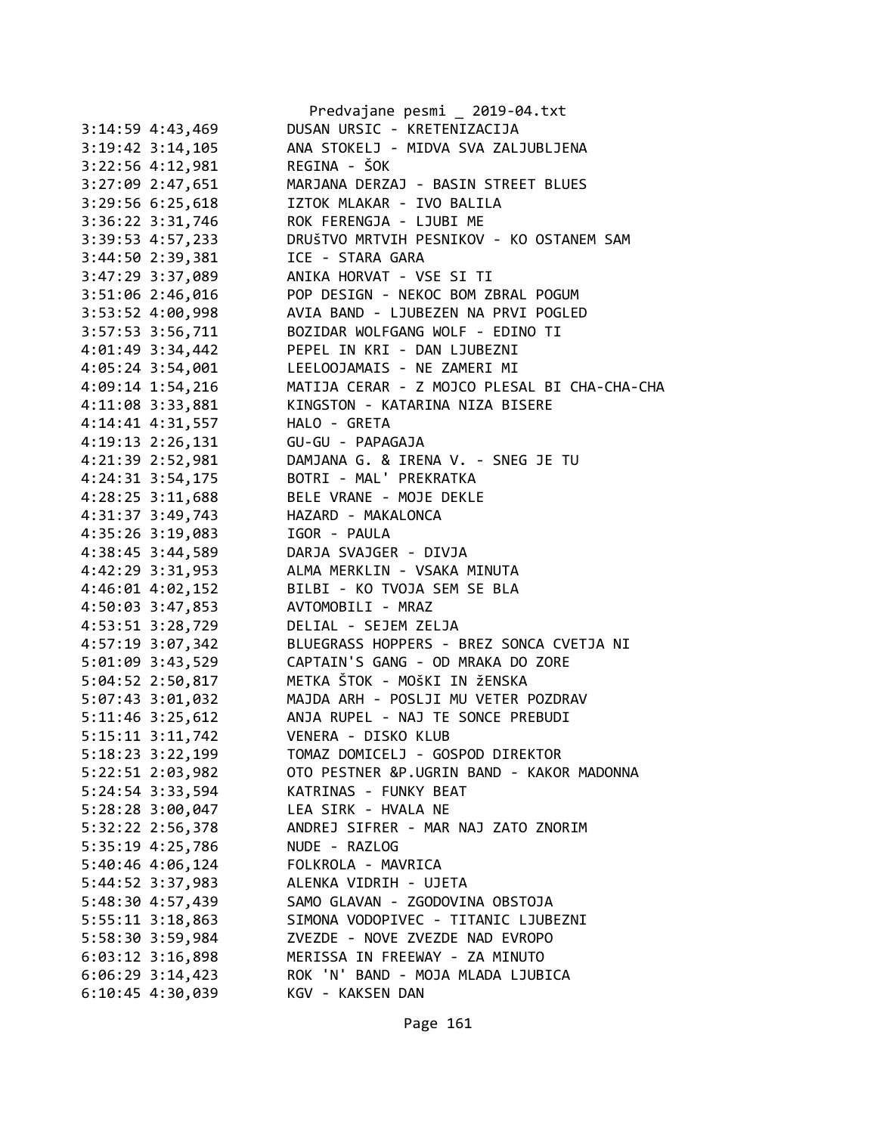|                      | Predvajane pesmi _ 2019-04.txt               |
|----------------------|----------------------------------------------|
| 3:14:59 4:43,469     | DUSAN URSIC - KRETENIZACIJA                  |
| $3:19:42$ $3:14,105$ | ANA STOKELJ - MIDVA SVA ZALJUBLJENA          |
| 3:22:56 4:12,981     | REGINA - ŠOK                                 |
| 3:27:09 2:47,651     | MARJANA DERZAJ - BASIN STREET BLUES          |
| 3:29:56 6:25,618     | IZTOK MLAKAR - IVO BALILA                    |
| 3:36:22 3:31,746     | ROK FERENGJA - LJUBI ME                      |
| 3:39:53 4:57,233     | DRUŠTVO MRTVIH PESNIKOV - KO OSTANEM SAM     |
| 3:44:50 2:39,381     | ICE - STARA GARA                             |
| 3:47:29 3:37,089     | ANIKA HORVAT - VSE SI TI                     |
| 3:51:06 2:46,016     | POP DESIGN - NEKOC BOM ZBRAL POGUM           |
| 3:53:52 4:00,998     | AVIA BAND - LJUBEZEN NA PRVI POGLED          |
| 3:57:53 3:56,711     | BOZIDAR WOLFGANG WOLF - EDINO TI             |
| 4:01:49 3:34,442     | PEPEL IN KRI - DAN LJUBEZNI                  |
|                      |                                              |
| 4:05:24 3:54,001     | LEELOOJAMAIS - NE ZAMERI MI                  |
| 4:09:14 1:54,216     | MATIJA CERAR - Z MOJCO PLESAL BI CHA-CHA-CHA |
| 4:11:08 3:33,881     | KINGSTON - KATARINA NIZA BISERE              |
| 4:14:41 4:31,557     | HALO - GRETA                                 |
| $4:19:13$ $2:26,131$ | GU-GU - PAPAGAJA                             |
| 4:21:39 2:52,981     | DAMJANA G. & IRENA V. - SNEG JE TU           |
| $4:24:31$ $3:54,175$ | BOTRI - MAL' PREKRATKA                       |
| $4:28:25$ 3:11,688   | BELE VRANE - MOJE DEKLE                      |
| 4:31:37 3:49,743     | HAZARD - MAKALONCA                           |
| 4:35:26 3:19,083     | IGOR - PAULA                                 |
| 4:38:45 3:44,589     | DARJA SVAJGER - DIVJA                        |
| 4:42:29 3:31,953     | ALMA MERKLIN - VSAKA MINUTA                  |
| 4:46:01 4:02,152     | BILBI - KO TVOJA SEM SE BLA                  |
| 4:50:03 3:47,853     | AVTOMOBILI - MRAZ                            |
| 4:53:51 3:28,729     | DELIAL - SEJEM ZELJA                         |
| 4:57:19 3:07,342     | BLUEGRASS HOPPERS - BREZ SONCA CVETJA NI     |
| 5:01:09 3:43,529     | CAPTAIN'S GANG - OD MRAKA DO ZORE            |
| 5:04:52 2:50,817     | METKA ŠTOK - MOŠKI IN ŽENSKA                 |
| $5:07:43$ $3:01,032$ | MAJDA ARH - POSLJI MU VETER POZDRAV          |
| $5:11:46$ 3:25,612   | ANJA RUPEL - NAJ TE SONCE PREBUDI            |
| 5:15:11 3:11,742     | VENERA - DISKO KLUB                          |
| 5:18:23 3:22,199     | TOMAZ DOMICELJ - GOSPOD DIREKTOR             |
| 5:22:51 2:03,982     | OTO PESTNER &P.UGRIN BAND - KAKOR MADONNA    |
| 5:24:54 3:33,594     | KATRINAS - FUNKY BEAT                        |
| 5:28:28 3:00,047     | LEA SIRK - HVALA NE                          |
| 5:32:22 2:56,378     | ANDREJ SIFRER - MAR NAJ ZATO ZNORIM          |
| 5:35:19 4:25,786     | NUDE - RAZLOG                                |
| 5:40:46 4:06,124     | FOLKROLA - MAVRICA                           |
| 5:44:52 3:37,983     | ALENKA VIDRIH - UJETA                        |
| 5:48:30 4:57,439     | SAMO GLAVAN - ZGODOVINA OBSTOJA              |
| $5:55:11$ $3:18,863$ | SIMONA VODOPIVEC - TITANIC LJUBEZNI          |
|                      | ZVEZDE - NOVE ZVEZDE NAD EVROPO              |
| 5:58:30 3:59,984     |                                              |
| $6:03:12$ 3:16,898   | MERISSA IN FREEWAY - ZA MINUTO               |
| $6:06:29$ 3:14,423   | ROK 'N' BAND - MOJA MLADA LJUBICA            |
| 6:10:45 4:30,039     | KGV - KAKSEN DAN                             |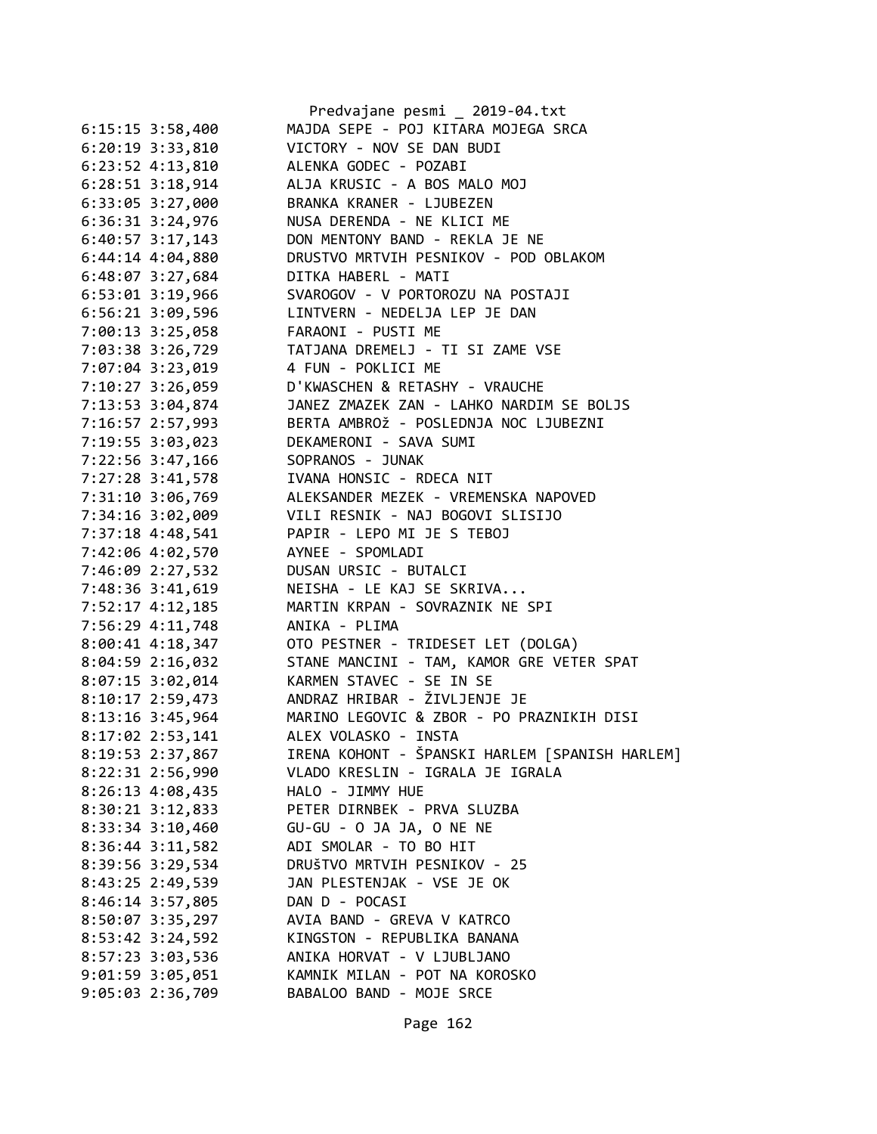|                      | Predvajane pesmi _ 2019-04.txt                             |
|----------------------|------------------------------------------------------------|
| $6:15:15$ 3:58,400   | MAJDA SEPE - POJ KITARA MOJEGA SRCA                        |
| $6:20:19$ 3:33,810   | VICTORY - NOV SE DAN BUDI                                  |
| $6:23:52$ $4:13,810$ | ALENKA GODEC - POZABI                                      |
| $6:28:51$ $3:18,914$ | ALJA KRUSIC - A BOS MALO MOJ                               |
| $6:33:05$ 3:27,000   | BRANKA KRANER - LJUBEZEN                                   |
| $6:36:31$ $3:24,976$ | NUSA DERENDA - NE KLICI ME                                 |
| $6:40:57$ 3:17,143   | DON MENTONY BAND - REKLA JE NE                             |
| $6:44:14$ $4:04,880$ | DRUSTVO MRTVIH PESNIKOV - POD OBLAKOM                      |
| $6:48:07$ 3:27,684   | DITKA HABERL - MATI                                        |
| $6:53:01$ $3:19,966$ | SVAROGOV - V PORTOROZU NA POSTAJI                          |
| $6:56:21$ $3:09,596$ | LINTVERN - NEDELJA LEP JE DAN                              |
| 7:00:13 3:25,058     | FARAONI - PUSTI ME                                         |
| 7:03:38 3:26,729     | TATJANA DREMELJ - TI SI ZAME VSE                           |
| 7:07:04 3:23,019     | 4 FUN - POKLICI ME                                         |
| 7:10:27 3:26,059     | D'KWASCHEN & RETASHY - VRAUCHE                             |
| 7:13:53 3:04,874     | JANEZ ZMAZEK ZAN - LAHKO NARDIM SE BOLJS                   |
| 7:16:57 2:57,993     | BERTA AMBROŽ - POSLEDNJA NOC LJUBEZNI                      |
| 7:19:55 3:03,023     | DEKAMERONI - SAVA SUMI                                     |
| 7:22:56 3:47,166     | SOPRANOS - JUNAK                                           |
| 7:27:28 3:41,578     | IVANA HONSIC - RDECA NIT                                   |
| 7:31:10 3:06,769     | ALEKSANDER MEZEK - VREMENSKA NAPOVED                       |
| 7:34:16 3:02,009     | VILI RESNIK - NAJ BOGOVI SLISIJO                           |
| 7:37:18 4:48,541     | PAPIR - LEPO MI JE S TEBOJ                                 |
| 7:42:06 4:02,570     | AYNEE - SPOMLADI                                           |
| 7:46:09 2:27,532     | DUSAN URSIC - BUTALCI                                      |
| 7:48:36 3:41,619     | NEISHA - LE KAJ SE SKRIVA                                  |
| 7:52:17 4:12,185     | MARTIN KRPAN - SOVRAZNIK NE SPI                            |
| 7:56:29 4:11,748     | ANIKA - PLIMA                                              |
| $8:00:41$ 4:18,347   | OTO PESTNER - TRIDESET LET (DOLGA)                         |
| 8:04:59 2:16,032     | STANE MANCINI - TAM, KAMOR GRE VETER SPAT                  |
| 8:07:15 3:02,014     | KARMEN STAVEC - SE IN SE                                   |
|                      | 8:10:17 2:59,473 ANDRAZ HRIBAR - ŽIVLJENJE JE              |
|                      | 8:13:16 3:45,964 MARINO LEGOVIC & ZBOR - PO PRAZNIKIH DISI |
| 8:17:02 2:53,141     | ALEX VOLASKO - INSTA                                       |
| 8:19:53 2:37,867     | IRENA KOHONT - ŠPANSKI HARLEM [SPANISH HARLEM]             |
| 8:22:31 2:56,990     | VLADO KRESLIN - IGRALA JE IGRALA                           |
| 8:26:13 4:08,435     | HALO - JIMMY HUE                                           |
| 8:30:21 3:12,833     | PETER DIRNBEK - PRVA SLUZBA                                |
| $8:33:34$ $3:10,460$ | GU-GU - O JA JA, O NE NE                                   |
| $8:36:44$ 3:11,582   | ADI SMOLAR - TO BO HIT                                     |
| 8:39:56 3:29,534     | DRUŠTVO MRTVIH PESNIKOV - 25                               |
| 8:43:25 2:49,539     | JAN PLESTENJAK - VSE JE OK                                 |
| 8:46:14 3:57,805     | DAN D - POCASI                                             |
| 8:50:07 3:35,297     | AVIA BAND - GREVA V KATRCO                                 |
| $8:53:42$ 3:24,592   | KINGSTON - REPUBLIKA BANANA                                |
| 8:57:23 3:03,536     | ANIKA HORVAT - V LJUBLJANO                                 |
|                      | KAMNIK MILAN - POT NA KOROSKO                              |
| $9:01:59$ 3:05,051   |                                                            |
| $9:05:03$ 2:36,709   | BABALOO BAND - MOJE SRCE                                   |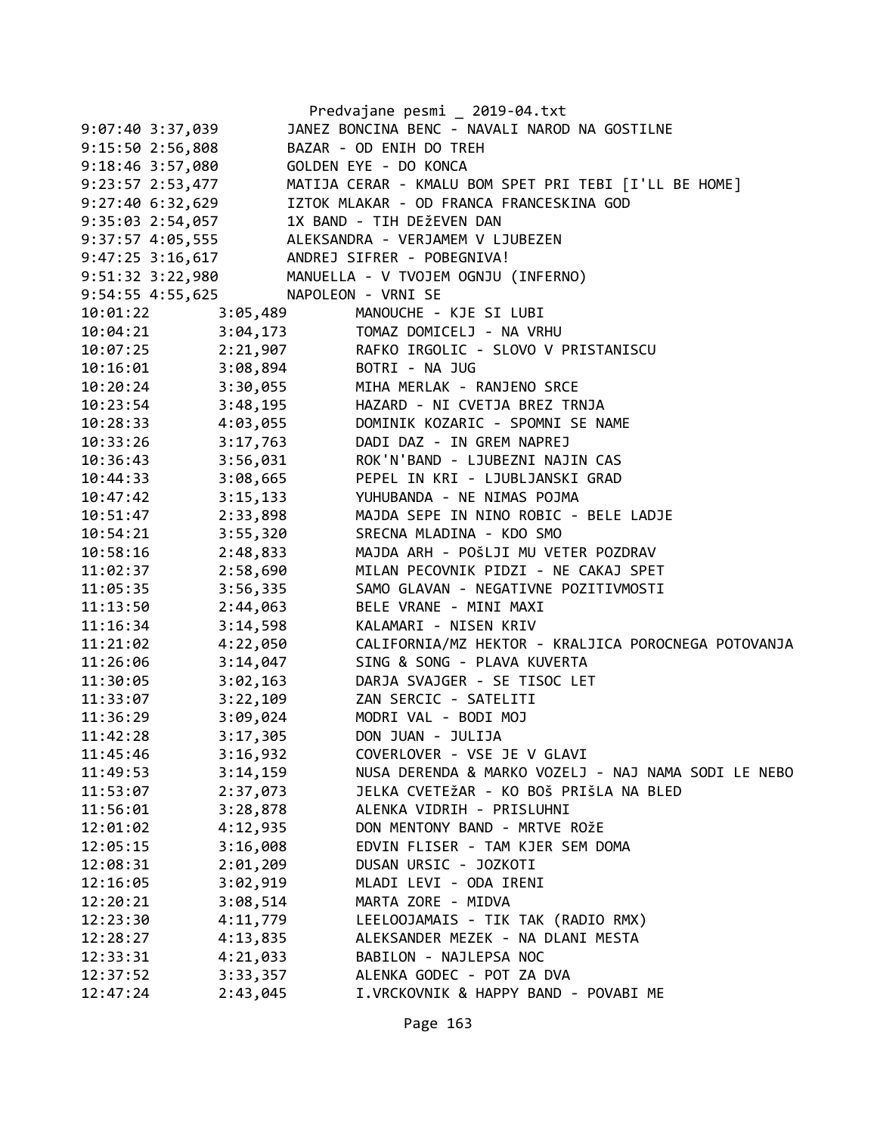|                                     |                      | Predvajane pesmi _ 2019-04.txt                                                                                                      |
|-------------------------------------|----------------------|-------------------------------------------------------------------------------------------------------------------------------------|
| $9:07:40$ 3:37,039                  |                      | JANEZ BONCINA BENC - NAVALI NAROD NA GOSTILNE                                                                                       |
| 9:15:50 2:56,808                    |                      | BAZAR - OD ENIH DO TREH                                                                                                             |
| 9:18:46 3:57,080                    |                      | GOLDEN EYE - DO KONCA                                                                                                               |
| 9:23:57 2:53,477                    |                      | MATIJA CERAR - KMALU BOM SPET PRI TEBI [I'LL BE HOME]                                                                               |
| $9:27:40$ 6:32,629                  |                      | IZTOK MLAKAR - OD FRANCA FRANCESKINA GOD                                                                                            |
| 9:35:03 2:54,057                    |                      | 1X BAND - TIH DEŽEVEN DAN                                                                                                           |
|                                     |                      |                                                                                                                                     |
|                                     |                      | 9:37:57  4:05,555  ALEKSANDRA - VERJAMEM V LJUBEZEN<br>9:47:25  3:16,617  ANDREJ SIFRER - POBEGNIVA!                                |
|                                     |                      | 9:51:32 3:22,980 MANUELLA - V TVOJEM OGNJU (INFERNO)                                                                                |
| 9:54:55 4:55,625 NAPOLEON - VRNI SE |                      |                                                                                                                                     |
| 10:01:22 3:05,489                   |                      | MANOUCHE - KJE SI LUBI                                                                                                              |
|                                     |                      | 10:04:21 3:04,173 TOMAZ DOMICELJ - NA VRHU                                                                                          |
|                                     |                      | 10:07:25 2:21,907 RAFKO IRGOLIC - SLOVO V PRISTANISCU                                                                               |
|                                     |                      |                                                                                                                                     |
|                                     |                      |                                                                                                                                     |
|                                     |                      | 10:16:01 3:08,894 BOTRI - NA JUG<br>10:20:24 3:30,055 MIHA MERLAK - RANJENO SRCE<br>10:23:54 3:48,195 HAZARD - NI CVETJA BREZ TRNJA |
| 10:28:33 4:03,055                   |                      | DOMINIK KOZARIC - SPOMNI SE NAME                                                                                                    |
| $10:33:26$ $3:17,763$               |                      | DADI DAZ - IN GREM NAPREJ                                                                                                           |
| 10:36:43                            | 3:56,031             | ROK'N'BAND - LJUBEZNI NAJIN CAS                                                                                                     |
| 10:44:33                            |                      | 3:08,665 PEPEL IN KRI - LJUBLJANSKI GRAD                                                                                            |
| 10:47:42                            | 3:15,133             | YUHUBANDA - NE NIMAS POJMA                                                                                                          |
| 10:51:47                            | 2:33,898             | MAJDA SEPE IN NINO ROBIC - BELE LADJE                                                                                               |
| 10:54:21                            | 3:55,320             | SRECNA MLADINA - KDO SMO                                                                                                            |
| 10:58:16                            | 2:48,833             | MAJDA ARH - POŠLJI MU VETER POZDRAV                                                                                                 |
| 11:02:37                            | 2:58,690             | MILAN PECOVNIK PIDZI - NE CAKAJ SPET                                                                                                |
| 11:05:35                            | 3:56,335             | SAMO GLAVAN - NEGATIVNE POZITIVMOSTI                                                                                                |
| 11:13:50                            | 2:44,063             | BELE VRANE - MINI MAXI                                                                                                              |
| 11:16:34                            | 3:14,598             | KALAMARI - NISEN KRIV                                                                                                               |
| 11:21:02                            | 4:22,050             | CALIFORNIA/MZ HEKTOR - KRALJICA POROCNEGA POTOVANJA                                                                                 |
| 11:26:06                            | 3:14,047             | SING & SONG - PLAVA KUVERTA                                                                                                         |
| 11:30:05                            | 3:02,163             | DARJA SVAJGER - SE TISOC LET                                                                                                        |
| 11:33:07                            |                      | 3:22,109 ZAN SERCIC - SATELITI                                                                                                      |
| 11:36:29                            |                      | 3:09,024 MODRI VAL - BODI MOJ                                                                                                       |
| 11:42:28                            | 3:17,305             | DON JUAN - JULIJA                                                                                                                   |
| 11:45:46                            | 3:16,932             | COVERLOVER - VSE JE V GLAVI                                                                                                         |
| 11:49:53                            | 3:14,159             | NUSA DERENDA & MARKO VOZELJ - NAJ NAMA SODI LE NEBO                                                                                 |
| 11:53:07                            | 2:37,073             | JELKA CVETEŽAR - KO BOŠ PRIŠLA NA BLED                                                                                              |
| 11:56:01                            | 3:28,878             | ALENKA VIDRIH - PRISLUHNI                                                                                                           |
| 12:01:02                            | 4:12,935             | DON MENTONY BAND - MRTVE ROŽE                                                                                                       |
| 12:05:15                            | 3:16,008             | EDVIN FLISER - TAM KJER SEM DOMA                                                                                                    |
| 12:08:31                            | 2:01,209             | DUSAN URSIC - JOZKOTI                                                                                                               |
| 12:16:05                            | 3:02,919             | MLADI LEVI - ODA IRENI                                                                                                              |
| 12:20:21                            | 3:08,514             | MARTA ZORE - MIDVA                                                                                                                  |
| 12:23:30                            |                      | LEELOOJAMAIS - TIK TAK (RADIO RMX)                                                                                                  |
| 12:28:27                            | 4:11,779<br>4:13,835 | ALEKSANDER MEZEK - NA DLANI MESTA                                                                                                   |
| 12:33:31                            | 4:21,033             | BABILON - NAJLEPSA NOC                                                                                                              |
| 12:37:52                            | 3:33,357             | ALENKA GODEC - POT ZA DVA                                                                                                           |
|                                     |                      |                                                                                                                                     |
| 12:47:24                            | 2:43,045             | I.VRCKOVNIK & HAPPY BAND - POVABI ME                                                                                                |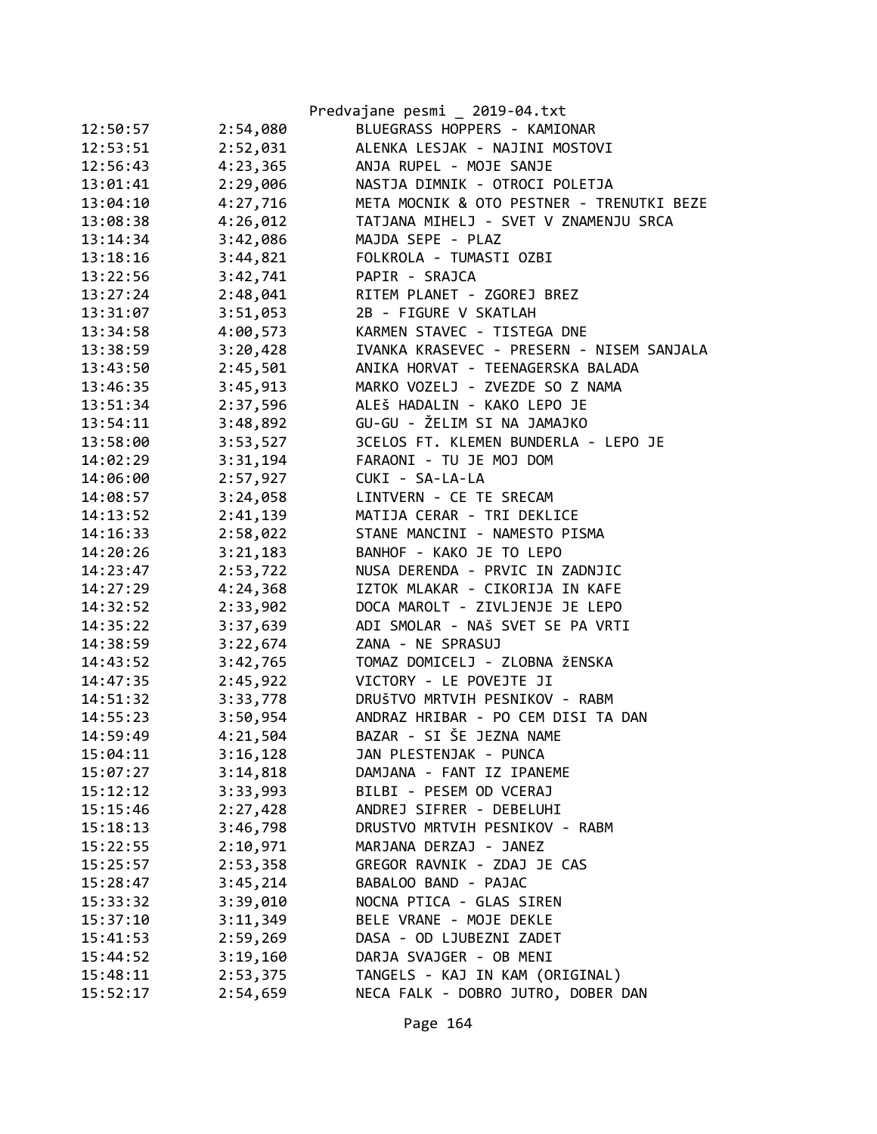|          |          | Predvajane pesmi _ 2019-04.txt            |
|----------|----------|-------------------------------------------|
| 12:50:57 | 2:54,080 | BLUEGRASS HOPPERS - KAMIONAR              |
| 12:53:51 | 2:52,031 | ALENKA LESJAK - NAJINI MOSTOVI            |
| 12:56:43 | 4:23,365 | ANJA RUPEL - MOJE SANJE                   |
| 13:01:41 | 2:29,006 | NASTJA DIMNIK - OTROCI POLETJA            |
| 13:04:10 | 4:27,716 | META MOCNIK & OTO PESTNER - TRENUTKI BEZE |
| 13:08:38 | 4:26,012 | TATJANA MIHELJ - SVET V ZNAMENJU SRCA     |
| 13:14:34 | 3:42,086 | MAJDA SEPE - PLAZ                         |
| 13:18:16 | 3:44,821 | FOLKROLA - TUMASTI OZBI                   |
| 13:22:56 | 3:42,741 | PAPIR - SRAJCA                            |
| 13:27:24 | 2:48,041 | RITEM PLANET - ZGOREJ BREZ                |
| 13:31:07 | 3:51,053 | 2B - FIGURE V SKATLAH                     |
| 13:34:58 | 4:00,573 | KARMEN STAVEC - TISTEGA DNE               |
| 13:38:59 | 3:20,428 | IVANKA KRASEVEC - PRESERN - NISEM SANJALA |
| 13:43:50 | 2:45,501 | ANIKA HORVAT - TEENAGERSKA BALADA         |
| 13:46:35 | 3:45,913 | MARKO VOZELJ - ZVEZDE SO Z NAMA           |
| 13:51:34 | 2:37,596 | ALEŠ HADALIN - KAKO LEPO JE               |
| 13:54:11 | 3:48,892 | GU-GU - ŽELIM SI NA JAMAJKO               |
| 13:58:00 | 3:53,527 | 3CELOS FT. KLEMEN BUNDERLA - LEPO JE      |
| 14:02:29 | 3:31,194 | FARAONI - TU JE MOJ DOM                   |
| 14:06:00 | 2:57,927 | CUKI - SA-LA-LA                           |
| 14:08:57 | 3:24,058 | LINTVERN - CE TE SRECAM                   |
| 14:13:52 | 2:41,139 | MATIJA CERAR - TRI DEKLICE                |
| 14:16:33 | 2:58,022 | STANE MANCINI - NAMESTO PISMA             |
| 14:20:26 | 3:21,183 | BANHOF - KAKO JE TO LEPO                  |
| 14:23:47 | 2:53,722 | NUSA DERENDA - PRVIC IN ZADNJIC           |
| 14:27:29 | 4:24,368 | IZTOK MLAKAR - CIKORIJA IN KAFE           |
| 14:32:52 | 2:33,902 | DOCA MAROLT - ZIVLJENJE JE LEPO           |
| 14:35:22 | 3:37,639 | ADI SMOLAR - NAŠ SVET SE PA VRTI          |
| 14:38:59 | 3:22,674 | ZANA - NE SPRASUJ                         |
| 14:43:52 | 3:42,765 | TOMAZ DOMICELJ - ZLOBNA ŽENSKA            |
| 14:47:35 | 2:45,922 | VICTORY - LE POVEJTE JI                   |
| 14:51:32 | 3:33,778 | DRUŠTVO MRTVIH PESNIKOV - RABM            |
| 14:55:23 | 3:50,954 | ANDRAZ HRIBAR - PO CEM DISI TA DAN        |
| 14:59:49 | 4:21,504 | BAZAR - SI ŠE JEZNA NAME                  |
| 15:04:11 | 3:16,128 | JAN PLESTENJAK - PUNCA                    |
| 15:07:27 | 3:14,818 | DAMJANA - FANT IZ IPANEME                 |
| 15:12:12 | 3:33,993 | BILBI - PESEM OD VCERAJ                   |
| 15:15:46 | 2:27,428 | ANDREJ SIFRER - DEBELUHI                  |
| 15:18:13 | 3:46,798 | DRUSTVO MRTVIH PESNIKOV - RABM            |
| 15:22:55 | 2:10,971 | MARJANA DERZAJ - JANEZ                    |
| 15:25:57 | 2:53,358 | GREGOR RAVNIK - ZDAJ JE CAS               |
| 15:28:47 | 3:45,214 | BABALOO BAND - PAJAC                      |
| 15:33:32 | 3:39,010 | NOCNA PTICA - GLAS SIREN                  |
| 15:37:10 | 3:11,349 | BELE VRANE - MOJE DEKLE                   |
| 15:41:53 | 2:59,269 | DASA - OD LJUBEZNI ZADET                  |
| 15:44:52 | 3:19,160 | DARJA SVAJGER - OB MENI                   |
| 15:48:11 | 2:53,375 | TANGELS - KAJ IN KAM (ORIGINAL)           |
| 15:52:17 | 2:54,659 | NECA FALK - DOBRO JUTRO, DOBER DAN        |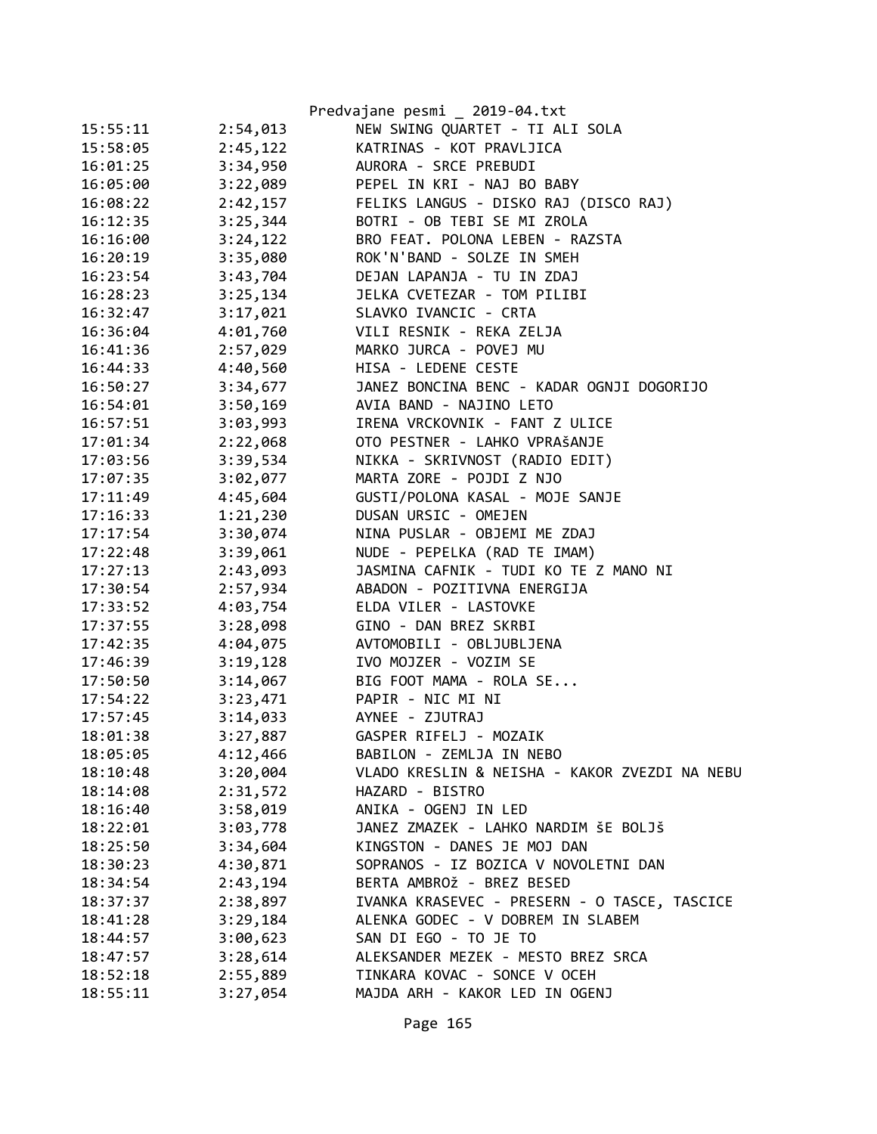|          |          | Predvajane pesmi _ 2019-04.txt                |
|----------|----------|-----------------------------------------------|
| 15:55:11 | 2:54,013 | NEW SWING QUARTET - TI ALI SOLA               |
| 15:58:05 | 2:45,122 | KATRINAS - KOT PRAVLJICA                      |
| 16:01:25 | 3:34,950 | AURORA - SRCE PREBUDI                         |
| 16:05:00 | 3:22,089 | PEPEL IN KRI - NAJ BO BABY                    |
| 16:08:22 | 2:42,157 | FELIKS LANGUS - DISKO RAJ (DISCO RAJ)         |
| 16:12:35 | 3:25,344 | BOTRI - OB TEBI SE MI ZROLA                   |
| 16:16:00 | 3:24,122 | BRO FEAT. POLONA LEBEN - RAZSTA               |
| 16:20:19 | 3:35,080 | ROK'N'BAND - SOLZE IN SMEH                    |
| 16:23:54 | 3:43,704 | DEJAN LAPANJA - TU IN ZDAJ                    |
| 16:28:23 | 3:25,134 | JELKA CVETEZAR - TOM PILIBI                   |
| 16:32:47 | 3:17,021 | SLAVKO IVANCIC - CRTA                         |
| 16:36:04 | 4:01,760 | VILI RESNIK - REKA ZELJA                      |
| 16:41:36 | 2:57,029 | MARKO JURCA - POVEJ MU                        |
| 16:44:33 | 4:40,560 | HISA - LEDENE CESTE                           |
| 16:50:27 | 3:34,677 | JANEZ BONCINA BENC - KADAR OGNJI DOGORIJO     |
| 16:54:01 | 3:50,169 | AVIA BAND - NAJINO LETO                       |
| 16:57:51 | 3:03,993 | IRENA VRCKOVNIK - FANT Z ULICE                |
| 17:01:34 | 2:22,068 | OTO PESTNER - LAHKO VPRAŠANJE                 |
| 17:03:56 | 3:39,534 | NIKKA - SKRIVNOST (RADIO EDIT)                |
| 17:07:35 | 3:02,077 | MARTA ZORE - POJDI Z NJO                      |
| 17:11:49 | 4:45,604 | GUSTI/POLONA KASAL - MOJE SANJE               |
| 17:16:33 | 1:21,230 | DUSAN URSIC - OMEJEN                          |
| 17:17:54 | 3:30,074 | NINA PUSLAR - OBJEMI ME ZDAJ                  |
| 17:22:48 | 3:39,061 | NUDE - PEPELKA (RAD TE IMAM)                  |
| 17:27:13 | 2:43,093 | JASMINA CAFNIK - TUDI KO TE Z MANO NI         |
| 17:30:54 | 2:57,934 | ABADON - POZITIVNA ENERGIJA                   |
| 17:33:52 | 4:03,754 | ELDA VILER - LASTOVKE                         |
| 17:37:55 | 3:28,098 | GINO - DAN BREZ SKRBI                         |
| 17:42:35 | 4:04,075 | AVTOMOBILI - OBLJUBLJENA                      |
| 17:46:39 | 3:19,128 | IVO MOJZER - VOZIM SE                         |
| 17:50:50 | 3:14,067 | BIG FOOT MAMA - ROLA SE                       |
| 17:54:22 | 3:23,471 | PAPIR - NIC MI NI                             |
| 17:57:45 | 3:14,033 | AYNEE - ZJUTRAJ                               |
| 18:01:38 | 3:27,887 | GASPER RIFELJ - MOZAIK                        |
| 18:05:05 | 4:12,466 | BABILON - ZEMLJA IN NEBO                      |
| 18:10:48 | 3:20,004 | VLADO KRESLIN & NEISHA - KAKOR ZVEZDI NA NEBU |
| 18:14:08 | 2:31,572 | HAZARD - BISTRO                               |
| 18:16:40 | 3:58,019 | ANIKA - OGENJ IN LED                          |
| 18:22:01 | 3:03,778 | JANEZ ZMAZEK - LAHKO NARDIM ŠE BOLJŠ          |
| 18:25:50 | 3:34,604 | KINGSTON - DANES JE MOJ DAN                   |
| 18:30:23 | 4:30,871 | SOPRANOS - IZ BOZICA V NOVOLETNI DAN          |
| 18:34:54 | 2:43,194 | BERTA AMBROŽ - BREZ BESED                     |
| 18:37:37 | 2:38,897 | IVANKA KRASEVEC - PRESERN - O TASCE, TASCICE  |
| 18:41:28 | 3:29,184 | ALENKA GODEC - V DOBREM IN SLABEM             |
| 18:44:57 | 3:00,623 | SAN DI EGO - TO JE TO                         |
| 18:47:57 | 3:28,614 | ALEKSANDER MEZEK - MESTO BREZ SRCA            |
| 18:52:18 | 2:55,889 | TINKARA KOVAC - SONCE V OCEH                  |
| 18:55:11 | 3:27,054 | MAJDA ARH - KAKOR LED IN OGENJ                |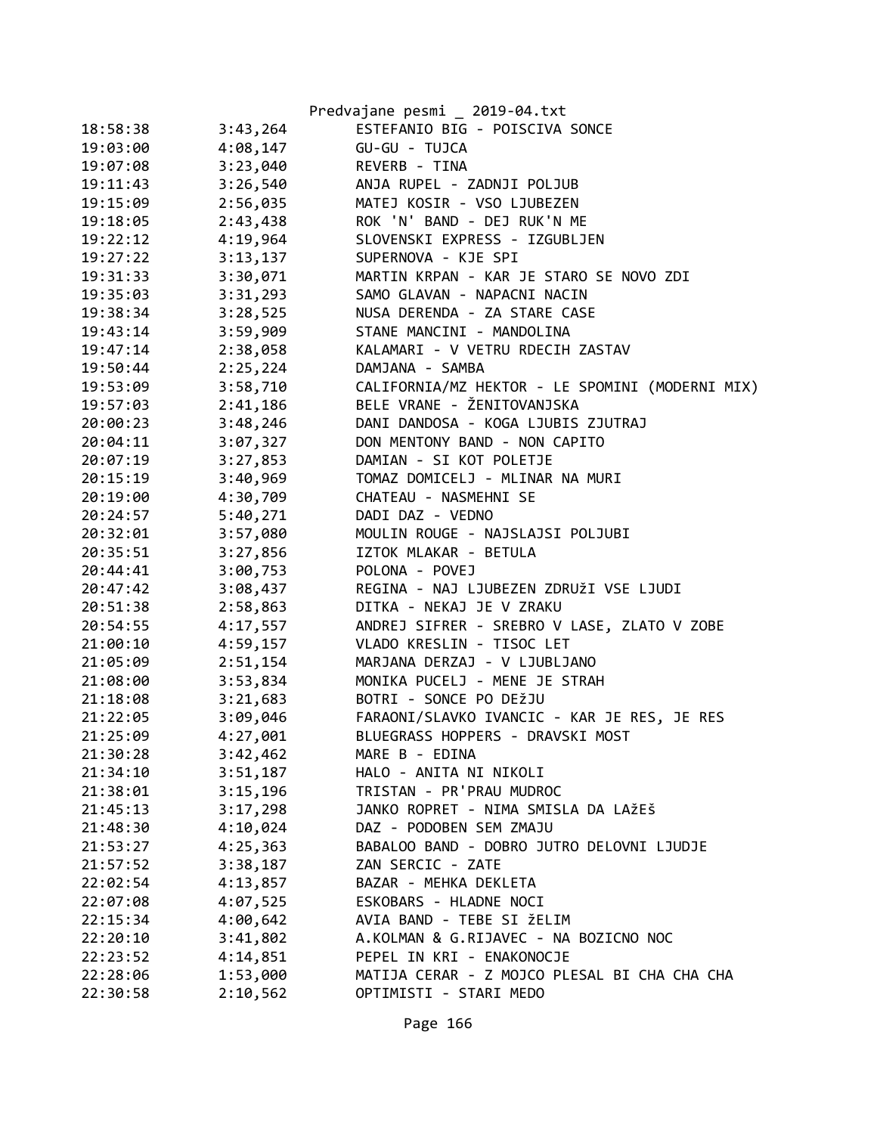|          |          | Predvajane pesmi _ 2019-04.txt                  |
|----------|----------|-------------------------------------------------|
| 18:58:38 | 3:43,264 | ESTEFANIO BIG - POISCIVA SONCE                  |
| 19:03:00 | 4:08,147 | GU-GU - TUJCA                                   |
| 19:07:08 | 3:23,040 | REVERB - TINA                                   |
| 19:11:43 | 3:26,540 | ANJA RUPEL - ZADNJI POLJUB                      |
| 19:15:09 | 2:56,035 | MATEJ KOSIR - VSO LJUBEZEN                      |
| 19:18:05 | 2:43,438 | ROK 'N' BAND - DEJ RUK'N ME                     |
| 19:22:12 | 4:19,964 | SLOVENSKI EXPRESS - IZGUBLJEN                   |
| 19:27:22 | 3:13,137 | SUPERNOVA - KJE SPI                             |
| 19:31:33 | 3:30,071 | MARTIN KRPAN - KAR JE STARO SE NOVO ZDI         |
| 19:35:03 | 3:31,293 | SAMO GLAVAN - NAPACNI NACIN                     |
| 19:38:34 | 3:28,525 | NUSA DERENDA - ZA STARE CASE                    |
| 19:43:14 | 3:59,909 | STANE MANCINI - MANDOLINA                       |
| 19:47:14 | 2:38,058 | KALAMARI - V VETRU RDECIH ZASTAV                |
| 19:50:44 | 2:25,224 | DAMJANA - SAMBA                                 |
| 19:53:09 | 3:58,710 | CALIFORNIA/MZ HEKTOR - LE SPOMINI (MODERNI MIX) |
| 19:57:03 | 2:41,186 | BELE VRANE - ŽENITOVANJSKA                      |
| 20:00:23 | 3:48,246 | DANI DANDOSA - KOGA LJUBIS ZJUTRAJ              |
| 20:04:11 | 3:07,327 | DON MENTONY BAND - NON CAPITO                   |
| 20:07:19 | 3:27,853 | DAMIAN - SI KOT POLETJE                         |
| 20:15:19 | 3:40,969 | TOMAZ DOMICELJ - MLINAR NA MURI                 |
| 20:19:00 | 4:30,709 | CHATEAU - NASMEHNI SE                           |
| 20:24:57 | 5:40,271 | DADI DAZ - VEDNO                                |
| 20:32:01 | 3:57,080 | MOULIN ROUGE - NAJSLAJSI POLJUBI                |
| 20:35:51 | 3:27,856 | IZTOK MLAKAR - BETULA                           |
| 20:44:41 | 3:00,753 | POLONA - POVEJ                                  |
| 20:47:42 | 3:08,437 | REGINA - NAJ LJUBEZEN ZDRUŽI VSE LJUDI          |
| 20:51:38 | 2:58,863 | DITKA - NEKAJ JE V ZRAKU                        |
| 20:54:55 | 4:17,557 | ANDREJ SIFRER - SREBRO V LASE, ZLATO V ZOBE     |
| 21:00:10 | 4:59,157 | VLADO KRESLIN - TISOC LET                       |
| 21:05:09 | 2:51,154 | MARJANA DERZAJ - V LJUBLJANO                    |
| 21:08:00 | 3:53,834 | MONIKA PUCELJ - MENE JE STRAH                   |
| 21:18:08 | 3:21,683 | BOTRI - SONCE PO DEŽJU                          |
| 21:22:05 | 3:09,046 | FARAONI/SLAVKO IVANCIC - KAR JE RES, JE RES     |
| 21:25:09 | 4:27,001 | BLUEGRASS HOPPERS - DRAVSKI MOST                |
| 21:30:28 | 3:42,462 | MARE B - EDINA                                  |
| 21:34:10 | 3:51,187 | HALO - ANITA NI NIKOLI                          |
| 21:38:01 | 3:15,196 | TRISTAN - PR'PRAU MUDROC                        |
| 21:45:13 | 3:17,298 | JANKO ROPRET - NIMA SMISLA DA LAŽEŠ             |
| 21:48:30 | 4:10,024 | DAZ - PODOBEN SEM ZMAJU                         |
| 21:53:27 | 4:25,363 | BABALOO BAND - DOBRO JUTRO DELOVNI LJUDJE       |
| 21:57:52 | 3:38,187 | ZAN SERCIC - ZATE                               |
| 22:02:54 | 4:13,857 | BAZAR - MEHKA DEKLETA                           |
| 22:07:08 | 4:07,525 | ESKOBARS - HLADNE NOCI                          |
| 22:15:34 | 4:00,642 | AVIA BAND - TEBE SI ŽELIM                       |
| 22:20:10 | 3:41,802 | A.KOLMAN & G.RIJAVEC - NA BOZICNO NOC           |
| 22:23:52 | 4:14,851 | PEPEL IN KRI - ENAKONOCJE                       |
| 22:28:06 | 1:53,000 | MATIJA CERAR - Z MOJCO PLESAL BI CHA CHA CHA    |
| 22:30:58 | 2:10,562 | OPTIMISTI - STARI MEDO                          |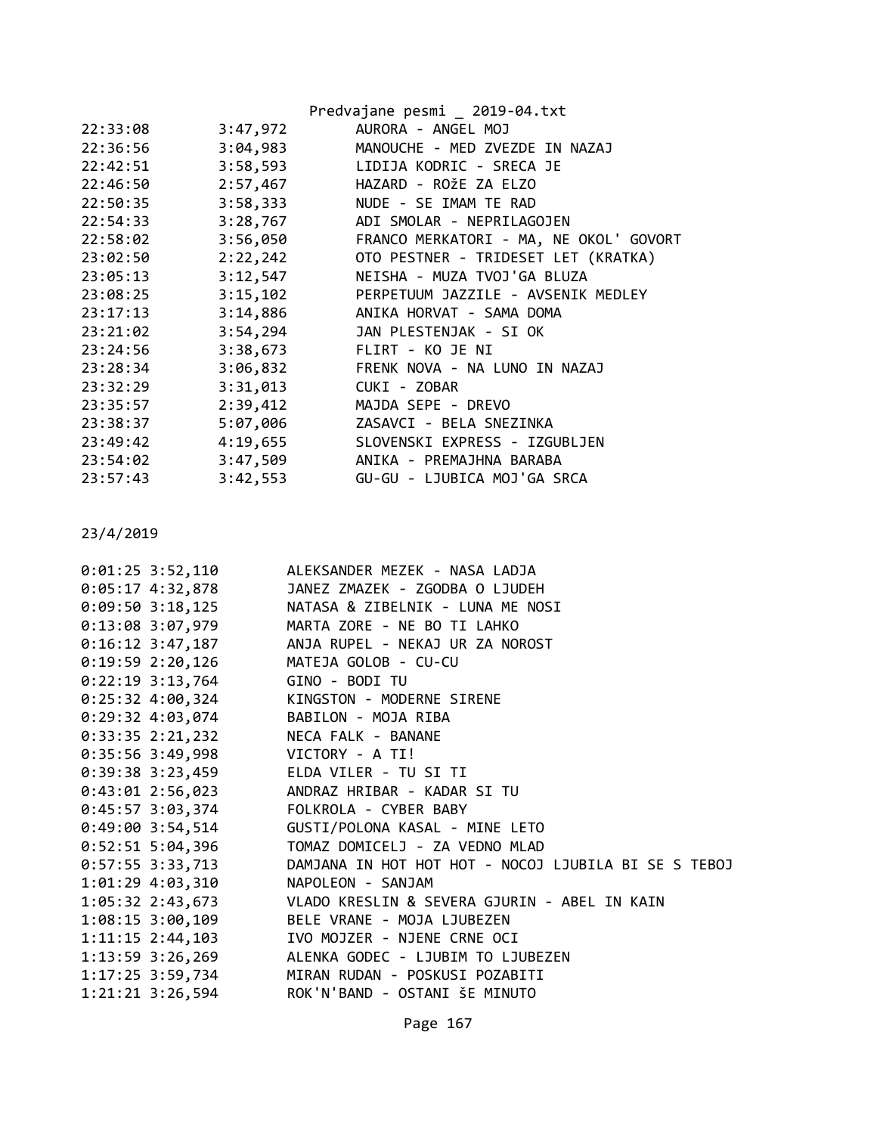|          |          | Predvajane pesmi _ 2019-04.txt         |
|----------|----------|----------------------------------------|
| 22:33:08 | 3:47,972 | AURORA - ANGEL MOJ                     |
| 22:36:56 | 3:04,983 | MANOUCHE - MED ZVEZDE IN NAZAJ         |
| 22:42:51 | 3:58,593 | LIDIJA KODRIC - SRECA JE               |
| 22:46:50 | 2:57,467 | HAZARD - ROŽE ZA ELZO                  |
| 22:50:35 | 3:58,333 | NUDE - SE IMAM TE RAD                  |
| 22:54:33 | 3:28,767 | ADI SMOLAR - NEPRILAGOJEN              |
| 22:58:02 | 3:56,050 | FRANCO MERKATORI - MA, NE OKOL' GOVORT |
| 23:02:50 | 2:22,242 | OTO PESTNER - TRIDESET LET (KRATKA)    |
| 23:05:13 | 3:12,547 | NEISHA - MUZA TVOJ'GA BLUZA            |
| 23:08:25 | 3:15,102 | PERPETUUM JAZZILE - AVSENIK MEDLEY     |
| 23:17:13 | 3:14,886 | ANIKA HORVAT - SAMA DOMA               |
| 23:21:02 | 3:54,294 | JAN PLESTENJAK - SI OK                 |
| 23:24:56 | 3:38,673 | FLIRT - KO JE NI                       |
| 23:28:34 | 3:06,832 | FRENK NOVA - NA LUNO IN NAZAJ          |
| 23:32:29 | 3:31,013 | CUKI - ZOBAR                           |
| 23:35:57 | 2:39,412 | MAJDA SEPE - DREVO                     |
| 23:38:37 | 5:07,006 | ZASAVCI - BELA SNEZINKA                |
| 23:49:42 | 4:19,655 | SLOVENSKI EXPRESS - IZGUBLJEN          |
| 23:54:02 | 3:47,509 | ANIKA - PREMAJHNA BARABA               |
| 23:57:43 | 3:42,553 | GU-GU - LJUBICA MOJ'GA SRCA            |
|          |          |                                        |

| 0:01:25 3:52,110 ALEKSANDER MEZEK - NASA LADJA                           |
|--------------------------------------------------------------------------|
| $0:05:17$ 4:32,878<br>JANEZ ZMAZEK - ZGODBA O LJUDEH                     |
| $0:09:50$ 3:18,125<br>NATASA & ZIBELNIK - LUNA ME NOSI                   |
| 0:13:08 3:07,979 MARTA ZORE - NE BO TI LAHKO                             |
| 0:16:12 3:47,187 ANJA RUPEL - NEKAJ UR ZA NOROST                         |
| 0:19:59 2:20,126 MATEJA GOLOB - CU-CU                                    |
| 0:22:19 3:13,764 GINO - BODI TU                                          |
| 0:25:32 4:00,324 KINGSTON - MODERNE SIRENE                               |
| 0:29:32 4:03,074 BABILON - MOJA RIBA                                     |
| $0:33:35$ 2:21,232<br>NECA FALK - BANANE                                 |
| 0:35:56 3:49,998 VICTORY - A TI!                                         |
| 0:39:38 3:23,459 ELDA VILER - TU SI TI                                   |
| 0:43:01 2:56,023 ANDRAZ HRIBAR - KADAR SI TU                             |
| 0:45:57 3:03,374 FOLKROLA - CYBER BABY                                   |
| 0:49:00 3:54,514 GUSTI/POLONA KASAL - MINE LETO                          |
| 0:52:51 5:04,396 TOMAZ DOMICELJ - ZA VEDNO MLAD                          |
| 0:57:55 3:33,713<br>DAMJANA IN HOT HOT HOT - NOCOJ LJUBILA BI SE S TEBOJ |
| 1:01:29 4:03,310<br>NAPOLEON - SANJAM                                    |
| 1:05:32 2:43,673 VLADO KRESLIN & SEVERA GJURIN - ABEL IN KAIN            |
| 1:08:15 3:00,109 BELE VRANE - MOJA LJUBEZEN                              |
| $1:11:15$ $2:44,103$<br>IVO MOJZER - NJENE CRNE OCI                      |
| 1:13:59 3:26,269 ALENKA GODEC - LJUBIM TO LJUBEZEN                       |
| 1:17:25 3:59,734 MIRAN RUDAN - POSKUSI POZABITI                          |
| 1:21:21 3:26,594 ROK'N'BAND - OSTANI ŠE MINUTO                           |
|                                                                          |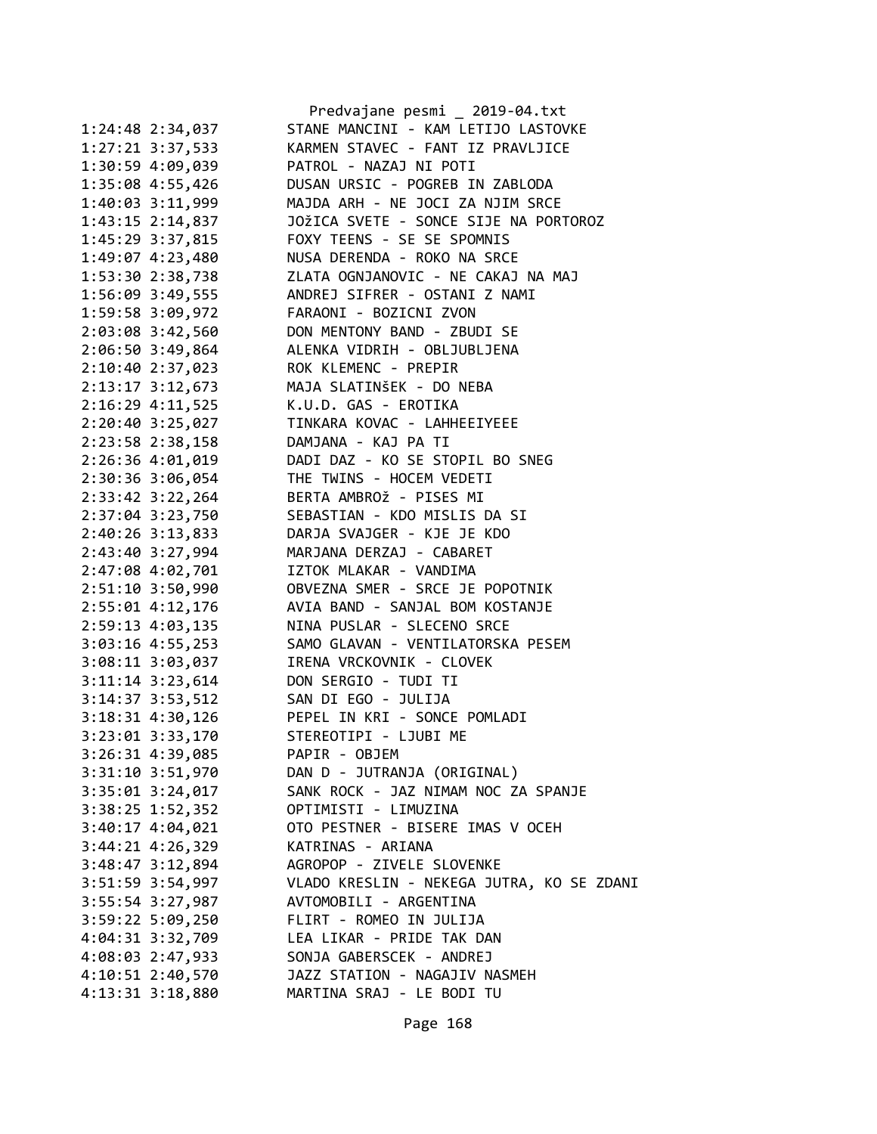|                      | Predvajane pesmi _ 2019-04.txt                |
|----------------------|-----------------------------------------------|
| 1:24:48 2:34,037     | STANE MANCINI - KAM LETIJO LASTOVKE           |
| $1:27:21$ $3:37,533$ | KARMEN STAVEC - FANT IZ PRAVLJICE             |
| 1:30:59 4:09,039     | PATROL - NAZAJ NI POTI                        |
| 1:35:08 4:55,426     | DUSAN URSIC - POGREB IN ZABLODA               |
| 1:40:03 3:11,999     | MAJDA ARH - NE JOCI ZA NJIM SRCE              |
| 1:43:15 2:14,837     | JOŽICA SVETE - SONCE SIJE NA PORTOROZ         |
| 1:45:29 3:37,815     | FOXY TEENS - SE SE SPOMNIS                    |
| 1:49:07 4:23,480     | NUSA DERENDA - ROKO NA SRCE                   |
| 1:53:30 2:38,738     | ZLATA OGNJANOVIC - NE CAKAJ NA MAJ            |
| 1:56:09 3:49,555     | ANDREJ SIFRER - OSTANI Z NAMI                 |
| 1:59:58 3:09,972     | FARAONI - BOZICNI ZVON                        |
| 2:03:08 3:42,560     | DON MENTONY BAND - ZBUDI SE                   |
| 2:06:50 3:49,864     | ALENKA VIDRIH - OBLJUBLJENA                   |
| 2:10:40 2:37,023     | ROK KLEMENC - PREPIR                          |
| 2:13:17 3:12,673     | MAJA SLATINŠEK - DO NEBA                      |
| 2:16:29 4:11,525     | K.U.D. GAS - EROTIKA                          |
| 2:20:40 3:25,027     | TINKARA KOVAC - LAHHEEIYEEE                   |
| 2:23:58 2:38,158     | DAMJANA - KAJ PA TI                           |
| 2:26:36 4:01,019     | DADI DAZ - KO SE STOPIL BO SNEG               |
| 2:30:36 3:06,054     | THE TWINS - HOCEM VEDETI                      |
| 2:33:42 3:22,264     | BERTA AMBROŽ - PISES MI                       |
| 2:37:04 3:23,750     | SEBASTIAN - KDO MISLIS DA SI                  |
| 2:40:26 3:13,833     | DARJA SVAJGER - KJE JE KDO                    |
| 2:43:40 3:27,994     | MARJANA DERZAJ - CABARET                      |
| 2:47:08 4:02,701     | IZTOK MLAKAR - VANDIMA                        |
| 2:51:10 3:50,990     | OBVEZNA SMER - SRCE JE POPOTNIK               |
| 2:55:01 4:12,176     | AVIA BAND - SANJAL BOM KOSTANJE               |
| 2:59:13 4:03,135     | NINA PUSLAR - SLECENO SRCE                    |
| 3:03:16 4:55,253     | SAMO GLAVAN - VENTILATORSKA PESEM             |
| 3:08:11 3:03,037     | IRENA VRCKOVNIK - CLOVEK                      |
| 3:11:14 3:23,614     | DON SERGIO - TUDI TI                          |
| 3:14:37 3:53,512     | SAN DI EGO - JULIJA                           |
|                      | 3:18:31 4:30,126 PEPEL IN KRI - SONCE POMLADI |
| 3:23:01 3:33,170     | STEREOTIPI - LJUBI ME                         |
| 3:26:31 4:39,085     | PAPIR - OBJEM                                 |
|                      | DAN D - JUTRANJA (ORIGINAL)                   |
| 3:31:10 3:51,970     |                                               |
| 3:35:01 3:24,017     | SANK ROCK - JAZ NIMAM NOC ZA SPANJE           |
| 3:38:25 1:52,352     | OPTIMISTI - LIMUZINA                          |
| 3:40:17 4:04,021     | OTO PESTNER - BISERE IMAS V OCEH              |
| $3:44:21$ $4:26,329$ | KATRINAS - ARIANA                             |
| 3:48:47 3:12,894     | AGROPOP - ZIVELE SLOVENKE                     |
| 3:51:59 3:54,997     | VLADO KRESLIN - NEKEGA JUTRA, KO SE ZDANI     |
| 3:55:54 3:27,987     | AVTOMOBILI - ARGENTINA                        |
| 3:59:22 5:09,250     | FLIRT - ROMEO IN JULIJA                       |
| 4:04:31 3:32,709     | LEA LIKAR - PRIDE TAK DAN                     |
| 4:08:03 2:47,933     | SONJA GABERSCEK - ANDREJ                      |
| 4:10:51 2:40,570     | JAZZ STATION - NAGAJIV NASMEH                 |
| 4:13:31 3:18,880     | MARTINA SRAJ - LE BODI TU                     |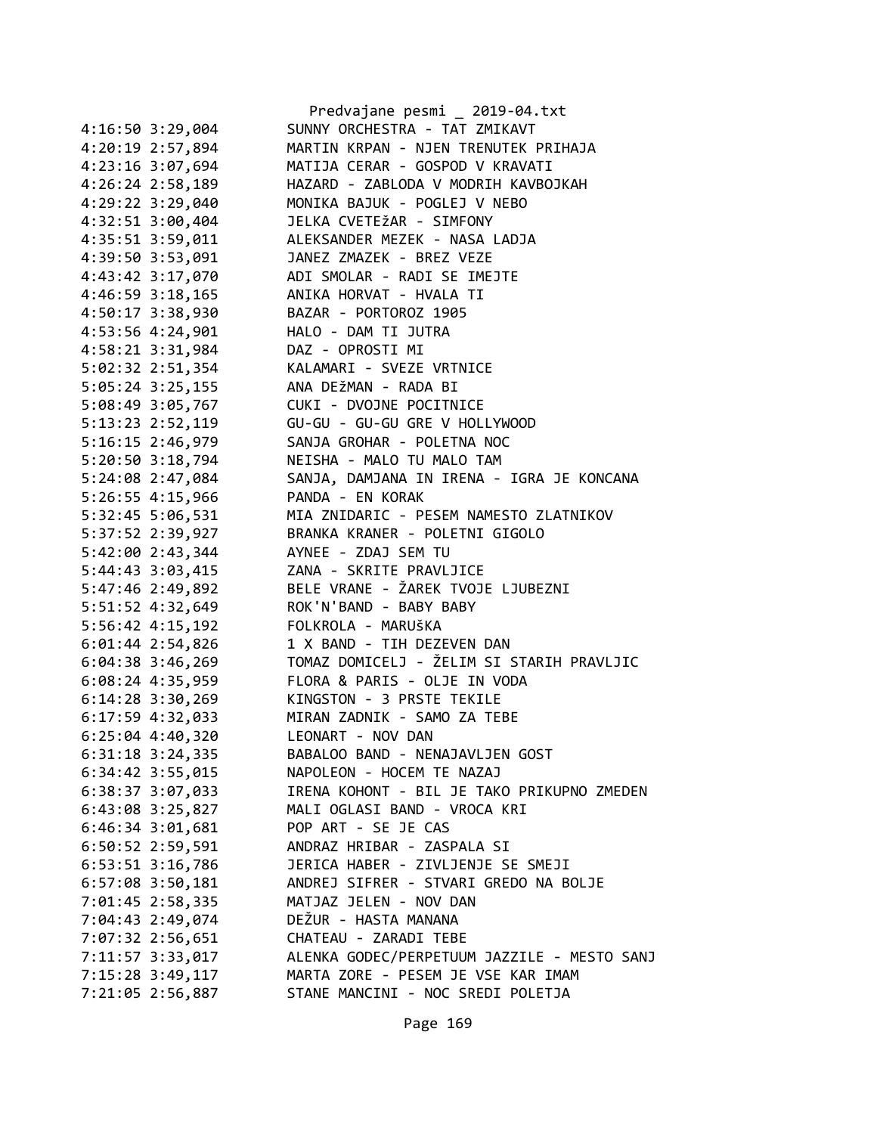|                      | Predvajane pesmi 2019-04.txt                |
|----------------------|---------------------------------------------|
| 4:16:50 3:29,004     | SUNNY ORCHESTRA - TAT ZMIKAVT               |
| 4:20:19 2:57,894     | MARTIN KRPAN - NJEN TRENUTEK PRIHAJA        |
| 4:23:16 3:07,694     | MATIJA CERAR - GOSPOD V KRAVATI             |
| 4:26:24 2:58,189     | HAZARD - ZABLODA V MODRIH KAVBOJKAH         |
| 4:29:22 3:29,040     | MONIKA BAJUK - POGLEJ V NEBO                |
| 4:32:51 3:00,404     | JELKA CVETEŽAR - SIMFONY                    |
| 4:35:51 3:59,011     | ALEKSANDER MEZEK - NASA LADJA               |
| 4:39:50 3:53,091     | JANEZ ZMAZEK - BREZ VEZE                    |
| 4:43:42 3:17,070     | ADI SMOLAR - RADI SE IMEJTE                 |
| 4:46:59 3:18,165     | ANIKA HORVAT - HVALA TI                     |
| 4:50:17 3:38,930     | BAZAR - PORTOROZ 1905                       |
| 4:53:56 4:24,901     | HALO - DAM TI JUTRA                         |
| 4:58:21 3:31,984     | DAZ - OPROSTI MI                            |
| 5:02:32 2:51,354     | KALAMARI - SVEZE VRTNICE                    |
| 5:05:24 3:25,155     | ANA DEŽMAN - RADA BI                        |
| 5:08:49 3:05,767     | CUKI - DVOJNE POCITNICE                     |
| 5:13:23 2:52,119     | GU-GU - GU-GU GRE V HOLLYWOOD               |
| 5:16:15 2:46,979     | SANJA GROHAR - POLETNA NOC                  |
| 5:20:50 3:18,794     | NEISHA - MALO TU MALO TAM                   |
| 5:24:08 2:47,084     | SANJA, DAMJANA IN IRENA - IGRA JE KONCANA   |
| 5:26:55 4:15,966     | PANDA - EN KORAK                            |
| 5:32:45 5:06,531     | MIA ZNIDARIC - PESEM NAMESTO ZLATNIKOV      |
| 5:37:52 2:39,927     | BRANKA KRANER - POLETNI GIGOLO              |
| 5:42:00 2:43,344     | AYNEE - ZDAJ SEM TU                         |
| 5:44:43 3:03,415     | ZANA - SKRITE PRAVLJICE                     |
| 5:47:46 2:49,892     | BELE VRANE - ŽAREK TVOJE LJUBEZNI           |
| 5:51:52 4:32,649     | ROK'N'BAND - BABY BABY                      |
| 5:56:42 4:15,192     | FOLKROLA - MARUŠKA                          |
| $6:01:44$ 2:54,826   | 1 X BAND - TIH DEZEVEN DAN                  |
| $6:04:38$ 3:46,269   | TOMAZ DOMICELJ - ŽELIM SI STARIH PRAVLJIC   |
| $6:08:24$ 4:35,959   | FLORA & PARIS - OLJE IN VODA                |
| $6:14:28$ 3:30,269   | KINGSTON - 3 PRSTE TEKILE                   |
| 6:17:59 4:32,033     | MIRAN ZADNIK - SAMO ZA TEBE                 |
| $6:25:04$ 4:40,320   | LEONART - NOV DAN                           |
| $6:31:18$ 3:24,335   | BABALOO BAND - NENAJAVLJEN GOST             |
| $6:34:42$ $3:55,015$ | NAPOLEON - HOCEM TE NAZAJ                   |
| 6:38:37 3:07,033     | IRENA KOHONT - BIL JE TAKO PRIKUPNO ZMEDEN  |
| $6:43:08$ 3:25,827   | MALI OGLASI BAND - VROCA KRI                |
| $6:46:34$ $3:01,681$ | POP ART - SE JE CAS                         |
| 6:50:52 2:59,591     | ANDRAZ HRIBAR - ZASPALA SI                  |
| 6:53:51 3:16,786     | JERICA HABER - ZIVLJENJE SE SMEJI           |
| 6:57:08 3:50,181     | ANDREJ SIFRER - STVARI GREDO NA BOLJE       |
| 7:01:45 2:58,335     | MATJAZ JELEN - NOV DAN                      |
| 7:04:43 2:49,074     | DEŽUR - HASTA MANANA                        |
| 7:07:32 2:56,651     | CHATEAU - ZARADI TEBE                       |
| 7:11:57 3:33,017     | ALENKA GODEC/PERPETUUM JAZZILE - MESTO SANJ |
| 7:15:28 3:49,117     | MARTA ZORE - PESEM JE VSE KAR IMAM          |
| 7:21:05 2:56,887     | STANE MANCINI - NOC SREDI POLETJA           |
|                      |                                             |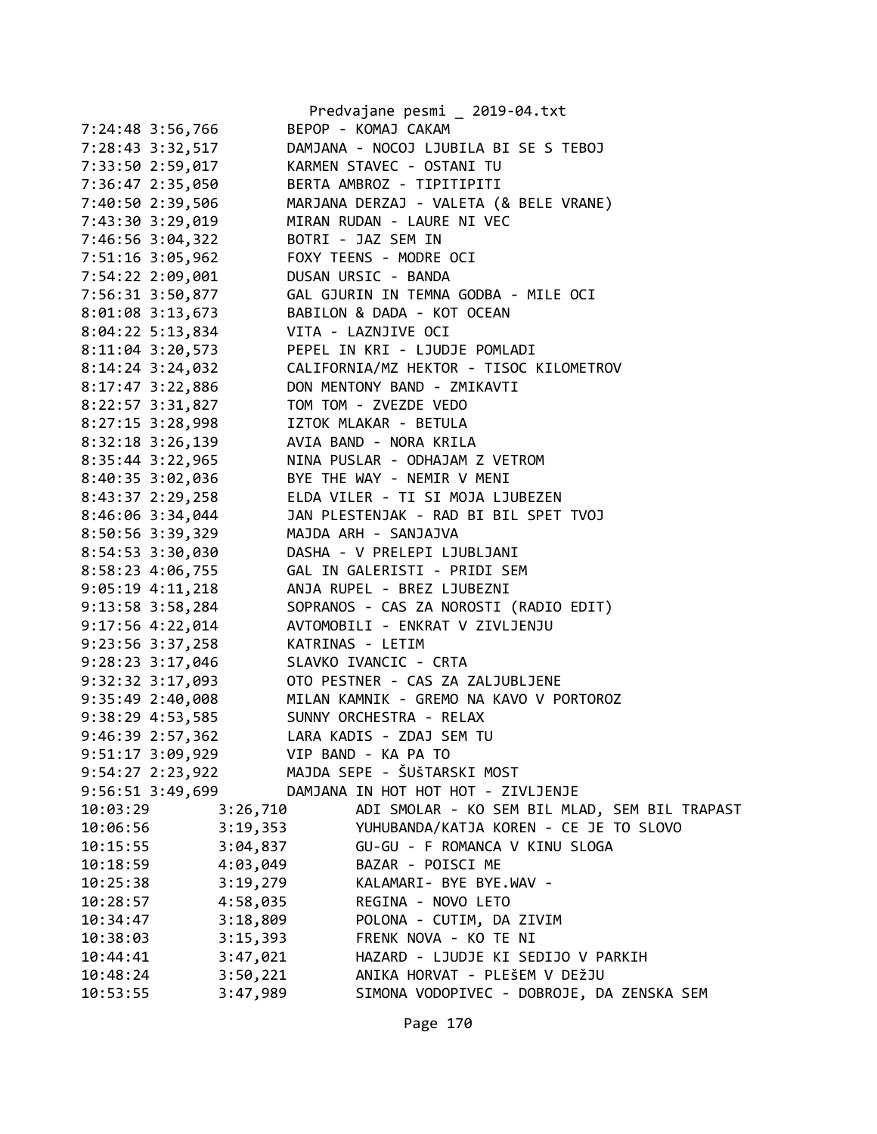|                                        | Predvajane pesmi _ 2019-04.txt                           |
|----------------------------------------|----------------------------------------------------------|
| 7:24:48 3:56,766                       | BEPOP - KOMAJ CAKAM                                      |
| 7:28:43 3:32,517                       | DAMJANA - NOCOJ LJUBILA BI SE S TEBOJ                    |
|                                        | 7:33:50 2:59,017 KARMEN STAVEC - OSTANI TU               |
| 7:36:47 2:35,050                       | BERTA AMBROZ - TIPITIPITI                                |
| 7:40:50 2:39,506                       | MARJANA DERZAJ - VALETA (& BELE VRANE)                   |
| 7:43:30 3:29,019                       | MIRAN RUDAN - LAURE NI VEC                               |
| 7:46:56 3:04,322                       | BOTRI - JAZ SEM IN                                       |
| 7:51:16 3:05,962                       | FOXY TEENS - MODRE OCI                                   |
| 7:54:22 2:09,001                       | DUSAN URSIC - BANDA                                      |
| 7:56:31 3:50,877                       | GAL GJURIN IN TEMNA GODBA - MILE OCI                     |
| $8:01:08$ 3:13,673                     | BABILON & DADA - KOT OCEAN                               |
| $8:04:22$ 5:13,834                     | VITA - LAZNJIVE OCI                                      |
| $8:11:04$ 3:20,573                     | PEPEL IN KRI - LJUDJE POMLADI                            |
| $8:14:24$ 3:24,032                     | CALIFORNIA/MZ HEKTOR - TISOC KILOMETROV                  |
| 8:17:47 3:22,886                       | DON MENTONY BAND - ZMIKAVTI                              |
| 8:22:57 3:31,827                       | TOM TOM - ZVEZDE VEDO                                    |
| 8:27:15 3:28,998                       | IZTOK MLAKAR - BETULA                                    |
| $8:32:18$ 3:26,139                     | AVIA BAND - NORA KRILA                                   |
| 8:35:44 3:22,965                       | NINA PUSLAR - ODHAJAM Z VETROM                           |
| 8:40:35 3:02,036                       | BYE THE WAY - NEMIR V MENI                               |
| 8:43:37 2:29,258                       | ELDA VILER - TI SI MOJA LJUBEZEN                         |
| 8:46:06 3:34,044                       | JAN PLESTENJAK - RAD BI BIL SPET TVOJ                    |
| 8:50:56 3:39,329                       | MAJDA ARH - SANJAJVA                                     |
| 8:54:53 3:30,030                       | DASHA - V PRELEPI LJUBLJANI                              |
| 8:58:23 4:06,755                       | GAL IN GALERISTI - PRIDI SEM                             |
| $9:05:19$ $4:11,218$                   | ANJA RUPEL - BREZ LJUBEZNI                               |
| $9:13:58$ $3:58$ , 284                 | SOPRANOS - CAS ZA NOROSTI (RADIO EDIT)                   |
| $9:17:56$ $4:22,014$                   | AVTOMOBILI - ENKRAT V ZIVLJENJU                          |
| 9:23:56 3:37,258                       | KATRINAS - LETIM                                         |
| 9:28:23 3:17,046 SLAVKO IVANCIC - CRTA |                                                          |
|                                        | 9:32:32 3:17,093 OTO PESTNER - CAS ZA ZALJUBLJENE        |
|                                        | 9:35:49 2:40,008 MILAN KAMNIK - GREMO NA KAVO V PORTOROZ |
| 9:38:29 4:53,585                       | SUNNY ORCHESTRA - RELAX                                  |
| $9:46:39$ 2:57,362                     | LARA KADIS - ZDAJ SEM TU                                 |
| 9:51:17 3:09,929                       | VIP BAND - KA PA TO                                      |
| $9:54:27$ $2:23,922$                   | MAJDA SEPE - ŠUŠTARSKI MOST                              |
| 9:56:51 3:49,699                       | DAMJANA IN HOT HOT HOT - ZIVLJENJE                       |
| 3:26,710<br>10:03:29                   | ADI SMOLAR - KO SEM BIL MLAD, SEM BIL TRAPAST            |
| 3:19,353<br>10:06:56                   | YUHUBANDA/KATJA KOREN - CE JE TO SLOVO                   |
| 3:04,837<br>10:15:55                   | GU-GU - F ROMANCA V KINU SLOGA                           |
| 4:03,049<br>10:18:59                   | BAZAR - POISCI ME                                        |
| 3:19,279<br>10:25:38                   | KALAMARI- BYE BYE.WAV -                                  |
| 4:58,035<br>10:28:57                   | REGINA - NOVO LETO                                       |
| 3:18,809<br>10:34:47                   | POLONA - CUTIM, DA ZIVIM                                 |
| 3:15,393<br>10:38:03                   | FRENK NOVA - KO TE NI                                    |
| 3:47,021<br>10:44:41                   | HAZARD - LJUDJE KI SEDIJO V PARKIH                       |
| 3:50,221<br>10:48:24                   | ANIKA HORVAT - PLEŠEM V DEŽJU                            |
| 10:53:55<br>3:47,989                   | SIMONA VODOPIVEC - DOBROJE, DA ZENSKA SEM                |
|                                        |                                                          |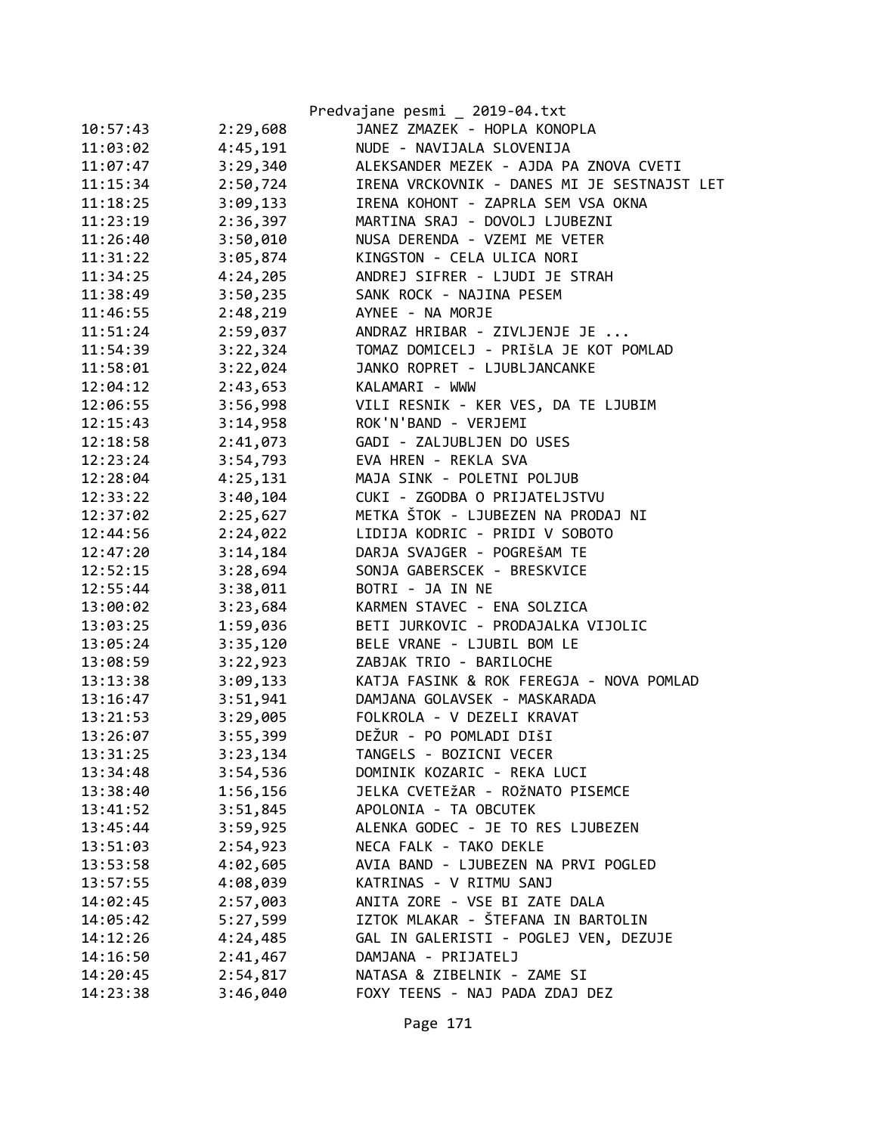|          |          | Predvajane pesmi _ 2019-04.txt              |
|----------|----------|---------------------------------------------|
| 10:57:43 | 2:29,608 | JANEZ ZMAZEK - HOPLA KONOPLA                |
| 11:03:02 | 4:45,191 | NUDE - NAVIJALA SLOVENIJA                   |
| 11:07:47 | 3:29,340 | ALEKSANDER MEZEK - AJDA PA ZNOVA CVETI      |
| 11:15:34 | 2:50,724 | IRENA VRCKOVNIK - DANES MI JE SESTNAJST LET |
| 11:18:25 | 3:09,133 | IRENA KOHONT - ZAPRLA SEM VSA OKNA          |
| 11:23:19 | 2:36,397 | MARTINA SRAJ - DOVOLJ LJUBEZNI              |
| 11:26:40 | 3:50,010 | NUSA DERENDA - VZEMI ME VETER               |
| 11:31:22 | 3:05,874 | KINGSTON - CELA ULICA NORI                  |
| 11:34:25 | 4:24,205 | ANDREJ SIFRER - LJUDI JE STRAH              |
| 11:38:49 | 3:50,235 | SANK ROCK - NAJINA PESEM                    |
| 11:46:55 | 2:48,219 | AYNEE - NA MORJE                            |
| 11:51:24 | 2:59,037 | ANDRAZ HRIBAR - ZIVLJENJE JE                |
| 11:54:39 | 3:22,324 | TOMAZ DOMICELJ - PRIŠLA JE KOT POMLAD       |
| 11:58:01 | 3:22,024 | JANKO ROPRET - LJUBLJANCANKE                |
| 12:04:12 | 2:43,653 | KALAMARI - WWW                              |
| 12:06:55 | 3:56,998 | VILI RESNIK - KER VES, DA TE LJUBIM         |
| 12:15:43 | 3:14,958 | ROK'N'BAND - VERJEMI                        |
| 12:18:58 | 2:41,073 | GADI - ZALJUBLJEN DO USES                   |
| 12:23:24 | 3:54,793 | EVA HREN - REKLA SVA                        |
| 12:28:04 | 4:25,131 | MAJA SINK - POLETNI POLJUB                  |
| 12:33:22 | 3:40,104 | CUKI - ZGODBA O PRIJATELJSTVU               |
| 12:37:02 | 2:25,627 | METKA ŠTOK - LJUBEZEN NA PRODAJ NI          |
| 12:44:56 | 2:24,022 | LIDIJA KODRIC - PRIDI V SOBOTO              |
| 12:47:20 | 3:14,184 | DARJA SVAJGER - POGREŠAM TE                 |
| 12:52:15 | 3:28,694 | SONJA GABERSCEK - BRESKVICE                 |
| 12:55:44 | 3:38,011 | BOTRI - JA IN NE                            |
| 13:00:02 | 3:23,684 | KARMEN STAVEC - ENA SOLZICA                 |
| 13:03:25 | 1:59,036 | BETI JURKOVIC - PRODAJALKA VIJOLIC          |
| 13:05:24 | 3:35,120 | BELE VRANE - LJUBIL BOM LE                  |
| 13:08:59 | 3:22,923 | ZABJAK TRIO - BARILOCHE                     |
| 13:13:38 | 3:09,133 | KATJA FASINK & ROK FEREGJA - NOVA POMLAD    |
| 13:16:47 | 3:51,941 | DAMJANA GOLAVSEK - MASKARADA                |
| 13:21:53 | 3:29,005 | FOLKROLA - V DEZELI KRAVAT                  |
| 13:26:07 | 3:55,399 | DEŽUR - PO POMLADI DIŠI                     |
| 13:31:25 | 3:23,134 | TANGELS - BOZICNI VECER                     |
| 13:34:48 | 3:54,536 | DOMINIK KOZARIC - REKA LUCI                 |
| 13:38:40 | 1:56,156 | JELKA CVETEŽAR - ROŽNATO PISEMCE            |
| 13:41:52 | 3:51,845 | APOLONIA - TA OBCUTEK                       |
| 13:45:44 | 3:59,925 | ALENKA GODEC - JE TO RES LJUBEZEN           |
| 13:51:03 | 2:54,923 | NECA FALK - TAKO DEKLE                      |
| 13:53:58 | 4:02,605 | AVIA BAND - LJUBEZEN NA PRVI POGLED         |
| 13:57:55 | 4:08,039 | KATRINAS - V RITMU SANJ                     |
| 14:02:45 | 2:57,003 | ANITA ZORE - VSE BI ZATE DALA               |
| 14:05:42 | 5:27,599 | IZTOK MLAKAR - ŠTEFANA IN BARTOLIN          |
| 14:12:26 | 4:24,485 | GAL IN GALERISTI - POGLEJ VEN, DEZUJE       |
| 14:16:50 | 2:41,467 | DAMJANA - PRIJATELJ                         |
| 14:20:45 | 2:54,817 | NATASA & ZIBELNIK - ZAME SI                 |
| 14:23:38 | 3:46,040 | FOXY TEENS - NAJ PADA ZDAJ DEZ              |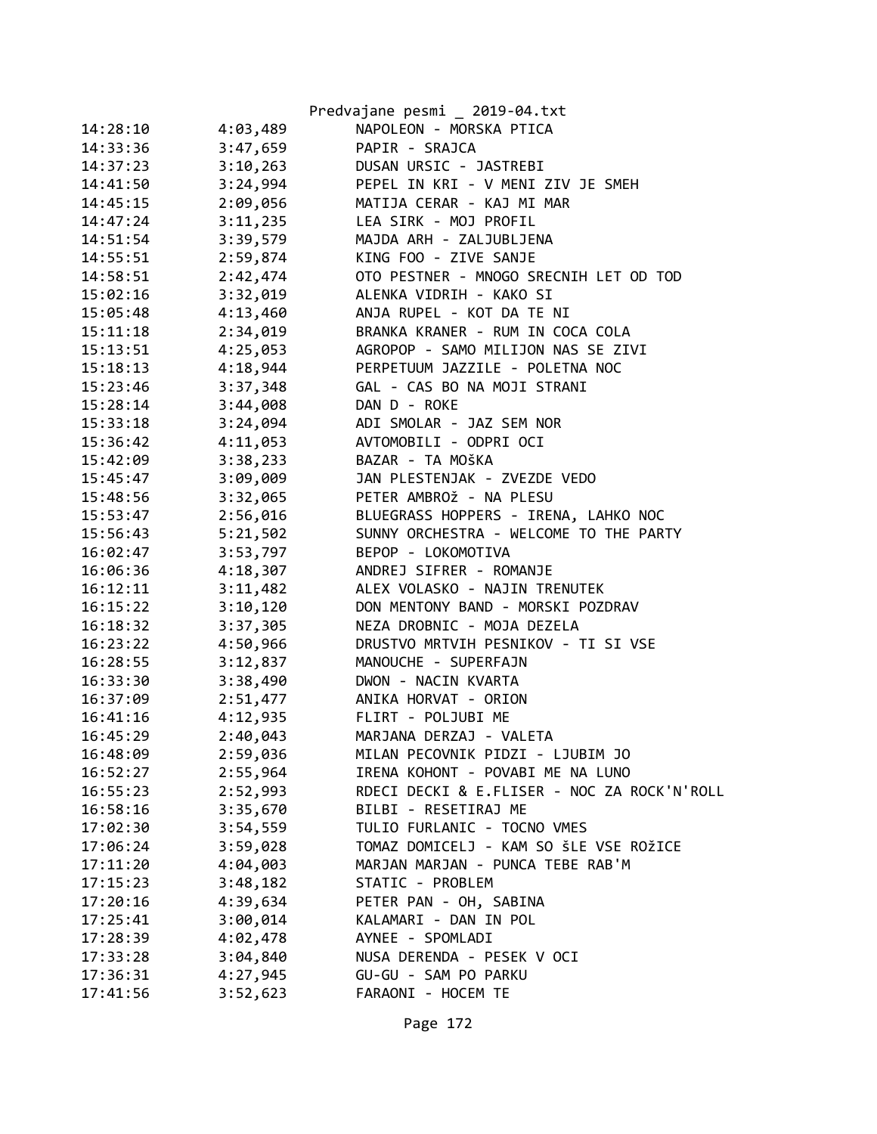|          |          | Predvajane pesmi _ 2019-04.txt              |
|----------|----------|---------------------------------------------|
| 14:28:10 | 4:03,489 | NAPOLEON - MORSKA PTICA                     |
| 14:33:36 | 3:47,659 | PAPIR - SRAJCA                              |
| 14:37:23 | 3:10,263 | DUSAN URSIC - JASTREBI                      |
| 14:41:50 | 3:24,994 | PEPEL IN KRI - V MENI ZIV JE SMEH           |
| 14:45:15 | 2:09,056 | MATIJA CERAR - KAJ MI MAR                   |
| 14:47:24 | 3:11,235 | LEA SIRK - MOJ PROFIL                       |
| 14:51:54 | 3:39,579 | MAJDA ARH - ZALJUBLJENA                     |
| 14:55:51 | 2:59,874 | KING FOO - ZIVE SANJE                       |
| 14:58:51 | 2:42,474 | OTO PESTNER - MNOGO SRECNIH LET OD TOD      |
| 15:02:16 | 3:32,019 | ALENKA VIDRIH - KAKO SI                     |
| 15:05:48 | 4:13,460 | ANJA RUPEL - KOT DA TE NI                   |
| 15:11:18 | 2:34,019 | BRANKA KRANER - RUM IN COCA COLA            |
| 15:13:51 | 4:25,053 | AGROPOP - SAMO MILIJON NAS SE ZIVI          |
| 15:18:13 | 4:18,944 | PERPETUUM JAZZILE - POLETNA NOC             |
| 15:23:46 | 3:37,348 | GAL - CAS BO NA MOJI STRANI                 |
| 15:28:14 | 3:44,008 | DAN D - ROKE                                |
| 15:33:18 | 3:24,094 | ADI SMOLAR - JAZ SEM NOR                    |
| 15:36:42 | 4:11,053 | AVTOMOBILI - ODPRI OCI                      |
| 15:42:09 | 3:38,233 | BAZAR - TA MOŠKA                            |
| 15:45:47 | 3:09,009 | JAN PLESTENJAK - ZVEZDE VEDO                |
| 15:48:56 | 3:32,065 | PETER AMBROŽ - NA PLESU                     |
| 15:53:47 | 2:56,016 | BLUEGRASS HOPPERS - IRENA, LAHKO NOC        |
| 15:56:43 | 5:21,502 | SUNNY ORCHESTRA - WELCOME TO THE PARTY      |
| 16:02:47 | 3:53,797 | BEPOP - LOKOMOTIVA                          |
| 16:06:36 | 4:18,307 | ANDREJ SIFRER - ROMANJE                     |
| 16:12:11 | 3:11,482 | ALEX VOLASKO - NAJIN TRENUTEK               |
| 16:15:22 | 3:10,120 | DON MENTONY BAND - MORSKI POZDRAV           |
| 16:18:32 | 3:37,305 | NEZA DROBNIC - MOJA DEZELA                  |
| 16:23:22 | 4:50,966 | DRUSTVO MRTVIH PESNIKOV - TI SI VSE         |
| 16:28:55 | 3:12,837 | MANOUCHE - SUPERFAJN                        |
| 16:33:30 | 3:38,490 | DWON - NACIN KVARTA                         |
| 16:37:09 | 2:51,477 | ANIKA HORVAT - ORION                        |
| 16:41:16 | 4:12,935 | FLIRT - POLJUBI ME                          |
| 16:45:29 | 2:40,043 | MARJANA DERZAJ - VALETA                     |
| 16:48:09 | 2:59,036 | MILAN PECOVNIK PIDZI - LJUBIM JO            |
| 16:52:27 | 2:55,964 | IRENA KOHONT - POVABI ME NA LUNO            |
| 16:55:23 | 2:52,993 | RDECI DECKI & E.FLISER - NOC ZA ROCK'N'ROLL |
| 16:58:16 | 3:35,670 | BILBI - RESETIRAJ ME                        |
| 17:02:30 | 3:54,559 | TULIO FURLANIC - TOCNO VMES                 |
| 17:06:24 | 3:59,028 | TOMAZ DOMICELJ - KAM SO ŠLE VSE ROŽICE      |
| 17:11:20 | 4:04,003 | MARJAN MARJAN - PUNCA TEBE RAB'M            |
| 17:15:23 | 3:48,182 | STATIC - PROBLEM                            |
| 17:20:16 | 4:39,634 | PETER PAN - OH, SABINA                      |
| 17:25:41 | 3:00,014 | KALAMARI - DAN IN POL                       |
| 17:28:39 | 4:02,478 | AYNEE - SPOMLADI                            |
| 17:33:28 | 3:04,840 | NUSA DERENDA - PESEK V OCI                  |
| 17:36:31 | 4:27,945 | GU-GU - SAM PO PARKU                        |
| 17:41:56 | 3:52,623 | FARAONI - HOCEM TE                          |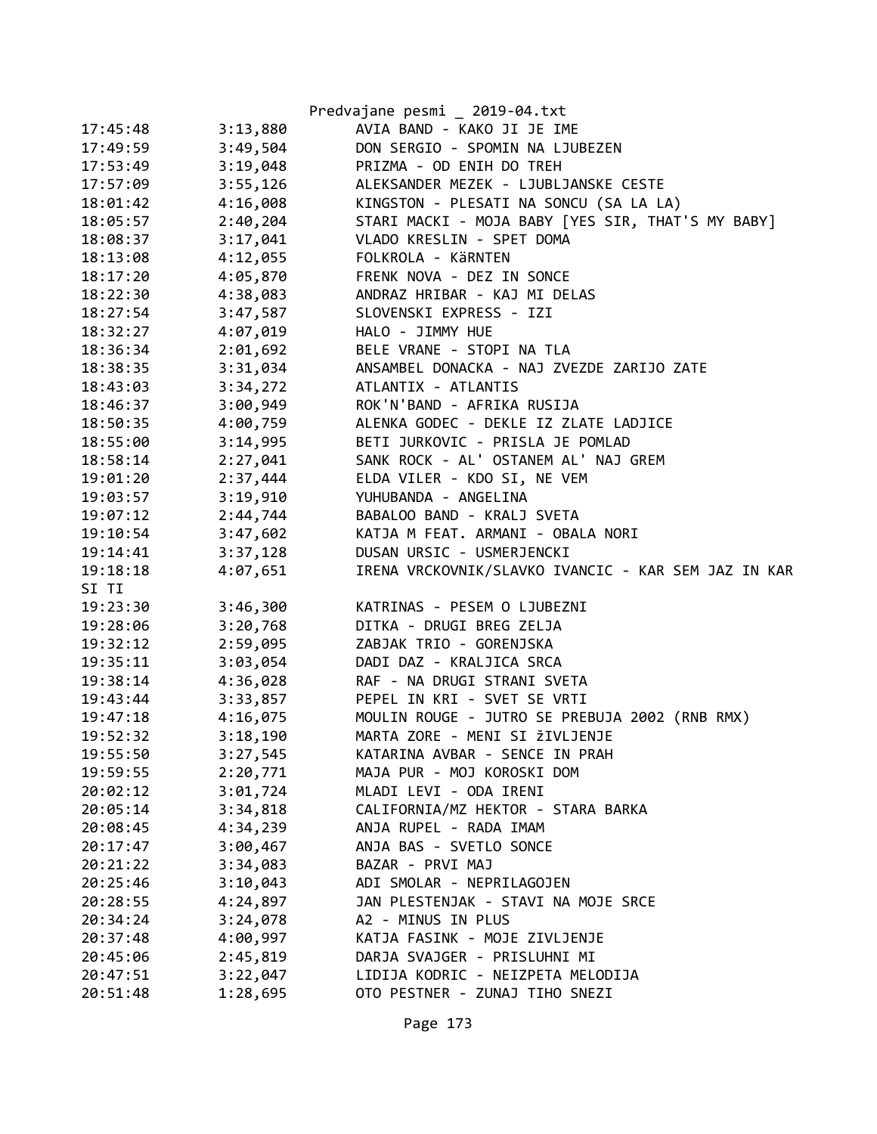|          |          | Predvajane pesmi _ 2019-04.txt                      |
|----------|----------|-----------------------------------------------------|
| 17:45:48 | 3:13,880 | AVIA BAND - KAKO JI JE IME                          |
| 17:49:59 | 3:49,504 | DON SERGIO - SPOMIN NA LJUBEZEN                     |
| 17:53:49 | 3:19,048 | PRIZMA - OD ENIH DO TREH                            |
| 17:57:09 | 3:55,126 | ALEKSANDER MEZEK - LJUBLJANSKE CESTE                |
| 18:01:42 | 4:16,008 | KINGSTON - PLESATI NA SONCU (SA LA LA)              |
| 18:05:57 | 2:40,204 | STARI MACKI - MOJA BABY [YES SIR, THAT'S MY BABY]   |
| 18:08:37 | 3:17,041 | VLADO KRESLIN - SPET DOMA                           |
| 18:13:08 | 4:12,055 | FOLKROLA - KÄRNTEN                                  |
| 18:17:20 | 4:05,870 | FRENK NOVA - DEZ IN SONCE                           |
| 18:22:30 | 4:38,083 | ANDRAZ HRIBAR - KAJ MI DELAS                        |
| 18:27:54 | 3:47,587 | SLOVENSKI EXPRESS - IZI                             |
| 18:32:27 | 4:07,019 | HALO - JIMMY HUE                                    |
| 18:36:34 | 2:01,692 | BELE VRANE - STOPI NA TLA                           |
| 18:38:35 | 3:31,034 | ANSAMBEL DONACKA - NAJ ZVEZDE ZARIJO ZATE           |
| 18:43:03 | 3:34,272 | ATLANTIX - ATLANTIS                                 |
| 18:46:37 | 3:00,949 | ROK'N'BAND - AFRIKA RUSIJA                          |
| 18:50:35 | 4:00,759 | ALENKA GODEC - DEKLE IZ ZLATE LADJICE               |
| 18:55:00 | 3:14,995 | BETI JURKOVIC - PRISLA JE POMLAD                    |
| 18:58:14 | 2:27,041 | SANK ROCK - AL' OSTANEM AL' NAJ GREM                |
| 19:01:20 | 2:37,444 | ELDA VILER - KDO SI, NE VEM                         |
| 19:03:57 | 3:19,910 | YUHUBANDA - ANGELINA                                |
| 19:07:12 | 2:44,744 | BABALOO BAND - KRALJ SVETA                          |
| 19:10:54 | 3:47,602 | KATJA M FEAT. ARMANI - OBALA NORI                   |
| 19:14:41 | 3:37,128 | DUSAN URSIC - USMERJENCKI                           |
| 19:18:18 | 4:07,651 | IRENA VRCKOVNIK/SLAVKO IVANCIC - KAR SEM JAZ IN KAR |
| SI TI    |          |                                                     |
| 19:23:30 | 3:46,300 | KATRINAS - PESEM O LJUBEZNI                         |
| 19:28:06 | 3:20,768 | DITKA - DRUGI BREG ZELJA                            |
| 19:32:12 | 2:59,095 | ZABJAK TRIO - GORENJSKA                             |
| 19:35:11 | 3:03,054 | DADI DAZ - KRALJICA SRCA                            |
| 19:38:14 | 4:36,028 | RAF - NA DRUGI STRANI SVETA                         |
| 19:43:44 | 3:33,857 | PEPEL IN KRI - SVET SE VRTI                         |
| 19:47:18 | 4:16,075 | MOULIN ROUGE - JUTRO SE PREBUJA 2002 (RNB RMX)      |
| 19:52:32 | 3:18,190 | MARTA ZORE - MENI SI ŽIVLJENJE                      |
| 19:55:50 | 3:27,545 | KATARINA AVBAR - SENCE IN PRAH                      |
| 19:59:55 | 2:20,771 | MAJA PUR - MOJ KOROSKI DOM                          |
| 20:02:12 | 3:01,724 | MLADI LEVI - ODA IRENI                              |
| 20:05:14 | 3:34,818 | CALIFORNIA/MZ HEKTOR - STARA BARKA                  |
| 20:08:45 | 4:34,239 | ANJA RUPEL - RADA IMAM                              |
| 20:17:47 | 3:00,467 | ANJA BAS - SVETLO SONCE                             |
| 20:21:22 | 3:34,083 | BAZAR - PRVI MAJ                                    |
| 20:25:46 | 3:10,043 | ADI SMOLAR - NEPRILAGOJEN                           |
| 20:28:55 | 4:24,897 | JAN PLESTENJAK - STAVI NA MOJE SRCE                 |
| 20:34:24 | 3:24,078 | A2 - MINUS IN PLUS                                  |
| 20:37:48 | 4:00,997 | KATJA FASINK - MOJE ZIVLJENJE                       |
| 20:45:06 | 2:45,819 | DARJA SVAJGER - PRISLUHNI MI                        |
| 20:47:51 | 3:22,047 | LIDIJA KODRIC - NEIZPETA MELODIJA                   |
| 20:51:48 | 1:28,695 | OTO PESTNER - ZUNAJ TIHO SNEZI                      |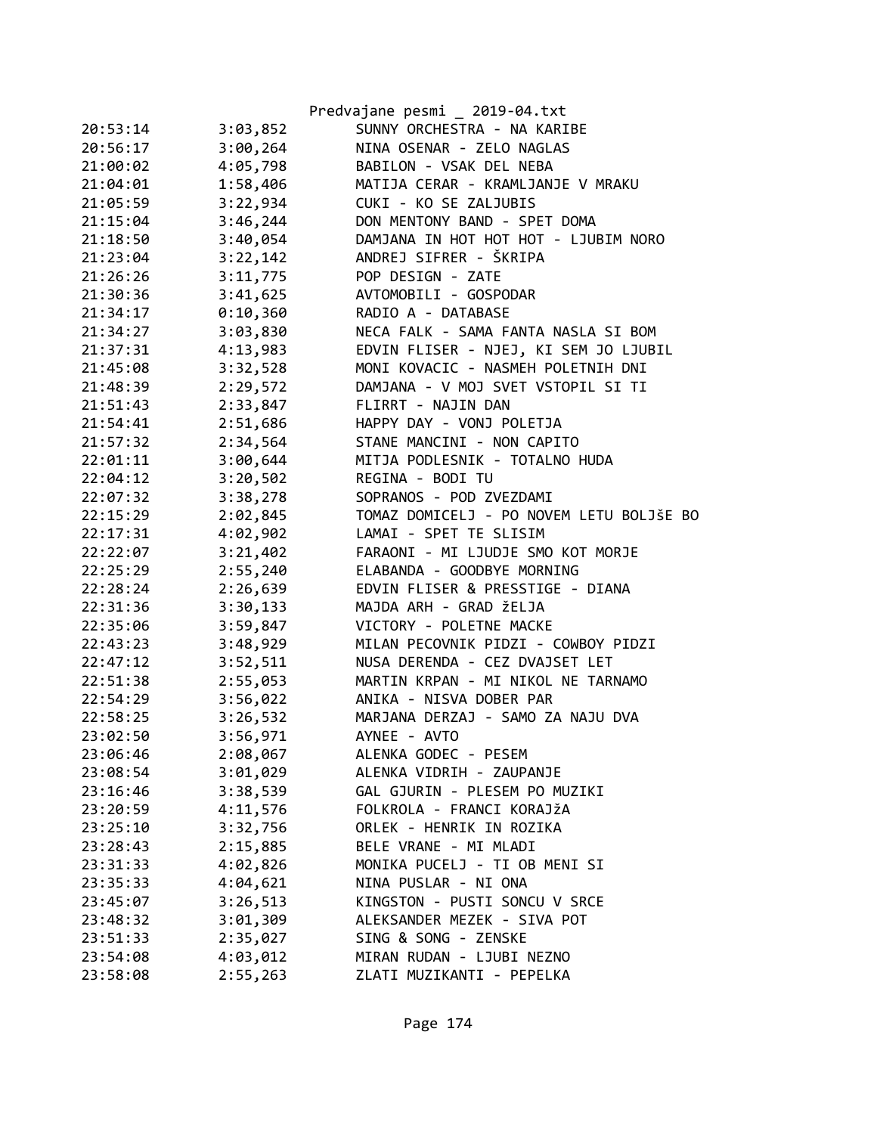|                      |                      | Predvajane pesmi _ 2019-04.txt                    |
|----------------------|----------------------|---------------------------------------------------|
| 20:53:14             | 3:03,852             | SUNNY ORCHESTRA - NA KARIBE                       |
| 20:56:17             | 3:00,264             | NINA OSENAR - ZELO NAGLAS                         |
| 21:00:02             | 4:05,798             | BABILON - VSAK DEL NEBA                           |
| 21:04:01             | 1:58,406             | MATIJA CERAR - KRAMLJANJE V MRAKU                 |
| 21:05:59             | 3:22,934             | CUKI - KO SE ZALJUBIS                             |
| 21:15:04             | 3:46,244             | DON MENTONY BAND - SPET DOMA                      |
| 21:18:50             | 3:40,054             | DAMJANA IN HOT HOT HOT - LJUBIM NORO              |
| 21:23:04             | 3:22,142             | ANDREJ SIFRER - ŠKRIPA                            |
| 21:26:26             | 3:11,775             | POP DESIGN - ZATE                                 |
| 21:30:36             | 3:41,625             | AVTOMOBILI - GOSPODAR                             |
| 21:34:17             | 0:10,360             | RADIO A - DATABASE                                |
| 21:34:27             | 3:03,830             | NECA FALK - SAMA FANTA NASLA SI BOM               |
| 21:37:31             | 4:13,983             | EDVIN FLISER - NJEJ, KI SEM JO LJUBIL             |
| 21:45:08             | 3:32,528             | MONI KOVACIC - NASMEH POLETNIH DNI                |
| 21:48:39             | 2:29,572             | DAMJANA - V MOJ SVET VSTOPIL SI TI                |
| 21:51:43             | 2:33,847             | FLIRRT - NAJIN DAN                                |
| 21:54:41             | 2:51,686             | HAPPY DAY - VONJ POLETJA                          |
| 21:57:32             | 2:34,564             | STANE MANCINI - NON CAPITO                        |
| 22:01:11             | 3:00,644             | MITJA PODLESNIK - TOTALNO HUDA                    |
| 22:04:12             | 3:20,502             | REGINA - BODI TU                                  |
| 22:07:32             | 3:38,278             | SOPRANOS - POD ZVEZDAMI                           |
| 22:15:29             | 2:02,845             | TOMAZ DOMICELJ - PO NOVEM LETU BOLJŠE BO          |
| 22:17:31             | 4:02,902             | LAMAI - SPET TE SLISIM                            |
| 22:22:07             | 3:21,402             | FARAONI - MI LJUDJE SMO KOT MORJE                 |
| 22:25:29             | 2:55,240             | ELABANDA - GOODBYE MORNING                        |
| 22:28:24             | 2:26,639             | EDVIN FLISER & PRESSTIGE - DIANA                  |
| 22:31:36             | 3:30,133             | MAJDA ARH - GRAD ŽELJA                            |
| 22:35:06             | 3:59,847             | VICTORY - POLETNE MACKE                           |
| 22:43:23             | 3:48,929             | MILAN PECOVNIK PIDZI - COWBOY PIDZI               |
| 22:47:12             | 3:52,511             | NUSA DERENDA - CEZ DVAJSET LET                    |
|                      |                      | MARTIN KRPAN - MI NIKOL NE TARNAMO                |
| 22:51:38             | 2:55,053             | ANIKA - NISVA DOBER PAR                           |
| 22:54:29<br>22:58:25 | 3:56,022             |                                                   |
|                      | 3:26,532             | MARJANA DERZAJ - SAMO ZA NAJU DVA<br>AYNEE - AVTO |
| 23:02:50             | 3:56,971<br>2:08,067 | ALENKA GODEC - PESEM                              |
| 23:06:46             |                      |                                                   |
| 23:08:54             | 3:01,029             | ALENKA VIDRIH - ZAUPANJE                          |
| 23:16:46             | 3:38,539             | GAL GJURIN - PLESEM PO MUZIKI                     |
| 23:20:59             | 4:11,576             | FOLKROLA - FRANCI KORAJŽA                         |
| 23:25:10             | 3:32,756             | ORLEK - HENRIK IN ROZIKA                          |
| 23:28:43             | 2:15,885             | BELE VRANE - MI MLADI                             |
| 23:31:33             | 4:02,826             | MONIKA PUCELJ - TI OB MENI SI                     |
| 23:35:33             | 4:04,621             | NINA PUSLAR - NI ONA                              |
| 23:45:07             | 3:26,513             | KINGSTON - PUSTI SONCU V SRCE                     |
| 23:48:32             | 3:01,309             | ALEKSANDER MEZEK - SIVA POT                       |
| 23:51:33             | 2:35,027             | SING & SONG - ZENSKE                              |
| 23:54:08             | 4:03,012             | MIRAN RUDAN - LJUBI NEZNO                         |
| 23:58:08             | 2:55,263             | ZLATI MUZIKANTI - PEPELKA                         |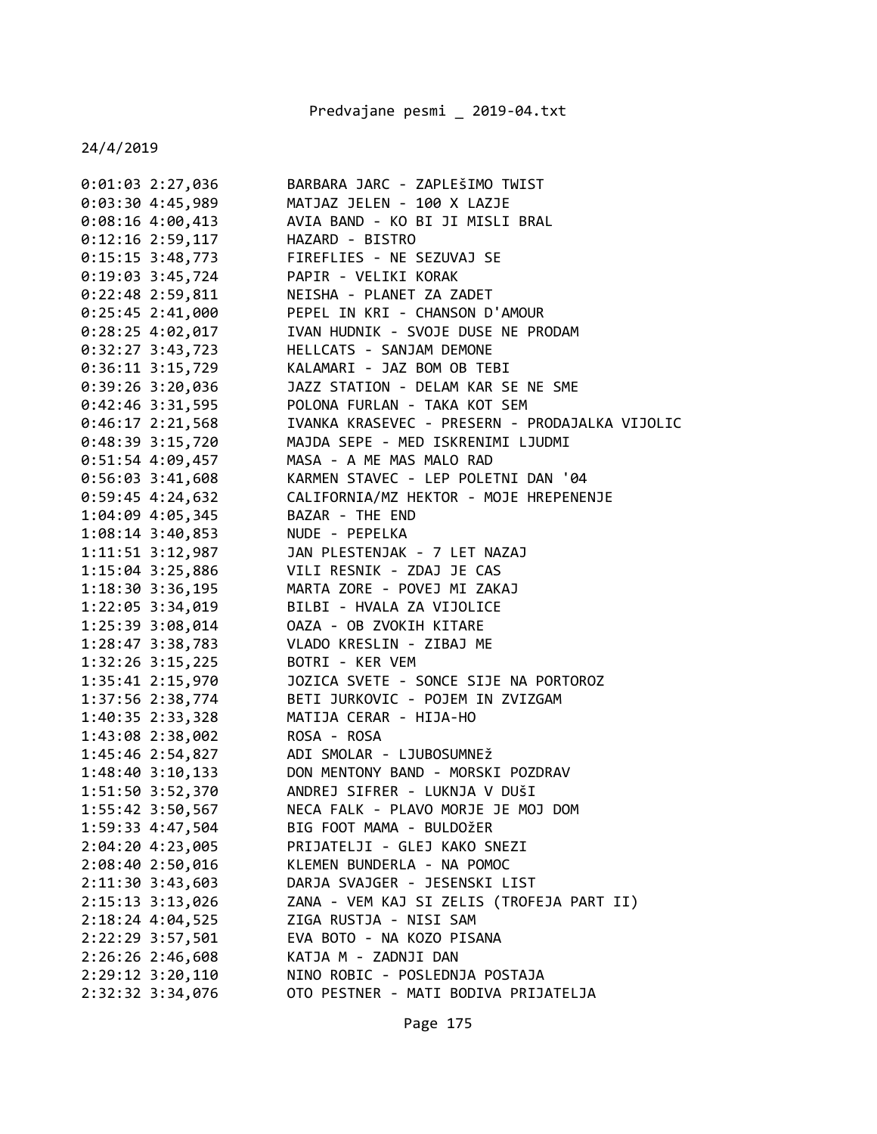| 0:01:03 2:27,036     | BARBARA JARC - ZAPLEŠIMO TWIST                 |
|----------------------|------------------------------------------------|
| 0:03:30 4:45,989     | MATJAZ JELEN - 100 X LAZJE                     |
| $0:08:16$ 4:00,413   | AVIA BAND - KO BI JI MISLI BRAL                |
| $0:12:16$ 2:59,117   | HAZARD - BISTRO                                |
| $0:15:15$ 3:48,773   | FIREFLIES - NE SEZUVAJ SE                      |
| $0:19:03$ 3:45,724   | PAPIR - VELIKI KORAK                           |
| $0:22:48$ 2:59,811   | NEISHA - PLANET ZA ZADET                       |
| $0:25:45$ 2:41,000   | PEPEL IN KRI - CHANSON D'AMOUR                 |
| $0:28:25$ 4:02,017   | IVAN HUDNIK - SVOJE DUSE NE PRODAM             |
| $0:32:27$ 3:43,723   | HELLCATS - SANJAM DEMONE                       |
| $0:36:11$ $3:15,729$ | KALAMARI - JAZ BOM OB TEBI                     |
| $0:39:26$ 3:20,036   | JAZZ STATION - DELAM KAR SE NE SME             |
| $0:42:46$ 3:31,595   | POLONA FURLAN - TAKA KOT SEM                   |
| $0:46:17$ 2:21,568   | IVANKA KRASEVEC - PRESERN - PRODAJALKA VIJOLIC |
| $0:48:39$ 3:15,720   | MAJDA SEPE - MED ISKRENIMI LJUDMI              |
| $0:51:54$ 4:09,457   | MASA - A ME MAS MALO RAD                       |
| $0:56:03$ 3:41,608   | KARMEN STAVEC - LEP POLETNI DAN '04            |
| $0:59:45$ 4:24,632   | CALIFORNIA/MZ HEKTOR - MOJE HREPENENJE         |
| 1:04:09 4:05,345     | BAZAR - THE END                                |
| $1:08:14$ 3:40,853   | NUDE - PEPELKA                                 |
| 1:11:51 3:12,987     | JAN PLESTENJAK - 7 LET NAZAJ                   |
| 1:15:04 3:25,886     | VILI RESNIK - ZDAJ JE CAS                      |
| 1:18:30 3:36,195     | MARTA ZORE - POVEJ MI ZAKAJ                    |
| 1:22:05 3:34,019     | BILBI - HVALA ZA VIJOLICE                      |
| 1:25:39 3:08,014     | OAZA - OB ZVOKIH KITARE                        |
| 1:28:47 3:38,783     | VLADO KRESLIN - ZIBAJ ME                       |
| 1:32:26 3:15,225     | BOTRI - KER VEM                                |
| 1:35:41 2:15,970     | JOZICA SVETE - SONCE SIJE NA PORTOROZ          |
| 1:37:56 2:38,774     | BETI JURKOVIC - POJEM IN ZVIZGAM               |
| 1:40:35 2:33,328     | MATIJA CERAR - HIJA-HO                         |
| 1:43:08 2:38,002     | ROSA - ROSA                                    |
| 1:45:46 2:54,827     | ADI SMOLAR - LJUBOSUMNEŽ                       |
| $1:48:40$ $3:10,133$ | DON MENTONY BAND - MORSKI POZDRAV              |
| 1:51:50 3:52,370     | ANDREJ SIFRER - LUKNJA V DUŠI                  |
| 1:55:42 3:50,567     | NECA FALK - PLAVO MORJE JE MOJ DOM             |
| 1:59:33 4:47,504     | BIG FOOT MAMA - BULDOŽER                       |
| 2:04:20 4:23,005     | PRIJATELJI - GLEJ KAKO SNEZI                   |
| 2:08:40 2:50,016     | KLEMEN BUNDERLA - NA POMOC                     |
| 2:11:30 3:43,603     | DARJA SVAJGER - JESENSKI LIST                  |
| 2:15:13 3:13,026     | ZANA - VEM KAJ SI ZELIS (TROFEJA PART II)      |
| 2:18:24 4:04,525     | ZIGA RUSTJA - NISI SAM                         |
| 2:22:29 3:57,501     | EVA BOTO - NA KOZO PISANA                      |
| 2:26:26 2:46,608     | KATJA M - ZADNJI DAN                           |
| 2:29:12 3:20,110     | NINO ROBIC - POSLEDNJA POSTAJA                 |
| 2:32:32 3:34,076     | OTO PESTNER - MATI BODIVA PRIJATELJA           |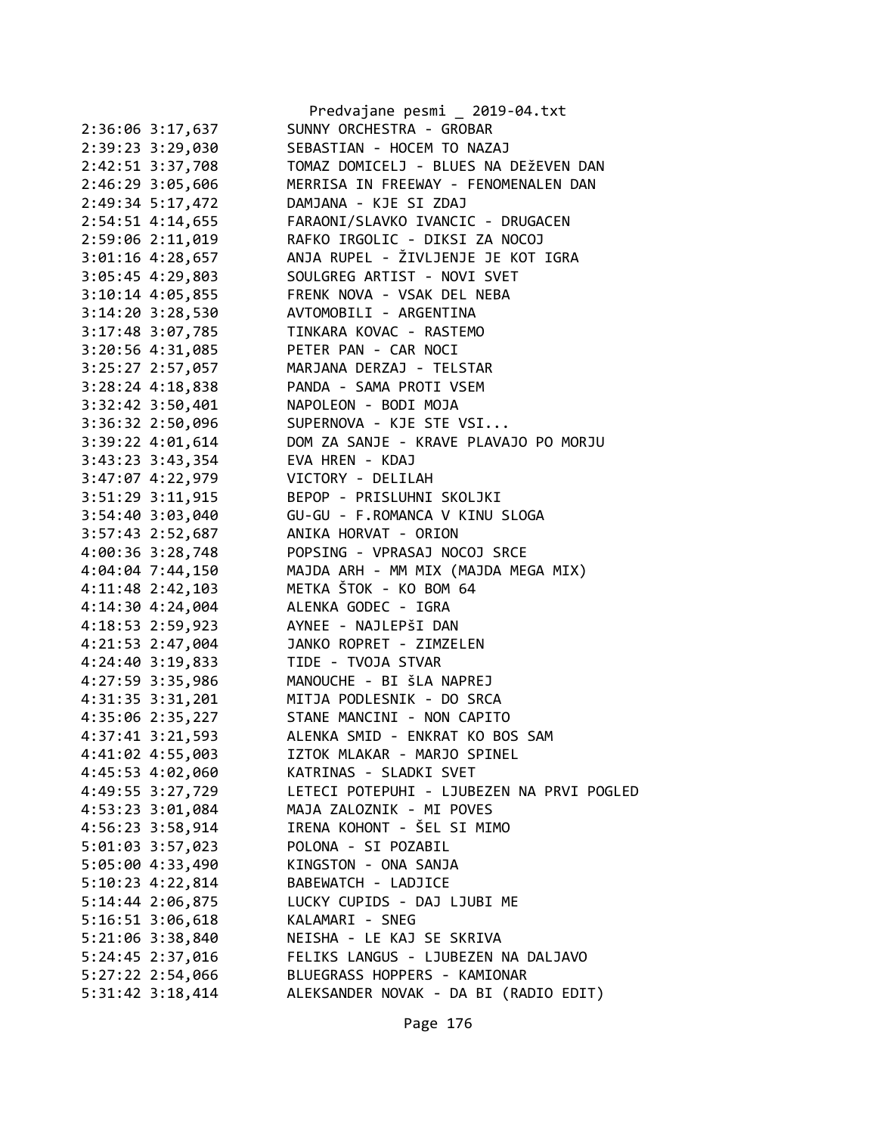|                      | Predvajane pesmi _ 2019-04.txt            |
|----------------------|-------------------------------------------|
| 2:36:06 3:17,637     | SUNNY ORCHESTRA - GROBAR                  |
| 2:39:23 3:29,030     | SEBASTIAN - HOCEM TO NAZAJ                |
| 2:42:51 3:37,708     | TOMAZ DOMICELJ - BLUES NA DEŽEVEN DAN     |
| 2:46:29 3:05,606     | MERRISA IN FREEWAY - FENOMENALEN DAN      |
| 2:49:34 5:17,472     | DAMJANA - KJE SI ZDAJ                     |
| 2:54:51 4:14,655     | FARAONI/SLAVKO IVANCIC - DRUGACEN         |
| 2:59:06 2:11,019     | RAFKO IRGOLIC - DIKSI ZA NOCOJ            |
| 3:01:16 4:28,657     | ANJA RUPEL - ŽIVLJENJE JE KOT IGRA        |
| 3:05:45 4:29,803     | SOULGREG ARTIST - NOVI SVET               |
| 3:10:14 4:05,855     | FRENK NOVA - VSAK DEL NEBA                |
| $3:14:20$ $3:28,530$ | AVTOMOBILI - ARGENTINA                    |
| 3:17:48 3:07,785     | TINKARA KOVAC - RASTEMO                   |
| 3:20:56 4:31,085     | PETER PAN - CAR NOCI                      |
| 3:25:27 2:57,057     | MARJANA DERZAJ - TELSTAR                  |
| 3:28:24 4:18,838     | PANDA - SAMA PROTI VSEM                   |
| $3:32:42$ $3:50,401$ | NAPOLEON - BODI MOJA                      |
| 3:36:32 2:50,096     | SUPERNOVA - KJE STE VSI                   |
| 3:39:22 4:01,614     | DOM ZA SANJE - KRAVE PLAVAJO PO MORJU     |
| $3:43:23$ $3:43,354$ | EVA HREN - KDAJ                           |
| $3:47:07$ $4:22,979$ | VICTORY - DELILAH                         |
| 3:51:29 3:11,915     | BEPOP - PRISLUHNI SKOLJKI                 |
| 3:54:40 3:03,040     | GU-GU - F.ROMANCA V KINU SLOGA            |
| 3:57:43 2:52,687     | ANIKA HORVAT - ORION                      |
| 4:00:36 3:28,748     | POPSING - VPRASAJ NOCOJ SRCE              |
| 4:04:04 7:44,150     | MAJDA ARH - MM MIX (MAJDA MEGA MIX)       |
| $4:11:48$ 2:42,103   | METKA ŠTOK - KO BOM 64                    |
| 4:14:30 4:24,004     | ALENKA GODEC - IGRA                       |
| 4:18:53 2:59,923     | AYNEE - NAJLEPŠI DAN                      |
| 4:21:53 2:47,004     | JANKO ROPRET - ZIMZELEN                   |
| 4:24:40 3:19,833     | TIDE - TVOJA STVAR                        |
| 4:27:59 3:35,986     | MANOUCHE - BI ŠLA NAPREJ                  |
| 4:31:35 3:31,201     | MITJA PODLESNIK - DO SRCA                 |
| 4:35:06 2:35,227     | STANE MANCINI - NON CAPITO                |
| 4:37:41 3:21,593     | ALENKA SMID - ENKRAT KO BOS SAM           |
| 4:41:02 4:55,003     | IZTOK MLAKAR - MARJO SPINEL               |
| 4:45:53 4:02,060     | KATRINAS - SLADKI SVET                    |
| 4:49:55 3:27,729     | LETECI POTEPUHI - LJUBEZEN NA PRVI POGLED |
| 4:53:23 3:01,084     | MAJA ZALOZNIK - MI POVES                  |
| 4:56:23 3:58,914     | IRENA KOHONT - ŠEL SI MIMO                |
| 5:01:03 3:57,023     | POLONA - SI POZABIL                       |
| 5:05:00 4:33,490     | KINGSTON - ONA SANJA                      |
| $5:10:23$ 4:22,814   | BABEWATCH - LADJICE                       |
| 5:14:44 2:06,875     | LUCKY CUPIDS - DAJ LJUBI ME               |
| 5:16:51 3:06,618     | KALAMARI - SNEG                           |
| 5:21:06 3:38,840     | NEISHA - LE KAJ SE SKRIVA                 |
| 5:24:45 2:37,016     | FELIKS LANGUS - LJUBEZEN NA DALJAVO       |
| 5:27:22 2:54,066     | BLUEGRASS HOPPERS - KAMIONAR              |
| $5:31:42$ $3:18,414$ | ALEKSANDER NOVAK - DA BI (RADIO EDIT)     |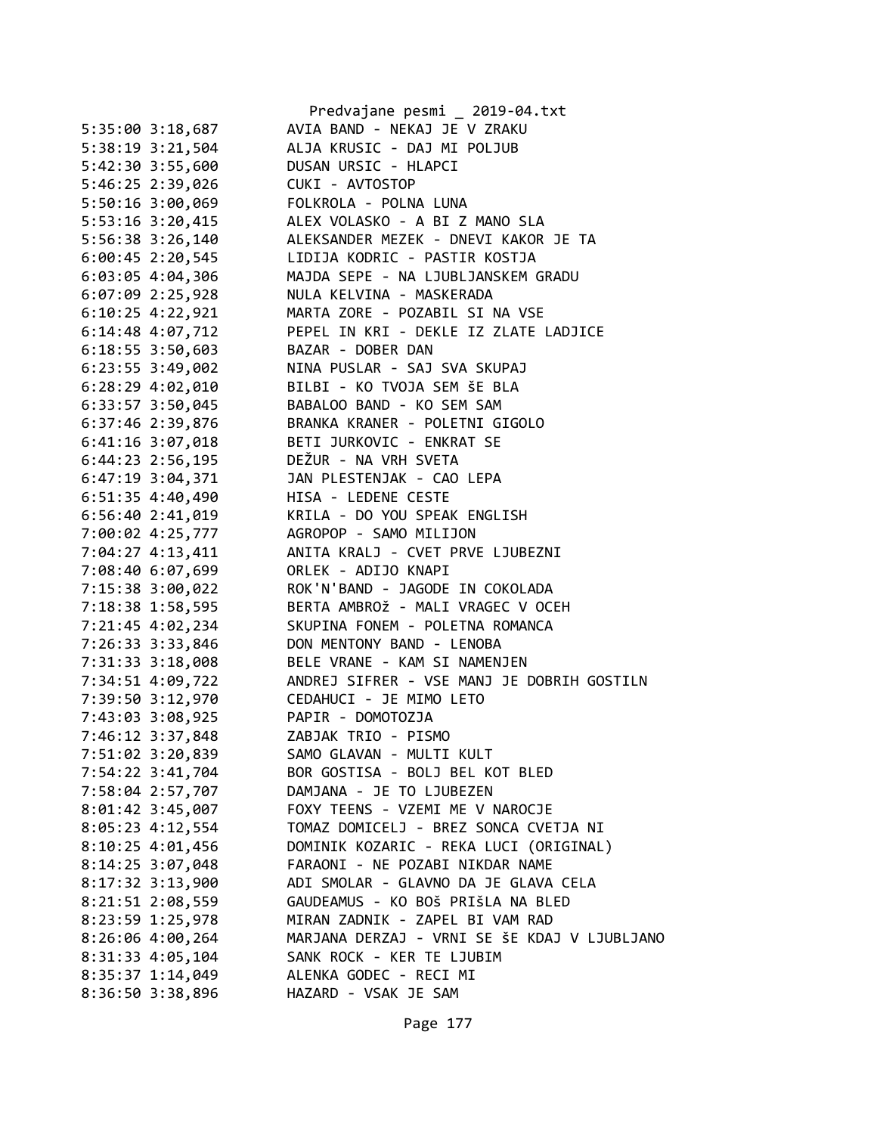|                      | Predvajane pesmi _ 2019-04.txt               |
|----------------------|----------------------------------------------|
| 5:35:00 3:18,687     | AVIA BAND - NEKAJ JE V ZRAKU                 |
| 5:38:19 3:21,504     | ALJA KRUSIC - DAJ MI POLJUB                  |
| 5:42:30 3:55,600     | DUSAN URSIC - HLAPCI                         |
| 5:46:25 2:39,026     | CUKI - AVTOSTOP                              |
| 5:50:16 3:00,069     | FOLKROLA - POLNA LUNA                        |
| 5:53:16 3:20,415     | ALEX VOLASKO - A BI Z MANO SLA               |
| 5:56:38 3:26,140     | ALEKSANDER MEZEK - DNEVI KAKOR JE TA         |
| $6:00:45$ 2:20,545   | LIDIJA KODRIC - PASTIR KOSTJA                |
| 6:03:05 4:04,306     | MAJDA SEPE - NA LJUBLJANSKEM GRADU           |
| $6:07:09$ 2:25,928   | NULA KELVINA - MASKERADA                     |
| $6:10:25$ 4:22,921   | MARTA ZORE - POZABIL SI NA VSE               |
| $6:14:48$ $4:07,712$ | PEPEL IN KRI - DEKLE IZ ZLATE LADJICE        |
| $6:18:55$ 3:50,603   | BAZAR - DOBER DAN                            |
| 6:23:55 3:49,002     | NINA PUSLAR - SAJ SVA SKUPAJ                 |
| $6:28:29$ $4:02,010$ | BILBI - KO TVOJA SEM ŠE BLA                  |
| 6:33:57 3:50,045     | BABALOO BAND - KO SEM SAM                    |
| 6:37:46 2:39,876     | BRANKA KRANER - POLETNI GIGOLO               |
| $6:41:16$ 3:07,018   | BETI JURKOVIC - ENKRAT SE                    |
|                      | DEŽUR - NA VRH SVETA                         |
| $6:44:23$ 2:56,195   |                                              |
| 6:47:19 3:04,371     | JAN PLESTENJAK - CAO LEPA                    |
| $6:51:35$ 4:40,490   | HISA - LEDENE CESTE                          |
| $6:56:40$ 2:41,019   | KRILA - DO YOU SPEAK ENGLISH                 |
| 7:00:02 4:25,777     | AGROPOP - SAMO MILIJON                       |
| 7:04:27 4:13,411     | ANITA KRALJ - CVET PRVE LJUBEZNI             |
| 7:08:40 6:07,699     | ORLEK - ADIJO KNAPI                          |
| 7:15:38 3:00,022     | ROK'N'BAND - JAGODE IN COKOLADA              |
| 7:18:38 1:58,595     | BERTA AMBROŽ - MALI VRAGEC V OCEH            |
| 7:21:45 4:02,234     | SKUPINA FONEM - POLETNA ROMANCA              |
| 7:26:33 3:33,846     | DON MENTONY BAND - LENOBA                    |
| 7:31:33 3:18,008     | BELE VRANE - KAM SI NAMENJEN                 |
| 7:34:51 4:09,722     | ANDREJ SIFRER - VSE MANJ JE DOBRIH GOSTILN   |
| 7:39:50 3:12,970     | CEDAHUCI - JE MIMO LETO                      |
| 7:43:03 3:08,925     | PAPIR - DOMOTOZJA                            |
| 7:46:12 3:37,848     | ZABJAK TRIO - PISMO                          |
| 7:51:02 3:20,839     | SAMO GLAVAN - MULTI KULT                     |
| 7:54:22 3:41,704     | BOR GOSTISA - BOLJ BEL KOT BLED              |
| 7:58:04 2:57,707     | DAMJANA - JE TO LJUBEZEN                     |
| 8:01:42 3:45,007     | FOXY TEENS - VZEMI ME V NAROCJE              |
| $8:05:23$ 4:12,554   | TOMAZ DOMICELJ - BREZ SONCA CVETJA NI        |
| $8:10:25$ 4:01,456   | DOMINIK KOZARIC - REKA LUCI (ORIGINAL)       |
| $8:14:25$ 3:07,048   | FARAONI - NE POZABI NIKDAR NAME              |
| 8:17:32 3:13,900     | ADI SMOLAR - GLAVNO DA JE GLAVA CELA         |
| 8:21:51 2:08,559     | GAUDEAMUS - KO BOŠ PRIŠLA NA BLED            |
| 8:23:59 1:25,978     | MIRAN ZADNIK - ZAPEL BI VAM RAD              |
| 8:26:06 4:00,264     | MARJANA DERZAJ - VRNI SE ŠE KDAJ V LJUBLJANO |
| 8:31:33 4:05,104     | SANK ROCK - KER TE LJUBIM                    |
| 8:35:37 1:14,049     | ALENKA GODEC - RECI MI                       |
| 8:36:50 3:38,896     | HAZARD - VSAK JE SAM                         |
|                      |                                              |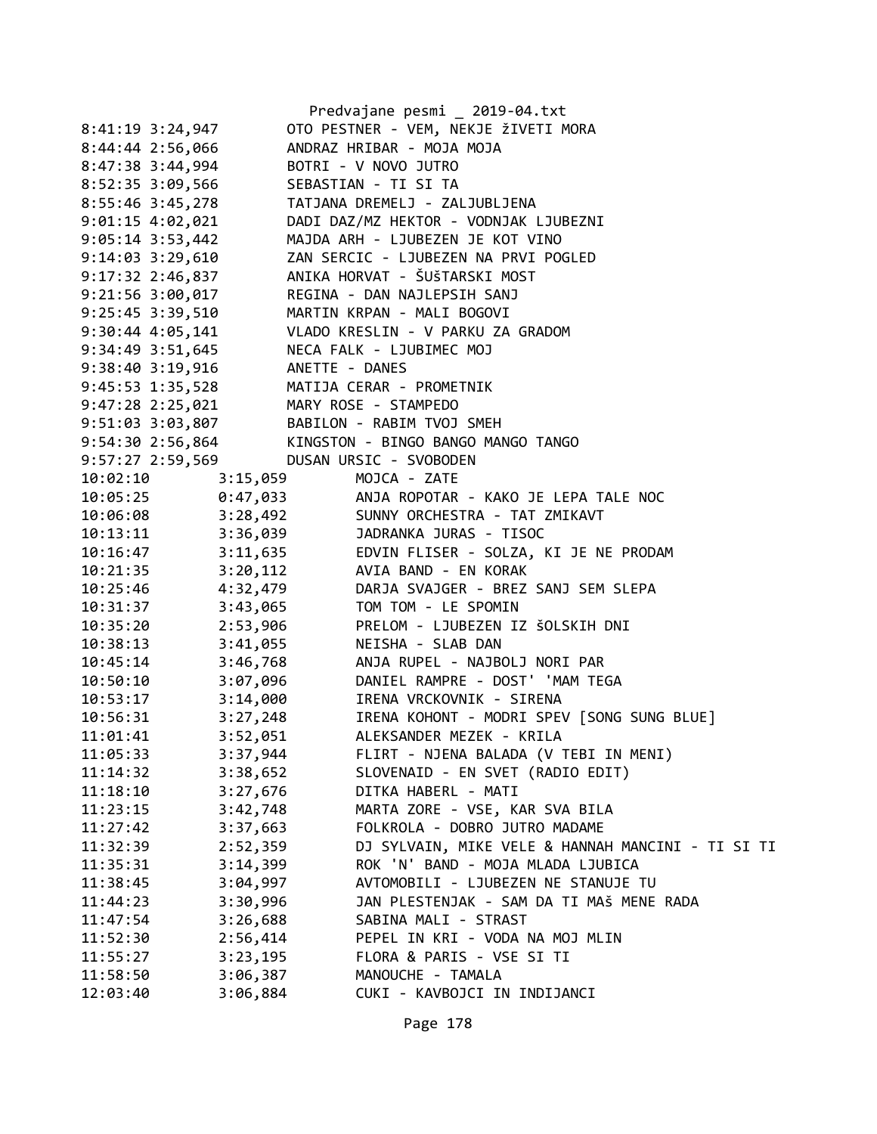| Predvajane pesmi _ 2019-04.txt |                |                                                                         |  |  |  |  |
|--------------------------------|----------------|-------------------------------------------------------------------------|--|--|--|--|
| 8:41:19 3:24,947               |                | OTO PESTNER - VEM, NEKJE ŽIVETI MORA                                    |  |  |  |  |
| $8:44:44$ 2:56,066             |                | ANDRAZ HRIBAR - MOJA MOJA                                               |  |  |  |  |
| 8:47:38 3:44,994               |                | BOTRI - V NOVO JUTRO                                                    |  |  |  |  |
| 8:52:35 3:09,566               |                | SEBASTIAN - TI SI TA                                                    |  |  |  |  |
| 8:55:46 3:45,278               |                | TATJANA DREMELJ - ZALJUBLJENA                                           |  |  |  |  |
| $9:01:15$ 4:02,021             |                | DADI DAZ/MZ HEKTOR - VODNJAK LJUBEZNI                                   |  |  |  |  |
| $9:05:14$ 3:53,442             |                | MAJDA ARH - LJUBEZEN JE KOT VINO                                        |  |  |  |  |
| $9:14:03$ $3:29,610$           |                | ZAN SERCIC - LJUBEZEN NA PRVI POGLED                                    |  |  |  |  |
| 9:17:32 2:46,837               |                | ANIKA HORVAT - ŠUŠTARSKI MOST                                           |  |  |  |  |
| 9:21:56 3:00,017               |                | REGINA - DAN NAJLEPSIH SANJ                                             |  |  |  |  |
| 9:25:45 3:39,510               |                | MARTIN KRPAN - MALI BOGOVI                                              |  |  |  |  |
| $9:30:44$ 4:05,141             |                | VLADO KRESLIN - V PARKU ZA GRADOM                                       |  |  |  |  |
| 9:34:49 3:51,645               |                | NECA FALK - LJUBIMEC MOJ                                                |  |  |  |  |
| 9:38:40 3:19,916               | ANETTE - DANES |                                                                         |  |  |  |  |
| 9:45:53 1:35,528               |                | MATIJA CERAR - PROMETNIK                                                |  |  |  |  |
| 9:47:28 2:25,021               |                | MARY ROSE - STAMPEDO                                                    |  |  |  |  |
| 9:51:03 3:03,807               |                | BABILON - RABIM TVOJ SMEH                                               |  |  |  |  |
| 9:54:30 2:56,864               |                | KINGSTON - BINGO BANGO MANGO TANGO                                      |  |  |  |  |
| 9:57:27 2:59,569               |                | DUSAN URSIC - SVOBODEN                                                  |  |  |  |  |
| 10:02:10                       | 3:15,059       | MOJCA - ZATE                                                            |  |  |  |  |
|                                |                | 10:05:25<br>10:06:25 0:47,033<br>3:28,492 SUNNY ORCHESTRA - TAT ZMIKAVT |  |  |  |  |
|                                |                |                                                                         |  |  |  |  |
|                                |                | 10:13:11 3:36,039 JADRANKA JURAS - TISOC                                |  |  |  |  |
|                                |                | 10:16:47 3:11,635 EDVIN FLISER - SOLZA, KI JE NE PRODAM                 |  |  |  |  |
| $10:21:35$ $3:20,112$          |                | AVIA BAND - EN KORAK                                                    |  |  |  |  |
| 10:25:46                       | 4:32,479       | DARJA SVAJGER - BREZ SANJ SEM SLEPA                                     |  |  |  |  |
| 10:31:37 3:43,065              |                | TOM TOM - LE SPOMIN                                                     |  |  |  |  |
| 10:35:20                       | 2:53,906       | PRELOM - LJUBEZEN IZ ŠOLSKIH DNI                                        |  |  |  |  |
| $10:38:13$ $3:41,055$          |                | NEISHA - SLAB DAN                                                       |  |  |  |  |
| $10:45:14$ $3:46,768$          |                | ANJA RUPEL - NAJBOLJ NORI PAR                                           |  |  |  |  |
| 10:50:10 3:07,096              |                | DANIEL RAMPRE - DOST' 'MAM TEGA                                         |  |  |  |  |
| 10:53:17 3:14,000              |                | IRENA VRCKOVNIK - SIRENA                                                |  |  |  |  |
|                                |                | 10:56:31 3:27,248 IRENA KOHONT - MODRI SPEV [SONG SUNG BLUE]            |  |  |  |  |
| 11:01:41                       | 3:52,051       | ALEKSANDER MEZEK - KRILA                                                |  |  |  |  |
| 11:05:33                       | 3:37,944       | FLIRT - NJENA BALADA (V TEBI IN MENI)                                   |  |  |  |  |
| 11:14:32                       | 3:38,652       | SLOVENAID - EN SVET (RADIO EDIT)                                        |  |  |  |  |
| 11:18:10                       | 3:27,676       | DITKA HABERL - MATI                                                     |  |  |  |  |
| 11:23:15                       | 3:42,748       | MARTA ZORE - VSE, KAR SVA BILA                                          |  |  |  |  |
| 11:27:42                       | 3:37,663       | FOLKROLA - DOBRO JUTRO MADAME                                           |  |  |  |  |
| 11:32:39                       | 2:52,359       | DJ SYLVAIN, MIKE VELE & HANNAH MANCINI - TI SI TI                       |  |  |  |  |
| 11:35:31                       | 3:14,399       | ROK 'N' BAND - MOJA MLADA LJUBICA                                       |  |  |  |  |
| 11:38:45                       | 3:04,997       | AVTOMOBILI - LJUBEZEN NE STANUJE TU                                     |  |  |  |  |
| 11:44:23                       | 3:30,996       | JAN PLESTENJAK - SAM DA TI MAŠ MENE RADA                                |  |  |  |  |
| 11:47:54                       | 3:26,688       | SABINA MALI - STRAST                                                    |  |  |  |  |
| 11:52:30                       | 2:56,414       | PEPEL IN KRI - VODA NA MOJ MLIN                                         |  |  |  |  |
| 11:55:27                       | 3:23,195       | FLORA & PARIS - VSE SI TI                                               |  |  |  |  |
| 11:58:50                       | 3:06,387       | MANOUCHE - TAMALA                                                       |  |  |  |  |
| 12:03:40                       | 3:06,884       | CUKI - KAVBOJCI IN INDIJANCI                                            |  |  |  |  |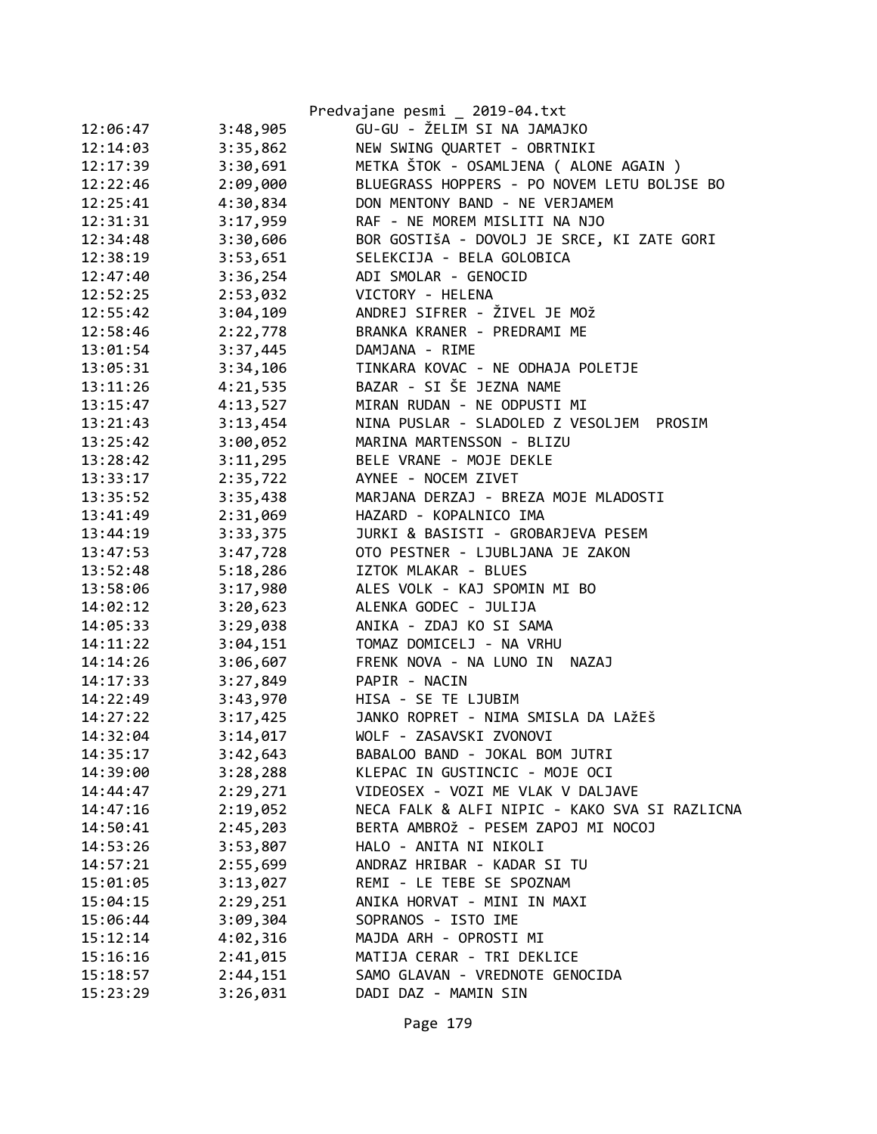|          |          | Predvajane pesmi _ 2019-04.txt                |
|----------|----------|-----------------------------------------------|
| 12:06:47 | 3:48,905 | GU-GU - ŽELIM SI NA JAMAJKO                   |
| 12:14:03 | 3:35,862 | NEW SWING QUARTET - OBRTNIKI                  |
| 12:17:39 | 3:30,691 | METKA ŠTOK - OSAMLJENA ( ALONE AGAIN )        |
| 12:22:46 | 2:09,000 | BLUEGRASS HOPPERS - PO NOVEM LETU BOLJSE BO   |
| 12:25:41 | 4:30,834 | DON MENTONY BAND - NE VERJAMEM                |
| 12:31:31 | 3:17,959 | RAF - NE MOREM MISLITI NA NJO                 |
| 12:34:48 | 3:30,606 | BOR GOSTIŠA - DOVOLJ JE SRCE, KI ZATE GORI    |
| 12:38:19 | 3:53,651 | SELEKCIJA - BELA GOLOBICA                     |
| 12:47:40 | 3:36,254 | ADI SMOLAR - GENOCID                          |
| 12:52:25 | 2:53,032 | VICTORY - HELENA                              |
| 12:55:42 | 3:04,109 | ANDREJ SIFRER - ŽIVEL JE MOŽ                  |
| 12:58:46 | 2:22,778 | BRANKA KRANER - PREDRAMI ME                   |
| 13:01:54 | 3:37,445 | DAMJANA - RIME                                |
| 13:05:31 | 3:34,106 | TINKARA KOVAC - NE ODHAJA POLETJE             |
| 13:11:26 | 4:21,535 | BAZAR - SI ŠE JEZNA NAME                      |
| 13:15:47 | 4:13,527 | MIRAN RUDAN - NE ODPUSTI MI                   |
| 13:21:43 | 3:13,454 | NINA PUSLAR - SLADOLED Z VESOLJEM PROSIM      |
| 13:25:42 | 3:00,052 | MARINA MARTENSSON - BLIZU                     |
| 13:28:42 | 3:11,295 | BELE VRANE - MOJE DEKLE                       |
| 13:33:17 | 2:35,722 | AYNEE - NOCEM ZIVET                           |
| 13:35:52 | 3:35,438 | MARJANA DERZAJ - BREZA MOJE MLADOSTI          |
| 13:41:49 | 2:31,069 | HAZARD - KOPALNICO IMA                        |
| 13:44:19 | 3:33,375 | JURKI & BASISTI - GROBARJEVA PESEM            |
| 13:47:53 | 3:47,728 | OTO PESTNER - LJUBLJANA JE ZAKON              |
| 13:52:48 | 5:18,286 | IZTOK MLAKAR - BLUES                          |
| 13:58:06 | 3:17,980 | ALES VOLK - KAJ SPOMIN MI BO                  |
| 14:02:12 | 3:20,623 | ALENKA GODEC - JULIJA                         |
| 14:05:33 | 3:29,038 | ANIKA - ZDAJ KO SI SAMA                       |
| 14:11:22 | 3:04,151 | TOMAZ DOMICELJ - NA VRHU                      |
| 14:14:26 | 3:06,607 | FRENK NOVA - NA LUNO IN NAZAJ                 |
| 14:17:33 | 3:27,849 | PAPIR - NACIN                                 |
| 14:22:49 | 3:43,970 | HISA - SE TE LJUBIM                           |
| 14:27:22 | 3:17,425 | JANKO ROPRET - NIMA SMISLA DA LAŽEŠ           |
| 14:32:04 | 3:14,017 | WOLF - ZASAVSKI ZVONOVI                       |
| 14:35:17 | 3:42,643 | BABALOO BAND - JOKAL BOM JUTRI                |
| 14:39:00 | 3:28,288 | KLEPAC IN GUSTINCIC - MOJE OCI                |
| 14:44:47 | 2:29,271 | VIDEOSEX - VOZI ME VLAK V DALJAVE             |
| 14:47:16 | 2:19,052 | NECA FALK & ALFI NIPIC - KAKO SVA SI RAZLICNA |
| 14:50:41 | 2:45,203 | BERTA AMBROŽ - PESEM ZAPOJ MI NOCOJ           |
| 14:53:26 | 3:53,807 | HALO - ANITA NI NIKOLI                        |
| 14:57:21 | 2:55,699 | ANDRAZ HRIBAR - KADAR SI TU                   |
| 15:01:05 | 3:13,027 | REMI - LE TEBE SE SPOZNAM                     |
| 15:04:15 | 2:29,251 | ANIKA HORVAT - MINI IN MAXI                   |
| 15:06:44 | 3:09,304 | SOPRANOS - ISTO IME                           |
| 15:12:14 | 4:02,316 | MAJDA ARH - OPROSTI MI                        |
| 15:16:16 | 2:41,015 | MATIJA CERAR - TRI DEKLICE                    |
| 15:18:57 | 2:44,151 | SAMO GLAVAN - VREDNOTE GENOCIDA               |
| 15:23:29 | 3:26,031 | DADI DAZ - MAMIN SIN                          |
|          |          |                                               |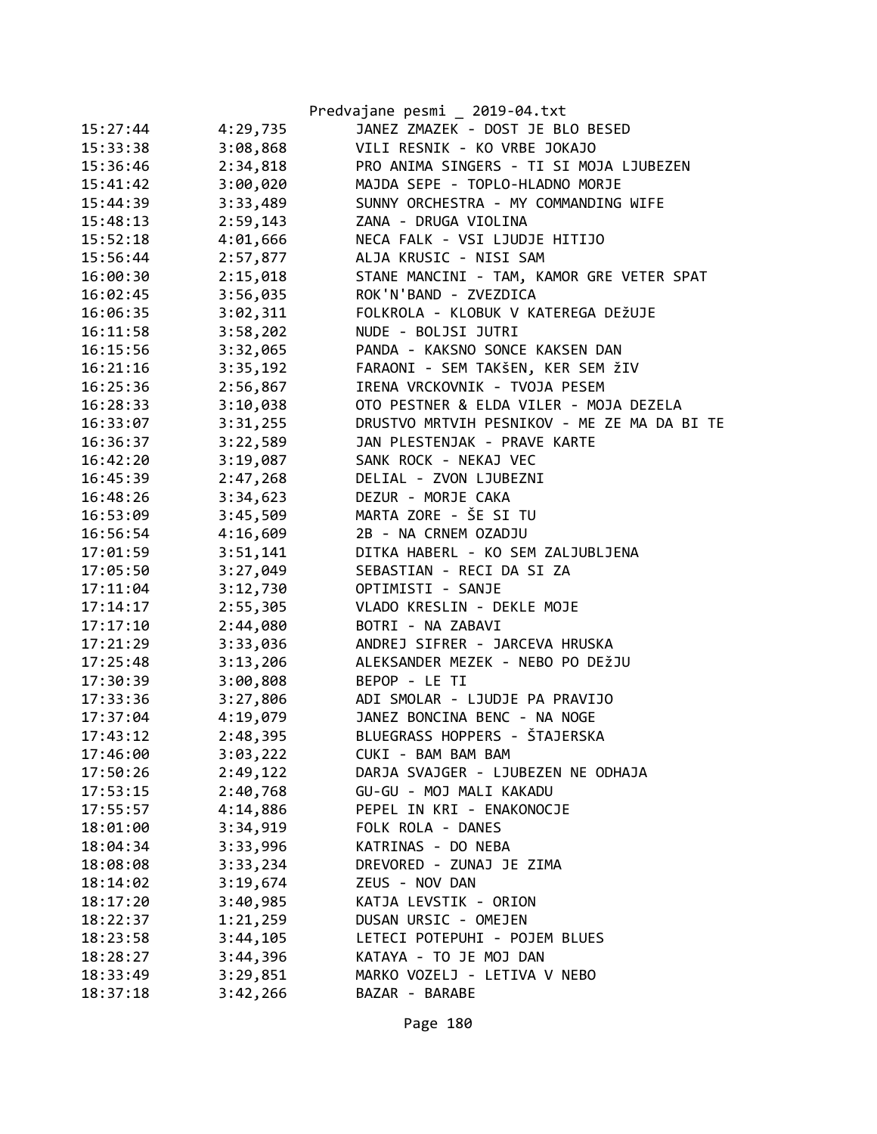|          |          | Predvajane pesmi _ 2019-04.txt              |
|----------|----------|---------------------------------------------|
| 15:27:44 | 4:29,735 | JANEZ ZMAZEK - DOST JE BLO BESED            |
| 15:33:38 | 3:08,868 | VILI RESNIK - KO VRBE JOKAJO                |
| 15:36:46 | 2:34,818 | PRO ANIMA SINGERS - TI SI MOJA LJUBEZEN     |
| 15:41:42 | 3:00,020 | MAJDA SEPE - TOPLO-HLADNO MORJE             |
| 15:44:39 | 3:33,489 | SUNNY ORCHESTRA - MY COMMANDING WIFE        |
| 15:48:13 | 2:59,143 | ZANA - DRUGA VIOLINA                        |
| 15:52:18 | 4:01,666 | NECA FALK - VSI LJUDJE HITIJO               |
| 15:56:44 | 2:57,877 | ALJA KRUSIC - NISI SAM                      |
| 16:00:30 | 2:15,018 | STANE MANCINI - TAM, KAMOR GRE VETER SPAT   |
| 16:02:45 | 3:56,035 | ROK'N'BAND - ZVEZDICA                       |
| 16:06:35 | 3:02,311 | FOLKROLA - KLOBUK V KATEREGA DEŽUJE         |
| 16:11:58 | 3:58,202 | NUDE - BOLJSI JUTRI                         |
| 16:15:56 | 3:32,065 | PANDA - KAKSNO SONCE KAKSEN DAN             |
| 16:21:16 | 3:35,192 | FARAONI - SEM TAKŠEN, KER SEM ŽIV           |
| 16:25:36 | 2:56,867 | IRENA VRCKOVNIK - TVOJA PESEM               |
| 16:28:33 | 3:10,038 | OTO PESTNER & ELDA VILER - MOJA DEZELA      |
| 16:33:07 | 3:31,255 | DRUSTVO MRTVIH PESNIKOV - ME ZE MA DA BI TE |
| 16:36:37 | 3:22,589 | JAN PLESTENJAK - PRAVE KARTE                |
| 16:42:20 | 3:19,087 | SANK ROCK - NEKAJ VEC                       |
| 16:45:39 | 2:47,268 | DELIAL - ZVON LJUBEZNI                      |
| 16:48:26 | 3:34,623 | DEZUR - MORJE CAKA                          |
| 16:53:09 | 3:45,509 | MARTA ZORE - ŠE SI TU                       |
| 16:56:54 | 4:16,609 | 2B - NA CRNEM OZADJU                        |
| 17:01:59 | 3:51,141 | DITKA HABERL - KO SEM ZALJUBLJENA           |
| 17:05:50 | 3:27,049 | SEBASTIAN - RECI DA SI ZA                   |
| 17:11:04 | 3:12,730 | OPTIMISTI - SANJE                           |
| 17:14:17 | 2:55,305 | VLADO KRESLIN - DEKLE MOJE                  |
| 17:17:10 | 2:44,080 | BOTRI - NA ZABAVI                           |
| 17:21:29 | 3:33,036 | ANDREJ SIFRER - JARCEVA HRUSKA              |
| 17:25:48 | 3:13,206 | ALEKSANDER MEZEK - NEBO PO DEŽJU            |
| 17:30:39 | 3:00,808 | BEPOP - LE TI                               |
| 17:33:36 | 3:27,806 | ADI SMOLAR - LJUDJE PA PRAVIJO              |
| 17:37:04 | 4:19,079 | JANEZ BONCINA BENC - NA NOGE                |
| 17:43:12 | 2:48,395 | BLUEGRASS HOPPERS - ŠTAJERSKA               |
| 17:46:00 | 3:03,222 | CUKI - BAM BAM BAM                          |
| 17:50:26 | 2:49,122 | DARJA SVAJGER - LJUBEZEN NE ODHAJA          |
| 17:53:15 | 2:40,768 | GU-GU - MOJ MALI KAKADU                     |
| 17:55:57 | 4:14,886 | PEPEL IN KRI - ENAKONOCJE                   |
| 18:01:00 | 3:34,919 | FOLK ROLA - DANES                           |
| 18:04:34 | 3:33,996 | KATRINAS - DO NEBA                          |
| 18:08:08 | 3:33,234 | DREVORED - ZUNAJ JE ZIMA                    |
| 18:14:02 | 3:19,674 | ZEUS - NOV DAN                              |
| 18:17:20 | 3:40,985 | KATJA LEVSTIK - ORION                       |
| 18:22:37 | 1:21,259 | DUSAN URSIC - OMEJEN                        |
| 18:23:58 | 3:44,105 | LETECI POTEPUHI - POJEM BLUES               |
| 18:28:27 | 3:44,396 | KATAYA - TO JE MOJ DAN                      |
| 18:33:49 | 3:29,851 | MARKO VOZELJ - LETIVA V NEBO                |
| 18:37:18 | 3:42,266 | BAZAR - BARABE                              |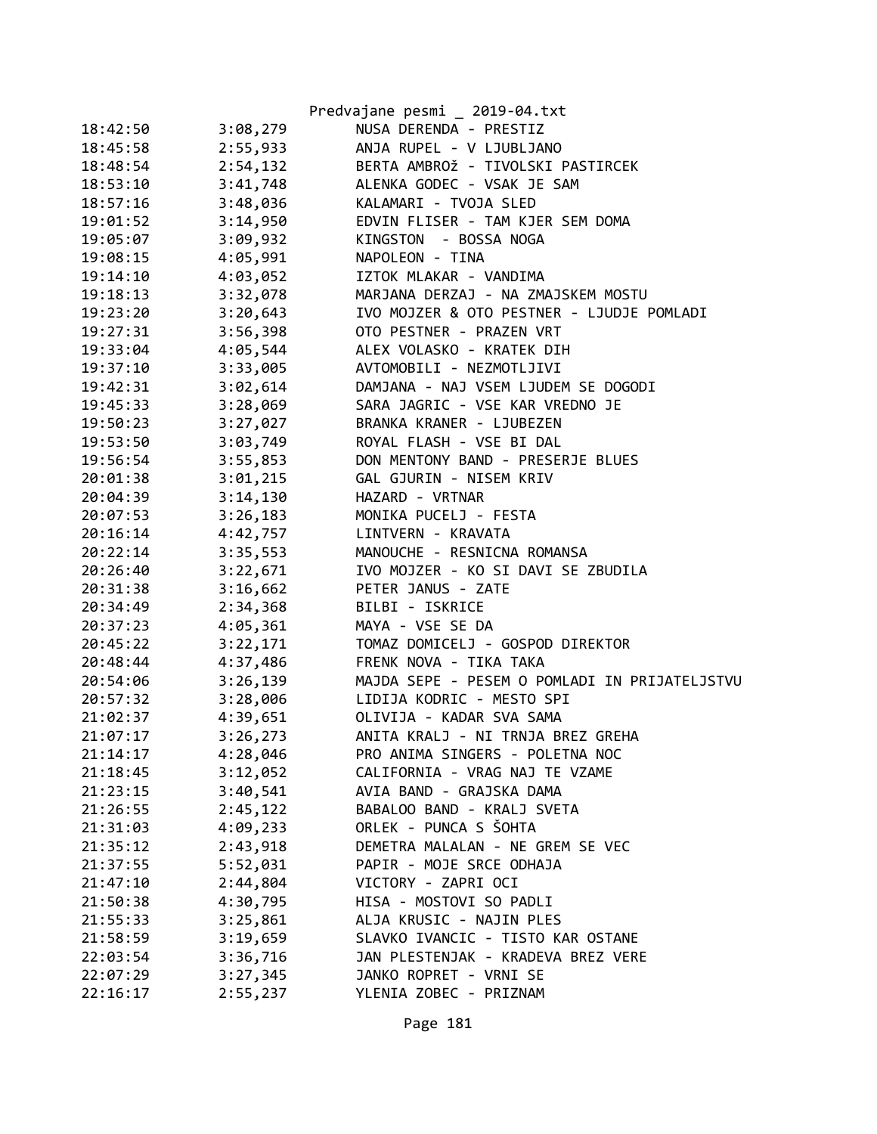|          |          | Predvajane pesmi _ 2019-04.txt                |
|----------|----------|-----------------------------------------------|
| 18:42:50 | 3:08,279 | NUSA DERENDA - PRESTIZ                        |
| 18:45:58 | 2:55,933 | ANJA RUPEL - V LJUBLJANO                      |
| 18:48:54 | 2:54,132 | BERTA AMBROŽ - TIVOLSKI PASTIRCEK             |
| 18:53:10 | 3:41,748 | ALENKA GODEC - VSAK JE SAM                    |
| 18:57:16 | 3:48,036 | KALAMARI - TVOJA SLED                         |
| 19:01:52 | 3:14,950 | EDVIN FLISER - TAM KJER SEM DOMA              |
| 19:05:07 | 3:09,932 | KINGSTON - BOSSA NOGA                         |
| 19:08:15 | 4:05,991 | NAPOLEON - TINA                               |
| 19:14:10 | 4:03,052 | IZTOK MLAKAR - VANDIMA                        |
| 19:18:13 | 3:32,078 | MARJANA DERZAJ - NA ZMAJSKEM MOSTU            |
| 19:23:20 | 3:20,643 | IVO MOJZER & OTO PESTNER - LJUDJE POMLADI     |
| 19:27:31 | 3:56,398 | OTO PESTNER - PRAZEN VRT                      |
| 19:33:04 | 4:05,544 | ALEX VOLASKO - KRATEK DIH                     |
| 19:37:10 | 3:33,005 | AVTOMOBILI - NEZMOTLJIVI                      |
| 19:42:31 | 3:02,614 | DAMJANA - NAJ VSEM LJUDEM SE DOGODI           |
| 19:45:33 | 3:28,069 | SARA JAGRIC - VSE KAR VREDNO JE               |
| 19:50:23 | 3:27,027 | BRANKA KRANER - LJUBEZEN                      |
| 19:53:50 | 3:03,749 | ROYAL FLASH - VSE BI DAL                      |
| 19:56:54 | 3:55,853 | DON MENTONY BAND - PRESERJE BLUES             |
| 20:01:38 | 3:01,215 | GAL GJURIN - NISEM KRIV                       |
| 20:04:39 | 3:14,130 | HAZARD - VRTNAR                               |
| 20:07:53 | 3:26,183 | MONIKA PUCELJ - FESTA                         |
| 20:16:14 | 4:42,757 | LINTVERN - KRAVATA                            |
| 20:22:14 | 3:35,553 | MANOUCHE - RESNICNA ROMANSA                   |
| 20:26:40 | 3:22,671 | IVO MOJZER - KO SI DAVI SE ZBUDILA            |
| 20:31:38 | 3:16,662 | PETER JANUS - ZATE                            |
| 20:34:49 | 2:34,368 | BILBI - ISKRICE                               |
| 20:37:23 | 4:05,361 | MAYA - VSE SE DA                              |
| 20:45:22 | 3:22,171 | TOMAZ DOMICELJ - GOSPOD DIREKTOR              |
| 20:48:44 | 4:37,486 | FRENK NOVA - TIKA TAKA                        |
| 20:54:06 | 3:26,139 | MAJDA SEPE - PESEM O POMLADI IN PRIJATELJSTVU |
| 20:57:32 | 3:28,006 | LIDIJA KODRIC - MESTO SPI                     |
| 21:02:37 | 4:39,651 | OLIVIJA - KADAR SVA SAMA                      |
| 21:07:17 | 3:26,273 | ANITA KRALJ - NI TRNJA BREZ GREHA             |
| 21:14:17 | 4:28,046 | PRO ANIMA SINGERS - POLETNA NOC               |
| 21:18:45 | 3:12,052 | CALIFORNIA - VRAG NAJ TE VZAME                |
| 21:23:15 | 3:40,541 | AVIA BAND - GRAJSKA DAMA                      |
| 21:26:55 | 2:45,122 | BABALOO BAND - KRALJ SVETA                    |
| 21:31:03 | 4:09,233 | ORLEK - PUNCA S ŠOHTA                         |
| 21:35:12 | 2:43,918 | DEMETRA MALALAN - NE GREM SE VEC              |
| 21:37:55 | 5:52,031 | PAPIR - MOJE SRCE ODHAJA                      |
| 21:47:10 | 2:44,804 | VICTORY - ZAPRI OCI                           |
| 21:50:38 | 4:30,795 | HISA - MOSTOVI SO PADLI                       |
| 21:55:33 | 3:25,861 | ALJA KRUSIC - NAJIN PLES                      |
| 21:58:59 | 3:19,659 | SLAVKO IVANCIC - TISTO KAR OSTANE             |
| 22:03:54 | 3:36,716 | JAN PLESTENJAK - KRADEVA BREZ VERE            |
| 22:07:29 | 3:27,345 | JANKO ROPRET - VRNI SE                        |
| 22:16:17 | 2:55,237 | YLENIA ZOBEC - PRIZNAM                        |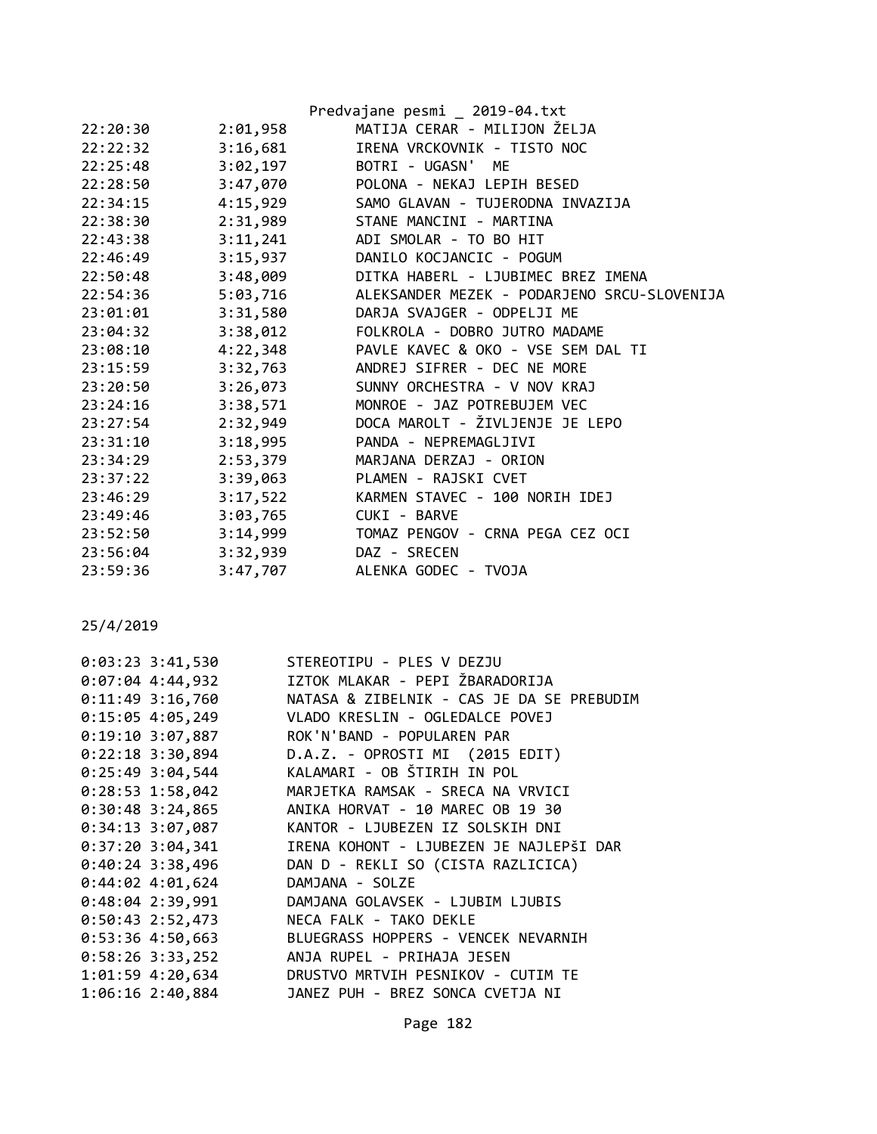|          |          | Predvajane pesmi _ 2019-04.txt              |
|----------|----------|---------------------------------------------|
| 22:20:30 | 2:01,958 | MATIJA CERAR - MILIJON ŽELJA                |
| 22:22:32 | 3:16,681 | IRENA VRCKOVNIK - TISTO NOC                 |
| 22:25:48 | 3:02,197 | BOTRI - UGASN' ME                           |
| 22:28:50 | 3:47,070 | POLONA - NEKAJ LEPIH BESED                  |
| 22:34:15 | 4:15,929 | SAMO GLAVAN - TUJERODNA INVAZIJA            |
| 22:38:30 | 2:31,989 | STANE MANCINI - MARTINA                     |
| 22:43:38 | 3:11,241 | ADI SMOLAR - TO BO HIT                      |
| 22:46:49 | 3:15,937 | DANILO KOCJANCIC - POGUM                    |
| 22:50:48 | 3:48,009 | DITKA HABERL - LJUBIMEC BREZ IMENA          |
| 22:54:36 | 5:03,716 | ALEKSANDER MEZEK - PODARJENO SRCU-SLOVENIJA |
| 23:01:01 | 3:31,580 | DARJA SVAJGER - ODPELJI ME                  |
| 23:04:32 | 3:38,012 | FOLKROLA - DOBRO JUTRO MADAME               |
| 23:08:10 | 4:22,348 | PAVLE KAVEC & OKO - VSE SEM DAL TI          |
| 23:15:59 | 3:32,763 | ANDREJ SIFRER - DEC NE MORE                 |
| 23:20:50 | 3:26,073 | SUNNY ORCHESTRA - V NOV KRAJ                |
| 23:24:16 | 3:38,571 | MONROE - JAZ POTREBUJEM VEC                 |
| 23:27:54 | 2:32,949 | DOCA MAROLT - ŽIVLJENJE JE LEPO             |
| 23:31:10 | 3:18,995 | PANDA - NEPREMAGLJIVI                       |
| 23:34:29 | 2:53,379 | MARJANA DERZAJ - ORION                      |
| 23:37:22 | 3:39,063 | PLAMEN - RAJSKI CVET                        |
| 23:46:29 | 3:17,522 | KARMEN STAVEC - 100 NORIH IDEJ              |
| 23:49:46 | 3:03,765 | CUKI - BARVE                                |
| 23:52:50 | 3:14,999 | TOMAZ PENGOV - CRNA PEGA CEZ OCI            |
| 23:56:04 | 3:32,939 | DAZ - SRECEN                                |
| 23:59:36 | 3:47,707 | ALENKA GODEC - TVOJA                        |

| $0:03:23$ 3:41,530   | STEREOTIPU - PLES V DEZJU                 |
|----------------------|-------------------------------------------|
| $0:07:04$ 4:44,932   | IZTOK MLAKAR - PEPI ŽBARADORIJA           |
| $0:11:49$ 3:16,760   | NATASA & ZIBELNIK - CAS JE DA SE PREBUDIM |
| $0:15:05$ 4:05,249   | VLADO KRESLIN - OGLEDALCE POVEJ           |
| $0:19:10$ 3:07,887   | ROK'N'BAND - POPULAREN PAR                |
| $0:22:18$ 3:30,894   | D.A.Z. - OPROSTI MI (2015 EDIT)           |
| $0:25:49$ 3:04,544   | KALAMARI - OB ŠTIRIH IN POL               |
| $0:28:53$ 1:58,042   | MARJETKA RAMSAK - SRECA NA VRVICI         |
| $0:30:48$ 3:24,865   | ANIKA HORVAT - 10 MAREC OB 19 30          |
| $0:34:13$ 3:07,087   | KANTOR - LJUBEZEN IZ SOLSKIH DNI          |
| $0:37:20$ 3:04,341   | IRENA KOHONT - LJUBEZEN JE NAJLEPŠI DAR   |
| $0:40:24$ 3:38,496   | DAN D - REKLI SO (CISTA RAZLICICA)        |
| $0:44:02$ 4:01,624   | DAMJANA - SOLZE                           |
| $0:48:04$ 2:39,991   | DAMJANA GOLAVSEK - LJUBIM LJUBIS          |
| $0:50:43$ 2:52,473   | NECA FALK - TAKO DEKLE                    |
| $0:53:36$ 4:50,663   | BLUEGRASS HOPPERS - VENCEK NEVARNIH       |
| $0:58:26$ 3:33,252   | ANJA RUPEL - PRIHAJA JESEN                |
| $1:01:59$ $4:20,634$ | DRUSTVO MRTVIH PESNIKOV - CUTIM TE        |
| 1:06:16 2:40,884     | JANEZ PUH - BREZ SONCA CVETJA NI          |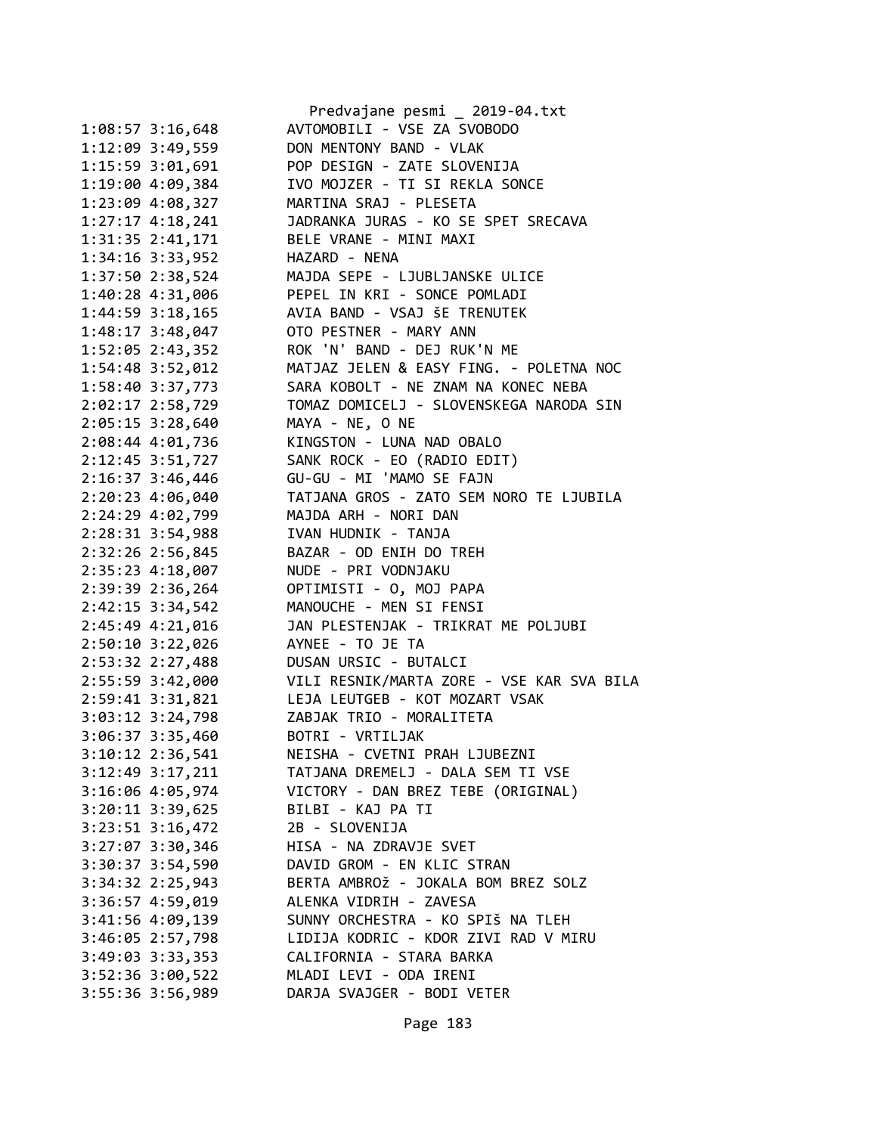|                      | Predvajane pesmi _ 2019-04.txt            |
|----------------------|-------------------------------------------|
| 1:08:57 3:16,648     | AVTOMOBILI - VSE ZA SVOBODO               |
| 1:12:09 3:49,559     | DON MENTONY BAND - VLAK                   |
| 1:15:59 3:01,691     | POP DESIGN - ZATE SLOVENIJA               |
| 1:19:00 4:09,384     | IVO MOJZER - TI SI REKLA SONCE            |
| 1:23:09 4:08,327     | MARTINA SRAJ - PLESETA                    |
| 1:27:17 4:18,241     | JADRANKA JURAS - KO SE SPET SRECAVA       |
| 1:31:35 2:41,171     | BELE VRANE - MINI MAXI                    |
| 1:34:16 3:33,952     | HAZARD - NENA                             |
| 1:37:50 2:38,524     | MAJDA SEPE - LJUBLJANSKE ULICE            |
| 1:40:28 4:31,006     | PEPEL IN KRI - SONCE POMLADI              |
| $1:44:59$ $3:18,165$ | AVIA BAND - VSAJ ŠE TRENUTEK              |
| $1:48:17$ 3:48,047   | OTO PESTNER - MARY ANN                    |
| 1:52:05 2:43,352     | ROK 'N' BAND - DEJ RUK'N ME               |
| 1:54:48 3:52,012     | MATJAZ JELEN & EASY FING. - POLETNA NOC   |
| 1:58:40 3:37,773     | SARA KOBOLT - NE ZNAM NA KONEC NEBA       |
| 2:02:17 2:58,729     | TOMAZ DOMICELJ - SLOVENSKEGA NARODA SIN   |
| $2:05:15$ 3:28,640   | MAYA - NE, O NE                           |
| 2:08:44 4:01,736     | KINGSTON - LUNA NAD OBALO                 |
| 2:12:45 3:51,727     | SANK ROCK - EO (RADIO EDIT)               |
| 2:16:37 3:46,446     | GU-GU - MI 'MAMO SE FAJN                  |
| 2:20:23 4:06,040     | TATJANA GROS - ZATO SEM NORO TE LJUBILA   |
| 2:24:29 4:02,799     | MAJDA ARH - NORI DAN                      |
| 2:28:31 3:54,988     | IVAN HUDNIK - TANJA                       |
| 2:32:26 2:56,845     | BAZAR - OD ENIH DO TREH                   |
|                      | NUDE - PRI VODNJAKU                       |
| 2:35:23 4:18,007     | OPTIMISTI - O, MOJ PAPA                   |
| 2:39:39 2:36,264     | MANOUCHE - MEN SI FENSI                   |
| 2:42:15 3:34,542     |                                           |
| 2:45:49 4:21,016     | JAN PLESTENJAK - TRIKRAT ME POLJUBI       |
| 2:50:10 3:22,026     | AYNEE - TO JE TA                          |
| 2:53:32 2:27,488     | DUSAN URSIC - BUTALCI                     |
| 2:55:59 3:42,000     | VILI RESNIK/MARTA ZORE - VSE KAR SVA BILA |
| 2:59:41 3:31,821     | LEJA LEUTGEB - KOT MOZART VSAK            |
| $3:03:12$ $3:24,798$ | ZABJAK TRIO - MORALITETA                  |
| 3:06:37 3:35,460     | BOTRI - VRTILJAK                          |
| 3:10:12 2:36,541     | NEISHA - CVETNI PRAH LJUBEZNI             |
| $3:12:49$ $3:17,211$ | TATJANA DREMELJ - DALA SEM TI VSE         |
| 3:16:06 4:05,974     | VICTORY - DAN BREZ TEBE (ORIGINAL)        |
| $3:20:11$ $3:39,625$ | BILBI - KAJ PA TI                         |
| $3:23:51$ $3:16,472$ | 2B - SLOVENIJA                            |
| $3:27:07$ $3:30,346$ | HISA - NA ZDRAVJE SVET                    |
| 3:30:37 3:54,590     | DAVID GROM - EN KLIC STRAN                |
| $3:34:32$ $2:25,943$ | BERTA AMBROŽ - JOKALA BOM BREZ SOLZ       |
| 3:36:57 4:59,019     | ALENKA VIDRIH - ZAVESA                    |
| $3:41:56$ $4:99,139$ | SUNNY ORCHESTRA - KO SPIŠ NA TLEH         |
| 3:46:05 2:57,798     | LIDIJA KODRIC - KDOR ZIVI RAD V MIRU      |
| 3:49:03 3:33,353     | CALIFORNIA - STARA BARKA                  |
| 3:52:36 3:00,522     | MLADI LEVI - ODA IRENI                    |
| 3:55:36 3:56,989     | DARJA SVAJGER - BODI VETER                |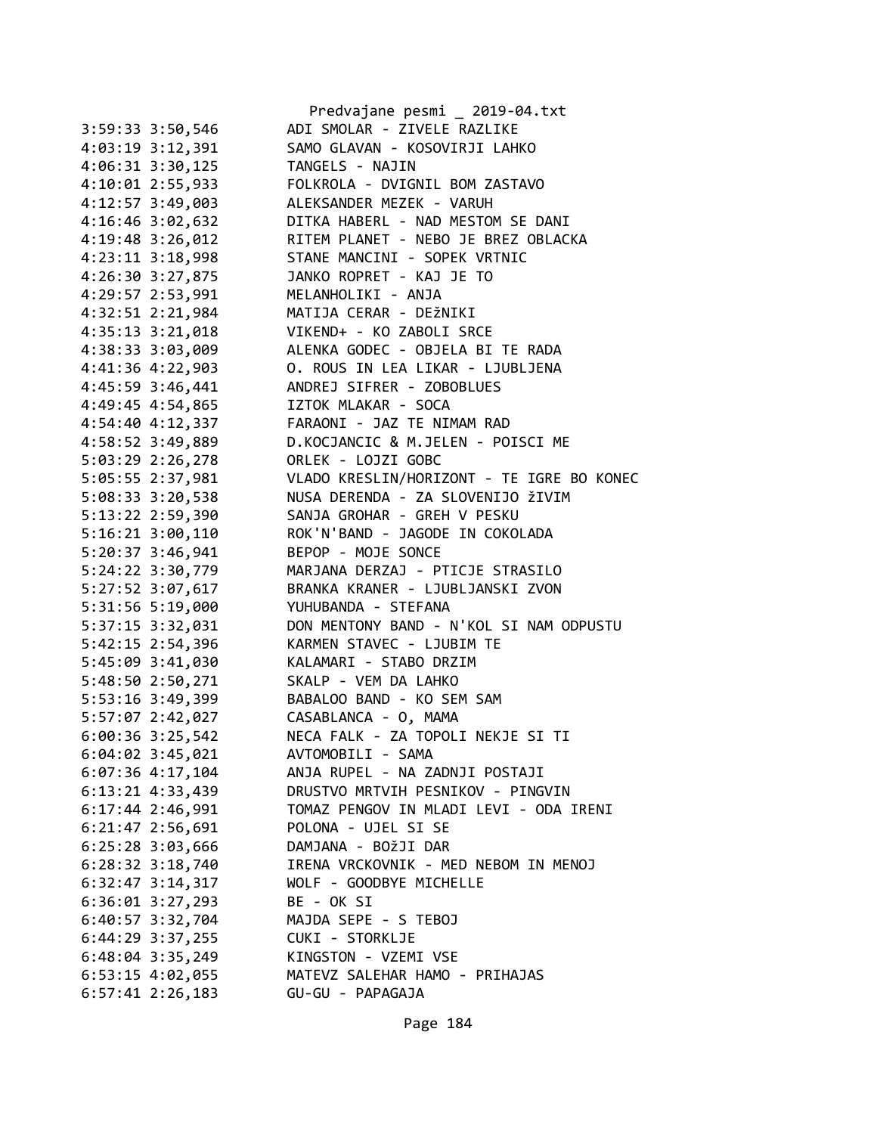|                      | Predvajane pesmi _ 2019-04.txt                                                 |
|----------------------|--------------------------------------------------------------------------------|
| $3:59:33$ $3:50,546$ | ADI SMOLAR - ZIVELE RAZLIKE                                                    |
| 4:03:19 3:12,391     | SAMO GLAVAN - KOSOVIRJI LAHKO                                                  |
| $4:06:31$ $3:30,125$ | TANGELS - NAJIN                                                                |
| 4:10:01 2:55,933     | FOLKROLA - DVIGNIL BOM ZASTAVO                                                 |
| 4:12:57 3:49,003     | ALEKSANDER MEZEK - VARUH                                                       |
| 4:16:46 3:02,632     | DITKA HABERL - NAD MESTOM SE DANI                                              |
| 4:19:48 3:26,012     | RITEM PLANET - NEBO JE BREZ OBLACKA                                            |
| 4:23:11 3:18,998     | STANE MANCINI - SOPEK VRTNIC                                                   |
| 4:26:30 3:27,875     | JANKO ROPRET - KAJ JE TO                                                       |
| 4:29:57 2:53,991     | MELANHOLIKI - ANJA                                                             |
| 4:32:51 2:21,984     | MATIJA CERAR - DEŽNIKI                                                         |
| 4:35:13 3:21,018     | VIKEND+ - KO ZABOLI SRCE                                                       |
| 4:38:33 3:03,009     | ALENKA GODEC - OBJELA BI TE RADA                                               |
| 4:41:36 4:22,903     | O. ROUS IN LEA LIKAR - LJUBLJENA                                               |
| 4:45:59 3:46,441     | ANDREJ SIFRER - ZOBOBLUES                                                      |
| 4:49:45 4:54,865     | IZTOK MLAKAR - SOCA                                                            |
| 4:54:40 4:12,337     | FARAONI - JAZ TE NIMAM RAD                                                     |
| 4:58:52 3:49,889     | D.KOCJANCIC & M.JELEN - POISCI ME                                              |
| 5:03:29 2:26,278     | ORLEK - LOJZI GOBC                                                             |
| 5:05:55 2:37,981     |                                                                                |
|                      | VLADO KRESLIN/HORIZONT - TE IGRE BO KONEC<br>NUSA DERENDA - ZA SLOVENIJO ŽIVIM |
| 5:08:33 3:20,538     |                                                                                |
| 5:13:22 2:59,390     | SANJA GROHAR - GREH V PESKU                                                    |
| $5:16:21$ $3:00,110$ | ROK'N'BAND - JAGODE IN COKOLADA                                                |
| $5:20:37$ 3:46,941   | BEPOP - MOJE SONCE                                                             |
| 5:24:22 3:30,779     | MARJANA DERZAJ - PTICJE STRASILO                                               |
| 5:27:52 3:07,617     | BRANKA KRANER - LJUBLJANSKI ZVON                                               |
| 5:31:56 5:19,000     | YUHUBANDA - STEFANA                                                            |
| 5:37:15 3:32,031     | DON MENTONY BAND - N'KOL SI NAM ODPUSTU                                        |
| 5:42:15 2:54,396     | KARMEN STAVEC - LJUBIM TE                                                      |
| 5:45:09 3:41,030     | KALAMARI - STABO DRZIM                                                         |
| 5:48:50 2:50,271     | SKALP - VEM DA LAHKO                                                           |
| 5:53:16 3:49,399     | BABALOO BAND - KO SEM SAM                                                      |
| 5:57:07 2:42,027     | CASABLANCA - O, MAMA                                                           |
| 6:00:36 3:25,542     | NECA FALK - ZA TOPOLI NEKJE SI TI                                              |
| $6:04:02$ 3:45,021   | AVTOMOBILI - SAMA                                                              |
| $6:07:36$ 4:17,104   | ANJA RUPEL - NA ZADNJI POSTAJI                                                 |
| $6:13:21$ $4:33,439$ | DRUSTVO MRTVIH PESNIKOV - PINGVIN                                              |
| $6:17:44$ 2:46,991   | TOMAZ PENGOV IN MLADI LEVI - ODA IRENI                                         |
| $6:21:47$ 2:56,691   | POLONA - UJEL SI SE                                                            |
| $6:25:28$ 3:03,666   | DAMJANA - BOŽJI DAR                                                            |
| $6:28:32$ $3:18,740$ | IRENA VRCKOVNIK - MED NEBOM IN MENOJ                                           |
| $6:32:47$ $3:14,317$ | WOLF - GOODBYE MICHELLE                                                        |
| $6:36:01$ $3:27,293$ | BE - OK SI                                                                     |
| 6:40:57 3:32,704     | MAJDA SEPE - S TEBOJ                                                           |
| $6:44:29$ 3:37,255   | CUKI - STORKLJE                                                                |
| $6:48:04$ 3:35,249   | KINGSTON - VZEMI VSE                                                           |
| $6:53:15$ 4:02,055   | MATEVZ SALEHAR HAMO - PRIHAJAS                                                 |
| $6:57:41$ 2:26,183   | GU-GU - PAPAGAJA                                                               |
|                      |                                                                                |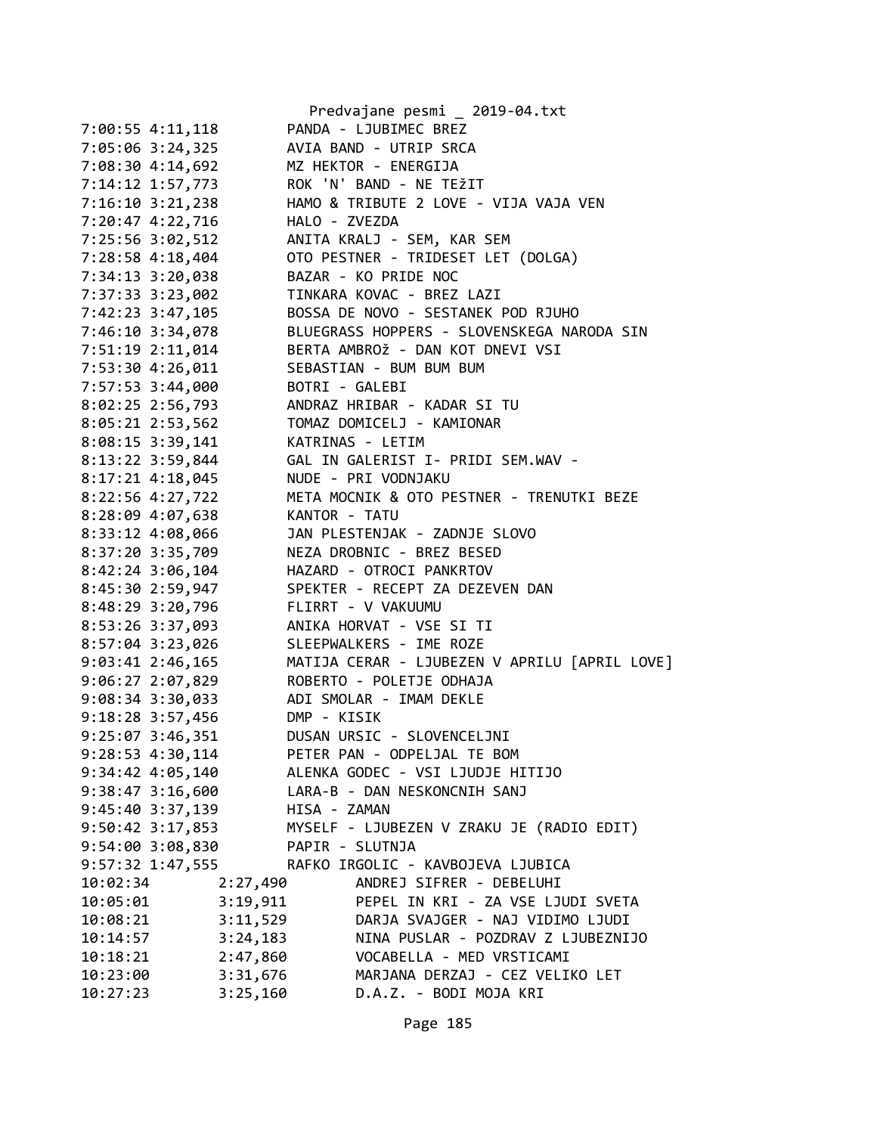|                      |                 | Predvajane pesmi _ 2019-04.txt                |
|----------------------|-----------------|-----------------------------------------------|
| 7:00:55 4:11,118     |                 | PANDA - LJUBIMEC BREZ                         |
| 7:05:06 3:24,325     |                 | AVIA BAND - UTRIP SRCA                        |
| 7:08:30 4:14,692     |                 | MZ HEKTOR - ENERGIJA                          |
| 7:14:12 1:57,773     |                 | ROK 'N' BAND - NE TEŽIT                       |
| 7:16:10 3:21,238     |                 | HAMO & TRIBUTE 2 LOVE - VIJA VAJA VEN         |
| 7:20:47 4:22,716     | HALO - ZVEZDA   |                                               |
| 7:25:56 3:02,512     |                 | ANITA KRALJ - SEM, KAR SEM                    |
| 7:28:58 4:18,404     |                 | OTO PESTNER - TRIDESET LET (DOLGA)            |
| 7:34:13 3:20,038     |                 | BAZAR - KO PRIDE NOC                          |
| 7:37:33 3:23,002     |                 | TINKARA KOVAC - BREZ LAZI                     |
| 7:42:23 3:47,105     |                 | BOSSA DE NOVO - SESTANEK POD RJUHO            |
| 7:46:10 3:34,078     |                 | BLUEGRASS HOPPERS - SLOVENSKEGA NARODA SIN    |
| 7:51:19 2:11,014     |                 | BERTA AMBROŽ - DAN KOT DNEVI VSI              |
| 7:53:30 4:26,011     |                 | SEBASTIAN - BUM BUM BUM                       |
| 7:57:53 3:44,000     | BOTRI - GALEBI  |                                               |
| 8:02:25 2:56,793     |                 | ANDRAZ HRIBAR - KADAR SI TU                   |
| 8:05:21 2:53,562     |                 | TOMAZ DOMICELJ - KAMIONAR                     |
| 8:08:15 3:39,141     |                 | KATRINAS - LETIM                              |
| 8:13:22 3:59,844     |                 | GAL IN GALERIST I- PRIDI SEM.WAV -            |
| $8:17:21$ 4:18,045   |                 | NUDE - PRI VODNJAKU                           |
| 8:22:56 4:27,722     |                 | META MOCNIK & OTO PESTNER - TRENUTKI BEZE     |
| 8:28:09 4:07,638     | KANTOR - TATU   |                                               |
| 8:33:12 4:08,066     |                 | JAN PLESTENJAK - ZADNJE SLOVO                 |
| 8:37:20 3:35,709     |                 | NEZA DROBNIC - BREZ BESED                     |
|                      |                 | HAZARD - OTROCI PANKRTOV                      |
| 8:42:24 3:06,104     |                 | SPEKTER - RECEPT ZA DEZEVEN DAN               |
| 8:45:30 2:59,947     |                 |                                               |
| 8:48:29 3:20,796     |                 | FLIRRT - V VAKUUMU                            |
| 8:53:26 3:37,093     |                 | ANIKA HORVAT - VSE SI TI                      |
| 8:57:04 3:23,026     |                 | SLEEPWALKERS - IME ROZE                       |
| $9:03:41$ 2:46,165   |                 | MATIJA CERAR - LJUBEZEN V APRILU [APRIL LOVE] |
| 9:06:27 2:07,829     |                 | ROBERTO - POLETJE ODHAJA                      |
| 9:08:34 3:30,033     |                 | ADI SMOLAR - IMAM DEKLE                       |
| 9:18:28 3:57,456     | DMP - KISIK     |                                               |
| 9:25:07 3:46,351     |                 | DUSAN URSIC - SLOVENCELJNI                    |
| 9:28:53 4:30,114     |                 | PETER PAN - ODPELJAL TE BOM                   |
| $9:34:42$ $4:05,140$ |                 | ALENKA GODEC - VSI LJUDJE HITIJO              |
| $9:38:47$ 3:16,600   |                 | LARA-B - DAN NESKONCNIH SANJ                  |
| $9:45:40$ 3:37,139   | HISA - ZAMAN    |                                               |
| 9:50:42 3:17,853     |                 | MYSELF - LJUBEZEN V ZRAKU JE (RADIO EDIT)     |
| 9:54:00 3:08,830     | PAPIR - SLUTNJA |                                               |
| 9:57:32 1:47,555     |                 | RAFKO IRGOLIC - KAVBOJEVA LJUBICA             |
| 10:02:34             | 2:27,490        | ANDREJ SIFRER - DEBELUHI                      |
| 10:05:01             | 3:19,911        | PEPEL IN KRI - ZA VSE LJUDI SVETA             |
| 10:08:21             | 3:11,529        | DARJA SVAJGER - NAJ VIDIMO LJUDI              |
| 10:14:57             | 3:24,183        | NINA PUSLAR - POZDRAV Z LJUBEZNIJO            |
| 10:18:21             | 2:47,860        | VOCABELLA - MED VRSTICAMI                     |
| 10:23:00             | 3:31,676        | MARJANA DERZAJ - CEZ VELIKO LET               |
| 10:27:23             | 3:25,160        | D.A.Z. - BODI MOJA KRI                        |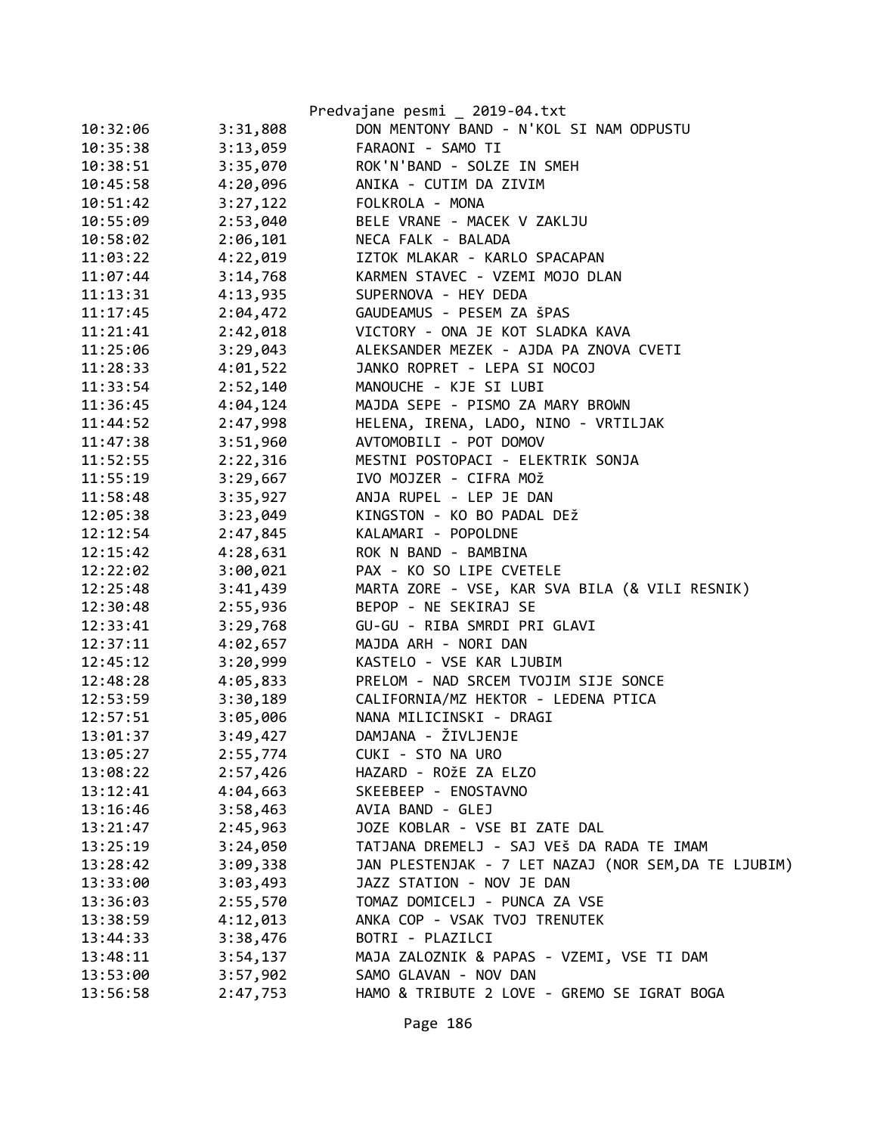|          |          | Predvajane pesmi _ 2019-04.txt                       |
|----------|----------|------------------------------------------------------|
| 10:32:06 | 3:31,808 | DON MENTONY BAND - N'KOL SI NAM ODPUSTU              |
| 10:35:38 | 3:13,059 | FARAONI - SAMO TI                                    |
| 10:38:51 | 3:35,070 | ROK'N'BAND - SOLZE IN SMEH                           |
| 10:45:58 | 4:20,096 | ANIKA - CUTIM DA ZIVIM                               |
| 10:51:42 | 3:27,122 | FOLKROLA - MONA                                      |
| 10:55:09 | 2:53,040 | BELE VRANE - MACEK V ZAKLJU                          |
| 10:58:02 | 2:06,101 | NECA FALK - BALADA                                   |
| 11:03:22 | 4:22,019 | IZTOK MLAKAR - KARLO SPACAPAN                        |
| 11:07:44 | 3:14,768 | KARMEN STAVEC - VZEMI MOJO DLAN                      |
| 11:13:31 | 4:13,935 | SUPERNOVA - HEY DEDA                                 |
| 11:17:45 | 2:04,472 | GAUDEAMUS - PESEM ZA ŠPAS                            |
| 11:21:41 | 2:42,018 | VICTORY - ONA JE KOT SLADKA KAVA                     |
| 11:25:06 | 3:29,043 | ALEKSANDER MEZEK - AJDA PA ZNOVA CVETI               |
| 11:28:33 | 4:01,522 | JANKO ROPRET - LEPA SI NOCOJ                         |
| 11:33:54 | 2:52,140 | MANOUCHE - KJE SI LUBI                               |
| 11:36:45 | 4:04,124 | MAJDA SEPE - PISMO ZA MARY BROWN                     |
| 11:44:52 | 2:47,998 | HELENA, IRENA, LADO, NINO - VRTILJAK                 |
| 11:47:38 | 3:51,960 | AVTOMOBILI - POT DOMOV                               |
| 11:52:55 | 2:22,316 | MESTNI POSTOPACI - ELEKTRIK SONJA                    |
| 11:55:19 | 3:29,667 | IVO MOJZER - CIFRA MOŽ                               |
| 11:58:48 | 3:35,927 | ANJA RUPEL - LEP JE DAN                              |
| 12:05:38 | 3:23,049 | KINGSTON - KO BO PADAL DEŽ                           |
| 12:12:54 | 2:47,845 | KALAMARI - POPOLDNE                                  |
| 12:15:42 | 4:28,631 | ROK N BAND - BAMBINA                                 |
| 12:22:02 | 3:00,021 | PAX - KO SO LIPE CVETELE                             |
| 12:25:48 | 3:41,439 | MARTA ZORE - VSE, KAR SVA BILA (& VILI RESNIK)       |
| 12:30:48 | 2:55,936 | BEPOP - NE SEKIRAJ SE                                |
| 12:33:41 | 3:29,768 | GU-GU - RIBA SMRDI PRI GLAVI                         |
| 12:37:11 | 4:02,657 | MAJDA ARH - NORI DAN                                 |
| 12:45:12 | 3:20,999 | KASTELO - VSE KAR LJUBIM                             |
| 12:48:28 | 4:05,833 | PRELOM - NAD SRCEM TVOJIM SIJE SONCE                 |
| 12:53:59 | 3:30,189 | CALIFORNIA/MZ HEKTOR - LEDENA PTICA                  |
| 12:57:51 | 3:05,006 | NANA MILICINSKI - DRAGI                              |
| 13:01:37 | 3:49,427 | DAMJANA - ŽIVLJENJE                                  |
| 13:05:27 | 2:55,774 | CUKI - STO NA URO                                    |
| 13:08:22 | 2:57,426 | HAZARD - ROŽE ZA ELZO                                |
| 13:12:41 | 4:04,663 | SKEEBEEP - ENOSTAVNO                                 |
| 13:16:46 | 3:58,463 | AVIA BAND - GLEJ                                     |
| 13:21:47 | 2:45,963 | JOZE KOBLAR - VSE BI ZATE DAL                        |
| 13:25:19 | 3:24,050 | TATJANA DREMELJ - SAJ VEŠ DA RADA TE IMAM            |
| 13:28:42 | 3:09,338 | JAN PLESTENJAK - 7 LET NAZAJ (NOR SEM, DA TE LJUBIM) |
| 13:33:00 | 3:03,493 | JAZZ STATION - NOV JE DAN                            |
| 13:36:03 | 2:55,570 | TOMAZ DOMICELJ - PUNCA ZA VSE                        |
| 13:38:59 | 4:12,013 | ANKA COP - VSAK TVOJ TRENUTEK                        |
| 13:44:33 | 3:38,476 | BOTRI - PLAZILCI                                     |
| 13:48:11 | 3:54,137 | MAJA ZALOZNIK & PAPAS - VZEMI, VSE TI DAM            |
| 13:53:00 | 3:57,902 | SAMO GLAVAN - NOV DAN                                |
| 13:56:58 | 2:47,753 | HAMO & TRIBUTE 2 LOVE - GREMO SE IGRAT BOGA          |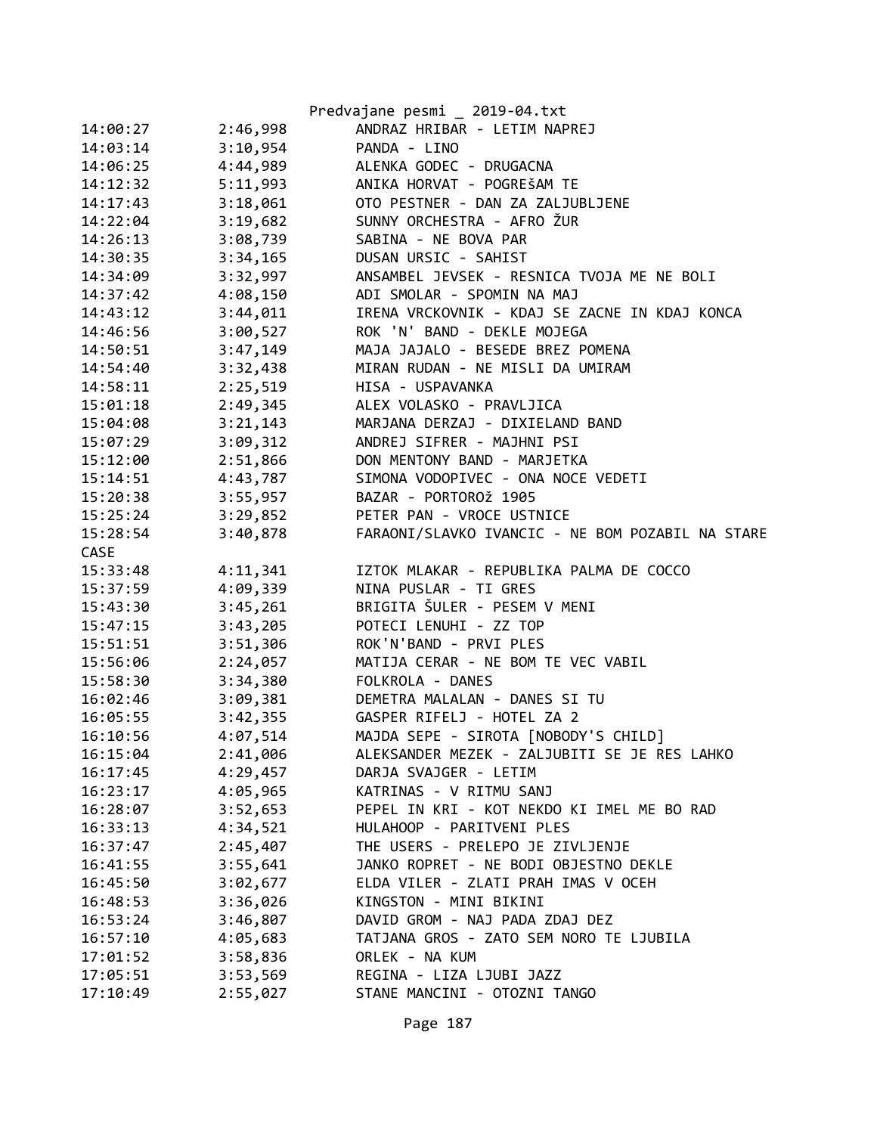|          |          | Predvajane pesmi _ 2019-04.txt                   |
|----------|----------|--------------------------------------------------|
| 14:00:27 | 2:46,998 | ANDRAZ HRIBAR - LETIM NAPREJ                     |
| 14:03:14 | 3:10,954 | PANDA - LINO                                     |
| 14:06:25 | 4:44,989 | ALENKA GODEC - DRUGACNA                          |
| 14:12:32 | 5:11,993 | ANIKA HORVAT - POGREŠAM TE                       |
| 14:17:43 | 3:18,061 | OTO PESTNER - DAN ZA ZALJUBLJENE                 |
| 14:22:04 | 3:19,682 | SUNNY ORCHESTRA - AFRO ŽUR                       |
| 14:26:13 | 3:08,739 | SABINA - NE BOVA PAR                             |
| 14:30:35 | 3:34,165 | DUSAN URSIC - SAHIST                             |
| 14:34:09 | 3:32,997 | ANSAMBEL JEVSEK - RESNICA TVOJA ME NE BOLI       |
| 14:37:42 | 4:08,150 | ADI SMOLAR - SPOMIN NA MAJ                       |
| 14:43:12 | 3:44,011 | IRENA VRCKOVNIK - KDAJ SE ZACNE IN KDAJ KONCA    |
| 14:46:56 | 3:00,527 | ROK 'N' BAND - DEKLE MOJEGA                      |
| 14:50:51 | 3:47,149 | MAJA JAJALO - BESEDE BREZ POMENA                 |
| 14:54:40 | 3:32,438 | MIRAN RUDAN - NE MISLI DA UMIRAM                 |
| 14:58:11 | 2:25,519 | HISA - USPAVANKA                                 |
| 15:01:18 | 2:49,345 | ALEX VOLASKO - PRAVLJICA                         |
| 15:04:08 | 3:21,143 | MARJANA DERZAJ - DIXIELAND BAND                  |
| 15:07:29 | 3:09,312 | ANDREJ SIFRER - MAJHNI PSI                       |
| 15:12:00 | 2:51,866 | DON MENTONY BAND - MARJETKA                      |
| 15:14:51 | 4:43,787 | SIMONA VODOPIVEC - ONA NOCE VEDETI               |
| 15:20:38 | 3:55,957 | BAZAR - PORTOROŽ 1905                            |
| 15:25:24 | 3:29,852 | PETER PAN - VROCE USTNICE                        |
| 15:28:54 | 3:40,878 | FARAONI/SLAVKO IVANCIC - NE BOM POZABIL NA STARE |
|          |          |                                                  |
| CASE     |          |                                                  |
| 15:33:48 | 4:11,341 | IZTOK MLAKAR - REPUBLIKA PALMA DE COCCO          |
| 15:37:59 | 4:09,339 | NINA PUSLAR - TI GRES                            |
| 15:43:30 | 3:45,261 | BRIGITA ŠULER - PESEM V MENI                     |
| 15:47:15 | 3:43,205 | POTECI LENUHI - ZZ TOP                           |
| 15:51:51 | 3:51,306 | ROK'N'BAND - PRVI PLES                           |
| 15:56:06 | 2:24,057 | MATIJA CERAR - NE BOM TE VEC VABIL               |
| 15:58:30 | 3:34,380 | FOLKROLA - DANES                                 |
| 16:02:46 | 3:09,381 | DEMETRA MALALAN - DANES SI TU                    |
| 16:05:55 | 3:42,355 | GASPER RIFELJ - HOTEL ZA 2                       |
| 16:10:56 | 4:07,514 | MAJDA SEPE - SIROTA [NOBODY'S CHILD]             |
| 16:15:04 | 2:41,006 | ALEKSANDER MEZEK - ZALJUBITI SE JE RES LAHKO     |
| 16:17:45 | 4:29,457 | DARJA SVAJGER - LETIM                            |
| 16:23:17 | 4:05,965 | KATRINAS - V RITMU SANJ                          |
| 16:28:07 | 3:52,653 | PEPEL IN KRI - KOT NEKDO KI IMEL ME BO RAD       |
| 16:33:13 | 4:34,521 | HULAHOOP - PARITVENI PLES                        |
| 16:37:47 | 2:45,407 | THE USERS - PRELEPO JE ZIVLJENJE                 |
| 16:41:55 | 3:55,641 | JANKO ROPRET - NE BODI OBJESTNO DEKLE            |
| 16:45:50 | 3:02,677 | ELDA VILER - ZLATI PRAH IMAS V OCEH              |
| 16:48:53 | 3:36,026 | KINGSTON - MINI BIKINI                           |
| 16:53:24 | 3:46,807 | DAVID GROM - NAJ PADA ZDAJ DEZ                   |
| 16:57:10 | 4:05,683 | TATJANA GROS - ZATO SEM NORO TE LJUBILA          |
| 17:01:52 | 3:58,836 | ORLEK - NA KUM                                   |
| 17:05:51 | 3:53,569 | REGINA - LIZA LJUBI JAZZ                         |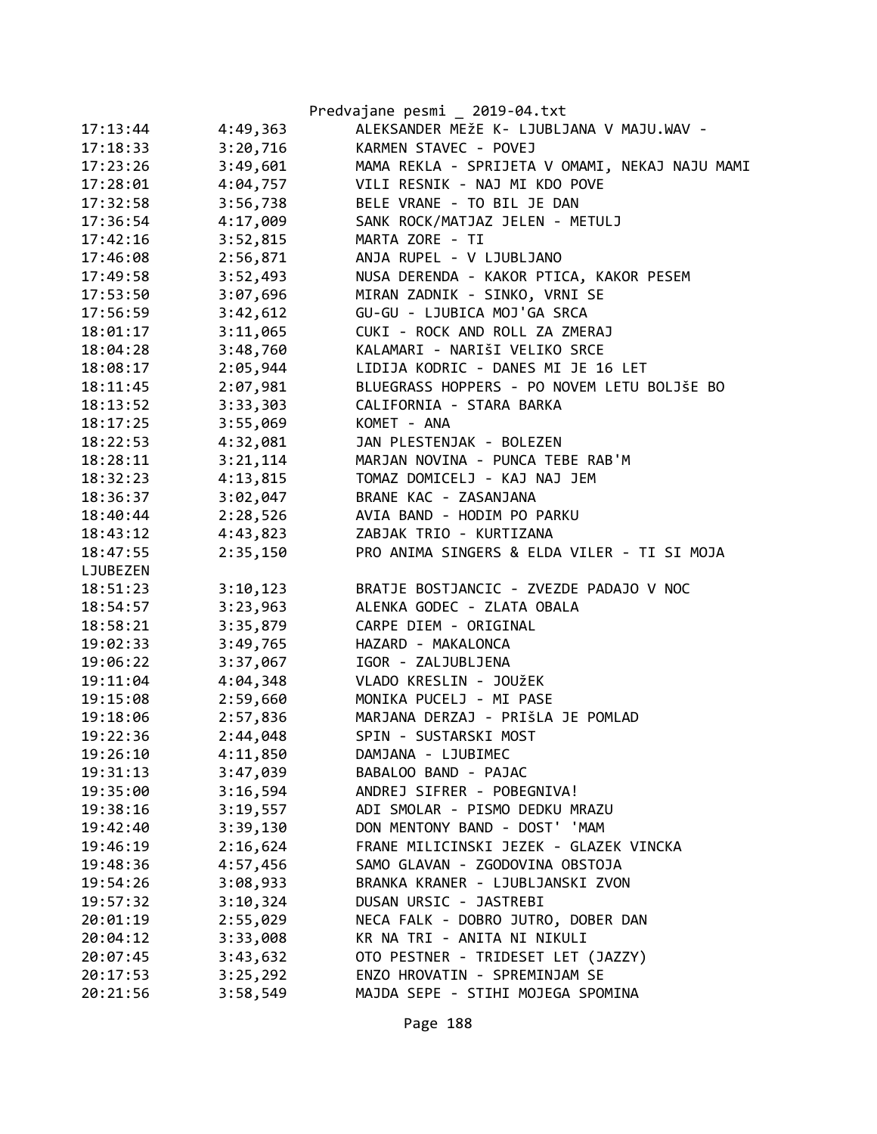|          |          | Predvajane pesmi _ 2019-04.txt                 |
|----------|----------|------------------------------------------------|
| 17:13:44 | 4:49,363 | ALEKSANDER MEŽE K- LJUBLJANA V MAJU.WAV -      |
| 17:18:33 | 3:20,716 | KARMEN STAVEC - POVEJ                          |
| 17:23:26 | 3:49,601 | MAMA REKLA - SPRIJETA V OMAMI, NEKAJ NAJU MAMI |
| 17:28:01 | 4:04,757 | VILI RESNIK - NAJ MI KDO POVE                  |
| 17:32:58 | 3:56,738 | BELE VRANE - TO BIL JE DAN                     |
| 17:36:54 | 4:17,009 | SANK ROCK/MATJAZ JELEN - METULJ                |
| 17:42:16 | 3:52,815 | MARTA ZORE - TI                                |
| 17:46:08 | 2:56,871 | ANJA RUPEL - V LJUBLJANO                       |
| 17:49:58 | 3:52,493 | NUSA DERENDA - KAKOR PTICA, KAKOR PESEM        |
| 17:53:50 | 3:07,696 | MIRAN ZADNIK - SINKO, VRNI SE                  |
| 17:56:59 | 3:42,612 | GU-GU - LJUBICA MOJ'GA SRCA                    |
| 18:01:17 | 3:11,065 | CUKI - ROCK AND ROLL ZA ZMERAJ                 |
| 18:04:28 | 3:48,760 | KALAMARI - NARIŠI VELIKO SRCE                  |
| 18:08:17 | 2:05,944 | LIDIJA KODRIC - DANES MI JE 16 LET             |
| 18:11:45 | 2:07,981 | BLUEGRASS HOPPERS - PO NOVEM LETU BOLJŠE BO    |
| 18:13:52 | 3:33,303 | CALIFORNIA - STARA BARKA                       |
| 18:17:25 | 3:55,069 | KOMET - ANA                                    |
| 18:22:53 | 4:32,081 | JAN PLESTENJAK - BOLEZEN                       |
| 18:28:11 | 3:21,114 | MARJAN NOVINA - PUNCA TEBE RAB'M               |
| 18:32:23 | 4:13,815 | TOMAZ DOMICELJ - KAJ NAJ JEM                   |
| 18:36:37 | 3:02,047 | BRANE KAC - ZASANJANA                          |
| 18:40:44 | 2:28,526 | AVIA BAND - HODIM PO PARKU                     |
| 18:43:12 | 4:43,823 | ZABJAK TRIO - KURTIZANA                        |
| 18:47:55 | 2:35,150 | PRO ANIMA SINGERS & ELDA VILER - TI SI MOJA    |
| LJUBEZEN |          |                                                |
| 18:51:23 | 3:10,123 | BRATJE BOSTJANCIC - ZVEZDE PADAJO V NOC        |
| 18:54:57 | 3:23,963 | ALENKA GODEC - ZLATA OBALA                     |
| 18:58:21 | 3:35,879 | CARPE DIEM - ORIGINAL                          |
| 19:02:33 | 3:49,765 | HAZARD - MAKALONCA                             |
| 19:06:22 | 3:37,067 | IGOR - ZALJUBLJENA                             |
| 19:11:04 | 4:04,348 | VLADO KRESLIN - JOUŽEK                         |
| 19:15:08 | 2:59,660 | MONIKA PUCELJ - MI PASE                        |
| 19:18:06 | 2:57,836 | MARJANA DERZAJ - PRIŠLA JE POMLAD              |
| 19:22:36 | 2:44,048 | SPIN - SUSTARSKI MOST                          |
| 19:26:10 | 4:11,850 | DAMJANA - LJUBIMEC                             |
| 19:31:13 | 3:47,039 | BABALOO BAND - PAJAC                           |
| 19:35:00 | 3:16,594 | ANDREJ SIFRER - POBEGNIVA!                     |
| 19:38:16 | 3:19,557 | ADI SMOLAR - PISMO DEDKU MRAZU                 |
| 19:42:40 | 3:39,130 | DON MENTONY BAND - DOST' 'MAM                  |
| 19:46:19 | 2:16,624 | FRANE MILICINSKI JEZEK - GLAZEK VINCKA         |
| 19:48:36 | 4:57,456 | SAMO GLAVAN - ZGODOVINA OBSTOJA                |
| 19:54:26 | 3:08,933 | BRANKA KRANER - LJUBLJANSKI ZVON               |
| 19:57:32 | 3:10,324 | DUSAN URSIC - JASTREBI                         |
| 20:01:19 | 2:55,029 | NECA FALK - DOBRO JUTRO, DOBER DAN             |
| 20:04:12 | 3:33,008 | KR NA TRI - ANITA NI NIKULI                    |
| 20:07:45 | 3:43,632 | OTO PESTNER - TRIDESET LET (JAZZY)             |
| 20:17:53 | 3:25,292 | ENZO HROVATIN - SPREMINJAM SE                  |
| 20:21:56 | 3:58,549 | MAJDA SEPE - STIHI MOJEGA SPOMINA              |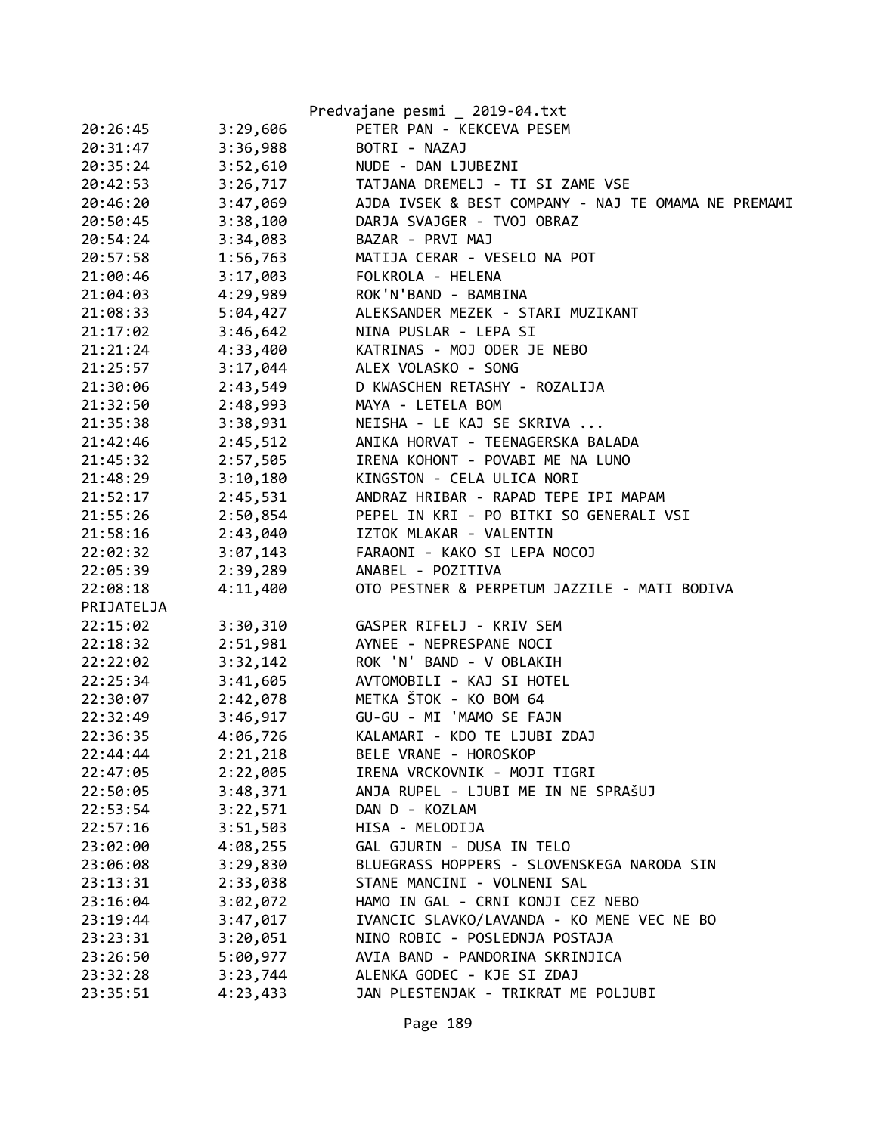|            |          | Predvajane pesmi _ 2019-04.txt                      |
|------------|----------|-----------------------------------------------------|
| 20:26:45   | 3:29,606 | PETER PAN - KEKCEVA PESEM                           |
| 20:31:47   | 3:36,988 | BOTRI - NAZAJ                                       |
| 20:35:24   | 3:52,610 | NUDE - DAN LJUBEZNI                                 |
| 20:42:53   | 3:26,717 | TATJANA DREMELJ - TI SI ZAME VSE                    |
| 20:46:20   | 3:47,069 | AJDA IVSEK & BEST COMPANY - NAJ TE OMAMA NE PREMAMI |
| 20:50:45   | 3:38,100 | DARJA SVAJGER - TVOJ OBRAZ                          |
| 20:54:24   | 3:34,083 | BAZAR - PRVI MAJ                                    |
| 20:57:58   | 1:56,763 | MATIJA CERAR - VESELO NA POT                        |
| 21:00:46   | 3:17,003 | FOLKROLA - HELENA                                   |
| 21:04:03   | 4:29,989 | ROK'N'BAND - BAMBINA                                |
| 21:08:33   | 5:04,427 | ALEKSANDER MEZEK - STARI MUZIKANT                   |
| 21:17:02   | 3:46,642 | NINA PUSLAR - LEPA SI                               |
| 21:21:24   | 4:33,400 | KATRINAS - MOJ ODER JE NEBO                         |
| 21:25:57   | 3:17,044 | ALEX VOLASKO - SONG                                 |
| 21:30:06   | 2:43,549 | D KWASCHEN RETASHY - ROZALIJA                       |
| 21:32:50   | 2:48,993 | MAYA - LETELA BOM                                   |
| 21:35:38   | 3:38,931 | NEISHA - LE KAJ SE SKRIVA                           |
| 21:42:46   | 2:45,512 | ANIKA HORVAT - TEENAGERSKA BALADA                   |
| 21:45:32   | 2:57,505 | IRENA KOHONT - POVABI ME NA LUNO                    |
| 21:48:29   | 3:10,180 | KINGSTON - CELA ULICA NORI                          |
| 21:52:17   | 2:45,531 | ANDRAZ HRIBAR - RAPAD TEPE IPI MAPAM                |
| 21:55:26   | 2:50,854 | PEPEL IN KRI - PO BITKI SO GENERALI VSI             |
| 21:58:16   | 2:43,040 | IZTOK MLAKAR - VALENTIN                             |
| 22:02:32   | 3:07,143 | FARAONI - KAKO SI LEPA NOCOJ                        |
| 22:05:39   | 2:39,289 | ANABEL - POZITIVA                                   |
| 22:08:18   | 4:11,400 | OTO PESTNER & PERPETUM JAZZILE - MATI BODIVA        |
| PRIJATELJA |          |                                                     |
| 22:15:02   | 3:30,310 | GASPER RIFELJ - KRIV SEM                            |
| 22:18:32   | 2:51,981 | AYNEE - NEPRESPANE NOCI                             |
| 22:22:02   | 3:32,142 | ROK 'N' BAND - V OBLAKIH                            |
| 22:25:34   | 3:41,605 | AVTOMOBILI - KAJ SI HOTEL                           |
| 22:30:07   | 2:42,078 | METKA ŠTOK - KO BOM 64                              |
| 22:32:49   | 3:46,917 | GU-GU - MI 'MAMO SE FAJN                            |
| 22:36:35   | 4:06,726 | KALAMARI - KDO TE LJUBI ZDAJ                        |
| 22:44:44   | 2:21,218 | BELE VRANE - HOROSKOP                               |
| 22:47:05   | 2:22,005 | IRENA VRCKOVNIK - MOJI TIGRI                        |
| 22:50:05   | 3:48,371 | ANJA RUPEL - LJUBI ME IN NE SPRAŠUJ                 |
| 22:53:54   | 3:22,571 | DAN D - KOZLAM                                      |
| 22:57:16   | 3:51,503 | HISA - MELODIJA                                     |
| 23:02:00   | 4:08,255 | GAL GJURIN - DUSA IN TELO                           |
| 23:06:08   | 3:29,830 | BLUEGRASS HOPPERS - SLOVENSKEGA NARODA SIN          |
| 23:13:31   | 2:33,038 | STANE MANCINI - VOLNENI SAL                         |
| 23:16:04   | 3:02,072 | HAMO IN GAL - CRNI KONJI CEZ NEBO                   |
| 23:19:44   | 3:47,017 | IVANCIC SLAVKO/LAVANDA - KO MENE VEC NE BO          |
| 23:23:31   | 3:20,051 | NINO ROBIC - POSLEDNJA POSTAJA                      |
| 23:26:50   | 5:00,977 | AVIA BAND - PANDORINA SKRINJICA                     |
| 23:32:28   | 3:23,744 | ALENKA GODEC - KJE SI ZDAJ                          |
| 23:35:51   | 4:23,433 | JAN PLESTENJAK - TRIKRAT ME POLJUBI                 |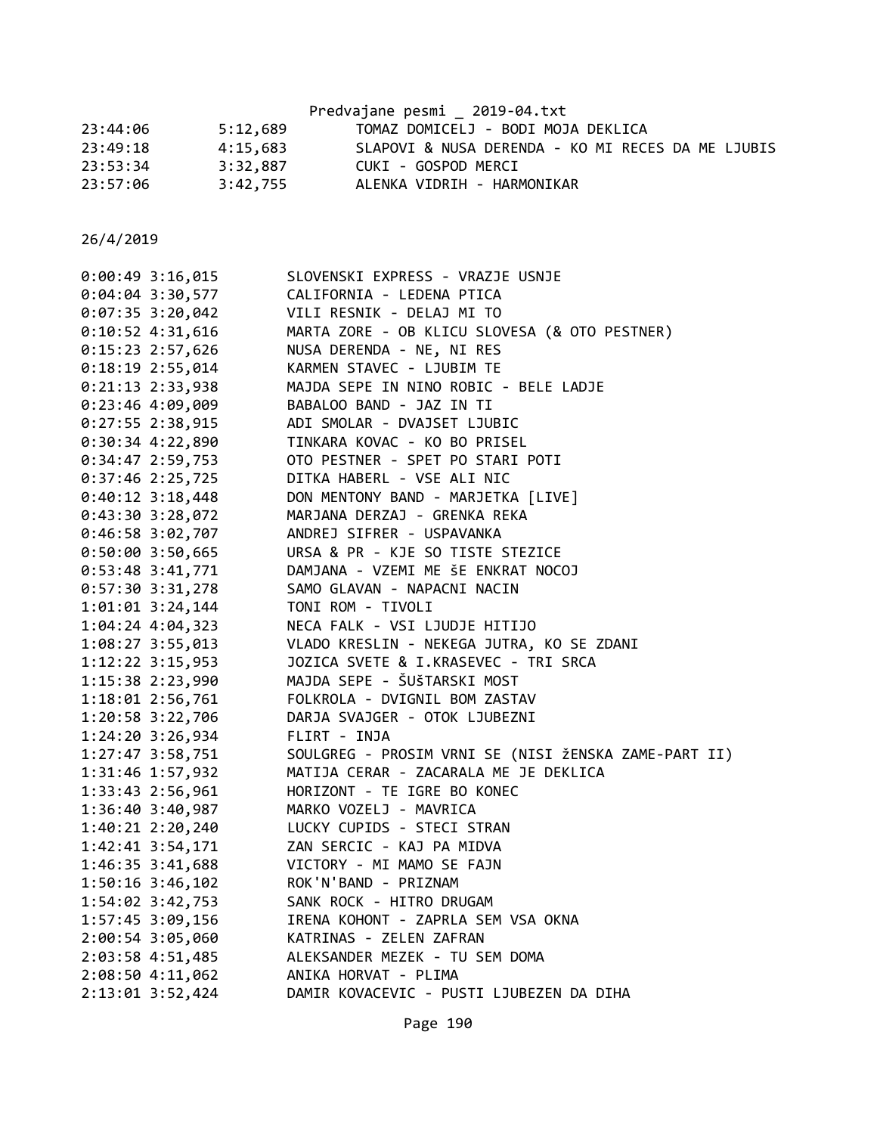|          |          | Predvajane pesmi 2019-04.txt                      |
|----------|----------|---------------------------------------------------|
| 23:44:06 | 5:12,689 | TOMAZ DOMICELJ - BODI MOJA DEKLICA                |
| 23:49:18 | 4:15,683 | SLAPOVI & NUSA DERENDA - KO MI RECES DA ME LJUBIS |
| 23:53:34 | 3:32,887 | CUKI - GOSPOD MERCI                               |
| 23:57:06 | 3:42,755 | ALENKA VIDRIH - HARMONIKAR                        |

| SLOVENSKI EXPRESS - VRAZJE USNJE                     |
|------------------------------------------------------|
| CALIFORNIA - LEDENA PTICA                            |
| VILI RESNIK - DELAJ MI TO                            |
| MARTA ZORE - OB KLICU SLOVESA (& OTO PESTNER)        |
| NUSA DERENDA - NE, NI RES                            |
| KARMEN STAVEC - LJUBIM TE                            |
| MAJDA SEPE IN NINO ROBIC - BELE LADJE                |
| BABALOO BAND - JAZ IN TI                             |
| ADI SMOLAR - DVAJSET LJUBIC                          |
| TINKARA KOVAC - KO BO PRISEL                         |
| OTO PESTNER - SPET PO STARI POTI                     |
| DITKA HABERL - VSE ALI NIC                           |
| DON MENTONY BAND - MARJETKA [LIVE]                   |
| MARJANA DERZAJ - GRENKA REKA                         |
| ANDREJ SIFRER - USPAVANKA                            |
| URSA & PR - KJE SO TISTE STEZICE                     |
| DAMJANA - VZEMI ME ŠE ENKRAT NOCOJ                   |
| SAMO GLAVAN - NAPACNI NACIN                          |
| TONI ROM - TIVOLI                                    |
| NECA FALK - VSI LJUDJE HITIJO                        |
| VLADO KRESLIN - NEKEGA JUTRA, KO SE ZDANI            |
| JOZICA SVETE & I.KRASEVEC - TRI SRCA                 |
| MAJDA SEPE - ŠUŠTARSKI MOST                          |
| FOLKROLA - DVIGNIL BOM ZASTAV                        |
| DARJA SVAJGER - OTOK LJUBEZNI                        |
| FLIRT - INJA                                         |
| SOULGREG - PROSIM VRNI SE (NISI ŽENSKA ZAME-PART II) |
| MATIJA CERAR - ZACARALA ME JE DEKLICA                |
| HORIZONT - TE IGRE BO KONEC                          |
| MARKO VOZELJ - MAVRICA                               |
| LUCKY CUPIDS - STECI STRAN                           |
| ZAN SERCIC - KAJ PA MIDVA                            |
| VICTORY - MI MAMO SE FAJN                            |
| ROK'N'BAND - PRIZNAM                                 |
| SANK ROCK - HITRO DRUGAM                             |
| IRENA KOHONT - ZAPRLA SEM VSA OKNA                   |
| KATRINAS - ZELEN ZAFRAN                              |
| ALEKSANDER MEZEK - TU SEM DOMA                       |
| ANIKA HORVAT - PLIMA                                 |
| DAMIR KOVACEVIC - PUSTI LJUBEZEN DA DIHA             |
|                                                      |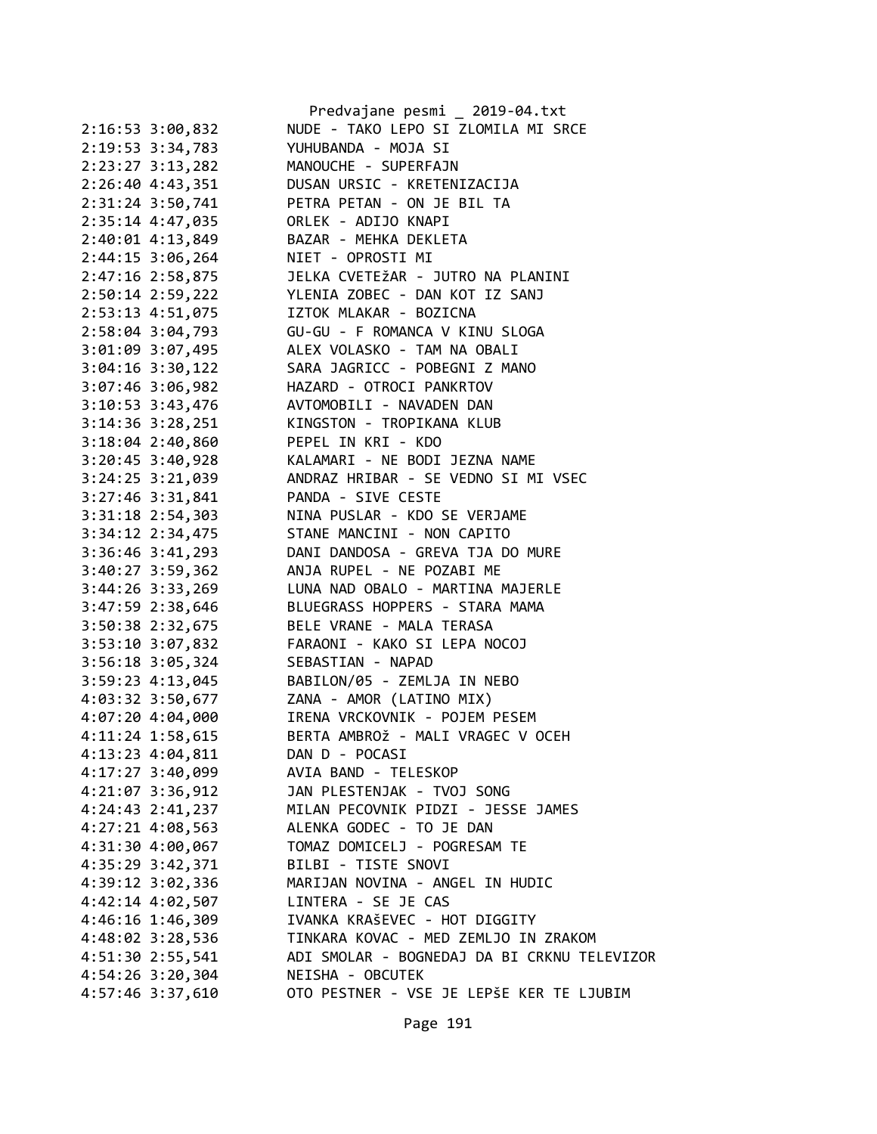|                                         | Predvajane pesmi _ 2019-04.txt                                                               |
|-----------------------------------------|----------------------------------------------------------------------------------------------|
| $2:16:53$ 3:00,832                      | NUDE - TAKO LEPO SI ZLOMILA MI SRCE                                                          |
| 2:19:53 3:34,783                        | YUHUBANDA - MOJA SI                                                                          |
| 2:23:27 3:13,282                        | MANOUCHE - SUPERFAJN                                                                         |
| 2:26:40 4:43,351                        | DUSAN URSIC - KRETENIZACIJA                                                                  |
| 2:31:24 3:50,741                        | PETRA PETAN - ON JE BIL TA                                                                   |
| 2:35:14 4:47,035                        | ORLEK - ADIJO KNAPI                                                                          |
| 2:40:01 4:13,849                        | BAZAR - MEHKA DEKLETA                                                                        |
| $2:44:15$ 3:06,264                      | NIET - OPROSTI MI<br>JELKA CVETEŽAR - JUTRO NA PLANINI                                       |
| 2:47:16 2:58,875                        |                                                                                              |
|                                         | 2:50:14 2:59,222 YLENIA ZOBEC - DAN KOT IZ SANJ                                              |
| 2:53:13 4:51,075 IZTOK MLAKAR - BOZICNA |                                                                                              |
|                                         | 2:58:04 3:04,793 GU-GU - F ROMANCA V KINU SLOGA                                              |
|                                         | 3:01:09 3:07,495 ALEX VOLASKO - TAM NA OBALI                                                 |
| $3:04:16$ $3:30,122$                    | SARA JAGRICC - POBEGNI Z MANO                                                                |
| $3:07:46$ 3:06,982                      | HAZARD - OTROCI PANKRTOV                                                                     |
|                                         | 3:10:53 3:43,476 AVTOMOBILI - NAVADEN DAN                                                    |
|                                         | 3:14:36 3:28,251 KINGSTON - TROPIKANA KLUB                                                   |
| 3:18:04 2:40,860 PEPEL IN KRI - KDO     |                                                                                              |
|                                         | 3:20:45 3:40,928 KALAMARI - NE BODI JEZNA NAME                                               |
|                                         | 3:24:25 3:21,039 ANDRAZ HRIBAR - SE VEDNO SI MI VSEC                                         |
| $3:27:46$ $3:31,841$                    | PANDA - SIVE CESTE                                                                           |
|                                         |                                                                                              |
|                                         | 3:31:18 2:54,303 NINA PUSLAR - KDO SE VERJAME<br>3:34:12 2:34,475 STANE MANCINI - NON CAPITO |
|                                         | 3:36:46 3:41,293 DANI DANDOSA - GREVA TJA DO MURE                                            |
|                                         | 3:40:27 3:59,362 ANJA RUPEL - NE POZABI ME                                                   |
|                                         | 3:44:26 3:33,269 LUNA NAD OBALO - MARTINA MAJERLE                                            |
|                                         | 3:47:59 2:38,646 BLUEGRASS HOPPERS - STARA MAMA                                              |
| 3:50:38 2:32,675                        | BELE VRANE - MALA TERASA                                                                     |
| 3:53:10 3:07,832                        | FARAONI - KAKO SI LEPA NOCOJ                                                                 |
| 3:56:18 3:05,324 SEBASTIAN - NAPAD      |                                                                                              |
|                                         | 3:59:23 4:13,045 BABILON/05 - ZEMLJA IN NEBO                                                 |
| 4:03:32 3:50,677                        | ZANA - AMOR (LATINO MIX)                                                                     |
| $4:07:20$ $4:04,000$                    | IRENA VRCKOVNIK - POJEM PESEM                                                                |
| 4:11:24 1:58,615                        | BERTA AMBROŽ - MALI VRAGEC V OCEH                                                            |
| 4:13:23 4:04,811                        | DAN D - POCASI                                                                               |
| $4:17:27$ 3:40,099                      | AVIA BAND - TELESKOP                                                                         |
| $4:21:07$ 3:36,912                      | JAN PLESTENJAK - TVOJ SONG                                                                   |
| 4:24:43 2:41,237                        | MILAN PECOVNIK PIDZI - JESSE JAMES                                                           |
| $4:27:21$ $4:08,563$                    | ALENKA GODEC - TO JE DAN                                                                     |
| 4:31:30 4:00,067                        | TOMAZ DOMICELJ - POGRESAM TE                                                                 |
| 4:35:29 3:42,371                        | BILBI - TISTE SNOVI                                                                          |
| 4:39:12 3:02,336                        | MARIJAN NOVINA - ANGEL IN HUDIC                                                              |
| 4:42:14 4:02,507                        | LINTERA - SE JE CAS                                                                          |
| 4:46:16 1:46,309                        | IVANKA KRAŠEVEC - HOT DIGGITY                                                                |
| 4:48:02 3:28,536                        | TINKARA KOVAC - MED ZEMLJO IN ZRAKOM                                                         |
| 4:51:30 2:55,541                        | ADI SMOLAR - BOGNEDAJ DA BI CRKNU TELEVIZOR                                                  |
| 4:54:26 3:20,304                        | NEISHA - OBCUTEK                                                                             |
| 4:57:46 3:37,610                        | OTO PESTNER - VSE JE LEPŠE KER TE LJUBIM                                                     |
|                                         |                                                                                              |

Page 191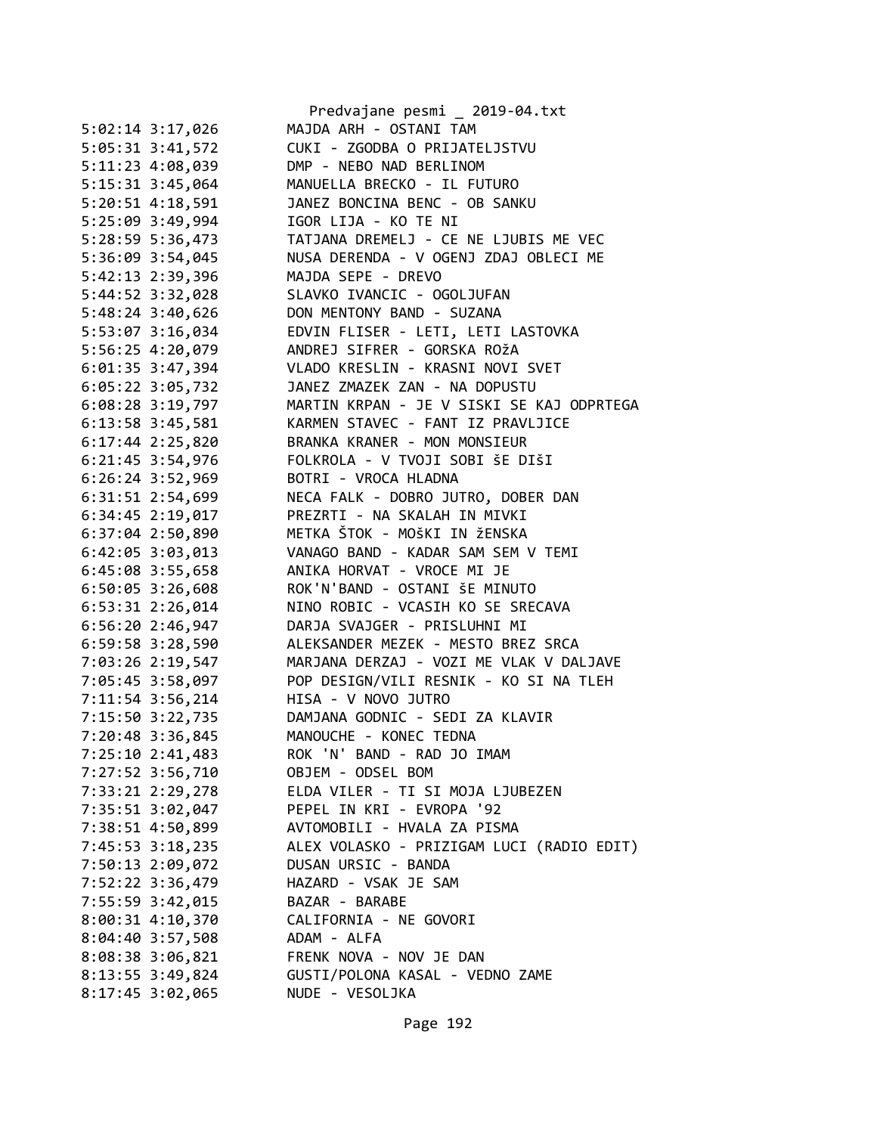|                    | Predvajane pesmi _ 2019-04.txt                       |
|--------------------|------------------------------------------------------|
| 5:02:14 3:17,026   | MAJDA ARH - OSTANI TAM                               |
| 5:05:31 3:41,572   | CUKI - ZGODBA O PRIJATELJSTVU                        |
| 5:11:23 4:08,039   | DMP - NEBO NAD BERLINOM                              |
| 5:15:31 3:45,064   | MANUELLA BRECKO - IL FUTURO                          |
| 5:20:51 4:18,591   | JANEZ BONCINA BENC - OB SANKU                        |
| 5:25:09 3:49,994   | IGOR LIJA - KO TE NI                                 |
| 5:28:59 5:36,473   | TATJANA DREMELJ - CE NE LJUBIS ME VEC                |
| 5:36:09 3:54,045   | NUSA DERENDA - V OGENJ ZDAJ OBLECI ME                |
| 5:42:13 2:39,396   | MAJDA SEPE - DREVO                                   |
| 5:44:52 3:32,028   | SLAVKO IVANCIC - OGOLJUFAN                           |
| 5:48:24 3:40,626   | DON MENTONY BAND - SUZANA                            |
| 5:53:07 3:16,034   | EDVIN FLISER - LETI, LETI LASTOVKA                   |
| 5:56:25 4:20,079   | ANDREJ SIFRER - GORSKA ROŽA                          |
| 6:01:35 3:47,394   | VLADO KRESLIN - KRASNI NOVI SVET                     |
| 6:05:22 3:05,732   | JANEZ ZMAZEK ZAN - NA DOPUSTU                        |
| 6:08:28 3:19,797   | MARTIN KRPAN - JE V SISKI SE KAJ ODPRTEGA            |
| 6:13:58 3:45,581   | KARMEN STAVEC - FANT IZ PRAVLJICE                    |
| $6:17:44$ 2:25,820 | BRANKA KRANER - MON MONSIEUR                         |
| 6:21:45 3:54,976   | FOLKROLA - V TVOJI SOBI ŠE DIŠI                      |
| $6:26:24$ 3:52,969 | BOTRI - VROCA HLADNA                                 |
| 6:31:51 2:54,699   | NECA FALK - DOBRO JUTRO, DOBER DAN                   |
| 6:34:45 2:19,017   | PREZRTI - NA SKALAH IN MIVKI                         |
| 6:37:04 2:50,890   | METKA ŠTOK - MOŠKI IN ŽENSKA                         |
| 6:42:05 3:03,013   | VANAGO BAND - KADAR SAM SEM V TEMI                   |
| 6:45:08 3:55,658   | ANIKA HORVAT - VROCE MI JE                           |
| $6:50:05$ 3:26,608 | ROK'N'BAND - OSTANI ŠE MINUTO                        |
| $6:53:31$ 2:26,014 | NINO ROBIC - VCASIH KO SE SRECAVA                    |
| 6:56:20 2:46,947   | DARJA SVAJGER - PRISLUHNI MI                         |
| 6:59:58 3:28,590   | ALEKSANDER MEZEK - MESTO BREZ SRCA                   |
|                    | MARJANA DERZAJ - VOZI ME VLAK V DALJAVE              |
| 7:03:26 2:19,547   | POP DESIGN/VILI RESNIK - KO SI NA TLEH               |
| 7:05:45 3:58,097   | HISA - V NOVO JUTRO                                  |
| 7:11:54 3:56,214   |                                                      |
| 7:15:50 3:22,735   | DAMJANA GODNIC - SEDI ZA KLAVIR                      |
| 7:20:48 3:36,845   | MANOUCHE - KONEC TEDNA<br>ROK 'N' BAND - RAD JO IMAM |
| 7:25:10 2:41,483   |                                                      |
| 7:27:52 3:56,710   | OBJEM - ODSEL BOM                                    |
| 7:33:21 2:29,278   | ELDA VILER - TI SI MOJA LJUBEZEN                     |
| 7:35:51 3:02,047   | PEPEL IN KRI - EVROPA '92                            |
| 7:38:51 4:50,899   | AVTOMOBILI - HVALA ZA PISMA                          |
| 7:45:53 3:18,235   | ALEX VOLASKO - PRIZIGAM LUCI (RADIO EDIT)            |
| 7:50:13 2:09,072   | DUSAN URSIC - BANDA                                  |
| 7:52:22 3:36,479   | HAZARD - VSAK JE SAM                                 |
| 7:55:59 3:42,015   | BAZAR - BARABE                                       |
| 8:00:31 4:10,370   | CALIFORNIA - NE GOVORI                               |
| 8:04:40 3:57,508   | ADAM - ALFA                                          |
| 8:08:38 3:06,821   | FRENK NOVA - NOV JE DAN                              |
| 8:13:55 3:49,824   | GUSTI/POLONA KASAL - VEDNO ZAME                      |
| 8:17:45 3:02,065   | NUDE - VESOLJKA                                      |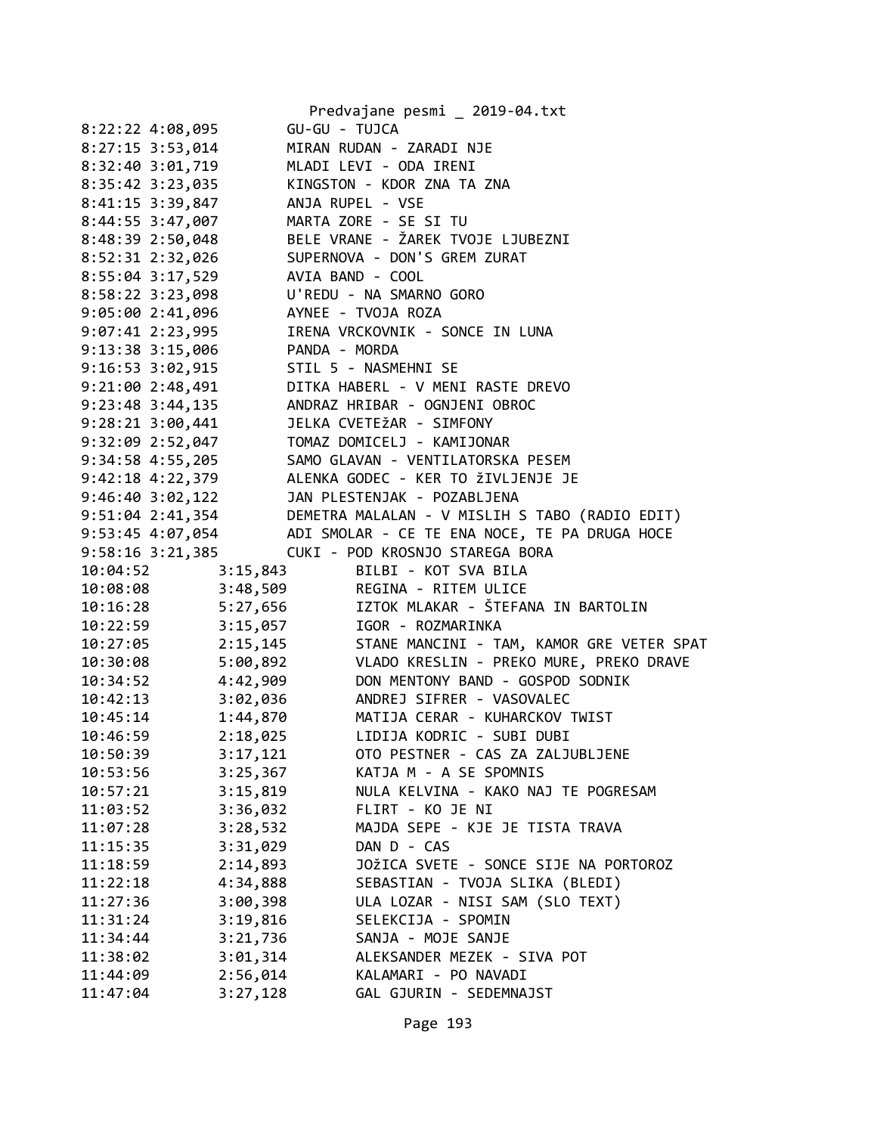|          |                      |                   | Predvajane pesmi _ 2019-04.txt                                                                                                                        |
|----------|----------------------|-------------------|-------------------------------------------------------------------------------------------------------------------------------------------------------|
|          | 8:22:22 4:08,095     | GU-GU - TUJCA     |                                                                                                                                                       |
|          | 8:27:15 3:53,014     |                   | MIRAN RUDAN - ZARADI NJE                                                                                                                              |
|          | 8:32:40 3:01,719     |                   | MLADI LEVI - ODA IRENI                                                                                                                                |
|          | 8:35:42 3:23,035     |                   | KINGSTON - KDOR ZNA TA ZNA                                                                                                                            |
|          | 8:41:15 3:39,847     |                   | ANJA RUPEL - VSE                                                                                                                                      |
|          | 8:44:55 3:47,007     |                   | MARTA ZORE - SE SI TU                                                                                                                                 |
|          | 8:48:39 2:50,048     |                   | BELE VRANE - ŽAREK TVOJE LJUBEZNI                                                                                                                     |
|          | 8:52:31 2:32,026     |                   | SUPERNOVA - DON'S GREM ZURAT                                                                                                                          |
|          | 8:55:04 3:17,529     |                   | AVIA BAND - COOL                                                                                                                                      |
|          | 8:58:22 3:23,098     |                   | U'REDU - NA SMARNO GORO                                                                                                                               |
|          | 9:05:00 2:41,096     |                   | AYNEE - TVOJA ROZA                                                                                                                                    |
|          | 9:07:41 2:23,995     |                   | IRENA VRCKOVNIK - SONCE IN LUNA                                                                                                                       |
|          | 9:13:38 3:15,006     | PANDA - MORDA     |                                                                                                                                                       |
|          | $9:16:53$ $3:02,915$ |                   | STIL 5 - NASMEHNI SE                                                                                                                                  |
|          | 9:21:00 2:48,491     |                   | DITKA HABERL - V MENI RASTE DREVO                                                                                                                     |
|          | $9:23:48$ 3:44,135   |                   | ANDRAZ HRIBAR - OGNJENI OBROC                                                                                                                         |
|          | $9:28:21$ $3:00,441$ |                   | JELKA CVETEŽAR - SIMFONY                                                                                                                              |
|          | 9:32:09 2:52,047     |                   | TOMAZ DOMICELJ - KAMIJONAR                                                                                                                            |
|          | 9:34:58 4:55,205     |                   | SAMO GLAVAN - VENTILATORSKA PESEM                                                                                                                     |
|          |                      |                   | 9:42:18 4:22,379 ALENKA GODEC - KER TO ŽIVLJENJE JE                                                                                                   |
|          |                      |                   | 9:46:40 3:02,122<br>9:51:04 2:41,354 DEMETRA MALALAN - V MISLIH S TABO (RADIO EDIT)<br>9:53:45 4:07,054 ADI SMOLAR - CE TE ENA NOCE, TE PA DRUGA HOCE |
|          |                      |                   |                                                                                                                                                       |
|          |                      |                   |                                                                                                                                                       |
|          | 9:58:16 3:21,385     |                   | CUKI - POD KROSNJO STAREGA BORA                                                                                                                       |
|          |                      | 10:04:52 3:15,843 | BILBI - KOT SVA BILA                                                                                                                                  |
| 10:08:08 |                      |                   | 3:48,509 REGINA - RITEM ULICE                                                                                                                         |
| 10:16:28 |                      | 5:27,656          | IZTOK MLAKAR - ŠTEFANA IN BARTOLIN                                                                                                                    |
| 10:22:59 |                      | 3:15,057          | IGOR - ROZMARINKA                                                                                                                                     |
| 10:27:05 |                      | 2:15,145          | STANE MANCINI - TAM, KAMOR GRE VETER SPAT                                                                                                             |
| 10:30:08 |                      | 5:00,892          | VLADO KRESLIN - PREKO MURE, PREKO DRAVE                                                                                                               |
| 10:34:52 |                      | 4:42,909          | DON MENTONY BAND - GOSPOD SODNIK                                                                                                                      |
| 10:42:13 |                      | 3:02,036          | ANDREJ SIFRER - VASOVALEC                                                                                                                             |
| 10:45:14 |                      | 1:44,870          | MATIJA CERAR - KUHARCKOV TWIST                                                                                                                        |
| 10:46:59 |                      | 2:18,025          | LIDIJA KODRIC - SUBI DUBI                                                                                                                             |
| 10:50:39 |                      | 3:17,121          | OTO PESTNER - CAS ZA ZALJUBLJENE                                                                                                                      |
| 10:53:56 |                      | 3:25,367          | KATJA M - A SE SPOMNIS                                                                                                                                |
| 10:57:21 |                      | 3:15,819          | NULA KELVINA - KAKO NAJ TE POGRESAM                                                                                                                   |
| 11:03:52 |                      | 3:36,032          | FLIRT - KO JE NI                                                                                                                                      |
| 11:07:28 |                      | 3:28,532          | MAJDA SEPE - KJE JE TISTA TRAVA                                                                                                                       |
| 11:15:35 |                      | 3:31,029          | DAN D - CAS                                                                                                                                           |
| 11:18:59 |                      | 2:14,893          | JOŽICA SVETE - SONCE SIJE NA PORTOROZ                                                                                                                 |
| 11:22:18 |                      | 4:34,888          | SEBASTIAN - TVOJA SLIKA (BLEDI)                                                                                                                       |
| 11:27:36 |                      | 3:00,398          | ULA LOZAR - NISI SAM (SLO TEXT)                                                                                                                       |
| 11:31:24 |                      | 3:19,816          | SELEKCIJA - SPOMIN                                                                                                                                    |
| 11:34:44 |                      | 3:21,736          | SANJA - MOJE SANJE                                                                                                                                    |
| 11:38:02 |                      | 3:01,314          | ALEKSANDER MEZEK - SIVA POT                                                                                                                           |
| 11:44:09 |                      | 2:56,014          | KALAMARI - PO NAVADI                                                                                                                                  |
| 11:47:04 |                      | 3:27,128          | GAL GJURIN - SEDEMNAJST                                                                                                                               |
|          |                      |                   |                                                                                                                                                       |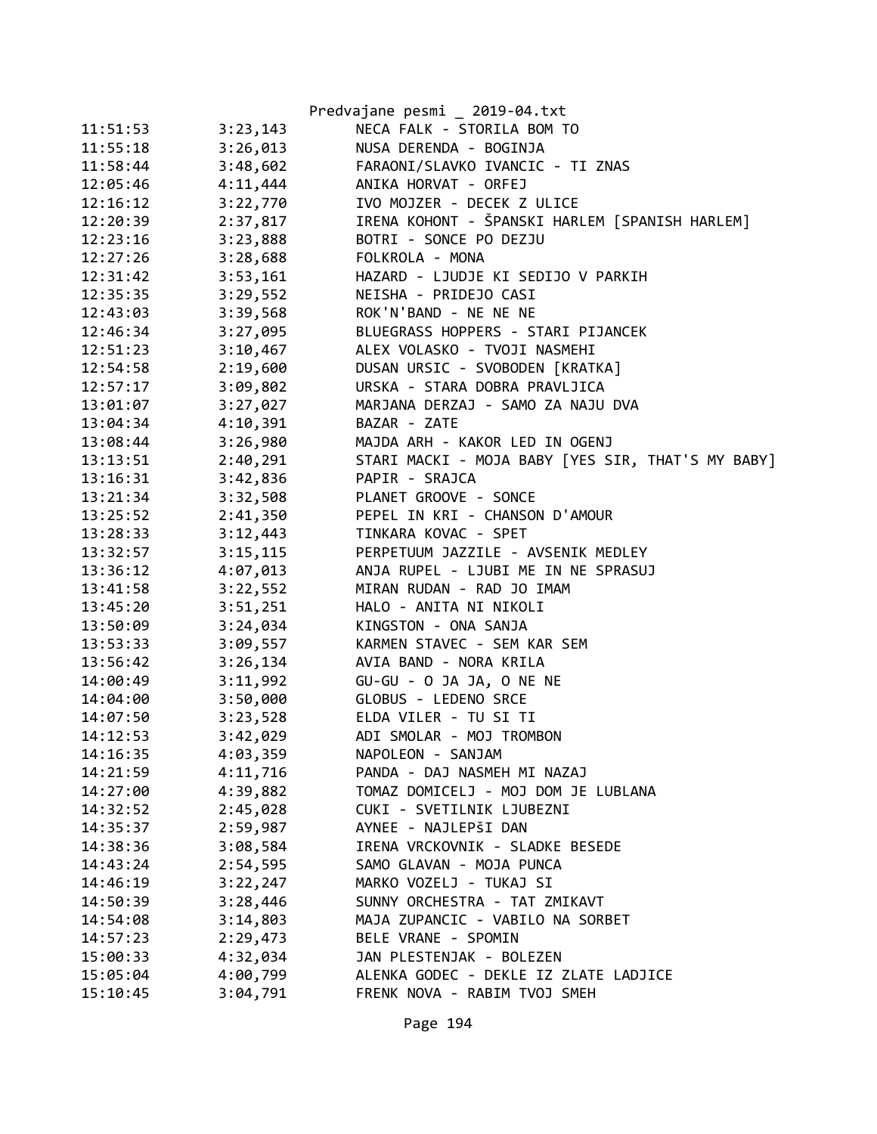|          |          | Predvajane pesmi _ 2019-04.txt                    |
|----------|----------|---------------------------------------------------|
| 11:51:53 | 3:23,143 | NECA FALK - STORILA BOM TO                        |
| 11:55:18 | 3:26,013 | NUSA DERENDA - BOGINJA                            |
| 11:58:44 | 3:48,602 | FARAONI/SLAVKO IVANCIC - TI ZNAS                  |
| 12:05:46 | 4:11,444 | ANIKA HORVAT - ORFEJ                              |
| 12:16:12 | 3:22,770 | IVO MOJZER - DECEK Z ULICE                        |
| 12:20:39 | 2:37,817 | IRENA KOHONT - ŠPANSKI HARLEM [SPANISH HARLEM]    |
| 12:23:16 | 3:23,888 | BOTRI - SONCE PO DEZJU                            |
| 12:27:26 | 3:28,688 | FOLKROLA - MONA                                   |
| 12:31:42 | 3:53,161 | HAZARD - LJUDJE KI SEDIJO V PARKIH                |
| 12:35:35 | 3:29,552 | NEISHA - PRIDEJO CASI                             |
| 12:43:03 | 3:39,568 | ROK'N'BAND - NE NE NE                             |
| 12:46:34 | 3:27,095 | BLUEGRASS HOPPERS - STARI PIJANCEK                |
| 12:51:23 | 3:10,467 | ALEX VOLASKO - TVOJI NASMEHI                      |
| 12:54:58 | 2:19,600 | DUSAN URSIC - SVOBODEN [KRATKA]                   |
| 12:57:17 | 3:09,802 | URSKA - STARA DOBRA PRAVLJICA                     |
| 13:01:07 | 3:27,027 | MARJANA DERZAJ - SAMO ZA NAJU DVA                 |
| 13:04:34 | 4:10,391 | BAZAR - ZATE                                      |
| 13:08:44 | 3:26,980 | MAJDA ARH - KAKOR LED IN OGENJ                    |
| 13:13:51 | 2:40,291 | STARI MACKI - MOJA BABY [YES SIR, THAT'S MY BABY] |
| 13:16:31 | 3:42,836 | PAPIR - SRAJCA                                    |
| 13:21:34 | 3:32,508 | PLANET GROOVE - SONCE                             |
| 13:25:52 | 2:41,350 | PEPEL IN KRI - CHANSON D'AMOUR                    |
| 13:28:33 | 3:12,443 | TINKARA KOVAC - SPET                              |
| 13:32:57 | 3:15,115 | PERPETUUM JAZZILE - AVSENIK MEDLEY                |
| 13:36:12 | 4:07,013 | ANJA RUPEL - LJUBI ME IN NE SPRASUJ               |
| 13:41:58 | 3:22,552 | MIRAN RUDAN - RAD JO IMAM                         |
| 13:45:20 | 3:51,251 | HALO - ANITA NI NIKOLI                            |
| 13:50:09 | 3:24,034 | KINGSTON - ONA SANJA                              |
| 13:53:33 | 3:09,557 | KARMEN STAVEC - SEM KAR SEM                       |
| 13:56:42 | 3:26,134 | AVIA BAND - NORA KRILA                            |
| 14:00:49 | 3:11,992 | GU-GU - O JA JA, O NE NE                          |
| 14:04:00 | 3:50,000 | GLOBUS - LEDENO SRCE                              |
| 14:07:50 | 3:23,528 | ELDA VILER - TU SI TI                             |
| 14:12:53 | 3:42,029 | ADI SMOLAR - MOJ TROMBON                          |
| 14:16:35 | 4:03,359 | NAPOLEON - SANJAM                                 |
| 14:21:59 | 4:11,716 | PANDA - DAJ NASMEH MI NAZAJ                       |
| 14:27:00 | 4:39,882 | TOMAZ DOMICELJ - MOJ DOM JE LUBLANA               |
| 14:32:52 | 2:45,028 | CUKI - SVETILNIK LJUBEZNI                         |
| 14:35:37 | 2:59,987 | AYNEE - NAJLEPŠI DAN                              |
| 14:38:36 | 3:08,584 | IRENA VRCKOVNIK - SLADKE BESEDE                   |
| 14:43:24 | 2:54,595 | SAMO GLAVAN - MOJA PUNCA                          |
| 14:46:19 | 3:22,247 | MARKO VOZELJ - TUKAJ SI                           |
| 14:50:39 | 3:28,446 | SUNNY ORCHESTRA - TAT ZMIKAVT                     |
| 14:54:08 | 3:14,803 | MAJA ZUPANCIC - VABILO NA SORBET                  |
| 14:57:23 | 2:29,473 | BELE VRANE - SPOMIN                               |
| 15:00:33 | 4:32,034 | JAN PLESTENJAK - BOLEZEN                          |
| 15:05:04 | 4:00,799 | ALENKA GODEC - DEKLE IZ ZLATE LADJICE             |
| 15:10:45 | 3:04,791 | FRENK NOVA - RABIM TVOJ SMEH                      |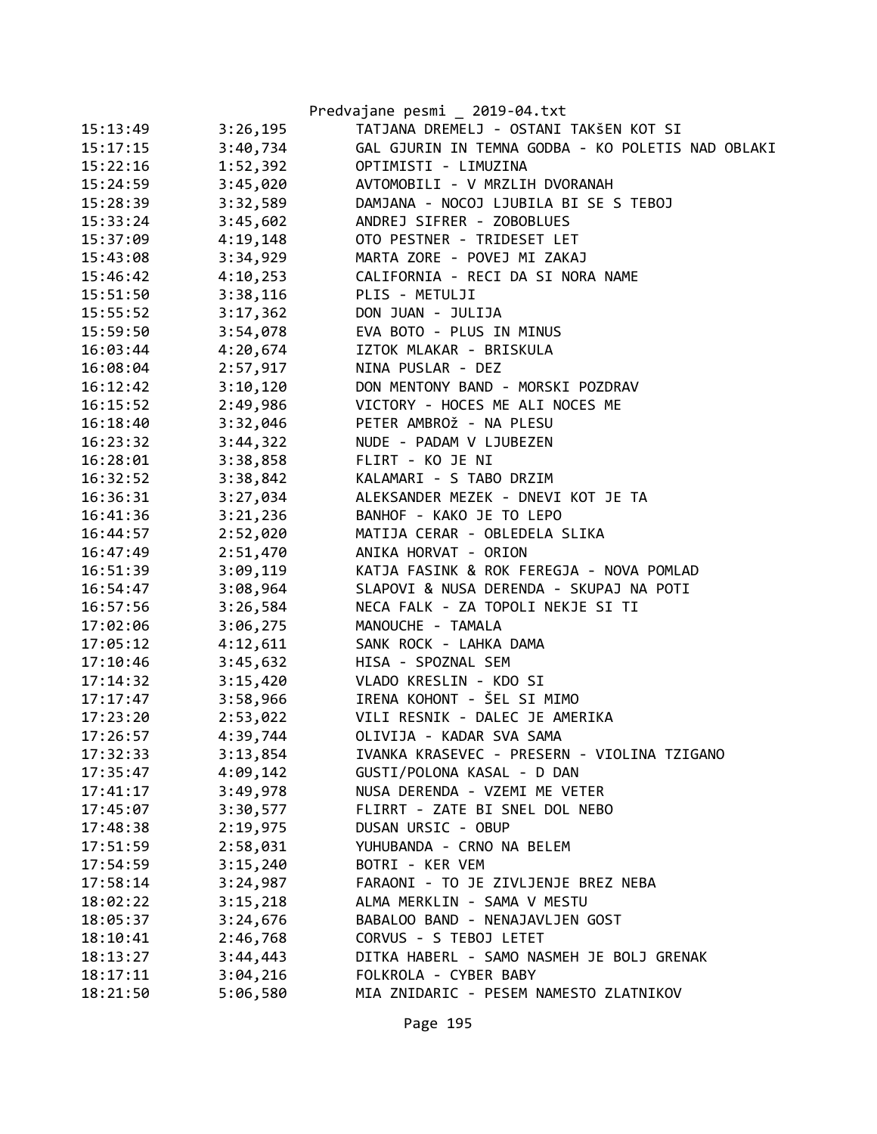|          |          | Predvajane pesmi _ 2019-04.txt                    |
|----------|----------|---------------------------------------------------|
| 15:13:49 | 3:26,195 | TATJANA DREMELJ - OSTANI TAKŠEN KOT SI            |
| 15:17:15 | 3:40,734 | GAL GJURIN IN TEMNA GODBA - KO POLETIS NAD OBLAKI |
| 15:22:16 | 1:52,392 | OPTIMISTI - LIMUZINA                              |
| 15:24:59 | 3:45,020 | AVTOMOBILI - V MRZLIH DVORANAH                    |
| 15:28:39 | 3:32,589 | DAMJANA - NOCOJ LJUBILA BI SE S TEBOJ             |
| 15:33:24 | 3:45,602 | ANDREJ SIFRER - ZOBOBLUES                         |
| 15:37:09 | 4:19,148 | OTO PESTNER - TRIDESET LET                        |
| 15:43:08 | 3:34,929 | MARTA ZORE - POVEJ MI ZAKAJ                       |
| 15:46:42 | 4:10,253 | CALIFORNIA - RECI DA SI NORA NAME                 |
| 15:51:50 | 3:38,116 | PLIS - METULJI                                    |
| 15:55:52 | 3:17,362 | DON JUAN - JULIJA                                 |
| 15:59:50 | 3:54,078 | EVA BOTO - PLUS IN MINUS                          |
| 16:03:44 | 4:20,674 | IZTOK MLAKAR - BRISKULA                           |
| 16:08:04 | 2:57,917 | NINA PUSLAR - DEZ                                 |
| 16:12:42 | 3:10,120 | DON MENTONY BAND - MORSKI POZDRAV                 |
| 16:15:52 | 2:49,986 | VICTORY - HOCES ME ALI NOCES ME                   |
| 16:18:40 | 3:32,046 | PETER AMBROŽ - NA PLESU                           |
| 16:23:32 | 3:44,322 | NUDE - PADAM V LJUBEZEN                           |
| 16:28:01 | 3:38,858 | FLIRT - KO JE NI                                  |
| 16:32:52 | 3:38,842 | KALAMARI - S TABO DRZIM                           |
| 16:36:31 | 3:27,034 | ALEKSANDER MEZEK - DNEVI KOT JE TA                |
| 16:41:36 | 3:21,236 | BANHOF - KAKO JE TO LEPO                          |
| 16:44:57 | 2:52,020 | MATIJA CERAR - OBLEDELA SLIKA                     |
| 16:47:49 | 2:51,470 | ANIKA HORVAT - ORION                              |
| 16:51:39 | 3:09,119 | KATJA FASINK & ROK FEREGJA - NOVA POMLAD          |
| 16:54:47 | 3:08,964 | SLAPOVI & NUSA DERENDA - SKUPAJ NA POTI           |
| 16:57:56 | 3:26,584 | NECA FALK - ZA TOPOLI NEKJE SI TI                 |
| 17:02:06 | 3:06,275 | MANOUCHE - TAMALA                                 |
| 17:05:12 | 4:12,611 | SANK ROCK - LAHKA DAMA                            |
| 17:10:46 | 3:45,632 | HISA - SPOZNAL SEM                                |
| 17:14:32 | 3:15,420 | VLADO KRESLIN - KDO SI                            |
| 17:17:47 | 3:58,966 | IRENA KOHONT - ŠEL SI MIMO                        |
| 17:23:20 | 2:53,022 | VILI RESNIK - DALEC JE AMERIKA                    |
| 17:26:57 | 4:39,744 | OLIVIJA - KADAR SVA SAMA                          |
| 17:32:33 | 3:13,854 | IVANKA KRASEVEC - PRESERN - VIOLINA TZIGANO       |
| 17:35:47 | 4:09,142 | GUSTI/POLONA KASAL - D DAN                        |
| 17:41:17 | 3:49,978 | NUSA DERENDA - VZEMI ME VETER                     |
| 17:45:07 | 3:30,577 | FLIRRT - ZATE BI SNEL DOL NEBO                    |
| 17:48:38 | 2:19,975 | DUSAN URSIC - OBUP                                |
| 17:51:59 | 2:58,031 | YUHUBANDA - CRNO NA BELEM                         |
| 17:54:59 | 3:15,240 | BOTRI - KER VEM                                   |
| 17:58:14 | 3:24,987 | FARAONI - TO JE ZIVLJENJE BREZ NEBA               |
| 18:02:22 | 3:15,218 | ALMA MERKLIN - SAMA V MESTU                       |
| 18:05:37 | 3:24,676 | BABALOO BAND - NENAJAVLJEN GOST                   |
| 18:10:41 | 2:46,768 | CORVUS - S TEBOJ LETET                            |
| 18:13:27 | 3:44,443 | DITKA HABERL - SAMO NASMEH JE BOLJ GRENAK         |
| 18:17:11 | 3:04,216 | FOLKROLA - CYBER BABY                             |
| 18:21:50 | 5:06,580 | MIA ZNIDARIC - PESEM NAMESTO ZLATNIKOV            |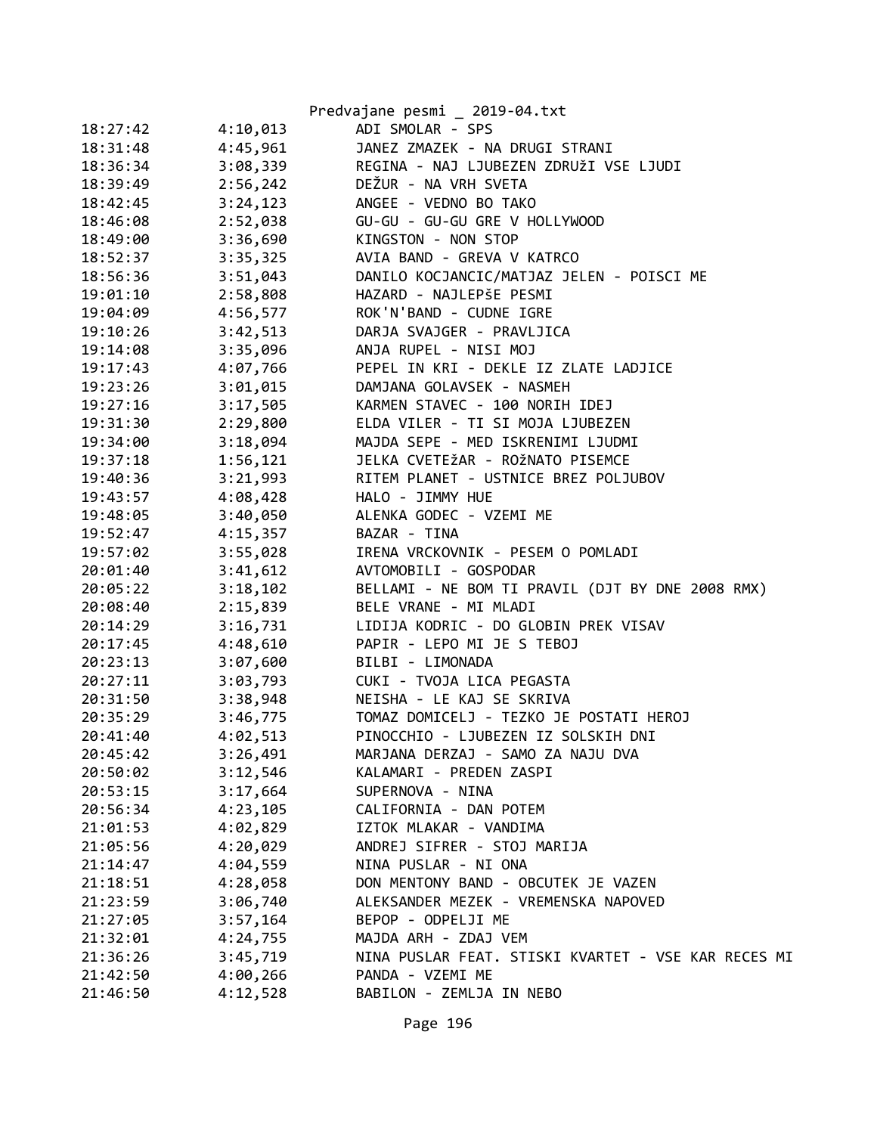|          |          | Predvajane pesmi _ 2019-04.txt                      |
|----------|----------|-----------------------------------------------------|
| 18:27:42 | 4:10,013 | ADI SMOLAR - SPS                                    |
| 18:31:48 | 4:45,961 | JANEZ ZMAZEK - NA DRUGI STRANI                      |
| 18:36:34 | 3:08,339 | REGINA - NAJ LJUBEZEN ZDRUŽI VSE LJUDI              |
| 18:39:49 | 2:56,242 | DEŽUR - NA VRH SVETA                                |
| 18:42:45 | 3:24,123 | ANGEE - VEDNO BO TAKO                               |
| 18:46:08 | 2:52,038 | GU-GU - GU-GU GRE V HOLLYWOOD                       |
| 18:49:00 | 3:36,690 | KINGSTON - NON STOP                                 |
| 18:52:37 | 3:35,325 | AVIA BAND - GREVA V KATRCO                          |
| 18:56:36 | 3:51,043 | DANILO KOCJANCIC/MATJAZ JELEN - POISCI ME           |
| 19:01:10 | 2:58,808 | HAZARD - NAJLEPŠE PESMI                             |
| 19:04:09 | 4:56,577 | ROK'N'BAND - CUDNE IGRE                             |
| 19:10:26 | 3:42,513 | DARJA SVAJGER - PRAVLJICA                           |
| 19:14:08 | 3:35,096 | ANJA RUPEL - NISI MOJ                               |
| 19:17:43 | 4:07,766 | PEPEL IN KRI - DEKLE IZ ZLATE LADJICE               |
| 19:23:26 | 3:01,015 | DAMJANA GOLAVSEK - NASMEH                           |
| 19:27:16 | 3:17,505 | KARMEN STAVEC - 100 NORIH IDEJ                      |
| 19:31:30 | 2:29,800 | ELDA VILER - TI SI MOJA LJUBEZEN                    |
| 19:34:00 | 3:18,094 | MAJDA SEPE - MED ISKRENIMI LJUDMI                   |
| 19:37:18 | 1:56,121 | JELKA CVETEŽAR - ROŽNATO PISEMCE                    |
| 19:40:36 | 3:21,993 | RITEM PLANET - USTNICE BREZ POLJUBOV                |
| 19:43:57 | 4:08,428 | HALO - JIMMY HUE                                    |
| 19:48:05 | 3:40,050 | ALENKA GODEC - VZEMI ME                             |
| 19:52:47 | 4:15,357 | BAZAR - TINA                                        |
| 19:57:02 | 3:55,028 | IRENA VRCKOVNIK - PESEM O POMLADI                   |
| 20:01:40 | 3:41,612 | AVTOMOBILI - GOSPODAR                               |
| 20:05:22 | 3:18,102 | BELLAMI - NE BOM TI PRAVIL (DJT BY DNE 2008 RMX)    |
| 20:08:40 | 2:15,839 | BELE VRANE - MI MLADI                               |
| 20:14:29 | 3:16,731 | LIDIJA KODRIC - DO GLOBIN PREK VISAV                |
| 20:17:45 | 4:48,610 | PAPIR - LEPO MI JE S TEBOJ                          |
| 20:23:13 | 3:07,600 | BILBI - LIMONADA                                    |
| 20:27:11 | 3:03,793 | CUKI - TVOJA LICA PEGASTA                           |
| 20:31:50 | 3:38,948 | NEISHA - LE KAJ SE SKRIVA                           |
| 20:35:29 | 3:46,775 | TOMAZ DOMICELJ - TEZKO JE POSTATI HEROJ             |
| 20:41:40 | 4:02,513 | PINOCCHIO - LJUBEZEN IZ SOLSKIH DNI                 |
| 20:45:42 | 3:26,491 | MARJANA DERZAJ - SAMO ZA NAJU DVA                   |
| 20:50:02 | 3:12,546 | KALAMARI - PREDEN ZASPI                             |
| 20:53:15 | 3:17,664 | SUPERNOVA - NINA                                    |
| 20:56:34 | 4:23,105 | CALIFORNIA - DAN POTEM                              |
| 21:01:53 | 4:02,829 | IZTOK MLAKAR - VANDIMA                              |
| 21:05:56 | 4:20,029 | ANDREJ SIFRER - STOJ MARIJA                         |
| 21:14:47 | 4:04,559 | NINA PUSLAR - NI ONA                                |
| 21:18:51 | 4:28,058 | DON MENTONY BAND - OBCUTEK JE VAZEN                 |
| 21:23:59 | 3:06,740 | ALEKSANDER MEZEK - VREMENSKA NAPOVED                |
| 21:27:05 | 3:57,164 | BEPOP - ODPELJI ME                                  |
| 21:32:01 | 4:24,755 | MAJDA ARH - ZDAJ VEM                                |
| 21:36:26 | 3:45,719 | NINA PUSLAR FEAT. STISKI KVARTET - VSE KAR RECES MI |
| 21:42:50 | 4:00,266 | PANDA - VZEMI ME                                    |
| 21:46:50 | 4:12,528 | BABILON - ZEMLJA IN NEBO                            |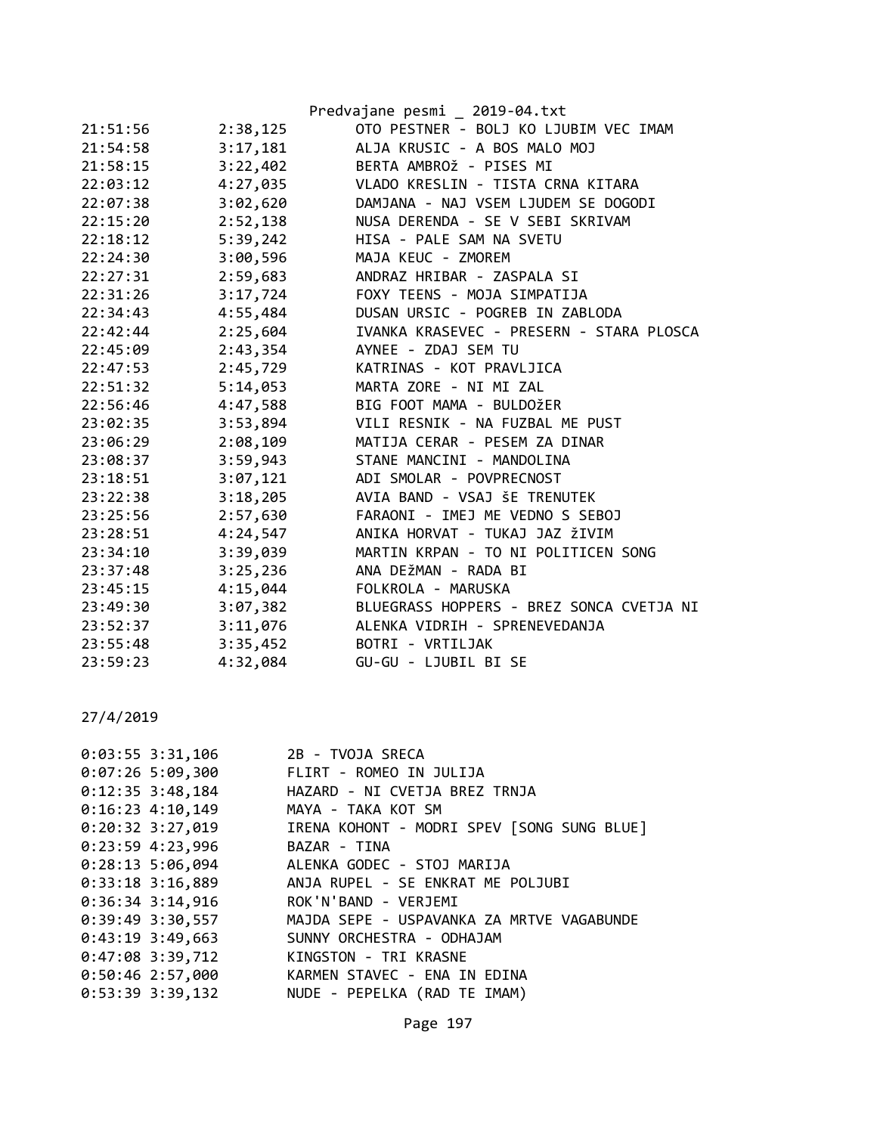|          |          | Predvajane pesmi _ 2019-04.txt           |
|----------|----------|------------------------------------------|
| 21:51:56 | 2:38,125 | OTO PESTNER - BOLJ KO LJUBIM VEC IMAM    |
| 21:54:58 | 3:17,181 | ALJA KRUSIC - A BOS MALO MOJ             |
| 21:58:15 | 3:22,402 | BERTA AMBROŽ - PISES MI                  |
| 22:03:12 | 4:27,035 | VLADO KRESLIN - TISTA CRNA KITARA        |
| 22:07:38 | 3:02,620 | DAMJANA - NAJ VSEM LJUDEM SE DOGODI      |
| 22:15:20 | 2:52,138 | NUSA DERENDA - SE V SEBI SKRIVAM         |
| 22:18:12 | 5:39,242 | HISA - PALE SAM NA SVETU                 |
| 22:24:30 | 3:00,596 | MAJA KEUC - ZMOREM                       |
| 22:27:31 | 2:59,683 | ANDRAZ HRIBAR - ZASPALA SI               |
| 22:31:26 | 3:17,724 | FOXY TEENS - MOJA SIMPATIJA              |
| 22:34:43 | 4:55,484 | DUSAN URSIC - POGREB IN ZABLODA          |
| 22:42:44 | 2:25,604 | IVANKA KRASEVEC - PRESERN - STARA PLOSCA |
| 22:45:09 | 2:43,354 | AYNEE - ZDAJ SEM TU                      |
| 22:47:53 | 2:45,729 | KATRINAS - KOT PRAVLJICA                 |
| 22:51:32 | 5:14,053 | MARTA ZORE - NI MI ZAL                   |
| 22:56:46 | 4:47,588 | BIG FOOT MAMA - BULDOŽER                 |
| 23:02:35 | 3:53,894 | VILI RESNIK - NA FUZBAL ME PUST          |
| 23:06:29 | 2:08,109 | MATIJA CERAR - PESEM ZA DINAR            |
| 23:08:37 | 3:59,943 | STANE MANCINI - MANDOLINA                |
| 23:18:51 | 3:07,121 | ADI SMOLAR - POVPRECNOST                 |
| 23:22:38 | 3:18,205 | AVIA BAND - VSAJ ŠE TRENUTEK             |
| 23:25:56 | 2:57,630 | FARAONI - IMEJ ME VEDNO S SEBOJ          |
| 23:28:51 | 4:24,547 | ANIKA HORVAT - TUKAJ JAZ ŽIVIM           |
| 23:34:10 | 3:39,039 | MARTIN KRPAN - TO NI POLITICEN SONG      |
| 23:37:48 | 3:25,236 | ANA DEŽMAN - RADA BI                     |
| 23:45:15 | 4:15,044 | FOLKROLA - MARUSKA                       |
| 23:49:30 | 3:07,382 | BLUEGRASS HOPPERS - BREZ SONCA CVETJA NI |
| 23:52:37 | 3:11,076 | ALENKA VIDRIH - SPRENEVEDANJA            |
| 23:55:48 | 3:35,452 | BOTRI - VRTILJAK                         |
| 23:59:23 | 4:32,084 | GU-GU - LJUBIL BI SE                     |

| $0:03:55$ 3:31,106                  | 2B - TVOJA SRECA                                           |
|-------------------------------------|------------------------------------------------------------|
|                                     | 0:07:26 5:09,300 FLIRT - ROMEO IN JULIJA                   |
| $0:12:35$ 3:48,184                  | HAZARD - NI CVETJA BREZ TRNJA                              |
| 0:16:23 4:10,149 MAYA - TAKA KOT SM |                                                            |
| $0:20:32$ 3:27,019                  | IRENA KOHONT - MODRI SPEV [SONG SUNG BLUE]                 |
| $0:23:59$ 4:23,996                  | BAZAR - TINA                                               |
|                                     | 0:28:13 5:06,094 ALENKA GODEC - STOJ MARIJA                |
| $0:33:18$ 3:16,889                  | ANJA RUPEL - SE ENKRAT ME POLJUBI                          |
| $0:36:34$ 3:14,916                  | ROK'N'BAND - VERJEMI                                       |
|                                     | 0:39:49 3:30,557 MAJDA SEPE - USPAVANKA ZA MRTVE VAGABUNDE |
| $0:43:19$ 3:49,663                  | SUNNY ORCHESTRA - ODHAJAM                                  |
| $0:47:08$ 3:39,712                  | KINGSTON - TRI KRASNE                                      |
| 0:50:46 2:57,000                    | KARMEN STAVEC - ENA IN EDINA                               |
| 0:53:39 3:39,132                    | NUDE - PEPELKA (RAD TE IMAM)                               |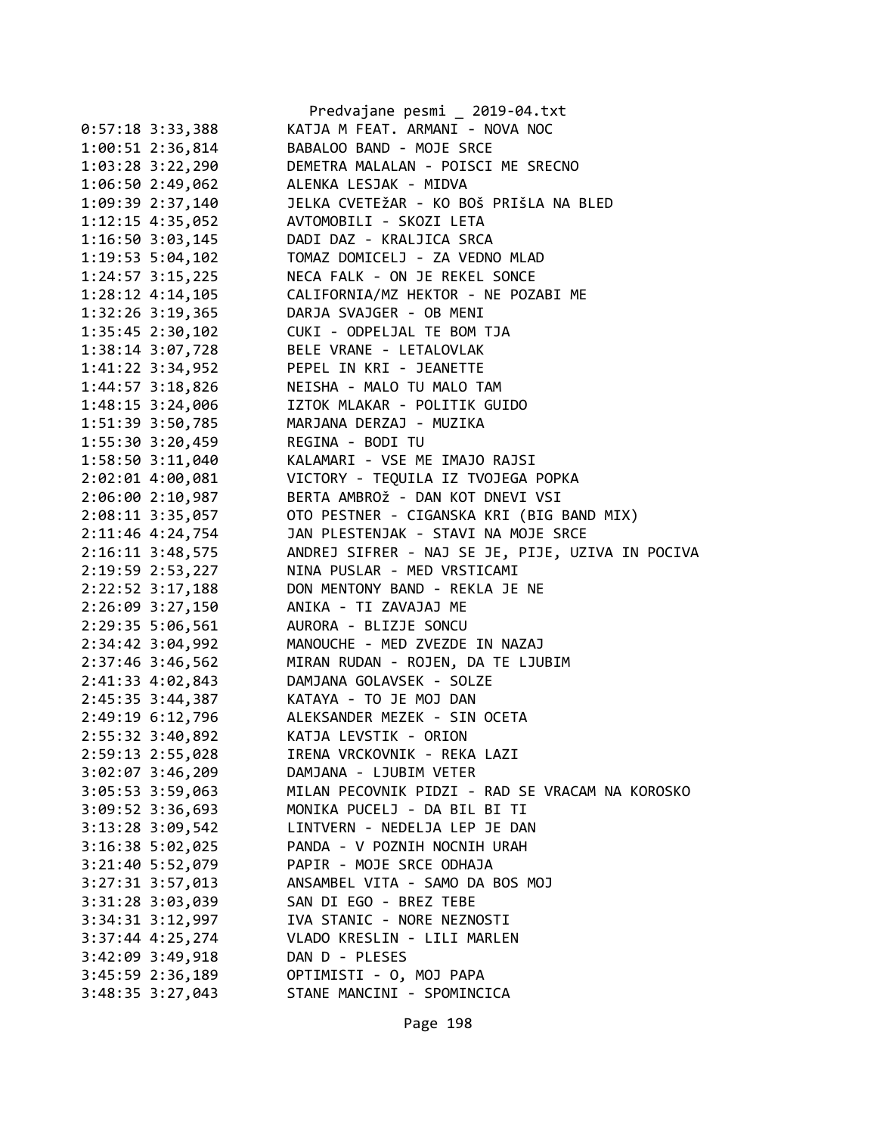|                                         | Predvajane pesmi _ 2019-04.txt                            |
|-----------------------------------------|-----------------------------------------------------------|
| $0:57:18$ 3:33,388                      | KATJA M FEAT. ARMANI - NOVA NOC                           |
| 1:00:51 2:36,814                        | BABALOO BAND - MOJE SRCE                                  |
| $1:03:28$ $3:22,290$                    | DEMETRA MALALAN - POISCI ME SRECNO                        |
| 1:06:50 2:49,062                        | ALENKA LESJAK - MIDVA                                     |
| 1:09:39 2:37,140                        | JELKA CVETEŽAR - KO BOŠ PRIŠLA NA BLED                    |
| $1:12:15$ 4:35,052                      | AVTOMOBILI - SKOZI LETA                                   |
| $1:16:50$ $3:03,145$                    | DADI DAZ - KRALJICA SRCA                                  |
| 1:19:53 5:04,102                        | TOMAZ DOMICELJ - ZA VEDNO MLAD                            |
| $1:24:57$ $3:15,225$                    | NECA FALK - ON JE REKEL SONCE                             |
|                                         | 1:28:12 4:14,105 CALIFORNIA/MZ HEKTOR - NE POZABI ME      |
|                                         | 1:32:26 3:19,365 DARJA SVAJGER - OB MENI                  |
|                                         | 1:35:45 2:30,102 CUKI - ODPELJAL TE BOM TJA               |
|                                         | 1:38:14 3:07,728 BELE VRANE - LETALOVLAK                  |
| 1:41:22 3:34,952                        | PEPEL IN KRI - JEANETTE                                   |
| $1:44:57$ $3:18,826$                    |                                                           |
| $1:48:15$ $3:24,006$                    | NEISHA - MALO TU MALO TAM<br>IZTOK MLAKAR - POLITIK GUIDO |
| 1:51:39 3:50,785                        | MARJANA DERZAJ - MUZIKA                                   |
| 1:55:30 3:20,459 REGINA - BODI TU       |                                                           |
|                                         | 1:58:50 3:11,040 KALAMARI - VSE ME IMAJO RAJSI            |
| 2:02:01 4:00,081                        | VICTORY - TEQUILA IZ TVOJEGA POPKA                        |
| 2:06:002:10,987                         | BERTA AMBROŽ - DAN KOT DNEVI VSI                          |
| $2:08:11$ $3:35,057$                    | OTO PESTNER - CIGANSKA KRI (BIG BAND MIX)                 |
| 2:11:46 4:24,754                        | JAN PLESTENJAK - STAVI NA MOJE SRCE                       |
| 2:16:11 3:48,575                        | ANDREJ SIFRER - NAJ SE JE, PIJE, UZIVA IN POCIVA          |
| 2:19:59 2:53,227                        | NINA PUSLAR - MED VRSTICAMI                               |
|                                         | 2:22:52 3:17,188 DON MENTONY BAND - REKLA JE NE           |
| 2:26:09 3:27,150 ANIKA - TI ZAVAJAJ ME  |                                                           |
| 2:29:35 5:06,561                        | AURORA - BLIZJE SONCU                                     |
| 2:34:42 3:04,992                        | MANOUCHE - MED ZVEZDE IN NAZAJ                            |
| 2:37:46 3:46,562                        | MIRAN RUDAN - ROJEN, DA TE LJUBIM                         |
|                                         | 2:41:33  4:02,843  DAMJANA GOLAVSEK - SOLZE               |
| 2:45:35 3:44,387 KATAYA - TO JE MOJ DAN |                                                           |
| 2:49:19 6:12,796                        | ALEKSANDER MEZEK - SIN OCETA                              |
| 2:55:32 3:40,892                        | KATJA LEVSTIK - ORION                                     |
| 2:59:13 2:55,028                        | IRENA VRCKOVNIK - REKA LAZI                               |
| $3:02:07$ $3:46,209$                    | DAMJANA - LJUBIM VETER                                    |
| $3:05:53$ $3:59,063$                    | MILAN PECOVNIK PIDZI - RAD SE VRACAM NA KOROSKO           |
| $3:09:52$ $3:36,693$                    | MONIKA PUCELJ - DA BIL BI TI                              |
| $3:13:28$ $3:09,542$                    | LINTVERN - NEDELJA LEP JE DAN                             |
| $3:16:38$ 5:02,025                      | PANDA - V POZNIH NOCNIH URAH                              |
| 3:21:40 5:52,079                        | PAPIR - MOJE SRCE ODHAJA                                  |
| 3:27:31 3:57,013                        | ANSAMBEL VITA - SAMO DA BOS MOJ                           |
| 3:31:28 3:03,039                        | SAN DI EGO - BREZ TEBE                                    |
| 3:34:31 3:12,997                        | IVA STANIC - NORE NEZNOSTI                                |
| 3:37:44 4:25,274                        | VLADO KRESLIN - LILI MARLEN                               |
| 3:42:09 3:49,918                        | DAN D - PLESES                                            |
| 3:45:59 2:36,189                        | OPTIMISTI - O, MOJ PAPA                                   |
| $3:48:35$ $3:27,043$                    | STANE MANCINI - SPOMINCICA                                |
|                                         |                                                           |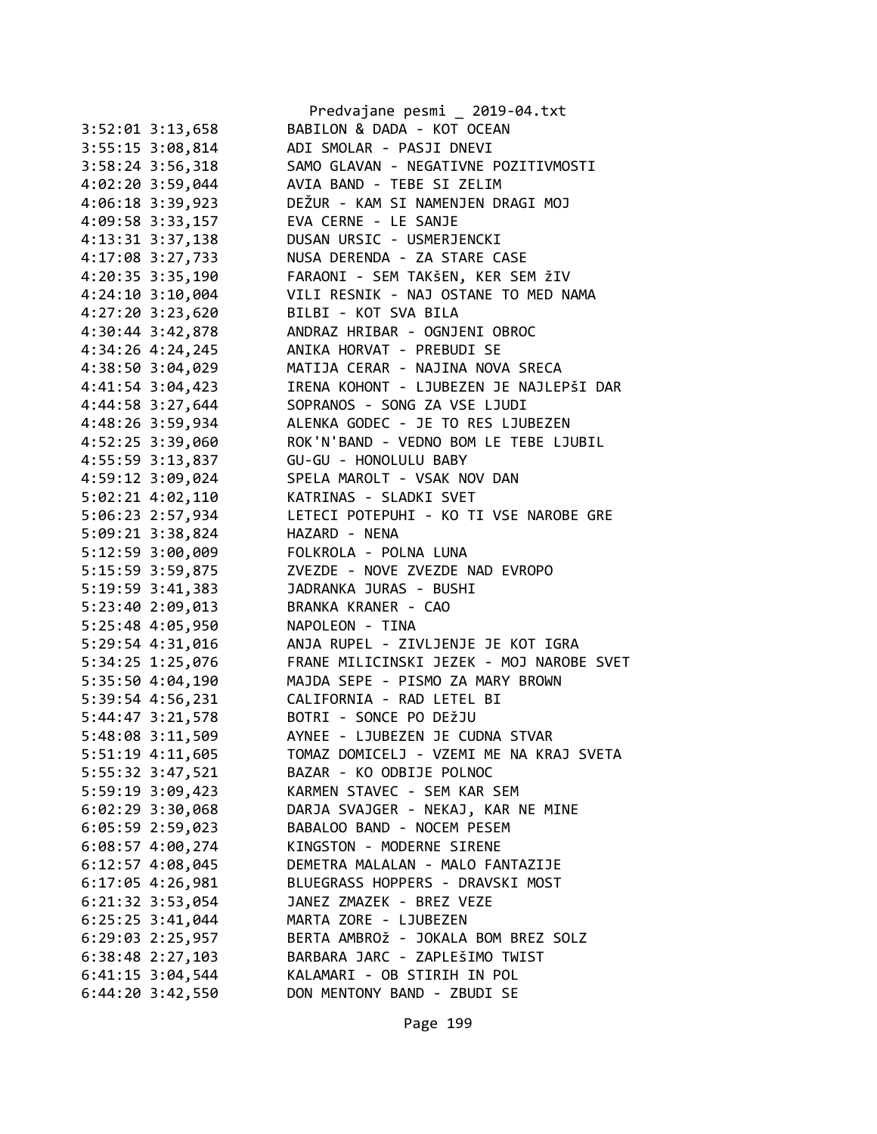|                      | Predvajane pesmi _ 2019-04.txt           |
|----------------------|------------------------------------------|
| $3:52:01$ $3:13,658$ | BABILON & DADA - KOT OCEAN               |
| $3:55:15$ $3:08,814$ | ADI SMOLAR - PASJI DNEVI                 |
| 3:58:24 3:56,318     | SAMO GLAVAN - NEGATIVNE POZITIVMOSTI     |
| $4:02:20$ 3:59,044   | AVIA BAND - TEBE SI ZELIM                |
| 4:06:18 3:39,923     | DEŽUR - KAM SI NAMENJEN DRAGI MOJ        |
| 4:09:58 3:33,157     | EVA CERNE - LE SANJE                     |
| 4:13:31 3:37,138     | DUSAN URSIC - USMERJENCKI                |
| 4:17:08 3:27,733     | NUSA DERENDA - ZA STARE CASE             |
| 4:20:35 3:35,190     | FARAONI - SEM TAKŠEN, KER SEM ŽIV        |
| $4:24:10$ 3:10,004   | VILI RESNIK - NAJ OSTANE TO MED NAMA     |
| 4:27:20 3:23,620     | BILBI - KOT SVA BILA                     |
| 4:30:44 3:42,878     | ANDRAZ HRIBAR - OGNJENI OBROC            |
| 4:34:26 4:24,245     | ANIKA HORVAT - PREBUDI SE                |
| 4:38:50 3:04,029     | MATIJA CERAR - NAJINA NOVA SRECA         |
| 4:41:54 3:04,423     | IRENA KOHONT - LJUBEZEN JE NAJLEPŠI DAR  |
| 4:44:58 3:27,644     | SOPRANOS - SONG ZA VSE LJUDI             |
| 4:48:26 3:59,934     | ALENKA GODEC - JE TO RES LJUBEZEN        |
| 4:52:25 3:39,060     | ROK'N'BAND - VEDNO BOM LE TEBE LJUBIL    |
| 4:55:59 3:13,837     | GU-GU - HONOLULU BABY                    |
|                      | SPELA MAROLT - VSAK NOV DAN              |
| 4:59:12 3:09,024     | KATRINAS - SLADKI SVET                   |
| 5:02:21 4:02,110     |                                          |
| 5:06:23 2:57,934     | LETECI POTEPUHI - KO TI VSE NAROBE GRE   |
| 5:09:21 3:38,824     | HAZARD - NENA                            |
| 5:12:59 3:00,009     | FOLKROLA - POLNA LUNA                    |
| 5:15:59 3:59,875     | ZVEZDE - NOVE ZVEZDE NAD EVROPO          |
| 5:19:59 3:41,383     | JADRANKA JURAS - BUSHI                   |
| 5:23:40 2:09,013     | BRANKA KRANER - CAO                      |
| 5:25:48 4:05,950     | NAPOLEON - TINA                          |
| 5:29:54 4:31,016     | ANJA RUPEL - ZIVLJENJE JE KOT IGRA       |
| 5:34:25 1:25,076     | FRANE MILICINSKI JEZEK - MOJ NAROBE SVET |
| 5:35:50 4:04,190     | MAJDA SEPE - PISMO ZA MARY BROWN         |
| 5:39:54 4:56,231     | CALIFORNIA - RAD LETEL BI                |
| $5:44:47$ $3:21,578$ | BOTRI - SONCE PO DEŽJU                   |
| 5:48:08 3:11,509     | AYNEE - LJUBEZEN JE CUDNA STVAR          |
| 5:51:19 4:11,605     | TOMAZ DOMICELJ - VZEMI ME NA KRAJ SVETA  |
| 5:55:32 3:47,521     | BAZAR - KO ODBIJE POLNOC                 |
| 5:59:19 3:09,423     | KARMEN STAVEC - SEM KAR SEM              |
| 6:02:29 3:30,068     | DARJA SVAJGER - NEKAJ, KAR NE MINE       |
| $6:05:59$ 2:59,023   | BABALOO BAND - NOCEM PESEM               |
| $6:08:57$ 4:00,274   | KINGSTON - MODERNE SIRENE                |
| $6:12:57$ 4:08,045   | DEMETRA MALALAN - MALO FANTAZIJE         |
| $6:17:05$ 4:26,981   | BLUEGRASS HOPPERS - DRAVSKI MOST         |
| $6:21:32$ $3:53,054$ | JANEZ ZMAZEK - BREZ VEZE                 |
| $6:25:25$ 3:41,044   | MARTA ZORE - LJUBEZEN                    |
| $6:29:03$ 2:25,957   | BERTA AMBROŽ - JOKALA BOM BREZ SOLZ      |
| $6:38:48$ 2:27,103   | BARBARA JARC - ZAPLEŠIMO TWIST           |
| $6:41:15$ 3:04,544   | KALAMARI - OB STIRIH IN POL              |
| $6:44:20$ $3:42,550$ | DON MENTONY BAND - ZBUDI SE              |
|                      |                                          |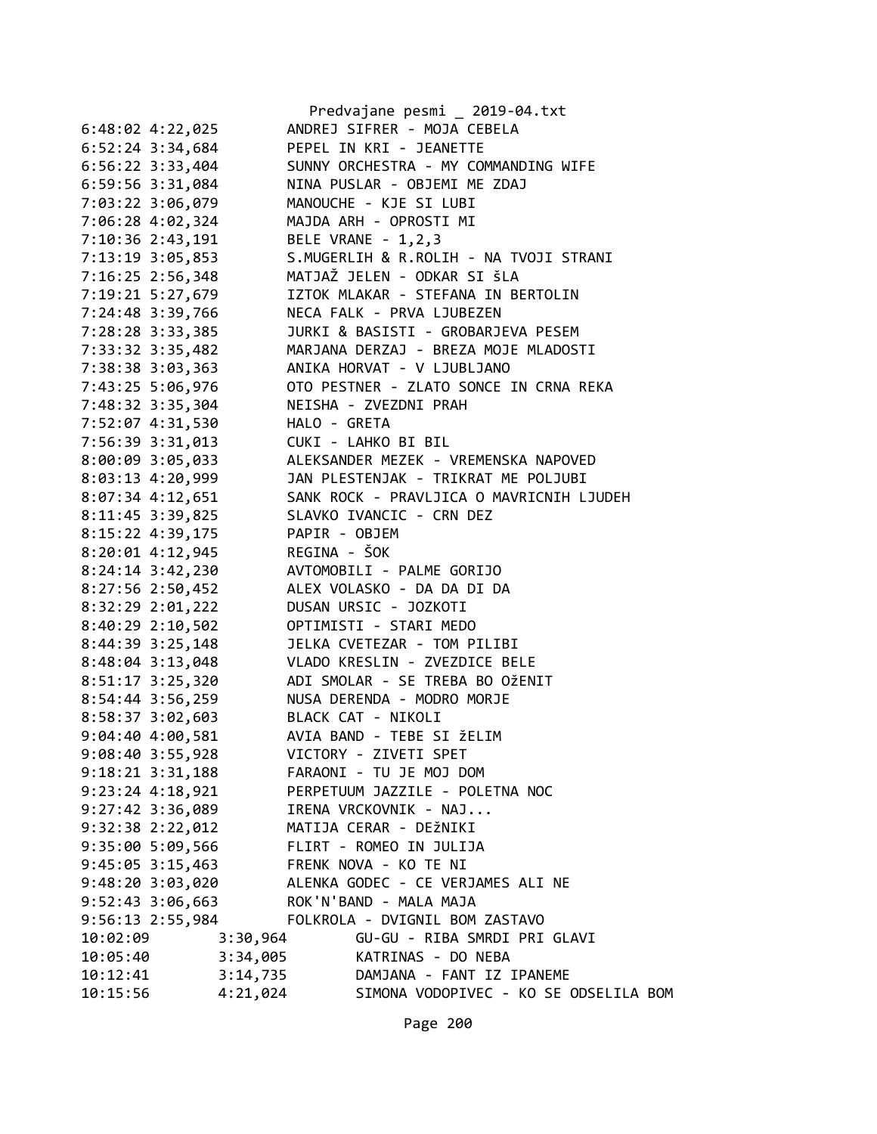|                      |          | Predvajane pesmi _ 2019-04.txt           |
|----------------------|----------|------------------------------------------|
| $6:48:02$ 4:22,025   |          | ANDREJ SIFRER - MOJA CEBELA              |
| $6:52:24$ 3:34,684   |          | PEPEL IN KRI - JEANETTE                  |
| $6:56:22$ 3:33,404   |          | SUNNY ORCHESTRA - MY COMMANDING WIFE     |
| 6:59:56 3:31,084     |          | NINA PUSLAR - OBJEMI ME ZDAJ             |
| 7:03:22 3:06,079     |          | MANOUCHE - KJE SI LUBI                   |
| 7:06:28 4:02,324     |          | MAJDA ARH - OPROSTI MI                   |
| 7:10:36 2:43,191     |          | BELE VRANE - 1,2,3                       |
| 7:13:19 3:05,853     |          | S.MUGERLIH & R.ROLIH - NA TVOJI STRANI   |
| 7:16:25 2:56,348     |          | MATJAŽ JELEN - ODKAR SI ŠLA              |
| 7:19:21 5:27,679     |          | IZTOK MLAKAR - STEFANA IN BERTOLIN       |
| 7:24:48 3:39,766     |          | NECA FALK - PRVA LJUBEZEN                |
| 7:28:28 3:33,385     |          | JURKI & BASISTI - GROBARJEVA PESEM       |
| 7:33:32 3:35,482     |          | MARJANA DERZAJ - BREZA MOJE MLADOSTI     |
| 7:38:38 3:03,363     |          | ANIKA HORVAT - V LJUBLJANO               |
| 7:43:25 5:06,976     |          | OTO PESTNER - ZLATO SONCE IN CRNA REKA   |
| 7:48:32 3:35,304     |          | NEISHA - ZVEZDNI PRAH                    |
|                      |          | HALO - GRETA                             |
| 7:52:07 4:31,530     |          | CUKI - LAHKO BI BIL                      |
| 7:56:39 3:31,013     |          | ALEKSANDER MEZEK - VREMENSKA NAPOVED     |
| 8:00:09 3:05,033     |          |                                          |
| 8:03:13 4:20,999     |          | JAN PLESTENJAK - TRIKRAT ME POLJUBI      |
| 8:07:34 4:12,651     |          | SANK ROCK - PRAVLJICA O MAVRICNIH LJUDEH |
| 8:11:45 3:39,825     |          | SLAVKO IVANCIC - CRN DEZ                 |
| 8:15:22 4:39,175     |          | PAPIR - OBJEM                            |
| 8:20:01 4:12,945     |          | REGINA - ŠOK                             |
| 8:24:14 3:42,230     |          | AVTOMOBILI - PALME GORIJO                |
| 8:27:56 2:50,452     |          | ALEX VOLASKO - DA DA DI DA               |
| 8:32:29 2:01,222     |          | DUSAN URSIC - JOZKOTI                    |
| 8:40:29 2:10,502     |          | OPTIMISTI - STARI MEDO                   |
| 8:44:39 3:25,148     |          | JELKA CVETEZAR - TOM PILIBI              |
| 8:48:04 3:13,048     |          | VLADO KRESLIN - ZVEZDICE BELE            |
| 8:51:17 3:25,320     |          | ADI SMOLAR - SE TREBA BO OŽENIT          |
| 8:54:44 3:56,259     |          | NUSA DERENDA - MODRO MORJE               |
| 8:58:37 3:02,603     |          | BLACK CAT - NIKOLI                       |
| 9:04:40 4:00,581     |          | AVIA BAND - TEBE SI ŽELIM                |
| 9:08:40 3:55,928     |          | VICTORY - ZIVETI SPET                    |
| 9:18:21 3:31,188     |          | FARAONI - TU JE MOJ DOM                  |
| 9:23:24 4:18,921     |          | PERPETUUM JAZZILE - POLETNA NOC          |
| $9:27:42$ 3:36,089   |          | IRENA VRCKOVNIK - NAJ                    |
| $9:32:38$ $2:22,012$ |          | MATIJA CERAR - DEŽNIKI                   |
| 9:35:00 5:09,566     |          | FLIRT - ROMEO IN JULIJA                  |
| $9:45:05$ 3:15,463   |          | FRENK NOVA - KO TE NI                    |
| 9:48:20 3:03,020     |          | ALENKA GODEC - CE VERJAMES ALI NE        |
| $9:52:43$ $3:06,663$ |          | ROK'N'BAND - MALA MAJA                   |
| 9:56:13 2:55,984     |          | FOLKROLA - DVIGNIL BOM ZASTAVO           |
| 10:02:09             | 3:30,964 | GU-GU - RIBA SMRDI PRI GLAVI             |
| 10:05:40             | 3:34,005 | KATRINAS - DO NEBA                       |
| 10:12:41             | 3:14,735 | DAMJANA - FANT IZ IPANEME                |
| 10:15:56             | 4:21,024 | SIMONA VODOPIVEC - KO SE ODSELILA BOM    |
|                      |          |                                          |

Page 200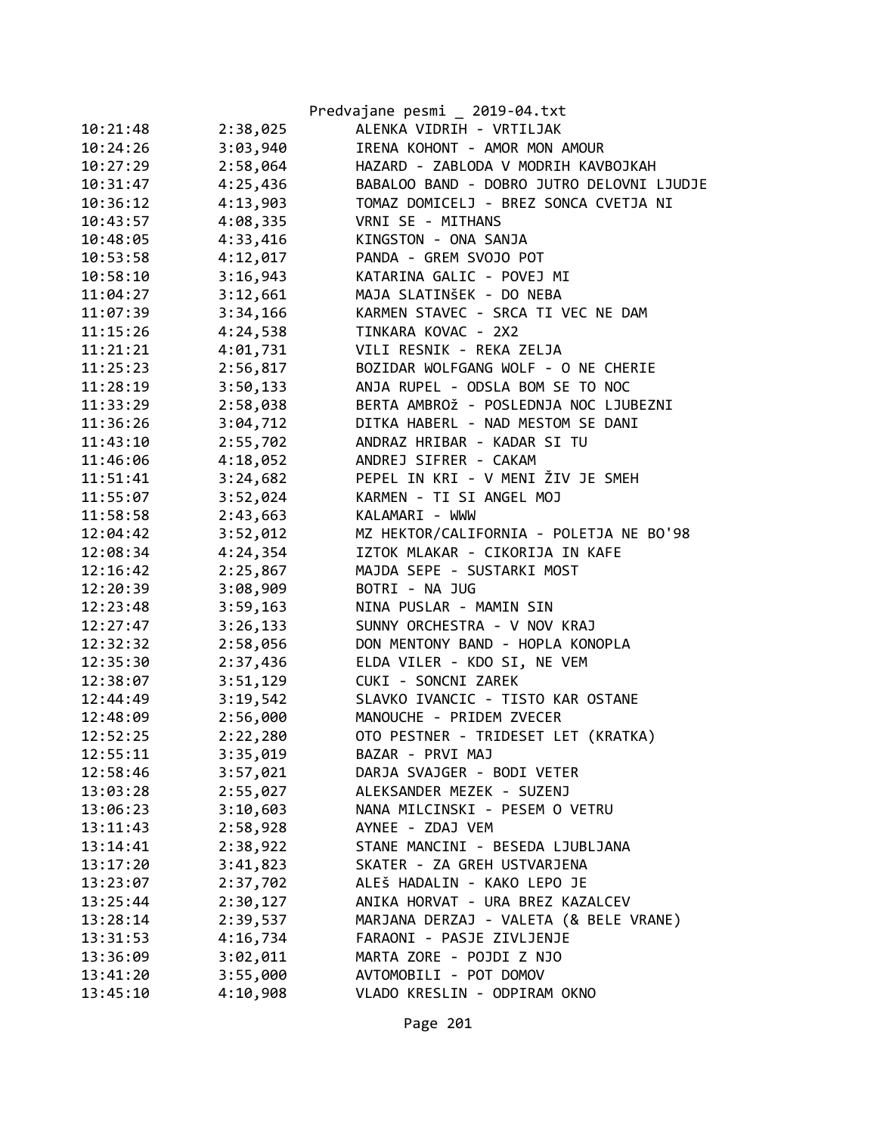|          |          | Predvajane pesmi _ 2019-04.txt            |
|----------|----------|-------------------------------------------|
| 10:21:48 | 2:38,025 | ALENKA VIDRIH - VRTILJAK                  |
| 10:24:26 | 3:03,940 | IRENA KOHONT - AMOR MON AMOUR             |
| 10:27:29 | 2:58,064 | HAZARD - ZABLODA V MODRIH KAVBOJKAH       |
| 10:31:47 | 4:25,436 | BABALOO BAND - DOBRO JUTRO DELOVNI LJUDJE |
| 10:36:12 | 4:13,903 | TOMAZ DOMICELJ - BREZ SONCA CVETJA NI     |
| 10:43:57 | 4:08,335 | VRNI SE - MITHANS                         |
| 10:48:05 | 4:33,416 | KINGSTON - ONA SANJA                      |
| 10:53:58 | 4:12,017 | PANDA - GREM SVOJO POT                    |
| 10:58:10 | 3:16,943 | KATARINA GALIC - POVEJ MI                 |
| 11:04:27 | 3:12,661 | MAJA SLATINŠEK - DO NEBA                  |
| 11:07:39 | 3:34,166 | KARMEN STAVEC - SRCA TI VEC NE DAM        |
| 11:15:26 | 4:24,538 | TINKARA KOVAC - 2X2                       |
| 11:21:21 | 4:01,731 | VILI RESNIK - REKA ZELJA                  |
| 11:25:23 | 2:56,817 | BOZIDAR WOLFGANG WOLF - O NE CHERIE       |
| 11:28:19 | 3:50,133 | ANJA RUPEL - ODSLA BOM SE TO NOC          |
| 11:33:29 | 2:58,038 | BERTA AMBROŽ - POSLEDNJA NOC LJUBEZNI     |
| 11:36:26 | 3:04,712 | DITKA HABERL - NAD MESTOM SE DANI         |
| 11:43:10 | 2:55,702 | ANDRAZ HRIBAR - KADAR SI TU               |
| 11:46:06 | 4:18,052 | ANDREJ SIFRER - CAKAM                     |
| 11:51:41 | 3:24,682 | PEPEL IN KRI - V MENI ŽIV JE SMEH         |
| 11:55:07 | 3:52,024 | KARMEN - TI SI ANGEL MOJ                  |
| 11:58:58 | 2:43,663 | KALAMARI - WWW                            |
| 12:04:42 | 3:52,012 | MZ HEKTOR/CALIFORNIA - POLETJA NE BO'98   |
| 12:08:34 | 4:24,354 | IZTOK MLAKAR - CIKORIJA IN KAFE           |
| 12:16:42 | 2:25,867 | MAJDA SEPE - SUSTARKI MOST                |
| 12:20:39 | 3:08,909 | BOTRI - NA JUG                            |
| 12:23:48 | 3:59,163 | NINA PUSLAR - MAMIN SIN                   |
| 12:27:47 | 3:26,133 | SUNNY ORCHESTRA - V NOV KRAJ              |
| 12:32:32 | 2:58,056 | DON MENTONY BAND - HOPLA KONOPLA          |
| 12:35:30 | 2:37,436 | ELDA VILER - KDO SI, NE VEM               |
| 12:38:07 | 3:51,129 | CUKI - SONCNI ZAREK                       |
| 12:44:49 | 3:19,542 | SLAVKO IVANCIC - TISTO KAR OSTANE         |
| 12:48:09 | 2:56,000 | MANOUCHE - PRIDEM ZVECER                  |
| 12:52:25 | 2:22,280 | OTO PESTNER - TRIDESET LET (KRATKA)       |
| 12:55:11 | 3:35,019 | BAZAR - PRVI MAJ                          |
| 12:58:46 | 3:57,021 | DARJA SVAJGER - BODI VETER                |
| 13:03:28 | 2:55,027 | ALEKSANDER MEZEK - SUZENJ                 |
| 13:06:23 | 3:10,603 | NANA MILCINSKI - PESEM O VETRU            |
| 13:11:43 | 2:58,928 | AYNEE - ZDAJ VEM                          |
| 13:14:41 | 2:38,922 | STANE MANCINI - BESEDA LJUBLJANA          |
| 13:17:20 | 3:41,823 | SKATER - ZA GREH USTVARJENA               |
| 13:23:07 | 2:37,702 | ALEŠ HADALIN - KAKO LEPO JE               |
| 13:25:44 | 2:30,127 | ANIKA HORVAT - URA BREZ KAZALCEV          |
| 13:28:14 | 2:39,537 | MARJANA DERZAJ - VALETA (& BELE VRANE)    |
| 13:31:53 | 4:16,734 | FARAONI - PASJE ZIVLJENJE                 |
| 13:36:09 | 3:02,011 | MARTA ZORE - POJDI Z NJO                  |
| 13:41:20 | 3:55,000 | AVTOMOBILI - POT DOMOV                    |
| 13:45:10 | 4:10,908 | VLADO KRESLIN - ODPIRAM OKNO              |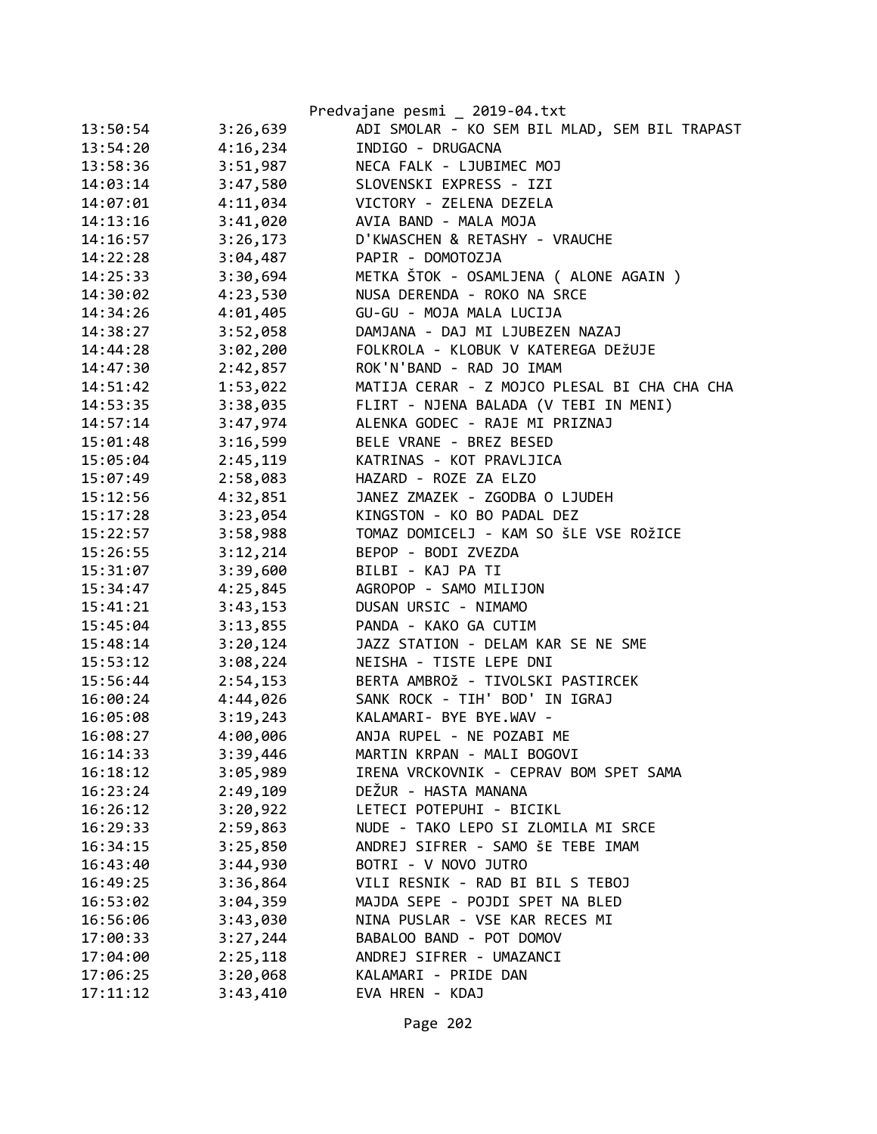|          |          | Predvajane pesmi _ 2019-04.txt                |
|----------|----------|-----------------------------------------------|
| 13:50:54 | 3:26,639 | ADI SMOLAR - KO SEM BIL MLAD, SEM BIL TRAPAST |
| 13:54:20 | 4:16,234 | INDIGO - DRUGACNA                             |
| 13:58:36 | 3:51,987 | NECA FALK - LJUBIMEC MOJ                      |
| 14:03:14 | 3:47,580 | SLOVENSKI EXPRESS - IZI                       |
| 14:07:01 | 4:11,034 | VICTORY - ZELENA DEZELA                       |
| 14:13:16 | 3:41,020 | AVIA BAND - MALA MOJA                         |
| 14:16:57 | 3:26,173 | D'KWASCHEN & RETASHY - VRAUCHE                |
| 14:22:28 | 3:04,487 | PAPIR - DOMOTOZJA                             |
| 14:25:33 | 3:30,694 | METKA ŠTOK - OSAMLJENA ( ALONE AGAIN )        |
| 14:30:02 | 4:23,530 | NUSA DERENDA - ROKO NA SRCE                   |
| 14:34:26 | 4:01,405 | GU-GU - MOJA MALA LUCIJA                      |
| 14:38:27 | 3:52,058 | DAMJANA - DAJ MI LJUBEZEN NAZAJ               |
| 14:44:28 | 3:02,200 | FOLKROLA - KLOBUK V KATEREGA DEŽUJE           |
| 14:47:30 | 2:42,857 | ROK'N'BAND - RAD JO IMAM                      |
| 14:51:42 | 1:53,022 | MATIJA CERAR - Z MOJCO PLESAL BI CHA CHA CHA  |
| 14:53:35 | 3:38,035 | FLIRT - NJENA BALADA (V TEBI IN MENI)         |
| 14:57:14 | 3:47,974 | ALENKA GODEC - RAJE MI PRIZNAJ                |
| 15:01:48 | 3:16,599 | BELE VRANE - BREZ BESED                       |
| 15:05:04 | 2:45,119 | KATRINAS - KOT PRAVLJICA                      |
| 15:07:49 | 2:58,083 | HAZARD - ROZE ZA ELZO                         |
| 15:12:56 | 4:32,851 | JANEZ ZMAZEK - ZGODBA O LJUDEH                |
| 15:17:28 | 3:23,054 | KINGSTON - KO BO PADAL DEZ                    |
| 15:22:57 | 3:58,988 | TOMAZ DOMICELJ - KAM SO ŠLE VSE ROŽICE        |
| 15:26:55 | 3:12,214 | BEPOP - BODI ZVEZDA                           |
| 15:31:07 | 3:39,600 | BILBI - KAJ PA TI                             |
| 15:34:47 | 4:25,845 | AGROPOP - SAMO MILIJON                        |
| 15:41:21 | 3:43,153 | DUSAN URSIC - NIMAMO                          |
| 15:45:04 | 3:13,855 | PANDA - KAKO GA CUTIM                         |
| 15:48:14 | 3:20,124 | JAZZ STATION - DELAM KAR SE NE SME            |
| 15:53:12 | 3:08,224 | NEISHA - TISTE LEPE DNI                       |
| 15:56:44 | 2:54,153 | BERTA AMBROŽ - TIVOLSKI PASTIRCEK             |
| 16:00:24 | 4:44,026 | SANK ROCK - TIH' BOD' IN IGRAJ                |
| 16:05:08 | 3:19,243 | KALAMARI- BYE BYE.WAV -                       |
| 16:08:27 | 4:00,006 | ANJA RUPEL - NE POZABI ME                     |
| 16:14:33 | 3:39,446 | MARTIN KRPAN - MALI BOGOVI                    |
| 16:18:12 | 3:05,989 | IRENA VRCKOVNIK - CEPRAV BOM SPET SAMA        |
| 16:23:24 | 2:49,109 | DEŽUR - HASTA MANANA                          |
| 16:26:12 | 3:20,922 | LETECI POTEPUHI - BICIKL                      |
| 16:29:33 | 2:59,863 | NUDE - TAKO LEPO SI ZLOMILA MI SRCE           |
| 16:34:15 | 3:25,850 | ANDREJ SIFRER - SAMO ŠE TEBE IMAM             |
| 16:43:40 | 3:44,930 | BOTRI - V NOVO JUTRO                          |
| 16:49:25 | 3:36,864 | VILI RESNIK - RAD BI BIL S TEBOJ              |
| 16:53:02 | 3:04,359 | MAJDA SEPE - POJDI SPET NA BLED               |
| 16:56:06 | 3:43,030 | NINA PUSLAR - VSE KAR RECES MI                |
| 17:00:33 | 3:27,244 | BABALOO BAND - POT DOMOV                      |
| 17:04:00 | 2:25,118 | ANDREJ SIFRER - UMAZANCI                      |
| 17:06:25 | 3:20,068 | KALAMARI - PRIDE DAN                          |
| 17:11:12 | 3:43,410 | EVA HREN - KDAJ                               |
|          |          |                                               |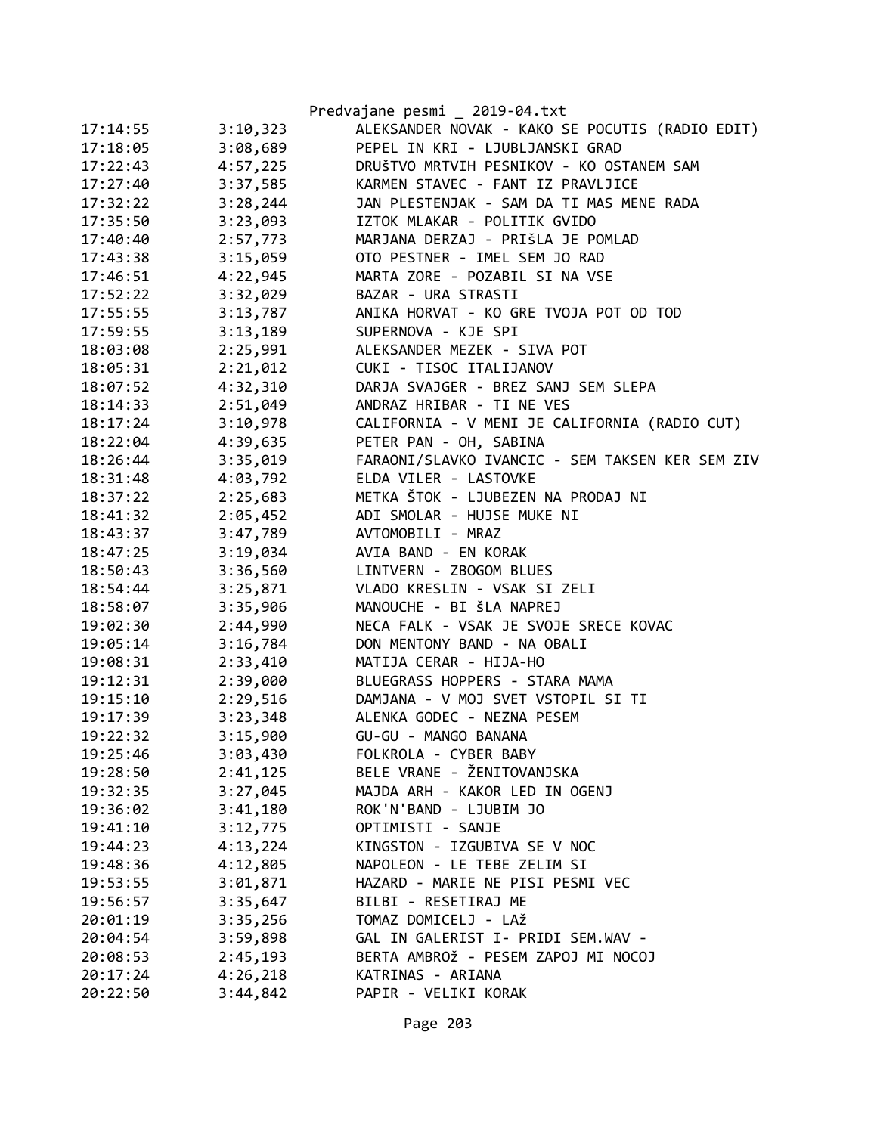|          |          | Predvajane pesmi _ 2019-04.txt                  |
|----------|----------|-------------------------------------------------|
| 17:14:55 | 3:10,323 | ALEKSANDER NOVAK - KAKO SE POCUTIS (RADIO EDIT) |
| 17:18:05 | 3:08,689 | PEPEL IN KRI - LJUBLJANSKI GRAD                 |
| 17:22:43 | 4:57,225 | DRUŠTVO MRTVIH PESNIKOV - KO OSTANEM SAM        |
| 17:27:40 | 3:37,585 | KARMEN STAVEC - FANT IZ PRAVLJICE               |
| 17:32:22 | 3:28,244 | JAN PLESTENJAK - SAM DA TI MAS MENE RADA        |
| 17:35:50 | 3:23,093 | IZTOK MLAKAR - POLITIK GVIDO                    |
| 17:40:40 | 2:57,773 | MARJANA DERZAJ - PRIŠLA JE POMLAD               |
| 17:43:38 | 3:15,059 | OTO PESTNER - IMEL SEM JO RAD                   |
| 17:46:51 | 4:22,945 | MARTA ZORE - POZABIL SI NA VSE                  |
| 17:52:22 | 3:32,029 | BAZAR - URA STRASTI                             |
| 17:55:55 | 3:13,787 | ANIKA HORVAT - KO GRE TVOJA POT OD TOD          |
| 17:59:55 | 3:13,189 | SUPERNOVA - KJE SPI                             |
| 18:03:08 | 2:25,991 | ALEKSANDER MEZEK - SIVA POT                     |
| 18:05:31 | 2:21,012 | CUKI - TISOC ITALIJANOV                         |
| 18:07:52 | 4:32,310 | DARJA SVAJGER - BREZ SANJ SEM SLEPA             |
| 18:14:33 | 2:51,049 | ANDRAZ HRIBAR - TI NE VES                       |
| 18:17:24 | 3:10,978 | CALIFORNIA - V MENI JE CALIFORNIA (RADIO CUT)   |
| 18:22:04 | 4:39,635 | PETER PAN - OH, SABINA                          |
| 18:26:44 | 3:35,019 | FARAONI/SLAVKO IVANCIC - SEM TAKSEN KER SEM ZIV |
| 18:31:48 | 4:03,792 | ELDA VILER - LASTOVKE                           |
| 18:37:22 | 2:25,683 | METKA ŠTOK - LJUBEZEN NA PRODAJ NI              |
| 18:41:32 | 2:05,452 | ADI SMOLAR - HUJSE MUKE NI                      |
| 18:43:37 | 3:47,789 | AVTOMOBILI - MRAZ                               |
| 18:47:25 | 3:19,034 | AVIA BAND - EN KORAK                            |
| 18:50:43 | 3:36,560 | LINTVERN - ZBOGOM BLUES                         |
| 18:54:44 | 3:25,871 | VLADO KRESLIN - VSAK SI ZELI                    |
| 18:58:07 | 3:35,906 | MANOUCHE - BI ŠLA NAPREJ                        |
| 19:02:30 | 2:44,990 | NECA FALK - VSAK JE SVOJE SRECE KOVAC           |
| 19:05:14 | 3:16,784 | DON MENTONY BAND - NA OBALI                     |
| 19:08:31 | 2:33,410 | MATIJA CERAR - HIJA-HO                          |
| 19:12:31 | 2:39,000 | BLUEGRASS HOPPERS - STARA MAMA                  |
| 19:15:10 | 2:29,516 | DAMJANA - V MOJ SVET VSTOPIL SI TI              |
| 19:17:39 | 3:23,348 | ALENKA GODEC - NEZNA PESEM                      |
| 19:22:32 | 3:15,900 | GU-GU - MANGO BANANA                            |
| 19:25:46 | 3:03,430 | FOLKROLA - CYBER BABY                           |
| 19:28:50 | 2:41,125 | BELE VRANE - ŽENITOVANJSKA                      |
| 19:32:35 | 3:27,045 | MAJDA ARH - KAKOR LED IN OGENJ                  |
| 19:36:02 | 3:41,180 | ROK'N'BAND - LJUBIM JO                          |
| 19:41:10 | 3:12,775 | OPTIMISTI - SANJE                               |
| 19:44:23 | 4:13,224 | KINGSTON - IZGUBIVA SE V NOC                    |
| 19:48:36 | 4:12,805 | NAPOLEON - LE TEBE ZELIM SI                     |
| 19:53:55 | 3:01,871 | HAZARD - MARIE NE PISI PESMI VEC                |
| 19:56:57 | 3:35,647 | BILBI - RESETIRAJ ME                            |
| 20:01:19 | 3:35,256 | TOMAZ DOMICELJ - LAŽ                            |
| 20:04:54 | 3:59,898 | GAL IN GALERIST I- PRIDI SEM.WAV -              |
| 20:08:53 | 2:45,193 | BERTA AMBROŽ - PESEM ZAPOJ MI NOCOJ             |
| 20:17:24 | 4:26,218 | KATRINAS - ARIANA                               |
| 20:22:50 | 3:44,842 | PAPIR - VELIKI KORAK                            |

Page 203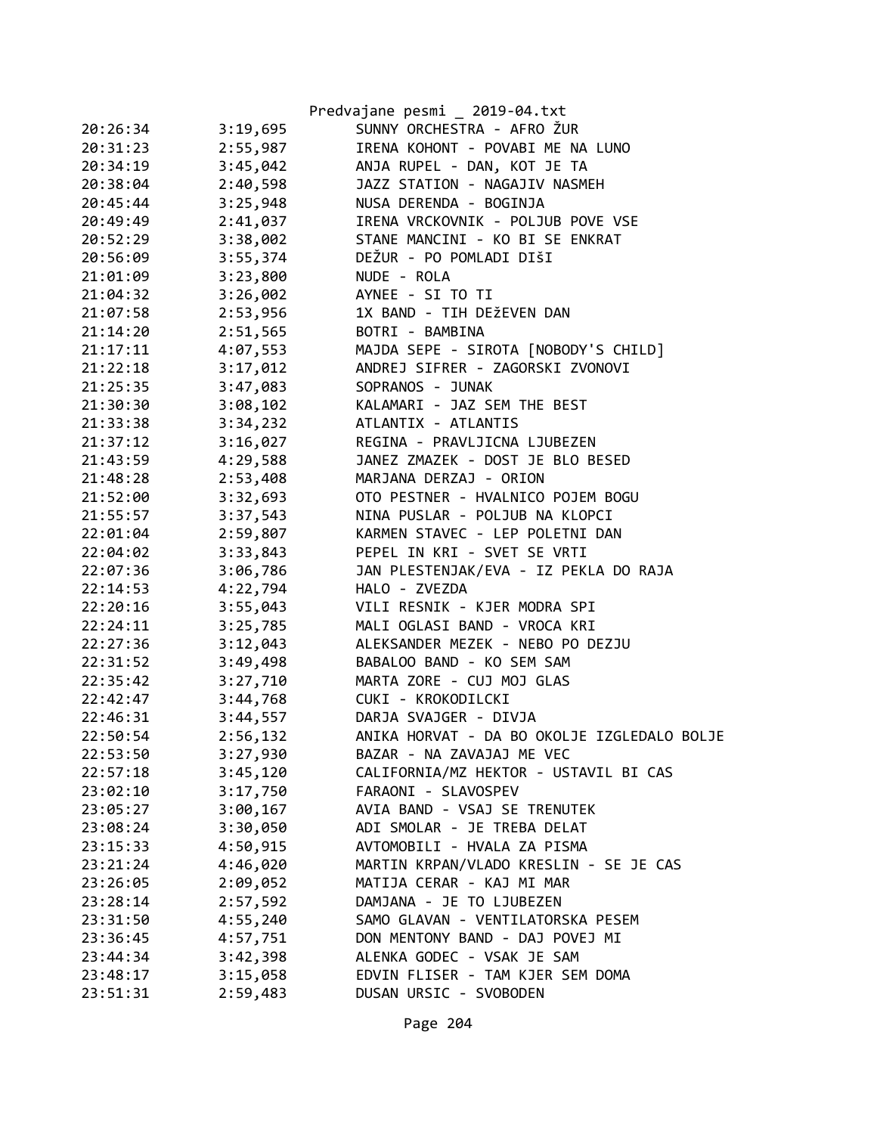|          |          | Predvajane pesmi _ 2019-04.txt              |
|----------|----------|---------------------------------------------|
| 20:26:34 | 3:19,695 | SUNNY ORCHESTRA - AFRO ŽUR                  |
| 20:31:23 | 2:55,987 | IRENA KOHONT - POVABI ME NA LUNO            |
| 20:34:19 | 3:45,042 | ANJA RUPEL - DAN, KOT JE TA                 |
| 20:38:04 | 2:40,598 | JAZZ STATION - NAGAJIV NASMEH               |
| 20:45:44 | 3:25,948 | NUSA DERENDA - BOGINJA                      |
| 20:49:49 | 2:41,037 | IRENA VRCKOVNIK - POLJUB POVE VSE           |
| 20:52:29 | 3:38,002 | STANE MANCINI - KO BI SE ENKRAT             |
| 20:56:09 | 3:55,374 | DEŽUR - PO POMLADI DIŠI                     |
| 21:01:09 | 3:23,800 | NUDE - ROLA                                 |
| 21:04:32 | 3:26,002 | AYNEE - SI TO TI                            |
| 21:07:58 | 2:53,956 | 1X BAND - TIH DEŽEVEN DAN                   |
| 21:14:20 | 2:51,565 | BOTRI - BAMBINA                             |
| 21:17:11 | 4:07,553 | MAJDA SEPE - SIROTA [NOBODY'S CHILD]        |
| 21:22:18 | 3:17,012 | ANDREJ SIFRER - ZAGORSKI ZVONOVI            |
| 21:25:35 | 3:47,083 | SOPRANOS - JUNAK                            |
| 21:30:30 | 3:08,102 | KALAMARI - JAZ SEM THE BEST                 |
| 21:33:38 | 3:34,232 | ATLANTIX - ATLANTIS                         |
| 21:37:12 | 3:16,027 | REGINA - PRAVLJICNA LJUBEZEN                |
| 21:43:59 | 4:29,588 | JANEZ ZMAZEK - DOST JE BLO BESED            |
| 21:48:28 | 2:53,408 | MARJANA DERZAJ - ORION                      |
| 21:52:00 | 3:32,693 | OTO PESTNER - HVALNICO POJEM BOGU           |
| 21:55:57 | 3:37,543 | NINA PUSLAR - POLJUB NA KLOPCI              |
| 22:01:04 | 2:59,807 | KARMEN STAVEC - LEP POLETNI DAN             |
| 22:04:02 | 3:33,843 | PEPEL IN KRI - SVET SE VRTI                 |
| 22:07:36 | 3:06,786 | JAN PLESTENJAK/EVA - IZ PEKLA DO RAJA       |
| 22:14:53 | 4:22,794 | HALO - ZVEZDA                               |
| 22:20:16 | 3:55,043 | VILI RESNIK - KJER MODRA SPI                |
| 22:24:11 | 3:25,785 | MALI OGLASI BAND - VROCA KRI                |
| 22:27:36 | 3:12,043 | ALEKSANDER MEZEK - NEBO PO DEZJU            |
| 22:31:52 | 3:49,498 | BABALOO BAND - KO SEM SAM                   |
| 22:35:42 | 3:27,710 | MARTA ZORE - CUJ MOJ GLAS                   |
| 22:42:47 | 3:44,768 | CUKI - KROKODILCKI                          |
| 22:46:31 | 3:44,557 | DARJA SVAJGER - DIVJA                       |
| 22:50:54 | 2:56,132 | ANIKA HORVAT - DA BO OKOLJE IZGLEDALO BOLJE |
| 22:53:50 | 3:27,930 | BAZAR - NA ZAVAJAJ ME VEC                   |
| 22:57:18 | 3:45,120 | CALIFORNIA/MZ HEKTOR - USTAVIL BI CAS       |
| 23:02:10 | 3:17,750 | FARAONI - SLAVOSPEV                         |
| 23:05:27 | 3:00,167 | AVIA BAND - VSAJ SE TRENUTEK                |
| 23:08:24 | 3:30,050 | ADI SMOLAR - JE TREBA DELAT                 |
| 23:15:33 | 4:50,915 | AVTOMOBILI - HVALA ZA PISMA                 |
| 23:21:24 | 4:46,020 | MARTIN KRPAN/VLADO KRESLIN - SE JE CAS      |
| 23:26:05 | 2:09,052 | MATIJA CERAR - KAJ MI MAR                   |
| 23:28:14 | 2:57,592 | DAMJANA - JE TO LJUBEZEN                    |
| 23:31:50 | 4:55,240 | SAMO GLAVAN - VENTILATORSKA PESEM           |
| 23:36:45 | 4:57,751 | DON MENTONY BAND - DAJ POVEJ MI             |
| 23:44:34 | 3:42,398 | ALENKA GODEC - VSAK JE SAM                  |
| 23:48:17 | 3:15,058 | EDVIN FLISER - TAM KJER SEM DOMA            |
| 23:51:31 | 2:59,483 | DUSAN URSIC - SVOBODEN                      |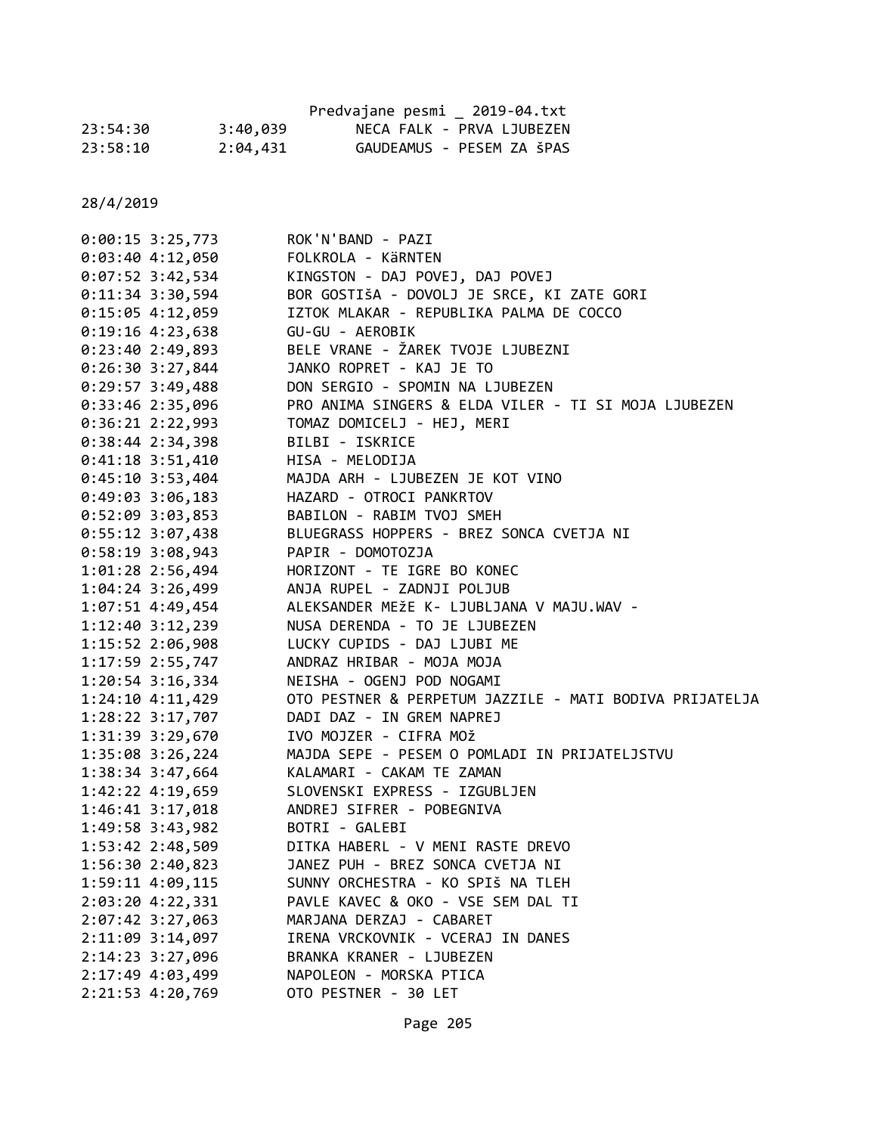|          |          | Predvajane pesmi 2019-04.txt |                           |
|----------|----------|------------------------------|---------------------------|
| 23:54:30 | 3:40,039 |                              | NECA FALK - PRVA LJUBEZEN |
| 23:58:10 | 2:04,431 |                              | GAUDEAMUS - PESEM ZA ŠPAS |

| $0:00:15$ 3:25,773   | ROK'N'BAND - PAZI                                       |
|----------------------|---------------------------------------------------------|
| $0:03:40$ 4:12,050   | FOLKROLA - KÄRNTEN                                      |
| 0:07:52 3:42,534     | KINGSTON - DAJ POVEJ, DAJ POVEJ                         |
| $0:11:34$ 3:30,594   | BOR GOSTIŠA - DOVOLJ JE SRCE, KI ZATE GORI              |
| $0:15:05$ 4:12,059   | IZTOK MLAKAR - REPUBLIKA PALMA DE COCCO                 |
| $0:19:16$ 4:23,638   | GU-GU - AEROBIK                                         |
| 0:23:402:49,893      | BELE VRANE - ŽAREK TVOJE LJUBEZNI                       |
| $0:26:30$ 3:27,844   | JANKO ROPRET - KAJ JE TO                                |
| $0:29:57$ 3:49,488   | DON SERGIO - SPOMIN NA LJUBEZEN                         |
| $0:33:46$ 2:35,096   | PRO ANIMA SINGERS & ELDA VILER - TI SI MOJA LJUBEZEN    |
| $0:36:21$ 2:22,993   | TOMAZ DOMICELJ - HEJ, MERI                              |
| $0:38:44$ 2:34,398   | BILBI - ISKRICE                                         |
| $0:41:18$ 3:51,410   | HISA - MELODIJA                                         |
| $0:45:10$ 3:53,404   | MAJDA ARH - LJUBEZEN JE KOT VINO                        |
| $0:49:03$ 3:06,183   | HAZARD - OTROCI PANKRTOV                                |
| $0:52:09$ 3:03,853   | BABILON - RABIM TVOJ SMEH                               |
| $0:55:12$ 3:07,438   | BLUEGRASS HOPPERS - BREZ SONCA CVETJA NI                |
| $0:58:19$ 3:08,943   | PAPIR - DOMOTOZJA                                       |
| 1:01:28 2:56,494     | HORIZONT - TE IGRE BO KONEC                             |
| $1:04:24$ 3:26,499   | ANJA RUPEL - ZADNJI POLJUB                              |
| $1:07:51$ 4:49,454   | ALEKSANDER MEŽE K- LJUBLJANA V MAJU.WAV -               |
| $1:12:40$ $3:12,239$ | NUSA DERENDA - TO JE LJUBEZEN                           |
| 1:15:52 2:06,908     | LUCKY CUPIDS - DAJ LJUBI ME                             |
| 1:17:59 2:55,747     | ANDRAZ HRIBAR - MOJA MOJA                               |
| $1:20:54$ 3:16,334   | NEISHA - OGENJ POD NOGAMI                               |
| $1:24:10$ $4:11,429$ | OTO PESTNER & PERPETUM JAZZILE - MATI BODIVA PRIJATELJA |
| 1:28:22 3:17,707     | DADI DAZ - IN GREM NAPREJ                               |
| 1:31:39 3:29,670     | IVO MOJZER - CIFRA MOŽ                                  |
| 1:35:08 3:26,224     | MAJDA SEPE - PESEM O POMLADI IN PRIJATELJSTVU           |
| 1:38:34 3:47,664     | KALAMARI - CAKAM TE ZAMAN                               |
| 1:42:22 4:19,659     | SLOVENSKI EXPRESS - IZGUBLJEN                           |
| 1:46:41 3:17,018     | ANDREJ SIFRER - POBEGNIVA                               |
| 1:49:58 3:43,982     | BOTRI - GALEBI                                          |
| 1:53:42 2:48,509     | DITKA HABERL - V MENI RASTE DREVO                       |
| 1:56:30 2:40,823     | JANEZ PUH - BREZ SONCA CVETJA NI                        |
| 1:59:11 4:09,115     | SUNNY ORCHESTRA - KO SPIŠ NA TLEH                       |
| 2:03:20 4:22,331     | PAVLE KAVEC & OKO - VSE SEM DAL TI                      |
| 2:07:42 3:27,063     | MARJANA DERZAJ - CABARET                                |
| 2:11:09 3:14,097     | IRENA VRCKOVNIK - VCERAJ IN DANES                       |
| 2:14:23 3:27,096     | BRANKA KRANER - LJUBEZEN                                |
| 2:17:49 4:03,499     | NAPOLEON - MORSKA PTICA                                 |
| 2:21:53 4:20,769     | OTO PESTNER - 30 LET                                    |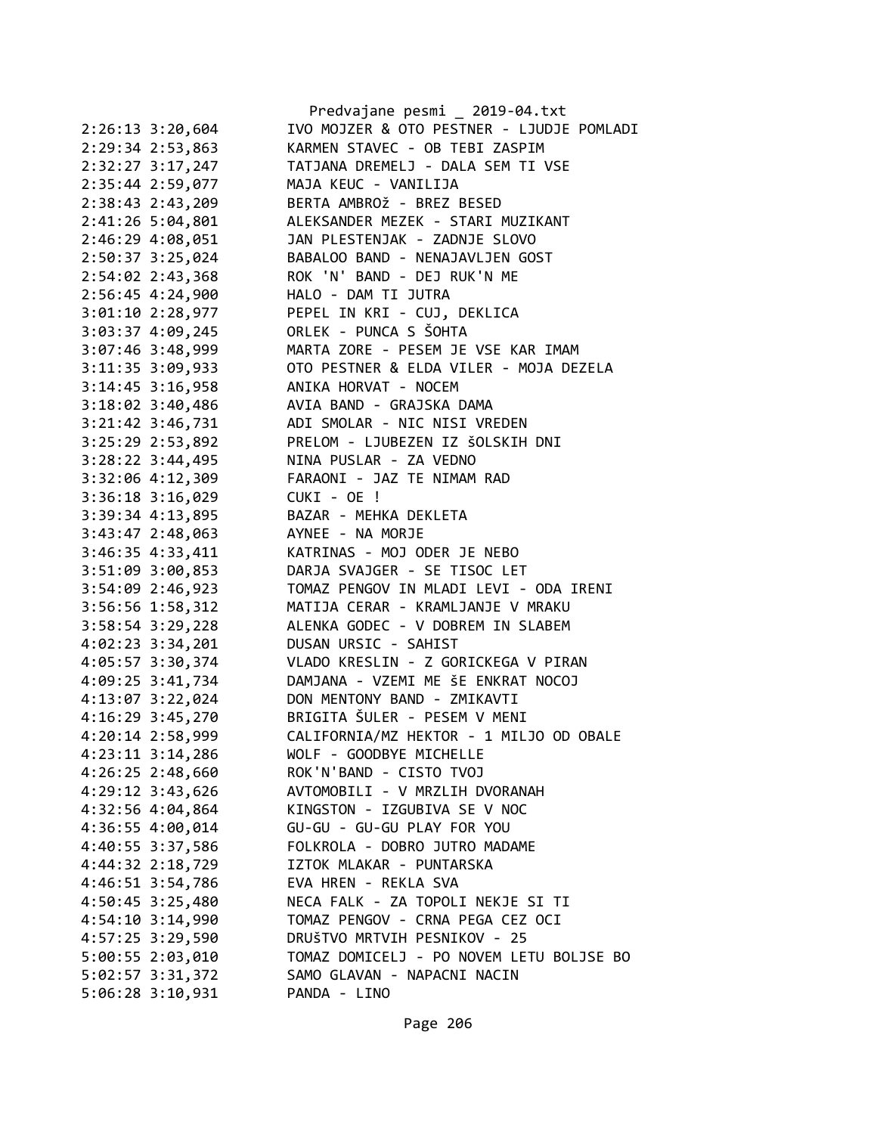|                      | Predvajane pesmi _ 2019-04.txt            |
|----------------------|-------------------------------------------|
| 2:26:13 3:20,604     | IVO MOJZER & OTO PESTNER - LJUDJE POMLADI |
| 2:29:34 2:53,863     | KARMEN STAVEC - OB TEBI ZASPIM            |
| 2:32:27 3:17,247     | TATJANA DREMELJ - DALA SEM TI VSE         |
| 2:35:44 2:59,077     | MAJA KEUC - VANILIJA                      |
| 2:38:43 2:43,209     | BERTA AMBROŽ - BREZ BESED                 |
| 2:41:26 5:04,801     | ALEKSANDER MEZEK - STARI MUZIKANT         |
| 2:46:29 4:08,051     | JAN PLESTENJAK - ZADNJE SLOVO             |
| 2:50:37 3:25,024     | BABALOO BAND - NENAJAVLJEN GOST           |
| 2:54:02 2:43,368     | ROK 'N' BAND - DEJ RUK'N ME               |
| 2:56:45 4:24,900     | HALO - DAM TI JUTRA                       |
| 3:01:10 2:28,977     | PEPEL IN KRI - CUJ, DEKLICA               |
| 3:03:37 4:09,245     | ORLEK - PUNCA S ŠOHTA                     |
| 3:07:46 3:48,999     | MARTA ZORE - PESEM JE VSE KAR IMAM        |
| 3:11:35 3:09,933     | OTO PESTNER & ELDA VILER - MOJA DEZELA    |
| 3:14:45 3:16,958     | ANIKA HORVAT - NOCEM                      |
| 3:18:02 3:40,486     | AVIA BAND - GRAJSKA DAMA                  |
| 3:21:42 3:46,731     | ADI SMOLAR - NIC NISI VREDEN              |
| 3:25:29 2:53,892     | PRELOM - LJUBEZEN IZ ŠOLSKIH DNI          |
| $3:28:22$ $3:44,495$ | NINA PUSLAR - ZA VEDNO                    |
| 3:32:06 4:12,309     | FARAONI - JAZ TE NIMAM RAD                |
| 3:36:18 3:16,029     | CUKI - OE !                               |
| 3:39:34 4:13,895     | BAZAR - MEHKA DEKLETA                     |
| 3:43:47 2:48,063     | AYNEE - NA MORJE                          |
| 3:46:35 4:33,411     | KATRINAS - MOJ ODER JE NEBO               |
| 3:51:09 3:00,853     | DARJA SVAJGER - SE TISOC LET              |
| 3:54:09 2:46,923     | TOMAZ PENGOV IN MLADI LEVI - ODA IRENI    |
| 3:56:56 1:58,312     | MATIJA CERAR - KRAMLJANJE V MRAKU         |
| 3:58:54 3:29,228     | ALENKA GODEC - V DOBREM IN SLABEM         |
| 4:02:23 3:34,201     | DUSAN URSIC - SAHIST                      |
|                      | VLADO KRESLIN - Z GORICKEGA V PIRAN       |
| 4:05:57 3:30,374     | DAMJANA - VZEMI ME ŠE ENKRAT NOCOJ        |
| 4:09:25 3:41,734     | DON MENTONY BAND - ZMIKAVTI               |
| 4:13:07 3:22,024     |                                           |
| 4:16:29 3:45,270     | BRIGITA ŠULER - PESEM V MENI              |
| 4:20:14 2:58,999     | CALIFORNIA/MZ HEKTOR - 1 MILJO OD OBALE   |
| 4:23:11 3:14,286     | WOLF - GOODBYE MICHELLE                   |
| 4:26:25 2:48,660     | ROK'N'BAND - CISTO TVOJ                   |
| 4:29:12 3:43,626     | AVTOMOBILI - V MRZLIH DVORANAH            |
| 4:32:56 4:04,864     | KINGSTON - IZGUBIVA SE V NOC              |
| 4:36:55 4:00,014     | GU-GU - GU-GU PLAY FOR YOU                |
| 4:40:55 3:37,586     | FOLKROLA - DOBRO JUTRO MADAME             |
| 4:44:32 2:18,729     | IZTOK MLAKAR - PUNTARSKA                  |
| 4:46:51 3:54,786     | EVA HREN - REKLA SVA                      |
| 4:50:45 3:25,480     | NECA FALK - ZA TOPOLI NEKJE SI TI         |
| 4:54:10 3:14,990     | TOMAZ PENGOV - CRNA PEGA CEZ OCI          |
| 4:57:25 3:29,590     | DRUŠTVO MRTVIH PESNIKOV - 25              |
| 5:00:55 2:03,010     | TOMAZ DOMICELJ - PO NOVEM LETU BOLJSE BO  |
| 5:02:57 3:31,372     | SAMO GLAVAN - NAPACNI NACIN               |
| 5:06:28 3:10,931     | PANDA - LINO                              |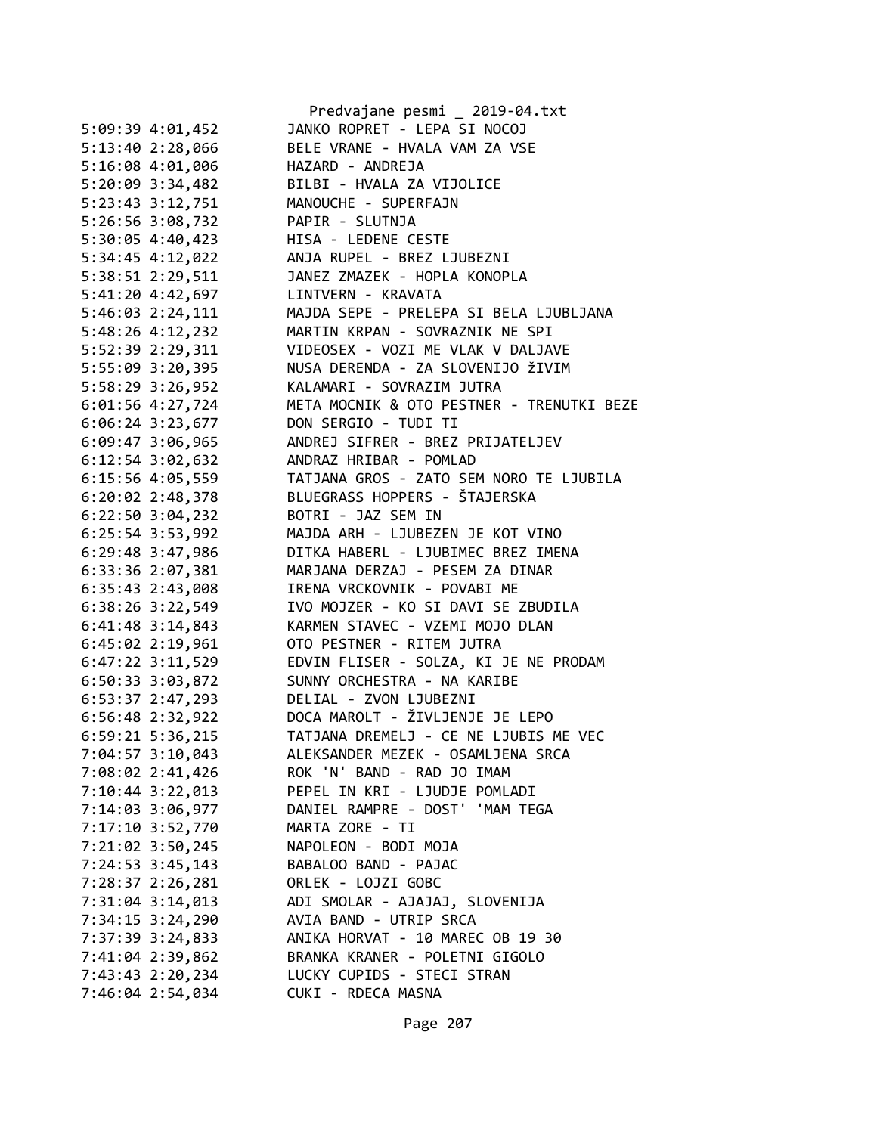|                      | Predvajane pesmi _ 2019-04.txt<br>JANKO ROPRET - LEPA SI NOCOJ |
|----------------------|----------------------------------------------------------------|
| 5:09:39 4:01,452     |                                                                |
| 5:13:40 2:28,066     | BELE VRANE - HVALA VAM ZA VSE                                  |
| $5:16:08$ 4:01,006   | HAZARD - ANDREJA                                               |
| $5:20:09$ 3:34,482   | BILBI - HVALA ZA VIJOLICE                                      |
| 5:23:43 3:12,751     | MANOUCHE - SUPERFAJN                                           |
| 5:26:56 3:08,732     | PAPIR - SLUTNJA                                                |
| 5:30:05 4:40,423     | HISA - LEDENE CESTE                                            |
| 5:34:45 4:12,022     | ANJA RUPEL - BREZ LJUBEZNI                                     |
| 5:38:51 2:29,511     | JANEZ ZMAZEK - HOPLA KONOPLA                                   |
| 5:41:20 4:42,697     | LINTVERN - KRAVATA                                             |
| $5:46:03$ $2:24,111$ | MAJDA SEPE - PRELEPA SI BELA LJUBLJANA                         |
| 5:48:26 4:12,232     | MARTIN KRPAN - SOVRAZNIK NE SPI                                |
| 5:52:39 2:29,311     | VIDEOSEX - VOZI ME VLAK V DALJAVE                              |
| 5:55:09 3:20,395     | NUSA DERENDA - ZA SLOVENIJO ŽIVIM                              |
| 5:58:29 3:26,952     | KALAMARI - SOVRAZIM JUTRA                                      |
| $6:01:56$ 4:27,724   | META MOCNIK & OTO PESTNER - TRENUTKI BEZE                      |
| 6:06:24 3:23,677     | DON SERGIO - TUDI TI                                           |
| $6:09:47$ 3:06,965   | ANDREJ SIFRER - BREZ PRIJATELJEV                               |
| $6:12:54$ $3:02,632$ | ANDRAZ HRIBAR - POMLAD                                         |
| 6:15:56 4:05,559     | TATJANA GROS - ZATO SEM NORO TE LJUBILA                        |
| 6:20:02 2:48,378     | BLUEGRASS HOPPERS - ŠTAJERSKA                                  |
| 6:22:50 3:04,232     | BOTRI - JAZ SEM IN                                             |
| 6:25:54 3:53,992     | MAJDA ARH - LJUBEZEN JE KOT VINO                               |
| 6:29:48 3:47,986     | DITKA HABERL - LJUBIMEC BREZ IMENA                             |
| 6:33:36 2:07,381     | MARJANA DERZAJ - PESEM ZA DINAR                                |
| $6:35:43$ 2:43,008   | IRENA VRCKOVNIK - POVABI ME                                    |
| 6:38:26 3:22,549     | IVO MOJZER - KO SI DAVI SE ZBUDILA                             |
| $6:41:48$ 3:14,843   | KARMEN STAVEC - VZEMI MOJO DLAN                                |
| $6:45:02$ 2:19,961   | OTO PESTNER - RITEM JUTRA                                      |
| $6:47:22$ $3:11,529$ | EDVIN FLISER - SOLZA, KI JE NE PRODAM                          |
| $6:50:33$ $3:03,872$ | SUNNY ORCHESTRA - NA KARIBE                                    |
| 6:53:37 2:47,293     | DELIAL - ZVON LJUBEZNI                                         |
| 6:56:48 2:32,922     | DOCA MAROLT - ŽIVLJENJE JE LEPO                                |
| 6:59:21 5:36,215     | TATJANA DREMELJ - CE NE LJUBIS ME VEC                          |
| 7:04:57 3:10,043     | ALEKSANDER MEZEK - OSAMLJENA SRCA                              |
| 7:08:02 2:41,426     | ROK 'N' BAND - RAD JO IMAM                                     |
| $7:10:44$ 3:22,013   | PEPEL IN KRI - LJUDJE POMLADI                                  |
| 7:14:03 3:06,977     | DANIEL RAMPRE - DOST' 'MAM TEGA                                |
| 7:17:10 3:52,770     | MARTA ZORE - TI                                                |
| 7:21:02 3:50,245     | NAPOLEON - BODI MOJA                                           |
| 7:24:53 3:45,143     | BABALOO BAND - PAJAC                                           |
| 7:28:37 2:26,281     | ORLEK - LOJZI GOBC                                             |
| 7:31:04 3:14,013     | ADI SMOLAR - AJAJAJ, SLOVENIJA                                 |
|                      | AVIA BAND - UTRIP SRCA                                         |
| 7:34:15 3:24,290     |                                                                |
| 7:37:39 3:24,833     | ANIKA HORVAT - 10 MAREC OB 19 30                               |
| 7:41:04 2:39,862     | BRANKA KRANER - POLETNI GIGOLO                                 |
| 7:43:43 2:20,234     | LUCKY CUPIDS - STECI STRAN                                     |
| 7:46:04 2:54,034     | CUKI - RDECA MASNA                                             |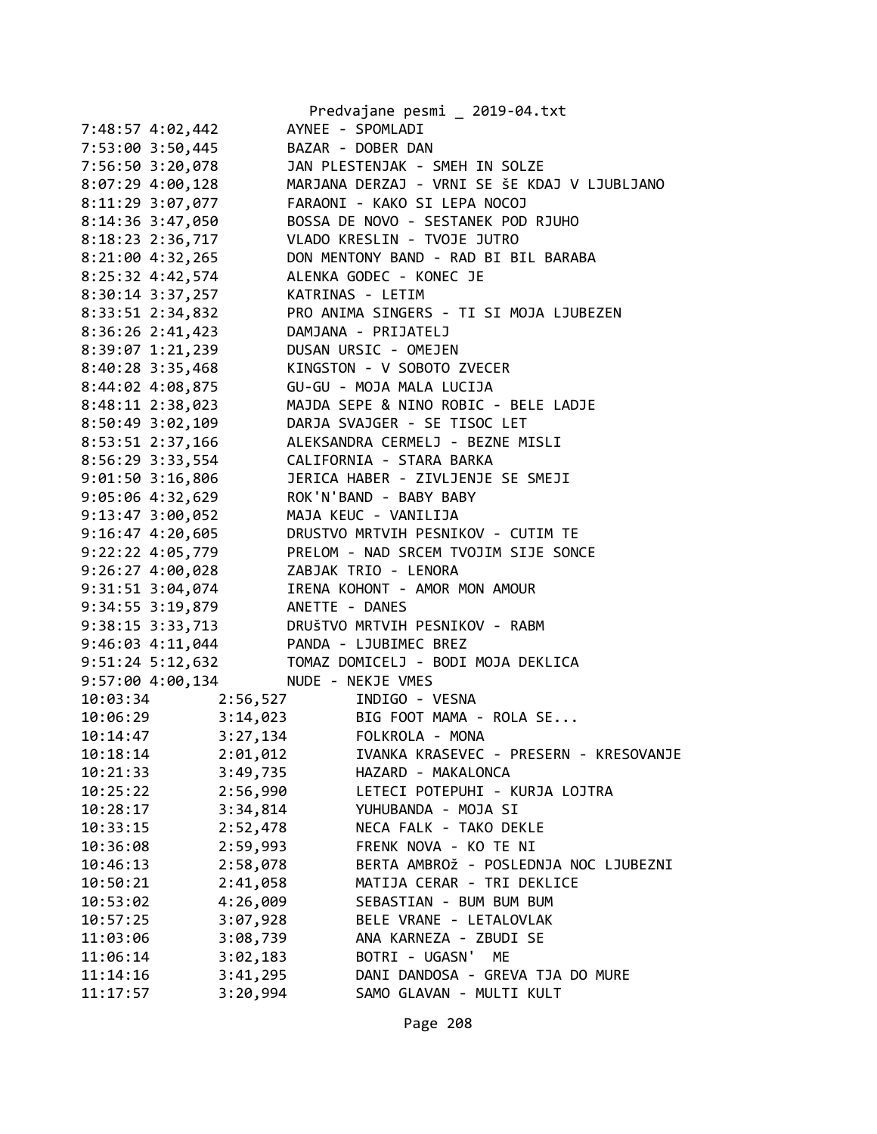|                      |                                 | Predvajane pesmi _ 2019-04.txt                 |
|----------------------|---------------------------------|------------------------------------------------|
| 7:48:57 4:02,442     |                                 | AYNEE - SPOMLADI                               |
|                      | 7:53:00 3:50,445                | BAZAR - DOBER DAN                              |
|                      | 7:56:50 3:20,078                | JAN PLESTENJAK - SMEH IN SOLZE                 |
| $8:07:29$ 4:00,128   |                                 | MARJANA DERZAJ - VRNI SE ŠE KDAJ V LJUBLJANO   |
|                      | 8:11:29 3:07,077                | FARAONI - KAKO SI LEPA NOCOJ                   |
| 8:14:36 3:47,050     |                                 | BOSSA DE NOVO - SESTANEK POD RJUHO             |
| 8:18:23 2:36,717     |                                 | VLADO KRESLIN - TVOJE JUTRO                    |
| 8:21:00 4:32,265     |                                 | DON MENTONY BAND - RAD BI BIL BARABA           |
| 8:25:32 4:42,574     |                                 | ALENKA GODEC - KONEC JE                        |
| 8:30:14 3:37,257     |                                 | KATRINAS - LETIM                               |
| 8:33:51 2:34,832     |                                 | PRO ANIMA SINGERS - TI SI MOJA LJUBEZEN        |
|                      | 8:36:26 2:41,423                | DAMJANA - PRIJATELJ                            |
|                      | 8:39:07 1:21,239                | DUSAN URSIC - OMEJEN                           |
| 8:40:28 3:35,468     |                                 | KINGSTON - V SOBOTO ZVECER                     |
| 8:44:02 4:08,875     |                                 | GU-GU - MOJA MALA LUCIJA                       |
| 8:48:11 2:38,023     |                                 | MAJDA SEPE & NINO ROBIC - BELE LADJE           |
| $8:50:49$ 3:02,109   |                                 | DARJA SVAJGER - SE TISOC LET                   |
|                      | 8:53:51 2:37,166                | ALEKSANDRA CERMELJ - BEZNE MISLI               |
|                      |                                 | 8:56:29 3:33,554 CALIFORNIA - STARA BARKA      |
| $9:01:50$ 3:16,806   |                                 | JERICA HABER - ZIVLJENJE SE SMEJI              |
| $9:05:06$ 4:32,629   |                                 | ROK'N'BAND - BABY BABY                         |
|                      | $9:13:47$ $3:00,052$            | MAJA KEUC - VANILIJA                           |
| $9:16:47$ $4:20,605$ |                                 | DRUSTVO MRTVIH PESNIKOV - CUTIM TE             |
| $9:22:22$ $4:05,779$ |                                 | PRELOM - NAD SRCEM TVOJIM SIJE SONCE           |
|                      |                                 | 9:26:27 4:00,028 ZABJAK TRIO - LENORA          |
|                      |                                 | 9:31:51 3:04,074 IRENA KOHONT - AMOR MON AMOUR |
|                      | 9:34:55 3:19,879 ANETTE - DANES |                                                |
|                      | 9:38:15 3:33,713                | DRUŠTVO MRTVIH PESNIKOV - RABM                 |
|                      |                                 | 9:46:03 4:11,044 PANDA - LJUBIMEC BREZ         |
|                      |                                 |                                                |
| 9:57:00 4:00,134     |                                 | NUDE - NEKJE VMES                              |
|                      |                                 | INDIGO - VESNA                                 |
| 10:03:34             | 2:56,527                        | 3:14,023 BIG FOOT MAMA - ROLA SE               |
| 10:06:29             |                                 | 3:27,134 FOLKROLA - MONA                       |
| 10:14:47<br>10:18:14 | 2:01,012                        | IVANKA KRASEVEC - PRESERN - KRESOVANJE         |
|                      |                                 | HAZARD - MAKALONCA                             |
| 10:21:33             | 3:49,735                        |                                                |
| 10:25:22             | 2:56,990                        | LETECI POTEPUHI - KURJA LOJTRA                 |
| 10:28:17             | 3:34,814                        | YUHUBANDA - MOJA SI                            |
| 10:33:15             | 2:52,478                        | NECA FALK - TAKO DEKLE                         |
| 10:36:08             | 2:59,993                        | FRENK NOVA - KO TE NI                          |
| 10:46:13             | 2:58,078                        | BERTA AMBROŽ - POSLEDNJA NOC LJUBEZNI          |
| 10:50:21             | 2:41,058                        | MATIJA CERAR - TRI DEKLICE                     |
| 10:53:02             | 4:26,009                        | SEBASTIAN - BUM BUM BUM                        |
| 10:57:25             | 3:07,928                        | BELE VRANE - LETALOVLAK                        |
| 11:03:06             | 3:08,739                        | ANA KARNEZA - ZBUDI SE                         |
| 11:06:14             | 3:02,183                        | BOTRI - UGASN'<br>МE                           |
| 11:14:16             | 3:41,295                        | DANI DANDOSA - GREVA TJA DO MURE               |
| 11:17:57             | 3:20,994                        | SAMO GLAVAN - MULTI KULT                       |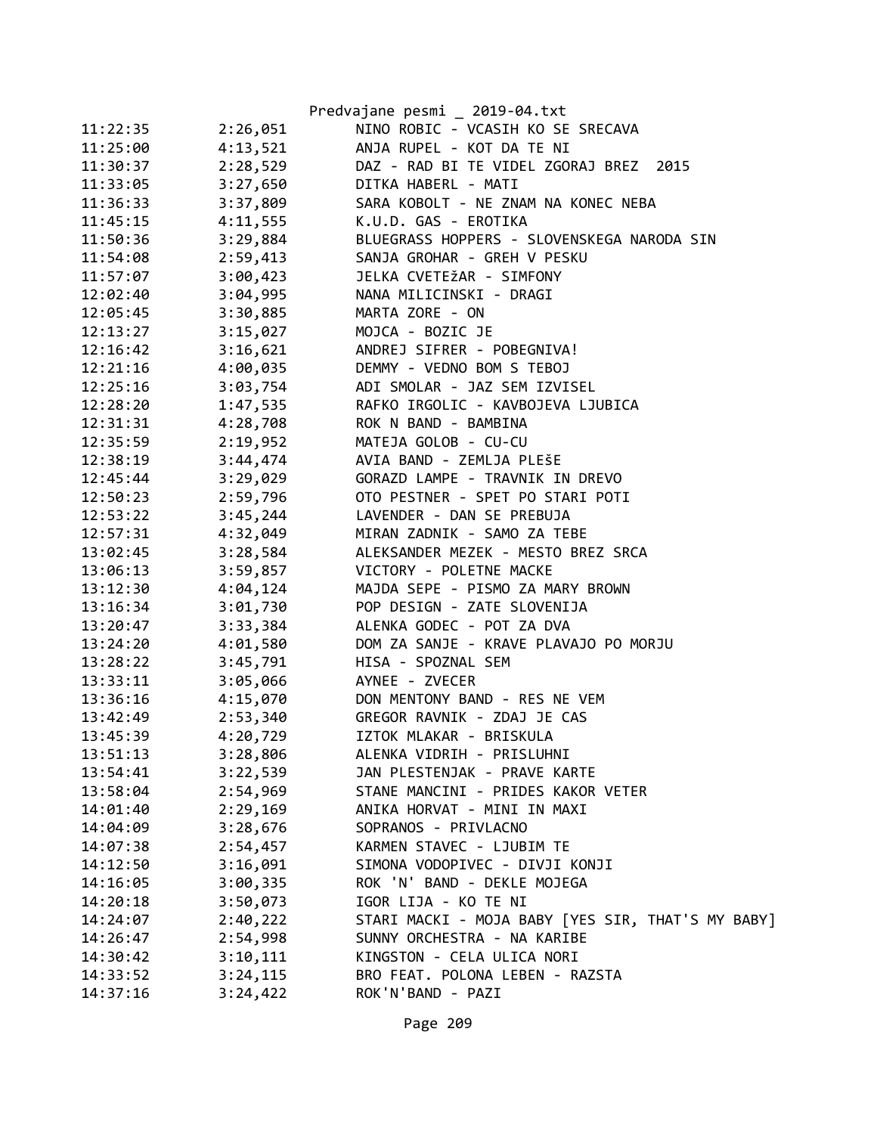|          |          | Predvajane pesmi _ 2019-04.txt                    |
|----------|----------|---------------------------------------------------|
| 11:22:35 | 2:26,051 | NINO ROBIC - VCASIH KO SE SRECAVA                 |
| 11:25:00 | 4:13,521 | ANJA RUPEL - KOT DA TE NI                         |
| 11:30:37 | 2:28,529 | DAZ - RAD BI TE VIDEL ZGORAJ BREZ 2015            |
| 11:33:05 | 3:27,650 | DITKA HABERL - MATI                               |
| 11:36:33 | 3:37,809 | SARA KOBOLT - NE ZNAM NA KONEC NEBA               |
| 11:45:15 | 4:11,555 | K.U.D. GAS - EROTIKA                              |
| 11:50:36 | 3:29,884 | BLUEGRASS HOPPERS - SLOVENSKEGA NARODA SIN        |
| 11:54:08 | 2:59,413 | SANJA GROHAR - GREH V PESKU                       |
| 11:57:07 | 3:00,423 | JELKA CVETEŽAR - SIMFONY                          |
| 12:02:40 | 3:04,995 | NANA MILICINSKI - DRAGI                           |
| 12:05:45 | 3:30,885 | MARTA ZORE - ON                                   |
| 12:13:27 | 3:15,027 | MOJCA - BOZIC JE                                  |
| 12:16:42 | 3:16,621 | ANDREJ SIFRER - POBEGNIVA!                        |
| 12:21:16 | 4:00,035 | DEMMY - VEDNO BOM S TEBOJ                         |
| 12:25:16 | 3:03,754 | ADI SMOLAR - JAZ SEM IZVISEL                      |
| 12:28:20 | 1:47,535 | RAFKO IRGOLIC - KAVBOJEVA LJUBICA                 |
| 12:31:31 | 4:28,708 | ROK N BAND - BAMBINA                              |
| 12:35:59 | 2:19,952 | MATEJA GOLOB - CU-CU                              |
| 12:38:19 | 3:44,474 | AVIA BAND - ZEMLJA PLEŠE                          |
| 12:45:44 | 3:29,029 | GORAZD LAMPE - TRAVNIK IN DREVO                   |
| 12:50:23 | 2:59,796 | OTO PESTNER - SPET PO STARI POTI                  |
| 12:53:22 | 3:45,244 | LAVENDER - DAN SE PREBUJA                         |
| 12:57:31 | 4:32,049 | MIRAN ZADNIK - SAMO ZA TEBE                       |
| 13:02:45 | 3:28,584 | ALEKSANDER MEZEK - MESTO BREZ SRCA                |
| 13:06:13 | 3:59,857 | VICTORY - POLETNE MACKE                           |
| 13:12:30 | 4:04,124 | MAJDA SEPE - PISMO ZA MARY BROWN                  |
| 13:16:34 | 3:01,730 | POP DESIGN - ZATE SLOVENIJA                       |
| 13:20:47 | 3:33,384 | ALENKA GODEC - POT ZA DVA                         |
| 13:24:20 | 4:01,580 | DOM ZA SANJE - KRAVE PLAVAJO PO MORJU             |
| 13:28:22 | 3:45,791 | HISA - SPOZNAL SEM                                |
| 13:33:11 | 3:05,066 | AYNEE - ZVECER                                    |
| 13:36:16 | 4:15,070 | DON MENTONY BAND - RES NE VEM                     |
| 13:42:49 | 2:53,340 | GREGOR RAVNIK - ZDAJ JE CAS                       |
| 13:45:39 | 4:20,729 | IZTOK MLAKAR - BRISKULA                           |
| 13:51:13 | 3:28,806 | ALENKA VIDRIH - PRISLUHNI                         |
| 13:54:41 | 3:22,539 | JAN PLESTENJAK - PRAVE KARTE                      |
| 13:58:04 | 2:54,969 | STANE MANCINI - PRIDES KAKOR VETER                |
| 14:01:40 | 2:29,169 | ANIKA HORVAT - MINI IN MAXI                       |
| 14:04:09 | 3:28,676 | SOPRANOS - PRIVLACNO                              |
| 14:07:38 | 2:54,457 | KARMEN STAVEC - LJUBIM TE                         |
| 14:12:50 | 3:16,091 | SIMONA VODOPIVEC - DIVJI KONJI                    |
| 14:16:05 | 3:00,335 | ROK 'N' BAND - DEKLE MOJEGA                       |
| 14:20:18 | 3:50,073 | IGOR LIJA - KO TE NI                              |
| 14:24:07 | 2:40,222 | STARI MACKI - MOJA BABY [YES SIR, THAT'S MY BABY] |
| 14:26:47 | 2:54,998 | SUNNY ORCHESTRA - NA KARIBE                       |
| 14:30:42 | 3:10,111 | KINGSTON - CELA ULICA NORI                        |
| 14:33:52 | 3:24,115 | BRO FEAT. POLONA LEBEN - RAZSTA                   |
| 14:37:16 | 3:24,422 | ROK'N'BAND - PAZI                                 |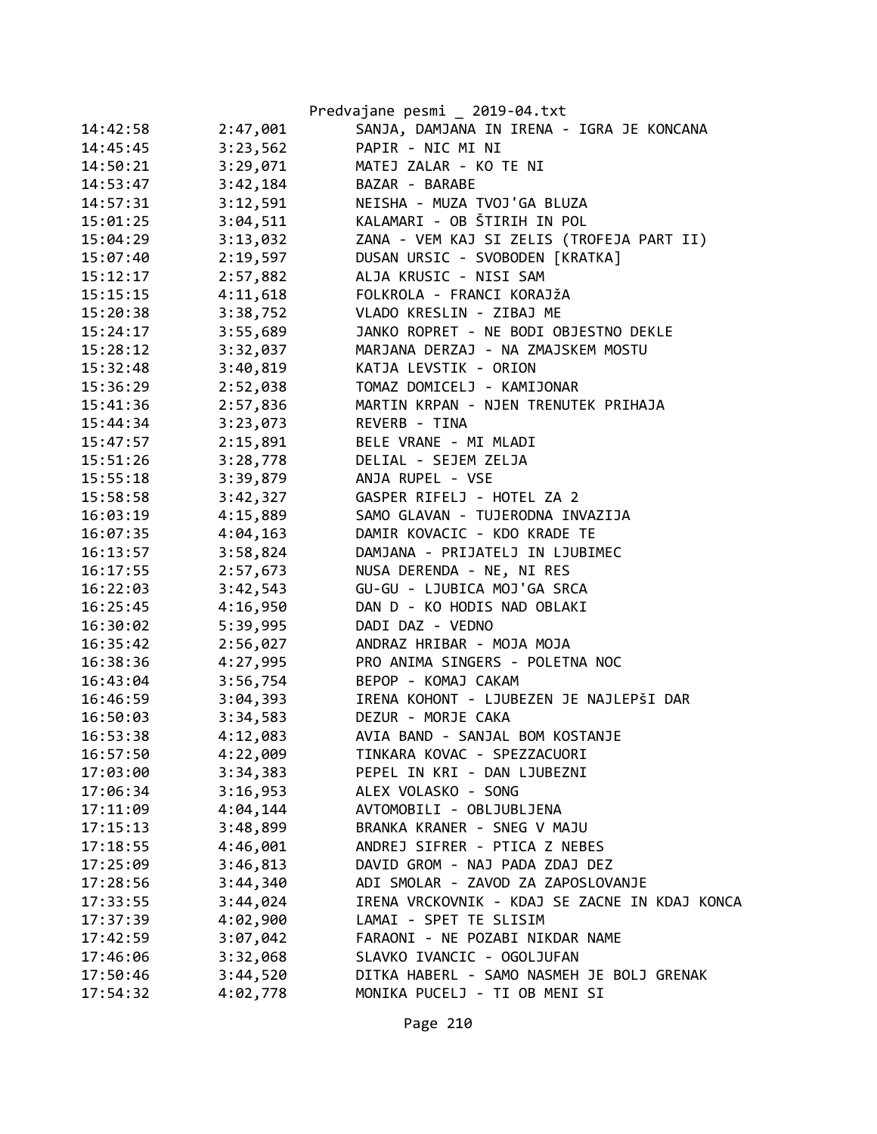|          |          | Predvajane pesmi _ 2019-04.txt                |
|----------|----------|-----------------------------------------------|
| 14:42:58 | 2:47,001 | SANJA, DAMJANA IN IRENA - IGRA JE KONCANA     |
| 14:45:45 | 3:23,562 | PAPIR - NIC MI NI                             |
| 14:50:21 | 3:29,071 | MATEJ ZALAR - KO TE NI                        |
| 14:53:47 | 3:42,184 | BAZAR - BARABE                                |
| 14:57:31 | 3:12,591 | NEISHA - MUZA TVOJ'GA BLUZA                   |
| 15:01:25 | 3:04,511 | KALAMARI - OB ŠTIRIH IN POL                   |
| 15:04:29 | 3:13,032 | ZANA - VEM KAJ SI ZELIS (TROFEJA PART II)     |
| 15:07:40 | 2:19,597 | DUSAN URSIC - SVOBODEN [KRATKA]               |
| 15:12:17 | 2:57,882 | ALJA KRUSIC - NISI SAM                        |
| 15:15:15 | 4:11,618 | FOLKROLA - FRANCI KORAJŽA                     |
| 15:20:38 | 3:38,752 | VLADO KRESLIN - ZIBAJ ME                      |
| 15:24:17 | 3:55,689 | JANKO ROPRET - NE BODI OBJESTNO DEKLE         |
| 15:28:12 | 3:32,037 | MARJANA DERZAJ - NA ZMAJSKEM MOSTU            |
| 15:32:48 | 3:40,819 | KATJA LEVSTIK - ORION                         |
| 15:36:29 | 2:52,038 | TOMAZ DOMICELJ - KAMIJONAR                    |
| 15:41:36 | 2:57,836 | MARTIN KRPAN - NJEN TRENUTEK PRIHAJA          |
| 15:44:34 | 3:23,073 | REVERB - TINA                                 |
| 15:47:57 | 2:15,891 | BELE VRANE - MI MLADI                         |
| 15:51:26 | 3:28,778 | DELIAL - SEJEM ZELJA                          |
| 15:55:18 | 3:39,879 | ANJA RUPEL - VSE                              |
| 15:58:58 | 3:42,327 | GASPER RIFELJ - HOTEL ZA 2                    |
| 16:03:19 | 4:15,889 | SAMO GLAVAN - TUJERODNA INVAZIJA              |
| 16:07:35 | 4:04,163 | DAMIR KOVACIC - KDO KRADE TE                  |
| 16:13:57 | 3:58,824 | DAMJANA - PRIJATELJ IN LJUBIMEC               |
| 16:17:55 | 2:57,673 | NUSA DERENDA - NE, NI RES                     |
| 16:22:03 | 3:42,543 | GU-GU - LJUBICA MOJ'GA SRCA                   |
| 16:25:45 | 4:16,950 | DAN D - KO HODIS NAD OBLAKI                   |
| 16:30:02 | 5:39,995 | DADI DAZ - VEDNO                              |
| 16:35:42 | 2:56,027 | ANDRAZ HRIBAR - MOJA MOJA                     |
| 16:38:36 | 4:27,995 | PRO ANIMA SINGERS - POLETNA NOC               |
| 16:43:04 | 3:56,754 | BEPOP - KOMAJ CAKAM                           |
| 16:46:59 | 3:04,393 | IRENA KOHONT - LJUBEZEN JE NAJLEPŠI DAR       |
| 16:50:03 | 3:34,583 | DEZUR - MORJE CAKA                            |
| 16:53:38 | 4:12,083 | AVIA BAND - SANJAL BOM KOSTANJE               |
| 16:57:50 | 4:22,009 | TINKARA KOVAC - SPEZZACUORI                   |
| 17:03:00 | 3:34,383 | PEPEL IN KRI - DAN LJUBEZNI                   |
| 17:06:34 | 3:16,953 | ALEX VOLASKO - SONG                           |
| 17:11:09 | 4:04,144 | AVTOMOBILI - OBLJUBLJENA                      |
| 17:15:13 | 3:48,899 | BRANKA KRANER - SNEG V MAJU                   |
| 17:18:55 | 4:46,001 | ANDREJ SIFRER - PTICA Z NEBES                 |
| 17:25:09 | 3:46,813 | DAVID GROM - NAJ PADA ZDAJ DEZ                |
| 17:28:56 | 3:44,340 | ADI SMOLAR - ZAVOD ZA ZAPOSLOVANJE            |
| 17:33:55 | 3:44,024 | IRENA VRCKOVNIK - KDAJ SE ZACNE IN KDAJ KONCA |
| 17:37:39 | 4:02,900 | LAMAI - SPET TE SLISIM                        |
| 17:42:59 | 3:07,042 | FARAONI - NE POZABI NIKDAR NAME               |
| 17:46:06 | 3:32,068 | SLAVKO IVANCIC - OGOLJUFAN                    |
| 17:50:46 | 3:44,520 | DITKA HABERL - SAMO NASMEH JE BOLJ GRENAK     |
| 17:54:32 | 4:02,778 | MONIKA PUCELJ - TI OB MENI SI                 |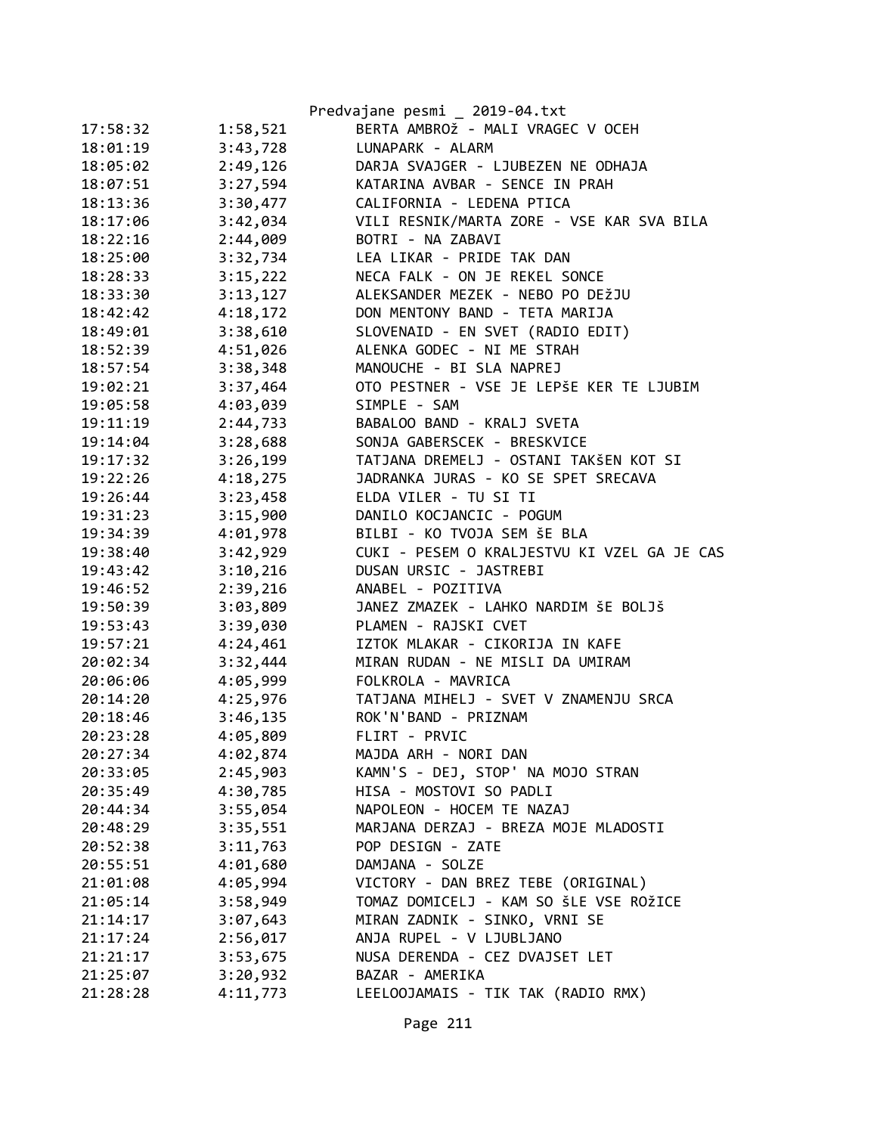|          |          | Predvajane pesmi _ 2019-04.txt              |
|----------|----------|---------------------------------------------|
| 17:58:32 | 1:58,521 | BERTA AMBROŽ - MALI VRAGEC V OCEH           |
| 18:01:19 | 3:43,728 | LUNAPARK - ALARM                            |
| 18:05:02 | 2:49,126 | DARJA SVAJGER - LJUBEZEN NE ODHAJA          |
| 18:07:51 | 3:27,594 | KATARINA AVBAR - SENCE IN PRAH              |
| 18:13:36 | 3:30,477 | CALIFORNIA - LEDENA PTICA                   |
| 18:17:06 | 3:42,034 | VILI RESNIK/MARTA ZORE - VSE KAR SVA BILA   |
| 18:22:16 | 2:44,009 | BOTRI - NA ZABAVI                           |
| 18:25:00 | 3:32,734 | LEA LIKAR - PRIDE TAK DAN                   |
| 18:28:33 | 3:15,222 | NECA FALK - ON JE REKEL SONCE               |
| 18:33:30 | 3:13,127 | ALEKSANDER MEZEK - NEBO PO DEŽJU            |
| 18:42:42 | 4:18,172 | DON MENTONY BAND - TETA MARIJA              |
| 18:49:01 | 3:38,610 | SLOVENAID - EN SVET (RADIO EDIT)            |
| 18:52:39 | 4:51,026 | ALENKA GODEC - NI ME STRAH                  |
| 18:57:54 | 3:38,348 | MANOUCHE - BI SLA NAPREJ                    |
| 19:02:21 | 3:37,464 | OTO PESTNER - VSE JE LEPŠE KER TE LJUBIM    |
| 19:05:58 | 4:03,039 | SIMPLE - SAM                                |
| 19:11:19 | 2:44,733 | BABALOO BAND - KRALJ SVETA                  |
| 19:14:04 | 3:28,688 | SONJA GABERSCEK - BRESKVICE                 |
| 19:17:32 | 3:26,199 | TATJANA DREMELJ - OSTANI TAKŠEN KOT SI      |
| 19:22:26 | 4:18,275 | JADRANKA JURAS - KO SE SPET SRECAVA         |
| 19:26:44 | 3:23,458 | ELDA VILER - TU SI TI                       |
| 19:31:23 | 3:15,900 | DANILO KOCJANCIC - POGUM                    |
| 19:34:39 | 4:01,978 | BILBI - KO TVOJA SEM ŠE BLA                 |
| 19:38:40 | 3:42,929 | CUKI - PESEM O KRALJESTVU KI VZEL GA JE CAS |
| 19:43:42 | 3:10,216 | DUSAN URSIC - JASTREBI                      |
| 19:46:52 | 2:39,216 | ANABEL - POZITIVA                           |
| 19:50:39 | 3:03,809 | JANEZ ZMAZEK - LAHKO NARDIM ŠE BOLJŠ        |
| 19:53:43 | 3:39,030 | PLAMEN - RAJSKI CVET                        |
| 19:57:21 | 4:24,461 | IZTOK MLAKAR - CIKORIJA IN KAFE             |
| 20:02:34 | 3:32,444 | MIRAN RUDAN - NE MISLI DA UMIRAM            |
| 20:06:06 | 4:05,999 | FOLKROLA - MAVRICA                          |
| 20:14:20 | 4:25,976 | TATJANA MIHELJ - SVET V ZNAMENJU SRCA       |
| 20:18:46 | 3:46,135 | ROK'N'BAND - PRIZNAM                        |
| 20:23:28 | 4:05,809 | FLIRT - PRVIC                               |
| 20:27:34 | 4:02,874 | MAJDA ARH - NORI DAN                        |
| 20:33:05 | 2:45,903 | KAMN'S - DEJ, STOP' NA MOJO STRAN           |
| 20:35:49 | 4:30,785 | HISA - MOSTOVI SO PADLI                     |
| 20:44:34 | 3:55,054 | NAPOLEON - HOCEM TE NAZAJ                   |
| 20:48:29 | 3:35,551 | MARJANA DERZAJ - BREZA MOJE MLADOSTI        |
| 20:52:38 | 3:11,763 | POP DESIGN - ZATE                           |
| 20:55:51 | 4:01,680 | DAMJANA - SOLZE                             |
| 21:01:08 | 4:05,994 | VICTORY - DAN BREZ TEBE (ORIGINAL)          |
| 21:05:14 | 3:58,949 | TOMAZ DOMICELJ - KAM SO ŠLE VSE ROŽICE      |
| 21:14:17 | 3:07,643 | MIRAN ZADNIK - SINKO, VRNI SE               |
| 21:17:24 | 2:56,017 | ANJA RUPEL - V LJUBLJANO                    |
| 21:21:17 | 3:53,675 | NUSA DERENDA - CEZ DVAJSET LET              |
| 21:25:07 | 3:20,932 | BAZAR - AMERIKA                             |
| 21:28:28 | 4:11,773 | LEELOOJAMAIS - TIK TAK (RADIO RMX)          |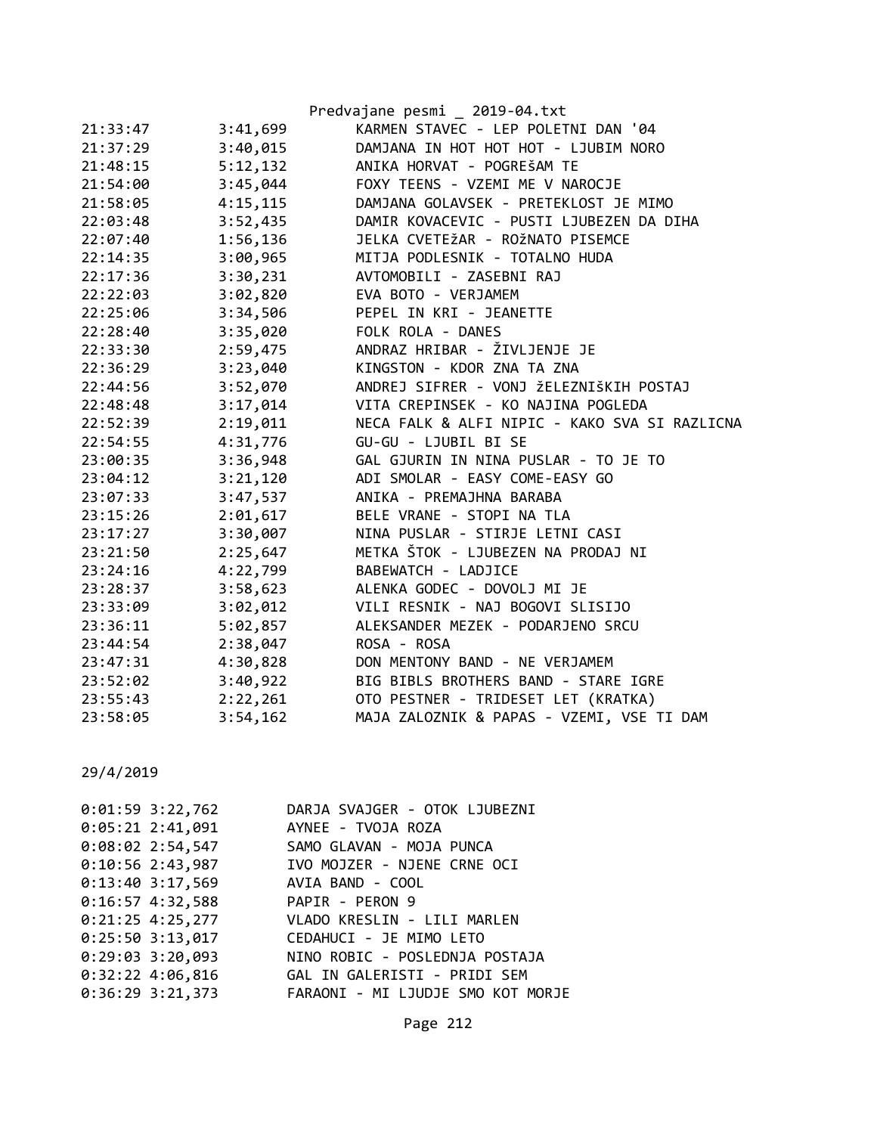|          |          | Predvajane pesmi _ 2019-04.txt                |
|----------|----------|-----------------------------------------------|
| 21:33:47 | 3:41,699 | KARMEN STAVEC - LEP POLETNI DAN '04           |
| 21:37:29 | 3:40,015 | DAMJANA IN HOT HOT HOT - LJUBIM NORO          |
| 21:48:15 | 5:12,132 | ANIKA HORVAT - POGREŠAM TE                    |
| 21:54:00 | 3:45,044 | FOXY TEENS - VZEMI ME V NAROCJE               |
| 21:58:05 | 4:15,115 | DAMJANA GOLAVSEK - PRETEKLOST JE MIMO         |
| 22:03:48 | 3:52,435 | DAMIR KOVACEVIC - PUSTI LJUBEZEN DA DIHA      |
| 22:07:40 | 1:56,136 | JELKA CVETEŽAR - ROŽNATO PISEMCE              |
| 22:14:35 | 3:00,965 | MITJA PODLESNIK - TOTALNO HUDA                |
| 22:17:36 | 3:30,231 | AVTOMOBILI - ZASEBNI RAJ                      |
| 22:22:03 | 3:02,820 | EVA BOTO - VERJAMEM                           |
| 22:25:06 | 3:34,506 | PEPEL IN KRI - JEANETTE                       |
| 22:28:40 | 3:35,020 | FOLK ROLA - DANES                             |
| 22:33:30 | 2:59,475 | ANDRAZ HRIBAR - ŽIVLJENJE JE                  |
| 22:36:29 | 3:23,040 | KINGSTON - KDOR ZNA TA ZNA                    |
| 22:44:56 | 3:52,070 | ANDREJ SIFRER - VONJ ŽELEZNIŠKIH POSTAJ       |
| 22:48:48 | 3:17,014 | VITA CREPINSEK - KO NAJINA POGLEDA            |
| 22:52:39 | 2:19,011 | NECA FALK & ALFI NIPIC - KAKO SVA SI RAZLICNA |
| 22:54:55 | 4:31,776 | GU-GU - LJUBIL BI SE                          |
| 23:00:35 | 3:36,948 | GAL GJURIN IN NINA PUSLAR - TO JE TO          |
| 23:04:12 | 3:21,120 | ADI SMOLAR - EASY COME-EASY GO                |
| 23:07:33 | 3:47,537 | ANIKA - PREMAJHNA BARABA                      |
| 23:15:26 | 2:01,617 | BELE VRANE - STOPI NA TLA                     |
| 23:17:27 | 3:30,007 | NINA PUSLAR - STIRJE LETNI CASI               |
| 23:21:50 | 2:25,647 | METKA ŠTOK - LJUBEZEN NA PRODAJ NI            |
| 23:24:16 | 4:22,799 | BABEWATCH - LADJICE                           |
| 23:28:37 | 3:58,623 | ALENKA GODEC - DOVOLJ MI JE                   |
| 23:33:09 | 3:02,012 | VILI RESNIK - NAJ BOGOVI SLISIJO              |
| 23:36:11 | 5:02,857 | ALEKSANDER MEZEK - PODARJENO SRCU             |
| 23:44:54 | 2:38,047 | ROSA - ROSA                                   |
| 23:47:31 | 4:30,828 | DON MENTONY BAND - NE VERJAMEM                |
| 23:52:02 | 3:40,922 | BIG BIBLS BROTHERS BAND - STARE IGRE          |
| 23:55:43 | 2:22,261 | OTO PESTNER - TRIDESET LET (KRATKA)           |
| 23:58:05 | 3:54,162 | MAJA ZALOZNIK & PAPAS - VZEMI, VSE TI DAM     |

| $0:01:59$ 3:22,762               | DARJA SVAJGER - OTOK LJUBEZNI                |
|----------------------------------|----------------------------------------------|
|                                  | 0:05:21 2:41,091 AYNEE - TVOJA ROZA          |
|                                  | 0:08:02 2:54,547 SAMO GLAVAN - MOJA PUNCA    |
| $0:10:56$ 2:43,987               | IVO MOJZER - NJENE CRNE OCI                  |
|                                  | 0:13:40 3:17,569 AVIA BAND - COOL            |
| 0:16:57 4:32,588 PAPIR - PERON 9 |                                              |
|                                  | 0:21:25 4:25,277 VLADO KRESLIN - LILI MARLEN |
|                                  | 0:25:50 3:13,017 CEDAHUCI - JE MIMO LETO     |
| $0:29:03$ 3:20,093               | NINO ROBIC - POSLEDNJA POSTAJA               |
|                                  |                                              |
| $0:36:29$ 3:21,373               | FARAONI - MI LJUDJE SMO KOT MORJE            |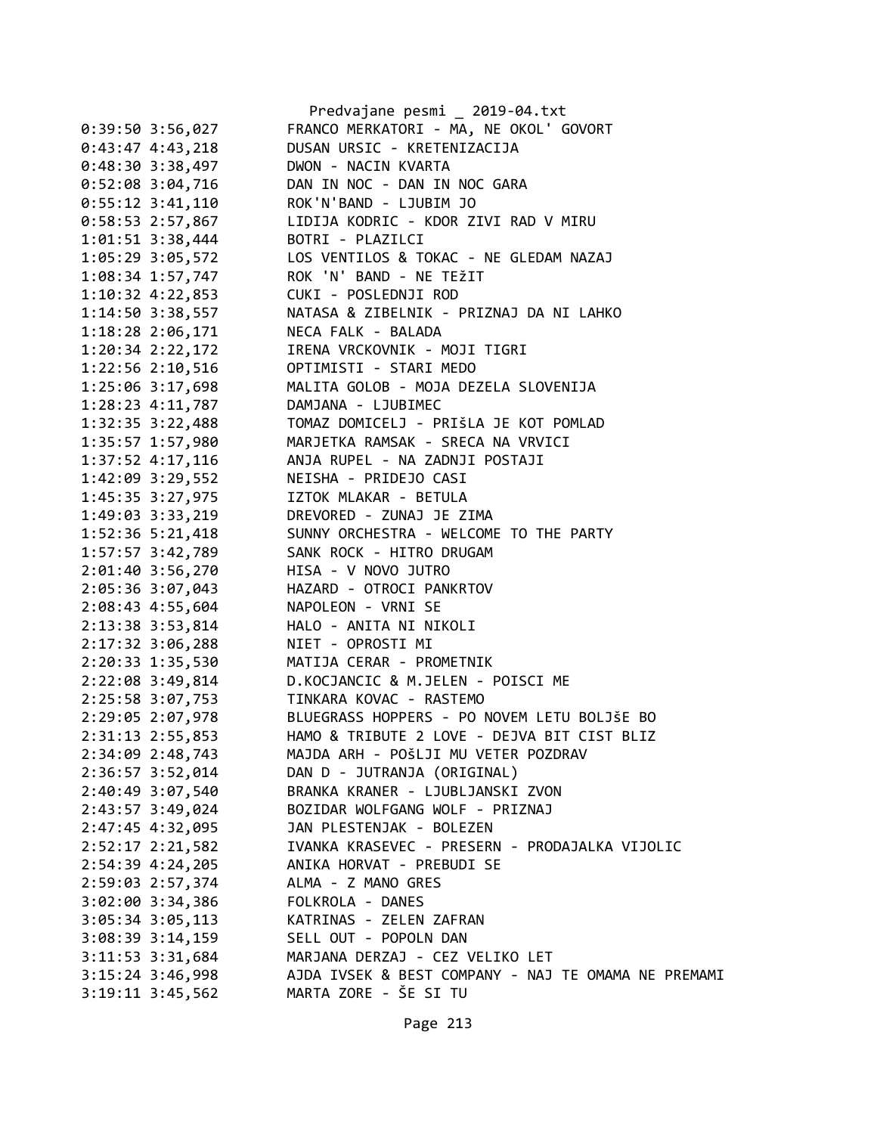|                      | Predvajane pesmi _ 2019-04.txt                      |
|----------------------|-----------------------------------------------------|
| $0:39:50$ 3:56,027   | FRANCO MERKATORI - MA, NE OKOL' GOVORT              |
| $0:43:47$ 4:43,218   | DUSAN URSIC - KRETENIZACIJA                         |
| $0:48:30$ 3:38,497   | DWON - NACIN KVARTA                                 |
| $0:52:08$ 3:04,716   | DAN IN NOC - DAN IN NOC GARA                        |
| $0:55:12$ 3:41,110   | ROK'N'BAND - LJUBIM JO                              |
| $0:58:53$ 2:57,867   | LIDIJA KODRIC - KDOR ZIVI RAD V MIRU                |
| $1:01:51$ 3:38,444   | BOTRI - PLAZILCI                                    |
| 1:05:29 3:05,572     | LOS VENTILOS & TOKAC - NE GLEDAM NAZAJ              |
| 1:08:34 1:57,747     | ROK 'N' BAND - NE TEŽIT                             |
| $1:10:32$ $4:22,853$ | CUKI - POSLEDNJI ROD                                |
| $1:14:50$ 3:38,557   | NATASA & ZIBELNIK - PRIZNAJ DA NI LAHKO             |
| 1:18:28 2:06,171     | NECA FALK - BALADA                                  |
| $1:20:34$ $2:22,172$ | IRENA VRCKOVNIK - MOJI TIGRI                        |
| 1:22:56 2:10,516     | OPTIMISTI - STARI MEDO                              |
| 1:25:06 3:17,698     | MALITA GOLOB - MOJA DEZELA SLOVENIJA                |
| $1:28:23$ $4:11,787$ | DAMJANA - LJUBIMEC                                  |
| 1:32:35 3:22,488     | TOMAZ DOMICELJ - PRIŠLA JE KOT POMLAD               |
| 1:35:57 1:57,980     | MARJETKA RAMSAK - SRECA NA VRVICI                   |
| $1:37:52$ 4:17,116   | ANJA RUPEL - NA ZADNJI POSTAJI                      |
| $1:42:09$ 3:29,552   | NEISHA - PRIDEJO CASI                               |
| 1:45:35 3:27,975     | IZTOK MLAKAR - BETULA                               |
| 1:49:03 3:33,219     | DREVORED - ZUNAJ JE ZIMA                            |
| $1:52:36$ 5:21,418   | SUNNY ORCHESTRA - WELCOME TO THE PARTY              |
| $1:57:57$ 3:42,789   | SANK ROCK - HITRO DRUGAM                            |
| 2:01:40 3:56,270     | HISA - V NOVO JUTRO                                 |
| 2:05:36 3:07,043     | HAZARD - OTROCI PANKRTOV                            |
| 2:08:43 4:55,604     | NAPOLEON - VRNI SE                                  |
|                      | HALO - ANITA NI NIKOLI                              |
| 2:13:38 3:53,814     | NIET - OPROSTI MI                                   |
| 2:17:32 3:06,288     | MATIJA CERAR - PROMETNIK                            |
| 2:20:33 1:35,530     |                                                     |
| 2:22:08 3:49,814     | D.KOCJANCIC & M.JELEN - POISCI ME                   |
| 2:25:58 3:07,753     | TINKARA KOVAC - RASTEMO                             |
| 2:29:05 2:07,978     | BLUEGRASS HOPPERS - PO NOVEM LETU BOLJŠE BO         |
| 2:31:13 2:55,853     | HAMO & TRIBUTE 2 LOVE - DEJVA BIT CIST BLIZ         |
| 2:34:09 2:48,743     | MAJDA ARH - POŠLJI MU VETER POZDRAV                 |
| 2:36:57 3:52,014     | DAN D - JUTRANJA (ORIGINAL)                         |
| 2:40:49 3:07,540     | BRANKA KRANER - LJUBLJANSKI ZVON                    |
| 2:43:57 3:49,024     | BOZIDAR WOLFGANG WOLF - PRIZNAJ                     |
| 2:47:45 4:32,095     | JAN PLESTENJAK - BOLEZEN                            |
| 2:52:17 2:21,582     | IVANKA KRASEVEC - PRESERN - PRODAJALKA VIJOLIC      |
| 2:54:39 4:24,205     | ANIKA HORVAT - PREBUDI SE                           |
| 2:59:03 2:57,374     | ALMA - Z MANO GRES                                  |
| $3:02:00$ $3:34,386$ | FOLKROLA - DANES                                    |
| $3:05:34$ $3:05,113$ | KATRINAS - ZELEN ZAFRAN                             |
| $3:08:39$ $3:14,159$ | SELL OUT - POPOLN DAN                               |
| $3:11:53$ $3:31,684$ | MARJANA DERZAJ - CEZ VELIKO LET                     |
| $3:15:24$ 3:46,998   | AJDA IVSEK & BEST COMPANY - NAJ TE OMAMA NE PREMAMI |
| $3:19:11$ $3:45,562$ | MARTA ZORE - ŠE SI TU                               |
|                      |                                                     |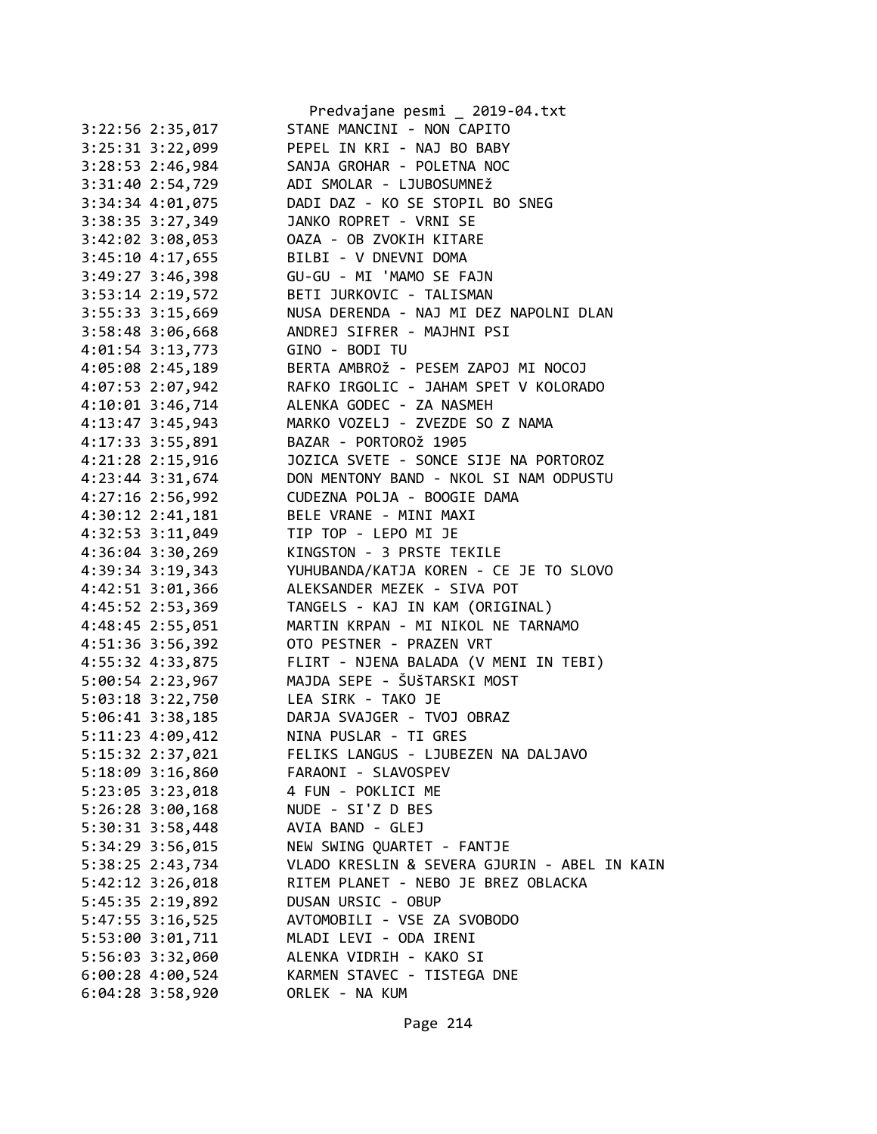|                      | Predvajane pesmi _ 2019-04.txt               |
|----------------------|----------------------------------------------|
| 3:22:56 2:35,017     | STANE MANCINI - NON CAPITO                   |
| 3:25:31 3:22,099     | PEPEL IN KRI - NAJ BO BABY                   |
| 3:28:53 2:46,984     | SANJA GROHAR - POLETNA NOC                   |
| 3:31:40 2:54,729     | ADI SMOLAR - LJUBOSUMNEŽ                     |
| 3:34:34 4:01,075     | DADI DAZ - KO SE STOPIL BO SNEG              |
| 3:38:35 3:27,349     | JANKO ROPRET - VRNI SE                       |
| 3:42:02 3:08,053     | OAZA - OB ZVOKIH KITARE                      |
| 3:45:10 4:17,655     | BILBI - V DNEVNI DOMA                        |
| 3:49:27 3:46,398     | GU-GU - MI 'MAMO SE FAJN                     |
| 3:53:14 2:19,572     | BETI JURKOVIC - TALISMAN                     |
| 3:55:33 3:15,669     | NUSA DERENDA - NAJ MI DEZ NAPOLNI DLAN       |
| 3:58:48 3:06,668     | ANDREJ SIFRER - MAJHNI PSI                   |
| 4:01:54 3:13,773     | GINO - BODI TU                               |
| 4:05:08 2:45,189     | BERTA AMBROŽ - PESEM ZAPOJ MI NOCOJ          |
| 4:07:53 2:07,942     | RAFKO IRGOLIC - JAHAM SPET V KOLORADO        |
| 4:10:01 3:46,714     | ALENKA GODEC - ZA NASMEH                     |
| 4:13:47 3:45,943     | MARKO VOZELJ - ZVEZDE SO Z NAMA              |
| 4:17:33 3:55,891     | BAZAR - PORTOROŽ 1905                        |
| 4:21:28 2:15,916     | JOZICA SVETE - SONCE SIJE NA PORTOROZ        |
| 4:23:44 3:31,674     | DON MENTONY BAND - NKOL SI NAM ODPUSTU       |
| 4:27:16 2:56,992     | CUDEZNA POLJA - BOOGIE DAMA                  |
| 4:30:12 2:41,181     | BELE VRANE - MINI MAXI                       |
| 4:32:53 3:11,049     | TIP TOP - LEPO MI JE                         |
| 4:36:04 3:30,269     | KINGSTON - 3 PRSTE TEKILE                    |
| 4:39:34 3:19,343     | YUHUBANDA/KATJA KOREN - CE JE TO SLOVO       |
| 4:42:51 3:01,366     | ALEKSANDER MEZEK - SIVA POT                  |
| 4:45:52 2:53,369     | TANGELS - KAJ IN KAM (ORIGINAL)              |
| 4:48:45 2:55,051     | MARTIN KRPAN - MI NIKOL NE TARNAMO           |
| 4:51:36 3:56,392     | OTO PESTNER - PRAZEN VRT                     |
| 4:55:32 4:33,875     | FLIRT - NJENA BALADA (V MENI IN TEBI)        |
| 5:00:54 2:23,967     | MAJDA SEPE - ŠUŠTARSKI MOST                  |
| 5:03:18 3:22,750     | LEA SIRK - TAKO JE                           |
| $5:06:41$ $3:38,185$ | DARJA SVAJGER - TVOJ OBRAZ                   |
| 5:11:23 4:09,412     | NINA PUSLAR - TI GRES                        |
| 5:15:32 2:37,021     | FELIKS LANGUS - LJUBEZEN NA DALJAVO          |
| 5:18:09 3:16,860     | FARAONI - SLAVOSPEV                          |
| 5:23:05 3:23,018     | 4 FUN - POKLICI ME                           |
| $5:26:28$ $3:00,168$ | NUDE - SI'Z D BES                            |
| $5:30:31$ $3:58,448$ | AVIA BAND - GLEJ                             |
| 5:34:29 3:56,015     | NEW SWING QUARTET - FANTJE                   |
| 5:38:25 2:43,734     | VLADO KRESLIN & SEVERA GJURIN - ABEL IN KAIN |
| $5:42:12$ $3:26,018$ | RITEM PLANET - NEBO JE BREZ OBLACKA          |
| 5:45:35 2:19,892     | DUSAN URSIC - OBUP                           |
| 5:47:55 3:16,525     | AVTOMOBILI - VSE ZA SVOBODO                  |
| 5:53:00 3:01,711     | MLADI LEVI - ODA IRENI                       |
| 5:56:03 3:32,060     | ALENKA VIDRIH - KAKO SI                      |
| $6:00:28$ 4:00,524   | KARMEN STAVEC - TISTEGA DNE                  |
| $6:04:28$ 3:58,920   | ORLEK - NA KUM                               |
|                      |                                              |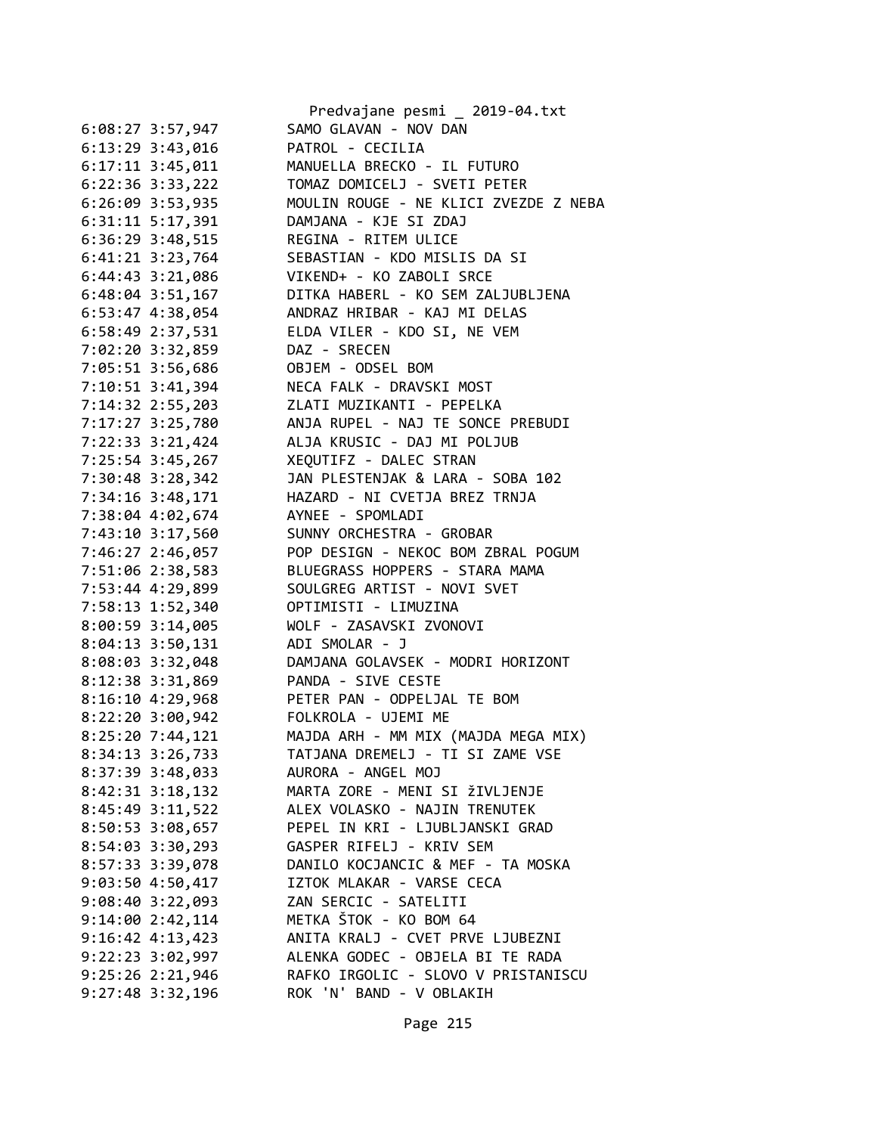|                      | Predvajane pesmi _ 2019-04.txt        |
|----------------------|---------------------------------------|
| $6:08:27$ 3:57,947   | SAMO GLAVAN - NOV DAN                 |
| 6:13:29 3:43,016     | PATROL - CECILIA                      |
| $6:17:11$ $3:45,011$ | MANUELLA BRECKO - IL FUTURO           |
| 6:22:36 3:33,222     | TOMAZ DOMICELJ - SVETI PETER          |
| 6:26:09 3:53,935     | MOULIN ROUGE - NE KLICI ZVEZDE Z NEBA |
| 6:31:11 5:17,391     | DAMJANA - KJE SI ZDAJ                 |
| 6:36:29 3:48,515     | REGINA - RITEM ULICE                  |
| $6:41:21$ $3:23,764$ | SEBASTIAN - KDO MISLIS DA SI          |
| 6:44:43 3:21,086     | VIKEND+ - KO ZABOLI SRCE              |
| 6:48:04 3:51,167     | DITKA HABERL - KO SEM ZALJUBLJENA     |
| $6:53:47$ $4:38,054$ | ANDRAZ HRIBAR - KAJ MI DELAS          |
| 6:58:49 2:37,531     | ELDA VILER - KDO SI, NE VEM           |
| 7:02:20 3:32,859     | DAZ - SRECEN                          |
| 7:05:51 3:56,686     | OBJEM - ODSEL BOM                     |
| $7:10:51$ 3:41,394   | NECA FALK - DRAVSKI MOST              |
| 7:14:32 2:55,203     | ZLATI MUZIKANTI - PEPELKA             |
| 7:17:27 3:25,780     | ANJA RUPEL - NAJ TE SONCE PREBUDI     |
| 7:22:33 3:21,424     | ALJA KRUSIC - DAJ MI POLJUB           |
| $7:25:54$ 3:45,267   | XEQUTIFZ - DALEC STRAN                |
| 7:30:48 3:28,342     | JAN PLESTENJAK & LARA - SOBA 102      |
| 7:34:16 3:48,171     | HAZARD - NI CVETJA BREZ TRNJA         |
| 7:38:04 4:02,674     | AYNEE - SPOMLADI                      |
| 7:43:10 3:17,560     | SUNNY ORCHESTRA - GROBAR              |
| 7:46:27 2:46,057     | POP DESIGN - NEKOC BOM ZBRAL POGUM    |
| 7:51:06 2:38,583     | BLUEGRASS HOPPERS - STARA MAMA        |
| 7:53:44 4:29,899     | SOULGREG ARTIST - NOVI SVET           |
| 7:58:13 1:52,340     | OPTIMISTI - LIMUZINA                  |
|                      |                                       |
| 8:00:59 3:14,005     | WOLF - ZASAVSKI ZVONOVI               |
| 8:04:13 3:50,131     | ADI SMOLAR - J                        |
| 8:08:03 3:32,048     | DAMJANA GOLAVSEK - MODRI HORIZONT     |
| 8:12:38 3:31,869     | PANDA - SIVE CESTE                    |
| $8:16:10$ 4:29,968   | PETER PAN - ODPELJAL TE BOM           |
| 8:22:20 3:00,942     | FOLKROLA - UJEMI ME                   |
| 8:25:20 7:44,121     | MAJDA ARH - MM MIX (MAJDA MEGA MIX)   |
| 8:34:13 3:26,733     | TATJANA DREMELJ - TI SI ZAME VSE      |
| 8:37:39 3:48,033     | AURORA - ANGEL MOJ                    |
| 8:42:31 3:18,132     | MARTA ZORE - MENI SI ŽIVLJENJE        |
| 8:45:49 3:11,522     | ALEX VOLASKO - NAJIN TRENUTEK         |
| 8:50:53 3:08,657     | PEPEL IN KRI - LJUBLJANSKI GRAD       |
| 8:54:03 3:30,293     | GASPER RIFELJ - KRIV SEM              |
| 8:57:33 3:39,078     | DANILO KOCJANCIC & MEF - TA MOSKA     |
| 9:03:504:50,417      | IZTOK MLAKAR - VARSE CECA             |
| $9:08:40$ 3:22,093   | ZAN SERCIC - SATELITI                 |
| 9:14:002:2:42,114    | METKA ŠTOK - KO BOM 64                |
| $9:16:42$ 4:13,423   | ANITA KRALJ - CVET PRVE LJUBEZNI      |
| 9:22:23 3:02,997     | ALENKA GODEC - OBJELA BI TE RADA      |
| $9:25:26$ $2:21,946$ | RAFKO IRGOLIC - SLOVO V PRISTANISCU   |
| 9:27:48 3:32,196     | ROK 'N' BAND - V OBLAKIH              |
|                      |                                       |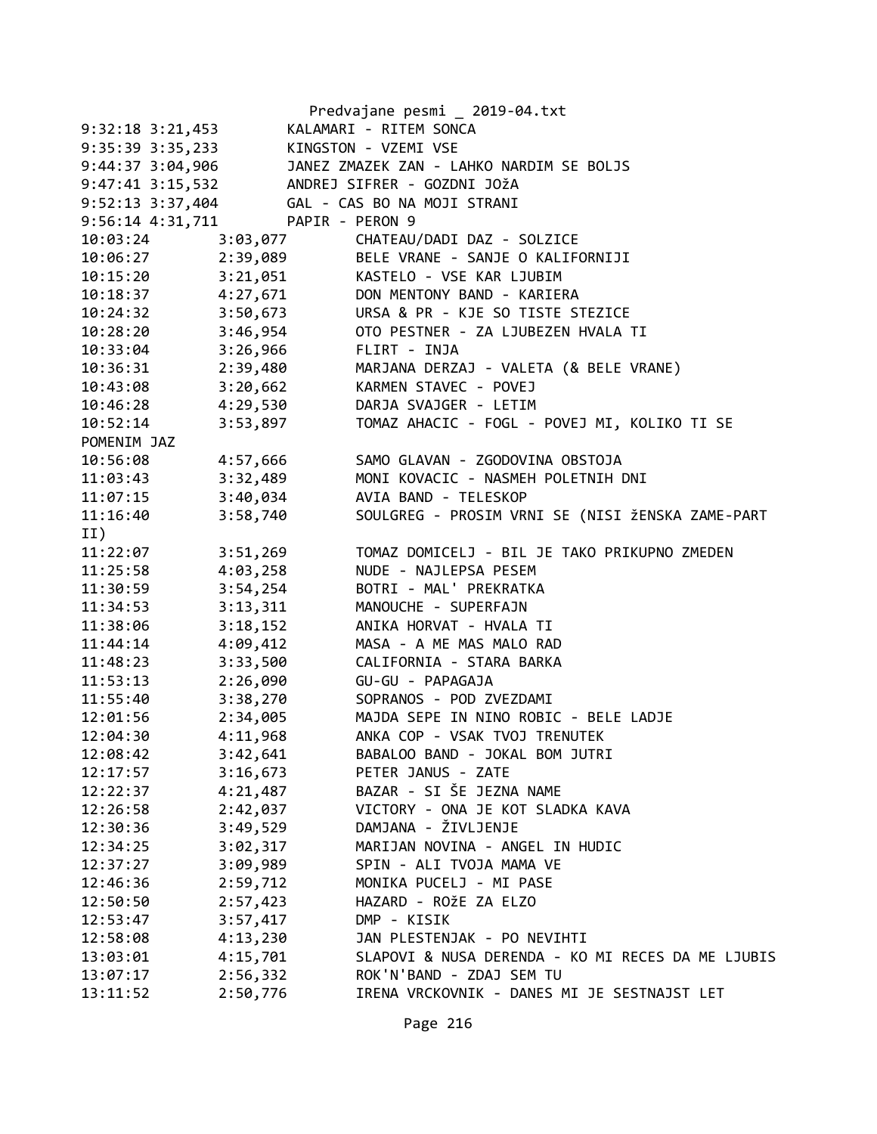|                                  |                          | Predvajane pesmi _ 2019-04.txt                     |
|----------------------------------|--------------------------|----------------------------------------------------|
| $9:32:18$ $3:21,453$             |                          | KALAMARI - RITEM SONCA                             |
| 9:35:39 3:35,233                 |                          | KINGSTON - VZEMI VSE                               |
| 9:44:37 3:04,906                 |                          | JANEZ ZMAZEK ZAN - LAHKO NARDIM SE BOLJS           |
| $9:47:41$ $3:15,532$             |                          | ANDREJ SIFRER - GOZDNI JOŽA                        |
| 9:52:13 3:37,404                 |                          | GAL - CAS BO NA MOJI STRANI                        |
| 9:56:14 4:31,711 PAPIR - PERON 9 |                          |                                                    |
| 10:03:24                         |                          | 3:03,077 CHATEAU/DADI DAZ - SOLZICE                |
| $10:06:27$ 2:39,089              |                          | BELE VRANE - SANJE O KALIFORNIJI                   |
|                                  |                          | 10:15:20 3:21,051 KASTELO - VSE KAR LJUBIM         |
|                                  |                          | 10:18:37 4:27,671 DON MENTONY BAND - KARIERA       |
|                                  |                          | 10:24:32 3:50,673 URSA & PR - KJE SO TISTE STEZICE |
| 10:28:20                         | 3:46,954                 | OTO PESTNER - ZA LJUBEZEN HVALA TI                 |
| 10:33:04                         | 3:26,966 FLIRT - INJA    |                                                    |
| 10:36:31                         | $2:39,480$<br>$3:20,662$ | MARJANA DERZAJ - VALETA (& BELE VRANE)             |
| 10:43:08                         |                          | KARMEN STAVEC - POVEJ                              |
| 10:46:28                         | 4:29,530                 | DARJA SVAJGER - LETIM                              |
| 10:52:14                         | 3:53,897                 | TOMAZ AHACIC - FOGL - POVEJ MI, KOLIKO TI SE       |
| POMENIM JAZ                      |                          |                                                    |
| 10:56:08                         | 4:57,666                 | SAMO GLAVAN - ZGODOVINA OBSTOJA                    |
| 11:03:43 3:32,489                |                          | MONI KOVACIC - NASMEH POLETNIH DNI                 |
| 11:07:15                         | 3:40,034                 | AVIA BAND - TELESKOP                               |
| 11:16:40                         | 3:58,740                 | SOULGREG - PROSIM VRNI SE (NISI ŽENSKA ZAME-PART   |
| II)                              |                          |                                                    |
| 11:22:07                         | 3:51,269                 | TOMAZ DOMICELJ - BIL JE TAKO PRIKUPNO ZMEDEN       |
| 11:25:58                         | 4:03,258                 | NUDE - NAJLEPSA PESEM                              |
| 11:30:59                         | 3:54,254                 | BOTRI - MAL' PREKRATKA                             |
| 11:34:53                         | 3:13,311                 | MANOUCHE - SUPERFAJN                               |
| 11:38:06                         | 3:18,152                 | ANIKA HORVAT - HVALA TI                            |
| 11:44:14                         | 4:09,412                 | MASA - A ME MAS MALO RAD                           |
| 11:48:23                         | 3:33,500                 | CALIFORNIA - STARA BARKA                           |
| 11:53:13                         | 2:26,090                 | GU-GU - PAPAGAJA                                   |
| $11:55:40$ $3:38,270$            |                          | SOPRANOS - POD ZVEZDAMI                            |
| 12:01:56                         | 2:34,005                 | MAJDA SEPE IN NINO ROBIC - BELE LADJE              |
| 12:04:30                         | 4:11,968                 | ANKA COP - VSAK TVOJ TRENUTEK                      |
| 12:08:42                         | 3:42,641                 | BABALOO BAND - JOKAL BOM JUTRI                     |
| 12:17:57                         | 3:16,673                 | PETER JANUS - ZATE                                 |
| 12:22:37                         | 4:21,487                 | BAZAR - SI ŠE JEZNA NAME                           |
| 12:26:58                         | 2:42,037                 | VICTORY - ONA JE KOT SLADKA KAVA                   |
| 12:30:36                         | 3:49,529                 | DAMJANA - ŽIVLJENJE                                |
| 12:34:25                         | 3:02,317                 | MARIJAN NOVINA - ANGEL IN HUDIC                    |
| 12:37:27                         | 3:09,989                 | SPIN - ALI TVOJA MAMA VE                           |
| 12:46:36                         | 2:59,712                 | MONIKA PUCELJ - MI PASE                            |
| 12:50:50                         | 2:57,423                 | HAZARD - ROŽE ZA ELZO                              |
| 12:53:47                         | 3:57,417                 | DMP - KISIK                                        |
| 12:58:08                         | 4:13,230                 | JAN PLESTENJAK - PO NEVIHTI                        |
| 13:03:01                         | 4:15,701                 | SLAPOVI & NUSA DERENDA - KO MI RECES DA ME LJUBIS  |
| 13:07:17                         | 2:56,332                 | ROK'N'BAND - ZDAJ SEM TU                           |
| 13:11:52                         | 2:50,776                 | IRENA VRCKOVNIK - DANES MI JE SESTNAJST LET        |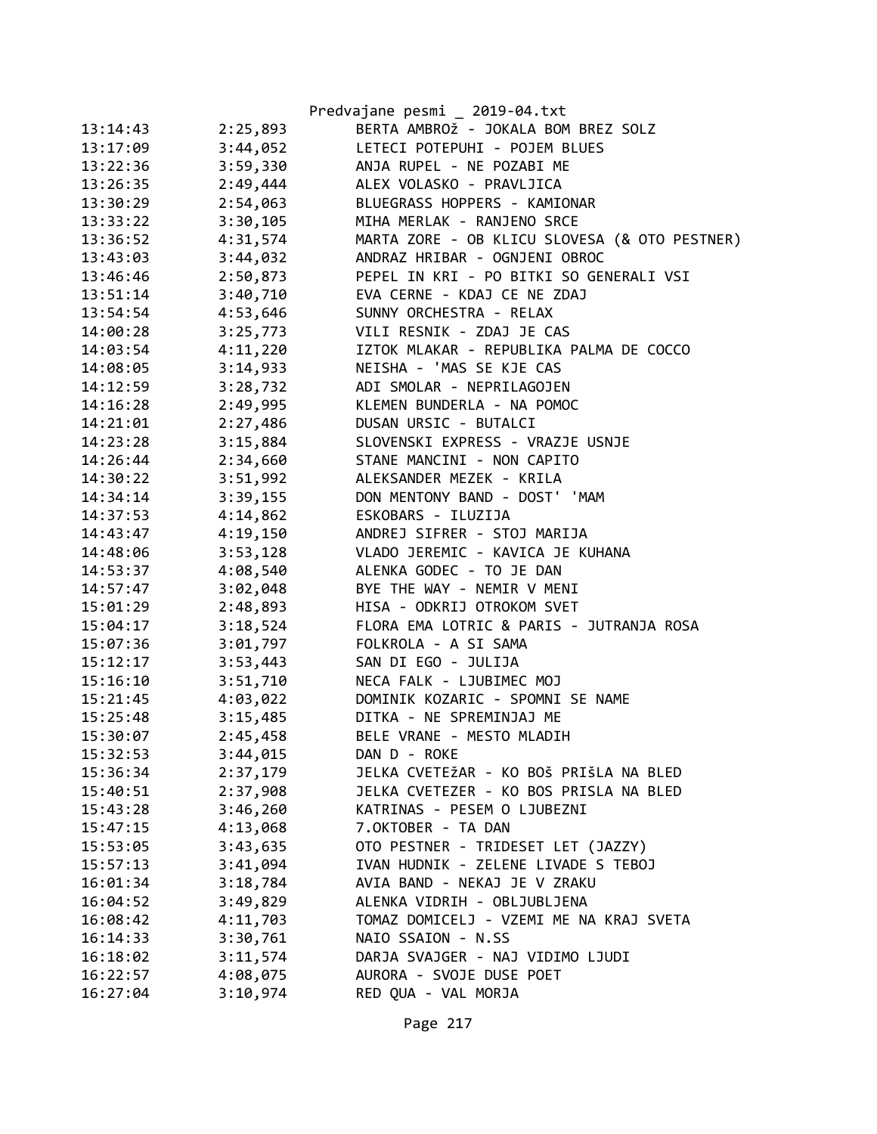|          |          | Predvajane pesmi _ 2019-04.txt                |
|----------|----------|-----------------------------------------------|
| 13:14:43 | 2:25,893 | BERTA AMBROŽ - JOKALA BOM BREZ SOLZ           |
| 13:17:09 | 3:44,052 | LETECI POTEPUHI - POJEM BLUES                 |
| 13:22:36 | 3:59,330 | ANJA RUPEL - NE POZABI ME                     |
| 13:26:35 | 2:49,444 | ALEX VOLASKO - PRAVLJICA                      |
| 13:30:29 | 2:54,063 | BLUEGRASS HOPPERS - KAMIONAR                  |
| 13:33:22 | 3:30,105 | MIHA MERLAK - RANJENO SRCE                    |
| 13:36:52 | 4:31,574 | MARTA ZORE - OB KLICU SLOVESA (& OTO PESTNER) |
| 13:43:03 | 3:44,032 | ANDRAZ HRIBAR - OGNJENI OBROC                 |
| 13:46:46 | 2:50,873 | PEPEL IN KRI - PO BITKI SO GENERALI VSI       |
| 13:51:14 | 3:40,710 | EVA CERNE - KDAJ CE NE ZDAJ                   |
| 13:54:54 | 4:53,646 | SUNNY ORCHESTRA - RELAX                       |
| 14:00:28 | 3:25,773 | VILI RESNIK - ZDAJ JE CAS                     |
| 14:03:54 | 4:11,220 | IZTOK MLAKAR - REPUBLIKA PALMA DE COCCO       |
| 14:08:05 | 3:14,933 | NEISHA - 'MAS SE KJE CAS                      |
| 14:12:59 | 3:28,732 | ADI SMOLAR - NEPRILAGOJEN                     |
| 14:16:28 | 2:49,995 | KLEMEN BUNDERLA - NA POMOC                    |
| 14:21:01 | 2:27,486 | DUSAN URSIC - BUTALCI                         |
| 14:23:28 | 3:15,884 | SLOVENSKI EXPRESS - VRAZJE USNJE              |
| 14:26:44 | 2:34,660 | STANE MANCINI - NON CAPITO                    |
| 14:30:22 | 3:51,992 | ALEKSANDER MEZEK - KRILA                      |
| 14:34:14 | 3:39,155 | DON MENTONY BAND - DOST' 'MAM                 |
| 14:37:53 | 4:14,862 | ESKOBARS - ILUZIJA                            |
| 14:43:47 | 4:19,150 | ANDREJ SIFRER - STOJ MARIJA                   |
| 14:48:06 | 3:53,128 | VLADO JEREMIC - KAVICA JE KUHANA              |
| 14:53:37 | 4:08,540 | ALENKA GODEC - TO JE DAN                      |
| 14:57:47 | 3:02,048 | BYE THE WAY - NEMIR V MENI                    |
| 15:01:29 | 2:48,893 | HISA - ODKRIJ OTROKOM SVET                    |
| 15:04:17 | 3:18,524 | FLORA EMA LOTRIC & PARIS - JUTRANJA ROSA      |
| 15:07:36 | 3:01,797 | FOLKROLA - A SI SAMA                          |
| 15:12:17 | 3:53,443 | SAN DI EGO - JULIJA                           |
| 15:16:10 | 3:51,710 | NECA FALK - LJUBIMEC MOJ                      |
| 15:21:45 | 4:03,022 | DOMINIK KOZARIC - SPOMNI SE NAME              |
| 15:25:48 | 3:15,485 | DITKA - NE SPREMINJAJ ME                      |
| 15:30:07 | 2:45,458 | BELE VRANE - MESTO MLADIH                     |
| 15:32:53 | 3:44,015 | DAN D - ROKE                                  |
| 15:36:34 | 2:37,179 | JELKA CVETEŽAR - KO BOŠ PRIŠLA NA BLED        |
| 15:40:51 | 2:37,908 | JELKA CVETEZER - KO BOS PRISLA NA BLED        |
| 15:43:28 | 3:46,260 | KATRINAS - PESEM O LJUBEZNI                   |
| 15:47:15 | 4:13,068 | 7.OKTOBER - TA DAN                            |
| 15:53:05 | 3:43,635 | OTO PESTNER - TRIDESET LET (JAZZY)            |
| 15:57:13 | 3:41,094 | IVAN HUDNIK - ZELENE LIVADE S TEBOJ           |
| 16:01:34 | 3:18,784 | AVIA BAND - NEKAJ JE V ZRAKU                  |
| 16:04:52 | 3:49,829 | ALENKA VIDRIH - OBLJUBLJENA                   |
| 16:08:42 | 4:11,703 | TOMAZ DOMICELJ - VZEMI ME NA KRAJ SVETA       |
| 16:14:33 | 3:30,761 | NAIO SSAION - N.SS                            |
| 16:18:02 | 3:11,574 | DARJA SVAJGER - NAJ VIDIMO LJUDI              |
| 16:22:57 | 4:08,075 | AURORA - SVOJE DUSE POET                      |
| 16:27:04 | 3:10,974 | RED QUA - VAL MORJA                           |
|          |          |                                               |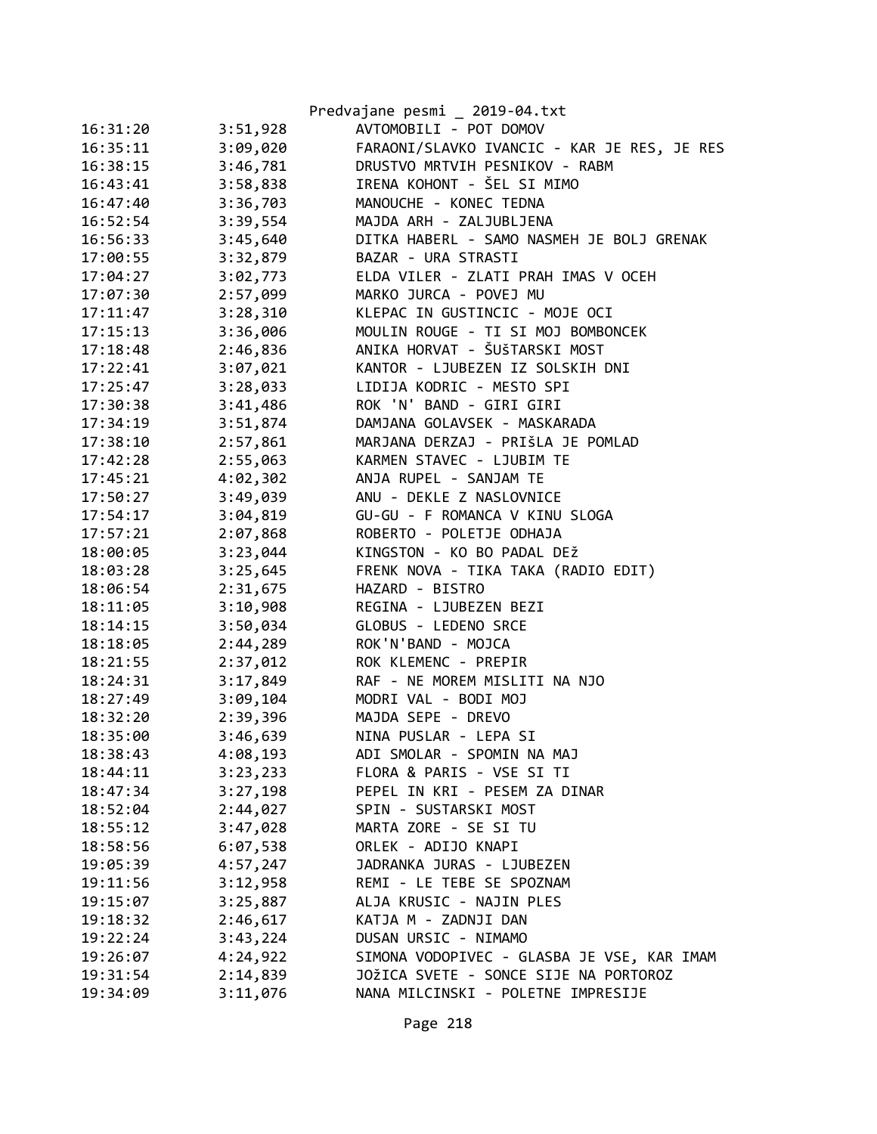|          |          | Predvajane pesmi _ 2019-04.txt              |
|----------|----------|---------------------------------------------|
| 16:31:20 | 3:51,928 | AVTOMOBILI - POT DOMOV                      |
| 16:35:11 | 3:09,020 | FARAONI/SLAVKO IVANCIC - KAR JE RES, JE RES |
| 16:38:15 | 3:46,781 | DRUSTVO MRTVIH PESNIKOV - RABM              |
| 16:43:41 | 3:58,838 | IRENA KOHONT - ŠEL SI MIMO                  |
| 16:47:40 | 3:36,703 | MANOUCHE - KONEC TEDNA                      |
| 16:52:54 | 3:39,554 | MAJDA ARH - ZALJUBLJENA                     |
| 16:56:33 | 3:45,640 | DITKA HABERL - SAMO NASMEH JE BOLJ GRENAK   |
| 17:00:55 | 3:32,879 | BAZAR - URA STRASTI                         |
| 17:04:27 | 3:02,773 | ELDA VILER - ZLATI PRAH IMAS V OCEH         |
| 17:07:30 | 2:57,099 | MARKO JURCA - POVEJ MU                      |
| 17:11:47 | 3:28,310 | KLEPAC IN GUSTINCIC - MOJE OCI              |
| 17:15:13 | 3:36,006 | MOULIN ROUGE - TI SI MOJ BOMBONCEK          |
| 17:18:48 | 2:46,836 | ANIKA HORVAT - ŠUŠTARSKI MOST               |
| 17:22:41 | 3:07,021 | KANTOR - LJUBEZEN IZ SOLSKIH DNI            |
| 17:25:47 | 3:28,033 | LIDIJA KODRIC - MESTO SPI                   |
| 17:30:38 | 3:41,486 | ROK 'N' BAND - GIRI GIRI                    |
| 17:34:19 | 3:51,874 | DAMJANA GOLAVSEK - MASKARADA                |
| 17:38:10 | 2:57,861 | MARJANA DERZAJ - PRIŠLA JE POMLAD           |
| 17:42:28 | 2:55,063 | KARMEN STAVEC - LJUBIM TE                   |
| 17:45:21 | 4:02,302 | ANJA RUPEL - SANJAM TE                      |
| 17:50:27 | 3:49,039 | ANU - DEKLE Z NASLOVNICE                    |
| 17:54:17 | 3:04,819 | GU-GU - F ROMANCA V KINU SLOGA              |
| 17:57:21 | 2:07,868 | ROBERTO - POLETJE ODHAJA                    |
| 18:00:05 | 3:23,044 | KINGSTON - KO BO PADAL DEŽ                  |
| 18:03:28 | 3:25,645 | FRENK NOVA - TIKA TAKA (RADIO EDIT)         |
| 18:06:54 | 2:31,675 | HAZARD - BISTRO                             |
| 18:11:05 | 3:10,908 | REGINA - LJUBEZEN BEZI                      |
| 18:14:15 | 3:50,034 | GLOBUS - LEDENO SRCE                        |
| 18:18:05 | 2:44,289 | ROK'N'BAND - MOJCA                          |
| 18:21:55 | 2:37,012 | ROK KLEMENC - PREPIR                        |
| 18:24:31 | 3:17,849 | RAF - NE MOREM MISLITI NA NJO               |
| 18:27:49 | 3:09,104 | MODRI VAL - BODI MOJ                        |
| 18:32:20 | 2:39,396 | MAJDA SEPE - DREVO                          |
| 18:35:00 | 3:46,639 | NINA PUSLAR - LEPA SI                       |
| 18:38:43 | 4:08,193 | ADI SMOLAR - SPOMIN NA MAJ                  |
| 18:44:11 | 3:23,233 | FLORA & PARIS - VSE SI TI                   |
| 18:47:34 | 3:27,198 | PEPEL IN KRI - PESEM ZA DINAR               |
| 18:52:04 | 2:44,027 | SPIN - SUSTARSKI MOST                       |
| 18:55:12 | 3:47,028 | MARTA ZORE - SE SI TU                       |
| 18:58:56 | 6:07,538 | ORLEK - ADIJO KNAPI                         |
| 19:05:39 | 4:57,247 | JADRANKA JURAS - LJUBEZEN                   |
| 19:11:56 | 3:12,958 | REMI - LE TEBE SE SPOZNAM                   |
| 19:15:07 | 3:25,887 | ALJA KRUSIC - NAJIN PLES                    |
| 19:18:32 | 2:46,617 | KATJA M - ZADNJI DAN                        |
| 19:22:24 | 3:43,224 | DUSAN URSIC - NIMAMO                        |
| 19:26:07 | 4:24,922 | SIMONA VODOPIVEC - GLASBA JE VSE, KAR IMAM  |
| 19:31:54 | 2:14,839 | JOŽICA SVETE - SONCE SIJE NA PORTOROZ       |
| 19:34:09 | 3:11,076 | NANA MILCINSKI - POLETNE IMPRESIJE          |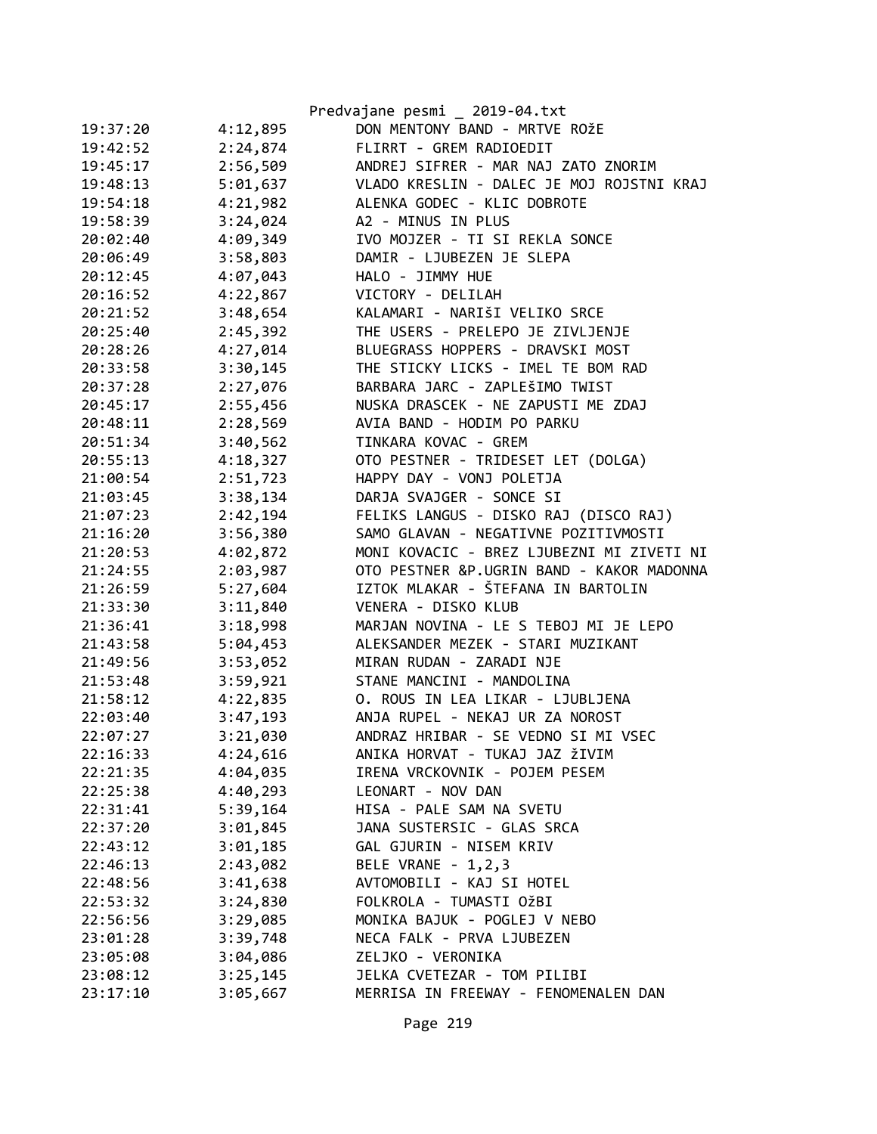|          |          | Predvajane pesmi _ 2019-04.txt            |
|----------|----------|-------------------------------------------|
| 19:37:20 | 4:12,895 | DON MENTONY BAND - MRTVE ROŽE             |
| 19:42:52 | 2:24,874 | FLIRRT - GREM RADIOEDIT                   |
| 19:45:17 | 2:56,509 | ANDREJ SIFRER - MAR NAJ ZATO ZNORIM       |
| 19:48:13 | 5:01,637 | VLADO KRESLIN - DALEC JE MOJ ROJSTNI KRAJ |
| 19:54:18 | 4:21,982 | ALENKA GODEC - KLIC DOBROTE               |
| 19:58:39 | 3:24,024 | A2 - MINUS IN PLUS                        |
| 20:02:40 | 4:09,349 | IVO MOJZER - TI SI REKLA SONCE            |
| 20:06:49 | 3:58,803 | DAMIR - LJUBEZEN JE SLEPA                 |
| 20:12:45 | 4:07,043 | HALO - JIMMY HUE                          |
| 20:16:52 | 4:22,867 | VICTORY - DELILAH                         |
| 20:21:52 | 3:48,654 | KALAMARI - NARIŠI VELIKO SRCE             |
| 20:25:40 | 2:45,392 | THE USERS - PRELEPO JE ZIVLJENJE          |
| 20:28:26 | 4:27,014 | BLUEGRASS HOPPERS - DRAVSKI MOST          |
| 20:33:58 | 3:30,145 | THE STICKY LICKS - IMEL TE BOM RAD        |
| 20:37:28 | 2:27,076 | BARBARA JARC - ZAPLEŠIMO TWIST            |
| 20:45:17 | 2:55,456 | NUSKA DRASCEK - NE ZAPUSTI ME ZDAJ        |
| 20:48:11 | 2:28,569 | AVIA BAND - HODIM PO PARKU                |
| 20:51:34 | 3:40,562 | TINKARA KOVAC - GREM                      |
| 20:55:13 | 4:18,327 | OTO PESTNER - TRIDESET LET (DOLGA)        |
| 21:00:54 | 2:51,723 | HAPPY DAY - VONJ POLETJA                  |
| 21:03:45 | 3:38,134 | DARJA SVAJGER - SONCE SI                  |
| 21:07:23 | 2:42,194 | FELIKS LANGUS - DISKO RAJ (DISCO RAJ)     |
| 21:16:20 | 3:56,380 | SAMO GLAVAN - NEGATIVNE POZITIVMOSTI      |
| 21:20:53 | 4:02,872 | MONI KOVACIC - BREZ LJUBEZNI MI ZIVETI NI |
| 21:24:55 | 2:03,987 | OTO PESTNER &P.UGRIN BAND - KAKOR MADONNA |
| 21:26:59 | 5:27,604 | IZTOK MLAKAR - ŠTEFANA IN BARTOLIN        |
| 21:33:30 | 3:11,840 | VENERA - DISKO KLUB                       |
| 21:36:41 | 3:18,998 | MARJAN NOVINA - LE S TEBOJ MI JE LEPO     |
| 21:43:58 | 5:04,453 | ALEKSANDER MEZEK - STARI MUZIKANT         |
| 21:49:56 | 3:53,052 | MIRAN RUDAN - ZARADI NJE                  |
| 21:53:48 | 3:59,921 | STANE MANCINI - MANDOLINA                 |
| 21:58:12 | 4:22,835 | O. ROUS IN LEA LIKAR - LJUBLJENA          |
| 22:03:40 | 3:47,193 | ANJA RUPEL - NEKAJ UR ZA NOROST           |
| 22:07:27 | 3:21,030 | ANDRAZ HRIBAR - SE VEDNO SI MI VSEC       |
| 22:16:33 | 4:24,616 | ANIKA HORVAT - TUKAJ JAZ ŽIVIM            |
| 22:21:35 | 4:04,035 | IRENA VRCKOVNIK - POJEM PESEM             |
| 22:25:38 | 4:40,293 | LEONART - NOV DAN                         |
| 22:31:41 | 5:39,164 | HISA - PALE SAM NA SVETU                  |
| 22:37:20 | 3:01,845 | JANA SUSTERSIC - GLAS SRCA                |
| 22:43:12 | 3:01,185 | GAL GJURIN - NISEM KRIV                   |
| 22:46:13 | 2:43,082 | BELE VRANE - 1,2,3                        |
| 22:48:56 | 3:41,638 | AVTOMOBILI - KAJ SI HOTEL                 |
| 22:53:32 | 3:24,830 | FOLKROLA - TUMASTI OŽBI                   |
| 22:56:56 | 3:29,085 | MONIKA BAJUK - POGLEJ V NEBO              |
| 23:01:28 | 3:39,748 | NECA FALK - PRVA LJUBEZEN                 |
| 23:05:08 | 3:04,086 | ZELJKO - VERONIKA                         |
| 23:08:12 | 3:25,145 | JELKA CVETEZAR - TOM PILIBI               |
| 23:17:10 | 3:05,667 | MERRISA IN FREEWAY - FENOMENALEN DAN      |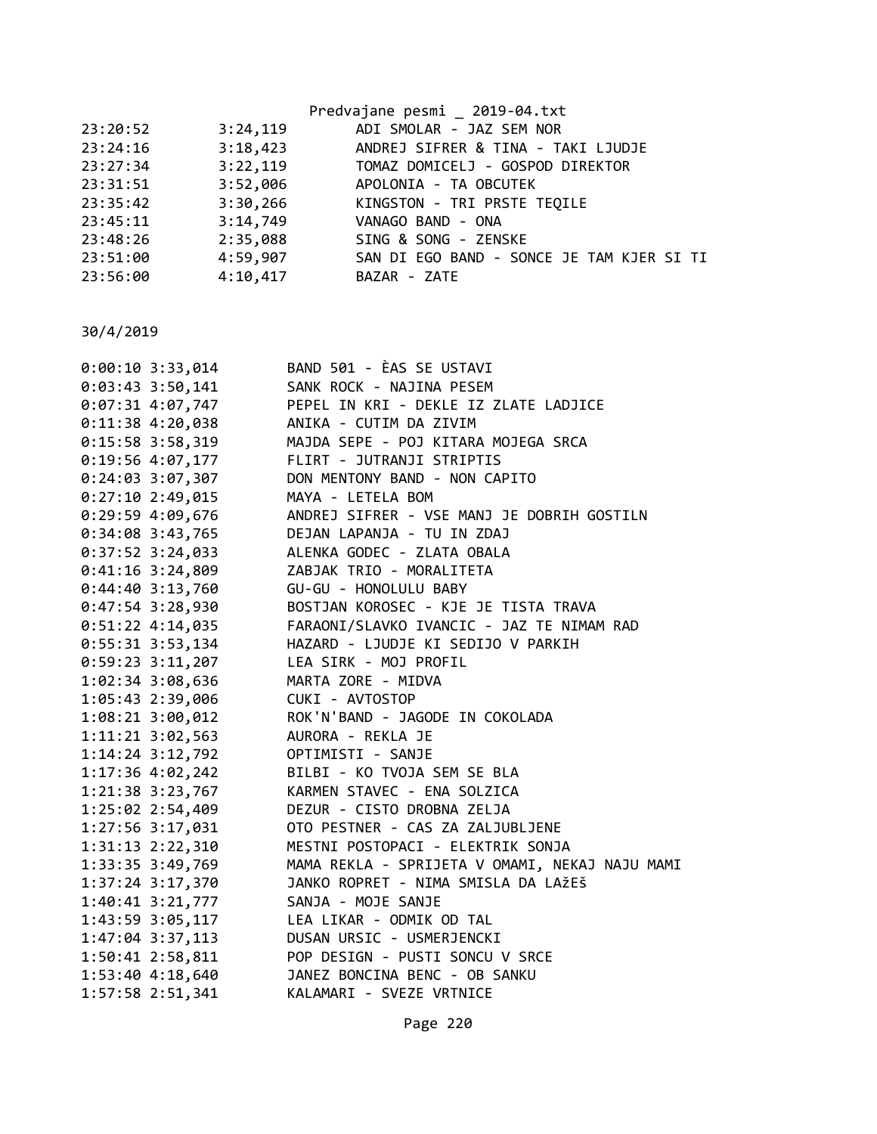|          |          | Predvajane pesmi 2019-04.txt              |
|----------|----------|-------------------------------------------|
| 23:20:52 | 3:24,119 | ADI SMOLAR - JAZ SEM NOR                  |
| 23:24:16 | 3:18,423 | ANDREJ SIFRER & TINA - TAKI LJUDJE        |
| 23:27:34 |          | 3:22,119 TOMAZ DOMICELJ - GOSPOD DIREKTOR |
| 23:31:51 | 3:52,006 | APOLONIA - TA OBCUTEK                     |
| 23:35:42 | 3:30,266 | KINGSTON - TRI PRSTE TEQILE               |
| 23:45:11 | 3:14,749 | VANAGO BAND - ONA                         |
| 23:48:26 | 2:35,088 | SING & SONG - ZENSKE                      |
| 23:51:00 | 4:59,907 | SAN DI EGO BAND - SONCE JE TAM KJER SI TI |
| 23:56:00 | 4:10,417 | BAZAR - ZATE                              |
|          |          |                                           |

30/4/2019

| $0:00:10$ 3:33,014   | BAND 501 - ÈAS SE USTAVI                       |
|----------------------|------------------------------------------------|
| $0:03:43$ 3:50,141   | SANK ROCK - NAJINA PESEM                       |
| $0:07:31$ 4:07,747   | PEPEL IN KRI - DEKLE IZ ZLATE LADJICE          |
| $0:11:38$ 4:20,038   | ANIKA - CUTIM DA ZIVIM                         |
| $0:15:58$ 3:58,319   | MAJDA SEPE - POJ KITARA MOJEGA SRCA            |
| 0:19:56 4:07,177     | FLIRT - JUTRANJI STRIPTIS                      |
| 0:24:03 3:07,307     | DON MENTONY BAND - NON CAPITO                  |
| 0:27:102:49,015      | MAYA - LETELA BOM                              |
| $0:29:59$ 4:09,676   | ANDREJ SIFRER - VSE MANJ JE DOBRIH GOSTILN     |
| $0:34:08$ 3:43,765   | DEJAN LAPANJA - TU IN ZDAJ                     |
| $0:37:52$ 3:24,033   | ALENKA GODEC - ZLATA OBALA                     |
| $0:41:16$ 3:24,809   | ZABJAK TRIO - MORALITETA                       |
| $0:44:40$ 3:13,760   | GU-GU - HONOLULU BABY                          |
| 0:47:54 3:28,930     | BOSTJAN KOROSEC - KJE JE TISTA TRAVA           |
| 0:51:22 4:14,035     | FARAONI/SLAVKO IVANCIC - JAZ TE NIMAM RAD      |
| 0:55:31 3:53,134     | HAZARD - LJUDJE KI SEDIJO V PARKIH             |
| 0:59:23 3:11,207     | LEA SIRK - MOJ PROFIL                          |
| 1:02:34 3:08,636     | MARTA ZORE - MIDVA                             |
| 1:05:43 2:39,006     | CUKI - AVTOSTOP                                |
| 1:08:21 3:00,012     | ROK'N'BAND - JAGODE IN COKOLADA                |
| $1:11:21$ $3:02,563$ | AURORA - REKLA JE                              |
| 1:14:24 3:12,792     | OPTIMISTI - SANJE                              |
| 1:17:36 4:02,242     | BILBI - KO TVOJA SEM SE BLA                    |
| 1:21:38 3:23,767     | KARMEN STAVEC - ENA SOLZICA                    |
| 1:25:02 2:54,409     | DEZUR - CISTO DROBNA ZELJA                     |
| 1:27:56 3:17,031     | OTO PESTNER - CAS ZA ZALJUBLJENE               |
| 1:31:13 2:22,310     | MESTNI POSTOPACI - ELEKTRIK SONJA              |
| 1:33:35 3:49,769     | MAMA REKLA - SPRIJETA V OMAMI, NEKAJ NAJU MAMI |
| 1:37:24 3:17,370     | JANKO ROPRET - NIMA SMISLA DA LAŽEŠ            |
| 1:40:41 3:21,777     | SANJA - MOJE SANJE                             |
| 1:43:59 3:05,117     | LEA LIKAR - ODMIK OD TAL                       |
| $1:47:04$ 3:37,113   | DUSAN URSIC - USMERJENCKI                      |
| 1:50:41 2:58,811     | POP DESIGN - PUSTI SONCU V SRCE                |
| 1:53:40 4:18,640     | JANEZ BONCINA BENC - OB SANKU                  |
| 1:57:58 2:51,341     | KALAMARI - SVEZE VRTNICE                       |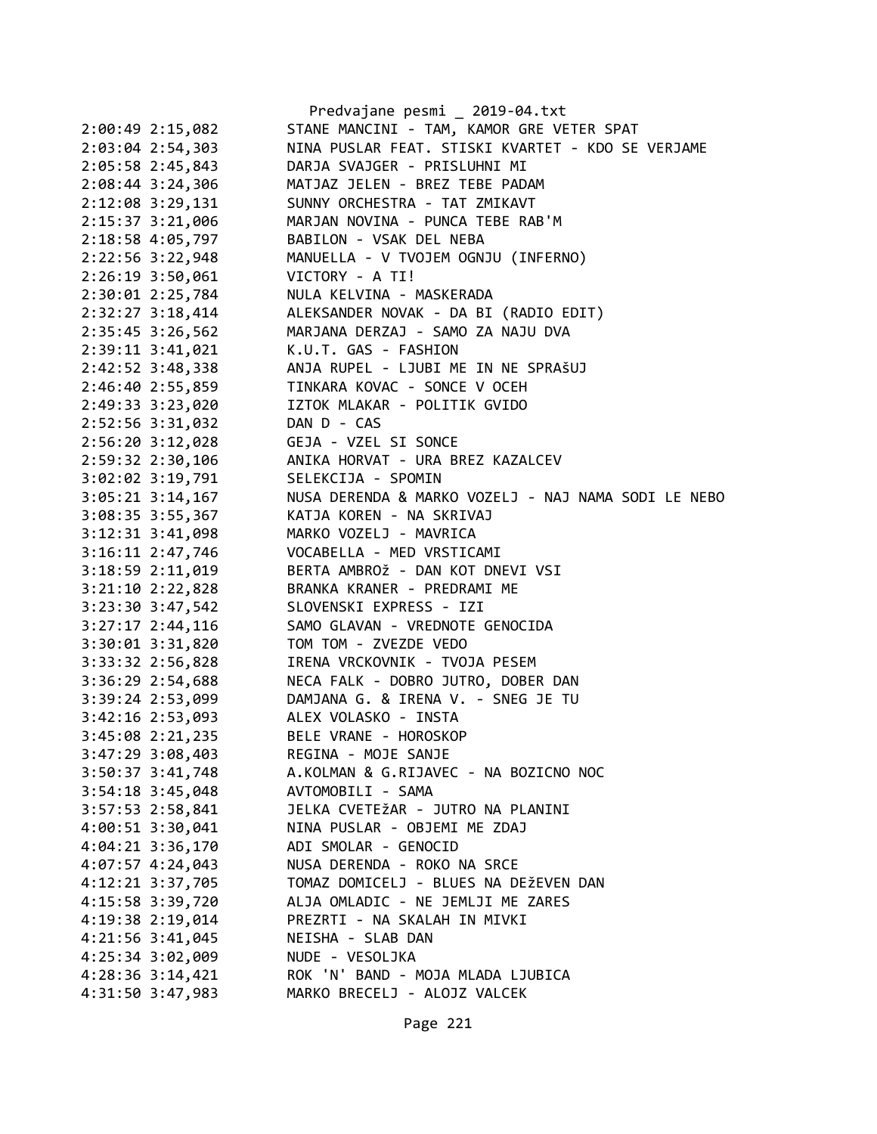|                      | Predvajane pesmi _ 2019-04.txt                      |
|----------------------|-----------------------------------------------------|
| 2:00:49 2:15,082     | STANE MANCINI - TAM, KAMOR GRE VETER SPAT           |
| 2:03:04 2:54,303     | NINA PUSLAR FEAT. STISKI KVARTET - KDO SE VERJAME   |
| 2:05:58 2:45,843     | DARJA SVAJGER - PRISLUHNI MI                        |
| 2:08:44 3:24,306     | MATJAZ JELEN - BREZ TEBE PADAM                      |
| 2:12:08 3:29,131     | SUNNY ORCHESTRA - TAT ZMIKAVT                       |
| 2:15:37 3:21,006     | MARJAN NOVINA - PUNCA TEBE RAB'M                    |
| 2:18:58 4:05,797     | BABILON - VSAK DEL NEBA                             |
| 2:22:56 3:22,948     | MANUELLA - V TVOJEM OGNJU (INFERNO)                 |
| 2:26:19 3:50,061     | VICTORY - A TI!                                     |
| 2:30:01 2:25,784     | NULA KELVINA - MASKERADA                            |
| 2:32:27 3:18,414     | ALEKSANDER NOVAK - DA BI (RADIO EDIT)               |
| 2:35:45 3:26,562     | MARJANA DERZAJ - SAMO ZA NAJU DVA                   |
| 2:39:11 3:41,021     | K.U.T. GAS - FASHION                                |
| 2:42:52 3:48,338     | ANJA RUPEL - LJUBI ME IN NE SPRAŠUJ                 |
| 2:46:40 2:55,859     | TINKARA KOVAC - SONCE V OCEH                        |
| 2:49:33 3:23,020     | IZTOK MLAKAR - POLITIK GVIDO                        |
| 2:52:56 3:31,032     | DAN D - CAS                                         |
| 2:56:20 3:12,028     | GEJA - VZEL SI SONCE                                |
| 2:59:32 2:30,106     | ANIKA HORVAT - URA BREZ KAZALCEV                    |
| 3:02:02 3:19,791     | SELEKCIJA - SPOMIN                                  |
| $3:05:21$ $3:14,167$ | NUSA DERENDA & MARKO VOZELJ - NAJ NAMA SODI LE NEBO |
| 3:08:35 3:55,367     | KATJA KOREN - NA SKRIVAJ                            |
| 3:12:31 3:41,098     | MARKO VOZELJ - MAVRICA                              |
| 3:16:11 2:47,746     | VOCABELLA - MED VRSTICAMI                           |
| 3:18:59 2:11,019     | BERTA AMBROŽ - DAN KOT DNEVI VSI                    |
| 3:21:10 2:22,828     | BRANKA KRANER - PREDRAMI ME                         |
| 3:23:30 3:47,542     | SLOVENSKI EXPRESS - IZI                             |
| $3:27:17$ 2:44,116   | SAMO GLAVAN - VREDNOTE GENOCIDA                     |
| 3:30:01 3:31,820     | TOM TOM - ZVEZDE VEDO                               |
| 3:33:32 2:56,828     | IRENA VRCKOVNIK - TVOJA PESEM                       |
| 3:36:29 2:54,688     | NECA FALK - DOBRO JUTRO, DOBER DAN                  |
| 3:39:24 2:53,099     | DAMJANA G. & IRENA V. - SNEG JE TU                  |
| 3:42:16 2:53,093     | ALEX VOLASKO - INSTA                                |
| 3:45:08 2:21,235     | BELE VRANE - HOROSKOP                               |
| 3:47:29 3:08,403     | REGINA - MOJE SANJE                                 |
| 3:50:37 3:41,748     | A.KOLMAN & G.RIJAVEC - NA BOZICNO NOC               |
| $3:54:18$ $3:45,048$ | AVTOMOBILI - SAMA                                   |
| 3:57:53 2:58,841     | JELKA CVETEŽAR - JUTRO NA PLANINI                   |
| 4:00:51 3:30,041     | NINA PUSLAR - OBJEMI ME ZDAJ                        |
| 4:04:21 3:36,170     | ADI SMOLAR - GENOCID                                |
| 4:07:57 4:24,043     | NUSA DERENDA - ROKO NA SRCE                         |
| 4:12:21 3:37,705     | TOMAZ DOMICELJ - BLUES NA DEŽEVEN DAN               |
| 4:15:58 3:39,720     | ALJA OMLADIC - NE JEMLJI ME ZARES                   |
| 4:19:38 2:19,014     | PREZRTI - NA SKALAH IN MIVKI                        |
| 4:21:56 3:41,045     | NEISHA - SLAB DAN                                   |
| 4:25:34 3:02,009     | NUDE - VESOLJKA                                     |
| 4:28:36 3:14,421     | ROK 'N' BAND - MOJA MLADA LJUBICA                   |
| 4:31:50 3:47,983     | MARKO BRECELJ - ALOJZ VALCEK                        |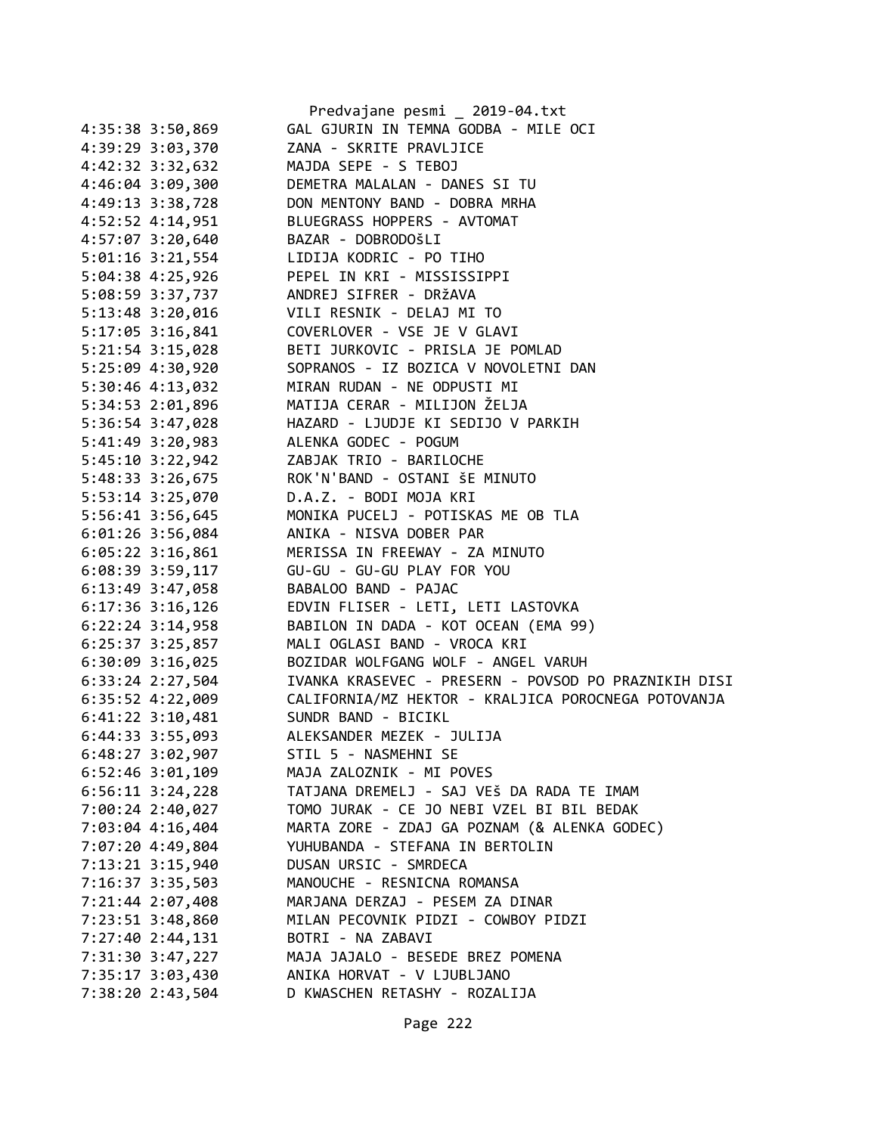|                                      | Predvajane pesmi _ 2019-04.txt                                       |
|--------------------------------------|----------------------------------------------------------------------|
| 4:35:38 3:50,869                     | GAL GJURIN IN TEMNA GODBA - MILE OCI                                 |
| 4:39:29 3:03,370                     | ZANA - SKRITE PRAVLJICE                                              |
| 4:42:32 3:32,632                     | MAJDA SEPE - S TEBOJ                                                 |
| 4:46:04 3:09,300                     | DEMETRA MALALAN - DANES SI TU                                        |
| 4:49:13 3:38,728                     | DON MENTONY BAND - DOBRA MRHA                                        |
| 4:52:52 4:14,951                     | BLUEGRASS HOPPERS - AVTOMAT                                          |
| 4:57:07 3:20,640                     | BAZAR - DOBRODOŠLI                                                   |
| $5:01:16$ $3:21,554$                 | LIDIJA KODRIC - PO TIHO                                              |
| 5:04:38 4:25,926                     | PEPEL IN KRI - MISSISSIPPI                                           |
| 5:08:59 3:37,737                     | ANDREJ SIFRER - DRŽAVA                                               |
|                                      | 5:13:48 3:20,016 VILI RESNIK - DELAJ MI TO                           |
|                                      | 5:17:05 3:16,841 COVERLOVER - VSE JE V GLAVI                         |
| $5:21:54$ $3:15,028$                 | BETI JURKOVIC - PRISLA JE POMLAD                                     |
| 5:25:09 4:30,920                     | SOPRANOS - IZ BOZICA V NOVOLETNI DAN                                 |
| 5:30:46 4:13,032                     | MIRAN RUDAN - NE ODPUSTI MI                                          |
| 5:34:53 2:01,896                     | MATIJA CERAR - MILIJON ŽELJA                                         |
| 5:36:54 3:47,028                     | HAZARD - LJUDJE KI SEDIJO V PARKIH                                   |
| 5:41:49 3:20,983                     | ALENKA GODEC - POGUM                                                 |
| 5:45:10 3:22,942                     | ZABJAK TRIO - BARILOCHE                                              |
| 5:48:33 3:26,675                     | ROK'N'BAND - OSTANI ŠE MINUTO                                        |
| 5:53:14 3:25,070                     | D.A.Z. - BODI MOJA KRI                                               |
| 5:56:41 3:56,645                     | MONIKA PUCELJ - POTISKAS ME OB TLA                                   |
| $6:01:26$ 3:56,084                   | ANIKA - NISVA DOBER PAR                                              |
| $6:05:22$ 3:16,861                   | MERISSA IN FREEWAY - ZA MINUTO                                       |
| 6:08:39 3:59,117                     | GU-GU - GU-GU PLAY FOR YOU                                           |
| 6:13:49 3:47,058                     | BABALOO BAND - PAJAC                                                 |
| $6:17:36$ 3:16,126                   | EDVIN FLISER - LETI, LETI LASTOVKA                                   |
| $6:22:24$ 3:14,958                   | BABILON IN DADA - KOT OCEAN (EMA 99)                                 |
| $6:25:37$ 3:25,857                   | MALI OGLASI BAND - VROCA KRI                                         |
| 6:30:09 3:16,025                     | BOZIDAR WOLFGANG WOLF - ANGEL VARUH                                  |
| $6:33:24$ 2:27,504                   | IVANKA KRASEVEC - PRESERN - POVSOD PO PRAZNIKIH DISI                 |
|                                      | 6:35:52 4:22,009 CALIFORNIA/MZ HEKTOR - KRALJICA POROCNEGA POTOVANJA |
| 6:41:22 3:10,481 SUNDR BAND - BICIKL |                                                                      |
| 6:44:33 3:55,093                     | ALEKSANDER MEZEK - JULIJA                                            |
| 6:48:27 3:02,907                     | STIL 5 - NASMEHNI SE                                                 |
| $6:52:46$ 3:01,109                   | MAJA ZALOZNIK - MI POVES                                             |
| $6:56:11$ $3:24,228$                 | TATJANA DREMELJ - SAJ VEŠ DA RADA TE IMAM                            |
| 7:00:24 2:40,027                     | TOMO JURAK - CE JO NEBI VZEL BI BIL BEDAK                            |
| 7:03:04 4:16,404                     | MARTA ZORE - ZDAJ GA POZNAM (& ALENKA GODEC)                         |
| 7:07:20 4:49,804                     | YUHUBANDA - STEFANA IN BERTOLIN                                      |
| 7:13:21 3:15,940                     | DUSAN URSIC - SMRDECA                                                |
| 7:16:37 3:35,503                     | MANOUCHE - RESNICNA ROMANSA                                          |
| 7:21:44 2:07,408                     | MARJANA DERZAJ - PESEM ZA DINAR                                      |
| 7:23:51 3:48,860                     | MILAN PECOVNIK PIDZI - COWBOY PIDZI                                  |
| 7:27:40 2:44,131                     | BOTRI - NA ZABAVI                                                    |
| 7:31:30 3:47,227                     | MAJA JAJALO - BESEDE BREZ POMENA                                     |
| 7:35:17 3:03,430                     | ANIKA HORVAT - V LJUBLJANO                                           |
| 7:38:20 2:43,504                     | D KWASCHEN RETASHY - ROZALIJA                                        |
|                                      |                                                                      |

Page 222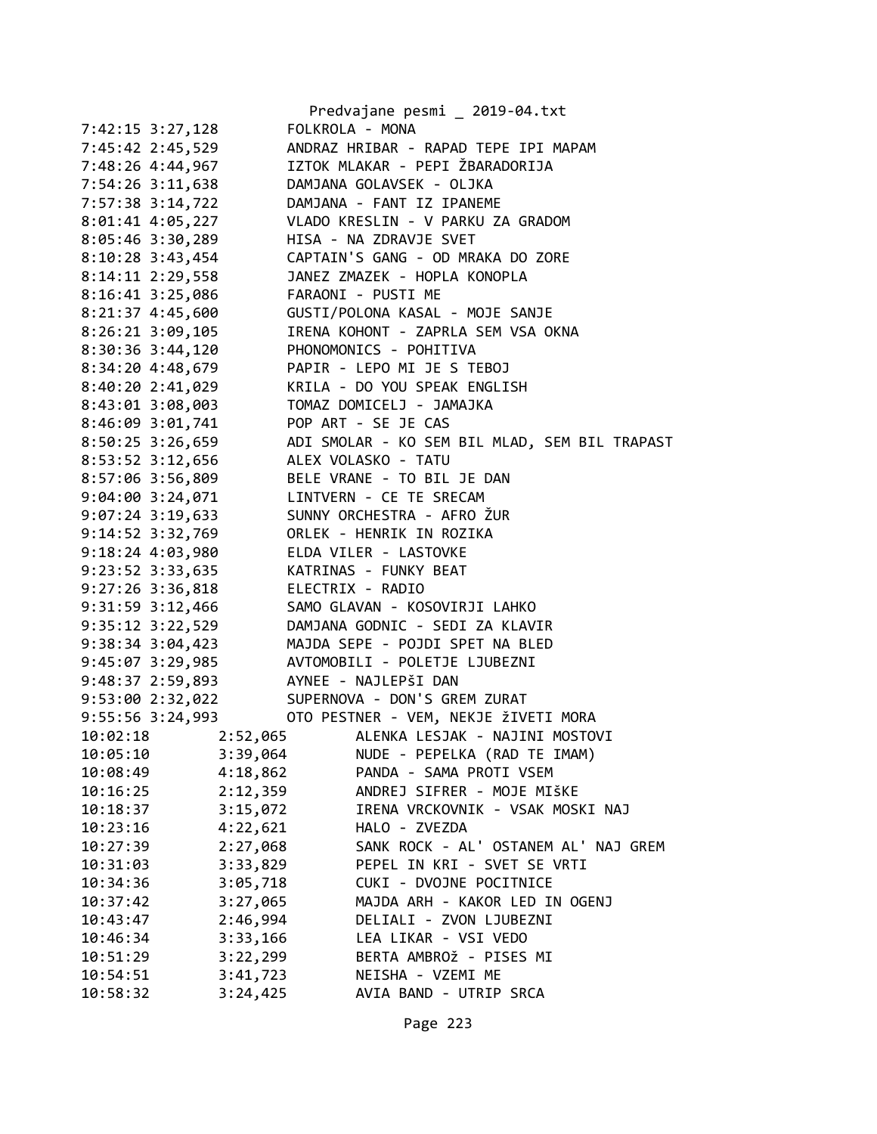|                      | Predvajane pesmi _ 2019-04.txt                |
|----------------------|-----------------------------------------------|
| 7:42:15 3:27,128     | FOLKROLA - MONA                               |
| 7:45:42 2:45,529     | ANDRAZ HRIBAR - RAPAD TEPE IPI MAPAM          |
| 7:48:26 4:44,967     | IZTOK MLAKAR - PEPI ŽBARADORIJA               |
| 7:54:26 3:11,638     | DAMJANA GOLAVSEK - OLJKA                      |
| 7:57:38 3:14,722     | DAMJANA - FANT IZ IPANEME                     |
| 8:01:41 4:05,227     | VLADO KRESLIN - V PARKU ZA GRADOM             |
| 8:05:46 3:30,289     | HISA - NA ZDRAVJE SVET                        |
| 8:10:28 3:43,454     | CAPTAIN'S GANG - OD MRAKA DO ZORE             |
| 8:14:11 2:29,558     | JANEZ ZMAZEK - HOPLA KONOPLA                  |
| 8:16:41 3:25,086     | FARAONI - PUSTI ME                            |
| $8:21:37$ 4:45,600   | GUSTI/POLONA KASAL - MOJE SANJE               |
| $8:26:21$ $3:09,105$ | IRENA KOHONT - ZAPRLA SEM VSA OKNA            |
| $8:30:36$ 3:44,120   | PHONOMONICS - POHITIVA                        |
| 8:34:20 4:48,679     | PAPIR - LEPO MI JE S TEBOJ                    |
| 8:40:20 2:41,029     | KRILA - DO YOU SPEAK ENGLISH                  |
| 8:43:01 3:08,003     | TOMAZ DOMICELJ - JAMAJKA                      |
| 8:46:09 3:01,741     | POP ART - SE JE CAS                           |
| 8:50:25 3:26,659     | ADI SMOLAR - KO SEM BIL MLAD, SEM BIL TRAPAST |
| 8:53:52 3:12,656     | ALEX VOLASKO - TATU                           |
| 8:57:06 3:56,809     | BELE VRANE - TO BIL JE DAN                    |
| 9:04:00 3:24,071     | LINTVERN - CE TE SRECAM                       |
| $9:07:24$ 3:19,633   | SUNNY ORCHESTRA - AFRO ŽUR                    |
| $9:14:52$ $3:32,769$ | ORLEK - HENRIK IN ROZIKA                      |
| 9:18:24 4:03,980     | ELDA VILER - LASTOVKE                         |
| 9:23:52 3:33,635     | KATRINAS - FUNKY BEAT                         |
| $9:27:26$ 3:36,818   | ELECTRIX - RADIO                              |
| $9:31:59$ $3:12,466$ | SAMO GLAVAN - KOSOVIRJI LAHKO                 |
| $9:35:12$ $3:22,529$ | DAMJANA GODNIC - SEDI ZA KLAVIR               |
| $9:38:34$ $3:04,423$ | MAJDA SEPE - POJDI SPET NA BLED               |
| $9:45:07$ 3:29,985   | AVTOMOBILI - POLETJE LJUBEZNI                 |
| 9:48:37 2:59,893     | AYNEE - NAJLEPŠI DAN                          |
|                      | 9:53:00 2:32,022 SUPERNOVA - DON'S GREM ZURAT |
| 9:55:56 3:24,993     | OTO PESTNER - VEM, NEKJE ŽIVETI MORA          |
| 2:52,065<br>10:02:18 | ALENKA LESJAK - NAJINI MOSTOVI                |
| 10:05:10<br>3:39,064 | NUDE - PEPELKA (RAD TE IMAM)                  |
| 10:08:49<br>4:18,862 | PANDA - SAMA PROTI VSEM                       |
| 2:12,359<br>10:16:25 | ANDREJ SIFRER - MOJE MIŠKE                    |
| 3:15,072<br>10:18:37 | IRENA VRCKOVNIK - VSAK MOSKI NAJ              |
| 4:22,621<br>10:23:16 | HALO - ZVEZDA                                 |
| 2:27,068<br>10:27:39 | SANK ROCK - AL' OSTANEM AL' NAJ GREM          |
| 3:33,829<br>10:31:03 | PEPEL IN KRI - SVET SE VRTI                   |
| 3:05,718<br>10:34:36 | CUKI - DVOJNE POCITNICE                       |
| 3:27,065<br>10:37:42 | MAJDA ARH - KAKOR LED IN OGENJ                |
| 2:46,994<br>10:43:47 | DELIALI - ZVON LJUBEZNI                       |
| 3:33,166<br>10:46:34 | LEA LIKAR - VSI VEDO                          |
| 3:22,299<br>10:51:29 | BERTA AMBROŽ - PISES MI                       |
| 10:54:51<br>3:41,723 | NEISHA - VZEMI ME                             |
| 3:24,425<br>10:58:32 | AVIA BAND - UTRIP SRCA                        |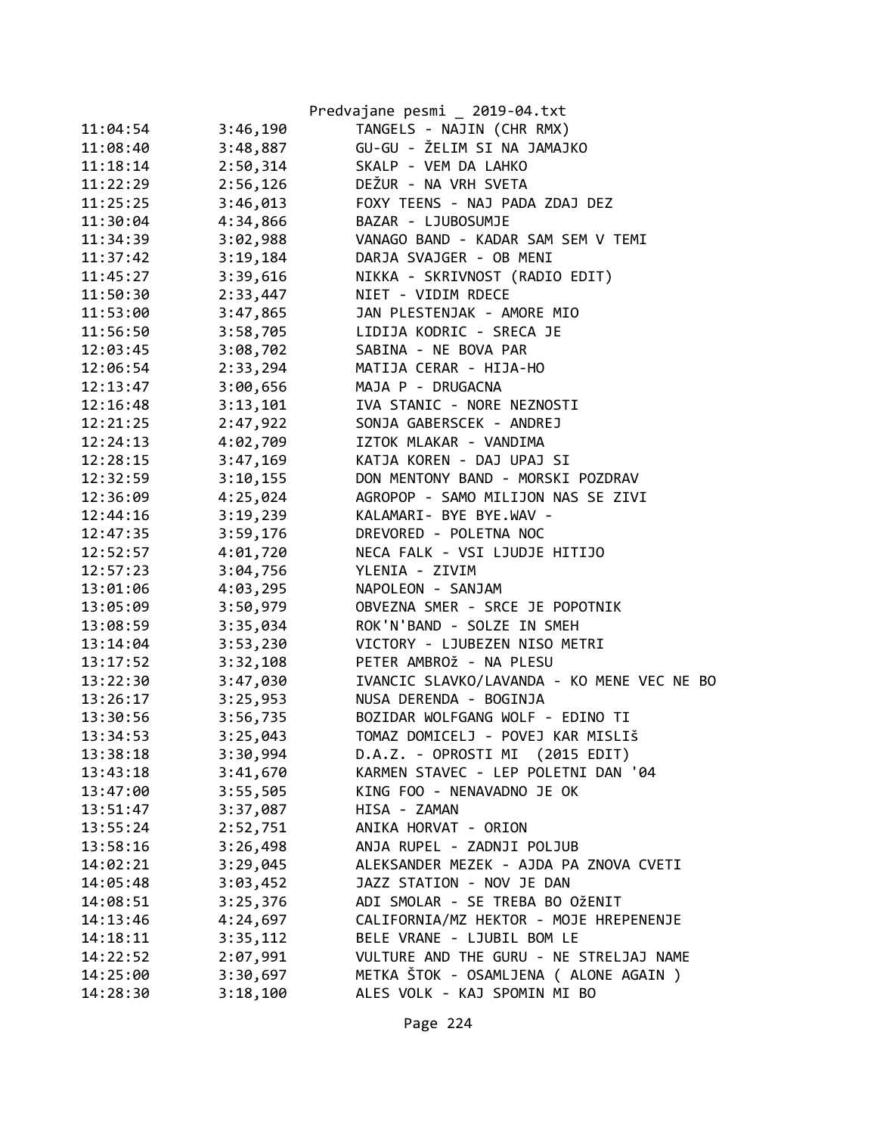|          |          | Predvajane pesmi _ 2019-04.txt             |
|----------|----------|--------------------------------------------|
| 11:04:54 | 3:46,190 | TANGELS - NAJIN (CHR RMX)                  |
| 11:08:40 | 3:48,887 | GU-GU - ŽELIM SI NA JAMAJKO                |
| 11:18:14 | 2:50,314 | SKALP - VEM DA LAHKO                       |
| 11:22:29 | 2:56,126 | DEŽUR - NA VRH SVETA                       |
| 11:25:25 | 3:46,013 | FOXY TEENS - NAJ PADA ZDAJ DEZ             |
| 11:30:04 | 4:34,866 | BAZAR - LJUBOSUMJE                         |
| 11:34:39 | 3:02,988 | VANAGO BAND - KADAR SAM SEM V TEMI         |
| 11:37:42 | 3:19,184 | DARJA SVAJGER - OB MENI                    |
| 11:45:27 | 3:39,616 | NIKKA - SKRIVNOST (RADIO EDIT)             |
| 11:50:30 | 2:33,447 | NIET - VIDIM RDECE                         |
| 11:53:00 | 3:47,865 | JAN PLESTENJAK - AMORE MIO                 |
| 11:56:50 | 3:58,705 | LIDIJA KODRIC - SRECA JE                   |
| 12:03:45 | 3:08,702 | SABINA - NE BOVA PAR                       |
| 12:06:54 | 2:33,294 | MATIJA CERAR - HIJA-HO                     |
| 12:13:47 | 3:00,656 | MAJA P - DRUGACNA                          |
| 12:16:48 | 3:13,101 | IVA STANIC - NORE NEZNOSTI                 |
| 12:21:25 | 2:47,922 | SONJA GABERSCEK - ANDREJ                   |
| 12:24:13 | 4:02,709 | IZTOK MLAKAR - VANDIMA                     |
| 12:28:15 | 3:47,169 | KATJA KOREN - DAJ UPAJ SI                  |
| 12:32:59 | 3:10,155 | DON MENTONY BAND - MORSKI POZDRAV          |
| 12:36:09 | 4:25,024 | AGROPOP - SAMO MILIJON NAS SE ZIVI         |
| 12:44:16 | 3:19,239 | KALAMARI- BYE BYE.WAV -                    |
| 12:47:35 | 3:59,176 | DREVORED - POLETNA NOC                     |
| 12:52:57 | 4:01,720 | NECA FALK - VSI LJUDJE HITIJO              |
| 12:57:23 | 3:04,756 | YLENIA - ZIVIM                             |
| 13:01:06 | 4:03,295 | NAPOLEON - SANJAM                          |
| 13:05:09 | 3:50,979 | OBVEZNA SMER - SRCE JE POPOTNIK            |
| 13:08:59 | 3:35,034 | ROK'N'BAND - SOLZE IN SMEH                 |
| 13:14:04 | 3:53,230 | VICTORY - LJUBEZEN NISO METRI              |
| 13:17:52 | 3:32,108 | PETER AMBROŽ - NA PLESU                    |
| 13:22:30 | 3:47,030 | IVANCIC SLAVKO/LAVANDA - KO MENE VEC NE BO |
| 13:26:17 | 3:25,953 | NUSA DERENDA - BOGINJA                     |
| 13:30:56 | 3:56,735 | BOZIDAR WOLFGANG WOLF - EDINO TI           |
| 13:34:53 | 3:25,043 | TOMAZ DOMICELJ - POVEJ KAR MISLIŠ          |
| 13:38:18 | 3:30,994 | D.A.Z. - OPROSTI MI (2015 EDIT)            |
| 13:43:18 | 3:41,670 | KARMEN STAVEC - LEP POLETNI DAN '04        |
| 13:47:00 | 3:55,505 | KING FOO - NENAVADNO JE OK                 |
| 13:51:47 | 3:37,087 | HISA - ZAMAN                               |
| 13:55:24 | 2:52,751 | ANIKA HORVAT - ORION                       |
| 13:58:16 | 3:26,498 | ANJA RUPEL - ZADNJI POLJUB                 |
| 14:02:21 | 3:29,045 | ALEKSANDER MEZEK - AJDA PA ZNOVA CVETI     |
| 14:05:48 | 3:03,452 | JAZZ STATION - NOV JE DAN                  |
| 14:08:51 | 3:25,376 | ADI SMOLAR - SE TREBA BO OŽENIT            |
| 14:13:46 | 4:24,697 | CALIFORNIA/MZ HEKTOR - MOJE HREPENENJE     |
| 14:18:11 | 3:35,112 | BELE VRANE - LJUBIL BOM LE                 |
| 14:22:52 | 2:07,991 | VULTURE AND THE GURU - NE STRELJAJ NAME    |
| 14:25:00 | 3:30,697 | METKA ŠTOK - OSAMLJENA ( ALONE AGAIN )     |
| 14:28:30 | 3:18,100 | ALES VOLK - KAJ SPOMIN MI BO               |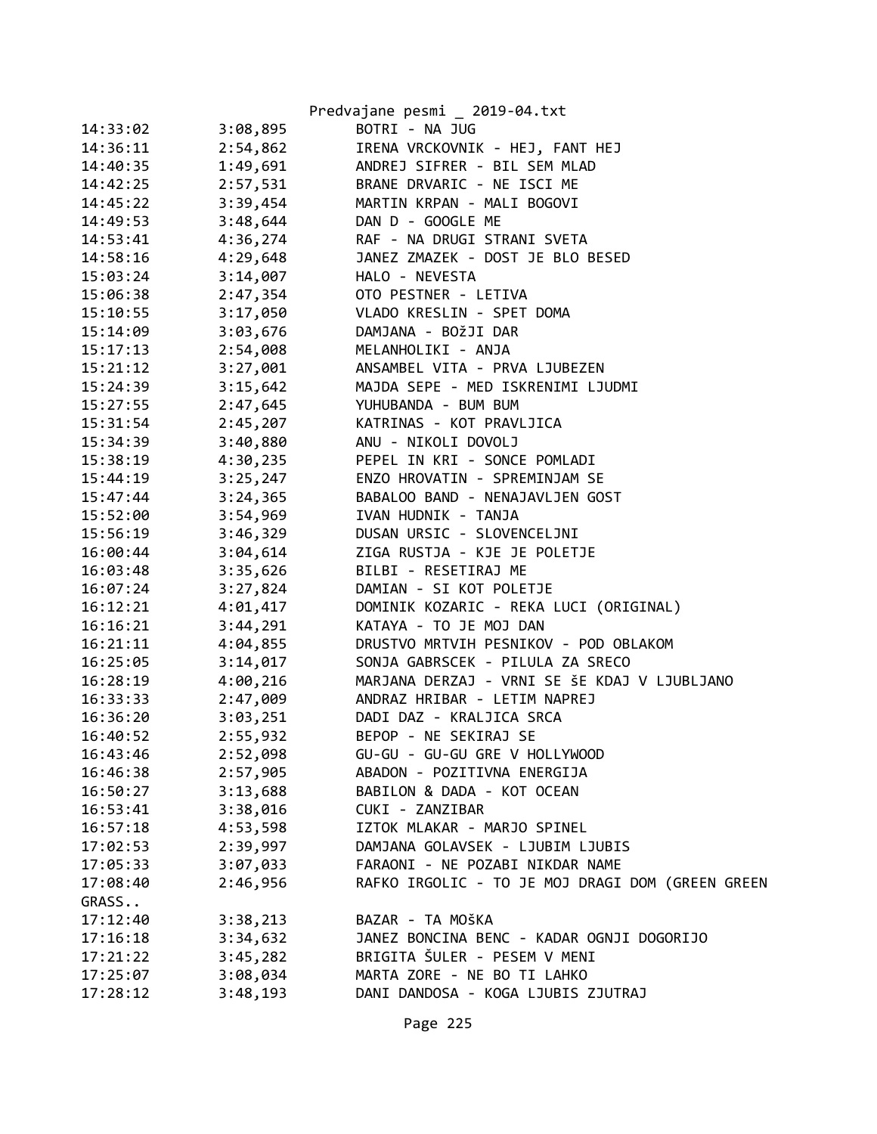|          |          | Predvajane pesmi _ 2019-04.txt                   |
|----------|----------|--------------------------------------------------|
| 14:33:02 | 3:08,895 | BOTRI - NA JUG                                   |
| 14:36:11 | 2:54,862 | IRENA VRCKOVNIK - HEJ, FANT HEJ                  |
| 14:40:35 | 1:49,691 | ANDREJ SIFRER - BIL SEM MLAD                     |
| 14:42:25 | 2:57,531 | BRANE DRVARIC - NE ISCI ME                       |
| 14:45:22 | 3:39,454 | MARTIN KRPAN - MALI BOGOVI                       |
| 14:49:53 | 3:48,644 | DAN D - GOOGLE ME                                |
| 14:53:41 | 4:36,274 | RAF - NA DRUGI STRANI SVETA                      |
| 14:58:16 | 4:29,648 | JANEZ ZMAZEK - DOST JE BLO BESED                 |
| 15:03:24 | 3:14,007 | HALO - NEVESTA                                   |
| 15:06:38 | 2:47,354 | OTO PESTNER - LETIVA                             |
| 15:10:55 | 3:17,050 | VLADO KRESLIN - SPET DOMA                        |
| 15:14:09 | 3:03,676 | DAMJANA - BOŽJI DAR                              |
| 15:17:13 | 2:54,008 | MELANHOLIKI - ANJA                               |
| 15:21:12 | 3:27,001 | ANSAMBEL VITA - PRVA LJUBEZEN                    |
| 15:24:39 | 3:15,642 | MAJDA SEPE - MED ISKRENIMI LJUDMI                |
| 15:27:55 | 2:47,645 | YUHUBANDA - BUM BUM                              |
| 15:31:54 | 2:45,207 | KATRINAS - KOT PRAVLJICA                         |
| 15:34:39 | 3:40,880 | ANU - NIKOLI DOVOLJ                              |
| 15:38:19 | 4:30,235 | PEPEL IN KRI - SONCE POMLADI                     |
| 15:44:19 | 3:25,247 | ENZO HROVATIN - SPREMINJAM SE                    |
| 15:47:44 | 3:24,365 | BABALOO BAND - NENAJAVLJEN GOST                  |
| 15:52:00 | 3:54,969 | IVAN HUDNIK - TANJA                              |
| 15:56:19 | 3:46,329 | DUSAN URSIC - SLOVENCELJNI                       |
| 16:00:44 | 3:04,614 | ZIGA RUSTJA - KJE JE POLETJE                     |
| 16:03:48 | 3:35,626 | BILBI - RESETIRAJ ME                             |
| 16:07:24 | 3:27,824 | DAMIAN - SI KOT POLETJE                          |
| 16:12:21 | 4:01,417 | DOMINIK KOZARIC - REKA LUCI (ORIGINAL)           |
| 16:16:21 | 3:44,291 | KATAYA - TO JE MOJ DAN                           |
| 16:21:11 | 4:04,855 | DRUSTVO MRTVIH PESNIKOV - POD OBLAKOM            |
| 16:25:05 | 3:14,017 | SONJA GABRSCEK - PILULA ZA SRECO                 |
| 16:28:19 | 4:00,216 | MARJANA DERZAJ - VRNI SE ŠE KDAJ V LJUBLJANO     |
| 16:33:33 | 2:47,009 | ANDRAZ HRIBAR - LETIM NAPREJ                     |
| 16:36:20 | 3:03,251 | DADI DAZ - KRALJICA SRCA                         |
| 16:40:52 | 2:55,932 | BEPOP - NE SEKIRAJ SE                            |
| 16:43:46 | 2:52,098 | GU-GU - GU-GU GRE V HOLLYWOOD                    |
| 16:46:38 | 2:57,905 | ABADON - POZITIVNA ENERGIJA                      |
| 16:50:27 | 3:13,688 | BABILON & DADA - KOT OCEAN                       |
| 16:53:41 | 3:38,016 | CUKI - ZANZIBAR                                  |
| 16:57:18 | 4:53,598 | IZTOK MLAKAR - MARJO SPINEL                      |
| 17:02:53 | 2:39,997 | DAMJANA GOLAVSEK - LJUBIM LJUBIS                 |
| 17:05:33 | 3:07,033 | FARAONI - NE POZABI NIKDAR NAME                  |
| 17:08:40 | 2:46,956 | RAFKO IRGOLIC - TO JE MOJ DRAGI DOM (GREEN GREEN |
| GRASS    |          |                                                  |
| 17:12:40 | 3:38,213 | BAZAR - TA MOŠKA                                 |
| 17:16:18 | 3:34,632 | JANEZ BONCINA BENC - KADAR OGNJI DOGORIJO        |
| 17:21:22 | 3:45,282 | BRIGITA ŠULER - PESEM V MENI                     |
| 17:25:07 | 3:08,034 | MARTA ZORE - NE BO TI LAHKO                      |
| 17:28:12 | 3:48,193 | DANI DANDOSA - KOGA LJUBIS ZJUTRAJ               |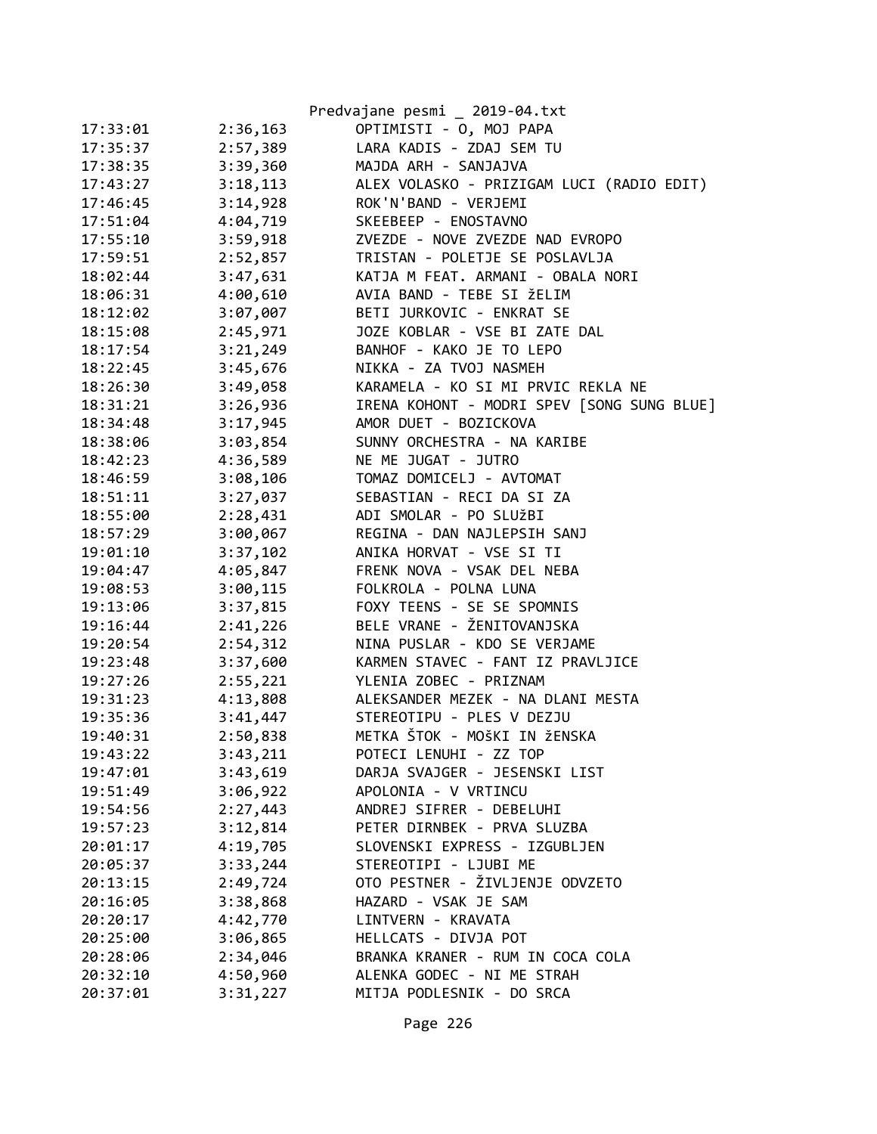|          |          | Predvajane pesmi _ 2019-04.txt             |
|----------|----------|--------------------------------------------|
| 17:33:01 | 2:36,163 | OPTIMISTI - 0, MOJ PAPA                    |
| 17:35:37 | 2:57,389 | LARA KADIS - ZDAJ SEM TU                   |
| 17:38:35 | 3:39,360 | MAJDA ARH - SANJAJVA                       |
| 17:43:27 | 3:18,113 | ALEX VOLASKO - PRIZIGAM LUCI (RADIO EDIT)  |
| 17:46:45 | 3:14,928 | ROK'N'BAND - VERJEMI                       |
| 17:51:04 | 4:04,719 | SKEEBEEP - ENOSTAVNO                       |
| 17:55:10 | 3:59,918 | ZVEZDE - NOVE ZVEZDE NAD EVROPO            |
| 17:59:51 | 2:52,857 | TRISTAN - POLETJE SE POSLAVLJA             |
| 18:02:44 | 3:47,631 | KATJA M FEAT. ARMANI - OBALA NORI          |
| 18:06:31 | 4:00,610 | AVIA BAND - TEBE SI ŽELIM                  |
| 18:12:02 | 3:07,007 | BETI JURKOVIC - ENKRAT SE                  |
| 18:15:08 | 2:45,971 | JOZE KOBLAR - VSE BI ZATE DAL              |
| 18:17:54 | 3:21,249 | BANHOF - KAKO JE TO LEPO                   |
| 18:22:45 | 3:45,676 | NIKKA - ZA TVOJ NASMEH                     |
| 18:26:30 | 3:49,058 | KARAMELA - KO SI MI PRVIC REKLA NE         |
| 18:31:21 | 3:26,936 | IRENA KOHONT - MODRI SPEV [SONG SUNG BLUE] |
| 18:34:48 | 3:17,945 | AMOR DUET - BOZICKOVA                      |
| 18:38:06 | 3:03,854 | SUNNY ORCHESTRA - NA KARIBE                |
| 18:42:23 | 4:36,589 | NE ME JUGAT - JUTRO                        |
| 18:46:59 | 3:08,106 | TOMAZ DOMICELJ - AVTOMAT                   |
| 18:51:11 | 3:27,037 | SEBASTIAN - RECI DA SI ZA                  |
| 18:55:00 | 2:28,431 | ADI SMOLAR - PO SLUŽBI                     |
| 18:57:29 | 3:00,067 | REGINA - DAN NAJLEPSIH SANJ                |
| 19:01:10 | 3:37,102 | ANIKA HORVAT - VSE SI TI                   |
| 19:04:47 | 4:05,847 | FRENK NOVA - VSAK DEL NEBA                 |
| 19:08:53 | 3:00,115 | FOLKROLA - POLNA LUNA                      |
| 19:13:06 | 3:37,815 | FOXY TEENS - SE SE SPOMNIS                 |
| 19:16:44 | 2:41,226 | BELE VRANE - ŽENITOVANJSKA                 |
| 19:20:54 | 2:54,312 | NINA PUSLAR - KDO SE VERJAME               |
| 19:23:48 | 3:37,600 | KARMEN STAVEC - FANT IZ PRAVLJICE          |
| 19:27:26 | 2:55,221 | YLENIA ZOBEC - PRIZNAM                     |
| 19:31:23 | 4:13,808 | ALEKSANDER MEZEK - NA DLANI MESTA          |
| 19:35:36 | 3:41,447 | STEREOTIPU - PLES V DEZJU                  |
| 19:40:31 | 2:50,838 | METKA ŠTOK - MOŠKI IN ŽENSKA               |
| 19:43:22 | 3:43,211 | POTECI LENUHI - ZZ TOP                     |
| 19:47:01 | 3:43,619 | DARJA SVAJGER - JESENSKI LIST              |
| 19:51:49 | 3:06,922 | APOLONIA - V VRTINCU                       |
| 19:54:56 | 2:27,443 | ANDREJ SIFRER - DEBELUHI                   |
| 19:57:23 | 3:12,814 | PETER DIRNBEK - PRVA SLUZBA                |
| 20:01:17 | 4:19,705 | SLOVENSKI EXPRESS - IZGUBLJEN              |
| 20:05:37 | 3:33,244 | STEREOTIPI - LJUBI ME                      |
| 20:13:15 | 2:49,724 | OTO PESTNER - ŽIVLJENJE ODVZETO            |
| 20:16:05 | 3:38,868 | HAZARD - VSAK JE SAM                       |
| 20:20:17 | 4:42,770 | LINTVERN - KRAVATA                         |
| 20:25:00 | 3:06,865 | HELLCATS - DIVJA POT                       |
| 20:28:06 | 2:34,046 | BRANKA KRANER - RUM IN COCA COLA           |
| 20:32:10 | 4:50,960 | ALENKA GODEC - NI ME STRAH                 |
| 20:37:01 | 3:31,227 | MITJA PODLESNIK - DO SRCA                  |

Page 226